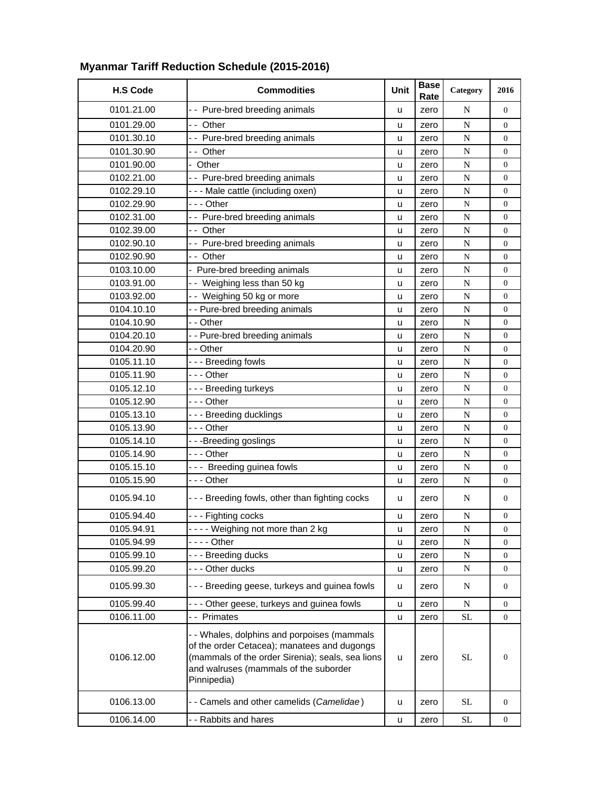|                 |                                                                                                                                                                                                        |      | <b>Base</b> |                     |                  |
|-----------------|--------------------------------------------------------------------------------------------------------------------------------------------------------------------------------------------------------|------|-------------|---------------------|------------------|
| <b>H.S Code</b> | <b>Commodities</b>                                                                                                                                                                                     | Unit | Rate        | Category            | 2016             |
| 0101.21.00      | -- Pure-bred breeding animals                                                                                                                                                                          | u    | zero        | N                   | $\overline{0}$   |
| 0101.29.00      | -- Other                                                                                                                                                                                               | u    | zero        | ${\bf N}$           | $\overline{0}$   |
| 0101.30.10      | -- Pure-bred breeding animals                                                                                                                                                                          | u    | zero        | ${\bf N}$           | $\boldsymbol{0}$ |
| 0101.30.90      | -- Other                                                                                                                                                                                               | u    | zero        | ${\bf N}$           | $\boldsymbol{0}$ |
| 0101.90.00      | - Other                                                                                                                                                                                                | u    | zero        | N                   | $\overline{0}$   |
| 0102.21.00      | -- Pure-bred breeding animals                                                                                                                                                                          | u    | zero        | ${\bf N}$           | $\overline{0}$   |
| 0102.29.10      | - - - Male cattle (including oxen)                                                                                                                                                                     | u    | zero        | ${\bf N}$           | $\boldsymbol{0}$ |
| 0102.29.90      | $- -$ - Other                                                                                                                                                                                          | u    | zero        | N                   | $\overline{0}$   |
| 0102.31.00      | -- Pure-bred breeding animals                                                                                                                                                                          | u    | zero        | $\mathbf N$         | $\boldsymbol{0}$ |
| 0102.39.00      | -- Other                                                                                                                                                                                               | u    | zero        | $\overline{N}$      | $\overline{0}$   |
| 0102.90.10      | -- Pure-bred breeding animals                                                                                                                                                                          | u    | zero        | N                   | 0                |
| 0102.90.90      | -- Other                                                                                                                                                                                               | u    | zero        | ${\bf N}$           | $\boldsymbol{0}$ |
| 0103.10.00      | - Pure-bred breeding animals                                                                                                                                                                           | u    | zero        | N                   | $\boldsymbol{0}$ |
| 0103.91.00      | -- Weighing less than 50 kg                                                                                                                                                                            | u    | zero        | ${\bf N}$           | $\boldsymbol{0}$ |
| 0103.92.00      | -- Weighing 50 kg or more                                                                                                                                                                              | u    | zero        | $\mathbf N$         | $\overline{0}$   |
| 0104.10.10      | - - Pure-bred breeding animals                                                                                                                                                                         | u    | zero        | ${\bf N}$           | $\boldsymbol{0}$ |
| 0104.10.90      | - - Other                                                                                                                                                                                              | u    | zero        | N                   | $\boldsymbol{0}$ |
| 0104.20.10      | - - Pure-bred breeding animals                                                                                                                                                                         | u    | zero        | $\mathbf N$         | $\boldsymbol{0}$ |
| 0104.20.90      | - - Other                                                                                                                                                                                              | u    | zero        | $\mathbf N$         | $\overline{0}$   |
| 0105.11.10      | - - - Breeding fowls                                                                                                                                                                                   | u    | zero        | N                   | $\overline{0}$   |
| 0105.11.90      | --- Other                                                                                                                                                                                              | u    | zero        | ${\bf N}$           | $\overline{0}$   |
| 0105.12.10      | --- Breeding turkeys                                                                                                                                                                                   | u    | zero        | N                   | $\boldsymbol{0}$ |
| 0105.12.90      | --- Other                                                                                                                                                                                              | u    | zero        | ${\bf N}$           | $\boldsymbol{0}$ |
| 0105.13.10      | --- Breeding ducklings                                                                                                                                                                                 | u    | zero        | ${\bf N}$           | $\overline{0}$   |
| 0105.13.90      | --- Other                                                                                                                                                                                              | u    | zero        | ${\bf N}$           | $\overline{0}$   |
| 0105.14.10      | - - - Breeding goslings                                                                                                                                                                                | u    | zero        | ${\bf N}$           | $\overline{0}$   |
| 0105.14.90      | $--$ Other                                                                                                                                                                                             | u    | zero        | $\mathbf N$         | $\overline{0}$   |
| 0105.15.10      | --- Breeding guinea fowls                                                                                                                                                                              | u    | zero        | $\mathbf N$         | $\boldsymbol{0}$ |
| 0105.15.90      | $- -$ Other                                                                                                                                                                                            | u    | zero        | ${\bf N}$           | $\overline{0}$   |
| 0105.94.10      | --- Breeding fowls, other than fighting cocks                                                                                                                                                          | u    | zero        | N                   | 0                |
| 0105.94.40      | --- Fighting cocks                                                                                                                                                                                     | u    | zero        | $\mathbf N$         | $\boldsymbol{0}$ |
| 0105.94.91      | ---- Weighing not more than 2 kg                                                                                                                                                                       | u    | zero        | N                   | $\boldsymbol{0}$ |
| 0105.94.99      | - - - - Other                                                                                                                                                                                          | u    | zero        | ${\bf N}$           | $\overline{0}$   |
| 0105.99.10      | --- Breeding ducks                                                                                                                                                                                     | u    | zero        | N                   | 0                |
| 0105.99.20      | --- Other ducks                                                                                                                                                                                        | u    | zero        | N                   | $\boldsymbol{0}$ |
| 0105.99.30      | - - - Breeding geese, turkeys and guinea fowls                                                                                                                                                         | u    | zero        | N                   | 0                |
| 0105.99.40      | --- Other geese, turkeys and guinea fowls                                                                                                                                                              | u    | zero        | N                   | $\boldsymbol{0}$ |
| 0106.11.00      | -- Primates                                                                                                                                                                                            | u    | zero        | <b>SL</b>           | 0                |
| 0106.12.00      | - - Whales, dolphins and porpoises (mammals<br>of the order Cetacea); manatees and dugongs<br>(mammals of the order Sirenia); seals, sea lions<br>and walruses (mammals of the suborder<br>Pinnipedia) | u    | zero        | SL                  | 0                |
| 0106.13.00      | - - Camels and other camelids (Camelidae)                                                                                                                                                              | u    | zero        | <b>SL</b>           | 0                |
| 0106.14.00      | - - Rabbits and hares                                                                                                                                                                                  | u    | zero        | $\operatorname{SL}$ | 0                |

## **Myanmar Tariff Reduction Schedule (2015-2016)**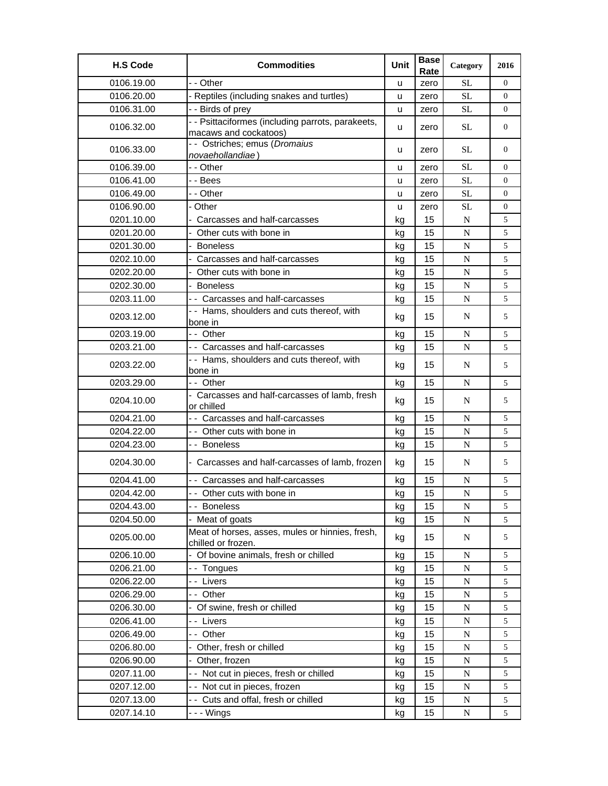| <b>H.S Code</b> | <b>Commodities</b>                                                         | Unit | <b>Base</b><br>Rate | Category    | 2016           |
|-----------------|----------------------------------------------------------------------------|------|---------------------|-------------|----------------|
| 0106.19.00      | - - Other                                                                  | u    | zero                | <b>SL</b>   | $\Omega$       |
| 0106.20.00      | - Reptiles (including snakes and turtles)                                  | u    | zero                | $\rm SL$    | $\overline{0}$ |
| 0106.31.00      | - - Birds of prey                                                          | u    | zero                | <b>SL</b>   | $\overline{0}$ |
| 0106.32.00      | - - Psittaciformes (including parrots, parakeets,<br>macaws and cockatoos) | u    | zero                | <b>SL</b>   | $\overline{0}$ |
| 0106.33.00      | - - Ostriches; emus (Dromaius<br>novaehollandiae)                          | u    | zero                | <b>SL</b>   | $\overline{0}$ |
| 0106.39.00      | - - Other                                                                  | u    | zero                | <b>SL</b>   | $\overline{0}$ |
| 0106.41.00      | - - Bees                                                                   | u    | zero                | <b>SL</b>   | 0              |
| 0106.49.00      | - - Other                                                                  | u    | zero                | <b>SL</b>   | 0              |
| 0106.90.00      | - Other                                                                    | u    | zero                | <b>SL</b>   | $\overline{0}$ |
| 0201.10.00      | - Carcasses and half-carcasses                                             | kg   | 15                  | $\mathbf N$ | 5              |
| 0201.20.00      | - Other cuts with bone in                                                  | kg   | 15                  | $\mathbf N$ | 5              |
| 0201.30.00      | - Boneless                                                                 | kg   | 15                  | $\mathbf N$ | 5              |
| 0202.10.00      | - Carcasses and half-carcasses                                             | kg   | 15                  | $\mathbf N$ | 5              |
| 0202.20.00      | - Other cuts with bone in                                                  | kg   | 15                  | $\mathbf N$ | 5              |
| 0202.30.00      | - Boneless                                                                 | kg   | 15                  | ${\bf N}$   | 5              |
| 0203.11.00      | - - Carcasses and half-carcasses                                           | kg   | 15                  | $\mathbf N$ | 5              |
| 0203.12.00      | - - Hams, shoulders and cuts thereof, with<br>bone in                      | kg   | 15                  | $\mathbf N$ | 5              |
| 0203.19.00      | -- Other                                                                   | kg   | 15                  | $\mathbf N$ | 5              |
| 0203.21.00      | - - Carcasses and half-carcasses                                           | kg   | 15                  | $\mathbf N$ | 5              |
| 0203.22.00      | -- Hams, shoulders and cuts thereof, with<br>bone in                       | kg   | 15                  | N           | 5              |
| 0203.29.00      | -- Other                                                                   | kg   | 15                  | $\mathbf N$ | 5              |
| 0204.10.00      | - Carcasses and half-carcasses of lamb, fresh<br>or chilled                | kg   | 15                  | N           | 5              |
| 0204.21.00      | - - Carcasses and half-carcasses                                           | kg   | 15                  | $\mathbf N$ | 5              |
| 0204.22.00      | - - Other cuts with bone in                                                | kg   | 15                  | N           | 5              |
| 0204.23.00      | - - Boneless                                                               | kg   | 15                  | $\mathbf N$ | 5              |
| 0204.30.00      | - Carcasses and half-carcasses of lamb, frozen                             | kg   | 15                  | N           | 5              |
| 0204.41.00      | - - Carcasses and half-carcasses                                           | kg   | 15                  | N           | 5              |
| 0204.42.00      | -- Other cuts with bone in                                                 | kg   | 15                  | N           | 5              |
| 0204.43.00      | -- Boneless                                                                | kg   | 15                  | N           | 5              |
| 0204.50.00      | Meat of goats                                                              | kg   | 15                  | N           | 5              |
| 0205.00.00      | Meat of horses, asses, mules or hinnies, fresh,<br>chilled or frozen.      | kg   | 15                  | N           | 5              |
| 0206.10.00      | - Of bovine animals, fresh or chilled                                      | kg   | 15                  | N           | 5              |
| 0206.21.00      | -- Tongues                                                                 | kg   | 15                  | N           | 5              |
| 0206.22.00      | -- Livers                                                                  | kg   | 15                  | $\mathbf N$ | 5              |
| 0206.29.00      | -- Other                                                                   | kg   | 15                  | $\mathbf N$ | 5              |
| 0206.30.00      | - Of swine, fresh or chilled                                               | kg   | 15                  | $\mathbf N$ | 5              |
| 0206.41.00      | - - Livers                                                                 | kg   | 15                  | $\mathbf N$ | 5              |
| 0206.49.00      | -- Other                                                                   | kg   | 15                  | N           | 5              |
| 0206.80.00      | - Other, fresh or chilled                                                  | kg   | 15                  | $\mathbf N$ | 5              |
| 0206.90.00      | - Other, frozen                                                            | kg   | 15                  | $\mathbf N$ | 5              |
| 0207.11.00      | - - Not cut in pieces, fresh or chilled                                    | kg   | 15                  | $\mathbf N$ | 5              |
| 0207.12.00      | -- Not cut in pieces, frozen                                               | kg   | 15                  | N           | 5              |
| 0207.13.00      | -- Cuts and offal, fresh or chilled                                        | kg   | 15                  | N           | 5              |
| 0207.14.10      | - - - Wings                                                                | kg   | 15                  | ${\bf N}$   | 5              |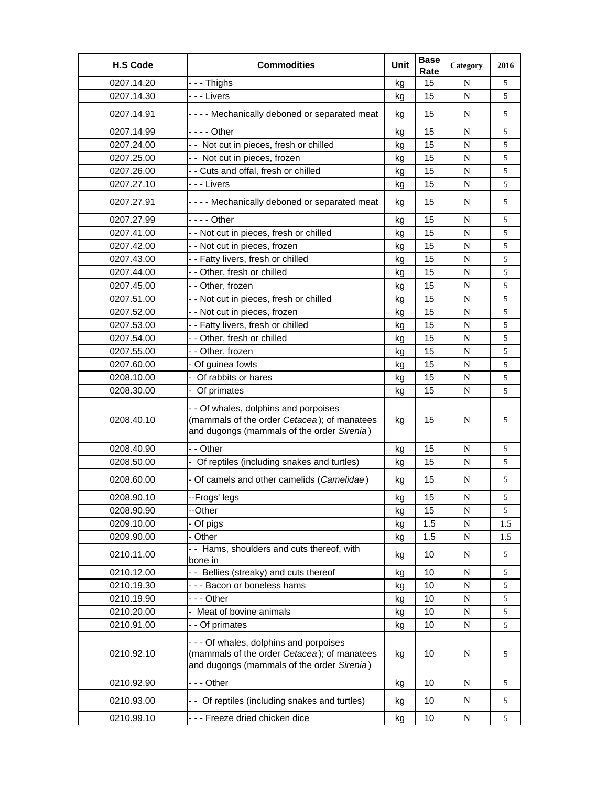| <b>H.S Code</b> | <b>Commodities</b>                                                                                                                 | Unit | <b>Base</b><br>Rate | Category    | 2016 |
|-----------------|------------------------------------------------------------------------------------------------------------------------------------|------|---------------------|-------------|------|
| 0207.14.20      | --- Thighs                                                                                                                         | kg   | 15                  | N           | 5    |
| 0207.14.30      | - - - Livers                                                                                                                       | kg   | 15                  | $\mathbf N$ | 5    |
| 0207.14.91      | - - - - Mechanically deboned or separated meat                                                                                     | kg   | 15                  | N           | 5    |
| 0207.14.99      | - - - - Other                                                                                                                      | kg   | 15                  | N           | 5    |
| 0207.24.00      | -- Not cut in pieces, fresh or chilled                                                                                             | kg   | 15                  | $\mathbf N$ | 5    |
| 0207.25.00      | - - Not cut in pieces, frozen                                                                                                      | kg   | 15                  | $\mathbf N$ | 5    |
| 0207.26.00      | - - Cuts and offal, fresh or chilled                                                                                               | kg   | 15                  | $\mathbf N$ | 5    |
| 0207.27.10      | - - - Livers                                                                                                                       | kg   | 15                  | N           | 5    |
| 0207.27.91      | - - - - Mechanically deboned or separated meat                                                                                     | kg   | 15                  | N           | 5    |
| 0207.27.99      |                                                                                                                                    | kg   | 15                  | $\mathbf N$ | 5    |
| 0207.41.00      | - - Not cut in pieces, fresh or chilled                                                                                            | kg   | 15                  | $\mathbf N$ | 5    |
| 0207.42.00      | - - Not cut in pieces, frozen                                                                                                      | kg   | 15                  | $\mathbf N$ | 5    |
| 0207.43.00      | - - Fatty livers, fresh or chilled                                                                                                 | kg   | 15                  | $\mathbf N$ | 5    |
| 0207.44.00      | - - Other, fresh or chilled                                                                                                        | kg   | 15                  | N           | 5    |
| 0207.45.00      | - - Other, frozen                                                                                                                  | kg   | 15                  | $\mathbf N$ | 5    |
| 0207.51.00      | - - Not cut in pieces, fresh or chilled                                                                                            | kg   | 15                  | $\mathbf N$ | 5    |
| 0207.52.00      | - - Not cut in pieces, frozen                                                                                                      | kg   | 15                  | $\mathbf N$ | 5    |
| 0207.53.00      | - - Fatty livers, fresh or chilled                                                                                                 | kg   | 15                  | N           | 5    |
| 0207.54.00      | - - Other, fresh or chilled                                                                                                        | kg   | 15                  | $\mathbf N$ | 5    |
| 0207.55.00      | - - Other, frozen                                                                                                                  | kg   | 15                  | N           | 5    |
| 0207.60.00      | - Of guinea fowls                                                                                                                  | kg   | 15                  | $\mathbf N$ | 5    |
| 0208.10.00      | - Of rabbits or hares                                                                                                              | kg   | 15                  | $\mathbf N$ | 5    |
| 0208.30.00      | - Of primates                                                                                                                      | kg   | 15                  | $\mathbf N$ | 5    |
| 0208.40.10      | - - Of whales, dolphins and porpoises<br>(mammals of the order Cetacea); of manatees<br>and dugongs (mammals of the order Sirenia) | kg   | 15                  | N           | 5    |
| 0208.40.90      | - - Other                                                                                                                          | kg   | 15                  | $\mathbf N$ | 5    |
| 0208.50.00      | - Of reptiles (including snakes and turtles)                                                                                       | kg   | 15                  | N           | 5    |
| 0208.60.00      | - Of camels and other camelids (Camelidae)                                                                                         | kg   | 15                  | N           | 5    |
| 0208.90.10      | --Frogs' legs                                                                                                                      | kg   | 15                  | N           | 5    |
| 0208.90.90      | --Other                                                                                                                            | kg   | 15                  | $\mathbf N$ | 5    |
| 0209.10.00      | - Of pigs                                                                                                                          | kg   | 1.5                 | N           | 1.5  |
| 0209.90.00      | - Other                                                                                                                            | kg   | 1.5                 | ${\bf N}$   | 1.5  |
| 0210.11.00      | -- Hams, shoulders and cuts thereof, with<br>bone in                                                                               | kg   | 10                  | N           | 5    |
| 0210.12.00      | - - Bellies (streaky) and cuts thereof                                                                                             | kg   | 10                  | $\mathbf N$ | 5    |
| 0210.19.30      | --- Bacon or boneless hams                                                                                                         | kg   | 10                  | $\mathbf N$ | 5    |
| 0210.19.90      | --- Other                                                                                                                          | kg   | 10                  | $\mathbf N$ | 5    |
| 0210.20.00      | Meat of bovine animals                                                                                                             | kg   | 10                  | $\mathbf N$ | 5    |
| 0210.91.00      | - - Of primates                                                                                                                    | kg   | 10                  | $\mathbf N$ | 5    |
| 0210.92.10      | --- Of whales, dolphins and porpoises<br>(mammals of the order Cetacea); of manatees<br>and dugongs (mammals of the order Sirenia) | kg   | 10                  | N           | 5    |
| 0210.92.90      | --- Other                                                                                                                          | kg   | 10                  | $\mathbf N$ | 5    |
| 0210.93.00      | - - Of reptiles (including snakes and turtles)                                                                                     | kg   | 10                  | N           | 5    |
| 0210.99.10      | --- Freeze dried chicken dice                                                                                                      | kg   | 10                  | ${\bf N}$   | 5    |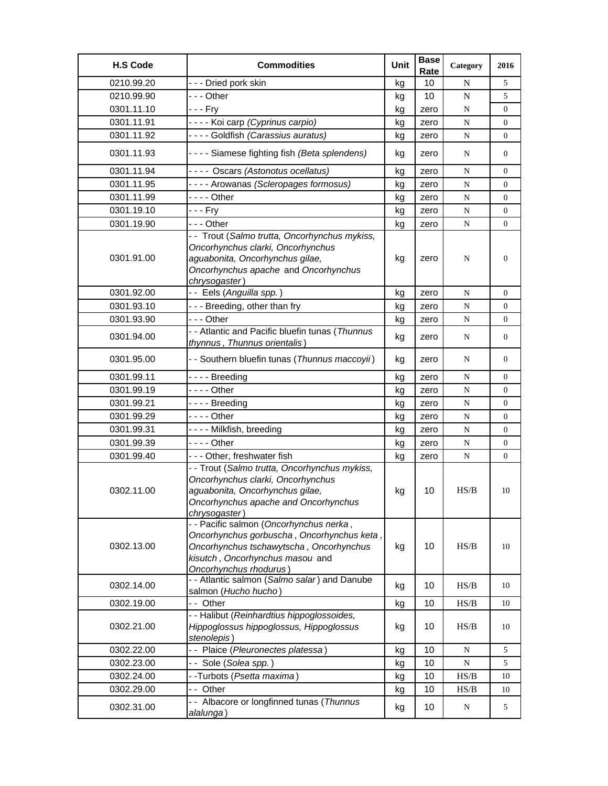| <b>H.S Code</b> | <b>Commodities</b>                                                                                                                                                                            | Unit | <b>Base</b><br>Rate | Category    | 2016             |
|-----------------|-----------------------------------------------------------------------------------------------------------------------------------------------------------------------------------------------|------|---------------------|-------------|------------------|
| 0210.99.20      | --- Dried pork skin                                                                                                                                                                           | kg   | 10                  | N           | 5                |
| 0210.99.90      | $- -$ Other                                                                                                                                                                                   | kg   | 10                  | $\mathbf N$ | 5                |
| 0301.11.10      | - - - Fry                                                                                                                                                                                     | kg   | zero                | N           | 0                |
| 0301.11.91      | ---- Koi carp (Cyprinus carpio)                                                                                                                                                               | kg   | zero                | ${\bf N}$   | 0                |
| 0301.11.92      | ---- Goldfish (Carassius auratus)                                                                                                                                                             | kg   | zero                | N           | $\overline{0}$   |
| 0301.11.93      | - - - - Siamese fighting fish (Beta splendens)                                                                                                                                                | kg   | zero                | N           | 0                |
| 0301.11.94      | ---- Oscars (Astonotus ocellatus)                                                                                                                                                             | kg   | zero                | N           | $\overline{0}$   |
| 0301.11.95      | ---- Arowanas (Scleropages formosus)                                                                                                                                                          | kg   | zero                | N           | 0                |
| 0301.11.99      | $--$ Other                                                                                                                                                                                    | kg   | zero                | N           | 0                |
| 0301.19.10      | - - - Fry                                                                                                                                                                                     | kg   | zero                | ${\bf N}$   | 0                |
| 0301.19.90      | --- Other                                                                                                                                                                                     | kg   | zero                | N           | $\boldsymbol{0}$ |
| 0301.91.00      | - - Trout (Salmo trutta, Oncorhynchus mykiss,<br>Oncorhynchus clarki, Oncorhynchus<br>aguabonita, Oncorhynchus gilae,<br>Oncorhynchus apache and Oncorhynchus<br>chrysogaster)                | kg   | zero                | N           | $\mathbf{0}$     |
| 0301.92.00      | -- Eels (Anguilla spp.)                                                                                                                                                                       | kg   | zero                | N           | $\overline{0}$   |
| 0301.93.10      | --- Breeding, other than fry                                                                                                                                                                  | kg   | zero                | ${\bf N}$   | 0                |
| 0301.93.90      | --- Other                                                                                                                                                                                     | kg   | zero                | N           | $\boldsymbol{0}$ |
| 0301.94.00      | - - Atlantic and Pacific bluefin tunas (Thunnus<br>thynnus, Thunnus orientalis)                                                                                                               | kg   | zero                | N           | 0                |
| 0301.95.00      | - - Southern bluefin tunas (Thunnus maccoyii)                                                                                                                                                 | kg   | zero                | N           | 0                |
| 0301.99.11      | ---- Breeding                                                                                                                                                                                 | kg   | zero                | N           | 0                |
| 0301.99.19      | $--$ Other                                                                                                                                                                                    | kg   | zero                | ${\bf N}$   | $\boldsymbol{0}$ |
| 0301.99.21      | - - - - Breeding                                                                                                                                                                              | kg   | zero                | N           | $\boldsymbol{0}$ |
| 0301.99.29      | - - - - Other                                                                                                                                                                                 | kq   | zero                | N           | 0                |
| 0301.99.31      | ---- Milkfish, breeding                                                                                                                                                                       | kg   | zero                | N           | 0                |
| 0301.99.39      | - - - - Other                                                                                                                                                                                 | kg   | zero                | ${\bf N}$   | 0                |
| 0301.99.40      | --- Other, freshwater fish                                                                                                                                                                    | kg   | zero                | N           | 0                |
| 0302.11.00      | - - Trout (Salmo trutta, Oncorhynchus mykiss,<br>Oncorhynchus clarki, Oncorhynchus<br>aguabonita, Oncorhynchus gilae,<br>Oncorhynchus apache and Oncorhynchus<br>chrysogaster)                | kg   | 10                  | HS/B        | 10               |
| 0302.13.00      | - - Pacific salmon (Oncorhynchus nerka,<br>Oncorhynchus gorbuscha, Oncorhynchus keta,<br>Oncorhynchus tschawytscha, Oncorhynchus<br>kisutch, Oncorhynchus masou and<br>Oncorhynchus rhodurus) | kg   | 10                  | HS/B        | 10               |
| 0302.14.00      | - - Atlantic salmon (Salmo salar) and Danube<br>salmon (Hucho hucho)                                                                                                                          | kg   | 10                  | HS/B        | 10               |
| 0302.19.00      | -- Other                                                                                                                                                                                      | kg   | 10                  | HS/B        | 10               |
| 0302.21.00      | - - Halibut (Reinhardtius hippoglossoides,<br>Hippoglossus hippoglossus, Hippoglossus<br>stenolepis)                                                                                          | kg   | 10                  | HS/B        | 10               |
| 0302.22.00      | -- Plaice (Pleuronectes platessa)                                                                                                                                                             | kg   | 10                  | N           | 5                |
| 0302.23.00      | - - Sole (Solea spp.)                                                                                                                                                                         | kg   | 10                  | ${\bf N}$   | 5                |
| 0302.24.00      | - -Turbots (Psetta maxima)                                                                                                                                                                    | kg   | 10                  | HS/B        | 10               |
| 0302.29.00      | -- Other                                                                                                                                                                                      | kg   | 10                  | HS/B        | 10               |
| 0302.31.00      | - - Albacore or longfinned tunas (Thunnus<br>alalunga)                                                                                                                                        | kg   | 10                  | ${\bf N}$   | 5                |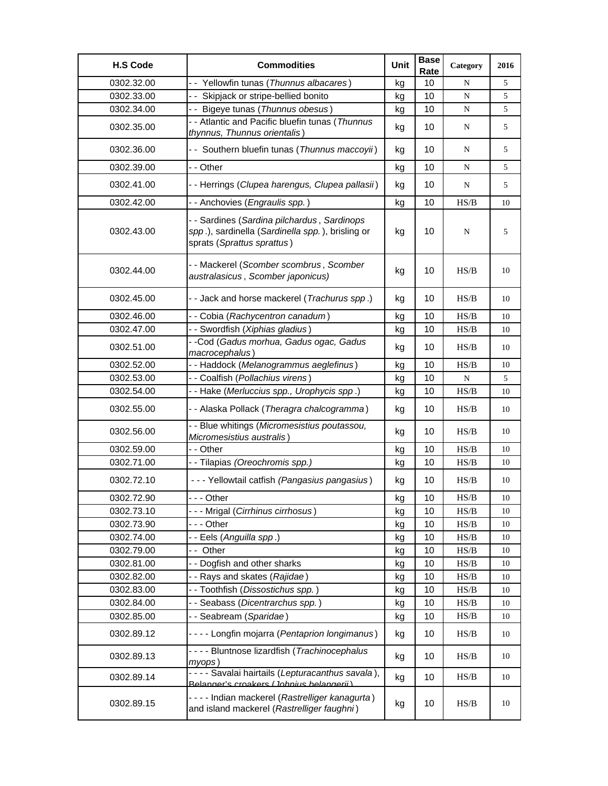| <b>H.S Code</b> | <b>Commodities</b>                                                                                                            | Unit | <b>Base</b><br>Rate | Category                                                                               | 2016 |
|-----------------|-------------------------------------------------------------------------------------------------------------------------------|------|---------------------|----------------------------------------------------------------------------------------|------|
| 0302.32.00      | - Yellowfin tunas (Thunnus albacares)                                                                                         | kg   | 10                  | N                                                                                      | 5    |
| 0302.33.00      | - - Skipjack or stripe-bellied bonito                                                                                         | kg   | 10                  | ${\bf N}$                                                                              | 5    |
| 0302.34.00      | - - Bigeye tunas (Thunnus obesus)                                                                                             | kg   | 10                  | ${\bf N}$                                                                              | 5    |
| 0302.35.00      | - - Atlantic and Pacific bluefin tunas (Thunnus<br>thynnus, Thunnus orientalis)                                               | kg   | 10                  | N                                                                                      | 5    |
| 0302.36.00      | - - Southern bluefin tunas (Thunnus maccoyii)                                                                                 | kg   | 10                  | N                                                                                      | 5    |
| 0302.39.00      | - - Other                                                                                                                     | kg   | 10                  | ${\bf N}$                                                                              | 5    |
| 0302.41.00      | - - Herrings (Clupea harengus, Clupea pallasii)                                                                               | kg   | 10                  | N                                                                                      | 5    |
| 0302.42.00      | - - Anchovies (Engraulis spp.)                                                                                                | kg   | 10                  | HS/B                                                                                   | 10   |
| 0302.43.00      | - - Sardines (Sardina pilchardus, Sardinops<br>spp.), sardinella (Sardinella spp.), brisling or<br>sprats (Sprattus sprattus) | kg   | 10                  | ${\bf N}$                                                                              | 5    |
| 0302.44.00      | -- Mackerel (Scomber scombrus, Scomber<br>australasicus, Scomber japonicus)                                                   | kg   | 10                  | HS/B                                                                                   | 10   |
| 0302.45.00      | - - Jack and horse mackerel (Trachurus spp.)                                                                                  | kg   | 10                  | HS/B                                                                                   | 10   |
| 0302.46.00      | - - Cobia (Rachycentron canadum)                                                                                              | kg   | 10                  | HS/B                                                                                   | 10   |
| 0302.47.00      | - - Swordfish (Xiphias gladius)                                                                                               | kg   | 10                  | HS/B                                                                                   | 10   |
| 0302.51.00      | - -Cod (Gadus morhua, Gadus ogac, Gadus<br>macrocephalus)                                                                     | kg   | 10                  | HS/B                                                                                   | 10   |
| 0302.52.00      | - - Haddock (Melanogrammus aeglefinus)                                                                                        | kg   | 10                  | HS/B                                                                                   | 10   |
| 0302.53.00      | - - Coalfish (Pollachius virens)                                                                                              | kg   | 10                  | ${\bf N}$                                                                              | 5    |
| 0302.54.00      | - - Hake (Merluccius spp., Urophycis spp.)                                                                                    | kg   | 10                  | HS/B                                                                                   | 10   |
| 0302.55.00      | - - Alaska Pollack (Theragra chalcogramma)                                                                                    | kg   | 10                  | HS/B                                                                                   | 10   |
| 0302.56.00      | - - Blue whitings (Micromesistius poutassou,<br>Micromesistius australis)                                                     | kg   | 10                  | HS/B                                                                                   | 10   |
| 0302.59.00      | - - Other                                                                                                                     | kg   | 10                  | HS/B                                                                                   | 10   |
| 0302.71.00      | - - Tilapias (Oreochromis spp.)                                                                                               | kg   | 10                  | HS/B                                                                                   | 10   |
| 0302.72.10      | - - - Yellowtail catfish (Pangasius pangasius)                                                                                | kg   | 10                  | HS/B                                                                                   | 10   |
| 0302.72.90      | - - Other                                                                                                                     | kg   | 10                  | $\ensuremath{\mathbf{H}}\ensuremath{\mathbf{S}}\xspace/\ensuremath{\mathbf{B}}\xspace$ | 10   |
| 0302.73.10      | --- Mrigal (Cirrhinus cirrhosus)                                                                                              | kg   | 10                  | HS/B                                                                                   | 10   |
| 0302.73.90      | - - - Other                                                                                                                   | kg   | 10                  | HS/B                                                                                   | 10   |
| 0302.74.00      | - - Eels (Anguilla spp.)                                                                                                      | kg   | 10                  | HS/B                                                                                   | 10   |
| 0302.79.00      | -- Other                                                                                                                      | kg   | 10                  | HS/B                                                                                   | 10   |
| 0302.81.00      | - - Dogfish and other sharks                                                                                                  | kg   | 10                  | HS/B                                                                                   | 10   |
| 0302.82.00      | - - Rays and skates (Rajidae)                                                                                                 | kg   | 10                  | HS/B                                                                                   | 10   |
| 0302.83.00      | -- Toothfish (Dissostichus spp.)                                                                                              | kg   | 10                  | HS/B                                                                                   | 10   |
| 0302.84.00      | - - Seabass (Dicentrarchus spp.)                                                                                              | kg   | 10                  | HS/B                                                                                   | 10   |
| 0302.85.00      | -- Seabream (Sparidae)                                                                                                        | kg   | 10                  | HS/B                                                                                   | 10   |
| 0302.89.12      | - - - - Longfin mojarra (Pentaprion longimanus)                                                                               | kg   | 10                  | HS/B                                                                                   | 10   |
| 0302.89.13      | - - - - Bluntnose lizardfish (Trachinocephalus<br>myops)                                                                      | kg   | 10                  | HS/B                                                                                   | 10   |
| 0302.89.14      | - - - - Savalai hairtails (Lepturacanthus savala),<br>Relanger's croakers (Johnius helangerii)                                | kg   | 10                  | HS/B                                                                                   | 10   |
| 0302.89.15      | - - - - Indian mackerel (Rastrelliger kanagurta)<br>and island mackerel (Rastrelliger faughni)                                | kg   | 10                  | HS/B                                                                                   | 10   |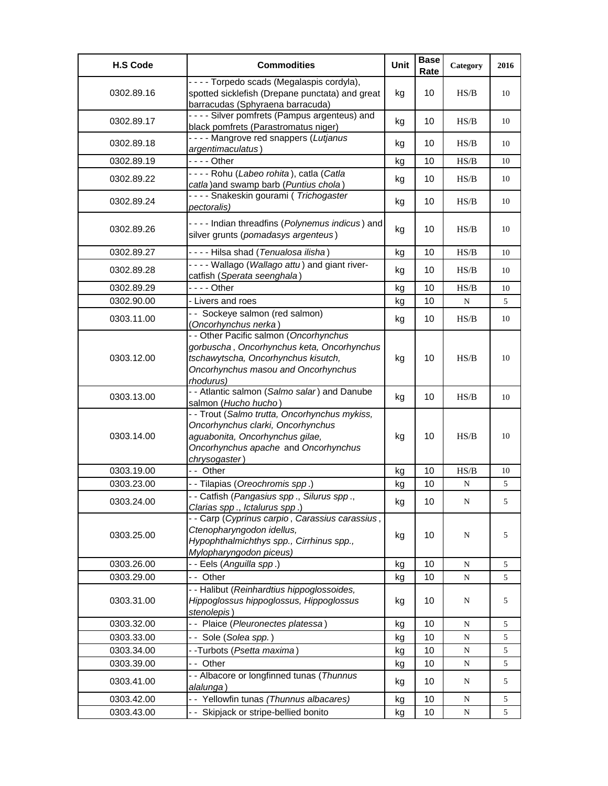| <b>H.S Code</b> | <b>Commodities</b>                                                                                                                                                              | Unit | <b>Base</b><br>Rate | Category                                                                               | 2016 |
|-----------------|---------------------------------------------------------------------------------------------------------------------------------------------------------------------------------|------|---------------------|----------------------------------------------------------------------------------------|------|
| 0302.89.16      | - - - - Torpedo scads (Megalaspis cordyla),<br>spotted sicklefish (Drepane punctata) and great<br>barracudas (Sphyraena barracuda)                                              | kg   | 10                  | HS/B                                                                                   | 10   |
| 0302.89.17      | - - - - Silver pomfrets (Pampus argenteus) and<br>black pomfrets (Parastromatus niger)                                                                                          | kg   | 10                  | HS/B                                                                                   | 10   |
| 0302.89.18      | ---- Mangrove red snappers (Lutjanus<br>argentimaculatus)                                                                                                                       | kg   | 10                  | HS/B                                                                                   | 10   |
| 0302.89.19      | $--$ Other                                                                                                                                                                      | kg   | 10                  | $\ensuremath{\mathbf{H}}\ensuremath{\mathbf{S}}\xspace/\ensuremath{\mathbf{B}}\xspace$ | 10   |
| 0302.89.22      | ---- Rohu (Labeo rohita), catla (Catla<br>catla) and swamp barb (Puntius chola)                                                                                                 | kg   | 10                  | HS/B                                                                                   | 10   |
| 0302.89.24      | - - - - Snakeskin gourami (Trichogaster<br>pectoralis)                                                                                                                          | kg   | 10                  | HS/B                                                                                   | 10   |
| 0302.89.26      | - - - - Indian threadfins (Polynemus indicus) and<br>silver grunts (pomadasys argenteus)                                                                                        | kg   | 10                  | H S/B                                                                                  | 10   |
| 0302.89.27      | ---- Hilsa shad (Tenualosa ilisha)                                                                                                                                              | kg   | 10                  | HS/B                                                                                   | 10   |
| 0302.89.28      | - - - - Wallago (Wallago attu) and giant river-<br>catfish (Sperata seenghala)                                                                                                  | kg   | 10                  | HS/B                                                                                   | 10   |
| 0302.89.29      | $--$ Other                                                                                                                                                                      | kg   | 10                  | HS/B                                                                                   | 10   |
| 0302.90.00      | - Livers and roes                                                                                                                                                               | kg   | 10                  | ${\bf N}$                                                                              | 5    |
| 0303.11.00      | - - Sockeye salmon (red salmon)<br>(Oncorhynchus nerka)                                                                                                                         | kg   | 10                  | HS/B                                                                                   | 10   |
| 0303.12.00      | - - Other Pacific salmon (Oncorhynchus<br>gorbuscha, Oncorhynchus keta, Oncorhynchus<br>tschawytscha, Oncorhynchus kisutch,<br>Oncorhynchus masou and Oncorhynchus<br>rhodurus) | kg   | 10                  | HS/B                                                                                   | 10   |
| 0303.13.00      | - - Atlantic salmon (Salmo salar) and Danube<br>salmon (Hucho hucho)                                                                                                            | kg   | 10                  | HS/B                                                                                   | 10   |
| 0303.14.00      | - - Trout (Salmo trutta, Oncorhynchus mykiss,<br>Oncorhynchus clarki, Oncorhynchus<br>aguabonita, Oncorhynchus gilae,<br>Oncorhynchus apache and Oncorhynchus<br>chrysogaster)  | kg   | 10                  | HS/B                                                                                   | 10   |
| 0303.19.00      | -- Other                                                                                                                                                                        | kg   | 10                  | $\ensuremath{\mathbf{H}}\ensuremath{\mathbf{S}}\xspace/\ensuremath{\mathbf{B}}\xspace$ | 10   |
| 0303.23.00      | - - Tilapias (Oreochromis spp.)                                                                                                                                                 | kg   | 10                  | N                                                                                      | 5    |
| 0303.24.00      | - Catfish (Pangasius spp., Silurus spp.,<br>Clarias spp., Ictalurus spp.)                                                                                                       | kg   | 10                  | N                                                                                      | 5    |
| 0303.25.00      | - - Carp (Cyprinus carpio, Carassius carassius,<br>Ctenopharyngodon idellus,<br>Hypophthalmichthys spp., Cirrhinus spp.,<br>Mylopharyngodon piceus)                             | kg   | 10                  | ${\bf N}$                                                                              | 5    |
| 0303.26.00      | - - Eels (Anguilla spp.)                                                                                                                                                        | kg   | 10                  | ${\bf N}$                                                                              | 5    |
| 0303.29.00      | -- Other                                                                                                                                                                        | kg   | 10                  | ${\bf N}$                                                                              | 5    |
| 0303.31.00      | - - Halibut (Reinhardtius hippoglossoides,<br>Hippoglossus hippoglossus, Hippoglossus<br>stenolepis)                                                                            | kg   | 10                  | ${\bf N}$                                                                              | 5    |
| 0303.32.00      | - - Plaice (Pleuronectes platessa)                                                                                                                                              | kg   | 10                  | N                                                                                      | 5    |
| 0303.33.00      | - - Sole (Solea spp.)                                                                                                                                                           | kg   | 10                  | ${\bf N}$                                                                              | 5    |
| 0303.34.00      | - -Turbots (Psetta maxima)                                                                                                                                                      | kg   | 10                  | ${\bf N}$                                                                              | 5    |
| 0303.39.00      | -- Other                                                                                                                                                                        | kg   | 10                  | N                                                                                      | 5    |
| 0303.41.00      | - - Albacore or longfinned tunas (Thunnus<br>alalunga)                                                                                                                          | kg   | 10                  | N                                                                                      | 5    |
| 0303.42.00      | - - Yellowfin tunas (Thunnus albacares)                                                                                                                                         | kg   | 10                  | N                                                                                      | 5    |
| 0303.43.00      | - - Skipjack or stripe-bellied bonito                                                                                                                                           | kg   | 10                  | ${\bf N}$                                                                              | 5    |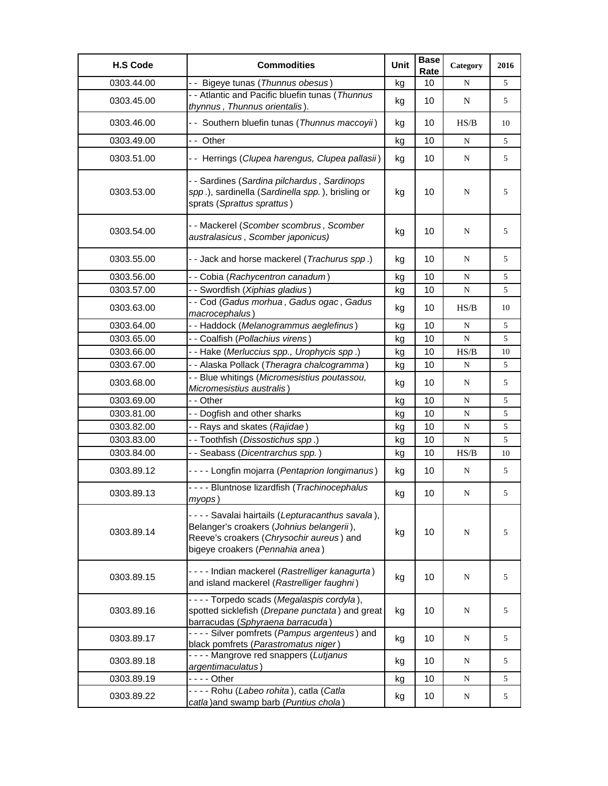| <b>H.S Code</b> | <b>Commodities</b>                                                                                                                                                             | Unit | <b>Base</b><br>Rate | Category    | 2016 |
|-----------------|--------------------------------------------------------------------------------------------------------------------------------------------------------------------------------|------|---------------------|-------------|------|
| 0303.44.00      | - - Bigeye tunas (Thunnus obesus)                                                                                                                                              | kg   | 10                  | N           | 5    |
| 0303.45.00      | - - Atlantic and Pacific bluefin tunas (Thunnus<br>thynnus, Thunnus orientalis).                                                                                               | kg   | 10                  | $\mathbf N$ | 5    |
| 0303.46.00      | - - Southern bluefin tunas (Thunnus maccoyii)                                                                                                                                  | kg   | 10                  | HS/B        | 10   |
| 0303.49.00      | - - Other                                                                                                                                                                      | kg   | 10                  | ${\bf N}$   | 5    |
| 0303.51.00      | - - Herrings (Clupea harengus, Clupea pallasii)                                                                                                                                | kg   | 10                  | ${\bf N}$   | 5    |
| 0303.53.00      | - - Sardines (Sardina pilchardus, Sardinops<br>spp.), sardinella (Sardinella spp.), brisling or<br>sprats (Sprattus sprattus)                                                  | kg   | 10                  | N           | 5    |
| 0303.54.00      | -- Mackerel (Scomber scombrus, Scomber<br>australasicus, Scomber japonicus)                                                                                                    | kg   | 10                  | N           | 5    |
| 0303.55.00      | - - Jack and horse mackerel (Trachurus spp.)                                                                                                                                   | kg   | 10                  | N           | 5    |
| 0303.56.00      | - - Cobia (Rachycentron canadum)                                                                                                                                               | kg   | 10                  | ${\bf N}$   | 5    |
| 0303.57.00      | - - Swordfish (Xiphias gladius)                                                                                                                                                | kg   | 10                  | ${\bf N}$   | 5    |
| 0303.63.00      | - - Cod (Gadus morhua, Gadus ogac, Gadus<br>macrocephalus)                                                                                                                     | kg   | 10                  | HS/B        | 10   |
| 0303.64.00      | - - Haddock (Melanogrammus aeglefinus)                                                                                                                                         | kg   | 10                  | ${\bf N}$   | 5    |
| 0303.65.00      | - - Coalfish (Pollachius virens)                                                                                                                                               | kg   | 10                  | ${\bf N}$   | 5    |
| 0303.66.00      | - - Hake (Merluccius spp., Urophycis spp.)                                                                                                                                     | kg   | 10                  | HS/B        | 10   |
| 0303.67.00      | - - Alaska Pollack (Theragra chalcogramma)                                                                                                                                     | kg   | 10                  | N           | 5    |
| 0303.68.00      | - - Blue whitings (Micromesistius poutassou,<br>Micromesistius australis)                                                                                                      | kg   | 10                  | N           | 5    |
| 0303.69.00      | - - Other                                                                                                                                                                      | kg   | 10                  | ${\bf N}$   | 5    |
| 0303.81.00      | - - Dogfish and other sharks                                                                                                                                                   | kg   | 10                  | ${\bf N}$   | 5    |
| 0303.82.00      | - - Rays and skates (Rajidae)                                                                                                                                                  | kg   | 10                  | $\mathbf N$ | 5    |
| 0303.83.00      | - - Toothfish (Dissostichus spp.)                                                                                                                                              | kg   | 10                  | ${\bf N}$   | 5    |
| 0303.84.00      | - - Seabass (Dicentrarchus spp.)                                                                                                                                               | kg   | 10                  | HS/B        | 10   |
| 0303.89.12      | - - - - Longfin mojarra (Pentaprion longimanus)                                                                                                                                | kg   | 10                  | ${\bf N}$   | 5    |
| 0303.89.13      | - - - - Bluntnose lizardfish (Trachinocephalus<br>myops)                                                                                                                       | kg   | 10                  | ${\bf N}$   | 5    |
| 0303.89.14      | - - - - Savalai hairtails (Lepturacanthus savala),<br>Belanger's croakers (Johnius belangerii),<br>Reeve's croakers (Chrysochir aureus) and<br>bigeye croakers (Pennahia anea) | kg   | 10                  | N           | 5    |
| 0303.89.15      | - - - - Indian mackerel (Rastrelliger kanagurta)<br>and island mackerel (Rastrelliger faughni)                                                                                 | kg   | 10                  | ${\bf N}$   | 5    |
| 0303.89.16      | ---- Torpedo scads (Megalaspis cordyla),<br>spotted sicklefish (Drepane punctata) and great<br>barracudas (Sphyraena barracuda)                                                | kg   | 10                  | N           | 5    |
| 0303.89.17      | - - - - Silver pomfrets (Pampus argenteus) and<br>black pomfrets (Parastromatus niger)                                                                                         | kg   | 10                  | N           | 5    |
| 0303.89.18      | ---- Mangrove red snappers (Lutjanus<br>argentimaculatus)                                                                                                                      | kg   | 10                  | N           | 5    |
| 0303.89.19      |                                                                                                                                                                                | kg   | 10                  | N           | 5    |
| 0303.89.22      | ---- Rohu (Labeo rohita), catla (Catla<br>catla) and swamp barb (Puntius chola)                                                                                                | kg   | 10                  | N           | 5    |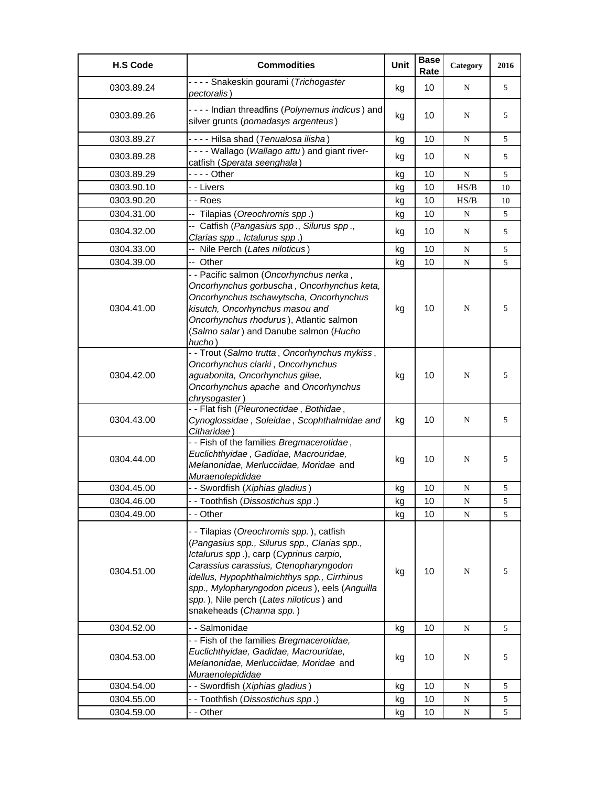| <b>H.S Code</b> | <b>Commodities</b>                                                                                                                                                                                                                                                                                                                                  | Unit | <b>Base</b><br>Rate | Category    | 2016 |
|-----------------|-----------------------------------------------------------------------------------------------------------------------------------------------------------------------------------------------------------------------------------------------------------------------------------------------------------------------------------------------------|------|---------------------|-------------|------|
| 0303.89.24      | - - - - Snakeskin gourami (Trichogaster<br><i>pectoralis</i> )                                                                                                                                                                                                                                                                                      | kg   | 10                  | N           | 5    |
| 0303.89.26      | - - - - Indian threadfins (Polynemus indicus) and<br>silver grunts (pomadasys argenteus)                                                                                                                                                                                                                                                            | kg   | 10                  | N           | 5    |
| 0303.89.27      | ---- Hilsa shad (Tenualosa ilisha)                                                                                                                                                                                                                                                                                                                  | kg   | 10                  | N           | 5    |
| 0303.89.28      | - - - - Wallago (Wallago attu) and giant river-<br>catfish (Sperata seenghala)                                                                                                                                                                                                                                                                      | kg   | 10                  | N           | 5    |
| 0303.89.29      | $--$ Other                                                                                                                                                                                                                                                                                                                                          | kg   | 10                  | ${\bf N}$   | 5    |
| 0303.90.10      | - - Livers                                                                                                                                                                                                                                                                                                                                          | kg   | 10                  | HS/B        | 10   |
| 0303.90.20      | - - Roes                                                                                                                                                                                                                                                                                                                                            | kg   | 10                  | HS/B        | 10   |
| 0304.31.00      | -- Tilapias (Oreochromis spp.)                                                                                                                                                                                                                                                                                                                      | kg   | 10                  | $\mathbf N$ | 5    |
| 0304.32.00      | -- Catfish (Pangasius spp., Silurus spp.,<br>Clarias spp., Ictalurus spp.)                                                                                                                                                                                                                                                                          | kg   | 10 <sup>°</sup>     | N           | 5    |
| 0304.33.00      | -- Nile Perch (Lates niloticus)                                                                                                                                                                                                                                                                                                                     | kg   | 10                  | N           | 5    |
| 0304.39.00      | -- Other                                                                                                                                                                                                                                                                                                                                            | kg   | 10                  | ${\bf N}$   | 5    |
| 0304.41.00      | - - Pacific salmon (Oncorhynchus nerka,<br>Oncorhynchus gorbuscha, Oncorhynchus keta,<br>Oncorhynchus tschawytscha, Oncorhynchus<br>kisutch, Oncorhynchus masou and<br>Oncorhynchus rhodurus), Atlantic salmon<br>(Salmo salar) and Danube salmon (Hucho<br>hucho)                                                                                  | kg   | 10                  | N           | 5    |
| 0304.42.00      | - - Trout (Salmo trutta, Oncorhynchus mykiss,<br>Oncorhynchus clarki, Oncorhynchus<br>aguabonita, Oncorhynchus gilae,<br>Oncorhynchus apache and Oncorhynchus<br>chrysogaster)                                                                                                                                                                      | kg   | 10                  | N           | 5    |
| 0304.43.00      | - - Flat fish (Pleuronectidae, Bothidae,<br>Cynoglossidae, Soleidae, Scophthalmidae and<br>Citharidae)                                                                                                                                                                                                                                              | kg   | 10                  | N           | 5    |
| 0304.44.00      | - - Fish of the families Bregmacerotidae,<br>Euclichthyidae, Gadidae, Macrouridae,<br>Melanonidae, Merlucciidae, Moridae and<br>Muraenolepididae                                                                                                                                                                                                    | kg   | 10                  | N           | 5    |
| 0304.45.00      | - - Swordfish (Xiphias gladius)                                                                                                                                                                                                                                                                                                                     | kg   | 10                  | N           | 5    |
| 0304.46.00      | - - Toothfish (Dissostichus spp.)                                                                                                                                                                                                                                                                                                                   | kg   | 10                  | N           | 5    |
| 0304.49.00      | - - Other                                                                                                                                                                                                                                                                                                                                           | kg   | 10                  | N           | 5    |
| 0304.51.00      | - - Tilapias (Oreochromis spp.), catfish<br>(Pangasius spp., Silurus spp., Clarias spp.,<br>Ictalurus spp.), carp (Cyprinus carpio,<br>Carassius carassius, Ctenopharyngodon<br>idellus, Hypophthalmichthys spp., Cirrhinus<br>spp., Mylopharyngodon piceus), eels (Anguilla<br>spp.), Nile perch (Lates niloticus) and<br>snakeheads (Channa spp.) | kg   | 10                  | N           | 5    |
| 0304.52.00      | - - Salmonidae                                                                                                                                                                                                                                                                                                                                      | kg   | 10                  | ${\bf N}$   | 5    |
| 0304.53.00      | - - Fish of the families Bregmacerotidae,<br>Euclichthyidae, Gadidae, Macrouridae,<br>Melanonidae, Merlucciidae, Moridae and<br>Muraenolepididae                                                                                                                                                                                                    | kg   | 10                  | N           | 5    |
| 0304.54.00      | - - Swordfish (Xiphias gladius)                                                                                                                                                                                                                                                                                                                     | kg   | 10                  | N           | 5    |
| 0304.55.00      | -- Toothfish (Dissostichus spp.)                                                                                                                                                                                                                                                                                                                    | kg   | 10                  | N           | 5    |
| 0304.59.00      | - - Other                                                                                                                                                                                                                                                                                                                                           | kg   | 10                  | ${\bf N}$   | 5    |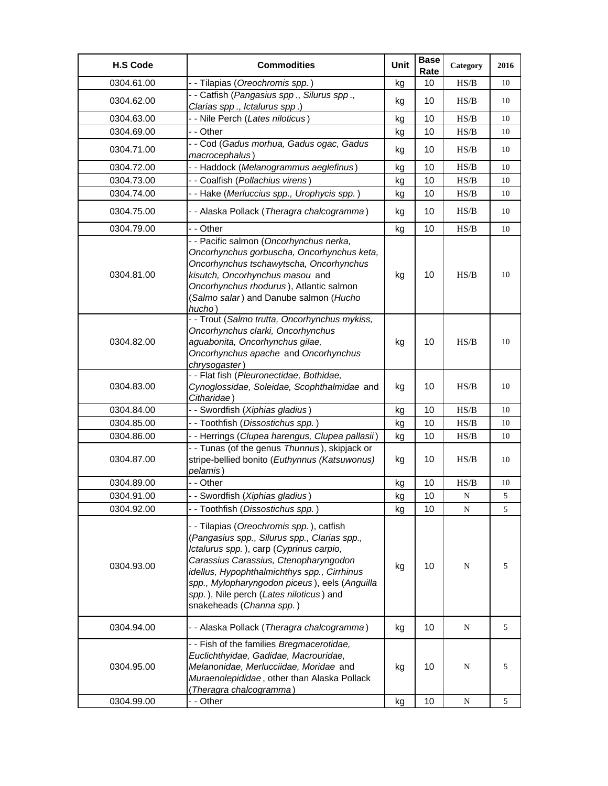| <b>H.S Code</b> | <b>Commodities</b>                                                                                                                                                                                                                                                                                                                                  | Unit | <b>Base</b><br>Rate | Category  | 2016 |
|-----------------|-----------------------------------------------------------------------------------------------------------------------------------------------------------------------------------------------------------------------------------------------------------------------------------------------------------------------------------------------------|------|---------------------|-----------|------|
| 0304.61.00      | - - Tilapias (Oreochromis spp.)                                                                                                                                                                                                                                                                                                                     | kg   | 10                  | HS/B      | 10   |
| 0304.62.00      | - - Catfish (Pangasius spp., Silurus spp.,                                                                                                                                                                                                                                                                                                          | kg   | 10                  | HS/B      | 10   |
|                 | Clarias spp., Ictalurus spp.)                                                                                                                                                                                                                                                                                                                       |      |                     |           |      |
| 0304.63.00      | - - Nile Perch (Lates niloticus)                                                                                                                                                                                                                                                                                                                    | kg   | 10                  | HS/B      | 10   |
| 0304.69.00      | - - Other                                                                                                                                                                                                                                                                                                                                           | kg   | 10                  | HS/B      | 10   |
| 0304.71.00      | - - Cod (Gadus morhua, Gadus ogac, Gadus<br>macrocephalus)                                                                                                                                                                                                                                                                                          | kg   | 10                  | HS/B      | 10   |
| 0304.72.00      | - - Haddock (Melanogrammus aeglefinus)                                                                                                                                                                                                                                                                                                              | kg   | 10                  | HS/B      | 10   |
| 0304.73.00      | - - Coalfish (Pollachius virens)                                                                                                                                                                                                                                                                                                                    | kg   | 10                  | HS/B      | 10   |
| 0304.74.00      | -- Hake (Merluccius spp., Urophycis spp.)                                                                                                                                                                                                                                                                                                           | kg   | 10                  | HS/B      | 10   |
| 0304.75.00      | - - Alaska Pollack (Theragra chalcogramma)                                                                                                                                                                                                                                                                                                          | kg   | 10                  | HS/B      | 10   |
| 0304.79.00      | - - Other                                                                                                                                                                                                                                                                                                                                           | kg   | 10                  | HS/B      | 10   |
| 0304.81.00      | - - Pacific salmon (Oncorhynchus nerka,<br>Oncorhynchus gorbuscha, Oncorhynchus keta,<br>Oncorhynchus tschawytscha, Oncorhynchus<br>kisutch, Oncorhynchus masou and<br>Oncorhynchus rhodurus), Atlantic salmon<br>(Salmo salar) and Danube salmon (Hucho<br>hucho)                                                                                  | kg   | 10                  | HS/B      | 10   |
| 0304.82.00      | - - Trout (Salmo trutta, Oncorhynchus mykiss,<br>Oncorhynchus clarki, Oncorhynchus<br>aguabonita, Oncorhynchus gilae,<br>Oncorhynchus apache and Oncorhynchus<br>chrysogaster)                                                                                                                                                                      | kg   | 10                  | HS/B      | 10   |
| 0304.83.00      | - - Flat fish (Pleuronectidae, Bothidae,<br>Cynoglossidae, Soleidae, Scophthalmidae and<br>Citharidae)                                                                                                                                                                                                                                              | kg   | 10                  | HS/B      | 10   |
| 0304.84.00      | - - Swordfish (Xiphias gladius)                                                                                                                                                                                                                                                                                                                     | kg   | 10                  | HS/B      | 10   |
| 0304.85.00      | -- Toothfish (Dissostichus spp.)                                                                                                                                                                                                                                                                                                                    | kg   | 10                  | HS/B      | 10   |
| 0304.86.00      | - - Herrings (Clupea harengus, Clupea pallasii)                                                                                                                                                                                                                                                                                                     | kg   | 10                  | HS/B      | 10   |
| 0304.87.00      | - - Tunas (of the genus Thunnus), skipjack or<br>stripe-bellied bonito (Euthynnus (Katsuwonus)<br>pelamis)                                                                                                                                                                                                                                          | kg   | 10                  | HS/B      | 10   |
| 0304.89.00      | - - Other                                                                                                                                                                                                                                                                                                                                           | kg   | 10                  | HS/B      | 10   |
| 0304.91.00      | - - Swordfish (Xiphias gladius)                                                                                                                                                                                                                                                                                                                     | kg   | 10                  | N         | 5    |
| 0304.92.00      | - - Toothfish (Dissostichus spp.)                                                                                                                                                                                                                                                                                                                   | kg   | 10                  | ${\bf N}$ | 5    |
| 0304.93.00      | - - Tilapias (Oreochromis spp.), catfish<br>(Pangasius spp., Silurus spp., Clarias spp.,<br>Ictalurus spp.), carp (Cyprinus carpio,<br>Carassius Carassius, Ctenopharyngodon<br>idellus, Hypophthalmichthys spp., Cirrhinus<br>spp., Mylopharyngodon piceus), eels (Anguilla<br>spp.), Nile perch (Lates niloticus) and<br>snakeheads (Channa spp.) | kg   | 10                  | N         | 5    |
| 0304.94.00      | - - Alaska Pollack (Theragra chalcogramma)                                                                                                                                                                                                                                                                                                          | kg   | 10                  | N         | 5    |
| 0304.95.00      | - - Fish of the families Bregmacerotidae,<br>Euclichthyidae, Gadidae, Macrouridae,<br>Melanonidae, Merlucciidae, Moridae and<br>Muraenolepididae, other than Alaska Pollack<br>(Theragra chalcogramma)                                                                                                                                              | kg   | 10                  | N         | 5    |
| 0304.99.00      | - - Other                                                                                                                                                                                                                                                                                                                                           | kg   | 10                  | ${\bf N}$ | 5    |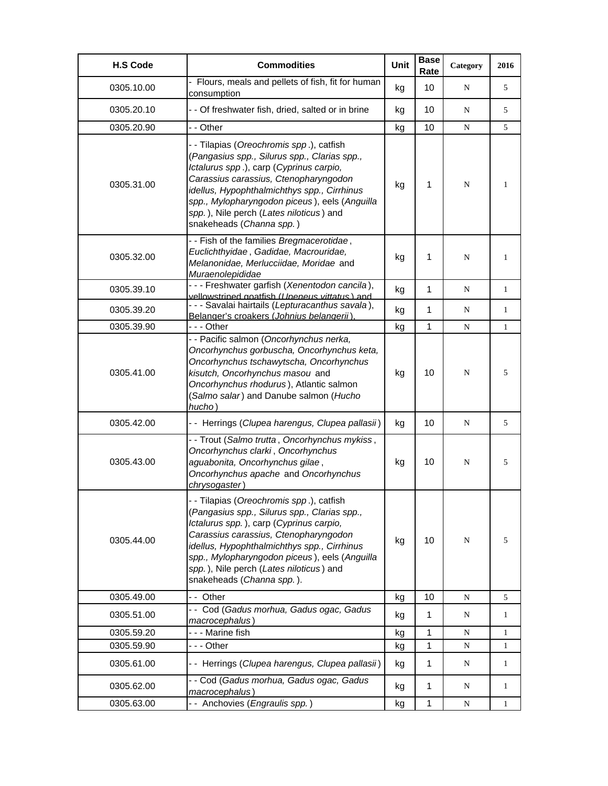| <b>H.S Code</b> | <b>Commodities</b>                                                                                                                                                                                                                                                                                                                                   | <b>Unit</b> | <b>Base</b><br>Rate | Category  | 2016         |
|-----------------|------------------------------------------------------------------------------------------------------------------------------------------------------------------------------------------------------------------------------------------------------------------------------------------------------------------------------------------------------|-------------|---------------------|-----------|--------------|
| 0305.10.00      | Flours, meals and pellets of fish, fit for human<br>consumption                                                                                                                                                                                                                                                                                      | kg          | 10                  | N         | 5            |
| 0305.20.10      | - - Of freshwater fish, dried, salted or in brine                                                                                                                                                                                                                                                                                                    | kg          | 10                  | N         | 5            |
| 0305.20.90      | - - Other                                                                                                                                                                                                                                                                                                                                            | kg          | 10                  | N         | 5            |
| 0305.31.00      | - - Tilapias (Oreochromis spp.), catfish<br>(Pangasius spp., Silurus spp., Clarias spp.,<br>Ictalurus spp.), carp (Cyprinus carpio,<br>Carassius carassius, Ctenopharyngodon<br>idellus, Hypophthalmichthys spp., Cirrhinus<br>spp., Mylopharyngodon piceus), eels (Anguilla<br>spp.), Nile perch (Lates niloticus) and<br>snakeheads (Channa spp.)  | kg          | 1                   | N         | 1            |
| 0305.32.00      | - - Fish of the families Bregmacerotidae,<br>Euclichthyidae, Gadidae, Macrouridae,<br>Melanonidae, Merlucciidae, Moridae and<br>Muraenolepididae                                                                                                                                                                                                     | kg          | 1                   | N         | 1            |
| 0305.39.10      | - - - Freshwater garfish (Xenentodon cancila),<br>vellowstriped goatfish (Upeneus vittatus) and                                                                                                                                                                                                                                                      | kg          | 1                   | N         | $\mathbf{1}$ |
| 0305.39.20      | - - - Savalai hairtails (Lepturacanthus savala),<br>Belanger's croakers (Johnius belangerii)                                                                                                                                                                                                                                                         | kg          | 1                   | N         | 1            |
| 0305.39.90      | - - - Other                                                                                                                                                                                                                                                                                                                                          | kg          | 1                   | N         | 1            |
| 0305.41.00      | - - Pacific salmon (Oncorhynchus nerka,<br>Oncorhynchus gorbuscha, Oncorhynchus keta,<br>Oncorhynchus tschawytscha, Oncorhynchus<br>kisutch, Oncorhynchus masou and<br>Oncorhynchus rhodurus), Atlantic salmon<br>(Salmo salar) and Danube salmon (Hucho<br>hucho)                                                                                   | kg          | 10                  | N         | 5            |
| 0305.42.00      | - - Herrings (Clupea harengus, Clupea pallasii)                                                                                                                                                                                                                                                                                                      | kg          | 10                  | N         | 5            |
| 0305.43.00      | - - Trout (Salmo trutta, Oncorhynchus mykiss,<br>Oncorhynchus clarki, Oncorhynchus<br>aguabonita, Oncorhynchus gilae,<br>Oncorhynchus apache and Oncorhynchus<br>chrysogaster)                                                                                                                                                                       | kg          | 10                  | N         | 5            |
| 0305.44.00      | - - Tilapias (Oreochromis spp.), catfish<br>(Pangasius spp., Silurus spp., Clarias spp.,<br>Ictalurus spp.), carp (Cyprinus carpio,<br>Carassius carassius, Ctenopharyngodon<br>idellus, Hypophthalmichthys spp., Cirrhinus<br>spp., Mylopharyngodon piceus), eels (Anguilla<br>spp.), Nile perch (Lates niloticus) and<br>snakeheads (Channa spp.). | kg          | 10                  | N         | 5            |
| 0305.49.00      | -- Other                                                                                                                                                                                                                                                                                                                                             | kg          | 10                  | N         | 5            |
| 0305.51.00      | - - Cod (Gadus morhua, Gadus ogac, Gadus<br>macrocephalus)                                                                                                                                                                                                                                                                                           | kg          | 1                   | N         | 1            |
| 0305.59.20      | - - - Marine fish                                                                                                                                                                                                                                                                                                                                    | kg          | 1                   | N         | 1            |
| 0305.59.90      | --- Other                                                                                                                                                                                                                                                                                                                                            | kg          | $\mathbf{1}$        | N         | 1            |
| 0305.61.00      | - - Herrings (Clupea harengus, Clupea pallasii)                                                                                                                                                                                                                                                                                                      | kg          | $\mathbf{1}$        | N         | 1            |
| 0305.62.00      | - - Cod (Gadus morhua, Gadus ogac, Gadus<br>macrocephalus)                                                                                                                                                                                                                                                                                           | kg          | $\mathbf{1}$        | N         | 1            |
| 0305.63.00      | -- Anchovies (Engraulis spp.)                                                                                                                                                                                                                                                                                                                        | kg          | $\mathbf{1}$        | ${\bf N}$ | 1            |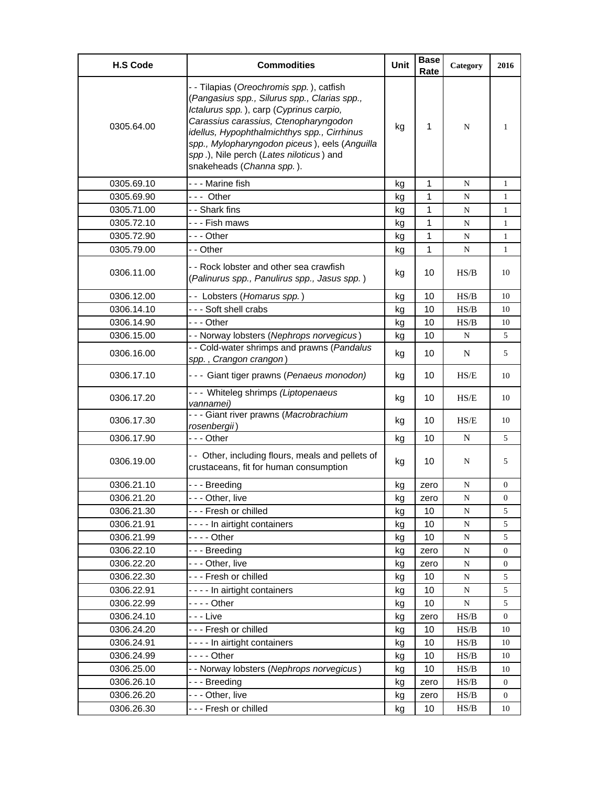| <b>H.S Code</b> | <b>Commodities</b>                                                                                                                                                                                                                                                                                                                                   | Unit | <b>Base</b><br>Rate | Category                                                                               | 2016             |
|-----------------|------------------------------------------------------------------------------------------------------------------------------------------------------------------------------------------------------------------------------------------------------------------------------------------------------------------------------------------------------|------|---------------------|----------------------------------------------------------------------------------------|------------------|
| 0305.64.00      | - - Tilapias (Oreochromis spp.), catfish<br>(Pangasius spp., Silurus spp., Clarias spp.,<br>Ictalurus spp.), carp (Cyprinus carpio,<br>Carassius carassius, Ctenopharyngodon<br>idellus, Hypophthalmichthys spp., Cirrhinus<br>spp., Mylopharyngodon piceus), eels (Anguilla<br>spp.), Nile perch (Lates niloticus) and<br>snakeheads (Channa spp.). | kg   | $\mathbf 1$         | N                                                                                      | 1                |
| 0305.69.10      | --- Marine fish                                                                                                                                                                                                                                                                                                                                      | kg   | 1                   | N                                                                                      | $\mathbf{1}$     |
| 0305.69.90      | --- Other                                                                                                                                                                                                                                                                                                                                            | kg   | 1                   | N                                                                                      | $\mathbf{1}$     |
| 0305.71.00      | - - Shark fins                                                                                                                                                                                                                                                                                                                                       | kg   | $\mathbf 1$         | ${\bf N}$                                                                              | $\mathbf{1}$     |
| 0305.72.10      | - - - Fish maws                                                                                                                                                                                                                                                                                                                                      | kg   | 1                   | N                                                                                      | 1                |
| 0305.72.90      | --- Other                                                                                                                                                                                                                                                                                                                                            | kg   | 1                   | N                                                                                      | $\mathbf{1}$     |
| 0305.79.00      | - - Other                                                                                                                                                                                                                                                                                                                                            | kg   | 1                   | N                                                                                      | $\mathbf{1}$     |
| 0306.11.00      | - - Rock lobster and other sea crawfish<br>(Palinurus spp., Panulirus spp., Jasus spp.)                                                                                                                                                                                                                                                              | kg   | 10                  | HS/B                                                                                   | 10               |
| 0306.12.00      | -- Lobsters (Homarus spp.)                                                                                                                                                                                                                                                                                                                           | kg   | 10                  | HS/B                                                                                   | 10               |
| 0306.14.10      | --- Soft shell crabs                                                                                                                                                                                                                                                                                                                                 | kg   | 10                  | HS/B                                                                                   | 10               |
| 0306.14.90      | --- Other                                                                                                                                                                                                                                                                                                                                            | kg   | 10                  | HS/B                                                                                   | 10               |
| 0306.15.00      | - - Norway lobsters (Nephrops norvegicus)                                                                                                                                                                                                                                                                                                            | kg   | 10                  | N                                                                                      | 5                |
| 0306.16.00      | - - Cold-water shrimps and prawns (Pandalus<br>spp., Crangon crangon)                                                                                                                                                                                                                                                                                | kg   | 10                  | $\mathbf N$                                                                            | 5                |
| 0306.17.10      | - - - Giant tiger prawns (Penaeus monodon)                                                                                                                                                                                                                                                                                                           | kg   | 10                  | HS/E                                                                                   | 10               |
| 0306.17.20      | --- Whiteleg shrimps (Liptopenaeus<br>vannamei)                                                                                                                                                                                                                                                                                                      | kg   | 10                  | HS/E                                                                                   | 10               |
| 0306.17.30      | --- Giant river prawns (Macrobrachium<br>rosenbergii)                                                                                                                                                                                                                                                                                                | kg   | 10                  | HS/E                                                                                   | 10               |
| 0306.17.90      | --- Other                                                                                                                                                                                                                                                                                                                                            | kg   | 10                  | N                                                                                      | 5                |
| 0306.19.00      | - - Other, including flours, meals and pellets of<br>crustaceans, fit for human consumption                                                                                                                                                                                                                                                          | kg   | 10                  | N                                                                                      | 5                |
| 0306.21.10      | --- Breeding                                                                                                                                                                                                                                                                                                                                         | kg   | zero                | N                                                                                      | 0                |
| 0306.21.20      | - - Other, live                                                                                                                                                                                                                                                                                                                                      | kg   | zero                | N                                                                                      | 0                |
| 0306.21.30      | --- Fresh or chilled                                                                                                                                                                                                                                                                                                                                 | kg   | 10                  | N                                                                                      | 5                |
| 0306.21.91      | ---- In airtight containers                                                                                                                                                                                                                                                                                                                          | kg   | 10                  | ${\bf N}$                                                                              | 5                |
| 0306.21.99      | - - - - Other                                                                                                                                                                                                                                                                                                                                        | kg   | 10                  | ${\bf N}$                                                                              | 5                |
| 0306.22.10      | --- Breeding                                                                                                                                                                                                                                                                                                                                         | kg   | zero                | N                                                                                      | 0                |
| 0306.22.20      | - - - Other, live                                                                                                                                                                                                                                                                                                                                    | kg   | zero                | ${\bf N}$                                                                              | 0                |
| 0306.22.30      | --- Fresh or chilled                                                                                                                                                                                                                                                                                                                                 | kg   | 10                  | ${\bf N}$                                                                              | 5                |
| 0306.22.91      | ---- In airtight containers                                                                                                                                                                                                                                                                                                                          | kg   | 10                  | ${\bf N}$                                                                              | 5                |
| 0306.22.99      | - - - - Other                                                                                                                                                                                                                                                                                                                                        | kg   | 10                  | ${\bf N}$                                                                              | 5                |
| 0306.24.10      | - - - Live                                                                                                                                                                                                                                                                                                                                           | kg   | zero                | $\ensuremath{\mathbf{H}}\ensuremath{\mathbf{S}}\xspace/\ensuremath{\mathbf{B}}\xspace$ | $\boldsymbol{0}$ |
| 0306.24.20      | --- Fresh or chilled                                                                                                                                                                                                                                                                                                                                 | kg   | 10                  | $\ensuremath{\mathbf{H}}\ensuremath{\mathbf{S}}\xspace/\ensuremath{\mathbf{B}}\xspace$ | 10               |
| 0306.24.91      | ---- In airtight containers                                                                                                                                                                                                                                                                                                                          | kg   | 10                  | HS/B                                                                                   | 10               |
| 0306.24.99      |                                                                                                                                                                                                                                                                                                                                                      | kg   | 10                  | HS/B                                                                                   | 10               |
| 0306.25.00      | - - Norway lobsters (Nephrops norvegicus)                                                                                                                                                                                                                                                                                                            | kg   | 10                  | HS/B                                                                                   | 10               |
| 0306.26.10      | --- Breeding                                                                                                                                                                                                                                                                                                                                         | kg   | zero                | $\ensuremath{\mathbf{H}}\ensuremath{\mathbf{S}}\xspace/\ensuremath{\mathbf{B}}\xspace$ | 0                |
| 0306.26.20      | --- Other, live                                                                                                                                                                                                                                                                                                                                      | kg   | zero                | HS/B                                                                                   | 0                |
| 0306.26.30      | --- Fresh or chilled                                                                                                                                                                                                                                                                                                                                 | kg   | 10                  | HS/B                                                                                   | 10               |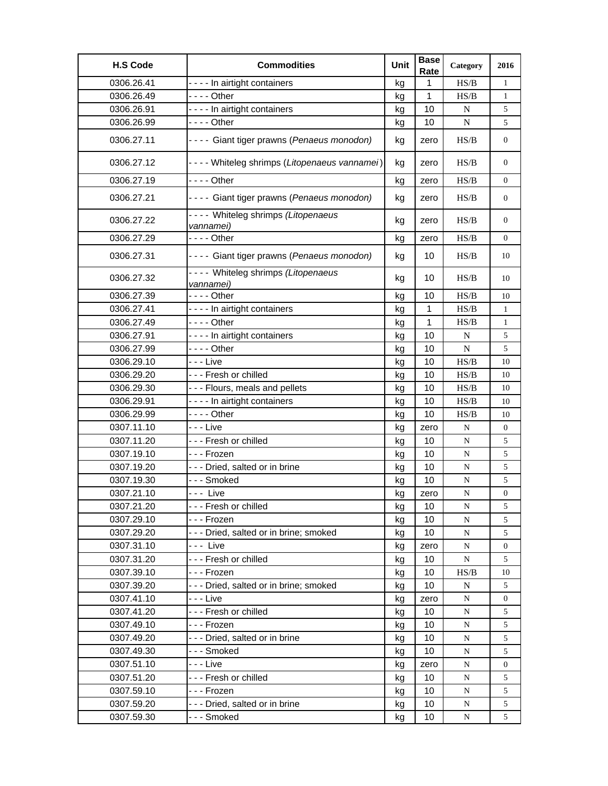| <b>H.S Code</b> | <b>Commodities</b>                                 | Unit | <b>Base</b><br>Rate | Category    | 2016             |
|-----------------|----------------------------------------------------|------|---------------------|-------------|------------------|
| 0306.26.41      | - - - - In airtight containers                     | kg   | 1                   | HS/B        | $\mathbf{1}$     |
| 0306.26.49      | - - - - Other                                      | kg   | 1                   | HS/B        | $\mathbf{1}$     |
| 0306.26.91      | - - - - In airtight containers                     | kg   | 10                  | $\mathbf N$ | 5                |
| 0306.26.99      | $--$ Other                                         | kg   | 10                  | N           | 5                |
| 0306.27.11      | - - - - Giant tiger prawns (Penaeus monodon)       | kg   | zero                | HS/B        | 0                |
| 0306.27.12      | - - - - Whiteleg shrimps (Litopenaeus vannamei)    | kg   | zero                | HS/B        | 0                |
| 0306.27.19      | - - - - Other                                      | kg   | zero                | HS/B        | 0                |
| 0306.27.21      | - - - - Giant tiger prawns (Penaeus monodon)       | kg   | zero                | HS/B        | 0                |
| 0306.27.22      | - - - - Whiteleg shrimps (Litopenaeus<br>vannamei) | kg   | zero                | HS/B        | 0                |
| 0306.27.29      |                                                    | kg   | zero                | HS/B        | 0                |
| 0306.27.31      | - - - - Giant tiger prawns (Penaeus monodon)       | kg   | 10                  | HS/B        | 10               |
| 0306.27.32      | ---- Whiteleg shrimps (Litopenaeus<br>vannamei)    | kg   | 10                  | HS/B        | 10               |
| 0306.27.39      | - - - - Other                                      | kg   | 10                  | HS/B        | 10               |
| 0306.27.41      | - - - - In airtight containers                     | kg   | 1                   | HS/B        | $\mathbf{1}$     |
| 0306.27.49      | - - - - Other                                      | kg   | 1                   | HS/B        | 1                |
| 0306.27.91      | ---- In airtight containers                        | kg   | 10                  | N           | 5                |
| 0306.27.99      | - - - - Other                                      | kg   | 10                  | $\mathbf N$ | 5                |
| 0306.29.10      | - - - Live                                         | kg   | 10                  | HS/B        | 10               |
| 0306.29.20      | --- Fresh or chilled                               | kg   | 10                  | HS/B        | 10               |
| 0306.29.30      | --- Flours, meals and pellets                      | kg   | 10                  | HS/B        | 10               |
| 0306.29.91      | ---- In airtight containers                        | kg   | 10                  | HS/B        | 10               |
| 0306.29.99      | - - - - Other                                      | kg   | 10                  | HS/B        | 10               |
| 0307.11.10      | - - - Live                                         | kg   | zero                | N           | $\boldsymbol{0}$ |
| 0307.11.20      | - - - Fresh or chilled                             | kg   | 10                  | N           | 5                |
| 0307.19.10      | - - - Frozen                                       | kg   | 10                  | N           | 5                |
| 0307.19.20      | - - - Dried, salted or in brine                    | kg   | 10                  | ${\bf N}$   | 5                |
| 0307.19.30      | --- Smoked                                         | kg   | 10                  | ${\bf N}$   | 5                |
| 0307.21.10      | --- Live                                           | kg   | zero                | ${\bf N}$   | $\boldsymbol{0}$ |
| 0307.21.20      | - - - Fresh or chilled                             | kg   | 10                  | N           | 5                |
| 0307.29.10      | - - - Frozen                                       | kg   | 10                  | N           | 5                |
| 0307.29.20      | --- Dried, salted or in brine; smoked              | kg   | 10                  | ${\bf N}$   | 5                |
| 0307.31.10      | --- Live                                           | kg   | zero                | N           | $\boldsymbol{0}$ |
| 0307.31.20      | --- Fresh or chilled                               | kg   | 10                  | N           | 5                |
| 0307.39.10      | - - - Frozen                                       | kg   | 10                  | HS/B        | 10               |
| 0307.39.20      | --- Dried, salted or in brine; smoked              | kg   | 10                  | N           | 5                |
| 0307.41.10      | - - - Live                                         | kg   | zero                | N           | 0                |
| 0307.41.20      | --- Fresh or chilled                               | kg   | 10                  | N           | 5                |
| 0307.49.10      | - - - Frozen                                       | kg   | 10                  | ${\bf N}$   | 5                |
| 0307.49.20      | --- Dried, salted or in brine                      | kg   | 10                  | ${\bf N}$   | 5                |
| 0307.49.30      | - - - Smoked                                       | kg   | 10                  | N           | 5                |
| 0307.51.10      | - - - Live                                         | kg   | zero                | N           | $\boldsymbol{0}$ |
| 0307.51.20      | --- Fresh or chilled                               | kg   | 10                  | N           | 5                |
| 0307.59.10      | - - - Frozen                                       | kg   | 10                  | N           | 5                |
| 0307.59.20      | - - - Dried, salted or in brine                    | kg   | 10                  | N           | 5                |
| 0307.59.30      | - - - Smoked                                       | kg   | 10                  | N           | 5                |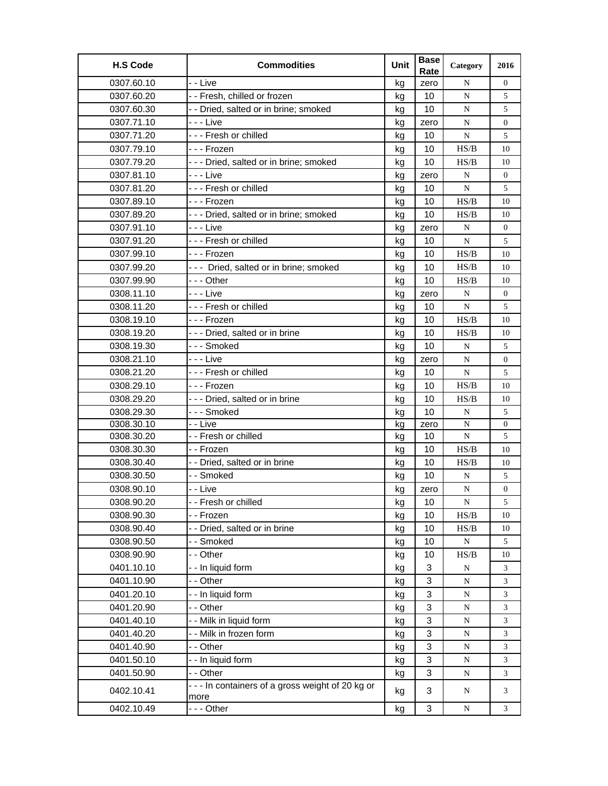| <b>H.S Code</b> | <b>Commodities</b>                                      | Unit | <b>Base</b><br>Rate | Category  | 2016             |
|-----------------|---------------------------------------------------------|------|---------------------|-----------|------------------|
| 0307.60.10      | - - Live                                                | kg   | zero                | N         | $\overline{0}$   |
| 0307.60.20      | -- Fresh, chilled or frozen                             | kg   | 10                  | N         | 5                |
| 0307.60.30      | - - Dried, salted or in brine; smoked                   | kg   | 10                  | N         | 5                |
| 0307.71.10      | - - - Live                                              | kg   | zero                | N         | $\boldsymbol{0}$ |
| 0307.71.20      | --- Fresh or chilled                                    | kg   | 10                  | N         | 5                |
| 0307.79.10      | --- Frozen                                              | kg   | 10                  | HS/B      | 10               |
| 0307.79.20      | --- Dried, salted or in brine; smoked                   | kg   | 10                  | HS/B      | 10               |
| 0307.81.10      | - - - Live                                              | kg   | zero                | N         | 0                |
| 0307.81.20      | --- Fresh or chilled                                    | kg   | 10                  | ${\bf N}$ | 5                |
| 0307.89.10      | --- Frozen                                              | kg   | 10                  | HS/B      | 10               |
| 0307.89.20      | --- Dried, salted or in brine; smoked                   | kg   | 10                  | HS/B      | 10               |
| 0307.91.10      | - - - Live                                              | kg   | zero                | N         | $\boldsymbol{0}$ |
| 0307.91.20      | --- Fresh or chilled                                    | kg   | 10                  | ${\bf N}$ | 5                |
| 0307.99.10      | - - - Frozen                                            | kg   | 10                  | HS/B      | 10               |
| 0307.99.20      | --- Dried, salted or in brine; smoked                   | kg   | 10                  | HS/B      | 10               |
| 0307.99.90      | -  - - Other                                            | kg   | 10                  | HS/B      | 10               |
| 0308.11.10      | - - - Live                                              | kg   | zero                | N         | $\overline{0}$   |
| 0308.11.20      | --- Fresh or chilled                                    | kg   | 10                  | N         | 5                |
| 0308.19.10      | --- Frozen                                              | kg   | 10                  | HS/B      | 10               |
| 0308.19.20      | --- Dried, salted or in brine                           | kg   | 10                  | HS/B      | 10               |
| 0308.19.30      | - - - Smoked                                            | kg   | 10                  | N         | 5                |
| 0308.21.10      | - - - Live                                              | kg   | zero                | N         | 0                |
| 0308.21.20      | --- Fresh or chilled                                    | kg   | 10                  | N         | 5                |
| 0308.29.10      | --- Frozen                                              | kg   | 10                  | HS/B      | 10               |
| 0308.29.20      | --- Dried, salted or in brine                           | kg   | 10                  | HS/B      | 10               |
| 0308.29.30      | - - - Smoked                                            | kg   | 10                  | N         | 5                |
| 0308.30.10      | - - Live                                                | kg   | zero                | N         | $\overline{0}$   |
| 0308.30.20      | - - Fresh or chilled                                    | kg   | 10                  | ${\bf N}$ | 5                |
| 0308.30.30      | - - Frozen                                              | kg   | 10                  | HS/B      | 10               |
| 0308.30.40      | - - Dried, salted or in brine                           | kg   | 10                  | HS/B      | 10               |
| 0308.30.50      | - - Smoked                                              | kg   | 10                  | N         | 5                |
| 0308.90.10      | - - Live                                                | kg   | zero                | ${\bf N}$ | 0                |
| 0308.90.20      | - Fresh or chilled                                      | kg   | 10                  | N         | 5                |
| 0308.90.30      | - - Frozen                                              | kg   | 10                  | HS/B      | 10               |
| 0308.90.40      | - - Dried, salted or in brine                           | kg   | 10                  | HS/B      | 10               |
| 0308.90.50      | -- Smoked                                               | kg   | 10                  | ${\bf N}$ | 5                |
| 0308.90.90      | - - Other                                               | kg   | 10                  | HS/B      | 10               |
| 0401.10.10      | - - In liquid form                                      | kg   | 3                   | N         | 3                |
| 0401.10.90      | - - Other                                               | kg   | 3                   | ${\bf N}$ | 3                |
| 0401.20.10      | - - In liquid form                                      | kg   | 3                   | ${\bf N}$ | 3                |
| 0401.20.90      | - - Other                                               | kg   | 3                   | ${\bf N}$ | 3                |
| 0401.40.10      | - - Milk in liquid form                                 | kg   | 3                   | ${\bf N}$ | 3                |
| 0401.40.20      | - - Milk in frozen form                                 | kg   | 3                   | ${\bf N}$ | 3                |
| 0401.40.90      | - - Other                                               | kg   | 3                   | N         | 3                |
| 0401.50.10      | - - In liquid form                                      | kg   | 3                   | ${\bf N}$ | 3                |
| 0401.50.90      | - - Other                                               | kg   | 3                   | ${\bf N}$ | 3                |
| 0402.10.41      | --- In containers of a gross weight of 20 kg or<br>more | kg   | 3                   | N         | 3                |
| 0402.10.49      | - - - Other                                             | kg   | 3                   | ${\bf N}$ | 3                |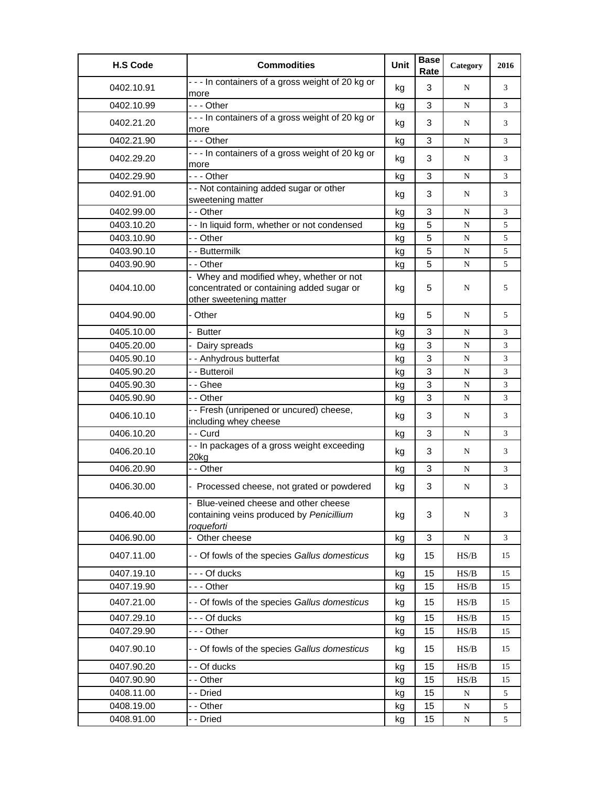| <b>H.S Code</b> | <b>Commodities</b>                                                                                               | Unit | <b>Base</b><br>Rate | Category  | 2016 |
|-----------------|------------------------------------------------------------------------------------------------------------------|------|---------------------|-----------|------|
| 0402.10.91      | --- In containers of a gross weight of 20 kg or<br>more                                                          | kg   | 3                   | N         | 3    |
| 0402.10.99      | --- Other                                                                                                        | kg   | 3                   | N         | 3    |
| 0402.21.20      | --- In containers of a gross weight of 20 kg or<br>more                                                          | kg   | 3                   | N         | 3    |
| 0402.21.90      | --- Other                                                                                                        | kg   | 3                   | N         | 3    |
| 0402.29.20      | --- In containers of a gross weight of 20 kg or<br>more                                                          | kg   | 3                   | N         | 3    |
| 0402.29.90      | $- -$ Other                                                                                                      | kg   | 3                   | N         | 3    |
| 0402.91.00      | - - Not containing added sugar or other<br>sweetening matter                                                     | kg   | 3                   | N         | 3    |
| 0402.99.00      | - - Other                                                                                                        | kg   | 3                   | N         | 3    |
| 0403.10.20      | - - In liquid form, whether or not condensed                                                                     | kg   | 5                   | N         | 5    |
| 0403.10.90      | - - Other                                                                                                        | kg   | 5                   | ${\bf N}$ | 5    |
| 0403.90.10      | - - Buttermilk                                                                                                   | kg   | 5                   | ${\bf N}$ | 5    |
| 0403.90.90      | - - Other                                                                                                        | kg   | 5                   | ${\bf N}$ | 5    |
| 0404.10.00      | - Whey and modified whey, whether or not<br>concentrated or containing added sugar or<br>other sweetening matter | kg   | 5                   | N         | 5    |
| 0404.90.00      | - Other                                                                                                          | kg   | 5                   | N         | 5    |
| 0405.10.00      | - Butter                                                                                                         | kg   | 3                   | N         | 3    |
| 0405.20.00      | - Dairy spreads                                                                                                  | kg   | 3                   | ${\bf N}$ | 3    |
| 0405.90.10      | - - Anhydrous butterfat                                                                                          | kg   | 3                   | ${\bf N}$ | 3    |
| 0405.90.20      | - - Butteroil                                                                                                    | kg   | 3                   | N         | 3    |
| 0405.90.30      | - - Ghee                                                                                                         | kg   | 3                   | N         | 3    |
| 0405.90.90      | - - Other                                                                                                        | kg   | 3                   | ${\bf N}$ | 3    |
| 0406.10.10      | - - Fresh (unripened or uncured) cheese,<br>including whey cheese                                                | kg   | 3                   | N         | 3    |
| 0406.10.20      | - - Curd                                                                                                         | kg   | 3                   | N         | 3    |
| 0406.20.10      | - - In packages of a gross weight exceeding<br>20kg                                                              | kg   | 3                   | N         | 3    |
| 0406.20.90      | - - Other                                                                                                        | kg   | 3                   | N         | 3    |
| 0406.30.00      | - Processed cheese, not grated or powdered                                                                       | kg   | 3                   | N         | 3    |
| 0406.40.00      | Blue-veined cheese and other cheese<br>containing veins produced by Penicillium<br>roqueforti                    | kg   | 3                   | N         | 3    |
| 0406.90.00      | - Other cheese                                                                                                   | kg   | 3                   | ${\bf N}$ | 3    |
| 0407.11.00      | - - Of fowls of the species Gallus domesticus                                                                    | kg   | 15                  | HS/B      | 15   |
| 0407.19.10      | - - - Of ducks                                                                                                   | kg   | 15                  | HS/B      | 15   |
| 0407.19.90      | -  - - Other                                                                                                     | kg   | 15                  | HS/B      | 15   |
| 0407.21.00      | - - Of fowls of the species Gallus domesticus                                                                    | kg   | 15                  | HS/B      | 15   |
| 0407.29.10      | - - - Of ducks                                                                                                   | kg   | 15                  | HS/B      | 15   |
| 0407.29.90      | --- Other                                                                                                        | kg   | 15                  | HS/B      | 15   |
| 0407.90.10      | - - Of fowls of the species Gallus domesticus                                                                    | kg   | 15                  | HS/B      | 15   |
| 0407.90.20      | - - Of ducks                                                                                                     | kg   | 15                  | HS/B      | 15   |
| 0407.90.90      | - - Other                                                                                                        | kg   | 15                  | HS/B      | 15   |
| 0408.11.00      | - - Dried                                                                                                        | kg   | 15                  | ${\bf N}$ | 5    |
| 0408.19.00      | - - Other                                                                                                        | kg   | 15                  | ${\bf N}$ | 5    |
| 0408.91.00      | - - Dried                                                                                                        | kg   | 15                  | ${\bf N}$ | 5    |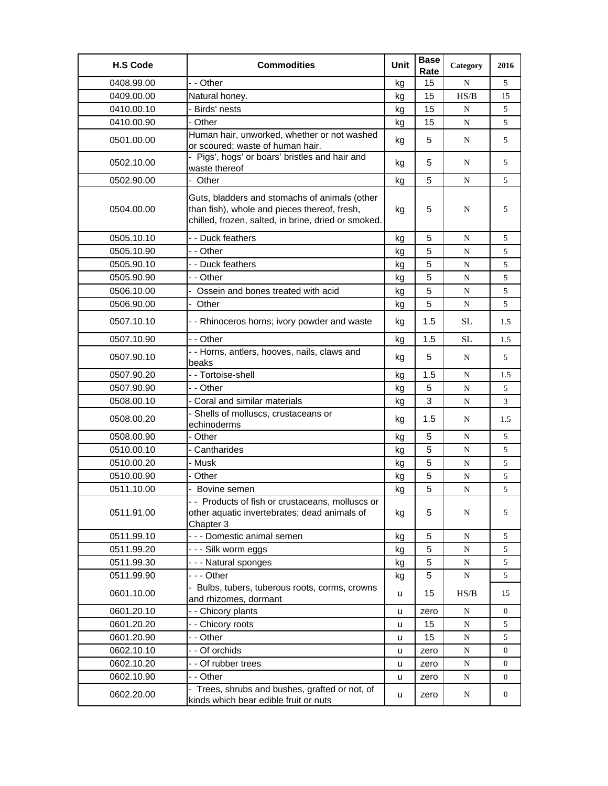| <b>H.S Code</b> | <b>Commodities</b>                                                                                                                                   | Unit | <b>Base</b><br>Rate | Category  | 2016 |
|-----------------|------------------------------------------------------------------------------------------------------------------------------------------------------|------|---------------------|-----------|------|
| 0408.99.00      | - - Other                                                                                                                                            | kg   | 15                  | N         | 5    |
| 0409.00.00      | Natural honey.                                                                                                                                       | kg   | 15                  | HS/B      | 15   |
| 0410.00.10      | - Birds' nests                                                                                                                                       | kg   | 15                  | N         | 5    |
| 0410.00.90      | - Other                                                                                                                                              | kg   | 15                  | N         | 5    |
| 0501.00.00      | Human hair, unworked, whether or not washed<br>or scoured; waste of human hair.                                                                      | kg   | 5                   | N         | 5    |
| 0502.10.00      | Pigs', hogs' or boars' bristles and hair and<br>waste thereof                                                                                        | kg   | 5                   | N         | 5    |
| 0502.90.00      | - Other                                                                                                                                              | kg   | 5                   | N         | 5    |
| 0504.00.00      | Guts, bladders and stomachs of animals (other<br>than fish), whole and pieces thereof, fresh,<br>chilled, frozen, salted, in brine, dried or smoked. | kg   | 5                   | N         | 5    |
| 0505.10.10      | - - Duck feathers                                                                                                                                    | kg   | 5                   | N         | 5    |
| 0505.10.90      | - - Other                                                                                                                                            | kg   | 5                   | N         | 5    |
| 0505.90.10      | - - Duck feathers                                                                                                                                    | kg   | 5                   | N         | 5    |
| 0505.90.90      | - - Other                                                                                                                                            | kg   | 5                   | N         | 5    |
| 0506.10.00      | Ossein and bones treated with acid                                                                                                                   | kg   | 5                   | N         | 5    |
| 0506.90.00      | - Other                                                                                                                                              | kg   | 5                   | N         | 5    |
| 0507.10.10      | - - Rhinoceros horns; ivory powder and waste                                                                                                         | kg   | 1.5                 | SL        | 1.5  |
| 0507.10.90      | - - Other                                                                                                                                            | kg   | 1.5                 | <b>SL</b> | 1.5  |
| 0507.90.10      | - - Horns, antlers, hooves, nails, claws and<br>beaks                                                                                                | kg   | 5                   | N         | 5    |
| 0507.90.20      | - - Tortoise-shell                                                                                                                                   | kg   | 1.5                 | N         | 1.5  |
| 0507.90.90      | - - Other                                                                                                                                            | kg   | 5                   | ${\bf N}$ | 5    |
| 0508.00.10      | - Coral and similar materials                                                                                                                        | kg   | 3                   | N         | 3    |
| 0508.00.20      | - Shells of molluscs, crustaceans or<br>echinoderms                                                                                                  | kg   | 1.5                 | N         | 1.5  |
| 0508.00.90      | - Other                                                                                                                                              | kg   | 5                   | N         | 5    |
| 0510.00.10      | - Cantharides                                                                                                                                        | kg   | 5                   | N         | 5    |
| 0510.00.20      | - Musk                                                                                                                                               | kg   | 5                   | N         | 5    |
| 0510.00.90      | - Other                                                                                                                                              | kg   | 5                   | N         | 5    |
| 0511.10.00      | Bovine semen                                                                                                                                         | kg   | 5                   | ${\bf N}$ | 5    |
| 0511.91.00      | - - Products of fish or crustaceans, molluscs or<br>other aquatic invertebrates; dead animals of<br>Chapter 3                                        | kg   | 5                   | N         | 5    |
| 0511.99.10      | - - - Domestic animal semen                                                                                                                          | kg   | 5                   | ${\bf N}$ | 5    |
| 0511.99.20      | - - - Silk worm eggs                                                                                                                                 | kg   | 5                   | ${\bf N}$ | 5    |
| 0511.99.30      | --- Natural sponges                                                                                                                                  | kg   | 5                   | N         | 5    |
| 0511.99.90      | --- Other                                                                                                                                            | kg   | 5                   | N         | 5    |
| 0601.10.00      | - Bulbs, tubers, tuberous roots, corms, crowns<br>and rhizomes, dormant                                                                              | u    | 15                  | HS/B      | 15   |
| 0601.20.10      | - - Chicory plants                                                                                                                                   | u    | zero                | ${\bf N}$ | 0    |
| 0601.20.20      | - - Chicory roots                                                                                                                                    | u    | 15                  | N         | 5    |
| 0601.20.90      | - - Other                                                                                                                                            | u    | 15                  | ${\bf N}$ | 5    |
| 0602.10.10      | - - Of orchids                                                                                                                                       | u    | zero                | ${\bf N}$ | 0    |
| 0602.10.20      | - - Of rubber trees                                                                                                                                  | u    | zero                | ${\bf N}$ | 0    |
| 0602.10.90      | - - Other                                                                                                                                            | u    | zero                | N         | 0    |
| 0602.20.00      | - Trees, shrubs and bushes, grafted or not, of<br>kinds which bear edible fruit or nuts                                                              | u    | zero                | ${\bf N}$ | 0    |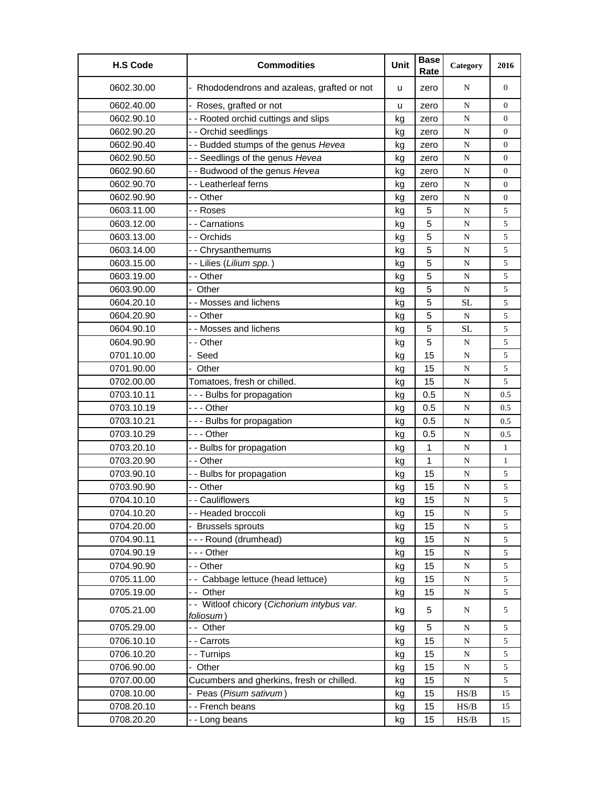| <b>H.S Code</b> | <b>Commodities</b>                                       | Unit | <b>Base</b><br>Rate | Category                                                                               | 2016             |
|-----------------|----------------------------------------------------------|------|---------------------|----------------------------------------------------------------------------------------|------------------|
| 0602.30.00      | - Rhododendrons and azaleas, grafted or not              | u    | zero                | N                                                                                      | $\overline{0}$   |
| 0602.40.00      | Roses, grafted or not                                    | u    | zero                | ${\bf N}$                                                                              | $\overline{0}$   |
| 0602.90.10      | - - Rooted orchid cuttings and slips                     | kg   | zero                | N                                                                                      | $\overline{0}$   |
| 0602.90.20      | - - Orchid seedlings                                     | kg   | zero                | N                                                                                      | $\boldsymbol{0}$ |
| 0602.90.40      | - - Budded stumps of the genus Hevea                     | kg   | zero                | ${\bf N}$                                                                              | $\boldsymbol{0}$ |
| 0602.90.50      | - - Seedlings of the genus Hevea                         | kg   | zero                | N                                                                                      | $\boldsymbol{0}$ |
| 0602.90.60      | - - Budwood of the genus Hevea                           | kg   | zero                | N                                                                                      | $\overline{0}$   |
| 0602.90.70      | - - Leatherleaf ferns                                    | kg   | zero                | N                                                                                      | $\overline{0}$   |
| 0602.90.90      | - - Other                                                | kg   | zero                | ${\bf N}$                                                                              | $\boldsymbol{0}$ |
| 0603.11.00      | - - Roses                                                | kg   | 5                   | N                                                                                      | 5                |
| 0603.12.00      | - - Carnations                                           | kg   | 5                   | N                                                                                      | 5                |
| 0603.13.00      | - - Orchids                                              | kg   | 5                   | N                                                                                      | 5                |
| 0603.14.00      | -- Chrysanthemums                                        | kg   | 5                   | N                                                                                      | 5                |
| 0603.15.00      | - - Lilies (Lilium spp.)                                 | kg   | 5                   | ${\bf N}$                                                                              | $\sqrt{5}$       |
| 0603.19.00      | - - Other                                                | kg   | 5                   | N                                                                                      | 5                |
| 0603.90.00      | - Other                                                  | kg   | 5                   | N                                                                                      | 5                |
| 0604.20.10      | - - Mosses and lichens                                   | kg   | 5                   | <b>SL</b>                                                                              | 5                |
| 0604.20.90      | - - Other                                                | kg   | 5                   | N                                                                                      | 5                |
| 0604.90.10      | - - Mosses and lichens                                   | kg   | 5                   | SL                                                                                     | 5                |
| 0604.90.90      | - - Other                                                | kg   | 5                   | N                                                                                      | 5                |
| 0701.10.00      | - Seed                                                   | kg   | 15                  | N                                                                                      | 5                |
| 0701.90.00      | Other                                                    | kg   | 15                  | ${\bf N}$                                                                              | 5                |
| 0702.00.00      | Tomatoes, fresh or chilled.                              | kg   | 15                  | N                                                                                      | 5                |
| 0703.10.11      | --- Bulbs for propagation                                | kg   | 0.5                 | N                                                                                      | 0.5              |
| 0703.10.19      | - - - Other                                              | kg   | 0.5                 | N                                                                                      | 0.5              |
| 0703.10.21      | --- Bulbs for propagation                                | kg   | 0.5                 | ${\bf N}$                                                                              | 0.5              |
| 0703.10.29      | - - - Other                                              | kg   | 0.5                 | ${\bf N}$                                                                              | 0.5              |
| 0703.20.10      | -- Bulbs for propagation                                 | kg   | 1                   | N                                                                                      | 1                |
| 0703.20.90      | - - Other                                                | kg   | 1                   | N                                                                                      | $\mathbf{1}$     |
| 0703.90.10      | - - Bulbs for propagation                                | kg   | 15                  | N                                                                                      | 5                |
| 0703.90.90      | - - Other                                                | kg   | 15                  | N                                                                                      | 5                |
| 0704.10.10      | - - Cauliflowers                                         | kg   | 15                  | ${\bf N}$                                                                              | 5                |
| 0704.10.20      | - - Headed broccoli                                      | kg   | 15                  | N                                                                                      | $\sqrt{5}$       |
| 0704.20.00      | - Brussels sprouts                                       | kg   | 15                  | ${\bf N}$                                                                              | 5                |
| 0704.90.11      | --- Round (drumhead)                                     | kg   | 15                  | ${\bf N}$                                                                              | 5                |
| 0704.90.19      | - - - Other                                              | kg   | 15                  | ${\bf N}$                                                                              | 5                |
| 0704.90.90      | - - Other                                                | kg   | 15                  | ${\bf N}$                                                                              | 5                |
| 0705.11.00      | -- Cabbage lettuce (head lettuce)                        | kg   | 15                  | ${\bf N}$                                                                              | 5                |
| 0705.19.00      | -- Other                                                 | kg   | 15                  | ${\bf N}$                                                                              | 5                |
| 0705.21.00      | - - Witloof chicory (Cichorium intybus var.<br>foliosum) | kg   | 5                   | N                                                                                      | 5                |
| 0705.29.00      | -- Other                                                 | kg   | 5                   | N                                                                                      | 5                |
| 0706.10.10      | - - Carrots                                              | kg   | 15                  | ${\bf N}$                                                                              | 5                |
| 0706.10.20      | - - Turnips                                              | kg   | 15                  | ${\bf N}$                                                                              | 5                |
| 0706.90.00      | - Other                                                  | kg   | 15                  | N                                                                                      | 5                |
| 0707.00.00      | Cucumbers and gherkins, fresh or chilled.                | kg   | 15                  | ${\bf N}$                                                                              | 5                |
| 0708.10.00      | - Peas (Pisum sativum)                                   | kg   | 15                  | HS/B                                                                                   | 15               |
| 0708.20.10      | - - French beans                                         | kg   | 15                  | $\ensuremath{\mathbf{H}}\ensuremath{\mathbf{S}}\xspace/\ensuremath{\mathbf{B}}\xspace$ | 15               |
| 0708.20.20      | --Long beans                                             | kg   | 15                  | HS/B                                                                                   | 15               |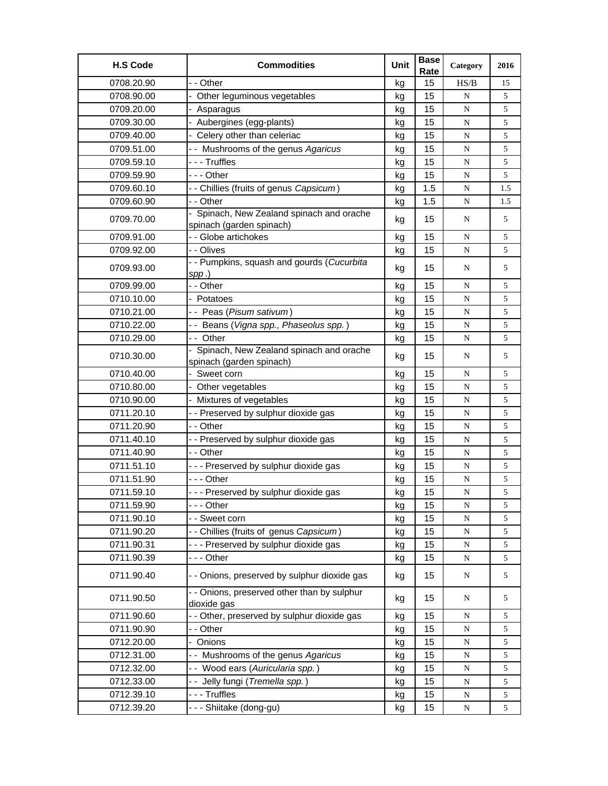| <b>H.S Code</b> | <b>Commodities</b>                                                  | Unit | <b>Base</b><br>Rate | Category  | 2016 |
|-----------------|---------------------------------------------------------------------|------|---------------------|-----------|------|
| 0708.20.90      | - - Other                                                           | kg   | 15                  | HS/B      | 15   |
| 0708.90.00      | Other leguminous vegetables                                         | kg   | 15                  | N         | 5    |
| 0709.20.00      | - Asparagus                                                         | kg   | 15                  | N         | 5    |
| 0709.30.00      | - Aubergines (egg-plants)                                           | kg   | 15                  | N         | 5    |
| 0709.40.00      | - Celery other than celeriac                                        | kg   | 15                  | N         | 5    |
| 0709.51.00      | - - Mushrooms of the genus Agaricus                                 | kg   | 15                  | N         | 5    |
| 0709.59.10      | ---Truffles                                                         | kg   | 15                  | ${\bf N}$ | 5    |
| 0709.59.90      | - - - Other                                                         | kg   | 15                  | N         | 5    |
| 0709.60.10      | - - Chillies (fruits of genus Capsicum)                             | kg   | 1.5                 | N         | 1.5  |
| 0709.60.90      | - - Other                                                           | kg   | 1.5                 | N         | 1.5  |
| 0709.70.00      | Spinach, New Zealand spinach and orache<br>spinach (garden spinach) | kg   | 15                  | N         | 5    |
| 0709.91.00      | - - Globe artichokes                                                | kg   | 15                  | ${\bf N}$ | 5    |
| 0709.92.00      | - - Olives                                                          | kg   | 15                  | N         | 5    |
| 0709.93.00      | - - Pumpkins, squash and gourds (Cucurbita                          | kg   | 15                  | N         | 5    |
|                 | $spp.$ )                                                            |      |                     |           |      |
| 0709.99.00      | - - Other                                                           | kg   | 15                  | N         | 5    |
| 0710.10.00      | - Potatoes                                                          | kg   | 15                  | ${\bf N}$ | 5    |
| 0710.21.00      | - - Peas (Pisum sativum)                                            | kg   | 15                  | N         | 5    |
| 0710.22.00      | - - Beans (Vigna spp., Phaseolus spp.)                              | kg   | 15                  | N         | 5    |
| 0710.29.00      | - - Other                                                           | kg   | 15                  | ${\bf N}$ | 5    |
| 0710.30.00      | Spinach, New Zealand spinach and orache<br>spinach (garden spinach) | kg   | 15                  | N         | 5    |
| 0710.40.00      | Sweet corn                                                          | kg   | 15                  | N         | 5    |
| 0710.80.00      | Other vegetables                                                    | kg   | 15                  | N         | 5    |
| 0710.90.00      | - Mixtures of vegetables                                            | kg   | 15                  | ${\bf N}$ | 5    |
| 0711.20.10      | - - Preserved by sulphur dioxide gas                                | kg   | 15                  | N         | 5    |
| 0711.20.90      | - - Other                                                           | kg   | 15                  | N         | 5    |
| 0711.40.10      | - - Preserved by sulphur dioxide gas                                | kg   | 15                  | ${\bf N}$ | 5    |
| 0711.40.90      | - - Other                                                           | kg   | 15                  | N         | 5    |
| 0711.51.10      | --- Preserved by sulphur dioxide gas                                | kg   | 15                  | ${\bf N}$ | 5    |
| 0711.51.90      | - - - Other                                                         | kg   | 15                  | N         | 5    |
| 0711.59.10      | --- Preserved by sulphur dioxide gas                                | kg   | 15                  | N         | 5    |
| 0711.59.90      | - - - Other                                                         | kg   | 15                  | ${\bf N}$ | 5    |
| 0711.90.10      | - - Sweet corn                                                      | kg   | 15                  | ${\bf N}$ | 5    |
| 0711.90.20      | - - Chillies (fruits of genus Capsicum)                             | kg   | 15                  | ${\bf N}$ | 5    |
| 0711.90.31      | --- Preserved by sulphur dioxide gas                                | kg   | 15                  | ${\bf N}$ | 5    |
| 0711.90.39      | --- Other                                                           | kg   | 15                  | ${\bf N}$ | 5    |
| 0711.90.40      | - - Onions, preserved by sulphur dioxide gas                        | kg   | 15                  | ${\bf N}$ | 5    |
| 0711.90.50      | - - Onions, preserved other than by sulphur<br>dioxide gas          | kg   | 15                  | N         | 5    |
| 0711.90.60      | - - Other, preserved by sulphur dioxide gas                         | kg   | 15                  | N         | 5    |
| 0711.90.90      | - - Other                                                           | kg   | 15                  | ${\bf N}$ | 5    |
| 0712.20.00      | - Onions                                                            | kg   | 15                  | ${\bf N}$ | 5    |
| 0712.31.00      | - - Mushrooms of the genus Agaricus                                 | kg   | 15                  | ${\bf N}$ | 5    |
| 0712.32.00      | -- Wood ears (Auricularia spp.)                                     | kg   | 15                  | ${\bf N}$ | 5    |
| 0712.33.00      | - - Jelly fungi (Tremella spp.)                                     | kg   | 15                  | N         | 5    |
| 0712.39.10      | --- Truffles                                                        | kg   | 15                  | ${\bf N}$ | 5    |
| 0712.39.20      | --- Shiitake (dong-gu)                                              | kg   | 15                  | N         | 5    |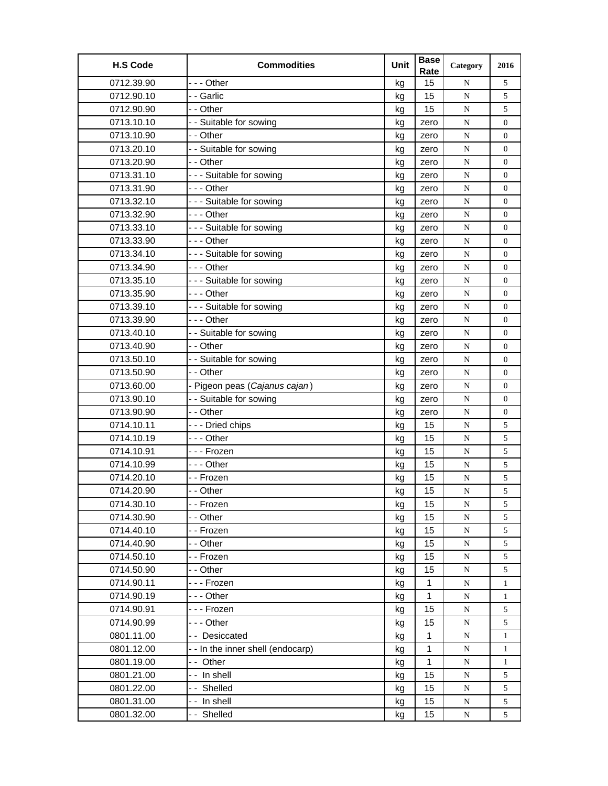| <b>H.S Code</b> | <b>Commodities</b>              | Unit | <b>Base</b><br>Rate | Category  | 2016             |
|-----------------|---------------------------------|------|---------------------|-----------|------------------|
| 0712.39.90      | --- Other                       | kg   | 15                  | N         | 5                |
| 0712.90.10      | - - Garlic                      | kg   | 15                  | N         | 5                |
| 0712.90.90      | - - Other                       | kg   | 15                  | ${\bf N}$ | 5                |
| 0713.10.10      | - - Suitable for sowing         | kg   | zero                | ${\bf N}$ | $\boldsymbol{0}$ |
| 0713.10.90      | - - Other                       | kg   | zero                | N         | $\overline{0}$   |
| 0713.20.10      | - - Suitable for sowing         | kg   | zero                | N         | 0                |
| 0713.20.90      | - - Other                       | kg   | zero                | N         | $\overline{0}$   |
| 0713.31.10      | --- Suitable for sowing         | kg   | zero                | ${\bf N}$ | 0                |
| 0713.31.90      | - - - Other                     | kg   | zero                | ${\bf N}$ | $\boldsymbol{0}$ |
| 0713.32.10      | --- Suitable for sowing         | kg   | zero                | ${\bf N}$ | $\overline{0}$   |
| 0713.32.90      | - - - Other                     | kg   | zero                | N         | 0                |
| 0713.33.10      | --- Suitable for sowing         | kg   | zero                | ${\bf N}$ | $\overline{0}$   |
| 0713.33.90      | -  - - Other                    | kg   | zero                | ${\bf N}$ | $\boldsymbol{0}$ |
| 0713.34.10      | --- Suitable for sowing         | kg   | zero                | N         | $\boldsymbol{0}$ |
| 0713.34.90      | --- Other                       | kg   | zero                | N         | $\overline{0}$   |
| 0713.35.10      | --- Suitable for sowing         | kg   | zero                | ${\bf N}$ | $\overline{0}$   |
| 0713.35.90      | --- Other                       | kg   | zero                | ${\bf N}$ | $\boldsymbol{0}$ |
| 0713.39.10      | --- Suitable for sowing         | kg   | zero                | ${\bf N}$ | $\boldsymbol{0}$ |
| 0713.39.90      | --- Other                       | kg   | zero                | N         | $\boldsymbol{0}$ |
| 0713.40.10      | - - Suitable for sowing         | kg   | zero                | ${\bf N}$ | 0                |
| 0713.40.90      | - - Other                       | kg   | zero                | N         | 0                |
| 0713.50.10      | - - Suitable for sowing         | kg   | zero                | ${\bf N}$ | $\boldsymbol{0}$ |
| 0713.50.90      | - - Other                       | kg   | zero                | N         | $\overline{0}$   |
| 0713.60.00      | - Pigeon peas (Cajanus cajan)   | kg   | zero                | N         | $\overline{0}$   |
| 0713.90.10      | - - Suitable for sowing         | kg   | zero                | N         | 0                |
| 0713.90.90      | - - Other                       | kg   | zero                | N         | $\boldsymbol{0}$ |
| 0714.10.11      | - - - Dried chips               | kg   | 15                  | ${\bf N}$ | 5                |
| 0714.10.19      | --- Other                       | kg   | 15                  | ${\bf N}$ | 5                |
| 0714.10.91      | --- Frozen                      | kg   | 15                  | ${\bf N}$ | 5                |
| 0714.10.99      | --- Other                       | kg   | 15                  | N         | 5                |
| 0714.20.10      | - - Frozen                      | kg   | 15                  | N         | 5                |
| 0714.20.90      | - - Other                       | kg   | 15                  | ${\bf N}$ | 5                |
| 0714.30.10      | - - Frozen                      | kg   | 15                  | N         | 5                |
| 0714.30.90      | - - Other                       | kg   | 15                  | N         | 5                |
| 0714.40.10      | - - Frozen                      | kg   | 15                  | ${\bf N}$ | 5                |
| 0714.40.90      | - - Other                       | kg   | 15                  | ${\bf N}$ | 5                |
| 0714.50.10      | - - Frozen                      | kg   | 15                  | ${\bf N}$ | 5                |
| 0714.50.90      | - - Other                       | kg   | 15                  | ${\bf N}$ | 5                |
| 0714.90.11      | --- Frozen                      | kg   | $\mathbf{1}$        | N         | 1                |
| 0714.90.19      | - - - Other                     | kg   | 1                   | N         | 1                |
| 0714.90.91      | - - - Frozen                    | kg   | 15                  | N         | 5                |
| 0714.90.99      | - - - Other                     | kg   | 15                  | N         | 5                |
| 0801.11.00      | -- Desiccated                   | kg   | $\mathbf 1$         | N         | $\mathbf{1}$     |
| 0801.12.00      | --In the inner shell (endocarp) | kg   | $\mathbf{1}$        | N         | $\mathbf{1}$     |
| 0801.19.00      | -- Other                        | kg   | 1                   | ${\bf N}$ | $\mathbf{1}$     |
| 0801.21.00      | -- In shell                     | kg   | 15                  | N         | 5                |
| 0801.22.00      | -- Shelled                      | kg   | 15                  | N         | 5                |
| 0801.31.00      | -- In shell                     | kg   | 15                  | ${\bf N}$ | 5                |
| 0801.32.00      | -- Shelled                      | kg   | 15                  | N         | 5                |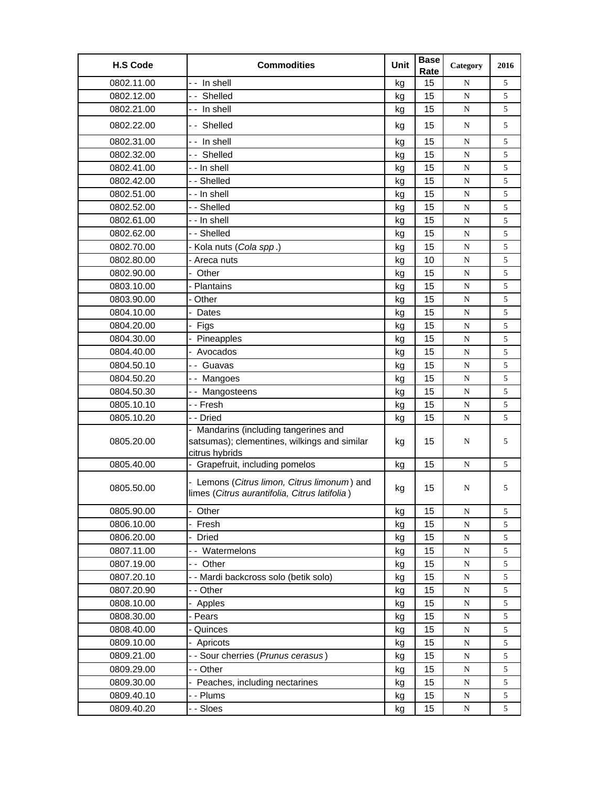| <b>H.S Code</b> | <b>Commodities</b>                                                                                      | Unit | <b>Base</b><br>Rate | Category  | 2016 |
|-----------------|---------------------------------------------------------------------------------------------------------|------|---------------------|-----------|------|
| 0802.11.00      | -- In shell                                                                                             | kg   | 15                  | N         | 5    |
| 0802.12.00      | -- Shelled                                                                                              | kg   | 15                  | ${\bf N}$ | 5    |
| 0802.21.00      | - - In shell                                                                                            | kg   | 15                  | N         | 5    |
| 0802.22.00      | -- Shelled                                                                                              | kg   | 15                  | N         | 5    |
| 0802.31.00      | -- In shell                                                                                             | kg   | 15                  | ${\bf N}$ | 5    |
| 0802.32.00      | -- Shelled                                                                                              | kg   | 15                  | N         | 5    |
| 0802.41.00      | - - In shell                                                                                            | kg   | 15                  | ${\bf N}$ | 5    |
| 0802.42.00      | - - Shelled                                                                                             | kg   | 15                  | N         | 5    |
| 0802.51.00      | - - In shell                                                                                            | kg   | 15                  | N         | 5    |
| 0802.52.00      | - - Shelled                                                                                             | kg   | 15                  | N         | 5    |
| 0802.61.00      | - - In shell                                                                                            | kg   | 15                  | N         | 5    |
| 0802.62.00      | - - Shelled                                                                                             | kg   | 15                  | ${\bf N}$ | 5    |
| 0802.70.00      | - Kola nuts (Cola spp.)                                                                                 | kg   | 15                  | N         | 5    |
| 0802.80.00      | Areca nuts                                                                                              | kg   | 10                  | N         | 5    |
| 0802.90.00      | Other<br>÷.                                                                                             | kg   | 15                  | ${\bf N}$ | 5    |
| 0803.10.00      | - Plantains                                                                                             | kg   | 15                  | ${\bf N}$ | 5    |
| 0803.90.00      | Other                                                                                                   | kg   | 15                  | ${\bf N}$ | 5    |
| 0804.10.00      | Dates                                                                                                   | kg   | 15                  | N         | 5    |
| 0804.20.00      | Figs                                                                                                    | kg   | 15                  | N         | 5    |
| 0804.30.00      | Pineapples                                                                                              | kg   | 15                  | N         | 5    |
| 0804.40.00      | Avocados                                                                                                | kg   | 15                  | N         | 5    |
| 0804.50.10      | - - Guavas                                                                                              | kg   | 15                  | ${\bf N}$ | 5    |
| 0804.50.20      | -- Mangoes                                                                                              | kg   | 15                  | ${\bf N}$ | 5    |
| 0804.50.30      | -- Mangosteens                                                                                          | kg   | 15                  | ${\bf N}$ | 5    |
| 0805.10.10      | - - Fresh                                                                                               | kg   | 15                  | ${\bf N}$ | 5    |
| 0805.10.20      | - - Dried                                                                                               | kg   | 15                  | N         | 5    |
| 0805.20.00      | - Mandarins (including tangerines and<br>satsumas); clementines, wilkings and similar<br>citrus hybrids | kg   | 15                  | N         | 5    |
| 0805.40.00      | - Grapefruit, including pomelos                                                                         | kg   | 15                  | N         | 5    |
| 0805.50.00      | - Lemons (Citrus limon, Citrus limonum) and<br>limes (Citrus aurantifolia, Citrus latifolia)            | kg   | 15                  | N         | 5    |
| 0805.90.00      | - Other                                                                                                 | kg   | 15                  | ${\bf N}$ | 5    |
| 0806.10.00      | Fresh                                                                                                   | kg   | 15                  | ${\bf N}$ | 5    |
| 0806.20.00      | - Dried                                                                                                 | kg   | 15                  | ${\bf N}$ | 5    |
| 0807.11.00      | -- Watermelons                                                                                          | kg   | 15                  | ${\bf N}$ | 5    |
| 0807.19.00      | -- Other                                                                                                | kg   | 15                  | ${\bf N}$ | 5    |
| 0807.20.10      | - - Mardi backcross solo (betik solo)                                                                   | kg   | 15                  | ${\bf N}$ | 5    |
| 0807.20.90      | - - Other                                                                                               | kg   | 15                  | ${\bf N}$ | 5    |
| 0808.10.00      | Apples                                                                                                  | kg   | 15                  | ${\bf N}$ | 5    |
| 0808.30.00      | - Pears                                                                                                 | kg   | 15                  | ${\bf N}$ | 5    |
| 0808.40.00      | - Quinces                                                                                               | kg   | 15                  | ${\bf N}$ | 5    |
| 0809.10.00      | Apricots                                                                                                | kg   | 15                  | ${\bf N}$ | 5    |
| 0809.21.00      | - - Sour cherries (Prunus cerasus)                                                                      | kg   | 15                  | ${\bf N}$ | 5    |
| 0809.29.00      | - - Other                                                                                               | kg   | 15                  | ${\bf N}$ | 5    |
| 0809.30.00      | - Peaches, including nectarines                                                                         | kg   | 15                  | ${\bf N}$ | 5    |
| 0809.40.10      | - - Plums                                                                                               | kg   | 15                  | ${\bf N}$ | 5    |
| 0809.40.20      | - - Sloes                                                                                               | kg   | 15                  | ${\bf N}$ | 5    |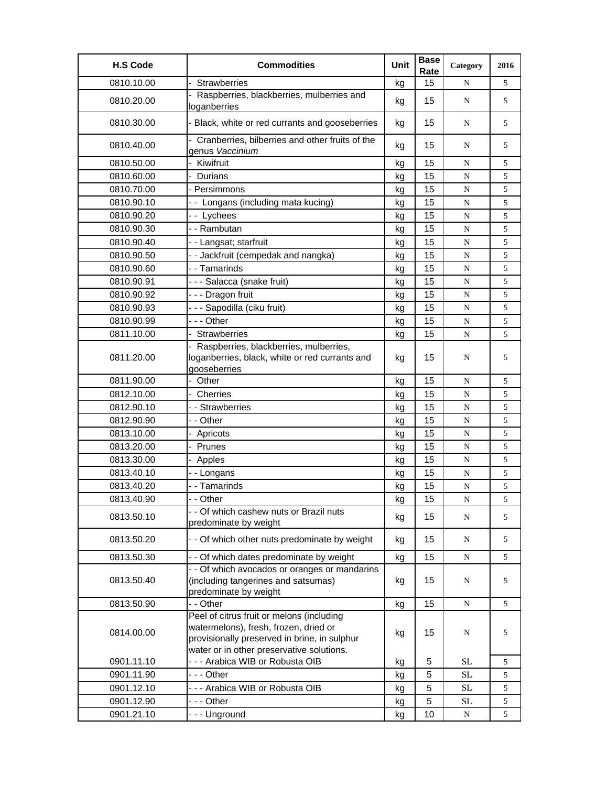| <b>H.S Code</b> | <b>Commodities</b>                                                                                                                                                              | Unit | <b>Base</b><br>Rate | Category    | 2016 |
|-----------------|---------------------------------------------------------------------------------------------------------------------------------------------------------------------------------|------|---------------------|-------------|------|
| 0810.10.00      | Strawberries                                                                                                                                                                    | kg   | 15                  | N           | 5    |
| 0810.20.00      | Raspberries, blackberries, mulberries and<br>loganberries                                                                                                                       | kg   | 15                  | N           | 5    |
| 0810.30.00      | - Black, white or red currants and gooseberries                                                                                                                                 | kg   | 15                  | N           | 5    |
| 0810.40.00      | - Cranberries, bilberries and other fruits of the<br>genus Vaccinium                                                                                                            | kg   | 15                  | N           | 5    |
| 0810.50.00      | Kiwifruit                                                                                                                                                                       | kg   | 15                  | N           | 5    |
| 0810.60.00      | - Durians                                                                                                                                                                       | kg   | 15                  | N           | 5    |
| 0810.70.00      | - Persimmons                                                                                                                                                                    | kg   | 15                  | N           | 5    |
| 0810.90.10      | -- Longans (including mata kucing)                                                                                                                                              | kg   | 15                  | N           | 5    |
| 0810.90.20      | -- Lychees                                                                                                                                                                      | kg   | 15                  | ${\bf N}$   | 5    |
| 0810.90.30      | - - Rambutan                                                                                                                                                                    | kg   | 15                  | N           | 5    |
| 0810.90.40      | - - Langsat; starfruit                                                                                                                                                          | kg   | 15                  | N           | 5    |
| 0810.90.50      | -- Jackfruit (cempedak and nangka)                                                                                                                                              | kg   | 15                  | ${\bf N}$   | 5    |
| 0810.90.60      | - - Tamarinds                                                                                                                                                                   | kg   | 15                  | N           | 5    |
| 0810.90.91      | --- Salacca (snake fruit)                                                                                                                                                       | kg   | 15                  | ${\bf N}$   | 5    |
| 0810.90.92      | - - - Dragon fruit                                                                                                                                                              | kg   | 15                  | ${\bf N}$   | 5    |
| 0810.90.93      | - - - Sapodilla (ciku fruit)                                                                                                                                                    | kg   | 15                  | $\mathbf N$ | 5    |
| 0810.90.99      | --- Other                                                                                                                                                                       | kg   | 15                  | N           | 5    |
| 0811.10.00      | <b>Strawberries</b>                                                                                                                                                             | kg   | 15                  | N           | 5    |
| 0811.20.00      | - Raspberries, blackberries, mulberries,<br>loganberries, black, white or red currants and<br>gooseberries                                                                      | kg   | 15                  | N           | 5    |
| 0811.90.00      | - Other                                                                                                                                                                         | kg   | 15                  | N           | 5    |
| 0812.10.00      | Cherries                                                                                                                                                                        | kg   | 15                  | ${\bf N}$   | 5    |
| 0812.90.10      | - - Strawberries                                                                                                                                                                | kg   | 15                  | N           | 5    |
| 0812.90.90      | - - Other                                                                                                                                                                       | kg   | 15                  | N           | 5    |
| 0813.10.00      | Apricots                                                                                                                                                                        | kg   | 15                  | N           | 5    |
| 0813.20.00      | Prunes                                                                                                                                                                          | kg   | 15                  | N           | 5    |
| 0813.30.00      | - Apples                                                                                                                                                                        | kg   | 15                  | ${\bf N}$   | 5    |
| 0813.40.10      | --Longans                                                                                                                                                                       | kg   | 15                  | N           | 5    |
| 0813.40.20      | - - Tamarinds                                                                                                                                                                   | kg   | 15                  | ${\bf N}$   | 5    |
| 0813.40.90      | Other                                                                                                                                                                           | kg   | 15                  | ${\bf N}$   | 5    |
| 0813.50.10      | - - Of which cashew nuts or Brazil nuts<br>predominate by weight                                                                                                                | kg   | 15                  | N           | 5    |
| 0813.50.20      | - - Of which other nuts predominate by weight                                                                                                                                   | kg   | 15                  | ${\bf N}$   | 5    |
| 0813.50.30      | - - Of which dates predominate by weight                                                                                                                                        | kg   | 15                  | N           | 5    |
| 0813.50.40      | - - Of which avocados or oranges or mandarins<br>(including tangerines and satsumas)<br>predominate by weight                                                                   | kg   | 15                  | N           | 5    |
| 0813.50.90      | - - Other                                                                                                                                                                       | kg   | 15                  | ${\bf N}$   | 5    |
| 0814.00.00      | Peel of citrus fruit or melons (including<br>watermelons), fresh, frozen, dried or<br>provisionally preserved in brine, in sulphur<br>water or in other preservative solutions. | kg   | 15                  | N           | 5    |
| 0901.11.10      | --- Arabica WIB or Robusta OIB                                                                                                                                                  | kg   | 5                   | SL          | 5    |
| 0901.11.90      | - - - Other                                                                                                                                                                     | kg   | 5                   | <b>SL</b>   | 5    |
| 0901.12.10      | --- Arabica WIB or Robusta OIB                                                                                                                                                  | kg   | 5                   | $\rm SL$    | 5    |
| 0901.12.90      | --- Other                                                                                                                                                                       | kg   | 5                   | $\rm SL$    | 5    |
| 0901.21.10      | --- Unground                                                                                                                                                                    | kg   | 10                  | N           | 5    |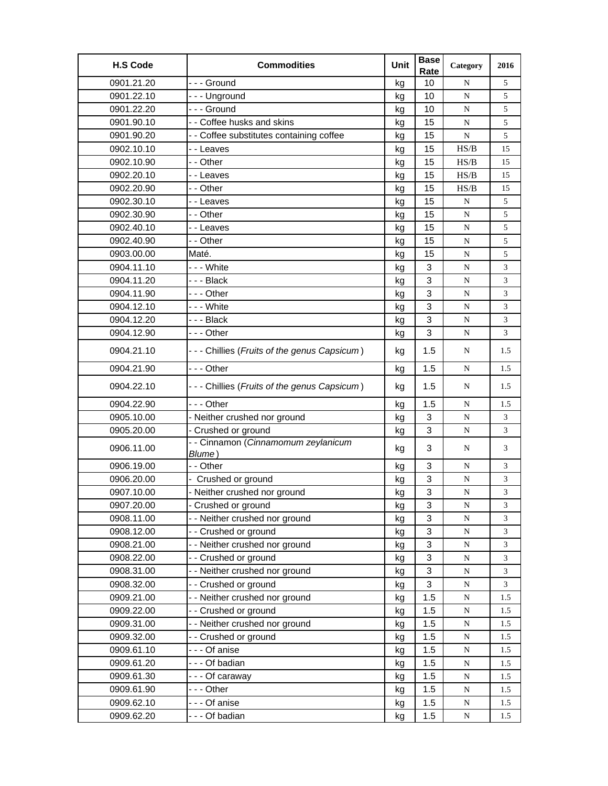| --- Ground<br>0901.21.20<br>10<br>5<br>N<br>kg<br>10<br>5<br>0901.22.10<br>--- Unground<br>${\bf N}$<br>kg<br>--- Ground<br>0901.22.20<br>10<br>N<br>5<br>kg<br>0901.90.10<br>- - Coffee husks and skins<br>15<br>N<br>5<br>kg<br>5<br>0901.90.20<br>- - Coffee substitutes containing coffee<br>15<br>N<br>kg<br>0902.10.10<br>15<br>- - Leaves<br>HS/B<br>15<br>kg<br>0902.10.90<br>- - Other<br>15<br>HS/B<br>kg<br>15<br>15<br>0902.20.10<br>- - Leaves<br>HS/B<br>15<br>kg<br>0902.20.90<br>- - Other<br>15<br>HS/B<br>15<br>kg<br>0902.30.10<br>15<br>5<br>- - Leaves<br>N<br>kg<br>5<br>0902.30.90<br>- - Other<br>15<br>${\bf N}$<br>kg<br>0902.40.10<br>15<br>- - Leaves<br>5<br>${\bf N}$<br>kg<br>0902.40.90<br>- - Other<br>15<br>N<br>5<br>kg<br>0903.00.00<br>Maté.<br>15<br>5<br>N<br>kg<br>3<br>--- White<br>0904.11.10<br>3<br>N<br>kg<br>3<br>0904.11.20<br>--- Black<br>N<br>3<br>kg<br>3<br>0904.11.90<br>--- Other<br>3<br>${\bf N}$<br>kg<br>3<br>0904.12.10<br>- - - White<br>3<br>${\bf N}$<br>kg<br>0904.12.20<br>--- Black<br>3<br>${\bf N}$<br>3<br>kg<br>3<br>0904.12.90<br>3<br>- - - Other<br>N<br>kg<br>0904.21.10<br>1.5<br>- - - Chillies (Fruits of the genus Capsicum)<br>N<br>1.5<br>kg<br>1.5<br>0904.21.90<br>--- Other<br>1.5<br>N<br>kg<br>0904.22.10<br>- - - Chillies (Fruits of the genus Capsicum)<br>1.5<br>kg<br>N<br>1.5<br>0904.22.90<br>--- Other<br>1.5<br>N<br>1.5<br>kg<br>3<br>0905.10.00<br>- Neither crushed nor ground<br>3<br>N<br>kg<br>3<br>0905.20.00<br>- Crushed or ground<br>3<br>N<br>kg<br>- - Cinnamon (Cinnamomum zeylanicum<br>0906.11.00<br>3<br>kg<br>3<br>N<br>Blume)<br>0906.19.00<br>- - Other<br>3<br>3<br>kg<br>N<br>0906.20.00<br>- Crushed or ground<br>3<br>${\bf N}$<br>3<br>kg<br>3<br>0907.10.00<br>- Neither crushed nor ground<br>3<br>${\bf N}$<br>kg<br>- Crushed or ground<br>3<br>0907.20.00<br>${\bf N}$<br>3<br>kg<br>- - Neither crushed nor ground<br>3<br>0908.11.00<br>3<br>${\bf N}$<br>kg<br>3<br>0908.12.00<br>-- Crushed or ground<br>${\bf N}$<br>3<br>kg<br>- - Neither crushed nor ground<br>0908.21.00<br>3<br>${\bf N}$<br>3<br>kg<br>- - Crushed or ground<br>3<br>0908.22.00<br>${\bf N}$<br>3<br>kg<br>3<br>- - Neither crushed nor ground<br>0908.31.00<br>${\bf N}$<br>3<br>kg<br>3<br>0908.32.00<br>-- Crushed or ground<br>3<br>${\bf N}$<br>kg<br>0909.21.00<br>-- Neither crushed nor ground<br>1.5<br>${\bf N}$<br>1.5<br>kg<br>0909.22.00<br>- - Crushed or ground<br>1.5<br>${\bf N}$<br>kg<br>1.5<br>- - Neither crushed nor ground<br>0909.31.00<br>1.5<br>kg<br>${\bf N}$<br>1.5<br>0909.32.00<br>- - Crushed or ground<br>1.5<br>${\bf N}$<br>1.5<br>kg<br>0909.61.10<br>--- Of anise<br>1.5<br>${\bf N}$<br>1.5<br>kg<br>0909.61.20<br>--- Of badian<br>1.5<br>${\bf N}$<br>1.5<br>kg<br>0909.61.30<br>--- Of caraway<br>1.5<br>kg<br>N<br>1.5<br>0909.61.90<br>--- Other<br>1.5<br>${\bf N}$<br>1.5<br>kg | <b>H.S Code</b> | <b>Commodities</b> | Unit | <b>Base</b><br>Rate | Category  | 2016 |
|-----------------------------------------------------------------------------------------------------------------------------------------------------------------------------------------------------------------------------------------------------------------------------------------------------------------------------------------------------------------------------------------------------------------------------------------------------------------------------------------------------------------------------------------------------------------------------------------------------------------------------------------------------------------------------------------------------------------------------------------------------------------------------------------------------------------------------------------------------------------------------------------------------------------------------------------------------------------------------------------------------------------------------------------------------------------------------------------------------------------------------------------------------------------------------------------------------------------------------------------------------------------------------------------------------------------------------------------------------------------------------------------------------------------------------------------------------------------------------------------------------------------------------------------------------------------------------------------------------------------------------------------------------------------------------------------------------------------------------------------------------------------------------------------------------------------------------------------------------------------------------------------------------------------------------------------------------------------------------------------------------------------------------------------------------------------------------------------------------------------------------------------------------------------------------------------------------------------------------------------------------------------------------------------------------------------------------------------------------------------------------------------------------------------------------------------------------------------------------------------------------------------------------------------------------------------------------------------------------------------------------------------------------------------------------------------------------------------------------------------------------------------------------------------------------------------------------------------------------------------------------------------------------------------------------------|-----------------|--------------------|------|---------------------|-----------|------|
|                                                                                                                                                                                                                                                                                                                                                                                                                                                                                                                                                                                                                                                                                                                                                                                                                                                                                                                                                                                                                                                                                                                                                                                                                                                                                                                                                                                                                                                                                                                                                                                                                                                                                                                                                                                                                                                                                                                                                                                                                                                                                                                                                                                                                                                                                                                                                                                                                                                                                                                                                                                                                                                                                                                                                                                                                                                                                                                                   |                 |                    |      |                     |           |      |
|                                                                                                                                                                                                                                                                                                                                                                                                                                                                                                                                                                                                                                                                                                                                                                                                                                                                                                                                                                                                                                                                                                                                                                                                                                                                                                                                                                                                                                                                                                                                                                                                                                                                                                                                                                                                                                                                                                                                                                                                                                                                                                                                                                                                                                                                                                                                                                                                                                                                                                                                                                                                                                                                                                                                                                                                                                                                                                                                   |                 |                    |      |                     |           |      |
|                                                                                                                                                                                                                                                                                                                                                                                                                                                                                                                                                                                                                                                                                                                                                                                                                                                                                                                                                                                                                                                                                                                                                                                                                                                                                                                                                                                                                                                                                                                                                                                                                                                                                                                                                                                                                                                                                                                                                                                                                                                                                                                                                                                                                                                                                                                                                                                                                                                                                                                                                                                                                                                                                                                                                                                                                                                                                                                                   |                 |                    |      |                     |           |      |
|                                                                                                                                                                                                                                                                                                                                                                                                                                                                                                                                                                                                                                                                                                                                                                                                                                                                                                                                                                                                                                                                                                                                                                                                                                                                                                                                                                                                                                                                                                                                                                                                                                                                                                                                                                                                                                                                                                                                                                                                                                                                                                                                                                                                                                                                                                                                                                                                                                                                                                                                                                                                                                                                                                                                                                                                                                                                                                                                   |                 |                    |      |                     |           |      |
|                                                                                                                                                                                                                                                                                                                                                                                                                                                                                                                                                                                                                                                                                                                                                                                                                                                                                                                                                                                                                                                                                                                                                                                                                                                                                                                                                                                                                                                                                                                                                                                                                                                                                                                                                                                                                                                                                                                                                                                                                                                                                                                                                                                                                                                                                                                                                                                                                                                                                                                                                                                                                                                                                                                                                                                                                                                                                                                                   |                 |                    |      |                     |           |      |
|                                                                                                                                                                                                                                                                                                                                                                                                                                                                                                                                                                                                                                                                                                                                                                                                                                                                                                                                                                                                                                                                                                                                                                                                                                                                                                                                                                                                                                                                                                                                                                                                                                                                                                                                                                                                                                                                                                                                                                                                                                                                                                                                                                                                                                                                                                                                                                                                                                                                                                                                                                                                                                                                                                                                                                                                                                                                                                                                   |                 |                    |      |                     |           |      |
|                                                                                                                                                                                                                                                                                                                                                                                                                                                                                                                                                                                                                                                                                                                                                                                                                                                                                                                                                                                                                                                                                                                                                                                                                                                                                                                                                                                                                                                                                                                                                                                                                                                                                                                                                                                                                                                                                                                                                                                                                                                                                                                                                                                                                                                                                                                                                                                                                                                                                                                                                                                                                                                                                                                                                                                                                                                                                                                                   |                 |                    |      |                     |           |      |
|                                                                                                                                                                                                                                                                                                                                                                                                                                                                                                                                                                                                                                                                                                                                                                                                                                                                                                                                                                                                                                                                                                                                                                                                                                                                                                                                                                                                                                                                                                                                                                                                                                                                                                                                                                                                                                                                                                                                                                                                                                                                                                                                                                                                                                                                                                                                                                                                                                                                                                                                                                                                                                                                                                                                                                                                                                                                                                                                   |                 |                    |      |                     |           |      |
|                                                                                                                                                                                                                                                                                                                                                                                                                                                                                                                                                                                                                                                                                                                                                                                                                                                                                                                                                                                                                                                                                                                                                                                                                                                                                                                                                                                                                                                                                                                                                                                                                                                                                                                                                                                                                                                                                                                                                                                                                                                                                                                                                                                                                                                                                                                                                                                                                                                                                                                                                                                                                                                                                                                                                                                                                                                                                                                                   |                 |                    |      |                     |           |      |
|                                                                                                                                                                                                                                                                                                                                                                                                                                                                                                                                                                                                                                                                                                                                                                                                                                                                                                                                                                                                                                                                                                                                                                                                                                                                                                                                                                                                                                                                                                                                                                                                                                                                                                                                                                                                                                                                                                                                                                                                                                                                                                                                                                                                                                                                                                                                                                                                                                                                                                                                                                                                                                                                                                                                                                                                                                                                                                                                   |                 |                    |      |                     |           |      |
|                                                                                                                                                                                                                                                                                                                                                                                                                                                                                                                                                                                                                                                                                                                                                                                                                                                                                                                                                                                                                                                                                                                                                                                                                                                                                                                                                                                                                                                                                                                                                                                                                                                                                                                                                                                                                                                                                                                                                                                                                                                                                                                                                                                                                                                                                                                                                                                                                                                                                                                                                                                                                                                                                                                                                                                                                                                                                                                                   |                 |                    |      |                     |           |      |
|                                                                                                                                                                                                                                                                                                                                                                                                                                                                                                                                                                                                                                                                                                                                                                                                                                                                                                                                                                                                                                                                                                                                                                                                                                                                                                                                                                                                                                                                                                                                                                                                                                                                                                                                                                                                                                                                                                                                                                                                                                                                                                                                                                                                                                                                                                                                                                                                                                                                                                                                                                                                                                                                                                                                                                                                                                                                                                                                   |                 |                    |      |                     |           |      |
|                                                                                                                                                                                                                                                                                                                                                                                                                                                                                                                                                                                                                                                                                                                                                                                                                                                                                                                                                                                                                                                                                                                                                                                                                                                                                                                                                                                                                                                                                                                                                                                                                                                                                                                                                                                                                                                                                                                                                                                                                                                                                                                                                                                                                                                                                                                                                                                                                                                                                                                                                                                                                                                                                                                                                                                                                                                                                                                                   |                 |                    |      |                     |           |      |
|                                                                                                                                                                                                                                                                                                                                                                                                                                                                                                                                                                                                                                                                                                                                                                                                                                                                                                                                                                                                                                                                                                                                                                                                                                                                                                                                                                                                                                                                                                                                                                                                                                                                                                                                                                                                                                                                                                                                                                                                                                                                                                                                                                                                                                                                                                                                                                                                                                                                                                                                                                                                                                                                                                                                                                                                                                                                                                                                   |                 |                    |      |                     |           |      |
|                                                                                                                                                                                                                                                                                                                                                                                                                                                                                                                                                                                                                                                                                                                                                                                                                                                                                                                                                                                                                                                                                                                                                                                                                                                                                                                                                                                                                                                                                                                                                                                                                                                                                                                                                                                                                                                                                                                                                                                                                                                                                                                                                                                                                                                                                                                                                                                                                                                                                                                                                                                                                                                                                                                                                                                                                                                                                                                                   |                 |                    |      |                     |           |      |
|                                                                                                                                                                                                                                                                                                                                                                                                                                                                                                                                                                                                                                                                                                                                                                                                                                                                                                                                                                                                                                                                                                                                                                                                                                                                                                                                                                                                                                                                                                                                                                                                                                                                                                                                                                                                                                                                                                                                                                                                                                                                                                                                                                                                                                                                                                                                                                                                                                                                                                                                                                                                                                                                                                                                                                                                                                                                                                                                   |                 |                    |      |                     |           |      |
|                                                                                                                                                                                                                                                                                                                                                                                                                                                                                                                                                                                                                                                                                                                                                                                                                                                                                                                                                                                                                                                                                                                                                                                                                                                                                                                                                                                                                                                                                                                                                                                                                                                                                                                                                                                                                                                                                                                                                                                                                                                                                                                                                                                                                                                                                                                                                                                                                                                                                                                                                                                                                                                                                                                                                                                                                                                                                                                                   |                 |                    |      |                     |           |      |
|                                                                                                                                                                                                                                                                                                                                                                                                                                                                                                                                                                                                                                                                                                                                                                                                                                                                                                                                                                                                                                                                                                                                                                                                                                                                                                                                                                                                                                                                                                                                                                                                                                                                                                                                                                                                                                                                                                                                                                                                                                                                                                                                                                                                                                                                                                                                                                                                                                                                                                                                                                                                                                                                                                                                                                                                                                                                                                                                   |                 |                    |      |                     |           |      |
|                                                                                                                                                                                                                                                                                                                                                                                                                                                                                                                                                                                                                                                                                                                                                                                                                                                                                                                                                                                                                                                                                                                                                                                                                                                                                                                                                                                                                                                                                                                                                                                                                                                                                                                                                                                                                                                                                                                                                                                                                                                                                                                                                                                                                                                                                                                                                                                                                                                                                                                                                                                                                                                                                                                                                                                                                                                                                                                                   |                 |                    |      |                     |           |      |
|                                                                                                                                                                                                                                                                                                                                                                                                                                                                                                                                                                                                                                                                                                                                                                                                                                                                                                                                                                                                                                                                                                                                                                                                                                                                                                                                                                                                                                                                                                                                                                                                                                                                                                                                                                                                                                                                                                                                                                                                                                                                                                                                                                                                                                                                                                                                                                                                                                                                                                                                                                                                                                                                                                                                                                                                                                                                                                                                   |                 |                    |      |                     |           |      |
|                                                                                                                                                                                                                                                                                                                                                                                                                                                                                                                                                                                                                                                                                                                                                                                                                                                                                                                                                                                                                                                                                                                                                                                                                                                                                                                                                                                                                                                                                                                                                                                                                                                                                                                                                                                                                                                                                                                                                                                                                                                                                                                                                                                                                                                                                                                                                                                                                                                                                                                                                                                                                                                                                                                                                                                                                                                                                                                                   |                 |                    |      |                     |           |      |
|                                                                                                                                                                                                                                                                                                                                                                                                                                                                                                                                                                                                                                                                                                                                                                                                                                                                                                                                                                                                                                                                                                                                                                                                                                                                                                                                                                                                                                                                                                                                                                                                                                                                                                                                                                                                                                                                                                                                                                                                                                                                                                                                                                                                                                                                                                                                                                                                                                                                                                                                                                                                                                                                                                                                                                                                                                                                                                                                   |                 |                    |      |                     |           |      |
|                                                                                                                                                                                                                                                                                                                                                                                                                                                                                                                                                                                                                                                                                                                                                                                                                                                                                                                                                                                                                                                                                                                                                                                                                                                                                                                                                                                                                                                                                                                                                                                                                                                                                                                                                                                                                                                                                                                                                                                                                                                                                                                                                                                                                                                                                                                                                                                                                                                                                                                                                                                                                                                                                                                                                                                                                                                                                                                                   |                 |                    |      |                     |           |      |
|                                                                                                                                                                                                                                                                                                                                                                                                                                                                                                                                                                                                                                                                                                                                                                                                                                                                                                                                                                                                                                                                                                                                                                                                                                                                                                                                                                                                                                                                                                                                                                                                                                                                                                                                                                                                                                                                                                                                                                                                                                                                                                                                                                                                                                                                                                                                                                                                                                                                                                                                                                                                                                                                                                                                                                                                                                                                                                                                   |                 |                    |      |                     |           |      |
|                                                                                                                                                                                                                                                                                                                                                                                                                                                                                                                                                                                                                                                                                                                                                                                                                                                                                                                                                                                                                                                                                                                                                                                                                                                                                                                                                                                                                                                                                                                                                                                                                                                                                                                                                                                                                                                                                                                                                                                                                                                                                                                                                                                                                                                                                                                                                                                                                                                                                                                                                                                                                                                                                                                                                                                                                                                                                                                                   |                 |                    |      |                     |           |      |
|                                                                                                                                                                                                                                                                                                                                                                                                                                                                                                                                                                                                                                                                                                                                                                                                                                                                                                                                                                                                                                                                                                                                                                                                                                                                                                                                                                                                                                                                                                                                                                                                                                                                                                                                                                                                                                                                                                                                                                                                                                                                                                                                                                                                                                                                                                                                                                                                                                                                                                                                                                                                                                                                                                                                                                                                                                                                                                                                   |                 |                    |      |                     |           |      |
|                                                                                                                                                                                                                                                                                                                                                                                                                                                                                                                                                                                                                                                                                                                                                                                                                                                                                                                                                                                                                                                                                                                                                                                                                                                                                                                                                                                                                                                                                                                                                                                                                                                                                                                                                                                                                                                                                                                                                                                                                                                                                                                                                                                                                                                                                                                                                                                                                                                                                                                                                                                                                                                                                                                                                                                                                                                                                                                                   |                 |                    |      |                     |           |      |
|                                                                                                                                                                                                                                                                                                                                                                                                                                                                                                                                                                                                                                                                                                                                                                                                                                                                                                                                                                                                                                                                                                                                                                                                                                                                                                                                                                                                                                                                                                                                                                                                                                                                                                                                                                                                                                                                                                                                                                                                                                                                                                                                                                                                                                                                                                                                                                                                                                                                                                                                                                                                                                                                                                                                                                                                                                                                                                                                   |                 |                    |      |                     |           |      |
|                                                                                                                                                                                                                                                                                                                                                                                                                                                                                                                                                                                                                                                                                                                                                                                                                                                                                                                                                                                                                                                                                                                                                                                                                                                                                                                                                                                                                                                                                                                                                                                                                                                                                                                                                                                                                                                                                                                                                                                                                                                                                                                                                                                                                                                                                                                                                                                                                                                                                                                                                                                                                                                                                                                                                                                                                                                                                                                                   |                 |                    |      |                     |           |      |
|                                                                                                                                                                                                                                                                                                                                                                                                                                                                                                                                                                                                                                                                                                                                                                                                                                                                                                                                                                                                                                                                                                                                                                                                                                                                                                                                                                                                                                                                                                                                                                                                                                                                                                                                                                                                                                                                                                                                                                                                                                                                                                                                                                                                                                                                                                                                                                                                                                                                                                                                                                                                                                                                                                                                                                                                                                                                                                                                   |                 |                    |      |                     |           |      |
|                                                                                                                                                                                                                                                                                                                                                                                                                                                                                                                                                                                                                                                                                                                                                                                                                                                                                                                                                                                                                                                                                                                                                                                                                                                                                                                                                                                                                                                                                                                                                                                                                                                                                                                                                                                                                                                                                                                                                                                                                                                                                                                                                                                                                                                                                                                                                                                                                                                                                                                                                                                                                                                                                                                                                                                                                                                                                                                                   |                 |                    |      |                     |           |      |
|                                                                                                                                                                                                                                                                                                                                                                                                                                                                                                                                                                                                                                                                                                                                                                                                                                                                                                                                                                                                                                                                                                                                                                                                                                                                                                                                                                                                                                                                                                                                                                                                                                                                                                                                                                                                                                                                                                                                                                                                                                                                                                                                                                                                                                                                                                                                                                                                                                                                                                                                                                                                                                                                                                                                                                                                                                                                                                                                   |                 |                    |      |                     |           |      |
|                                                                                                                                                                                                                                                                                                                                                                                                                                                                                                                                                                                                                                                                                                                                                                                                                                                                                                                                                                                                                                                                                                                                                                                                                                                                                                                                                                                                                                                                                                                                                                                                                                                                                                                                                                                                                                                                                                                                                                                                                                                                                                                                                                                                                                                                                                                                                                                                                                                                                                                                                                                                                                                                                                                                                                                                                                                                                                                                   |                 |                    |      |                     |           |      |
|                                                                                                                                                                                                                                                                                                                                                                                                                                                                                                                                                                                                                                                                                                                                                                                                                                                                                                                                                                                                                                                                                                                                                                                                                                                                                                                                                                                                                                                                                                                                                                                                                                                                                                                                                                                                                                                                                                                                                                                                                                                                                                                                                                                                                                                                                                                                                                                                                                                                                                                                                                                                                                                                                                                                                                                                                                                                                                                                   |                 |                    |      |                     |           |      |
|                                                                                                                                                                                                                                                                                                                                                                                                                                                                                                                                                                                                                                                                                                                                                                                                                                                                                                                                                                                                                                                                                                                                                                                                                                                                                                                                                                                                                                                                                                                                                                                                                                                                                                                                                                                                                                                                                                                                                                                                                                                                                                                                                                                                                                                                                                                                                                                                                                                                                                                                                                                                                                                                                                                                                                                                                                                                                                                                   |                 |                    |      |                     |           |      |
|                                                                                                                                                                                                                                                                                                                                                                                                                                                                                                                                                                                                                                                                                                                                                                                                                                                                                                                                                                                                                                                                                                                                                                                                                                                                                                                                                                                                                                                                                                                                                                                                                                                                                                                                                                                                                                                                                                                                                                                                                                                                                                                                                                                                                                                                                                                                                                                                                                                                                                                                                                                                                                                                                                                                                                                                                                                                                                                                   |                 |                    |      |                     |           |      |
|                                                                                                                                                                                                                                                                                                                                                                                                                                                                                                                                                                                                                                                                                                                                                                                                                                                                                                                                                                                                                                                                                                                                                                                                                                                                                                                                                                                                                                                                                                                                                                                                                                                                                                                                                                                                                                                                                                                                                                                                                                                                                                                                                                                                                                                                                                                                                                                                                                                                                                                                                                                                                                                                                                                                                                                                                                                                                                                                   |                 |                    |      |                     |           |      |
|                                                                                                                                                                                                                                                                                                                                                                                                                                                                                                                                                                                                                                                                                                                                                                                                                                                                                                                                                                                                                                                                                                                                                                                                                                                                                                                                                                                                                                                                                                                                                                                                                                                                                                                                                                                                                                                                                                                                                                                                                                                                                                                                                                                                                                                                                                                                                                                                                                                                                                                                                                                                                                                                                                                                                                                                                                                                                                                                   |                 |                    |      |                     |           |      |
|                                                                                                                                                                                                                                                                                                                                                                                                                                                                                                                                                                                                                                                                                                                                                                                                                                                                                                                                                                                                                                                                                                                                                                                                                                                                                                                                                                                                                                                                                                                                                                                                                                                                                                                                                                                                                                                                                                                                                                                                                                                                                                                                                                                                                                                                                                                                                                                                                                                                                                                                                                                                                                                                                                                                                                                                                                                                                                                                   |                 |                    |      |                     |           |      |
|                                                                                                                                                                                                                                                                                                                                                                                                                                                                                                                                                                                                                                                                                                                                                                                                                                                                                                                                                                                                                                                                                                                                                                                                                                                                                                                                                                                                                                                                                                                                                                                                                                                                                                                                                                                                                                                                                                                                                                                                                                                                                                                                                                                                                                                                                                                                                                                                                                                                                                                                                                                                                                                                                                                                                                                                                                                                                                                                   |                 |                    |      |                     |           |      |
|                                                                                                                                                                                                                                                                                                                                                                                                                                                                                                                                                                                                                                                                                                                                                                                                                                                                                                                                                                                                                                                                                                                                                                                                                                                                                                                                                                                                                                                                                                                                                                                                                                                                                                                                                                                                                                                                                                                                                                                                                                                                                                                                                                                                                                                                                                                                                                                                                                                                                                                                                                                                                                                                                                                                                                                                                                                                                                                                   |                 |                    |      |                     |           |      |
|                                                                                                                                                                                                                                                                                                                                                                                                                                                                                                                                                                                                                                                                                                                                                                                                                                                                                                                                                                                                                                                                                                                                                                                                                                                                                                                                                                                                                                                                                                                                                                                                                                                                                                                                                                                                                                                                                                                                                                                                                                                                                                                                                                                                                                                                                                                                                                                                                                                                                                                                                                                                                                                                                                                                                                                                                                                                                                                                   |                 |                    |      |                     |           |      |
|                                                                                                                                                                                                                                                                                                                                                                                                                                                                                                                                                                                                                                                                                                                                                                                                                                                                                                                                                                                                                                                                                                                                                                                                                                                                                                                                                                                                                                                                                                                                                                                                                                                                                                                                                                                                                                                                                                                                                                                                                                                                                                                                                                                                                                                                                                                                                                                                                                                                                                                                                                                                                                                                                                                                                                                                                                                                                                                                   |                 |                    |      |                     |           |      |
|                                                                                                                                                                                                                                                                                                                                                                                                                                                                                                                                                                                                                                                                                                                                                                                                                                                                                                                                                                                                                                                                                                                                                                                                                                                                                                                                                                                                                                                                                                                                                                                                                                                                                                                                                                                                                                                                                                                                                                                                                                                                                                                                                                                                                                                                                                                                                                                                                                                                                                                                                                                                                                                                                                                                                                                                                                                                                                                                   |                 |                    |      |                     |           |      |
|                                                                                                                                                                                                                                                                                                                                                                                                                                                                                                                                                                                                                                                                                                                                                                                                                                                                                                                                                                                                                                                                                                                                                                                                                                                                                                                                                                                                                                                                                                                                                                                                                                                                                                                                                                                                                                                                                                                                                                                                                                                                                                                                                                                                                                                                                                                                                                                                                                                                                                                                                                                                                                                                                                                                                                                                                                                                                                                                   |                 |                    |      |                     |           |      |
|                                                                                                                                                                                                                                                                                                                                                                                                                                                                                                                                                                                                                                                                                                                                                                                                                                                                                                                                                                                                                                                                                                                                                                                                                                                                                                                                                                                                                                                                                                                                                                                                                                                                                                                                                                                                                                                                                                                                                                                                                                                                                                                                                                                                                                                                                                                                                                                                                                                                                                                                                                                                                                                                                                                                                                                                                                                                                                                                   | 0909.62.10      | --- Of anise       | kg   | 1.5                 | ${\bf N}$ | 1.5  |
| - - - Of badian<br>0909.62.20<br>1.5<br>${\bf N}$<br>1.5<br>kg                                                                                                                                                                                                                                                                                                                                                                                                                                                                                                                                                                                                                                                                                                                                                                                                                                                                                                                                                                                                                                                                                                                                                                                                                                                                                                                                                                                                                                                                                                                                                                                                                                                                                                                                                                                                                                                                                                                                                                                                                                                                                                                                                                                                                                                                                                                                                                                                                                                                                                                                                                                                                                                                                                                                                                                                                                                                    |                 |                    |      |                     |           |      |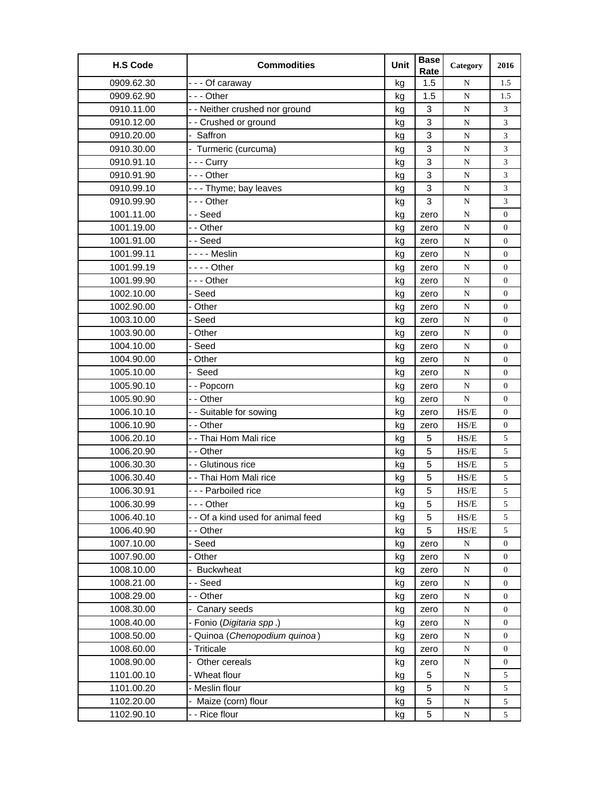| 1.5<br>0909.62.30<br>--- Of caraway<br>kg<br>N<br>1.5<br>0909.62.90<br>- - - Other<br>1.5<br>N<br>kg<br>1.5<br>3<br>0910.11.00<br>- - Neither crushed nor ground<br>${\bf N}$<br>3<br>kg<br>3<br>0910.12.00<br>- - Crushed or ground<br>3<br>N<br>kg<br>- Saffron<br>0910.20.00<br>3<br>${\bf N}$<br>3<br>kg<br>3<br>- Turmeric (curcuma)<br>0910.30.00<br>3<br>N<br>kg<br>3<br>0910.91.10<br>- - - Curry<br>3<br>N<br>kg<br>3<br>$\mathfrak{Z}$<br>0910.91.90<br>--- Other<br>${\bf N}$<br>kg<br>0910.99.10<br>3<br>$\mathfrak{Z}$<br>--- Thyme; bay leaves<br>${\bf N}$<br>kg<br>0910.99.90<br>--- Other<br>3<br>${\bf N}$<br>3<br>kg<br>1001.11.00<br>--Seed<br>N<br>$\overline{0}$<br>kg<br>zero<br>- - Other<br>1001.19.00<br>${\bf N}$<br>$\overline{0}$<br>kg<br>zero<br>1001.91.00<br>--Seed<br>${\bf N}$<br>$\boldsymbol{0}$<br>kg<br>zero<br>- - - - Meslin<br>1001.99.11<br>N<br>$\boldsymbol{0}$<br>kg<br>zero<br>1001.99.19<br>- - - - Other<br>N<br>kg<br>$\overline{0}$<br>zero<br>1001.99.90<br>--- Other<br>${\bf N}$<br>$\overline{0}$<br>kg<br>zero<br>1002.10.00<br>${\bf N}$<br>- Seed<br>$\boldsymbol{0}$<br>kg<br>zero<br>1002.90.00<br>Other<br>N<br>$\boldsymbol{0}$<br>kg<br>zero<br>1003.10.00<br>- Seed<br>N<br>$\boldsymbol{0}$<br>kg<br>zero<br>1003.90.00<br>- Other<br>${\bf N}$<br>$\overline{0}$<br>kg<br>zero<br>- Seed<br>1004.10.00<br>N<br>$\boldsymbol{0}$<br>kg<br>zero<br>1004.90.00<br>Other<br>${\bf N}$<br>$\boldsymbol{0}$<br>kg<br>zero<br>- Seed<br>1005.10.00<br>N<br>$\overline{0}$<br>kg<br>zero<br>1005.90.10<br>- - Popcorn<br>kg<br>N<br>$\overline{0}$<br>zero<br>1005.90.90<br>- - Other<br>${\bf N}$<br>$\overline{0}$<br>kg<br>zero<br>$\ensuremath{\mathbf{H}}\ensuremath{\mathbf{S}}\ensuremath{\mathbf{E}}$<br>1006.10.10<br>- - Suitable for sowing<br>$\overline{0}$<br>kg<br>zero<br>1006.10.90<br>- - Other<br>HS/E<br>kg<br>0<br>zero<br>1006.20.10<br>- - Thai Hom Mali rice<br>HS/E<br>5<br>5<br>kg<br>- - Other<br>HS/E<br>5<br>1006.20.90<br>5<br>kg<br>1006.30.30<br>- - Glutinous rice<br>5<br>5<br>HS/E<br>kg<br>- - Thai Hom Mali rice<br>5<br>1006.30.40<br>5<br>HS/E<br>kg<br>5<br>5<br>1006.30.91<br>--- Parboiled rice<br>HS/E<br>kg<br>1006.30.99<br>--- Other<br>5<br>$\ensuremath{\mathbf{H}}\ensuremath{\mathbf{S}}\ensuremath{\mathbf{E}}$<br>kg<br>5<br>5<br>1006.40.10<br>- - Of a kind used for animal feed<br>5<br>HS/E<br>kg<br>5<br>1006.40.90<br>- - Other<br>$\ensuremath{\mathsf{HS}}\xspace/\ensuremath{\mathsf{E}}$<br>5<br>kg<br>1007.10.00<br>- Seed<br>${\bf N}$<br>$\boldsymbol{0}$<br>kg<br>zero<br>1007.90.00<br>- Other<br>kg<br>zero<br>${\bf N}$<br>0<br>- Buckwheat<br>1008.10.00<br>${\bf N}$<br>$\boldsymbol{0}$<br>kg<br>zero<br>1008.21.00<br>- - Seed<br>${\bf N}$<br>0<br>kg<br>zero<br>1008.29.00<br>- - Other<br>N<br>0<br>kg<br>zero<br>1008.30.00<br>Canary seeds<br>N<br>0<br>kg<br>zero<br>1008.40.00<br>- Fonio (Digitaria spp.)<br>${\bf N}$<br>kg<br>0<br>zero<br>- Quinoa (Chenopodium quinoa)<br>1008.50.00<br>kg<br>${\bf N}$<br>$\boldsymbol{0}$<br>zero<br>- Triticale<br>1008.60.00<br>${\bf N}$<br>$\overline{0}$<br>kg<br>zero<br>1008.90.00<br>Other cereals<br>${\bf N}$<br>0<br>kg<br>zero<br>1101.00.10<br>- Wheat flour<br>5<br>5<br>kg<br>N<br>1101.00.20<br>- Meslin flour<br>5<br>5<br>${\bf N}$<br>kg<br>Maize (corn) flour<br>1102.20.00<br>5<br>5<br>${\bf N}$<br>kg<br>- - Rice flour<br>1102.90.10<br>5<br>N<br>5<br>kg | <b>H.S Code</b> | <b>Commodities</b> | Unit | <b>Base</b><br>Rate | Category | 2016 |
|--------------------------------------------------------------------------------------------------------------------------------------------------------------------------------------------------------------------------------------------------------------------------------------------------------------------------------------------------------------------------------------------------------------------------------------------------------------------------------------------------------------------------------------------------------------------------------------------------------------------------------------------------------------------------------------------------------------------------------------------------------------------------------------------------------------------------------------------------------------------------------------------------------------------------------------------------------------------------------------------------------------------------------------------------------------------------------------------------------------------------------------------------------------------------------------------------------------------------------------------------------------------------------------------------------------------------------------------------------------------------------------------------------------------------------------------------------------------------------------------------------------------------------------------------------------------------------------------------------------------------------------------------------------------------------------------------------------------------------------------------------------------------------------------------------------------------------------------------------------------------------------------------------------------------------------------------------------------------------------------------------------------------------------------------------------------------------------------------------------------------------------------------------------------------------------------------------------------------------------------------------------------------------------------------------------------------------------------------------------------------------------------------------------------------------------------------------------------------------------------------------------------------------------------------------------------------------------------------------------------------------------------------------------------------------------------------------------------------------------------------------------------------------------------------------------------------------------------------------------------------------------------------------------------------------------------------------------------------------------------------------------------------------------------------------------------------------------------------------------------------------------------------------------------------------------------------------------------------------------------------------------------------------------------------------------------------------------------------------------------------------------------------------------------------------------------------------------------|-----------------|--------------------|------|---------------------|----------|------|
|                                                                                                                                                                                                                                                                                                                                                                                                                                                                                                                                                                                                                                                                                                                                                                                                                                                                                                                                                                                                                                                                                                                                                                                                                                                                                                                                                                                                                                                                                                                                                                                                                                                                                                                                                                                                                                                                                                                                                                                                                                                                                                                                                                                                                                                                                                                                                                                                                                                                                                                                                                                                                                                                                                                                                                                                                                                                                                                                                                                                                                                                                                                                                                                                                                                                                                                                                                                                                                                                    |                 |                    |      |                     |          |      |
|                                                                                                                                                                                                                                                                                                                                                                                                                                                                                                                                                                                                                                                                                                                                                                                                                                                                                                                                                                                                                                                                                                                                                                                                                                                                                                                                                                                                                                                                                                                                                                                                                                                                                                                                                                                                                                                                                                                                                                                                                                                                                                                                                                                                                                                                                                                                                                                                                                                                                                                                                                                                                                                                                                                                                                                                                                                                                                                                                                                                                                                                                                                                                                                                                                                                                                                                                                                                                                                                    |                 |                    |      |                     |          |      |
|                                                                                                                                                                                                                                                                                                                                                                                                                                                                                                                                                                                                                                                                                                                                                                                                                                                                                                                                                                                                                                                                                                                                                                                                                                                                                                                                                                                                                                                                                                                                                                                                                                                                                                                                                                                                                                                                                                                                                                                                                                                                                                                                                                                                                                                                                                                                                                                                                                                                                                                                                                                                                                                                                                                                                                                                                                                                                                                                                                                                                                                                                                                                                                                                                                                                                                                                                                                                                                                                    |                 |                    |      |                     |          |      |
|                                                                                                                                                                                                                                                                                                                                                                                                                                                                                                                                                                                                                                                                                                                                                                                                                                                                                                                                                                                                                                                                                                                                                                                                                                                                                                                                                                                                                                                                                                                                                                                                                                                                                                                                                                                                                                                                                                                                                                                                                                                                                                                                                                                                                                                                                                                                                                                                                                                                                                                                                                                                                                                                                                                                                                                                                                                                                                                                                                                                                                                                                                                                                                                                                                                                                                                                                                                                                                                                    |                 |                    |      |                     |          |      |
|                                                                                                                                                                                                                                                                                                                                                                                                                                                                                                                                                                                                                                                                                                                                                                                                                                                                                                                                                                                                                                                                                                                                                                                                                                                                                                                                                                                                                                                                                                                                                                                                                                                                                                                                                                                                                                                                                                                                                                                                                                                                                                                                                                                                                                                                                                                                                                                                                                                                                                                                                                                                                                                                                                                                                                                                                                                                                                                                                                                                                                                                                                                                                                                                                                                                                                                                                                                                                                                                    |                 |                    |      |                     |          |      |
|                                                                                                                                                                                                                                                                                                                                                                                                                                                                                                                                                                                                                                                                                                                                                                                                                                                                                                                                                                                                                                                                                                                                                                                                                                                                                                                                                                                                                                                                                                                                                                                                                                                                                                                                                                                                                                                                                                                                                                                                                                                                                                                                                                                                                                                                                                                                                                                                                                                                                                                                                                                                                                                                                                                                                                                                                                                                                                                                                                                                                                                                                                                                                                                                                                                                                                                                                                                                                                                                    |                 |                    |      |                     |          |      |
|                                                                                                                                                                                                                                                                                                                                                                                                                                                                                                                                                                                                                                                                                                                                                                                                                                                                                                                                                                                                                                                                                                                                                                                                                                                                                                                                                                                                                                                                                                                                                                                                                                                                                                                                                                                                                                                                                                                                                                                                                                                                                                                                                                                                                                                                                                                                                                                                                                                                                                                                                                                                                                                                                                                                                                                                                                                                                                                                                                                                                                                                                                                                                                                                                                                                                                                                                                                                                                                                    |                 |                    |      |                     |          |      |
|                                                                                                                                                                                                                                                                                                                                                                                                                                                                                                                                                                                                                                                                                                                                                                                                                                                                                                                                                                                                                                                                                                                                                                                                                                                                                                                                                                                                                                                                                                                                                                                                                                                                                                                                                                                                                                                                                                                                                                                                                                                                                                                                                                                                                                                                                                                                                                                                                                                                                                                                                                                                                                                                                                                                                                                                                                                                                                                                                                                                                                                                                                                                                                                                                                                                                                                                                                                                                                                                    |                 |                    |      |                     |          |      |
|                                                                                                                                                                                                                                                                                                                                                                                                                                                                                                                                                                                                                                                                                                                                                                                                                                                                                                                                                                                                                                                                                                                                                                                                                                                                                                                                                                                                                                                                                                                                                                                                                                                                                                                                                                                                                                                                                                                                                                                                                                                                                                                                                                                                                                                                                                                                                                                                                                                                                                                                                                                                                                                                                                                                                                                                                                                                                                                                                                                                                                                                                                                                                                                                                                                                                                                                                                                                                                                                    |                 |                    |      |                     |          |      |
|                                                                                                                                                                                                                                                                                                                                                                                                                                                                                                                                                                                                                                                                                                                                                                                                                                                                                                                                                                                                                                                                                                                                                                                                                                                                                                                                                                                                                                                                                                                                                                                                                                                                                                                                                                                                                                                                                                                                                                                                                                                                                                                                                                                                                                                                                                                                                                                                                                                                                                                                                                                                                                                                                                                                                                                                                                                                                                                                                                                                                                                                                                                                                                                                                                                                                                                                                                                                                                                                    |                 |                    |      |                     |          |      |
|                                                                                                                                                                                                                                                                                                                                                                                                                                                                                                                                                                                                                                                                                                                                                                                                                                                                                                                                                                                                                                                                                                                                                                                                                                                                                                                                                                                                                                                                                                                                                                                                                                                                                                                                                                                                                                                                                                                                                                                                                                                                                                                                                                                                                                                                                                                                                                                                                                                                                                                                                                                                                                                                                                                                                                                                                                                                                                                                                                                                                                                                                                                                                                                                                                                                                                                                                                                                                                                                    |                 |                    |      |                     |          |      |
|                                                                                                                                                                                                                                                                                                                                                                                                                                                                                                                                                                                                                                                                                                                                                                                                                                                                                                                                                                                                                                                                                                                                                                                                                                                                                                                                                                                                                                                                                                                                                                                                                                                                                                                                                                                                                                                                                                                                                                                                                                                                                                                                                                                                                                                                                                                                                                                                                                                                                                                                                                                                                                                                                                                                                                                                                                                                                                                                                                                                                                                                                                                                                                                                                                                                                                                                                                                                                                                                    |                 |                    |      |                     |          |      |
|                                                                                                                                                                                                                                                                                                                                                                                                                                                                                                                                                                                                                                                                                                                                                                                                                                                                                                                                                                                                                                                                                                                                                                                                                                                                                                                                                                                                                                                                                                                                                                                                                                                                                                                                                                                                                                                                                                                                                                                                                                                                                                                                                                                                                                                                                                                                                                                                                                                                                                                                                                                                                                                                                                                                                                                                                                                                                                                                                                                                                                                                                                                                                                                                                                                                                                                                                                                                                                                                    |                 |                    |      |                     |          |      |
|                                                                                                                                                                                                                                                                                                                                                                                                                                                                                                                                                                                                                                                                                                                                                                                                                                                                                                                                                                                                                                                                                                                                                                                                                                                                                                                                                                                                                                                                                                                                                                                                                                                                                                                                                                                                                                                                                                                                                                                                                                                                                                                                                                                                                                                                                                                                                                                                                                                                                                                                                                                                                                                                                                                                                                                                                                                                                                                                                                                                                                                                                                                                                                                                                                                                                                                                                                                                                                                                    |                 |                    |      |                     |          |      |
|                                                                                                                                                                                                                                                                                                                                                                                                                                                                                                                                                                                                                                                                                                                                                                                                                                                                                                                                                                                                                                                                                                                                                                                                                                                                                                                                                                                                                                                                                                                                                                                                                                                                                                                                                                                                                                                                                                                                                                                                                                                                                                                                                                                                                                                                                                                                                                                                                                                                                                                                                                                                                                                                                                                                                                                                                                                                                                                                                                                                                                                                                                                                                                                                                                                                                                                                                                                                                                                                    |                 |                    |      |                     |          |      |
|                                                                                                                                                                                                                                                                                                                                                                                                                                                                                                                                                                                                                                                                                                                                                                                                                                                                                                                                                                                                                                                                                                                                                                                                                                                                                                                                                                                                                                                                                                                                                                                                                                                                                                                                                                                                                                                                                                                                                                                                                                                                                                                                                                                                                                                                                                                                                                                                                                                                                                                                                                                                                                                                                                                                                                                                                                                                                                                                                                                                                                                                                                                                                                                                                                                                                                                                                                                                                                                                    |                 |                    |      |                     |          |      |
|                                                                                                                                                                                                                                                                                                                                                                                                                                                                                                                                                                                                                                                                                                                                                                                                                                                                                                                                                                                                                                                                                                                                                                                                                                                                                                                                                                                                                                                                                                                                                                                                                                                                                                                                                                                                                                                                                                                                                                                                                                                                                                                                                                                                                                                                                                                                                                                                                                                                                                                                                                                                                                                                                                                                                                                                                                                                                                                                                                                                                                                                                                                                                                                                                                                                                                                                                                                                                                                                    |                 |                    |      |                     |          |      |
|                                                                                                                                                                                                                                                                                                                                                                                                                                                                                                                                                                                                                                                                                                                                                                                                                                                                                                                                                                                                                                                                                                                                                                                                                                                                                                                                                                                                                                                                                                                                                                                                                                                                                                                                                                                                                                                                                                                                                                                                                                                                                                                                                                                                                                                                                                                                                                                                                                                                                                                                                                                                                                                                                                                                                                                                                                                                                                                                                                                                                                                                                                                                                                                                                                                                                                                                                                                                                                                                    |                 |                    |      |                     |          |      |
|                                                                                                                                                                                                                                                                                                                                                                                                                                                                                                                                                                                                                                                                                                                                                                                                                                                                                                                                                                                                                                                                                                                                                                                                                                                                                                                                                                                                                                                                                                                                                                                                                                                                                                                                                                                                                                                                                                                                                                                                                                                                                                                                                                                                                                                                                                                                                                                                                                                                                                                                                                                                                                                                                                                                                                                                                                                                                                                                                                                                                                                                                                                                                                                                                                                                                                                                                                                                                                                                    |                 |                    |      |                     |          |      |
|                                                                                                                                                                                                                                                                                                                                                                                                                                                                                                                                                                                                                                                                                                                                                                                                                                                                                                                                                                                                                                                                                                                                                                                                                                                                                                                                                                                                                                                                                                                                                                                                                                                                                                                                                                                                                                                                                                                                                                                                                                                                                                                                                                                                                                                                                                                                                                                                                                                                                                                                                                                                                                                                                                                                                                                                                                                                                                                                                                                                                                                                                                                                                                                                                                                                                                                                                                                                                                                                    |                 |                    |      |                     |          |      |
|                                                                                                                                                                                                                                                                                                                                                                                                                                                                                                                                                                                                                                                                                                                                                                                                                                                                                                                                                                                                                                                                                                                                                                                                                                                                                                                                                                                                                                                                                                                                                                                                                                                                                                                                                                                                                                                                                                                                                                                                                                                                                                                                                                                                                                                                                                                                                                                                                                                                                                                                                                                                                                                                                                                                                                                                                                                                                                                                                                                                                                                                                                                                                                                                                                                                                                                                                                                                                                                                    |                 |                    |      |                     |          |      |
|                                                                                                                                                                                                                                                                                                                                                                                                                                                                                                                                                                                                                                                                                                                                                                                                                                                                                                                                                                                                                                                                                                                                                                                                                                                                                                                                                                                                                                                                                                                                                                                                                                                                                                                                                                                                                                                                                                                                                                                                                                                                                                                                                                                                                                                                                                                                                                                                                                                                                                                                                                                                                                                                                                                                                                                                                                                                                                                                                                                                                                                                                                                                                                                                                                                                                                                                                                                                                                                                    |                 |                    |      |                     |          |      |
|                                                                                                                                                                                                                                                                                                                                                                                                                                                                                                                                                                                                                                                                                                                                                                                                                                                                                                                                                                                                                                                                                                                                                                                                                                                                                                                                                                                                                                                                                                                                                                                                                                                                                                                                                                                                                                                                                                                                                                                                                                                                                                                                                                                                                                                                                                                                                                                                                                                                                                                                                                                                                                                                                                                                                                                                                                                                                                                                                                                                                                                                                                                                                                                                                                                                                                                                                                                                                                                                    |                 |                    |      |                     |          |      |
|                                                                                                                                                                                                                                                                                                                                                                                                                                                                                                                                                                                                                                                                                                                                                                                                                                                                                                                                                                                                                                                                                                                                                                                                                                                                                                                                                                                                                                                                                                                                                                                                                                                                                                                                                                                                                                                                                                                                                                                                                                                                                                                                                                                                                                                                                                                                                                                                                                                                                                                                                                                                                                                                                                                                                                                                                                                                                                                                                                                                                                                                                                                                                                                                                                                                                                                                                                                                                                                                    |                 |                    |      |                     |          |      |
|                                                                                                                                                                                                                                                                                                                                                                                                                                                                                                                                                                                                                                                                                                                                                                                                                                                                                                                                                                                                                                                                                                                                                                                                                                                                                                                                                                                                                                                                                                                                                                                                                                                                                                                                                                                                                                                                                                                                                                                                                                                                                                                                                                                                                                                                                                                                                                                                                                                                                                                                                                                                                                                                                                                                                                                                                                                                                                                                                                                                                                                                                                                                                                                                                                                                                                                                                                                                                                                                    |                 |                    |      |                     |          |      |
|                                                                                                                                                                                                                                                                                                                                                                                                                                                                                                                                                                                                                                                                                                                                                                                                                                                                                                                                                                                                                                                                                                                                                                                                                                                                                                                                                                                                                                                                                                                                                                                                                                                                                                                                                                                                                                                                                                                                                                                                                                                                                                                                                                                                                                                                                                                                                                                                                                                                                                                                                                                                                                                                                                                                                                                                                                                                                                                                                                                                                                                                                                                                                                                                                                                                                                                                                                                                                                                                    |                 |                    |      |                     |          |      |
|                                                                                                                                                                                                                                                                                                                                                                                                                                                                                                                                                                                                                                                                                                                                                                                                                                                                                                                                                                                                                                                                                                                                                                                                                                                                                                                                                                                                                                                                                                                                                                                                                                                                                                                                                                                                                                                                                                                                                                                                                                                                                                                                                                                                                                                                                                                                                                                                                                                                                                                                                                                                                                                                                                                                                                                                                                                                                                                                                                                                                                                                                                                                                                                                                                                                                                                                                                                                                                                                    |                 |                    |      |                     |          |      |
|                                                                                                                                                                                                                                                                                                                                                                                                                                                                                                                                                                                                                                                                                                                                                                                                                                                                                                                                                                                                                                                                                                                                                                                                                                                                                                                                                                                                                                                                                                                                                                                                                                                                                                                                                                                                                                                                                                                                                                                                                                                                                                                                                                                                                                                                                                                                                                                                                                                                                                                                                                                                                                                                                                                                                                                                                                                                                                                                                                                                                                                                                                                                                                                                                                                                                                                                                                                                                                                                    |                 |                    |      |                     |          |      |
|                                                                                                                                                                                                                                                                                                                                                                                                                                                                                                                                                                                                                                                                                                                                                                                                                                                                                                                                                                                                                                                                                                                                                                                                                                                                                                                                                                                                                                                                                                                                                                                                                                                                                                                                                                                                                                                                                                                                                                                                                                                                                                                                                                                                                                                                                                                                                                                                                                                                                                                                                                                                                                                                                                                                                                                                                                                                                                                                                                                                                                                                                                                                                                                                                                                                                                                                                                                                                                                                    |                 |                    |      |                     |          |      |
|                                                                                                                                                                                                                                                                                                                                                                                                                                                                                                                                                                                                                                                                                                                                                                                                                                                                                                                                                                                                                                                                                                                                                                                                                                                                                                                                                                                                                                                                                                                                                                                                                                                                                                                                                                                                                                                                                                                                                                                                                                                                                                                                                                                                                                                                                                                                                                                                                                                                                                                                                                                                                                                                                                                                                                                                                                                                                                                                                                                                                                                                                                                                                                                                                                                                                                                                                                                                                                                                    |                 |                    |      |                     |          |      |
|                                                                                                                                                                                                                                                                                                                                                                                                                                                                                                                                                                                                                                                                                                                                                                                                                                                                                                                                                                                                                                                                                                                                                                                                                                                                                                                                                                                                                                                                                                                                                                                                                                                                                                                                                                                                                                                                                                                                                                                                                                                                                                                                                                                                                                                                                                                                                                                                                                                                                                                                                                                                                                                                                                                                                                                                                                                                                                                                                                                                                                                                                                                                                                                                                                                                                                                                                                                                                                                                    |                 |                    |      |                     |          |      |
|                                                                                                                                                                                                                                                                                                                                                                                                                                                                                                                                                                                                                                                                                                                                                                                                                                                                                                                                                                                                                                                                                                                                                                                                                                                                                                                                                                                                                                                                                                                                                                                                                                                                                                                                                                                                                                                                                                                                                                                                                                                                                                                                                                                                                                                                                                                                                                                                                                                                                                                                                                                                                                                                                                                                                                                                                                                                                                                                                                                                                                                                                                                                                                                                                                                                                                                                                                                                                                                                    |                 |                    |      |                     |          |      |
|                                                                                                                                                                                                                                                                                                                                                                                                                                                                                                                                                                                                                                                                                                                                                                                                                                                                                                                                                                                                                                                                                                                                                                                                                                                                                                                                                                                                                                                                                                                                                                                                                                                                                                                                                                                                                                                                                                                                                                                                                                                                                                                                                                                                                                                                                                                                                                                                                                                                                                                                                                                                                                                                                                                                                                                                                                                                                                                                                                                                                                                                                                                                                                                                                                                                                                                                                                                                                                                                    |                 |                    |      |                     |          |      |
|                                                                                                                                                                                                                                                                                                                                                                                                                                                                                                                                                                                                                                                                                                                                                                                                                                                                                                                                                                                                                                                                                                                                                                                                                                                                                                                                                                                                                                                                                                                                                                                                                                                                                                                                                                                                                                                                                                                                                                                                                                                                                                                                                                                                                                                                                                                                                                                                                                                                                                                                                                                                                                                                                                                                                                                                                                                                                                                                                                                                                                                                                                                                                                                                                                                                                                                                                                                                                                                                    |                 |                    |      |                     |          |      |
|                                                                                                                                                                                                                                                                                                                                                                                                                                                                                                                                                                                                                                                                                                                                                                                                                                                                                                                                                                                                                                                                                                                                                                                                                                                                                                                                                                                                                                                                                                                                                                                                                                                                                                                                                                                                                                                                                                                                                                                                                                                                                                                                                                                                                                                                                                                                                                                                                                                                                                                                                                                                                                                                                                                                                                                                                                                                                                                                                                                                                                                                                                                                                                                                                                                                                                                                                                                                                                                                    |                 |                    |      |                     |          |      |
|                                                                                                                                                                                                                                                                                                                                                                                                                                                                                                                                                                                                                                                                                                                                                                                                                                                                                                                                                                                                                                                                                                                                                                                                                                                                                                                                                                                                                                                                                                                                                                                                                                                                                                                                                                                                                                                                                                                                                                                                                                                                                                                                                                                                                                                                                                                                                                                                                                                                                                                                                                                                                                                                                                                                                                                                                                                                                                                                                                                                                                                                                                                                                                                                                                                                                                                                                                                                                                                                    |                 |                    |      |                     |          |      |
|                                                                                                                                                                                                                                                                                                                                                                                                                                                                                                                                                                                                                                                                                                                                                                                                                                                                                                                                                                                                                                                                                                                                                                                                                                                                                                                                                                                                                                                                                                                                                                                                                                                                                                                                                                                                                                                                                                                                                                                                                                                                                                                                                                                                                                                                                                                                                                                                                                                                                                                                                                                                                                                                                                                                                                                                                                                                                                                                                                                                                                                                                                                                                                                                                                                                                                                                                                                                                                                                    |                 |                    |      |                     |          |      |
|                                                                                                                                                                                                                                                                                                                                                                                                                                                                                                                                                                                                                                                                                                                                                                                                                                                                                                                                                                                                                                                                                                                                                                                                                                                                                                                                                                                                                                                                                                                                                                                                                                                                                                                                                                                                                                                                                                                                                                                                                                                                                                                                                                                                                                                                                                                                                                                                                                                                                                                                                                                                                                                                                                                                                                                                                                                                                                                                                                                                                                                                                                                                                                                                                                                                                                                                                                                                                                                                    |                 |                    |      |                     |          |      |
|                                                                                                                                                                                                                                                                                                                                                                                                                                                                                                                                                                                                                                                                                                                                                                                                                                                                                                                                                                                                                                                                                                                                                                                                                                                                                                                                                                                                                                                                                                                                                                                                                                                                                                                                                                                                                                                                                                                                                                                                                                                                                                                                                                                                                                                                                                                                                                                                                                                                                                                                                                                                                                                                                                                                                                                                                                                                                                                                                                                                                                                                                                                                                                                                                                                                                                                                                                                                                                                                    |                 |                    |      |                     |          |      |
|                                                                                                                                                                                                                                                                                                                                                                                                                                                                                                                                                                                                                                                                                                                                                                                                                                                                                                                                                                                                                                                                                                                                                                                                                                                                                                                                                                                                                                                                                                                                                                                                                                                                                                                                                                                                                                                                                                                                                                                                                                                                                                                                                                                                                                                                                                                                                                                                                                                                                                                                                                                                                                                                                                                                                                                                                                                                                                                                                                                                                                                                                                                                                                                                                                                                                                                                                                                                                                                                    |                 |                    |      |                     |          |      |
|                                                                                                                                                                                                                                                                                                                                                                                                                                                                                                                                                                                                                                                                                                                                                                                                                                                                                                                                                                                                                                                                                                                                                                                                                                                                                                                                                                                                                                                                                                                                                                                                                                                                                                                                                                                                                                                                                                                                                                                                                                                                                                                                                                                                                                                                                                                                                                                                                                                                                                                                                                                                                                                                                                                                                                                                                                                                                                                                                                                                                                                                                                                                                                                                                                                                                                                                                                                                                                                                    |                 |                    |      |                     |          |      |
|                                                                                                                                                                                                                                                                                                                                                                                                                                                                                                                                                                                                                                                                                                                                                                                                                                                                                                                                                                                                                                                                                                                                                                                                                                                                                                                                                                                                                                                                                                                                                                                                                                                                                                                                                                                                                                                                                                                                                                                                                                                                                                                                                                                                                                                                                                                                                                                                                                                                                                                                                                                                                                                                                                                                                                                                                                                                                                                                                                                                                                                                                                                                                                                                                                                                                                                                                                                                                                                                    |                 |                    |      |                     |          |      |
|                                                                                                                                                                                                                                                                                                                                                                                                                                                                                                                                                                                                                                                                                                                                                                                                                                                                                                                                                                                                                                                                                                                                                                                                                                                                                                                                                                                                                                                                                                                                                                                                                                                                                                                                                                                                                                                                                                                                                                                                                                                                                                                                                                                                                                                                                                                                                                                                                                                                                                                                                                                                                                                                                                                                                                                                                                                                                                                                                                                                                                                                                                                                                                                                                                                                                                                                                                                                                                                                    |                 |                    |      |                     |          |      |
|                                                                                                                                                                                                                                                                                                                                                                                                                                                                                                                                                                                                                                                                                                                                                                                                                                                                                                                                                                                                                                                                                                                                                                                                                                                                                                                                                                                                                                                                                                                                                                                                                                                                                                                                                                                                                                                                                                                                                                                                                                                                                                                                                                                                                                                                                                                                                                                                                                                                                                                                                                                                                                                                                                                                                                                                                                                                                                                                                                                                                                                                                                                                                                                                                                                                                                                                                                                                                                                                    |                 |                    |      |                     |          |      |
|                                                                                                                                                                                                                                                                                                                                                                                                                                                                                                                                                                                                                                                                                                                                                                                                                                                                                                                                                                                                                                                                                                                                                                                                                                                                                                                                                                                                                                                                                                                                                                                                                                                                                                                                                                                                                                                                                                                                                                                                                                                                                                                                                                                                                                                                                                                                                                                                                                                                                                                                                                                                                                                                                                                                                                                                                                                                                                                                                                                                                                                                                                                                                                                                                                                                                                                                                                                                                                                                    |                 |                    |      |                     |          |      |
|                                                                                                                                                                                                                                                                                                                                                                                                                                                                                                                                                                                                                                                                                                                                                                                                                                                                                                                                                                                                                                                                                                                                                                                                                                                                                                                                                                                                                                                                                                                                                                                                                                                                                                                                                                                                                                                                                                                                                                                                                                                                                                                                                                                                                                                                                                                                                                                                                                                                                                                                                                                                                                                                                                                                                                                                                                                                                                                                                                                                                                                                                                                                                                                                                                                                                                                                                                                                                                                                    |                 |                    |      |                     |          |      |
|                                                                                                                                                                                                                                                                                                                                                                                                                                                                                                                                                                                                                                                                                                                                                                                                                                                                                                                                                                                                                                                                                                                                                                                                                                                                                                                                                                                                                                                                                                                                                                                                                                                                                                                                                                                                                                                                                                                                                                                                                                                                                                                                                                                                                                                                                                                                                                                                                                                                                                                                                                                                                                                                                                                                                                                                                                                                                                                                                                                                                                                                                                                                                                                                                                                                                                                                                                                                                                                                    |                 |                    |      |                     |          |      |
|                                                                                                                                                                                                                                                                                                                                                                                                                                                                                                                                                                                                                                                                                                                                                                                                                                                                                                                                                                                                                                                                                                                                                                                                                                                                                                                                                                                                                                                                                                                                                                                                                                                                                                                                                                                                                                                                                                                                                                                                                                                                                                                                                                                                                                                                                                                                                                                                                                                                                                                                                                                                                                                                                                                                                                                                                                                                                                                                                                                                                                                                                                                                                                                                                                                                                                                                                                                                                                                                    |                 |                    |      |                     |          |      |
|                                                                                                                                                                                                                                                                                                                                                                                                                                                                                                                                                                                                                                                                                                                                                                                                                                                                                                                                                                                                                                                                                                                                                                                                                                                                                                                                                                                                                                                                                                                                                                                                                                                                                                                                                                                                                                                                                                                                                                                                                                                                                                                                                                                                                                                                                                                                                                                                                                                                                                                                                                                                                                                                                                                                                                                                                                                                                                                                                                                                                                                                                                                                                                                                                                                                                                                                                                                                                                                                    |                 |                    |      |                     |          |      |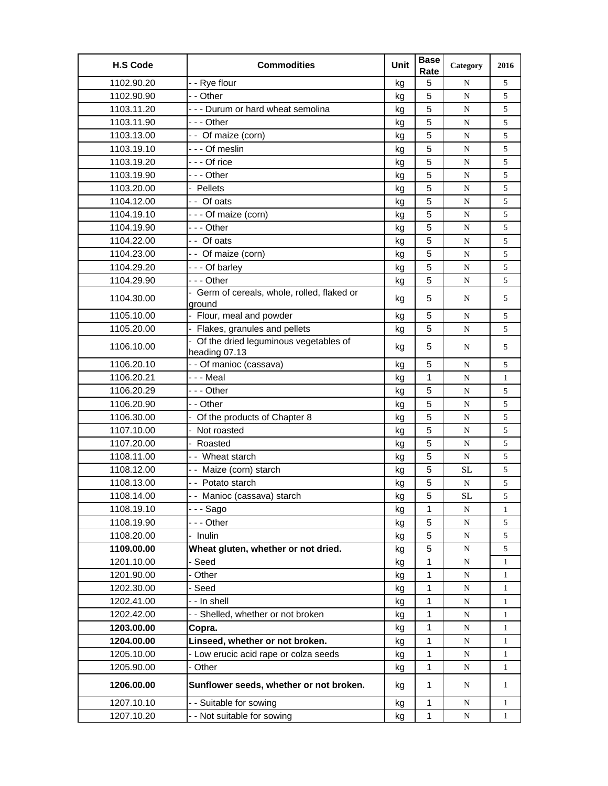| <b>H.S Code</b> | <b>Commodities</b>                                       | Unit | <b>Base</b><br>Rate | Category  | 2016         |
|-----------------|----------------------------------------------------------|------|---------------------|-----------|--------------|
| 1102.90.20      | - - Rye flour                                            | kg   | 5                   | N         | 5            |
| 1102.90.90      | - - Other                                                | kg   | 5                   | N         | 5            |
| 1103.11.20      | --- Durum or hard wheat semolina                         | kg   | 5                   | N         | 5            |
| 1103.11.90      | -  - - Other                                             | kg   | 5                   | N         | 5            |
| 1103.13.00      | - - Of maize (corn)                                      | kg   | 5                   | N         | 5            |
| 1103.19.10      | --- Of meslin                                            | kg   | 5                   | N         | 5            |
| 1103.19.20      | --- Of rice                                              | kg   | 5                   | N         | 5            |
| 1103.19.90      | -  - - Other                                             | kg   | 5                   | N         | 5            |
| 1103.20.00      | - Pellets                                                | kg   | 5                   | N         | 5            |
| 1104.12.00      | - - Of oats                                              | kg   | 5                   | N         | 5            |
| 1104.19.10      | --- Of maize (corn)                                      | kg   | 5                   | N         | 5            |
| 1104.19.90      | --- Other                                                | kg   | 5                   | ${\bf N}$ | 5            |
| 1104.22.00      | - - Of oats                                              | kg   | 5                   | N         | 5            |
| 1104.23.00      | - - Of maize (corn)                                      | kg   | 5                   | N         | 5            |
| 1104.29.20      | --- Of barley                                            | kg   | 5                   | N         | 5            |
| 1104.29.90      | -  - - Other                                             | kg   | 5                   | N         | 5            |
|                 | - Germ of cereals, whole, rolled, flaked or              |      |                     |           |              |
| 1104.30.00      | ground                                                   | kg   | 5                   | N         | 5            |
| 1105.10.00      | Flour, meal and powder                                   | kg   | 5                   | N         | 5            |
| 1105.20.00      | Flakes, granules and pellets                             | kg   | 5                   | ${\bf N}$ | 5            |
| 1106.10.00      | - Of the dried leguminous vegetables of<br>heading 07.13 | kg   | 5                   | N         | 5            |
| 1106.20.10      | - - Of manioc (cassava)                                  | kg   | 5                   | N         | 5            |
| 1106.20.21      | -  -  -  Meal                                            | kg   | 1                   | N         | $\mathbf{1}$ |
| 1106.20.29      | -  - - Other                                             | kg   | 5                   | N         | 5            |
| 1106.20.90      | - - Other                                                | kg   | 5                   | N         | 5            |
| 1106.30.00      | - Of the products of Chapter 8                           | kg   | 5                   | N         | 5            |
| 1107.10.00      | Not roasted                                              | kg   | 5                   | ${\bf N}$ | 5            |
| 1107.20.00      | - Roasted                                                | kg   | 5                   | N         | 5            |
| 1108.11.00      | - - Wheat starch                                         | kg   | 5                   | N         | 5            |
| 1108.12.00      | -- Maize (corn) starch                                   | kg   | 5                   | <b>SL</b> | 5            |
| 1108.13.00      | -- Potato starch                                         | kg   | 5                   | N         | 5            |
| 1108.14.00      | - - Manioc (cassava) starch                              | kg   | 5                   | <b>SL</b> | 5            |
| 1108.19.10      | - - - Sago                                               | kg   | $\mathbf{1}$        | ${\bf N}$ | $\mathbf{1}$ |
| 1108.19.90      | --- Other                                                | kg   | 5                   | N         | 5            |
| 1108.20.00      | - Inulin                                                 | kg   | 5                   | ${\bf N}$ | 5            |
| 1109.00.00      | Wheat gluten, whether or not dried.                      | kg   | 5                   | ${\bf N}$ | 5            |
| 1201.10.00      | Seed                                                     | kg   | 1                   | N         | 1            |
| 1201.90.00      | - Other                                                  | kg   | 1                   | ${\bf N}$ | 1            |
| 1202.30.00      | Seed                                                     | kg   | 1                   | ${\bf N}$ | $\mathbf{1}$ |
| 1202.41.00      | - - In shell                                             | kg   | 1                   | ${\bf N}$ | $\mathbf{1}$ |
| 1202.42.00      | -- Shelled, whether or not broken                        | kg   | 1                   | ${\bf N}$ | $\mathbf{1}$ |
| 1203.00.00      | Copra.                                                   | kg   | $\mathbf{1}$        | N         | 1            |
| 1204.00.00      | Linseed, whether or not broken.                          | kg   | $\mathbf 1$         | ${\bf N}$ | $\mathbf{1}$ |
| 1205.10.00      | - Low erucic acid rape or colza seeds                    | kg   | $\mathbf{1}$        | N         | 1            |
| 1205.90.00      | - Other                                                  | kg   | 1                   | ${\bf N}$ | $\mathbf{1}$ |
| 1206.00.00      | Sunflower seeds, whether or not broken.                  | kg   | $\mathbf{1}$        | N         | $\mathbf{1}$ |
| 1207.10.10      | -- Suitable for sowing                                   | kg   | 1                   | N         | 1            |
| 1207.10.20      | - - Not suitable for sowing                              | kg   | $\mathbf 1$         | ${\bf N}$ | $\mathbf{1}$ |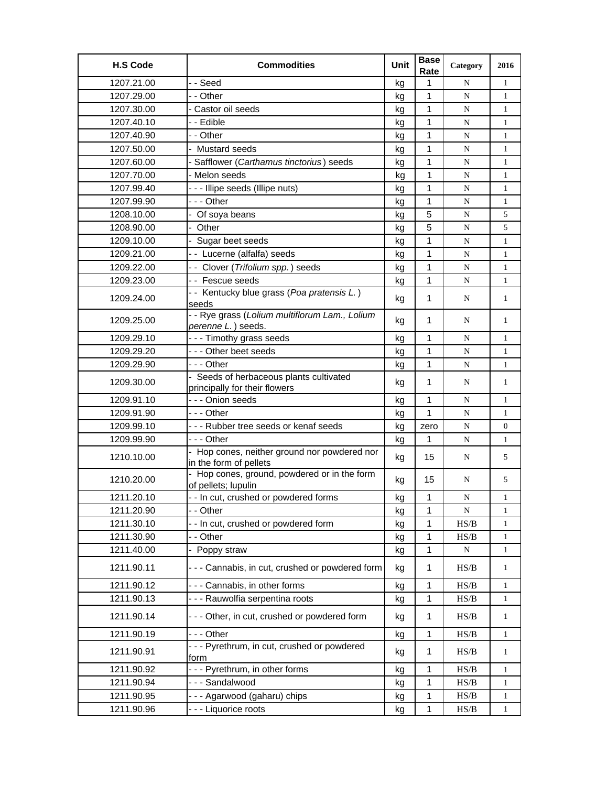| <b>H.S Code</b> | <b>Commodities</b>                                                     | Unit | <b>Base</b><br>Rate | Category  | 2016             |
|-----------------|------------------------------------------------------------------------|------|---------------------|-----------|------------------|
| 1207.21.00      | - - Seed                                                               | kg   | 1                   | N         | $\mathbf{1}$     |
| 1207.29.00      | - - Other                                                              | kg   | 1                   | N         | $\mathbf{1}$     |
| 1207.30.00      | - Castor oil seeds                                                     | kg   | 1                   | N         | 1                |
| 1207.40.10      | - - Edible                                                             | kg   | 1                   | N         | $\mathbf{1}$     |
| 1207.40.90      | - - Other                                                              | kg   | 1                   | N         | $\mathbf{1}$     |
| 1207.50.00      | - Mustard seeds                                                        | kg   | 1                   | N         | $\mathbf{1}$     |
| 1207.60.00      | Safflower (Carthamus tinctorius) seeds                                 | kg   | 1                   | N         | $\mathbf{1}$     |
| 1207.70.00      | - Melon seeds                                                          | kg   | 1                   | N         | $\mathbf{1}$     |
| 1207.99.40      | --- Illipe seeds (Illipe nuts)                                         | kg   | 1                   | N         | $\mathbf{1}$     |
| 1207.99.90      | --- Other                                                              | kg   | 1                   | N         | $\mathbf{1}$     |
| 1208.10.00      | - Of soya beans                                                        | kg   | 5                   | N         | 5                |
| 1208.90.00      | Other                                                                  | kg   | 5                   | ${\bf N}$ | 5                |
| 1209.10.00      | - Sugar beet seeds                                                     | kg   | 1                   | N         | $\mathbf{1}$     |
| 1209.21.00      | -- Lucerne (alfalfa) seeds                                             | kg   | $\mathbf{1}$        | N         | $\mathbf{1}$     |
| 1209.22.00      | - - Clover (Trifolium spp.) seeds                                      | kg   | 1                   | N         | $\mathbf{1}$     |
| 1209.23.00      | - - Fescue seeds                                                       | kg   | 1                   | N         | $\mathbf{1}$     |
| 1209.24.00      | - - Kentucky blue grass (Poa pratensis L.)<br>seeds                    | kg   | 1                   | N         | 1                |
| 1209.25.00      | - - Rye grass (Lolium multiflorum Lam., Lolium<br>perenne L.) seeds.   | kg   | $\mathbf 1$         | N         | 1                |
| 1209.29.10      | - - - Timothy grass seeds                                              | kg   | 1                   | N         | $\mathbf{1}$     |
| 1209.29.20      | --- Other beet seeds                                                   | kg   | 1                   | N         | $\mathbf{1}$     |
| 1209.29.90      | --- Other                                                              | kg   | $\mathbf{1}$        | ${\bf N}$ | $\mathbf{1}$     |
|                 | - Seeds of herbaceous plants cultivated                                |      |                     |           |                  |
| 1209.30.00      | principally for their flowers                                          | kg   | $\mathbf 1$         | N         | $\mathbf{1}$     |
| 1209.91.10      | - - - Onion seeds                                                      | kg   | $\mathbf{1}$        | N         | $\mathbf{1}$     |
| 1209.91.90      | - - - Other                                                            | kg   | 1                   | ${\bf N}$ | 1                |
| 1209.99.10      | --- Rubber tree seeds or kenaf seeds                                   | kg   | zero                | N         | $\boldsymbol{0}$ |
| 1209.99.90      | --- Other                                                              | kg   | 1                   | N         | $\mathbf{1}$     |
| 1210.10.00      | - Hop cones, neither ground nor powdered nor<br>in the form of pellets | kg   | 15                  | N         | 5                |
| 1210.20.00      | - Hop cones, ground, powdered or in the form<br>of pellets; lupulin    | kg   | 15                  | N         | 5                |
| 1211.20.10      | - - In cut, crushed or powdered forms                                  | kg   | 1                   | N         | 1                |
| 1211.20.90      | - - Other                                                              | kg   | 1                   | ${\bf N}$ | $\mathbf{1}$     |
| 1211.30.10      | -- In cut, crushed or powdered form                                    | kg   | 1                   | HS/B      | $\mathbf{1}$     |
| 1211.30.90      | - - Other                                                              | kg   | 1                   | HS/B      | 1                |
| 1211.40.00      | - Poppy straw                                                          | kg   | 1                   | N         | $\mathbf{1}$     |
| 1211.90.11      | --- Cannabis, in cut, crushed or powdered form                         | kg   | 1                   | HS/B      | $\mathbf{1}$     |
| 1211.90.12      | --- Cannabis, in other forms                                           | kg   | 1                   | HS/B      | $\mathbf{1}$     |
| 1211.90.13      | - - - Rauwolfia serpentina roots                                       | kg   | $\mathbf 1$         | HS/B      | $\mathbf{1}$     |
| 1211.90.14      | --- Other, in cut, crushed or powdered form                            | kg   | $\mathbf 1$         | HS/B      | $\mathbf{1}$     |
| 1211.90.19      | --- Other                                                              | kg   | 1                   | HS/B      | $\mathbf{1}$     |
| 1211.90.91      | --- Pyrethrum, in cut, crushed or powdered<br>form                     | kg   | 1                   | HS/B      | $\mathbf{1}$     |
| 1211.90.92      | --- Pyrethrum, in other forms                                          | kg   | 1                   | HS/B      | 1                |
| 1211.90.94      | --- Sandalwood                                                         | kg   | $\mathbf 1$         | HS/B      | $\mathbf{1}$     |
| 1211.90.95      | --- Agarwood (gaharu) chips                                            | kg   | $\mathbf 1$         | HS/B      | $\mathbf{1}$     |
| 1211.90.96      | - - - Liquorice roots                                                  | kg   | 1                   | HS/B      | $\mathbf{1}$     |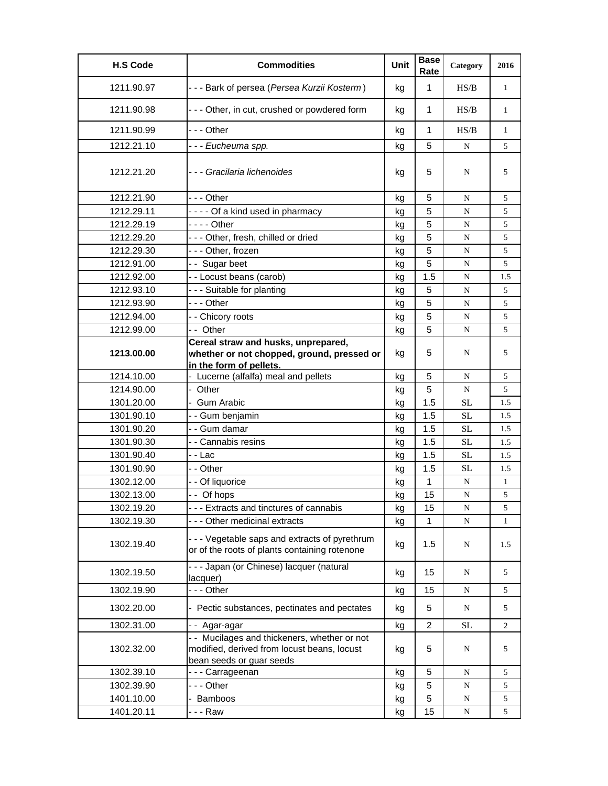| <b>H.S Code</b> | <b>Commodities</b>                                                                                                      | Unit | <b>Base</b><br>Rate | Category  | 2016         |
|-----------------|-------------------------------------------------------------------------------------------------------------------------|------|---------------------|-----------|--------------|
| 1211.90.97      | - - - Bark of persea (Persea Kurzii Kosterm)                                                                            | kg   | $\mathbf{1}$        | HS/B      | $\mathbf{1}$ |
| 1211.90.98      | --- Other, in cut, crushed or powdered form                                                                             | kg   | 1                   | HS/B      | $\mathbf{1}$ |
| 1211.90.99      | - - - Other                                                                                                             | kg   | 1                   | HS/B      | $\mathbf{1}$ |
| 1212.21.10      | - - - Eucheuma spp.                                                                                                     | kg   | 5                   | N         | 5            |
| 1212.21.20      | - - - Gracilaria lichenoides                                                                                            | kg   | 5                   | N         | 5            |
| 1212.21.90      | -  - - Other                                                                                                            | kg   | 5                   | N         | 5            |
| 1212.29.11      | ---- Of a kind used in pharmacy                                                                                         | kg   | 5                   | ${\bf N}$ | 5            |
| 1212.29.19      | - - - - Other                                                                                                           | kg   | 5                   | N         | 5            |
| 1212.29.20      | --- Other, fresh, chilled or dried                                                                                      | kq   | 5                   | N         | 5            |
| 1212.29.30      | --- Other, frozen                                                                                                       | kg   | 5                   | N         | 5            |
| 1212.91.00      | -- Sugar beet                                                                                                           | kg   | 5                   | N         | 5            |
| 1212.92.00      | - - Locust beans (carob)                                                                                                | kg   | 1.5                 | N         | 1.5          |
| 1212.93.10      | --- Suitable for planting                                                                                               | kg   | 5                   | N         | 5            |
| 1212.93.90      | - - - Other                                                                                                             | kg   | 5                   | N         | 5            |
| 1212.94.00      | - - Chicory roots                                                                                                       | kg   | 5                   | ${\bf N}$ | 5            |
| 1212.99.00      | - - Other                                                                                                               | kg   | 5                   | N         | 5            |
| 1213.00.00      | Cereal straw and husks, unprepared,<br>whether or not chopped, ground, pressed or                                       | kg   | 5                   | N         | 5            |
|                 | in the form of pellets.                                                                                                 |      |                     |           |              |
| 1214.10.00      | - Lucerne (alfalfa) meal and pellets                                                                                    | kg   | 5                   | N         | 5            |
| 1214.90.00      | - Other                                                                                                                 | kg   | 5                   | N         | 5            |
| 1301.20.00      | - Gum Arabic                                                                                                            | kg   | 1.5                 | <b>SL</b> | 1.5          |
| 1301.90.10      | - - Gum benjamin                                                                                                        | kg   | 1.5                 | <b>SL</b> | 1.5          |
| 1301.90.20      | - - Gum damar                                                                                                           | kg   | 1.5                 | SL        | 1.5          |
| 1301.90.30      | - - Cannabis resins                                                                                                     | kg   | 1.5                 | <b>SL</b> | 1.5          |
| 1301.90.40      | - - Lac                                                                                                                 | kg   | 1.5                 | <b>SL</b> | 1.5          |
| 1301.90.90      | - - Other                                                                                                               | kg   | 1.5                 | <b>SL</b> | 1.5          |
| 1302.12.00      | - - Of liquorice                                                                                                        | kg   | 1                   | N         | $\mathbf{1}$ |
| 1302.13.00      | -- Of hops                                                                                                              | kg   | 15                  | N         | 5            |
| 1302.19.20      | --- Extracts and tinctures of cannabis                                                                                  | kg   | 15                  | N         | 5            |
| 1302.19.30      | --- Other medicinal extracts                                                                                            | kg   | 1                   | N         | 1            |
| 1302.19.40      | - - - Vegetable saps and extracts of pyrethrum<br>or of the roots of plants containing rotenone                         | kg   | 1.5                 | N         | 1.5          |
| 1302.19.50      | --- Japan (or Chinese) lacquer (natural<br>lacquer)                                                                     | kg   | 15                  | N         | 5            |
| 1302.19.90      | --- Other                                                                                                               | kg   | 15                  | ${\bf N}$ | 5            |
| 1302.20.00      | - Pectic substances, pectinates and pectates                                                                            | kg   | 5                   | N         | 5            |
| 1302.31.00      | -- Agar-agar                                                                                                            | kg   | $\overline{2}$      | <b>SL</b> | 2            |
| 1302.32.00      | - - Mucilages and thickeners, whether or not<br>modified, derived from locust beans, locust<br>bean seeds or guar seeds | kg   | 5                   | N         | 5            |
| 1302.39.10      | --- Carrageenan                                                                                                         | kg   | 5                   | N         | 5            |
| 1302.39.90      | --- Other                                                                                                               | kg   | 5                   | ${\bf N}$ | 5            |
| 1401.10.00      | Bamboos                                                                                                                 | kg   | 5                   | N         | 5            |
| 1401.20.11      | -  -  -  Raw                                                                                                            | kg   | 15                  | ${\bf N}$ | 5            |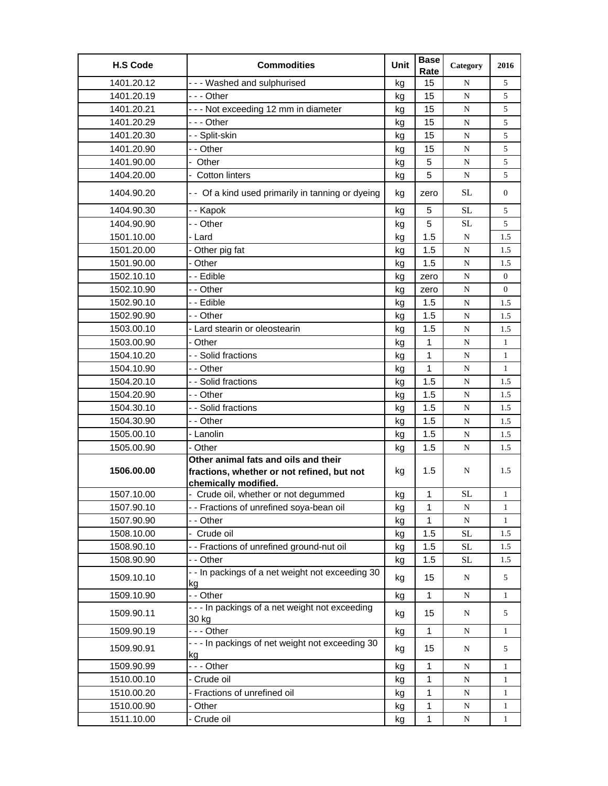| <b>H.S Code</b> | <b>Commodities</b>                                                                                         | Unit | <b>Base</b><br>Rate | Category  | 2016           |
|-----------------|------------------------------------------------------------------------------------------------------------|------|---------------------|-----------|----------------|
| 1401.20.12      | --- Washed and sulphurised                                                                                 | kg   | 15                  | N         | 5              |
| 1401.20.19      | - - - Other                                                                                                | kq   | 15                  | N         | 5              |
| 1401.20.21      | --- Not exceeding 12 mm in diameter                                                                        | kg   | 15                  | N         | 5              |
| 1401.20.29      | -  - - Other                                                                                               | kg   | 15                  | N         | 5              |
| 1401.20.30      | - - Split-skin                                                                                             | kg   | 15                  | N         | 5              |
| 1401.20.90      | - - Other                                                                                                  | kg   | 15                  | N         | 5              |
| 1401.90.00      | - Other                                                                                                    | kg   | 5                   | N         | 5              |
| 1404.20.00      | - Cotton linters                                                                                           | kg   | 5                   | N         | 5              |
| 1404.90.20      | - - Of a kind used primarily in tanning or dyeing                                                          | kg   | zero                | SL        | $\overline{0}$ |
| 1404.90.30      | - - Kapok                                                                                                  | kg   | 5                   | <b>SL</b> | 5              |
| 1404.90.90      | - - Other                                                                                                  | kg   | 5                   | SL        | 5              |
| 1501.10.00      | - Lard                                                                                                     | kg   | 1.5                 | ${\bf N}$ | 1.5            |
| 1501.20.00      | - Other pig fat                                                                                            | kg   | 1.5                 | N         | 1.5            |
| 1501.90.00      | - Other                                                                                                    | kg   | 1.5                 | N         | 1.5            |
| 1502.10.10      | - - Edible                                                                                                 | kg   | zero                | N         | $\overline{0}$ |
| 1502.10.90      | - - Other                                                                                                  | kg   | zero                | N         | $\overline{0}$ |
| 1502.90.10      | - - Edible                                                                                                 | kg   | 1.5                 | N         | 1.5            |
| 1502.90.90      | - - Other                                                                                                  | kg   | 1.5                 | N         | 1.5            |
| 1503.00.10      | - Lard stearin or oleostearin                                                                              | kg   | 1.5                 | ${\bf N}$ | 1.5            |
| 1503.00.90      | - Other                                                                                                    | kg   | $\mathbf{1}$        | N         | $\mathbf{1}$   |
| 1504.10.20      | - - Solid fractions                                                                                        | kg   | $\mathbf{1}$        | N         | $\mathbf{1}$   |
| 1504.10.90      | - - Other                                                                                                  | kg   | 1                   | N         | $\mathbf{1}$   |
| 1504.20.10      | - - Solid fractions                                                                                        | kg   | 1.5                 | ${\bf N}$ | 1.5            |
| 1504.20.90      | - - Other                                                                                                  | kg   | 1.5                 | N         | 1.5            |
| 1504.30.10      | - - Solid fractions                                                                                        | kg   | 1.5                 | N         | 1.5            |
| 1504.30.90      | - - Other                                                                                                  | kg   | 1.5                 | N         | 1.5            |
| 1505.00.10      | - Lanolin                                                                                                  | kg   | 1.5                 | N         | 1.5            |
| 1505.00.90      | - Other                                                                                                    | kg   | 1.5                 | N         | 1.5            |
| 1506.00.00      | Other animal fats and oils and their<br>fractions, whether or not refined, but not<br>chemically modified. | kg   | 1.5                 | N         | 1.5            |
| 1507.10.00      | - Crude oil, whether or not degummed                                                                       | kg   | $\mathbf{1}$        | SL        | $\mathbf{1}$   |
| 1507.90.10      | - - Fractions of unrefined soya-bean oil                                                                   | kg   | 1                   | ${\bf N}$ | 1              |
| 1507.90.90      | - - Other                                                                                                  | kg   | 1                   | ${\bf N}$ | 1              |
| 1508.10.00      | - Crude oil                                                                                                | kg   | 1.5                 | $\rm SL$  | 1.5            |
| 1508.90.10      | - - Fractions of unrefined ground-nut oil                                                                  | kg   | 1.5                 | $\rm SL$  | 1.5            |
| 1508.90.90      | - - Other                                                                                                  | kg   | 1.5                 | <b>SL</b> | 1.5            |
| 1509.10.10      | - - In packings of a net weight not exceeding 30<br>kg                                                     | kg   | 15                  | ${\bf N}$ | 5              |
| 1509.10.90      | - - Other                                                                                                  | kg   | $\mathbf{1}$        | ${\bf N}$ | $\mathbf{1}$   |
| 1509.90.11      | - - - In packings of a net weight not exceeding<br>30 kg                                                   | kg   | 15                  | N         | 5              |
| 1509.90.19      | --- Other                                                                                                  | kg   | $\mathbf{1}$        | ${\bf N}$ | $\mathbf{1}$   |
| 1509.90.91      | - - - In packings of net weight not exceeding 30<br>kg                                                     | kg   | 15                  | N         | 5              |
| 1509.90.99      | --- Other                                                                                                  | kg   | $\mathbf{1}$        | ${\bf N}$ | $\mathbf{1}$   |
| 1510.00.10      | - Crude oil                                                                                                | kg   | 1                   | N         | 1              |
| 1510.00.20      | - Fractions of unrefined oil                                                                               | kg   | $\mathbf 1$         | N         | $\mathbf{1}$   |
| 1510.00.90      | - Other                                                                                                    | kg   | 1                   | ${\bf N}$ | $\mathbf{1}$   |
| 1511.10.00      | - Crude oil                                                                                                | kg   | 1                   | ${\bf N}$ | $\mathbf{1}$   |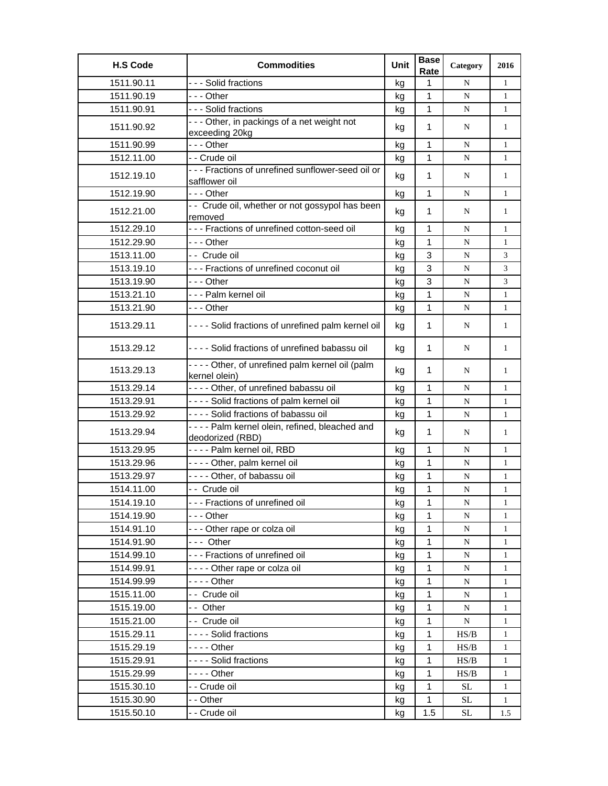| <b>H.S Code</b> | <b>Commodities</b>                                                  | Unit | <b>Base</b><br>Rate | Category  | 2016         |
|-----------------|---------------------------------------------------------------------|------|---------------------|-----------|--------------|
| 1511.90.11      | --- Solid fractions                                                 | kg   | 1                   | N         | $\mathbf{1}$ |
| 1511.90.19      | - - - Other                                                         | kg   | 1                   | N         | $\mathbf{1}$ |
| 1511.90.91      | --- Solid fractions                                                 | kg   | 1                   | N         | $\mathbf{1}$ |
| 1511.90.92      | --- Other, in packings of a net weight not<br>exceeding 20kg        | kg   | 1                   | N         | 1            |
| 1511.90.99      | - - - Other                                                         | kg   | 1                   | N         | 1            |
| 1512.11.00      | - - Crude oil                                                       | kg   | 1                   | N         | $\mathbf{1}$ |
| 1512.19.10      | - - - Fractions of unrefined sunflower-seed oil or<br>safflower oil | kg   | 1                   | N         | $\mathbf{1}$ |
| 1512.19.90      | $- -$ Other                                                         | kg   | 1                   | N         | $\mathbf{1}$ |
| 1512.21.00      | - - Crude oil, whether or not gossypol has been<br>removed          | kg   | 1                   | N         | 1            |
| 1512.29.10      | - - - Fractions of unrefined cotton-seed oil                        | kg   | 1                   | N         | $\mathbf{1}$ |
| 1512.29.90      | - - - Other                                                         | kg   | $\mathbf{1}$        | N         | $\mathbf{1}$ |
| 1513.11.00      | - - Crude oil                                                       | kg   | 3                   | N         | 3            |
| 1513.19.10      | - - - Fractions of unrefined coconut oil                            | kg   | 3                   | N         | 3            |
| 1513.19.90      | -  - - Other                                                        | kg   | 3                   | ${\bf N}$ | 3            |
| 1513.21.10      | - - - Palm kernel oil                                               | kg   | 1                   | N         | $\mathbf{1}$ |
| 1513.21.90      | - - - Other                                                         | kg   | 1                   | N         | $\mathbf{1}$ |
| 1513.29.11      | - - - - Solid fractions of unrefined palm kernel oil                | kg   | $\mathbf{1}$        | N         | $\mathbf{1}$ |
| 1513.29.12      | - - - - Solid fractions of unrefined babassu oil                    | kg   | 1                   | N         | 1            |
| 1513.29.13      | ---- Other, of unrefined palm kernel oil (palm<br>kernel olein)     | kg   | $\mathbf 1$         | N         | 1            |
| 1513.29.14      | - - - - Other, of unrefined babassu oil                             | kg   | $\mathbf{1}$        | N         | $\mathbf{1}$ |
| 1513.29.91      | ---- Solid fractions of palm kernel oil                             | kg   | 1                   | ${\bf N}$ | $\mathbf{1}$ |
| 1513.29.92      | ---- Solid fractions of babassu oil                                 | kg   | 1                   | N         | $\mathbf{1}$ |
| 1513.29.94      | ---- Palm kernel olein, refined, bleached and<br>deodorized (RBD)   | kg   | 1                   | N         | $\mathbf{1}$ |
| 1513.29.95      | ---- Palm kernel oil, RBD                                           | kg   | 1                   | N         | $\mathbf{1}$ |
| 1513.29.96      | ---- Other, palm kernel oil                                         | kg   | $\mathbf{1}$        | N         | $\mathbf{1}$ |
| 1513.29.97      | - - - - Other, of babassu oil                                       | kg   | 1                   | N         | $\mathbf{1}$ |
| 1514.11.00      | - - Crude oil                                                       | kg   | 1                   | N         | $\mathbf{1}$ |
| 1514.19.10      | - - - Fractions of unrefined oil                                    | kg   | 1                   | N         | 1            |
| 1514.19.90      | - - - Other                                                         | kg   | 1                   | N         | $\mathbf{1}$ |
| 1514.91.10      | --- Other rape or colza oil                                         | kg   | 1                   | ${\bf N}$ | 1            |
| 1514.91.90      | --- Other                                                           | kg   | 1                   | ${\bf N}$ | $\mathbf{1}$ |
| 1514.99.10      | --- Fractions of unrefined oil                                      | kg   | 1                   | ${\bf N}$ | $\mathbf{1}$ |
| 1514.99.91      | ---- Other rape or colza oil                                        | kg   | 1                   | N         | $\mathbf{1}$ |
| 1514.99.99      | - - - - Other                                                       | kg   | 1                   | ${\bf N}$ | $\mathbf{1}$ |
| 1515.11.00      | -- Crude oil                                                        | kg   | 1                   | N         | $\mathbf{1}$ |
| 1515.19.00      | - - Other                                                           | kg   | 1                   | N         | 1            |
| 1515.21.00      | - - Crude oil                                                       | kg   | 1                   | N         | $\mathbf{1}$ |
| 1515.29.11      | ---- Solid fractions                                                | kg   | 1                   | HS/B      | $\mathbf{1}$ |
| 1515.29.19      | - - - - Other                                                       | kg   | 1                   | HS/B      | $\mathbf{1}$ |
| 1515.29.91      | ---- Solid fractions                                                | kg   | 1                   | HS/B      | $\mathbf{1}$ |
| 1515.29.99      |                                                                     | kg   | 1                   | HS/B      | $\mathbf{1}$ |
| 1515.30.10      | - - Crude oil                                                       | kg   | 1                   | <b>SL</b> | $\mathbf{1}$ |
| 1515.30.90      | - - Other                                                           | kg   | 1                   | <b>SL</b> | $\mathbf{1}$ |
| 1515.50.10      | - - Crude oil                                                       | kg   | 1.5                 | $\rm SL$  | 1.5          |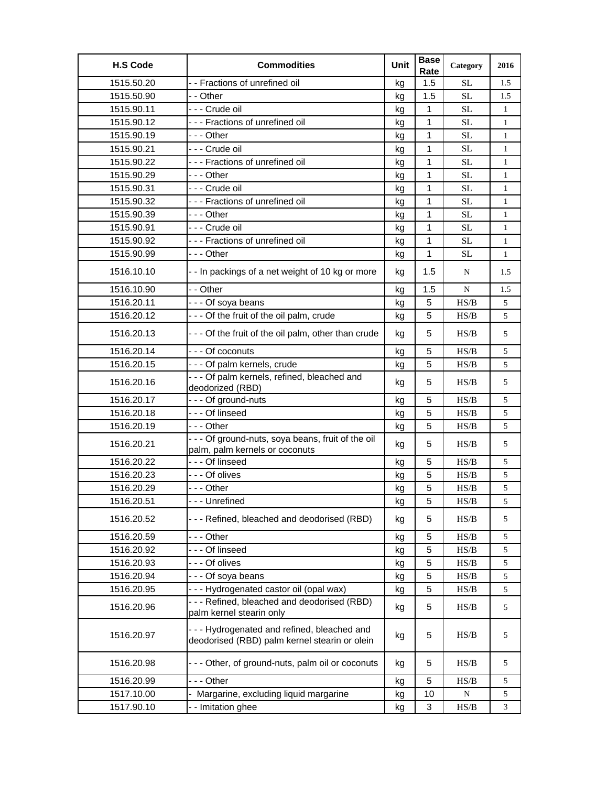| <b>H.S Code</b> | <b>Commodities</b>                                                                          | Unit | <b>Base</b><br>Rate | Category                                                                               | 2016         |
|-----------------|---------------------------------------------------------------------------------------------|------|---------------------|----------------------------------------------------------------------------------------|--------------|
| 1515.50.20      | - - Fractions of unrefined oil                                                              | kg   | 1.5                 | SL                                                                                     | 1.5          |
| 1515.50.90      | - - Other                                                                                   | kg   | 1.5                 | <b>SL</b>                                                                              | 1.5          |
| 1515.90.11      | - - - Crude oil                                                                             | kg   | 1                   | SL                                                                                     | 1            |
| 1515.90.12      | --- Fractions of unrefined oil                                                              | kg   | 1                   | <b>SL</b>                                                                              | $\mathbf{1}$ |
| 1515.90.19      | --- Other                                                                                   | kg   | 1                   | <b>SL</b>                                                                              | $\mathbf{1}$ |
| 1515.90.21      | - - - Crude oil                                                                             | kg   | 1                   | <b>SL</b>                                                                              | $\mathbf{1}$ |
| 1515.90.22      | --- Fractions of unrefined oil                                                              | kg   | 1                   | SL                                                                                     | $\mathbf{1}$ |
| 1515.90.29      | - - - Other                                                                                 | kg   | 1                   | <b>SL</b>                                                                              | $\mathbf{1}$ |
| 1515.90.31      | --- Crude oil                                                                               | kg   | 1                   | SL                                                                                     | 1            |
| 1515.90.32      | --- Fractions of unrefined oil                                                              | kg   | 1                   | <b>SL</b>                                                                              | $\mathbf{1}$ |
| 1515.90.39      | - - - Other                                                                                 | kg   | 1                   | <b>SL</b>                                                                              | $\mathbf{1}$ |
| 1515.90.91      | - - - Crude oil                                                                             | kg   | 1                   | SL                                                                                     | $\mathbf{1}$ |
| 1515.90.92      | --- Fractions of unrefined oil                                                              | kg   | 1                   | <b>SL</b>                                                                              | $\mathbf{1}$ |
| 1515.90.99      | - - - Other                                                                                 | kg   | 1                   | <b>SL</b>                                                                              | $\mathbf{1}$ |
| 1516.10.10      | - - In packings of a net weight of 10 kg or more                                            | kg   | 1.5                 | N                                                                                      | 1.5          |
| 1516.10.90      | - - Other                                                                                   | kg   | 1.5                 | N                                                                                      | 1.5          |
| 1516.20.11      | - - - Of soya beans                                                                         | kg   | 5                   | HS/B                                                                                   | 5            |
| 1516.20.12      | - - - Of the fruit of the oil palm, crude                                                   | kg   | 5                   | HS/B                                                                                   | 5            |
| 1516.20.13      | - - - Of the fruit of the oil palm, other than crude                                        | kg   | 5                   | HS/B                                                                                   | 5            |
| 1516.20.14      | --- Of coconuts                                                                             | kg   | 5                   | HS/B                                                                                   | 5            |
| 1516.20.15      | --- Of palm kernels, crude                                                                  | kg   | 5                   | HS/B                                                                                   | 5            |
| 1516.20.16      | - - - Of palm kernels, refined, bleached and<br>deodorized (RBD)                            | kg   | 5                   | HS/B                                                                                   | 5            |
| 1516.20.17      | --- Of ground-nuts                                                                          | kg   | 5                   | HS/B                                                                                   | 5            |
| 1516.20.18      | --- Of linseed                                                                              | kg   | 5                   | HS/B                                                                                   | 5            |
| 1516.20.19      | - - - Other                                                                                 | kg   | 5                   | HS/B                                                                                   | 5            |
| 1516.20.21      | - - - Of ground-nuts, soya beans, fruit of the oil<br>palm, palm kernels or coconuts        | kg   | 5                   | HS/B                                                                                   | 5            |
| 1516.20.22      | --- Of linseed                                                                              | kg   | 5                   | HS/B                                                                                   | 5            |
| 1516.20.23      | - - - Of olives                                                                             | kg   | 5                   | HS/B                                                                                   | 5            |
| 1516.20.29      | --- Other                                                                                   | kg   | 5                   | HS/B                                                                                   | 5            |
| 1516.20.51      | - - - Unrefined                                                                             | kg   | 5                   | $\ensuremath{\mathbf{H}}\ensuremath{\mathbf{S}}\xspace/\ensuremath{\mathbf{B}}\xspace$ | 5            |
| 1516.20.52      | --- Refined, bleached and deodorised (RBD)                                                  | kg   | 5                   | HS/B                                                                                   | 5            |
| 1516.20.59      | - - - Other                                                                                 | kg   | 5                   | HS/B                                                                                   | 5            |
| 1516.20.92      | --- Of linseed                                                                              | kg   | 5                   | HS/B                                                                                   | 5            |
| 1516.20.93      | --- Of olives                                                                               | kg   | 5                   | HS/B                                                                                   | 5            |
| 1516.20.94      | --- Of soya beans                                                                           | kg   | 5                   | HS/B                                                                                   | 5            |
| 1516.20.95      | --- Hydrogenated castor oil (opal wax)                                                      | kg   | 5                   | HS/B                                                                                   | 5            |
| 1516.20.96      | --- Refined, bleached and deodorised (RBD)<br>palm kernel stearin only                      | kg   | 5                   | HS/B                                                                                   | 5            |
| 1516.20.97      | --- Hydrogenated and refined, bleached and<br>deodorised (RBD) palm kernel stearin or olein | kg   | 5                   | HS/B                                                                                   | 5            |
| 1516.20.98      | --- Other, of ground-nuts, palm oil or coconuts                                             | kg   | 5                   | HS/B                                                                                   | 5            |
| 1516.20.99      | - - - Other                                                                                 | kg   | 5                   | HS/B                                                                                   | 5            |
| 1517.10.00      | - Margarine, excluding liquid margarine                                                     | kg   | 10                  | ${\bf N}$                                                                              | 5            |
| 1517.90.10      | - - Imitation ghee                                                                          | kg   | 3                   | HS/B                                                                                   | 3            |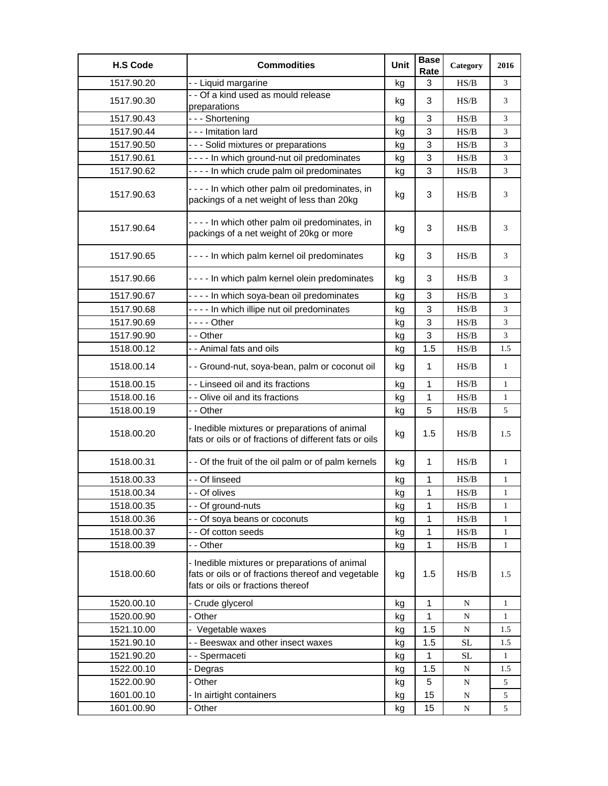| <b>H.S Code</b> | <b>Commodities</b>                                                                                                                       | Unit | <b>Base</b><br>Rate | Category                                                                               | 2016         |
|-----------------|------------------------------------------------------------------------------------------------------------------------------------------|------|---------------------|----------------------------------------------------------------------------------------|--------------|
| 1517.90.20      | - - Liquid margarine                                                                                                                     | kg   | 3                   | HS/B                                                                                   | 3            |
| 1517.90.30      | - - Of a kind used as mould release<br>preparations                                                                                      | kg   | 3                   | HS/B                                                                                   | 3            |
| 1517.90.43      | --- Shortening                                                                                                                           | kg   | 3                   | HS/B                                                                                   | 3            |
| 1517.90.44      | --- Imitation lard                                                                                                                       | kg   | 3                   | HS/B                                                                                   | 3            |
| 1517.90.50      | - - - Solid mixtures or preparations                                                                                                     | kg   | $\mathbf{3}$        | HS/B                                                                                   | 3            |
| 1517.90.61      | - - - - In which ground-nut oil predominates                                                                                             | kg   | 3                   | HS/B                                                                                   | 3            |
| 1517.90.62      | - - - - In which crude palm oil predominates                                                                                             | kg   | 3                   | HS/B                                                                                   | 3            |
| 1517.90.63      | - - - - In which other palm oil predominates, in<br>packings of a net weight of less than 20kg                                           | kg   | 3                   | HS/B                                                                                   | 3            |
| 1517.90.64      | - - - - In which other palm oil predominates, in<br>packings of a net weight of 20kg or more                                             | kg   | 3                   | HS/B                                                                                   | 3            |
| 1517.90.65      | ---- In which palm kernel oil predominates                                                                                               | kg   | 3                   | HS/B                                                                                   | 3            |
| 1517.90.66      | - - - - In which palm kernel olein predominates                                                                                          | kg   | 3                   | HS/B                                                                                   | 3            |
| 1517.90.67      | - - - - In which soya-bean oil predominates                                                                                              | kg   | 3                   | HS/B                                                                                   | 3            |
| 1517.90.68      | - - - - In which illipe nut oil predominates                                                                                             | kg   | 3                   | HS/B                                                                                   | 3            |
| 1517.90.69      | - - - - Other                                                                                                                            | kg   | $\mathbf{3}$        | $\ensuremath{\mathbf{H}}\ensuremath{\mathbf{S}}\xspace/\ensuremath{\mathbf{B}}\xspace$ | 3            |
| 1517.90.90      | - - Other                                                                                                                                | kg   | 3                   | HS/B                                                                                   | 3            |
| 1518.00.12      | - - Animal fats and oils                                                                                                                 | kg   | 1.5                 | HS/B                                                                                   | 1.5          |
| 1518.00.14      | - - Ground-nut, soya-bean, palm or coconut oil                                                                                           | kg   | $\mathbf{1}$        | HS/B                                                                                   | $\mathbf{1}$ |
| 1518.00.15      | - - Linseed oil and its fractions                                                                                                        | kg   | 1                   | $\ensuremath{\mathbf{H}}\ensuremath{\mathbf{S}}\xspace/\ensuremath{\mathbf{B}}\xspace$ | 1            |
| 1518.00.16      | - - Olive oil and its fractions                                                                                                          | kg   | $\mathbf{1}$        | HS/B                                                                                   | $\mathbf{1}$ |
| 1518.00.19      | - - Other                                                                                                                                | kg   | 5                   | HS/B                                                                                   | 5            |
| 1518.00.20      | - Inedible mixtures or preparations of animal<br>fats or oils or of fractions of different fats or oils                                  | kg   | 1.5                 | HS/B                                                                                   | 1.5          |
| 1518.00.31      | - - Of the fruit of the oil palm or of palm kernels                                                                                      | kg   | $\mathbf{1}$        | HS/B                                                                                   | $\mathbf{1}$ |
| 1518.00.33      | - - Of linseed                                                                                                                           | kg   | 1                   | HS/B                                                                                   | 1            |
| 1518.00.34      | - - Of olives                                                                                                                            | kg   | 1                   | HS/B                                                                                   | $\mathbf{1}$ |
| 1518.00.35      | - - Of ground-nuts                                                                                                                       | kg   | 1                   | $\rm{HS}/\rm{B}$                                                                       | $\mathbf{1}$ |
| 1518.00.36      | - - Of soya beans or coconuts                                                                                                            | kg   | 1                   | $\ensuremath{\mathbf{H}}\ensuremath{\mathbf{S}}\xspace/\ensuremath{\mathbf{B}}\xspace$ | 1            |
| 1518.00.37      | - - Of cotton seeds                                                                                                                      | kg   | 1                   | $\ensuremath{\mathbf{H}}\ensuremath{\mathbf{S}}\xspace/\ensuremath{\mathbf{B}}\xspace$ | $\mathbf{1}$ |
| 1518.00.39      | - - Other                                                                                                                                | kg   | 1                   | $\ensuremath{\mathbf{H}}\ensuremath{\mathbf{S}}\xspace/\ensuremath{\mathbf{B}}\xspace$ | $\mathbf{1}$ |
| 1518.00.60      | - Inedible mixtures or preparations of animal<br>fats or oils or of fractions thereof and vegetable<br>fats or oils or fractions thereof | kg   | 1.5                 | HS/B                                                                                   | 1.5          |
| 1520.00.10      | - Crude glycerol                                                                                                                         | kg   | 1                   | ${\bf N}$                                                                              | $\mathbf{1}$ |
| 1520.00.90      | - Other                                                                                                                                  | kg   | 1                   | ${\bf N}$                                                                              | 1            |
| 1521.10.00      | - Vegetable waxes                                                                                                                        | kg   | 1.5                 | ${\bf N}$                                                                              | 1.5          |
| 1521.90.10      | - - Beeswax and other insect waxes                                                                                                       | kg   | 1.5                 | <b>SL</b>                                                                              | 1.5          |
| 1521.90.20      | - - Spermaceti                                                                                                                           | kg   | $\mathbf 1$         | $\rm SL$                                                                               | 1            |
| 1522.00.10      | - Degras                                                                                                                                 | kg   | 1.5                 | N                                                                                      | 1.5          |
| 1522.00.90      | - Other                                                                                                                                  | kg   | 5                   | ${\bf N}$                                                                              | 5            |
| 1601.00.10      | - In airtight containers                                                                                                                 | kg   | 15                  | N                                                                                      | 5            |
| 1601.00.90      | - Other                                                                                                                                  | kg   | 15                  | ${\bf N}$                                                                              | 5            |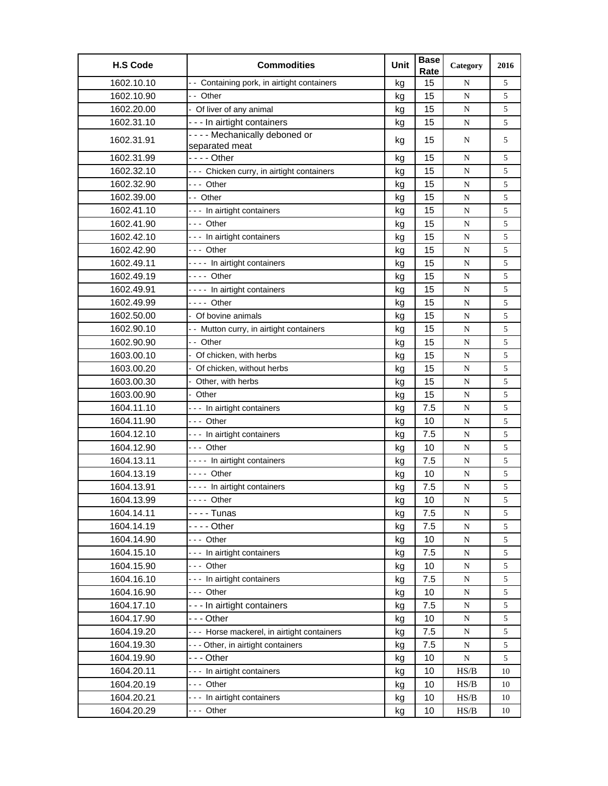| <b>H.S Code</b> | <b>Commodities</b>                             | Unit | <b>Base</b><br>Rate | Category    | 2016 |
|-----------------|------------------------------------------------|------|---------------------|-------------|------|
| 1602.10.10      | -- Containing pork, in airtight containers     | kg   | 15                  | N           | 5    |
| 1602.10.90      | -- Other                                       | kq   | 15                  | N           | 5    |
| 1602.20.00      | - Of liver of any animal                       | kg   | 15                  | ${\bf N}$   | 5    |
| 1602.31.10      | - - - In airtight containers                   | kg   | 15                  | ${\bf N}$   | 5    |
| 1602.31.91      | ---- Mechanically deboned or<br>separated meat | kg   | 15                  | N           | 5    |
| 1602.31.99      | $--$ Other                                     | kg   | 15                  | N           | 5    |
| 1602.32.10      | --- Chicken curry, in airtight containers      | kg   | 15                  | N           | 5    |
| 1602.32.90      | --- Other                                      | kg   | 15                  | N           | 5    |
| 1602.39.00      | -- Other                                       | kg   | 15                  | N           | 5    |
| 1602.41.10      | --- In airtight containers                     | kg   | 15                  | ${\bf N}$   | 5    |
| 1602.41.90      | --- Other                                      | kg   | 15                  | ${\bf N}$   | 5    |
| 1602.42.10      | --- In airtight containers                     | kg   | 15                  | N           | 5    |
| 1602.42.90      | --- Other                                      | kg   | 15                  | N           | 5    |
| 1602.49.11      | ---- In airtight containers                    | kg   | 15                  | N           | 5    |
| 1602.49.19      | - - - - Other                                  | kg   | 15                  | ${\bf N}$   | 5    |
| 1602.49.91      | ---- In airtight containers                    | kg   | 15                  | N           | 5    |
| 1602.49.99      | - - - - Other                                  | kg   | 15                  | ${\bf N}$   | 5    |
| 1602.50.00      | - Of bovine animals                            | kg   | 15                  | N           | 5    |
| 1602.90.10      | - - Mutton curry, in airtight containers       | kg   | 15                  | N           | 5    |
| 1602.90.90      | - - Other                                      | kg   | 15                  | N           | 5    |
| 1603.00.10      | Of chicken, with herbs                         | kg   | 15                  | N           | 5    |
| 1603.00.20      | - Of chicken, without herbs                    | kg   | 15                  | N           | 5    |
| 1603.00.30      | Other, with herbs                              | kg   | 15                  | N           | 5    |
| 1603.00.90      | Other                                          | kg   | 15                  | N           | 5    |
| 1604.11.10      | --- In airtight containers                     | kg   | 7.5                 | N           | 5    |
| 1604.11.90      | --- Other                                      | kg   | 10                  | N           | 5    |
| 1604.12.10      | --- In airtight containers                     | kg   | 7.5                 | N           | 5    |
| 1604.12.90      | --- Other                                      | kg   | 10                  | N           | 5    |
| 1604.13.11      | - - - - In airtight containers                 | kg   | 7.5                 | N           | 5    |
| 1604.13.19      | - - - - Other                                  | kg   | 10                  | N           | 5    |
| 1604.13.91      | ---- In airtight containers                    | kg   | 7.5                 | $\mathbf N$ | 5    |
| 1604.13.99      | --- Other                                      | kg   | 10                  | ${\bf N}$   | 5    |
| 1604.14.11      | -  -  -  - Tunas                               | kg   | 7.5                 | N           | 5    |
| 1604.14.19      |                                                | kg   | 7.5                 | ${\bf N}$   | 5    |
| 1604.14.90      | --- Other                                      | kg   | 10                  | N           | 5    |
| 1604.15.10      | --- In airtight containers                     | kg   | 7.5                 | ${\bf N}$   | 5    |
| 1604.15.90      | --- Other                                      | kg   | 10                  | ${\bf N}$   | 5    |
| 1604.16.10      | --- In airtight containers                     | kg   | 7.5                 | ${\bf N}$   | 5    |
| 1604.16.90      | --- Other                                      | kg   | 10                  | N           | 5    |
| 1604.17.10      | - - - In airtight containers                   | kg   | 7.5                 | N           | 5    |
| 1604.17.90      | - - - Other                                    | kg   | 10                  | N           | 5    |
| 1604.19.20      | --- Horse mackerel, in airtight containers     | kg   | 7.5                 | N           | 5    |
| 1604.19.30      | --- Other, in airtight containers              | kg   | 7.5                 | ${\bf N}$   | 5    |
| 1604.19.90      |                                                | kg   | 10                  | ${\bf N}$   | 5    |
| 1604.20.11      | --- In airtight containers                     | kg   | 10                  | HS/B        | 10   |
| 1604.20.19      | --- Other                                      | kg   | 10                  | HS/B        | 10   |
| 1604.20.21      | --- In airtight containers                     | kg   | 10                  | HS/B        | 10   |
| 1604.20.29      | --- Other                                      | kg   | 10                  | HS/B        | 10   |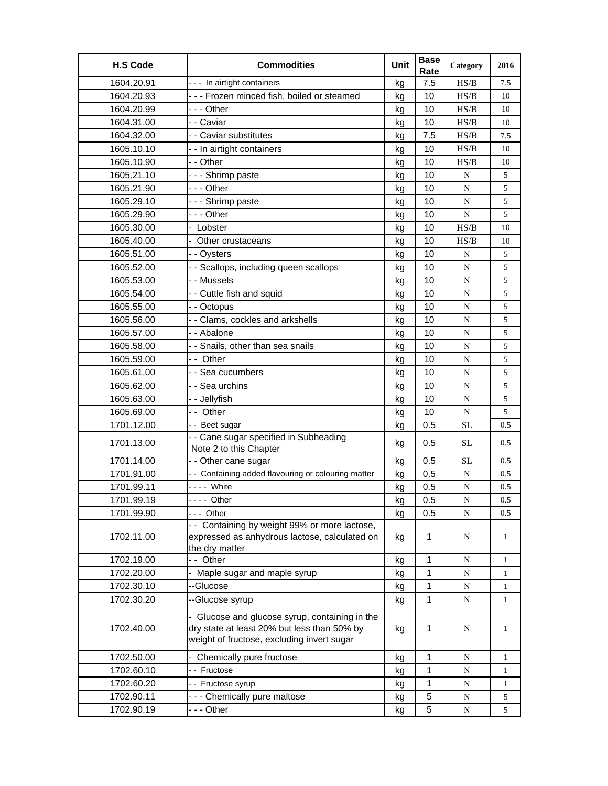| <b>H.S Code</b> | <b>Commodities</b>                                                                                                                          | Unit | <b>Base</b><br>Rate | Category  | 2016         |
|-----------------|---------------------------------------------------------------------------------------------------------------------------------------------|------|---------------------|-----------|--------------|
| 1604.20.91      | --- In airtight containers                                                                                                                  | kg   | 7.5                 | HS/B      | 7.5          |
| 1604.20.93      | --- Frozen minced fish, boiled or steamed                                                                                                   | kg   | 10                  | HS/B      | 10           |
| 1604.20.99      | --- Other                                                                                                                                   | kg   | 10                  | HS/B      | 10           |
| 1604.31.00      | - - Caviar                                                                                                                                  | kg   | 10                  | HS/B      | 10           |
| 1604.32.00      | - - Caviar substitutes                                                                                                                      | kg   | 7.5                 | HS/B      | 7.5          |
| 1605.10.10      | - - In airtight containers                                                                                                                  | kg   | 10                  | HS/B      | 10           |
| 1605.10.90      | - - Other                                                                                                                                   | kg   | 10                  | HS/B      | 10           |
| 1605.21.10      | --- Shrimp paste                                                                                                                            | kg   | 10                  | N         | 5            |
| 1605.21.90      | -  - - Other                                                                                                                                | kg   | 10                  | N         | 5            |
| 1605.29.10      | --- Shrimp paste                                                                                                                            | kg   | 10                  | N         | 5            |
| 1605.29.90      | -  - - Other                                                                                                                                | kg   | 10                  | ${\bf N}$ | 5            |
| 1605.30.00      | - Lobster                                                                                                                                   | kg   | 10                  | HS/B      | 10           |
| 1605.40.00      | - Other crustaceans                                                                                                                         | kg   | 10                  | HS/B      | 10           |
| 1605.51.00      | - - Oysters                                                                                                                                 | kg   | 10                  | N         | 5            |
| 1605.52.00      | - - Scallops, including queen scallops                                                                                                      | kg   | 10                  | ${\bf N}$ | 5            |
| 1605.53.00      | - - Mussels                                                                                                                                 | kg   | 10                  | N         | 5            |
| 1605.54.00      | - - Cuttle fish and squid                                                                                                                   | kg   | 10                  | ${\bf N}$ | 5            |
| 1605.55.00      | - - Octopus                                                                                                                                 | kg   | 10                  | ${\bf N}$ | $\sqrt{5}$   |
| 1605.56.00      | - - Clams, cockles and arkshells                                                                                                            | kg   | 10                  | ${\bf N}$ | 5            |
| 1605.57.00      | - - Abalone                                                                                                                                 | kg   | 10                  | N         | 5            |
| 1605.58.00      | - - Snails, other than sea snails                                                                                                           | kg   | 10                  | N         | 5            |
| 1605.59.00      | -- Other                                                                                                                                    | kg   | 10                  | ${\bf N}$ | 5            |
| 1605.61.00      | - - Sea cucumbers                                                                                                                           | kg   | 10                  | ${\bf N}$ | 5            |
| 1605.62.00      | - - Sea urchins                                                                                                                             | kg   | 10                  | ${\bf N}$ | 5            |
| 1605.63.00      | - - Jellyfish                                                                                                                               | kg   | 10                  | ${\bf N}$ | 5            |
| 1605.69.00      | $\overline{-}$ Other                                                                                                                        | kg   | 10                  | ${\bf N}$ | 5            |
| 1701.12.00      | -- Beet sugar                                                                                                                               | kg   | 0.5                 | <b>SL</b> | 0.5          |
| 1701.13.00      | - - Cane sugar specified in Subheading<br>Note 2 to this Chapter                                                                            | kg   | 0.5                 | <b>SL</b> | 0.5          |
| 1701.14.00      | - - Other cane sugar                                                                                                                        | kg   | 0.5                 | <b>SL</b> | 0.5          |
| 1701.91.00      | - - Containing added flavouring or colouring matter                                                                                         | kg   | 0.5                 | ${\bf N}$ | 0.5          |
| 1701.99.11      | - - - - White                                                                                                                               | kg   | 0.5                 | ${\bf N}$ | 0.5          |
| 1701.99.19      | --- Other                                                                                                                                   | kg   | $0.5\,$             | ${\bf N}$ | $0.5\,$      |
| 1701.99.90      | --- Other                                                                                                                                   | kg   | 0.5                 | N         | 0.5          |
|                 | - - Containing by weight 99% or more lactose,                                                                                               |      |                     |           |              |
| 1702.11.00      | expressed as anhydrous lactose, calculated on<br>the dry matter                                                                             | kg   | 1                   | N         | $\mathbf{1}$ |
| 1702.19.00      | -- Other                                                                                                                                    | kg   | 1                   | N         | 1            |
| 1702.20.00      | Maple sugar and maple syrup                                                                                                                 | kg   | 1                   | N         | 1            |
| 1702.30.10      | --Glucose                                                                                                                                   | kg   | 1                   | N         | 1            |
| 1702.30.20      | --Glucose syrup                                                                                                                             | kg   | $\mathbf 1$         | N         | 1            |
| 1702.40.00      | - Glucose and glucose syrup, containing in the<br>dry state at least 20% but less than 50% by<br>weight of fructose, excluding invert sugar | kg   | $\mathbf 1$         | N         | $\mathbf{1}$ |
| 1702.50.00      | - Chemically pure fructose                                                                                                                  | kg   | $\mathbf 1$         | N         | $\mathbf{1}$ |
| 1702.60.10      | -- Fructose                                                                                                                                 | kg   | 1                   | N         | 1            |
| 1702.60.20      | - - Fructose syrup                                                                                                                          | kg   | 1                   | N         | 1            |
| 1702.90.11      | --- Chemically pure maltose                                                                                                                 | kg   | 5                   | ${\bf N}$ | 5            |
| 1702.90.19      | --- Other                                                                                                                                   | kg   | 5                   | ${\bf N}$ | 5            |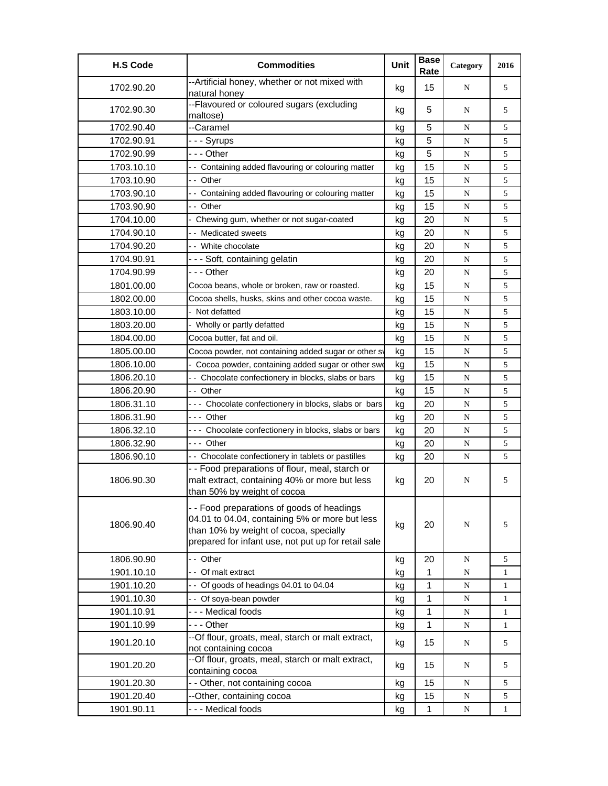| <b>H.S Code</b> | <b>Commodities</b>                                                                                                                                                                            | Unit | <b>Base</b><br>Rate | Category  | 2016         |
|-----------------|-----------------------------------------------------------------------------------------------------------------------------------------------------------------------------------------------|------|---------------------|-----------|--------------|
| 1702.90.20      | --Artificial honey, whether or not mixed with<br>natural honey                                                                                                                                | kg   | 15                  | N         | 5            |
| 1702.90.30      | --Flavoured or coloured sugars (excluding<br>maltose)                                                                                                                                         | kg   | 5                   | N         | 5            |
| 1702.90.40      | --Caramel                                                                                                                                                                                     | kg   | 5                   | N         | 5            |
| 1702.90.91      | - - - Syrups                                                                                                                                                                                  | kg   | 5                   | ${\bf N}$ | 5            |
| 1702.90.99      | - - - Other                                                                                                                                                                                   | kg   | 5                   | N         | 5            |
| 1703.10.10      | - - Containing added flavouring or colouring matter                                                                                                                                           | kg   | 15                  | ${\bf N}$ | 5            |
| 1703.10.90      | -- Other                                                                                                                                                                                      | kg   | 15                  | ${\bf N}$ | 5            |
| 1703.90.10      | - - Containing added flavouring or colouring matter                                                                                                                                           | kg   | 15                  | ${\bf N}$ | 5            |
| 1703.90.90      | - - Other                                                                                                                                                                                     | kg   | 15                  | N         | 5            |
| 1704.10.00      | - Chewing gum, whether or not sugar-coated                                                                                                                                                    | kg   | 20                  | ${\bf N}$ | 5            |
| 1704.90.10      | - - Medicated sweets                                                                                                                                                                          | kg   | 20                  | ${\bf N}$ | 5            |
| 1704.90.20      | - - White chocolate                                                                                                                                                                           | kg   | 20                  | ${\bf N}$ | 5            |
| 1704.90.91      | - - - Soft, containing gelatin                                                                                                                                                                | kg   | 20                  | ${\bf N}$ | 5            |
| 1704.90.99      | --- Other                                                                                                                                                                                     | kg   | 20                  | N         | 5            |
| 1801.00.00      | Cocoa beans, whole or broken, raw or roasted.                                                                                                                                                 | kg   | 15                  | N         | 5            |
| 1802.00.00      | Cocoa shells, husks, skins and other cocoa waste.                                                                                                                                             | kg   | 15                  | ${\bf N}$ | 5            |
| 1803.10.00      | Not defatted                                                                                                                                                                                  | kg   | 15                  | ${\bf N}$ | 5            |
| 1803.20.00      | Wholly or partly defatted                                                                                                                                                                     | kg   | 15                  | ${\bf N}$ | 5            |
| 1804.00.00      | Cocoa butter, fat and oil.                                                                                                                                                                    | kg   | 15                  | N         | 5            |
| 1805.00.00      | Cocoa powder, not containing added sugar or other sv                                                                                                                                          | kg   | 15                  | ${\bf N}$ | 5            |
| 1806.10.00      | - Cocoa powder, containing added sugar or other swe                                                                                                                                           | kg   | 15                  | ${\bf N}$ | 5            |
| 1806.20.10      | - - Chocolate confectionery in blocks, slabs or bars                                                                                                                                          | kg   | 15                  | N         | 5            |
| 1806.20.90      | -- Other                                                                                                                                                                                      | kg   | 15                  | ${\bf N}$ | 5            |
| 1806.31.10      | --- Chocolate confectionery in blocks, slabs or bars                                                                                                                                          | kg   | 20                  | N         | 5            |
| 1806.31.90      | - - - Other                                                                                                                                                                                   | kg   | 20                  | N         | 5            |
| 1806.32.10      | --- Chocolate confectionery in blocks, slabs or bars                                                                                                                                          | kg   | 20                  | ${\bf N}$ | 5            |
| 1806.32.90      | --- Other                                                                                                                                                                                     | kg   | 20                  | N         | 5            |
| 1806.90.10      | - - Chocolate confectionery in tablets or pastilles                                                                                                                                           | kg   | 20                  | N         | 5            |
| 1806.90.30      | - - Food preparations of flour, meal, starch or<br>malt extract, containing 40% or more but less<br>than 50% by weight of cocoa                                                               | kg   | 20                  | N         | 5            |
| 1806.90.40      | - - Food preparations of goods of headings<br>04.01 to 04.04, containing 5% or more but less<br>than 10% by weight of cocoa, specially<br>prepared for infant use, not put up for retail sale | kg   | 20                  | N         | 5            |
| 1806.90.90      | - - Other                                                                                                                                                                                     | kg   | 20                  | N         | 5            |
| 1901.10.10      | - Of malt extract                                                                                                                                                                             | kg   | 1                   | N         | $\mathbf{1}$ |
| 1901.10.20      | -- Of goods of headings 04.01 to 04.04                                                                                                                                                        | kg   | 1                   | ${\bf N}$ | 1            |
| 1901.10.30      | -- Of soya-bean powder                                                                                                                                                                        | kg   | 1                   | ${\bf N}$ | $\mathbf{1}$ |
| 1901.10.91      | --- Medical foods                                                                                                                                                                             | kg   | 1                   | N         | $\mathbf{1}$ |
| 1901.10.99      | - - - Other                                                                                                                                                                                   | kg   | 1                   | ${\bf N}$ | $\mathbf{1}$ |
| 1901.20.10      | --Of flour, groats, meal, starch or malt extract,<br>not containing cocoa                                                                                                                     | kg   | 15                  | N         | 5            |
| 1901.20.20      | --Of flour, groats, meal, starch or malt extract,<br>containing cocoa                                                                                                                         | kg   | 15                  | N         | 5            |
| 1901.20.30      | - - Other, not containing cocoa                                                                                                                                                               | kg   | 15                  | ${\bf N}$ | 5            |
| 1901.20.40      | --Other, containing cocoa                                                                                                                                                                     | kg   | 15                  | ${\bf N}$ | 5            |
| 1901.90.11      | --- Medical foods                                                                                                                                                                             | kg   | 1                   | ${\bf N}$ | $\mathbf{1}$ |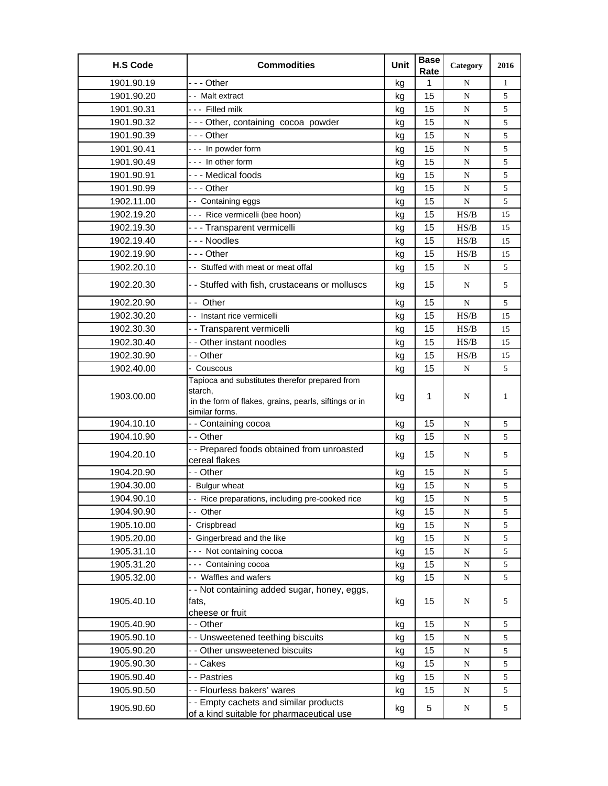| <b>H.S Code</b> | <b>Commodities</b>                                                                                                                   | Unit | <b>Base</b><br>Rate | Category  | 2016         |
|-----------------|--------------------------------------------------------------------------------------------------------------------------------------|------|---------------------|-----------|--------------|
| 1901.90.19      | --- Other                                                                                                                            | kg   | $\mathbf{1}$        | N         | $\mathbf{1}$ |
| 1901.90.20      | -- Malt extract                                                                                                                      | kg   | 15                  | ${\bf N}$ | 5            |
| 1901.90.31      | --- Filled milk                                                                                                                      | kg   | 15                  | N         | 5            |
| 1901.90.32      | --- Other, containing cocoa powder                                                                                                   | kg   | 15                  | N         | 5            |
| 1901.90.39      | --- Other                                                                                                                            | kg   | 15                  | N         | 5            |
| 1901.90.41      | --- In powder form                                                                                                                   | kg   | 15                  | N         | 5            |
| 1901.90.49      | --- In other form                                                                                                                    | kg   | 15                  | N         | 5            |
| 1901.90.91      | --- Medical foods                                                                                                                    | kg   | 15                  | N         | 5            |
| 1901.90.99      | --- Other                                                                                                                            | kg   | 15                  | N         | 5            |
| 1902.11.00      | - - Containing eggs                                                                                                                  | kg   | 15                  | N         | 5            |
| 1902.19.20      | --- Rice vermicelli (bee hoon)                                                                                                       | kg   | 15                  | HS/B      | 15           |
| 1902.19.30      | - - - Transparent vermicelli                                                                                                         | kg   | 15                  | HS/B      | 15           |
| 1902.19.40      | --- Noodles                                                                                                                          | kg   | 15                  | HS/B      | 15           |
| 1902.19.90      | --- Other                                                                                                                            | kg   | 15                  | HS/B      | 15           |
| 1902.20.10      | -- Stuffed with meat or meat offal                                                                                                   | kg   | 15                  | ${\bf N}$ | 5            |
|                 |                                                                                                                                      |      |                     |           |              |
| 1902.20.30      | - - Stuffed with fish, crustaceans or molluscs                                                                                       | kg   | 15                  | N         | 5            |
| 1902.20.90      | -- Other                                                                                                                             | kg   | 15                  | N         | 5            |
| 1902.30.20      | - - Instant rice vermicelli                                                                                                          | kg   | 15                  | HS/B      | 15           |
| 1902.30.30      | - - Transparent vermicelli                                                                                                           | kg   | 15                  | HS/B      | 15           |
| 1902.30.40      | - - Other instant noodles                                                                                                            | kg   | 15                  | HS/B      | 15           |
| 1902.30.90      | - - Other                                                                                                                            | kg   | 15                  | HS/B      | 15           |
| 1902.40.00      | - Couscous                                                                                                                           | kg   | 15                  | N         | 5            |
| 1903.00.00      | Tapioca and substitutes therefor prepared from<br>starch,<br>in the form of flakes, grains, pearls, siftings or in<br>similar forms. | kg   | $\mathbf{1}$        | N         | 1            |
| 1904.10.10      | - - Containing cocoa                                                                                                                 | kg   | 15                  | N         | 5            |
| 1904.10.90      | - - Other                                                                                                                            | kg   | 15                  | ${\bf N}$ | 5            |
| 1904.20.10      | - - Prepared foods obtained from unroasted<br>cereal flakes                                                                          | kg   | 15                  | N         | 5            |
| 1904.20.90      | - - Other                                                                                                                            | kg   | 15                  | N         | 5            |
| 1904.30.00      | <b>Bulgur</b> wheat                                                                                                                  | kg   | 15                  | ${\bf N}$ | 5            |
| 1904.90.10      | Rice preparations, including pre-cooked rice                                                                                         | kg   | 15                  | ${\bf N}$ | 5            |
| 1904.90.90      | - - Other                                                                                                                            | kg   | 15                  | N         | 5            |
| 1905.10.00      | - Crispbread                                                                                                                         | kg   | 15                  | ${\bf N}$ | 5            |
| 1905.20.00      | - Gingerbread and the like                                                                                                           | kg   | 15                  | ${\bf N}$ | 5            |
| 1905.31.10      | --- Not containing cocoa                                                                                                             | kg   | 15                  | N         | 5            |
| 1905.31.20      | --- Containing cocoa                                                                                                                 | kg   | 15                  | ${\bf N}$ | 5            |
| 1905.32.00      | - - Waffles and wafers                                                                                                               | kg   | 15                  | ${\bf N}$ | 5            |
| 1905.40.10      | - - Not containing added sugar, honey, eggs,<br>fats,<br>cheese or fruit                                                             | kg   | 15                  | N         | 5            |
| 1905.40.90      | - - Other                                                                                                                            | kg   | 15                  | ${\bf N}$ | 5            |
| 1905.90.10      | - - Unsweetened teething biscuits                                                                                                    | kg   | 15                  | ${\bf N}$ | 5            |
| 1905.90.20      | - - Other unsweetened biscuits                                                                                                       | kg   | 15                  | N         | 5            |
| 1905.90.30      | - - Cakes                                                                                                                            | kg   | 15                  | ${\bf N}$ | 5            |
| 1905.90.40      | - - Pastries                                                                                                                         | kg   | 15                  | ${\bf N}$ | 5            |
| 1905.90.50      | - - Flourless bakers' wares                                                                                                          | kg   | 15                  | ${\bf N}$ | 5            |
| 1905.90.60      | - - Empty cachets and similar products<br>of a kind suitable for pharmaceutical use                                                  | kg   | 5                   | N         | 5            |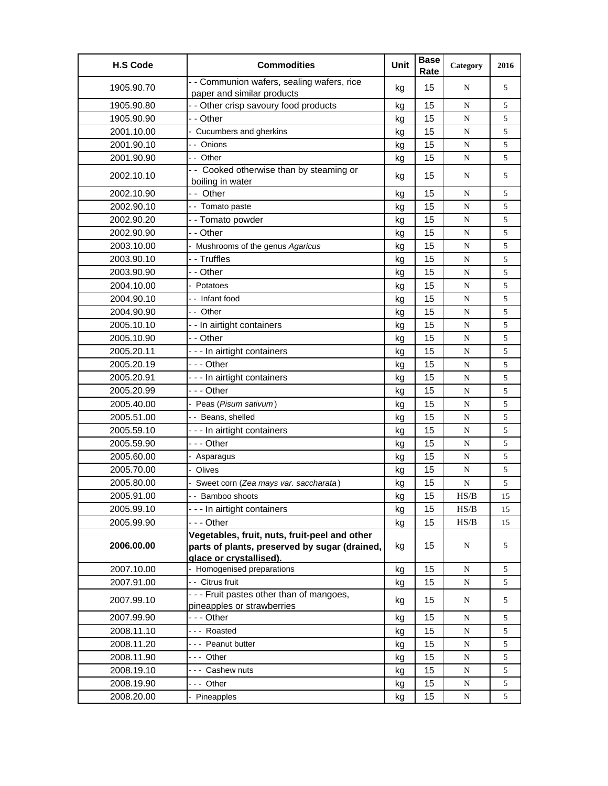| <b>H.S Code</b> | <b>Commodities</b>                                                                                                        | Unit | <b>Base</b><br>Rate | Category                                                                               | 2016           |
|-----------------|---------------------------------------------------------------------------------------------------------------------------|------|---------------------|----------------------------------------------------------------------------------------|----------------|
| 1905.90.70      | - - Communion wafers, sealing wafers, rice<br>paper and similar products                                                  | kg   | 15                  | N                                                                                      | 5              |
| 1905.90.80      | - - Other crisp savoury food products                                                                                     | kg   | 15                  | N                                                                                      | 5              |
| 1905.90.90      | - - Other                                                                                                                 | kg   | 15                  | ${\bf N}$                                                                              | 5              |
| 2001.10.00      | - Cucumbers and gherkins                                                                                                  | kg   | 15                  | ${\bf N}$                                                                              | 5              |
| 2001.90.10      | - - Onions                                                                                                                | kg   | 15                  | ${\bf N}$                                                                              | 5              |
| 2001.90.90      | -- Other                                                                                                                  | kg   | 15                  | ${\bf N}$                                                                              | 5              |
| 2002.10.10      | - - Cooked otherwise than by steaming or<br>boiling in water                                                              | kg   | 15                  | N                                                                                      | 5              |
| 2002.10.90      | -- Other                                                                                                                  | kg   | 15                  | N                                                                                      | 5              |
| 2002.90.10      | - - Tomato paste                                                                                                          | kg   | 15                  | N                                                                                      | 5              |
| 2002.90.20      | -- Tomato powder                                                                                                          | kg   | 15                  | ${\bf N}$                                                                              | 5              |
| 2002.90.90      | - - Other                                                                                                                 | kg   | 15                  | ${\bf N}$                                                                              | 5              |
| 2003.10.00      | Mushrooms of the genus Agaricus                                                                                           | kg   | 15                  | ${\bf N}$                                                                              | 5              |
| 2003.90.10      | - - Truffles                                                                                                              | kg   | 15                  | N                                                                                      | 5              |
| 2003.90.90      | - - Other                                                                                                                 | kg   | 15                  | ${\bf N}$                                                                              | 5              |
| 2004.10.00      | - Potatoes                                                                                                                | kg   | 15                  | N                                                                                      | 5              |
| 2004.90.10      | - - Infant food                                                                                                           | kg   | 15                  | ${\bf N}$                                                                              | 5              |
| 2004.90.90      | - - Other                                                                                                                 | kg   | 15                  | ${\bf N}$                                                                              | 5              |
| 2005.10.10      | - - In airtight containers                                                                                                | kg   | 15                  | N                                                                                      | 5              |
| 2005.10.90      | - - Other                                                                                                                 | kg   | 15                  | N                                                                                      | 5              |
| 2005.20.11      | --- In airtight containers                                                                                                | kg   | 15                  | N                                                                                      | 5              |
| 2005.20.19      | - - - Other                                                                                                               | kg   | 15                  | ${\bf N}$                                                                              | 5              |
| 2005.20.91      | - - - In airtight containers                                                                                              | kg   | 15                  | ${\bf N}$                                                                              | 5              |
| 2005.20.99      | --- Other                                                                                                                 | kg   | 15                  | ${\bf N}$                                                                              | 5              |
| 2005.40.00      | - Peas (Pisum sativum)                                                                                                    | kg   | 15                  | N                                                                                      | 5              |
| 2005.51.00      | - - Beans, shelled                                                                                                        | kg   | 15                  | ${\bf N}$                                                                              | 5              |
| 2005.59.10      | - - - In airtight containers                                                                                              | kg   | 15                  | ${\bf N}$                                                                              | 5              |
| 2005.59.90      | - - - Other                                                                                                               | kg   | 15                  | N                                                                                      | 5              |
| 2005.60.00      | - Asparagus                                                                                                               | kg   | 15                  | N                                                                                      | 5              |
| 2005.70.00      | Olives                                                                                                                    | kg   | 15                  | ${\bf N}$                                                                              | 5              |
| 2005.80.00      | Sweet corn (Zea mays var. saccharata)                                                                                     | kg   | 15                  | ${\bf N}$                                                                              | 5              |
| 2005.91.00      | -- Bamboo shoots                                                                                                          | ka   | 15                  | HS/B                                                                                   | 15             |
| 2005.99.10      | --- In airtight containers                                                                                                | kg   | 15                  | $\ensuremath{\mathbf{H}}\ensuremath{\mathbf{S}}\xspace/\ensuremath{\mathbf{B}}\xspace$ | 15             |
| 2005.99.90      | --- Other                                                                                                                 | kg   | 15                  | HS/B                                                                                   | 15             |
| 2006.00.00      | Vegetables, fruit, nuts, fruit-peel and other<br>parts of plants, preserved by sugar (drained,<br>glace or crystallised). | kg   | 15                  | N                                                                                      | 5              |
| 2007.10.00      | Homogenised preparations                                                                                                  | kg   | 15                  | ${\bf N}$                                                                              | 5              |
| 2007.91.00      | - Citrus fruit                                                                                                            | kg   | 15                  | ${\bf N}$                                                                              | 5              |
| 2007.99.10      | - - - Fruit pastes other than of mangoes,<br>pineapples or strawberries                                                   | kg   | 15                  | N                                                                                      | 5              |
| 2007.99.90      | --- Other                                                                                                                 | kg   | 15                  | ${\bf N}$                                                                              | 5              |
| 2008.11.10      | --- Roasted                                                                                                               | kg   | 15                  | N                                                                                      | 5              |
| 2008.11.20      | --- Peanut butter                                                                                                         | kg   | 15                  | N                                                                                      | 5              |
| 2008.11.90      | --- Other                                                                                                                 | kg   | 15                  | ${\bf N}$                                                                              | 5              |
| 2008.19.10      | --- Cashew nuts                                                                                                           | kg   | 15                  | ${\bf N}$                                                                              | 5              |
| 2008.19.90      | --- Other                                                                                                                 | kg   | 15                  | N                                                                                      | 5              |
| 2008.20.00      | Pineapples                                                                                                                | kg   | 15                  | ${\bf N}$                                                                              | $\mathfrak{S}$ |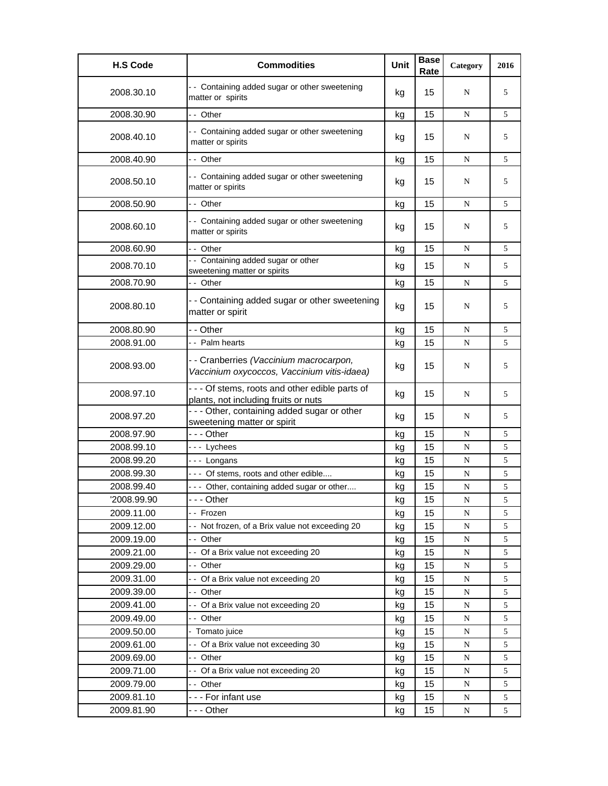| <b>H.S Code</b> | <b>Commodities</b>                                                                      | Unit | <b>Base</b><br>Rate | Category  | 2016 |
|-----------------|-----------------------------------------------------------------------------------------|------|---------------------|-----------|------|
| 2008.30.10      | - - Containing added sugar or other sweetening<br>matter or spirits                     | kg   | 15                  | N         | 5    |
| 2008.30.90      | -- Other                                                                                | kg   | 15                  | N         | 5    |
| 2008.40.10      | - - Containing added sugar or other sweetening<br>matter or spirits                     | kg   | 15                  | N         | 5    |
| 2008.40.90      | -- Other                                                                                | kg   | 15                  | N         | 5    |
| 2008.50.10      | - - Containing added sugar or other sweetening<br>matter or spirits                     | kg   | 15                  | N         | 5    |
| 2008.50.90      | -- Other                                                                                | kg   | 15                  | N         | 5    |
| 2008.60.10      | - - Containing added sugar or other sweetening<br>matter or spirits                     | kg   | 15                  | N         | 5    |
| 2008.60.90      | -- Other                                                                                | kg   | 15                  | N         | 5    |
| 2008.70.10      | - - Containing added sugar or other<br>sweetening matter or spirits                     | kg   | 15                  | N         | 5    |
| 2008.70.90      | - - Other                                                                               | kg   | 15                  | N         | 5    |
| 2008.80.10      | - - Containing added sugar or other sweetening<br>matter or spirit                      | kg   | 15                  | N         | 5    |
| 2008.80.90      | - - Other                                                                               | kg   | 15                  | N         | 5    |
| 2008.91.00      | - - Palm hearts                                                                         | kg   | 15                  | N         | 5    |
| 2008.93.00      | - - Cranberries (Vaccinium macrocarpon,<br>Vaccinium oxycoccos, Vaccinium vitis-idaea)  | kg   | 15                  | N         | 5    |
| 2008.97.10      | - - - Of stems, roots and other edible parts of<br>plants, not including fruits or nuts | kg   | 15                  | N         | 5    |
| 2008.97.20      | - - - Other, containing added sugar or other<br>sweetening matter or spirit             | kg   | 15                  | N         | 5    |
| 2008.97.90      | --- Other                                                                               | kg   | 15                  | N         | 5    |
| 2008.99.10      | --- Lychees                                                                             | kg   | 15                  | N         | 5    |
| 2008.99.20      | --- Longans                                                                             | kg   | 15                  | N         | 5    |
| 2008.99.30      | --- Of stems, roots and other edible                                                    | kg   | 15                  | N         | 5    |
| 2008.99.40      | --- Other, containing added sugar or other                                              | kg   | 15                  | N         | 5    |
| '2008.99.90     | - - - Other                                                                             | kg   | 15                  | ${\bf N}$ | 5    |
| 2009.11.00      | -- Frozen                                                                               | kg   | 15                  | N         | 5    |
| 2009.12.00      | -- Not frozen, of a Brix value not exceeding 20                                         | kg   | 15                  | N         | 5    |
| 2009.19.00      | -- Other                                                                                | kg   | 15                  | ${\bf N}$ | 5    |
| 2009.21.00      | -- Of a Brix value not exceeding 20                                                     | kg   | 15                  | N         | 5    |
| 2009.29.00      | -- Other                                                                                | kg   | 15                  | N         | 5    |
| 2009.31.00      | -- Of a Brix value not exceeding 20                                                     | kg   | 15                  | N         | 5    |
| 2009.39.00      | -- Other                                                                                | kg   | 15                  | N         | 5    |
| 2009.41.00      | -- Of a Brix value not exceeding 20                                                     | kg   | 15                  | ${\bf N}$ | 5    |
| 2009.49.00      | -- Other                                                                                | kg   | 15                  | ${\bf N}$ | 5    |
| 2009.50.00      | - Tomato juice                                                                          | kg   | 15                  | N         | 5    |
| 2009.61.00      | -- Of a Brix value not exceeding 30                                                     | kg   | 15                  | N         | 5    |
| 2009.69.00      | -- Other                                                                                | kg   | 15                  | N         | 5    |
| 2009.71.00      | -- Of a Brix value not exceeding 20                                                     | kg   | 15                  | ${\bf N}$ | 5    |
| 2009.79.00      | -- Other                                                                                | kg   | 15                  | ${\bf N}$ | 5    |
| 2009.81.10      | --- For infant use<br>- - - Other                                                       | kg   | 15<br>15            | ${\bf N}$ | 5    |
| 2009.81.90      |                                                                                         | kg   |                     | N         | 5    |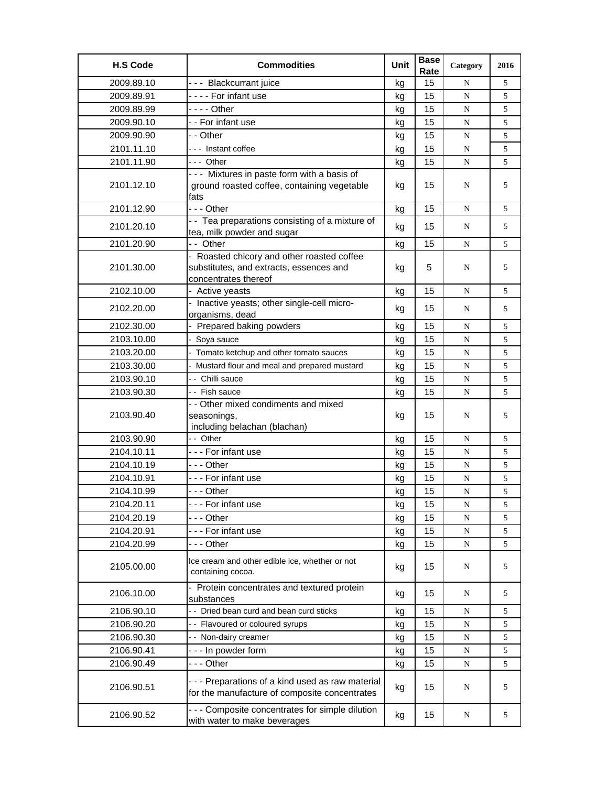| <b>H.S Code</b> | <b>Commodities</b>                                                                                            | Unit | <b>Base</b><br>Rate | Category  | 2016 |
|-----------------|---------------------------------------------------------------------------------------------------------------|------|---------------------|-----------|------|
| 2009.89.10      | --- Blackcurrant juice                                                                                        | kg   | 15                  | N         | 5    |
| 2009.89.91      | ---- For infant use                                                                                           | kg   | 15                  | ${\bf N}$ | 5    |
| 2009.89.99      | $--$ Other                                                                                                    | kg   | 15                  | N         | 5    |
| 2009.90.10      | - - For infant use                                                                                            | kg   | 15                  | N         | 5    |
| 2009.90.90      | - - Other                                                                                                     | kg   | 15                  | N         | 5    |
| 2101.11.10      | --- Instant coffee                                                                                            | kg   | 15                  | N         | 5    |
| 2101.11.90      | --- Other                                                                                                     | kg   | 15                  | ${\bf N}$ | 5    |
| 2101.12.10      | --- Mixtures in paste form with a basis of<br>ground roasted coffee, containing vegetable<br>fats             | kg   | 15                  | N         | 5    |
| 2101.12.90      | - - - Other                                                                                                   | kg   | 15                  | N         | 5    |
| 2101.20.10      | - - Tea preparations consisting of a mixture of<br>tea, milk powder and sugar                                 | kg   | 15                  | N         | 5    |
| 2101.20.90      | -- Other                                                                                                      | kg   | 15                  | N         | 5    |
| 2101.30.00      | - Roasted chicory and other roasted coffee<br>substitutes, and extracts, essences and<br>concentrates thereof | kg   | 5                   | N         | 5    |
| 2102.10.00      | - Active yeasts                                                                                               | kg   | 15                  | N         | 5    |
| 2102.20.00      | - Inactive yeasts; other single-cell micro-<br>organisms, dead                                                | kg   | 15                  | N         | 5    |
| 2102.30.00      | - Prepared baking powders                                                                                     | kg   | 15                  | N         | 5    |
| 2103.10.00      | Soya sauce                                                                                                    | kg   | 15                  | N         | 5    |
| 2103.20.00      | Tomato ketchup and other tomato sauces                                                                        | kg   | 15                  | ${\bf N}$ | 5    |
| 2103.30.00      | Mustard flour and meal and prepared mustard                                                                   | kg   | 15                  | N         | 5    |
| 2103.90.10      | - - Chilli sauce                                                                                              | kg   | 15                  | N         | 5    |
| 2103.90.30      | - - Fish sauce                                                                                                | kg   | 15                  | N         | 5    |
| 2103.90.40      | - - Other mixed condiments and mixed<br>seasonings,<br>including belachan (blachan)                           | kg   | 15                  | N         | 5    |
| 2103.90.90      | -- Other                                                                                                      | kg   | 15                  | N         | 5    |
| 2104.10.11      | --- For infant use                                                                                            | kg   | 15                  | N         | 5    |
| 2104.10.19      | - - - Other                                                                                                   | kg   | 15                  | N         | 5    |
| 2104.10.91      | --- For infant use                                                                                            | kg   | 15                  | N         | 5    |
| 2104.10.99      | --- Other                                                                                                     | kg   | 15                  | ${\bf N}$ | 5    |
| 2104.20.11      | --- For infant use                                                                                            | kg   | 15                  | ${\bf N}$ | 5    |
| 2104.20.19      | - - - Other                                                                                                   | kg   | 15                  | N         | 5    |
| 2104.20.91      | --- For infant use                                                                                            | kg   | 15                  | ${\bf N}$ | 5    |
| 2104.20.99      | - - - Other                                                                                                   | kg   | 15                  | ${\bf N}$ | 5    |
| 2105.00.00      | Ice cream and other edible ice, whether or not<br>containing cocoa.                                           | kg   | 15                  | N         | 5    |
| 2106.10.00      | - Protein concentrates and textured protein<br>substances                                                     | kg   | 15                  | N         | 5    |
| 2106.90.10      | - - Dried bean curd and bean curd sticks                                                                      | kg   | 15                  | ${\bf N}$ | 5    |
| 2106.90.20      | - - Flavoured or coloured syrups                                                                              | kg   | 15                  | N         | 5    |
| 2106.90.30      | -- Non-dairy creamer                                                                                          | kg   | 15                  | ${\bf N}$ | 5    |
| 2106.90.41      | - - - In powder form                                                                                          | kg   | 15                  | N         | 5    |
| 2106.90.49      | --- Other                                                                                                     | kg   | 15                  | ${\bf N}$ | 5    |
| 2106.90.51      | --- Preparations of a kind used as raw material<br>for the manufacture of composite concentrates              | kg   | 15                  | N         | 5    |
| 2106.90.52      | - - - Composite concentrates for simple dilution<br>with water to make beverages                              | kg   | 15                  | N         | 5    |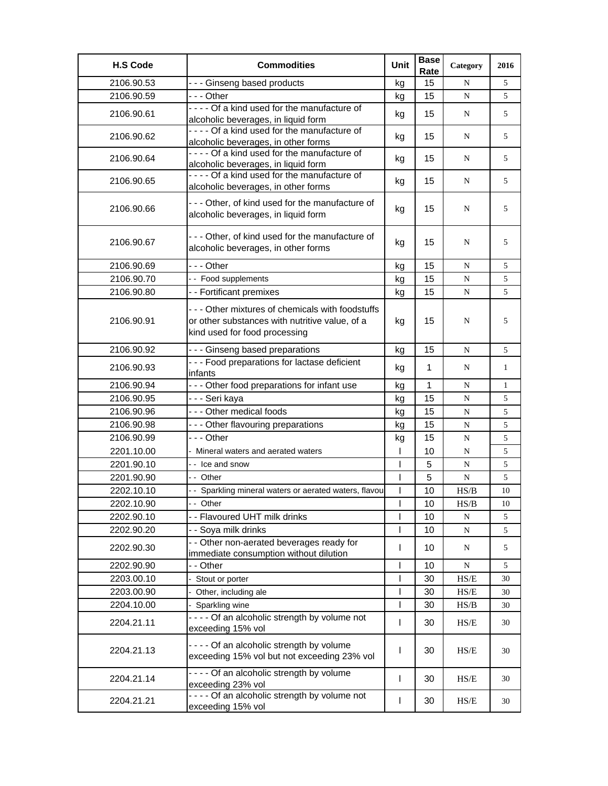| <b>H.S Code</b> | <b>Commodities</b>                                                                                                                 | Unit           | <b>Base</b><br>Rate | Category                                                  | 2016         |
|-----------------|------------------------------------------------------------------------------------------------------------------------------------|----------------|---------------------|-----------------------------------------------------------|--------------|
| 2106.90.53      | --- Ginseng based products                                                                                                         | kg             | 15                  | N                                                         | 5            |
| 2106.90.59      | - - - Other                                                                                                                        | kg             | 15                  | ${\bf N}$                                                 | 5            |
| 2106.90.61      | ---- Of a kind used for the manufacture of<br>alcoholic beverages, in liquid form                                                  | kg             | 15                  | N                                                         | 5            |
| 2106.90.62      | ---- Of a kind used for the manufacture of<br>alcoholic beverages, in other forms                                                  | kg             | 15                  | N                                                         | 5            |
| 2106.90.64      | ---- Of a kind used for the manufacture of<br>alcoholic beverages, in liquid form                                                  | kg             | 15                  | N                                                         | 5            |
| 2106.90.65      | ---- Of a kind used for the manufacture of<br>alcoholic beverages, in other forms                                                  | kg             | 15                  | N                                                         | 5            |
| 2106.90.66      | --- Other, of kind used for the manufacture of<br>alcoholic beverages, in liquid form                                              | kg             | 15                  | N                                                         | 5            |
| 2106.90.67      | --- Other, of kind used for the manufacture of<br>alcoholic beverages, in other forms                                              | kg             | 15                  | N                                                         | 5            |
| 2106.90.69      | --- Other                                                                                                                          | kg             | 15                  | N                                                         | 5            |
| 2106.90.70      | - - Food supplements                                                                                                               | kg             | 15                  | N                                                         | 5            |
| 2106.90.80      | - - Fortificant premixes                                                                                                           | kg             | 15                  | ${\bf N}$                                                 | 5            |
| 2106.90.91      | --- Other mixtures of chemicals with foodstuffs<br>or other substances with nutritive value, of a<br>kind used for food processing | kg             | 15                  | N                                                         | 5            |
| 2106.90.92      | - - - Ginseng based preparations                                                                                                   | kg             | 15                  | N                                                         | 5            |
| 2106.90.93      | - - - Food preparations for lactase deficient<br>infants                                                                           | kg             | $\mathbf 1$         | N                                                         | 1            |
| 2106.90.94      | - - - Other food preparations for infant use                                                                                       | kg             | $\mathbf{1}$        | N                                                         | $\mathbf{1}$ |
| 2106.90.95      | - - - Seri kaya                                                                                                                    | kg             | 15                  | ${\bf N}$                                                 | 5            |
| 2106.90.96      | - - - Other medical foods                                                                                                          | kg             | 15                  | ${\bf N}$                                                 | 5            |
| 2106.90.98      | --- Other flavouring preparations                                                                                                  | kg             | 15                  | ${\bf N}$                                                 | 5            |
| 2106.90.99      | $- -$ Other                                                                                                                        | kg             | 15                  | N                                                         | 5            |
| 2201.10.00      | Mineral waters and aerated waters                                                                                                  |                | 10                  | N                                                         | 5            |
| 2201.90.10      | - - Ice and snow                                                                                                                   | $\overline{1}$ | 5                   | N                                                         | 5            |
| 2201.90.90      | - - Other                                                                                                                          |                | 5                   | ${\bf N}$                                                 | 5            |
| 2202.10.10      | - - Sparkling mineral waters or aerated waters, flavou                                                                             | $\mathsf{l}$   | 10                  | HS/B                                                      | 10           |
| 2202.10.90      | - - Other                                                                                                                          |                | 10                  | HS/B                                                      | 10           |
| 2202.90.10      | - - Flavoured UHT milk drinks                                                                                                      |                | 10                  | ${\bf N}$                                                 | 5            |
| 2202.90.20      | - - Soya milk drinks                                                                                                               |                | 10                  | ${\bf N}$                                                 | 5            |
| 2202.90.30      | - - Other non-aerated beverages ready for<br>immediate consumption without dilution                                                | T              | 10                  | N                                                         | 5            |
| 2202.90.90      | - - Other                                                                                                                          | $\overline{1}$ | 10                  | ${\bf N}$                                                 | 5            |
| 2203.00.10      | Stout or porter                                                                                                                    | ı              | 30                  | HS/E                                                      | 30           |
| 2203.00.90      | - Other, including ale                                                                                                             | 1              | 30                  | $\ensuremath{\mathsf{HS}}\xspace/\ensuremath{\mathsf{E}}$ | 30           |
| 2204.10.00      | - Sparkling wine                                                                                                                   | T              | 30                  | HS/B                                                      | 30           |
| 2204.21.11      | - - - - Of an alcoholic strength by volume not<br>exceeding 15% vol                                                                | $\mathbf{I}$   | 30                  | HS/E                                                      | 30           |
| 2204.21.13      | - - - - Of an alcoholic strength by volume<br>exceeding 15% vol but not exceeding 23% vol                                          | ı              | 30                  | HS/E                                                      | 30           |
| 2204.21.14      | - - - - Of an alcoholic strength by volume<br>exceeding 23% vol                                                                    | T              | 30                  | HS/E                                                      | 30           |
| 2204.21.21      | - - - - Of an alcoholic strength by volume not<br>exceeding 15% vol                                                                | $\mathbf{I}$   | 30                  | HS/E                                                      | 30           |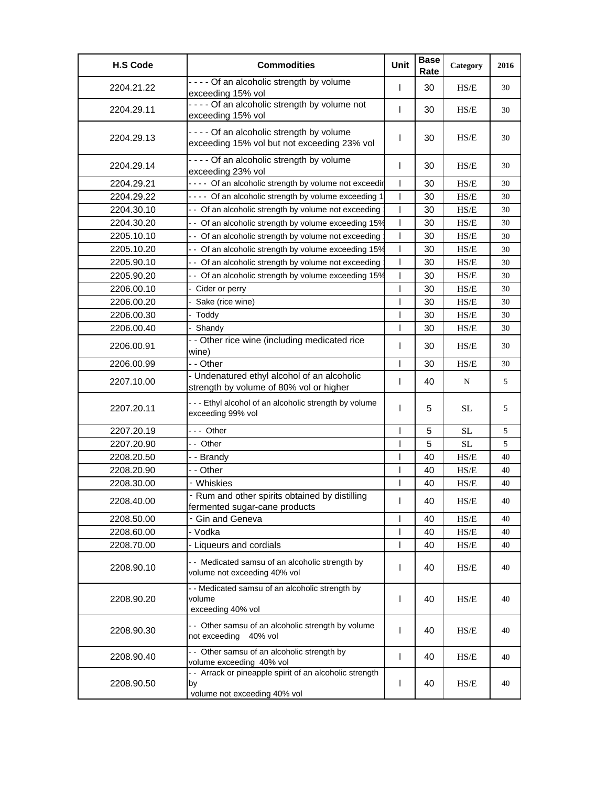| <b>H.S Code</b> | <b>Commodities</b>                                                                            | Unit         | <b>Base</b><br>Rate | Category                                                                | 2016 |
|-----------------|-----------------------------------------------------------------------------------------------|--------------|---------------------|-------------------------------------------------------------------------|------|
| 2204.21.22      | - - - - Of an alcoholic strength by volume<br>exceeding 15% vol                               | T            | 30                  | HS/E                                                                    | 30   |
| 2204.29.11      | - - - - Of an alcoholic strength by volume not<br>exceeding 15% vol                           | L            | 30                  | HS/E                                                                    | 30   |
| 2204.29.13      | - - - - Of an alcoholic strength by volume<br>exceeding 15% vol but not exceeding 23% vol     | I            | 30                  | HS/E                                                                    | 30   |
| 2204.29.14      | - - - - Of an alcoholic strength by volume<br>exceeding 23% vol                               | $\mathbf{I}$ | 30                  | H S/E                                                                   | 30   |
| 2204.29.21      | - - - - Of an alcoholic strength by volume not exceedir                                       | $\mathbf{I}$ | 30                  | $\ensuremath{\mathbf{H}}\ensuremath{\mathbf{S}}\ensuremath{\mathbf{E}}$ | 30   |
| 2204.29.22      | - - - - Of an alcoholic strength by volume exceeding 1                                        | $\mathbf{I}$ | 30                  | HS/E                                                                    | 30   |
| 2204.30.10      | - - Of an alcoholic strength by volume not exceeding                                          | $\mathbf{I}$ | 30                  | HS/E                                                                    | 30   |
| 2204.30.20      | - - Of an alcoholic strength by volume exceeding 15%                                          | T            | 30                  | HS/E                                                                    | 30   |
| 2205.10.10      | - - Of an alcoholic strength by volume not exceeding                                          | T            | 30                  | HS/E                                                                    | 30   |
| 2205.10.20      | - - Of an alcoholic strength by volume exceeding 15%                                          | T            | 30                  | $\ensuremath{\mathbf{H}}\ensuremath{\mathbf{S}}\ensuremath{\mathbf{E}}$ | 30   |
| 2205.90.10      | - - Of an alcoholic strength by volume not exceeding                                          | T            | 30                  | HS/E                                                                    | 30   |
| 2205.90.20      | - - Of an alcoholic strength by volume exceeding 15%                                          | ı            | 30                  | HS/E                                                                    | 30   |
| 2206.00.10      | - Cider or perry                                                                              | T            | 30                  | HS/E                                                                    | 30   |
| 2206.00.20      | Sake (rice wine)                                                                              | ı            | 30                  | HS/E                                                                    | 30   |
| 2206.00.30      | - Toddy                                                                                       | T            | 30                  | HS/E                                                                    | 30   |
| 2206.00.40      | - Shandy                                                                                      | T            | 30                  | HS/E                                                                    | 30   |
| 2206.00.91      | - - Other rice wine (including medicated rice<br>wine)                                        | T            | 30                  | HS/E                                                                    | 30   |
| 2206.00.99      | - - Other                                                                                     | T            | 30                  | HS/E                                                                    | 30   |
| 2207.10.00      | - Undenatured ethyl alcohol of an alcoholic<br>strength by volume of 80% vol or higher        | T            | 40                  | N                                                                       | 5    |
| 2207.20.11      | --- Ethyl alcohol of an alcoholic strength by volume<br>exceeding 99% vol                     | T            | 5                   | <b>SL</b>                                                               | 5    |
| 2207.20.19      | --- Other                                                                                     | T            | 5                   | <b>SL</b>                                                               | 5    |
| 2207.20.90      | - - Other                                                                                     | T            | 5                   | SL                                                                      | 5    |
| 2208.20.50      | - - Brandy                                                                                    | ı            | 40                  | HS/E                                                                    | 40   |
| 2208.20.90      | - - Other                                                                                     | T            | 40                  | HS/E                                                                    | 40   |
| 2208.30.00      | - Whiskies                                                                                    | I            | 40                  | HS/E                                                                    | 40   |
| 2208.40.00      | - Rum and other spirits obtained by distilling<br>fermented sugar-cane products               | L            | 40                  | HS/E                                                                    | 40   |
| 2208.50.00      | - Gin and Geneva                                                                              |              | 40                  | $\ensuremath{\mathsf{HS}}\xspace/\ensuremath{\mathsf{E}}$               | 40   |
| 2208.60.00      | - Vodka                                                                                       | T            | 40                  | HS/E                                                                    | 40   |
| 2208.70.00      | - Liqueurs and cordials                                                                       | T            | 40                  | HS/E                                                                    | 40   |
| 2208.90.10      | - - Medicated samsu of an alcoholic strength by<br>volume not exceeding 40% vol               | L            | 40                  | HS/E                                                                    | 40   |
| 2208.90.20      | - - Medicated samsu of an alcoholic strength by<br>volume<br>exceeding 40% vol                | T            | 40                  | HS/E                                                                    | 40   |
| 2208.90.30      | - - Other samsu of an alcoholic strength by volume<br>not exceeding 40% vol                   | T            | 40                  | HS/E                                                                    | 40   |
| 2208.90.40      | - - Other samsu of an alcoholic strength by<br>volume exceeding 40% vol                       | $\mathbf{I}$ | 40                  | HS/E                                                                    | 40   |
| 2208.90.50      | - - Arrack or pineapple spirit of an alcoholic strength<br>by<br>volume not exceeding 40% vol | I            | 40                  | HS/E                                                                    | 40   |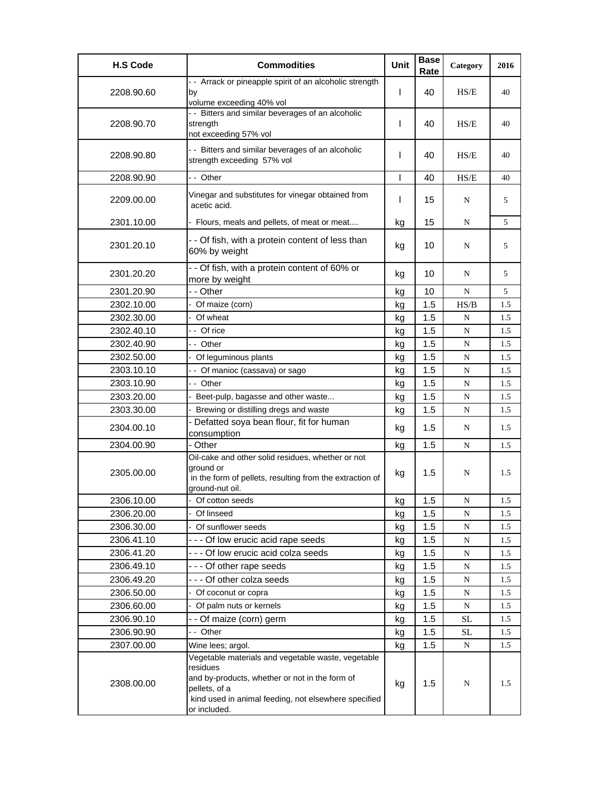| <b>H.S Code</b> | <b>Commodities</b>                                                                                                                                                                                        | Unit         | <b>Base</b><br>Rate | Category  | 2016 |
|-----------------|-----------------------------------------------------------------------------------------------------------------------------------------------------------------------------------------------------------|--------------|---------------------|-----------|------|
| 2208.90.60      | - - Arrack or pineapple spirit of an alcoholic strength<br>by<br>volume exceeding 40% vol                                                                                                                 | T            | 40                  | HS/E      | 40   |
| 2208.90.70      | - - Bitters and similar beverages of an alcoholic<br>strength<br>not exceeding 57% vol                                                                                                                    | L            | 40                  | HS/E      | 40   |
| 2208.90.80      | - - Bitters and similar beverages of an alcoholic<br>strength exceeding 57% vol                                                                                                                           | T            | 40                  | HS/E      | 40   |
| 2208.90.90      | - - Other                                                                                                                                                                                                 | $\mathbf{I}$ | 40                  | HS/E      | 40   |
| 2209.00.00      | Vinegar and substitutes for vinegar obtained from<br>acetic acid.                                                                                                                                         | L            | 15                  | N         | 5    |
| 2301.10.00      | - Flours, meals and pellets, of meat or meat                                                                                                                                                              | kg           | 15                  | N         | 5    |
| 2301.20.10      | - - Of fish, with a protein content of less than<br>60% by weight                                                                                                                                         | kg           | 10                  | N         | 5    |
| 2301.20.20      | - - Of fish, with a protein content of 60% or<br>more by weight                                                                                                                                           | kg           | 10                  | N         | 5    |
| 2301.20.90      | - - Other                                                                                                                                                                                                 | kg           | 10                  | N         | 5    |
| 2302.10.00      | Of maize (corn)                                                                                                                                                                                           | kg           | 1.5                 | HS/B      | 1.5  |
| 2302.30.00      | - Of wheat                                                                                                                                                                                                | kg           | 1.5                 | N         | 1.5  |
| 2302.40.10      | - - Of rice                                                                                                                                                                                               | kg           | 1.5                 | N         | 1.5  |
| 2302.40.90      | -- Other                                                                                                                                                                                                  | kg           | 1.5                 | N         | 1.5  |
| 2302.50.00      | - Of leguminous plants                                                                                                                                                                                    | kg           | 1.5                 | N         | 1.5  |
| 2303.10.10      | - - Of manioc (cassava) or sago                                                                                                                                                                           | kg           | 1.5                 | ${\bf N}$ | 1.5  |
| 2303.10.90      | -- Other                                                                                                                                                                                                  | kg           | 1.5                 | N         | 1.5  |
| 2303.20.00      | Beet-pulp, bagasse and other waste                                                                                                                                                                        | kg           | 1.5                 | N         | 1.5  |
| 2303.30.00      | Brewing or distilling dregs and waste                                                                                                                                                                     | kg           | 1.5                 | ${\bf N}$ | 1.5  |
| 2304.00.10      | - Defatted soya bean flour, fit for human<br>consumption                                                                                                                                                  | kg           | 1.5                 | N         | 1.5  |
| 2304.00.90      | - Other                                                                                                                                                                                                   | kg           | 1.5                 | N         | 1.5  |
| 2305.00.00      | Oil-cake and other solid residues, whether or not<br>ground or<br>in the form of pellets, resulting from the extraction of<br>ground-nut oil.                                                             | kg           | 1.5                 | N         | 1.5  |
| 2306.10.00      | Of cotton seeds                                                                                                                                                                                           | kg           | 1.5                 | ${\bf N}$ | 1.5  |
| 2306.20.00      | Of linseed                                                                                                                                                                                                | kg           | 1.5                 | N         | 1.5  |
| 2306.30.00      | - Of sunflower seeds                                                                                                                                                                                      | kg           | 1.5                 | ${\bf N}$ | 1.5  |
| 2306.41.10      | - - - Of low erucic acid rape seeds                                                                                                                                                                       | kg           | 1.5                 | ${\bf N}$ | 1.5  |
| 2306.41.20      | --- Of low erucic acid colza seeds                                                                                                                                                                        | kg           | 1.5                 | ${\bf N}$ | 1.5  |
| 2306.49.10      | --- Of other rape seeds                                                                                                                                                                                   | kg           | 1.5                 | ${\bf N}$ | 1.5  |
| 2306.49.20      | --- Of other colza seeds                                                                                                                                                                                  | kg           | 1.5                 | N         | 1.5  |
| 2306.50.00      | - Of coconut or copra                                                                                                                                                                                     | kg           | 1.5                 | N         | 1.5  |
| 2306.60.00      | - Of palm nuts or kernels                                                                                                                                                                                 | kg           | 1.5                 | N         | 1.5  |
| 2306.90.10      | - - Of maize (corn) germ                                                                                                                                                                                  | kg           | 1.5                 | <b>SL</b> | 1.5  |
| 2306.90.90      | -- Other                                                                                                                                                                                                  | kg           | 1.5                 | $\rm SL$  | 1.5  |
| 2307.00.00      | Wine lees; argol.                                                                                                                                                                                         | kg           | 1.5                 | N         | 1.5  |
| 2308.00.00      | Vegetable materials and vegetable waste, vegetable<br>residues<br>and by-products, whether or not in the form of<br>pellets, of a<br>kind used in animal feeding, not elsewhere specified<br>or included. | kg           | 1.5                 | N         | 1.5  |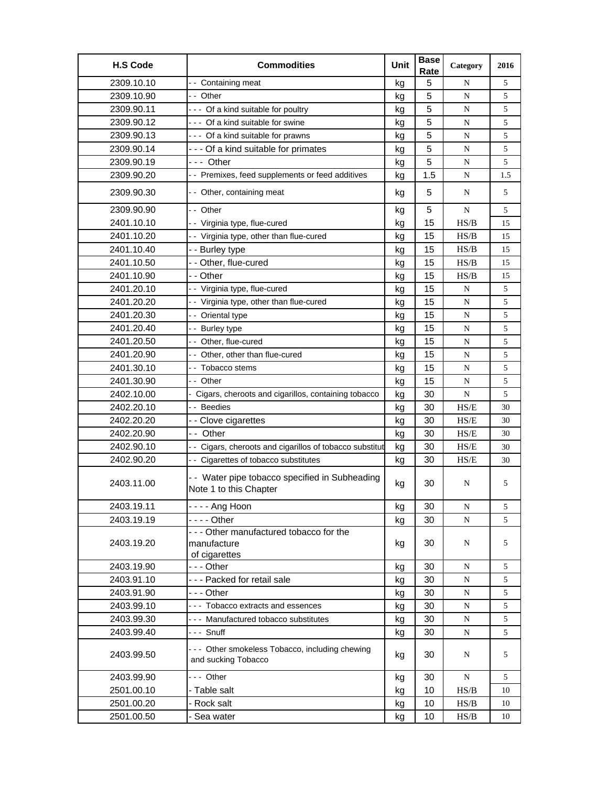| <b>H.S Code</b> | <b>Commodities</b>                                                       | Unit | <b>Base</b><br>Rate | Category  | 2016 |
|-----------------|--------------------------------------------------------------------------|------|---------------------|-----------|------|
| 2309.10.10      | -- Containing meat                                                       | kg   | 5                   | N         | 5    |
| 2309.10.90      | -- Other                                                                 | kg   | 5                   | N         | 5    |
| 2309.90.11      | --- Of a kind suitable for poultry                                       | kg   | 5                   | N         | 5    |
| 2309.90.12      | --- Of a kind suitable for swine                                         | kg   | 5                   | N         | 5    |
| 2309.90.13      | --- Of a kind suitable for prawns                                        | kg   | 5                   | N         | 5    |
| 2309.90.14      | --- Of a kind suitable for primates                                      | kg   | 5                   | N         | 5    |
| 2309.90.19      | --- Other                                                                | kg   | 5                   | ${\bf N}$ | 5    |
| 2309.90.20      | - - Premixes, feed supplements or feed additives                         | kg   | 1.5                 | N         | 1.5  |
| 2309.90.30      | -- Other, containing meat                                                | kg   | 5                   | N         | 5    |
| 2309.90.90      | - - Other                                                                | kg   | 5                   | N         | 5    |
| 2401.10.10      | - - Virginia type, flue-cured                                            | kg   | 15                  | HS/B      | 15   |
| 2401.10.20      | - - Virginia type, other than flue-cured                                 | kg   | 15                  | HS/B      | 15   |
| 2401.10.40      | - - Burley type                                                          | kg   | 15                  | HS/B      | 15   |
| 2401.10.50      | - - Other, flue-cured                                                    | kg   | 15                  | HS/B      | 15   |
| 2401.10.90      | - - Other                                                                | kg   | 15                  | HS/B      | 15   |
| 2401.20.10      | - - Virginia type, flue-cured                                            | kg   | 15                  | ${\bf N}$ | 5    |
| 2401.20.20      | - - Virginia type, other than flue-cured                                 | kg   | 15                  | N         | 5    |
| 2401.20.30      | - - Oriental type                                                        | kg   | 15                  | N         | 5    |
| 2401.20.40      | - - Burley type                                                          | kg   | 15                  | ${\bf N}$ | 5    |
| 2401.20.50      | -- Other, flue-cured                                                     | kg   | 15                  | N         | 5    |
| 2401.20.90      | -- Other, other than flue-cured                                          | kg   | 15                  | N         | 5    |
| 2401.30.10      | - - Tobacco stems                                                        | kg   | 15                  | N         | 5    |
| 2401.30.90      | - - Other                                                                | kg   | 15                  | N         | 5    |
| 2402.10.00      | - Cigars, cheroots and cigarillos, containing tobacco                    | kg   | 30                  | ${\bf N}$ | 5    |
| 2402.20.10      | - - Beedies                                                              | kg   | 30                  | HS/E      | 30   |
| 2402.20.20      | - - Clove cigarettes                                                     | kg   | 30                  | HS/E      | 30   |
| 2402.20.90      | -- Other                                                                 | kg   | 30                  | HS/E      | 30   |
| 2402.90.10      | - - Cigars, cheroots and cigarillos of tobacco substitut                 | kg   | 30                  | HS/E      | 30   |
| 2402.90.20      | - - Cigarettes of tobacco substitutes                                    | kg   | 30                  | HS/E      | 30   |
| 2403.11.00      | - - Water pipe tobacco specified in Subheading<br>Note 1 to this Chapter | kg   | 30                  | N         | 5    |
| 2403.19.11      | -  -  -  - Ang Hoon                                                      | kg   | 30                  | N         | 5    |
| 2403.19.19      | - - - - Other                                                            | kg   | 30                  | N         | 5    |
| 2403.19.20      | - - - Other manufactured tobacco for the<br>manufacture<br>of cigarettes | kg   | 30                  | N         | 5    |
| 2403.19.90      | - - - Other                                                              | kg   | 30                  | ${\bf N}$ | 5    |
| 2403.91.10      | --- Packed for retail sale                                               | kg   | 30                  | N         | 5    |
| 2403.91.90      | - - - Other                                                              | kg   | 30                  | N         | 5    |
| 2403.99.10      | --- Tobacco extracts and essences                                        | kg   | 30                  | N         | 5    |
| 2403.99.30      | --- Manufactured tobacco substitutes                                     | kg   | 30                  | ${\bf N}$ | 5    |
| 2403.99.40      | --- Snuff                                                                | kg   | 30                  | ${\bf N}$ | 5    |
| 2403.99.50      | --- Other smokeless Tobacco, including chewing<br>and sucking Tobacco    | kg   | 30                  | N         | 5    |
| 2403.99.90      | --- Other                                                                | kg   | 30                  | N         | 5    |
| 2501.00.10      | - Table salt                                                             | kg   | 10                  | HS/B      | 10   |
| 2501.00.20      | - Rock salt                                                              | kg   | 10                  | HS/B      | 10   |
| 2501.00.50      | Sea water                                                                | kg   | 10                  | HS/B      | 10   |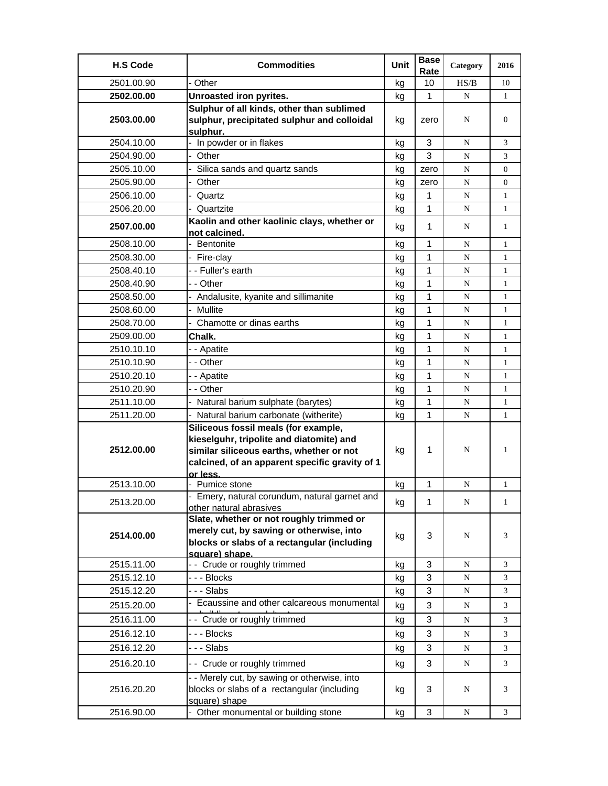| <b>H.S Code</b> | <b>Commodities</b>                                                                                           | Unit | <b>Base</b><br>Rate | Category  | 2016           |
|-----------------|--------------------------------------------------------------------------------------------------------------|------|---------------------|-----------|----------------|
| 2501.00.90      | - Other                                                                                                      | kg   | 10                  | HS/B      | 10             |
| 2502.00.00      | Unroasted iron pyrites.                                                                                      | kg   | 1                   | N         | 1              |
|                 | Sulphur of all kinds, other than sublimed                                                                    |      |                     |           |                |
| 2503.00.00      | sulphur, precipitated sulphur and colloidal<br>sulphur.                                                      | kg   | zero                | N         | $\overline{0}$ |
| 2504.10.00      | In powder or in flakes                                                                                       | kg   | 3                   | N         | 3              |
| 2504.90.00      | Other                                                                                                        | kg   | 3                   | N         | 3              |
| 2505.10.00      | Silica sands and quartz sands                                                                                | kg   | zero                | N         | 0              |
| 2505.90.00      | Other                                                                                                        | kg   | zero                | N         | 0              |
| 2506.10.00      | Quartz                                                                                                       | kg   | 1                   | N         | $\mathbf{1}$   |
| 2506.20.00      | Quartzite                                                                                                    | kg   | 1                   | N         | $\mathbf{1}$   |
| 2507.00.00      | Kaolin and other kaolinic clays, whether or<br>not calcined.                                                 | kg   | 1                   | N         | $\mathbf{1}$   |
| 2508.10.00      | Bentonite                                                                                                    | kq   | $\mathbf{1}$        | N         | 1              |
| 2508.30.00      | - Fire-clay                                                                                                  | kg   | 1                   | ${\bf N}$ | $\mathbf{1}$   |
| 2508.40.10      | - - Fuller's earth                                                                                           | kg   | 1                   | N         | $\mathbf{1}$   |
| 2508.40.90      | - - Other                                                                                                    | kg   | 1                   | N         | $\mathbf{1}$   |
| 2508.50.00      | Andalusite, kyanite and sillimanite                                                                          | kg   | 1                   | N         | $\mathbf{1}$   |
| 2508.60.00      | Mullite                                                                                                      | kg   | 1                   | N         | $\mathbf{1}$   |
| 2508.70.00      | Chamotte or dinas earths                                                                                     | kg   | 1                   | N         | $\mathbf{1}$   |
| 2509.00.00      | Chalk.                                                                                                       | kg   | 1                   | N         | $\mathbf{1}$   |
| 2510.10.10      | -- Apatite                                                                                                   | kg   | 1                   | N         | $\mathbf{1}$   |
| 2510.10.90      | - - Other                                                                                                    | kg   | 1                   | N         | $\mathbf{1}$   |
| 2510.20.10      | - - Apatite                                                                                                  | kg   | 1                   | N         | $\mathbf{1}$   |
| 2510.20.90      | - - Other                                                                                                    | kg   | 1                   | N         | 1              |
| 2511.10.00      | - Natural barium sulphate (barytes)                                                                          | kg   | 1                   | N         | $\mathbf{1}$   |
| 2511.20.00      | - Natural barium carbonate (witherite)                                                                       | kg   | 1                   | N         | $\mathbf{1}$   |
|                 | Siliceous fossil meals (for example,                                                                         |      |                     |           |                |
|                 | kieselguhr, tripolite and diatomite) and                                                                     |      |                     |           |                |
| 2512.00.00      | similar siliceous earths, whether or not                                                                     | kg   | 1                   | N         | 1              |
|                 | calcined, of an apparent specific gravity of 1<br>or less.                                                   |      |                     |           |                |
| 2513.10.00      | - Pumice stone                                                                                               | kg   | 1                   | N         | 1              |
|                 | - Emery, natural corundum, natural garnet and                                                                |      |                     |           |                |
| 2513.20.00      | other natural abrasives                                                                                      | kg   | 1                   | N         | 1              |
|                 | Slate, whether or not roughly trimmed or                                                                     |      |                     |           |                |
| 2514.00.00      | merely cut, by sawing or otherwise, into                                                                     | kg   | 3                   | N         | 3              |
|                 | blocks or slabs of a rectangular (including                                                                  |      |                     |           |                |
| 2515.11.00      | square) shape.<br>-- Crude or roughly trimmed                                                                | kg   | 3                   | N         | 3              |
| 2515.12.10      | - - - Blocks                                                                                                 | kg   | 3                   | ${\bf N}$ | 3              |
| 2515.12.20      | --- Slabs                                                                                                    | kg   | 3                   | ${\bf N}$ | 3              |
| 2515.20.00      | - Ecaussine and other calcareous monumental                                                                  | kg   | 3                   | ${\bf N}$ | 3              |
|                 |                                                                                                              |      |                     |           |                |
| 2516.11.00      | -- Crude or roughly trimmed                                                                                  | kg   | 3                   | N         | 3              |
| 2516.12.10      | - - - Blocks                                                                                                 | kg   | 3                   | ${\bf N}$ | 3              |
| 2516.12.20      | --- Slabs                                                                                                    | kg   | 3                   | N         | 3              |
| 2516.20.10      | -- Crude or roughly trimmed                                                                                  | kg   | 3                   | ${\bf N}$ | 3              |
| 2516.20.20      | - - Merely cut, by sawing or otherwise, into<br>blocks or slabs of a rectangular (including<br>square) shape | kg   | 3                   | N         | 3              |
| 2516.90.00      | - Other monumental or building stone                                                                         | kg   | 3                   | N         | 3              |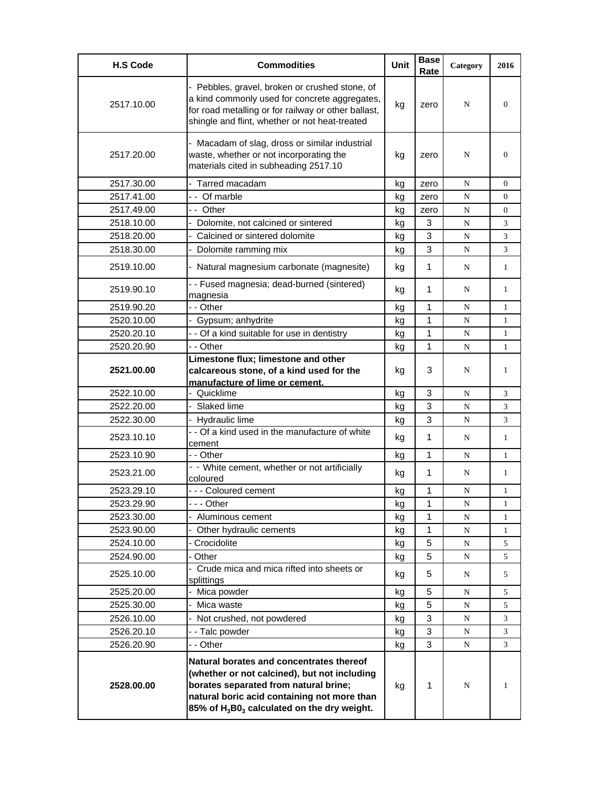| <b>H.S Code</b> | <b>Commodities</b>                                                                                                                                                                                                                                      | <b>Unit</b> | <b>Base</b><br>Rate | Category    | 2016           |
|-----------------|---------------------------------------------------------------------------------------------------------------------------------------------------------------------------------------------------------------------------------------------------------|-------------|---------------------|-------------|----------------|
| 2517.10.00      | - Pebbles, gravel, broken or crushed stone, of<br>a kind commonly used for concrete aggregates,<br>for road metalling or for railway or other ballast,<br>shingle and flint, whether or not heat-treated                                                | kg          | zero                | N           | $\overline{0}$ |
| 2517.20.00      | - Macadam of slag, dross or similar industrial<br>waste, whether or not incorporating the<br>materials cited in subheading 2517.10                                                                                                                      | kg          | zero                | N           | $\Omega$       |
| 2517.30.00      | - Tarred macadam                                                                                                                                                                                                                                        | kg          | zero                | N           | $\Omega$       |
| 2517.41.00      | -- Of marble                                                                                                                                                                                                                                            | kg          | zero                | N           | $\mathbf{0}$   |
| 2517.49.00      | -- Other                                                                                                                                                                                                                                                | kg          | zero                | $\mathbf N$ | $\overline{0}$ |
| 2518.10.00      | - Dolomite, not calcined or sintered                                                                                                                                                                                                                    | kg          | 3                   | N           | 3              |
| 2518.20.00      | Calcined or sintered dolomite                                                                                                                                                                                                                           | kg          | 3                   | N           | 3              |
| 2518.30.00      | Dolomite ramming mix                                                                                                                                                                                                                                    | kg          | 3                   | N           | 3              |
| 2519.10.00      | - Natural magnesium carbonate (magnesite)                                                                                                                                                                                                               | kg          | 1                   | N           | 1              |
| 2519.90.10      | - - Fused magnesia; dead-burned (sintered)<br>magnesia                                                                                                                                                                                                  | kg          | 1                   | N           | 1              |
| 2519.90.20      | - - Other                                                                                                                                                                                                                                               | kg          | 1                   | N           | 1              |
| 2520.10.00      | - Gypsum; anhydrite                                                                                                                                                                                                                                     | kg          | 1                   | N           | 1              |
| 2520.20.10      | - - Of a kind suitable for use in dentistry                                                                                                                                                                                                             | kg          | 1                   | N           | 1              |
| 2520.20.90      | - - Other                                                                                                                                                                                                                                               | kg          | 1                   | N           | $\mathbf{1}$   |
| 2521.00.00      | Limestone flux; limestone and other<br>calcareous stone, of a kind used for the<br>manufacture of lime or cement.                                                                                                                                       | kg          | 3                   | N           | 1              |
| 2522.10.00      | - Quicklime                                                                                                                                                                                                                                             | kg          | 3                   | N           | 3              |
| 2522.20.00      | Slaked lime                                                                                                                                                                                                                                             | kg          | 3                   | N           | 3              |
| 2522.30.00      | - Hydraulic lime                                                                                                                                                                                                                                        | kg          | 3                   | N           | 3              |
| 2523.10.10      | - - Of a kind used in the manufacture of white<br>cement                                                                                                                                                                                                | kg          | 1                   | N           | $\mathbf{1}$   |
| 2523.10.90      | - - Other                                                                                                                                                                                                                                               | kg          | 1                   | N           | $\mathbf{1}$   |
| 2523.21.00      | - - White cement, whether or not artificially<br>coloured                                                                                                                                                                                               | kg          | 1                   | N           | 1              |
| 2523.29.10      | --- Coloured cement                                                                                                                                                                                                                                     | kg          | 1                   | N           | 1              |
| 2523.29.90      | --- Other                                                                                                                                                                                                                                               | kg          | 1                   | N           | 1              |
| 2523.30.00      | Aluminous cement                                                                                                                                                                                                                                        | kg          | 1                   | N           | 1              |
| 2523.90.00      | Other hydraulic cements                                                                                                                                                                                                                                 | kg          | $\mathbf{1}$        | N           | 1              |
| 2524.10.00      | Crocidolite                                                                                                                                                                                                                                             | kg          | 5                   | N           | 5              |
| 2524.90.00      | - Other                                                                                                                                                                                                                                                 | kg          | 5                   | N           | 5              |
| 2525.10.00      | Crude mica and mica rifted into sheets or<br>splittings                                                                                                                                                                                                 | kg          | 5                   | N           | 5              |
| 2525.20.00      | Mica powder                                                                                                                                                                                                                                             | kg          | 5                   | N           | 5              |
| 2525.30.00      | Mica waste                                                                                                                                                                                                                                              | kg          | 5                   | N           | 5              |
| 2526.10.00      | Not crushed, not powdered                                                                                                                                                                                                                               | kg          | 3                   | N           | 3              |
| 2526.20.10      | - - Talc powder                                                                                                                                                                                                                                         | kg          | 3                   | N           | 3              |
| 2526.20.90      | - - Other                                                                                                                                                                                                                                               | kg          | 3                   | N           | 3              |
| 2528.00.00      | Natural borates and concentrates thereof<br>(whether or not calcined), but not including<br>borates separated from natural brine;<br>natural boric acid containing not more than<br>85% of H <sub>3</sub> B0 <sub>3</sub> calculated on the dry weight. | kg          | 1                   | N           | 1              |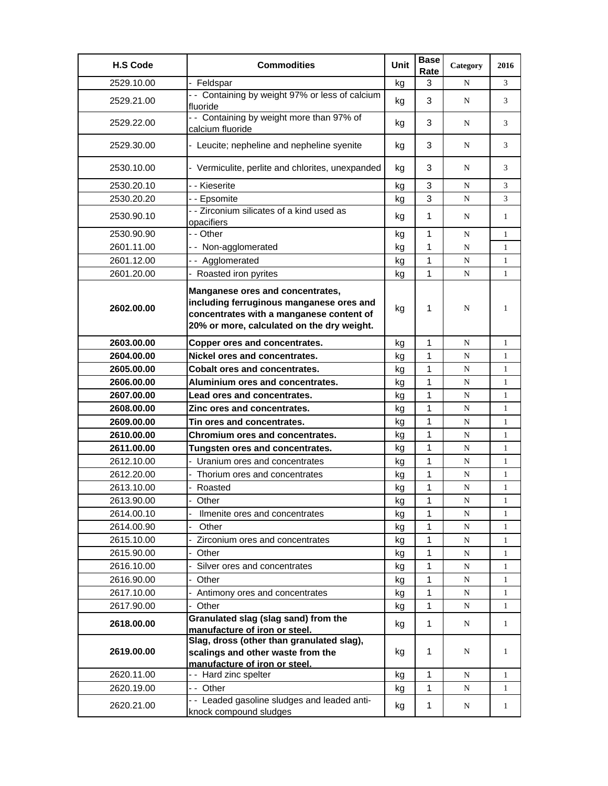| <b>H.S Code</b> | <b>Commodities</b>                                                                                                                                                     | Unit | <b>Base</b><br>Rate | Category  | 2016         |
|-----------------|------------------------------------------------------------------------------------------------------------------------------------------------------------------------|------|---------------------|-----------|--------------|
| 2529.10.00      | - Feldspar                                                                                                                                                             | kg   | 3                   | N         | 3            |
| 2529.21.00      | - - Containing by weight 97% or less of calcium<br>fluoride                                                                                                            | kg   | 3                   | N         | 3            |
| 2529.22.00      | - - Containing by weight more than 97% of<br>calcium fluoride                                                                                                          | kg   | 3                   | N         | 3            |
| 2529.30.00      | - Leucite; nepheline and nepheline syenite                                                                                                                             | kg   | 3                   | N         | 3            |
| 2530.10.00      | - Vermiculite, perlite and chlorites, unexpanded                                                                                                                       | kg   | 3                   | N         | 3            |
| 2530.20.10      | - - Kieserite                                                                                                                                                          | kg   | 3                   | N         | 3            |
| 2530.20.20      | - - Epsomite                                                                                                                                                           | kg   | 3                   | N         | 3            |
| 2530.90.10      | - - Zirconium silicates of a kind used as<br>opacifiers                                                                                                                | kg   | 1                   | N         | $\mathbf{1}$ |
| 2530.90.90      | - - Other                                                                                                                                                              | kg   | 1                   | N         | $\mathbf{1}$ |
| 2601.11.00      | -- Non-agglomerated                                                                                                                                                    | kg   | 1                   | N         | 1            |
| 2601.12.00      | -- Agglomerated                                                                                                                                                        | kg   | 1                   | N         | $\mathbf{1}$ |
| 2601.20.00      | Roasted iron pyrites                                                                                                                                                   | kg   | 1                   | N         | $\mathbf{1}$ |
| 2602.00.00      | Manganese ores and concentrates,<br>including ferruginous manganese ores and<br>concentrates with a manganese content of<br>20% or more, calculated on the dry weight. | kg   | 1                   | N         | 1            |
| 2603.00.00      | Copper ores and concentrates.                                                                                                                                          | kg   | 1                   | N         | 1            |
| 2604.00.00      | Nickel ores and concentrates.                                                                                                                                          | kg   | 1                   | N         | 1            |
| 2605.00.00      | <b>Cobalt ores and concentrates.</b>                                                                                                                                   | kg   | 1                   | ${\bf N}$ | $\mathbf{1}$ |
| 2606.00.00      | Aluminium ores and concentrates.                                                                                                                                       | kg   | 1                   | N         | $\mathbf{1}$ |
| 2607.00.00      | Lead ores and concentrates.                                                                                                                                            | kq   | 1                   | N         | $\mathbf{1}$ |
| 2608.00.00      | Zinc ores and concentrates.                                                                                                                                            | kg   | 1                   | N         | $\mathbf{1}$ |
| 2609.00.00      | Tin ores and concentrates.                                                                                                                                             | kg   | 1                   | N         | $\mathbf{1}$ |
| 2610.00.00      | <b>Chromium ores and concentrates.</b>                                                                                                                                 | kg   | 1                   | N         | 1            |
| 2611.00.00      | Tungsten ores and concentrates.                                                                                                                                        | kg   | 1                   | ${\bf N}$ | 1            |
| 2612.10.00      | - Uranium ores and concentrates                                                                                                                                        | kg   | 1                   | N         | $\mathbf{1}$ |
| 2612.20.00      | Thorium ores and concentrates                                                                                                                                          | kg   | 1                   | N         | $\mathbf{1}$ |
| 2613.10.00      | Roasted                                                                                                                                                                | kg   | 1                   | N         | $\mathbf{1}$ |
| 2613.90.00      | Other                                                                                                                                                                  | kg   | 1                   | N         | T            |
| 2614.00.10      | Ilmenite ores and concentrates                                                                                                                                         | kg   | 1                   | N         | 1            |
| 2614.00.90      | Other                                                                                                                                                                  | kg   | 1                   | ${\bf N}$ | 1            |
| 2615.10.00      | Zirconium ores and concentrates                                                                                                                                        | kg   | 1                   | N         | $\mathbf{1}$ |
| 2615.90.00      | Other                                                                                                                                                                  | kg   | 1                   | N         | $\mathbf{1}$ |
| 2616.10.00      | Silver ores and concentrates                                                                                                                                           | kg   | 1                   | N         | 1            |
| 2616.90.00      | Other                                                                                                                                                                  | kg   | 1                   | ${\bf N}$ | 1            |
| 2617.10.00      | - Antimony ores and concentrates                                                                                                                                       | kg   | 1                   | N         | 1            |
| 2617.90.00      | Other                                                                                                                                                                  | kg   | 1                   | N         | $\mathbf{1}$ |
| 2618.00.00      | Granulated slag (slag sand) from the<br>manufacture of iron or steel.                                                                                                  | kg   | 1                   | N         | $\mathbf{1}$ |
| 2619.00.00      | Slag, dross (other than granulated slag),<br>scalings and other waste from the<br>manufacture of iron or steel.                                                        | kg   | 1                   | N         | 1            |
| 2620.11.00      | -- Hard zinc spelter                                                                                                                                                   | kg   | 1                   | ${\bf N}$ | 1            |
| 2620.19.00      | -- Other                                                                                                                                                               | kg   | 1                   | N         | $\mathbf{1}$ |
| 2620.21.00      | - - Leaded gasoline sludges and leaded anti-<br>knock compound sludges                                                                                                 | kg   | $\mathbf{1}$        | N         | $\mathbf{1}$ |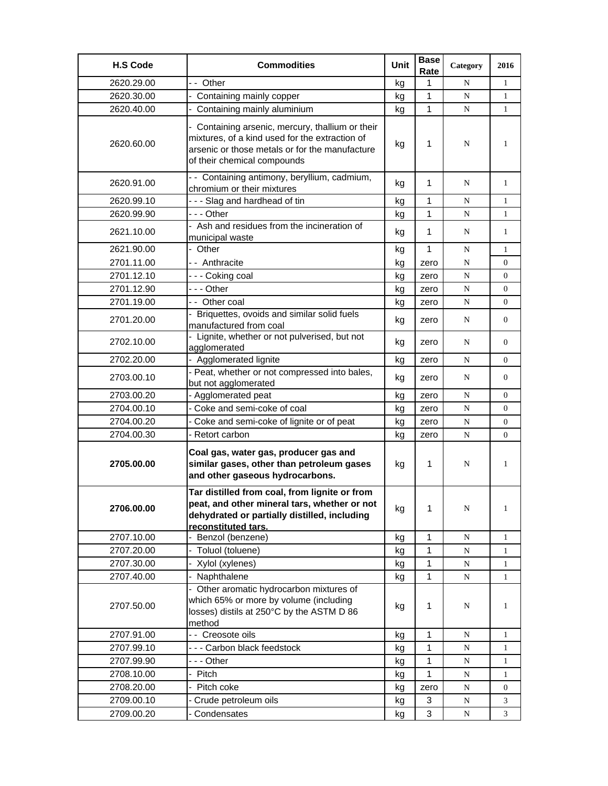| <b>H.S Code</b> | <b>Commodities</b>                                                                                                                                                                  | Unit | <b>Base</b><br>Rate | Category  | 2016             |
|-----------------|-------------------------------------------------------------------------------------------------------------------------------------------------------------------------------------|------|---------------------|-----------|------------------|
| 2620.29.00      | -- Other                                                                                                                                                                            | kg   | 1                   | N         | $\mathbf{1}$     |
| 2620.30.00      | - Containing mainly copper                                                                                                                                                          | kg   | $\mathbf{1}$        | N         | $\mathbf{1}$     |
| 2620.40.00      | - Containing mainly aluminium                                                                                                                                                       | kg   | 1                   | N         | 1                |
| 2620.60.00      | - Containing arsenic, mercury, thallium or their<br>mixtures, of a kind used for the extraction of<br>arsenic or those metals or for the manufacture<br>of their chemical compounds | kg   | 1                   | N         | 1                |
| 2620.91.00      | -- Containing antimony, beryllium, cadmium,<br>chromium or their mixtures                                                                                                           | kg   | $\mathbf 1$         | N         | $\mathbf{1}$     |
| 2620.99.10      | --- Slag and hardhead of tin                                                                                                                                                        | kg   | 1                   | N         | $\mathbf{1}$     |
| 2620.99.90      | --- Other                                                                                                                                                                           | kg   | $\mathbf{1}$        | N         | $\mathbf{1}$     |
| 2621.10.00      | - Ash and residues from the incineration of<br>municipal waste                                                                                                                      | kg   | $\mathbf 1$         | N         | $\mathbf{1}$     |
| 2621.90.00      | - Other                                                                                                                                                                             | kg   | $\mathbf{1}$        | N         | $\mathbf{1}$     |
| 2701.11.00      | -- Anthracite                                                                                                                                                                       | kg   | zero                | N         | 0                |
| 2701.12.10      | --- Coking coal                                                                                                                                                                     | kg   | zero                | ${\bf N}$ | $\overline{0}$   |
| 2701.12.90      | -  - - Other                                                                                                                                                                        | kg   | zero                | ${\bf N}$ | $\overline{0}$   |
| 2701.19.00      | -- Other coal                                                                                                                                                                       | kg   | zero                | N         | $\overline{0}$   |
| 2701.20.00      | - Briquettes, ovoids and similar solid fuels<br>manufactured from coal                                                                                                              | kg   | zero                | N         | $\overline{0}$   |
| 2702.10.00      | Lignite, whether or not pulverised, but not<br>agglomerated                                                                                                                         | kg   | zero                | N         | $\overline{0}$   |
| 2702.20.00      | - Agglomerated lignite                                                                                                                                                              | kg   | zero                | N         | 0                |
| 2703.00.10      | - Peat, whether or not compressed into bales,<br>but not agglomerated                                                                                                               | kg   | zero                | N         | $\overline{0}$   |
| 2703.00.20      | - Agglomerated peat                                                                                                                                                                 | kg   | zero                | N         | 0                |
| 2704.00.10      | - Coke and semi-coke of coal                                                                                                                                                        | kg   | zero                | N         | $\boldsymbol{0}$ |
| 2704.00.20      | Coke and semi-coke of lignite or of peat                                                                                                                                            | kg   | zero                | ${\bf N}$ | 0                |
| 2704.00.30      | - Retort carbon                                                                                                                                                                     | kg   | zero                | N         | 0                |
| 2705.00.00      | Coal gas, water gas, producer gas and<br>similar gases, other than petroleum gases<br>and other gaseous hydrocarbons.                                                               | kg   | 1                   | N         | $\mathbf{1}$     |
| 2706.00.00      | Tar distilled from coal, from lignite or from<br>peat, and other mineral tars, whether or not<br>dehydrated or partially distilled, including<br>reconstituted tars.                | kg   | 1                   | N         | $\mathbf{1}$     |
| 2707.10.00      | Benzol (benzene)                                                                                                                                                                    | kg   | 1                   | N         | $\mathbf{1}$     |
| 2707.20.00      | Toluol (toluene)                                                                                                                                                                    | kg   | 1                   | ${\bf N}$ | 1                |
| 2707.30.00      | Xylol (xylenes)                                                                                                                                                                     | kg   | $\mathbf{1}$        | ${\bf N}$ | $\mathbf{1}$     |
| 2707.40.00      | Naphthalene                                                                                                                                                                         | kg   | 1                   | N         | $\mathbf{1}$     |
| 2707.50.00      | - Other aromatic hydrocarbon mixtures of<br>which 65% or more by volume (including<br>losses) distils at 250°C by the ASTM D 86<br>method                                           | kg   | $\mathbf{1}$        | N         | 1                |
| 2707.91.00      | - - Creosote oils                                                                                                                                                                   | kg   | 1                   | N         | $\mathbf{1}$     |
| 2707.99.10      | --- Carbon black feedstock                                                                                                                                                          | kg   | 1                   | ${\bf N}$ | 1                |
| 2707.99.90      | - - - Other                                                                                                                                                                         | kg   | 1                   | ${\bf N}$ | $\mathbf{1}$     |
| 2708.10.00      | Pitch                                                                                                                                                                               | kg   | 1                   | ${\bf N}$ | $\mathbf{1}$     |
| 2708.20.00      | Pitch coke                                                                                                                                                                          | kg   | zero                | ${\bf N}$ | 0                |
| 2709.00.10      | Crude petroleum oils                                                                                                                                                                | kg   | 3                   | ${\bf N}$ | 3                |
| 2709.00.20      | - Condensates                                                                                                                                                                       | kg   | 3                   | N         | 3                |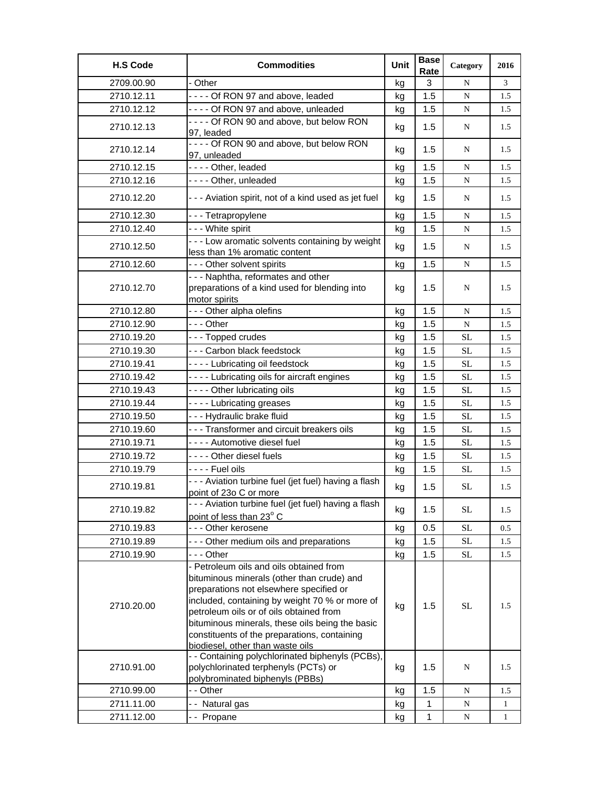| <b>H.S Code</b> | <b>Commodities</b>                                                                                                                                                                                                                                                                                                                                                   | Unit | <b>Base</b><br>Rate | Category  | 2016         |
|-----------------|----------------------------------------------------------------------------------------------------------------------------------------------------------------------------------------------------------------------------------------------------------------------------------------------------------------------------------------------------------------------|------|---------------------|-----------|--------------|
| 2709.00.90      | - Other                                                                                                                                                                                                                                                                                                                                                              | kg   | 3                   | N         | 3            |
| 2710.12.11      | - - - - Of RON 97 and above, leaded                                                                                                                                                                                                                                                                                                                                  | kg   | 1.5                 | ${\bf N}$ | 1.5          |
| 2710.12.12      | - - - - Of RON 97 and above, unleaded                                                                                                                                                                                                                                                                                                                                | kg   | 1.5                 | ${\bf N}$ | 1.5          |
| 2710.12.13      | ---- Of RON 90 and above, but below RON<br>97, leaded                                                                                                                                                                                                                                                                                                                | kg   | 1.5                 | N         | 1.5          |
| 2710.12.14      | ---- Of RON 90 and above, but below RON<br>97, unleaded                                                                                                                                                                                                                                                                                                              | kg   | 1.5                 | N         | 1.5          |
| 2710.12.15      | ---- Other, leaded                                                                                                                                                                                                                                                                                                                                                   | kg   | 1.5                 | N         | 1.5          |
| 2710.12.16      | ---- Other, unleaded                                                                                                                                                                                                                                                                                                                                                 | kg   | 1.5                 | N         | 1.5          |
| 2710.12.20      | --- Aviation spirit, not of a kind used as jet fuel                                                                                                                                                                                                                                                                                                                  | kg   | 1.5                 | N         | 1.5          |
| 2710.12.30      | --- Tetrapropylene                                                                                                                                                                                                                                                                                                                                                   | kg   | 1.5                 | ${\bf N}$ | 1.5          |
| 2710.12.40      | - - - White spirit                                                                                                                                                                                                                                                                                                                                                   | kg   | 1.5                 | N         | 1.5          |
| 2710.12.50      | - - - Low aromatic solvents containing by weight<br>less than 1% aromatic content                                                                                                                                                                                                                                                                                    | kg   | 1.5                 | N         | 1.5          |
| 2710.12.60      | - - - Other solvent spirits                                                                                                                                                                                                                                                                                                                                          | kg   | 1.5                 | N         | 1.5          |
| 2710.12.70      | --- Naphtha, reformates and other<br>preparations of a kind used for blending into<br>motor spirits                                                                                                                                                                                                                                                                  | kg   | 1.5                 | N         | 1.5          |
| 2710.12.80      | --- Other alpha olefins                                                                                                                                                                                                                                                                                                                                              | kg   | 1.5                 | N         | 1.5          |
| 2710.12.90      | - - - Other                                                                                                                                                                                                                                                                                                                                                          | kg   | 1.5                 | ${\bf N}$ | 1.5          |
| 2710.19.20      | --- Topped crudes                                                                                                                                                                                                                                                                                                                                                    | kg   | 1.5                 | <b>SL</b> | 1.5          |
| 2710.19.30      | --- Carbon black feedstock                                                                                                                                                                                                                                                                                                                                           | kg   | 1.5                 | <b>SL</b> | 1.5          |
| 2710.19.41      | ---- Lubricating oil feedstock                                                                                                                                                                                                                                                                                                                                       | kg   | 1.5                 | <b>SL</b> | 1.5          |
| 2710.19.42      | - - - - Lubricating oils for aircraft engines                                                                                                                                                                                                                                                                                                                        | kg   | 1.5                 | <b>SL</b> | 1.5          |
| 2710.19.43      | ---- Other lubricating oils                                                                                                                                                                                                                                                                                                                                          | kg   | 1.5                 | <b>SL</b> | 1.5          |
| 2710.19.44      | ---- Lubricating greases                                                                                                                                                                                                                                                                                                                                             | kg   | 1.5                 | <b>SL</b> | 1.5          |
| 2710.19.50      | --- Hydraulic brake fluid                                                                                                                                                                                                                                                                                                                                            | kg   | 1.5                 | SL        | 1.5          |
| 2710.19.60      | --- Transformer and circuit breakers oils                                                                                                                                                                                                                                                                                                                            | kg   | 1.5                 | <b>SL</b> | 1.5          |
| 2710.19.71      | ---- Automotive diesel fuel                                                                                                                                                                                                                                                                                                                                          | kg   | 1.5                 | <b>SL</b> | 1.5          |
| 2710.19.72      | - - - - Other diesel fuels                                                                                                                                                                                                                                                                                                                                           | kg   | 1.5                 | <b>SL</b> | 1.5          |
| 2710.19.79      | - - - - Fuel oils                                                                                                                                                                                                                                                                                                                                                    | kg   | 1.5                 | <b>SL</b> | 1.5          |
| 2710.19.81      | --- Aviation turbine fuel (jet fuel) having a flash<br>point of 23o C or more                                                                                                                                                                                                                                                                                        | kg   | 1.5                 | <b>SL</b> | 1.5          |
| 2710.19.82      | - - - Aviation turbine fuel (jet fuel) having a flash<br>point of less than 23° C                                                                                                                                                                                                                                                                                    | kg   | 1.5                 | $\rm SL$  | 1.5          |
| 2710.19.83      | --- Other kerosene                                                                                                                                                                                                                                                                                                                                                   | kg   | 0.5                 | <b>SL</b> | 0.5          |
| 2710.19.89      | --- Other medium oils and preparations                                                                                                                                                                                                                                                                                                                               | kg   | 1.5                 | $\rm SL$  | 1.5          |
| 2710.19.90      | - - - Other                                                                                                                                                                                                                                                                                                                                                          | kg   | 1.5                 | $\rm SL$  | 1.5          |
| 2710.20.00      | - Petroleum oils and oils obtained from<br>bituminous minerals (other than crude) and<br>preparations not elsewhere specified or<br>included, containing by weight 70 % or more of<br>petroleum oils or of oils obtained from<br>bituminous minerals, these oils being the basic<br>constituents of the preparations, containing<br>biodiesel, other than waste oils | kg   | 1.5                 | SL        | 1.5          |
| 2710.91.00      | - - Containing polychlorinated biphenyls (PCBs),<br>polychlorinated terphenyls (PCTs) or<br>polybrominated biphenyls (PBBs)                                                                                                                                                                                                                                          | kg   | 1.5                 | N         | 1.5          |
| 2710.99.00      | - - Other                                                                                                                                                                                                                                                                                                                                                            | kg   | 1.5                 | N         | 1.5          |
| 2711.11.00      | - - Natural gas                                                                                                                                                                                                                                                                                                                                                      | kg   | 1                   | N         | $\mathbf{1}$ |
| 2711.12.00      | -- Propane                                                                                                                                                                                                                                                                                                                                                           | kg   | 1                   | ${\bf N}$ | 1            |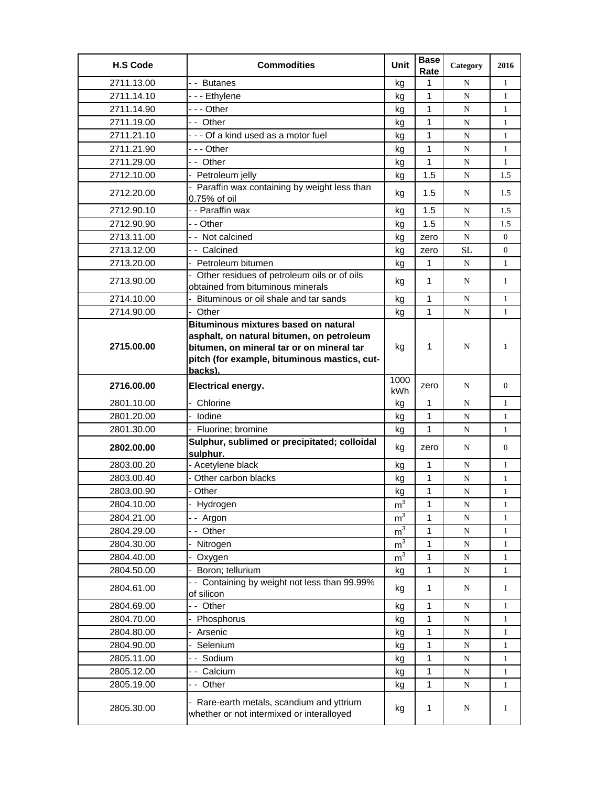| <b>H.S Code</b> | <b>Commodities</b>                                                                                                                                                                               | Unit           | <b>Base</b><br>Rate | Category    | 2016           |
|-----------------|--------------------------------------------------------------------------------------------------------------------------------------------------------------------------------------------------|----------------|---------------------|-------------|----------------|
| 2711.13.00      | -- Butanes                                                                                                                                                                                       | kg             | 1                   | N           | $\mathbf{1}$   |
| 2711.14.10      | - - - Ethylene                                                                                                                                                                                   | kq             | 1                   | N           | 1              |
| 2711.14.90      | - - - Other                                                                                                                                                                                      | kg             | 1                   | N           | 1              |
| 2711.19.00      | - - Other                                                                                                                                                                                        | kg             | 1                   | N           | $\mathbf{1}$   |
| 2711.21.10      | --- Of a kind used as a motor fuel                                                                                                                                                               | kg             | 1                   | N           | $\mathbf{1}$   |
| 2711.21.90      | - - - Other                                                                                                                                                                                      | kg             | $\mathbf{1}$        | N           | 1              |
| 2711.29.00      | - - Other                                                                                                                                                                                        | kg             | 1                   | N           | $\mathbf{1}$   |
| 2712.10.00      | - Petroleum jelly                                                                                                                                                                                | kg             | 1.5                 | N           | 1.5            |
| 2712.20.00      | - Paraffin wax containing by weight less than<br>0.75% of oil                                                                                                                                    | kg             | 1.5                 | N           | 1.5            |
| 2712.90.10      | - - Paraffin wax                                                                                                                                                                                 | kg             | 1.5                 | N           | 1.5            |
| 2712.90.90      | - - Other                                                                                                                                                                                        | kg             | 1.5                 | N           | 1.5            |
| 2713.11.00      | - - Not calcined                                                                                                                                                                                 | kg             | zero                | $\mathbf N$ | $\overline{0}$ |
| 2713.12.00      | - - Calcined                                                                                                                                                                                     | kg             | zero                | <b>SL</b>   | $\Omega$       |
| 2713.20.00      | - Petroleum bitumen                                                                                                                                                                              | kg             | 1                   | N           | $\mathbf{1}$   |
| 2713.90.00      | - Other residues of petroleum oils or of oils                                                                                                                                                    | kg             | 1                   | N           | $\mathbf{1}$   |
|                 | obtained from bituminous minerals                                                                                                                                                                |                |                     |             |                |
| 2714.10.00      | - Bituminous or oil shale and tar sands                                                                                                                                                          | kg             | 1                   | N           | 1              |
| 2714.90.00      | - Other                                                                                                                                                                                          | kg             | 1                   | N           | 1              |
| 2715.00.00      | <b>Bituminous mixtures based on natural</b><br>asphalt, on natural bitumen, on petroleum<br>bitumen, on mineral tar or on mineral tar<br>pitch (for example, bituminous mastics, cut-<br>backs). | kg             | 1                   | N           | 1              |
| 2716.00.00      | Electrical energy.                                                                                                                                                                               | 1000<br>kWh    | zero                | N           | $\overline{0}$ |
| 2801.10.00      | Chlorine                                                                                                                                                                                         | kg             | 1                   | N           | $\mathbf{1}$   |
| 2801.20.00      | - Iodine                                                                                                                                                                                         | kg             | $\mathbf{1}$        | N           | 1              |
| 2801.30.00      | - Fluorine; bromine                                                                                                                                                                              | kg             | 1                   | N           | 1              |
| 2802.00.00      | Sulphur, sublimed or precipitated; colloidal<br>sulphur.                                                                                                                                         | kg             | zero                | N           | $\overline{0}$ |
| 2803.00.20      | - Acetylene black                                                                                                                                                                                | kg             | 1                   | N           | 1              |
| 2803.00.40      | Other carbon blacks                                                                                                                                                                              | kg             | 1                   | N           | 1              |
| 2803.00.90      | - Other                                                                                                                                                                                          | kg             | 1                   | N           | $\mathbf{1}$   |
| 2804.10.00      | Hydrogen                                                                                                                                                                                         | m <sup>3</sup> | 1                   | N           | 1              |
| 2804.21.00      | -- Argon                                                                                                                                                                                         | $\mathsf{m}^3$ | $\mathbf{1}$        | N           | 1              |
| 2804.29.00      | -- Other                                                                                                                                                                                         | m <sup>3</sup> | 1                   | ${\bf N}$   | 1              |
| 2804.30.00      | Nitrogen                                                                                                                                                                                         | m <sup>3</sup> | 1                   | N           | 1              |
| 2804.40.00      | Oxygen                                                                                                                                                                                           | m <sup>3</sup> | 1                   | ${\bf N}$   | $\mathbf{1}$   |
| 2804.50.00      | Boron; tellurium                                                                                                                                                                                 | kg             | $\mathbf{1}$        | N           | $\mathbf{1}$   |
| 2804.61.00      | -- Containing by weight not less than 99.99%<br>of silicon                                                                                                                                       | kg             | 1                   | N           | $\mathbf{1}$   |
| 2804.69.00      | -- Other                                                                                                                                                                                         | kg             | 1                   | N           | $\mathbf{1}$   |
| 2804.70.00      | Phosphorus                                                                                                                                                                                       | kg             | 1                   | ${\bf N}$   | $\mathbf{1}$   |
| 2804.80.00      | Arsenic                                                                                                                                                                                          | kg             | 1                   | ${\bf N}$   | 1              |
| 2804.90.00      | Selenium                                                                                                                                                                                         | kg             | 1                   | ${\bf N}$   | 1              |
| 2805.11.00      | -- Sodium                                                                                                                                                                                        | kg             | 1                   | N           | $\mathbf{1}$   |
| 2805.12.00      | - - Calcium                                                                                                                                                                                      | kg             | 1                   | ${\bf N}$   | $\mathbf{1}$   |
| 2805.19.00      | -- Other                                                                                                                                                                                         | kg             | 1                   | ${\bf N}$   | $\mathbf{1}$   |
| 2805.30.00      | - Rare-earth metals, scandium and yttrium<br>whether or not intermixed or interalloyed                                                                                                           | kg             | 1                   | N           | $\mathbf{1}$   |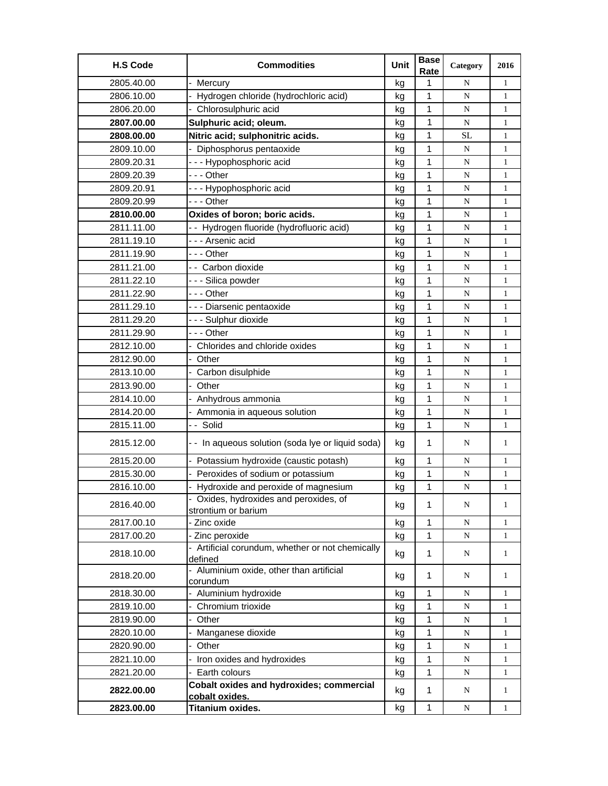| <b>H.S Code</b> | <b>Commodities</b>                                                | Unit | <b>Base</b><br>Rate | Category  | 2016         |
|-----------------|-------------------------------------------------------------------|------|---------------------|-----------|--------------|
| 2805.40.00      | Mercury                                                           | kg   | 1                   | N         | $\mathbf{1}$ |
| 2806.10.00      | Hydrogen chloride (hydrochloric acid)                             | kg   | 1                   | ${\bf N}$ | $\mathbf{1}$ |
| 2806.20.00      | - Chlorosulphuric acid                                            | kg   | 1                   | N         | $\mathbf{1}$ |
| 2807.00.00      | Sulphuric acid; oleum.                                            | kg   | 1                   | N         | $\mathbf{1}$ |
| 2808.00.00      | Nitric acid; sulphonitric acids.                                  | kg   | 1                   | SL        | 1            |
| 2809.10.00      | - Diphosphorus pentaoxide                                         | kg   | 1                   | N         | $\mathbf{1}$ |
| 2809.20.31      | --- Hypophosphoric acid                                           | kg   | 1                   | ${\bf N}$ | 1            |
| 2809.20.39      | --- Other                                                         | kg   | 1                   | ${\bf N}$ | $\mathbf{1}$ |
| 2809.20.91      | --- Hypophosphoric acid                                           | kg   | 1                   | N         | $\mathbf{1}$ |
| 2809.20.99      | --- Other                                                         | kg   | 1                   | N         | $\mathbf{1}$ |
| 2810.00.00      | Oxides of boron; boric acids.                                     | kg   | 1                   | N         | $\mathbf{1}$ |
| 2811.11.00      | - - Hydrogen fluoride (hydrofluoric acid)                         | kg   | 1                   | N         | 1            |
| 2811.19.10      | - - - Arsenic acid                                                | kg   | 1                   | N         | $\mathbf{1}$ |
| 2811.19.90      | --- Other                                                         | kg   | $\mathbf{1}$        | N         | $\mathbf{1}$ |
| 2811.21.00      | - - Carbon dioxide                                                | kg   | 1                   | N         | $\mathbf{1}$ |
| 2811.22.10      | --- Silica powder                                                 | kg   | 1                   | N         | $\mathbf{1}$ |
| 2811.22.90      | - - - Other                                                       | kg   | 1                   | ${\bf N}$ | 1            |
| 2811.29.10      | - - - Diarsenic pentaoxide                                        | kg   | 1                   | N         | 1            |
| 2811.29.20      | --- Sulphur dioxide                                               | kg   | 1                   | N         | $\mathbf{1}$ |
| 2811.29.90      | --- Other                                                         | kg   | $\mathbf{1}$        | N         | $\mathbf{1}$ |
| 2812.10.00      | Chlorides and chloride oxides                                     | kg   | 1                   | N         | $\mathbf{1}$ |
| 2812.90.00      | - Other                                                           | kg   | 1                   | N         | $\mathbf{1}$ |
| 2813.10.00      | Carbon disulphide                                                 | kg   | 1                   | N         | $\mathbf{1}$ |
| 2813.90.00      | - Other                                                           | kg   | 1                   | N         | 1            |
| 2814.10.00      | Anhydrous ammonia                                                 | kg   | 1                   | N         | $\mathbf{1}$ |
| 2814.20.00      | Ammonia in aqueous solution                                       | kg   | 1                   | ${\bf N}$ | $\mathbf{1}$ |
| 2815.11.00      | -- Solid                                                          | kg   | 1                   | N         | $\mathbf{1}$ |
| 2815.12.00      | - - In aqueous solution (soda lye or liquid soda)                 | kg   | 1                   | N         | 1            |
| 2815.20.00      | - Potassium hydroxide (caustic potash)                            | kg   | 1                   | N         | $\mathbf{1}$ |
| 2815.30.00      | Peroxides of sodium or potassium                                  | kg   | $\mathbf 1$         | N         | $\mathbf{1}$ |
| 2816.10.00      | Hydroxide and peroxide of magnesium                               | kg   | 1                   | N         | $\mathbf{1}$ |
| 2816.40.00      | Oxides, hydroxides and peroxides, of<br>strontium or barium       | kg   | $\mathbf{1}$        | N         | $\mathbf{1}$ |
| 2817.00.10      | - Zinc oxide                                                      | kg   | 1                   | ${\bf N}$ | 1            |
| 2817.00.20      | - Zinc peroxide                                                   | kg   | 1                   | ${\bf N}$ | $\mathbf{1}$ |
| 2818.10.00      | - Artificial corundum, whether or not chemically<br>defined       | kg   | 1                   | N         | $\mathbf{1}$ |
| 2818.20.00      | - Aluminium oxide, other than artificial<br>corundum              | kg   | 1                   | N         | $\mathbf{1}$ |
| 2818.30.00      | - Aluminium hydroxide                                             | kg   | $\mathbf{1}$        | N         | $\mathbf{1}$ |
| 2819.10.00      | - Chromium trioxide                                               | kg   | 1                   | ${\bf N}$ | 1            |
| 2819.90.00      | Other                                                             | kg   | 1                   | ${\bf N}$ | 1            |
| 2820.10.00      | Manganese dioxide                                                 | kg   | 1                   | ${\bf N}$ | 1            |
| 2820.90.00      | Other                                                             | kg   | 1                   | N         | 1            |
| 2821.10.00      | Iron oxides and hydroxides                                        | kg   | 1                   | ${\bf N}$ | $\mathbf{1}$ |
| 2821.20.00      | - Earth colours                                                   | kg   | 1                   | ${\bf N}$ | $\mathbf{1}$ |
| 2822.00.00      | <b>Cobalt oxides and hydroxides; commercial</b><br>cobalt oxides. | kg   | $\mathbf{1}$        | N         | $\mathbf{1}$ |
| 2823.00.00      | Titanium oxides.                                                  | kg   | $\mathbf 1$         | ${\bf N}$ | $\mathbf{1}$ |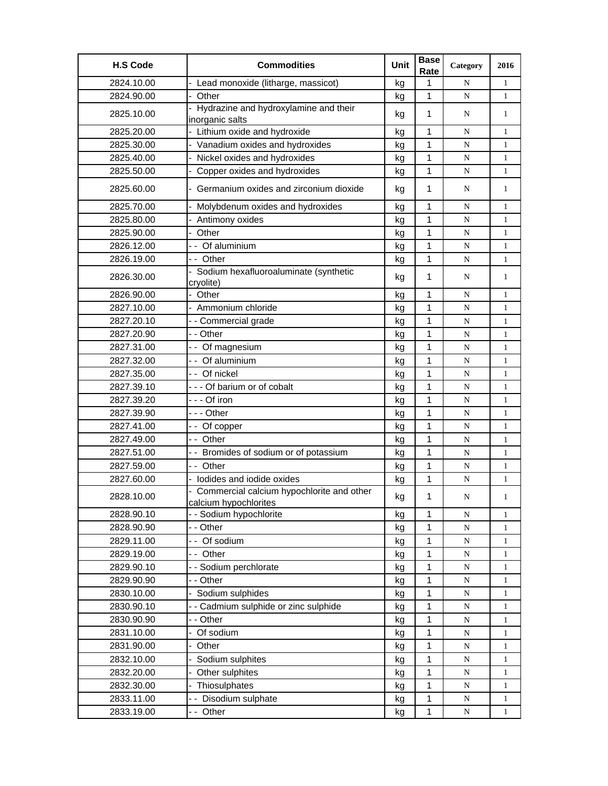| 2824.10.00<br>Lead monoxide (litharge, massicot)<br>1<br>$\mathbf{1}$<br>N<br>kg<br>$\mathbf{1}$<br>2824.90.00<br>- Other<br>${\bf N}$<br>$\mathbf{1}$<br>kg<br>- Hydrazine and hydroxylamine and their<br>2825.10.00<br>$\mathbf 1$<br>kg<br>N<br>$\mathbf{1}$<br>inorganic salts<br>- Lithium oxide and hydroxide<br>1<br>2825.20.00<br>kg<br>N<br>$\mathbf{1}$<br>- Vanadium oxides and hydroxides<br>1<br>2825.30.00<br>N<br>$\mathbf{1}$<br>kg<br>- Nickel oxides and hydroxides<br>1<br>2825.40.00<br>N<br>$\mathbf{1}$<br>kg<br>2825.50.00<br>Copper oxides and hydroxides<br>$\mathbf{1}$<br>${\bf N}$<br>$\mathbf{1}$<br>kg<br>Germanium oxides and zirconium dioxide<br>2825.60.00<br>$\mathbf{1}$<br>N<br>$\mathbf{1}$<br>kg<br>$\mathbf{1}$<br>2825.70.00<br>Molybdenum oxides and hydroxides<br>${\bf N}$<br>$\mathbf{1}$<br>kg<br>1<br>2825.80.00<br>Antimony oxides<br>N<br>$\mathbf{1}$<br>kg<br>$\mathbf 1$<br>2825.90.00<br>- Other<br>${\bf N}$<br>$\mathbf{1}$<br>kg<br>$\mathbf 1$<br>2826.12.00<br>- - Of aluminium<br>${\bf N}$<br>$\mathbf{1}$<br>kg<br>-- Other<br>1<br>2826.19.00<br>N<br>$\mathbf{1}$<br>kg<br>Sodium hexafluoroaluminate (synthetic<br>1<br>2826.30.00<br>kg<br>N<br>$\mathbf{1}$<br>cryolite)<br>2826.90.00<br>Other<br>1<br>kg<br>N<br>$\mathbf{1}$<br>2827.10.00<br>- Ammonium chloride<br>1<br>${\bf N}$<br>$\mathbf{1}$<br>kg<br>$\mathbf{1}$<br>2827.20.10<br>- - Commercial grade<br>$\mathbf{1}$<br>N<br>kg<br>$\mathbf{1}$<br>- - Other<br>2827.20.90<br>${\bf N}$<br>$\mathbf{1}$<br>kg<br>1<br>- - Of magnesium<br>2827.31.00<br>${\bf N}$<br>$\mathbf{1}$<br>kg<br>- - Of aluminium<br>1<br>2827.32.00<br>N<br>$\mathbf{1}$<br>kg<br>2827.35.00<br>-- Of nickel<br>1<br>N<br>$\mathbf{1}$<br>kg<br>1<br>2827.39.10<br>--- Of barium or of cobalt<br>${\bf N}$<br>$\mathbf{1}$<br>kg<br>1<br>2827.39.20<br>- - - Of iron<br>${\bf N}$<br>$\mathbf{1}$<br>kg<br>1<br>2827.39.90<br>--- Other<br>N<br>$\mathbf{1}$<br>kg<br>1<br>2827.41.00<br>-- Of copper<br>N<br>$\mathbf{1}$<br>kg<br>- - Other<br>1<br>2827.49.00<br>${\bf N}$<br>$\mathbf{1}$<br>kg<br>1<br>2827.51.00<br>- - Bromides of sodium or of potassium<br>N<br>$\mathbf{1}$<br>kg<br>1<br>2827.59.00<br>- - Other<br>${\bf N}$<br>$\mathbf{1}$<br>kg<br>- lodides and iodide oxides<br>1<br>2827.60.00<br>${\bf N}$<br>$\mathbf{1}$<br>kg<br>Commercial calcium hypochlorite and other<br>1<br>2828.10.00<br>kg<br>N<br>$\mathbf{1}$<br>calcium hypochlorites<br>- - Sodium hypochlorite<br>1<br>2828.90.10<br>${\bf N}$<br>$\mathbf{1}$<br>kg<br>2828.90.90<br>- - Other<br>$\mathbf 1$<br>kg<br>${\bf N}$<br>$\mathbf{1}$<br>$\mathbf{1}$<br>2829.11.00<br>-- Of sodium<br>${\bf N}$<br>$\mathbf{1}$<br>kg<br>1<br>2829.19.00<br>-- Other<br>${\bf N}$<br>$\mathbf{1}$<br>kg<br>2829.90.10<br>- - Sodium perchlorate<br>1<br>${\bf N}$<br>1<br>kg<br>2829.90.90<br>- - Other<br>$\mathbf{1}$<br>${\bf N}$<br>$\mathbf{1}$<br>kg<br>2830.10.00<br>Sodium sulphides<br>$\mathbf 1$<br>kg<br>${\bf N}$<br>$\mathbf{1}$<br>- - Cadmium sulphide or zinc sulphide<br>2830.90.10<br>$\mathbf{1}$<br>${\bf N}$<br>$\mathbf{1}$<br>kg<br>$\mathbf 1$<br>2830.90.90<br>- - Other<br>${\bf N}$<br>$\mathbf{1}$<br>kg<br>- Of sodium<br>2831.10.00<br>1<br>${\bf N}$<br>1<br>kg<br>2831.90.00<br>Other<br>1<br>kg<br>N<br>1<br>2832.10.00<br>1<br>Sodium sulphites<br>${\bf N}$<br>$\mathbf{1}$<br>kg<br>1<br>2832.20.00<br>- Other sulphites<br>${\bf N}$<br>$\mathbf{1}$<br>kg<br>Thiosulphates<br>1<br>2832.30.00<br>${\bf N}$<br>$\mathbf{1}$<br>kg<br>-- Disodium sulphate<br>$\mathbf 1$<br>2833.11.00<br>${\bf N}$<br>kg<br>$\mathbf{1}$ | <b>H.S Code</b> | <b>Commodities</b> | Unit | <b>Base</b><br>Rate | Category  | 2016         |
|-------------------------------------------------------------------------------------------------------------------------------------------------------------------------------------------------------------------------------------------------------------------------------------------------------------------------------------------------------------------------------------------------------------------------------------------------------------------------------------------------------------------------------------------------------------------------------------------------------------------------------------------------------------------------------------------------------------------------------------------------------------------------------------------------------------------------------------------------------------------------------------------------------------------------------------------------------------------------------------------------------------------------------------------------------------------------------------------------------------------------------------------------------------------------------------------------------------------------------------------------------------------------------------------------------------------------------------------------------------------------------------------------------------------------------------------------------------------------------------------------------------------------------------------------------------------------------------------------------------------------------------------------------------------------------------------------------------------------------------------------------------------------------------------------------------------------------------------------------------------------------------------------------------------------------------------------------------------------------------------------------------------------------------------------------------------------------------------------------------------------------------------------------------------------------------------------------------------------------------------------------------------------------------------------------------------------------------------------------------------------------------------------------------------------------------------------------------------------------------------------------------------------------------------------------------------------------------------------------------------------------------------------------------------------------------------------------------------------------------------------------------------------------------------------------------------------------------------------------------------------------------------------------------------------------------------------------------------------------------------------------------------------------------------------------------------------------------------------------------------------------------------------------------------------------------------------------------------------------------------------------------------------------------------------------------------------------------------------------------------------------------------------------------------------------------------------------------------------------------------------------------------------------------------------------------------------------------------------------------------------------------------------------------|-----------------|--------------------|------|---------------------|-----------|--------------|
|                                                                                                                                                                                                                                                                                                                                                                                                                                                                                                                                                                                                                                                                                                                                                                                                                                                                                                                                                                                                                                                                                                                                                                                                                                                                                                                                                                                                                                                                                                                                                                                                                                                                                                                                                                                                                                                                                                                                                                                                                                                                                                                                                                                                                                                                                                                                                                                                                                                                                                                                                                                                                                                                                                                                                                                                                                                                                                                                                                                                                                                                                                                                                                                                                                                                                                                                                                                                                                                                                                                                                                                                                                                             |                 |                    |      |                     |           |              |
|                                                                                                                                                                                                                                                                                                                                                                                                                                                                                                                                                                                                                                                                                                                                                                                                                                                                                                                                                                                                                                                                                                                                                                                                                                                                                                                                                                                                                                                                                                                                                                                                                                                                                                                                                                                                                                                                                                                                                                                                                                                                                                                                                                                                                                                                                                                                                                                                                                                                                                                                                                                                                                                                                                                                                                                                                                                                                                                                                                                                                                                                                                                                                                                                                                                                                                                                                                                                                                                                                                                                                                                                                                                             |                 |                    |      |                     |           |              |
|                                                                                                                                                                                                                                                                                                                                                                                                                                                                                                                                                                                                                                                                                                                                                                                                                                                                                                                                                                                                                                                                                                                                                                                                                                                                                                                                                                                                                                                                                                                                                                                                                                                                                                                                                                                                                                                                                                                                                                                                                                                                                                                                                                                                                                                                                                                                                                                                                                                                                                                                                                                                                                                                                                                                                                                                                                                                                                                                                                                                                                                                                                                                                                                                                                                                                                                                                                                                                                                                                                                                                                                                                                                             |                 |                    |      |                     |           |              |
|                                                                                                                                                                                                                                                                                                                                                                                                                                                                                                                                                                                                                                                                                                                                                                                                                                                                                                                                                                                                                                                                                                                                                                                                                                                                                                                                                                                                                                                                                                                                                                                                                                                                                                                                                                                                                                                                                                                                                                                                                                                                                                                                                                                                                                                                                                                                                                                                                                                                                                                                                                                                                                                                                                                                                                                                                                                                                                                                                                                                                                                                                                                                                                                                                                                                                                                                                                                                                                                                                                                                                                                                                                                             |                 |                    |      |                     |           |              |
|                                                                                                                                                                                                                                                                                                                                                                                                                                                                                                                                                                                                                                                                                                                                                                                                                                                                                                                                                                                                                                                                                                                                                                                                                                                                                                                                                                                                                                                                                                                                                                                                                                                                                                                                                                                                                                                                                                                                                                                                                                                                                                                                                                                                                                                                                                                                                                                                                                                                                                                                                                                                                                                                                                                                                                                                                                                                                                                                                                                                                                                                                                                                                                                                                                                                                                                                                                                                                                                                                                                                                                                                                                                             |                 |                    |      |                     |           |              |
|                                                                                                                                                                                                                                                                                                                                                                                                                                                                                                                                                                                                                                                                                                                                                                                                                                                                                                                                                                                                                                                                                                                                                                                                                                                                                                                                                                                                                                                                                                                                                                                                                                                                                                                                                                                                                                                                                                                                                                                                                                                                                                                                                                                                                                                                                                                                                                                                                                                                                                                                                                                                                                                                                                                                                                                                                                                                                                                                                                                                                                                                                                                                                                                                                                                                                                                                                                                                                                                                                                                                                                                                                                                             |                 |                    |      |                     |           |              |
|                                                                                                                                                                                                                                                                                                                                                                                                                                                                                                                                                                                                                                                                                                                                                                                                                                                                                                                                                                                                                                                                                                                                                                                                                                                                                                                                                                                                                                                                                                                                                                                                                                                                                                                                                                                                                                                                                                                                                                                                                                                                                                                                                                                                                                                                                                                                                                                                                                                                                                                                                                                                                                                                                                                                                                                                                                                                                                                                                                                                                                                                                                                                                                                                                                                                                                                                                                                                                                                                                                                                                                                                                                                             |                 |                    |      |                     |           |              |
|                                                                                                                                                                                                                                                                                                                                                                                                                                                                                                                                                                                                                                                                                                                                                                                                                                                                                                                                                                                                                                                                                                                                                                                                                                                                                                                                                                                                                                                                                                                                                                                                                                                                                                                                                                                                                                                                                                                                                                                                                                                                                                                                                                                                                                                                                                                                                                                                                                                                                                                                                                                                                                                                                                                                                                                                                                                                                                                                                                                                                                                                                                                                                                                                                                                                                                                                                                                                                                                                                                                                                                                                                                                             |                 |                    |      |                     |           |              |
|                                                                                                                                                                                                                                                                                                                                                                                                                                                                                                                                                                                                                                                                                                                                                                                                                                                                                                                                                                                                                                                                                                                                                                                                                                                                                                                                                                                                                                                                                                                                                                                                                                                                                                                                                                                                                                                                                                                                                                                                                                                                                                                                                                                                                                                                                                                                                                                                                                                                                                                                                                                                                                                                                                                                                                                                                                                                                                                                                                                                                                                                                                                                                                                                                                                                                                                                                                                                                                                                                                                                                                                                                                                             |                 |                    |      |                     |           |              |
|                                                                                                                                                                                                                                                                                                                                                                                                                                                                                                                                                                                                                                                                                                                                                                                                                                                                                                                                                                                                                                                                                                                                                                                                                                                                                                                                                                                                                                                                                                                                                                                                                                                                                                                                                                                                                                                                                                                                                                                                                                                                                                                                                                                                                                                                                                                                                                                                                                                                                                                                                                                                                                                                                                                                                                                                                                                                                                                                                                                                                                                                                                                                                                                                                                                                                                                                                                                                                                                                                                                                                                                                                                                             |                 |                    |      |                     |           |              |
|                                                                                                                                                                                                                                                                                                                                                                                                                                                                                                                                                                                                                                                                                                                                                                                                                                                                                                                                                                                                                                                                                                                                                                                                                                                                                                                                                                                                                                                                                                                                                                                                                                                                                                                                                                                                                                                                                                                                                                                                                                                                                                                                                                                                                                                                                                                                                                                                                                                                                                                                                                                                                                                                                                                                                                                                                                                                                                                                                                                                                                                                                                                                                                                                                                                                                                                                                                                                                                                                                                                                                                                                                                                             |                 |                    |      |                     |           |              |
|                                                                                                                                                                                                                                                                                                                                                                                                                                                                                                                                                                                                                                                                                                                                                                                                                                                                                                                                                                                                                                                                                                                                                                                                                                                                                                                                                                                                                                                                                                                                                                                                                                                                                                                                                                                                                                                                                                                                                                                                                                                                                                                                                                                                                                                                                                                                                                                                                                                                                                                                                                                                                                                                                                                                                                                                                                                                                                                                                                                                                                                                                                                                                                                                                                                                                                                                                                                                                                                                                                                                                                                                                                                             |                 |                    |      |                     |           |              |
|                                                                                                                                                                                                                                                                                                                                                                                                                                                                                                                                                                                                                                                                                                                                                                                                                                                                                                                                                                                                                                                                                                                                                                                                                                                                                                                                                                                                                                                                                                                                                                                                                                                                                                                                                                                                                                                                                                                                                                                                                                                                                                                                                                                                                                                                                                                                                                                                                                                                                                                                                                                                                                                                                                                                                                                                                                                                                                                                                                                                                                                                                                                                                                                                                                                                                                                                                                                                                                                                                                                                                                                                                                                             |                 |                    |      |                     |           |              |
|                                                                                                                                                                                                                                                                                                                                                                                                                                                                                                                                                                                                                                                                                                                                                                                                                                                                                                                                                                                                                                                                                                                                                                                                                                                                                                                                                                                                                                                                                                                                                                                                                                                                                                                                                                                                                                                                                                                                                                                                                                                                                                                                                                                                                                                                                                                                                                                                                                                                                                                                                                                                                                                                                                                                                                                                                                                                                                                                                                                                                                                                                                                                                                                                                                                                                                                                                                                                                                                                                                                                                                                                                                                             |                 |                    |      |                     |           |              |
|                                                                                                                                                                                                                                                                                                                                                                                                                                                                                                                                                                                                                                                                                                                                                                                                                                                                                                                                                                                                                                                                                                                                                                                                                                                                                                                                                                                                                                                                                                                                                                                                                                                                                                                                                                                                                                                                                                                                                                                                                                                                                                                                                                                                                                                                                                                                                                                                                                                                                                                                                                                                                                                                                                                                                                                                                                                                                                                                                                                                                                                                                                                                                                                                                                                                                                                                                                                                                                                                                                                                                                                                                                                             |                 |                    |      |                     |           |              |
|                                                                                                                                                                                                                                                                                                                                                                                                                                                                                                                                                                                                                                                                                                                                                                                                                                                                                                                                                                                                                                                                                                                                                                                                                                                                                                                                                                                                                                                                                                                                                                                                                                                                                                                                                                                                                                                                                                                                                                                                                                                                                                                                                                                                                                                                                                                                                                                                                                                                                                                                                                                                                                                                                                                                                                                                                                                                                                                                                                                                                                                                                                                                                                                                                                                                                                                                                                                                                                                                                                                                                                                                                                                             |                 |                    |      |                     |           |              |
|                                                                                                                                                                                                                                                                                                                                                                                                                                                                                                                                                                                                                                                                                                                                                                                                                                                                                                                                                                                                                                                                                                                                                                                                                                                                                                                                                                                                                                                                                                                                                                                                                                                                                                                                                                                                                                                                                                                                                                                                                                                                                                                                                                                                                                                                                                                                                                                                                                                                                                                                                                                                                                                                                                                                                                                                                                                                                                                                                                                                                                                                                                                                                                                                                                                                                                                                                                                                                                                                                                                                                                                                                                                             |                 |                    |      |                     |           |              |
|                                                                                                                                                                                                                                                                                                                                                                                                                                                                                                                                                                                                                                                                                                                                                                                                                                                                                                                                                                                                                                                                                                                                                                                                                                                                                                                                                                                                                                                                                                                                                                                                                                                                                                                                                                                                                                                                                                                                                                                                                                                                                                                                                                                                                                                                                                                                                                                                                                                                                                                                                                                                                                                                                                                                                                                                                                                                                                                                                                                                                                                                                                                                                                                                                                                                                                                                                                                                                                                                                                                                                                                                                                                             |                 |                    |      |                     |           |              |
|                                                                                                                                                                                                                                                                                                                                                                                                                                                                                                                                                                                                                                                                                                                                                                                                                                                                                                                                                                                                                                                                                                                                                                                                                                                                                                                                                                                                                                                                                                                                                                                                                                                                                                                                                                                                                                                                                                                                                                                                                                                                                                                                                                                                                                                                                                                                                                                                                                                                                                                                                                                                                                                                                                                                                                                                                                                                                                                                                                                                                                                                                                                                                                                                                                                                                                                                                                                                                                                                                                                                                                                                                                                             |                 |                    |      |                     |           |              |
|                                                                                                                                                                                                                                                                                                                                                                                                                                                                                                                                                                                                                                                                                                                                                                                                                                                                                                                                                                                                                                                                                                                                                                                                                                                                                                                                                                                                                                                                                                                                                                                                                                                                                                                                                                                                                                                                                                                                                                                                                                                                                                                                                                                                                                                                                                                                                                                                                                                                                                                                                                                                                                                                                                                                                                                                                                                                                                                                                                                                                                                                                                                                                                                                                                                                                                                                                                                                                                                                                                                                                                                                                                                             |                 |                    |      |                     |           |              |
|                                                                                                                                                                                                                                                                                                                                                                                                                                                                                                                                                                                                                                                                                                                                                                                                                                                                                                                                                                                                                                                                                                                                                                                                                                                                                                                                                                                                                                                                                                                                                                                                                                                                                                                                                                                                                                                                                                                                                                                                                                                                                                                                                                                                                                                                                                                                                                                                                                                                                                                                                                                                                                                                                                                                                                                                                                                                                                                                                                                                                                                                                                                                                                                                                                                                                                                                                                                                                                                                                                                                                                                                                                                             |                 |                    |      |                     |           |              |
|                                                                                                                                                                                                                                                                                                                                                                                                                                                                                                                                                                                                                                                                                                                                                                                                                                                                                                                                                                                                                                                                                                                                                                                                                                                                                                                                                                                                                                                                                                                                                                                                                                                                                                                                                                                                                                                                                                                                                                                                                                                                                                                                                                                                                                                                                                                                                                                                                                                                                                                                                                                                                                                                                                                                                                                                                                                                                                                                                                                                                                                                                                                                                                                                                                                                                                                                                                                                                                                                                                                                                                                                                                                             |                 |                    |      |                     |           |              |
|                                                                                                                                                                                                                                                                                                                                                                                                                                                                                                                                                                                                                                                                                                                                                                                                                                                                                                                                                                                                                                                                                                                                                                                                                                                                                                                                                                                                                                                                                                                                                                                                                                                                                                                                                                                                                                                                                                                                                                                                                                                                                                                                                                                                                                                                                                                                                                                                                                                                                                                                                                                                                                                                                                                                                                                                                                                                                                                                                                                                                                                                                                                                                                                                                                                                                                                                                                                                                                                                                                                                                                                                                                                             |                 |                    |      |                     |           |              |
|                                                                                                                                                                                                                                                                                                                                                                                                                                                                                                                                                                                                                                                                                                                                                                                                                                                                                                                                                                                                                                                                                                                                                                                                                                                                                                                                                                                                                                                                                                                                                                                                                                                                                                                                                                                                                                                                                                                                                                                                                                                                                                                                                                                                                                                                                                                                                                                                                                                                                                                                                                                                                                                                                                                                                                                                                                                                                                                                                                                                                                                                                                                                                                                                                                                                                                                                                                                                                                                                                                                                                                                                                                                             |                 |                    |      |                     |           |              |
|                                                                                                                                                                                                                                                                                                                                                                                                                                                                                                                                                                                                                                                                                                                                                                                                                                                                                                                                                                                                                                                                                                                                                                                                                                                                                                                                                                                                                                                                                                                                                                                                                                                                                                                                                                                                                                                                                                                                                                                                                                                                                                                                                                                                                                                                                                                                                                                                                                                                                                                                                                                                                                                                                                                                                                                                                                                                                                                                                                                                                                                                                                                                                                                                                                                                                                                                                                                                                                                                                                                                                                                                                                                             |                 |                    |      |                     |           |              |
|                                                                                                                                                                                                                                                                                                                                                                                                                                                                                                                                                                                                                                                                                                                                                                                                                                                                                                                                                                                                                                                                                                                                                                                                                                                                                                                                                                                                                                                                                                                                                                                                                                                                                                                                                                                                                                                                                                                                                                                                                                                                                                                                                                                                                                                                                                                                                                                                                                                                                                                                                                                                                                                                                                                                                                                                                                                                                                                                                                                                                                                                                                                                                                                                                                                                                                                                                                                                                                                                                                                                                                                                                                                             |                 |                    |      |                     |           |              |
|                                                                                                                                                                                                                                                                                                                                                                                                                                                                                                                                                                                                                                                                                                                                                                                                                                                                                                                                                                                                                                                                                                                                                                                                                                                                                                                                                                                                                                                                                                                                                                                                                                                                                                                                                                                                                                                                                                                                                                                                                                                                                                                                                                                                                                                                                                                                                                                                                                                                                                                                                                                                                                                                                                                                                                                                                                                                                                                                                                                                                                                                                                                                                                                                                                                                                                                                                                                                                                                                                                                                                                                                                                                             |                 |                    |      |                     |           |              |
|                                                                                                                                                                                                                                                                                                                                                                                                                                                                                                                                                                                                                                                                                                                                                                                                                                                                                                                                                                                                                                                                                                                                                                                                                                                                                                                                                                                                                                                                                                                                                                                                                                                                                                                                                                                                                                                                                                                                                                                                                                                                                                                                                                                                                                                                                                                                                                                                                                                                                                                                                                                                                                                                                                                                                                                                                                                                                                                                                                                                                                                                                                                                                                                                                                                                                                                                                                                                                                                                                                                                                                                                                                                             |                 |                    |      |                     |           |              |
|                                                                                                                                                                                                                                                                                                                                                                                                                                                                                                                                                                                                                                                                                                                                                                                                                                                                                                                                                                                                                                                                                                                                                                                                                                                                                                                                                                                                                                                                                                                                                                                                                                                                                                                                                                                                                                                                                                                                                                                                                                                                                                                                                                                                                                                                                                                                                                                                                                                                                                                                                                                                                                                                                                                                                                                                                                                                                                                                                                                                                                                                                                                                                                                                                                                                                                                                                                                                                                                                                                                                                                                                                                                             |                 |                    |      |                     |           |              |
|                                                                                                                                                                                                                                                                                                                                                                                                                                                                                                                                                                                                                                                                                                                                                                                                                                                                                                                                                                                                                                                                                                                                                                                                                                                                                                                                                                                                                                                                                                                                                                                                                                                                                                                                                                                                                                                                                                                                                                                                                                                                                                                                                                                                                                                                                                                                                                                                                                                                                                                                                                                                                                                                                                                                                                                                                                                                                                                                                                                                                                                                                                                                                                                                                                                                                                                                                                                                                                                                                                                                                                                                                                                             |                 |                    |      |                     |           |              |
|                                                                                                                                                                                                                                                                                                                                                                                                                                                                                                                                                                                                                                                                                                                                                                                                                                                                                                                                                                                                                                                                                                                                                                                                                                                                                                                                                                                                                                                                                                                                                                                                                                                                                                                                                                                                                                                                                                                                                                                                                                                                                                                                                                                                                                                                                                                                                                                                                                                                                                                                                                                                                                                                                                                                                                                                                                                                                                                                                                                                                                                                                                                                                                                                                                                                                                                                                                                                                                                                                                                                                                                                                                                             |                 |                    |      |                     |           |              |
|                                                                                                                                                                                                                                                                                                                                                                                                                                                                                                                                                                                                                                                                                                                                                                                                                                                                                                                                                                                                                                                                                                                                                                                                                                                                                                                                                                                                                                                                                                                                                                                                                                                                                                                                                                                                                                                                                                                                                                                                                                                                                                                                                                                                                                                                                                                                                                                                                                                                                                                                                                                                                                                                                                                                                                                                                                                                                                                                                                                                                                                                                                                                                                                                                                                                                                                                                                                                                                                                                                                                                                                                                                                             |                 |                    |      |                     |           |              |
|                                                                                                                                                                                                                                                                                                                                                                                                                                                                                                                                                                                                                                                                                                                                                                                                                                                                                                                                                                                                                                                                                                                                                                                                                                                                                                                                                                                                                                                                                                                                                                                                                                                                                                                                                                                                                                                                                                                                                                                                                                                                                                                                                                                                                                                                                                                                                                                                                                                                                                                                                                                                                                                                                                                                                                                                                                                                                                                                                                                                                                                                                                                                                                                                                                                                                                                                                                                                                                                                                                                                                                                                                                                             |                 |                    |      |                     |           |              |
|                                                                                                                                                                                                                                                                                                                                                                                                                                                                                                                                                                                                                                                                                                                                                                                                                                                                                                                                                                                                                                                                                                                                                                                                                                                                                                                                                                                                                                                                                                                                                                                                                                                                                                                                                                                                                                                                                                                                                                                                                                                                                                                                                                                                                                                                                                                                                                                                                                                                                                                                                                                                                                                                                                                                                                                                                                                                                                                                                                                                                                                                                                                                                                                                                                                                                                                                                                                                                                                                                                                                                                                                                                                             |                 |                    |      |                     |           |              |
|                                                                                                                                                                                                                                                                                                                                                                                                                                                                                                                                                                                                                                                                                                                                                                                                                                                                                                                                                                                                                                                                                                                                                                                                                                                                                                                                                                                                                                                                                                                                                                                                                                                                                                                                                                                                                                                                                                                                                                                                                                                                                                                                                                                                                                                                                                                                                                                                                                                                                                                                                                                                                                                                                                                                                                                                                                                                                                                                                                                                                                                                                                                                                                                                                                                                                                                                                                                                                                                                                                                                                                                                                                                             |                 |                    |      |                     |           |              |
|                                                                                                                                                                                                                                                                                                                                                                                                                                                                                                                                                                                                                                                                                                                                                                                                                                                                                                                                                                                                                                                                                                                                                                                                                                                                                                                                                                                                                                                                                                                                                                                                                                                                                                                                                                                                                                                                                                                                                                                                                                                                                                                                                                                                                                                                                                                                                                                                                                                                                                                                                                                                                                                                                                                                                                                                                                                                                                                                                                                                                                                                                                                                                                                                                                                                                                                                                                                                                                                                                                                                                                                                                                                             |                 |                    |      |                     |           |              |
|                                                                                                                                                                                                                                                                                                                                                                                                                                                                                                                                                                                                                                                                                                                                                                                                                                                                                                                                                                                                                                                                                                                                                                                                                                                                                                                                                                                                                                                                                                                                                                                                                                                                                                                                                                                                                                                                                                                                                                                                                                                                                                                                                                                                                                                                                                                                                                                                                                                                                                                                                                                                                                                                                                                                                                                                                                                                                                                                                                                                                                                                                                                                                                                                                                                                                                                                                                                                                                                                                                                                                                                                                                                             |                 |                    |      |                     |           |              |
|                                                                                                                                                                                                                                                                                                                                                                                                                                                                                                                                                                                                                                                                                                                                                                                                                                                                                                                                                                                                                                                                                                                                                                                                                                                                                                                                                                                                                                                                                                                                                                                                                                                                                                                                                                                                                                                                                                                                                                                                                                                                                                                                                                                                                                                                                                                                                                                                                                                                                                                                                                                                                                                                                                                                                                                                                                                                                                                                                                                                                                                                                                                                                                                                                                                                                                                                                                                                                                                                                                                                                                                                                                                             |                 |                    |      |                     |           |              |
|                                                                                                                                                                                                                                                                                                                                                                                                                                                                                                                                                                                                                                                                                                                                                                                                                                                                                                                                                                                                                                                                                                                                                                                                                                                                                                                                                                                                                                                                                                                                                                                                                                                                                                                                                                                                                                                                                                                                                                                                                                                                                                                                                                                                                                                                                                                                                                                                                                                                                                                                                                                                                                                                                                                                                                                                                                                                                                                                                                                                                                                                                                                                                                                                                                                                                                                                                                                                                                                                                                                                                                                                                                                             |                 |                    |      |                     |           |              |
|                                                                                                                                                                                                                                                                                                                                                                                                                                                                                                                                                                                                                                                                                                                                                                                                                                                                                                                                                                                                                                                                                                                                                                                                                                                                                                                                                                                                                                                                                                                                                                                                                                                                                                                                                                                                                                                                                                                                                                                                                                                                                                                                                                                                                                                                                                                                                                                                                                                                                                                                                                                                                                                                                                                                                                                                                                                                                                                                                                                                                                                                                                                                                                                                                                                                                                                                                                                                                                                                                                                                                                                                                                                             |                 |                    |      |                     |           |              |
|                                                                                                                                                                                                                                                                                                                                                                                                                                                                                                                                                                                                                                                                                                                                                                                                                                                                                                                                                                                                                                                                                                                                                                                                                                                                                                                                                                                                                                                                                                                                                                                                                                                                                                                                                                                                                                                                                                                                                                                                                                                                                                                                                                                                                                                                                                                                                                                                                                                                                                                                                                                                                                                                                                                                                                                                                                                                                                                                                                                                                                                                                                                                                                                                                                                                                                                                                                                                                                                                                                                                                                                                                                                             |                 |                    |      |                     |           |              |
|                                                                                                                                                                                                                                                                                                                                                                                                                                                                                                                                                                                                                                                                                                                                                                                                                                                                                                                                                                                                                                                                                                                                                                                                                                                                                                                                                                                                                                                                                                                                                                                                                                                                                                                                                                                                                                                                                                                                                                                                                                                                                                                                                                                                                                                                                                                                                                                                                                                                                                                                                                                                                                                                                                                                                                                                                                                                                                                                                                                                                                                                                                                                                                                                                                                                                                                                                                                                                                                                                                                                                                                                                                                             |                 |                    |      |                     |           |              |
|                                                                                                                                                                                                                                                                                                                                                                                                                                                                                                                                                                                                                                                                                                                                                                                                                                                                                                                                                                                                                                                                                                                                                                                                                                                                                                                                                                                                                                                                                                                                                                                                                                                                                                                                                                                                                                                                                                                                                                                                                                                                                                                                                                                                                                                                                                                                                                                                                                                                                                                                                                                                                                                                                                                                                                                                                                                                                                                                                                                                                                                                                                                                                                                                                                                                                                                                                                                                                                                                                                                                                                                                                                                             |                 |                    |      |                     |           |              |
|                                                                                                                                                                                                                                                                                                                                                                                                                                                                                                                                                                                                                                                                                                                                                                                                                                                                                                                                                                                                                                                                                                                                                                                                                                                                                                                                                                                                                                                                                                                                                                                                                                                                                                                                                                                                                                                                                                                                                                                                                                                                                                                                                                                                                                                                                                                                                                                                                                                                                                                                                                                                                                                                                                                                                                                                                                                                                                                                                                                                                                                                                                                                                                                                                                                                                                                                                                                                                                                                                                                                                                                                                                                             |                 |                    |      |                     |           |              |
|                                                                                                                                                                                                                                                                                                                                                                                                                                                                                                                                                                                                                                                                                                                                                                                                                                                                                                                                                                                                                                                                                                                                                                                                                                                                                                                                                                                                                                                                                                                                                                                                                                                                                                                                                                                                                                                                                                                                                                                                                                                                                                                                                                                                                                                                                                                                                                                                                                                                                                                                                                                                                                                                                                                                                                                                                                                                                                                                                                                                                                                                                                                                                                                                                                                                                                                                                                                                                                                                                                                                                                                                                                                             |                 |                    |      |                     |           |              |
|                                                                                                                                                                                                                                                                                                                                                                                                                                                                                                                                                                                                                                                                                                                                                                                                                                                                                                                                                                                                                                                                                                                                                                                                                                                                                                                                                                                                                                                                                                                                                                                                                                                                                                                                                                                                                                                                                                                                                                                                                                                                                                                                                                                                                                                                                                                                                                                                                                                                                                                                                                                                                                                                                                                                                                                                                                                                                                                                                                                                                                                                                                                                                                                                                                                                                                                                                                                                                                                                                                                                                                                                                                                             | 2833.19.00      | -- Other           | kg   | 1                   | ${\bf N}$ | $\mathbf{1}$ |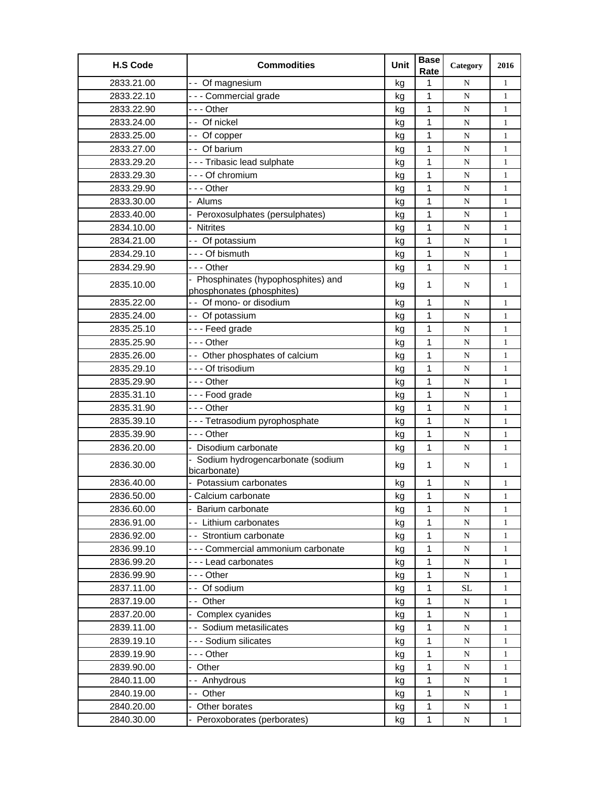| <b>H.S Code</b> | <b>Commodities</b>                               | Unit | <b>Base</b><br>Rate | Category  | 2016         |
|-----------------|--------------------------------------------------|------|---------------------|-----------|--------------|
| 2833.21.00      | - - Of magnesium                                 | kg   | 1                   | N         | $\mathbf{1}$ |
| 2833.22.10      | --- Commercial grade                             | kg   | 1                   | N         | $\mathbf{1}$ |
| 2833.22.90      | --- Other                                        | kg   | 1                   | N         | $\mathbf{1}$ |
| 2833.24.00      | -- Of nickel                                     | kg   | 1                   | N         | $\mathbf{1}$ |
| 2833.25.00      | -- Of copper                                     | kg   | 1                   | N         | $\mathbf{1}$ |
| 2833.27.00      | -- Of barium                                     | kg   | $\mathbf{1}$        | N         | $\mathbf{1}$ |
| 2833.29.20      | --- Tribasic lead sulphate                       | kg   | 1                   | N         | $\mathbf{1}$ |
| 2833.29.30      | - - - Of chromium                                | kg   | 1                   | ${\bf N}$ | $\mathbf{1}$ |
| 2833.29.90      | -  - - Other                                     | kg   | 1                   | N         | $\mathbf{1}$ |
| 2833.30.00      | - Alums                                          | kg   | 1                   | N         | $\mathbf{1}$ |
| 2833.40.00      | Peroxosulphates (persulphates)                   | kg   | 1                   | N         | $\mathbf{1}$ |
| 2834.10.00      | <b>Nitrites</b>                                  | kg   | 1                   | ${\bf N}$ | $\mathbf{1}$ |
| 2834.21.00      | - - Of potassium                                 | kg   | 1                   | N         | $\mathbf{1}$ |
| 2834.29.10      | - - - Of bismuth                                 | kg   | 1                   | N         | $\mathbf{1}$ |
| 2834.29.90      | --- Other                                        | kg   | 1                   | N         | $\mathbf{1}$ |
|                 | - Phosphinates (hypophosphites) and              |      |                     |           |              |
| 2835.10.00      | phosphonates (phosphites)                        | kg   | 1                   | N         | 1            |
| 2835.22.00      | - - Of mono- or disodium                         | kg   | 1                   | N         | $\mathbf{1}$ |
| 2835.24.00      | - - Of potassium                                 | kg   | 1                   | N         | $\mathbf{1}$ |
| 2835.25.10      | --- Feed grade                                   | kg   | 1                   | ${\bf N}$ | $\mathbf{1}$ |
| 2835.25.90      | --- Other                                        | kg   | 1                   | N         | $\mathbf{1}$ |
| 2835.26.00      | - - Other phosphates of calcium                  | kg   | 1                   | N         | $\mathbf{1}$ |
| 2835.29.10      | --- Of trisodium                                 | kg   | 1                   | N         | $\mathbf{1}$ |
| 2835.29.90      | -  - - Other                                     | kg   | 1                   | ${\bf N}$ | $\mathbf{1}$ |
| 2835.31.10      | --- Food grade                                   | kg   | 1                   | N         | $\mathbf{1}$ |
| 2835.31.90      | --- Other                                        | kg   | 1                   | N         | $\mathbf{1}$ |
| 2835.39.10      | - - - Tetrasodium pyrophosphate                  | kg   | $\mathbf{1}$        | N         | $\mathbf{1}$ |
| 2835.39.90      | --- Other                                        | kg   | 1                   | N         | $\mathbf{1}$ |
| 2836.20.00      | Disodium carbonate                               | kg   | 1                   | N         | $\mathbf{1}$ |
| 2836.30.00      | Sodium hydrogencarbonate (sodium<br>bicarbonate) | kg   | 1                   | N         | 1            |
| 2836.40.00      | Potassium carbonates                             | kg   | 1                   | ${\bf N}$ | $\mathbf{1}$ |
| 2836.50.00      | - Calcium carbonate                              | ka   | 1                   | N         | 1            |
| 2836.60.00      | - Barium carbonate                               | kg   | 1                   | N         | $\mathbf{1}$ |
| 2836.91.00      | - - Lithium carbonates                           | kg   | 1                   | N         | 1            |
| 2836.92.00      | - - Strontium carbonate                          | kg   | 1                   | ${\bf N}$ | $\mathbf{1}$ |
| 2836.99.10      | - - - Commercial ammonium carbonate              | kg   | 1                   | N         | 1            |
| 2836.99.20      | --- Lead carbonates                              | kg   | 1                   | N         | 1            |
| 2836.99.90      |                                                  | kg   | 1                   | N         | $\mathbf{1}$ |
| 2837.11.00      | - - Of sodium                                    | kg   | $\mathbf 1$         | <b>SL</b> | $\mathbf{1}$ |
| 2837.19.00      | -- Other                                         | kg   | 1                   | N         | $\mathbf{1}$ |
| 2837.20.00      | - Complex cyanides                               | kg   | $\mathbf 1$         | ${\bf N}$ | $\mathbf{1}$ |
| 2839.11.00      | - - Sodium metasilicates                         | kg   | 1                   | N         | 1            |
| 2839.19.10      | - - - Sodium silicates                           | kg   | 1                   | N         | $\mathbf{1}$ |
| 2839.19.90      | --- Other                                        | kg   | 1                   | N         | $\mathbf{1}$ |
| 2839.90.00      | - Other                                          | kg   | 1                   | N         | $\mathbf{1}$ |
| 2840.11.00      | -- Anhydrous                                     | kg   | 1                   | ${\bf N}$ | 1            |
| 2840.19.00      | -- Other                                         | kg   | 1                   | ${\bf N}$ | 1            |
| 2840.20.00      | - Other borates                                  | kg   | 1                   | ${\bf N}$ | 1            |
| 2840.30.00      | Peroxoborates (perborates)                       | kg   | 1                   | N         | $\mathbf{1}$ |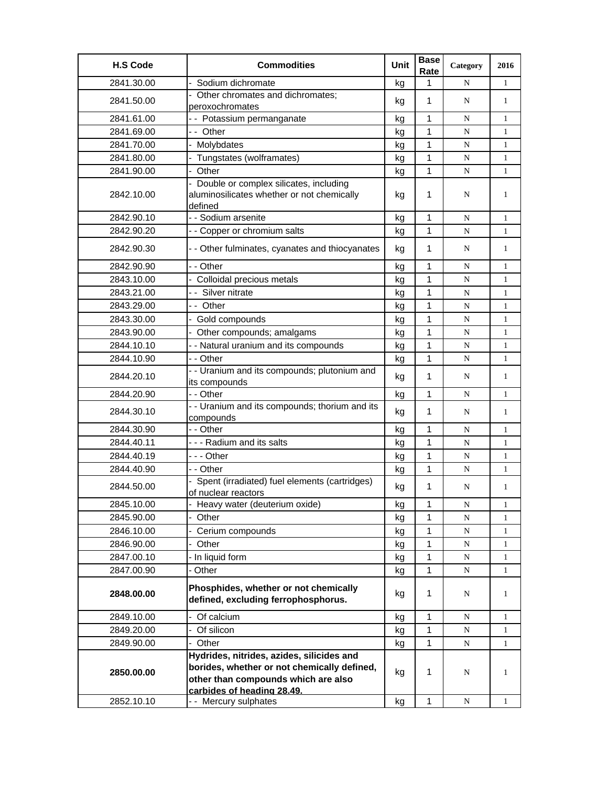| <b>H.S Code</b> | <b>Commodities</b>                                                                                | Unit | <b>Base</b><br>Rate | Category    | 2016         |
|-----------------|---------------------------------------------------------------------------------------------------|------|---------------------|-------------|--------------|
| 2841.30.00      | Sodium dichromate                                                                                 | kg   | 1                   | N           | 1            |
| 2841.50.00      | Other chromates and dichromates;                                                                  | kg   | 1                   | N           | $\mathbf{1}$ |
|                 | peroxochromates                                                                                   |      |                     |             |              |
| 2841.61.00      | - - Potassium permanganate                                                                        | kg   | $\mathbf{1}$        | N           | $\mathbf{1}$ |
| 2841.69.00      | -- Other                                                                                          | kg   | $\mathbf{1}$        | N           | $\mathbf{1}$ |
| 2841.70.00      | - Molybdates                                                                                      | kg   | 1                   | ${\bf N}$   | $\mathbf{1}$ |
| 2841.80.00      | - Tungstates (wolframates)                                                                        | kg   | 1                   | N           | $\mathbf{1}$ |
| 2841.90.00      | Other                                                                                             | kg   | 1                   | N           | $\mathbf{1}$ |
| 2842.10.00      | - Double or complex silicates, including<br>aluminosilicates whether or not chemically<br>defined | kg   | 1                   | N           | $\mathbf{1}$ |
| 2842.90.10      | - - Sodium arsenite                                                                               | kg   | 1                   | N           | $\mathbf{1}$ |
| 2842.90.20      | - - Copper or chromium salts                                                                      | kg   | 1                   | N           | $\mathbf{1}$ |
| 2842.90.30      | - - Other fulminates, cyanates and thiocyanates                                                   | kg   | 1                   | N           | 1            |
| 2842.90.90      | - - Other                                                                                         | kg   | 1                   | N           | $\mathbf{1}$ |
| 2843.10.00      | Colloidal precious metals                                                                         | kg   | $\mathbf{1}$        | N           | $\mathbf{1}$ |
| 2843.21.00      | -- Silver nitrate                                                                                 | kg   | $\mathbf{1}$        | ${\bf N}$   | $\mathbf{1}$ |
| 2843.29.00      | -- Other                                                                                          | kg   | 1                   | N           | $\mathbf{1}$ |
| 2843.30.00      | - Gold compounds                                                                                  | kg   | 1                   | N           | $\mathbf{1}$ |
| 2843.90.00      | - Other compounds; amalgams                                                                       | kg   | 1                   | N           | $\mathbf{1}$ |
| 2844.10.10      | - - Natural uranium and its compounds                                                             | kg   | 1                   | ${\bf N}$   | $\mathbf{1}$ |
| 2844.10.90      | - - Other                                                                                         | kg   | 1                   | N           | $\mathbf{1}$ |
| 2844.20.10      | - - Uranium and its compounds; plutonium and<br>its compounds                                     | kg   | 1                   | N           | $\mathbf{1}$ |
| 2844.20.90      | - - Other                                                                                         | kg   | 1                   | N           | $\mathbf{1}$ |
| 2844.30.10      | - - Uranium and its compounds; thorium and its<br>compounds                                       | kg   | 1                   | N           | $\mathbf{1}$ |
| 2844.30.90      | - - Other                                                                                         | kg   | 1                   | N           | $\mathbf{1}$ |
| 2844.40.11      | --- Radium and its salts                                                                          | kg   | 1                   | N           | $\mathbf{1}$ |
| 2844.40.19      | --- Other                                                                                         | kg   | 1                   | N           | $\mathbf{1}$ |
| 2844.40.90      | - - Other                                                                                         | kg   | 1                   | ${\bf N}$   | $\mathbf{1}$ |
| 2844.50.00      | Spent (irradiated) fuel elements (cartridges)<br>of nuclear reactors                              | kg   | 1                   | N           | $\mathbf{1}$ |
| 2845.10.00      | Heavy water (deuterium oxide)                                                                     | kg   | 1                   | ${\bf N}$   | 1            |
| 2845.90.00      | Other                                                                                             | kg   | 1                   | N           | $\mathbf{1}$ |
| 2846.10.00      | Cerium compounds                                                                                  | kg   | 1                   | ${\bf N}$   | 1            |
| 2846.90.00      | Other                                                                                             | kg   | 1                   | N           | 1            |
| 2847.00.10      | - In liquid form                                                                                  | kg   | 1                   | $\mathbf N$ | $\mathbf{1}$ |
| 2847.00.90      | - Other                                                                                           | kg   | 1                   | N           | $\mathbf{1}$ |
| 2848.00.00      | Phosphides, whether or not chemically<br>defined, excluding ferrophosphorus.                      | kg   | 1                   | N           | 1            |
| 2849.10.00      | Of calcium                                                                                        | kg   | 1                   | N           | $\mathbf{1}$ |
| 2849.20.00      | Of silicon                                                                                        | kg   | 1                   | $\mathbf N$ | $\mathbf{1}$ |
| 2849.90.00      | - Other                                                                                           | kg   | 1                   | N           | 1            |
|                 | Hydrides, nitrides, azides, silicides and                                                         |      |                     |             |              |
| 2850.00.00      | borides, whether or not chemically defined,                                                       | kg   | 1                   | N           | $\mathbf{1}$ |
|                 | other than compounds which are also                                                               |      |                     |             |              |
|                 | carbides of heading 28.49.                                                                        |      |                     |             |              |
| 2852.10.10      | - - Mercury sulphates                                                                             | kg   | 1                   | N           | $\mathbf{1}$ |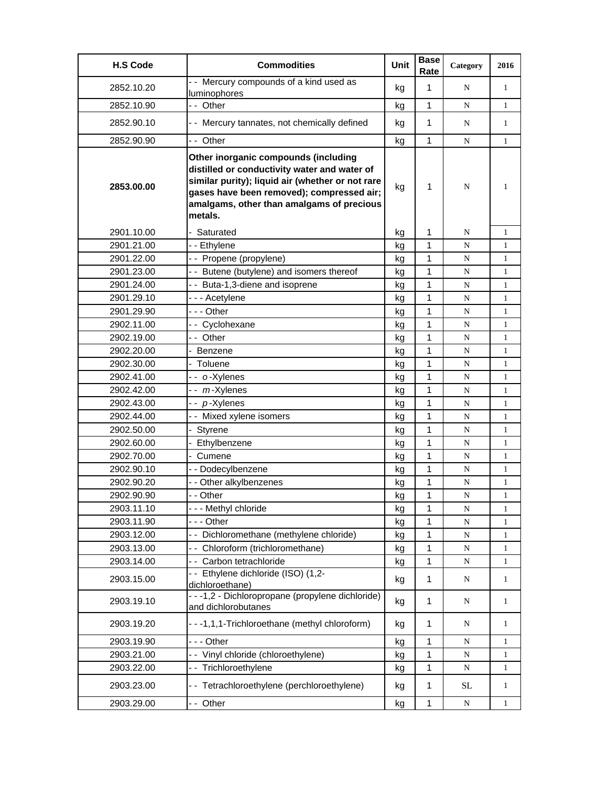| <b>H.S Code</b> | <b>Commodities</b>                                                                                                                                                                                                                            | <b>Unit</b> | <b>Base</b><br>Rate | Category    | 2016         |
|-----------------|-----------------------------------------------------------------------------------------------------------------------------------------------------------------------------------------------------------------------------------------------|-------------|---------------------|-------------|--------------|
| 2852.10.20      | - - Mercury compounds of a kind used as<br>luminophores                                                                                                                                                                                       | kg          | $\mathbf{1}$        | N           | $\mathbf{1}$ |
| 2852.10.90      | -- Other                                                                                                                                                                                                                                      | kg          | $\mathbf{1}$        | N           | $\mathbf{1}$ |
| 2852.90.10      | - - Mercury tannates, not chemically defined                                                                                                                                                                                                  | kg          | $\mathbf{1}$        | N           | 1            |
| 2852.90.90      | -- Other                                                                                                                                                                                                                                      | kq          | 1                   | N           | 1            |
| 2853.00.00      | Other inorganic compounds (including<br>distilled or conductivity water and water of<br>similar purity); liquid air (whether or not rare<br>gases have been removed); compressed air;<br>amalgams, other than amalgams of precious<br>metals. | kg          | 1                   | N           | 1            |
| 2901.10.00      | Saturated                                                                                                                                                                                                                                     | kg          | 1                   | N           | $\mathbf{1}$ |
| 2901.21.00      | - - Ethylene                                                                                                                                                                                                                                  | kg          | 1                   | N           | 1            |
| 2901.22.00      | -- Propene (propylene)                                                                                                                                                                                                                        | kg          | 1                   | N           | 1            |
| 2901.23.00      | - - Butene (butylene) and isomers thereof                                                                                                                                                                                                     | kg          | 1                   | N           | 1            |
| 2901.24.00      | -- Buta-1,3-diene and isoprene                                                                                                                                                                                                                | kg          | 1                   | N           | $\mathbf{1}$ |
| 2901.29.10      | --- Acetylene                                                                                                                                                                                                                                 | kg          | 1                   | N           | $\mathbf{1}$ |
| 2901.29.90      | $- -$ Other                                                                                                                                                                                                                                   | kg          | 1                   | N           | $\mathbf{1}$ |
| 2902.11.00      | -- Cyclohexane                                                                                                                                                                                                                                | kg          | 1                   | N           | 1            |
| 2902.19.00      | -- Other                                                                                                                                                                                                                                      | kg          | 1                   | N           | $\mathbf{1}$ |
| 2902.20.00      | <b>Benzene</b>                                                                                                                                                                                                                                | kg          | 1                   | N           | 1            |
| 2902.30.00      | Toluene                                                                                                                                                                                                                                       | kg          | 1                   | $\mathbf N$ | 1            |
| 2902.41.00      | -- o-Xylenes                                                                                                                                                                                                                                  | kg          | 1                   | N           | $\mathbf{1}$ |
| 2902.42.00      | -- m-Xylenes                                                                                                                                                                                                                                  | kg          | 1                   | N           | $\mathbf{1}$ |
| 2902.43.00      | -- p-Xylenes                                                                                                                                                                                                                                  | kg          | $\mathbf{1}$        | N           | $\mathbf{1}$ |
| 2902.44.00      | - - Mixed xylene isomers                                                                                                                                                                                                                      | kg          | 1                   | N           | $\mathbf{1}$ |
| 2902.50.00      | Styrene                                                                                                                                                                                                                                       | kg          | 1                   | N           | 1            |
| 2902.60.00      | Ethylbenzene                                                                                                                                                                                                                                  | kg          | 1                   | N           | 1            |
| 2902.70.00      | Cumene<br>÷.                                                                                                                                                                                                                                  | kg          | $\mathbf{1}$        | N           | $\mathbf{1}$ |
| 2902.90.10      | - - Dodecylbenzene                                                                                                                                                                                                                            | kg          | 1                   | N           | $\mathbf{1}$ |
| 2902.90.20      | - - Other alkylbenzenes                                                                                                                                                                                                                       | kg          | 1                   | N           | 1            |
| 2902.90.90      | - - Other                                                                                                                                                                                                                                     | kg          | 1                   | N           | 1            |
| 2903.11.10      | --- Methyl chloride                                                                                                                                                                                                                           | kg          | 1                   | N           | 1            |
| 2903.11.90      | - - - Other                                                                                                                                                                                                                                   | kg          | 1                   | N           | 1            |
| 2903.12.00      | - - Dichloromethane (methylene chloride)                                                                                                                                                                                                      | kg          | 1                   | N           | 1            |
| 2903.13.00      | -- Chloroform (trichloromethane)                                                                                                                                                                                                              | kg          | 1                   | ${\bf N}$   | 1            |
| 2903.14.00      | - - Carbon tetrachloride                                                                                                                                                                                                                      | kg          | 1                   | N           | 1            |
| 2903.15.00      | -- Ethylene dichloride (ISO) (1,2-<br>dichloroethane)                                                                                                                                                                                         | kg          | 1                   | N           | 1            |
| 2903.19.10      | - - - 1,2 - Dichloropropane (propylene dichloride)<br>and dichlorobutanes                                                                                                                                                                     | kg          | 1                   | N           | 1            |
| 2903.19.20      | ---1,1,1-Trichloroethane (methyl chloroform)                                                                                                                                                                                                  | kg          | 1                   | N           | 1            |
| 2903.19.90      | -  - - Other                                                                                                                                                                                                                                  | kg          | 1                   | N           | $\mathbf{1}$ |
| 2903.21.00      | -- Vinyl chloride (chloroethylene)                                                                                                                                                                                                            | kg          | 1                   | ${\bf N}$   | 1            |
| 2903.22.00      | -- Trichloroethylene                                                                                                                                                                                                                          | kg          | 1                   | N           | 1            |
| 2903.23.00      | -- Tetrachloroethylene (perchloroethylene)                                                                                                                                                                                                    | kg          | 1                   | <b>SL</b>   | 1            |
| 2903.29.00      | - - Other                                                                                                                                                                                                                                     | kg          | $\mathbf{1}$        | N           | 1            |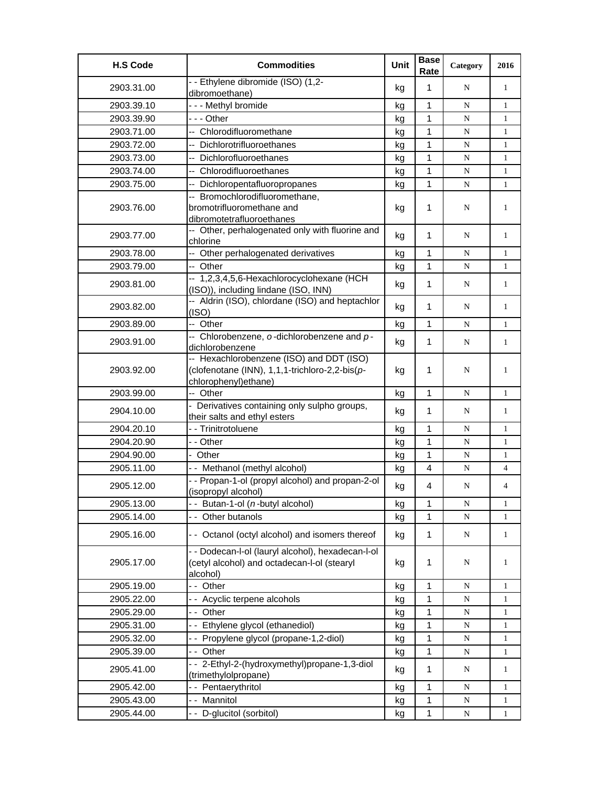| <b>H.S Code</b> | <b>Commodities</b>                                                                                                  | <b>Unit</b> | <b>Base</b><br>Rate | Category    | 2016           |
|-----------------|---------------------------------------------------------------------------------------------------------------------|-------------|---------------------|-------------|----------------|
| 2903.31.00      | - - Ethylene dibromide (ISO) (1,2-<br>dibromoethane)                                                                | kg          | 1                   | N           | $\mathbf{1}$   |
| 2903.39.10      | - - - Methyl bromide                                                                                                | kg          | 1                   | N           | 1              |
| 2903.39.90      | -  - - Other                                                                                                        | kg          | 1                   | N           | $\mathbf{1}$   |
| 2903.71.00      | -- Chlorodifluoromethane                                                                                            | kg          | 1                   | ${\bf N}$   | $\mathbf{1}$   |
| 2903.72.00      | -- Dichlorotrifluoroethanes                                                                                         | kg          | 1                   | N           | $\mathbf{1}$   |
| 2903.73.00      | -- Dichlorofluoroethanes                                                                                            | kg          | 1                   | N           | $\mathbf{1}$   |
| 2903.74.00      | -- Chlorodifluoroethanes                                                                                            | kg          | 1                   | N           | $\mathbf{1}$   |
| 2903.75.00      | -- Dichloropentafluoropropanes                                                                                      | kg          | 1                   | ${\bf N}$   | 1              |
| 2903.76.00      | -- Bromochlorodifluoromethane,<br>bromotrifluoromethane and<br>dibromotetrafluoroethanes                            | kg          | 1                   | N           | 1              |
| 2903.77.00      | -- Other, perhalogenated only with fluorine and<br>chlorine                                                         | kg          | 1                   | N           | 1              |
| 2903.78.00      | -- Other perhalogenated derivatives                                                                                 | kg          | 1                   | N           | 1              |
| 2903.79.00      | -- Other                                                                                                            | kg          | $\mathbf{1}$        | ${\bf N}$   | $\mathbf{1}$   |
| 2903.81.00      | -- 1,2,3,4,5,6-Hexachlorocyclohexane (HCH<br>(ISO)), including lindane (ISO, INN)                                   | kg          | 1                   | N           | 1              |
| 2903.82.00      | -- Aldrin (ISO), chlordane (ISO) and heptachlor<br>(ISO)                                                            | kg          | 1                   | N           | 1              |
| 2903.89.00      | -- Other                                                                                                            | kg          | 1                   | N           | 1              |
| 2903.91.00      | -- Chlorobenzene, o-dichlorobenzene and p-<br>dichlorobenzene                                                       | kg          | 1                   | N           | $\mathbf{1}$   |
| 2903.92.00      | -- Hexachlorobenzene (ISO) and DDT (ISO)<br>(clofenotane (INN), 1,1,1-trichloro-2,2-bis(p-<br>chlorophenyl) ethane) | kg          | 1                   | N           | 1              |
| 2903.99.00      | -- Other                                                                                                            | kg          | $\mathbf{1}$        | N           | $\mathbf{1}$   |
| 2904.10.00      | - Derivatives containing only sulpho groups,<br>their salts and ethyl esters                                        | kg          | 1                   | N           | $\mathbf{1}$   |
| 2904.20.10      | - - Trinitrotoluene                                                                                                 | kg          | 1                   | N           | $\mathbf{1}$   |
| 2904.20.90      | - - Other                                                                                                           | kg          | 1                   | ${\bf N}$   | 1              |
| 2904.90.00      | - Other                                                                                                             | kg          | 1                   | N           | 1              |
| 2905.11.00      | - - Methanol (methyl alcohol)                                                                                       | kg          | 4                   | ${\bf N}$   | $\overline{4}$ |
| 2905.12.00      | - - Propan-1-ol (propyl alcohol) and propan-2-ol<br>(isopropyl alcohol)                                             | kg          | 4                   | N           | 4              |
| 2905.13.00      | -- Butan-1-ol (n-butyl alcohol)                                                                                     | kg          | 1                   | $\mathbf N$ | 1              |
| 2905.14.00      | - - Other butanols                                                                                                  | kg          | 1                   | N           | $\mathbf{1}$   |
| 2905.16.00      | - - Octanol (octyl alcohol) and isomers thereof                                                                     | kg          | $\mathbf{1}$        | N           | $\mathbf{1}$   |
| 2905.17.00      | - - Dodecan-l-ol (lauryl alcohol), hexadecan-l-ol<br>(cetyl alcohol) and octadecan-l-ol (stearyl<br>alcohol)        | kg          | 1                   | N           | 1              |
| 2905.19.00      | -- Other                                                                                                            | kg          | 1                   | N           | 1              |
| 2905.22.00      | - - Acyclic terpene alcohols                                                                                        | kg          | 1                   | N           | $\mathbf{1}$   |
| 2905.29.00      | -- Other                                                                                                            | kg          | 1                   | ${\bf N}$   | $\mathbf{1}$   |
| 2905.31.00      | -- Ethylene glycol (ethanediol)                                                                                     | kg          | 1                   | ${\bf N}$   | 1              |
| 2905.32.00      | - - Propylene glycol (propane-1,2-diol)                                                                             | kg          | 1                   | N           | 1              |
| 2905.39.00      | -- Other                                                                                                            | kg          | 1                   | N           | 1              |
| 2905.41.00      | -- 2-Ethyl-2-(hydroxymethyl)propane-1,3-diol<br>(trimethylolpropane)                                                | kg          | 1                   | N           | 1              |
| 2905.42.00      | -- Pentaerythritol                                                                                                  | kg          | 1                   | N           | 1              |
| 2905.43.00      | -- Mannitol                                                                                                         | kg          | 1                   | N           | 1              |
| 2905.44.00      | - - D-glucitol (sorbitol)                                                                                           | kg          | 1                   | N           | 1              |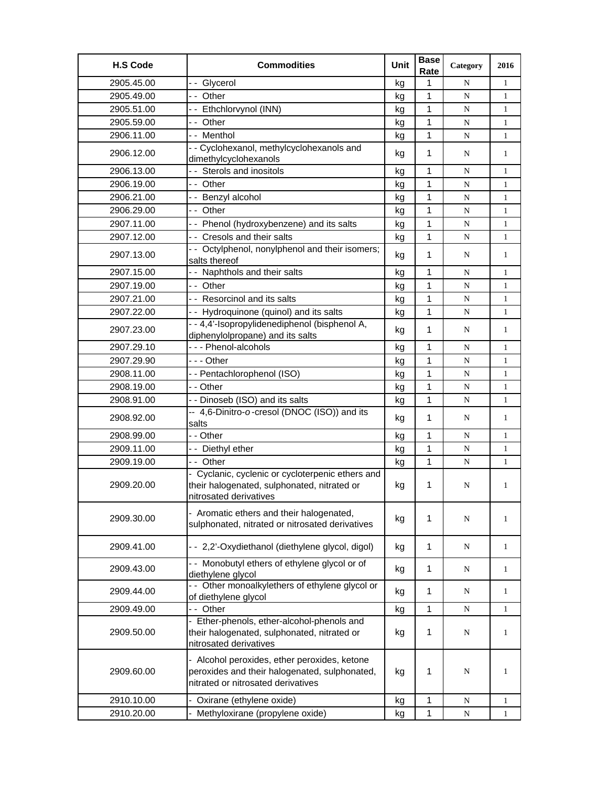| <b>H.S Code</b> | <b>Commodities</b>                                                                                                                  | Unit | <b>Base</b><br>Rate | Category  | 2016         |
|-----------------|-------------------------------------------------------------------------------------------------------------------------------------|------|---------------------|-----------|--------------|
| 2905.45.00      | -- Glycerol                                                                                                                         | kg   | 1                   | N         | $\mathbf{1}$ |
| 2905.49.00      | -- Other                                                                                                                            | kg   | 1                   | N         | $\mathbf{1}$ |
| 2905.51.00      | -- Ethchlorvynol (INN)                                                                                                              | kg   | 1                   | N         | 1            |
| 2905.59.00      | -- Other                                                                                                                            | kg   | 1                   | N         | 1            |
| 2906.11.00      | -- Menthol                                                                                                                          | kg   | 1                   | N         | $\mathbf{1}$ |
| 2906.12.00      | - - Cyclohexanol, methylcyclohexanols and<br>dimethylcyclohexanols                                                                  | kg   | 1                   | N         | $\mathbf{1}$ |
| 2906.13.00      | - - Sterols and inositols                                                                                                           | kg   | 1                   | N         | $\mathbf{1}$ |
| 2906.19.00      | -- Other                                                                                                                            | kq   | 1                   | N         | $\mathbf{1}$ |
| 2906.21.00      | -- Benzyl alcohol                                                                                                                   | kg   | 1                   | N         | $\mathbf{1}$ |
| 2906.29.00      | - - Other                                                                                                                           | kg   | 1                   | ${\bf N}$ | 1            |
| 2907.11.00      | - - Phenol (hydroxybenzene) and its salts                                                                                           | kg   | 1                   | N         | 1            |
| 2907.12.00      | - - Cresols and their salts                                                                                                         | kg   | 1                   | N         | $\mathbf{1}$ |
|                 | - - Octylphenol, nonylphenol and their isomers;                                                                                     |      |                     |           |              |
| 2907.13.00      | salts thereof                                                                                                                       | kg   | 1                   | N         | $\mathbf{1}$ |
| 2907.15.00      | - - Naphthols and their salts                                                                                                       | kg   | 1                   | N         | $\mathbf{1}$ |
| 2907.19.00      | -- Other                                                                                                                            | kg   | 1                   | N         | $\mathbf{1}$ |
| 2907.21.00      | - - Resorcinol and its salts                                                                                                        | kg   | 1                   | N         | $\mathbf{1}$ |
| 2907.22.00      | - - Hydroquinone (quinol) and its salts                                                                                             | kg   | 1                   | ${\bf N}$ | 1            |
| 2907.23.00      | - - 4,4'-Isopropylidenediphenol (bisphenol A,<br>diphenylolpropane) and its salts                                                   | kg   | 1                   | N         | 1            |
| 2907.29.10      | --- Phenol-alcohols                                                                                                                 | kg   | 1                   | N         | 1            |
| 2907.29.90      | - - - Other                                                                                                                         | kg   | 1                   | N         | $\mathbf{1}$ |
| 2908.11.00      | -- Pentachlorophenol (ISO)                                                                                                          | kg   | 1                   | N         | $\mathbf{1}$ |
| 2908.19.00      | - - Other                                                                                                                           | kg   | 1                   | N         | $\mathbf{1}$ |
| 2908.91.00      | - - Dinoseb (ISO) and its salts                                                                                                     | kg   | 1                   | N         | $\mathbf{1}$ |
| 2908.92.00      | -- 4,6-Dinitro-o-cresol (DNOC (ISO)) and its<br>salts                                                                               | kg   | 1                   | N         | 1            |
| 2908.99.00      | - - Other                                                                                                                           | kg   | 1                   | N         | $\mathbf{1}$ |
| 2909.11.00      | - - Diethyl ether                                                                                                                   | kg   | 1                   | ${\bf N}$ | 1            |
| 2909.19.00      | -- Other                                                                                                                            | kg   | 1                   | N         | 1            |
| 2909.20.00      | - Cyclanic, cyclenic or cycloterpenic ethers and<br>their halogenated, sulphonated, nitrated or<br>nitrosated derivatives           | kg   | 1                   | N         | 1            |
| 2909.30.00      | - Aromatic ethers and their halogenated,<br>sulphonated, nitrated or nitrosated derivatives                                         | kg   | 1                   | N         | 1            |
| 2909.41.00      | - - 2,2'-Oxydiethanol (diethylene glycol, digol)                                                                                    | kg   | $\mathbf{1}$        | N         | $\mathbf{1}$ |
| 2909.43.00      | - - Monobutyl ethers of ethylene glycol or of<br>diethylene glycol                                                                  | kg   | 1                   | N         | 1            |
| 2909.44.00      | - Other monoalkylethers of ethylene glycol or<br>of diethylene glycol                                                               | kg   | 1                   | N         | $\mathbf{1}$ |
| 2909.49.00      | -- Other                                                                                                                            | kg   | 1                   | N         | $\mathbf{1}$ |
| 2909.50.00      | - Ether-phenols, ether-alcohol-phenols and<br>their halogenated, sulphonated, nitrated or<br>nitrosated derivatives                 | kg   | 1                   | N         | 1            |
| 2909.60.00      | - Alcohol peroxides, ether peroxides, ketone<br>peroxides and their halogenated, sulphonated,<br>nitrated or nitrosated derivatives | kg   | 1                   | N         | 1            |
| 2910.10.00      | - Oxirane (ethylene oxide)                                                                                                          | kg   | 1                   | ${\bf N}$ | $\mathbf{1}$ |
| 2910.20.00      | Methyloxirane (propylene oxide)                                                                                                     | kg   | 1                   | N         | $\mathbf{1}$ |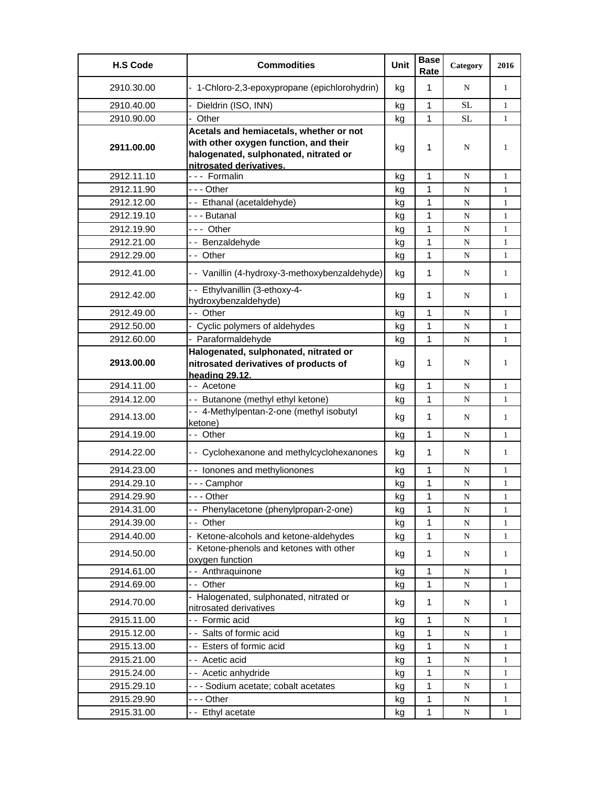| <b>H.S Code</b> | <b>Commodities</b>                                                                                                                                   | Unit | <b>Base</b><br>Rate | Category  | 2016         |
|-----------------|------------------------------------------------------------------------------------------------------------------------------------------------------|------|---------------------|-----------|--------------|
| 2910.30.00      | - 1-Chloro-2,3-epoxypropane (epichlorohydrin)                                                                                                        | kg   | $\mathbf{1}$        | N         | 1            |
| 2910.40.00      | Dieldrin (ISO, INN)                                                                                                                                  | kg   | 1                   | SL        | $\mathbf{1}$ |
| 2910.90.00      | Other                                                                                                                                                | kg   | 1                   | <b>SL</b> | $\mathbf{1}$ |
| 2911.00.00      | Acetals and hemiacetals, whether or not<br>with other oxygen function, and their<br>halogenated, sulphonated, nitrated or<br>nitrosated derivatives. | kg   | 1                   | N         | 1            |
| 2912.11.10      | --- Formalin                                                                                                                                         | kg   | 1                   | N         | $\mathbf{1}$ |
| 2912.11.90      | - - - Other                                                                                                                                          | kg   | $\mathbf{1}$        | N         | $\mathbf{1}$ |
| 2912.12.00      | -- Ethanal (acetaldehyde)                                                                                                                            | kg   | $\mathbf{1}$        | N         | $\mathbf{1}$ |
| 2912.19.10      | --- Butanal                                                                                                                                          | kg   | $\mathbf{1}$        | N         | $\mathbf{1}$ |
| 2912.19.90      | --- Other                                                                                                                                            | kg   | 1                   | N         | 1            |
| 2912.21.00      | -- Benzaldehyde                                                                                                                                      | kg   | 1                   | N         | $\mathbf{1}$ |
| 2912.29.00      | -- Other                                                                                                                                             | kg   | 1                   | N         | $\mathbf{1}$ |
| 2912.41.00      | - - Vanillin (4-hydroxy-3-methoxybenzaldehyde)                                                                                                       | kg   | 1                   | N         | $\mathbf{1}$ |
| 2912.42.00      | -- Ethylvanillin (3-ethoxy-4-<br>hydroxybenzaldehyde)                                                                                                | kg   | 1                   | N         | $\mathbf{1}$ |
| 2912.49.00      | -- Other                                                                                                                                             | kg   | 1                   | N         | $\mathbf{1}$ |
| 2912.50.00      | - Cyclic polymers of aldehydes                                                                                                                       | kg   | $\mathbf{1}$        | N         | $\mathbf{1}$ |
| 2912.60.00      | - Paraformaldehyde                                                                                                                                   | kg   | $\mathbf{1}$        | N         | $\mathbf{1}$ |
| 2913.00.00      | Halogenated, sulphonated, nitrated or<br>nitrosated derivatives of products of<br>heading 29.12.                                                     | kg   | 1                   | N         | 1            |
| 2914.11.00      | - - Acetone                                                                                                                                          | kg   | $\mathbf{1}$        | N         | $\mathbf{1}$ |
| 2914.12.00      | -- Butanone (methyl ethyl ketone)                                                                                                                    | kg   | $\mathbf{1}$        | N         | $\mathbf{1}$ |
| 2914.13.00      | -- 4-Methylpentan-2-one (methyl isobutyl<br>ketone)                                                                                                  | kg   | 1                   | N         | $\mathbf{1}$ |
| 2914.19.00      | -- Other                                                                                                                                             | kg   | 1                   | N         | $\mathbf{1}$ |
| 2914.22.00      | - - Cyclohexanone and methylcyclohexanones                                                                                                           | kg   | 1                   | N         | 1            |
| 2914.23.00      | -- Ionones and methylionones                                                                                                                         | kg   | 1                   | N         | 1            |
| 2914.29.10      | -  - - Camphor                                                                                                                                       | kg   | 1                   | ${\bf N}$ | 1            |
| 2914.29.90      | - - - Other                                                                                                                                          | kg   | 1                   | N         | 1            |
| 2914.31.00      | -- Phenylacetone (phenylpropan-2-one)                                                                                                                | kg   | $\mathbf{1}$        | ${\bf N}$ | $\mathbf{1}$ |
| 2914.39.00      | -- Other                                                                                                                                             | kg   | 1                   | ${\bf N}$ | 1            |
| 2914.40.00      | Ketone-alcohols and ketone-aldehydes                                                                                                                 | kg   | $\mathbf{1}$        | ${\bf N}$ | 1            |
| 2914.50.00      | - Ketone-phenols and ketones with other<br>oxygen function                                                                                           | kg   | 1                   | N         | $\mathbf{1}$ |
| 2914.61.00      | -- Anthraquinone                                                                                                                                     | kg   | 1                   | N         | $\mathbf{1}$ |
| 2914.69.00      | -- Other                                                                                                                                             | kg   | 1                   | N         | $\mathbf{1}$ |
| 2914.70.00      | - Halogenated, sulphonated, nitrated or<br>nitrosated derivatives                                                                                    | kg   | 1                   | N         | $\mathbf{1}$ |
| 2915.11.00      | - - Formic acid                                                                                                                                      | kg   | 1                   | N         | 1            |
| 2915.12.00      | -- Salts of formic acid                                                                                                                              | kg   | 1                   | ${\bf N}$ | 1            |
| 2915.13.00      | -- Esters of formic acid                                                                                                                             | kg   | 1                   | ${\bf N}$ | $\mathbf{1}$ |
| 2915.21.00      | - - Acetic acid                                                                                                                                      | kg   | $\mathbf{1}$        | N         | $\mathbf{1}$ |
| 2915.24.00      | -- Acetic anhydride                                                                                                                                  | kg   | $\mathbf{1}$        | ${\bf N}$ | $\mathbf{1}$ |
| 2915.29.10      | - - - Sodium acetate; cobalt acetates                                                                                                                | kg   | 1                   | N         | 1            |
| 2915.29.90      | --- Other                                                                                                                                            | kg   | 1                   | N         | 1            |
| 2915.31.00      | -- Ethyl acetate                                                                                                                                     | kg   | $\mathbf{1}$        | N         | $\mathbf{1}$ |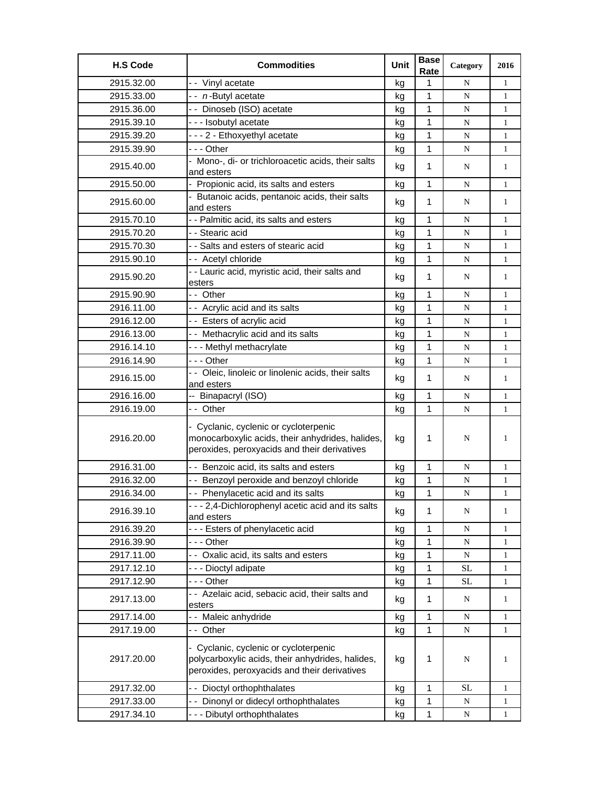| <b>H.S Code</b> | <b>Commodities</b>                                                                                                                        | Unit | <b>Base</b><br>Rate | Category    | 2016         |
|-----------------|-------------------------------------------------------------------------------------------------------------------------------------------|------|---------------------|-------------|--------------|
| 2915.32.00      | - - Vinyl acetate                                                                                                                         | kg   | 1                   | N           | $\mathbf{1}$ |
| 2915.33.00      | -- n-Butyl acetate                                                                                                                        | kg   | 1                   | ${\bf N}$   | $\mathbf{1}$ |
| 2915.36.00      | -- Dinoseb (ISO) acetate                                                                                                                  | kg   | 1                   | N           | $\mathbf{1}$ |
| 2915.39.10      | --- Isobutyl acetate                                                                                                                      | kg   | $\mathbf{1}$        | N           | $\mathbf{1}$ |
| 2915.39.20      | - - - 2 - Ethoxyethyl acetate                                                                                                             | kg   | 1                   | N           | $\mathbf{1}$ |
| 2915.39.90      | -  - - Other                                                                                                                              | kg   | 1                   | ${\bf N}$   | $\mathbf{1}$ |
| 2915.40.00      | - Mono-, di- or trichloroacetic acids, their salts<br>and esters                                                                          | kg   | 1                   | N           | $\mathbf{1}$ |
| 2915.50.00      | - Propionic acid, its salts and esters                                                                                                    | kg   | 1                   | N           | $\mathbf{1}$ |
| 2915.60.00      | - Butanoic acids, pentanoic acids, their salts<br>and esters                                                                              | kg   | 1                   | N           | $\mathbf{1}$ |
| 2915.70.10      | - - Palmitic acid, its salts and esters                                                                                                   | kg   | 1                   | N           | $\mathbf{1}$ |
| 2915.70.20      | - - Stearic acid                                                                                                                          | kg   | 1                   | ${\bf N}$   | $\mathbf{1}$ |
| 2915.70.30      | - - Salts and esters of stearic acid                                                                                                      | kg   | $\mathbf 1$         | ${\bf N}$   | $\mathbf{1}$ |
| 2915.90.10      | -- Acetyl chloride                                                                                                                        | kg   | 1                   | N           | $\mathbf{1}$ |
| 2915.90.20      | - - Lauric acid, myristic acid, their salts and<br>esters                                                                                 | kg   | 1                   | N           | $\mathbf{1}$ |
| 2915.90.90      | -- Other                                                                                                                                  | kg   | 1                   | N           | $\mathbf{1}$ |
| 2916.11.00      | - - Acrylic acid and its salts                                                                                                            | kg   | 1                   | N           | $\mathbf{1}$ |
| 2916.12.00      | -- Esters of acrylic acid                                                                                                                 | kg   | 1                   | N           | $\mathbf{1}$ |
| 2916.13.00      | - - Methacrylic acid and its salts                                                                                                        | kg   | 1                   | N           | $\mathbf{1}$ |
| 2916.14.10      | --- Methyl methacrylate                                                                                                                   | kg   | 1                   | N           | $\mathbf{1}$ |
| 2916.14.90      | --- Other                                                                                                                                 | kg   | 1                   | N           | $\mathbf{1}$ |
| 2916.15.00      | - - Oleic, linoleic or linolenic acids, their salts<br>and esters                                                                         | kg   | 1                   | N           | $\mathbf{1}$ |
| 2916.16.00      | -- Binapacryl (ISO)                                                                                                                       | kg   | 1                   | N           | $\mathbf{1}$ |
| 2916.19.00      | -- Other                                                                                                                                  | kg   | 1                   | N           | $\mathbf{1}$ |
| 2916.20.00      | - Cyclanic, cyclenic or cycloterpenic<br>monocarboxylic acids, their anhydrides, halides,<br>peroxides, peroxyacids and their derivatives | kg   | 1                   | N           | 1            |
| 2916.31.00      | - - Benzoic acid, its salts and esters                                                                                                    | kg   | 1                   | N           | $\mathbf{1}$ |
| 2916.32.00      | - - Benzoyl peroxide and benzoyl chloride                                                                                                 | kg   | 1                   | $\mathbf N$ | $\mathbf{1}$ |
| 2916.34.00      | - - Phenylacetic acid and its salts                                                                                                       | kg   | 1                   | N           | $\mathbf{1}$ |
| 2916.39.10      | - - - 2,4-Dichlorophenyl acetic acid and its salts<br>and esters                                                                          | kg   | $\mathbf{1}$        | N           | $\mathbf{1}$ |
| 2916.39.20      | --- Esters of phenylacetic acid                                                                                                           | kg   | 1                   | ${\bf N}$   | $\mathbf{1}$ |
| 2916.39.90      | - - - Other                                                                                                                               | kg   | 1                   | ${\bf N}$   | $\mathbf{1}$ |
| 2917.11.00      | - - Oxalic acid, its salts and esters                                                                                                     | kg   | 1                   | N           | 1            |
| 2917.12.10      | --- Dioctyl adipate                                                                                                                       | kg   | 1                   | <b>SL</b>   | $\mathbf{1}$ |
| 2917.12.90      | --- Other                                                                                                                                 | kg   | $\mathbf{1}$        | <b>SL</b>   | $\mathbf{1}$ |
| 2917.13.00      | - - Azelaic acid, sebacic acid, their salts and<br>esters                                                                                 | kg   | $\mathbf{1}$        | N           | $\mathbf{1}$ |
| 2917.14.00      | -- Maleic anhydride                                                                                                                       | kg   | $\mathbf{1}$        | N           | $\mathbf{1}$ |
| 2917.19.00      | -- Other                                                                                                                                  | kg   | 1                   | ${\bf N}$   | $\mathbf{1}$ |
| 2917.20.00      | - Cyclanic, cyclenic or cycloterpenic<br>polycarboxylic acids, their anhydrides, halides,<br>peroxides, peroxyacids and their derivatives | kg   | 1                   | N           | 1            |
| 2917.32.00      | -- Dioctyl orthophthalates                                                                                                                | kg   | 1                   | <b>SL</b>   | $\mathbf{1}$ |
| 2917.33.00      | - - Dinonyl or didecyl orthophthalates                                                                                                    | kg   | $\mathbf{1}$        | N           | 1            |
| 2917.34.10      | --- Dibutyl orthophthalates                                                                                                               | kg   | 1                   | N           | 1            |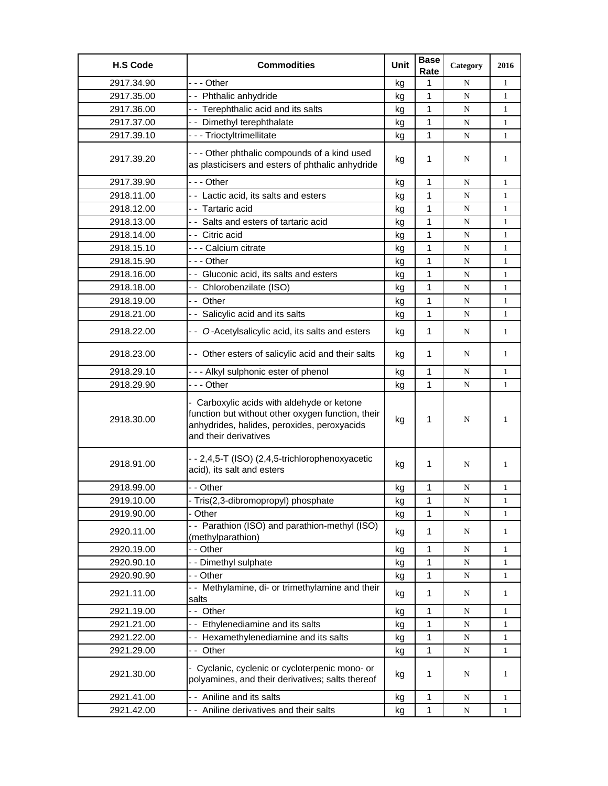| <b>H.S Code</b> | <b>Commodities</b>                                                                                                                                                      | Unit | <b>Base</b><br>Rate | Category    | 2016         |
|-----------------|-------------------------------------------------------------------------------------------------------------------------------------------------------------------------|------|---------------------|-------------|--------------|
| 2917.34.90      | --- Other                                                                                                                                                               | kg   | 1                   | N           | 1            |
| 2917.35.00      | -- Phthalic anhydride                                                                                                                                                   | kg   | 1                   | $\mathbf N$ | 1            |
| 2917.36.00      | -- Terephthalic acid and its salts                                                                                                                                      | kg   | 1                   | N           | $\mathbf{1}$ |
| 2917.37.00      | - - Dimethyl terephthalate                                                                                                                                              | kg   | 1                   | N           | 1            |
| 2917.39.10      | - - - Trioctyltrimellitate                                                                                                                                              | kg   | 1                   | ${\bf N}$   | $\mathbf{1}$ |
| 2917.39.20      | - - - Other phthalic compounds of a kind used<br>as plasticisers and esters of phthalic anhydride                                                                       | kg   | 1                   | N           | 1            |
| 2917.39.90      | - - - Other                                                                                                                                                             | kg   | 1                   | N           | $\mathbf{1}$ |
| 2918.11.00      | -- Lactic acid, its salts and esters                                                                                                                                    | kg   | 1                   | N           | $\mathbf{1}$ |
| 2918.12.00      | - - Tartaric acid                                                                                                                                                       | kg   | 1                   | N           | 1            |
| 2918.13.00      | -- Salts and esters of tartaric acid                                                                                                                                    | kg   | 1                   | $\mathbf N$ | 1            |
| 2918.14.00      | -- Citric acid                                                                                                                                                          | kg   | 1                   | N           | 1            |
| 2918.15.10      | --- Calcium citrate                                                                                                                                                     | kg   | 1                   | N           | 1            |
| 2918.15.90      | --- Other                                                                                                                                                               | kg   | 1                   | N           | $\mathbf{1}$ |
| 2918.16.00      | - Gluconic acid, its salts and esters                                                                                                                                   | kg   | 1                   | N           | $\mathbf{1}$ |
| 2918.18.00      | -- Chlorobenzilate (ISO)                                                                                                                                                | kg   | 1                   | N           | 1            |
| 2918.19.00      | -- Other                                                                                                                                                                | kg   | 1                   | N           | 1            |
| 2918.21.00      | - - Salicylic acid and its salts                                                                                                                                        | kg   | 1                   | $\mathbf N$ | 1            |
| 2918.22.00      | - - O-Acetylsalicylic acid, its salts and esters                                                                                                                        | kg   | 1                   | N           | 1            |
| 2918.23.00      | - - Other esters of salicylic acid and their salts                                                                                                                      | kg   | 1                   | N           | 1            |
| 2918.29.10      | --- Alkyl sulphonic ester of phenol                                                                                                                                     | kg   | 1                   | N           | 1            |
| 2918.29.90      | --- Other                                                                                                                                                               | kg   | 1                   | $\mathbf N$ | $\mathbf{1}$ |
| 2918.30.00      | - Carboxylic acids with aldehyde or ketone<br>function but without other oxygen function, their<br>anhydrides, halides, peroxides, peroxyacids<br>and their derivatives | kg   | 1                   | N           | 1            |
| 2918.91.00      | - - 2,4,5-T (ISO) (2,4,5-trichlorophenoxyacetic<br>acid), its salt and esters                                                                                           | kg   | 1                   | N           | 1            |
| 2918.99.00      | - - Other                                                                                                                                                               | kg   | 1                   | N           | 1            |
| 2919.10.00      | Tris(2,3-dibromopropyl) phosphate                                                                                                                                       | κg   | 1                   | N           | 1            |
| 2919.90.00      | Other                                                                                                                                                                   | kg   | 1                   | N           | 1            |
| 2920.11.00      | -- Parathion (ISO) and parathion-methyl (ISO)<br>(methylparathion)                                                                                                      | kg   | 1                   | N           | 1            |
| 2920.19.00      | - - Other                                                                                                                                                               | kg   | 1                   | N           | 1            |
| 2920.90.10      | - - Dimethyl sulphate                                                                                                                                                   | kg   | 1                   | N           | 1            |
| 2920.90.90      | - - Other                                                                                                                                                               | kg   | 1                   | N           | 1            |
| 2921.11.00      | - - Methylamine, di- or trimethylamine and their<br>salts                                                                                                               | kg   | 1                   | N           | 1            |
| 2921.19.00      | -- Other                                                                                                                                                                | kg   | 1                   | N           | 1            |
| 2921.21.00      | -- Ethylenediamine and its salts                                                                                                                                        | kg   | 1                   | N           | $\mathbf{1}$ |
| 2921.22.00      | - - Hexamethylenediamine and its salts                                                                                                                                  | kg   | 1                   | ${\bf N}$   | 1            |
| 2921.29.00      | -- Other                                                                                                                                                                | kg   | 1                   | N           | 1            |
| 2921.30.00      | - Cyclanic, cyclenic or cycloterpenic mono- or<br>polyamines, and their derivatives; salts thereof                                                                      | kg   | 1                   | N           | 1            |
| 2921.41.00      | - - Aniline and its salts                                                                                                                                               | kg   | 1                   | ${\bf N}$   | $\mathbf{1}$ |
| 2921.42.00      | - - Aniline derivatives and their salts                                                                                                                                 | kg   | 1                   | N           | 1            |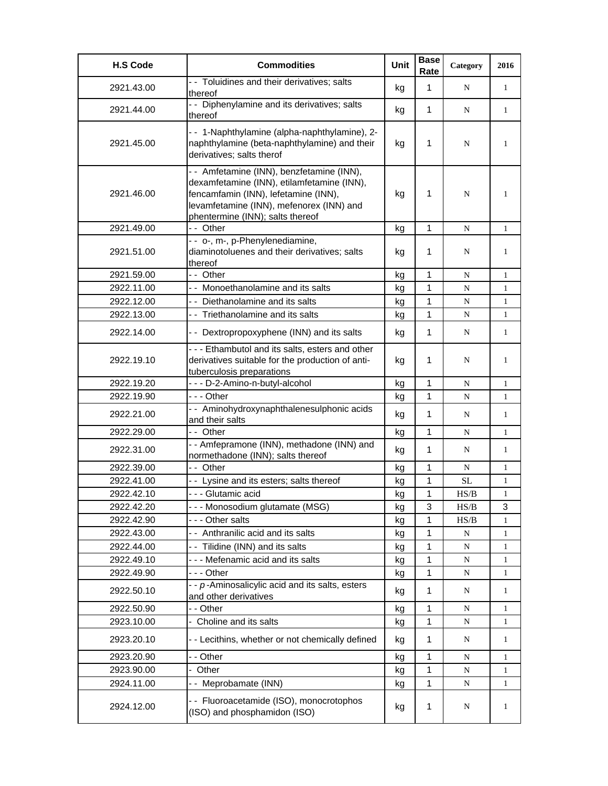| <b>H.S Code</b> | <b>Commodities</b>                                                                                                                                                                                              | Unit | <b>Base</b><br>Rate | Category  | 2016         |
|-----------------|-----------------------------------------------------------------------------------------------------------------------------------------------------------------------------------------------------------------|------|---------------------|-----------|--------------|
| 2921.43.00      | - Toluidines and their derivatives; salts<br>thereof                                                                                                                                                            | kg   | $\mathbf{1}$        | N         | 1            |
| 2921.44.00      | - - Diphenylamine and its derivatives; salts<br>thereof                                                                                                                                                         | kg   | 1                   | N         | $\mathbf{1}$ |
| 2921.45.00      | - - 1-Naphthylamine (alpha-naphthylamine), 2-<br>naphthylamine (beta-naphthylamine) and their<br>derivatives; salts therof                                                                                      | kg   | 1                   | N         | 1            |
| 2921.46.00      | - - Amfetamine (INN), benzfetamine (INN),<br>dexamfetamine (INN), etilamfetamine (INN),<br>fencamfamin (INN), lefetamine (INN),<br>levamfetamine (INN), mefenorex (INN) and<br>phentermine (INN); salts thereof | kg   | 1                   | N         | 1            |
| 2921.49.00      | -- Other                                                                                                                                                                                                        | kg   | $\mathbf{1}$        | N         | 1            |
| 2921.51.00      | - - o-, m-, p-Phenylenediamine,<br>diaminotoluenes and their derivatives; salts<br>thereof                                                                                                                      | kg   | 1                   | N         | 1            |
| 2921.59.00      | -- Other                                                                                                                                                                                                        | kg   | $\mathbf{1}$        | ${\bf N}$ | 1            |
| 2922.11.00      | - - Monoethanolamine and its salts                                                                                                                                                                              | kg   | 1                   | N         | $\mathbf{1}$ |
| 2922.12.00      | - - Diethanolamine and its salts                                                                                                                                                                                | kg   | $\mathbf{1}$        | N         | $\mathbf{1}$ |
| 2922.13.00      | - - Triethanolamine and its salts                                                                                                                                                                               | kg   | $\mathbf{1}$        | N         | $\mathbf{1}$ |
| 2922.14.00      | - - Dextropropoxyphene (INN) and its salts                                                                                                                                                                      | kg   | $\mathbf{1}$        | N         | 1            |
| 2922.19.10      | --- Ethambutol and its salts, esters and other<br>derivatives suitable for the production of anti-<br>tuberculosis preparations                                                                                 | kg   | 1                   | N         | 1            |
| 2922.19.20      | - - - D-2-Amino-n-butyl-alcohol                                                                                                                                                                                 | kg   | 1                   | N         | $\mathbf{1}$ |
| 2922.19.90      | --- Other                                                                                                                                                                                                       | kg   | $\mathbf{1}$        | N         | $\mathbf{1}$ |
| 2922.21.00      | - - Aminohydroxynaphthalenesulphonic acids<br>and their salts                                                                                                                                                   | kg   | 1                   | N         | 1            |
| 2922.29.00      | - - Other                                                                                                                                                                                                       | kg   | $\mathbf{1}$        | N         | $\mathbf{1}$ |
| 2922.31.00      | - - Amfepramone (INN), methadone (INN) and<br>normethadone (INN); salts thereof                                                                                                                                 | kg   | 1                   | N         | 1            |
| 2922.39.00      | -- Other                                                                                                                                                                                                        | kg   | $\mathbf{1}$        | N         | $\mathbf{1}$ |
| 2922.41.00      | - - Lysine and its esters; salts thereof                                                                                                                                                                        | kg   | $\mathbf{1}$        | SL        | $\mathbf{1}$ |
| 2922.42.10      | - - - Glutamic acid                                                                                                                                                                                             | kg   | 1                   | HS/B      | 1            |
| 2922.42.20      | - - - Monosodium glutamate (MSG)                                                                                                                                                                                | kg   | 3                   | HS/B      | 3            |
| 2922.42.90      | - - - Other salts                                                                                                                                                                                               | kg   | 1                   | HS/B      | 1            |
| 2922.43.00      | - - Anthranilic acid and its salts                                                                                                                                                                              | kg   | 1                   | ${\bf N}$ | 1            |
| 2922.44.00      | -- Tilidine (INN) and its salts                                                                                                                                                                                 | kg   | 1                   | N         | 1            |
| 2922.49.10      | - - - Mefenamic acid and its salts                                                                                                                                                                              | kg   | 1                   | N         | 1            |
| 2922.49.90      | --- Other                                                                                                                                                                                                       | kg   | 1                   | N         | 1            |
| 2922.50.10      | - - p-Aminosalicylic acid and its salts, esters<br>and other derivatives                                                                                                                                        | kg   | 1                   | N         | 1            |
| 2922.50.90      | - - Other                                                                                                                                                                                                       | kg   | 1                   | N         | 1            |
| 2923.10.00      | - Choline and its salts                                                                                                                                                                                         | kg   | 1                   | N         | 1            |
| 2923.20.10      | - - Lecithins, whether or not chemically defined                                                                                                                                                                | kg   | 1                   | N         | 1            |
| 2923.20.90      | - - Other                                                                                                                                                                                                       | kg   | 1                   | N         | 1            |
| 2923.90.00      | Other<br>$\overline{\phantom{0}}$                                                                                                                                                                               | kg   | 1                   | N         | 1            |
| 2924.11.00      | -- Meprobamate (INN)                                                                                                                                                                                            | kg   | $\mathbf{1}$        | N         | 1            |
| 2924.12.00      | - - Fluoroacetamide (ISO), monocrotophos<br>(ISO) and phosphamidon (ISO)                                                                                                                                        | kg   | 1                   | N         | 1            |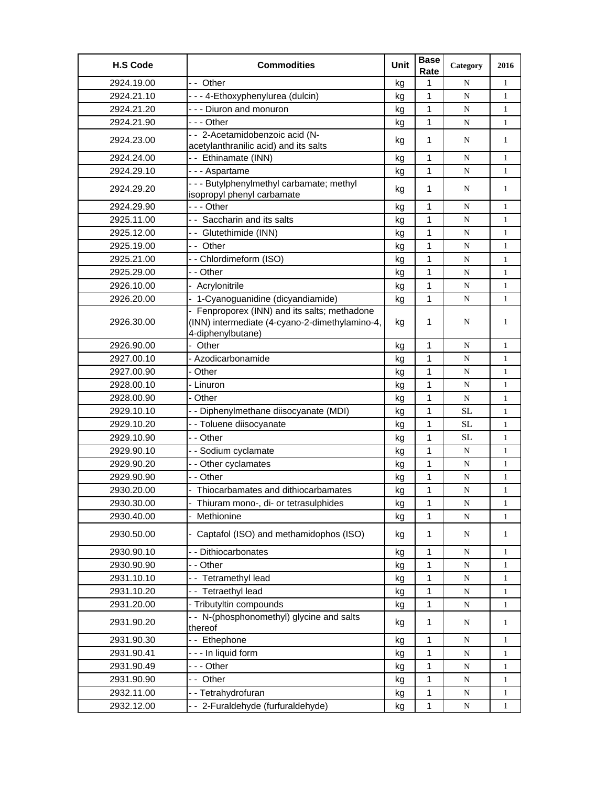| <b>H.S Code</b> | <b>Commodities</b>                                                                                                  | Unit | <b>Base</b><br>Rate | Category  | 2016         |
|-----------------|---------------------------------------------------------------------------------------------------------------------|------|---------------------|-----------|--------------|
| 2924.19.00      | -- Other                                                                                                            | kg   | 1                   | N         | $\mathbf{1}$ |
| 2924.21.10      | - - - 4-Ethoxyphenylurea (dulcin)                                                                                   | kg   | 1                   | N         | $\mathbf{1}$ |
| 2924.21.20      | --- Diuron and monuron                                                                                              | kg   | 1                   | N         | $\mathbf{1}$ |
| 2924.21.90      | - - - Other                                                                                                         | kg   | 1                   | N         | $\mathbf{1}$ |
| 2924.23.00      | -- 2-Acetamidobenzoic acid (N-                                                                                      |      | 1                   | N         | $\mathbf{1}$ |
|                 | acetylanthranilic acid) and its salts                                                                               | kg   |                     |           |              |
| 2924.24.00      | -- Ethinamate (INN)                                                                                                 | kg   | 1                   | N         | $\mathbf{1}$ |
| 2924.29.10      | - - - Aspartame                                                                                                     | kg   | 1                   | N         | $\mathbf{1}$ |
| 2924.29.20      | - - - Butylphenylmethyl carbamate; methyl<br>isopropyl phenyl carbamate                                             | kg   | $\mathbf 1$         | N         | $\mathbf{1}$ |
| 2924.29.90      | --- Other                                                                                                           | kg   | 1                   | N         | $\mathbf{1}$ |
| 2925.11.00      | - - Saccharin and its salts                                                                                         | kg   | 1                   | N         | $\mathbf{1}$ |
| 2925.12.00      | -- Glutethimide (INN)                                                                                               | kg   | $\mathbf{1}$        | N         | $\mathbf{1}$ |
| 2925.19.00      | - - Other                                                                                                           | kg   | 1                   | N         | $\mathbf{1}$ |
| 2925.21.00      | -- Chlordimeform (ISO)                                                                                              | kg   | 1                   | ${\bf N}$ | $\mathbf{1}$ |
| 2925.29.00      | - - Other                                                                                                           | kg   | 1                   | N         | $\mathbf{1}$ |
| 2926.10.00      | Acrylonitrile                                                                                                       | kg   | 1                   | N         | $\mathbf{1}$ |
| 2926.20.00      | 1-Cyanoguanidine (dicyandiamide)                                                                                    | kg   | 1                   | N         | $\mathbf{1}$ |
| 2926.30.00      | - Fenproporex (INN) and its salts; methadone<br>(INN) intermediate (4-cyano-2-dimethylamino-4,<br>4-diphenylbutane) | kg   | 1                   | N         | 1            |
| 2926.90.00      | Other                                                                                                               | kg   | 1                   | N         | $\mathbf{1}$ |
| 2927.00.10      | Azodicarbonamide                                                                                                    | kg   | $\mathbf{1}$        | ${\bf N}$ | $\mathbf{1}$ |
| 2927.00.90      | - Other                                                                                                             | kg   | 1                   | N         | $\mathbf{1}$ |
| 2928.00.10      | - Linuron                                                                                                           | kg   | 1                   | N         | $\mathbf{1}$ |
| 2928.00.90      | - Other                                                                                                             | kg   | 1                   | N         | $\mathbf{1}$ |
| 2929.10.10      | - - Diphenylmethane diisocyanate (MDI)                                                                              | kg   | 1                   | SL        | $\mathbf{1}$ |
| 2929.10.20      | - - Toluene diisocyanate                                                                                            | kg   | 1                   | <b>SL</b> | $\mathbf{1}$ |
| 2929.10.90      | - - Other                                                                                                           | kg   | 1                   | <b>SL</b> | $\mathbf{1}$ |
| 2929.90.10      | - - Sodium cyclamate                                                                                                | kg   | 1                   | N         | $\mathbf{1}$ |
| 2929.90.20      | - - Other cyclamates                                                                                                | kg   | 1                   | N         | $\mathbf{1}$ |
| 2929.90.90      | - - Other                                                                                                           | kg   | 1                   | N         | $\mathbf{1}$ |
| 2930.20.00      | Thiocarbamates and dithiocarbamates                                                                                 | kg   | 1                   | ${\bf N}$ | $\mathbf{1}$ |
| 2930.30.00      | Thiuram mono-, di- or tetrasulphides                                                                                | kg   | 1                   | ${\bf N}$ | 1            |
| 2930.40.00      | Methionine                                                                                                          | kg   | 1                   | ${\bf N}$ | $\mathbf{1}$ |
| 2930.50.00      | Captafol (ISO) and methamidophos (ISO)                                                                              | kg   | $\mathbf 1$         | ${\bf N}$ | $\mathbf{1}$ |
| 2930.90.10      | - - Dithiocarbonates                                                                                                | kg   | 1                   | ${\bf N}$ | $\mathbf{1}$ |
| 2930.90.90      | - - Other                                                                                                           | kg   | 1                   | N         | $\mathbf{1}$ |
| 2931.10.10      | -- Tetramethyl lead                                                                                                 | kg   | 1                   | ${\bf N}$ | $\mathbf{1}$ |
| 2931.10.20      | -- Tetraethyl lead                                                                                                  | kg   | 1                   | ${\bf N}$ | 1            |
| 2931.20.00      | - Tributyltin compounds                                                                                             | kg   | 1                   | ${\bf N}$ | $\mathbf{1}$ |
| 2931.90.20      | - - N-(phosphonomethyl) glycine and salts<br>thereof                                                                | kg   | 1                   | N         | $\mathbf{1}$ |
| 2931.90.30      | -- Ethephone                                                                                                        | kg   | 1                   | N         | $\mathbf{1}$ |
| 2931.90.41      | --- In liquid form                                                                                                  | kg   | 1                   | ${\bf N}$ | $\mathbf{1}$ |
| 2931.90.49      | --- Other                                                                                                           | kg   | $\mathbf 1$         | N         | $\mathbf{1}$ |
| 2931.90.90      | -- Other                                                                                                            | kg   | 1                   | ${\bf N}$ | 1            |
| 2932.11.00      | -- Tetrahydrofuran                                                                                                  | kg   | 1                   | ${\bf N}$ | 1            |
| 2932.12.00      | -- 2-Furaldehyde (furfuraldehyde)                                                                                   | kg   | 1                   | ${\bf N}$ | $\mathbf{1}$ |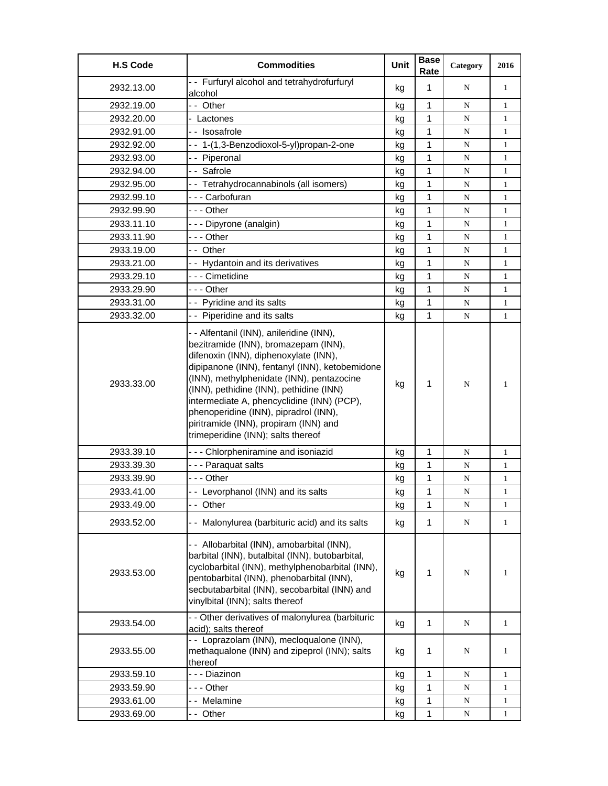| Rate                                                                                                                                                                                                                                                                                                                                                                                                                                                               |             | 2016         |
|--------------------------------------------------------------------------------------------------------------------------------------------------------------------------------------------------------------------------------------------------------------------------------------------------------------------------------------------------------------------------------------------------------------------------------------------------------------------|-------------|--------------|
| -- Furfuryl alcohol and tetrahydrofurfuryl<br>1<br>2932.13.00<br>kg<br>alcohol                                                                                                                                                                                                                                                                                                                                                                                     | N           | $\mathbf{1}$ |
| 1<br>2932.19.00<br>-- Other<br>kg                                                                                                                                                                                                                                                                                                                                                                                                                                  | ${\bf N}$   | $\mathbf{1}$ |
| 1<br>2932.20.00<br>- Lactones<br>kg                                                                                                                                                                                                                                                                                                                                                                                                                                | N           | $\mathbf{1}$ |
| 1<br>2932.91.00<br>-- Isosafrole<br>kg                                                                                                                                                                                                                                                                                                                                                                                                                             | N           | $\mathbf{1}$ |
| 1<br>-- 1-(1,3-Benzodioxol-5-yl)propan-2-one<br>2932.92.00<br>kg                                                                                                                                                                                                                                                                                                                                                                                                   | ${\bf N}$   | $\mathbf{1}$ |
| 1<br>-- Piperonal<br>2932.93.00<br>kg                                                                                                                                                                                                                                                                                                                                                                                                                              | N           | 1            |
| -- Safrole<br>1<br>2932.94.00<br>kg                                                                                                                                                                                                                                                                                                                                                                                                                                | ${\bf N}$   | $\mathbf{1}$ |
| - - Tetrahydrocannabinols (all isomers)<br>1<br>2932.95.00<br>kg                                                                                                                                                                                                                                                                                                                                                                                                   | N           | $\mathbf{1}$ |
| 1<br>2932.99.10<br>- - - Carbofuran<br>kg                                                                                                                                                                                                                                                                                                                                                                                                                          | ${\bf N}$   | $\mathbf{1}$ |
| - - - Other<br>1<br>2932.99.90<br>kg                                                                                                                                                                                                                                                                                                                                                                                                                               | ${\bf N}$   | 1            |
| 1<br>2933.11.10<br>- - - Dipyrone (analgin)<br>kg                                                                                                                                                                                                                                                                                                                                                                                                                  | N           | $\mathbf{1}$ |
| --- Other<br>1<br>2933.11.90<br>kg                                                                                                                                                                                                                                                                                                                                                                                                                                 | N           | $\mathbf{1}$ |
| 1<br>-- Other<br>2933.19.00<br>kg                                                                                                                                                                                                                                                                                                                                                                                                                                  | N           | $\mathbf{1}$ |
| 1<br>2933.21.00<br>- - Hydantoin and its derivatives<br>kg                                                                                                                                                                                                                                                                                                                                                                                                         | N           | $\mathbf{1}$ |
| --- Cimetidine<br>1<br>2933.29.10<br>kg                                                                                                                                                                                                                                                                                                                                                                                                                            | N           | $\mathbf{1}$ |
| --- Other<br>2933.29.90<br>1<br>kg                                                                                                                                                                                                                                                                                                                                                                                                                                 | N           | $\mathbf{1}$ |
| 1<br>- - Pyridine and its salts<br>2933.31.00<br>kg                                                                                                                                                                                                                                                                                                                                                                                                                | N           | $\mathbf{1}$ |
| - - Piperidine and its salts<br>1<br>2933.32.00<br>kg                                                                                                                                                                                                                                                                                                                                                                                                              | ${\bf N}$   | 1            |
| - - Alfentanil (INN), anileridine (INN),<br>bezitramide (INN), bromazepam (INN),<br>difenoxin (INN), diphenoxylate (INN),<br>dipipanone (INN), fentanyl (INN), ketobemidone<br>(INN), methylphenidate (INN), pentazocine<br>2933.33.00<br>1<br>kg<br>(INN), pethidine (INN), pethidine (INN)<br>intermediate A, phencyclidine (INN) (PCP),<br>phenoperidine (INN), pipradrol (INN),<br>piritramide (INN), propiram (INN) and<br>trimeperidine (INN); salts thereof | N           | 1            |
| 1<br>2933.39.10<br>--- Chlorpheniramine and isoniazid<br>kg                                                                                                                                                                                                                                                                                                                                                                                                        | N           | $\mathbf{1}$ |
| --- Paraquat salts<br>2933.39.30<br>1<br>kg                                                                                                                                                                                                                                                                                                                                                                                                                        | N           | $\mathbf{1}$ |
| 1<br>2933.39.90<br>--- Other<br>kg                                                                                                                                                                                                                                                                                                                                                                                                                                 | ${\bf N}$   | $\mathbf{1}$ |
| 1<br>- - Levorphanol (INN) and its salts<br>2933.41.00<br>kg                                                                                                                                                                                                                                                                                                                                                                                                       | $\mathbf N$ | 1            |
| 1<br>2933.49.00<br>-- Other<br>kg                                                                                                                                                                                                                                                                                                                                                                                                                                  | N           | 1            |
| 2933.52.00<br>- - Malonylurea (barbituric acid) and its salts<br>1<br>kg                                                                                                                                                                                                                                                                                                                                                                                           | ${\bf N}$   | $\mathbf{1}$ |
| -- Allobarbital (INN), amobarbital (INN),<br>barbital (INN), butalbital (INN), butobarbital,<br>cyclobarbital (INN), methylphenobarbital (INN),<br>2933.53.00<br>1<br>kg<br>pentobarbital (INN), phenobarbital (INN),<br>secbutabarbital (INN), secobarbital (INN) and<br>vinylbital (INN); salts thereof                                                                                                                                                          | ${\bf N}$   | 1            |
| - - Other derivatives of malonylurea (barbituric<br>1<br>2933.54.00<br>kg<br>acid); salts thereof                                                                                                                                                                                                                                                                                                                                                                  | N           | $\mathbf{1}$ |
| - - Loprazolam (INN), mecloqualone (INN),<br>methaqualone (INN) and zipeprol (INN); salts<br>2933.55.00<br>1<br>kg<br>thereof                                                                                                                                                                                                                                                                                                                                      | N           | 1            |
| 2933.59.10<br>- - - Diazinon<br>1<br>kg                                                                                                                                                                                                                                                                                                                                                                                                                            | N           | 1            |
| 2933.59.90<br>1<br>- - - Other<br>kg                                                                                                                                                                                                                                                                                                                                                                                                                               | N           | $\mathbf{1}$ |
| 2933.61.00<br>-- Melamine<br>1<br>kg                                                                                                                                                                                                                                                                                                                                                                                                                               | ${\bf N}$   | $\mathbf{1}$ |
| 2933.69.00<br>1<br>- - Other<br>kg                                                                                                                                                                                                                                                                                                                                                                                                                                 | N           | 1            |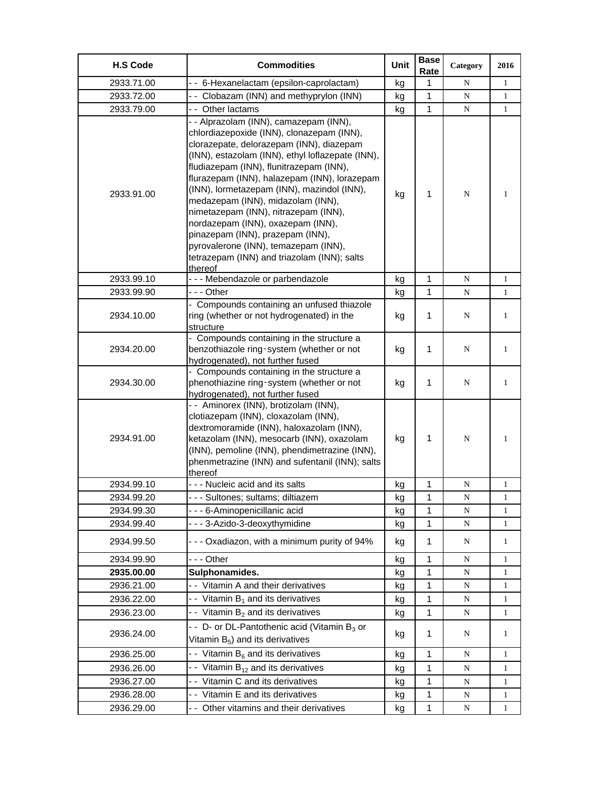| <b>H.S Code</b> | <b>Commodities</b>                                                                                                                                                                                                                                                                                                                                                                                                                                                                                                                                                                   | Unit | <b>Base</b><br>Rate | Category    | 2016         |
|-----------------|--------------------------------------------------------------------------------------------------------------------------------------------------------------------------------------------------------------------------------------------------------------------------------------------------------------------------------------------------------------------------------------------------------------------------------------------------------------------------------------------------------------------------------------------------------------------------------------|------|---------------------|-------------|--------------|
| 2933.71.00      | -- 6-Hexanelactam (epsilon-caprolactam)                                                                                                                                                                                                                                                                                                                                                                                                                                                                                                                                              | kg   | 1                   | N           | $\mathbf{1}$ |
| 2933.72.00      | -- Clobazam (INN) and methyprylon (INN)                                                                                                                                                                                                                                                                                                                                                                                                                                                                                                                                              | kg   | 1                   | ${\bf N}$   | 1            |
| 2933.79.00      | -- Other lactams                                                                                                                                                                                                                                                                                                                                                                                                                                                                                                                                                                     | kg   | 1                   | ${\bf N}$   | $\mathbf{1}$ |
| 2933.91.00      | - - Alprazolam (INN), camazepam (INN),<br>chlordiazepoxide (INN), clonazepam (INN),<br>clorazepate, delorazepam (INN), diazepam<br>(INN), estazolam (INN), ethyl loflazepate (INN),<br>fludiazepam (INN), flunitrazepam (INN),<br>flurazepam (INN), halazepam (INN), lorazepam<br>(INN), lormetazepam (INN), mazindol (INN),<br>medazepam (INN), midazolam (INN),<br>nimetazepam (INN), nitrazepam (INN),<br>nordazepam (INN), oxazepam (INN),<br>pinazepam (INN), prazepam (INN),<br>pyrovalerone (INN), temazepam (INN),<br>tetrazepam (INN) and triazolam (INN); salts<br>thereof | kg   | 1                   | N           | 1            |
| 2933.99.10      | --- Mebendazole or parbendazole                                                                                                                                                                                                                                                                                                                                                                                                                                                                                                                                                      | kg   | 1                   | ${\bf N}$   | $\mathbf{1}$ |
| 2933.99.90      | --- Other                                                                                                                                                                                                                                                                                                                                                                                                                                                                                                                                                                            | kg   | 1                   | N           | 1            |
| 2934.10.00      | - Compounds containing an unfused thiazole<br>ring (whether or not hydrogenated) in the<br>structure                                                                                                                                                                                                                                                                                                                                                                                                                                                                                 | kg   | 1                   | N           | 1            |
| 2934.20.00      | - Compounds containing in the structure a<br>benzothiazole ring-system (whether or not<br>hydrogenated), not further fused                                                                                                                                                                                                                                                                                                                                                                                                                                                           | kg   | 1                   | N           | $\mathbf{1}$ |
| 2934.30.00      | - Compounds containing in the structure a<br>phenothiazine ring-system (whether or not<br>hydrogenated), not further fused                                                                                                                                                                                                                                                                                                                                                                                                                                                           | kg   | 1                   | N           | 1            |
| 2934.91.00      | -- Aminorex (INN), brotizolam (INN),<br>clotiazepam (INN), cloxazolam (INN),<br>dextromoramide (INN), haloxazolam (INN),<br>ketazolam (INN), mesocarb (INN), oxazolam<br>(INN), pemoline (INN), phendimetrazine (INN),<br>phenmetrazine (INN) and sufentanil (INN); salts<br>thereof                                                                                                                                                                                                                                                                                                 | kg   | 1                   | N           | 1            |
| 2934.99.10      | - - - Nucleic acid and its salts                                                                                                                                                                                                                                                                                                                                                                                                                                                                                                                                                     | kg   | 1                   | N           | 1            |
| 2934.99.20      | - - Sultones; sultams; diltiazem                                                                                                                                                                                                                                                                                                                                                                                                                                                                                                                                                     | kg   | 1                   | N           | 1            |
| 2934.99.30      | - - - 6-Aminopenicillanic acid                                                                                                                                                                                                                                                                                                                                                                                                                                                                                                                                                       | kg   | 1                   | N           | 1            |
| 2934.99.40      | --- 3-Azido-3-deoxythymidine                                                                                                                                                                                                                                                                                                                                                                                                                                                                                                                                                         | kg   | 1                   | N           | 1            |
| 2934.99.50      | --- Oxadiazon, with a minimum purity of 94%                                                                                                                                                                                                                                                                                                                                                                                                                                                                                                                                          | kg   | 1                   | N           | 1            |
| 2934.99.90      | - - - Other                                                                                                                                                                                                                                                                                                                                                                                                                                                                                                                                                                          | kg   | 1                   | N           | 1            |
| 2935.00.00      | Sulphonamides.                                                                                                                                                                                                                                                                                                                                                                                                                                                                                                                                                                       | kg   | 1                   | N           | 1            |
| 2936.21.00      | - - Vitamin A and their derivatives                                                                                                                                                                                                                                                                                                                                                                                                                                                                                                                                                  | kg   | 1                   | N           | 1            |
| 2936.22.00      | - - Vitamin $B_1$ and its derivatives                                                                                                                                                                                                                                                                                                                                                                                                                                                                                                                                                | kg   | 1                   | $\mathbf N$ | $\mathbf{1}$ |
| 2936.23.00      | - Vitamin $B_2$ and its derivatives                                                                                                                                                                                                                                                                                                                                                                                                                                                                                                                                                  | kg   | 1                   | N           | 1            |
| 2936.24.00      | - - D- or DL-Pantothenic acid (Vitamin B <sub>3</sub> or<br>Vitamin $B_5$ ) and its derivatives                                                                                                                                                                                                                                                                                                                                                                                                                                                                                      | kg   | 1                   | N           | 1            |
| 2936.25.00      | - Vitamin B <sub>6</sub> and its derivatives                                                                                                                                                                                                                                                                                                                                                                                                                                                                                                                                         | kg   | 1                   | N           | 1            |
| 2936.26.00      | - Vitamin $B_{12}$ and its derivatives                                                                                                                                                                                                                                                                                                                                                                                                                                                                                                                                               | kg   | 1                   | N           | 1            |
| 2936.27.00      | - - Vitamin C and its derivatives                                                                                                                                                                                                                                                                                                                                                                                                                                                                                                                                                    | kg   | 1                   | N           | 1            |
| 2936.28.00      | - - Vitamin E and its derivatives                                                                                                                                                                                                                                                                                                                                                                                                                                                                                                                                                    | kg   | $\mathbf{1}$        | ${\bf N}$   | 1            |
| 2936.29.00      | - - Other vitamins and their derivatives                                                                                                                                                                                                                                                                                                                                                                                                                                                                                                                                             | kg   | 1                   | N           | 1            |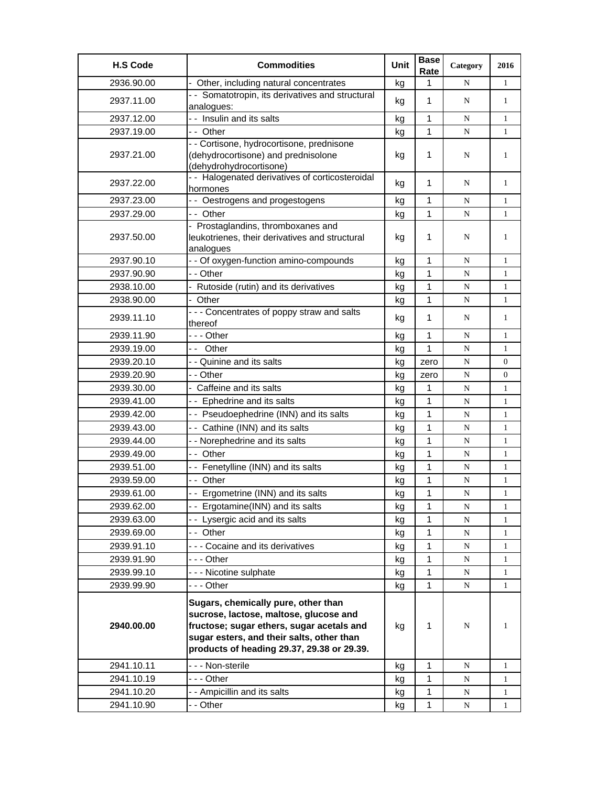| <b>H.S Code</b> | <b>Commodities</b>                                                                                                                                                                                                    | <b>Unit</b> | <b>Base</b><br>Rate | Category    | 2016           |
|-----------------|-----------------------------------------------------------------------------------------------------------------------------------------------------------------------------------------------------------------------|-------------|---------------------|-------------|----------------|
| 2936.90.00      | Other, including natural concentrates                                                                                                                                                                                 | kg          | 1                   | N           | 1              |
| 2937.11.00      | - - Somatotropin, its derivatives and structural<br>analogues:                                                                                                                                                        | kg          | 1                   | N           | $\mathbf{1}$   |
| 2937.12.00      | - - Insulin and its salts                                                                                                                                                                                             | kg          | 1                   | N           | $\mathbf{1}$   |
| 2937.19.00      | -- Other                                                                                                                                                                                                              | kg          | $\mathbf{1}$        | N           | $\mathbf{1}$   |
| 2937.21.00      | - - Cortisone, hydrocortisone, prednisone<br>(dehydrocortisone) and prednisolone<br>(dehydrohydrocortisone)                                                                                                           | kg          | 1                   | N           | 1              |
| 2937.22.00      | - - Halogenated derivatives of corticosteroidal<br>hormones                                                                                                                                                           | kg          | 1                   | N           | 1              |
| 2937.23.00      | - - Oestrogens and progestogens                                                                                                                                                                                       | kg          | 1                   | N           | $\mathbf{1}$   |
| 2937.29.00      | -- Other                                                                                                                                                                                                              | kg          | 1                   | N           | $\mathbf{1}$   |
| 2937.50.00      | - Prostaglandins, thromboxanes and<br>leukotrienes, their derivatives and structural<br>analogues                                                                                                                     | kg          | 1                   | N           | 1              |
| 2937.90.10      | - - Of oxygen-function amino-compounds                                                                                                                                                                                | kg          | 1                   | N           | 1              |
| 2937.90.90      | - - Other                                                                                                                                                                                                             | kg          | 1                   | N           | $\mathbf{1}$   |
| 2938.10.00      | Rutoside (rutin) and its derivatives                                                                                                                                                                                  | kg          | 1                   | ${\bf N}$   | $\mathbf{1}$   |
| 2938.90.00      | - Other                                                                                                                                                                                                               | kg          | 1                   | N           | $\mathbf{1}$   |
| 2939.11.10      | - - - Concentrates of poppy straw and salts<br>thereof                                                                                                                                                                | kg          | 1                   | N           | $\mathbf{1}$   |
| 2939.11.90      | -  - - Other                                                                                                                                                                                                          | kg          | 1                   | N           | 1              |
| 2939.19.00      | -- Other                                                                                                                                                                                                              | kg          | 1                   | N           | 1              |
| 2939.20.10      | - - Quinine and its salts                                                                                                                                                                                             | kg          | zero                | N           | $\overline{0}$ |
| 2939.20.90      | - - Other                                                                                                                                                                                                             | kg          | zero                | N           | 0              |
| 2939.30.00      | Caffeine and its salts                                                                                                                                                                                                | kg          | 1                   | N           | $\mathbf{1}$   |
| 2939.41.00      | -- Ephedrine and its salts                                                                                                                                                                                            | kg          | 1                   | N           | $\mathbf{1}$   |
| 2939.42.00      | - - Pseudoephedrine (INN) and its salts                                                                                                                                                                               | kg          | 1                   | N           | $\mathbf{1}$   |
| 2939.43.00      | - - Cathine (INN) and its salts                                                                                                                                                                                       | kg          | 1                   | $\mathbf N$ | $\mathbf{1}$   |
| 2939.44.00      | - - Norephedrine and its salts                                                                                                                                                                                        | kg          | 1                   | N           | 1              |
| 2939.49.00      | -- Other                                                                                                                                                                                                              | kg          | 1                   | ${\bf N}$   | 1              |
| 2939.51.00      | - - Fenetylline (INN) and its salts                                                                                                                                                                                   | kg          | 1                   | N           | $\mathbf{1}$   |
| 2939.59.00      | -- Other                                                                                                                                                                                                              | kg          | 1                   | N           | $\mathbf{1}$   |
| 2939.61.00      | - - Ergometrine (INN) and its salts                                                                                                                                                                                   | kg          | 1                   | N           | $\mathbf{1}$   |
| 2939.62.00      | -- Ergotamine(INN) and its salts                                                                                                                                                                                      | kg          | 1                   | N           | 1              |
| 2939.63.00      | -- Lysergic acid and its salts                                                                                                                                                                                        | kg          | 1                   | N           | 1              |
| 2939.69.00      | -- Other                                                                                                                                                                                                              | kg          | 1                   | N           | 1              |
| 2939.91.10      | --- Cocaine and its derivatives                                                                                                                                                                                       | kg          | $\mathbf{1}$        | N           | 1              |
| 2939.91.90      | --- Other                                                                                                                                                                                                             | kg          | $\mathbf{1}$        | ${\bf N}$   | $\mathbf{1}$   |
| 2939.99.10      | --- Nicotine sulphate                                                                                                                                                                                                 | kg          | 1                   | N           | 1              |
| 2939.99.90      | --- Other                                                                                                                                                                                                             | kg          | $\mathbf{1}$        | N           | 1              |
| 2940.00.00      | Sugars, chemically pure, other than<br>sucrose, lactose, maltose, glucose and<br>fructose; sugar ethers, sugar acetals and<br>sugar esters, and their salts, other than<br>products of heading 29.37, 29.38 or 29.39. | kg          | 1                   | N           | 1              |
| 2941.10.11      | - - - Non-sterile                                                                                                                                                                                                     | kg          | $\mathbf{1}$        | ${\bf N}$   | $\mathbf{1}$   |
| 2941.10.19      | - - - Other                                                                                                                                                                                                           | kg          | 1                   | N           | 1              |
| 2941.10.20      | - - Ampicillin and its salts                                                                                                                                                                                          | kg          | 1                   | N           | 1              |
| 2941.10.90      | - - Other                                                                                                                                                                                                             | kg          | 1                   | N           | 1              |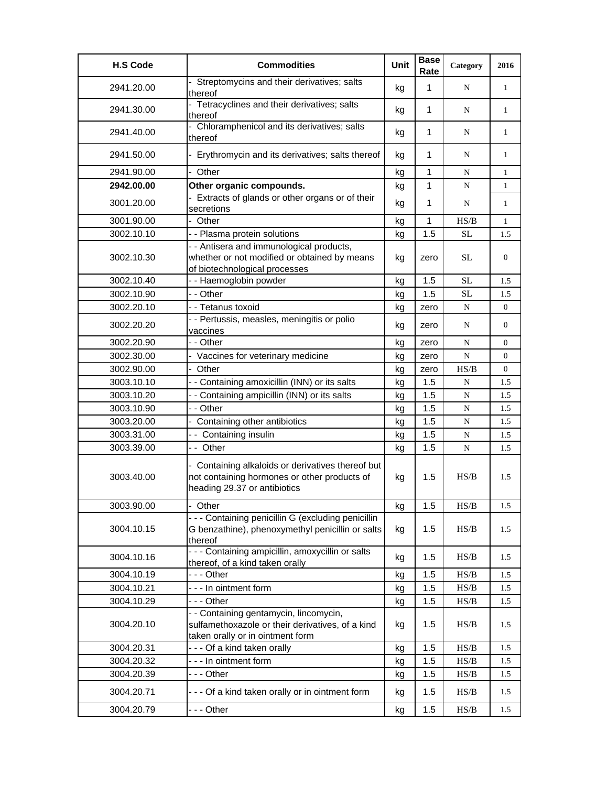| <b>H.S Code</b> | <b>Commodities</b>                                                                                                                | Unit | <b>Base</b><br>Rate | Category                                                                               | 2016             |
|-----------------|-----------------------------------------------------------------------------------------------------------------------------------|------|---------------------|----------------------------------------------------------------------------------------|------------------|
| 2941.20.00      | Streptomycins and their derivatives; salts<br>thereof                                                                             | kg   | 1                   | N                                                                                      | 1                |
| 2941.30.00      | Tetracyclines and their derivatives; salts<br>thereof                                                                             | kg   | 1                   | N                                                                                      | 1                |
| 2941.40.00      | - Chloramphenicol and its derivatives; salts<br>thereof                                                                           | kg   | 1                   | N                                                                                      | 1                |
| 2941.50.00      | - Erythromycin and its derivatives; salts thereof                                                                                 | kg   | 1                   | N                                                                                      | 1                |
| 2941.90.00      | - Other                                                                                                                           | kg   | 1                   | N                                                                                      | 1                |
| 2942.00.00      | Other organic compounds.                                                                                                          | kg   | 1                   | N                                                                                      | 1                |
| 3001.20.00      | - Extracts of glands or other organs or of their<br>secretions                                                                    | kg   | 1                   | N                                                                                      | 1                |
| 3001.90.00      | - Other                                                                                                                           | kg   | 1                   | HS/B                                                                                   | $\mathbf{1}$     |
| 3002.10.10      | - - Plasma protein solutions                                                                                                      | kg   | 1.5                 | <b>SL</b>                                                                              | 1.5              |
| 3002.10.30      | - - Antisera and immunological products,<br>whether or not modified or obtained by means<br>of biotechnological processes         | kg   | zero                | SL.                                                                                    | $\overline{0}$   |
| 3002.10.40      | - - Haemoglobin powder                                                                                                            | kg   | 1.5                 | <b>SL</b>                                                                              | 1.5              |
| 3002.10.90      | - - Other                                                                                                                         | kg   | 1.5                 | SL                                                                                     | 1.5              |
| 3002.20.10      | - - Tetanus toxoid                                                                                                                | kg   | zero                | ${\bf N}$                                                                              | $\overline{0}$   |
| 3002.20.20      | - - Pertussis, measles, meningitis or polio<br>vaccines                                                                           | kg   | zero                | N                                                                                      | $\overline{0}$   |
| 3002.20.90      | - - Other                                                                                                                         | kg   | zero                | N                                                                                      | $\boldsymbol{0}$ |
| 3002.30.00      | - Vaccines for veterinary medicine                                                                                                | kg   | zero                | ${\bf N}$                                                                              | $\overline{0}$   |
| 3002.90.00      | - Other                                                                                                                           | kg   | zero                | HS/B                                                                                   | $\overline{0}$   |
| 3003.10.10      | - - Containing amoxicillin (INN) or its salts                                                                                     | kg   | 1.5                 | N                                                                                      | 1.5              |
| 3003.10.20      | - - Containing ampicillin (INN) or its salts                                                                                      | kg   | 1.5                 | N                                                                                      | 1.5              |
| 3003.10.90      | - - Other                                                                                                                         | kg   | 1.5                 | N                                                                                      | 1.5              |
| 3003.20.00      | - Containing other antibiotics                                                                                                    | kg   | 1.5                 | N                                                                                      | 1.5              |
| 3003.31.00      | -- Containing insulin                                                                                                             | kg   | 1.5                 | N                                                                                      | 1.5              |
| 3003.39.00      | -- Other                                                                                                                          | kg   | 1.5                 | ${\bf N}$                                                                              | 1.5              |
| 3003.40.00      | - Containing alkaloids or derivatives thereof but<br>not containing hormones or other products of<br>heading 29.37 or antibiotics | kg   | 1.5                 | HS/B                                                                                   | 1.5              |
| 3003.90.00      | Other                                                                                                                             | kg   | 1.5                 | $\ensuremath{\mathbf{H}}\ensuremath{\mathbf{S}}\xspace/\ensuremath{\mathbf{B}}\xspace$ | 1.5              |
| 3004.10.15      | - - - Containing penicillin G (excluding penicillin<br>G benzathine), phenoxymethyl penicillin or salts<br>thereof                | kg   | 1.5                 | HS/B                                                                                   | 1.5              |
| 3004.10.16      | - - - Containing ampicillin, amoxycillin or salts<br>thereof, of a kind taken orally                                              | kg   | 1.5                 | HS/B                                                                                   | 1.5              |
| 3004.10.19      | --- Other                                                                                                                         | kg   | 1.5                 | HS/B                                                                                   | 1.5              |
| 3004.10.21      | --- In ointment form                                                                                                              | kg   | 1.5                 | $\ensuremath{\mathbf{H}}\ensuremath{\mathbf{S}}\xspace/\ensuremath{\mathbf{B}}\xspace$ | 1.5              |
| 3004.10.29      | --- Other                                                                                                                         | kg   | 1.5                 | HS/B                                                                                   | 1.5              |
| 3004.20.10      | - - Containing gentamycin, lincomycin,<br>sulfamethoxazole or their derivatives, of a kind<br>taken orally or in ointment form    | kg   | 1.5                 | HS/B                                                                                   | 1.5              |
| 3004.20.31      | - - - Of a kind taken orally                                                                                                      | kg   | 1.5                 | $\ensuremath{\mathbf{H}}\ensuremath{\mathbf{S}}\xspace/\ensuremath{\mathbf{B}}\xspace$ | 1.5              |
| 3004.20.32      | --- In ointment form                                                                                                              | kg   | 1.5                 | $\ensuremath{\mathbf{H}}\ensuremath{\mathbf{S}}/\ensuremath{\mathbf{B}}$               | 1.5              |
| 3004.20.39      | - - - Other                                                                                                                       | kg   | 1.5                 | HS/B                                                                                   | 1.5              |
| 3004.20.71      | - - - Of a kind taken orally or in ointment form                                                                                  | kg   | 1.5                 | HS/B                                                                                   | 1.5              |
| 3004.20.79      | - - - Other                                                                                                                       | kg   | 1.5                 | HS/B                                                                                   | 1.5              |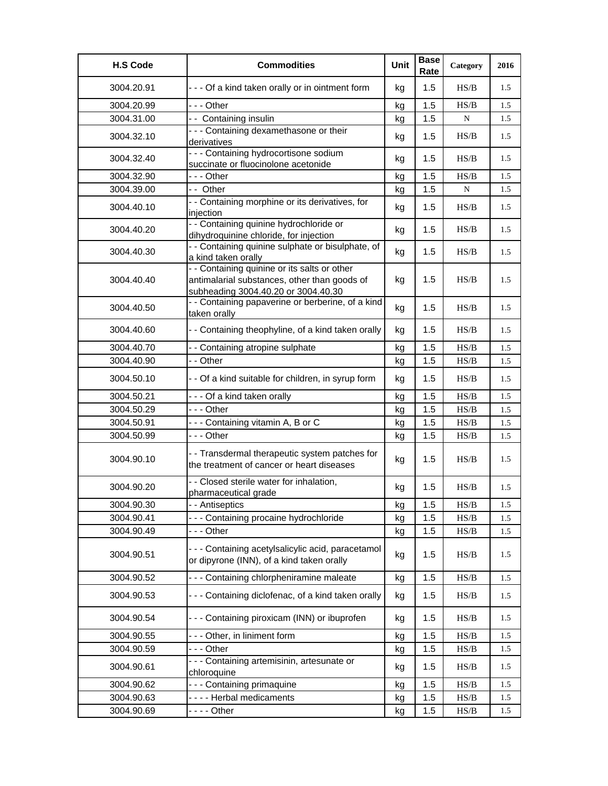| <b>H.S Code</b> | <b>Commodities</b>                                                                                                                  | Unit | <b>Base</b><br>Rate | Category                                                                               | 2016 |
|-----------------|-------------------------------------------------------------------------------------------------------------------------------------|------|---------------------|----------------------------------------------------------------------------------------|------|
| 3004.20.91      | - - - Of a kind taken orally or in ointment form                                                                                    | kg   | 1.5                 | HS/B                                                                                   | 1.5  |
| 3004.20.99      | --- Other                                                                                                                           | kg   | 1.5                 | HS/B                                                                                   | 1.5  |
| 3004.31.00      | -- Containing insulin                                                                                                               | kg   | 1.5                 | ${\bf N}$                                                                              | 1.5  |
| 3004.32.10      | - - - Containing dexamethasone or their<br>derivatives                                                                              | kg   | 1.5                 | HS/B                                                                                   | 1.5  |
| 3004.32.40      | - - - Containing hydrocortisone sodium<br>succinate or fluocinolone acetonide                                                       | kg   | 1.5                 | HS/B                                                                                   | 1.5  |
| 3004.32.90      | - - - Other                                                                                                                         | kg   | 1.5                 | HS/B                                                                                   | 1.5  |
| 3004.39.00      | -- Other                                                                                                                            | kg   | 1.5                 | ${\bf N}$                                                                              | 1.5  |
| 3004.40.10      | - - Containing morphine or its derivatives, for<br>injection                                                                        | kg   | 1.5                 | HS/B                                                                                   | 1.5  |
| 3004.40.20      | - - Containing quinine hydrochloride or<br>dihydroquinine chloride, for injection                                                   | kg   | 1.5                 | HS/B                                                                                   | 1.5  |
| 3004.40.30      | - - Containing quinine sulphate or bisulphate, of<br>a kind taken orally                                                            | kg   | 1.5                 | HS/B                                                                                   | 1.5  |
| 3004.40.40      | - - Containing quinine or its salts or other<br>antimalarial substances, other than goods of<br>subheading 3004.40.20 or 3004.40.30 | kg   | 1.5                 | HS/B                                                                                   | 1.5  |
| 3004.40.50      | - - Containing papaverine or berberine, of a kind<br>taken orally                                                                   | kg   | 1.5                 | HS/B                                                                                   | 1.5  |
| 3004.40.60      | - - Containing theophyline, of a kind taken orally                                                                                  | kg   | 1.5                 | HS/B                                                                                   | 1.5  |
| 3004.40.70      | - - Containing atropine sulphate                                                                                                    | kg   | 1.5                 | $\ensuremath{\mathbf{H}}\ensuremath{\mathbf{S}}\xspace/\ensuremath{\mathbf{B}}\xspace$ | 1.5  |
| 3004.40.90      | - - Other                                                                                                                           | kg   | 1.5                 | $\ensuremath{\mathbf{H}}\ensuremath{\mathbf{S}}\xspace/\ensuremath{\mathbf{B}}\xspace$ | 1.5  |
| 3004.50.10      | - - Of a kind suitable for children, in syrup form                                                                                  | kg   | 1.5                 | HS/B                                                                                   | 1.5  |
| 3004.50.21      | - - - Of a kind taken orally                                                                                                        | kg   | 1.5                 | $\ensuremath{\mathbf{H}}\ensuremath{\mathbf{S}}\xspace/\ensuremath{\mathbf{B}}\xspace$ | 1.5  |
| 3004.50.29      | $- -$ Other                                                                                                                         | kg   | 1.5                 | HS/B                                                                                   | 1.5  |
| 3004.50.91      | --- Containing vitamin A, B or C                                                                                                    | kg   | 1.5                 | $\ensuremath{\mathbf{H}}\ensuremath{\mathbf{S}}\xspace/\ensuremath{\mathbf{B}}\xspace$ | 1.5  |
| 3004.50.99      | --- Other                                                                                                                           | kg   | 1.5                 | HS/B                                                                                   | 1.5  |
| 3004.90.10      | - - Transdermal therapeutic system patches for<br>the treatment of cancer or heart diseases                                         | kg   | 1.5                 | HS/B                                                                                   | 1.5  |
| 3004.90.20      | - - Closed sterile water for inhalation,<br>pharmaceutical grade                                                                    | kg   | 1.5                 | HS/B                                                                                   | 1.5  |
| 3004.90.30      | - - Antiseptics                                                                                                                     | kg   | 1.5                 | $\ensuremath{\mathbf{H}}\ensuremath{\mathbf{S}}\xspace/\ensuremath{\mathbf{B}}\xspace$ | 1.5  |
| 3004.90.41      | --- Containing procaine hydrochloride                                                                                               | kg   | 1.5                 | $\ensuremath{\mathbf{H}}\ensuremath{\mathbf{S}}\xspace/\ensuremath{\mathbf{B}}\xspace$ | 1.5  |
| 3004.90.49      | --- Other                                                                                                                           | kg   | 1.5                 | HS/B                                                                                   | 1.5  |
| 3004.90.51      | - - - Containing acetylsalicylic acid, paracetamol<br>or dipyrone (INN), of a kind taken orally                                     | kg   | 1.5                 | HS/B                                                                                   | 1.5  |
| 3004.90.52      | --- Containing chlorpheniramine maleate                                                                                             | kg   | 1.5                 | HS/B                                                                                   | 1.5  |
| 3004.90.53      | --- Containing diclofenac, of a kind taken orally                                                                                   | kg   | 1.5                 | HS/B                                                                                   | 1.5  |
| 3004.90.54      | --- Containing piroxicam (INN) or ibuprofen                                                                                         | kg   | 1.5                 | HS/B                                                                                   | 1.5  |
| 3004.90.55      | - - - Other, in liniment form                                                                                                       | kg   | 1.5                 | $\ensuremath{\mathbf{H}}\ensuremath{\mathbf{S}}\xspace/\ensuremath{\mathbf{B}}\xspace$ | 1.5  |
| 3004.90.59      | --- Other                                                                                                                           | kg   | 1.5                 | HS/B                                                                                   | 1.5  |
| 3004.90.61      | - - - Containing artemisinin, artesunate or<br>chloroquine                                                                          | kg   | 1.5                 | HS/B                                                                                   | 1.5  |
| 3004.90.62      | --- Containing primaquine                                                                                                           | kg   | 1.5                 | HS/B                                                                                   | 1.5  |
| 3004.90.63      | ---- Herbal medicaments                                                                                                             | kg   | 1.5                 | HS/B                                                                                   | 1.5  |
| 3004.90.69      | $--$ Other                                                                                                                          | kg   | 1.5                 | HS/B                                                                                   | 1.5  |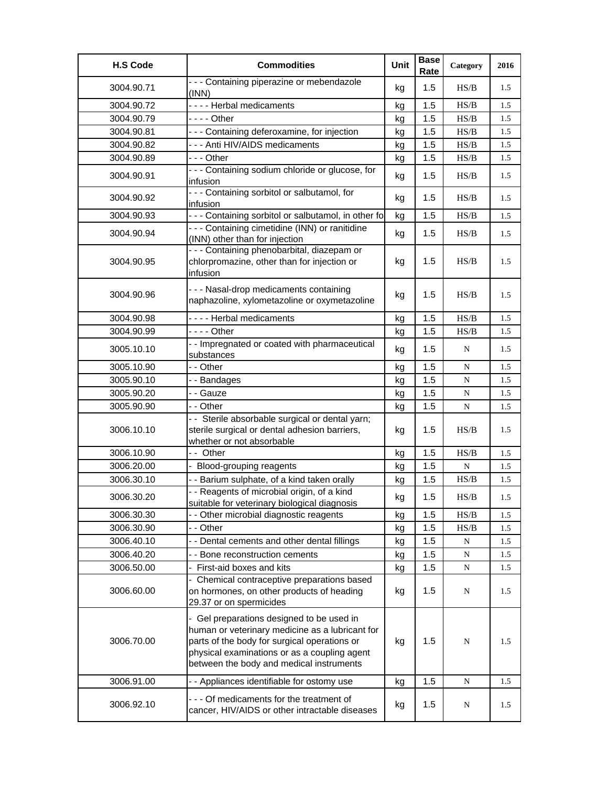| <b>H.S Code</b> | <b>Commodities</b>                                                                                                                                                                                                                       | Unit | <b>Base</b><br>Rate | Category                                                                               | 2016 |
|-----------------|------------------------------------------------------------------------------------------------------------------------------------------------------------------------------------------------------------------------------------------|------|---------------------|----------------------------------------------------------------------------------------|------|
| 3004.90.71      | - - - Containing piperazine or mebendazole<br>(INN)                                                                                                                                                                                      | kg   | 1.5                 | HS/B                                                                                   | 1.5  |
| 3004.90.72      | ---- Herbal medicaments                                                                                                                                                                                                                  | kg   | 1.5                 | HS/B                                                                                   | 1.5  |
| 3004.90.79      |                                                                                                                                                                                                                                          | kg   | 1.5                 | HS/B                                                                                   | 1.5  |
| 3004.90.81      | - - - Containing deferoxamine, for injection                                                                                                                                                                                             | kg   | 1.5                 | HS/B                                                                                   | 1.5  |
| 3004.90.82      | - - - Anti HIV/AIDS medicaments                                                                                                                                                                                                          | kg   | 1.5                 | HS/B                                                                                   | 1.5  |
| 3004.90.89      | --- Other                                                                                                                                                                                                                                | kg   | 1.5                 | HS/B                                                                                   | 1.5  |
| 3004.90.91      | - - - Containing sodium chloride or glucose, for<br>infusion                                                                                                                                                                             | kg   | 1.5                 | HS/B                                                                                   | 1.5  |
| 3004.90.92      | - - - Containing sorbitol or salbutamol, for<br>infusion                                                                                                                                                                                 | kg   | 1.5                 | HS/B                                                                                   | 1.5  |
| 3004.90.93      | - - - Containing sorbitol or salbutamol, in other fo                                                                                                                                                                                     | kg   | 1.5                 | HS/B                                                                                   | 1.5  |
| 3004.90.94      | - - - Containing cimetidine (INN) or ranitidine<br>(INN) other than for injection                                                                                                                                                        | kg   | 1.5                 | HS/B                                                                                   | 1.5  |
| 3004.90.95      | - - - Containing phenobarbital, diazepam or<br>chlorpromazine, other than for injection or<br>infusion                                                                                                                                   | kg   | 1.5                 | HS/B                                                                                   | 1.5  |
| 3004.90.96      | --- Nasal-drop medicaments containing<br>naphazoline, xylometazoline or oxymetazoline                                                                                                                                                    | kg   | 1.5                 | HS/B                                                                                   | 1.5  |
| 3004.90.98      | ---- Herbal medicaments                                                                                                                                                                                                                  | kg   | 1.5                 | HS/B                                                                                   | 1.5  |
| 3004.90.99      | $--$ Other                                                                                                                                                                                                                               | kg   | 1.5                 | HS/B                                                                                   | 1.5  |
| 3005.10.10      | - - Impregnated or coated with pharmaceutical<br>substances                                                                                                                                                                              | kg   | 1.5                 | N                                                                                      | 1.5  |
| 3005.10.90      | - - Other                                                                                                                                                                                                                                | kg   | 1.5                 | N                                                                                      | 1.5  |
| 3005.90.10      | --Bandages                                                                                                                                                                                                                               | kg   | 1.5                 | ${\bf N}$                                                                              | 1.5  |
| 3005.90.20      | - - Gauze                                                                                                                                                                                                                                | kg   | 1.5                 | ${\bf N}$                                                                              | 1.5  |
| 3005.90.90      | - - Other                                                                                                                                                                                                                                | kg   | 1.5                 | $\mathbf N$                                                                            | 1.5  |
| 3006.10.10      | - - Sterile absorbable surgical or dental yarn;<br>sterile surgical or dental adhesion barriers,<br>whether or not absorbable                                                                                                            | kg   | 1.5                 | HS/B                                                                                   | 1.5  |
| 3006.10.90      | - - Other                                                                                                                                                                                                                                | kg   | 1.5                 | HS/B                                                                                   | 1.5  |
| 3006.20.00      | - Blood-grouping reagents                                                                                                                                                                                                                | kg   | 1.5                 | ${\bf N}$                                                                              | 1.5  |
| 3006.30.10      | - - Barium sulphate, of a kind taken orally                                                                                                                                                                                              | kg   | 1.5                 | HS/B                                                                                   | 1.5  |
| 3006.30.20      | - - Reagents of microbial origin, of a kind<br>suitable for veterinary biological diagnosis                                                                                                                                              | kg   | 1.5                 | $\ensuremath{\mathbf{H}}\ensuremath{\mathbf{S}}\xspace/\ensuremath{\mathbf{B}}\xspace$ | 1.5  |
| 3006.30.30      | Other microbial diagnostic reagents                                                                                                                                                                                                      | kg   | 1.5                 | HS/B                                                                                   | 1.5  |
| 3006.30.90      | - - Other                                                                                                                                                                                                                                | kg   | 1.5                 | HS/B                                                                                   | 1.5  |
| 3006.40.10      | - - Dental cements and other dental fillings                                                                                                                                                                                             | kg   | 1.5                 | N                                                                                      | 1.5  |
| 3006.40.20      | - - Bone reconstruction cements                                                                                                                                                                                                          | kg   | 1.5                 | N                                                                                      | 1.5  |
| 3006.50.00      | First-aid boxes and kits                                                                                                                                                                                                                 | kg   | 1.5                 | N                                                                                      | 1.5  |
| 3006.60.00      | - Chemical contraceptive preparations based<br>on hormones, on other products of heading<br>29.37 or on spermicides                                                                                                                      | kg   | 1.5                 | N                                                                                      | 1.5  |
| 3006.70.00      | - Gel preparations designed to be used in<br>human or veterinary medicine as a lubricant for<br>parts of the body for surgical operations or<br>physical examinations or as a coupling agent<br>between the body and medical instruments | kg   | 1.5                 | N                                                                                      | 1.5  |
| 3006.91.00      | - - Appliances identifiable for ostomy use                                                                                                                                                                                               | kg   | 1.5                 | N                                                                                      | 1.5  |
| 3006.92.10      | - - - Of medicaments for the treatment of<br>cancer, HIV/AIDS or other intractable diseases                                                                                                                                              | kg   | 1.5                 | $\mathbf N$                                                                            | 1.5  |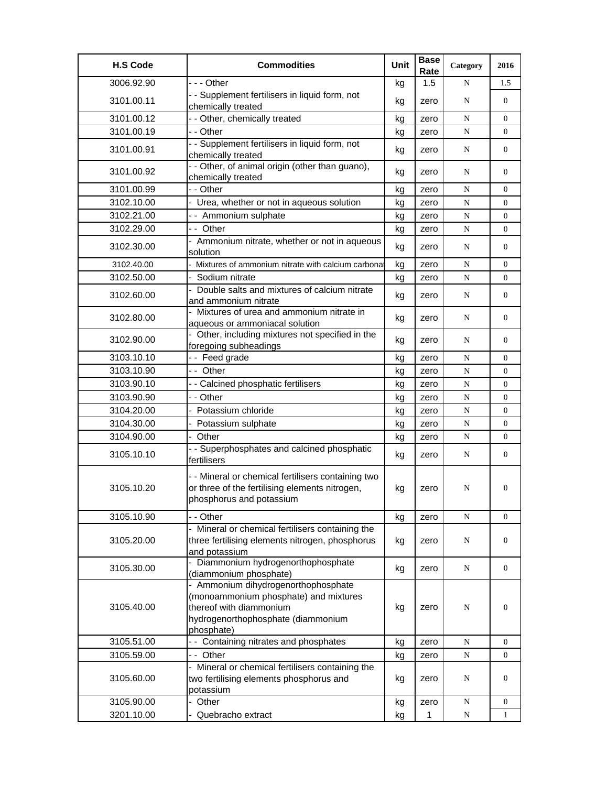| <b>H.S Code</b> | <b>Commodities</b>                                                                                                                                          | Unit | <b>Base</b><br>Rate | Category  | 2016             |
|-----------------|-------------------------------------------------------------------------------------------------------------------------------------------------------------|------|---------------------|-----------|------------------|
| 3006.92.90      | --- Other                                                                                                                                                   | kg   | 1.5                 | N         | 1.5              |
| 3101.00.11      | - - Supplement fertilisers in liquid form, not<br>chemically treated                                                                                        | kg   | zero                | N         | $\overline{0}$   |
| 3101.00.12      | - - Other, chemically treated                                                                                                                               | kg   | zero                | N         | 0                |
| 3101.00.19      | - - Other                                                                                                                                                   | kg   | zero                | N         | $\overline{0}$   |
| 3101.00.91      | - - Supplement fertilisers in liquid form, not<br>chemically treated                                                                                        | kg   | zero                | N         | $\overline{0}$   |
| 3101.00.92      | - - Other, of animal origin (other than guano),<br>chemically treated                                                                                       | kg   | zero                | N         | $\boldsymbol{0}$ |
| 3101.00.99      | - - Other                                                                                                                                                   | kg   | zero                | N         | 0                |
| 3102.10.00      | - Urea, whether or not in aqueous solution                                                                                                                  | kg   | zero                | N         | 0                |
| 3102.21.00      | - - Ammonium sulphate                                                                                                                                       | kg   | zero                | N         | 0                |
| 3102.29.00      | -- Other                                                                                                                                                    | kg   | zero                | ${\bf N}$ | $\overline{0}$   |
| 3102.30.00      | - Ammonium nitrate, whether or not in aqueous<br>solution                                                                                                   | kg   | zero                | N         | $\overline{0}$   |
| 3102.40.00      | - Mixtures of ammonium nitrate with calcium carbona                                                                                                         | kg   | zero                | N         | 0                |
| 3102.50.00      | Sodium nitrate                                                                                                                                              | kg   | zero                | N         | $\overline{0}$   |
| 3102.60.00      | - Double salts and mixtures of calcium nitrate<br>and ammonium nitrate                                                                                      | kg   | zero                | N         | $\boldsymbol{0}$ |
| 3102.80.00      | Mixtures of urea and ammonium nitrate in<br>aqueous or ammoniacal solution                                                                                  | kg   | zero                | N         | $\overline{0}$   |
| 3102.90.00      | - Other, including mixtures not specified in the<br>foregoing subheadings                                                                                   | kg   | zero                | N         | $\overline{0}$   |
| 3103.10.10      | -- Feed grade                                                                                                                                               | kg   | zero                | N         | $\overline{0}$   |
| 3103.10.90      | -- Other                                                                                                                                                    | kg   | zero                | N         | 0                |
| 3103.90.10      | - - Calcined phosphatic fertilisers                                                                                                                         | kg   | zero                | N         | 0                |
| 3103.90.90      | - - Other                                                                                                                                                   | kg   | zero                | ${\bf N}$ | $\overline{0}$   |
| 3104.20.00      | Potassium chloride                                                                                                                                          | kg   | zero                | N         | 0                |
| 3104.30.00      | Potassium sulphate                                                                                                                                          | kg   | zero                | N         | $\overline{0}$   |
| 3104.90.00      | Other                                                                                                                                                       | kg   | zero                | ${\bf N}$ | 0                |
| 3105.10.10      | - - Superphosphates and calcined phosphatic<br>fertilisers                                                                                                  | kg   | zero                | N         | 0                |
| 3105.10.20      | - - Mineral or chemical fertilisers containing two<br>or three of the fertilising elements nitrogen,<br>phosphorus and potassium                            | kg   | zero                | N         | 0                |
| 3105.10.90      | - - Other                                                                                                                                                   | kg   | zero                | N         | 0                |
| 3105.20.00      | Mineral or chemical fertilisers containing the<br>three fertilising elements nitrogen, phosphorus<br>and potassium                                          | kg   | zero                | N         | $\overline{0}$   |
| 3105.30.00      | - Diammonium hydrogenorthophosphate<br>(diammonium phosphate)                                                                                               | kg   | zero                | N         | 0                |
| 3105.40.00      | - Ammonium dihydrogenorthophosphate<br>(monoammonium phosphate) and mixtures<br>thereof with diammonium<br>hydrogenorthophosphate (diammonium<br>phosphate) | kg   | zero                | N         | $\overline{0}$   |
| 3105.51.00      | - - Containing nitrates and phosphates                                                                                                                      | kg   | zero                | ${\bf N}$ | $\overline{0}$   |
| 3105.59.00      | -- Other                                                                                                                                                    | kg   | zero                | N         | 0                |
| 3105.60.00      | - Mineral or chemical fertilisers containing the<br>two fertilising elements phosphorus and<br>potassium                                                    | kg   | zero                | N         | 0                |
| 3105.90.00      | Other                                                                                                                                                       | kg   | zero                | N         | 0                |
| 3201.10.00      | Quebracho extract                                                                                                                                           | kg   | $\mathbf{1}$        | N         | $\mathbf{1}$     |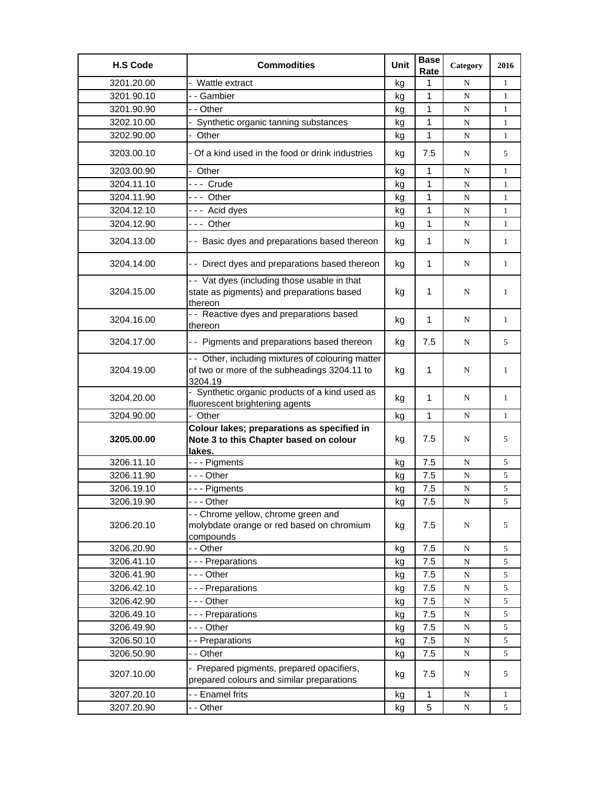| <b>H.S Code</b> | <b>Commodities</b>                                                                                           | <b>Unit</b> | <b>Base</b><br>Rate | Category    | 2016         |
|-----------------|--------------------------------------------------------------------------------------------------------------|-------------|---------------------|-------------|--------------|
| 3201.20.00      | - Wattle extract                                                                                             | kg          | 1                   | N           | 1            |
| 3201.90.10      | - - Gambier                                                                                                  | kq          | 1                   | N           | $\mathbf{1}$ |
| 3201.90.90      | - - Other                                                                                                    | kg          | 1                   | N           | 1            |
| 3202.10.00      | Synthetic organic tanning substances                                                                         | kg          | 1                   | N           | $\mathbf{1}$ |
| 3202.90.00      | - Other                                                                                                      | kg          | $\mathbf{1}$        | N           | 1            |
| 3203.00.10      | - Of a kind used in the food or drink industries                                                             | kg          | 7.5                 | N           | 5            |
| 3203.00.90      | - Other                                                                                                      | kg          | 1                   | N           | 1            |
| 3204.11.10      | --- Crude                                                                                                    | kg          | $\mathbf{1}$        | N           | 1            |
| 3204.11.90      | --- Other                                                                                                    | kg          | $\mathbf{1}$        | ${\bf N}$   | $\mathbf{1}$ |
| 3204.12.10      | --- Acid dyes                                                                                                | kg          | 1                   | N           | 1            |
| 3204.12.90      | --- Other                                                                                                    | kg          | 1                   | N           | $\mathbf{1}$ |
| 3204.13.00      | - - Basic dyes and preparations based thereon                                                                | kg          | 1                   | N           | 1            |
| 3204.14.00      | - - Direct dyes and preparations based thereon                                                               | kg          | 1                   | N           | 1            |
| 3204.15.00      | - - Vat dyes (including those usable in that<br>state as pigments) and preparations based<br>thereon         | kg          | 1                   | N           | 1            |
| 3204.16.00      | - - Reactive dyes and preparations based<br>thereon                                                          | kg          | 1                   | N           | 1            |
| 3204.17.00      | - - Pigments and preparations based thereon                                                                  | kg          | 7.5                 | N           | 5            |
| 3204.19.00      | - - Other, including mixtures of colouring matter<br>of two or more of the subheadings 3204.11 to<br>3204.19 | kg          | 1                   | N           | 1            |
| 3204.20.00      | - Synthetic organic products of a kind used as<br>fluorescent brightening agents                             | kg          | 1                   | N           | 1            |
| 3204.90.00      | - Other                                                                                                      | kg          | 1                   | N           | 1            |
| 3205.00.00      | Colour lakes; preparations as specified in<br>Note 3 to this Chapter based on colour<br>lakes.               | kg          | 7.5                 | N           | 5            |
| 3206.11.10      | --- Pigments                                                                                                 | kg          | 7.5                 | N           | 5            |
| 3206.11.90      | --- Other                                                                                                    | kg          | 7.5                 | N           | 5            |
| 3206.19.10      | --- Pigments                                                                                                 | kg          | 7.5                 | N           | 5            |
| 3206.19.90      | -  - - Other                                                                                                 | kg          | 7.5                 | N           | 5            |
| 3206.20.10      | - - Chrome yellow, chrome green and<br>molybdate orange or red based on chromium<br>compounds                | kg          | 7.5                 | N           | 5            |
| 3206.20.90      | - - Other                                                                                                    | kg          | 7.5                 | N           | 5            |
| 3206.41.10      | --- Preparations                                                                                             | kg          | 7.5                 | N           | 5            |
| 3206.41.90      | --- Other                                                                                                    | kg          | 7.5                 | N           | 5            |
| 3206.42.10      | --- Preparations                                                                                             | kg          | 7.5                 | $\mathbf N$ | 5            |
| 3206.42.90      | --- Other                                                                                                    | kg          | 7.5                 | ${\bf N}$   | 5            |
| 3206.49.10      | --- Preparations                                                                                             | kg          | 7.5                 | ${\bf N}$   | 5            |
| 3206.49.90      | - - - Other                                                                                                  | kg          | 7.5                 | N           | 5            |
| 3206.50.10      | - - Preparations                                                                                             | kg          | 7.5                 | N           | 5            |
| 3206.50.90      | - - Other                                                                                                    | kg          | 7.5                 | ${\bf N}$   | 5            |
| 3207.10.00      | - Prepared pigments, prepared opacifiers,<br>prepared colours and similar preparations                       | kg          | 7.5                 | N           | 5            |
| 3207.20.10      | - - Enamel frits                                                                                             | kg          | 1                   | ${\bf N}$   | $\mathbf{1}$ |
| 3207.20.90      | - - Other                                                                                                    | kg          | 5                   | ${\bf N}$   | 5            |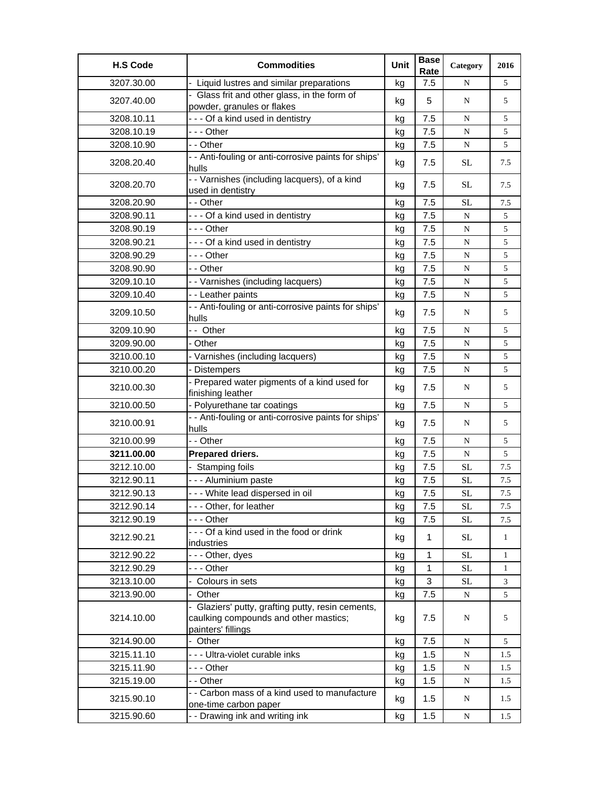| - Liquid lustres and similar preparations<br>3207.30.00<br>7.5<br>5<br>kg<br>N<br>- Glass frit and other glass, in the form of<br>3207.40.00<br>5<br>N<br>5<br>kg<br>powder, granules or flakes<br>--- Of a kind used in dentistry<br>7.5<br>3208.10.11<br>kg<br>N<br>5<br>3208.10.19<br>--- Other<br>7.5<br>5<br>N<br>kg<br>3208.10.90<br>- - Other<br>7.5<br>5<br>${\bf N}$<br>kg<br>- - Anti-fouling or anti-corrosive paints for ships'<br>3208.20.40<br>7.5<br>SL<br>7.5<br>kg<br>hulls<br>- - Varnishes (including lacquers), of a kind<br>SL<br>3208.20.70<br>7.5<br>kg<br>7.5<br>used in dentistry<br>- - Other<br>3208.20.90<br>7.5<br>SL<br>kg<br>7.5<br>3208.90.11<br>--- Of a kind used in dentistry<br>7.5<br>${\bf N}$<br>5<br>kg<br>3208.90.19<br>- - - Other<br>7.5<br>5<br>${\bf N}$<br>kg<br>3208.90.21<br>--- Of a kind used in dentistry<br>7.5<br>${\bf N}$<br>5<br>kg<br>3208.90.29<br>--- Other<br>7.5<br>N<br>5<br>kg<br>7.5<br>3208.90.90<br>- - Other<br>5<br>${\bf N}$<br>kg<br>5<br>3209.10.10<br>- - Varnishes (including lacquers)<br>7.5<br>${\bf N}$<br>kg<br>3209.10.40<br>- - Leather paints<br>7.5<br>kg<br>N<br>5<br>- - Anti-fouling or anti-corrosive paints for ships'<br>3209.10.50<br>7.5<br>5<br>kg<br>N<br>hulls<br>-- Other<br>3209.10.90<br>7.5<br>5<br>kg<br>${\bf N}$<br>3209.90.00<br>- Other<br>7.5<br>${\bf N}$<br>5<br>kg<br>7.5<br>3210.00.10<br>- Varnishes (including lacquers)<br>5<br>N<br>kg<br>7.5<br>5<br>3210.00.20<br>- Distempers<br>${\bf N}$<br>kg<br>- Prepared water pigments of a kind used for<br>3210.00.30<br>7.5<br>N<br>5<br>kg<br>finishing leather<br>- Polyurethane tar coatings<br>7.5<br>3210.00.50<br>kg<br>N<br>5<br>- - Anti-fouling or anti-corrosive paints for ships'<br>3210.00.91<br>7.5<br>5<br>N<br>kg<br>hulls<br>- - Other<br>3210.00.99<br>7.5<br>N<br>5<br>kg<br>3211.00.00<br>Prepared driers.<br>7.5<br>5<br>${\bf N}$<br>kg<br>- Stamping foils<br>3212.10.00<br>7.5<br><b>SL</b><br>7.5<br>kg<br>-- - Aluminium paste<br>3212.90.11<br>7.5<br>$\rm SL$<br>kg<br>7.5<br>--- White lead dispersed in oil<br>3212.90.13<br>7.5<br>SL<br>7.5<br>kg<br>--- Other, for leather<br>7.5<br>3212.90.14<br><b>SL</b><br>7.5<br>kg<br>--- Other<br>3212.90.19<br>7.5<br><b>SL</b><br>7.5<br>kg<br>--- Of a kind used in the food or drink<br>3212.90.21<br>$\mathbf{1}$<br><b>SL</b><br>kg<br>$\mathbf{1}$<br>industries<br>1<br>3212.90.22<br>- - - Other, dyes<br><b>SL</b><br>$\mathbf{1}$<br>kg<br>3212.90.29<br>--- Other<br><b>SL</b><br>1<br>kg<br>1<br>3213.10.00<br>- Colours in sets<br>3<br>SL<br>kg<br>3<br>3213.90.00<br>7.5<br>- Other<br>N<br>5<br>kg<br>- Glaziers' putty, grafting putty, resin cements,<br>3214.10.00<br>caulking compounds and other mastics;<br>7.5<br>N<br>5<br>kg<br>painters' fillings<br>3214.90.00<br>7.5<br>5<br>- Other<br>${\bf N}$<br>kg<br>- - - Ultra-violet curable inks<br>3215.11.10<br>1.5<br>${\bf N}$<br>kg<br>1.5<br>3215.11.90<br>--- Other<br>1.5<br>${\bf N}$<br>kg<br>1.5<br>3215.19.00<br>- - Other<br>1.5<br>kg<br>N<br>1.5<br>- - Carbon mass of a kind used to manufacture<br>3215.90.10<br>1.5<br>kg<br>N<br>1.5<br>one-time carbon paper | <b>H.S Code</b> | <b>Commodities</b>              | Unit | <b>Base</b><br>Rate | Category | 2016 |
|----------------------------------------------------------------------------------------------------------------------------------------------------------------------------------------------------------------------------------------------------------------------------------------------------------------------------------------------------------------------------------------------------------------------------------------------------------------------------------------------------------------------------------------------------------------------------------------------------------------------------------------------------------------------------------------------------------------------------------------------------------------------------------------------------------------------------------------------------------------------------------------------------------------------------------------------------------------------------------------------------------------------------------------------------------------------------------------------------------------------------------------------------------------------------------------------------------------------------------------------------------------------------------------------------------------------------------------------------------------------------------------------------------------------------------------------------------------------------------------------------------------------------------------------------------------------------------------------------------------------------------------------------------------------------------------------------------------------------------------------------------------------------------------------------------------------------------------------------------------------------------------------------------------------------------------------------------------------------------------------------------------------------------------------------------------------------------------------------------------------------------------------------------------------------------------------------------------------------------------------------------------------------------------------------------------------------------------------------------------------------------------------------------------------------------------------------------------------------------------------------------------------------------------------------------------------------------------------------------------------------------------------------------------------------------------------------------------------------------------------------------------------------------------------------------------------------------------------------------------------------------------------------------------------------------------------------------------------------------------------------------------------------------------------------------------------------------------------------------------------------------------------------------------------------------------------|-----------------|---------------------------------|------|---------------------|----------|------|
|                                                                                                                                                                                                                                                                                                                                                                                                                                                                                                                                                                                                                                                                                                                                                                                                                                                                                                                                                                                                                                                                                                                                                                                                                                                                                                                                                                                                                                                                                                                                                                                                                                                                                                                                                                                                                                                                                                                                                                                                                                                                                                                                                                                                                                                                                                                                                                                                                                                                                                                                                                                                                                                                                                                                                                                                                                                                                                                                                                                                                                                                                                                                                                                              |                 |                                 |      |                     |          |      |
|                                                                                                                                                                                                                                                                                                                                                                                                                                                                                                                                                                                                                                                                                                                                                                                                                                                                                                                                                                                                                                                                                                                                                                                                                                                                                                                                                                                                                                                                                                                                                                                                                                                                                                                                                                                                                                                                                                                                                                                                                                                                                                                                                                                                                                                                                                                                                                                                                                                                                                                                                                                                                                                                                                                                                                                                                                                                                                                                                                                                                                                                                                                                                                                              |                 |                                 |      |                     |          |      |
|                                                                                                                                                                                                                                                                                                                                                                                                                                                                                                                                                                                                                                                                                                                                                                                                                                                                                                                                                                                                                                                                                                                                                                                                                                                                                                                                                                                                                                                                                                                                                                                                                                                                                                                                                                                                                                                                                                                                                                                                                                                                                                                                                                                                                                                                                                                                                                                                                                                                                                                                                                                                                                                                                                                                                                                                                                                                                                                                                                                                                                                                                                                                                                                              |                 |                                 |      |                     |          |      |
|                                                                                                                                                                                                                                                                                                                                                                                                                                                                                                                                                                                                                                                                                                                                                                                                                                                                                                                                                                                                                                                                                                                                                                                                                                                                                                                                                                                                                                                                                                                                                                                                                                                                                                                                                                                                                                                                                                                                                                                                                                                                                                                                                                                                                                                                                                                                                                                                                                                                                                                                                                                                                                                                                                                                                                                                                                                                                                                                                                                                                                                                                                                                                                                              |                 |                                 |      |                     |          |      |
|                                                                                                                                                                                                                                                                                                                                                                                                                                                                                                                                                                                                                                                                                                                                                                                                                                                                                                                                                                                                                                                                                                                                                                                                                                                                                                                                                                                                                                                                                                                                                                                                                                                                                                                                                                                                                                                                                                                                                                                                                                                                                                                                                                                                                                                                                                                                                                                                                                                                                                                                                                                                                                                                                                                                                                                                                                                                                                                                                                                                                                                                                                                                                                                              |                 |                                 |      |                     |          |      |
|                                                                                                                                                                                                                                                                                                                                                                                                                                                                                                                                                                                                                                                                                                                                                                                                                                                                                                                                                                                                                                                                                                                                                                                                                                                                                                                                                                                                                                                                                                                                                                                                                                                                                                                                                                                                                                                                                                                                                                                                                                                                                                                                                                                                                                                                                                                                                                                                                                                                                                                                                                                                                                                                                                                                                                                                                                                                                                                                                                                                                                                                                                                                                                                              |                 |                                 |      |                     |          |      |
|                                                                                                                                                                                                                                                                                                                                                                                                                                                                                                                                                                                                                                                                                                                                                                                                                                                                                                                                                                                                                                                                                                                                                                                                                                                                                                                                                                                                                                                                                                                                                                                                                                                                                                                                                                                                                                                                                                                                                                                                                                                                                                                                                                                                                                                                                                                                                                                                                                                                                                                                                                                                                                                                                                                                                                                                                                                                                                                                                                                                                                                                                                                                                                                              |                 |                                 |      |                     |          |      |
|                                                                                                                                                                                                                                                                                                                                                                                                                                                                                                                                                                                                                                                                                                                                                                                                                                                                                                                                                                                                                                                                                                                                                                                                                                                                                                                                                                                                                                                                                                                                                                                                                                                                                                                                                                                                                                                                                                                                                                                                                                                                                                                                                                                                                                                                                                                                                                                                                                                                                                                                                                                                                                                                                                                                                                                                                                                                                                                                                                                                                                                                                                                                                                                              |                 |                                 |      |                     |          |      |
|                                                                                                                                                                                                                                                                                                                                                                                                                                                                                                                                                                                                                                                                                                                                                                                                                                                                                                                                                                                                                                                                                                                                                                                                                                                                                                                                                                                                                                                                                                                                                                                                                                                                                                                                                                                                                                                                                                                                                                                                                                                                                                                                                                                                                                                                                                                                                                                                                                                                                                                                                                                                                                                                                                                                                                                                                                                                                                                                                                                                                                                                                                                                                                                              |                 |                                 |      |                     |          |      |
|                                                                                                                                                                                                                                                                                                                                                                                                                                                                                                                                                                                                                                                                                                                                                                                                                                                                                                                                                                                                                                                                                                                                                                                                                                                                                                                                                                                                                                                                                                                                                                                                                                                                                                                                                                                                                                                                                                                                                                                                                                                                                                                                                                                                                                                                                                                                                                                                                                                                                                                                                                                                                                                                                                                                                                                                                                                                                                                                                                                                                                                                                                                                                                                              |                 |                                 |      |                     |          |      |
|                                                                                                                                                                                                                                                                                                                                                                                                                                                                                                                                                                                                                                                                                                                                                                                                                                                                                                                                                                                                                                                                                                                                                                                                                                                                                                                                                                                                                                                                                                                                                                                                                                                                                                                                                                                                                                                                                                                                                                                                                                                                                                                                                                                                                                                                                                                                                                                                                                                                                                                                                                                                                                                                                                                                                                                                                                                                                                                                                                                                                                                                                                                                                                                              |                 |                                 |      |                     |          |      |
|                                                                                                                                                                                                                                                                                                                                                                                                                                                                                                                                                                                                                                                                                                                                                                                                                                                                                                                                                                                                                                                                                                                                                                                                                                                                                                                                                                                                                                                                                                                                                                                                                                                                                                                                                                                                                                                                                                                                                                                                                                                                                                                                                                                                                                                                                                                                                                                                                                                                                                                                                                                                                                                                                                                                                                                                                                                                                                                                                                                                                                                                                                                                                                                              |                 |                                 |      |                     |          |      |
|                                                                                                                                                                                                                                                                                                                                                                                                                                                                                                                                                                                                                                                                                                                                                                                                                                                                                                                                                                                                                                                                                                                                                                                                                                                                                                                                                                                                                                                                                                                                                                                                                                                                                                                                                                                                                                                                                                                                                                                                                                                                                                                                                                                                                                                                                                                                                                                                                                                                                                                                                                                                                                                                                                                                                                                                                                                                                                                                                                                                                                                                                                                                                                                              |                 |                                 |      |                     |          |      |
|                                                                                                                                                                                                                                                                                                                                                                                                                                                                                                                                                                                                                                                                                                                                                                                                                                                                                                                                                                                                                                                                                                                                                                                                                                                                                                                                                                                                                                                                                                                                                                                                                                                                                                                                                                                                                                                                                                                                                                                                                                                                                                                                                                                                                                                                                                                                                                                                                                                                                                                                                                                                                                                                                                                                                                                                                                                                                                                                                                                                                                                                                                                                                                                              |                 |                                 |      |                     |          |      |
|                                                                                                                                                                                                                                                                                                                                                                                                                                                                                                                                                                                                                                                                                                                                                                                                                                                                                                                                                                                                                                                                                                                                                                                                                                                                                                                                                                                                                                                                                                                                                                                                                                                                                                                                                                                                                                                                                                                                                                                                                                                                                                                                                                                                                                                                                                                                                                                                                                                                                                                                                                                                                                                                                                                                                                                                                                                                                                                                                                                                                                                                                                                                                                                              |                 |                                 |      |                     |          |      |
|                                                                                                                                                                                                                                                                                                                                                                                                                                                                                                                                                                                                                                                                                                                                                                                                                                                                                                                                                                                                                                                                                                                                                                                                                                                                                                                                                                                                                                                                                                                                                                                                                                                                                                                                                                                                                                                                                                                                                                                                                                                                                                                                                                                                                                                                                                                                                                                                                                                                                                                                                                                                                                                                                                                                                                                                                                                                                                                                                                                                                                                                                                                                                                                              |                 |                                 |      |                     |          |      |
|                                                                                                                                                                                                                                                                                                                                                                                                                                                                                                                                                                                                                                                                                                                                                                                                                                                                                                                                                                                                                                                                                                                                                                                                                                                                                                                                                                                                                                                                                                                                                                                                                                                                                                                                                                                                                                                                                                                                                                                                                                                                                                                                                                                                                                                                                                                                                                                                                                                                                                                                                                                                                                                                                                                                                                                                                                                                                                                                                                                                                                                                                                                                                                                              |                 |                                 |      |                     |          |      |
|                                                                                                                                                                                                                                                                                                                                                                                                                                                                                                                                                                                                                                                                                                                                                                                                                                                                                                                                                                                                                                                                                                                                                                                                                                                                                                                                                                                                                                                                                                                                                                                                                                                                                                                                                                                                                                                                                                                                                                                                                                                                                                                                                                                                                                                                                                                                                                                                                                                                                                                                                                                                                                                                                                                                                                                                                                                                                                                                                                                                                                                                                                                                                                                              |                 |                                 |      |                     |          |      |
|                                                                                                                                                                                                                                                                                                                                                                                                                                                                                                                                                                                                                                                                                                                                                                                                                                                                                                                                                                                                                                                                                                                                                                                                                                                                                                                                                                                                                                                                                                                                                                                                                                                                                                                                                                                                                                                                                                                                                                                                                                                                                                                                                                                                                                                                                                                                                                                                                                                                                                                                                                                                                                                                                                                                                                                                                                                                                                                                                                                                                                                                                                                                                                                              |                 |                                 |      |                     |          |      |
|                                                                                                                                                                                                                                                                                                                                                                                                                                                                                                                                                                                                                                                                                                                                                                                                                                                                                                                                                                                                                                                                                                                                                                                                                                                                                                                                                                                                                                                                                                                                                                                                                                                                                                                                                                                                                                                                                                                                                                                                                                                                                                                                                                                                                                                                                                                                                                                                                                                                                                                                                                                                                                                                                                                                                                                                                                                                                                                                                                                                                                                                                                                                                                                              |                 |                                 |      |                     |          |      |
|                                                                                                                                                                                                                                                                                                                                                                                                                                                                                                                                                                                                                                                                                                                                                                                                                                                                                                                                                                                                                                                                                                                                                                                                                                                                                                                                                                                                                                                                                                                                                                                                                                                                                                                                                                                                                                                                                                                                                                                                                                                                                                                                                                                                                                                                                                                                                                                                                                                                                                                                                                                                                                                                                                                                                                                                                                                                                                                                                                                                                                                                                                                                                                                              |                 |                                 |      |                     |          |      |
|                                                                                                                                                                                                                                                                                                                                                                                                                                                                                                                                                                                                                                                                                                                                                                                                                                                                                                                                                                                                                                                                                                                                                                                                                                                                                                                                                                                                                                                                                                                                                                                                                                                                                                                                                                                                                                                                                                                                                                                                                                                                                                                                                                                                                                                                                                                                                                                                                                                                                                                                                                                                                                                                                                                                                                                                                                                                                                                                                                                                                                                                                                                                                                                              |                 |                                 |      |                     |          |      |
|                                                                                                                                                                                                                                                                                                                                                                                                                                                                                                                                                                                                                                                                                                                                                                                                                                                                                                                                                                                                                                                                                                                                                                                                                                                                                                                                                                                                                                                                                                                                                                                                                                                                                                                                                                                                                                                                                                                                                                                                                                                                                                                                                                                                                                                                                                                                                                                                                                                                                                                                                                                                                                                                                                                                                                                                                                                                                                                                                                                                                                                                                                                                                                                              |                 |                                 |      |                     |          |      |
|                                                                                                                                                                                                                                                                                                                                                                                                                                                                                                                                                                                                                                                                                                                                                                                                                                                                                                                                                                                                                                                                                                                                                                                                                                                                                                                                                                                                                                                                                                                                                                                                                                                                                                                                                                                                                                                                                                                                                                                                                                                                                                                                                                                                                                                                                                                                                                                                                                                                                                                                                                                                                                                                                                                                                                                                                                                                                                                                                                                                                                                                                                                                                                                              |                 |                                 |      |                     |          |      |
|                                                                                                                                                                                                                                                                                                                                                                                                                                                                                                                                                                                                                                                                                                                                                                                                                                                                                                                                                                                                                                                                                                                                                                                                                                                                                                                                                                                                                                                                                                                                                                                                                                                                                                                                                                                                                                                                                                                                                                                                                                                                                                                                                                                                                                                                                                                                                                                                                                                                                                                                                                                                                                                                                                                                                                                                                                                                                                                                                                                                                                                                                                                                                                                              |                 |                                 |      |                     |          |      |
|                                                                                                                                                                                                                                                                                                                                                                                                                                                                                                                                                                                                                                                                                                                                                                                                                                                                                                                                                                                                                                                                                                                                                                                                                                                                                                                                                                                                                                                                                                                                                                                                                                                                                                                                                                                                                                                                                                                                                                                                                                                                                                                                                                                                                                                                                                                                                                                                                                                                                                                                                                                                                                                                                                                                                                                                                                                                                                                                                                                                                                                                                                                                                                                              |                 |                                 |      |                     |          |      |
|                                                                                                                                                                                                                                                                                                                                                                                                                                                                                                                                                                                                                                                                                                                                                                                                                                                                                                                                                                                                                                                                                                                                                                                                                                                                                                                                                                                                                                                                                                                                                                                                                                                                                                                                                                                                                                                                                                                                                                                                                                                                                                                                                                                                                                                                                                                                                                                                                                                                                                                                                                                                                                                                                                                                                                                                                                                                                                                                                                                                                                                                                                                                                                                              |                 |                                 |      |                     |          |      |
|                                                                                                                                                                                                                                                                                                                                                                                                                                                                                                                                                                                                                                                                                                                                                                                                                                                                                                                                                                                                                                                                                                                                                                                                                                                                                                                                                                                                                                                                                                                                                                                                                                                                                                                                                                                                                                                                                                                                                                                                                                                                                                                                                                                                                                                                                                                                                                                                                                                                                                                                                                                                                                                                                                                                                                                                                                                                                                                                                                                                                                                                                                                                                                                              |                 |                                 |      |                     |          |      |
|                                                                                                                                                                                                                                                                                                                                                                                                                                                                                                                                                                                                                                                                                                                                                                                                                                                                                                                                                                                                                                                                                                                                                                                                                                                                                                                                                                                                                                                                                                                                                                                                                                                                                                                                                                                                                                                                                                                                                                                                                                                                                                                                                                                                                                                                                                                                                                                                                                                                                                                                                                                                                                                                                                                                                                                                                                                                                                                                                                                                                                                                                                                                                                                              |                 |                                 |      |                     |          |      |
|                                                                                                                                                                                                                                                                                                                                                                                                                                                                                                                                                                                                                                                                                                                                                                                                                                                                                                                                                                                                                                                                                                                                                                                                                                                                                                                                                                                                                                                                                                                                                                                                                                                                                                                                                                                                                                                                                                                                                                                                                                                                                                                                                                                                                                                                                                                                                                                                                                                                                                                                                                                                                                                                                                                                                                                                                                                                                                                                                                                                                                                                                                                                                                                              |                 |                                 |      |                     |          |      |
|                                                                                                                                                                                                                                                                                                                                                                                                                                                                                                                                                                                                                                                                                                                                                                                                                                                                                                                                                                                                                                                                                                                                                                                                                                                                                                                                                                                                                                                                                                                                                                                                                                                                                                                                                                                                                                                                                                                                                                                                                                                                                                                                                                                                                                                                                                                                                                                                                                                                                                                                                                                                                                                                                                                                                                                                                                                                                                                                                                                                                                                                                                                                                                                              |                 |                                 |      |                     |          |      |
|                                                                                                                                                                                                                                                                                                                                                                                                                                                                                                                                                                                                                                                                                                                                                                                                                                                                                                                                                                                                                                                                                                                                                                                                                                                                                                                                                                                                                                                                                                                                                                                                                                                                                                                                                                                                                                                                                                                                                                                                                                                                                                                                                                                                                                                                                                                                                                                                                                                                                                                                                                                                                                                                                                                                                                                                                                                                                                                                                                                                                                                                                                                                                                                              |                 |                                 |      |                     |          |      |
|                                                                                                                                                                                                                                                                                                                                                                                                                                                                                                                                                                                                                                                                                                                                                                                                                                                                                                                                                                                                                                                                                                                                                                                                                                                                                                                                                                                                                                                                                                                                                                                                                                                                                                                                                                                                                                                                                                                                                                                                                                                                                                                                                                                                                                                                                                                                                                                                                                                                                                                                                                                                                                                                                                                                                                                                                                                                                                                                                                                                                                                                                                                                                                                              |                 |                                 |      |                     |          |      |
|                                                                                                                                                                                                                                                                                                                                                                                                                                                                                                                                                                                                                                                                                                                                                                                                                                                                                                                                                                                                                                                                                                                                                                                                                                                                                                                                                                                                                                                                                                                                                                                                                                                                                                                                                                                                                                                                                                                                                                                                                                                                                                                                                                                                                                                                                                                                                                                                                                                                                                                                                                                                                                                                                                                                                                                                                                                                                                                                                                                                                                                                                                                                                                                              |                 |                                 |      |                     |          |      |
|                                                                                                                                                                                                                                                                                                                                                                                                                                                                                                                                                                                                                                                                                                                                                                                                                                                                                                                                                                                                                                                                                                                                                                                                                                                                                                                                                                                                                                                                                                                                                                                                                                                                                                                                                                                                                                                                                                                                                                                                                                                                                                                                                                                                                                                                                                                                                                                                                                                                                                                                                                                                                                                                                                                                                                                                                                                                                                                                                                                                                                                                                                                                                                                              |                 |                                 |      |                     |          |      |
|                                                                                                                                                                                                                                                                                                                                                                                                                                                                                                                                                                                                                                                                                                                                                                                                                                                                                                                                                                                                                                                                                                                                                                                                                                                                                                                                                                                                                                                                                                                                                                                                                                                                                                                                                                                                                                                                                                                                                                                                                                                                                                                                                                                                                                                                                                                                                                                                                                                                                                                                                                                                                                                                                                                                                                                                                                                                                                                                                                                                                                                                                                                                                                                              |                 |                                 |      |                     |          |      |
|                                                                                                                                                                                                                                                                                                                                                                                                                                                                                                                                                                                                                                                                                                                                                                                                                                                                                                                                                                                                                                                                                                                                                                                                                                                                                                                                                                                                                                                                                                                                                                                                                                                                                                                                                                                                                                                                                                                                                                                                                                                                                                                                                                                                                                                                                                                                                                                                                                                                                                                                                                                                                                                                                                                                                                                                                                                                                                                                                                                                                                                                                                                                                                                              |                 |                                 |      |                     |          |      |
|                                                                                                                                                                                                                                                                                                                                                                                                                                                                                                                                                                                                                                                                                                                                                                                                                                                                                                                                                                                                                                                                                                                                                                                                                                                                                                                                                                                                                                                                                                                                                                                                                                                                                                                                                                                                                                                                                                                                                                                                                                                                                                                                                                                                                                                                                                                                                                                                                                                                                                                                                                                                                                                                                                                                                                                                                                                                                                                                                                                                                                                                                                                                                                                              |                 |                                 |      |                     |          |      |
|                                                                                                                                                                                                                                                                                                                                                                                                                                                                                                                                                                                                                                                                                                                                                                                                                                                                                                                                                                                                                                                                                                                                                                                                                                                                                                                                                                                                                                                                                                                                                                                                                                                                                                                                                                                                                                                                                                                                                                                                                                                                                                                                                                                                                                                                                                                                                                                                                                                                                                                                                                                                                                                                                                                                                                                                                                                                                                                                                                                                                                                                                                                                                                                              |                 |                                 |      |                     |          |      |
|                                                                                                                                                                                                                                                                                                                                                                                                                                                                                                                                                                                                                                                                                                                                                                                                                                                                                                                                                                                                                                                                                                                                                                                                                                                                                                                                                                                                                                                                                                                                                                                                                                                                                                                                                                                                                                                                                                                                                                                                                                                                                                                                                                                                                                                                                                                                                                                                                                                                                                                                                                                                                                                                                                                                                                                                                                                                                                                                                                                                                                                                                                                                                                                              |                 |                                 |      |                     |          |      |
|                                                                                                                                                                                                                                                                                                                                                                                                                                                                                                                                                                                                                                                                                                                                                                                                                                                                                                                                                                                                                                                                                                                                                                                                                                                                                                                                                                                                                                                                                                                                                                                                                                                                                                                                                                                                                                                                                                                                                                                                                                                                                                                                                                                                                                                                                                                                                                                                                                                                                                                                                                                                                                                                                                                                                                                                                                                                                                                                                                                                                                                                                                                                                                                              |                 |                                 |      |                     |          |      |
|                                                                                                                                                                                                                                                                                                                                                                                                                                                                                                                                                                                                                                                                                                                                                                                                                                                                                                                                                                                                                                                                                                                                                                                                                                                                                                                                                                                                                                                                                                                                                                                                                                                                                                                                                                                                                                                                                                                                                                                                                                                                                                                                                                                                                                                                                                                                                                                                                                                                                                                                                                                                                                                                                                                                                                                                                                                                                                                                                                                                                                                                                                                                                                                              | 3215.90.60      | - - Drawing ink and writing ink | kg   | 1.5                 | N        | 1.5  |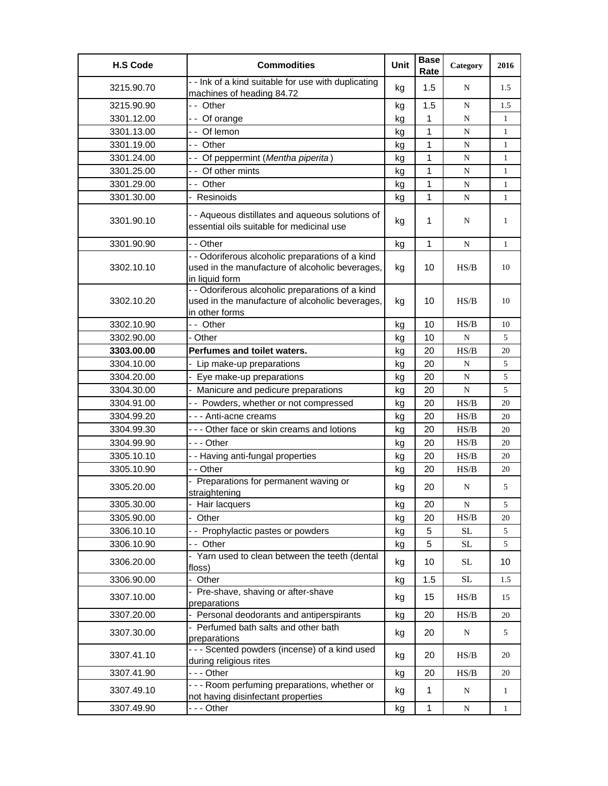| <b>H.S Code</b> | <b>Commodities</b>                                                                                                    | Unit | <b>Base</b><br>Rate | Category                                                                               | 2016         |
|-----------------|-----------------------------------------------------------------------------------------------------------------------|------|---------------------|----------------------------------------------------------------------------------------|--------------|
| 3215.90.70      | - - Ink of a kind suitable for use with duplicating<br>machines of heading 84.72                                      | kg   | 1.5                 | N                                                                                      | 1.5          |
| 3215.90.90      | -- Other                                                                                                              | kg   | 1.5                 | N                                                                                      | 1.5          |
| 3301.12.00      | -- Of orange                                                                                                          | kg   | 1                   | N                                                                                      | $\mathbf{1}$ |
| 3301.13.00      | -- Of lemon                                                                                                           | kg   | $\mathbf{1}$        | ${\bf N}$                                                                              | $\mathbf{1}$ |
| 3301.19.00      | -- Other                                                                                                              | kg   | 1                   | N                                                                                      | $\mathbf{1}$ |
| 3301.24.00      | - - Of peppermint (Mentha piperita)                                                                                   | kg   | 1                   | N                                                                                      | $\mathbf{1}$ |
| 3301.25.00      | - - Of other mints                                                                                                    | kg   | 1                   | N                                                                                      | $\mathbf{1}$ |
| 3301.29.00      | - - Other                                                                                                             | kg   | 1                   | N                                                                                      | 1            |
| 3301.30.00      | - Resinoids                                                                                                           | kg   | 1                   | ${\bf N}$                                                                              | 1            |
| 3301.90.10      | - - Aqueous distillates and aqueous solutions of<br>essential oils suitable for medicinal use                         | kg   | 1                   | N                                                                                      | 1            |
| 3301.90.90      | - - Other                                                                                                             | kg   | $\mathbf{1}$        | N                                                                                      | $\mathbf{1}$ |
| 3302.10.10      | - - Odoriferous alcoholic preparations of a kind<br>used in the manufacture of alcoholic beverages,<br>in liquid form | kg   | 10                  | HS/B                                                                                   | 10           |
| 3302.10.20      | - - Odoriferous alcoholic preparations of a kind<br>used in the manufacture of alcoholic beverages,<br>in other forms | kg   | 10                  | HS/B                                                                                   | 10           |
| 3302.10.90      | -- Other                                                                                                              | kg   | 10                  | HS/B                                                                                   | 10           |
| 3302.90.00      | - Other                                                                                                               | kg   | 10                  | N                                                                                      | 5            |
| 3303.00.00      | Perfumes and toilet waters.                                                                                           | kg   | 20                  | HS/B                                                                                   | 20           |
| 3304.10.00      | - Lip make-up preparations                                                                                            | kg   | 20                  | $\mathbf N$                                                                            | 5            |
| 3304.20.00      | - Eye make-up preparations                                                                                            | kg   | 20                  | N                                                                                      | 5            |
| 3304.30.00      | - Manicure and pedicure preparations                                                                                  | kg   | 20                  | ${\bf N}$                                                                              | 5            |
| 3304.91.00      | -- Powders, whether or not compressed                                                                                 | kg   | 20                  | HS/B                                                                                   | 20           |
| 3304.99.20      | - - - Anti-acne creams                                                                                                | kg   | 20                  | HS/B                                                                                   | 20           |
| 3304.99.30      | --- Other face or skin creams and lotions                                                                             | kg   | 20                  | HS/B                                                                                   | 20           |
| 3304.99.90      | - - - Other                                                                                                           | kg   | 20                  | HS/B                                                                                   | 20           |
| 3305.10.10      | - - Having anti-fungal properties                                                                                     | kg   | 20                  | $\ensuremath{\mathbf{H}}\ensuremath{\mathbf{S}}\xspace/\ensuremath{\mathbf{B}}\xspace$ | 20           |
| 3305.10.90      | - - Other                                                                                                             | kg   | 20                  | HS/B                                                                                   | 20           |
| 3305.20.00      | - Preparations for permanent waving or<br>straightening                                                               | kg   | 20                  | N                                                                                      | 5            |
| 3305.30.00      | - Hair lacquers                                                                                                       | kg   | 20                  | $\mathbf N$                                                                            | 5            |
| 3305.90.00      | - Other                                                                                                               | kg   | 20                  | HS/B                                                                                   | 20           |
| 3306.10.10      | - - Prophylactic pastes or powders                                                                                    | kg   | 5                   | $\rm SL$                                                                               | 5            |
| 3306.10.90      | -- Other                                                                                                              | kg   | 5                   | <b>SL</b>                                                                              | 5            |
| 3306.20.00      | - Yarn used to clean between the teeth (dental<br>floss)                                                              | kg   | 10                  | $\operatorname{SL}$                                                                    | 10           |
| 3306.90.00      | Other                                                                                                                 | kg   | 1.5                 | <b>SL</b>                                                                              | 1.5          |
| 3307.10.00      | - Pre-shave, shaving or after-shave<br>preparations                                                                   | kg   | 15                  | HS/B                                                                                   | 15           |
| 3307.20.00      | - Personal deodorants and antiperspirants                                                                             | kg   | 20                  | HS/B                                                                                   | 20           |
| 3307.30.00      | - Perfumed bath salts and other bath<br>preparations                                                                  | kg   | 20                  | N                                                                                      | 5            |
| 3307.41.10      | - - - Scented powders (incense) of a kind used<br>during religious rites                                              | kg   | 20                  | HS/B                                                                                   | 20           |
| 3307.41.90      | --- Other                                                                                                             | kg   | 20                  | HS/B                                                                                   | 20           |
| 3307.49.10      | - - - Room perfuming preparations, whether or<br>not having disinfectant properties                                   | kg   | $\mathbf{1}$        | N                                                                                      | $\mathbf{1}$ |
| 3307.49.90      | --- Other                                                                                                             | kg   | 1                   | N                                                                                      | $\mathbf{1}$ |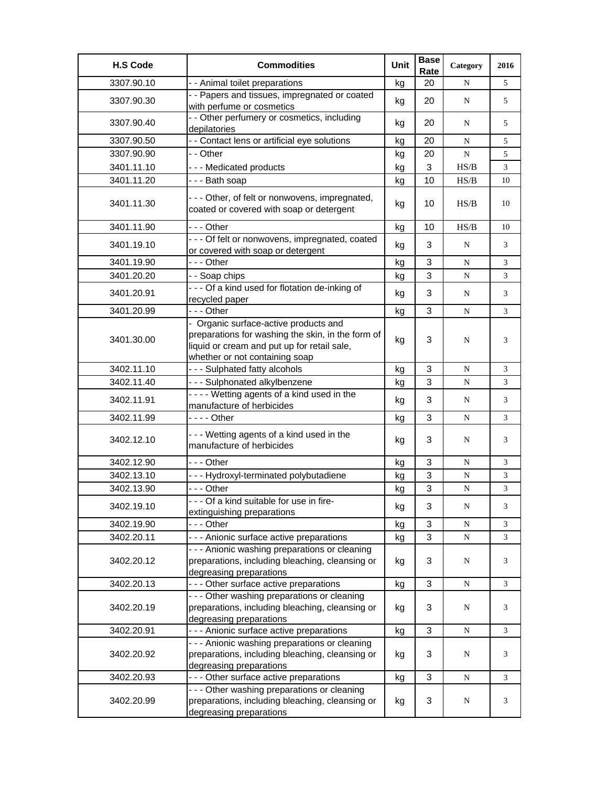| <b>H.S Code</b> | <b>Commodities</b>                                                                                                                                                          | Unit | <b>Base</b><br>Rate | Category  | 2016           |
|-----------------|-----------------------------------------------------------------------------------------------------------------------------------------------------------------------------|------|---------------------|-----------|----------------|
| 3307.90.10      | - - Animal toilet preparations                                                                                                                                              | kg   | 20                  | N         | 5              |
| 3307.90.30      | - - Papers and tissues, impregnated or coated<br>with perfume or cosmetics                                                                                                  | kg   | 20                  | N         | 5              |
| 3307.90.40      | - - Other perfumery or cosmetics, including<br>depilatories                                                                                                                 | kg   | 20                  | N         | 5              |
| 3307.90.50      | - - Contact lens or artificial eye solutions                                                                                                                                | kg   | 20                  | N         | 5              |
| 3307.90.90      | - - Other                                                                                                                                                                   | kg   | 20                  | N         | 5              |
| 3401.11.10      | --- Medicated products                                                                                                                                                      | kg   | 3                   | HS/B      | $\mathfrak{Z}$ |
| 3401.11.20      | - - - Bath soap                                                                                                                                                             | kg   | 10                  | HS/B      | 10             |
| 3401.11.30      | --- Other, of felt or nonwovens, impregnated,<br>coated or covered with soap or detergent                                                                                   | kg   | 10                  | HS/B      | 10             |
| 3401.11.90      | --- Other                                                                                                                                                                   | kg   | 10                  | HS/B      | 10             |
| 3401.19.10      | - - - Of felt or nonwovens, impregnated, coated<br>or covered with soap or detergent                                                                                        | kg   | 3                   | N         | 3              |
| 3401.19.90      | - - - Other                                                                                                                                                                 | kg   | 3                   | N         | $\overline{3}$ |
| 3401.20.20      | - - Soap chips                                                                                                                                                              | kg   | 3                   | ${\bf N}$ | 3              |
| 3401.20.91      | --- Of a kind used for flotation de-inking of<br>recycled paper                                                                                                             | kg   | 3                   | N         | 3              |
| 3401.20.99      | --- Other                                                                                                                                                                   | kg   | 3                   | N         | 3              |
| 3401.30.00      | - Organic surface-active products and<br>preparations for washing the skin, in the form of<br>liquid or cream and put up for retail sale,<br>whether or not containing soap | kg   | 3                   | N         | 3              |
| 3402.11.10      | --- Sulphated fatty alcohols                                                                                                                                                | kg   | 3                   | N         | 3              |
| 3402.11.40      | --- Sulphonated alkylbenzene                                                                                                                                                | kg   | 3                   | N         | 3              |
| 3402.11.91      | ---- Wetting agents of a kind used in the<br>manufacture of herbicides                                                                                                      | kg   | 3                   | N         | 3              |
| 3402.11.99      | - - - - Other                                                                                                                                                               | kg   | 3                   | N         | 3              |
| 3402.12.10      | --- Wetting agents of a kind used in the<br>manufacture of herbicides                                                                                                       | kg   | 3                   | N         | 3              |
| 3402.12.90      | $- -$ Other                                                                                                                                                                 | kg   | 3                   | N         | 3              |
| 3402.13.10      | --- Hydroxyl-terminated polybutadiene                                                                                                                                       | kg   | 3                   | N         | 3              |
| 3402.13.90      | --- Other                                                                                                                                                                   | kg   | 3                   | ${\bf N}$ | 3              |
| 3402.19.10      | --- Of a kind suitable for use in fire-<br>extinguishing preparations                                                                                                       | kg   | 3                   | N         | 3              |
| 3402.19.90      | - - - Other                                                                                                                                                                 | kg   | 3                   | N         | 3              |
| 3402.20.11      | --- Anionic surface active preparations                                                                                                                                     | kg   | 3                   | N         | 3              |
| 3402.20.12      | - - - Anionic washing preparations or cleaning<br>preparations, including bleaching, cleansing or<br>degreasing preparations                                                | kg   | 3                   | N         | 3              |
| 3402.20.13      | --- Other surface active preparations                                                                                                                                       | kg   | 3                   | N         | 3              |
| 3402.20.19      | - - - Other washing preparations or cleaning<br>preparations, including bleaching, cleansing or<br>degreasing preparations                                                  | kg   | 3                   | N         | 3              |
| 3402.20.91      | - - - Anionic surface active preparations                                                                                                                                   | kg   | 3                   | ${\bf N}$ | 3              |
| 3402.20.92      | - - - Anionic washing preparations or cleaning<br>preparations, including bleaching, cleansing or<br>degreasing preparations                                                | kg   | 3                   | N         | 3              |
| 3402.20.93      | --- Other surface active preparations                                                                                                                                       | kg   | 3                   | N         | 3              |
| 3402.20.99      | --- Other washing preparations or cleaning<br>preparations, including bleaching, cleansing or<br>degreasing preparations                                                    | kg   | 3                   | N         | 3              |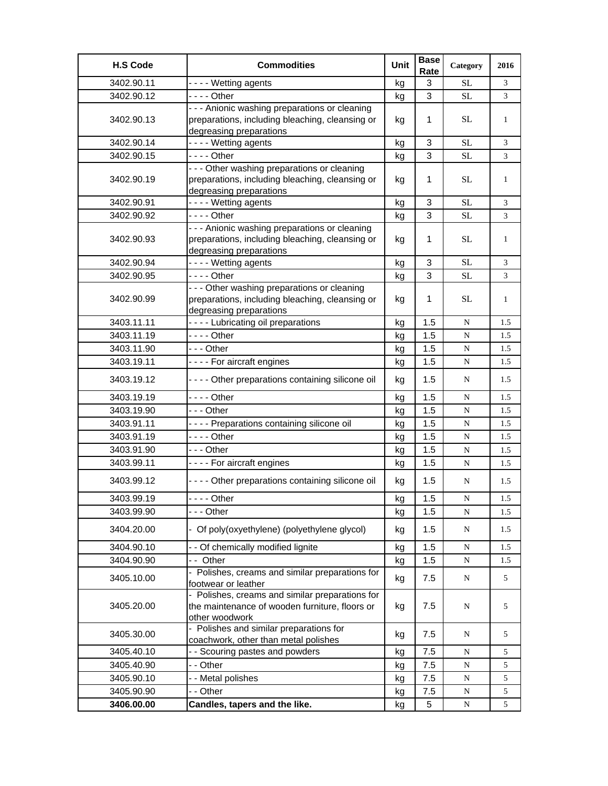| <b>H.S Code</b> | <b>Commodities</b>                                                                                                           | Unit | <b>Base</b><br>Rate | Category  | 2016    |
|-----------------|------------------------------------------------------------------------------------------------------------------------------|------|---------------------|-----------|---------|
| 3402.90.11      | - - - - Wetting agents                                                                                                       | kg   | 3                   | <b>SL</b> | 3       |
| 3402.90.12      | - - - - Other                                                                                                                | kg   | 3                   | <b>SL</b> | 3       |
| 3402.90.13      | - - - Anionic washing preparations or cleaning<br>preparations, including bleaching, cleansing or                            | kg   | 1                   | <b>SL</b> | 1       |
|                 | degreasing preparations                                                                                                      |      |                     |           |         |
| 3402.90.14      | - - - - Wetting agents                                                                                                       | kg   | 3                   | SL        | 3       |
| 3402.90.15      | - - - - Other                                                                                                                | kg   | $\mathbf{3}$        | SL        | 3       |
| 3402.90.19      | - - - Other washing preparations or cleaning<br>preparations, including bleaching, cleansing or<br>degreasing preparations   | kg   | 1                   | SL        | 1       |
| 3402.90.91      | ---- Wetting agents                                                                                                          | kg   | 3                   | SL        | 3       |
| 3402.90.92      | - - - - Other                                                                                                                | kg   | 3                   | SL        | 3       |
| 3402.90.93      | - - - Anionic washing preparations or cleaning<br>preparations, including bleaching, cleansing or<br>degreasing preparations | kg   | 1                   | <b>SL</b> | 1       |
| 3402.90.94      | ---- Wetting agents                                                                                                          | kg   | 3                   | SL        | 3       |
| 3402.90.95      | - - - - Other                                                                                                                | kg   | 3                   | SL        | 3       |
| 3402.90.99      | - - - Other washing preparations or cleaning<br>preparations, including bleaching, cleansing or<br>degreasing preparations   | kg   | 1                   | <b>SL</b> | 1       |
| 3403.11.11      | ---- Lubricating oil preparations                                                                                            | kg   | 1.5                 | N         | 1.5     |
| 3403.11.19      |                                                                                                                              | kg   | 1.5                 | N         | 1.5     |
| 3403.11.90      | - - - Other                                                                                                                  | kg   | 1.5                 | ${\bf N}$ | 1.5     |
| 3403.19.11      | ---- For aircraft engines                                                                                                    | kg   | 1.5                 | ${\bf N}$ | 1.5     |
| 3403.19.12      | - - - - Other preparations containing silicone oil                                                                           | kg   | 1.5                 | N         | 1.5     |
| 3403.19.19      | - - - - Other                                                                                                                | kg   | 1.5                 | N         | 1.5     |
| 3403.19.90      | - - - Other                                                                                                                  | kg   | 1.5                 | ${\bf N}$ | 1.5     |
| 3403.91.11      | - - - - Preparations containing silicone oil                                                                                 | kg   | 1.5                 | ${\bf N}$ | 1.5     |
| 3403.91.19      | - - - - Other                                                                                                                | kg   | 1.5                 | N         | 1.5     |
| 3403.91.90      | $- -$ Other                                                                                                                  | kg   | 1.5                 | N         | 1.5     |
| 3403.99.11      | - - - - For aircraft engines                                                                                                 | kg   | 1.5                 | N         | 1.5     |
| 3403.99.12      | - - - - Other preparations containing silicone oil                                                                           | kg   | 1.5                 | N         | 1.5     |
| 3403.99.19      | Other                                                                                                                        | kg   | 1.5                 | ${\bf N}$ | $1.5\,$ |
| 3403.99.90      | - - - Other                                                                                                                  | kg   | 1.5                 | N         | 1.5     |
| 3404.20.00      | - Of poly(oxyethylene) (polyethylene glycol)                                                                                 | kg   | 1.5                 | ${\bf N}$ | 1.5     |
| 3404.90.10      | - - Of chemically modified lignite                                                                                           | kg   | 1.5                 | ${\bf N}$ | 1.5     |
| 3404.90.90      | -- Other                                                                                                                     | kg   | 1.5                 | ${\bf N}$ | 1.5     |
| 3405.10.00      | - Polishes, creams and similar preparations for<br>footwear or leather                                                       | kg   | 7.5                 | ${\bf N}$ | 5       |
| 3405.20.00      | Polishes, creams and similar preparations for<br>the maintenance of wooden furniture, floors or<br>other woodwork            | kg   | 7.5                 | N         | 5       |
| 3405.30.00      | - Polishes and similar preparations for<br>coachwork, other than metal polishes                                              | kg   | 7.5                 | N         | 5       |
| 3405.40.10      | - - Scouring pastes and powders                                                                                              | kg   | 7.5                 | N         | 5       |
| 3405.40.90      | - - Other                                                                                                                    | kg   | 7.5                 | ${\bf N}$ | 5       |
| 3405.90.10      | - - Metal polishes                                                                                                           | kg   | 7.5                 | ${\bf N}$ | 5       |
| 3405.90.90      | - - Other                                                                                                                    | kg   | 7.5                 | ${\bf N}$ | 5       |
| 3406.00.00      | Candles, tapers and the like.                                                                                                | kg   | 5                   | N         | 5       |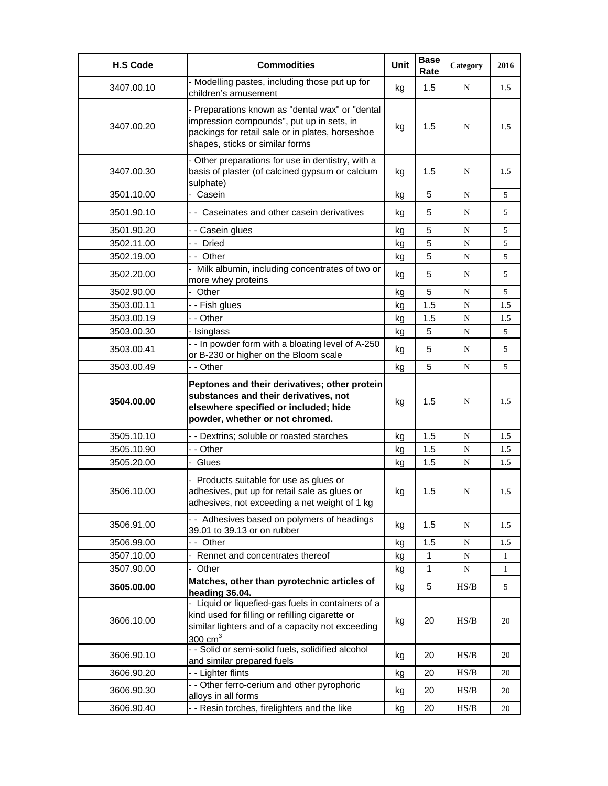| <b>H.S Code</b> | <b>Commodities</b>                                                                                                                                                                  | <b>Unit</b> | <b>Base</b><br>Rate | Category  | 2016         |
|-----------------|-------------------------------------------------------------------------------------------------------------------------------------------------------------------------------------|-------------|---------------------|-----------|--------------|
| 3407.00.10      | - Modelling pastes, including those put up for<br>children's amusement                                                                                                              | kg          | 1.5                 | N         | 1.5          |
| 3407.00.20      | - Preparations known as "dental wax" or "dental<br>impression compounds", put up in sets, in<br>packings for retail sale or in plates, horseshoe<br>shapes, sticks or similar forms | kg          | 1.5                 | N         | 1.5          |
| 3407.00.30      | - Other preparations for use in dentistry, with a<br>basis of plaster (of calcined gypsum or calcium<br>sulphate)                                                                   | kg          | 1.5                 | N         | 1.5          |
| 3501.10.00      | - Casein                                                                                                                                                                            | kg          | 5                   | N         | 5            |
| 3501.90.10      | - - Caseinates and other casein derivatives                                                                                                                                         | kg          | 5                   | N         | 5            |
| 3501.90.20      | - - Casein glues                                                                                                                                                                    | kg          | 5                   | N         | 5            |
| 3502.11.00      | -- Dried                                                                                                                                                                            | kg          | 5                   | N         | 5            |
| 3502.19.00      | -- Other                                                                                                                                                                            | kg          | 5                   | N         | 5            |
| 3502.20.00      | - Milk albumin, including concentrates of two or<br>more whey proteins                                                                                                              | kg          | 5                   | N         | 5            |
| 3502.90.00      | - Other                                                                                                                                                                             | kg          | 5                   | N         | 5            |
| 3503.00.11      | - - Fish glues                                                                                                                                                                      | kg          | 1.5                 | N         | 1.5          |
| 3503.00.19      | - - Other                                                                                                                                                                           | kg          | 1.5                 | N         | 1.5          |
| 3503.00.30      | - Isinglass                                                                                                                                                                         | kg          | 5                   | N         | 5            |
| 3503.00.41      | - - In powder form with a bloating level of A-250<br>or B-230 or higher on the Bloom scale                                                                                          | kg          | 5                   | N         | 5            |
| 3503.00.49      | - - Other                                                                                                                                                                           | kg          | 5                   | N         | 5            |
| 3504.00.00      | Peptones and their derivatives; other protein<br>substances and their derivatives, not<br>elsewhere specified or included; hide<br>powder, whether or not chromed.                  | kg          | 1.5                 | N         | 1.5          |
| 3505.10.10      | - - Dextrins; soluble or roasted starches                                                                                                                                           | kg          | 1.5                 | N         | 1.5          |
| 3505.10.90      | - - Other                                                                                                                                                                           | kg          | 1.5                 | N         | 1.5          |
| 3505.20.00      | - Glues                                                                                                                                                                             | kg          | 1.5                 | N         | 1.5          |
| 3506.10.00      | - Products suitable for use as glues or<br>adhesives, put up for retail sale as glues or<br>adhesives, not exceeding a net weight of 1 kg                                           | kg          | 1.5                 | N         | 1.5          |
| 3506.91.00      | - - Adhesives based on polymers of headings<br>39.01 to 39.13 or on rubber                                                                                                          | kg          | 1.5                 | N         | 1.5          |
| 3506.99.00      | - - Other                                                                                                                                                                           | kg          | 1.5                 | N         | 1.5          |
| 3507.10.00      | - Rennet and concentrates thereof                                                                                                                                                   | kg          | 1                   | ${\bf N}$ | $\mathbf{1}$ |
| 3507.90.00      | - Other                                                                                                                                                                             | kg          | $\mathbf{1}$        | N         | $\mathbf{1}$ |
| 3605.00.00      | Matches, other than pyrotechnic articles of<br>heading 36.04.                                                                                                                       | kg          | 5                   | HS/B      | 5            |
| 3606.10.00      | - Liquid or liquefied-gas fuels in containers of a<br>kind used for filling or refilling cigarette or<br>similar lighters and of a capacity not exceeding<br>300 $cm3$              | kg          | 20                  | HS/B      | 20           |
| 3606.90.10      | - - Solid or semi-solid fuels, solidified alcohol<br>and similar prepared fuels                                                                                                     | kg          | 20                  | HS/B      | 20           |
| 3606.90.20      | - - Lighter flints                                                                                                                                                                  | kg          | 20                  | HS/B      | 20           |
| 3606.90.30      | - - Other ferro-cerium and other pyrophoric<br>alloys in all forms                                                                                                                  | kg          | 20                  | HS/B      | 20           |
| 3606.90.40      | - - Resin torches, firelighters and the like                                                                                                                                        | kg          | 20                  | HS/B      | 20           |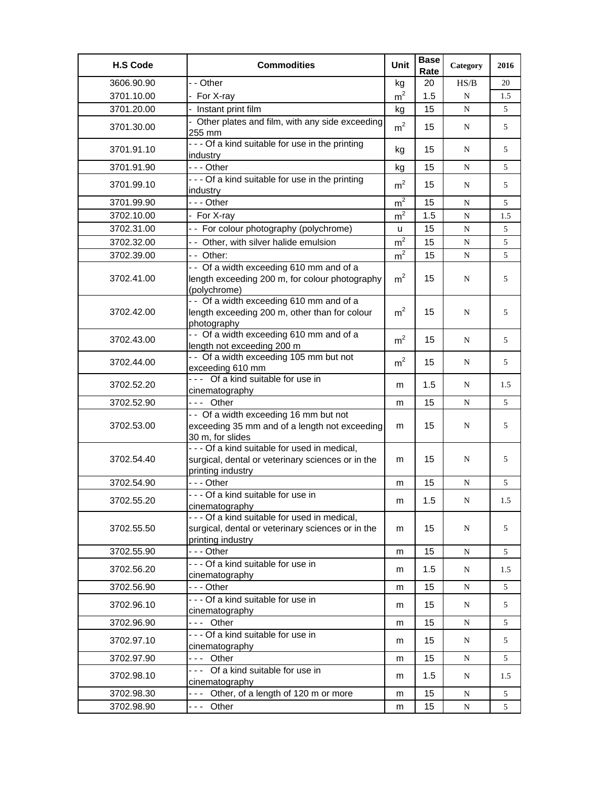| <b>H.S Code</b> | <b>Commodities</b>                                                                                                                        | Unit           | <b>Base</b><br>Rate | Category  | 2016 |
|-----------------|-------------------------------------------------------------------------------------------------------------------------------------------|----------------|---------------------|-----------|------|
| 3606.90.90      | - - Other                                                                                                                                 | kg             | 20                  | HS/B      | 20   |
| 3701.10.00      | - For X-ray                                                                                                                               | m <sup>2</sup> | 1.5                 | N         | 1.5  |
| 3701.20.00      | - Instant print film                                                                                                                      | kg             | 15                  | N         | 5    |
| 3701.30.00      | - Other plates and film, with any side exceeding<br>255 mm                                                                                | m <sup>2</sup> | 15                  | N         | 5    |
| 3701.91.10      | --- Of a kind suitable for use in the printing<br>industry                                                                                | kg             | 15                  | N         | 5    |
| 3701.91.90      | --- Other                                                                                                                                 | kg             | 15                  | N         | 5    |
| 3701.99.10      | --- Of a kind suitable for use in the printing<br>industry                                                                                | m <sup>2</sup> | 15                  | N         | 5    |
| 3701.99.90      | --- Other                                                                                                                                 | m <sup>2</sup> | 15                  | N         | 5    |
| 3702.10.00      | - For X-ray                                                                                                                               | m <sup>2</sup> | 1.5                 | ${\bf N}$ | 1.5  |
| 3702.31.00      | -- For colour photography (polychrome)                                                                                                    | u              | 15                  | N         | 5    |
| 3702.32.00      | - - Other, with silver halide emulsion                                                                                                    | m <sup>2</sup> | 15                  | ${\bf N}$ | 5    |
| 3702.39.00      | -- Other:                                                                                                                                 | m <sup>2</sup> | 15                  | N         | 5    |
| 3702.41.00      | -- Of a width exceeding 610 mm and of a<br>length exceeding 200 m, for colour photography<br>(polychrome)                                 | m <sup>2</sup> | 15                  | N         | 5    |
| 3702.42.00      | -- Of a width exceeding 610 mm and of a<br>length exceeding 200 m, other than for colour<br>photography                                   | m <sup>2</sup> | 15                  | N         | 5    |
| 3702.43.00      | -- Of a width exceeding 610 mm and of a<br>length not exceeding 200 m                                                                     | m <sup>2</sup> | 15                  | N         | 5    |
| 3702.44.00      | - - Of a width exceeding 105 mm but not<br>exceeding 610 mm                                                                               | m <sup>2</sup> | 15                  | N         | 5    |
| 3702.52.20      | --- Of a kind suitable for use in<br>cinematography                                                                                       | m              | 1.5                 | N         | 1.5  |
| 3702.52.90      | --- Other                                                                                                                                 | m              | 15                  | N         | 5    |
| 3702.53.00      | -- Of a width exceeding 16 mm but not<br>exceeding 35 mm and of a length not exceeding<br>30 m, for slides                                | m              | 15                  | N         | 5    |
| 3702.54.40      | - - - Of a kind suitable for used in medical,<br>surgical, dental or veterinary sciences or in the<br>printing industry                   | m              | 15                  | N         | 5    |
| 3702.54.90      | --- Other                                                                                                                                 | m              | 15                  | N         | 5    |
| 3702.55.20      | --- Of a kind suitable for use in                                                                                                         | m              | 1.5                 | ${\bf N}$ | L.5  |
| 3702.55.50      | cinematography<br>- - - Of a kind suitable for used in medical,<br>surgical, dental or veterinary sciences or in the<br>printing industry | m              | 15                  | N         | 5    |
| 3702.55.90      | --- Other                                                                                                                                 | m              | 15                  | ${\bf N}$ | 5    |
| 3702.56.20      | - - - Of a kind suitable for use in<br>cinematography                                                                                     | m              | 1.5                 | ${\bf N}$ | 1.5  |
| 3702.56.90      | --- Other                                                                                                                                 | m              | 15                  | ${\bf N}$ | 5    |
| 3702.96.10      | - - - Of a kind suitable for use in<br>cinematography                                                                                     | m              | 15                  | N         | 5    |
| 3702.96.90      | --- Other                                                                                                                                 | m              | 15                  | N         | 5    |
| 3702.97.10      | - - - Of a kind suitable for use in<br>cinematography                                                                                     | m              | 15                  | N         | 5    |
| 3702.97.90      | --- Other                                                                                                                                 | m              | 15                  | ${\bf N}$ | 5    |
| 3702.98.10      | --- Of a kind suitable for use in<br>cinematography                                                                                       | m              | 1.5                 | N         | 1.5  |
| 3702.98.30      | --- Other, of a length of 120 m or more                                                                                                   | m              | 15                  | ${\bf N}$ | 5    |
| 3702.98.90      | --- Other                                                                                                                                 | m              | 15                  | ${\bf N}$ | 5    |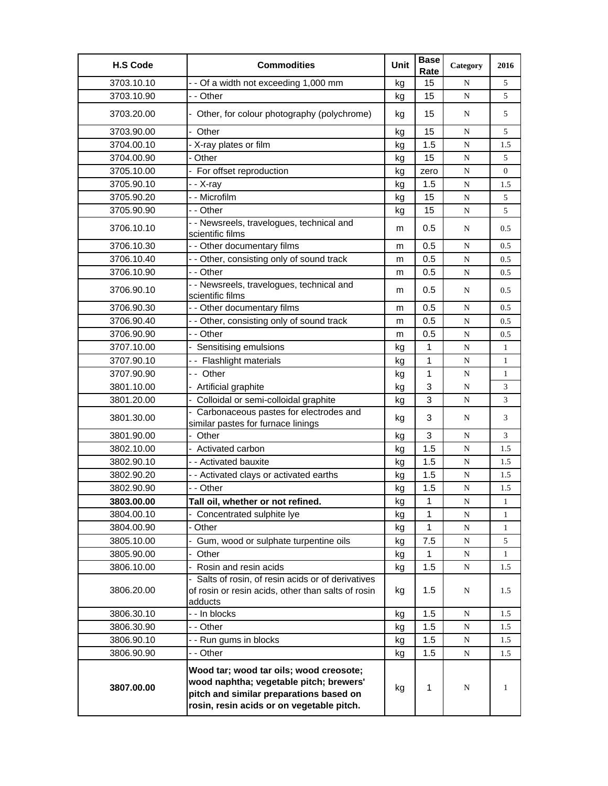| <b>H.S Code</b> | <b>Commodities</b>                                                                                                                                                         | Unit | <b>Base</b><br>Rate | Category    | 2016         |
|-----------------|----------------------------------------------------------------------------------------------------------------------------------------------------------------------------|------|---------------------|-------------|--------------|
| 3703.10.10      | - - Of a width not exceeding 1,000 mm                                                                                                                                      | kg   | 15                  | N           | 5            |
| 3703.10.90      | - - Other                                                                                                                                                                  | kg   | 15                  | N           | 5            |
| 3703.20.00      | - Other, for colour photography (polychrome)                                                                                                                               | kg   | 15                  | N           | 5            |
| 3703.90.00      | - Other                                                                                                                                                                    | kg   | 15                  | N           | 5            |
| 3704.00.10      | - X-ray plates or film                                                                                                                                                     | kg   | 1.5                 | N           | 1.5          |
| 3704.00.90      | - Other                                                                                                                                                                    | kg   | 15                  | ${\bf N}$   | 5            |
| 3705.10.00      | - For offset reproduction                                                                                                                                                  | kg   | zero                | ${\bf N}$   | $\mathbf{0}$ |
| 3705.90.10      | - - X-rav                                                                                                                                                                  | kg   | 1.5                 | N           | 1.5          |
| 3705.90.20      | - - Microfilm                                                                                                                                                              | kg   | 15                  | N           | 5            |
| 3705.90.90      | - - Other                                                                                                                                                                  | kg   | 15                  | ${\bf N}$   | 5            |
| 3706.10.10      | - - Newsreels, travelogues, technical and<br>scientific films                                                                                                              | m    | 0.5                 | N           | 0.5          |
| 3706.10.30      | - - Other documentary films                                                                                                                                                | m    | 0.5                 | N           | 0.5          |
| 3706.10.40      | - - Other, consisting only of sound track                                                                                                                                  | m    | 0.5                 | ${\bf N}$   | 0.5          |
| 3706.10.90      | - - Other                                                                                                                                                                  | m    | 0.5                 | N           | 0.5          |
| 3706.90.10      | - - Newsreels, travelogues, technical and<br>scientific films                                                                                                              | m    | 0.5                 | N           | 0.5          |
| 3706.90.30      | - - Other documentary films                                                                                                                                                | m    | 0.5                 | N           | 0.5          |
| 3706.90.40      | - - Other, consisting only of sound track                                                                                                                                  | m    | 0.5                 | ${\bf N}$   | 0.5          |
| 3706.90.90      | - - Other                                                                                                                                                                  | m    | 0.5                 | N           | 0.5          |
| 3707.10.00      | - Sensitising emulsions                                                                                                                                                    | kg   | 1                   | N           | $\mathbf{1}$ |
| 3707.90.10      | -- Flashlight materials                                                                                                                                                    | kg   | 1                   | ${\bf N}$   | $\mathbf{1}$ |
| 3707.90.90      | -- Other                                                                                                                                                                   | kg   | 1                   | N           | $\mathbf{1}$ |
| 3801.10.00      | Artificial graphite                                                                                                                                                        | kg   | 3                   | N           | 3            |
| 3801.20.00      | - Colloidal or semi-colloidal graphite                                                                                                                                     | kg   | 3                   | ${\bf N}$   | 3            |
| 3801.30.00      | - Carbonaceous pastes for electrodes and<br>similar pastes for furnace linings                                                                                             | kg   | 3                   | N           | 3            |
| 3801.90.00      | - Other                                                                                                                                                                    | kg   | 3                   | N           | 3            |
| 3802.10.00      | Activated carbon                                                                                                                                                           | kg   | 1.5                 | ${\bf N}$   | 1.5          |
| 3802.90.10      | - - Activated bauxite                                                                                                                                                      | kg   | 1.5                 | ${\bf N}$   | 1.5          |
| 3802.90.20      | - - Activated clays or activated earths                                                                                                                                    | kg   | 1.5                 | $\mathbf N$ | 1.5          |
| 3802.90.90      | - - Other                                                                                                                                                                  | kg   | 1.5                 | ${\bf N}$   | 1.5          |
| 3803.00.00      | Tall oil, whether or not refined.                                                                                                                                          | ĸg   | 1                   | N           | 1            |
| 3804.00.10      | Concentrated sulphite lye                                                                                                                                                  | kg   | 1                   | N           | $\mathbf{1}$ |
| 3804.00.90      | - Other                                                                                                                                                                    | kg   | 1                   | N           | 1            |
| 3805.10.00      | Gum, wood or sulphate turpentine oils                                                                                                                                      | kg   | 7.5                 | N           | 5            |
| 3805.90.00      | Other                                                                                                                                                                      | kg   | 1                   | ${\bf N}$   | $\mathbf{1}$ |
| 3806.10.00      | Rosin and resin acids                                                                                                                                                      | kg   | 1.5                 | $\mathbf N$ | 1.5          |
| 3806.20.00      | Salts of rosin, of resin acids or of derivatives<br>of rosin or resin acids, other than salts of rosin<br>adducts                                                          | kg   | 1.5                 | N           | 1.5          |
| 3806.30.10      | - - In blocks                                                                                                                                                              | kg   | 1.5                 | N           | 1.5          |
| 3806.30.90      | - - Other                                                                                                                                                                  | kg   | 1.5                 | N           | 1.5          |
| 3806.90.10      | - - Run gums in blocks                                                                                                                                                     | kg   | 1.5                 | N           | 1.5          |
| 3806.90.90      | - - Other                                                                                                                                                                  | kg   | 1.5                 | N           | 1.5          |
| 3807.00.00      | Wood tar; wood tar oils; wood creosote;<br>wood naphtha; vegetable pitch; brewers'<br>pitch and similar preparations based on<br>rosin, resin acids or on vegetable pitch. | kg   | $\mathbf 1$         | N           | 1            |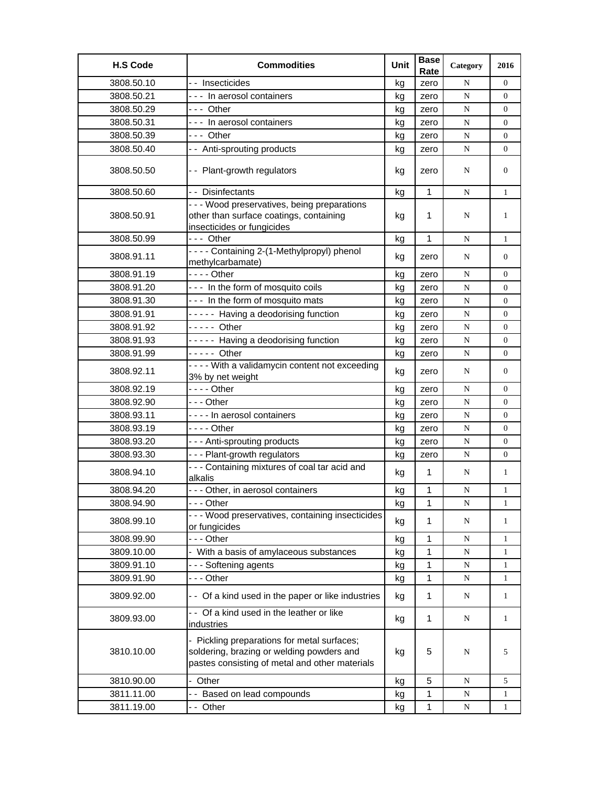| <b>H.S Code</b> | <b>Commodities</b>                                                                                                                         | Unit | <b>Base</b><br>Rate | Category  | 2016             |
|-----------------|--------------------------------------------------------------------------------------------------------------------------------------------|------|---------------------|-----------|------------------|
| 3808.50.10      | - - Insecticides                                                                                                                           | kg   | zero                | N         | $\Omega$         |
| 3808.50.21      | --- In aerosol containers                                                                                                                  | kg   | zero                | ${\bf N}$ | $\overline{0}$   |
| 3808.50.29      | --- Other                                                                                                                                  | kg   | zero                | N         | $\overline{0}$   |
| 3808.50.31      | --- In aerosol containers                                                                                                                  | kg   | zero                | N         | $\boldsymbol{0}$ |
| 3808.50.39      | --- Other                                                                                                                                  | kg   | zero                | N         | 0                |
| 3808.50.40      | -- Anti-sprouting products                                                                                                                 | kg   | zero                | ${\bf N}$ | 0                |
| 3808.50.50      | -- Plant-growth regulators                                                                                                                 | kg   | zero                | N         | $\boldsymbol{0}$ |
| 3808.50.60      | - - Disinfectants                                                                                                                          | kg   | 1                   | N         | $\mathbf{1}$     |
| 3808.50.91      | - - - Wood preservatives, being preparations<br>other than surface coatings, containing<br>insecticides or fungicides                      | kg   | 1                   | N         | 1                |
| 3808.50.99      | --- Other                                                                                                                                  | kg   | $\mathbf{1}$        | N         | $\mathbf{1}$     |
| 3808.91.11      | - - - - Containing 2-(1-Methylpropyl) phenol<br>methylcarbamate)                                                                           | kg   | zero                | N         | $\overline{0}$   |
| 3808.91.19      | - - - - Other                                                                                                                              | kg   | zero                | N         | $\overline{0}$   |
| 3808.91.20      | --- In the form of mosquito coils                                                                                                          | kg   | zero                | ${\bf N}$ | 0                |
| 3808.91.30      | --- In the form of mosquito mats                                                                                                           | kg   | zero                | N         | 0                |
| 3808.91.91      | ----- Having a deodorising function                                                                                                        | kg   | zero                | ${\bf N}$ | $\overline{0}$   |
| 3808.91.92      | $---$ Other                                                                                                                                | kg   | zero                | N         | 0                |
| 3808.91.93      | ----- Having a deodorising function                                                                                                        | kg   | zero                | ${\bf N}$ | $\overline{0}$   |
| 3808.91.99      | - - - - - Other                                                                                                                            | kg   | zero                | ${\bf N}$ | $\overline{0}$   |
| 3808.92.11      | - - - - With a validamycin content not exceeding<br>3% by net weight                                                                       | kg   | zero                | N         | $\overline{0}$   |
| 3808.92.19      | $--$ Other                                                                                                                                 | kg   | zero                | ${\bf N}$ | 0                |
| 3808.92.90      | -  - - Other                                                                                                                               | kg   | zero                | ${\bf N}$ | 0                |
| 3808.93.11      | ---- In aerosol containers                                                                                                                 | kg   | zero                | N         | $\overline{0}$   |
| 3808.93.19      | - - - - Other                                                                                                                              | kg   | zero                | ${\bf N}$ | 0                |
| 3808.93.20      | --- Anti-sprouting products                                                                                                                | kg   | zero                | N         | $\overline{0}$   |
| 3808.93.30      | --- Plant-growth regulators                                                                                                                | kg   | zero                | N         | $\overline{0}$   |
| 3808.94.10      | - - - Containing mixtures of coal tar acid and<br>alkalis                                                                                  | kg   | $\mathbf{1}$        | N         | 1                |
| 3808.94.20      | --- Other, in aerosol containers                                                                                                           | kg   | 1                   | ${\bf N}$ | $\mathbf{1}$     |
| 3808.94.90      | - - - Other                                                                                                                                | kg   | 1                   | N         | 1                |
| 3808.99.10      | --- Wood preservatives, containing insecticides<br>or fungicides                                                                           | kg   | 1                   | N         | $\mathbf{1}$     |
| 3808.99.90      | --- Other                                                                                                                                  | kg   | 1                   | N         | 1                |
| 3809.10.00      | - With a basis of amylaceous substances                                                                                                    | kg   | 1                   | ${\bf N}$ | $\mathbf{1}$     |
| 3809.91.10      | --- Softening agents                                                                                                                       | kg   | 1                   | N         | $\mathbf{1}$     |
| 3809.91.90      | --- Other                                                                                                                                  | kg   | 1                   | ${\bf N}$ | $\mathbf{1}$     |
| 3809.92.00      | - - Of a kind used in the paper or like industries                                                                                         | kg   | $\mathbf 1$         | N         | $\mathbf{1}$     |
| 3809.93.00      | -- Of a kind used in the leather or like<br>industries                                                                                     | kg   | $\mathbf{1}$        | N         | $\mathbf{1}$     |
| 3810.10.00      | - Pickling preparations for metal surfaces;<br>soldering, brazing or welding powders and<br>pastes consisting of metal and other materials | kg   | 5                   | N         | 5                |
| 3810.90.00      | - Other                                                                                                                                    | kg   | 5                   | N         | 5                |
| 3811.11.00      | -- Based on lead compounds                                                                                                                 | kg   | 1                   | N         | 1                |
| 3811.19.00      | -- Other                                                                                                                                   | kg   | 1                   | N         | 1                |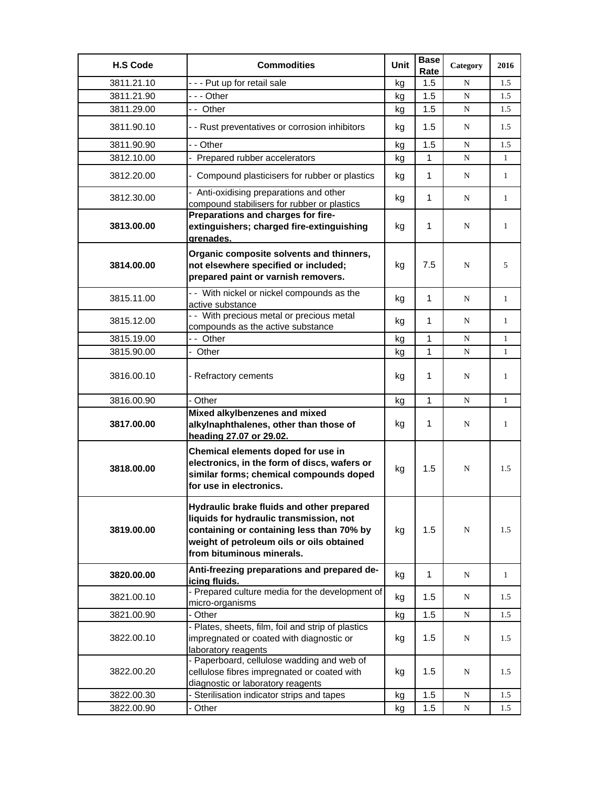| <b>H.S Code</b> | <b>Commodities</b>                                                                                                                                                                                          | Unit | <b>Base</b><br>Rate | Category    | 2016         |
|-----------------|-------------------------------------------------------------------------------------------------------------------------------------------------------------------------------------------------------------|------|---------------------|-------------|--------------|
| 3811.21.10      | --- Put up for retail sale                                                                                                                                                                                  | kg   | 1.5                 | N           | 1.5          |
| 3811.21.90      | - - - Other                                                                                                                                                                                                 | kg   | 1.5                 | N           | 1.5          |
| 3811.29.00      | -- Other                                                                                                                                                                                                    | kg   | 1.5                 | N           | 1.5          |
| 3811.90.10      | - - Rust preventatives or corrosion inhibitors                                                                                                                                                              | kg   | 1.5                 | N           | 1.5          |
| 3811.90.90      | - - Other                                                                                                                                                                                                   | kg   | 1.5                 | N           | 1.5          |
| 3812.10.00      | - Prepared rubber accelerators                                                                                                                                                                              | kg   | $\mathbf{1}$        | N           | $\mathbf{1}$ |
| 3812.20.00      | - Compound plasticisers for rubber or plastics                                                                                                                                                              | kg   | $\mathbf{1}$        | N           | $\mathbf{1}$ |
| 3812.30.00      | - Anti-oxidising preparations and other<br>compound stabilisers for rubber or plastics                                                                                                                      | kg   | 1                   | N           | $\mathbf{1}$ |
| 3813.00.00      | Preparations and charges for fire-<br>extinguishers; charged fire-extinguishing                                                                                                                             | kg   | 1                   | N           | 1            |
| 3814.00.00      | grenades.<br>Organic composite solvents and thinners,<br>not elsewhere specified or included;<br>prepared paint or varnish removers.                                                                        | kg   | 7.5                 | N           | 5            |
| 3815.11.00      | - - With nickel or nickel compounds as the<br>active substance                                                                                                                                              | kg   | 1                   | N           | 1            |
| 3815.12.00      | - - With precious metal or precious metal<br>compounds as the active substance                                                                                                                              | kg   | 1                   | N           | $\mathbf{1}$ |
| 3815.19.00      | -- Other                                                                                                                                                                                                    | kg   | 1                   | N           | $\mathbf{1}$ |
| 3815.90.00      | - Other                                                                                                                                                                                                     | kg   | $\mathbf{1}$        | N           | $\mathbf{1}$ |
| 3816.00.10      | - Refractory cements                                                                                                                                                                                        | kg   | 1                   | N           | 1            |
| 3816.00.90      | - Other                                                                                                                                                                                                     | kg   | $\mathbf{1}$        | N           | $\mathbf{1}$ |
| 3817.00.00      | Mixed alkylbenzenes and mixed<br>alkylnaphthalenes, other than those of<br>heading 27.07 or 29.02.                                                                                                          | kg   | 1                   | N           | 1            |
| 3818.00.00      | Chemical elements doped for use in<br>electronics, in the form of discs, wafers or<br>similar forms; chemical compounds doped<br>for use in electronics.                                                    | kg   | 1.5                 | N           | 1.5          |
| 3819.00.00      | Hydraulic brake fluids and other prepared<br>liquids for hydraulic transmission, not<br>containing or containing less than 70% by<br>weight of petroleum oils or oils obtained<br>from bituminous minerals. | kg   | 1.5                 | N           | 1.5          |
| 3820.00.00      | Anti-freezing preparations and prepared de-<br>icing fluids.                                                                                                                                                | kg   | 1                   | N           | $\mathbf{1}$ |
| 3821.00.10      | - Prepared culture media for the development of<br>micro-organisms                                                                                                                                          | kg   | 1.5                 | N           | 1.5          |
| 3821.00.90      | - Other                                                                                                                                                                                                     | kg   | 1.5                 | $\mathbf N$ | 1.5          |
| 3822.00.10      | - Plates, sheets, film, foil and strip of plastics<br>impregnated or coated with diagnostic or<br>laboratory reagents                                                                                       | kg   | 1.5                 | N           | 1.5          |
| 3822.00.20      | - Paperboard, cellulose wadding and web of<br>cellulose fibres impregnated or coated with<br>diagnostic or laboratory reagents                                                                              | kg   | 1.5                 | N           | 1.5          |
| 3822.00.30      | - Sterilisation indicator strips and tapes                                                                                                                                                                  | kg   | 1.5                 | N           | 1.5          |
| 3822.00.90      | Other                                                                                                                                                                                                       | kg   | 1.5                 | N           | 1.5          |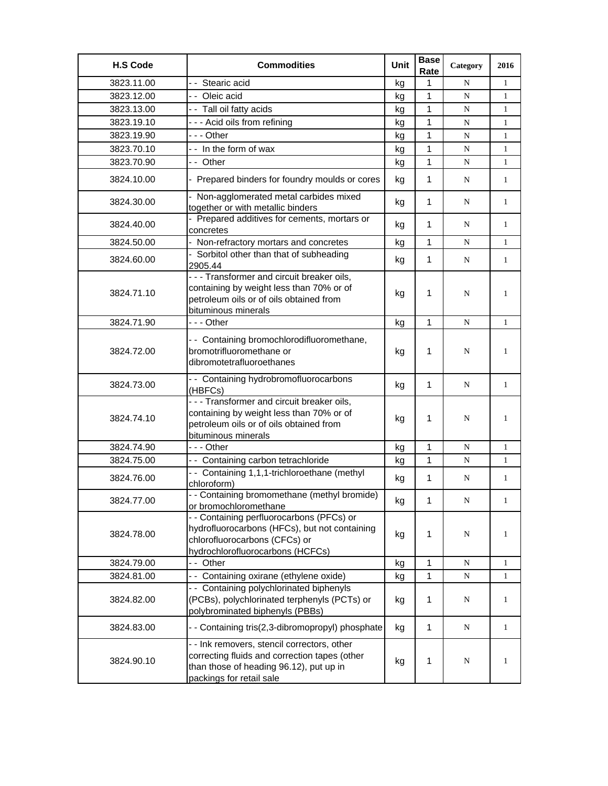| <b>H.S Code</b> | <b>Commodities</b>                                                                                                                                                  | Unit | <b>Base</b><br>Rate | Category  | 2016         |
|-----------------|---------------------------------------------------------------------------------------------------------------------------------------------------------------------|------|---------------------|-----------|--------------|
| 3823.11.00      | - - Stearic acid                                                                                                                                                    | kg   | 1                   | N         | $\mathbf{1}$ |
| 3823.12.00      | - - Oleic acid                                                                                                                                                      | kg   | 1                   | N         | $\mathbf{1}$ |
| 3823.13.00      | - - Tall oil fatty acids                                                                                                                                            | kg   | 1                   | N         | $\mathbf{1}$ |
| 3823.19.10      | --- Acid oils from refining                                                                                                                                         | kg   | 1                   | N         | $\mathbf{1}$ |
| 3823.19.90      | -  - - Other                                                                                                                                                        | kg   | 1                   | N         | $\mathbf{1}$ |
| 3823.70.10      | -- In the form of wax                                                                                                                                               | kg   | 1                   | N         | $\mathbf{1}$ |
| 3823.70.90      | -- Other                                                                                                                                                            | kg   | 1                   | N         | $\mathbf{1}$ |
| 3824.10.00      | - Prepared binders for foundry moulds or cores                                                                                                                      | kg   | $\mathbf{1}$        | N         | 1            |
| 3824.30.00      | - Non-agglomerated metal carbides mixed<br>together or with metallic binders                                                                                        | kg   | 1                   | N         | $\mathbf{1}$ |
| 3824.40.00      | - Prepared additives for cements, mortars or<br>concretes                                                                                                           | kg   | $\mathbf 1$         | N         | $\mathbf{1}$ |
| 3824.50.00      | - Non-refractory mortars and concretes                                                                                                                              | kg   | 1                   | N         | $\mathbf{1}$ |
| 3824.60.00      | - Sorbitol other than that of subheading<br>2905.44                                                                                                                 | kg   | $\mathbf 1$         | N         | $\mathbf{1}$ |
| 3824.71.10      | - - - Transformer and circuit breaker oils,<br>containing by weight less than 70% or of<br>petroleum oils or of oils obtained from<br>bituminous minerals           | kg   | 1                   | N         | 1            |
| 3824.71.90      | --- Other                                                                                                                                                           | kg   | 1                   | N         | 1            |
| 3824.72.00      | -- Containing bromochlorodifluoromethane,<br>bromotrifluoromethane or<br>dibromotetrafluoroethanes                                                                  | kg   | 1                   | N         | $\mathbf{1}$ |
| 3824.73.00      | - - Containing hydrobromofluorocarbons<br>(HBFCs)                                                                                                                   | kg   | $\mathbf 1$         | N         | $\mathbf{1}$ |
| 3824.74.10      | - - - Transformer and circuit breaker oils,<br>containing by weight less than 70% or of<br>petroleum oils or of oils obtained from<br>bituminous minerals           | kg   | 1                   | N         | 1            |
| 3824.74.90      | --- Other                                                                                                                                                           | kg   | 1                   | N         | $\mathbf{1}$ |
| 3824.75.00      | -- Containing carbon tetrachloride                                                                                                                                  | kg   | $\mathbf{1}$        | N         | 1            |
| 3824.76.00      | -- Containing 1,1,1-trichloroethane (methyl<br>chloroform)                                                                                                          | kg   | $\mathbf{1}$        | N         | $\mathbf{1}$ |
| 3824.77.00      | - - Containing bromomethane (methyl bromide)<br>or bromochloromethane                                                                                               | kg   | 1                   | ${\bf N}$ | 1            |
| 3824.78.00      | - - Containing perfluorocarbons (PFCs) or<br>hydrofluorocarbons (HFCs), but not containing<br>chlorofluorocarbons (CFCs) or<br>hydrochlorofluorocarbons (HCFCs)     | kg   | 1                   | ${\bf N}$ | $\mathbf{1}$ |
| 3824.79.00      | -- Other                                                                                                                                                            | kg   | $\mathbf 1$         | ${\bf N}$ | $\mathbf{1}$ |
| 3824.81.00      | - - Containing oxirane (ethylene oxide)                                                                                                                             | kg   | $\mathbf{1}$        | ${\bf N}$ | $\mathbf{1}$ |
| 3824.82.00      | - - Containing polychlorinated biphenyls<br>(PCBs), polychlorinated terphenyls (PCTs) or<br>polybrominated biphenyls (PBBs)                                         | kg   | 1                   | N         | $\mathbf{1}$ |
| 3824.83.00      | - - Containing tris(2,3-dibromopropyl) phosphate                                                                                                                    | kg   | $\mathbf{1}$        | ${\bf N}$ | $\mathbf{1}$ |
| 3824.90.10      | - - Ink removers, stencil correctors, other<br>correcting fluids and correction tapes (other<br>than those of heading 96.12), put up in<br>packings for retail sale | kg   | $\mathbf{1}$        | ${\bf N}$ | $\mathbf{1}$ |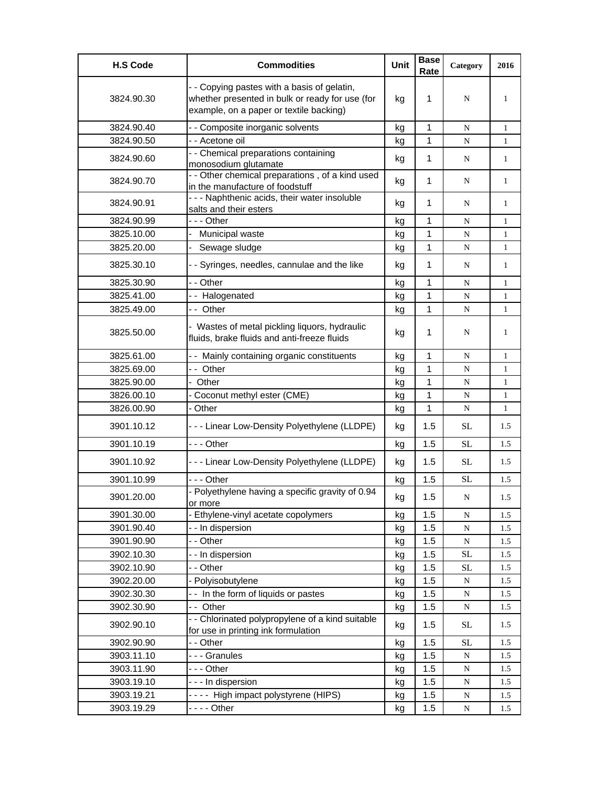| <b>H.S Code</b> | <b>Commodities</b>                                                                                                                        | Unit | <b>Base</b><br>Rate | Category  | 2016         |
|-----------------|-------------------------------------------------------------------------------------------------------------------------------------------|------|---------------------|-----------|--------------|
| 3824.90.30      | - - Copying pastes with a basis of gelatin,<br>whether presented in bulk or ready for use (for<br>example, on a paper or textile backing) | kg   | 1                   | N         | 1            |
| 3824.90.40      | - - Composite inorganic solvents                                                                                                          | kg   | $\mathbf{1}$        | N         | $\mathbf{1}$ |
| 3824.90.50      | - - Acetone oil                                                                                                                           | kg   | $\mathbf{1}$        | N         | $\mathbf{1}$ |
| 3824.90.60      | - - Chemical preparations containing<br>monosodium glutamate                                                                              | kg   | 1                   | N         | $\mathbf{1}$ |
| 3824.90.70      | - - Other chemical preparations, of a kind used<br>in the manufacture of foodstuff                                                        | kg   | 1                   | N         | $\mathbf{1}$ |
| 3824.90.91      | - - - Naphthenic acids, their water insoluble<br>salts and their esters                                                                   | kg   | 1                   | N         | 1            |
| 3824.90.99      | --- Other                                                                                                                                 | kg   | 1                   | N         | 1            |
| 3825.10.00      | Municipal waste                                                                                                                           | kg   | 1                   | ${\bf N}$ | $\mathbf{1}$ |
| 3825.20.00      | Sewage sludge                                                                                                                             | kg   | 1                   | N         | $\mathbf{1}$ |
| 3825.30.10      | - - Syringes, needles, cannulae and the like                                                                                              | kg   | $\mathbf{1}$        | N         | $\mathbf{1}$ |
| 3825.30.90      | - - Other                                                                                                                                 | kg   | 1                   | ${\bf N}$ | $\mathbf{1}$ |
| 3825.41.00      | -- Halogenated                                                                                                                            | kg   | 1                   | N         | $\mathbf{1}$ |
| 3825.49.00      | -- Other                                                                                                                                  | kg   | $\mathbf{1}$        | N         | $\mathbf{1}$ |
| 3825.50.00      | - Wastes of metal pickling liquors, hydraulic<br>fluids, brake fluids and anti-freeze fluids                                              | kg   | 1                   | N         | 1            |
| 3825.61.00      | - - Mainly containing organic constituents                                                                                                | kg   | 1                   | N         | $\mathbf{1}$ |
| 3825.69.00      | -- Other                                                                                                                                  | kg   | 1                   | N         | $\mathbf{1}$ |
| 3825.90.00      | - Other                                                                                                                                   | kg   | $\mathbf{1}$        | ${\bf N}$ | $\mathbf{1}$ |
| 3826.00.10      | - Coconut methyl ester (CME)                                                                                                              | kg   | 1                   | N         | 1            |
| 3826.00.90      | - Other                                                                                                                                   | kg   | 1                   | ${\bf N}$ | $\mathbf{1}$ |
| 3901.10.12      | --- Linear Low-Density Polyethylene (LLDPE)                                                                                               | kg   | 1.5                 | <b>SL</b> | 1.5          |
| 3901.10.19      | $- -$ Other                                                                                                                               | kg   | 1.5                 | <b>SL</b> | 1.5          |
| 3901.10.92      | --- Linear Low-Density Polyethylene (LLDPE)                                                                                               | kg   | 1.5                 | <b>SL</b> | 1.5          |
| 3901.10.99      | -  - - Other                                                                                                                              | kg   | 1.5                 | <b>SL</b> | 1.5          |
| 3901.20.00      | - Polyethylene having a specific gravity of 0.94<br>or more                                                                               | kg   | 1.5                 | ${\bf N}$ | 1.5          |
| 3901.30.00      | - Ethylene-vinyl acetate copolymers                                                                                                       | kg   | 1.5                 | N         | 1.5          |
| 3901.90.40      | - - In dispersion                                                                                                                         | kg   | 1.5                 | ${\bf N}$ | 1.5          |
| 3901.90.90      | - - Other                                                                                                                                 | kg   | 1.5                 | ${\bf N}$ | 1.5          |
| 3902.10.30      | - - In dispersion                                                                                                                         | kg   | 1.5                 | $\rm SL$  | 1.5          |
| 3902.10.90      | - - Other                                                                                                                                 | kg   | 1.5                 | <b>SL</b> | 1.5          |
| 3902.20.00      | Polyisobutylene                                                                                                                           | kg   | 1.5                 | ${\bf N}$ | 1.5          |
| 3902.30.30      | -- In the form of liquids or pastes                                                                                                       | kg   | 1.5                 | ${\bf N}$ | 1.5          |
| 3902.30.90      | -- Other                                                                                                                                  | kg   | 1.5                 | ${\bf N}$ | 1.5          |
| 3902.90.10      | - - Chlorinated polypropylene of a kind suitable<br>for use in printing ink formulation                                                   | kg   | 1.5                 | <b>SL</b> | 1.5          |
| 3902.90.90      | - - Other                                                                                                                                 | kg   | 1.5                 | <b>SL</b> | 1.5          |
| 3903.11.10      | --- Granules                                                                                                                              | kg   | 1.5                 | N         | 1.5          |
| 3903.11.90      | --- Other                                                                                                                                 | kg   | 1.5                 | N         | 1.5          |
| 3903.19.10      | - - - In dispersion                                                                                                                       | kg   | 1.5                 | ${\bf N}$ | 1.5          |
| 3903.19.21      | ---- High impact polystyrene (HIPS)                                                                                                       | kg   | 1.5                 | ${\bf N}$ | 1.5          |
| 3903.19.29      |                                                                                                                                           | kg   | 1.5                 | ${\bf N}$ | 1.5          |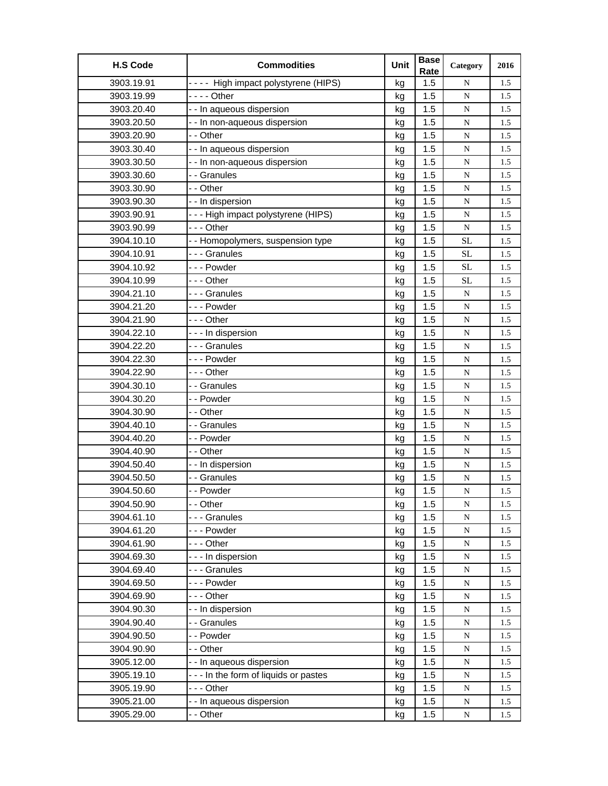| <b>H.S Code</b> | <b>Commodities</b>                   | Unit | <b>Base</b><br>Rate | Category  | 2016 |
|-----------------|--------------------------------------|------|---------------------|-----------|------|
| 3903.19.91      | ---- High impact polystyrene (HIPS)  | kg   | 1.5                 | N         | 1.5  |
| 3903.19.99      | - - - - Other                        | kg   | 1.5                 | ${\bf N}$ | 1.5  |
| 3903.20.40      | - - In aqueous dispersion            | kg   | 1.5                 | ${\bf N}$ | 1.5  |
| 3903.20.50      | - - In non-aqueous dispersion        | kg   | 1.5                 | ${\bf N}$ | 1.5  |
| 3903.20.90      | - - Other                            | kg   | 1.5                 | ${\bf N}$ | 1.5  |
| 3903.30.40      | - - In aqueous dispersion            | kg   | 1.5                 | ${\bf N}$ | 1.5  |
| 3903.30.50      | - - In non-aqueous dispersion        | kg   | 1.5                 | ${\bf N}$ | 1.5  |
| 3903.30.60      | - - Granules                         | kg   | 1.5                 | ${\bf N}$ | 1.5  |
| 3903.30.90      | - - Other                            | kg   | 1.5                 | ${\bf N}$ | 1.5  |
| 3903.90.30      | - - In dispersion                    | kg   | 1.5                 | ${\bf N}$ | 1.5  |
| 3903.90.91      | --- High impact polystyrene (HIPS)   | kg   | 1.5                 | ${\bf N}$ | 1.5  |
| 3903.90.99      | --- Other                            | kg   | 1.5                 | ${\bf N}$ | 1.5  |
| 3904.10.10      | - - Homopolymers, suspension type    | kg   | 1.5                 | SL        | 1.5  |
| 3904.10.91      | --- Granules                         | kg   | 1.5                 | <b>SL</b> | 1.5  |
| 3904.10.92      | --- Powder                           | kg   | 1.5                 | SL        | 1.5  |
| 3904.10.99      | --- Other                            | kg   | 1.5                 | SL        | 1.5  |
| 3904.21.10      | --- Granules                         | kg   | 1.5                 | ${\bf N}$ | 1.5  |
| 3904.21.20      | --- Powder                           | kg   | 1.5                 | ${\bf N}$ | 1.5  |
| 3904.21.90      | $- -$ - Other                        | kg   | 1.5                 | ${\bf N}$ | 1.5  |
| 3904.22.10      | - - - In dispersion                  | kg   | 1.5                 | ${\bf N}$ | 1.5  |
| 3904.22.20      | --- Granules                         | kg   | 1.5                 | ${\bf N}$ | 1.5  |
| 3904.22.30      | --- Powder                           | kg   | 1.5                 | ${\bf N}$ | 1.5  |
| 3904.22.90      | - - - Other                          | kg   | 1.5                 | N         | 1.5  |
| 3904.30.10      | - - Granules                         | kg   | 1.5                 | N         | 1.5  |
| 3904.30.20      | - - Powder                           | kg   | 1.5                 | ${\bf N}$ | 1.5  |
| 3904.30.90      | - - Other                            | kg   | 1.5                 | ${\bf N}$ | 1.5  |
| 3904.40.10      | - - Granules                         | kg   | 1.5                 | ${\bf N}$ | 1.5  |
| 3904.40.20      | - - Powder                           | kg   | 1.5                 | ${\bf N}$ | 1.5  |
| 3904.40.90      | - - Other                            | kg   | 1.5                 | ${\bf N}$ | 1.5  |
| 3904.50.40      | - - In dispersion                    | kg   | 1.5                 | N         | 1.5  |
| 3904.50.50      | - - Granules                         | kg   | 1.5                 | ${\bf N}$ | 1.5  |
| 3904.50.60      | - - Powder                           | kg   | 1.5                 | ${\bf N}$ | 1.5  |
| 3904.50.90      | - - Other                            | kg   | 1.5                 | ${\bf N}$ | 1.5  |
| 3904.61.10      | --- Granules                         | kg   | 1.5                 | ${\bf N}$ | 1.5  |
| 3904.61.20      | --- Powder                           | kg   | 1.5                 | ${\bf N}$ | 1.5  |
| 3904.61.90      | --- Other                            | kg   | 1.5                 | ${\bf N}$ | 1.5  |
| 3904.69.30      | --- In dispersion                    | kg   | 1.5                 | ${\bf N}$ | 1.5  |
| 3904.69.40      | --- Granules                         | kg   | 1.5                 | ${\bf N}$ | 1.5  |
| 3904.69.50      | --- Powder                           | kg   | 1.5                 | ${\bf N}$ | 1.5  |
| 3904.69.90      | - - - Other                          | kg   | 1.5                 | N         | 1.5  |
| 3904.90.30      | - - In dispersion                    | kg   | 1.5                 | ${\bf N}$ | 1.5  |
| 3904.90.40      | - - Granules                         | kg   | 1.5                 | ${\bf N}$ | 1.5  |
| 3904.90.50      | - - Powder                           | kg   | 1.5                 | ${\bf N}$ | 1.5  |
| 3904.90.90      | - - Other                            | kg   | 1.5                 | ${\bf N}$ | 1.5  |
| 3905.12.00      | - - In aqueous dispersion            | kg   | 1.5                 | ${\bf N}$ | 1.5  |
| 3905.19.10      | --- In the form of liquids or pastes | kg   | 1.5                 | ${\bf N}$ | 1.5  |
| 3905.19.90      | --- Other                            | kg   | 1.5                 | ${\bf N}$ | 1.5  |
| 3905.21.00      | - - In aqueous dispersion            | kg   | 1.5                 | ${\bf N}$ | 1.5  |
| 3905.29.00      | - - Other                            | kg   | 1.5                 | N         | 1.5  |
|                 |                                      |      |                     |           |      |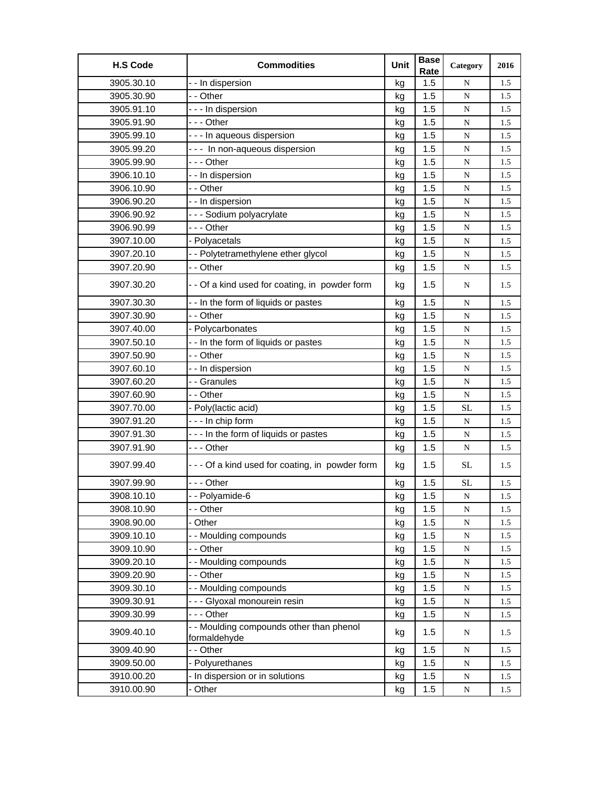| <b>H.S Code</b> | <b>Commodities</b>                             | Unit     | <b>Base</b><br>Rate | Category               | 2016 |
|-----------------|------------------------------------------------|----------|---------------------|------------------------|------|
| 3905.30.10      | - - In dispersion                              | kg       | 1.5                 | N                      | 1.5  |
| 3905.30.90      | - - Other                                      | kg       | 1.5                 | N                      | 1.5  |
| 3905.91.10      | - - - In dispersion                            | kg       | 1.5                 | ${\bf N}$              | 1.5  |
| 3905.91.90      | --- Other                                      | kg       | 1.5                 | ${\bf N}$              | 1.5  |
| 3905.99.10      | - - - In aqueous dispersion                    | kg       | 1.5                 | ${\bf N}$              | 1.5  |
| 3905.99.20      | --- In non-aqueous dispersion                  | kg       | 1.5                 | ${\bf N}$              | 1.5  |
| 3905.99.90      | --- Other                                      | kg       | 1.5                 | ${\bf N}$              | 1.5  |
| 3906.10.10      | - - In dispersion                              | kg       | 1.5                 | ${\bf N}$              | 1.5  |
| 3906.10.90      | - - Other                                      | kg       | 1.5                 | ${\bf N}$              | 1.5  |
| 3906.90.20      | - - In dispersion                              | kg       | 1.5                 | N                      | 1.5  |
| 3906.90.92      | - - - Sodium polyacrylate                      | kg       | 1.5                 | ${\bf N}$              | 1.5  |
| 3906.90.99      | --- Other                                      | kg       | 1.5                 | ${\bf N}$              | 1.5  |
| 3907.10.00      | - Polyacetals                                  | kg       | 1.5                 | ${\bf N}$              | 1.5  |
| 3907.20.10      | - - Polytetramethylene ether glycol            | kg       | 1.5                 | N                      | 1.5  |
| 3907.20.90      | - - Other                                      | kg       | 1.5                 | ${\bf N}$              | 1.5  |
| 3907.30.20      | - - Of a kind used for coating, in powder form | kg       | 1.5                 | N                      | 1.5  |
| 3907.30.30      | - - In the form of liquids or pastes           | kg       | 1.5                 | N                      | 1.5  |
| 3907.30.90      | - - Other                                      | kg       | 1.5                 | ${\bf N}$              | 1.5  |
| 3907.40.00      | - Polycarbonates                               | kg       | 1.5                 | ${\bf N}$              | 1.5  |
| 3907.50.10      | - - In the form of liquids or pastes           | kg       | 1.5                 | ${\bf N}$              | 1.5  |
| 3907.50.90      | - - Other                                      | kg       | 1.5                 | N                      | 1.5  |
| 3907.60.10      | - - In dispersion                              | kg       | 1.5                 | N                      | 1.5  |
| 3907.60.20      | - - Granules                                   | kg       | 1.5                 | N                      | 1.5  |
| 3907.60.90      | - - Other                                      | kg       | 1.5                 | ${\bf N}$              | 1.5  |
| 3907.70.00      | - Poly(lactic acid)                            | kg       | 1.5                 | <b>SL</b>              | 1.5  |
| 3907.91.20      | --- In chip form                               | kg       | 1.5                 | ${\bf N}$              | 1.5  |
| 3907.91.30      | - - - In the form of liquids or pastes         | kg       | 1.5                 | N                      | 1.5  |
| 3907.91.90      | --- Other                                      | kg       | 1.5                 | ${\bf N}$              | 1.5  |
| 3907.99.40      | --- Of a kind used for coating, in powder form | kg       | 1.5                 | <b>SL</b>              | 1.5  |
| 3907.99.90      | - - - Other                                    | kg       | 1.5                 | <b>SL</b>              | 1.5  |
| 3908.10.10      | -- Polyamide-6                                 | kg       | 1.5                 | N                      | 1.5  |
| 3908.10.90      | - - Other                                      | kg       | 1.5                 | ${\bf N}$              | 1.5  |
| 3908.90.00      | - Other                                        | kg       | 1.5                 | ${\bf N}$              | 1.5  |
| 3909.10.10      | - - Moulding compounds                         | kg       | 1.5                 | ${\bf N}$              | 1.5  |
| 3909.10.90      | - - Other                                      | kg       | 1.5                 | ${\bf N}$              | 1.5  |
| 3909.20.10      | - - Moulding compounds                         | kg       | 1.5                 | ${\bf N}$              | 1.5  |
| 3909.20.90      | - - Other                                      | kg       | 1.5                 | N                      | 1.5  |
| 3909.30.10      | - - Moulding compounds                         |          | 1.5                 | ${\bf N}$              | 1.5  |
| 3909.30.91      | - - - Glyoxal monourein resin                  | kg       | 1.5                 |                        | 1.5  |
| 3909.30.99      | --- Other                                      | kg<br>kg | 1.5                 | ${\bf N}$<br>${\bf N}$ | 1.5  |
|                 | - - Moulding compounds other than phenol       |          |                     |                        |      |
| 3909.40.10      | formaldehyde                                   | kg       | 1.5                 | N                      | 1.5  |
| 3909.40.90      | - - Other                                      | kg       | 1.5                 | ${\bf N}$              | 1.5  |
| 3909.50.00      | - Polyurethanes                                | kg       | 1.5                 | ${\bf N}$              | 1.5  |
| 3910.00.20      | - In dispersion or in solutions                | kg       | 1.5                 | N                      | 1.5  |
| 3910.00.90      | Other                                          | kg       | 1.5                 | ${\bf N}$              | 1.5  |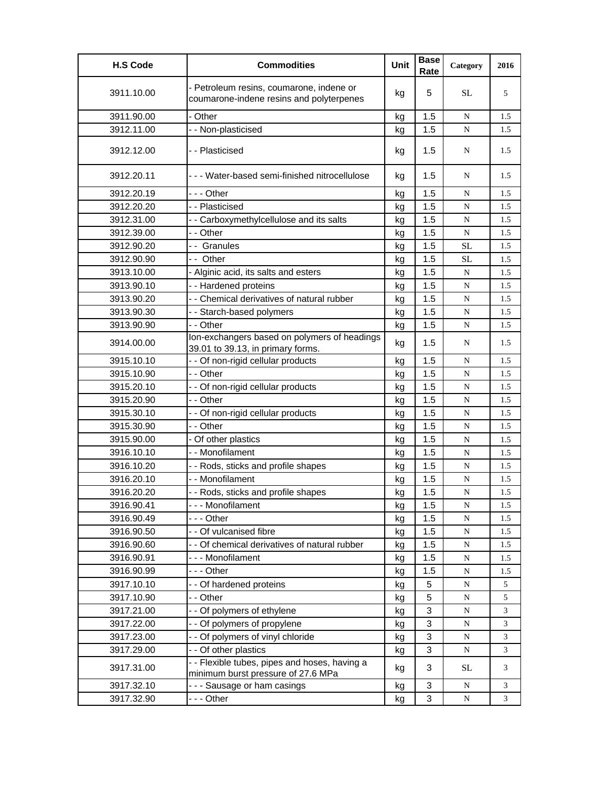| <b>H.S Code</b> | <b>Commodities</b>                                                                   | Unit | <b>Base</b><br>Rate | Category  | 2016 |
|-----------------|--------------------------------------------------------------------------------------|------|---------------------|-----------|------|
| 3911.10.00      | - Petroleum resins, coumarone, indene or<br>coumarone-indene resins and polyterpenes | kg   | 5                   | <b>SL</b> | 5    |
| 3911.90.00      | - Other                                                                              | kg   | 1.5                 | N         | 1.5  |
| 3912.11.00      | - - Non-plasticised                                                                  | kg   | 1.5                 | N         | 1.5  |
| 3912.12.00      | -- Plasticised                                                                       | kg   | 1.5                 | N         | 1.5  |
| 3912.20.11      | --- Water-based semi-finished nitrocellulose                                         | kg   | 1.5                 | N         | 1.5  |
| 3912.20.19      | -  - - Other                                                                         | kg   | 1.5                 | N         | 1.5  |
| 3912.20.20      | - - Plasticised                                                                      | kg   | 1.5                 | N         | 1.5  |
| 3912.31.00      | - - Carboxymethylcellulose and its salts                                             | kg   | 1.5                 | ${\bf N}$ | 1.5  |
| 3912.39.00      | - - Other                                                                            | kg   | 1.5                 | ${\bf N}$ | 1.5  |
| 3912.90.20      | -- Granules                                                                          | kg   | 1.5                 | <b>SL</b> | 1.5  |
| 3912.90.90      | -- Other                                                                             | kg   | 1.5                 | <b>SL</b> | 1.5  |
| 3913.10.00      | - Alginic acid, its salts and esters                                                 | kg   | 1.5                 | ${\bf N}$ | 1.5  |
| 3913.90.10      | -- Hardened proteins                                                                 | kg   | 1.5                 | N         | 1.5  |
| 3913.90.20      | - - Chemical derivatives of natural rubber                                           | kg   | 1.5                 | ${\bf N}$ | 1.5  |
| 3913.90.30      | - - Starch-based polymers                                                            | kg   | 1.5                 | ${\bf N}$ | 1.5  |
| 3913.90.90      | - - Other                                                                            | kg   | 1.5                 | N         | 1.5  |
| 3914.00.00      | Ion-exchangers based on polymers of headings<br>39.01 to 39.13, in primary forms.    | kg   | 1.5                 | N         | 1.5  |
| 3915.10.10      | - - Of non-rigid cellular products                                                   | kg   | 1.5                 | N         | 1.5  |
| 3915.10.90      | - - Other                                                                            | kg   | 1.5                 | N         | 1.5  |
| 3915.20.10      | - - Of non-rigid cellular products                                                   | kg   | 1.5                 | N         | 1.5  |
| 3915.20.90      | - - Other                                                                            | kg   | 1.5                 | ${\bf N}$ | 1.5  |
| 3915.30.10      | - - Of non-rigid cellular products                                                   | kg   | 1.5                 | ${\bf N}$ | 1.5  |
| 3915.30.90      | - - Other                                                                            | kg   | 1.5                 | ${\bf N}$ | 1.5  |
| 3915.90.00      | - Of other plastics                                                                  | kg   | 1.5                 | N         | 1.5  |
| 3916.10.10      | - - Monofilament                                                                     | kg   | 1.5                 | N         | 1.5  |
| 3916.10.20      | - - Rods, sticks and profile shapes                                                  | kg   | 1.5                 | ${\bf N}$ | 1.5  |
| 3916.20.10      | - - Monofilament                                                                     | kg   | 1.5                 | N         | 1.5  |
| 3916.20.20      | - - Rods, sticks and profile shapes                                                  | kg   | 1.5                 | ${\bf N}$ | 1.5  |
| 3916.90.41      | --- Monofilament                                                                     | kg   | 1.5                 | N         | 1.5  |
| 3916.90.49      | - - - Other                                                                          | kg   | 1.5                 | ${\bf N}$ | 1.5  |
| 3916.90.50      | - - Of vulcanised fibre                                                              | kg   | 1.5                 | ${\bf N}$ | 1.5  |
| 3916.90.60      | - - Of chemical derivatives of natural rubber                                        | kg   | 1.5                 | N         | 1.5  |
| 3916.90.91      | --- Monofilament                                                                     | kg   | 1.5                 | N         | 1.5  |
| 3916.90.99      | --- Other                                                                            | kg   | 1.5                 | ${\bf N}$ | 1.5  |
| 3917.10.10      | - - Of hardened proteins                                                             | kg   | 5                   | ${\bf N}$ | 5    |
| 3917.10.90      | - - Other                                                                            | kg   | 5                   | ${\bf N}$ | 5    |
| 3917.21.00      | - - Of polymers of ethylene                                                          | kg   | 3                   | ${\bf N}$ | 3    |
| 3917.22.00      | - - Of polymers of propylene                                                         | kg   | 3                   | N         | 3    |
| 3917.23.00      | - - Of polymers of vinyl chloride                                                    | kg   | 3                   | ${\bf N}$ | 3    |
| 3917.29.00      | - - Of other plastics                                                                | kg   | 3                   | N         | 3    |
| 3917.31.00      | -- Flexible tubes, pipes and hoses, having a<br>minimum burst pressure of 27.6 MPa   | kg   | 3                   | <b>SL</b> | 3    |
| 3917.32.10      | - - - Sausage or ham casings                                                         | kg   | 3                   | N         | 3    |
| 3917.32.90      | --- Other                                                                            | kg   | 3                   | N         | 3    |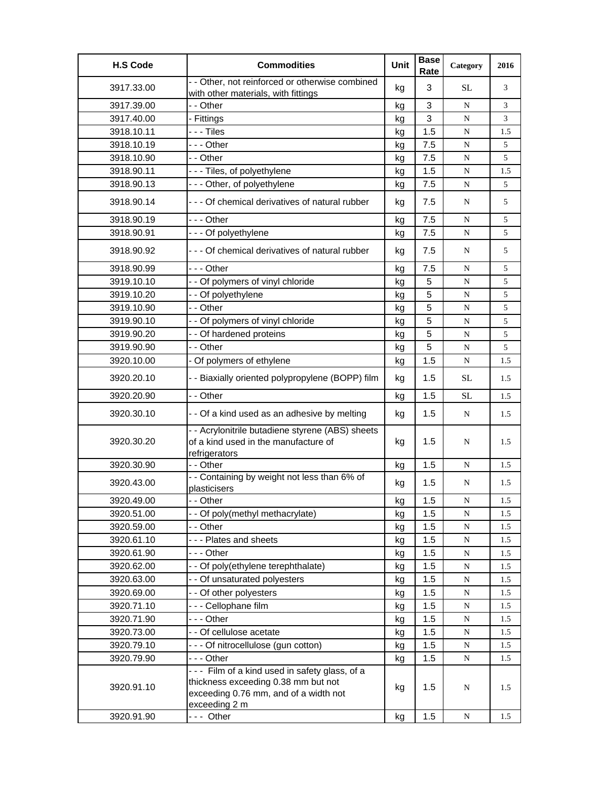| <b>H.S Code</b> | <b>Commodities</b>                                                                                                                             | Unit | <b>Base</b><br>Rate | Category  | 2016 |
|-----------------|------------------------------------------------------------------------------------------------------------------------------------------------|------|---------------------|-----------|------|
| 3917.33.00      | - - Other, not reinforced or otherwise combined<br>with other materials, with fittings                                                         | kg   | 3                   | SL        | 3    |
| 3917.39.00      | - - Other                                                                                                                                      | kg   | 3                   | N         | 3    |
| 3917.40.00      | - Fittings                                                                                                                                     | kg   | 3                   | ${\bf N}$ | 3    |
| 3918.10.11      | - - - Tiles                                                                                                                                    | kg   | 1.5                 | ${\bf N}$ | 1.5  |
| 3918.10.19      | --- Other                                                                                                                                      | kg   | 7.5                 | N         | 5    |
| 3918.10.90      | - - Other                                                                                                                                      | kg   | 7.5                 | ${\bf N}$ | 5    |
| 3918.90.11      | --- Tiles, of polyethylene                                                                                                                     | kg   | 1.5                 | ${\bf N}$ | 1.5  |
| 3918.90.13      | --- Other, of polyethylene                                                                                                                     | kg   | 7.5                 | ${\bf N}$ | 5    |
| 3918.90.14      | - - - Of chemical derivatives of natural rubber                                                                                                | kg   | 7.5                 | N         | 5    |
| 3918.90.19      | - - - Other                                                                                                                                    | kg   | 7.5                 | N         | 5    |
| 3918.90.91      | - - - Of polyethylene                                                                                                                          | kg   | 7.5                 | N         | 5    |
| 3918.90.92      | - - - Of chemical derivatives of natural rubber                                                                                                | kg   | 7.5                 | N         | 5    |
| 3918.90.99      | - - - Other                                                                                                                                    | kg   | 7.5                 | N         | 5    |
| 3919.10.10      | - - Of polymers of vinyl chloride                                                                                                              | kg   | 5                   | ${\bf N}$ | 5    |
| 3919.10.20      | - - Of polyethylene                                                                                                                            | kg   | 5                   | N         | 5    |
| 3919.10.90      | - - Other                                                                                                                                      | kg   | 5                   | N         | 5    |
| 3919.90.10      | - - Of polymers of vinyl chloride                                                                                                              | kg   | 5                   | ${\bf N}$ | 5    |
| 3919.90.20      | - - Of hardened proteins                                                                                                                       | kg   | 5                   | ${\bf N}$ | 5    |
| 3919.90.90      | - - Other                                                                                                                                      | kg   | 5                   | N         | 5    |
| 3920.10.00      | - Of polymers of ethylene                                                                                                                      | kg   | 1.5                 | ${\bf N}$ | 1.5  |
| 3920.20.10      | - - Biaxially oriented polypropylene (BOPP) film                                                                                               | kg   | 1.5                 | SL        | 1.5  |
| 3920.20.90      | - - Other                                                                                                                                      | kg   | 1.5                 | SL        | 1.5  |
| 3920.30.10      | - - Of a kind used as an adhesive by melting                                                                                                   | kg   | 1.5                 | N         | 1.5  |
| 3920.30.20      | - - Acrylonitrile butadiene styrene (ABS) sheets<br>of a kind used in the manufacture of<br>refrigerators                                      | kg   | 1.5                 | N         | 1.5  |
| 3920.30.90      | - - Other                                                                                                                                      | kg   | 1.5                 | N         | 1.5  |
| 3920.43.00      | - - Containing by weight not less than 6% of<br>plasticisers                                                                                   | kg   | 1.5                 | N         | 1.5  |
| 3920.49.00      | - - Other                                                                                                                                      | kg   | 1.5                 | ${\bf N}$ | 1.5  |
| 3920.51.00      | - - Of poly(methyl methacrylate)                                                                                                               | kg   | 1.5                 | N         | 1.5  |
| 3920.59.00      | - - Other                                                                                                                                      | kg   | 1.5                 | ${\bf N}$ | 1.5  |
| 3920.61.10      | --- Plates and sheets                                                                                                                          | kg   | 1.5                 | ${\bf N}$ | 1.5  |
| 3920.61.90      | - - - Other                                                                                                                                    | kg   | 1.5                 | ${\bf N}$ | 1.5  |
| 3920.62.00      | - - Of poly(ethylene terephthalate)                                                                                                            | kg   | 1.5                 | ${\bf N}$ | 1.5  |
| 3920.63.00      | - - Of unsaturated polyesters                                                                                                                  | kg   | 1.5                 | ${\bf N}$ | 1.5  |
| 3920.69.00      | - - Of other polyesters                                                                                                                        | kg   | 1.5                 | N         | 1.5  |
| 3920.71.10      | --- Cellophane film                                                                                                                            | kg   | 1.5                 | ${\bf N}$ | 1.5  |
| 3920.71.90      | - - - Other                                                                                                                                    | kg   | 1.5                 | N         | 1.5  |
| 3920.73.00      | - - Of cellulose acetate                                                                                                                       | kg   | 1.5                 | N         | 1.5  |
| 3920.79.10      | - - - Of nitrocellulose (gun cotton)                                                                                                           | kg   | 1.5                 | ${\bf N}$ | 1.5  |
| 3920.79.90      | --- Other                                                                                                                                      | kg   | 1.5                 | N         | 1.5  |
| 3920.91.10      | --- Film of a kind used in safety glass, of a<br>thickness exceeding 0.38 mm but not<br>exceeding 0.76 mm, and of a width not<br>exceeding 2 m | kg   | 1.5                 | N         | 1.5  |
| 3920.91.90      | --- Other                                                                                                                                      | kg   | 1.5                 | ${\bf N}$ | 1.5  |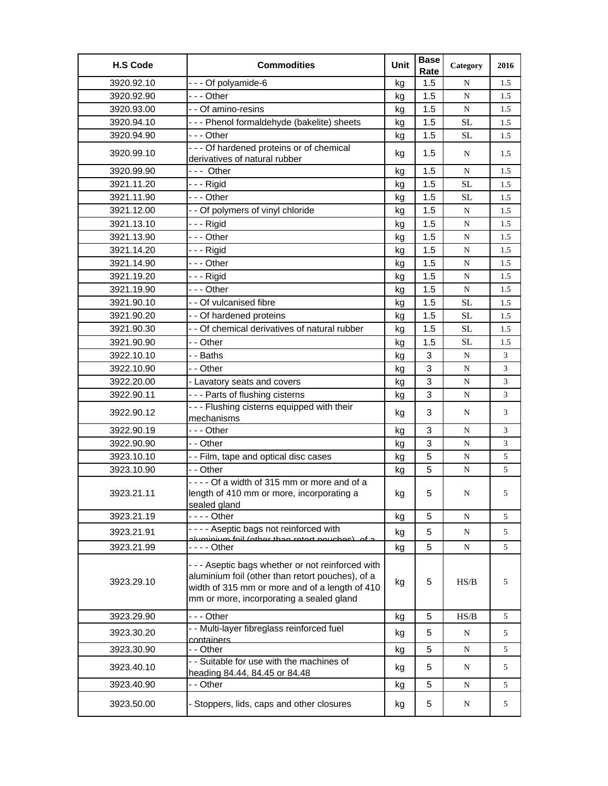| <b>H.S Code</b> | <b>Commodities</b>                                                                                                                                                                                  | Unit | <b>Base</b><br>Rate | Category  | 2016 |
|-----------------|-----------------------------------------------------------------------------------------------------------------------------------------------------------------------------------------------------|------|---------------------|-----------|------|
| 3920.92.10      | --- Of polyamide-6                                                                                                                                                                                  | kg   | 1.5                 | N         | 1.5  |
| 3920.92.90      | --- Other                                                                                                                                                                                           | kg   | 1.5                 | N         | 1.5  |
| 3920.93.00      | - - Of amino-resins                                                                                                                                                                                 | kg   | 1.5                 | ${\bf N}$ | 1.5  |
| 3920.94.10      | --- Phenol formaldehyde (bakelite) sheets                                                                                                                                                           | kg   | 1.5                 | <b>SL</b> | 1.5  |
| 3920.94.90      | --- Other                                                                                                                                                                                           | kg   | 1.5                 | <b>SL</b> | 1.5  |
| 3920.99.10      | - - - Of hardened proteins or of chemical<br>derivatives of natural rubber                                                                                                                          | kg   | 1.5                 | N         | 1.5  |
| 3920.99.90      | --- Other                                                                                                                                                                                           | kg   | 1.5                 | N         | 1.5  |
| 3921.11.20      | - - - Rigid                                                                                                                                                                                         | kg   | 1.5                 | <b>SL</b> | 1.5  |
| 3921.11.90      | --- Other                                                                                                                                                                                           | kg   | 1.5                 | SL        | 1.5  |
| 3921.12.00      | - - Of polymers of vinyl chloride                                                                                                                                                                   | kg   | 1.5                 | ${\bf N}$ | 1.5  |
| 3921.13.10      | - - - Rigid                                                                                                                                                                                         | kg   | 1.5                 | N         | 1.5  |
| 3921.13.90      | --- Other                                                                                                                                                                                           | kg   | 1.5                 | N         | 1.5  |
| 3921.14.20      | - - - Rigid                                                                                                                                                                                         | kg   | 1.5                 | N         | 1.5  |
| 3921.14.90      | --- Other                                                                                                                                                                                           | kg   | 1.5                 | ${\bf N}$ | 1.5  |
| 3921.19.20      | - - - Rigid                                                                                                                                                                                         | kg   | 1.5                 | N         | 1.5  |
| 3921.19.90      | --- Other                                                                                                                                                                                           | kg   | 1.5                 | N         | 1.5  |
| 3921.90.10      | - - Of vulcanised fibre                                                                                                                                                                             | kg   | 1.5                 | <b>SL</b> | 1.5  |
| 3921.90.20      | - - Of hardened proteins                                                                                                                                                                            | kg   | 1.5                 | SL        | 1.5  |
| 3921.90.30      | - - Of chemical derivatives of natural rubber                                                                                                                                                       | kg   | 1.5                 | <b>SL</b> | 1.5  |
| 3921.90.90      | - - Other                                                                                                                                                                                           | kg   | 1.5                 | <b>SL</b> | 1.5  |
| 3922.10.10      | - - Baths                                                                                                                                                                                           | kg   | 3                   | ${\bf N}$ | 3    |
| 3922.10.90      | - - Other                                                                                                                                                                                           | kg   | 3                   | N         | 3    |
| 3922.20.00      | - Lavatory seats and covers                                                                                                                                                                         | kg   | 3                   | N         | 3    |
| 3922.90.11      | --- Parts of flushing cisterns                                                                                                                                                                      | kg   | 3                   | ${\bf N}$ | 3    |
| 3922.90.12      | --- Flushing cisterns equipped with their<br>mechanisms                                                                                                                                             | kg   | 3                   | N         | 3    |
| 3922.90.19      | - - - Other                                                                                                                                                                                         | kg   | 3                   | N         | 3    |
| 3922.90.90      | - - Other                                                                                                                                                                                           | kg   | 3                   | ${\bf N}$ | 3    |
| 3923.10.10      | - - Film, tape and optical disc cases                                                                                                                                                               | kg   | 5                   | N         | 5    |
| 3923.10.90      | - - Other                                                                                                                                                                                           | kg   | 5                   | ${\bf N}$ | 5    |
| 3923.21.11      | ---- Of a width of 315 mm or more and of a<br>length of 410 mm or more, incorporating a<br>sealed gland                                                                                             | kg   | 5                   | N         | 5    |
| 3923.21.19      |                                                                                                                                                                                                     | kg   | 5                   | N         | 5    |
| 3923.21.91      | ---- Aseptic bags not reinforced with<br>aluminium foil (other than retert neuched), of a                                                                                                           | kg   | 5                   | ${\bf N}$ | 5    |
| 3923.21.99      |                                                                                                                                                                                                     | kg   | 5                   | N         | 5    |
| 3923.29.10      | - - - Aseptic bags whether or not reinforced with<br>aluminium foil (other than retort pouches), of a<br>width of 315 mm or more and of a length of 410<br>mm or more, incorporating a sealed gland | kg   | 5                   | HS/B      | 5    |
| 3923.29.90      | --- Other                                                                                                                                                                                           | kg   | 5                   | HS/B      | 5    |
| 3923.30.20      | - - Multi-layer fibreglass reinforced fuel<br>containers                                                                                                                                            | kg   | 5                   | N         | 5    |
| 3923.30.90      | - - Other                                                                                                                                                                                           | kg   | 5                   | ${\bf N}$ | 5    |
| 3923.40.10      | - - Suitable for use with the machines of<br>heading 84.44, 84.45 or 84.48                                                                                                                          | kg   | 5                   | N         | 5    |
| 3923.40.90      | - - Other                                                                                                                                                                                           | kg   | 5                   | ${\bf N}$ | 5    |
| 3923.50.00      | - Stoppers, lids, caps and other closures                                                                                                                                                           | kg   | 5                   | N         | 5    |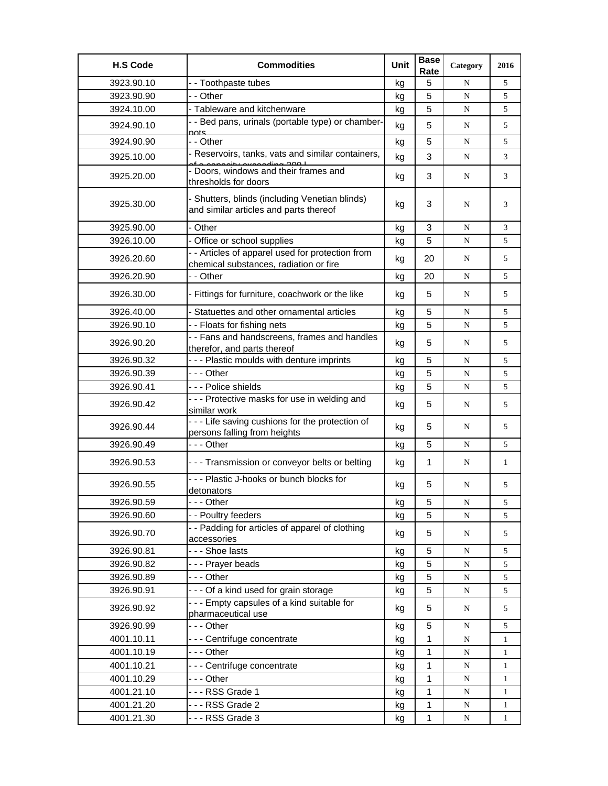| <b>H.S Code</b> | <b>Commodities</b>                                                                             | Unit | <b>Base</b><br>Rate | Category    | 2016         |
|-----------------|------------------------------------------------------------------------------------------------|------|---------------------|-------------|--------------|
| 3923.90.10      | - - Toothpaste tubes                                                                           | kg   | 5                   | N           | 5            |
| 3923.90.90      | - - Other                                                                                      | kg   | 5                   | ${\bf N}$   | 5            |
| 3924.10.00      | - Tableware and kitchenware                                                                    | kg   | 5                   | N           | 5            |
| 3924.90.10      | - - Bed pans, urinals (portable type) or chamber-<br>nots.                                     | kg   | 5                   | N           | 5            |
| 3924.90.90      | - - Other                                                                                      | kg   | 5                   | N           | 5            |
| 3925.10.00      | - Reservoirs, tanks, vats and similar containers,                                              | kg   | 3                   | N           | 3            |
| 3925.20.00      | of a conceity exceeding 200 L<br>- Doors, windows and their frames and<br>thresholds for doors | kg   | 3                   | N           | 3            |
| 3925.30.00      | - Shutters, blinds (including Venetian blinds)<br>and similar articles and parts thereof       | kg   | 3                   | N           | 3            |
| 3925.90.00      | - Other                                                                                        | kg   | 3                   | N           | 3            |
| 3926.10.00      | - Office or school supplies                                                                    | kg   | 5                   | N           | 5            |
| 3926.20.60      | - - Articles of apparel used for protection from<br>chemical substances, radiation or fire     | kg   | 20                  | N           | 5            |
| 3926.20.90      | - - Other                                                                                      | kg   | 20                  | N           | 5            |
| 3926.30.00      | - Fittings for furniture, coachwork or the like                                                | kg   | 5                   | N           | 5            |
| 3926.40.00      | - Statuettes and other ornamental articles                                                     | kg   | 5                   | N           | 5            |
| 3926.90.10      | - - Floats for fishing nets                                                                    | kg   | 5                   | N           | 5            |
| 3926.90.20      | - - Fans and handscreens, frames and handles<br>therefor, and parts thereof                    | kg   | 5                   | N           | 5            |
| 3926.90.32      | --- Plastic moulds with denture imprints                                                       | kg   | 5                   | N           | 5            |
| 3926.90.39      | --- Other                                                                                      | kg   | 5                   | N           | 5            |
| 3926.90.41      | --- Police shields                                                                             | kg   | 5                   | N           | 5            |
| 3926.90.42      | - - - Protective masks for use in welding and<br>similar work                                  | kg   | 5                   | N           | 5            |
| 3926.90.44      | - - - Life saving cushions for the protection of<br>persons falling from heights               | kg   | 5                   | N           | 5            |
| 3926.90.49      | - - - Other                                                                                    | kg   | 5                   | N           | 5            |
| 3926.90.53      | - - - Transmission or conveyor belts or belting                                                | kg   | $\mathbf 1$         | N           | $\mathbf{1}$ |
| 3926.90.55      | - - - Plastic J-hooks or bunch blocks for<br>detonators                                        | kq   | 5                   | N           | 5            |
| 3926.90.59      | -  - - Other                                                                                   | kg   | 5                   | N           | 5            |
| 3926.90.60      | - - Poultry feeders                                                                            | kg   | 5                   | ${\bf N}$   | 5            |
| 3926.90.70      | - - Padding for articles of apparel of clothing<br>accessories                                 | kg   | 5                   | N           | 5            |
| 3926.90.81      | --- Shoe lasts                                                                                 | kg   | 5                   | N           | 5            |
| 3926.90.82      | --- Prayer beads                                                                               | kg   | 5                   | ${\bf N}$   | 5            |
| 3926.90.89      | --- Other                                                                                      | kg   | 5                   | ${\bf N}$   | 5            |
| 3926.90.91      | --- Of a kind used for grain storage                                                           | kg   | 5                   | ${\bf N}$   | 5            |
| 3926.90.92      | --- Empty capsules of a kind suitable for<br>pharmaceutical use                                | kg   | 5                   | N           | 5            |
| 3926.90.99      | - - - Other                                                                                    | kg   | 5                   | N           | 5            |
| 4001.10.11      | --- Centrifuge concentrate                                                                     | kg   | 1                   | N           | $\mathbf{1}$ |
| 4001.10.19      | --- Other                                                                                      | kg   | 1                   | ${\bf N}$   | $\mathbf{1}$ |
| 4001.10.21      | --- Centrifuge concentrate                                                                     | kg   | 1                   | N           | 1            |
| 4001.10.29      | - - - Other                                                                                    | kg   | 1                   | ${\bf N}$   | $\mathbf{1}$ |
| 4001.21.10      | --- RSS Grade 1                                                                                | kg   | 1                   | ${\bf N}$   | $\mathbf{1}$ |
| 4001.21.20      | --- RSS Grade 2                                                                                | kg   | 1                   | $\mathbf N$ | 1            |
| 4001.21.30      | --- RSS Grade 3                                                                                | kg   | $\mathbf 1$         | $\mathbf N$ | $\mathbf{1}$ |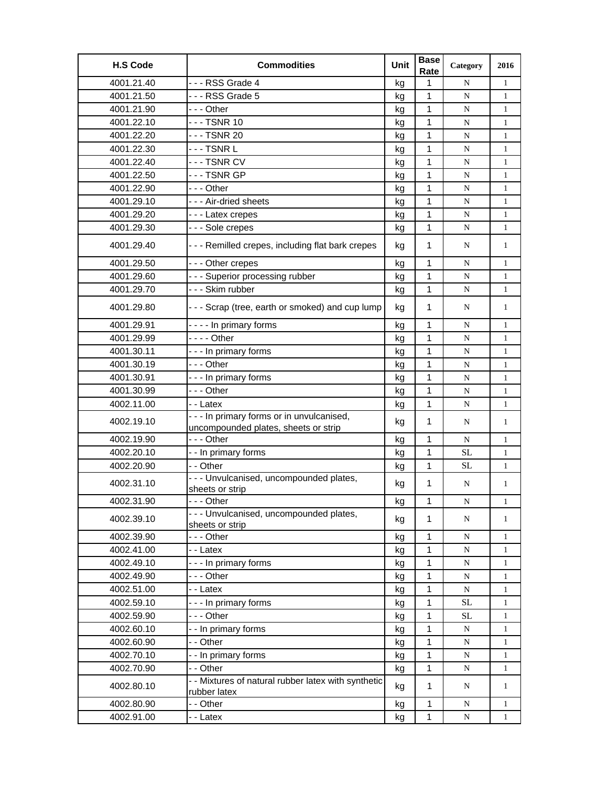| <b>H.S Code</b> | <b>Commodities</b>                                                                 | Unit | <b>Base</b><br>Rate | Category    | 2016         |
|-----------------|------------------------------------------------------------------------------------|------|---------------------|-------------|--------------|
| 4001.21.40      | --- RSS Grade 4                                                                    | kg   | 1                   | N           | $\mathbf{1}$ |
| 4001.21.50      | --- RSS Grade 5                                                                    | kg   | 1                   | N           | $\mathbf{1}$ |
| 4001.21.90      | - - - Other                                                                        | kg   | 1                   | ${\bf N}$   | 1            |
| 4001.22.10      | - - - TSNR 10                                                                      | kg   | 1                   | N           | 1            |
| 4001.22.20      | --- TSNR 20                                                                        | kg   | 1                   | ${\bf N}$   | $\mathbf{1}$ |
| 4001.22.30      | -  -  - TSNR L                                                                     | kg   | 1                   | N           | $\mathbf{1}$ |
| 4001.22.40      | --- TSNR CV                                                                        | kg   | 1                   | ${\bf N}$   | $\mathbf{1}$ |
| 4001.22.50      | --- TSNR GP                                                                        | kg   | 1                   | N           | $\mathbf{1}$ |
| 4001.22.90      | --- Other                                                                          | kg   | 1                   | N           | $\mathbf{1}$ |
| 4001.29.10      | --- Air-dried sheets                                                               | kg   | 1                   | N           | $\mathbf{1}$ |
| 4001.29.20      | --- Latex crepes                                                                   | kg   | 1                   | ${\bf N}$   | $\mathbf{1}$ |
| 4001.29.30      | --- Sole crepes                                                                    | kg   | 1                   | N           | $\mathbf{1}$ |
| 4001.29.40      | --- Remilled crepes, including flat bark crepes                                    | kg   | $\mathbf{1}$        | N           | $\mathbf{1}$ |
| 4001.29.50      | --- Other crepes                                                                   | kg   | 1                   | N           | $\mathbf{1}$ |
| 4001.29.60      | --- Superior processing rubber                                                     | kg   | 1                   | N           | $\mathbf{1}$ |
| 4001.29.70      | --- Skim rubber                                                                    | kg   | $\mathbf{1}$        | ${\bf N}$   | $\mathbf{1}$ |
| 4001.29.80      | --- Scrap (tree, earth or smoked) and cup lump                                     | kg   | $\mathbf 1$         | N           | $\mathbf{1}$ |
| 4001.29.91      | ---- In primary forms                                                              | kg   | 1                   | N           | 1            |
| 4001.29.99      | $--$ Other                                                                         | kg   | 1                   | ${\bf N}$   | $\mathbf{1}$ |
| 4001.30.11      | --- In primary forms                                                               | kg   | 1                   | N           | $\mathbf{1}$ |
| 4001.30.19      | --- Other                                                                          | kg   | 1                   | ${\bf N}$   | $\mathbf{1}$ |
| 4001.30.91      | --- In primary forms                                                               | kg   | 1                   | N           | 1            |
| 4001.30.99      | --- Other                                                                          | kg   | $\mathbf 1$         | N           | $\mathbf{1}$ |
| 4002.11.00      | - - Latex                                                                          | kg   | 1                   | N           | $\mathbf{1}$ |
| 4002.19.10      | - - - In primary forms or in unvulcanised,<br>uncompounded plates, sheets or strip | kg   | $\mathbf 1$         | N           | $\mathbf{1}$ |
| 4002.19.90      | --- Other                                                                          | kg   | 1                   | ${\bf N}$   | $\mathbf{1}$ |
| 4002.20.10      | - - In primary forms                                                               | kg   | 1                   | SL          | $\mathbf{1}$ |
| 4002.20.90      | - - Other                                                                          | kg   | 1                   | <b>SL</b>   | $\mathbf{1}$ |
| 4002.31.10      | - - - Unvulcanised, uncompounded plates,<br>sheets or strip                        | kg   | 1                   | N           | $\mathbf{1}$ |
| 4002.31.90      | - - - Other                                                                        | kg   | 1                   | N           | 1            |
| 4002.39.10      | --- Unvulcanised, uncompounded plates,<br>sheets or strip                          | kg   | 1                   | N           | $\mathbf{1}$ |
| 4002.39.90      | --- Other                                                                          | kg   | $\mathbf{1}$        | ${\bf N}$   | $\mathbf{1}$ |
| 4002.41.00      | - - Latex                                                                          | kg   | 1                   | ${\bf N}$   | $\mathbf{1}$ |
| 4002.49.10      | --- In primary forms                                                               | kg   | 1                   | N           | $\mathbf{1}$ |
| 4002.49.90      | --- Other                                                                          | kg   | 1                   | ${\bf N}$   | $\mathbf{1}$ |
| 4002.51.00      | - - Latex                                                                          | kg   | 1                   | $\mathbf N$ | $\mathbf{1}$ |
| 4002.59.10      | --- In primary forms                                                               | kg   | 1                   | $\rm SL$    | 1            |
| 4002.59.90      | - - - Other                                                                        | kg   | 1                   | <b>SL</b>   | 1            |
| 4002.60.10      | -- In primary forms                                                                | kg   | 1                   | ${\bf N}$   | $\mathbf{1}$ |
| 4002.60.90      | - - Other                                                                          | kg   | 1                   | N           | 1            |
| 4002.70.10      | - - In primary forms                                                               | kg   | 1                   | ${\bf N}$   | $\mathbf{1}$ |
| 4002.70.90      | - - Other                                                                          | kg   | 1                   | N           | $\mathbf{1}$ |
| 4002.80.10      | - - Mixtures of natural rubber latex with synthetic<br>rubber latex                | kg   | $\mathbf{1}$        | N           | $\mathbf{1}$ |
| 4002.80.90      | - - Other                                                                          | kg   | $\mathbf 1$         | $\mathbf N$ | $\mathbf{1}$ |
| 4002.91.00      | - - Latex                                                                          | kg   | $\mathbf 1$         | ${\bf N}$   | $\mathbf{1}$ |
|                 |                                                                                    |      |                     |             |              |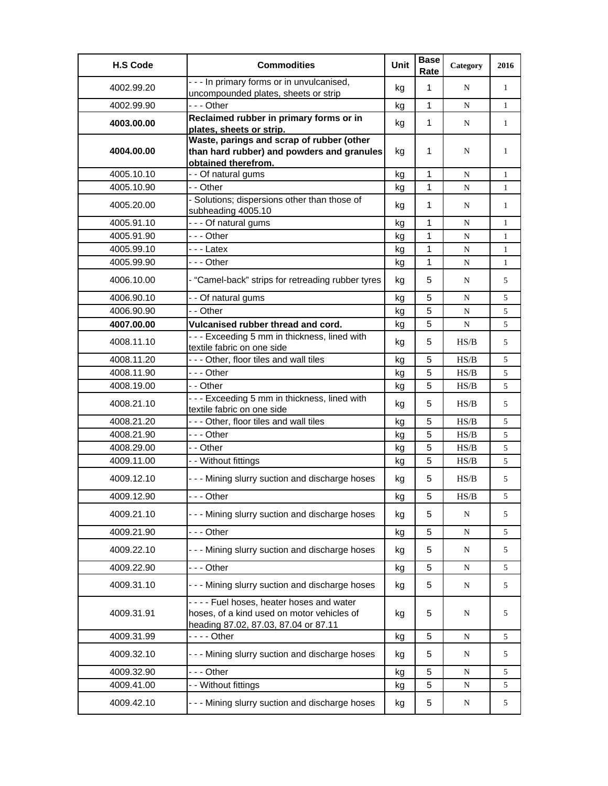| <b>H.S Code</b> | <b>Commodities</b>                                                                                                            | <b>Unit</b> | <b>Base</b><br>Rate | Category  | 2016         |
|-----------------|-------------------------------------------------------------------------------------------------------------------------------|-------------|---------------------|-----------|--------------|
| 4002.99.20      | - - - In primary forms or in unvulcanised,<br>uncompounded plates, sheets or strip                                            | kg          | $\mathbf{1}$        | N         | 1            |
| 4002.99.90      | --- Other                                                                                                                     | kg          | $\mathbf{1}$        | N         | $\mathbf{1}$ |
| 4003.00.00      | Reclaimed rubber in primary forms or in<br>plates, sheets or strip.                                                           | kg          | $\mathbf{1}$        | N         | 1            |
| 4004.00.00      | Waste, parings and scrap of rubber (other<br>than hard rubber) and powders and granules<br>obtained therefrom.                | kg          | 1                   | N         | 1            |
| 4005.10.10      | - - Of natural gums                                                                                                           | kg          | 1                   | N         | $\mathbf{1}$ |
| 4005.10.90      | - - Other                                                                                                                     | kg          | $\mathbf{1}$        | N         | $\mathbf{1}$ |
| 4005.20.00      | - Solutions; dispersions other than those of<br>subheading 4005.10                                                            | kg          | $\mathbf 1$         | N         | $\mathbf{1}$ |
| 4005.91.10      | - - - Of natural gums                                                                                                         | kg          | 1                   | N         | $\mathbf{1}$ |
| 4005.91.90      | --- Other                                                                                                                     | kg          | $\mathbf 1$         | N         | $\mathbf{1}$ |
| 4005.99.10      | $--$ Latex                                                                                                                    | kg          | 1                   | N         | $\mathbf{1}$ |
| 4005.99.90      | --- Other                                                                                                                     | kg          | 1                   | N         | $\mathbf{1}$ |
| 4006.10.00      | - "Camel-back" strips for retreading rubber tyres                                                                             | kg          | 5                   | N         | 5            |
| 4006.90.10      | - - Of natural gums                                                                                                           | kg          | 5                   | N         | 5            |
| 4006.90.90      | - - Other                                                                                                                     | kg          | 5                   | N         | 5            |
| 4007.00.00      | Vulcanised rubber thread and cord.                                                                                            | kg          | 5                   | ${\bf N}$ | 5            |
| 4008.11.10      | - - - Exceeding 5 mm in thickness, lined with<br>textile fabric on one side                                                   | kg          | 5                   | HS/B      | 5            |
| 4008.11.20      | - - - Other, floor tiles and wall tiles                                                                                       | kg          | 5                   | HS/B      | 5            |
| 4008.11.90      | --- Other                                                                                                                     | kg          | 5                   | HS/B      | 5            |
| 4008.19.00      | - - Other                                                                                                                     | kg          | 5                   | HS/B      | 5            |
| 4008.21.10      | - - - Exceeding 5 mm in thickness, lined with<br>textile fabric on one side                                                   | kg          | 5                   | HS/B      | 5            |
| 4008.21.20      | - - - Other, floor tiles and wall tiles                                                                                       | kg          | 5                   | HS/B      | 5            |
| 4008.21.90      | --- Other                                                                                                                     | kg          | 5                   | HS/B      | 5            |
| 4008.29.00      | - - Other                                                                                                                     | kg          | 5                   | HS/B      | 5            |
| 4009.11.00      | - - Without fittings                                                                                                          | kg          | 5                   | HS/B      | 5            |
| 4009.12.10      | --- Mining slurry suction and discharge hoses                                                                                 | kg          | 5                   | HS/B      | 5            |
| 4009.12.90      | - - - Other                                                                                                                   | kg          | 5                   | HS/B      | 5            |
| 4009.21.10      | --- Mining slurry suction and discharge hoses                                                                                 | kg          | 5                   | N         | 5            |
| 4009.21.90      | - - - Other                                                                                                                   | kg          | 5                   | N         | 5            |
| 4009.22.10      | --- Mining slurry suction and discharge hoses                                                                                 | kg          | 5                   | N         | 5            |
| 4009.22.90      | - - - Other                                                                                                                   | kg          | 5                   | N         | 5            |
| 4009.31.10      | --- Mining slurry suction and discharge hoses                                                                                 | kg          | 5                   | N         | 5            |
| 4009.31.91      | ---- Fuel hoses, heater hoses and water<br>hoses, of a kind used on motor vehicles of<br>heading 87.02, 87.03, 87.04 or 87.11 | kg          | 5                   | N         | 5            |
| 4009.31.99      |                                                                                                                               | kg          | 5                   | ${\bf N}$ | 5            |
| 4009.32.10      | --- Mining slurry suction and discharge hoses                                                                                 | kg          | 5                   | N         | 5            |
| 4009.32.90      | --- Other                                                                                                                     | kg          | 5                   | ${\bf N}$ | 5            |
| 4009.41.00      | - - Without fittings                                                                                                          | kg          | 5                   | N         | 5            |
| 4009.42.10      | - - - Mining slurry suction and discharge hoses                                                                               | kg          | 5                   | N         | 5            |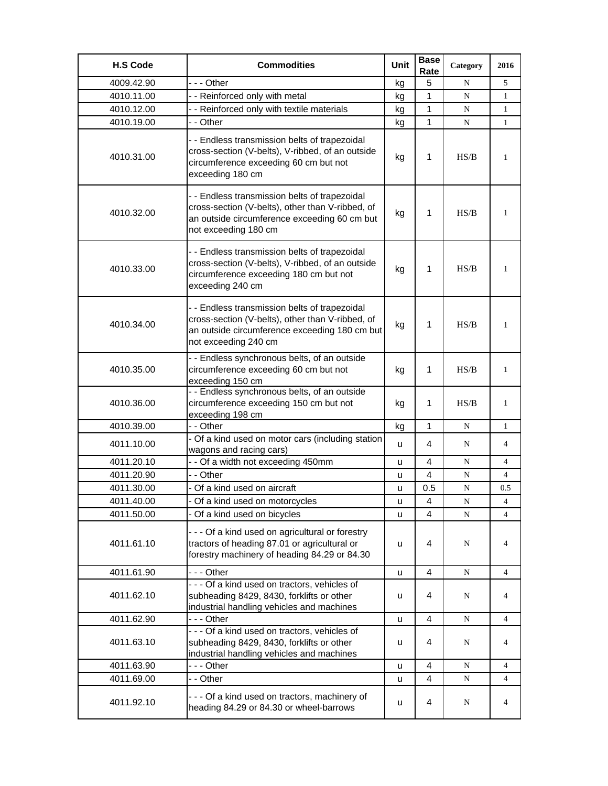| <b>H.S Code</b> | <b>Commodities</b>                                                                                                                                                         | <b>Unit</b> | <b>Base</b><br>Rate | Category | 2016           |
|-----------------|----------------------------------------------------------------------------------------------------------------------------------------------------------------------------|-------------|---------------------|----------|----------------|
| 4009.42.90      | --- Other                                                                                                                                                                  | kg          | 5                   | N        | 5              |
| 4010.11.00      | - - Reinforced only with metal                                                                                                                                             | kg          | 1                   | N        | 1              |
| 4010.12.00      | - - Reinforced only with textile materials                                                                                                                                 | kg          | 1                   | N        | $\mathbf{1}$   |
| 4010.19.00      | - - Other                                                                                                                                                                  | kg          | 1                   | N        | $\mathbf{1}$   |
| 4010.31.00      | - - Endless transmission belts of trapezoidal<br>cross-section (V-belts), V-ribbed, of an outside<br>circumference exceeding 60 cm but not<br>exceeding 180 cm             | kg          | 1                   | HS/B     | $\mathbf{1}$   |
| 4010.32.00      | - - Endless transmission belts of trapezoidal<br>cross-section (V-belts), other than V-ribbed, of<br>an outside circumference exceeding 60 cm but<br>not exceeding 180 cm  | kg          | 1                   | HS/B     | 1              |
| 4010.33.00      | - - Endless transmission belts of trapezoidal<br>cross-section (V-belts), V-ribbed, of an outside<br>circumference exceeding 180 cm but not<br>exceeding 240 cm            | kg          | 1                   | HS/B     | 1              |
| 4010.34.00      | - - Endless transmission belts of trapezoidal<br>cross-section (V-belts), other than V-ribbed, of<br>an outside circumference exceeding 180 cm but<br>not exceeding 240 cm | kg          | 1                   | HS/B     | 1              |
| 4010.35.00      | - - Endless synchronous belts, of an outside<br>circumference exceeding 60 cm but not<br>exceeding 150 cm                                                                  | kg          | 1                   | HS/B     | 1              |
| 4010.36.00      | - - Endless synchronous belts, of an outside<br>circumference exceeding 150 cm but not<br>exceeding 198 cm                                                                 | kg          | 1                   | HS/B     | 1              |
| 4010.39.00      | - - Other                                                                                                                                                                  | kg          | $\mathbf{1}$        | N        | $\mathbf{1}$   |
| 4011.10.00      | - Of a kind used on motor cars (including station<br>wagons and racing cars)                                                                                               | u           | 4                   | N        | 4              |
| 4011.20.10      | - - Of a width not exceeding 450mm                                                                                                                                         | u           | 4                   | N        | 4              |
| 4011.20.90      | - - Other                                                                                                                                                                  | u           | 4                   | N        | $\overline{4}$ |
| 4011.30.00      | - Of a kind used on aircraft                                                                                                                                               | u           | 0.5                 | N        | 0.5            |
| 4011.40.00      | - Of a kind used on motorcycles                                                                                                                                            | u           | 4                   | N        | 4              |
| 4011.50.00      | - Of a kind used on bicycles                                                                                                                                               | u           | 4                   | N        | $\overline{4}$ |
| 4011.61.10      | - - - Of a kind used on agricultural or forestry<br>tractors of heading 87.01 or agricultural or<br>forestry machinery of heading 84.29 or 84.30                           | u           | 4                   | N        | 4              |
| 4011.61.90      | -  - - Other                                                                                                                                                               | u           | 4                   | N        | 4              |
| 4011.62.10      | - - - Of a kind used on tractors, vehicles of<br>subheading 8429, 8430, forklifts or other<br>industrial handling vehicles and machines                                    | u           | 4                   | N        | 4              |
| 4011.62.90      | - - - Other                                                                                                                                                                | u           | 4                   | N        | 4              |
| 4011.63.10      | - - - Of a kind used on tractors, vehicles of<br>subheading 8429, 8430, forklifts or other<br>industrial handling vehicles and machines                                    | u           | 4                   | N        | 4              |
| 4011.63.90      | --- Other                                                                                                                                                                  | u           | 4                   | N        | 4              |
| 4011.69.00      | - - Other                                                                                                                                                                  | u           | 4                   | N        | 4              |
| 4011.92.10      | --- Of a kind used on tractors, machinery of<br>heading 84.29 or 84.30 or wheel-barrows                                                                                    | u           | 4                   | N        | 4              |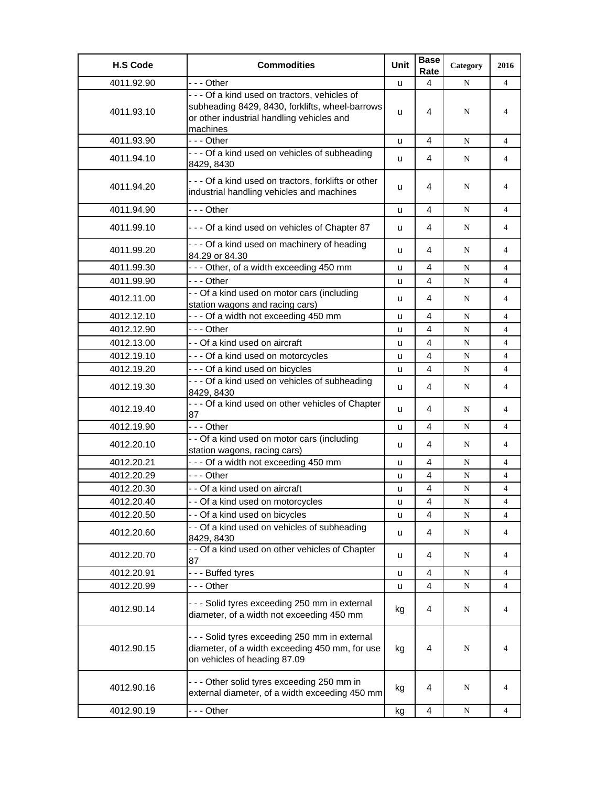| <b>H.S Code</b> | <b>Commodities</b>                                                                                                                                        | Unit     | <b>Base</b><br>Rate | Category  | 2016           |
|-----------------|-----------------------------------------------------------------------------------------------------------------------------------------------------------|----------|---------------------|-----------|----------------|
| 4011.92.90      | --- Other                                                                                                                                                 | u        | 4                   | N         | $\overline{4}$ |
| 4011.93.10      | - - - Of a kind used on tractors, vehicles of<br>subheading 8429, 8430, forklifts, wheel-barrows<br>or other industrial handling vehicles and<br>machines | <b>u</b> | 4                   | N         | 4              |
| 4011.93.90      | --- Other                                                                                                                                                 | u        | 4                   | N         | 4              |
| 4011.94.10      | --- Of a kind used on vehicles of subheading<br>8429, 8430                                                                                                | u        | 4                   | N         | 4              |
| 4011.94.20      | - - - Of a kind used on tractors, forklifts or other<br>industrial handling vehicles and machines                                                         | u        | 4                   | N         | 4              |
| 4011.94.90      | - - - Other                                                                                                                                               | u        | 4                   | N         | 4              |
| 4011.99.10      | --- Of a kind used on vehicles of Chapter 87                                                                                                              | u        | 4                   | N         | 4              |
| 4011.99.20      | - - - Of a kind used on machinery of heading<br>84.29 or 84.30                                                                                            | u        | 4                   | N         | 4              |
| 4011.99.30      | --- Other, of a width exceeding 450 mm                                                                                                                    | u        | 4                   | N         | 4              |
| 4011.99.90      | --- Other                                                                                                                                                 | u        | 4                   | ${\bf N}$ | $\overline{4}$ |
| 4012.11.00      | - - Of a kind used on motor cars (including<br>station wagons and racing cars)                                                                            | u        | 4                   | N         | 4              |
| 4012.12.10      | --- Of a width not exceeding 450 mm                                                                                                                       | u        | 4                   | N         | 4              |
| 4012.12.90      | - - - Other                                                                                                                                               | u        | 4                   | N         | 4              |
| 4012.13.00      | - - Of a kind used on aircraft                                                                                                                            | u        | 4                   | N         | 4              |
| 4012.19.10      | --- Of a kind used on motorcycles                                                                                                                         | u        | 4                   | N         | 4              |
| 4012.19.20      | --- Of a kind used on bicycles                                                                                                                            | u        | 4                   | N         | $\overline{4}$ |
| 4012.19.30      | - - - Of a kind used on vehicles of subheading<br>8429, 8430                                                                                              | u        | 4                   | N         | $\overline{4}$ |
| 4012.19.40      | - - - Of a kind used on other vehicles of Chapter<br>87                                                                                                   | u        | 4                   | N         | 4              |
| 4012.19.90      | --- Other                                                                                                                                                 | u        | 4                   | N         | 4              |
| 4012.20.10      | - - Of a kind used on motor cars (including<br>station wagons, racing cars)                                                                               | u        | 4                   | N         | 4              |
| 4012.20.21      | - - - Of a width not exceeding 450 mm                                                                                                                     | u        | 4                   | N         | 4              |
| 4012.20.29      | $- -$ Other                                                                                                                                               | u        | $\overline{4}$      | N         | 4              |
| 4012.20.30      | - - Of a kind used on aircraft                                                                                                                            | u        | 4                   | N         | 4              |
| 4012.20.40      | - - Of a kind used on motorcycles                                                                                                                         | u        | 4                   | N         | 4              |
| 4012.20.50      | - - Of a kind used on bicycles                                                                                                                            | u        | $\overline{4}$      | N         | 4              |
| 4012.20.60      | - - Of a kind used on vehicles of subheading<br>8429, 8430                                                                                                | u        | 4                   | ${\bf N}$ | 4              |
| 4012.20.70      | - - Of a kind used on other vehicles of Chapter<br>87                                                                                                     | u        | 4                   | N         | 4              |
| 4012.20.91      | --- Buffed tyres                                                                                                                                          | u        | 4                   | N         | 4              |
| 4012.20.99      | --- Other                                                                                                                                                 | u        | 4                   | N         | 4              |
| 4012.90.14      | - - - Solid tyres exceeding 250 mm in external<br>diameter, of a width not exceeding 450 mm                                                               | kg       | 4                   | N         | 4              |
| 4012.90.15      | - - - Solid tyres exceeding 250 mm in external<br>diameter, of a width exceeding 450 mm, for use<br>on vehicles of heading 87.09                          | kg       | 4                   | N         | 4              |
| 4012.90.16      | --- Other solid tyres exceeding 250 mm in<br>external diameter, of a width exceeding 450 mm                                                               | kg       | 4                   | N         | 4              |
| 4012.90.19      | - - - Other                                                                                                                                               | kg       | 4                   | ${\bf N}$ | 4              |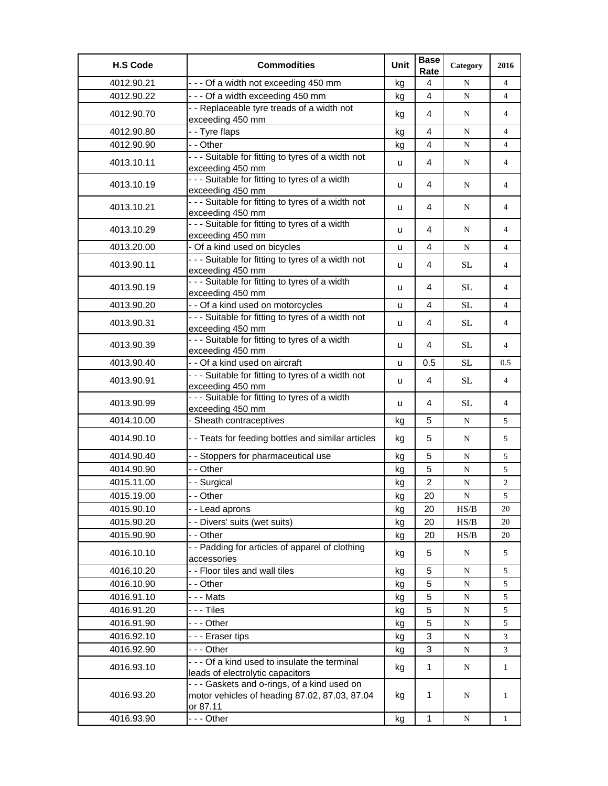| <b>H.S Code</b> | <b>Commodities</b>                                                                                                                            | Unit | <b>Base</b><br>Rate | Category                                                                               | 2016           |
|-----------------|-----------------------------------------------------------------------------------------------------------------------------------------------|------|---------------------|----------------------------------------------------------------------------------------|----------------|
| 4012.90.21      | --- Of a width not exceeding 450 mm                                                                                                           | kg   | 4                   | N                                                                                      | $\overline{4}$ |
| 4012.90.22      | --- Of a width exceeding 450 mm                                                                                                               | kg   | 4                   | ${\bf N}$                                                                              | $\overline{4}$ |
| 4012.90.70      | - - Replaceable tyre treads of a width not                                                                                                    |      | 4                   | N                                                                                      | $\overline{4}$ |
|                 | exceeding 450 mm                                                                                                                              | kg   |                     |                                                                                        |                |
| 4012.90.80      | - - Tyre flaps                                                                                                                                | kg   | 4                   | N                                                                                      | $\overline{4}$ |
| 4012.90.90      | - - Other                                                                                                                                     | kg   | $\overline{4}$      | N                                                                                      | 4              |
| 4013.10.11      | - - - Suitable for fitting to tyres of a width not<br>exceeding 450 mm                                                                        | u    | 4                   | N                                                                                      | 4              |
| 4013.10.19      | - - - Suitable for fitting to tyres of a width<br>exceeding 450 mm                                                                            | u    | 4                   | N                                                                                      | 4              |
| 4013.10.21      | - - - Suitable for fitting to tyres of a width not<br>exceeding 450 mm                                                                        | u    | 4                   | N                                                                                      | 4              |
| 4013.10.29      | - - - Suitable for fitting to tyres of a width<br>exceeding 450 mm                                                                            | u    | 4                   | N                                                                                      | 4              |
| 4013.20.00      | - Of a kind used on bicycles                                                                                                                  | u    | 4                   | N                                                                                      | $\overline{4}$ |
| 4013.90.11      | - - - Suitable for fitting to tyres of a width not<br>exceeding 450 mm                                                                        | u    | 4                   | <b>SL</b>                                                                              | 4              |
| 4013.90.19      | - - - Suitable for fitting to tyres of a width<br>exceeding 450 mm                                                                            | u    | 4                   | <b>SL</b>                                                                              | 4              |
| 4013.90.20      | - - Of a kind used on motorcycles                                                                                                             | u    | 4                   | SL                                                                                     | 4              |
| 4013.90.31      | --- Suitable for fitting to tyres of a width not<br>exceeding 450 mm                                                                          | u    | 4                   | <b>SL</b>                                                                              | 4              |
| 4013.90.39      | --- Suitable for fitting to tyres of a width<br>exceeding 450 mm                                                                              | u    | 4                   | <b>SL</b>                                                                              | $\overline{4}$ |
| 4013.90.40      | - - Of a kind used on aircraft                                                                                                                | u    | 0.5                 | SL                                                                                     | 0.5            |
| 4013.90.91      | --- Suitable for fitting to tyres of a width not<br>exceeding 450 mm                                                                          | u    | 4                   | <b>SL</b>                                                                              | $\overline{4}$ |
| 4013.90.99      | - - - Suitable for fitting to tyres of a width<br>exceeding 450 mm                                                                            | u    | 4                   | <b>SL</b>                                                                              | 4              |
| 4014.10.00      | - Sheath contraceptives                                                                                                                       | kg   | 5                   | N                                                                                      | 5              |
| 4014.90.10      | - - Teats for feeding bottles and similar articles                                                                                            | kg   | 5                   | N                                                                                      | 5              |
| 4014.90.40      | - - Stoppers for pharmaceutical use                                                                                                           | kg   | 5                   | N                                                                                      | 5              |
| 4014.90.90      | - - Other                                                                                                                                     | kg   | 5                   | N                                                                                      | 5              |
| 4015.11.00      | - - Surgical                                                                                                                                  | kg   | $\overline{2}$      | ${\bf N}$                                                                              | $\overline{c}$ |
| 4015.19.00      | - - Other                                                                                                                                     | kg   | 20                  | ${\bf N}$                                                                              | 5              |
| 4015.90.10      | - - Lead aprons                                                                                                                               | kg   | 20                  | HS/B                                                                                   | 20             |
| 4015.90.20      | - - Divers' suits (wet suits)                                                                                                                 | kg   | 20                  | $\ensuremath{\mathbf{H}}\ensuremath{\mathbf{S}}\xspace/\ensuremath{\mathbf{B}}\xspace$ | 20             |
| 4015.90.90      | - - Other                                                                                                                                     | kg   | 20                  | HS/B                                                                                   | 20             |
| 4016.10.10      | - - Padding for articles of apparel of clothing<br>accessories                                                                                | kg   | 5                   | N                                                                                      | 5              |
| 4016.10.20      | - - Floor tiles and wall tiles                                                                                                                | kg   | 5                   | N                                                                                      | 5              |
| 4016.10.90      | - - Other                                                                                                                                     | kg   | 5                   | N                                                                                      | 5              |
| 4016.91.10      | -  -  -  Mats                                                                                                                                 | kg   | 5                   | ${\bf N}$                                                                              | 5              |
| 4016.91.20      | - - - Tiles                                                                                                                                   | kg   | 5                   | ${\bf N}$                                                                              | 5              |
| 4016.91.90      | - - - Other                                                                                                                                   | kg   | 5                   | N                                                                                      | 5              |
| 4016.92.10      | --- Eraser tips                                                                                                                               | kg   | 3                   | N                                                                                      | 3              |
| 4016.92.90      | - - - Other                                                                                                                                   | kg   | 3                   | $\mathbf N$                                                                            | 3              |
| 4016.93.10      | - - - Of a kind used to insulate the terminal                                                                                                 | kg   | 1                   | N                                                                                      | $\mathbf{1}$   |
| 4016.93.20      | leads of electrolytic capacitors<br>- - - Gaskets and o-rings, of a kind used on<br>motor vehicles of heading 87.02, 87.03, 87.04<br>or 87.11 | kg   | $\mathbf{1}$        | N                                                                                      | $\mathbf{1}$   |
| 4016.93.90      | --- Other                                                                                                                                     | kg   | $\mathbf{1}$        | ${\bf N}$                                                                              | $\mathbf{1}$   |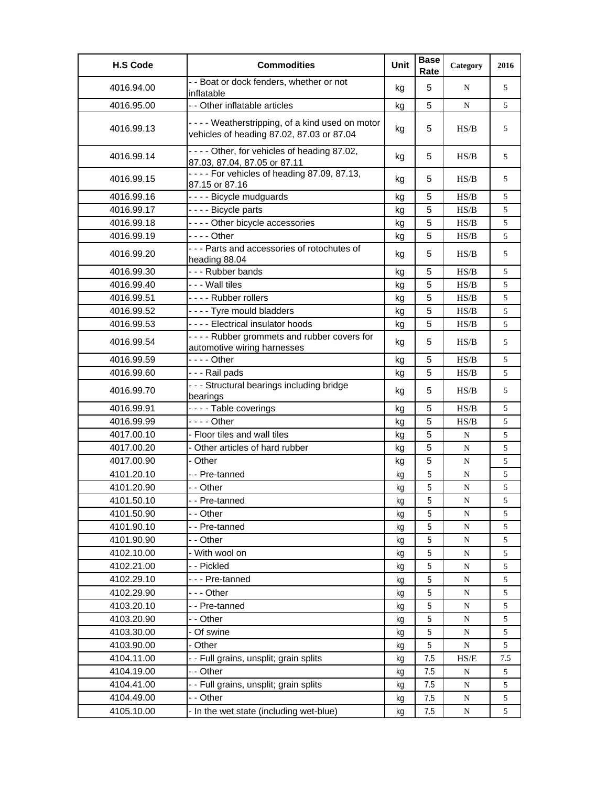| <b>H.S Code</b> | <b>Commodities</b>                                                                          | Unit | <b>Base</b><br>Rate | Category                                                                               | 2016 |
|-----------------|---------------------------------------------------------------------------------------------|------|---------------------|----------------------------------------------------------------------------------------|------|
| 4016.94.00      | - - Boat or dock fenders, whether or not<br>inflatable                                      | kg   | 5                   | N                                                                                      | 5    |
| 4016.95.00      | - - Other inflatable articles                                                               | kg   | 5                   | N                                                                                      | 5    |
| 4016.99.13      | ---- Weatherstripping, of a kind used on motor<br>vehicles of heading 87.02, 87.03 or 87.04 | kg   | 5                   | HS/B                                                                                   | 5    |
| 4016.99.14      | - - - - Other, for vehicles of heading 87.02,<br>87.03, 87.04, 87.05 or 87.11               | kg   | 5                   | HS/B                                                                                   | 5    |
| 4016.99.15      | - - - - For vehicles of heading 87.09, 87.13,<br>87.15 or 87.16                             | kg   | 5                   | H S/B                                                                                  | 5    |
| 4016.99.16      | ---- Bicycle mudguards                                                                      | kg   | 5                   | HS/B                                                                                   | 5    |
| 4016.99.17      | - - - - Bicycle parts                                                                       | kg   | 5                   | HS/B                                                                                   | 5    |
| 4016.99.18      | - - - - Other bicycle accessories                                                           | kg   | 5                   | HS/B                                                                                   | 5    |
| 4016.99.19      | - - - - Other                                                                               | kg   | 5                   | HS/B                                                                                   | 5    |
| 4016.99.20      | - - - Parts and accessories of rotochutes of<br>heading 88.04                               | kg   | 5                   | HS/B                                                                                   | 5    |
| 4016.99.30      | --- Rubber bands                                                                            | kg   | 5                   | HS/B                                                                                   | 5    |
| 4016.99.40      | - - - Wall tiles                                                                            | kg   | 5                   | HS/B                                                                                   | 5    |
| 4016.99.51      | ---- Rubber rollers                                                                         | kg   | 5                   | HS/B                                                                                   | 5    |
| 4016.99.52      | ---- Tyre mould bladders                                                                    | kg   | 5                   | HS/B                                                                                   | 5    |
| 4016.99.53      | - - - - Electrical insulator hoods                                                          | kg   | 5                   | HS/B                                                                                   | 5    |
| 4016.99.54      | - - - - Rubber grommets and rubber covers for<br>automotive wiring harnesses                | kg   | 5                   | HS/B                                                                                   | 5    |
| 4016.99.59      | $--$ Other                                                                                  | kg   | 5                   | HS/B                                                                                   | 5    |
| 4016.99.60      | --- Rail pads                                                                               | kg   | 5                   | $\ensuremath{\mathbf{H}}\ensuremath{\mathbf{S}}\xspace/\ensuremath{\mathbf{B}}\xspace$ | 5    |
| 4016.99.70      | - - - Structural bearings including bridge<br>bearings                                      | kg   | 5                   | HS/B                                                                                   | 5    |
| 4016.99.91      | ---- Table coverings                                                                        | kg   | 5                   | HS/B                                                                                   | 5    |
| 4016.99.99      | $--$ Other                                                                                  | kg   | 5                   | HS/B                                                                                   | 5    |
| 4017.00.10      | - Floor tiles and wall tiles                                                                | kg   | 5                   | N                                                                                      | 5    |
| 4017.00.20      | - Other articles of hard rubber                                                             | kg   | 5                   | ${\bf N}$                                                                              | 5    |
| 4017.00.90      | - Other                                                                                     | kg   | 5                   | N                                                                                      | 5    |
| 4101.20.10      | - - Pre-tanned                                                                              | kg   | 5                   | ${\bf N}$                                                                              | 5    |
| 4101.20.90      | - - Other                                                                                   | kg   | 5                   | N                                                                                      | 5    |
| 4101.50.10      | -- Pre-tanned                                                                               | кg   | 5                   | N                                                                                      | C    |
| 4101.50.90      | - - Other                                                                                   | kg   | 5                   | ${\bf N}$                                                                              | 5    |
| 4101.90.10      | - - Pre-tanned                                                                              | kg   | 5                   | ${\bf N}$                                                                              | 5    |
| 4101.90.90      | - - Other                                                                                   | kg   | 5                   | ${\bf N}$                                                                              | 5    |
| 4102.10.00      | - With wool on                                                                              | kg   | 5                   | ${\bf N}$                                                                              | 5    |
| 4102.21.00      | - - Pickled                                                                                 | kg   | 5                   | ${\bf N}$                                                                              | 5    |
| 4102.29.10      | --- Pre-tanned                                                                              | kg   | 5                   | ${\bf N}$                                                                              | 5    |
| 4102.29.90      | - - - Other                                                                                 | kg   | 5                   | ${\bf N}$                                                                              | 5    |
| 4103.20.10      | --Pre-tanned                                                                                | kg   | 5                   | ${\bf N}$                                                                              | 5    |
| 4103.20.90      | - - Other                                                                                   | kg   | 5                   | N                                                                                      | 5    |
| 4103.30.00      | Of swine                                                                                    | kg   | 5                   | N                                                                                      | 5    |
| 4103.90.00      | - Other                                                                                     | kg   | 5                   | ${\bf N}$                                                                              | 5    |
| 4104.11.00      | - - Full grains, unsplit; grain splits                                                      | kg   | 7.5                 | $\ensuremath{\mathsf{HS}}\xspace/\ensuremath{\mathsf{E}}$                              | 7.5  |
| 4104.19.00      | - - Other                                                                                   | kg   | 7.5                 | N                                                                                      | 5    |
| 4104.41.00      | - - Full grains, unsplit; grain splits                                                      | kg   | 7.5                 | ${\bf N}$                                                                              | 5    |
| 4104.49.00      | - - Other                                                                                   | kg   | 7.5                 | ${\bf N}$                                                                              | 5    |
| 4105.10.00      | - In the wet state (including wet-blue)                                                     | kg   | 7.5                 | N                                                                                      | 5    |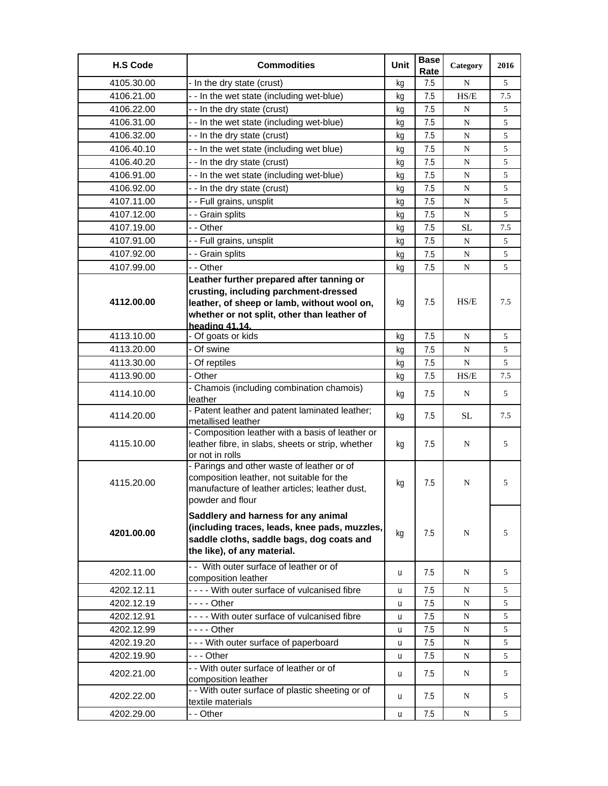| <b>H.S Code</b> | <b>Commodities</b>                                                                                                                                               | Unit | <b>Base</b><br>Rate | Category   | 2016 |
|-----------------|------------------------------------------------------------------------------------------------------------------------------------------------------------------|------|---------------------|------------|------|
| 4105.30.00      | - In the dry state (crust)                                                                                                                                       | kq   | 7.5                 | N          | 5    |
| 4106.21.00      | -- In the wet state (including wet-blue)                                                                                                                         | kq   | 7.5                 | HS/E       | 7.5  |
| 4106.22.00      | - - In the dry state (crust)                                                                                                                                     | kq   | 7.5                 | N          | 5    |
| 4106.31.00      | - - In the wet state (including wet-blue)                                                                                                                        | kg   | 7.5                 | N          | 5    |
| 4106.32.00      | - - In the dry state (crust)                                                                                                                                     | kg   | 7.5                 | N          | 5    |
| 4106.40.10      | - - In the wet state (including wet blue)                                                                                                                        | kq   | 7.5                 | N          | 5    |
| 4106.40.20      | - - In the dry state (crust)                                                                                                                                     | kg   | 7.5                 | N          | 5    |
| 4106.91.00      | - - In the wet state (including wet-blue)                                                                                                                        | kq   | 7.5                 | ${\bf N}$  | 5    |
| 4106.92.00      | - - In the dry state (crust)                                                                                                                                     | kg   | 7.5                 | N          | 5    |
| 4107.11.00      | - - Full grains, unsplit                                                                                                                                         | kg   | 7.5                 | N          | 5    |
| 4107.12.00      | - - Grain splits                                                                                                                                                 | kg   | 7.5                 | N          | 5    |
| 4107.19.00      | - - Other                                                                                                                                                        | kq   | 7.5                 | SL         | 7.5  |
| 4107.91.00      | - - Full grains, unsplit                                                                                                                                         | kg   | 7.5                 | ${\bf N}$  | 5    |
| 4107.92.00      | - - Grain splits                                                                                                                                                 | kg   | 7.5                 | N          | 5    |
| 4107.99.00      | - - Other                                                                                                                                                        | kg   | 7.5                 | N          | 5    |
|                 | Leather further prepared after tanning or                                                                                                                        |      |                     |            |      |
|                 | crusting, including parchment-dressed                                                                                                                            |      |                     |            |      |
| 4112.00.00      | leather, of sheep or lamb, without wool on,                                                                                                                      | kg   | 7.5                 | HS/E       | 7.5  |
|                 | whether or not split, other than leather of                                                                                                                      |      |                     |            |      |
|                 | heading 41.14.                                                                                                                                                   |      |                     |            |      |
| 4113.10.00      | - Of goats or kids                                                                                                                                               | kg   | 7.5                 | N          | 5    |
| 4113.20.00      | - Of swine                                                                                                                                                       | kg   | 7.5                 | N          | 5    |
| 4113.30.00      | - Of reptiles                                                                                                                                                    | kq   | 7.5                 | N          | 5    |
| 4113.90.00      | - Other                                                                                                                                                          | kg   | 7.5                 | HS/E       | 7.5  |
| 4114.10.00      | - Chamois (including combination chamois)<br>leather                                                                                                             | kg   | 7.5                 | N          | 5    |
| 4114.20.00      | - Patent leather and patent laminated leather;<br>metallised leather                                                                                             | kg   | 7.5                 | <b>SL</b>  | 7.5  |
| 4115.10.00      | - Composition leather with a basis of leather or<br>leather fibre, in slabs, sheets or strip, whether<br>or not in rolls                                         | kg   | 7.5                 | N          | 5    |
| 4115.20.00      | - Parings and other waste of leather or of<br>composition leather, not suitable for the<br>manufacture of leather articles; leather dust,<br>powder and flour    | kg   | 7.5                 | N          | 5    |
| 4201.00.00      | Saddlery and harness for any animal<br>(including traces, leads, knee pads, muzzles,<br>saddle cloths, saddle bags, dog coats and<br>the like), of any material. | kg   | 7.5                 | N          | 5    |
| 4202.11.00      | -- With outer surface of leather or of<br>composition leather                                                                                                    | u    | 7.5                 | N          | 5    |
| 4202.12.11      | ---- With outer surface of vulcanised fibre                                                                                                                      | u    | 7.5                 | N          | 5    |
| 4202.12.19      | - - - - Other                                                                                                                                                    | u    | 7.5                 | N          | 5    |
| 4202.12.91      | ---- With outer surface of vulcanised fibre                                                                                                                      | u    | 7.5                 | N          | 5    |
| 4202.12.99      | - - - - Other                                                                                                                                                    | u    | 7.5                 | N          | 5    |
| 4202.19.20      | --- With outer surface of paperboard                                                                                                                             | u    | 7.5                 | N          | 5    |
| 4202.19.90      | - - - Other                                                                                                                                                      | u    | 7.5                 | N          | 5    |
| 4202.21.00      | - - With outer surface of leather or of<br>composition leather                                                                                                   | u    | 7.5                 | N          | 5    |
| 4202.22.00      | - - With outer surface of plastic sheeting or of<br>textile materials                                                                                            | u    | 7.5                 | N          | 5    |
| 4202.29.00      | - - Other                                                                                                                                                        | u    | 7.5                 | $_{\rm N}$ | 5    |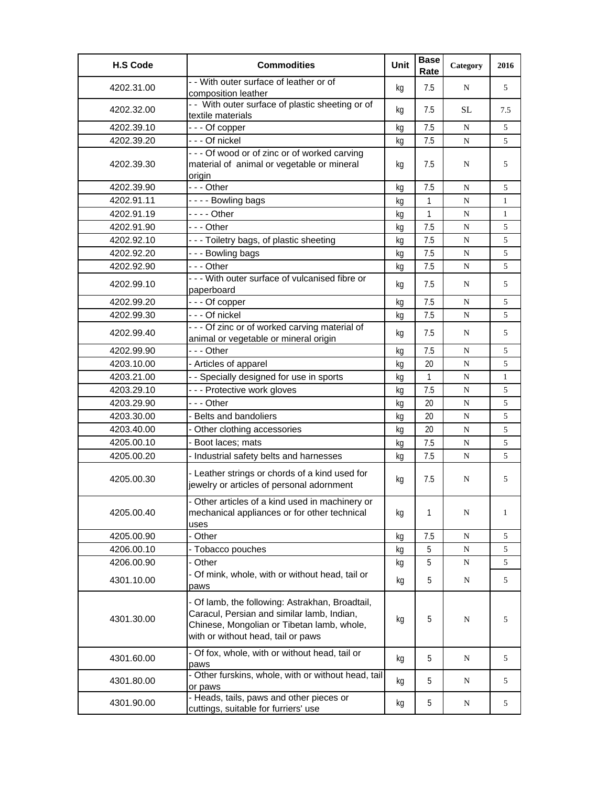| <b>H.S Code</b> | <b>Commodities</b>                                                                                                                                                                | <b>Unit</b> | <b>Base</b><br>Rate | Category  | 2016         |
|-----------------|-----------------------------------------------------------------------------------------------------------------------------------------------------------------------------------|-------------|---------------------|-----------|--------------|
| 4202.31.00      | - - With outer surface of leather or of<br>composition leather                                                                                                                    | kg          | 7.5                 | N         | 5            |
| 4202.32.00      | - - With outer surface of plastic sheeting or of<br>textile materials                                                                                                             | kg          | 7.5                 | <b>SL</b> | 7.5          |
| 4202.39.10      | --- Of copper                                                                                                                                                                     | kg          | 7.5                 | N         | 5            |
| 4202.39.20      | --- Of nickel                                                                                                                                                                     | kq          | 7.5                 | N         | 5            |
| 4202.39.30      | --- Of wood or of zinc or of worked carving<br>material of animal or vegetable or mineral<br>origin                                                                               | kg          | 7.5                 | N         | 5            |
| 4202.39.90      | $- -$ Other                                                                                                                                                                       | kg          | 7.5                 | N         | 5            |
| 4202.91.11      | - - - - Bowling bags                                                                                                                                                              | kg          | $\mathbf{1}$        | N         | $\mathbf{1}$ |
| 4202.91.19      | - - - - Other                                                                                                                                                                     | kg          | 1                   | N         | 1            |
| 4202.91.90      | - - - Other                                                                                                                                                                       | kq          | 7.5                 | N         | 5            |
| 4202.92.10      | - - - Toiletry bags, of plastic sheeting                                                                                                                                          | kg          | 7.5                 | N         | 5            |
| 4202.92.20      | --- Bowling bags                                                                                                                                                                  | kg          | 7.5                 | N         | 5            |
| 4202.92.90      | - - - Other                                                                                                                                                                       | kg          | 7.5                 | N         | 5            |
| 4202.99.10      | - - - With outer surface of vulcanised fibre or<br>paperboard                                                                                                                     | kg          | 7.5                 | N         | 5            |
| 4202.99.20      | --- Of copper                                                                                                                                                                     | kg          | 7.5                 | N         | 5            |
| 4202.99.30      | - - - Of nickel                                                                                                                                                                   | kg          | 7.5                 | N         | 5            |
| 4202.99.40      | - - - Of zinc or of worked carving material of<br>animal or vegetable or mineral origin                                                                                           | kq          | 7.5                 | N         | 5            |
| 4202.99.90      | -  - - Other                                                                                                                                                                      | kg          | 7.5                 | N         | 5            |
| 4203.10.00      | - Articles of apparel                                                                                                                                                             | kg          | 20                  | ${\bf N}$ | 5            |
| 4203.21.00      | - - Specially designed for use in sports                                                                                                                                          | kg          | $\mathbf{1}$        | N         | $\mathbf{1}$ |
| 4203.29.10      | --- Protective work gloves                                                                                                                                                        | kg          | 7.5                 | N         | 5            |
| 4203.29.90      | --- Other                                                                                                                                                                         | kg          | 20                  | N         | 5            |
| 4203.30.00      | - Belts and bandoliers                                                                                                                                                            | kg          | 20                  | N         | 5            |
| 4203.40.00      | - Other clothing accessories                                                                                                                                                      | kq          | 20                  | N         | 5            |
| 4205.00.10      | - Boot laces; mats                                                                                                                                                                | kg          | 7.5                 | N         | 5            |
| 4205.00.20      | - Industrial safety belts and harnesses                                                                                                                                           | kg          | 7.5                 | N         | 5            |
| 4205.00.30      | - Leather strings or chords of a kind used for<br>jewelry or articles of personal adornment                                                                                       | kg          | 7.5                 | N         | 5            |
| 4205.00.40      | - Other articles of a kind used in machinery or<br>mechanical appliances or for other technical<br>uses                                                                           | kg          | 1                   | N         | 1            |
| 4205.00.90      | - Other                                                                                                                                                                           | kg          | 7.5                 | N         | 5            |
| 4206.00.10      | - Tobacco pouches                                                                                                                                                                 | kg          | 5                   | ${\bf N}$ | 5            |
| 4206.00.90      | - Other                                                                                                                                                                           | kg          | 5                   | N         | 5            |
| 4301.10.00      | - Of mink, whole, with or without head, tail or<br>paws                                                                                                                           | kg          | 5                   | N         | 5            |
| 4301.30.00      | - Of lamb, the following: Astrakhan, Broadtail,<br>Caracul, Persian and similar lamb, Indian,<br>Chinese, Mongolian or Tibetan lamb, whole,<br>with or without head, tail or paws | kg          | 5                   | N         | 5            |
| 4301.60.00      | - Of fox, whole, with or without head, tail or<br>paws                                                                                                                            | kg          | 5                   | N         | 5            |
| 4301.80.00      | - Other furskins, whole, with or without head, tail<br>or paws                                                                                                                    | kg          | 5                   | N         | 5            |
| 4301.90.00      | - Heads, tails, paws and other pieces or<br>cuttings, suitable for furriers' use                                                                                                  | kg          | 5                   | N         | 5            |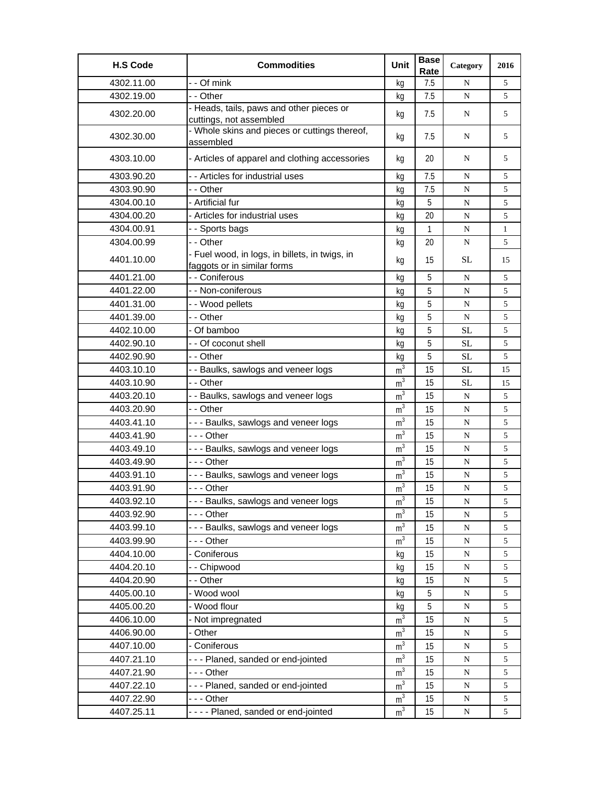| <b>H.S Code</b> | <b>Commodities</b>                                                            | Unit           | <b>Base</b><br>Rate | Category  | 2016         |
|-----------------|-------------------------------------------------------------------------------|----------------|---------------------|-----------|--------------|
| 4302.11.00      | - - Of mink                                                                   | kg             | 7.5                 | N         | 5            |
| 4302.19.00      | - - Other                                                                     | kg             | 7.5                 | N         | 5            |
| 4302.20.00      | - Heads, tails, paws and other pieces or<br>cuttings, not assembled           | kg             | 7.5                 | N         | 5            |
| 4302.30.00      | - Whole skins and pieces or cuttings thereof,<br>assembled                    | kg             | 7.5                 | N         | 5            |
| 4303.10.00      | - Articles of apparel and clothing accessories                                | kg             | 20                  | N         | 5            |
| 4303.90.20      | - - Articles for industrial uses                                              | kg             | 7.5                 | N         | 5            |
| 4303.90.90      | - - Other                                                                     | kg             | 7.5                 | ${\bf N}$ | 5            |
| 4304.00.10      | - Artificial fur                                                              | kg             | 5                   | N         | 5            |
| 4304.00.20      | - Articles for industrial uses                                                | kg             | 20                  | ${\bf N}$ | $\sqrt{5}$   |
| 4304.00.91      | - - Sports bags                                                               | kg             | $\mathbf{1}$        | ${\bf N}$ | $\mathbf{1}$ |
| 4304.00.99      | - - Other                                                                     | kg             | 20                  | N         | 5            |
| 4401.10.00      | - Fuel wood, in logs, in billets, in twigs, in<br>faggots or in similar forms | kg             | 15                  | SL        | 15           |
| 4401.21.00      | - - Coniferous                                                                | kg             | 5                   | N         | 5            |
| 4401.22.00      | - - Non-coniferous                                                            | kg             | 5                   | N         | 5            |
| 4401.31.00      | - - Wood pellets                                                              | kg             | 5                   | N         | 5            |
| 4401.39.00      | - - Other                                                                     | kg             | 5                   | N         | $\sqrt{5}$   |
| 4402.10.00      | - Of bamboo                                                                   | kg             | 5                   | SL        | $\sqrt{5}$   |
| 4402.90.10      | - - Of coconut shell                                                          | kg             | 5                   | <b>SL</b> | 5            |
| 4402.90.90      | - - Other                                                                     | kg             | 5                   | SL        | 5            |
| 4403.10.10      | - - Baulks, sawlogs and veneer logs                                           | m <sup>3</sup> | 15                  | SL        | 15           |
| 4403.10.90      | - - Other                                                                     | m <sup>3</sup> | 15                  | SL        | 15           |
| 4403.20.10      | - - Baulks, sawlogs and veneer logs                                           | m <sup>3</sup> | 15                  | N         | 5            |
| 4403.20.90      | - - Other                                                                     | m <sup>3</sup> | 15                  | N         | 5            |
| 4403.41.10      | --- Baulks, sawlogs and veneer logs                                           | m <sup>3</sup> | 15                  | N         | 5            |
| 4403.41.90      | --- Other                                                                     | m <sup>3</sup> | 15                  | N         | 5            |
| 4403.49.10      | - - - Baulks, sawlogs and veneer logs                                         | m <sup>3</sup> | 15                  | N         | 5            |
| 4403.49.90      | $- -$ Other                                                                   | m <sup>3</sup> | 15                  | N         | 5            |
| 4403.91.10      | --- Baulks, sawlogs and veneer logs                                           | m <sup>3</sup> | 15                  | N         | 5            |
| 4403.91.90      | --- Other                                                                     | m <sup>3</sup> | 15                  | N         | 5            |
| 4403.92.10      | - - - Baulks, sawlogs and veneer logs                                         | m              | 15                  | N         | 5            |
| 4403.92.90      | --- Other                                                                     | m <sup>3</sup> | 15                  | N         | 5            |
| 4403.99.10      | --- Baulks, sawlogs and veneer logs                                           | m <sup>3</sup> | 15                  | ${\bf N}$ | 5            |
| 4403.99.90      | - - - Other                                                                   | m <sup>3</sup> | 15                  | ${\bf N}$ | 5            |
| 4404.10.00      | - Coniferous                                                                  | kg             | 15                  | ${\bf N}$ | 5            |
| 4404.20.10      | - - Chipwood                                                                  | kg             | 15                  | N         | $\sqrt{5}$   |
| 4404.20.90      | - - Other                                                                     | kg             | 15                  | ${\bf N}$ | 5            |
| 4405.00.10      | - Wood wool                                                                   | kg             | 5                   | ${\bf N}$ | 5            |
| 4405.00.20      | - Wood flour                                                                  | kg             | 5                   | ${\bf N}$ | 5            |
| 4406.10.00      | - Not impregnated                                                             | m <sup>3</sup> | 15                  | ${\bf N}$ | $\sqrt{5}$   |
| 4406.90.00      | - Other                                                                       | m <sup>3</sup> | 15                  | ${\bf N}$ | $\sqrt{5}$   |
| 4407.10.00      | - Coniferous                                                                  | m <sup>3</sup> | 15                  | N         | 5            |
| 4407.21.10      | --- Planed, sanded or end-jointed                                             | m <sup>3</sup> | 15                  | ${\bf N}$ | 5            |
| 4407.21.90      | --- Other                                                                     | $m^3$          | 15                  | ${\bf N}$ | 5            |
| 4407.22.10      | --- Planed, sanded or end-jointed                                             | m <sup>3</sup> | 15                  | ${\bf N}$ | 5            |
| 4407.22.90      | - - - Other                                                                   | m <sup>3</sup> | 15                  | ${\bf N}$ | $\sqrt{5}$   |
| 4407.25.11      | ---- Planed, sanded or end-jointed                                            | m <sup>3</sup> | 15                  | ${\bf N}$ | 5            |
|                 |                                                                               |                |                     |           |              |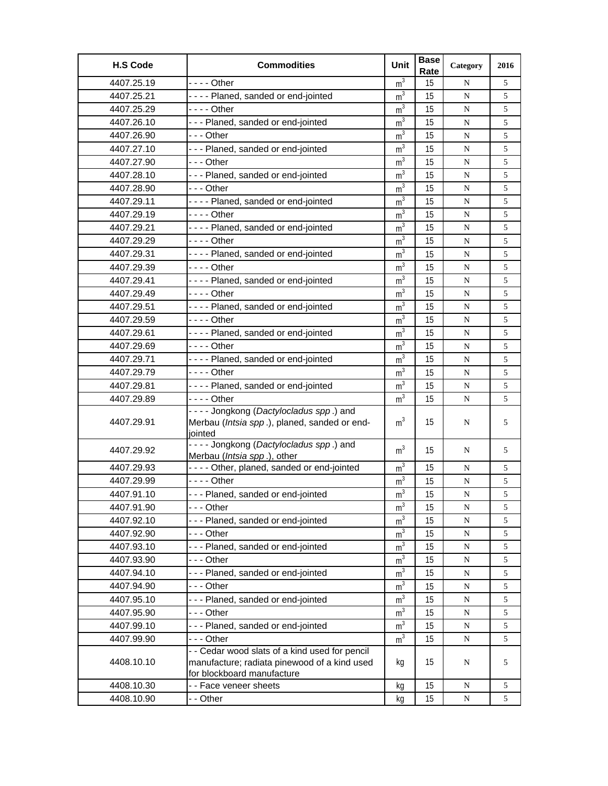| <b>H.S Code</b> | <b>Commodities</b>                                                                                                           | Unit           | <b>Base</b><br>Rate | Category  | 2016 |
|-----------------|------------------------------------------------------------------------------------------------------------------------------|----------------|---------------------|-----------|------|
| 4407.25.19      | $--$ Other                                                                                                                   | m <sup>3</sup> | 15                  | N         | 5    |
| 4407.25.21      | ---- Planed, sanded or end-jointed                                                                                           | m <sup>3</sup> | 15                  | N         | 5    |
| 4407.25.29      | - - - - Other                                                                                                                | m <sup>3</sup> | 15                  | N         | 5    |
| 4407.26.10      | --- Planed, sanded or end-jointed                                                                                            | m <sup>3</sup> | 15                  | N         | 5    |
| 4407.26.90      | - - - Other                                                                                                                  | m <sup>3</sup> | 15                  | N         | 5    |
| 4407.27.10      | --- Planed, sanded or end-jointed                                                                                            | m <sup>3</sup> | 15                  | ${\bf N}$ | 5    |
| 4407.27.90      | -  - - Other                                                                                                                 | m <sup>3</sup> | 15                  | ${\bf N}$ | 5    |
| 4407.28.10      | --- Planed, sanded or end-jointed                                                                                            | m <sup>3</sup> | 15                  | ${\bf N}$ | 5    |
| 4407.28.90      | --- Other                                                                                                                    | m <sup>3</sup> | 15                  | N         | 5    |
| 4407.29.11      | ---- Planed, sanded or end-jointed                                                                                           | m <sup>3</sup> | 15                  | N         | 5    |
| 4407.29.19      | - - - - Other                                                                                                                | m <sup>3</sup> | 15                  | N         | 5    |
| 4407.29.21      | ---- Planed, sanded or end-jointed                                                                                           | m <sup>3</sup> | 15                  | ${\bf N}$ | 5    |
| 4407.29.29      | - - - - Other                                                                                                                | m <sup>3</sup> | 15                  | ${\bf N}$ | 5    |
| 4407.29.31      | ---- Planed, sanded or end-jointed                                                                                           | m <sup>3</sup> | 15                  | N         | 5    |
| 4407.29.39      | - - - - Other                                                                                                                | m <sup>3</sup> | 15                  | N         | 5    |
| 4407.29.41      | ---- Planed, sanded or end-jointed                                                                                           | m <sup>3</sup> | 15                  | N         | 5    |
| 4407.29.49      |                                                                                                                              | m <sup>3</sup> | 15                  | ${\bf N}$ | 5    |
| 4407.29.51      | ---- Planed, sanded or end-jointed                                                                                           | m <sup>3</sup> | 15                  | ${\bf N}$ | 5    |
| 4407.29.59      | - - - - Other                                                                                                                | m <sup>3</sup> | 15                  | ${\bf N}$ | 5    |
| 4407.29.61      | ---- Planed, sanded or end-jointed                                                                                           | m <sup>3</sup> | 15                  | N         | 5    |
| 4407.29.69      | - - - - Other                                                                                                                | m <sup>3</sup> | 15                  | ${\bf N}$ | 5    |
| 4407.29.71      | ---- Planed, sanded or end-jointed                                                                                           | m <sup>3</sup> | 15                  | N         | 5    |
| 4407.29.79      | - - - - Other                                                                                                                | m <sup>3</sup> | 15                  | ${\bf N}$ | 5    |
| 4407.29.81      | ---- Planed, sanded or end-jointed                                                                                           | m <sup>3</sup> | 15                  | N         | 5    |
| 4407.29.89      |                                                                                                                              | m <sup>3</sup> | 15                  | ${\bf N}$ | 5    |
|                 | ---- Jongkong (Dactylocladus spp.) and                                                                                       |                |                     |           |      |
| 4407.29.91      | Merbau (Intsia spp.), planed, sanded or end-<br>jointed                                                                      | m <sup>3</sup> | 15                  | N         | 5    |
| 4407.29.92      | ---- Jongkong (Dactylocladus spp.) and<br>Merbau (Intsia spp.), other                                                        | m <sup>3</sup> | 15                  | N         | 5    |
| 4407.29.93      | - - - - Other, planed, sanded or end-jointed                                                                                 | m <sup>3</sup> | 15                  | N         | 5    |
| 4407.29.99      | - - - - Other                                                                                                                | m <sup>3</sup> | 15                  | N         | 5    |
| 4407.91.10      | --- Planed, sanded or end-jointed                                                                                            | $\mathsf{m}^3$ | 15                  | ${\bf N}$ | 5    |
| 4407.91.90      | --- Other                                                                                                                    | m <sup>3</sup> | 15                  | N         | 5    |
| 4407.92.10      | --- Planed, sanded or end-jointed                                                                                            | m <sup>3</sup> | 15                  | ${\bf N}$ | 5    |
| 4407.92.90      | --- Other                                                                                                                    | m <sup>3</sup> | 15                  | ${\bf N}$ | 5    |
| 4407.93.10      | --- Planed, sanded or end-jointed                                                                                            | m <sup>3</sup> | 15                  | ${\bf N}$ | 5    |
| 4407.93.90      | - - - Other                                                                                                                  | m <sup>3</sup> | 15                  | ${\bf N}$ | 5    |
| 4407.94.10      | --- Planed, sanded or end-jointed                                                                                            | m <sup>3</sup> | 15                  | N         | 5    |
| 4407.94.90      | -  - - Other                                                                                                                 | m <sup>3</sup> | 15                  | ${\bf N}$ | 5    |
| 4407.95.10      | --- Planed, sanded or end-jointed                                                                                            | m <sup>3</sup> | 15                  | ${\bf N}$ | 5    |
| 4407.95.90      | -  - - Other                                                                                                                 | m <sup>3</sup> | 15                  | ${\bf N}$ | 5    |
| 4407.99.10      | --- Planed, sanded or end-jointed                                                                                            | m <sup>3</sup> | 15                  | ${\bf N}$ | 5    |
| 4407.99.90      | --- Other                                                                                                                    | m <sup>3</sup> | 15                  | ${\bf N}$ | 5    |
| 4408.10.10      | - - Cedar wood slats of a kind used for pencil<br>manufacture; radiata pinewood of a kind used<br>for blockboard manufacture | kg             | 15                  | N         | 5    |
| 4408.10.30      | - - Face veneer sheets                                                                                                       | kg             | 15                  | ${\bf N}$ | 5    |
| 4408.10.90      | - - Other                                                                                                                    | kg             | 15                  | ${\bf N}$ | 5    |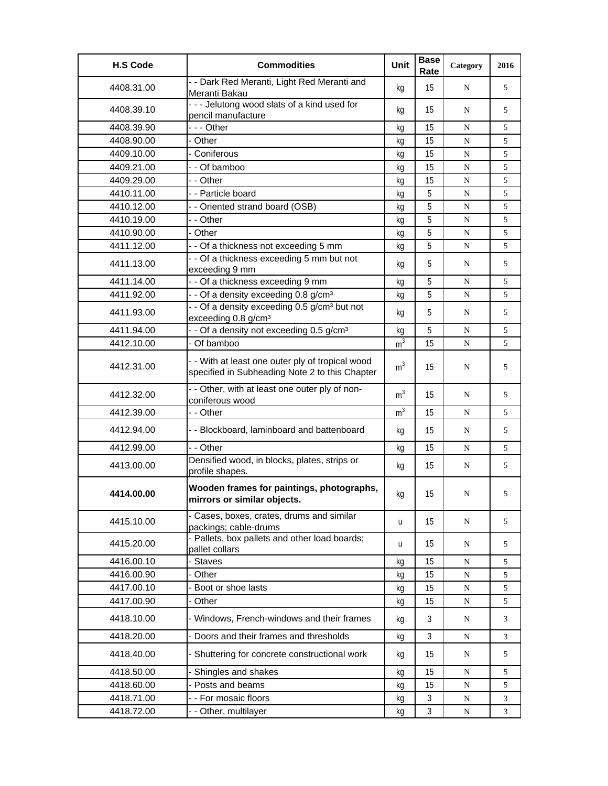| <b>H.S Code</b> | <b>Commodities</b>                                                                                 | Unit           | <b>Base</b><br>Rate | Category    | 2016 |
|-----------------|----------------------------------------------------------------------------------------------------|----------------|---------------------|-------------|------|
| 4408.31.00      | - - Dark Red Meranti, Light Red Meranti and<br>Meranti Bakau                                       | kg             | 15                  | N           | 5    |
| 4408.39.10      | --- Jelutong wood slats of a kind used for<br>pencil manufacture                                   | kq             | 15                  | N           | 5    |
| 4408.39.90      | --- Other                                                                                          | kg             | 15                  | N           | 5    |
| 4408.90.00      | - Other                                                                                            | kg             | 15                  | $\mathbf N$ | 5    |
| 4409.10.00      | - Coniferous                                                                                       | kg             | 15                  | N           | 5    |
| 4409.21.00      | - - Of bamboo                                                                                      | kg             | 15                  | N           | 5    |
| 4409.29.00      | - - Other                                                                                          | kg             | 15                  | N           | 5    |
| 4410.11.00      | - - Particle board                                                                                 | kg             | 5                   | ${\bf N}$   | 5    |
| 4410.12.00      | - - Oriented strand board (OSB)                                                                    | kg             | 5                   | N           | 5    |
| 4410.19.00      | - - Other                                                                                          | kg             | 5                   | N           | 5    |
| 4410.90.00      | - Other                                                                                            | kg             | 5                   | ${\bf N}$   | 5    |
| 4411.12.00      | - - Of a thickness not exceeding 5 mm                                                              | kg             | 5                   | N           | 5    |
| 4411.13.00      | - - Of a thickness exceeding 5 mm but not<br>exceeding 9 mm                                        | kg             | 5                   | N           | 5    |
| 4411.14.00      | - - Of a thickness exceeding 9 mm                                                                  | kg             | 5                   | N           | 5    |
| 4411.92.00      | - - Of a density exceeding 0.8 g/cm <sup>3</sup>                                                   | kq             | 5                   | N           | 5    |
| 4411.93.00      | - - Of a density exceeding 0.5 g/cm <sup>3</sup> but not<br>exceeding 0.8 g/cm <sup>3</sup>        | kg             | 5                   | N           | 5    |
| 4411.94.00      | - - Of a density not exceeding 0.5 g/cm <sup>3</sup>                                               | kg             | 5                   | N           | 5    |
| 4412.10.00      | - Of bamboo                                                                                        | m <sup>3</sup> | 15                  | ${\bf N}$   | 5    |
| 4412.31.00      | - - With at least one outer ply of tropical wood<br>specified in Subheading Note 2 to this Chapter | m <sup>3</sup> | 15                  | N           | 5    |
| 4412.32.00      | - - Other, with at least one outer ply of non-<br>coniferous wood                                  | m <sup>3</sup> | 15                  | N           | 5    |
| 4412.39.00      | - - Other                                                                                          | m <sup>3</sup> | 15                  | N           | 5    |
| 4412.94.00      | - - Blockboard, laminboard and battenboard                                                         | kg             | 15                  | N           | 5    |
| 4412.99.00      | - - Other                                                                                          | kg             | 15                  | N           | 5    |
| 4413.00.00      | Densified wood, in blocks, plates, strips or<br>profile shapes.                                    | kg             | 15                  | N           | 5    |
| 4414.00.00      | Wooden frames for paintings, photographs,<br>mirrors or similar objects.                           | kg             | 15                  | N           | 5    |
| 4415.10.00      | - Cases, boxes, crates, drums and similar<br>packings; cable-drums                                 | u              | 15                  | N           | 5    |
| 4415.20.00      | - Pallets, box pallets and other load boards;<br>pallet collars                                    | u              | 15                  | N           | 5    |
| 4416.00.10      | - Staves                                                                                           | kg             | 15                  | ${\bf N}$   | 5    |
| 4416.00.90      | - Other                                                                                            | kg             | 15                  | ${\bf N}$   | 5    |
| 4417.00.10      | Boot or shoe lasts                                                                                 | kg             | 15                  | ${\bf N}$   | 5    |
| 4417.00.90      | Other                                                                                              | kg             | 15                  | ${\bf N}$   | 5    |
| 4418.10.00      | - Windows, French-windows and their frames                                                         | kg             | 3                   | N           | 3    |
| 4418.20.00      | - Doors and their frames and thresholds                                                            | kg             | 3                   | N           | 3    |
| 4418.40.00      | - Shuttering for concrete constructional work                                                      | kg             | 15                  | N           | 5    |
| 4418.50.00      | Shingles and shakes                                                                                | kg             | 15                  | N           | 5    |
| 4418.60.00      | - Posts and beams                                                                                  | kg             | 15                  | ${\bf N}$   | 5    |
| 4418.71.00      | - - For mosaic floors                                                                              | kg             | 3                   | N           | 3    |
| 4418.72.00      | - - Other, multilayer                                                                              | kg             | 3                   | ${\bf N}$   | 3    |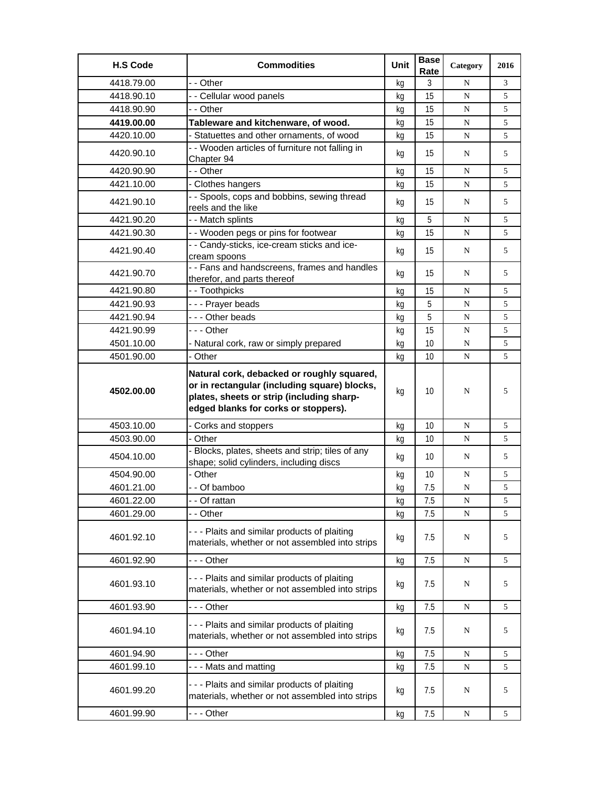| <b>H.S Code</b> | <b>Commodities</b>                                                                                                                                                              | Unit | <b>Base</b><br>Rate | Category  | 2016 |
|-----------------|---------------------------------------------------------------------------------------------------------------------------------------------------------------------------------|------|---------------------|-----------|------|
| 4418.79.00      | - - Other                                                                                                                                                                       | kg   | 3                   | N         | 3    |
| 4418.90.10      | - - Cellular wood panels                                                                                                                                                        | kg   | 15                  | N         | 5    |
| 4418.90.90      | - - Other                                                                                                                                                                       | kg   | 15                  | N         | 5    |
| 4419.00.00      | Tableware and kitchenware, of wood.                                                                                                                                             | kg   | 15                  | N         | 5    |
| 4420.10.00      | - Statuettes and other ornaments, of wood                                                                                                                                       | kg   | 15                  | N         | 5    |
| 4420.90.10      | - - Wooden articles of furniture not falling in<br>Chapter 94                                                                                                                   | kg   | 15                  | N         | 5    |
| 4420.90.90      | - - Other                                                                                                                                                                       | kg   | 15                  | N         | 5    |
| 4421.10.00      | - Clothes hangers                                                                                                                                                               | kg   | 15                  | N         | 5    |
| 4421.90.10      | - - Spools, cops and bobbins, sewing thread<br>reels and the like                                                                                                               | kg   | 15                  | N         | 5    |
| 4421.90.20      | - - Match splints                                                                                                                                                               | kg   | 5                   | N         | 5    |
| 4421.90.30      | - - Wooden pegs or pins for footwear                                                                                                                                            | kg   | 15                  | N         | 5    |
| 4421.90.40      | - - Candy-sticks, ice-cream sticks and ice-<br>cream spoons                                                                                                                     | kg   | 15                  | N         | 5    |
| 4421.90.70      | - - Fans and handscreens, frames and handles<br>therefor, and parts thereof                                                                                                     | kg   | 15                  | N         | 5    |
| 4421.90.80      | - - Toothpicks                                                                                                                                                                  | kq   | 15                  | N         | 5    |
| 4421.90.93      | --- Prayer beads                                                                                                                                                                | kg   | 5                   | N         | 5    |
| 4421.90.94      | --- Other beads                                                                                                                                                                 | kg   | 5                   | ${\bf N}$ | 5    |
| 4421.90.99      | --- Other                                                                                                                                                                       | kg   | 15                  | N         | 5    |
| 4501.10.00      | - Natural cork, raw or simply prepared                                                                                                                                          | kg   | 10                  | N         | 5    |
| 4501.90.00      | - Other                                                                                                                                                                         | kg   | 10                  | ${\bf N}$ | 5    |
| 4502.00.00      | Natural cork, debacked or roughly squared,<br>or in rectangular (including square) blocks,<br>plates, sheets or strip (including sharp-<br>edged blanks for corks or stoppers). | kg   | 10 <sup>°</sup>     | ${\bf N}$ | 5    |
| 4503.10.00      | - Corks and stoppers                                                                                                                                                            | kg   | 10                  | N         | 5    |
| 4503.90.00      | - Other                                                                                                                                                                         | kg   | 10                  | N         | 5    |
| 4504.10.00      | - Blocks, plates, sheets and strip; tiles of any<br>shape; solid cylinders, including discs                                                                                     | kg   | 10                  | N         | 5    |
| 4504.90.00      | - Other                                                                                                                                                                         | kg   | 10                  | N         | 5    |
| 4601.21.00      | - - Of bamboo                                                                                                                                                                   | kg   | 7.5                 | N         | 5    |
| 4601.22.00      | - - Of rattan                                                                                                                                                                   | кg   | 7.5                 | N         | 5    |
| 4601.29.00      | - - Other                                                                                                                                                                       | kg   | 7.5                 | N         | 5    |
| 4601.92.10      | --- Plaits and similar products of plaiting<br>materials, whether or not assembled into strips                                                                                  | kg   | 7.5                 | N         | 5    |
| 4601.92.90      | - - - Other                                                                                                                                                                     | kg   | 7.5                 | N         | 5    |
| 4601.93.10      | --- Plaits and similar products of plaiting<br>materials, whether or not assembled into strips                                                                                  | kg   | 7.5                 | N         | 5    |
| 4601.93.90      | - - - Other                                                                                                                                                                     | kg   | 7.5                 | N         | 5    |
| 4601.94.10      | - - - Plaits and similar products of plaiting<br>materials, whether or not assembled into strips                                                                                | kg   | 7.5                 | N         | 5    |
| 4601.94.90      | - - - Other                                                                                                                                                                     | kg   | 7.5                 | N         | 5    |
| 4601.99.10      | --- Mats and matting                                                                                                                                                            | kg   | 7.5                 | N         | 5    |
| 4601.99.20      | --- Plaits and similar products of plaiting<br>materials, whether or not assembled into strips                                                                                  | kg   | 7.5                 | N         | 5    |
| 4601.99.90      | --- Other                                                                                                                                                                       | kg   | 7.5                 | N         | 5    |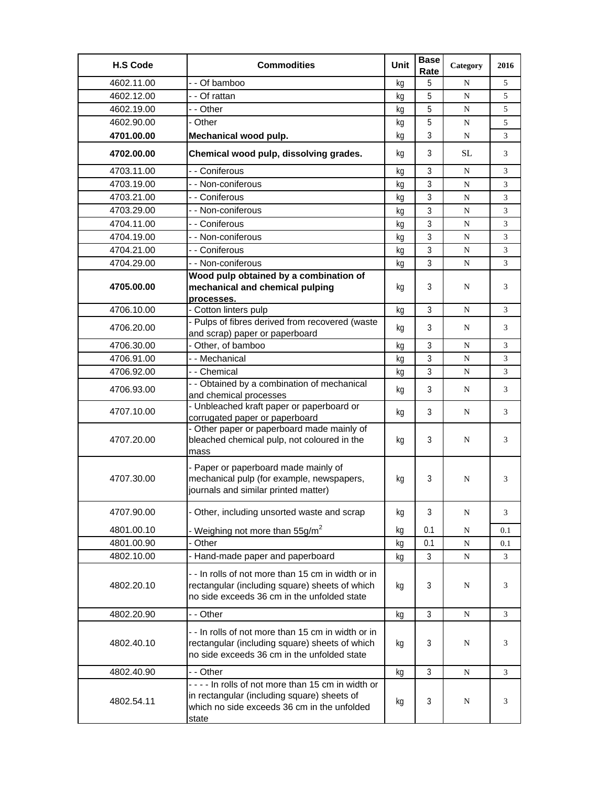| <b>H.S Code</b> | <b>Commodities</b>                                                                                                                                      | Unit | <b>Base</b><br>Rate | Category  | 2016 |
|-----------------|---------------------------------------------------------------------------------------------------------------------------------------------------------|------|---------------------|-----------|------|
| 4602.11.00      | - - Of bamboo                                                                                                                                           | kq   | 5                   | N         | 5    |
| 4602.12.00      | - - Of rattan                                                                                                                                           | kq   | 5                   | N         | 5    |
| 4602.19.00      | - - Other                                                                                                                                               | kg   | 5                   | N         | 5    |
| 4602.90.00      | - Other                                                                                                                                                 | kg   | 5                   | N         | 5    |
| 4701.00.00      | Mechanical wood pulp.                                                                                                                                   | kq   | 3                   | N         | 3    |
| 4702.00.00      | Chemical wood pulp, dissolving grades.                                                                                                                  | kg   | 3                   | <b>SL</b> | 3    |
| 4703.11.00      | - - Coniferous                                                                                                                                          | kg   | 3                   | N         | 3    |
| 4703.19.00      | - - Non-coniferous                                                                                                                                      | kq   | 3                   | N         | 3    |
| 4703.21.00      | - - Coniferous                                                                                                                                          | kg   | 3                   | ${\bf N}$ | 3    |
| 4703.29.00      | - - Non-coniferous                                                                                                                                      | kg   | 3                   | N         | 3    |
| 4704.11.00      | - - Coniferous                                                                                                                                          | kg   | 3                   | N         | 3    |
| 4704.19.00      | - - Non-coniferous                                                                                                                                      | kg   | 3                   | N         | 3    |
| 4704.21.00      | - - Coniferous                                                                                                                                          | kq   | 3                   | ${\bf N}$ | 3    |
| 4704.29.00      | - - Non-coniferous                                                                                                                                      | kg   | 3                   | N         | 3    |
|                 | Wood pulp obtained by a combination of                                                                                                                  |      |                     |           |      |
| 4705.00.00      | mechanical and chemical pulping                                                                                                                         | kg   | 3                   | N         | 3    |
| 4706.10.00      | processes.<br>- Cotton linters pulp                                                                                                                     | kg   | 3                   | N         | 3    |
|                 | - Pulps of fibres derived from recovered (waste                                                                                                         |      |                     |           |      |
| 4706.20.00      | and scrap) paper or paperboard                                                                                                                          | kg   | 3                   | N         | 3    |
| 4706.30.00      | - Other, of bamboo                                                                                                                                      | kq   | 3                   | N         | 3    |
| 4706.91.00      | - - Mechanical                                                                                                                                          | kg   | 3                   | N         | 3    |
| 4706.92.00      | - - Chemical                                                                                                                                            | kg   | 3                   | N         | 3    |
| 4706.93.00      | - - Obtained by a combination of mechanical<br>and chemical processes                                                                                   | kg   | 3                   | N         | 3    |
| 4707.10.00      | - Unbleached kraft paper or paperboard or<br>corrugated paper or paperboard                                                                             | kg   | 3                   | N         | 3    |
| 4707.20.00      | - Other paper or paperboard made mainly of<br>bleached chemical pulp, not coloured in the<br>mass                                                       | kg   | 3                   | N         | 3    |
| 4707.30.00      | - Paper or paperboard made mainly of<br>mechanical pulp (for example, newspapers,<br>journals and similar printed matter)                               | kq   | 3                   | N         | 3    |
| 4707.90.00      | - Other, including unsorted waste and scrap                                                                                                             | kg   | 3                   | N         | 3    |
| 4801.00.10      | Weighing not more than 55g/m <sup>2</sup>                                                                                                               | kg   | 0.1                 | N         | 0.1  |
| 4801.00.90      | Other                                                                                                                                                   | kg   | 0.1                 | N         | 0.1  |
| 4802.10.00      | - Hand-made paper and paperboard                                                                                                                        | kg   | 3                   | ${\bf N}$ | 3    |
| 4802.20.10      | - - In rolls of not more than 15 cm in width or in<br>rectangular (including square) sheets of which<br>no side exceeds 36 cm in the unfolded state     | kg   | 3                   | N         | 3    |
| 4802.20.90      | - - Other                                                                                                                                               | kg   | $\mathfrak{Z}$      | N         | 3    |
| 4802.40.10      | - - In rolls of not more than 15 cm in width or in<br>rectangular (including square) sheets of which<br>no side exceeds 36 cm in the unfolded state     | kg   | 3                   | N         | 3    |
| 4802.40.90      | - - Other                                                                                                                                               | kg   | 3                   | N         | 3    |
| 4802.54.11      | ---- In rolls of not more than 15 cm in width or<br>in rectangular (including square) sheets of<br>which no side exceeds 36 cm in the unfolded<br>state | kg   | 3                   | N         | 3    |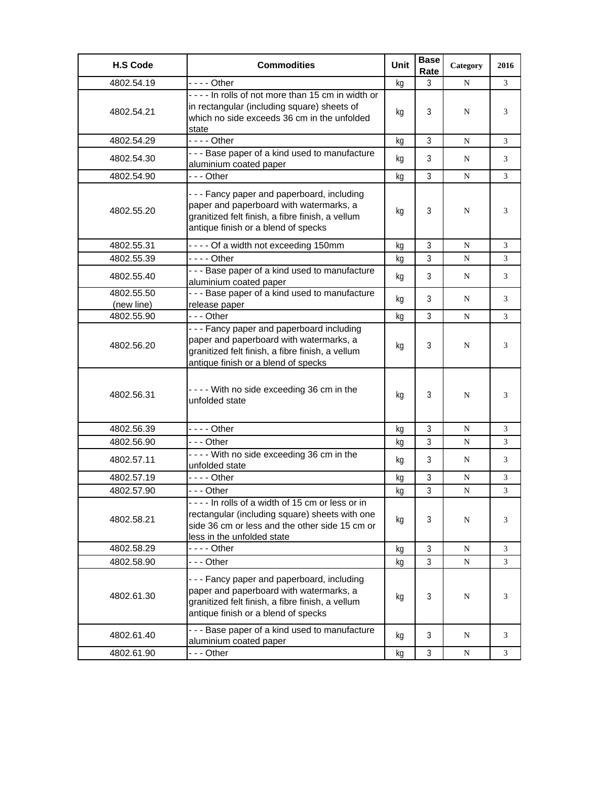| <b>H.S Code</b>          | <b>Commodities</b>                                                                                                                                                                | Unit | <b>Base</b><br>Rate | Category  | 2016 |
|--------------------------|-----------------------------------------------------------------------------------------------------------------------------------------------------------------------------------|------|---------------------|-----------|------|
| 4802.54.19               | $--$ Other                                                                                                                                                                        | kg   | 3                   | N         | 3    |
| 4802.54.21               | ---- In rolls of not more than 15 cm in width or<br>in rectangular (including square) sheets of<br>which no side exceeds 36 cm in the unfolded<br>state                           | kg   | 3                   | N         | 3    |
| 4802.54.29               | $--$ Other                                                                                                                                                                        | kg   | 3                   | N         | 3    |
| 4802.54.30               | - - - Base paper of a kind used to manufacture<br>aluminium coated paper                                                                                                          | kg   | 3                   | N         | 3    |
| 4802.54.90               | --- Other                                                                                                                                                                         | kg   | $\overline{3}$      | N         | 3    |
| 4802.55.20               | --- Fancy paper and paperboard, including<br>paper and paperboard with watermarks, a<br>granitized felt finish, a fibre finish, a vellum<br>antique finish or a blend of specks   | kg   | 3                   | N         | 3    |
| 4802.55.31               | ---- Of a width not exceeding 150mm                                                                                                                                               | kg   | 3                   | N         | 3    |
| 4802.55.39               | $--$ Other                                                                                                                                                                        | kg   | 3                   | N         | 3    |
| 4802.55.40               | --- Base paper of a kind used to manufacture<br>aluminium coated paper                                                                                                            | kg   | 3                   | N         | 3    |
| 4802.55.50<br>(new line) | - - - Base paper of a kind used to manufacture<br>release paper                                                                                                                   | kg   | 3                   | N         | 3    |
| 4802.55.90               | --- Other                                                                                                                                                                         | kg   | 3                   | N         | 3    |
| 4802.56.20               | --- Fancy paper and paperboard including<br>paper and paperboard with watermarks, a<br>granitized felt finish, a fibre finish, a vellum<br>antique finish or a blend of specks    | kg   | 3                   | N         | 3    |
| 4802.56.31               | ---- With no side exceeding 36 cm in the<br>unfolded state                                                                                                                        | kg   | 3                   | N         | 3    |
| 4802.56.39               | - - - - Other                                                                                                                                                                     | kg   | 3                   | N         | 3    |
| 4802.56.90               | - - - Other                                                                                                                                                                       | kg   | 3                   | N         | 3    |
| 4802.57.11               | ---- With no side exceeding 36 cm in the<br>unfolded state                                                                                                                        | kq   | 3                   | N         | 3    |
| 4802.57.19               | - - - - Other                                                                                                                                                                     | kq   | 3                   | N         | 3    |
| 4802.57.90               | - - - Other                                                                                                                                                                       | kg   | 3                   | N         | 3    |
| 4802.58.21               | ---- In rolls of a width of 15 cm or less or in<br>rectangular (including square) sheets with one<br>side 36 cm or less and the other side 15 cm or<br>less in the unfolded state | kg   | 3                   | N         | 3    |
| 4802.58.29               |                                                                                                                                                                                   | kg   | 3                   | ${\bf N}$ | 3    |
| 4802.58.90               | - - - Other                                                                                                                                                                       | kg   | 3                   | N         | 3    |
| 4802.61.30               | --- Fancy paper and paperboard, including<br>paper and paperboard with watermarks, a<br>granitized felt finish, a fibre finish, a vellum<br>antique finish or a blend of specks   | kg   | 3                   | N         | 3    |
| 4802.61.40               | --- Base paper of a kind used to manufacture<br>aluminium coated paper                                                                                                            | kg   | 3                   | N         | 3    |
| 4802.61.90               | --- Other                                                                                                                                                                         | kg   | $\mathfrak{Z}$      | ${\bf N}$ | 3    |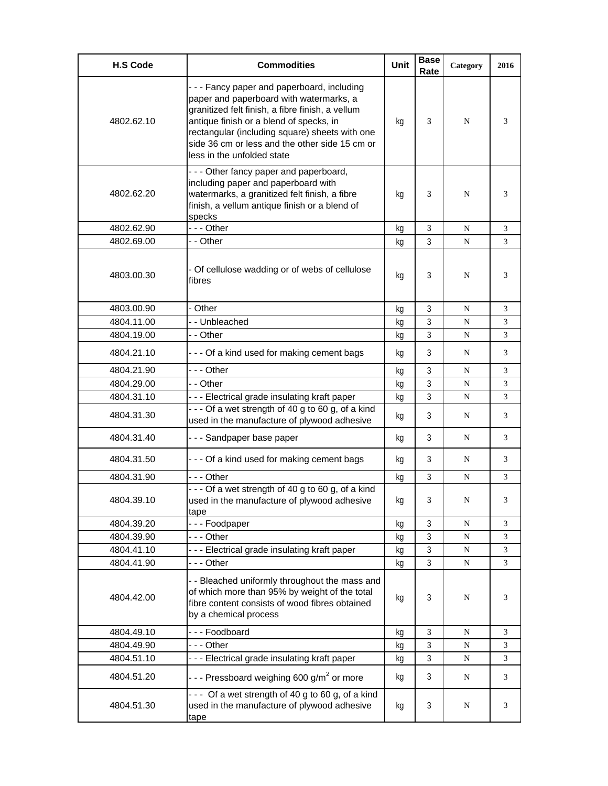| <b>H.S Code</b> | <b>Commodities</b>                                                                                                                                                                                                                                                                                                    | <b>Unit</b> | <b>Base</b><br>Rate | Category  | 2016 |
|-----------------|-----------------------------------------------------------------------------------------------------------------------------------------------------------------------------------------------------------------------------------------------------------------------------------------------------------------------|-------------|---------------------|-----------|------|
| 4802.62.10      | --- Fancy paper and paperboard, including<br>paper and paperboard with watermarks, a<br>granitized felt finish, a fibre finish, a vellum<br>antique finish or a blend of specks, in<br>rectangular (including square) sheets with one<br>side 36 cm or less and the other side 15 cm or<br>less in the unfolded state | kq          | 3                   | N         | 3    |
| 4802.62.20      | --- Other fancy paper and paperboard,<br>including paper and paperboard with<br>watermarks, a granitized felt finish, a fibre<br>finish, a vellum antique finish or a blend of<br>specks                                                                                                                              | kg          | 3                   | N         | 3    |
| 4802.62.90      | --- Other                                                                                                                                                                                                                                                                                                             | kg          | 3                   | N         | 3    |
| 4802.69.00      | - - Other                                                                                                                                                                                                                                                                                                             | kg          | 3                   | N         | 3    |
| 4803.00.30      | - Of cellulose wadding or of webs of cellulose<br>fibres                                                                                                                                                                                                                                                              | kg          | 3                   | N         | 3    |
| 4803.00.90      | - Other                                                                                                                                                                                                                                                                                                               | kg          | 3                   | N         | 3    |
| 4804.11.00      | - - Unbleached                                                                                                                                                                                                                                                                                                        | kg          | 3                   | N         | 3    |
| 4804.19.00      | - - Other                                                                                                                                                                                                                                                                                                             | kg          | 3                   | N         | 3    |
| 4804.21.10      | - - - Of a kind used for making cement bags                                                                                                                                                                                                                                                                           | kg          | 3                   | N         | 3    |
| 4804.21.90      | -  - - Other                                                                                                                                                                                                                                                                                                          | kq          | 3                   | N         | 3    |
| 4804.29.00      | - - Other                                                                                                                                                                                                                                                                                                             | kg          | 3                   | N         | 3    |
| 4804.31.10      | --- Electrical grade insulating kraft paper                                                                                                                                                                                                                                                                           | kg          | 3                   | N         | 3    |
| 4804.31.30      | --- Of a wet strength of 40 g to 60 g, of a kind<br>used in the manufacture of plywood adhesive                                                                                                                                                                                                                       | kg          | 3                   | N         | 3    |
| 4804.31.40      | --- Sandpaper base paper                                                                                                                                                                                                                                                                                              | kg          | 3                   | N         | 3    |
| 4804.31.50      | --- Of a kind used for making cement bags                                                                                                                                                                                                                                                                             | kg          | 3                   | N         | 3    |
| 4804.31.90      | --- Other                                                                                                                                                                                                                                                                                                             | kg          | 3                   | N         | 3    |
| 4804.39.10      | --- Of a wet strength of 40 g to 60 g, of a kind<br>used in the manufacture of plywood adhesive<br>tape                                                                                                                                                                                                               | kg          | 3                   | N         | 3    |
| 4804.39.20      | --- Foodpaper                                                                                                                                                                                                                                                                                                         | kg          | 3                   | N         | 3    |
| 4804.39.90      | --- Other                                                                                                                                                                                                                                                                                                             | kg          | $\mathfrak{Z}$      | N         | 3    |
| 4804.41.10      | --- Electrical grade insulating kraft paper                                                                                                                                                                                                                                                                           | kg          | 3                   | N         | 3    |
| 4804.41.90      | --- Other                                                                                                                                                                                                                                                                                                             | kg          | 3                   | N         | 3    |
| 4804.42.00      | - - Bleached uniformly throughout the mass and<br>of which more than 95% by weight of the total<br>fibre content consists of wood fibres obtained<br>by a chemical process                                                                                                                                            | kg          | 3                   | N         | 3    |
| 4804.49.10      | --- Foodboard                                                                                                                                                                                                                                                                                                         | kg          | 3                   | N         | 3    |
| 4804.49.90      | --- Other                                                                                                                                                                                                                                                                                                             | kg          | 3                   | N         | 3    |
| 4804.51.10      | --- Electrical grade insulating kraft paper                                                                                                                                                                                                                                                                           | kg          | 3                   | ${\bf N}$ | 3    |
| 4804.51.20      | - - - Pressboard weighing 600 g/m <sup>2</sup> or more                                                                                                                                                                                                                                                                | kg          | 3                   | ${\bf N}$ | 3    |
| 4804.51.30      | $- -$ Of a wet strength of 40 g to 60 g, of a kind<br>used in the manufacture of plywood adhesive<br>tape                                                                                                                                                                                                             | kg          | 3                   | N         | 3    |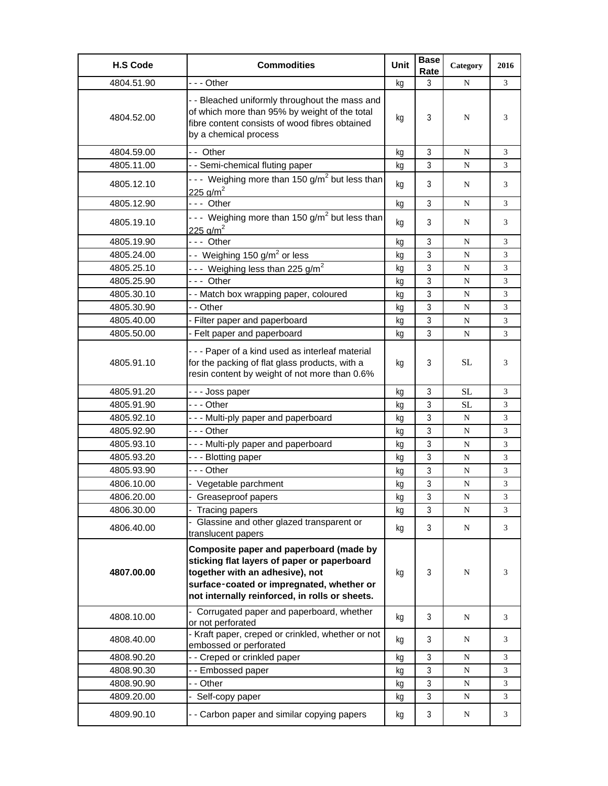| <b>H.S Code</b> | <b>Commodities</b>                                                                                                                                                                                                       | Unit | <b>Base</b><br>Rate | Category  | 2016 |
|-----------------|--------------------------------------------------------------------------------------------------------------------------------------------------------------------------------------------------------------------------|------|---------------------|-----------|------|
| 4804.51.90      | - - - Other                                                                                                                                                                                                              | kg   | 3                   | N         | 3    |
| 4804.52.00      | - - Bleached uniformly throughout the mass and<br>of which more than 95% by weight of the total<br>fibre content consists of wood fibres obtained<br>by a chemical process                                               | kg   | 3                   | N         | 3    |
| 4804.59.00      | -- Other                                                                                                                                                                                                                 | kg   | 3                   | N         | 3    |
| 4805.11.00      | - - Semi-chemical fluting paper                                                                                                                                                                                          | kg   | 3                   | N         | 3    |
| 4805.12.10      | --- Weighing more than 150 g/m <sup>2</sup> but less than<br>225 $q/m^2$                                                                                                                                                 | kg   | 3                   | N         | 3    |
| 4805.12.90      | --- Other                                                                                                                                                                                                                | kg   | 3                   | N         | 3    |
| 4805.19.10      | --- Weighing more than 150 g/m <sup>2</sup> but less than<br>225 g/m <sup>2</sup>                                                                                                                                        | kg   | 3                   | N         | 3    |
| 4805.19.90      | --- Other                                                                                                                                                                                                                | kg   | 3                   | N         | 3    |
| 4805.24.00      | -- Weighing 150 g/m <sup>2</sup> or less                                                                                                                                                                                 | kg   | 3                   | N         | 3    |
| 4805.25.10      | --- Weighing less than 225 g/m <sup>2</sup>                                                                                                                                                                              | kq   | 3                   | N         | 3    |
| 4805.25.90      | --- Other                                                                                                                                                                                                                | kg   | 3                   | ${\bf N}$ | 3    |
| 4805.30.10      | - - Match box wrapping paper, coloured                                                                                                                                                                                   | kg   | 3                   | N         | 3    |
| 4805.30.90      | - - Other                                                                                                                                                                                                                | kg   | 3                   | N         | 3    |
| 4805.40.00      | - Filter paper and paperboard                                                                                                                                                                                            | kg   | 3                   | N         | 3    |
| 4805.50.00      | - Felt paper and paperboard                                                                                                                                                                                              | kg   | 3                   | N         | 3    |
| 4805.91.10      | --- Paper of a kind used as interleaf material<br>for the packing of flat glass products, with a<br>resin content by weight of not more than 0.6%                                                                        | kg   | 3                   | <b>SL</b> | 3    |
| 4805.91.20      | --- Joss paper                                                                                                                                                                                                           | kg   | 3                   | <b>SL</b> | 3    |
| 4805.91.90      | - - - Other                                                                                                                                                                                                              | kq   | 3                   | SL        | 3    |
| 4805.92.10      | --- Multi-ply paper and paperboard                                                                                                                                                                                       | kg   | 3                   | N         | 3    |
| 4805.92.90      | - - - Other                                                                                                                                                                                                              | kg   | 3                   | ${\bf N}$ | 3    |
| 4805.93.10      | --- Multi-ply paper and paperboard                                                                                                                                                                                       | kg   | 3                   | N         | 3    |
| 4805.93.20      | - - - Blotting paper                                                                                                                                                                                                     | kg   | 3                   | ${\bf N}$ | 3    |
| 4805.93.90      | --- Other                                                                                                                                                                                                                | kq   | 3                   | N         | 3    |
| 4806.10.00      | - Vegetable parchment                                                                                                                                                                                                    | kg   | $\mathbf{3}$        | ${\bf N}$ | 3    |
| 4806.20.00      | - Greaseproof papers                                                                                                                                                                                                     | ka   | 3                   | N         | 3    |
| 4806.30.00      | Tracing papers                                                                                                                                                                                                           | kg   | 3                   | ${\bf N}$ | 3    |
| 4806.40.00      | Glassine and other glazed transparent or<br>translucent papers                                                                                                                                                           | kg   | 3                   | N         | 3    |
| 4807.00.00      | Composite paper and paperboard (made by<br>sticking flat layers of paper or paperboard<br>together with an adhesive), not<br>surface-coated or impregnated, whether or<br>not internally reinforced, in rolls or sheets. | kg   | 3                   | N         | 3    |
| 4808.10.00      | - Corrugated paper and paperboard, whether<br>or not perforated                                                                                                                                                          | kg   | 3                   | N         | 3    |
| 4808.40.00      | - Kraft paper, creped or crinkled, whether or not<br>embossed or perforated                                                                                                                                              | kg   | 3                   | N         | 3    |
| 4808.90.20      | - - Creped or crinkled paper                                                                                                                                                                                             | kg   | 3                   | ${\bf N}$ | 3    |
| 4808.90.30      | -- Embossed paper                                                                                                                                                                                                        | kg   | 3                   | N         | 3    |
| 4808.90.90      | - - Other                                                                                                                                                                                                                | kg   | 3                   | ${\bf N}$ | 3    |
| 4809.20.00      | Self-copy paper                                                                                                                                                                                                          | kg   | 3                   | ${\bf N}$ | 3    |
| 4809.90.10      | - - Carbon paper and similar copying papers                                                                                                                                                                              | kg   | 3                   | N         | 3    |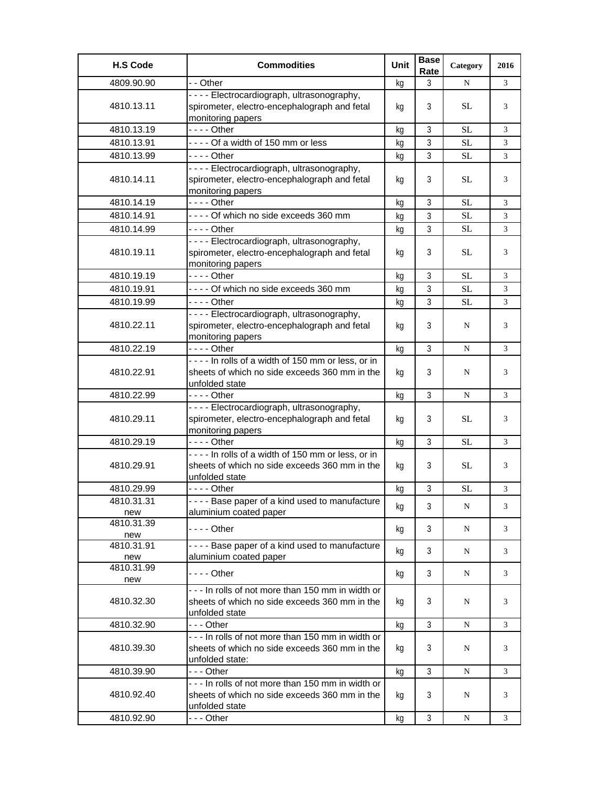| <b>H.S Code</b>   | <b>Commodities</b>                                                                                                    | Unit | <b>Base</b><br>Rate | Category  | 2016 |
|-------------------|-----------------------------------------------------------------------------------------------------------------------|------|---------------------|-----------|------|
| 4809.90.90        | - - Other                                                                                                             | kg   | 3                   | N         | 3    |
| 4810.13.11        | ---- Electrocardiograph, ultrasonography,<br>spirometer, electro-encephalograph and fetal<br>monitoring papers        | kg   | 3                   | SL        | 3    |
| 4810.13.19        | $--$ Other                                                                                                            | kg   | 3                   | <b>SL</b> | 3    |
| 4810.13.91        | ---- Of a width of 150 mm or less                                                                                     | kq   | 3                   | SL        | 3    |
| 4810.13.99        | $--$ Other                                                                                                            | kg   | 3                   | <b>SL</b> | 3    |
| 4810.14.11        | ---- Electrocardiograph, ultrasonography,<br>spirometer, electro-encephalograph and fetal<br>monitoring papers        | kg   | 3                   | <b>SL</b> | 3    |
| 4810.14.19        |                                                                                                                       | kg   | 3                   | <b>SL</b> | 3    |
| 4810.14.91        | ---- Of which no side exceeds 360 mm                                                                                  | kg   | 3                   | SL        | 3    |
| 4810.14.99        | - - - - Other                                                                                                         | kg   | 3                   | <b>SL</b> | 3    |
| 4810.19.11        | ---- Electrocardiograph, ultrasonography,<br>spirometer, electro-encephalograph and fetal<br>monitoring papers        | kq   | 3                   | <b>SL</b> | 3    |
| 4810.19.19        |                                                                                                                       | kg   | 3                   | <b>SL</b> | 3    |
| 4810.19.91        | ---- Of which no side exceeds 360 mm                                                                                  | kg   | 3                   | <b>SL</b> | 3    |
| 4810.19.99        | - - - - Other                                                                                                         | kg   | 3                   | <b>SL</b> | 3    |
| 4810.22.11        | - - - - Electrocardiograph, ultrasonography,<br>spirometer, electro-encephalograph and fetal<br>monitoring papers     | kg   | 3                   | N         | 3    |
| 4810.22.19        | - - - - Other                                                                                                         | kg   | 3                   | N         | 3    |
| 4810.22.91        | ---- In rolls of a width of 150 mm or less, or in<br>sheets of which no side exceeds 360 mm in the<br>unfolded state  | kg   | 3                   | N         | 3    |
| 4810.22.99        | - - - - Other                                                                                                         | kg   | 3                   | ${\bf N}$ | 3    |
| 4810.29.11        | ---- Electrocardiograph, ultrasonography,<br>spirometer, electro-encephalograph and fetal<br>monitoring papers        | kg   | 3                   | <b>SL</b> | 3    |
| 4810.29.19        |                                                                                                                       | kg   | $\mathfrak{Z}$      | <b>SL</b> | 3    |
| 4810.29.91        | ---- In rolls of a width of 150 mm or less, or in<br>sheets of which no side exceeds 360 mm in the<br>unfolded state  | kg   | 3                   | <b>SL</b> | 3    |
| 4810.29.99        |                                                                                                                       | kg   | $\mathfrak{Z}$      | $\rm SL$  | 3    |
| 4810.31.31        | - - - - Base paper of a kind used to manufacture                                                                      | kg   | 3                   | N         | 3    |
| new               | aluminium coated paper                                                                                                |      |                     |           |      |
| 4810.31.39        | - - - - Other                                                                                                         | kg   | 3                   | N         | 3    |
| new<br>4810.31.91 | ---- Base paper of a kind used to manufacture                                                                         |      |                     |           |      |
| new               | aluminium coated paper                                                                                                | kg   | 3                   | N         | 3    |
| 4810.31.99<br>new | - - - - Other                                                                                                         | kg   | 3                   | N         | 3    |
| 4810.32.30        | - - - In rolls of not more than 150 mm in width or<br>sheets of which no side exceeds 360 mm in the<br>unfolded state | kg   | 3                   | N         | 3    |
| 4810.32.90        | - - - Other                                                                                                           | kg   | 3                   | N         | 3    |
| 4810.39.30        | --- In rolls of not more than 150 mm in width or<br>sheets of which no side exceeds 360 mm in the<br>unfolded state:  | kg   | 3                   | N         | 3    |
| 4810.39.90        | --- Other                                                                                                             | kg   | 3                   | N         | 3    |
| 4810.92.40        | --- In rolls of not more than 150 mm in width or<br>sheets of which no side exceeds 360 mm in the<br>unfolded state   | kg   | 3                   | N         | 3    |
| 4810.92.90        | --- Other                                                                                                             | kg   | 3                   | N         | 3    |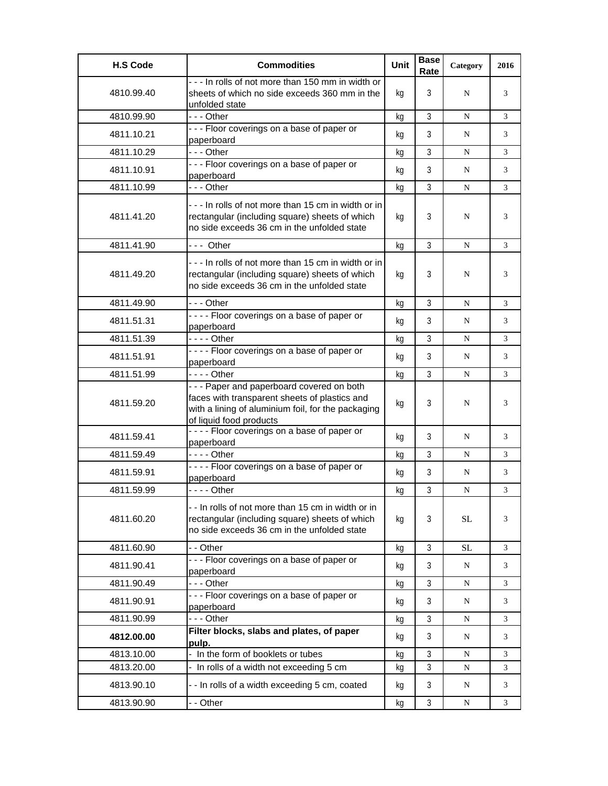| <b>H.S Code</b> | <b>Commodities</b>                                                                                                                                                           | Unit | <b>Base</b><br>Rate | Category | 2016 |
|-----------------|------------------------------------------------------------------------------------------------------------------------------------------------------------------------------|------|---------------------|----------|------|
| 4810.99.40      | - - - In rolls of not more than 150 mm in width or<br>sheets of which no side exceeds 360 mm in the<br>unfolded state                                                        | kg   | 3                   | N        | 3    |
| 4810.99.90      | $- -$ Other                                                                                                                                                                  | kg   | 3                   | N        | 3    |
| 4811.10.21      | --- Floor coverings on a base of paper or<br>paperboard                                                                                                                      | kg   | 3                   | N        | 3    |
| 4811.10.29      | $--$ Other                                                                                                                                                                   | kg   | 3                   | N        | 3    |
| 4811.10.91      | --- Floor coverings on a base of paper or<br>paperboard                                                                                                                      | kg   | 3                   | N        | 3    |
| 4811.10.99      | - - - Other                                                                                                                                                                  | kg   | 3                   | N        | 3    |
| 4811.41.20      | --- In rolls of not more than 15 cm in width or in<br>rectangular (including square) sheets of which<br>no side exceeds 36 cm in the unfolded state                          | kg   | 3                   | N        | 3    |
| 4811.41.90      | --- Other                                                                                                                                                                    | kg   | 3                   | N        | 3    |
| 4811.49.20      | --- In rolls of not more than 15 cm in width or in<br>rectangular (including square) sheets of which<br>no side exceeds 36 cm in the unfolded state                          | kg   | 3                   | N        | 3    |
| 4811.49.90      | - - - Other                                                                                                                                                                  | kg   | 3                   | N        | 3    |
| 4811.51.31      | ---- Floor coverings on a base of paper or<br>paperboard                                                                                                                     | kq   | 3                   | N        | 3    |
| 4811.51.39      | - - - - Other                                                                                                                                                                | kg   | 3                   | N        | 3    |
| 4811.51.91      | ---- Floor coverings on a base of paper or<br>paperboard                                                                                                                     | kq   | 3                   | N        | 3    |
| 4811.51.99      | - - - - Other                                                                                                                                                                | kg   | 3                   | N        | 3    |
| 4811.59.20      | - - - Paper and paperboard covered on both<br>faces with transparent sheets of plastics and<br>with a lining of aluminium foil, for the packaging<br>of liquid food products | kg   | 3                   | N        | 3    |
| 4811.59.41      | ---- Floor coverings on a base of paper or<br>paperboard                                                                                                                     | kq   | 3                   | N        | 3    |
| 4811.59.49      | $--$ Other                                                                                                                                                                   | kg   | 3                   | N        | 3    |
| 4811.59.91      | ---- Floor coverings on a base of paper or<br>paperboard                                                                                                                     | kq   | 3                   | N        | 3    |
| 4811.59.99      | - - - - Other                                                                                                                                                                | kq   | 3                   | N        | 3    |
| 4811.60.20      | -- In rolls of not more than 15 cm in width or in<br>rectangular (including square) sheets of which<br>no side exceeds 36 cm in the unfolded state                           | kg   | 3                   | SL       | 3    |
| 4811.60.90      | - - Other                                                                                                                                                                    | kg   | 3                   | SL       | 3    |
| 4811.90.41      | --- Floor coverings on a base of paper or<br>paperboard                                                                                                                      | kg   | 3                   | N        | 3    |
| 4811.90.49      | --- Other                                                                                                                                                                    | kg   | 3                   | N        | 3    |
| 4811.90.91      | --- Floor coverings on a base of paper or<br>paperboard                                                                                                                      | kg   | 3                   | N        | 3    |
| 4811.90.99      | - - - Other                                                                                                                                                                  | kg   | 3                   | N        | 3    |
| 4812.00.00      | Filter blocks, slabs and plates, of paper<br>pulp.                                                                                                                           | kg   | 3                   | N        | 3    |
| 4813.10.00      | - In the form of booklets or tubes                                                                                                                                           | kq   | 3                   | N        | 3    |
| 4813.20.00      | In rolls of a width not exceeding 5 cm                                                                                                                                       | kg   | $\mathfrak{Z}$      | N        | 3    |
| 4813.90.10      | - - In rolls of a width exceeding 5 cm, coated                                                                                                                               | kg   | 3                   | N        | 3    |
| 4813.90.90      | - - Other                                                                                                                                                                    | kg   | 3                   | N        | 3    |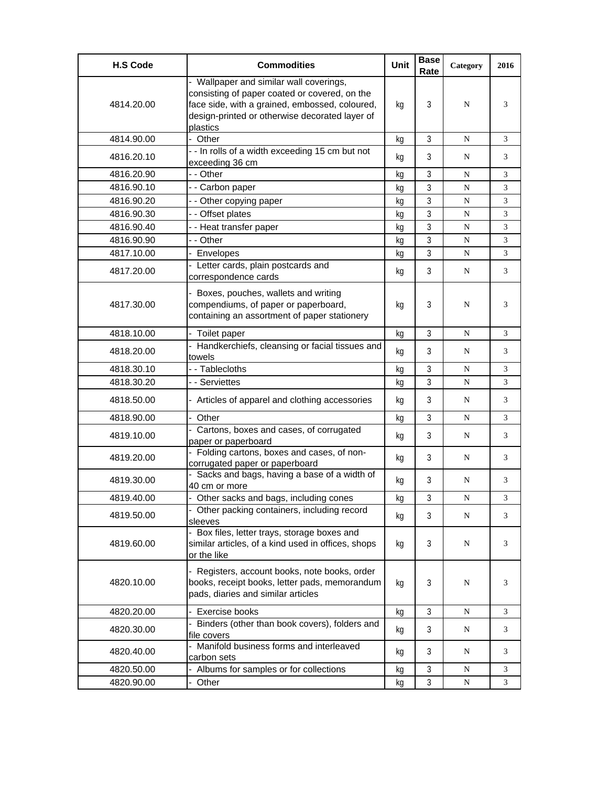| <b>H.S Code</b> | <b>Commodities</b>                                                                                                                                                                                       | <b>Unit</b> | <b>Base</b><br>Rate | Category | 2016 |
|-----------------|----------------------------------------------------------------------------------------------------------------------------------------------------------------------------------------------------------|-------------|---------------------|----------|------|
| 4814.20.00      | - Wallpaper and similar wall coverings,<br>consisting of paper coated or covered, on the<br>face side, with a grained, embossed, coloured,<br>design-printed or otherwise decorated layer of<br>plastics | kg          | 3                   | N        | 3    |
| 4814.90.00      | - Other                                                                                                                                                                                                  | kg          | 3                   | N        | 3    |
| 4816.20.10      | - - In rolls of a width exceeding 15 cm but not<br>exceeding 36 cm                                                                                                                                       | kq          | 3                   | N        | 3    |
| 4816.20.90      | - - Other                                                                                                                                                                                                | kq          | 3                   | N        | 3    |
| 4816.90.10      | - - Carbon paper                                                                                                                                                                                         | kg          | 3                   | N        | 3    |
| 4816.90.20      | - - Other copying paper                                                                                                                                                                                  | kq          | 3                   | N        | 3    |
| 4816.90.30      | - - Offset plates                                                                                                                                                                                        | kq          | 3                   | N        | 3    |
| 4816.90.40      | - - Heat transfer paper                                                                                                                                                                                  | kq          | 3                   | N        | 3    |
| 4816.90.90      | - - Other                                                                                                                                                                                                | kg          | 3                   | N        | 3    |
| 4817.10.00      | - Envelopes                                                                                                                                                                                              | kg          | 3                   | N        | 3    |
| 4817.20.00      | - Letter cards, plain postcards and<br>correspondence cards                                                                                                                                              | kg          | 3                   | N        | 3    |
| 4817.30.00      | - Boxes, pouches, wallets and writing<br>compendiums, of paper or paperboard,<br>containing an assortment of paper stationery                                                                            | kg          | 3                   | N        | 3    |
| 4818.10.00      | - Toilet paper                                                                                                                                                                                           | kg          | $\mathfrak{Z}$      | N        | 3    |
| 4818.20.00      | - Handkerchiefs, cleansing or facial tissues and<br>towels                                                                                                                                               | kg          | 3                   | N        | 3    |
| 4818.30.10      | - - Tablecloths                                                                                                                                                                                          | kg          | 3                   | N        | 3    |
| 4818.30.20      | - - Serviettes                                                                                                                                                                                           | kg          | 3                   | N        | 3    |
| 4818.50.00      | - Articles of apparel and clothing accessories                                                                                                                                                           | kg          | 3                   | N        | 3    |
| 4818.90.00      | - Other                                                                                                                                                                                                  | kg          | 3                   | N        | 3    |
| 4819.10.00      | - Cartons, boxes and cases, of corrugated<br>paper or paperboard                                                                                                                                         | kg          | 3                   | N        | 3    |
| 4819.20.00      | - Folding cartons, boxes and cases, of non-<br>corrugated paper or paperboard                                                                                                                            | kg          | 3                   | N        | 3    |
| 4819.30.00      | Sacks and bags, having a base of a width of<br>40 cm or more                                                                                                                                             | kg          | 3                   | N        | 3    |
| 4819.40.00      | Other sacks and bags, including cones                                                                                                                                                                    | kg          | 3                   | N        | 3    |
| 4819.50.00      | - Other packing containers, including record<br>sleeves                                                                                                                                                  | kg          | 3                   | N        | 3    |
| 4819.60.00      | - Box files, letter trays, storage boxes and<br>similar articles, of a kind used in offices, shops<br>or the like                                                                                        | kg          | 3                   | N        | 3    |
| 4820.10.00      | - Registers, account books, note books, order<br>books, receipt books, letter pads, memorandum<br>pads, diaries and similar articles                                                                     | kg          | 3                   | N        | 3    |
| 4820.20.00      | Exercise books                                                                                                                                                                                           | kg          | $\mathfrak{Z}$      | N        | 3    |
| 4820.30.00      | Binders (other than book covers), folders and<br>file covers                                                                                                                                             | kg          | 3                   | N        | 3    |
| 4820.40.00      | Manifold business forms and interleaved<br>carbon sets                                                                                                                                                   | kg          | 3                   | N        | 3    |
| 4820.50.00      | - Albums for samples or for collections                                                                                                                                                                  | kg          | 3                   | N        | 3    |
| 4820.90.00      | Other                                                                                                                                                                                                    | kg          | $\mathbf{3}$        | N        | 3    |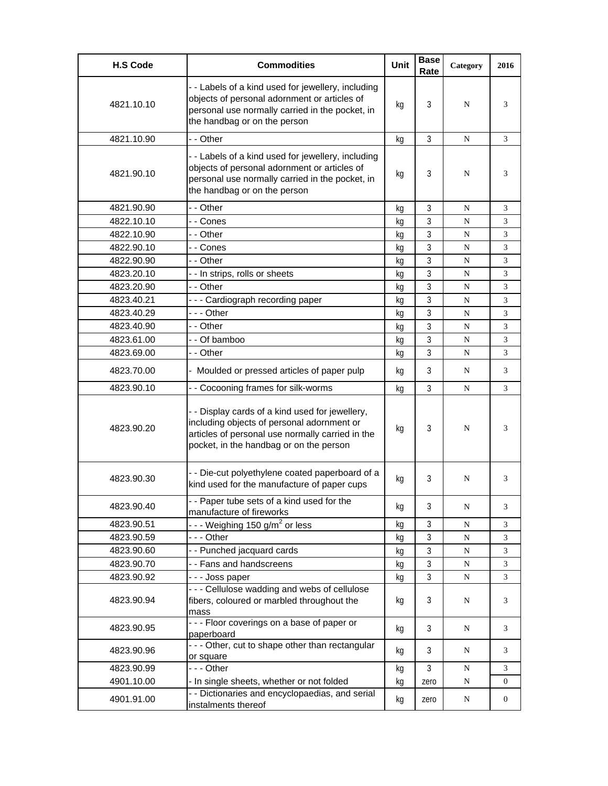| <b>H.S Code</b> | <b>Commodities</b>                                                                                                                                                                           | <b>Unit</b> | <b>Base</b><br>Rate | Category  | 2016           |
|-----------------|----------------------------------------------------------------------------------------------------------------------------------------------------------------------------------------------|-------------|---------------------|-----------|----------------|
| 4821.10.10      | - - Labels of a kind used for jewellery, including<br>objects of personal adornment or articles of<br>personal use normally carried in the pocket, in<br>the handbag or on the person        | kg          | 3                   | N         | 3              |
| 4821.10.90      | - - Other                                                                                                                                                                                    | kg          | 3                   | N         | 3              |
| 4821.90.10      | - - Labels of a kind used for jewellery, including<br>objects of personal adornment or articles of<br>personal use normally carried in the pocket, in<br>the handbag or on the person        | kg          | 3                   | N         | 3              |
| 4821.90.90      | - - Other                                                                                                                                                                                    | kg          | 3                   | N         | 3              |
| 4822.10.10      | - - Cones                                                                                                                                                                                    | kg          | 3                   | N         | 3              |
| 4822.10.90      | - - Other                                                                                                                                                                                    | kg          | 3                   | N         | 3              |
| 4822.90.10      | - - Cones                                                                                                                                                                                    | kq          | 3                   | N         | 3              |
| 4822.90.90      | - - Other                                                                                                                                                                                    | kq          | 3                   | N         | 3              |
| 4823.20.10      | - - In strips, rolls or sheets                                                                                                                                                               | kg          | 3                   | N         | 3              |
| 4823.20.90      | - - Other                                                                                                                                                                                    | kg          | 3                   | N         | 3              |
| 4823.40.21      | --- Cardiograph recording paper                                                                                                                                                              | kg          | 3                   | N         | 3              |
| 4823.40.29      | --- Other                                                                                                                                                                                    | kg          | 3                   | N         | 3              |
| 4823.40.90      | - - Other                                                                                                                                                                                    | kg          | 3                   | N         | 3              |
| 4823.61.00      | - - Of bamboo                                                                                                                                                                                | kg          | 3                   | N         | 3              |
| 4823.69.00      | - - Other                                                                                                                                                                                    | kg          | 3                   | N         | 3              |
| 4823.70.00      | Moulded or pressed articles of paper pulp                                                                                                                                                    | kq          | 3                   | N         | 3              |
| 4823.90.10      | - - Cocooning frames for silk-worms                                                                                                                                                          | kq          | 3                   | N         | 3              |
| 4823.90.20      | - - Display cards of a kind used for jewellery,<br>including objects of personal adornment or<br>articles of personal use normally carried in the<br>pocket, in the handbag or on the person | kg          | 3                   | N         | 3              |
| 4823.90.30      | - - Die-cut polyethylene coated paperboard of a<br>kind used for the manufacture of paper cups                                                                                               | kg          | 3                   | N         | 3              |
| 4823.90.40      | - - Paper tube sets of a kind used for the<br>manufacture of fireworks                                                                                                                       | kg          | 3                   | N         | 3              |
| 4823.90.51      | - - - Weighing 150 g/m <sup>2</sup> or less                                                                                                                                                  | kg          | 3                   | N         | 3              |
| 4823.90.59      | --- Other                                                                                                                                                                                    | kg          | 3                   | N         | 3              |
| 4823.90.60      | - - Punched jacquard cards                                                                                                                                                                   | kg          | $\mathbf{3}$        | ${\bf N}$ | 3              |
| 4823.90.70      | - - Fans and handscreens                                                                                                                                                                     | kg          | 3                   | ${\bf N}$ | 3              |
| 4823.90.92      | - - - Joss paper                                                                                                                                                                             | kg          | $\overline{3}$      | ${\bf N}$ | $\mathfrak{Z}$ |
| 4823.90.94      | - - - Cellulose wadding and webs of cellulose<br>fibers, coloured or marbled throughout the<br>mass                                                                                          | kg          | 3                   | N         | 3              |
| 4823.90.95      | - - - Floor coverings on a base of paper or<br>paperboard                                                                                                                                    | kg          | 3                   | ${\bf N}$ | 3              |
| 4823.90.96      | - - - Other, cut to shape other than rectangular<br>or square                                                                                                                                | kg          | 3                   | N         | 3              |
| 4823.90.99      | --- Other                                                                                                                                                                                    | kg          | 3                   | ${\bf N}$ | 3              |
| 4901.10.00      | - In single sheets, whether or not folded                                                                                                                                                    | kg          | zero                | N         | $\overline{0}$ |
| 4901.91.00      | - - Dictionaries and encyclopaedias, and serial<br>instalments thereof                                                                                                                       | kg          | zero                | N         | 0              |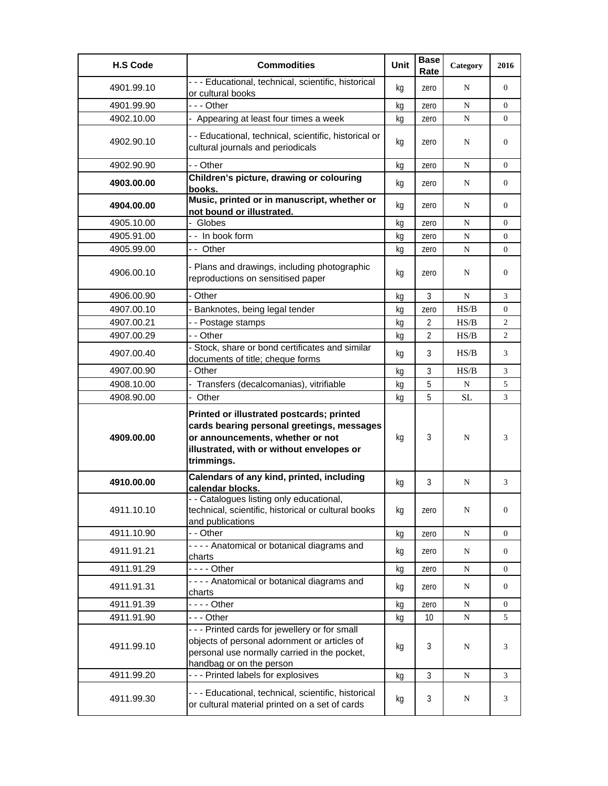| <b>H.S Code</b> | <b>Commodities</b>                                                                                                                                                                     | Unit | <b>Base</b><br>Rate | Category  | 2016             |
|-----------------|----------------------------------------------------------------------------------------------------------------------------------------------------------------------------------------|------|---------------------|-----------|------------------|
| 4901.99.10      | - - - Educational, technical, scientific, historical<br>or cultural books                                                                                                              | kg   | zero                | N         | $\overline{0}$   |
| 4901.99.90      | -  - - Other                                                                                                                                                                           | kg   | zero                | N         | 0                |
| 4902.10.00      | - Appearing at least four times a week                                                                                                                                                 | kq   | zero                | N         | 0                |
| 4902.90.10      | - - Educational, technical, scientific, historical or<br>cultural journals and periodicals                                                                                             | kg   | zero                | N         | $\overline{0}$   |
| 4902.90.90      | - - Other                                                                                                                                                                              | kg   | zero                | N         | 0                |
| 4903.00.00      | Children's picture, drawing or colouring<br>books.                                                                                                                                     | kg   | zero                | N         | 0                |
| 4904.00.00      | Music, printed or in manuscript, whether or<br>not bound or illustrated.                                                                                                               | kg   | zero                | N         | 0                |
| 4905.10.00      | - Globes                                                                                                                                                                               | kg   | zero                | N         | $\boldsymbol{0}$ |
| 4905.91.00      | - - In book form                                                                                                                                                                       | kg   | zero                | N         | 0                |
| 4905.99.00      | -- Other                                                                                                                                                                               | kq   | zero                | ${\bf N}$ | 0                |
| 4906.00.10      | - Plans and drawings, including photographic<br>reproductions on sensitised paper                                                                                                      | kq   | zero                | N         | $\overline{0}$   |
| 4906.00.90      | - Other                                                                                                                                                                                | kg   | 3                   | ${\bf N}$ | 3                |
| 4907.00.10      | - Banknotes, being legal tender                                                                                                                                                        | kq   | zero                | HS/B      | 0                |
| 4907.00.21      | - - Postage stamps                                                                                                                                                                     | kq   | $\overline{2}$      | HS/B      | 2                |
| 4907.00.29      | - - Other                                                                                                                                                                              | kg   | $\overline{2}$      | HS/B      | 2                |
| 4907.00.40      | - Stock, share or bond certificates and similar<br>documents of title; cheque forms                                                                                                    | kq   | 3                   | HS/B      | 3                |
| 4907.00.90      | - Other                                                                                                                                                                                | kg   | 3                   | HS/B      | 3                |
| 4908.10.00      | Transfers (decalcomanias), vitrifiable                                                                                                                                                 | kg   | 5                   | N         | 5                |
| 4908.90.00      | - Other                                                                                                                                                                                | kq   | 5                   | <b>SL</b> | 3                |
| 4909.00.00      | Printed or illustrated postcards; printed<br>cards bearing personal greetings, messages<br>or announcements, whether or not<br>illustrated, with or without envelopes or<br>trimmings. | kg   | 3                   | N         | 3                |
| 4910.00.00      | Calendars of any kind, printed, including<br>calendar blocks.                                                                                                                          | kg   | 3                   | N         | 3                |
| 4911.10.10      | - Catalogues listing only educational,<br>technical, scientific, historical or cultural books<br>and publications                                                                      | kg   | zero                | N         | $\boldsymbol{0}$ |
| 4911.10.90      | - - Other                                                                                                                                                                              | kg   | zero                | ${\bf N}$ | 0                |
| 4911.91.21      | - - - - Anatomical or botanical diagrams and<br>charts                                                                                                                                 | kg   | zero                | N         | 0                |
| 4911.91.29      | $--$ Other                                                                                                                                                                             | kg   | zero                | ${\bf N}$ | 0                |
| 4911.91.31      | - - - - Anatomical or botanical diagrams and<br>charts                                                                                                                                 | kg   | zero                | N         | 0                |
| 4911.91.39      | - - - - Other                                                                                                                                                                          | kg   | zero                | ${\bf N}$ | $\boldsymbol{0}$ |
| 4911.91.90      | - - - Other                                                                                                                                                                            | kg   | 10 <sup>°</sup>     | ${\bf N}$ | 5                |
| 4911.99.10      | - - - Printed cards for jewellery or for small<br>objects of personal adornment or articles of<br>personal use normally carried in the pocket,<br>handbag or on the person             | kg   | 3                   | ${\bf N}$ | 3                |
| 4911.99.20      | --- Printed labels for explosives                                                                                                                                                      | kg   | 3                   | ${\bf N}$ | 3                |
| 4911.99.30      | - - - Educational, technical, scientific, historical<br>or cultural material printed on a set of cards                                                                                 | kg   | 3                   | N         | 3                |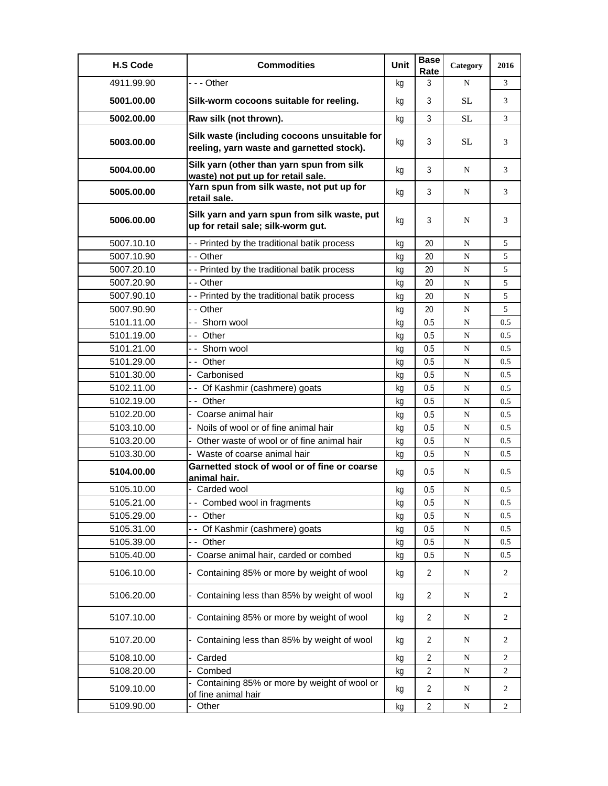| <b>H.S Code</b> | <b>Commodities</b>                                                                        | Unit | <b>Base</b><br>Rate | Category  | 2016           |
|-----------------|-------------------------------------------------------------------------------------------|------|---------------------|-----------|----------------|
| 4911.99.90      | --- Other                                                                                 | kq   | 3                   | N         | 3              |
| 5001.00.00      | Silk-worm cocoons suitable for reeling.                                                   | kq   | 3                   | SL        | 3              |
| 5002.00.00      | Raw silk (not thrown).                                                                    | kg   | 3                   | <b>SL</b> | 3              |
| 5003.00.00      | Silk waste (including cocoons unsuitable for<br>reeling, yarn waste and garnetted stock). | kg   | 3                   | <b>SL</b> | 3              |
| 5004.00.00      | Silk yarn (other than yarn spun from silk<br>waste) not put up for retail sale.           | kg   | 3                   | N         | 3              |
| 5005.00.00      | Yarn spun from silk waste, not put up for<br>retail sale.                                 | kg   | 3                   | N         | 3              |
| 5006.00.00      | Silk yarn and yarn spun from silk waste, put<br>up for retail sale; silk-worm gut.        | kg   | 3                   | N         | 3              |
| 5007.10.10      | - - Printed by the traditional batik process                                              | kg   | 20                  | N         | 5              |
| 5007.10.90      | - - Other                                                                                 | kg   | 20                  | N         | 5              |
| 5007.20.10      | - - Printed by the traditional batik process                                              | kg   | 20                  | N         | 5              |
| 5007.20.90      | - - Other                                                                                 | kg   | 20                  | N         | 5              |
| 5007.90.10      | - - Printed by the traditional batik process                                              | kg   | 20                  | N         | 5              |
| 5007.90.90      | - - Other                                                                                 | kg   | 20                  | N         | 5              |
| 5101.11.00      | - - Shorn wool                                                                            | kg   | 0.5                 | ${\bf N}$ | 0.5            |
| 5101.19.00      | -- Other                                                                                  | kg   | 0.5                 | N         | 0.5            |
| 5101.21.00      | -- Shorn wool                                                                             | kg   | 0.5                 | N         | 0.5            |
| 5101.29.00      | -- Other                                                                                  | kg   | 0.5                 | N         | 0.5            |
| 5101.30.00      | - Carbonised                                                                              | kg   | 0.5                 | N         | 0.5            |
| 5102.11.00      | - - Of Kashmir (cashmere) goats                                                           | kq   | 0.5                 | ${\bf N}$ | 0.5            |
| 5102.19.00      | -- Other                                                                                  | kg   | 0.5                 | N         | 0.5            |
| 5102.20.00      | - Coarse animal hair                                                                      | kg   | 0.5                 | ${\bf N}$ | 0.5            |
| 5103.10.00      | - Noils of wool or of fine animal hair                                                    | ka   | 0.5                 | N         | 0.5            |
| 5103.20.00      | Other waste of wool or of fine animal hair                                                | kg   | 0.5                 | N         | 0.5            |
| 5103.30.00      | - Waste of coarse animal hair                                                             | kg   | 0.5                 | N         | 0.5            |
| 5104.00.00      | Garnetted stock of wool or of fine or coarse<br>animal hair.                              | kg   | 0.5                 | N         | 0.5            |
| 5105.10.00      | - Carded wool                                                                             | kg   | 0.5                 | N         | 0.5            |
| 5105.21.00      | -- Combed wool in fragments                                                               | kg   | 0.5                 | ${\bf N}$ | 0.5            |
| 5105.29.00      | -- Other                                                                                  | kg   | 0.5                 | ${\bf N}$ | 0.5            |
| 5105.31.00      | - - Of Kashmir (cashmere) goats                                                           | kg   | 0.5                 | ${\bf N}$ | 0.5            |
| 5105.39.00      | -- Other                                                                                  | kg   | 0.5                 | ${\bf N}$ | 0.5            |
| 5105.40.00      | Coarse animal hair, carded or combed                                                      | kg   | 0.5                 | N         | 0.5            |
| 5106.10.00      | - Containing 85% or more by weight of wool                                                | kg   | 2                   | N         | 2              |
| 5106.20.00      | - Containing less than 85% by weight of wool                                              | kg   | 2                   | N         | 2              |
| 5107.10.00      | - Containing 85% or more by weight of wool                                                | kg   | 2                   | N         | 2              |
| 5107.20.00      | - Containing less than 85% by weight of wool                                              | kg   | 2                   | N         | $\overline{2}$ |
| 5108.10.00      | - Carded                                                                                  | kg   | $\overline{2}$      | N         | $\overline{c}$ |
| 5108.20.00      | Combed                                                                                    | kg   | $\overline{2}$      | N         | 2              |
| 5109.10.00      | Containing 85% or more by weight of wool or<br>of fine animal hair                        | kg   | $\overline{2}$      | ${\bf N}$ | 2              |
| 5109.90.00      | Other<br>$\blacksquare$                                                                   | kg   | $\overline{2}$      | ${\bf N}$ | $\overline{2}$ |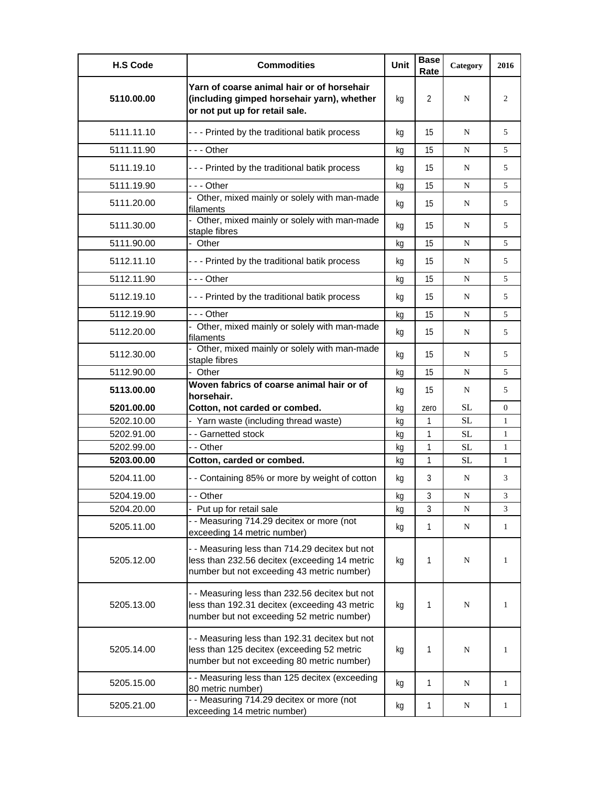| <b>H.S Code</b> | <b>Commodities</b>                                                                                                                            | Unit | <b>Base</b><br>Rate | Category  | 2016           |
|-----------------|-----------------------------------------------------------------------------------------------------------------------------------------------|------|---------------------|-----------|----------------|
| 5110.00.00      | Yarn of coarse animal hair or of horsehair<br>(including gimped horsehair yarn), whether<br>or not put up for retail sale.                    | kg   | 2                   | N         | 2              |
| 5111.11.10      | --- Printed by the traditional batik process                                                                                                  | kg   | 15                  | N         | 5              |
| 5111.11.90      | - - - Other                                                                                                                                   | kq   | 15                  | N         | 5              |
| 5111.19.10      | --- Printed by the traditional batik process                                                                                                  | kg   | 15                  | N         | 5              |
| 5111.19.90      | -  - - Other                                                                                                                                  | kg   | 15                  | N         | 5              |
| 5111.20.00      | - Other, mixed mainly or solely with man-made<br>filaments                                                                                    | kg   | 15                  | N         | 5              |
| 5111.30.00      | - Other, mixed mainly or solely with man-made<br>staple fibres                                                                                | kq   | 15                  | N         | 5              |
| 5111.90.00      | - Other                                                                                                                                       | kg   | 15                  | N         | 5              |
| 5112.11.10      | --- Printed by the traditional batik process                                                                                                  | kq   | 15                  | N         | 5              |
| 5112.11.90      | $--$ Other                                                                                                                                    | kq   | 15                  | N         | 5              |
| 5112.19.10      | --- Printed by the traditional batik process                                                                                                  | kq   | 15                  | N         | 5              |
| 5112.19.90      | $- -$ Other                                                                                                                                   | kg   | 15                  | N         | 5              |
| 5112.20.00      | - Other, mixed mainly or solely with man-made<br>filaments                                                                                    | kg   | 15                  | N         | 5              |
| 5112.30.00      | - Other, mixed mainly or solely with man-made<br>staple fibres                                                                                | kg   | 15                  | N         | 5              |
| 5112.90.00      | - Other                                                                                                                                       | kg   | 15                  | N         | 5              |
| 5113.00.00      | Woven fabrics of coarse animal hair or of<br>horsehair.                                                                                       | kq   | 15                  | N         | 5              |
| 5201.00.00      | Cotton, not carded or combed.                                                                                                                 | kq   | zero                | <b>SL</b> | $\overline{0}$ |
| 5202.10.00      | - Yarn waste (including thread waste)                                                                                                         | kg   | $\mathbf{1}$        | SL        | 1              |
| 5202.91.00      | - - Garnetted stock                                                                                                                           | kq   | $\mathbf{1}$        | SL        | 1              |
| 5202.99.00      | - - Other                                                                                                                                     | kg   | 1                   | <b>SL</b> | 1              |
| 5203.00.00      | Cotton, carded or combed.                                                                                                                     | kg   | 1                   | SL.       | 1              |
| 5204.11.00      | - - Containing 85% or more by weight of cotton                                                                                                | kg   | 3                   | N         | 3              |
| 5204.19.00      | - - Other                                                                                                                                     | kg   | 3                   | N         | 3              |
| 5204.20.00      | - Put up for retail sale                                                                                                                      | kg   | 3                   | N         | 3              |
| 5205.11.00      | - - Measuring 714.29 decitex or more (not<br>exceeding 14 metric number)                                                                      | kg   | 1                   | N         | $\mathbf{1}$   |
| 5205.12.00      | - - Measuring less than 714.29 decitex but not<br>less than 232.56 decitex (exceeding 14 metric<br>number but not exceeding 43 metric number) | kg   | 1                   | N         | 1              |
| 5205.13.00      | - - Measuring less than 232.56 decitex but not<br>less than 192.31 decitex (exceeding 43 metric<br>number but not exceeding 52 metric number) | kg   | 1                   | N         | 1              |
| 5205.14.00      | - - Measuring less than 192.31 decitex but not<br>less than 125 decitex (exceeding 52 metric<br>number but not exceeding 80 metric number)    | kg   | 1                   | N         | 1              |
| 5205.15.00      | - - Measuring less than 125 decitex (exceeding<br>80 metric number)                                                                           | kg   | 1                   | N         | 1              |
| 5205.21.00      | - - Measuring 714.29 decitex or more (not<br>exceeding 14 metric number)                                                                      | kg   | 1                   | N         | 1              |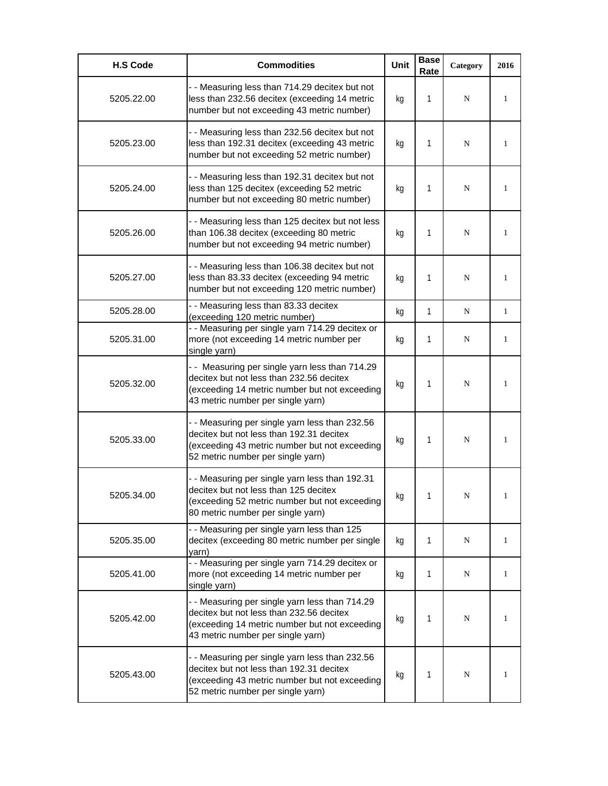| <b>H.S Code</b> | <b>Commodities</b>                                                                                                                                                               | <b>Unit</b> | <b>Base</b><br>Rate | Category | 2016 |
|-----------------|----------------------------------------------------------------------------------------------------------------------------------------------------------------------------------|-------------|---------------------|----------|------|
| 5205.22.00      | - - Measuring less than 714.29 decitex but not<br>less than 232.56 decitex (exceeding 14 metric<br>number but not exceeding 43 metric number)                                    | kg          | 1                   | N        | 1    |
| 5205.23.00      | - - Measuring less than 232.56 decitex but not<br>less than 192.31 decitex (exceeding 43 metric<br>number but not exceeding 52 metric number)                                    | kg          | 1                   | N        | 1    |
| 5205.24.00      | - - Measuring less than 192.31 decitex but not<br>less than 125 decitex (exceeding 52 metric<br>number but not exceeding 80 metric number)                                       | kg          | 1                   | N        | 1    |
| 5205.26.00      | - - Measuring less than 125 decitex but not less<br>than 106.38 decitex (exceeding 80 metric<br>number but not exceeding 94 metric number)                                       | kg          | 1                   | N        | 1    |
| 5205.27.00      | - - Measuring less than 106.38 decitex but not<br>less than 83.33 decitex (exceeding 94 metric<br>number but not exceeding 120 metric number)                                    | kg          | 1                   | N        | 1    |
| 5205.28.00      | - - Measuring less than 83.33 decitex<br>(exceeding 120 metric number)                                                                                                           | kg          | 1                   | N        | 1    |
| 5205.31.00      | - - Measuring per single yarn 714.29 decitex or<br>more (not exceeding 14 metric number per<br>single yarn)                                                                      | kg          | 1                   | N        | 1    |
| 5205.32.00      | - - Measuring per single yarn less than 714.29<br>decitex but not less than 232.56 decitex<br>(exceeding 14 metric number but not exceeding<br>43 metric number per single yarn) | kg          | 1                   | N        | 1    |
| 5205.33.00      | - - Measuring per single yarn less than 232.56<br>decitex but not less than 192.31 decitex<br>(exceeding 43 metric number but not exceeding<br>52 metric number per single yarn) | kg          | 1                   | N        | 1    |
| 5205.34.00      | - - Measuring per single yarn less than 192.31<br>decitex but not less than 125 decitex<br>(exceeding 52 metric number but not exceeding<br>80 metric number per single yarn)    | kg          | 1                   | N        |      |
| 5205.35.00      | - - Measuring per single yarn less than 125<br>decitex (exceeding 80 metric number per single<br>yarn)                                                                           | kq          | 1                   | N        | 1    |
| 5205.41.00      | - - Measuring per single yarn 714.29 decitex or<br>more (not exceeding 14 metric number per<br>single yarn)                                                                      | kg          | 1                   | N        | 1    |
| 5205.42.00      | - - Measuring per single yarn less than 714.29<br>decitex but not less than 232.56 decitex<br>(exceeding 14 metric number but not exceeding<br>43 metric number per single yarn) | kg          | 1                   | N        | 1    |
| 5205.43.00      | - - Measuring per single yarn less than 232.56<br>decitex but not less than 192.31 decitex<br>(exceeding 43 metric number but not exceeding<br>52 metric number per single yarn) | kg          | 1                   | N        | 1    |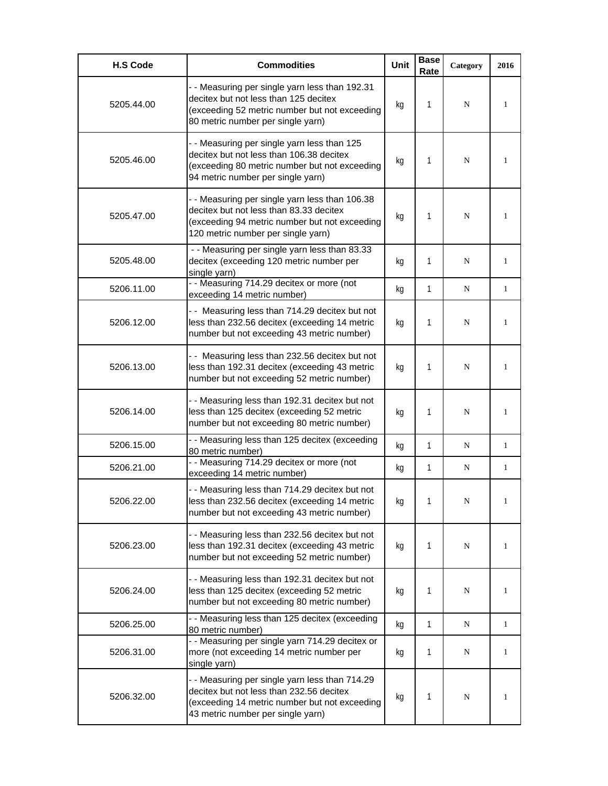| <b>H.S Code</b> | <b>Commodities</b>                                                                                                                                                               | Unit | <b>Base</b><br>Rate | Category    | 2016         |
|-----------------|----------------------------------------------------------------------------------------------------------------------------------------------------------------------------------|------|---------------------|-------------|--------------|
| 5205.44.00      | - - Measuring per single yarn less than 192.31<br>decitex but not less than 125 decitex<br>(exceeding 52 metric number but not exceeding<br>80 metric number per single yarn)    | kg   | 1                   | N           | 1            |
| 5205.46.00      | - - Measuring per single yarn less than 125<br>decitex but not less than 106.38 decitex<br>(exceeding 80 metric number but not exceeding<br>94 metric number per single yarn)    | kg   | 1                   | N           | 1            |
| 5205.47.00      | - - Measuring per single yarn less than 106.38<br>decitex but not less than 83.33 decitex<br>(exceeding 94 metric number but not exceeding<br>120 metric number per single yarn) | kg   | 1                   | N           | 1            |
| 5205.48.00      | - - Measuring per single yarn less than 83.33<br>decitex (exceeding 120 metric number per<br>single yarn)                                                                        | kg   | 1                   | N           | $\mathbf{1}$ |
| 5206.11.00      | - - Measuring 714.29 decitex or more (not<br>exceeding 14 metric number)                                                                                                         | kg   | 1                   | N           | $\mathbf{1}$ |
| 5206.12.00      | -- Measuring less than 714.29 decitex but not<br>less than 232.56 decitex (exceeding 14 metric<br>number but not exceeding 43 metric number)                                     | kg   | 1                   | N           | 1            |
| 5206.13.00      | - - Measuring less than 232.56 decitex but not<br>less than 192.31 decitex (exceeding 43 metric<br>number but not exceeding 52 metric number)                                    | kg   | 1                   | $\mathbf N$ | 1            |
| 5206.14.00      | - - Measuring less than 192.31 decitex but not<br>less than 125 decitex (exceeding 52 metric<br>number but not exceeding 80 metric number)                                       | kg   | 1                   | N           | 1            |
| 5206.15.00      | - - Measuring less than 125 decitex (exceeding<br>80 metric number)                                                                                                              | kg   | 1                   | N           | $\mathbf{1}$ |
| 5206.21.00      | - - Measuring 714.29 decitex or more (not<br>exceeding 14 metric number)                                                                                                         | kg   | 1                   | N           | 1            |
| 5206.22.00      | - - Measuring less than 714.29 decitex but not<br>less than 232.56 decitex (exceeding 14 metric<br>number but not exceeding 43 metric number)                                    | kg   |                     | N           | 1            |
| 5206.23.00      | - - Measuring less than 232.56 decitex but not<br>less than 192.31 decitex (exceeding 43 metric<br>number but not exceeding 52 metric number)                                    | kg   | 1                   | N           | $\mathbf{1}$ |
| 5206.24.00      | - - Measuring less than 192.31 decitex but not<br>less than 125 decitex (exceeding 52 metric<br>number but not exceeding 80 metric number)                                       | kg   | 1                   | N           | $\mathbf{1}$ |
| 5206.25.00      | - - Measuring less than 125 decitex (exceeding<br>80 metric number)                                                                                                              | kg   | 1                   | N           | $\mathbf{1}$ |
| 5206.31.00      | - - Measuring per single yarn 714.29 decitex or<br>more (not exceeding 14 metric number per<br>single yarn)                                                                      | kg   | 1                   | N           | 1            |
| 5206.32.00      | - - Measuring per single yarn less than 714.29<br>decitex but not less than 232.56 decitex<br>(exceeding 14 metric number but not exceeding<br>43 metric number per single yarn) | kg   | 1                   | N           | 1            |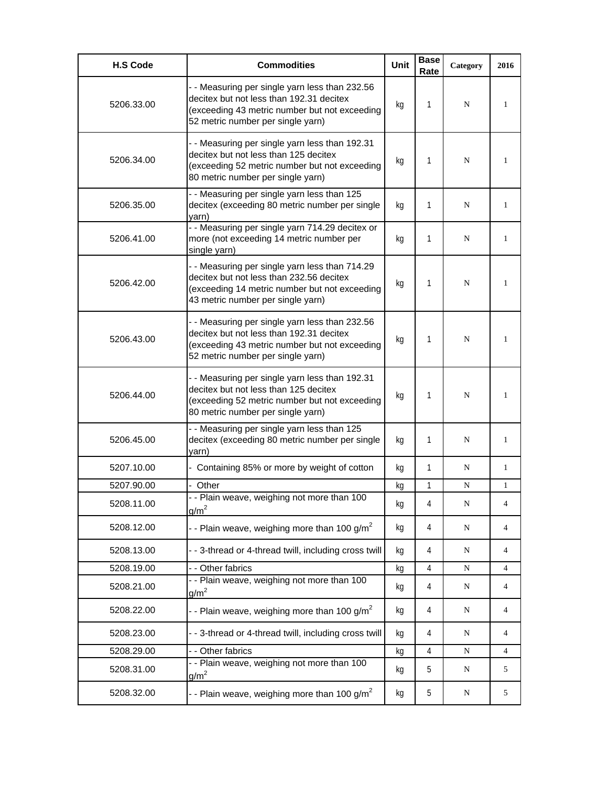| <b>H.S Code</b> | <b>Commodities</b>                                                                                                                                                               | <b>Unit</b> | <b>Base</b><br>Rate | Category  | 2016         |
|-----------------|----------------------------------------------------------------------------------------------------------------------------------------------------------------------------------|-------------|---------------------|-----------|--------------|
| 5206.33.00      | - - Measuring per single yarn less than 232.56<br>decitex but not less than 192.31 decitex<br>(exceeding 43 metric number but not exceeding<br>52 metric number per single yarn) | kg          | 1                   | N         | 1            |
| 5206.34.00      | - - Measuring per single yarn less than 192.31<br>decitex but not less than 125 decitex<br>(exceeding 52 metric number but not exceeding<br>80 metric number per single yarn)    | kg          | 1                   | N         | 1            |
| 5206.35.00      | - - Measuring per single yarn less than 125<br>decitex (exceeding 80 metric number per single<br>varn)                                                                           | kg          | 1                   | N         | 1            |
| 5206.41.00      | - - Measuring per single yarn 714.29 decitex or<br>more (not exceeding 14 metric number per<br>single yarn)                                                                      | kg          | 1                   | N         | 1            |
| 5206.42.00      | - - Measuring per single yarn less than 714.29<br>decitex but not less than 232.56 decitex<br>(exceeding 14 metric number but not exceeding<br>43 metric number per single yarn) | kg          | 1                   | N         | 1            |
| 5206.43.00      | - - Measuring per single yarn less than 232.56<br>decitex but not less than 192.31 decitex<br>(exceeding 43 metric number but not exceeding<br>52 metric number per single yarn) | kg          | 1                   | N         | 1            |
| 5206.44.00      | - - Measuring per single yarn less than 192.31<br>decitex but not less than 125 decitex<br>(exceeding 52 metric number but not exceeding<br>80 metric number per single yarn)    | kq          | 1                   | N         | 1            |
| 5206.45.00      | - - Measuring per single yarn less than 125<br>decitex (exceeding 80 metric number per single<br>yarn)                                                                           | kq          | 1                   | N         | 1            |
| 5207.10.00      | Containing 85% or more by weight of cotton                                                                                                                                       | kg          | 1                   | N         | $\mathbf{1}$ |
| 5207.90.00      | Other<br>$\overline{\phantom{0}}$                                                                                                                                                | kg          | 1                   | N         | $\mathbf{1}$ |
| 5208.11.00      | Plain weave, weighing not more than 100<br>g/m <sup>2</sup>                                                                                                                      | kg          | 4                   | N         | 4            |
| 5208.12.00      | - - Plain weave, weighing more than 100 g/m <sup>2</sup>                                                                                                                         | kg          | 4                   | ${\bf N}$ | 4            |
| 5208.13.00      | - - 3-thread or 4-thread twill, including cross twill                                                                                                                            | kg          | $\overline{4}$      | N         | 4            |
| 5208.19.00      | - - Other fabrics                                                                                                                                                                | kg          | 4                   | ${\bf N}$ | 4            |
| 5208.21.00      | - - Plain weave, weighing not more than 100<br>$g/m^2$                                                                                                                           | kg          | 4                   | N         | 4            |
| 5208.22.00      | - - Plain weave, weighing more than 100 $g/m^2$                                                                                                                                  | kg          | 4                   | N         | 4            |
| 5208.23.00      | --3-thread or 4-thread twill, including cross twill                                                                                                                              | kq          | 4                   | N         | 4            |
| 5208.29.00      | - - Other fabrics                                                                                                                                                                | kg          | 4                   | N         | 4            |
| 5208.31.00      | - - Plain weave, weighing not more than 100<br>g/m <sup>2</sup>                                                                                                                  | kg          | 5                   | N         | 5            |
| 5208.32.00      | - - Plain weave, weighing more than 100 $g/m^2$                                                                                                                                  | kg          | 5                   | N         | 5            |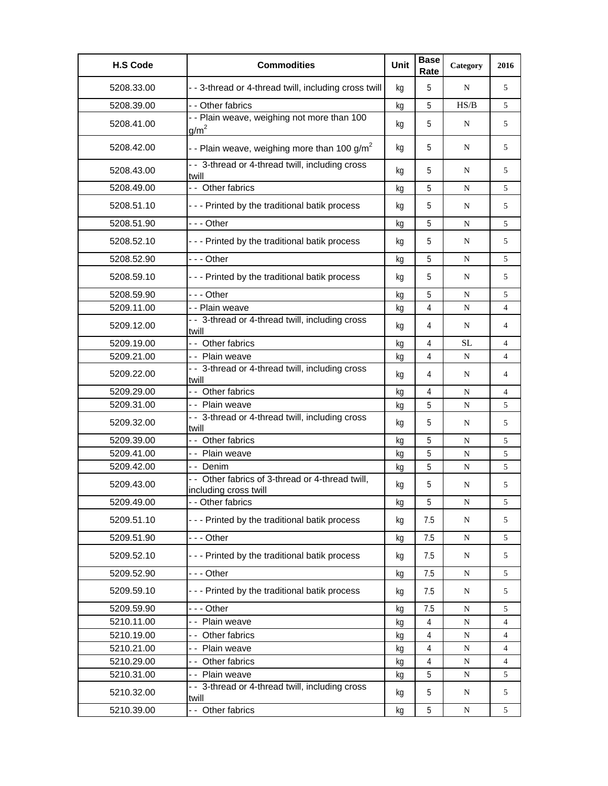| <b>H.S Code</b> | <b>Commodities</b>                                                        | Unit | <b>Base</b><br>Rate | Category  | 2016 |
|-----------------|---------------------------------------------------------------------------|------|---------------------|-----------|------|
| 5208.33.00      | - - 3-thread or 4-thread twill, including cross twill                     | kg   | 5                   | N         | 5    |
| 5208.39.00      | - - Other fabrics                                                         | kg   | 5                   | HS/B      | 5    |
| 5208.41.00      | - - Plain weave, weighing not more than 100<br>g/m <sup>2</sup>           | kg   | 5                   | N         | 5    |
| 5208.42.00      | - - Plain weave, weighing more than 100 $g/m^2$                           | kq   | 5                   | N         | 5    |
| 5208.43.00      | - - 3-thread or 4-thread twill, including cross<br>twill                  | kg   | 5                   | N         | 5    |
| 5208.49.00      | - - Other fabrics                                                         | kg   | 5                   | N         | 5    |
| 5208.51.10      | - - - Printed by the traditional batik process                            | kg   | 5                   | N         | 5    |
| 5208.51.90      | $- -$ Other                                                               | kg   | 5                   | N         | 5    |
| 5208.52.10      | - - - Printed by the traditional batik process                            | kg   | 5                   | N         | 5    |
| 5208.52.90      | $- -$ Other                                                               | kg   | 5                   | N         | 5    |
| 5208.59.10      | - - - Printed by the traditional batik process                            | kg   | 5                   | N         | 5    |
| 5208.59.90      | $- -$ Other                                                               | kg   | 5                   | N         | 5    |
| 5209.11.00      | - - Plain weave                                                           | kg   | 4                   | N         | 4    |
| 5209.12.00      | - - 3-thread or 4-thread twill, including cross<br>twill                  | kg   | 4                   | N         | 4    |
| 5209.19.00      | -- Other fabrics                                                          | kg   | 4                   | SL        | 4    |
| 5209.21.00      | - - Plain weave                                                           | kq   | 4                   | N         | 4    |
| 5209.22.00      | - - 3-thread or 4-thread twill, including cross<br>twill                  | kq   | 4                   | N         | 4    |
| 5209.29.00      | - - Other fabrics                                                         | kg   | 4                   | N         | 4    |
| 5209.31.00      | -- Plain weave                                                            | kg   | 5                   | N         | 5    |
| 5209.32.00      | -- 3-thread or 4-thread twill, including cross<br>twill                   | kg   | 5                   | N         | 5    |
| 5209.39.00      | - - Other fabrics                                                         | kg   | 5                   | N         | 5    |
| 5209.41.00      | - - Plain weave                                                           | kg   | 5                   | N         | 5    |
| 5209.42.00      | -- Denim                                                                  | kg   | 5                   | N         | 5    |
| 5209.43.00      | - - Other fabrics of 3-thread or 4-thread twill,<br>including cross twill | kg   | 5                   | N         | 5    |
| 5209.49.00      | - - Other fabrics                                                         | kg   | 5                   | ${\bf N}$ | 5    |
| 5209.51.10      | --- Printed by the traditional batik process                              | kg   | 7.5                 | ${\bf N}$ | 5    |
| 5209.51.90      |                                                                           | kg   | 7.5                 | N         | 5    |
| 5209.52.10      | - - - Printed by the traditional batik process                            | kq   | 7.5                 | N         | 5    |
| 5209.52.90      | --- Other                                                                 | kq   | 7.5                 | N         | 5    |
| 5209.59.10      | --- Printed by the traditional batik process                              | kq   | 7.5                 | N         | 5    |
| 5209.59.90      | --- Other                                                                 | kg   | 7.5                 | ${\bf N}$ | 5    |
| 5210.11.00      | - - Plain weave                                                           | kg   | $\overline{4}$      | ${\bf N}$ | 4    |
| 5210.19.00      | -- Other fabrics                                                          | kg   | $\overline{4}$      | N         | 4    |
| 5210.21.00      | - - Plain weave                                                           | kg   | $\overline{4}$      | N         | 4    |
| 5210.29.00      | -- Other fabrics                                                          | kg   | 4                   | N         | 4    |
| 5210.31.00      | - - Plain weave                                                           | kg   | 5                   | N         | 5    |
| 5210.32.00      | -- 3-thread or 4-thread twill, including cross<br>twill                   | kg   | 5                   | N         | 5    |
| 5210.39.00      | -- Other fabrics                                                          | kg   | 5                   | N         | 5    |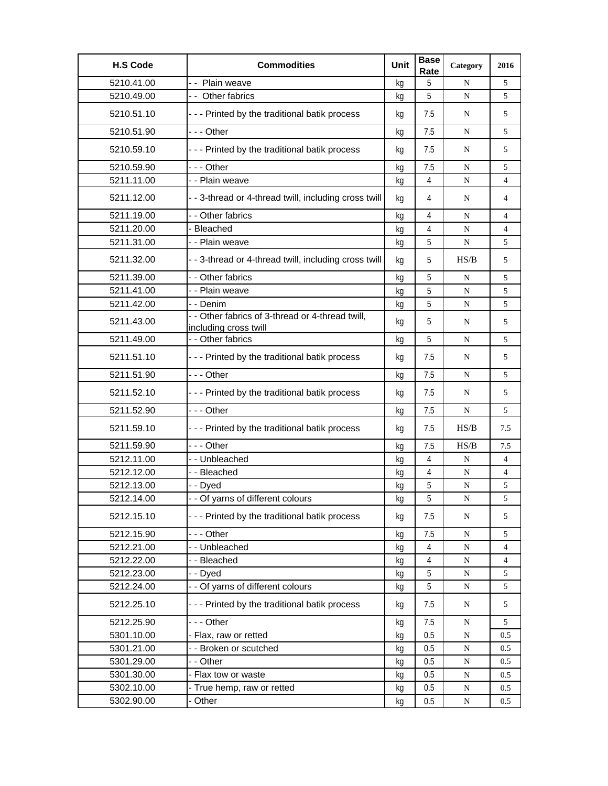| <b>H.S Code</b> | <b>Commodities</b>                                                        | Unit | <b>Base</b><br>Rate | Category  | 2016 |
|-----------------|---------------------------------------------------------------------------|------|---------------------|-----------|------|
| 5210.41.00      | - - Plain weave                                                           | kq   | 5                   | N         | 5    |
| 5210.49.00      | -- Other fabrics                                                          | kg   | 5                   | N         | 5    |
| 5210.51.10      | --- Printed by the traditional batik process                              | kg   | 7.5                 | N         | 5    |
| 5210.51.90      | --- Other                                                                 | kg   | 7.5                 | N         | 5    |
| 5210.59.10      | - - - Printed by the traditional batik process                            | kg   | 7.5                 | N         | 5    |
| 5210.59.90      | --- Other                                                                 | kg   | 7.5                 | N         | 5    |
| 5211.11.00      | - - Plain weave                                                           | kg   | 4                   | N         | 4    |
| 5211.12.00      | - - 3-thread or 4-thread twill, including cross twill                     | kg   | 4                   | N         | 4    |
| 5211.19.00      | - - Other fabrics                                                         | kg   | 4                   | N         | 4    |
| 5211.20.00      | - Bleached                                                                | kg   | 4                   | N         | 4    |
| 5211.31.00      | - - Plain weave                                                           | kg   | 5                   | N         | 5    |
| 5211.32.00      | - - 3-thread or 4-thread twill, including cross twill                     | kg   | 5                   | HS/B      | 5    |
| 5211.39.00      | - - Other fabrics                                                         | kg   | 5                   | N         | 5    |
| 5211.41.00      | - - Plain weave                                                           | kg   | 5                   | N         | 5    |
| 5211.42.00      | - - Denim                                                                 | kg   | 5                   | N         | 5    |
| 5211.43.00      | - - Other fabrics of 3-thread or 4-thread twill,<br>including cross twill | kq   | 5                   | N         | 5    |
| 5211.49.00      | - - Other fabrics                                                         | kg   | 5                   | N         | 5    |
| 5211.51.10      | - - - Printed by the traditional batik process                            | kg   | 7.5                 | N         | 5    |
| 5211.51.90      | -  - - Other                                                              | kg   | 7.5                 | N         | 5    |
| 5211.52.10      | --- Printed by the traditional batik process                              | kg   | 7.5                 | N         | 5    |
| 5211.52.90      | $--$ Other                                                                | kg   | 7.5                 | N         | 5    |
| 5211.59.10      | - - - Printed by the traditional batik process                            | kq   | 7.5                 | HS/B      | 7.5  |
| 5211.59.90      | - - - Other                                                               | kq   | 7.5                 | HS/B      | 7.5  |
| 5212.11.00      | - - Unbleached                                                            | kg   | $\overline{4}$      | N         | 4    |
| 5212.12.00      | - - Bleached                                                              | kg   | 4                   | N         | 4    |
| 5212.13.00      | - - Dyed                                                                  | kg   | 5                   | N         | 5    |
| 5212.14.00      | Of yarns of different colours                                             | kg   | $\overline{5}$      | ${\bf N}$ | 5    |
| 5212.15.10      | - - - Printed by the traditional batik process                            | kg   | 7.5                 | N         | 5    |
| 5212.15.90      | --- Other                                                                 | kg   | 7.5                 | ${\bf N}$ | 5    |
| 5212.21.00      | -- Unbleached                                                             | kq   | $\overline{4}$      | ${\bf N}$ | 4    |
| 5212.22.00      | - - Bleached                                                              | kg   | $\overline{4}$      | ${\bf N}$ | 4    |
| 5212.23.00      | - - Dyed                                                                  | kg   | 5                   | ${\bf N}$ | 5    |
| 5212.24.00      | - - Of yarns of different colours                                         | kg   | 5                   | N         | 5    |
| 5212.25.10      | --- Printed by the traditional batik process                              | kg   | 7.5                 | N         | 5    |
| 5212.25.90      | - - - Other                                                               | kg   | 7.5                 | N         | 5    |
| 5301.10.00      | - Flax, raw or retted                                                     | kg   | 0.5                 | ${\bf N}$ | 0.5  |
| 5301.21.00      | - - Broken or scutched                                                    | kg   | 0.5                 | ${\bf N}$ | 0.5  |
| 5301.29.00      | - - Other                                                                 | kg   | 0.5                 | ${\bf N}$ | 0.5  |
| 5301.30.00      | - Flax tow or waste                                                       | kg   | 0.5                 | N         | 0.5  |
| 5302.10.00      | - True hemp, raw or retted                                                | kg   | 0.5                 | N         | 0.5  |
| 5302.90.00      | - Other                                                                   | kg   | 0.5                 | N         | 0.5  |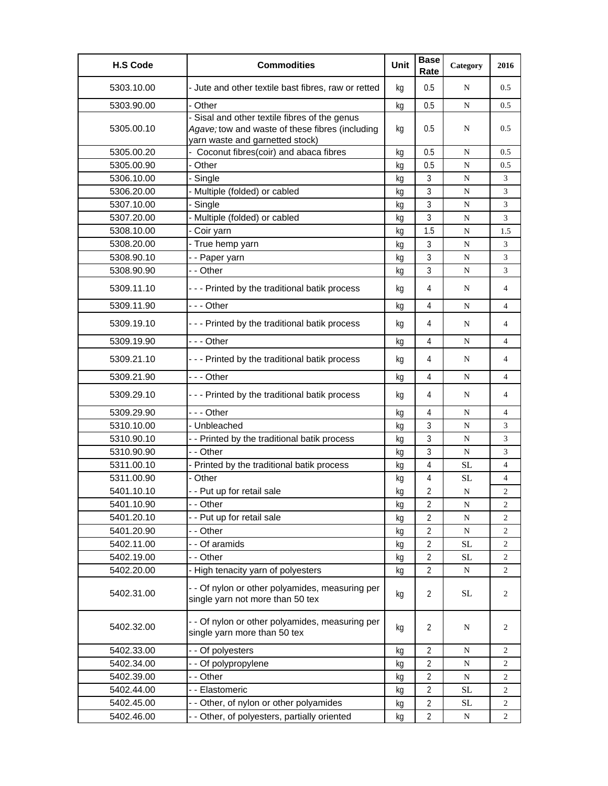| <b>H.S Code</b> | <b>Commodities</b>                                                                                                                  | Unit | <b>Base</b><br>Rate | Category  | 2016                     |
|-----------------|-------------------------------------------------------------------------------------------------------------------------------------|------|---------------------|-----------|--------------------------|
| 5303.10.00      | - Jute and other textile bast fibres, raw or retted                                                                                 | kg   | 0.5                 | N         | 0.5                      |
| 5303.90.00      | - Other                                                                                                                             | kg   | 0.5                 | N         | 0.5                      |
| 5305.00.10      | - Sisal and other textile fibres of the genus<br>Agave; tow and waste of these fibres (including<br>yarn waste and garnetted stock) | kg   | 0.5                 | N         | 0.5                      |
| 5305.00.20      | - Coconut fibres(coir) and abaca fibres                                                                                             | kg   | 0.5                 | N         | 0.5                      |
| 5305.00.90      | - Other                                                                                                                             | kq   | 0.5                 | N         | 0.5                      |
| 5306.10.00      | - Single                                                                                                                            | kg   | $\mathfrak{Z}$      | N         | 3                        |
| 5306.20.00      | - Multiple (folded) or cabled                                                                                                       | kg   | 3                   | ${\bf N}$ | 3                        |
| 5307.10.00      | - Single                                                                                                                            | kg   | 3                   | N         | 3                        |
| 5307.20.00      | - Multiple (folded) or cabled                                                                                                       | kg   | 3                   | N         | 3                        |
| 5308.10.00      | - Coir yarn                                                                                                                         | kq   | 1.5                 | N         | 1.5                      |
| 5308.20.00      | - True hemp yarn                                                                                                                    | kg   | 3                   | N         | 3                        |
| 5308.90.10      | - - Paper yarn                                                                                                                      | kg   | 3                   | ${\bf N}$ | 3                        |
| 5308.90.90      | - - Other                                                                                                                           | kg   | 3                   | N         | 3                        |
| 5309.11.10      | --- Printed by the traditional batik process                                                                                        | kg   | 4                   | N         | 4                        |
| 5309.11.90      | - - - Other                                                                                                                         | kg   | 4                   | N         | 4                        |
| 5309.19.10      | --- Printed by the traditional batik process                                                                                        | kg   | 4                   | N         | 4                        |
| 5309.19.90      | - - - Other                                                                                                                         | kg   | 4                   | N         | $\overline{\mathcal{L}}$ |
| 5309.21.10      | --- Printed by the traditional batik process                                                                                        | kg   | 4                   | N         | 4                        |
| 5309.21.90      | - - - Other                                                                                                                         | kg   | 4                   | N         | 4                        |
| 5309.29.10      | --- Printed by the traditional batik process                                                                                        | kg   | 4                   | N         | 4                        |
| 5309.29.90      | - - - Other                                                                                                                         | kq   | 4                   | N         | 4                        |
| 5310.10.00      | - Unbleached                                                                                                                        | kg   | 3                   | N         | 3                        |
| 5310.90.10      | - - Printed by the traditional batik process                                                                                        | kg   | 3                   | N         | 3                        |
| 5310.90.90      | - - Other                                                                                                                           | kq   | 3                   | N         | 3                        |
| 5311.00.10      | - Printed by the traditional batik process                                                                                          | kg   | 4                   | SL        | 4                        |
| 5311.00.90      | - Other                                                                                                                             | kg   | 4                   | SL        | 4                        |
| 5401.10.10      | - - Put up for retail sale                                                                                                          | kg   | 2                   | N         | 2                        |
| 5401.10.90      | - - Other                                                                                                                           | kg   | $\overline{2}$      | N         | 2                        |
| 5401.20.10      | -- Put up for retail sale                                                                                                           | kg   | $\overline{2}$      | ${\bf N}$ | $\overline{c}$           |
| 5401.20.90      | - - Other                                                                                                                           | kg   | 2                   | ${\bf N}$ | 2                        |
| 5402.11.00      | - - Of aramids                                                                                                                      | kg   | 2                   | $\rm SL$  | 2                        |
| 5402.19.00      | - - Other                                                                                                                           | kg   | $\overline{2}$      | <b>SL</b> | 2                        |
| 5402.20.00      | - High tenacity yarn of polyesters                                                                                                  | kg   | $\overline{2}$      | ${\bf N}$ | 2                        |
| 5402.31.00      | - - Of nylon or other polyamides, measuring per<br>single yarn not more than 50 tex                                                 | kg   | $\overline{2}$      | <b>SL</b> | 2                        |
| 5402.32.00      | - - Of nylon or other polyamides, measuring per<br>single yarn more than 50 tex                                                     | kg   | 2                   | N         | 2                        |
| 5402.33.00      | - - Of polyesters                                                                                                                   | kq   | $\overline{2}$      | N         | 2                        |
| 5402.34.00      | -- Of polypropylene                                                                                                                 | kg   | $\overline{2}$      | N         | 2                        |
| 5402.39.00      | - - Other                                                                                                                           | kg   | 2                   | ${\bf N}$ | 2                        |
| 5402.44.00      | - - Elastomeric                                                                                                                     | kg   | 2                   | <b>SL</b> | 2                        |
| 5402.45.00      | - - Other, of nylon or other polyamides                                                                                             | kg   | $\overline{2}$      | <b>SL</b> | 2                        |
| 5402.46.00      | - - Other, of polyesters, partially oriented                                                                                        | kg   | 2                   | N         | 2                        |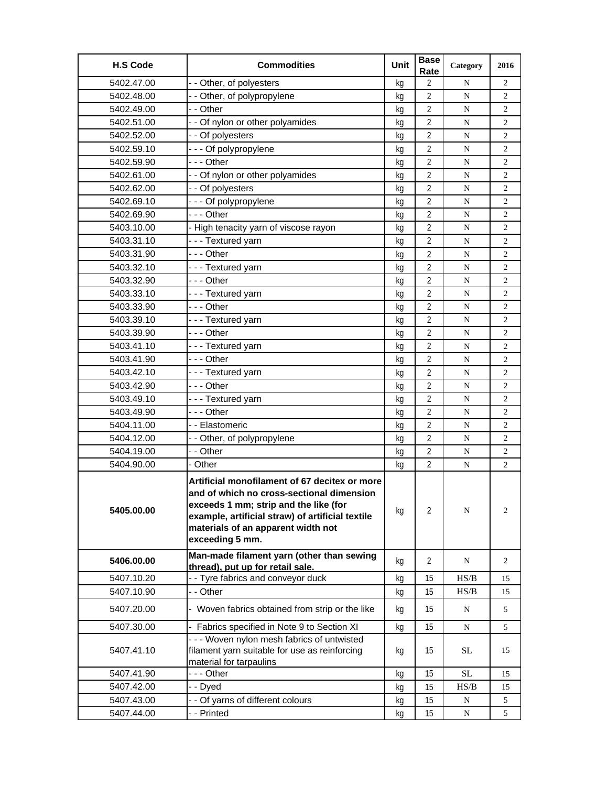| <b>H.S Code</b> | <b>Commodities</b>                                                                                                                                                                                                                               | Unit | <b>Base</b><br>Rate | Category  | 2016           |
|-----------------|--------------------------------------------------------------------------------------------------------------------------------------------------------------------------------------------------------------------------------------------------|------|---------------------|-----------|----------------|
| 5402.47.00      | - - Other, of polyesters                                                                                                                                                                                                                         | kg   | $\overline{2}$      | N         | $\overline{2}$ |
| 5402.48.00      | - - Other, of polypropylene                                                                                                                                                                                                                      | kg   | $\overline{2}$      | ${\bf N}$ | $\overline{2}$ |
| 5402.49.00      | - - Other                                                                                                                                                                                                                                        | kg   | 2                   | N         | 2              |
| 5402.51.00      | - - Of nylon or other polyamides                                                                                                                                                                                                                 | kg   | $\overline{2}$      | N         | 2              |
| 5402.52.00      | - - Of polyesters                                                                                                                                                                                                                                | kg   | $\overline{2}$      | N         | $\overline{c}$ |
| 5402.59.10      | --- Of polypropylene                                                                                                                                                                                                                             | kq   | $\overline{2}$      | N         | 2              |
| 5402.59.90      | --- Other                                                                                                                                                                                                                                        | kg   | 2                   | N         | 2              |
| 5402.61.00      | - - Of nylon or other polyamides                                                                                                                                                                                                                 | kg   | $\overline{2}$      | N         | 2              |
| 5402.62.00      | - - Of polyesters                                                                                                                                                                                                                                | kg   | 2                   | N         | $\overline{c}$ |
| 5402.69.10      | --- Of polypropylene                                                                                                                                                                                                                             | kg   | $\overline{2}$      | N         | 2              |
| 5402.69.90      | --- Other                                                                                                                                                                                                                                        | kq   | $\overline{2}$      | ${\bf N}$ | $\overline{c}$ |
| 5403.10.00      | - High tenacity yarn of viscose rayon                                                                                                                                                                                                            | kg   | 2                   | ${\bf N}$ | 2              |
| 5403.31.10      | --- Textured yarn                                                                                                                                                                                                                                | kg   | 2                   | N         | 2              |
| 5403.31.90      | --- Other                                                                                                                                                                                                                                        | kg   | $\overline{2}$      | N         | 2              |
| 5403.32.10      | --- Textured yarn                                                                                                                                                                                                                                | kg   | $\overline{2}$      | N         | 2              |
| 5403.32.90      | -  - - Other                                                                                                                                                                                                                                     | kg   | $\overline{2}$      | N         | 2              |
| 5403.33.10      | --- Textured yarn                                                                                                                                                                                                                                | kg   | $\overline{2}$      | ${\bf N}$ | 2              |
| 5403.33.90      | - - - Other                                                                                                                                                                                                                                      | kg   | $\overline{2}$      | ${\bf N}$ | $\overline{c}$ |
| 5403.39.10      | --- Textured yarn                                                                                                                                                                                                                                | kg   | $\overline{2}$      | N         | $\overline{2}$ |
| 5403.39.90      | $- -$ Other                                                                                                                                                                                                                                      | kg   | $\overline{2}$      | N         | 2              |
| 5403.41.10      | --- Textured yarn                                                                                                                                                                                                                                | kg   | $\overline{2}$      | N         | $\overline{2}$ |
| 5403.41.90      | - - - Other                                                                                                                                                                                                                                      | kg   | $\overline{2}$      | N         | 2              |
| 5403.42.10      | --- Textured yarn                                                                                                                                                                                                                                | kg   | $\overline{2}$      | N         | 2              |
| 5403.42.90      | --- Other                                                                                                                                                                                                                                        | kg   | $\overline{2}$      | N         | $\overline{c}$ |
| 5403.49.10      | --- Textured yarn                                                                                                                                                                                                                                | kq   | $\overline{2}$      | N         | $\overline{2}$ |
| 5403.49.90      | --- Other                                                                                                                                                                                                                                        | kg   | $\overline{2}$      | N         | 2              |
| 5404.11.00      | - - Elastomeric                                                                                                                                                                                                                                  | kg   | $\overline{2}$      | ${\bf N}$ | 2              |
| 5404.12.00      | - - Other, of polypropylene                                                                                                                                                                                                                      | kg   | $\overline{2}$      | N         | 2              |
| 5404.19.00      | - - Other                                                                                                                                                                                                                                        | kg   | $\overline{2}$      | N         | $\overline{c}$ |
| 5404.90.00      | - Other                                                                                                                                                                                                                                          | kg   | $\overline{2}$      | ${\bf N}$ | $\overline{2}$ |
| 5405.00.00      | Artificial monofilament of 67 decitex or more<br>and of which no cross-sectional dimension<br>exceeds 1 mm; strip and the like (for<br>example, artificial straw) of artificial textile<br>materials of an apparent width not<br>exceeding 5 mm. | kg   | $\overline{2}$      | N         | $\overline{2}$ |
| 5406.00.00      | Man-made filament yarn (other than sewing<br>thread), put up for retail sale.                                                                                                                                                                    | kg   | 2                   | N         | 2              |
| 5407.10.20      | -- Tyre fabrics and conveyor duck                                                                                                                                                                                                                | kg   | 15                  | HS/B      | 15             |
| 5407.10.90      | - - Other                                                                                                                                                                                                                                        | kg   | 15                  | HS/B      | 15             |
| 5407.20.00      | - Woven fabrics obtained from strip or the like                                                                                                                                                                                                  | kg   | 15                  | N         | 5              |
| 5407.30.00      | - Fabrics specified in Note 9 to Section XI                                                                                                                                                                                                      | kg   | 15                  | N         | 5              |
| 5407.41.10      | - - - Woven nylon mesh fabrics of untwisted<br>filament yarn suitable for use as reinforcing<br>material for tarpaulins                                                                                                                          | kg   | 15                  | <b>SL</b> | 15             |
| 5407.41.90      | --- Other                                                                                                                                                                                                                                        | kg   | 15                  | $\rm SL$  | 15             |
| 5407.42.00      | - - Dyed                                                                                                                                                                                                                                         | kg   | 15                  | HS/B      | 15             |
| 5407.43.00      | - - Of yarns of different colours                                                                                                                                                                                                                | kg   | 15                  | N         | 5              |
| 5407.44.00      | - - Printed                                                                                                                                                                                                                                      | kg   | 15                  | N         | 5              |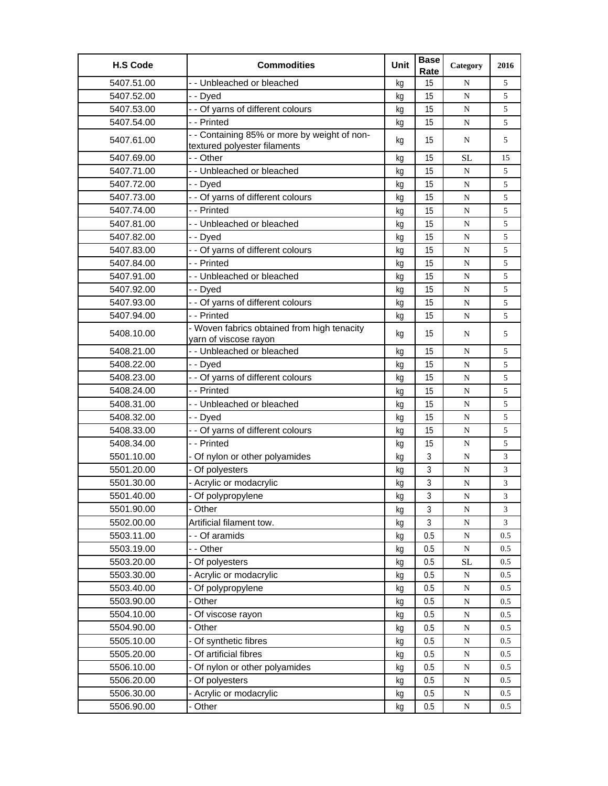| <b>H.S Code</b> | <b>Commodities</b>                                                           | Unit | <b>Base</b><br>Rate | Category  | 2016 |
|-----------------|------------------------------------------------------------------------------|------|---------------------|-----------|------|
| 5407.51.00      | - - Unbleached or bleached                                                   | ka   | 15                  | N         | 5    |
| 5407.52.00      | - - Dyed                                                                     | kg   | 15                  | ${\bf N}$ | 5    |
| 5407.53.00      | - - Of yarns of different colours                                            | kg   | 15                  | N         | 5    |
| 5407.54.00      | - - Printed                                                                  | kg   | 15                  | N         | 5    |
| 5407.61.00      | - - Containing 85% or more by weight of non-<br>textured polyester filaments | kg   | 15                  | N         | 5    |
| 5407.69.00      | - - Other                                                                    | kg   | 15                  | <b>SL</b> | 15   |
| 5407.71.00      | - - Unbleached or bleached                                                   | kg   | 15                  | ${\bf N}$ | 5    |
| 5407.72.00      | - - Dyed                                                                     | kq   | 15                  | N         | 5    |
| 5407.73.00      | - - Of yarns of different colours                                            | kg   | 15                  | N         | 5    |
| 5407.74.00      | - - Printed                                                                  | kg   | 15                  | ${\bf N}$ | 5    |
| 5407.81.00      | - - Unbleached or bleached                                                   | kg   | 15                  | N         | 5    |
| 5407.82.00      | - - Dyed                                                                     | kg   | 15                  | N         | 5    |
| 5407.83.00      | - - Of yarns of different colours                                            | kg   | 15                  | ${\bf N}$ | 5    |
| 5407.84.00      | - - Printed                                                                  | kg   | 15                  | ${\bf N}$ | 5    |
| 5407.91.00      | - - Unbleached or bleached                                                   | kg   | 15                  | N         | 5    |
| 5407.92.00      | - - Dyed                                                                     | kg   | 15                  | N         | 5    |
| 5407.93.00      | - - Of yarns of different colours                                            | kg   | 15                  | N         | 5    |
| 5407.94.00      | - - Printed                                                                  | kg   | 15                  | ${\bf N}$ | 5    |
| 5408.10.00      | - Woven fabrics obtained from high tenacity<br>yarn of viscose rayon         | kg   | 15                  | N         | 5    |
| 5408.21.00      | - - Unbleached or bleached                                                   | kg   | 15                  | N         | 5    |
| 5408.22.00      | - - Dyed                                                                     | kg   | 15                  | ${\bf N}$ | 5    |
| 5408.23.00      | - - Of yarns of different colours                                            | kg   | 15                  | N         | 5    |
| 5408.24.00      | - - Printed                                                                  | kg   | 15                  | N         | 5    |
| 5408.31.00      | - - Unbleached or bleached                                                   | kg   | 15                  | N         | 5    |
| 5408.32.00      | - - Dyed                                                                     | kq   | 15                  | N         | 5    |
| 5408.33.00      | - - Of yarns of different colours                                            | kg   | 15                  | ${\bf N}$ | 5    |
| 5408.34.00      | - - Printed                                                                  | kg   | 15                  | N         | 5    |
| 5501.10.00      | - Of nylon or other polyamides                                               | kg   | 3                   | N         | 3    |
| 5501.20.00      | - Of polyesters                                                              | kg   | 3                   | ${\bf N}$ | 3    |
| 5501.30.00      | - Acrylic or modacrylic                                                      | kg   | 3                   | N         | 3    |
| 5501.40.00      | - Of polypropylene                                                           | kg   | $\sqrt{3}$          | N         | 3    |
| 5501.90.00      | Other                                                                        | kg   | 3                   | ${\bf N}$ | 3    |
| 5502.00.00      | Artificial filament tow.                                                     | kg   | $\mathfrak{Z}$      | ${\bf N}$ | 3    |
| 5503.11.00      | - - Of aramids                                                               | kg   | 0.5                 | ${\bf N}$ | 0.5  |
| 5503.19.00      | - - Other                                                                    | kg   | 0.5                 | ${\bf N}$ | 0.5  |
| 5503.20.00      | - Of polyesters                                                              | kg   | 0.5                 | <b>SL</b> | 0.5  |
| 5503.30.00      | - Acrylic or modacrylic                                                      | kg   | 0.5                 | ${\bf N}$ | 0.5  |
| 5503.40.00      | Of polypropylene                                                             | kg   | 0.5                 | ${\bf N}$ | 0.5  |
| 5503.90.00      | Other                                                                        | kg   | 0.5                 | ${\bf N}$ | 0.5  |
| 5504.10.00      | Of viscose rayon                                                             | kg   | 0.5                 | ${\bf N}$ | 0.5  |
| 5504.90.00      | Other                                                                        | kg   | 0.5                 | ${\bf N}$ | 0.5  |
| 5505.10.00      | Of synthetic fibres                                                          | kg   | 0.5                 | ${\bf N}$ | 0.5  |
| 5505.20.00      | - Of artificial fibres                                                       | kg   | 0.5                 | ${\bf N}$ | 0.5  |
| 5506.10.00      | Of nylon or other polyamides                                                 | kg   | 0.5                 | ${\bf N}$ | 0.5  |
| 5506.20.00      | Of polyesters                                                                | kg   | 0.5                 | ${\bf N}$ | 0.5  |
| 5506.30.00      | - Acrylic or modacrylic                                                      | kg   | 0.5                 | ${\bf N}$ | 0.5  |
| 5506.90.00      | - Other                                                                      | kg   | 0.5                 | ${\bf N}$ | 0.5  |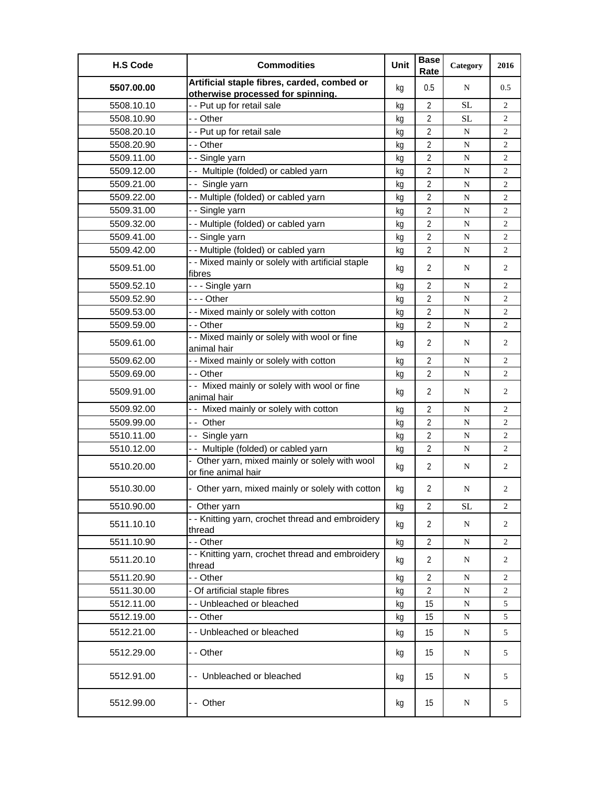| <b>H.S Code</b> | <b>Commodities</b>                                                               | Unit | <b>Base</b><br>Rate | Category  | 2016           |
|-----------------|----------------------------------------------------------------------------------|------|---------------------|-----------|----------------|
| 5507.00.00      | Artificial staple fibres, carded, combed or<br>otherwise processed for spinning. | kg   | 0.5                 | N         | 0.5            |
| 5508.10.10      | - - Put up for retail sale                                                       | kg   | $\overline{2}$      | <b>SL</b> | 2              |
| 5508.10.90      | - - Other                                                                        | kg   | $\overline{2}$      | <b>SL</b> | $\overline{c}$ |
| 5508.20.10      | - - Put up for retail sale                                                       | kg   | 2                   | N         | $\overline{c}$ |
| 5508.20.90      | - - Other                                                                        | kg   | $\overline{2}$      | N         | 2              |
| 5509.11.00      | - - Single yarn                                                                  | kg   | $\overline{2}$      | N         | $\overline{c}$ |
| 5509.12.00      | -- Multiple (folded) or cabled yarn                                              | kg   | $\overline{2}$      | N         | 2              |
| 5509.21.00      | -- Single yarn                                                                   | kg   | $\overline{2}$      | N         | 2              |
| 5509.22.00      | -- Multiple (folded) or cabled yarn                                              | kg   | 2                   | ${\bf N}$ | 2              |
| 5509.31.00      | - - Single yarn                                                                  | kg   | 2                   | N         | 2              |
| 5509.32.00      | - - Multiple (folded) or cabled yarn                                             | kg   | $\overline{2}$      | N         | $\overline{c}$ |
| 5509.41.00      | - - Single yarn                                                                  | kg   | $\overline{2}$      | N         | $\overline{c}$ |
| 5509.42.00      | - - Multiple (folded) or cabled yarn                                             | kg   | $\overline{2}$      | N         | $\overline{c}$ |
| 5509.51.00      | - - Mixed mainly or solely with artificial staple                                | kg   | $\overline{2}$      | N         | $\overline{2}$ |
|                 | fibres                                                                           |      |                     |           |                |
| 5509.52.10      | --- Single yarn                                                                  | kg   | $\overline{2}$      | N         | 2              |
| 5509.52.90      | -  - - Other                                                                     | kg   | 2                   | N         | 2              |
| 5509.53.00      | - - Mixed mainly or solely with cotton                                           | kg   | $\overline{2}$      | ${\bf N}$ | $\overline{c}$ |
| 5509.59.00      | - - Other                                                                        | kg   | $\overline{2}$      | N         | $\overline{2}$ |
| 5509.61.00      | - - Mixed mainly or solely with wool or fine<br>animal hair                      | kg   | $\overline{2}$      | N         | $\overline{2}$ |
| 5509.62.00      | - - Mixed mainly or solely with cotton                                           | kg   | $\overline{2}$      | N         | 2              |
| 5509.69.00      | - - Other                                                                        | kg   | $\overline{2}$      | ${\bf N}$ | $\overline{c}$ |
| 5509.91.00      | - - Mixed mainly or solely with wool or fine<br>animal hair                      | kg   | $\overline{2}$      | N         | 2              |
| 5509.92.00      | - - Mixed mainly or solely with cotton                                           | kg   | $\overline{2}$      | N         | 2              |
| 5509.99.00      | -- Other                                                                         | kg   | $\overline{2}$      | ${\bf N}$ | 2              |
| 5510.11.00      | - - Single yarn                                                                  | kg   | 2                   | ${\bf N}$ | 2              |
| 5510.12.00      | -- Multiple (folded) or cabled yarn                                              | kg   | $\overline{2}$      | ${\bf N}$ | 2              |
| 5510.20.00      | - Other yarn, mixed mainly or solely with wool<br>or fine animal hair            | kg   | $\overline{2}$      | N         | 2              |
| 5510.30.00      | - Other yarn, mixed mainly or solely with cotton                                 | kg   | $\overline{2}$      | N         | 2              |
| 5510.90.00      | - Other yarn                                                                     | kg   | $\overline{2}$      | <b>SL</b> | 2              |
| 5511.10.10      | - - Knitting yarn, crochet thread and embroidery<br>thread                       | kg   | 2                   | N         | 2              |
| 5511.10.90      | - - Other                                                                        | kg   | $\overline{2}$      | N         | 2              |
| 5511.20.10      | - - Knitting yarn, crochet thread and embroidery<br>thread                       | kg   | 2                   | N         | $\overline{2}$ |
| 5511.20.90      | - - Other                                                                        | kg   | $\overline{2}$      | N         | 2              |
| 5511.30.00      | - Of artificial staple fibres                                                    | kg   | $\overline{2}$      | N         | 2              |
| 5512.11.00      | - - Unbleached or bleached                                                       | kg   | 15                  | ${\bf N}$ | 5              |
| 5512.19.00      | - - Other                                                                        | kg   | 15                  | ${\bf N}$ | 5              |
| 5512.21.00      | - - Unbleached or bleached                                                       | kg   | 15                  | N         | 5              |
| 5512.29.00      | - - Other                                                                        | kg   | 15                  | N         | 5              |
| 5512.91.00      | -- Unbleached or bleached                                                        | kg   | 15                  | N         | 5              |
| 5512.99.00      | -- Other                                                                         | kg   | 15                  | N         | 5              |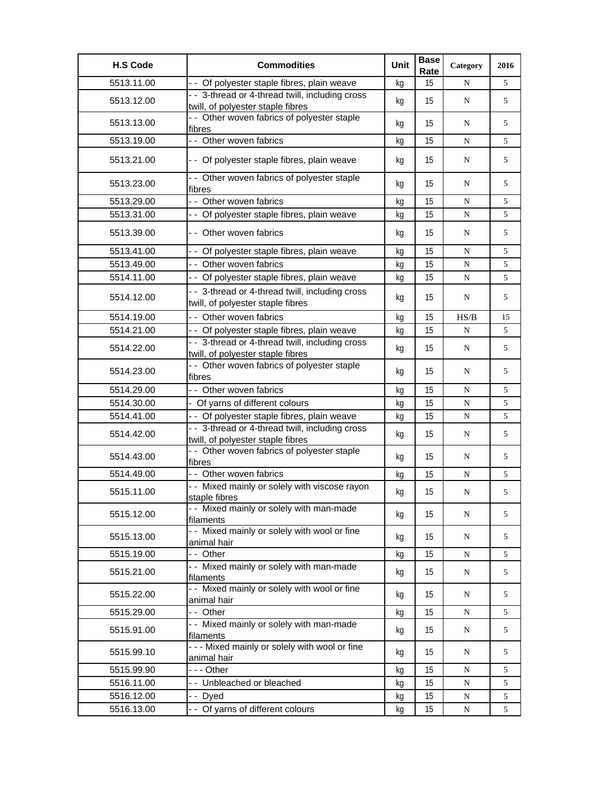| <b>H.S Code</b> | <b>Commodities</b>                                                                   | Unit | <b>Base</b><br>Rate | Category  | 2016 |
|-----------------|--------------------------------------------------------------------------------------|------|---------------------|-----------|------|
| 5513.11.00      | - - Of polyester staple fibres, plain weave                                          | kg   | 15                  | N         | 5    |
| 5513.12.00      | - - 3-thread or 4-thread twill, including cross<br>twill, of polyester staple fibres | kg   | 15                  | N         | 5    |
| 5513.13.00      | - - Other woven fabrics of polyester staple<br>fibres                                | kg   | 15                  | N         | 5    |
| 5513.19.00      | - - Other woven fabrics                                                              | kg   | 15                  | N         | 5    |
| 5513.21.00      | - - Of polyester staple fibres, plain weave                                          | kg   | 15                  | N         | 5    |
| 5513.23.00      | - - Other woven fabrics of polyester staple<br>fibres                                | kg   | 15                  | N         | 5    |
| 5513.29.00      | - - Other woven fabrics                                                              | kg   | 15                  | N         | 5    |
| 5513.31.00      | - - Of polyester staple fibres, plain weave                                          | kg   | 15                  | ${\bf N}$ | 5    |
| 5513.39.00      | - - Other woven fabrics                                                              | kg   | 15                  | N         | 5    |
| 5513.41.00      | - - Of polyester staple fibres, plain weave                                          | kg   | 15                  | ${\bf N}$ | 5    |
| 5513.49.00      | - - Other woven fabrics                                                              | kg   | 15                  | N         | 5    |
| 5514.11.00      | - - Of polyester staple fibres, plain weave                                          | kg   | 15                  | ${\bf N}$ | 5    |
| 5514.12.00      | - - 3-thread or 4-thread twill, including cross<br>twill, of polyester staple fibres | kg   | 15                  | N         | 5    |
| 5514.19.00      | - - Other woven fabrics                                                              | kg   | 15                  | HS/B      | 15   |
| 5514.21.00      | - - Of polyester staple fibres, plain weave                                          | kg   | 15                  | N         | 5    |
| 5514.22.00      | - - 3-thread or 4-thread twill, including cross<br>twill, of polyester staple fibres | kg   | 15                  | N         | 5    |
| 5514.23.00      | - - Other woven fabrics of polyester staple<br>fibres                                | kg   | 15                  | N         | 5    |
| 5514.29.00      | - - Other woven fabrics                                                              | kg   | 15                  | ${\bf N}$ | 5    |
| 5514.30.00      | - Of yarns of different colours                                                      | kg   | 15                  | ${\bf N}$ | 5    |
| 5514.41.00      | - - Of polyester staple fibres, plain weave                                          | kg   | 15                  | N         | 5    |
| 5514.42.00      | - - 3-thread or 4-thread twill, including cross<br>twill, of polyester staple fibres | kg   | 15                  | N         | 5    |
| 5514.43.00      | - - Other woven fabrics of polyester staple<br>fibres                                | kg   | 15                  | N         | 5    |
| 5514.49.00      | - - Other woven fabrics                                                              | kg   | 15                  | ${\bf N}$ | 5    |
| 5515.11.00      | - - Mixed mainly or solely with viscose rayon<br>staple fibres                       | kg   | 15                  | ${\bf N}$ | 5    |
| 5515.12.00      | - - Mixed mainly or solely with man-made<br>filaments                                | kg   | 15                  | N         | 5    |
| 5515.13.00      | - - Mixed mainly or solely with wool or fine<br>animal hair                          | kg   | 15                  | N         | 5    |
| 5515.19.00      | -- Other                                                                             | kg   | 15                  | N         | 5    |
| 5515.21.00      | - - Mixed mainly or solely with man-made<br>filaments                                | kg   | 15                  | N         | 5    |
| 5515.22.00      | - - Mixed mainly or solely with wool or fine<br>animal hair                          | kg   | 15                  | N         | 5    |
| 5515.29.00      | -- Other                                                                             | kg   | 15                  | ${\bf N}$ | 5    |
| 5515.91.00      | - - Mixed mainly or solely with man-made<br>filaments                                | kg   | 15                  | ${\bf N}$ | 5    |
| 5515.99.10      | - - - Mixed mainly or solely with wool or fine<br>animal hair                        | kg   | 15                  | N         | 5    |
| 5515.99.90      | - - - Other                                                                          | kg   | 15                  | N         | 5    |
| 5516.11.00      | -- Unbleached or bleached                                                            | kg   | 15                  | ${\bf N}$ | 5    |
| 5516.12.00      | -- Dyed                                                                              | kg   | 15                  | ${\bf N}$ | 5    |
| 5516.13.00      | - - Of yarns of different colours                                                    | kg   | 15                  | N         | 5    |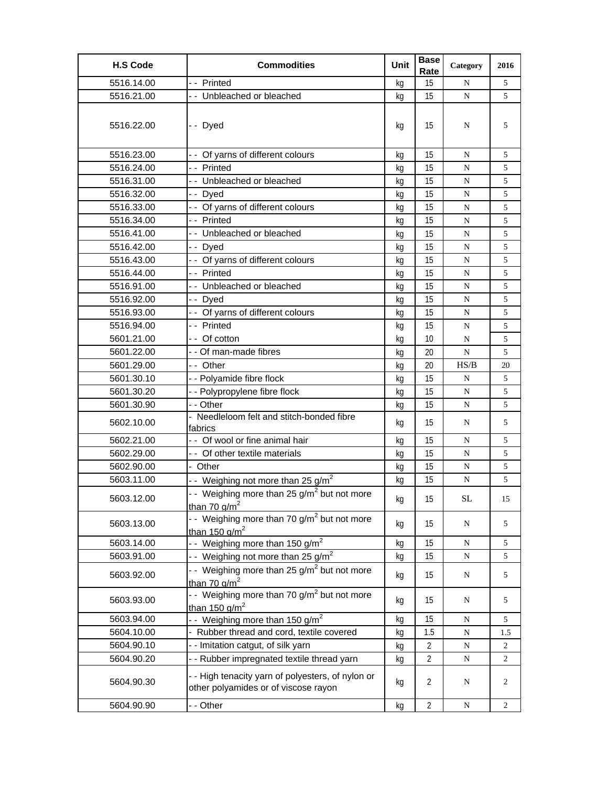| <b>H.S Code</b> | <b>Commodities</b>                                                                        | Unit | <b>Base</b><br>Rate | Category    | 2016 |
|-----------------|-------------------------------------------------------------------------------------------|------|---------------------|-------------|------|
| 5516.14.00      | -- Printed                                                                                | kg   | 15                  | N           | 5    |
| 5516.21.00      | -- Unbleached or bleached                                                                 | kq   | 15                  | N           | 5    |
| 5516.22.00      | -- Dyed                                                                                   | kg   | 15                  | N           | 5    |
| 5516.23.00      | - - Of yarns of different colours                                                         | kg   | 15                  | N           | 5    |
| 5516.24.00      | -- Printed                                                                                | kg   | 15                  | N           | 5    |
| 5516.31.00      | -- Unbleached or bleached                                                                 | kg   | 15                  | N           | 5    |
| 5516.32.00      | -- Dyed                                                                                   | kg   | 15                  | ${\bf N}$   | 5    |
| 5516.33.00      | - - Of yarns of different colours                                                         | kg   | 15                  | N           | 5    |
| 5516.34.00      | -- Printed                                                                                | kq   | 15                  | N           | 5    |
| 5516.41.00      | -- Unbleached or bleached                                                                 | kg   | 15                  | N           | 5    |
| 5516.42.00      | -- Dyed                                                                                   | kg   | 15                  | ${\bf N}$   | 5    |
| 5516.43.00      | - - Of yarns of different colours                                                         | kg   | 15                  | N           | 5    |
| 5516.44.00      | - - Printed                                                                               | kg   | 15                  | N           | 5    |
| 5516.91.00      | - - Unbleached or bleached                                                                | kg   | 15                  | N           | 5    |
| 5516.92.00      | -- Dyed                                                                                   | kg   | 15                  | N           | 5    |
| 5516.93.00      | - - Of yarns of different colours                                                         | kg   | 15                  | N           | 5    |
| 5516.94.00      | -- Printed                                                                                | kg   | 15                  | N           | 5    |
| 5601.21.00      | -- Of cotton                                                                              | kg   | 10                  | N           | 5    |
| 5601.22.00      | - - Of man-made fibres                                                                    | kg   | 20                  | $\mathbf N$ | 5    |
| 5601.29.00      | -- Other                                                                                  | kg   | 20                  | HS/B        | 20   |
| 5601.30.10      | - - Polyamide fibre flock                                                                 | kg   | 15                  | N           | 5    |
| 5601.30.20      | - - Polypropylene fibre flock                                                             | kg   | 15                  | N           | 5    |
| 5601.30.90      | - - Other                                                                                 | kg   | 15                  | N           | 5    |
| 5602.10.00      | - Needleloom felt and stitch-bonded fibre<br>fabrics                                      | kg   | 15                  | N           | 5    |
| 5602.21.00      | - - Of wool or fine animal hair                                                           | kg   | 15                  | ${\bf N}$   | 5    |
| 5602.29.00      | - - Of other textile materials                                                            | kq   | 15                  | N           | 5    |
| 5602.90.00      | - Other                                                                                   | kg   | 15                  | N           | 5    |
| 5603.11.00      | - Weighing not more than 25 g/m <sup>2</sup>                                              | kg   | 15                  | N           | 5    |
| 5603.12.00      | - - Weighing more than 25 g/m <sup>2</sup> but not more<br>than 70 $q/m^2$                | kg   | 15                  | SL          | 15   |
| 5603.13.00      | - - Weighing more than 70 g/m <sup>2</sup> but not more<br>than 150 $q/m^2$               | kg   | 15                  | N           | 5    |
| 5603.14.00      | - - Weighing more than 150 g/m <sup>2</sup>                                               | kg   | 15                  | ${\bf N}$   | 5    |
| 5603.91.00      | - - Weighing not more than 25 $g/m^2$                                                     | kg   | 15                  | N           | 5    |
| 5603.92.00      | - Weighing more than 25 $g/m^2$ but not more<br>than 70 $q/m^2$                           | kg   | 15                  | N           | 5    |
| 5603.93.00      | - Weighing more than 70 g/m <sup>2</sup> but not more<br>than 150 $q/m^2$                 | kg   | 15                  | N           | 5    |
| 5603.94.00      | - - Weighing more than 150 g/m <sup>2</sup>                                               | kg   | 15                  | N           | 5    |
| 5604.10.00      | - Rubber thread and cord, textile covered                                                 | kg   | 1.5                 | ${\bf N}$   | 1.5  |
| 5604.90.10      | - - Imitation catgut, of silk yarn                                                        | kg   | $\overline{2}$      | ${\bf N}$   | 2    |
| 5604.90.20      | - - Rubber impregnated textile thread yarn                                                | kg   | 2                   | N           | 2    |
| 5604.90.30      | - - High tenacity yarn of polyesters, of nylon or<br>other polyamides or of viscose rayon | kg   | 2                   | N           | 2    |
| 5604.90.90      | - - Other                                                                                 | kg   | $\overline{2}$      | ${\bf N}$   | 2    |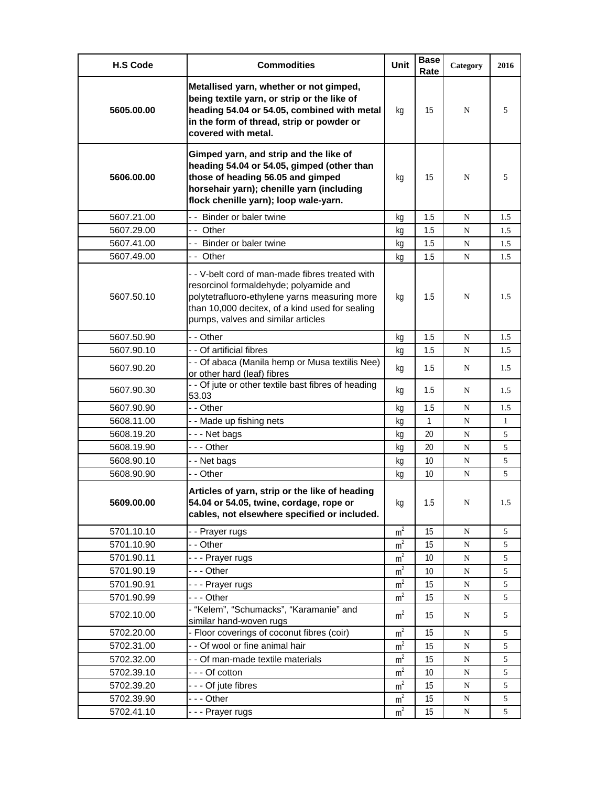| <b>H.S Code</b> | <b>Commodities</b>                                                                                                                                                                                                                  | Unit           | <b>Base</b><br>Rate | Category  | 2016 |
|-----------------|-------------------------------------------------------------------------------------------------------------------------------------------------------------------------------------------------------------------------------------|----------------|---------------------|-----------|------|
| 5605.00.00      | Metallised yarn, whether or not gimped,<br>being textile yarn, or strip or the like of<br>heading 54.04 or 54.05, combined with metal<br>in the form of thread, strip or powder or<br>covered with metal.                           | kq             | 15                  | N         | 5    |
| 5606.00.00      | Gimped yarn, and strip and the like of<br>heading 54.04 or 54.05, gimped (other than<br>those of heading 56.05 and gimped<br>horsehair yarn); chenille yarn (including<br>flock chenille yarn); loop wale-yarn.                     | kg             | 15                  | N         | 5    |
| 5607.21.00      | - - Binder or baler twine                                                                                                                                                                                                           | kg             | 1.5                 | N         | 1.5  |
| 5607.29.00      | -- Other                                                                                                                                                                                                                            | kq             | 1.5                 | N         | 1.5  |
| 5607.41.00      | - - Binder or baler twine                                                                                                                                                                                                           | kg             | 1.5                 | N         | 1.5  |
| 5607.49.00      | -- Other                                                                                                                                                                                                                            | kg             | 1.5                 | N         | 1.5  |
| 5607.50.10      | - - V-belt cord of man-made fibres treated with<br>resorcinol formaldehyde; polyamide and<br>polytetrafluoro-ethylene yarns measuring more<br>than 10,000 decitex, of a kind used for sealing<br>pumps, valves and similar articles | kg             | 1.5                 | N         | 1.5  |
| 5607.50.90      | - - Other                                                                                                                                                                                                                           | kg             | 1.5                 | N         | 1.5  |
| 5607.90.10      | - - Of artificial fibres                                                                                                                                                                                                            | kg             | 1.5                 | N         | 1.5  |
| 5607.90.20      | - - Of abaca (Manila hemp or Musa textilis Nee)<br>or other hard (leaf) fibres                                                                                                                                                      | kg             | 1.5                 | N         | 1.5  |
| 5607.90.30      | - - Of jute or other textile bast fibres of heading<br>53.03                                                                                                                                                                        | kg             | 1.5                 | N         | 1.5  |
| 5607.90.90      | - - Other                                                                                                                                                                                                                           | kg             | 1.5                 | N         | 1.5  |
| 5608.11.00      | - - Made up fishing nets                                                                                                                                                                                                            | kq             | $\mathbf{1}$        | N         | 1    |
| 5608.19.20      | --- Net bags                                                                                                                                                                                                                        | kg             | 20                  | N         | 5    |
| 5608.19.90      | - - - Other                                                                                                                                                                                                                         | kg             | 20                  | N         | 5    |
| 5608.90.10      | - - Net bags                                                                                                                                                                                                                        | kq             | 10                  | N         | 5    |
| 5608.90.90      | - - Other                                                                                                                                                                                                                           | kg             | 10                  | N         | 5    |
| 5609.00.00      | Articles of yarn, strip or the like of heading<br>54.04 or 54.05, twine, cordage, rope or<br>cables, not elsewhere specified or included.                                                                                           | kg             | 1.5                 | N         | 1.5  |
| 5701.10.10      | - - Prayer rugs                                                                                                                                                                                                                     | m <sup>2</sup> | 15                  | ${\bf N}$ | 5    |
| 5701.10.90      | - - Other                                                                                                                                                                                                                           | m <sup>2</sup> | 15                  | N         | 5    |
| 5701.90.11      | --- Prayer rugs                                                                                                                                                                                                                     | m <sup>2</sup> | 10                  | N         | 5    |
| 5701.90.19      | --- Other                                                                                                                                                                                                                           | m <sup>2</sup> | 10                  | ${\bf N}$ | 5    |
| 5701.90.91      | --- Prayer rugs                                                                                                                                                                                                                     | m <sup>2</sup> | 15                  | N         | 5    |
| 5701.90.99      | --- Other                                                                                                                                                                                                                           | m <sup>2</sup> | 15                  | N         | 5    |
| 5702.10.00      | - "Kelem", "Schumacks", "Karamanie" and<br>similar hand-woven rugs                                                                                                                                                                  | m <sup>2</sup> | 15                  | N         | 5    |
| 5702.20.00      | - Floor coverings of coconut fibres (coir)                                                                                                                                                                                          | m <sup>2</sup> | 15                  | ${\bf N}$ | 5    |
| 5702.31.00      | - - Of wool or fine animal hair                                                                                                                                                                                                     | m <sup>2</sup> | 15                  | ${\bf N}$ | 5    |
| 5702.32.00      | - - Of man-made textile materials                                                                                                                                                                                                   | m <sup>2</sup> | 15                  | N         | 5    |
| 5702.39.10      | --- Of cotton                                                                                                                                                                                                                       | m <sup>2</sup> | 10                  | ${\bf N}$ | 5    |
| 5702.39.20      | - - - Of jute fibres                                                                                                                                                                                                                | m <sup>2</sup> | 15                  | N         | 5    |
| 5702.39.90      | --- Other                                                                                                                                                                                                                           | m <sup>2</sup> | 15                  | N         | 5    |
| 5702.41.10      | --- Prayer rugs                                                                                                                                                                                                                     | m <sup>2</sup> | 15                  | N         | 5    |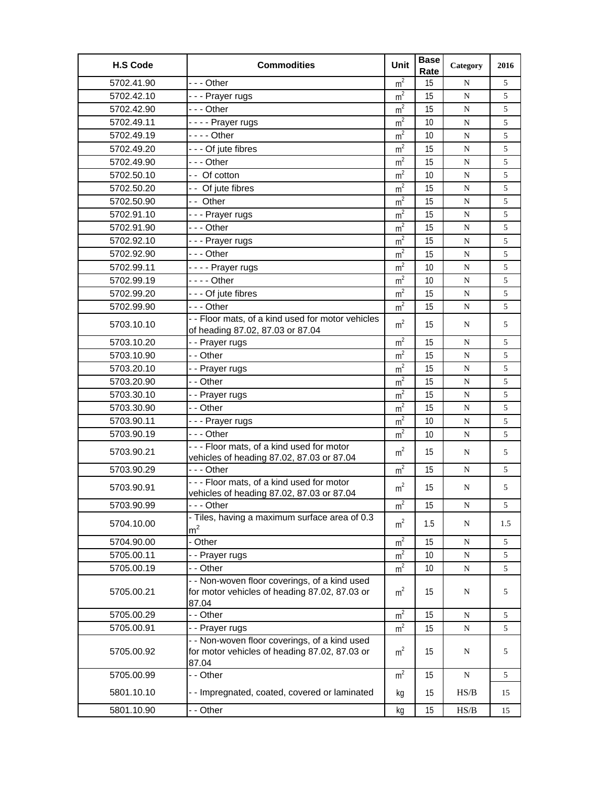| <b>H.S Code</b> | <b>Commodities</b>                                                                                      | Unit           | <b>Base</b><br>Rate | Category  | 2016 |
|-----------------|---------------------------------------------------------------------------------------------------------|----------------|---------------------|-----------|------|
| 5702.41.90      | --- Other                                                                                               | m <sup>2</sup> | 15                  | N         | 5    |
| 5702.42.10      | --- Prayer rugs                                                                                         | m <sup>2</sup> | 15                  | ${\bf N}$ | 5    |
| 5702.42.90      | --- Other                                                                                               | m <sup>2</sup> | 15                  | ${\bf N}$ | 5    |
| 5702.49.11      | ---- Prayer rugs                                                                                        | m <sup>2</sup> | 10                  | N         | 5    |
| 5702.49.19      | - - - - Other                                                                                           | m <sup>2</sup> | 10                  | N         | 5    |
| 5702.49.20      | - - - Of jute fibres                                                                                    | m <sup>2</sup> | 15                  | N         | 5    |
| 5702.49.90      | --- Other                                                                                               | m <sup>2</sup> | 15                  | ${\bf N}$ | 5    |
| 5702.50.10      | -- Of cotton                                                                                            | m <sup>2</sup> | 10                  | N         | 5    |
| 5702.50.20      | - - Of jute fibres                                                                                      | m <sup>2</sup> | 15                  | N         | 5    |
| 5702.50.90      | -- Other                                                                                                | m <sup>2</sup> | 15                  | N         | 5    |
| 5702.91.10      | --- Prayer rugs                                                                                         | m <sup>2</sup> | 15                  | ${\bf N}$ | 5    |
| 5702.91.90      | --- Other                                                                                               | m <sup>2</sup> | 15                  | ${\bf N}$ | 5    |
| 5702.92.10      | --- Prayer rugs                                                                                         | m <sup>2</sup> | 15                  | N         | 5    |
| 5702.92.90      | -  - - Other                                                                                            | m <sup>2</sup> | 15                  | N         | 5    |
| 5702.99.11      | ---- Prayer rugs                                                                                        | m <sup>2</sup> | 10                  | N         | 5    |
| 5702.99.19      |                                                                                                         | $m^2$          | 10                  | N         | 5    |
| 5702.99.20      | - - - Of jute fibres                                                                                    | m <sup>2</sup> | 15                  | ${\bf N}$ | 5    |
| 5702.99.90      | --- Other                                                                                               | m <sup>2</sup> | 15                  | ${\bf N}$ | 5    |
|                 | - - Floor mats, of a kind used for motor vehicles                                                       |                |                     |           |      |
| 5703.10.10      | of heading 87.02, 87.03 or 87.04                                                                        | m <sup>2</sup> | 15                  | N         | 5    |
| 5703.10.20      | - - Prayer rugs                                                                                         | m <sup>2</sup> | 15                  | ${\bf N}$ | 5    |
| 5703.10.90      | - - Other                                                                                               | m <sup>2</sup> | 15                  | ${\bf N}$ | 5    |
| 5703.20.10      | - - Prayer rugs                                                                                         | m <sup>2</sup> | 15                  | N         | 5    |
| 5703.20.90      | - - Other                                                                                               | m <sup>2</sup> | 15                  | N         | 5    |
| 5703.30.10      | - - Prayer rugs                                                                                         | m <sup>2</sup> | 15                  | ${\bf N}$ | 5    |
| 5703.30.90      | - - Other                                                                                               | m <sup>2</sup> | 15                  | ${\bf N}$ | 5    |
| 5703.90.11      | - - - Prayer rugs                                                                                       | m <sup>2</sup> | 10                  | ${\bf N}$ | 5    |
| 5703.90.19      | --- Other                                                                                               | m <sup>2</sup> | 10                  | N         | 5    |
| 5703.90.21      | --- Floor mats, of a kind used for motor<br>vehicles of heading 87.02, 87.03 or 87.04                   | m <sup>2</sup> | 15                  | N         | 5    |
| 5703.90.29      | --- Other                                                                                               | m <sup>2</sup> | 15                  | ${\bf N}$ | 5    |
| 5703.90.91      | --- Floor mats, of a kind used for motor                                                                | m <sup>2</sup> | 15                  | N         | 5    |
|                 | vehicles of heading 87.02, 87.03 or 87.04                                                               |                |                     |           |      |
| 5703.90.99      | -  - - Other                                                                                            | m <sup>2</sup> | 15                  | N         | 5    |
| 5704.10.00      | - Tiles, having a maximum surface area of 0.3<br>m <sup>2</sup>                                         | m <sup>2</sup> | 1.5                 | N         | 1.5  |
| 5704.90.00      | - Other                                                                                                 | m <sup>2</sup> | 15                  | ${\bf N}$ | 5    |
| 5705.00.11      | - - Prayer rugs                                                                                         | m <sup>2</sup> | 10                  | N         | 5    |
| 5705.00.19      | - - Other                                                                                               | m <sup>2</sup> | 10                  | ${\bf N}$ | 5    |
| 5705.00.21      | - - Non-woven floor coverings, of a kind used<br>for motor vehicles of heading 87.02, 87.03 or<br>87.04 | m <sup>2</sup> | 15                  | N         | 5    |
| 5705.00.29      | - - Other                                                                                               | m <sup>2</sup> | 15                  | N         | 5    |
| 5705.00.91      | - - Prayer rugs                                                                                         | m <sup>2</sup> | 15                  | ${\bf N}$ | 5    |
| 5705.00.92      | - - Non-woven floor coverings, of a kind used<br>for motor vehicles of heading 87.02, 87.03 or<br>87.04 | m <sup>2</sup> | 15                  | N         | 5    |
| 5705.00.99      | - - Other                                                                                               | m <sup>2</sup> | 15                  | N         | 5    |
| 5801.10.10      | - - Impregnated, coated, covered or laminated                                                           | kg             | 15                  | HS/B      | 15   |
| 5801.10.90      | - - Other                                                                                               | kg             | 15                  | HS/B      | 15   |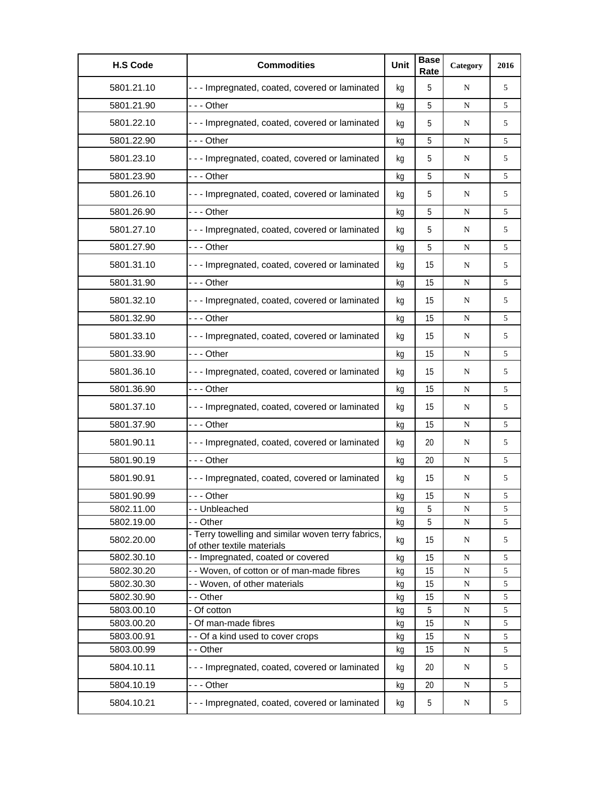| <b>H.S Code</b> | <b>Commodities</b>                                                               | Unit | <b>Base</b><br>Rate | Category  | 2016 |
|-----------------|----------------------------------------------------------------------------------|------|---------------------|-----------|------|
| 5801.21.10      | - - - Impregnated, coated, covered or laminated                                  | kg   | 5                   | N         | 5    |
| 5801.21.90      | -  - - Other                                                                     | kg   | 5                   | N         | 5    |
| 5801.22.10      | - - - Impregnated, coated, covered or laminated                                  | kg   | 5                   | N         | 5    |
| 5801.22.90      | -  - - Other                                                                     | kg   | 5                   | N         | 5    |
| 5801.23.10      | - - - Impregnated, coated, covered or laminated                                  | kg   | 5                   | N         | 5    |
| 5801.23.90      | -  - - Other                                                                     | kg   | 5                   | ${\bf N}$ | 5    |
| 5801.26.10      | --- Impregnated, coated, covered or laminated                                    | kg   | 5                   | N         | 5    |
| 5801.26.90      | -  - - Other                                                                     | kg   | 5                   | ${\bf N}$ | 5    |
| 5801.27.10      | - - - Impregnated, coated, covered or laminated                                  | kg   | 5                   | ${\bf N}$ | 5    |
| 5801.27.90      | --- Other                                                                        | kg   | 5                   | ${\bf N}$ | 5    |
| 5801.31.10      | - - - Impregnated, coated, covered or laminated                                  | kg   | 15                  | N         | 5    |
| 5801.31.90      | -  - - Other                                                                     | kg   | 15                  | ${\bf N}$ | 5    |
| 5801.32.10      | - - - Impregnated, coated, covered or laminated                                  | kg   | 15                  | ${\bf N}$ | 5    |
| 5801.32.90      | -  - - Other                                                                     | kg   | 15                  | ${\bf N}$ | 5    |
| 5801.33.10      | - - - Impregnated, coated, covered or laminated                                  | kg   | 15                  | N         | 5    |
| 5801.33.90      | -  - - Other                                                                     | kg   | 15                  | N         | 5    |
| 5801.36.10      | - - - Impregnated, coated, covered or laminated                                  | kg   | 15                  | N         | 5    |
| 5801.36.90      | --- Other                                                                        | kg   | 15                  | N         | 5    |
| 5801.37.10      | - - - Impregnated, coated, covered or laminated                                  | kg   | 15                  | N         | 5    |
| 5801.37.90      | --- Other                                                                        | kg   | 15                  | N         | 5    |
| 5801.90.11      | --- Impregnated, coated, covered or laminated                                    | kg   | 20                  | N         | 5    |
| 5801.90.19      | -  - - Other                                                                     | kg   | 20                  | N         | 5    |
| 5801.90.91      | --- Impregnated, coated, covered or laminated                                    | kg   | 15                  | N         | 5    |
| 5801.90.99      | --- Other                                                                        | ka   | 15                  | N         | 5    |
| 5802.11.00      | - - Unbleached                                                                   | kg   | 5                   | ${\bf N}$ | 5    |
| 5802.19.00      | - - Other                                                                        | kg   | 5                   | N         | 5    |
| 5802.20.00      | - Terry towelling and similar woven terry fabrics,<br>of other textile materials | kg   | 15                  | N         | 5    |
| 5802.30.10      | - - Impregnated, coated or covered                                               | kg   | 15                  | N         | 5    |
| 5802.30.20      | - - Woven, of cotton or of man-made fibres                                       | kg   | 15                  | ${\bf N}$ | 5    |
| 5802.30.30      | - - Woven, of other materials                                                    | kg   | 15                  | ${\bf N}$ | 5    |
| 5802.30.90      | - - Other                                                                        | kg   | 15                  | ${\bf N}$ | 5    |
| 5803.00.10      | - Of cotton                                                                      | kg   | 5                   | ${\bf N}$ | 5    |
| 5803.00.20      | - Of man-made fibres                                                             | kg   | 15                  | ${\bf N}$ | 5    |
| 5803.00.91      | - - Of a kind used to cover crops                                                | kg   | 15                  | ${\bf N}$ | 5    |
| 5803.00.99      | - - Other                                                                        | kg   | 15                  | N         | 5    |
| 5804.10.11      | --- Impregnated, coated, covered or laminated                                    | kg   | 20                  | N         | 5    |
| 5804.10.19      | --- Other                                                                        | kg   | 20                  | ${\bf N}$ | 5    |
| 5804.10.21      | - - - Impregnated, coated, covered or laminated                                  | kg   | 5                   | N         | 5    |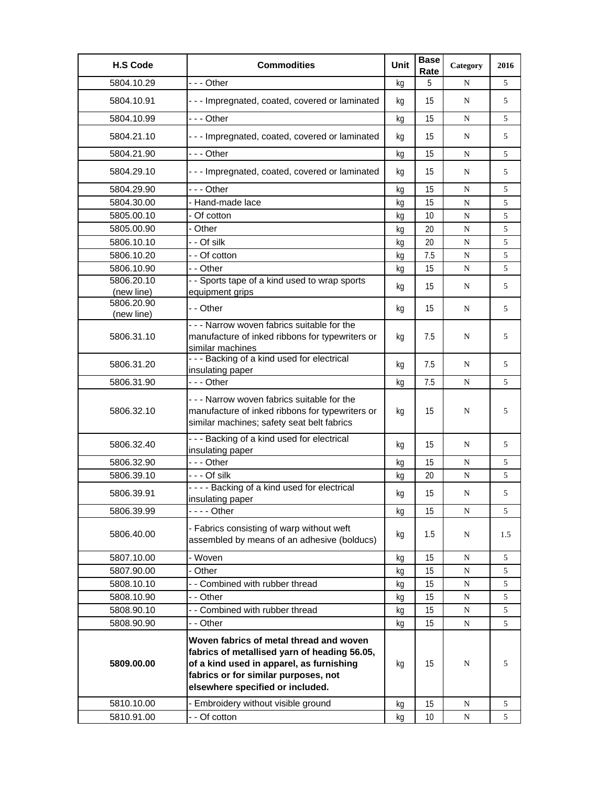| <b>H.S Code</b> | <b>Commodities</b>                                                                                                                                                                                              | <b>Unit</b> | <b>Base</b><br>Rate | Category    | 2016 |
|-----------------|-----------------------------------------------------------------------------------------------------------------------------------------------------------------------------------------------------------------|-------------|---------------------|-------------|------|
| 5804.10.29      | --- Other                                                                                                                                                                                                       | kg          | 5                   | N           | 5    |
| 5804.10.91      | --- Impregnated, coated, covered or laminated                                                                                                                                                                   | kg          | 15                  | N           | 5    |
| 5804.10.99      | - - - Other                                                                                                                                                                                                     | kg          | 15                  | N           | 5    |
| 5804.21.10      | --- Impregnated, coated, covered or laminated                                                                                                                                                                   | kg          | 15                  | N           | 5    |
| 5804.21.90      | $- -$ Other                                                                                                                                                                                                     | kg          | 15                  | N           | 5    |
| 5804.29.10      | - - - Impregnated, coated, covered or laminated                                                                                                                                                                 | kg          | 15                  | N           | 5    |
| 5804.29.90      | $- -$ Other                                                                                                                                                                                                     | kg          | 15                  | N           | 5    |
| 5804.30.00      | - Hand-made lace                                                                                                                                                                                                | kq          | 15                  | N           | 5    |
| 5805.00.10      | Of cotton                                                                                                                                                                                                       | kg          | 10                  | $\mathbf N$ | 5    |
| 5805.00.90      | - Other                                                                                                                                                                                                         | kg          | 20                  | N           | 5    |
| 5806.10.10      | - - Of silk                                                                                                                                                                                                     | kg          | 20                  | N           | 5    |
| 5806.10.20      | - - Of cotton                                                                                                                                                                                                   | kq          | 7.5                 | N           | 5    |
| 5806.10.90      | - - Other                                                                                                                                                                                                       | kg          | 15                  | N           | 5    |
| 5806.20.10      | - - Sports tape of a kind used to wrap sports                                                                                                                                                                   |             | 15                  | N           | 5    |
| (new line)      | equipment grips                                                                                                                                                                                                 | kg          |                     |             |      |
| 5806.20.90      | - - Other                                                                                                                                                                                                       | kg          | 15                  | N           | 5    |
| (new line)      | - - - Narrow woven fabrics suitable for the                                                                                                                                                                     |             |                     |             |      |
| 5806.31.10      | manufacture of inked ribbons for typewriters or<br>similar machines                                                                                                                                             | kg          | 7.5                 | N           | 5    |
| 5806.31.20      | --- Backing of a kind used for electrical                                                                                                                                                                       | kg          | 7.5                 | N           | 5    |
|                 | insulating paper                                                                                                                                                                                                |             |                     |             |      |
| 5806.31.90      | --- Other                                                                                                                                                                                                       | kg          | 7.5                 | N           | 5    |
| 5806.32.10      | --- Narrow woven fabrics suitable for the<br>manufacture of inked ribbons for typewriters or<br>similar machines; safety seat belt fabrics                                                                      | kg          | 15                  | N           | 5    |
| 5806.32.40      | --- Backing of a kind used for electrical<br>insulating paper                                                                                                                                                   | kg          | 15                  | N           | 5    |
| 5806.32.90      | --- Other                                                                                                                                                                                                       | kg          | 15                  | N           | 5    |
| 5806.39.10      | - - - Of silk                                                                                                                                                                                                   | kg          | 20                  | N           | 5    |
| 5806.39.91      | ---- Backing of a kind used for electrical<br>insulating paper                                                                                                                                                  | kg          | 15                  | N           | 5    |
| 5806.39.99      | - - - - Other                                                                                                                                                                                                   | kg          | 15                  | N           | 5    |
| 5806.40.00      | - Fabrics consisting of warp without weft<br>assembled by means of an adhesive (bolducs)                                                                                                                        | kg          | 1.5                 | N           | 1.5  |
| 5807.10.00      | - Woven                                                                                                                                                                                                         | kg          | 15                  | N           | 5    |
| 5807.90.00      | - Other                                                                                                                                                                                                         | kg          | 15                  | N           | 5    |
| 5808.10.10      | - - Combined with rubber thread                                                                                                                                                                                 | kg          | 15                  | ${\bf N}$   | 5    |
| 5808.10.90      | - - Other                                                                                                                                                                                                       | kg          | 15                  | ${\bf N}$   | 5    |
| 5808.90.10      | - - Combined with rubber thread                                                                                                                                                                                 | kg          | 15                  | N           | 5    |
| 5808.90.90      | - - Other                                                                                                                                                                                                       | kg          | 15                  | ${\bf N}$   | 5    |
| 5809.00.00      | Woven fabrics of metal thread and woven<br>fabrics of metallised yarn of heading 56.05,<br>of a kind used in apparel, as furnishing<br>fabrics or for similar purposes, not<br>elsewhere specified or included. | kg          | 15                  | N           | 5    |
| 5810.10.00      | - Embroidery without visible ground                                                                                                                                                                             | kg          | 15                  | N           | 5    |
| 5810.91.00      | - - Of cotton                                                                                                                                                                                                   | kg          | 10                  | N           | 5    |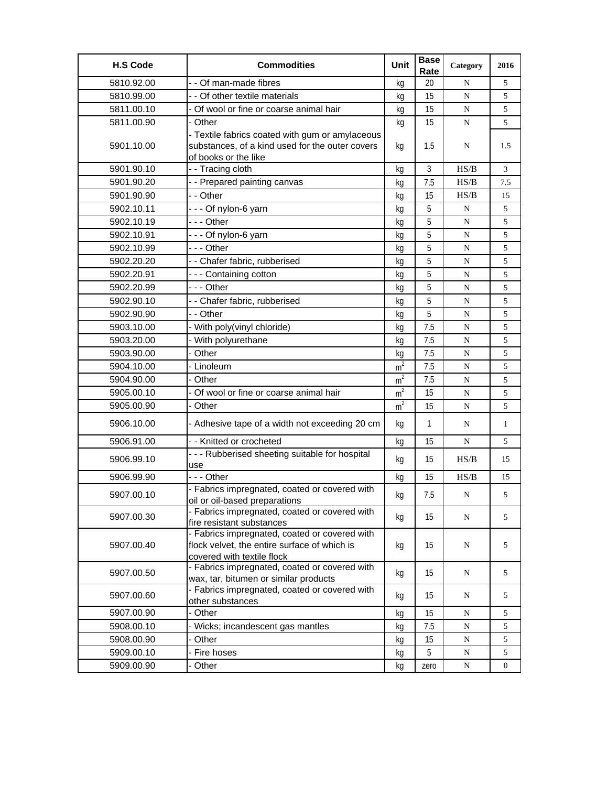| <b>H.S Code</b> | <b>Commodities</b>                                                                                                          | Unit           | <b>Base</b><br>Rate | Category  | 2016       |
|-----------------|-----------------------------------------------------------------------------------------------------------------------------|----------------|---------------------|-----------|------------|
| 5810.92.00      | - - Of man-made fibres                                                                                                      | kg             | 20                  | N         | 5          |
| 5810.99.00      | - - Of other textile materials                                                                                              | kg             | 15                  | N         | 5          |
| 5811.00.10      | - Of wool or fine or coarse animal hair                                                                                     | kg             | 15                  | ${\bf N}$ | 5          |
| 5811.00.90      | - Other                                                                                                                     | kg             | 15                  | N         | 5          |
| 5901.10.00      | - Textile fabrics coated with gum or amylaceous<br>substances, of a kind used for the outer covers<br>of books or the like  | kg             | 1.5                 | N         | 1.5        |
| 5901.90.10      | - - Tracing cloth                                                                                                           | kg             | 3                   | HS/B      | 3          |
| 5901.90.20      | - - Prepared painting canvas                                                                                                | kg             | 7.5                 | HS/B      | $7.5\,$    |
| 5901.90.90      | - - Other                                                                                                                   | kg             | 15                  | HS/B      | 15         |
| 5902.10.11      | --- Of nylon-6 yarn                                                                                                         | kg             | 5                   | N         | 5          |
| 5902.10.19      | - - - Other                                                                                                                 | kq             | 5                   | N         | 5          |
| 5902.10.91      | --- Of nylon-6 yarn                                                                                                         | kg             | 5                   | N         | 5          |
| 5902.10.99      | --- Other                                                                                                                   | kg             | 5                   | N         | 5          |
| 5902.20.20      | - - Chafer fabric, rubberised                                                                                               | kq             | 5                   | N         | 5          |
| 5902.20.91      | --- Containing cotton                                                                                                       | kg             | 5                   | ${\bf N}$ | $\sqrt{5}$ |
| 5902.20.99      | - - - Other                                                                                                                 | kg             | 5                   | N         | 5          |
| 5902.90.10      | - - Chafer fabric, rubberised                                                                                               | kg             | 5                   | N         | 5          |
| 5902.90.90      | - - Other                                                                                                                   | kg             | 5                   | N         | 5          |
| 5903.10.00      | - With poly(vinyl chloride)                                                                                                 | kg             | 7.5                 | N         | 5          |
| 5903.20.00      | - With polyurethane                                                                                                         | kg             | 7.5                 | N         | $\sqrt{5}$ |
| 5903.90.00      | - Other                                                                                                                     | kg             | 7.5                 | ${\bf N}$ | 5          |
| 5904.10.00      | - Linoleum                                                                                                                  | m <sup>2</sup> | 7.5                 | N         | 5          |
| 5904.90.00      | - Other                                                                                                                     | m <sup>2</sup> | 7.5                 | N         | 5          |
| 5905.00.10      | - Of wool or fine or coarse animal hair                                                                                     | m <sup>2</sup> | 15                  | N         | 5          |
|                 |                                                                                                                             |                |                     |           |            |
| 5905.00.90      | - Other                                                                                                                     | m <sup>2</sup> | 15                  | ${\bf N}$ | $\sqrt{5}$ |
| 5906.10.00      | - Adhesive tape of a width not exceeding 20 cm                                                                              | kg             | 1                   | N         | 1          |
| 5906.91.00      | - - Knitted or crocheted                                                                                                    | kg             | 15                  | ${\bf N}$ | 5          |
| 5906.99.10      | - - - Rubberised sheeting suitable for hospital<br>use                                                                      | kg             | 15                  | HS/B      | 15         |
| 5906.99.90      | -  - - Other                                                                                                                | kg             | 15                  | HS/B      | 15         |
| 5907.00.10      | - Fabrics impregnated, coated or covered with<br>oil or oil-based preparations                                              | kg             | 7.5                 | N         | 5          |
| 5907.00.30      | - Fabrics impregnated, coated or covered with<br>fire resistant substances                                                  | kg             | 15                  | N         | 5          |
| 5907.00.40      | - Fabrics impregnated, coated or covered with<br>flock velvet, the entire surface of which is<br>covered with textile flock | kg             | 15                  | N         | 5          |
| 5907.00.50      | - Fabrics impregnated, coated or covered with<br>wax, tar, bitumen or similar products                                      | kg             | 15                  | N         | 5          |
| 5907.00.60      | - Fabrics impregnated, coated or covered with<br>other substances                                                           | kg             | 15                  | N         | 5          |
| 5907.00.90      | - Other                                                                                                                     | kg             | 15                  | ${\bf N}$ | 5          |
| 5908.00.10      | - Wicks; incandescent gas mantles                                                                                           | kg             | 7.5                 | N         | 5          |
| 5908.00.90      | - Other                                                                                                                     | kg             | 15                  | ${\bf N}$ | 5          |
| 5909.00.10      | Fire hoses                                                                                                                  | kg             | 5                   | ${\bf N}$ | 5          |
| 5909.00.90      | Other                                                                                                                       | kg             | zero                | ${\bf N}$ | 0          |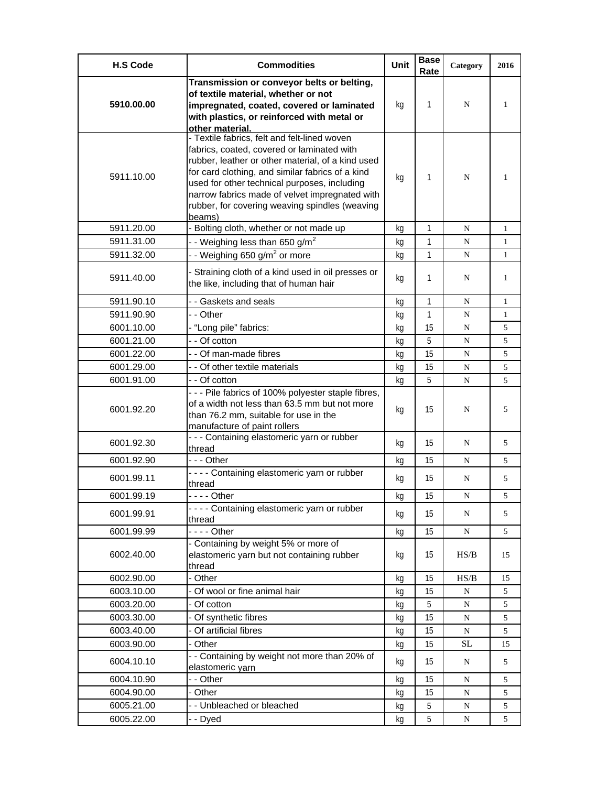| <b>H.S Code</b> | <b>Commodities</b>                                                                     | <b>Unit</b> | <b>Base</b><br>Rate | Category  | 2016         |
|-----------------|----------------------------------------------------------------------------------------|-------------|---------------------|-----------|--------------|
|                 | Transmission or conveyor belts or belting,                                             |             |                     |           |              |
|                 | of textile material, whether or not                                                    |             |                     |           |              |
| 5910.00.00      | impregnated, coated, covered or laminated                                              | kg          | 1                   | N         | 1            |
|                 | with plastics, or reinforced with metal or                                             |             |                     |           |              |
|                 | other material.<br>- Textile fabrics, felt and felt-lined woven                        |             |                     |           |              |
|                 | fabrics, coated, covered or laminated with                                             |             |                     |           |              |
|                 | rubber, leather or other material, of a kind used                                      |             |                     |           |              |
| 5911.10.00      | for card clothing, and similar fabrics of a kind                                       |             | 1                   | N         | 1            |
|                 | used for other technical purposes, including                                           | kg          |                     |           |              |
|                 | narrow fabrics made of velvet impregnated with                                         |             |                     |           |              |
|                 | rubber, for covering weaving spindles (weaving                                         |             |                     |           |              |
| 5911.20.00      | beams)<br>- Bolting cloth, whether or not made up                                      | kg          | 1                   | N         | $\mathbf{1}$ |
| 5911.31.00      | - - Weighing less than 650 g/m <sup>2</sup>                                            |             | $\mathbf{1}$        | N         | 1            |
| 5911.32.00      | - - Weighing 650 g/m <sup>2</sup> or more                                              | kg          | 1                   | N         | 1            |
|                 |                                                                                        | kg          |                     |           |              |
| 5911.40.00      | - Straining cloth of a kind used in oil presses or                                     | kg          | 1                   | N         | 1            |
|                 | the like, including that of human hair                                                 |             |                     |           |              |
| 5911.90.10      | - - Gaskets and seals                                                                  | kg          | 1                   | N         | 1            |
| 5911.90.90      | - - Other                                                                              | kg          | $\mathbf{1}$        | N         | $\mathbf{1}$ |
| 6001.10.00      | - "Long pile" fabrics:                                                                 | kg          | 15                  | N         | 5            |
| 6001.21.00      | - - Of cotton                                                                          | kg          | 5                   | ${\bf N}$ | 5            |
| 6001.22.00      | - - Of man-made fibres                                                                 | kg          | 15                  | N         | 5            |
| 6001.29.00      | - - Of other textile materials                                                         | kg          | 15                  | ${\bf N}$ | 5            |
| 6001.91.00      | - - Of cotton                                                                          | kg          | 5                   | N         | 5            |
|                 | - - - Pile fabrics of 100% polyester staple fibres,                                    |             |                     |           |              |
| 6001.92.20      | of a width not less than 63.5 mm but not more<br>than 76.2 mm, suitable for use in the | kg          | 15                  | N         | 5            |
|                 | manufacture of paint rollers                                                           |             |                     |           |              |
|                 | - - - Containing elastomeric yarn or rubber                                            |             |                     |           |              |
| 6001.92.30      | thread                                                                                 | kg          | 15                  | N         | 5            |
| 6001.92.90      | - - - Other                                                                            | kg          | 15                  | N         | 5            |
| 6001.99.11      | - - - - Containing elastomeric yarn or rubber<br>thread                                | kg          | 15                  | N         | 5            |
| 6001.99.19      | - - - - Other                                                                          | kg          | 15                  | N         | 5            |
|                 | - - - - Containing elastomeric yarn or rubber                                          |             |                     |           |              |
| 6001.99.91      | thread                                                                                 | kg          | 15                  | N         | 5            |
| 6001.99.99      | - - - - Other                                                                          | kg          | 15                  | ${\bf N}$ | 5            |
|                 | - Containing by weight 5% or more of                                                   |             |                     |           |              |
| 6002.40.00      | elastomeric yarn but not containing rubber                                             | kg          | 15                  | HS/B      | 15           |
| 6002.90.00      | thread<br>- Other                                                                      | kg          | 15                  | HS/B      | 15           |
| 6003.10.00      | Of wool or fine animal hair                                                            | kg          | 15                  | ${\bf N}$ | 5            |
| 6003.20.00      | - Of cotton                                                                            | kg          | 5                   | N         | 5            |
| 6003.30.00      | Of synthetic fibres                                                                    | kg          | 15                  | ${\bf N}$ | 5            |
| 6003.40.00      | Of artificial fibres                                                                   | kg          | 15                  | ${\bf N}$ | 5            |
| 6003.90.00      | - Other                                                                                | kg          | 15                  | $\rm SL$  | 15           |
|                 | - - Containing by weight not more than 20% of                                          |             |                     |           |              |
| 6004.10.10      | elastomeric yarn                                                                       | kg          | 15                  | N         | 5            |
| 6004.10.90      | - - Other                                                                              | kg          | 15                  | N         | 5            |
| 6004.90.00      | - Other                                                                                | kg          | 15                  | N         | 5            |
| 6005.21.00      | - - Unbleached or bleached                                                             | kg          | 5                   | N         | 5            |
| 6005.22.00      | - - Dyed                                                                               | kg          | 5                   | ${\bf N}$ | 5            |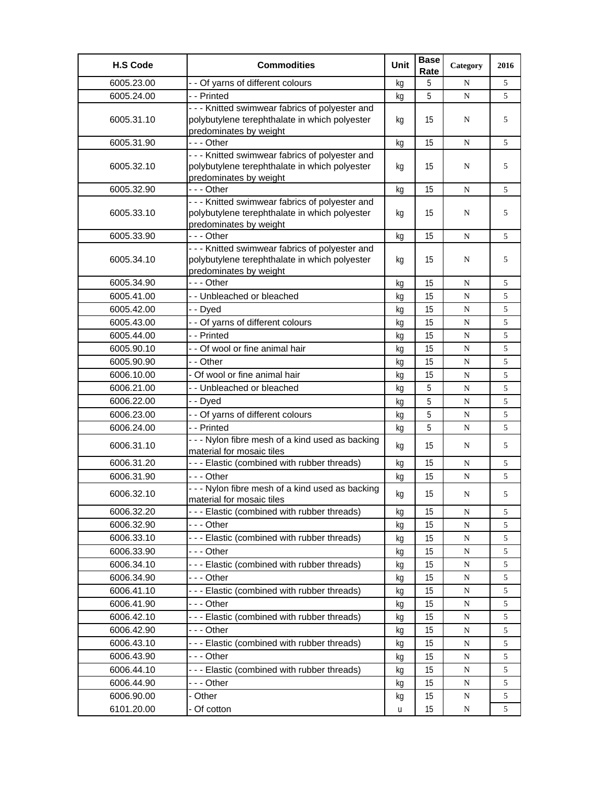| <b>H.S Code</b> | <b>Commodities</b>                               | Unit | <b>Base</b><br>Rate | Category  | 2016 |
|-----------------|--------------------------------------------------|------|---------------------|-----------|------|
| 6005.23.00      | - - Of yarns of different colours                | kg   | 5                   | N         | 5    |
| 6005.24.00      | - - Printed                                      | kg   | 5                   | ${\bf N}$ | 5    |
|                 | - - - Knitted swimwear fabrics of polyester and  |      |                     |           |      |
| 6005.31.10      | polybutylene terephthalate in which polyester    | kg   | 15                  | N         | 5    |
|                 | predominates by weight                           |      |                     |           |      |
| 6005.31.90      | - - - Other                                      | kg   | 15                  | N         | 5    |
|                 | - - - Knitted swimwear fabrics of polyester and  |      |                     |           |      |
| 6005.32.10      | polybutylene terephthalate in which polyester    | kg   | 15                  | N         | 5    |
|                 | predominates by weight<br>--- Other              |      | 15                  |           |      |
| 6005.32.90      | - - - Knitted swimwear fabrics of polyester and  | kg   |                     | N         | 5    |
| 6005.33.10      | polybutylene terephthalate in which polyester    | kg   | 15                  | N         | 5    |
|                 | predominates by weight                           |      |                     |           |      |
| 6005.33.90      | --- Other                                        | kg   | 15                  | N         | 5    |
|                 | - - - Knitted swimwear fabrics of polyester and  |      |                     |           |      |
| 6005.34.10      | polybutylene terephthalate in which polyester    | kg   | 15                  | N         | 5    |
|                 | predominates by weight                           |      |                     |           |      |
| 6005.34.90      | - - - Other                                      | kg   | 15                  | N         | 5    |
| 6005.41.00      | - - Unbleached or bleached                       | kg   | 15                  | N         | 5    |
| 6005.42.00      | - - Dyed                                         | kg   | 15                  | N         | 5    |
| 6005.43.00      | - - Of yarns of different colours                | kg   | 15                  | ${\bf N}$ | 5    |
| 6005.44.00      | - - Printed                                      | kg   | 15                  | N         | 5    |
| 6005.90.10      | - - Of wool or fine animal hair                  | kg   | 15                  | N         | 5    |
| 6005.90.90      | - - Other                                        | kg   | 15                  | N         | 5    |
| 6006.10.00      | - Of wool or fine animal hair                    | kg   | 15                  | N         | 5    |
| 6006.21.00      | - - Unbleached or bleached                       | kg   | 5                   | ${\bf N}$ | 5    |
| 6006.22.00      | - - Dyed                                         | kg   | 5                   | N         | 5    |
| 6006.23.00      | - - Of yarns of different colours                | kg   | 5                   | N         | 5    |
| 6006.24.00      | - - Printed                                      | kg   | 5                   | N         | 5    |
|                 | - - - Nylon fibre mesh of a kind used as backing |      |                     |           |      |
| 6006.31.10      | material for mosaic tiles                        | kg   | 15                  | N         | 5    |
| 6006.31.20      | - - - Elastic (combined with rubber threads)     | kg   | 15                  | N         | 5    |
| 6006.31.90      | --- Other                                        | kg   | 15                  | N         | 5    |
|                 | - - - Nylon fibre mesh of a kind used as backing |      | 15                  |           | 5    |
| 6006.32.10      | material for mosaic tiles                        | kg   |                     | N         |      |
| 6006.32.20      | --- Elastic (combined with rubber threads)       | kq   | 15                  | N         | 5    |
| 6006.32.90      | --- Other                                        | kg   | 15                  | N         | 5    |
| 6006.33.10      | --- Elastic (combined with rubber threads)       | kq   | 15                  | N         | 5    |
| 6006.33.90      | -  - - Other                                     | kg   | 15                  | N         | 5    |
| 6006.34.10      | --- Elastic (combined with rubber threads)       | kg   | 15                  | N         | 5    |
| 6006.34.90      | - - - Other                                      | kg   | 15                  | N         | 5    |
| 6006.41.10      | --- Elastic (combined with rubber threads)       | kg   | 15                  | N         | 5    |
| 6006.41.90      | --- Other                                        | kg   | 15                  | N         | 5    |
| 6006.42.10      | --- Elastic (combined with rubber threads)       | kg   | 15                  | N         | 5    |
| 6006.42.90      | - - - Other                                      | kg   | 15                  | ${\bf N}$ | 5    |
| 6006.43.10      | --- Elastic (combined with rubber threads)       | kg   | 15                  | N         | 5    |
| 6006.43.90      | --- Other                                        | kg   | 15                  | N         | 5    |
| 6006.44.10      | --- Elastic (combined with rubber threads)       | kg   | 15                  | N         | 5    |
| 6006.44.90      | - - - Other                                      | kg   | 15                  | ${\bf N}$ | 5    |
| 6006.90.00      | - Other                                          | kg   | 15                  | N         | 5    |
| 6101.20.00      | - Of cotton                                      | u    | 15                  | N         | 5    |
|                 |                                                  |      |                     |           |      |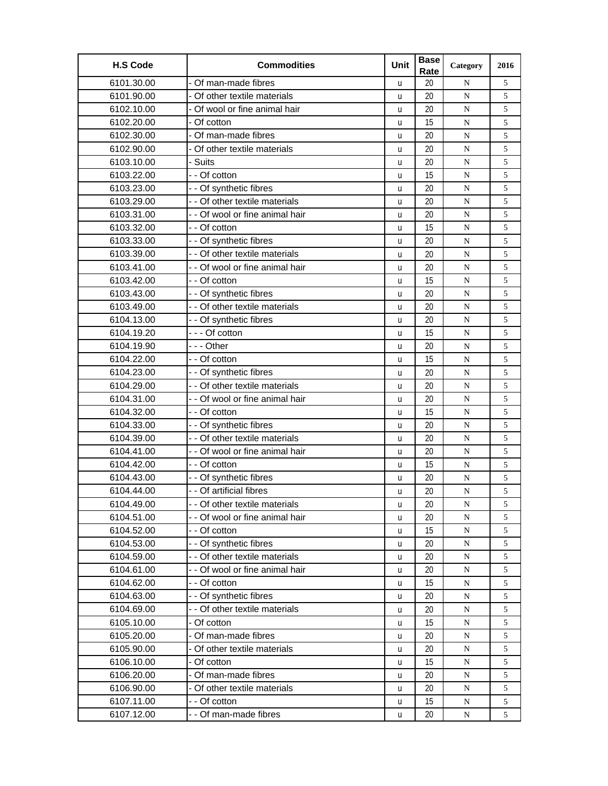| <b>H.S Code</b> | <b>Commodities</b>              | Unit | <b>Base</b><br>Rate | Category    | 2016       |
|-----------------|---------------------------------|------|---------------------|-------------|------------|
| 6101.30.00      | - Of man-made fibres            | u    | 20                  | N           | 5          |
| 6101.90.00      | Of other textile materials      | u    | 20                  | ${\bf N}$   | 5          |
| 6102.10.00      | Of wool or fine animal hair     | u    | 20                  | ${\bf N}$   | 5          |
| 6102.20.00      | - Of cotton                     | u    | 15                  | N           | 5          |
| 6102.30.00      | - Of man-made fibres            | U    | 20                  | $\mathbf N$ | 5          |
| 6102.90.00      | - Of other textile materials    | U    | 20                  | N           | 5          |
| 6103.10.00      | Suits                           | u    | 20                  | $\mathbf N$ | 5          |
| 6103.22.00      | - - Of cotton                   | U    | 15                  | ${\bf N}$   | 5          |
| 6103.23.00      | - - Of synthetic fibres         | U    | 20                  | ${\bf N}$   | 5          |
| 6103.29.00      | - - Of other textile materials  | u    | 20                  | N           | 5          |
| 6103.31.00      | - - Of wool or fine animal hair | U    | 20                  | ${\bf N}$   | 5          |
| 6103.32.00      | - - Of cotton                   | u    | 15                  | ${\bf N}$   | $\sqrt{5}$ |
| 6103.33.00      | - - Of synthetic fibres         | U    | 20                  | N           | 5          |
| 6103.39.00      | - - Of other textile materials  | U    | 20                  | N           | 5          |
| 6103.41.00      | - - Of wool or fine animal hair | u    | 20                  | ${\bf N}$   | 5          |
| 6103.42.00      | - - Of cotton                   | u    | 15                  | N           | 5          |
| 6103.43.00      | - - Of synthetic fibres         | U    | 20                  | ${\bf N}$   | 5          |
| 6103.49.00      | - - Of other textile materials  | U    | 20                  | ${\bf N}$   | 5          |
| 6104.13.00      | - - Of synthetic fibres         | U    | 20                  | $\mathbf N$ | 5          |
| 6104.19.20      | --- Of cotton                   | U    | 15                  | N           | 5          |
| 6104.19.90      | --- Other                       | U    | 20                  | ${\bf N}$   | 5          |
| 6104.22.00      | - - Of cotton                   | u    | 15                  | ${\bf N}$   | 5          |
| 6104.23.00      | - - Of synthetic fibres         | u    | 20                  | ${\bf N}$   | 5          |
| 6104.29.00      | - - Of other textile materials  | U    | 20                  | $\mathbf N$ | 5          |
| 6104.31.00      | - - Of wool or fine animal hair | U    | 20                  | N           | 5          |
| 6104.32.00      | - - Of cotton                   | u    | 15                  | $\mathbf N$ | 5          |
| 6104.33.00      | - - Of synthetic fibres         | U    | 20                  | ${\bf N}$   | 5          |
| 6104.39.00      | - - Of other textile materials  | u    | 20                  | N           | 5          |
| 6104.41.00      | - - Of wool or fine animal hair | u    | 20                  | N           | 5          |
| 6104.42.00      | - - Of cotton                   | u    | 15                  | ${\bf N}$   | 5          |
| 6104.43.00      | - - Of synthetic fibres         | u    | 20                  | ${\bf N}$   | 5          |
| 6104.44.00      | - - Of artificial fibres        | u    | 20                  | N           | 5          |
| 6104.49.00      | - - Of other textile materials  | u    | 20                  | N           | 5          |
| 6104.51.00      | - - Of wool or fine animal hair | u    | 20                  | ${\bf N}$   | 5          |
| 6104.52.00      | - - Of cotton                   | u    | 15                  | ${\bf N}$   | 5          |
| 6104.53.00      | - - Of synthetic fibres         | u    | 20                  | N           | 5          |
| 6104.59.00      | - - Of other textile materials  | u    | 20                  | ${\bf N}$   | 5          |
| 6104.61.00      | - - Of wool or fine animal hair | u    | 20                  | N           | 5          |
| 6104.62.00      | - - Of cotton                   | u    | 15                  | N           | 5          |
| 6104.63.00      | - - Of synthetic fibres         | u    | 20                  | ${\bf N}$   | 5          |
| 6104.69.00      | - - Of other textile materials  | u    | 20                  | ${\bf N}$   | 5          |
| 6105.10.00      | - Of cotton                     | u    | 15                  | ${\bf N}$   | 5          |
| 6105.20.00      | Of man-made fibres              | u    | 20                  | ${\bf N}$   | 5          |
| 6105.90.00      | - Of other textile materials    | U    | 20                  | ${\bf N}$   | 5          |
| 6106.10.00      | - Of cotton                     | u    | 15                  | ${\bf N}$   | 5          |
| 6106.20.00      | Of man-made fibres              | u    | 20                  | ${\bf N}$   | 5          |
| 6106.90.00      | - Of other textile materials    | u    | 20                  | N           | 5          |
| 6107.11.00      | - - Of cotton                   | u    | 15                  | ${\bf N}$   | 5          |
| 6107.12.00      | - - Of man-made fibres          | u    | 20                  | N           | 5          |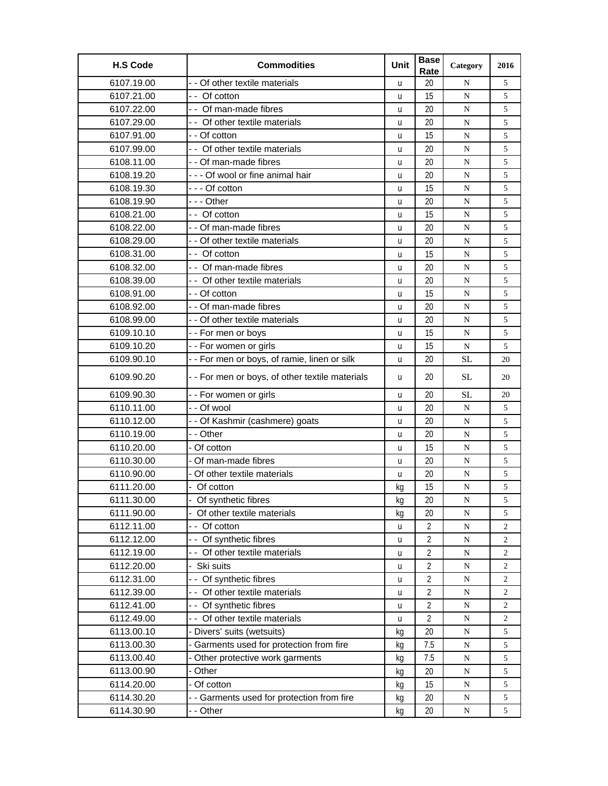| <b>H.S Code</b> | <b>Commodities</b>                              | Unit | <b>Base</b><br>Rate | Category  | 2016           |
|-----------------|-------------------------------------------------|------|---------------------|-----------|----------------|
| 6107.19.00      | - - Of other textile materials                  | u    | 20                  | N         | 5              |
| 6107.21.00      | - - Of cotton                                   | u    | 15                  | ${\bf N}$ | 5              |
| 6107.22.00      | - - Of man-made fibres                          | u    | 20                  | N         | 5              |
| 6107.29.00      | - - Of other textile materials                  | u    | 20                  | N         | 5              |
| 6107.91.00      | - - Of cotton                                   | u    | 15                  | N         | 5              |
| 6107.99.00      | - - Of other textile materials                  | u    | 20                  | N         | 5              |
| 6108.11.00      | - - Of man-made fibres                          | u    | 20                  | N         | 5              |
| 6108.19.20      | --- Of wool or fine animal hair                 | u    | 20                  | N         | 5              |
| 6108.19.30      | - - - Of cotton                                 | u    | 15                  | N         | 5              |
| 6108.19.90      | - - - Other                                     | u    | 20                  | N         | 5              |
| 6108.21.00      | - - Of cotton                                   | u    | 15                  | N         | 5              |
| 6108.22.00      | - - Of man-made fibres                          | u    | 20                  | N         | 5              |
| 6108.29.00      | - - Of other textile materials                  | u    | 20                  | N         | 5              |
| 6108.31.00      | - - Of cotton                                   | u    | 15                  | N         | 5              |
| 6108.32.00      | - - Of man-made fibres                          | u    | 20                  | N         | 5              |
| 6108.39.00      | - Of other textile materials                    | u    | 20                  | N         | 5              |
| 6108.91.00      | - - Of cotton                                   | u    | 15                  | N         | 5              |
| 6108.92.00      | - - Of man-made fibres                          | u    | 20                  | N         | 5              |
| 6108.99.00      | - - Of other textile materials                  | u    | 20                  | ${\bf N}$ | 5              |
| 6109.10.10      | -- For men or boys                              | u    | 15                  | N         | 5              |
| 6109.10.20      | -- For women or girls                           | u    | 15                  | ${\bf N}$ | 5              |
| 6109.90.10      | - - For men or boys, of ramie, linen or silk    | u    | 20                  | <b>SL</b> | 20             |
| 6109.90.20      | - - For men or boys, of other textile materials | u    | 20                  | <b>SL</b> | 20             |
| 6109.90.30      | - - For women or girls                          | u    | 20                  | <b>SL</b> | 20             |
| 6110.11.00      | - - Of wool                                     | u    | 20                  | N         | 5              |
| 6110.12.00      | - - Of Kashmir (cashmere) goats                 | u    | 20                  | ${\bf N}$ | 5              |
| 6110.19.00      | - - Other                                       | u    | 20                  | N         | 5              |
| 6110.20.00      | - Of cotton                                     | u    | 15                  | N         | 5              |
| 6110.30.00      | - Of man-made fibres                            | u    | 20                  | N         | 5              |
| 6110.90.00      | - Of other textile materials                    | u    | 20                  | N         | 5              |
| 6111.20.00      | - Of cotton                                     | kg   | 15                  | ${\bf N}$ | 5              |
| 6111.30.00      | Of synthetic fibres                             | kg   | 20                  | ${\bf N}$ | 5              |
| 6111.90.00      | - Of other textile materials                    | kg   | 20                  | ${\bf N}$ | 5              |
| 6112.11.00      | -- Of cotton                                    | u    | $\overline{2}$      | ${\bf N}$ | 2              |
| 6112.12.00      | -- Of synthetic fibres                          | u    | $\overline{2}$      | ${\bf N}$ | $\overline{c}$ |
| 6112.19.00      | - - Of other textile materials                  | u    | $\overline{2}$      | N         | 2              |
| 6112.20.00      | Ski suits                                       | U    | $\overline{2}$      | ${\bf N}$ | $\overline{c}$ |
| 6112.31.00      | -- Of synthetic fibres                          | U    | $\overline{2}$      | N         | 2              |
| 6112.39.00      | - - Of other textile materials                  | U    | 2                   | ${\bf N}$ | 2              |
| 6112.41.00      | - - Of synthetic fibres                         | u    | $\overline{2}$      | ${\bf N}$ | $\overline{c}$ |
| 6112.49.00      | - - Of other textile materials                  | u    | $\overline{2}$      | ${\bf N}$ | $\overline{c}$ |
| 6113.00.10      | - Divers' suits (wetsuits)                      | kg   | 20                  | ${\bf N}$ | 5              |
| 6113.00.30      | Garments used for protection from fire          | kg   | 7.5                 | ${\bf N}$ | 5              |
| 6113.00.40      | Other protective work garments                  | kg   | 7.5                 | ${\bf N}$ | 5              |
| 6113.00.90      | - Other                                         | kg   | 20                  | ${\bf N}$ | 5              |
| 6114.20.00      | - Of cotton                                     | kq   | 15                  | ${\bf N}$ | 5              |
| 6114.30.20      | - - Garments used for protection from fire      | kg   | 20                  | ${\bf N}$ | $\sqrt{5}$     |
| 6114.30.90      | - - Other                                       | kg   | 20                  | ${\bf N}$ | 5              |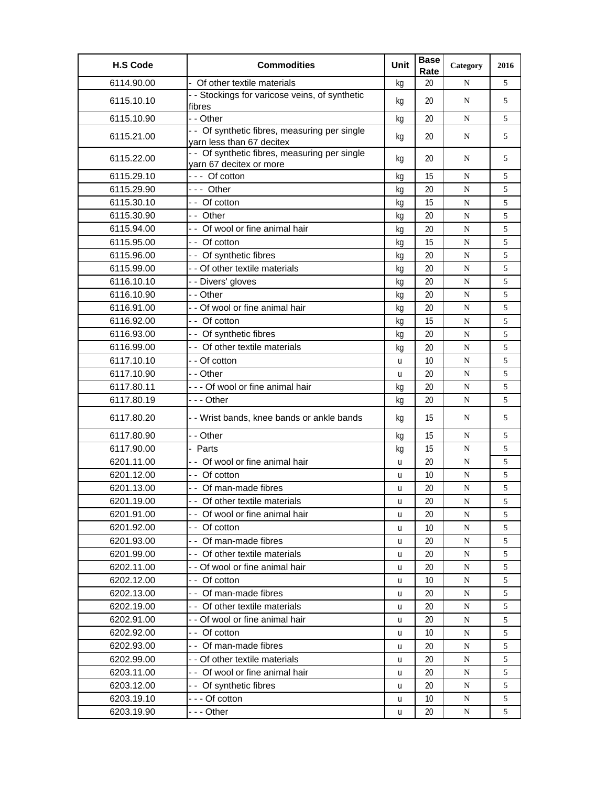| <b>H.S Code</b> | <b>Commodities</b>                                                         | Unit | <b>Base</b><br>Rate | Category    | 2016 |
|-----------------|----------------------------------------------------------------------------|------|---------------------|-------------|------|
| 6114.90.00      | Of other textile materials                                                 | kg   | 20                  | N           | 5    |
| 6115.10.10      | - - Stockings for varicose veins, of synthetic<br>fibres                   | kg   | 20                  | N           | 5    |
| 6115.10.90      | - - Other                                                                  | kg   | 20                  | N           | 5    |
| 6115.21.00      | - - Of synthetic fibres, measuring per single<br>yarn less than 67 decitex | kq   | 20                  | N           | 5    |
| 6115.22.00      | - - Of synthetic fibres, measuring per single<br>yarn 67 decitex or more   | kg   | 20                  | N           | 5    |
| 6115.29.10      | $--$ Of cotton                                                             | kg   | 15                  | N           | 5    |
| 6115.29.90      | --- Other                                                                  | kg   | 20                  | ${\bf N}$   | 5    |
| 6115.30.10      | - - Of cotton                                                              | kq   | 15                  | ${\bf N}$   | 5    |
| 6115.30.90      | - - Other                                                                  | kg   | 20                  | N           | 5    |
| 6115.94.00      | - - Of wool or fine animal hair                                            | kg   | 20                  | N           | 5    |
| 6115.95.00      | - - Of cotton                                                              | kg   | 15                  | ${\bf N}$   | 5    |
| 6115.96.00      | - - Of synthetic fibres                                                    | kg   | 20                  | N           | 5    |
| 6115.99.00      | - - Of other textile materials                                             | kg   | 20                  | N           | 5    |
| 6116.10.10      | - - Divers' gloves                                                         | kg   | 20                  | ${\bf N}$   | 5    |
| 6116.10.90      | - - Other                                                                  | kg   | 20                  | N           | 5    |
| 6116.91.00      | - - Of wool or fine animal hair                                            | kg   | 20                  | N           | 5    |
| 6116.92.00      | - - Of cotton                                                              | kq   | 15                  | N           | 5    |
| 6116.93.00      | -- Of synthetic fibres                                                     | kg   | 20                  | ${\bf N}$   | 5    |
| 6116.99.00      | - - Of other textile materials                                             | kg   | 20                  | N           | 5    |
| 6117.10.10      | - - Of cotton                                                              | u    | 10                  | N           | 5    |
| 6117.10.90      | - - Other                                                                  | u    | 20                  | N           | 5    |
| 6117.80.11      | - - - Of wool or fine animal hair                                          | kq   | 20                  | ${\bf N}$   | 5    |
| 6117.80.19      | --- Other                                                                  | kg   | 20                  | N           | 5    |
| 6117.80.20      | - - Wrist bands, knee bands or ankle bands                                 | kg   | 15                  | N           | 5    |
| 6117.80.90      | - - Other                                                                  | kg   | 15                  | N           | 5    |
| 6117.90.00      | - Parts                                                                    | kg   | 15                  | N           | 5    |
| 6201.11.00      | - - Of wool or fine animal hair                                            | u    | 20                  | N           | 5    |
| 6201.12.00      | - - Of cotton                                                              | u    | 10                  | N           | 5    |
| 6201.13.00      | -- Of man-made fibres                                                      | u    | 20                  | $\mathbf N$ | 5    |
| 6201.19.00      | - - Of other textile materials                                             | u    | 20                  | N           | 5    |
| 6201.91.00      | - - Of wool or fine animal hair                                            | u    | 20                  | N           | 5    |
| 6201.92.00      | - Of cotton                                                                | u    | 10                  | N           | 5    |
| 6201.93.00      | - - Of man-made fibres                                                     | u    | 20                  | N           | 5    |
| 6201.99.00      | - - Of other textile materials                                             | u    | 20                  | ${\bf N}$   | 5    |
| 6202.11.00      | - - Of wool or fine animal hair                                            | u    | 20                  | N           | 5    |
| 6202.12.00      | - - Of cotton                                                              | u    | 10                  | N           | 5    |
| 6202.13.00      | - - Of man-made fibres                                                     | u    | 20                  | N           | 5    |
| 6202.19.00      | - - Of other textile materials                                             | u    | 20                  | ${\bf N}$   | 5    |
| 6202.91.00      | - - Of wool or fine animal hair                                            | u    | 20                  | ${\bf N}$   | 5    |
| 6202.92.00      | - - Of cotton                                                              | u    | 10                  | N           | 5    |
| 6202.93.00      | - - Of man-made fibres                                                     | u    | 20                  | N           | 5    |
| 6202.99.00      | - - Of other textile materials                                             | u    | 20                  | N           | 5    |
| 6203.11.00      | - - Of wool or fine animal hair                                            | u    | 20                  | N           | 5    |
| 6203.12.00      | - - Of synthetic fibres                                                    | u    | 20                  | ${\bf N}$   | 5    |
| 6203.19.10      | --- Of cotton                                                              | u    | 10                  | N           | 5    |
| 6203.19.90      | - - - Other                                                                | u    | 20                  | N           | 5    |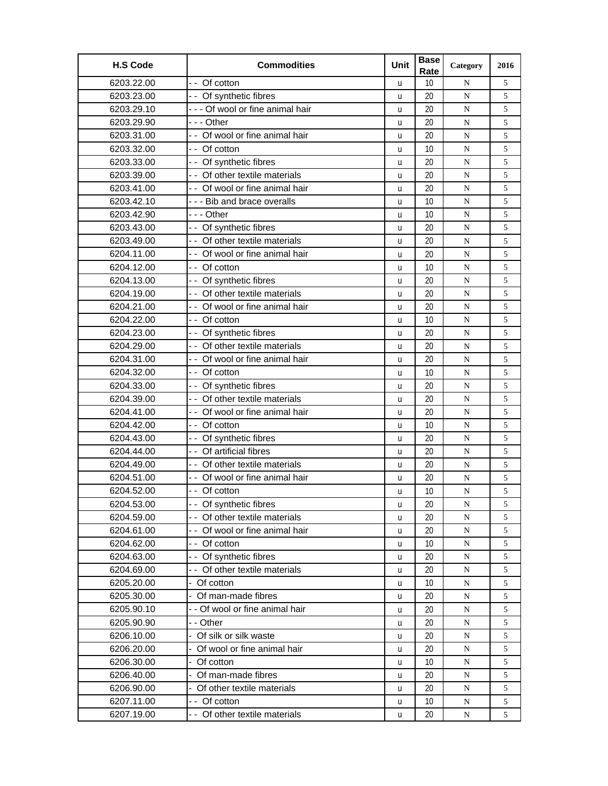| <b>H.S Code</b> | <b>Commodities</b>              | Unit | <b>Base</b><br>Rate | Category    | 2016 |
|-----------------|---------------------------------|------|---------------------|-------------|------|
| 6203.22.00      | - - Of cotton                   | u    | 10                  | N           | 5    |
| 6203.23.00      | - - Of synthetic fibres         | u    | 20                  | ${\bf N}$   | 5    |
| 6203.29.10      | --- Of wool or fine animal hair | u    | 20                  | ${\bf N}$   | 5    |
| 6203.29.90      | - - - Other                     | u    | 20                  | N           | 5    |
| 6203.31.00      | - - Of wool or fine animal hair | U    | 20                  | $\mathbf N$ | 5    |
| 6203.32.00      | - - Of cotton                   | u    | 10                  | N           | 5    |
| 6203.33.00      | - - Of synthetic fibres         | u    | 20                  | $\mathbf N$ | 5    |
| 6203.39.00      | - - Of other textile materials  | U    | 20                  | ${\bf N}$   | 5    |
| 6203.41.00      | - - Of wool or fine animal hair | u    | 20                  | ${\bf N}$   | 5    |
| 6203.42.10      | --- Bib and brace overalls      | u    | 10                  | N           | 5    |
| 6203.42.90      | - - - Other                     | u    | 10                  | ${\bf N}$   | 5    |
| 6203.43.00      | - - Of synthetic fibres         | u    | 20                  | ${\bf N}$   | 5    |
| 6203.49.00      | - - Of other textile materials  | U    | 20                  | N           | 5    |
| 6204.11.00      | - - Of wool or fine animal hair | u    | 20                  | N           | 5    |
| 6204.12.00      | - - Of cotton                   | u    | 10                  | ${\bf N}$   | 5    |
| 6204.13.00      | -- Of synthetic fibres          | u    | 20                  | N           | 5    |
| 6204.19.00      | - - Of other textile materials  | u    | 20                  | ${\bf N}$   | 5    |
| 6204.21.00      | -- Of wool or fine animal hair  | U    | 20                  | ${\bf N}$   | 5    |
| 6204.22.00      | - - Of cotton                   | u    | 10                  | $\mathbf N$ | 5    |
| 6204.23.00      | - - Of synthetic fibres         | u    | 20                  | N           | 5    |
| 6204.29.00      | - - Of other textile materials  | U    | 20                  | N           | 5    |
| 6204.31.00      | - - Of wool or fine animal hair | u    | 20                  | ${\bf N}$   | 5    |
| 6204.32.00      | - - Of cotton                   | u    | 10                  | ${\bf N}$   | 5    |
| 6204.33.00      | - - Of synthetic fibres         | u    | 20                  | $\mathbf N$ | 5    |
| 6204.39.00      | - - Of other textile materials  | u    | 20                  | N           | 5    |
| 6204.41.00      | -- Of wool or fine animal hair  | u    | 20                  | $\mathbf N$ | 5    |
| 6204.42.00      | - - Of cotton                   | u    | 10                  | ${\bf N}$   | 5    |
| 6204.43.00      | - - Of synthetic fibres         | u    | 20                  | N           | 5    |
| 6204.44.00      | - - Of artificial fibres        | u    | 20                  | N           | 5    |
| 6204.49.00      | - - Of other textile materials  | u    | 20                  | ${\bf N}$   | 5    |
| 6204.51.00      | - - Of wool or fine animal hair | u    | 20                  | ${\bf N}$   | 5    |
| 6204.52.00      | -- Of cotton                    | u    | 10                  | N           | 5    |
| 6204.53.00      | -- Of synthetic fibres          | u    | 20                  | N           | 5    |
| 6204.59.00      | - - Of other textile materials  | u    | 20                  | ${\bf N}$   | 5    |
| 6204.61.00      | -- Of wool or fine animal hair  | u    | 20                  | ${\bf N}$   | 5    |
| 6204.62.00      | -- Of cotton                    | u    | 10                  | N           | 5    |
| 6204.63.00      | - - Of synthetic fibres         | u    | 20                  | ${\bf N}$   | 5    |
| 6204.69.00      | - - Of other textile materials  | u    | 20                  | N           | 5    |
| 6205.20.00      | - Of cotton                     | u    | 10                  | N           | 5    |
| 6205.30.00      | Of man-made fibres              | u    | 20                  | ${\bf N}$   | 5    |
| 6205.90.10      | - - Of wool or fine animal hair | u    | 20                  | ${\bf N}$   | 5    |
| 6205.90.90      | - - Other                       | u    | 20                  | ${\bf N}$   | 5    |
| 6206.10.00      | Of silk or silk waste           | u    | 20                  | ${\bf N}$   | 5    |
| 6206.20.00      | - Of wool or fine animal hair   | u    | 20                  | ${\bf N}$   | 5    |
| 6206.30.00      | Of cotton                       | u    | 10                  | ${\bf N}$   | 5    |
| 6206.40.00      | Of man-made fibres              | u    | 20                  | ${\bf N}$   | 5    |
| 6206.90.00      | - Of other textile materials    | u    | 20                  | N           | 5    |
| 6207.11.00      | - - Of cotton                   | u    | 10                  | ${\bf N}$   | 5    |
| 6207.19.00      | - - Of other textile materials  | u    | 20                  | N           | 5    |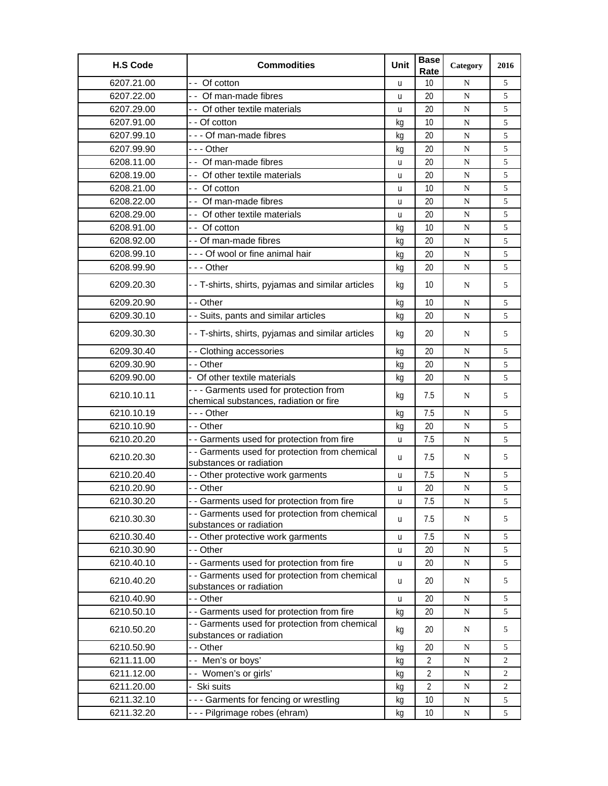| <b>H.S Code</b> | <b>Commodities</b>                                                        | Unit | <b>Base</b><br>Rate | Category  | 2016           |
|-----------------|---------------------------------------------------------------------------|------|---------------------|-----------|----------------|
| 6207.21.00      | - - Of cotton                                                             | u    | 10                  | N         | 5              |
| 6207.22.00      | - - Of man-made fibres                                                    | u    | 20                  | ${\bf N}$ | 5              |
| 6207.29.00      | - - Of other textile materials                                            | u    | 20                  | ${\bf N}$ | 5              |
| 6207.91.00      | - - Of cotton                                                             | kg   | 10                  | N         | 5              |
| 6207.99.10      | - - - Of man-made fibres                                                  | kg   | 20                  | N         | 5              |
| 6207.99.90      | -  - - Other                                                              | kq   | 20                  | N         | 5              |
| 6208.11.00      | - - Of man-made fibres                                                    | u    | 20                  | ${\bf N}$ | 5              |
| 6208.19.00      | - Of other textile materials                                              | u    | 20                  | N         | 5              |
| 6208.21.00      | - - Of cotton                                                             | u    | 10                  | N         | 5              |
| 6208.22.00      | - - Of man-made fibres                                                    | u    | 20                  | N         | 5              |
| 6208.29.00      | - - Of other textile materials                                            | u    | 20                  | ${\bf N}$ | 5              |
| 6208.91.00      | - - Of cotton                                                             | kg   | 10                  | ${\bf N}$ | 5              |
| 6208.92.00      | - - Of man-made fibres                                                    | kq   | 20                  | N         | 5              |
| 6208.99.10      | - - - Of wool or fine animal hair                                         | kg   | 20                  | N         | 5              |
| 6208.99.90      | --- Other                                                                 |      | 20                  | ${\bf N}$ | 5              |
|                 |                                                                           | kg   |                     |           |                |
| 6209.20.30      | - - T-shirts, shirts, pyjamas and similar articles                        | kg   | 10                  | N         | 5              |
| 6209.20.90      | - - Other                                                                 | kg   | 10                  | N         | 5              |
| 6209.30.10      | - - Suits, pants and similar articles                                     | kg   | 20                  | N         | 5              |
| 6209.30.30      | - - T-shirts, shirts, pyjamas and similar articles                        | kg   | 20                  | N         | 5              |
| 6209.30.40      | - - Clothing accessories                                                  | kg   | 20                  | N         | 5              |
| 6209.30.90      | - - Other                                                                 | kg   | 20                  | ${\bf N}$ | 5              |
| 6209.90.00      | - Of other textile materials                                              | kq   | 20                  | N         | 5              |
| 6210.10.11      | - - - Garments used for protection from                                   | kg   | 7.5                 | N         | 5              |
|                 | chemical substances, radiation or fire                                    |      | 7.5                 |           |                |
| 6210.10.19      | -  - - Other                                                              | kg   |                     | ${\bf N}$ | 5              |
| 6210.10.90      | - - Other                                                                 | kg   | 20                  | N         | 5              |
| 6210.20.20      | - - Garments used for protection from fire                                | u    | 7.5                 | N         | 5              |
| 6210.20.30      | - - Garments used for protection from chemical<br>substances or radiation | u    | 7.5                 | N         | 5              |
| 6210.20.40      | - - Other protective work garments                                        | u    | 7.5                 | N         | 5              |
| 6210.20.90      | - - Other                                                                 | u    | 20                  | N         | 5              |
| 6210.30.20      | - - Garments used for protection from fire                                | u    | 7.5                 | N         | 5              |
| 6210.30.30      | - - Garments used for protection from chemical<br>substances or radiation | u    | 7.5                 | N         | 5              |
| 6210.30.40      | - - Other protective work garments                                        | u    | 7.5                 | N         | 5              |
| 6210.30.90      | - - Other                                                                 | u    | 20                  | ${\bf N}$ | 5              |
| 6210.40.10      | - - Garments used for protection from fire                                | u    | 20                  | N         | 5              |
| 6210.40.20      | - - Garments used for protection from chemical<br>substances or radiation | u    | 20                  | N         | 5              |
| 6210.40.90      | - - Other                                                                 | u    | 20                  | N         | 5              |
| 6210.50.10      | - - Garments used for protection from fire                                | kg   | 20                  | ${\bf N}$ | 5              |
| 6210.50.20      | - - Garments used for protection from chemical                            | kg   | 20                  | N         | 5              |
| 6210.50.90      | substances or radiation<br>- - Other                                      | kg   | 20                  | ${\bf N}$ | 5              |
| 6211.11.00      | -- Men's or boys'                                                         | kg   | $\overline{2}$      | N         | 2              |
| 6211.12.00      | -- Women's or girls'                                                      | kg   | $\overline{2}$      | ${\bf N}$ | $\overline{c}$ |
| 6211.20.00      | - Ski suits                                                               | kg   | $\overline{2}$      | ${\bf N}$ | 2              |
| 6211.32.10      | --- Garments for fencing or wrestling                                     | kg   | 10                  | ${\bf N}$ | 5              |
| 6211.32.20      | - - - Pilgrimage robes (ehram)                                            | kg   | 10                  | ${\bf N}$ | 5              |
|                 |                                                                           |      |                     |           |                |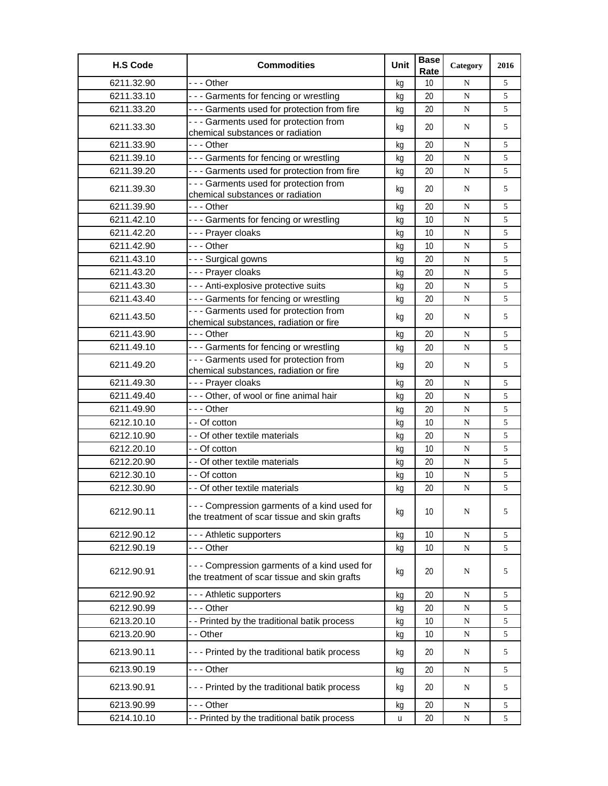| <b>H.S Code</b> | <b>Commodities</b>                                                                            | Unit | <b>Base</b><br>Rate | Category    | 2016 |
|-----------------|-----------------------------------------------------------------------------------------------|------|---------------------|-------------|------|
| 6211.32.90      | --- Other                                                                                     | kg   | 10                  | N           | 5    |
| 6211.33.10      | --- Garments for fencing or wrestling                                                         | kg   | 20                  | ${\bf N}$   | 5    |
| 6211.33.20      | - - - Garments used for protection from fire                                                  | kg   | 20                  | ${\bf N}$   | 5    |
| 6211.33.30      | - - - Garments used for protection from<br>chemical substances or radiation                   | kg   | 20                  | N           | 5    |
| 6211.33.90      | --- Other                                                                                     | kg   | 20                  | N           | 5    |
| 6211.39.10      | --- Garments for fencing or wrestling                                                         | kg   | 20                  | ${\bf N}$   | 5    |
| 6211.39.20      | - - - Garments used for protection from fire                                                  | kg   | 20                  | ${\bf N}$   | 5    |
| 6211.39.30      | - - - Garments used for protection from<br>chemical substances or radiation                   | kg   | 20                  | N           | 5    |
| 6211.39.90      | --- Other                                                                                     | kg   | 20                  | N           | 5    |
| 6211.42.10      | - - - Garments for fencing or wrestling                                                       | kg   | 10                  | N           | 5    |
| 6211.42.20      | - - - Prayer cloaks                                                                           | kg   | 10                  | N           | 5    |
| 6211.42.90      | --- Other                                                                                     | kg   | 10                  | ${\bf N}$   | 5    |
| 6211.43.10      | - - - Surgical gowns                                                                          | kg   | 20                  | ${\bf N}$   | 5    |
| 6211.43.20      | --- Prayer cloaks                                                                             | kg   | 20                  | $\mathbf N$ | 5    |
| 6211.43.30      | - - - Anti-explosive protective suits                                                         | kq   | 20                  | ${\bf N}$   | 5    |
| 6211.43.40      | - - - Garments for fencing or wrestling                                                       | kg   | 20                  | N           | 5    |
| 6211.43.50      | - - - Garments used for protection from<br>chemical substances, radiation or fire             | kg   | 20                  | N           | 5    |
| 6211.43.90      | --- Other                                                                                     | kg   | 20                  | ${\bf N}$   | 5    |
| 6211.49.10      | --- Garments for fencing or wrestling                                                         | kg   | 20                  | ${\bf N}$   | 5    |
| 6211.49.20      | - - - Garments used for protection from<br>chemical substances, radiation or fire             | kg   | 20                  | N           | 5    |
| 6211.49.30      | --- Prayer cloaks                                                                             | kg   | 20                  | ${\bf N}$   | 5    |
| 6211.49.40      | --- Other, of wool or fine animal hair                                                        | kg   | 20                  | ${\bf N}$   | 5    |
| 6211.49.90      | - - - Other                                                                                   | kg   | 20                  | $\mathbf N$ | 5    |
| 6212.10.10      | - - Of cotton                                                                                 | kg   | 10                  | N           | 5    |
| 6212.10.90      | - - Of other textile materials                                                                | kg   | 20                  | ${\bf N}$   | 5    |
| 6212.20.10      | - - Of cotton                                                                                 | kg   | 10                  | ${\bf N}$   | 5    |
| 6212.20.90      | - - Of other textile materials                                                                | kg   | 20                  | ${\bf N}$   | 5    |
| 6212.30.10      | - - Of cotton                                                                                 | kg   | 10                  | $\mathbf N$ | 5    |
| 6212.30.90      | - - Of other textile materials                                                                | kg   | 20                  | N           | 5    |
| 6212.90.11      | - - - Compression garments of a kind used for<br>the treatment of scar tissue and skin grafts | kg   | 10                  | N           | 5    |
| 6212.90.12      | --- Athletic supporters                                                                       | kg   | 10                  | ${\bf N}$   | 5    |
| 6212.90.19      |                                                                                               | kg   | 10                  | N           | 5    |
| 6212.90.91      | - - - Compression garments of a kind used for<br>the treatment of scar tissue and skin grafts | kg   | 20                  | N           | 5    |
| 6212.90.92      | --- Athletic supporters                                                                       | kg   | 20                  | ${\bf N}$   | 5    |
| 6212.90.99      | - - - Other                                                                                   | kg   | 20                  | N           | 5    |
| 6213.20.10      | - - Printed by the traditional batik process                                                  | kg   | 10                  | N           | 5    |
| 6213.20.90      | - - Other                                                                                     | kg   | 10                  | N           | 5    |
| 6213.90.11      | --- Printed by the traditional batik process                                                  | kg   | 20                  | N           | 5    |
| 6213.90.19      | --- Other                                                                                     | kq   | 20                  | N           | 5    |
| 6213.90.91      | - - - Printed by the traditional batik process                                                | kq   | 20                  | N           | 5    |
| 6213.90.99      | -  - - Other                                                                                  | kg   | 20                  | ${\bf N}$   | 5    |
| 6214.10.10      | - - Printed by the traditional batik process                                                  | u    | 20                  | N           | 5    |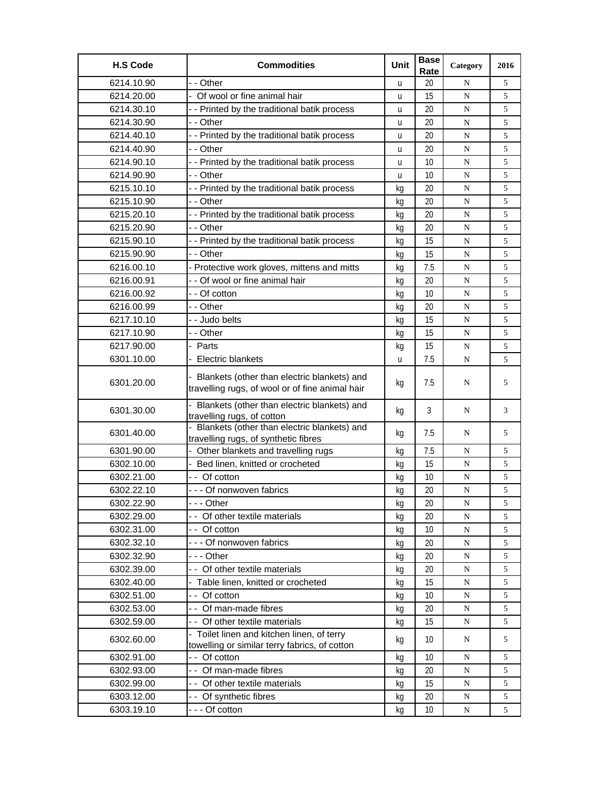| - - Other<br>6214.10.90<br>20<br>5<br>N<br>u<br>6214.20.00<br>- Of wool or fine animal hair<br>15<br>N<br>5<br>u<br>6214.30.10<br>- - Printed by the traditional batik process<br>20<br>5<br>N<br>u<br>6214.30.90<br>- - Other<br>20<br>5<br>N<br>u<br>- - Printed by the traditional batik process<br>6214.40.10<br>20<br>5<br>N<br>u<br>6214.40.90<br>20<br>5<br>- - Other<br>N<br>u<br>6214.90.10<br>- - Printed by the traditional batik process<br>10<br>5<br>${\bf N}$<br>u<br>6214.90.90<br>- - Other<br>10<br>5<br>N<br>u<br>- - Printed by the traditional batik process<br>6215.10.10<br>20<br>5<br>N<br>kg<br>6215.10.90<br>- - Other<br>20<br>5<br>N<br>kg<br>6215.20.10<br>- - Printed by the traditional batik process<br>20<br>5<br>N<br>kg<br>6215.20.90<br>- - Other<br>20<br>5<br>N<br>kq<br>5<br>6215.90.10<br>- - Printed by the traditional batik process<br>15<br>N<br>kg<br>6215.90.90<br>15<br>- - Other<br>5<br>N<br>kg<br>- Protective work gloves, mittens and mitts<br>6216.00.10<br>7.5<br>N<br>5<br>kq<br>- - Of wool or fine animal hair<br>20<br>6216.00.91<br>5<br>N<br>kg<br>6216.00.92<br>- - Of cotton<br>10<br>5<br>${\bf N}$<br>kg<br>6216.00.99<br>- - Other<br>20<br>5<br>N<br>kg<br>6217.10.10<br>15<br>5<br>- - Judo belts<br>N<br>kg<br>6217.10.90<br>- - Other<br>15<br>${\bf N}$<br>5<br>kg<br>6217.90.00<br>- Parts<br>15<br>5<br>N<br>kg<br>6301.10.00<br><b>Electric blankets</b><br>7.5<br>5<br>N<br>u<br>- Blankets (other than electric blankets) and<br>6301.20.00<br>7.5<br>5<br>kg<br>N<br>travelling rugs, of wool or of fine animal hair<br>- Blankets (other than electric blankets) and<br>3<br>6301.30.00<br>N<br>3<br>kg<br>travelling rugs, of cotton<br>- Blankets (other than electric blankets) and<br>6301.40.00<br>7.5<br>5<br>kg<br>N<br>travelling rugs, of synthetic fibres<br>7.5<br>6301.90.00<br>- Other blankets and travelling rugs<br>5<br>N<br>kg<br>6302.10.00<br>- Bed linen, knitted or crocheted<br>15<br>5<br>N<br>kq<br>6302.21.00<br>- - Of cotton<br>10<br>5<br>N<br>kg<br>5<br>6302.22.10<br>--- Of nonwoven fabrics<br>20<br>${\bf N}$<br>kg<br>6302.22.90<br>--- Other<br>20<br>N<br>kg<br>5<br>6302.29.00<br>- - Of other textile materials<br>20<br>5<br>N<br>kg<br>6302.31.00<br>- - Of cotton<br>10<br>5<br>${\bf N}$<br>kg<br>--- Of nonwoven fabrics<br>6302.32.10<br>20<br>5<br>${\bf N}$<br>kg<br>6302.32.90<br>-  - - Other<br>${\bf N}$<br>5<br>20<br>kg<br>- - Of other textile materials<br>6302.39.00<br>20<br>5<br>${\bf N}$<br>kg<br>6302.40.00<br>- Table linen, knitted or crocheted<br>15<br>5<br>${\bf N}$<br>kg<br>6302.51.00<br>- - Of cotton<br>10<br>5<br>N<br>kq<br>6302.53.00<br>- - Of man-made fibres<br>20<br>5<br>N<br>kg<br>6302.59.00<br>- Of other textile materials<br>15<br>5<br>N<br>kg<br>- Toilet linen and kitchen linen, of terry<br>6302.60.00<br>10<br>N<br>5<br>kg<br>towelling or similar terry fabrics, of cotton<br>6302.91.00<br>- - Of cotton<br>10<br>${\bf N}$<br>5<br>kq<br>- - Of man-made fibres<br>6302.93.00<br>20<br>5<br>${\bf N}$<br>kg<br>- - Of other textile materials<br>15<br>6302.99.00<br>5<br>N<br>kg<br>6303.12.00<br>-- Of synthetic fibres<br>20<br>${\bf N}$<br>5<br>kg<br>6303.19.10<br>- - - Of cotton<br>10<br>5<br>N<br>kg | <b>H.S Code</b> | <b>Commodities</b> | Unit | <b>Base</b><br>Rate | Category | 2016 |
|--------------------------------------------------------------------------------------------------------------------------------------------------------------------------------------------------------------------------------------------------------------------------------------------------------------------------------------------------------------------------------------------------------------------------------------------------------------------------------------------------------------------------------------------------------------------------------------------------------------------------------------------------------------------------------------------------------------------------------------------------------------------------------------------------------------------------------------------------------------------------------------------------------------------------------------------------------------------------------------------------------------------------------------------------------------------------------------------------------------------------------------------------------------------------------------------------------------------------------------------------------------------------------------------------------------------------------------------------------------------------------------------------------------------------------------------------------------------------------------------------------------------------------------------------------------------------------------------------------------------------------------------------------------------------------------------------------------------------------------------------------------------------------------------------------------------------------------------------------------------------------------------------------------------------------------------------------------------------------------------------------------------------------------------------------------------------------------------------------------------------------------------------------------------------------------------------------------------------------------------------------------------------------------------------------------------------------------------------------------------------------------------------------------------------------------------------------------------------------------------------------------------------------------------------------------------------------------------------------------------------------------------------------------------------------------------------------------------------------------------------------------------------------------------------------------------------------------------------------------------------------------------------------------------------------------------------------------------------------------------------------------------------------------------------------------------------------------------------------------------------------------------------------------------------------------------------------------------------------------------------------------------------------------------|-----------------|--------------------|------|---------------------|----------|------|
|                                                                                                                                                                                                                                                                                                                                                                                                                                                                                                                                                                                                                                                                                                                                                                                                                                                                                                                                                                                                                                                                                                                                                                                                                                                                                                                                                                                                                                                                                                                                                                                                                                                                                                                                                                                                                                                                                                                                                                                                                                                                                                                                                                                                                                                                                                                                                                                                                                                                                                                                                                                                                                                                                                                                                                                                                                                                                                                                                                                                                                                                                                                                                                                                                                                                                            |                 |                    |      |                     |          |      |
|                                                                                                                                                                                                                                                                                                                                                                                                                                                                                                                                                                                                                                                                                                                                                                                                                                                                                                                                                                                                                                                                                                                                                                                                                                                                                                                                                                                                                                                                                                                                                                                                                                                                                                                                                                                                                                                                                                                                                                                                                                                                                                                                                                                                                                                                                                                                                                                                                                                                                                                                                                                                                                                                                                                                                                                                                                                                                                                                                                                                                                                                                                                                                                                                                                                                                            |                 |                    |      |                     |          |      |
|                                                                                                                                                                                                                                                                                                                                                                                                                                                                                                                                                                                                                                                                                                                                                                                                                                                                                                                                                                                                                                                                                                                                                                                                                                                                                                                                                                                                                                                                                                                                                                                                                                                                                                                                                                                                                                                                                                                                                                                                                                                                                                                                                                                                                                                                                                                                                                                                                                                                                                                                                                                                                                                                                                                                                                                                                                                                                                                                                                                                                                                                                                                                                                                                                                                                                            |                 |                    |      |                     |          |      |
|                                                                                                                                                                                                                                                                                                                                                                                                                                                                                                                                                                                                                                                                                                                                                                                                                                                                                                                                                                                                                                                                                                                                                                                                                                                                                                                                                                                                                                                                                                                                                                                                                                                                                                                                                                                                                                                                                                                                                                                                                                                                                                                                                                                                                                                                                                                                                                                                                                                                                                                                                                                                                                                                                                                                                                                                                                                                                                                                                                                                                                                                                                                                                                                                                                                                                            |                 |                    |      |                     |          |      |
|                                                                                                                                                                                                                                                                                                                                                                                                                                                                                                                                                                                                                                                                                                                                                                                                                                                                                                                                                                                                                                                                                                                                                                                                                                                                                                                                                                                                                                                                                                                                                                                                                                                                                                                                                                                                                                                                                                                                                                                                                                                                                                                                                                                                                                                                                                                                                                                                                                                                                                                                                                                                                                                                                                                                                                                                                                                                                                                                                                                                                                                                                                                                                                                                                                                                                            |                 |                    |      |                     |          |      |
|                                                                                                                                                                                                                                                                                                                                                                                                                                                                                                                                                                                                                                                                                                                                                                                                                                                                                                                                                                                                                                                                                                                                                                                                                                                                                                                                                                                                                                                                                                                                                                                                                                                                                                                                                                                                                                                                                                                                                                                                                                                                                                                                                                                                                                                                                                                                                                                                                                                                                                                                                                                                                                                                                                                                                                                                                                                                                                                                                                                                                                                                                                                                                                                                                                                                                            |                 |                    |      |                     |          |      |
|                                                                                                                                                                                                                                                                                                                                                                                                                                                                                                                                                                                                                                                                                                                                                                                                                                                                                                                                                                                                                                                                                                                                                                                                                                                                                                                                                                                                                                                                                                                                                                                                                                                                                                                                                                                                                                                                                                                                                                                                                                                                                                                                                                                                                                                                                                                                                                                                                                                                                                                                                                                                                                                                                                                                                                                                                                                                                                                                                                                                                                                                                                                                                                                                                                                                                            |                 |                    |      |                     |          |      |
|                                                                                                                                                                                                                                                                                                                                                                                                                                                                                                                                                                                                                                                                                                                                                                                                                                                                                                                                                                                                                                                                                                                                                                                                                                                                                                                                                                                                                                                                                                                                                                                                                                                                                                                                                                                                                                                                                                                                                                                                                                                                                                                                                                                                                                                                                                                                                                                                                                                                                                                                                                                                                                                                                                                                                                                                                                                                                                                                                                                                                                                                                                                                                                                                                                                                                            |                 |                    |      |                     |          |      |
|                                                                                                                                                                                                                                                                                                                                                                                                                                                                                                                                                                                                                                                                                                                                                                                                                                                                                                                                                                                                                                                                                                                                                                                                                                                                                                                                                                                                                                                                                                                                                                                                                                                                                                                                                                                                                                                                                                                                                                                                                                                                                                                                                                                                                                                                                                                                                                                                                                                                                                                                                                                                                                                                                                                                                                                                                                                                                                                                                                                                                                                                                                                                                                                                                                                                                            |                 |                    |      |                     |          |      |
|                                                                                                                                                                                                                                                                                                                                                                                                                                                                                                                                                                                                                                                                                                                                                                                                                                                                                                                                                                                                                                                                                                                                                                                                                                                                                                                                                                                                                                                                                                                                                                                                                                                                                                                                                                                                                                                                                                                                                                                                                                                                                                                                                                                                                                                                                                                                                                                                                                                                                                                                                                                                                                                                                                                                                                                                                                                                                                                                                                                                                                                                                                                                                                                                                                                                                            |                 |                    |      |                     |          |      |
|                                                                                                                                                                                                                                                                                                                                                                                                                                                                                                                                                                                                                                                                                                                                                                                                                                                                                                                                                                                                                                                                                                                                                                                                                                                                                                                                                                                                                                                                                                                                                                                                                                                                                                                                                                                                                                                                                                                                                                                                                                                                                                                                                                                                                                                                                                                                                                                                                                                                                                                                                                                                                                                                                                                                                                                                                                                                                                                                                                                                                                                                                                                                                                                                                                                                                            |                 |                    |      |                     |          |      |
|                                                                                                                                                                                                                                                                                                                                                                                                                                                                                                                                                                                                                                                                                                                                                                                                                                                                                                                                                                                                                                                                                                                                                                                                                                                                                                                                                                                                                                                                                                                                                                                                                                                                                                                                                                                                                                                                                                                                                                                                                                                                                                                                                                                                                                                                                                                                                                                                                                                                                                                                                                                                                                                                                                                                                                                                                                                                                                                                                                                                                                                                                                                                                                                                                                                                                            |                 |                    |      |                     |          |      |
|                                                                                                                                                                                                                                                                                                                                                                                                                                                                                                                                                                                                                                                                                                                                                                                                                                                                                                                                                                                                                                                                                                                                                                                                                                                                                                                                                                                                                                                                                                                                                                                                                                                                                                                                                                                                                                                                                                                                                                                                                                                                                                                                                                                                                                                                                                                                                                                                                                                                                                                                                                                                                                                                                                                                                                                                                                                                                                                                                                                                                                                                                                                                                                                                                                                                                            |                 |                    |      |                     |          |      |
|                                                                                                                                                                                                                                                                                                                                                                                                                                                                                                                                                                                                                                                                                                                                                                                                                                                                                                                                                                                                                                                                                                                                                                                                                                                                                                                                                                                                                                                                                                                                                                                                                                                                                                                                                                                                                                                                                                                                                                                                                                                                                                                                                                                                                                                                                                                                                                                                                                                                                                                                                                                                                                                                                                                                                                                                                                                                                                                                                                                                                                                                                                                                                                                                                                                                                            |                 |                    |      |                     |          |      |
|                                                                                                                                                                                                                                                                                                                                                                                                                                                                                                                                                                                                                                                                                                                                                                                                                                                                                                                                                                                                                                                                                                                                                                                                                                                                                                                                                                                                                                                                                                                                                                                                                                                                                                                                                                                                                                                                                                                                                                                                                                                                                                                                                                                                                                                                                                                                                                                                                                                                                                                                                                                                                                                                                                                                                                                                                                                                                                                                                                                                                                                                                                                                                                                                                                                                                            |                 |                    |      |                     |          |      |
|                                                                                                                                                                                                                                                                                                                                                                                                                                                                                                                                                                                                                                                                                                                                                                                                                                                                                                                                                                                                                                                                                                                                                                                                                                                                                                                                                                                                                                                                                                                                                                                                                                                                                                                                                                                                                                                                                                                                                                                                                                                                                                                                                                                                                                                                                                                                                                                                                                                                                                                                                                                                                                                                                                                                                                                                                                                                                                                                                                                                                                                                                                                                                                                                                                                                                            |                 |                    |      |                     |          |      |
|                                                                                                                                                                                                                                                                                                                                                                                                                                                                                                                                                                                                                                                                                                                                                                                                                                                                                                                                                                                                                                                                                                                                                                                                                                                                                                                                                                                                                                                                                                                                                                                                                                                                                                                                                                                                                                                                                                                                                                                                                                                                                                                                                                                                                                                                                                                                                                                                                                                                                                                                                                                                                                                                                                                                                                                                                                                                                                                                                                                                                                                                                                                                                                                                                                                                                            |                 |                    |      |                     |          |      |
|                                                                                                                                                                                                                                                                                                                                                                                                                                                                                                                                                                                                                                                                                                                                                                                                                                                                                                                                                                                                                                                                                                                                                                                                                                                                                                                                                                                                                                                                                                                                                                                                                                                                                                                                                                                                                                                                                                                                                                                                                                                                                                                                                                                                                                                                                                                                                                                                                                                                                                                                                                                                                                                                                                                                                                                                                                                                                                                                                                                                                                                                                                                                                                                                                                                                                            |                 |                    |      |                     |          |      |
|                                                                                                                                                                                                                                                                                                                                                                                                                                                                                                                                                                                                                                                                                                                                                                                                                                                                                                                                                                                                                                                                                                                                                                                                                                                                                                                                                                                                                                                                                                                                                                                                                                                                                                                                                                                                                                                                                                                                                                                                                                                                                                                                                                                                                                                                                                                                                                                                                                                                                                                                                                                                                                                                                                                                                                                                                                                                                                                                                                                                                                                                                                                                                                                                                                                                                            |                 |                    |      |                     |          |      |
|                                                                                                                                                                                                                                                                                                                                                                                                                                                                                                                                                                                                                                                                                                                                                                                                                                                                                                                                                                                                                                                                                                                                                                                                                                                                                                                                                                                                                                                                                                                                                                                                                                                                                                                                                                                                                                                                                                                                                                                                                                                                                                                                                                                                                                                                                                                                                                                                                                                                                                                                                                                                                                                                                                                                                                                                                                                                                                                                                                                                                                                                                                                                                                                                                                                                                            |                 |                    |      |                     |          |      |
|                                                                                                                                                                                                                                                                                                                                                                                                                                                                                                                                                                                                                                                                                                                                                                                                                                                                                                                                                                                                                                                                                                                                                                                                                                                                                                                                                                                                                                                                                                                                                                                                                                                                                                                                                                                                                                                                                                                                                                                                                                                                                                                                                                                                                                                                                                                                                                                                                                                                                                                                                                                                                                                                                                                                                                                                                                                                                                                                                                                                                                                                                                                                                                                                                                                                                            |                 |                    |      |                     |          |      |
|                                                                                                                                                                                                                                                                                                                                                                                                                                                                                                                                                                                                                                                                                                                                                                                                                                                                                                                                                                                                                                                                                                                                                                                                                                                                                                                                                                                                                                                                                                                                                                                                                                                                                                                                                                                                                                                                                                                                                                                                                                                                                                                                                                                                                                                                                                                                                                                                                                                                                                                                                                                                                                                                                                                                                                                                                                                                                                                                                                                                                                                                                                                                                                                                                                                                                            |                 |                    |      |                     |          |      |
|                                                                                                                                                                                                                                                                                                                                                                                                                                                                                                                                                                                                                                                                                                                                                                                                                                                                                                                                                                                                                                                                                                                                                                                                                                                                                                                                                                                                                                                                                                                                                                                                                                                                                                                                                                                                                                                                                                                                                                                                                                                                                                                                                                                                                                                                                                                                                                                                                                                                                                                                                                                                                                                                                                                                                                                                                                                                                                                                                                                                                                                                                                                                                                                                                                                                                            |                 |                    |      |                     |          |      |
|                                                                                                                                                                                                                                                                                                                                                                                                                                                                                                                                                                                                                                                                                                                                                                                                                                                                                                                                                                                                                                                                                                                                                                                                                                                                                                                                                                                                                                                                                                                                                                                                                                                                                                                                                                                                                                                                                                                                                                                                                                                                                                                                                                                                                                                                                                                                                                                                                                                                                                                                                                                                                                                                                                                                                                                                                                                                                                                                                                                                                                                                                                                                                                                                                                                                                            |                 |                    |      |                     |          |      |
|                                                                                                                                                                                                                                                                                                                                                                                                                                                                                                                                                                                                                                                                                                                                                                                                                                                                                                                                                                                                                                                                                                                                                                                                                                                                                                                                                                                                                                                                                                                                                                                                                                                                                                                                                                                                                                                                                                                                                                                                                                                                                                                                                                                                                                                                                                                                                                                                                                                                                                                                                                                                                                                                                                                                                                                                                                                                                                                                                                                                                                                                                                                                                                                                                                                                                            |                 |                    |      |                     |          |      |
|                                                                                                                                                                                                                                                                                                                                                                                                                                                                                                                                                                                                                                                                                                                                                                                                                                                                                                                                                                                                                                                                                                                                                                                                                                                                                                                                                                                                                                                                                                                                                                                                                                                                                                                                                                                                                                                                                                                                                                                                                                                                                                                                                                                                                                                                                                                                                                                                                                                                                                                                                                                                                                                                                                                                                                                                                                                                                                                                                                                                                                                                                                                                                                                                                                                                                            |                 |                    |      |                     |          |      |
|                                                                                                                                                                                                                                                                                                                                                                                                                                                                                                                                                                                                                                                                                                                                                                                                                                                                                                                                                                                                                                                                                                                                                                                                                                                                                                                                                                                                                                                                                                                                                                                                                                                                                                                                                                                                                                                                                                                                                                                                                                                                                                                                                                                                                                                                                                                                                                                                                                                                                                                                                                                                                                                                                                                                                                                                                                                                                                                                                                                                                                                                                                                                                                                                                                                                                            |                 |                    |      |                     |          |      |
|                                                                                                                                                                                                                                                                                                                                                                                                                                                                                                                                                                                                                                                                                                                                                                                                                                                                                                                                                                                                                                                                                                                                                                                                                                                                                                                                                                                                                                                                                                                                                                                                                                                                                                                                                                                                                                                                                                                                                                                                                                                                                                                                                                                                                                                                                                                                                                                                                                                                                                                                                                                                                                                                                                                                                                                                                                                                                                                                                                                                                                                                                                                                                                                                                                                                                            |                 |                    |      |                     |          |      |
|                                                                                                                                                                                                                                                                                                                                                                                                                                                                                                                                                                                                                                                                                                                                                                                                                                                                                                                                                                                                                                                                                                                                                                                                                                                                                                                                                                                                                                                                                                                                                                                                                                                                                                                                                                                                                                                                                                                                                                                                                                                                                                                                                                                                                                                                                                                                                                                                                                                                                                                                                                                                                                                                                                                                                                                                                                                                                                                                                                                                                                                                                                                                                                                                                                                                                            |                 |                    |      |                     |          |      |
|                                                                                                                                                                                                                                                                                                                                                                                                                                                                                                                                                                                                                                                                                                                                                                                                                                                                                                                                                                                                                                                                                                                                                                                                                                                                                                                                                                                                                                                                                                                                                                                                                                                                                                                                                                                                                                                                                                                                                                                                                                                                                                                                                                                                                                                                                                                                                                                                                                                                                                                                                                                                                                                                                                                                                                                                                                                                                                                                                                                                                                                                                                                                                                                                                                                                                            |                 |                    |      |                     |          |      |
|                                                                                                                                                                                                                                                                                                                                                                                                                                                                                                                                                                                                                                                                                                                                                                                                                                                                                                                                                                                                                                                                                                                                                                                                                                                                                                                                                                                                                                                                                                                                                                                                                                                                                                                                                                                                                                                                                                                                                                                                                                                                                                                                                                                                                                                                                                                                                                                                                                                                                                                                                                                                                                                                                                                                                                                                                                                                                                                                                                                                                                                                                                                                                                                                                                                                                            |                 |                    |      |                     |          |      |
|                                                                                                                                                                                                                                                                                                                                                                                                                                                                                                                                                                                                                                                                                                                                                                                                                                                                                                                                                                                                                                                                                                                                                                                                                                                                                                                                                                                                                                                                                                                                                                                                                                                                                                                                                                                                                                                                                                                                                                                                                                                                                                                                                                                                                                                                                                                                                                                                                                                                                                                                                                                                                                                                                                                                                                                                                                                                                                                                                                                                                                                                                                                                                                                                                                                                                            |                 |                    |      |                     |          |      |
|                                                                                                                                                                                                                                                                                                                                                                                                                                                                                                                                                                                                                                                                                                                                                                                                                                                                                                                                                                                                                                                                                                                                                                                                                                                                                                                                                                                                                                                                                                                                                                                                                                                                                                                                                                                                                                                                                                                                                                                                                                                                                                                                                                                                                                                                                                                                                                                                                                                                                                                                                                                                                                                                                                                                                                                                                                                                                                                                                                                                                                                                                                                                                                                                                                                                                            |                 |                    |      |                     |          |      |
|                                                                                                                                                                                                                                                                                                                                                                                                                                                                                                                                                                                                                                                                                                                                                                                                                                                                                                                                                                                                                                                                                                                                                                                                                                                                                                                                                                                                                                                                                                                                                                                                                                                                                                                                                                                                                                                                                                                                                                                                                                                                                                                                                                                                                                                                                                                                                                                                                                                                                                                                                                                                                                                                                                                                                                                                                                                                                                                                                                                                                                                                                                                                                                                                                                                                                            |                 |                    |      |                     |          |      |
|                                                                                                                                                                                                                                                                                                                                                                                                                                                                                                                                                                                                                                                                                                                                                                                                                                                                                                                                                                                                                                                                                                                                                                                                                                                                                                                                                                                                                                                                                                                                                                                                                                                                                                                                                                                                                                                                                                                                                                                                                                                                                                                                                                                                                                                                                                                                                                                                                                                                                                                                                                                                                                                                                                                                                                                                                                                                                                                                                                                                                                                                                                                                                                                                                                                                                            |                 |                    |      |                     |          |      |
|                                                                                                                                                                                                                                                                                                                                                                                                                                                                                                                                                                                                                                                                                                                                                                                                                                                                                                                                                                                                                                                                                                                                                                                                                                                                                                                                                                                                                                                                                                                                                                                                                                                                                                                                                                                                                                                                                                                                                                                                                                                                                                                                                                                                                                                                                                                                                                                                                                                                                                                                                                                                                                                                                                                                                                                                                                                                                                                                                                                                                                                                                                                                                                                                                                                                                            |                 |                    |      |                     |          |      |
|                                                                                                                                                                                                                                                                                                                                                                                                                                                                                                                                                                                                                                                                                                                                                                                                                                                                                                                                                                                                                                                                                                                                                                                                                                                                                                                                                                                                                                                                                                                                                                                                                                                                                                                                                                                                                                                                                                                                                                                                                                                                                                                                                                                                                                                                                                                                                                                                                                                                                                                                                                                                                                                                                                                                                                                                                                                                                                                                                                                                                                                                                                                                                                                                                                                                                            |                 |                    |      |                     |          |      |
|                                                                                                                                                                                                                                                                                                                                                                                                                                                                                                                                                                                                                                                                                                                                                                                                                                                                                                                                                                                                                                                                                                                                                                                                                                                                                                                                                                                                                                                                                                                                                                                                                                                                                                                                                                                                                                                                                                                                                                                                                                                                                                                                                                                                                                                                                                                                                                                                                                                                                                                                                                                                                                                                                                                                                                                                                                                                                                                                                                                                                                                                                                                                                                                                                                                                                            |                 |                    |      |                     |          |      |
|                                                                                                                                                                                                                                                                                                                                                                                                                                                                                                                                                                                                                                                                                                                                                                                                                                                                                                                                                                                                                                                                                                                                                                                                                                                                                                                                                                                                                                                                                                                                                                                                                                                                                                                                                                                                                                                                                                                                                                                                                                                                                                                                                                                                                                                                                                                                                                                                                                                                                                                                                                                                                                                                                                                                                                                                                                                                                                                                                                                                                                                                                                                                                                                                                                                                                            |                 |                    |      |                     |          |      |
|                                                                                                                                                                                                                                                                                                                                                                                                                                                                                                                                                                                                                                                                                                                                                                                                                                                                                                                                                                                                                                                                                                                                                                                                                                                                                                                                                                                                                                                                                                                                                                                                                                                                                                                                                                                                                                                                                                                                                                                                                                                                                                                                                                                                                                                                                                                                                                                                                                                                                                                                                                                                                                                                                                                                                                                                                                                                                                                                                                                                                                                                                                                                                                                                                                                                                            |                 |                    |      |                     |          |      |
|                                                                                                                                                                                                                                                                                                                                                                                                                                                                                                                                                                                                                                                                                                                                                                                                                                                                                                                                                                                                                                                                                                                                                                                                                                                                                                                                                                                                                                                                                                                                                                                                                                                                                                                                                                                                                                                                                                                                                                                                                                                                                                                                                                                                                                                                                                                                                                                                                                                                                                                                                                                                                                                                                                                                                                                                                                                                                                                                                                                                                                                                                                                                                                                                                                                                                            |                 |                    |      |                     |          |      |
|                                                                                                                                                                                                                                                                                                                                                                                                                                                                                                                                                                                                                                                                                                                                                                                                                                                                                                                                                                                                                                                                                                                                                                                                                                                                                                                                                                                                                                                                                                                                                                                                                                                                                                                                                                                                                                                                                                                                                                                                                                                                                                                                                                                                                                                                                                                                                                                                                                                                                                                                                                                                                                                                                                                                                                                                                                                                                                                                                                                                                                                                                                                                                                                                                                                                                            |                 |                    |      |                     |          |      |
|                                                                                                                                                                                                                                                                                                                                                                                                                                                                                                                                                                                                                                                                                                                                                                                                                                                                                                                                                                                                                                                                                                                                                                                                                                                                                                                                                                                                                                                                                                                                                                                                                                                                                                                                                                                                                                                                                                                                                                                                                                                                                                                                                                                                                                                                                                                                                                                                                                                                                                                                                                                                                                                                                                                                                                                                                                                                                                                                                                                                                                                                                                                                                                                                                                                                                            |                 |                    |      |                     |          |      |
|                                                                                                                                                                                                                                                                                                                                                                                                                                                                                                                                                                                                                                                                                                                                                                                                                                                                                                                                                                                                                                                                                                                                                                                                                                                                                                                                                                                                                                                                                                                                                                                                                                                                                                                                                                                                                                                                                                                                                                                                                                                                                                                                                                                                                                                                                                                                                                                                                                                                                                                                                                                                                                                                                                                                                                                                                                                                                                                                                                                                                                                                                                                                                                                                                                                                                            |                 |                    |      |                     |          |      |
|                                                                                                                                                                                                                                                                                                                                                                                                                                                                                                                                                                                                                                                                                                                                                                                                                                                                                                                                                                                                                                                                                                                                                                                                                                                                                                                                                                                                                                                                                                                                                                                                                                                                                                                                                                                                                                                                                                                                                                                                                                                                                                                                                                                                                                                                                                                                                                                                                                                                                                                                                                                                                                                                                                                                                                                                                                                                                                                                                                                                                                                                                                                                                                                                                                                                                            |                 |                    |      |                     |          |      |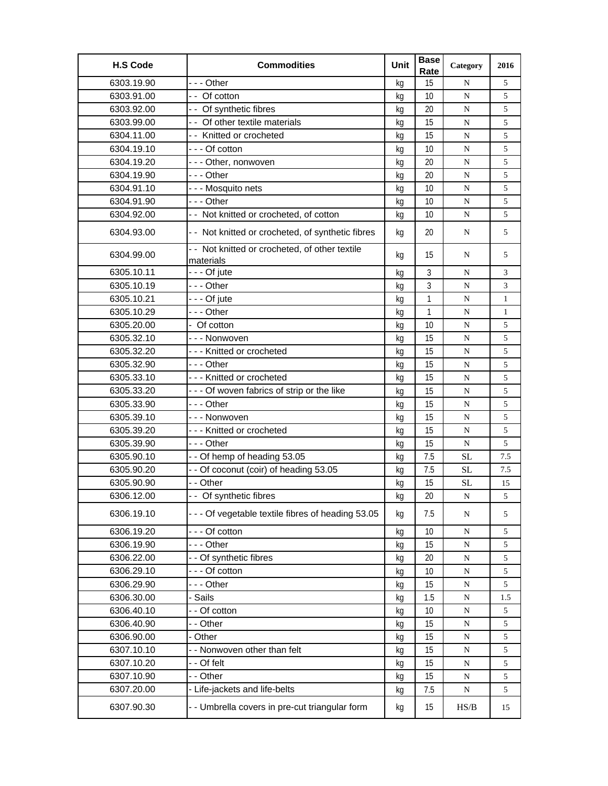| <b>H.S Code</b> | <b>Commodities</b>                                          | Unit | <b>Base</b><br>Rate | Category    | 2016         |
|-----------------|-------------------------------------------------------------|------|---------------------|-------------|--------------|
| 6303.19.90      | -  - - Other                                                | kg   | 15                  | N           | 5            |
| 6303.91.00      | - - Of cotton                                               | kg   | 10                  | ${\bf N}$   | 5            |
| 6303.92.00      | -- Of synthetic fibres                                      | kg   | 20                  | N           | 5            |
| 6303.99.00      | - - Of other textile materials                              | kg   | 15                  | N           | 5            |
| 6304.11.00      | - - Knitted or crocheted                                    | kg   | 15                  | N           | 5            |
| 6304.19.10      | --- Of cotton                                               | kq   | 10                  | N           | 5            |
| 6304.19.20      | --- Other, nonwoven                                         | kg   | 20                  | ${\bf N}$   | 5            |
| 6304.19.90      | -  - - Other                                                | kg   | 20                  | N           | 5            |
| 6304.91.10      | - - - Mosquito nets                                         | kg   | 10                  | N           | 5            |
| 6304.91.90      | --- Other                                                   | kg   | 10                  | N           | 5            |
| 6304.92.00      | -- Not knitted or crocheted, of cotton                      | kq   | 10                  | N           | 5            |
| 6304.93.00      | - - Not knitted or crocheted, of synthetic fibres           | kg   | 20                  | N           | 5            |
| 6304.99.00      | - - Not knitted or crocheted, of other textile<br>materials | kg   | 15                  | N           | 5            |
| 6305.10.11      | --- Of jute                                                 | kg   | $\mathfrak{Z}$      | ${\bf N}$   | 3            |
| 6305.10.19      | --- Other                                                   | kq   | 3                   | N           | 3            |
| 6305.10.21      | --- Of jute                                                 | kg   | $\mathbf{1}$        | N           | $\mathbf{1}$ |
| 6305.10.29      | --- Other                                                   | kg   | $\mathbf{1}$        | ${\bf N}$   | $\mathbf{1}$ |
| 6305.20.00      | - Of cotton                                                 | kg   | 10                  | N           | 5            |
| 6305.32.10      | --- Nonwoven                                                | kg   | 15                  | N           | 5            |
| 6305.32.20      | --- Knitted or crocheted                                    | kg   | 15                  | N           | 5            |
| 6305.32.90      | -  - - Other                                                | kg   | 15                  | ${\bf N}$   | 5            |
| 6305.33.10      | --- Knitted or crocheted                                    | kg   | 15                  | N           | 5            |
| 6305.33.20      | --- Of woven fabrics of strip or the like                   | kg   | 15                  | N           | 5            |
| 6305.33.90      | -  - - Other                                                | kg   | 15                  | N           | 5            |
| 6305.39.10      | - - - Nonwoven                                              | kg   | 15                  | N           | 5            |
| 6305.39.20      | --- Knitted or crocheted                                    | kg   | 15                  | ${\bf N}$   | 5            |
| 6305.39.90      | - - - Other                                                 | kg   | 15                  | N           | 5            |
| 6305.90.10      | -- Of hemp of heading 53.05                                 | kg   | 7.5                 | <b>SL</b>   | 7.5          |
| 6305.90.20      | - - Of coconut (coir) of heading 53.05                      | kg   | 7.5                 | <b>SL</b>   | 7.5          |
| 6305.90.90      | - - Other                                                   | kg   | 15                  | SL          | 15           |
| 6306.12.00      | - - Of synthetic fibres                                     | kg   | 20                  | N           | 5            |
| 6306.19.10      | --- Of vegetable textile fibres of heading 53.05            | kg   | 7.5                 | ${\bf N}$   | 5            |
| 6306.19.20      | - - - Of cotton                                             | kg   | 10                  | N           | 5            |
| 6306.19.90      | - - - Other                                                 | kg   | 15                  | ${\bf N}$   | 5            |
| 6306.22.00      | - - Of synthetic fibres                                     | kg   | 20                  | $\mathbf N$ | 5            |
| 6306.29.10      | --- Of cotton                                               | kg   | 10                  | ${\bf N}$   | 5            |
| 6306.29.90      | --- Other                                                   | kg   | 15                  | ${\bf N}$   | 5            |
| 6306.30.00      | Sails                                                       | kg   | 1.5                 | ${\bf N}$   | 1.5          |
| 6306.40.10      | - - Of cotton                                               | kg   | 10                  | ${\bf N}$   | 5            |
| 6306.40.90      | - - Other                                                   | kg   | 15                  | ${\bf N}$   | 5            |
| 6306.90.00      | - Other                                                     | kq   | 15                  | ${\bf N}$   | 5            |
| 6307.10.10      | - - Nonwoven other than felt                                | kg   | 15                  | ${\bf N}$   | 5            |
| 6307.10.20      | - - Of felt                                                 | kg   | 15                  | ${\bf N}$   | 5            |
| 6307.10.90      | - - Other                                                   | kg   | 15                  | ${\bf N}$   | 5            |
| 6307.20.00      | - Life-jackets and life-belts                               | kg   | 7.5                 | ${\bf N}$   | 5            |
| 6307.90.30      | - - Umbrella covers in pre-cut triangular form              | kg   | 15                  | HS/B        | 15           |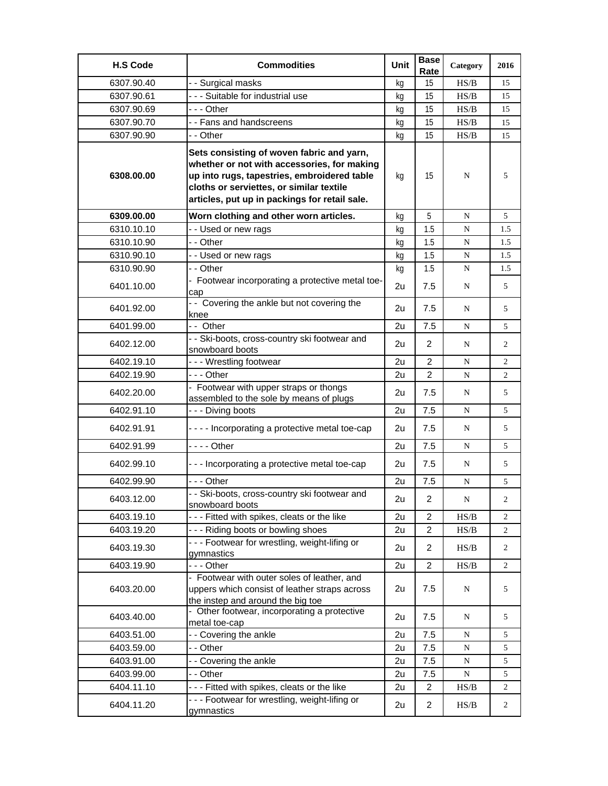| <b>H.S Code</b> | <b>Commodities</b>                                                                                                                                                                                                                   | Unit | <b>Base</b><br>Rate | Category                                                                               | 2016           |
|-----------------|--------------------------------------------------------------------------------------------------------------------------------------------------------------------------------------------------------------------------------------|------|---------------------|----------------------------------------------------------------------------------------|----------------|
| 6307.90.40      | - - Surgical masks                                                                                                                                                                                                                   | ka   | 15                  | HS/B                                                                                   | 15             |
| 6307.90.61      | --- Suitable for industrial use                                                                                                                                                                                                      | kg   | 15                  | HS/B                                                                                   | 15             |
| 6307.90.69      | - - - Other                                                                                                                                                                                                                          | kg   | 15                  | HS/B                                                                                   | 15             |
| 6307.90.70      | - - Fans and handscreens                                                                                                                                                                                                             | kg   | 15                  | $\ensuremath{\mathbf{H}}\ensuremath{\mathbf{S}}\xspace/\ensuremath{\mathbf{B}}\xspace$ | 15             |
| 6307.90.90      | - - Other                                                                                                                                                                                                                            | kg   | 15                  | HS/B                                                                                   | 15             |
| 6308.00.00      | Sets consisting of woven fabric and yarn,<br>whether or not with accessories, for making<br>up into rugs, tapestries, embroidered table<br>cloths or serviettes, or similar textile<br>articles, put up in packings for retail sale. | kg   | 15                  | N                                                                                      | 5              |
| 6309.00.00      | Worn clothing and other worn articles.                                                                                                                                                                                               | kg   | 5                   | N                                                                                      | 5              |
| 6310.10.10      | -- Used or new rags                                                                                                                                                                                                                  | kg   | 1.5                 | N                                                                                      | 1.5            |
| 6310.10.90      | - - Other                                                                                                                                                                                                                            | kq   | 1.5                 | N                                                                                      | 1.5            |
| 6310.90.10      | - - Used or new rags                                                                                                                                                                                                                 | kg   | 1.5                 | ${\bf N}$                                                                              | 1.5            |
| 6310.90.90      | - - Other                                                                                                                                                                                                                            | kg   | 1.5                 | N                                                                                      | 1.5            |
| 6401.10.00      | - Footwear incorporating a protective metal toe-<br>cap                                                                                                                                                                              | 2u   | 7.5                 | N                                                                                      | 5              |
| 6401.92.00      | - - Covering the ankle but not covering the<br>knee                                                                                                                                                                                  | 2u   | 7.5                 | N                                                                                      | 5              |
| 6401.99.00      | -- Other                                                                                                                                                                                                                             | 2u   | 7.5                 | N                                                                                      | 5              |
| 6402.12.00      | - - Ski-boots, cross-country ski footwear and<br>snowboard boots                                                                                                                                                                     | 2u   | 2                   | N                                                                                      | $\overline{2}$ |
| 6402.19.10      | --- Wrestling footwear                                                                                                                                                                                                               | 2u   | $\overline{2}$      | N                                                                                      | $\overline{2}$ |
| 6402.19.90      | - - - Other                                                                                                                                                                                                                          | 2u   | $\overline{2}$      | N                                                                                      | $\overline{2}$ |
| 6402.20.00      | - Footwear with upper straps or thongs<br>assembled to the sole by means of plugs                                                                                                                                                    | 2u   | 7.5                 | N                                                                                      | 5              |
| 6402.91.10      | --- Diving boots                                                                                                                                                                                                                     | 2u   | 7.5                 | N                                                                                      | 5              |
| 6402.91.91      | - - - - Incorporating a protective metal toe-cap                                                                                                                                                                                     | 2u   | 7.5                 | N                                                                                      | 5              |
| 6402.91.99      | - - - - Other                                                                                                                                                                                                                        | 2u   | 7.5                 | N                                                                                      | 5              |
| 6402.99.10      | --- Incorporating a protective metal toe-cap                                                                                                                                                                                         | 2u   | 7.5                 | N                                                                                      | 5              |
| 6402.99.90      | -  - - Other                                                                                                                                                                                                                         | 2u   | 7.5                 | N                                                                                      | 5              |
| 6403.12.00      | - - Ski-boots, cross-country ski footwear and<br>snowboard boots                                                                                                                                                                     | 2u   | $\overline{c}$      | ${\bf N}$                                                                              | 2              |
| 6403.19.10      | - - - Fitted with spikes, cleats or the like                                                                                                                                                                                         | 2u   | $\overline{2}$      | HS/B                                                                                   | $\overline{2}$ |
| 6403.19.20      | --- Riding boots or bowling shoes                                                                                                                                                                                                    | 2u   | $\overline{2}$      | HS/B                                                                                   | $\overline{c}$ |
| 6403.19.30      | --- Footwear for wrestling, weight-lifing or<br>gymnastics                                                                                                                                                                           | 2u   | $\overline{2}$      | HS/B                                                                                   | 2              |
| 6403.19.90      | - - - Other                                                                                                                                                                                                                          | 2u   | $\overline{2}$      | HS/B                                                                                   | $\overline{2}$ |
| 6403.20.00      | - Footwear with outer soles of leather, and<br>uppers which consist of leather straps across<br>the instep and around the big toe                                                                                                    | 2u   | 7.5                 | N                                                                                      | 5              |
| 6403.40.00      | - Other footwear, incorporating a protective<br>metal toe-cap                                                                                                                                                                        | 2u   | 7.5                 | N                                                                                      | 5              |
| 6403.51.00      | - - Covering the ankle                                                                                                                                                                                                               | 2u   | 7.5                 | ${\bf N}$                                                                              | 5              |
| 6403.59.00      | - - Other                                                                                                                                                                                                                            | 2u   | 7.5                 | N                                                                                      | 5              |
| 6403.91.00      | -- Covering the ankle                                                                                                                                                                                                                | 2u   | 7.5                 | ${\bf N}$                                                                              | 5              |
| 6403.99.00      | - - Other                                                                                                                                                                                                                            | 2u   | 7.5                 | ${\bf N}$                                                                              | 5              |
| 6404.11.10      | --- Fitted with spikes, cleats or the like                                                                                                                                                                                           | 2u   | $\overline{2}$      | HS/B                                                                                   | 2              |
| 6404.11.20      | --- Footwear for wrestling, weight-lifing or<br>gymnastics                                                                                                                                                                           | 2u   | $\overline{2}$      | HS/B                                                                                   | 2              |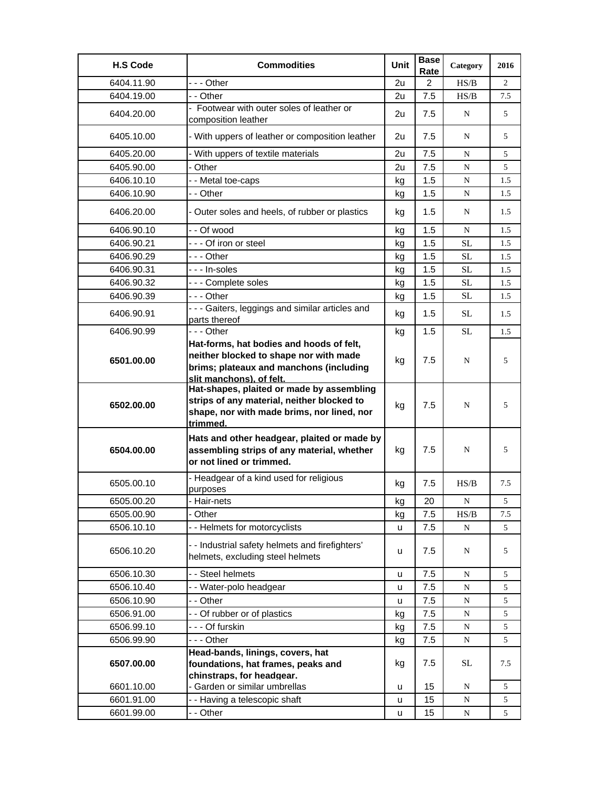| <b>H.S Code</b> | <b>Commodities</b>                                                                                                                                        | Unit | <b>Base</b><br>Rate | Category    | 2016           |
|-----------------|-----------------------------------------------------------------------------------------------------------------------------------------------------------|------|---------------------|-------------|----------------|
| 6404.11.90      | --- Other                                                                                                                                                 | 2u   | 2                   | H S/B       | $\overline{2}$ |
| 6404.19.00      | - - Other                                                                                                                                                 | 2u   | 7.5                 | HS/B        | 7.5            |
| 6404.20.00      | - Footwear with outer soles of leather or<br>composition leather                                                                                          | 2u   | 7.5                 | N           | 5              |
| 6405.10.00      | - With uppers of leather or composition leather                                                                                                           | 2u   | 7.5                 | N           | 5              |
| 6405.20.00      | - With uppers of textile materials                                                                                                                        | 2u   | 7.5                 | $\mathbf N$ | 5              |
| 6405.90.00      | - Other                                                                                                                                                   | 2u   | 7.5                 | N           | 5              |
| 6406.10.10      | - - Metal toe-caps                                                                                                                                        | kg   | 1.5                 | N           | 1.5            |
| 6406.10.90      | - - Other                                                                                                                                                 | kg   | 1.5                 | N           | 1.5            |
| 6406.20.00      | - Outer soles and heels, of rubber or plastics                                                                                                            | kg   | 1.5                 | N           | 1.5            |
| 6406.90.10      | - - Of wood                                                                                                                                               | kg   | 1.5                 | $\mathbf N$ | 1.5            |
| 6406.90.21      | --- Of iron or steel                                                                                                                                      | kg   | 1.5                 | <b>SL</b>   | 1.5            |
| 6406.90.29      | - - - Other                                                                                                                                               | kg   | 1.5                 | SL          | 1.5            |
| 6406.90.31      | - - - In-soles                                                                                                                                            | kg   | 1.5                 | <b>SL</b>   | 1.5            |
| 6406.90.32      | --- Complete soles                                                                                                                                        | kg   | 1.5                 | SL          | 1.5            |
| 6406.90.39      | --- Other                                                                                                                                                 | kg   | 1.5                 | SL          | 1.5            |
| 6406.90.91      | - - - Gaiters, leggings and similar articles and<br>parts thereof                                                                                         | kg   | 1.5                 | SL          | 1.5            |
| 6406.90.99      | $- -$ Other                                                                                                                                               | kg   | 1.5                 | <b>SL</b>   | 1.5            |
| 6501.00.00      | Hat-forms, hat bodies and hoods of felt,<br>neither blocked to shape nor with made<br>brims; plateaux and manchons (including<br>slit manchons), of felt. | kg   | 7.5                 | N           | 5              |
| 6502.00.00      | Hat-shapes, plaited or made by assembling<br>strips of any material, neither blocked to<br>shape, nor with made brims, nor lined, nor<br>trimmed.         | kg   | 7.5                 | N           | 5              |
| 6504.00.00      | Hats and other headgear, plaited or made by<br>assembling strips of any material, whether<br>or not lined or trimmed.                                     | kg   | 7.5                 | N           | 5              |
| 6505.00.10      | - Headgear of a kind used for religious<br>purposes                                                                                                       | kg   | 7.5                 | HS/B        | 7.5            |
| 6505.00.20      | Hair-nets                                                                                                                                                 | κg   | 20                  | N           | 5              |
| 6505.00.90      | - Other                                                                                                                                                   | kg   | 7.5                 | HS/B        | 7.5            |
| 6506.10.10      | - - Helmets for motorcyclists                                                                                                                             | u    | 7.5                 | ${\bf N}$   | 5              |
| 6506.10.20      | - - Industrial safety helmets and firefighters'<br>helmets, excluding steel helmets                                                                       | u    | 7.5                 | N           | 5              |
| 6506.10.30      | - - Steel helmets                                                                                                                                         | u    | 7.5                 | N           | 5              |
| 6506.10.40      | - - Water-polo headgear                                                                                                                                   | u    | 7.5                 | N           | 5              |
| 6506.10.90      | - - Other                                                                                                                                                 | u    | 7.5                 | N           | 5              |
| 6506.91.00      | - - Of rubber or of plastics                                                                                                                              | kg   | 7.5                 | ${\bf N}$   | 5              |
| 6506.99.10      | - - - Of furskin                                                                                                                                          | kg   | 7.5                 | ${\bf N}$   | 5              |
| 6506.99.90      | --- Other                                                                                                                                                 | kg   | 7.5                 | ${\bf N}$   | 5              |
|                 | Head-bands, linings, covers, hat                                                                                                                          |      |                     |             |                |
| 6507.00.00      | foundations, hat frames, peaks and                                                                                                                        | kg   | 7.5                 | <b>SL</b>   | 7.5            |
| 6601.10.00      | chinstraps, for headgear.<br>- Garden or similar umbrellas                                                                                                | u    | 15                  | N           | 5              |
| 6601.91.00      | - - Having a telescopic shaft                                                                                                                             | u    | 15                  | ${\bf N}$   | 5              |
| 6601.99.00      | - - Other                                                                                                                                                 | u    | 15                  | ${\bf N}$   | 5              |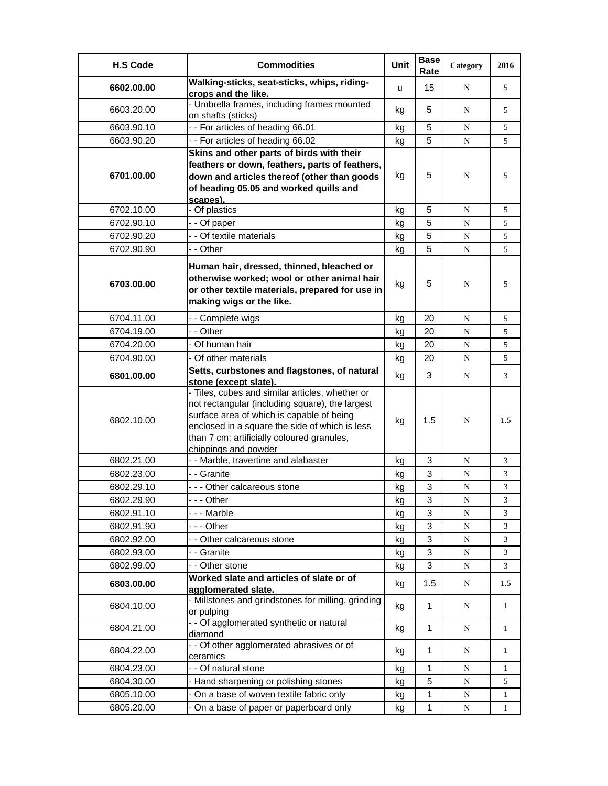| <b>H.S Code</b> | <b>Commodities</b>                                                                                                                                                                                                                                                      | Unit | <b>Base</b><br>Rate | Category  | 2016         |
|-----------------|-------------------------------------------------------------------------------------------------------------------------------------------------------------------------------------------------------------------------------------------------------------------------|------|---------------------|-----------|--------------|
| 6602.00.00      | Walking-sticks, seat-sticks, whips, riding-<br>crops and the like.                                                                                                                                                                                                      | u    | 15                  | N         | 5            |
| 6603.20.00      | - Umbrella frames, including frames mounted<br>on shafts (sticks)                                                                                                                                                                                                       | kg   | 5                   | N         | 5            |
| 6603.90.10      | -- For articles of heading 66.01                                                                                                                                                                                                                                        | kg   | 5                   | N         | 5            |
| 6603.90.20      | -- For articles of heading 66.02                                                                                                                                                                                                                                        | kg   | 5                   | N         | 5            |
| 6701.00.00      | Skins and other parts of birds with their<br>feathers or down, feathers, parts of feathers,<br>down and articles thereof (other than goods<br>of heading 05.05 and worked quills and<br>scapes).                                                                        | kg   | 5                   | N         | 5            |
| 6702.10.00      | - Of plastics                                                                                                                                                                                                                                                           | kg   | 5                   | N         | 5            |
| 6702.90.10      | - - Of paper                                                                                                                                                                                                                                                            | kg   | 5                   | N         | 5            |
| 6702.90.20      | - - Of textile materials                                                                                                                                                                                                                                                | kg   | 5                   | N         | 5            |
| 6702.90.90      | - - Other                                                                                                                                                                                                                                                               | kg   | 5                   | N         | 5            |
| 6703.00.00      | Human hair, dressed, thinned, bleached or<br>otherwise worked; wool or other animal hair<br>or other textile materials, prepared for use in<br>making wigs or the like.                                                                                                 | kg   | 5                   | N         | 5            |
| 6704.11.00      | - - Complete wigs                                                                                                                                                                                                                                                       | kg   | 20                  | N         | 5            |
| 6704.19.00      | - - Other                                                                                                                                                                                                                                                               | kg   | 20                  | N         | 5            |
| 6704.20.00      | - Of human hair                                                                                                                                                                                                                                                         | kg   | 20                  | N         | 5            |
| 6704.90.00      | - Of other materials                                                                                                                                                                                                                                                    | kg   | 20                  | N         | 5            |
| 6801.00.00      | Setts, curbstones and flagstones, of natural<br>stone (except slate).                                                                                                                                                                                                   | kg   | 3                   | N         | 3            |
| 6802.10.00      | - Tiles, cubes and similar articles, whether or<br>not rectangular (including square), the largest<br>surface area of which is capable of being<br>enclosed in a square the side of which is less<br>than 7 cm; artificially coloured granules,<br>chippings and powder | kg   | 1.5                 | N         | 1.5          |
| 6802.21.00      | - - Marble, travertine and alabaster                                                                                                                                                                                                                                    | kg   | 3                   | N         | 3            |
| 6802.23.00      | - - Granite                                                                                                                                                                                                                                                             | kg   | 3                   | N         | 3            |
| 6802.29.10      | --- Other calcareous stone                                                                                                                                                                                                                                              | kg   | 3                   | N         | 3            |
| 6802.29.90      | - - Other                                                                                                                                                                                                                                                               | kg   | 3                   | N         | 3            |
| 6802.91.10      | --- Marble                                                                                                                                                                                                                                                              | kg   | 3                   | N         | 3            |
| 6802.91.90      | - - - Other                                                                                                                                                                                                                                                             |      | 3                   | N         | 3            |
| 6802.92.00      | - - Other calcareous stone                                                                                                                                                                                                                                              | kg   | 3                   | N         | 3            |
| 6802.93.00      | - - Granite                                                                                                                                                                                                                                                             | kg   | 3                   | N         | 3            |
|                 |                                                                                                                                                                                                                                                                         | kg   |                     |           |              |
| 6802.99.00      | - - Other stone                                                                                                                                                                                                                                                         | kg   | 3                   | ${\bf N}$ | 3            |
| 6803.00.00      | Worked slate and articles of slate or of<br>agglomerated slate.                                                                                                                                                                                                         | kg   | 1.5                 | N         | 1.5          |
| 6804.10.00      | - Millstones and grindstones for milling, grinding<br>or pulping                                                                                                                                                                                                        | kg   | $\mathbf{1}$        | N         | $\mathbf{1}$ |
| 6804.21.00      | - - Of agglomerated synthetic or natural<br>diamond                                                                                                                                                                                                                     | kg   | 1                   | N         | $\mathbf{1}$ |
| 6804.22.00      | - - Of other agglomerated abrasives or of<br>ceramics                                                                                                                                                                                                                   | kg   | 1                   | N         | 1            |
| 6804.23.00      | - - Of natural stone                                                                                                                                                                                                                                                    | kg   | 1                   | N         | 1            |
| 6804.30.00      | - Hand sharpening or polishing stones                                                                                                                                                                                                                                   | kg   | 5                   | N         | 5            |
| 6805.10.00      | - On a base of woven textile fabric only                                                                                                                                                                                                                                | kg   | 1                   | N         | 1            |
| 6805.20.00      | On a base of paper or paperboard only                                                                                                                                                                                                                                   | kg   | 1                   | ${\bf N}$ | 1            |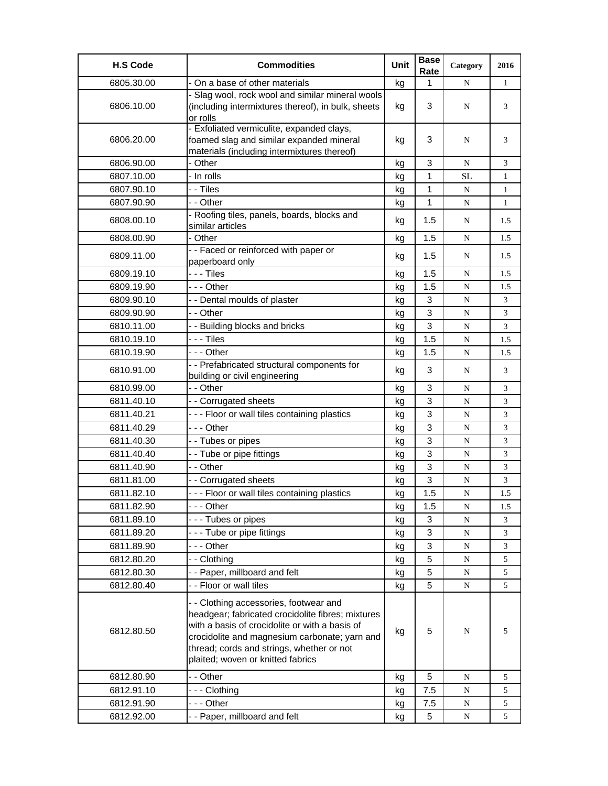| - On a base of other materials<br>1<br>6805.30.00<br>$\mathbf{1}$<br>kg<br>N<br>- Slag wool, rock wool and similar mineral wools<br>3<br>6806.10.00<br>(including intermixtures thereof), in bulk, sheets<br>N<br>3<br>kg<br>or rolls<br>- Exfoliated vermiculite, expanded clays,<br>foamed slag and similar expanded mineral<br>3<br>6806.20.00<br>N<br>kg<br>3<br>materials (including intermixtures thereof)<br>- Other<br>3<br>6806.90.00<br>N<br>3<br>kg<br>- In rolls<br>6807.10.00<br>1<br><b>SL</b><br>kg<br>$\mathbf{1}$<br>- - Tiles<br>1<br>6807.90.10<br>N<br>$\mathbf{1}$<br>kg<br>1<br>6807.90.90<br>- - Other<br>N<br>$\mathbf{1}$<br>kg<br>- Roofing tiles, panels, boards, blocks and<br>6808.00.10<br>1.5<br>kg<br>N<br>1.5<br>similar articles<br>1.5<br>6808.00.90<br>- Other<br>kg<br>N<br>1.5<br>-- Faced or reinforced with paper or<br>6809.11.00<br>1.5<br>N<br>1.5<br>kg<br>paperboard only<br>1.5<br>- - - Tiles<br>6809.19.10<br>1.5<br>N<br>kg<br>--- Other<br>6809.19.90<br>1.5<br>${\bf N}$<br>1.5<br>kg<br>6809.90.10<br>- - Dental moulds of plaster<br>3<br>N<br>3<br>kg<br>3<br>6809.90.90<br>- - Other<br>3<br>N<br>kg<br>3<br>6810.11.00<br>- - Building blocks and bricks<br>3<br>N<br>kg<br>- - - Tiles<br>6810.19.10<br>1.5<br>N<br>1.5<br>kg<br>6810.19.90<br>--- Other<br>1.5<br>${\bf N}$<br>1.5<br>kg<br>- - Prefabricated structural components for<br>6810.91.00<br>3<br>3<br>kg<br>N<br>building or civil engineering<br>$\mathbf{3}$<br>6810.99.00<br>- - Other<br>N<br>3<br>kg<br>6811.40.10<br>- - Corrugated sheets<br>3<br>N<br>3<br>kg<br>- - - Floor or wall tiles containing plastics<br>3<br>6811.40.21<br>3<br>N<br>kg<br>--- Other<br>3<br>6811.40.29<br>3<br>N<br>kg<br>3<br>6811.40.30<br>- - Tubes or pipes<br>3<br>N<br>kg<br>3<br>6811.40.40<br>--Tube or pipe fittings<br>3<br>${\bf N}$<br>kg<br>3<br>6811.40.90<br>- - Other<br>3<br>${\bf N}$<br>kg<br>6811.81.00<br>3<br>- - Corrugated sheets<br>3<br>${\bf N}$<br>kg<br>6811.82.10<br>--- Floor or wall tiles containing plastics<br>1.5<br>N<br>1.5<br>kg<br>--- Other<br>6811.82.90<br>1.5<br>kg<br>N<br>1.5<br>6811.89.10<br>--- Tubes or pipes<br>3<br>N<br>3<br>kg<br>6811.89.20<br>--- Tube or pipe fittings<br>3<br>${\bf N}$<br>3<br>kg<br>6811.89.90<br>--- Other<br>3<br>3<br>N<br>kg<br>6812.80.20<br>- - Clothing<br>5<br>${\bf N}$<br>5<br>kg<br>-- Paper, millboard and felt<br>5<br>6812.80.30<br>5<br>N<br>kg<br>- - Floor or wall tiles<br>5<br>6812.80.40<br>${\bf N}$<br>5<br>kg<br>- - Clothing accessories, footwear and<br>headgear; fabricated crocidolite fibres; mixtures<br>with a basis of crocidolite or with a basis of<br>5<br>6812.80.50<br>N<br>5<br>kg<br>crocidolite and magnesium carbonate; yarn and<br>thread; cords and strings, whether or not | <b>H.S Code</b> | <b>Commodities</b>                | Unit | <b>Base</b><br>Rate | Category | 2016 |
|--------------------------------------------------------------------------------------------------------------------------------------------------------------------------------------------------------------------------------------------------------------------------------------------------------------------------------------------------------------------------------------------------------------------------------------------------------------------------------------------------------------------------------------------------------------------------------------------------------------------------------------------------------------------------------------------------------------------------------------------------------------------------------------------------------------------------------------------------------------------------------------------------------------------------------------------------------------------------------------------------------------------------------------------------------------------------------------------------------------------------------------------------------------------------------------------------------------------------------------------------------------------------------------------------------------------------------------------------------------------------------------------------------------------------------------------------------------------------------------------------------------------------------------------------------------------------------------------------------------------------------------------------------------------------------------------------------------------------------------------------------------------------------------------------------------------------------------------------------------------------------------------------------------------------------------------------------------------------------------------------------------------------------------------------------------------------------------------------------------------------------------------------------------------------------------------------------------------------------------------------------------------------------------------------------------------------------------------------------------------------------------------------------------------------------------------------------------------------------------------------------------------------------------------------------------------------------------------------------------------------------------------------------------------------------------------------------------------------------------------------------------------------------------------------------------|-----------------|-----------------------------------|------|---------------------|----------|------|
|                                                                                                                                                                                                                                                                                                                                                                                                                                                                                                                                                                                                                                                                                                                                                                                                                                                                                                                                                                                                                                                                                                                                                                                                                                                                                                                                                                                                                                                                                                                                                                                                                                                                                                                                                                                                                                                                                                                                                                                                                                                                                                                                                                                                                                                                                                                                                                                                                                                                                                                                                                                                                                                                                                                                                                                                              |                 |                                   |      |                     |          |      |
|                                                                                                                                                                                                                                                                                                                                                                                                                                                                                                                                                                                                                                                                                                                                                                                                                                                                                                                                                                                                                                                                                                                                                                                                                                                                                                                                                                                                                                                                                                                                                                                                                                                                                                                                                                                                                                                                                                                                                                                                                                                                                                                                                                                                                                                                                                                                                                                                                                                                                                                                                                                                                                                                                                                                                                                                              |                 |                                   |      |                     |          |      |
|                                                                                                                                                                                                                                                                                                                                                                                                                                                                                                                                                                                                                                                                                                                                                                                                                                                                                                                                                                                                                                                                                                                                                                                                                                                                                                                                                                                                                                                                                                                                                                                                                                                                                                                                                                                                                                                                                                                                                                                                                                                                                                                                                                                                                                                                                                                                                                                                                                                                                                                                                                                                                                                                                                                                                                                                              |                 |                                   |      |                     |          |      |
|                                                                                                                                                                                                                                                                                                                                                                                                                                                                                                                                                                                                                                                                                                                                                                                                                                                                                                                                                                                                                                                                                                                                                                                                                                                                                                                                                                                                                                                                                                                                                                                                                                                                                                                                                                                                                                                                                                                                                                                                                                                                                                                                                                                                                                                                                                                                                                                                                                                                                                                                                                                                                                                                                                                                                                                                              |                 |                                   |      |                     |          |      |
|                                                                                                                                                                                                                                                                                                                                                                                                                                                                                                                                                                                                                                                                                                                                                                                                                                                                                                                                                                                                                                                                                                                                                                                                                                                                                                                                                                                                                                                                                                                                                                                                                                                                                                                                                                                                                                                                                                                                                                                                                                                                                                                                                                                                                                                                                                                                                                                                                                                                                                                                                                                                                                                                                                                                                                                                              |                 |                                   |      |                     |          |      |
|                                                                                                                                                                                                                                                                                                                                                                                                                                                                                                                                                                                                                                                                                                                                                                                                                                                                                                                                                                                                                                                                                                                                                                                                                                                                                                                                                                                                                                                                                                                                                                                                                                                                                                                                                                                                                                                                                                                                                                                                                                                                                                                                                                                                                                                                                                                                                                                                                                                                                                                                                                                                                                                                                                                                                                                                              |                 |                                   |      |                     |          |      |
|                                                                                                                                                                                                                                                                                                                                                                                                                                                                                                                                                                                                                                                                                                                                                                                                                                                                                                                                                                                                                                                                                                                                                                                                                                                                                                                                                                                                                                                                                                                                                                                                                                                                                                                                                                                                                                                                                                                                                                                                                                                                                                                                                                                                                                                                                                                                                                                                                                                                                                                                                                                                                                                                                                                                                                                                              |                 |                                   |      |                     |          |      |
|                                                                                                                                                                                                                                                                                                                                                                                                                                                                                                                                                                                                                                                                                                                                                                                                                                                                                                                                                                                                                                                                                                                                                                                                                                                                                                                                                                                                                                                                                                                                                                                                                                                                                                                                                                                                                                                                                                                                                                                                                                                                                                                                                                                                                                                                                                                                                                                                                                                                                                                                                                                                                                                                                                                                                                                                              |                 |                                   |      |                     |          |      |
|                                                                                                                                                                                                                                                                                                                                                                                                                                                                                                                                                                                                                                                                                                                                                                                                                                                                                                                                                                                                                                                                                                                                                                                                                                                                                                                                                                                                                                                                                                                                                                                                                                                                                                                                                                                                                                                                                                                                                                                                                                                                                                                                                                                                                                                                                                                                                                                                                                                                                                                                                                                                                                                                                                                                                                                                              |                 |                                   |      |                     |          |      |
|                                                                                                                                                                                                                                                                                                                                                                                                                                                                                                                                                                                                                                                                                                                                                                                                                                                                                                                                                                                                                                                                                                                                                                                                                                                                                                                                                                                                                                                                                                                                                                                                                                                                                                                                                                                                                                                                                                                                                                                                                                                                                                                                                                                                                                                                                                                                                                                                                                                                                                                                                                                                                                                                                                                                                                                                              |                 |                                   |      |                     |          |      |
|                                                                                                                                                                                                                                                                                                                                                                                                                                                                                                                                                                                                                                                                                                                                                                                                                                                                                                                                                                                                                                                                                                                                                                                                                                                                                                                                                                                                                                                                                                                                                                                                                                                                                                                                                                                                                                                                                                                                                                                                                                                                                                                                                                                                                                                                                                                                                                                                                                                                                                                                                                                                                                                                                                                                                                                                              |                 |                                   |      |                     |          |      |
|                                                                                                                                                                                                                                                                                                                                                                                                                                                                                                                                                                                                                                                                                                                                                                                                                                                                                                                                                                                                                                                                                                                                                                                                                                                                                                                                                                                                                                                                                                                                                                                                                                                                                                                                                                                                                                                                                                                                                                                                                                                                                                                                                                                                                                                                                                                                                                                                                                                                                                                                                                                                                                                                                                                                                                                                              |                 |                                   |      |                     |          |      |
|                                                                                                                                                                                                                                                                                                                                                                                                                                                                                                                                                                                                                                                                                                                                                                                                                                                                                                                                                                                                                                                                                                                                                                                                                                                                                                                                                                                                                                                                                                                                                                                                                                                                                                                                                                                                                                                                                                                                                                                                                                                                                                                                                                                                                                                                                                                                                                                                                                                                                                                                                                                                                                                                                                                                                                                                              |                 |                                   |      |                     |          |      |
|                                                                                                                                                                                                                                                                                                                                                                                                                                                                                                                                                                                                                                                                                                                                                                                                                                                                                                                                                                                                                                                                                                                                                                                                                                                                                                                                                                                                                                                                                                                                                                                                                                                                                                                                                                                                                                                                                                                                                                                                                                                                                                                                                                                                                                                                                                                                                                                                                                                                                                                                                                                                                                                                                                                                                                                                              |                 |                                   |      |                     |          |      |
|                                                                                                                                                                                                                                                                                                                                                                                                                                                                                                                                                                                                                                                                                                                                                                                                                                                                                                                                                                                                                                                                                                                                                                                                                                                                                                                                                                                                                                                                                                                                                                                                                                                                                                                                                                                                                                                                                                                                                                                                                                                                                                                                                                                                                                                                                                                                                                                                                                                                                                                                                                                                                                                                                                                                                                                                              |                 |                                   |      |                     |          |      |
|                                                                                                                                                                                                                                                                                                                                                                                                                                                                                                                                                                                                                                                                                                                                                                                                                                                                                                                                                                                                                                                                                                                                                                                                                                                                                                                                                                                                                                                                                                                                                                                                                                                                                                                                                                                                                                                                                                                                                                                                                                                                                                                                                                                                                                                                                                                                                                                                                                                                                                                                                                                                                                                                                                                                                                                                              |                 |                                   |      |                     |          |      |
|                                                                                                                                                                                                                                                                                                                                                                                                                                                                                                                                                                                                                                                                                                                                                                                                                                                                                                                                                                                                                                                                                                                                                                                                                                                                                                                                                                                                                                                                                                                                                                                                                                                                                                                                                                                                                                                                                                                                                                                                                                                                                                                                                                                                                                                                                                                                                                                                                                                                                                                                                                                                                                                                                                                                                                                                              |                 |                                   |      |                     |          |      |
|                                                                                                                                                                                                                                                                                                                                                                                                                                                                                                                                                                                                                                                                                                                                                                                                                                                                                                                                                                                                                                                                                                                                                                                                                                                                                                                                                                                                                                                                                                                                                                                                                                                                                                                                                                                                                                                                                                                                                                                                                                                                                                                                                                                                                                                                                                                                                                                                                                                                                                                                                                                                                                                                                                                                                                                                              |                 |                                   |      |                     |          |      |
|                                                                                                                                                                                                                                                                                                                                                                                                                                                                                                                                                                                                                                                                                                                                                                                                                                                                                                                                                                                                                                                                                                                                                                                                                                                                                                                                                                                                                                                                                                                                                                                                                                                                                                                                                                                                                                                                                                                                                                                                                                                                                                                                                                                                                                                                                                                                                                                                                                                                                                                                                                                                                                                                                                                                                                                                              |                 |                                   |      |                     |          |      |
|                                                                                                                                                                                                                                                                                                                                                                                                                                                                                                                                                                                                                                                                                                                                                                                                                                                                                                                                                                                                                                                                                                                                                                                                                                                                                                                                                                                                                                                                                                                                                                                                                                                                                                                                                                                                                                                                                                                                                                                                                                                                                                                                                                                                                                                                                                                                                                                                                                                                                                                                                                                                                                                                                                                                                                                                              |                 |                                   |      |                     |          |      |
|                                                                                                                                                                                                                                                                                                                                                                                                                                                                                                                                                                                                                                                                                                                                                                                                                                                                                                                                                                                                                                                                                                                                                                                                                                                                                                                                                                                                                                                                                                                                                                                                                                                                                                                                                                                                                                                                                                                                                                                                                                                                                                                                                                                                                                                                                                                                                                                                                                                                                                                                                                                                                                                                                                                                                                                                              |                 |                                   |      |                     |          |      |
|                                                                                                                                                                                                                                                                                                                                                                                                                                                                                                                                                                                                                                                                                                                                                                                                                                                                                                                                                                                                                                                                                                                                                                                                                                                                                                                                                                                                                                                                                                                                                                                                                                                                                                                                                                                                                                                                                                                                                                                                                                                                                                                                                                                                                                                                                                                                                                                                                                                                                                                                                                                                                                                                                                                                                                                                              |                 |                                   |      |                     |          |      |
|                                                                                                                                                                                                                                                                                                                                                                                                                                                                                                                                                                                                                                                                                                                                                                                                                                                                                                                                                                                                                                                                                                                                                                                                                                                                                                                                                                                                                                                                                                                                                                                                                                                                                                                                                                                                                                                                                                                                                                                                                                                                                                                                                                                                                                                                                                                                                                                                                                                                                                                                                                                                                                                                                                                                                                                                              |                 |                                   |      |                     |          |      |
|                                                                                                                                                                                                                                                                                                                                                                                                                                                                                                                                                                                                                                                                                                                                                                                                                                                                                                                                                                                                                                                                                                                                                                                                                                                                                                                                                                                                                                                                                                                                                                                                                                                                                                                                                                                                                                                                                                                                                                                                                                                                                                                                                                                                                                                                                                                                                                                                                                                                                                                                                                                                                                                                                                                                                                                                              |                 |                                   |      |                     |          |      |
|                                                                                                                                                                                                                                                                                                                                                                                                                                                                                                                                                                                                                                                                                                                                                                                                                                                                                                                                                                                                                                                                                                                                                                                                                                                                                                                                                                                                                                                                                                                                                                                                                                                                                                                                                                                                                                                                                                                                                                                                                                                                                                                                                                                                                                                                                                                                                                                                                                                                                                                                                                                                                                                                                                                                                                                                              |                 |                                   |      |                     |          |      |
|                                                                                                                                                                                                                                                                                                                                                                                                                                                                                                                                                                                                                                                                                                                                                                                                                                                                                                                                                                                                                                                                                                                                                                                                                                                                                                                                                                                                                                                                                                                                                                                                                                                                                                                                                                                                                                                                                                                                                                                                                                                                                                                                                                                                                                                                                                                                                                                                                                                                                                                                                                                                                                                                                                                                                                                                              |                 |                                   |      |                     |          |      |
|                                                                                                                                                                                                                                                                                                                                                                                                                                                                                                                                                                                                                                                                                                                                                                                                                                                                                                                                                                                                                                                                                                                                                                                                                                                                                                                                                                                                                                                                                                                                                                                                                                                                                                                                                                                                                                                                                                                                                                                                                                                                                                                                                                                                                                                                                                                                                                                                                                                                                                                                                                                                                                                                                                                                                                                                              |                 |                                   |      |                     |          |      |
|                                                                                                                                                                                                                                                                                                                                                                                                                                                                                                                                                                                                                                                                                                                                                                                                                                                                                                                                                                                                                                                                                                                                                                                                                                                                                                                                                                                                                                                                                                                                                                                                                                                                                                                                                                                                                                                                                                                                                                                                                                                                                                                                                                                                                                                                                                                                                                                                                                                                                                                                                                                                                                                                                                                                                                                                              |                 |                                   |      |                     |          |      |
|                                                                                                                                                                                                                                                                                                                                                                                                                                                                                                                                                                                                                                                                                                                                                                                                                                                                                                                                                                                                                                                                                                                                                                                                                                                                                                                                                                                                                                                                                                                                                                                                                                                                                                                                                                                                                                                                                                                                                                                                                                                                                                                                                                                                                                                                                                                                                                                                                                                                                                                                                                                                                                                                                                                                                                                                              |                 |                                   |      |                     |          |      |
|                                                                                                                                                                                                                                                                                                                                                                                                                                                                                                                                                                                                                                                                                                                                                                                                                                                                                                                                                                                                                                                                                                                                                                                                                                                                                                                                                                                                                                                                                                                                                                                                                                                                                                                                                                                                                                                                                                                                                                                                                                                                                                                                                                                                                                                                                                                                                                                                                                                                                                                                                                                                                                                                                                                                                                                                              |                 |                                   |      |                     |          |      |
|                                                                                                                                                                                                                                                                                                                                                                                                                                                                                                                                                                                                                                                                                                                                                                                                                                                                                                                                                                                                                                                                                                                                                                                                                                                                                                                                                                                                                                                                                                                                                                                                                                                                                                                                                                                                                                                                                                                                                                                                                                                                                                                                                                                                                                                                                                                                                                                                                                                                                                                                                                                                                                                                                                                                                                                                              |                 |                                   |      |                     |          |      |
|                                                                                                                                                                                                                                                                                                                                                                                                                                                                                                                                                                                                                                                                                                                                                                                                                                                                                                                                                                                                                                                                                                                                                                                                                                                                                                                                                                                                                                                                                                                                                                                                                                                                                                                                                                                                                                                                                                                                                                                                                                                                                                                                                                                                                                                                                                                                                                                                                                                                                                                                                                                                                                                                                                                                                                                                              |                 |                                   |      |                     |          |      |
|                                                                                                                                                                                                                                                                                                                                                                                                                                                                                                                                                                                                                                                                                                                                                                                                                                                                                                                                                                                                                                                                                                                                                                                                                                                                                                                                                                                                                                                                                                                                                                                                                                                                                                                                                                                                                                                                                                                                                                                                                                                                                                                                                                                                                                                                                                                                                                                                                                                                                                                                                                                                                                                                                                                                                                                                              |                 |                                   |      |                     |          |      |
|                                                                                                                                                                                                                                                                                                                                                                                                                                                                                                                                                                                                                                                                                                                                                                                                                                                                                                                                                                                                                                                                                                                                                                                                                                                                                                                                                                                                                                                                                                                                                                                                                                                                                                                                                                                                                                                                                                                                                                                                                                                                                                                                                                                                                                                                                                                                                                                                                                                                                                                                                                                                                                                                                                                                                                                                              |                 |                                   |      |                     |          |      |
|                                                                                                                                                                                                                                                                                                                                                                                                                                                                                                                                                                                                                                                                                                                                                                                                                                                                                                                                                                                                                                                                                                                                                                                                                                                                                                                                                                                                                                                                                                                                                                                                                                                                                                                                                                                                                                                                                                                                                                                                                                                                                                                                                                                                                                                                                                                                                                                                                                                                                                                                                                                                                                                                                                                                                                                                              |                 |                                   |      |                     |          |      |
|                                                                                                                                                                                                                                                                                                                                                                                                                                                                                                                                                                                                                                                                                                                                                                                                                                                                                                                                                                                                                                                                                                                                                                                                                                                                                                                                                                                                                                                                                                                                                                                                                                                                                                                                                                                                                                                                                                                                                                                                                                                                                                                                                                                                                                                                                                                                                                                                                                                                                                                                                                                                                                                                                                                                                                                                              |                 |                                   |      |                     |          |      |
|                                                                                                                                                                                                                                                                                                                                                                                                                                                                                                                                                                                                                                                                                                                                                                                                                                                                                                                                                                                                                                                                                                                                                                                                                                                                                                                                                                                                                                                                                                                                                                                                                                                                                                                                                                                                                                                                                                                                                                                                                                                                                                                                                                                                                                                                                                                                                                                                                                                                                                                                                                                                                                                                                                                                                                                                              |                 |                                   |      |                     |          |      |
|                                                                                                                                                                                                                                                                                                                                                                                                                                                                                                                                                                                                                                                                                                                                                                                                                                                                                                                                                                                                                                                                                                                                                                                                                                                                                                                                                                                                                                                                                                                                                                                                                                                                                                                                                                                                                                                                                                                                                                                                                                                                                                                                                                                                                                                                                                                                                                                                                                                                                                                                                                                                                                                                                                                                                                                                              |                 |                                   |      |                     |          |      |
|                                                                                                                                                                                                                                                                                                                                                                                                                                                                                                                                                                                                                                                                                                                                                                                                                                                                                                                                                                                                                                                                                                                                                                                                                                                                                                                                                                                                                                                                                                                                                                                                                                                                                                                                                                                                                                                                                                                                                                                                                                                                                                                                                                                                                                                                                                                                                                                                                                                                                                                                                                                                                                                                                                                                                                                                              |                 | plaited; woven or knitted fabrics |      |                     |          |      |
| 5<br>5<br>6812.80.90<br>- - Other<br>${\bf N}$<br>kg                                                                                                                                                                                                                                                                                                                                                                                                                                                                                                                                                                                                                                                                                                                                                                                                                                                                                                                                                                                                                                                                                                                                                                                                                                                                                                                                                                                                                                                                                                                                                                                                                                                                                                                                                                                                                                                                                                                                                                                                                                                                                                                                                                                                                                                                                                                                                                                                                                                                                                                                                                                                                                                                                                                                                         |                 |                                   |      |                     |          |      |
| --- Clothing<br>6812.91.10<br>7.5<br>${\bf N}$<br>5<br>kg                                                                                                                                                                                                                                                                                                                                                                                                                                                                                                                                                                                                                                                                                                                                                                                                                                                                                                                                                                                                                                                                                                                                                                                                                                                                                                                                                                                                                                                                                                                                                                                                                                                                                                                                                                                                                                                                                                                                                                                                                                                                                                                                                                                                                                                                                                                                                                                                                                                                                                                                                                                                                                                                                                                                                    |                 |                                   |      |                     |          |      |
| 6812.91.90<br>- - - Other<br>7.5<br>${\bf N}$<br>5<br>kg                                                                                                                                                                                                                                                                                                                                                                                                                                                                                                                                                                                                                                                                                                                                                                                                                                                                                                                                                                                                                                                                                                                                                                                                                                                                                                                                                                                                                                                                                                                                                                                                                                                                                                                                                                                                                                                                                                                                                                                                                                                                                                                                                                                                                                                                                                                                                                                                                                                                                                                                                                                                                                                                                                                                                     |                 |                                   |      |                     |          |      |
| -- Paper, millboard and felt<br>5<br>6812.92.00<br>5<br>N<br>kg                                                                                                                                                                                                                                                                                                                                                                                                                                                                                                                                                                                                                                                                                                                                                                                                                                                                                                                                                                                                                                                                                                                                                                                                                                                                                                                                                                                                                                                                                                                                                                                                                                                                                                                                                                                                                                                                                                                                                                                                                                                                                                                                                                                                                                                                                                                                                                                                                                                                                                                                                                                                                                                                                                                                              |                 |                                   |      |                     |          |      |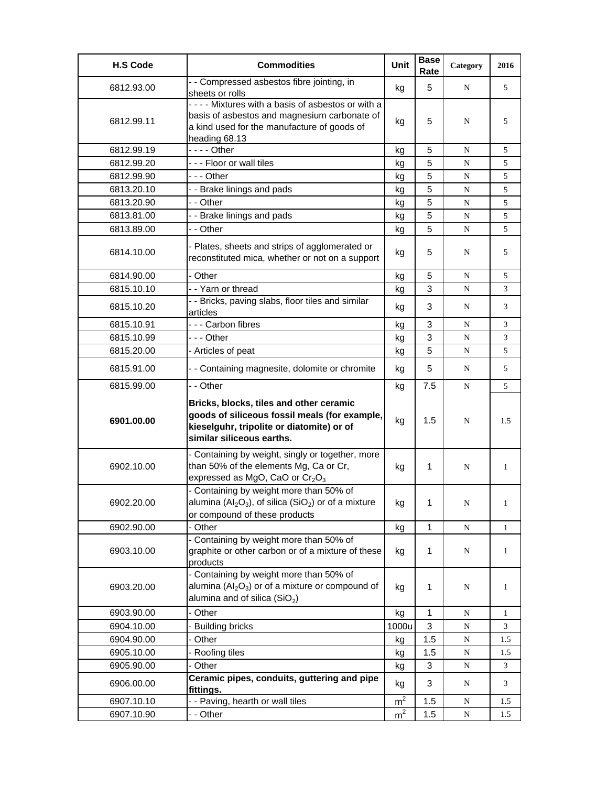| <b>H.S Code</b> | <b>Commodities</b>                                                                                                                                                 | Unit           | <b>Base</b><br>Rate | Category  | 2016         |
|-----------------|--------------------------------------------------------------------------------------------------------------------------------------------------------------------|----------------|---------------------|-----------|--------------|
| 6812.93.00      | - - Compressed asbestos fibre jointing, in<br>sheets or rolls                                                                                                      | kg             | 5                   | N         | 5            |
| 6812.99.11      | ---- Mixtures with a basis of asbestos or with a<br>basis of asbestos and magnesium carbonate of<br>a kind used for the manufacture of goods of<br>heading 68.13   | kg             | 5                   | N         | 5            |
| 6812.99.19      |                                                                                                                                                                    | kg             | 5                   | N         | 5            |
| 6812.99.20      | --- Floor or wall tiles                                                                                                                                            | kg             | 5                   | ${\bf N}$ | 5            |
| 6812.99.90      | --- Other                                                                                                                                                          | kg             | 5                   | N         | 5            |
| 6813.20.10      | - - Brake linings and pads                                                                                                                                         | kg             | 5                   | N         | 5            |
| 6813.20.90      | - - Other                                                                                                                                                          | kg             | 5                   | N         | 5            |
| 6813.81.00      | - - Brake linings and pads                                                                                                                                         | kg             | 5                   | N         | 5            |
| 6813.89.00      | - - Other                                                                                                                                                          | kg             | 5                   | N         | 5            |
| 6814.10.00      | - Plates, sheets and strips of agglomerated or<br>reconstituted mica, whether or not on a support                                                                  | kg             | 5                   | N         | 5            |
| 6814.90.00      | - Other                                                                                                                                                            | kg             | 5                   | N         | 5            |
| 6815.10.10      | - - Yarn or thread                                                                                                                                                 | kg             | 3                   | N         | 3            |
| 6815.10.20      | - - Bricks, paving slabs, floor tiles and similar<br>articles                                                                                                      | kg             | 3                   | N         | 3            |
| 6815.10.91      | --- Carbon fibres                                                                                                                                                  | kg             | 3                   | N         | 3            |
| 6815.10.99      | --- Other                                                                                                                                                          | kg             | 3                   | ${\bf N}$ | 3            |
| 6815.20.00      | - Articles of peat                                                                                                                                                 | kg             | 5                   | ${\bf N}$ | 5            |
| 6815.91.00      | - - Containing magnesite, dolomite or chromite                                                                                                                     | kg             | 5                   | N         | 5            |
| 6815.99.00      | - - Other                                                                                                                                                          | kg             | 7.5                 | N         | 5            |
| 6901.00.00      | Bricks, blocks, tiles and other ceramic<br>goods of siliceous fossil meals (for example,<br>kieselguhr, tripolite or diatomite) or of<br>similar siliceous earths. | kg             | 1.5                 | N         | 1.5          |
| 6902.10.00      | - Containing by weight, singly or together, more<br>than 50% of the elements Mg, Ca or Cr,<br>expressed as MgO, CaO or $Cr_2O_3$                                   | kg             | 1                   | N         | 1            |
| 6902.20.00      | - Containing by weight more than 50% of<br>alumina ( $Al_2O_3$ ), of silica (SiO <sub>2</sub> ) or of a mixture<br>or compound of these products                   | kg             | 1                   | N         | 1            |
| 6902.90.00      | - Other                                                                                                                                                            | kg             | 1                   | ${\bf N}$ | $\mathbf{1}$ |
| 6903.10.00      | - Containing by weight more than 50% of<br>graphite or other carbon or of a mixture of these<br>products                                                           | kg             | 1                   | ${\bf N}$ | $\mathbf{1}$ |
| 6903.20.00      | - Containing by weight more than 50% of<br>alumina $(Al2O3)$ or of a mixture or compound of<br>alumina and of silica $(SiO2)$                                      | kg             | 1                   | N         | 1            |
| 6903.90.00      | - Other                                                                                                                                                            | kg             | 1                   | ${\bf N}$ | 1            |
| 6904.10.00      | <b>Building bricks</b>                                                                                                                                             | 1000u          | 3                   | N         | 3            |
| 6904.90.00      | Other                                                                                                                                                              | kg             | 1.5                 | ${\bf N}$ | 1.5          |
| 6905.10.00      | Roofing tiles                                                                                                                                                      | kg             | 1.5                 | ${\bf N}$ | 1.5          |
| 6905.90.00      | - Other                                                                                                                                                            | kg             | 3                   | ${\bf N}$ | 3            |
| 6906.00.00      | Ceramic pipes, conduits, guttering and pipe<br>fittings.                                                                                                           | kg             | 3                   | N         | 3            |
| 6907.10.10      | - - Paving, hearth or wall tiles                                                                                                                                   | m <sup>2</sup> | 1.5                 | ${\bf N}$ | 1.5          |
| 6907.10.90      | - - Other                                                                                                                                                          | m <sup>2</sup> | 1.5                 | N         | 1.5          |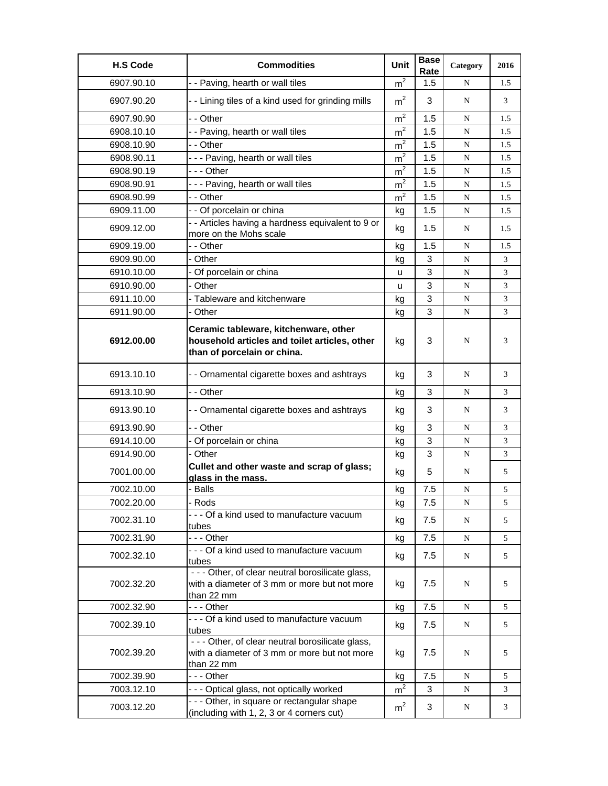| <b>H.S Code</b> | <b>Commodities</b>                                                                                                    | Unit           | <b>Base</b><br>Rate | Category  | 2016 |
|-----------------|-----------------------------------------------------------------------------------------------------------------------|----------------|---------------------|-----------|------|
| 6907.90.10      | - - Paving, hearth or wall tiles                                                                                      | m <sup>2</sup> | 1.5                 | N         | 1.5  |
| 6907.90.20      | - - Lining tiles of a kind used for grinding mills                                                                    | m <sup>2</sup> | 3                   | N         | 3    |
| 6907.90.90      | - - Other                                                                                                             | m <sup>2</sup> | 1.5                 | N         | 1.5  |
| 6908.10.10      | - - Paving, hearth or wall tiles                                                                                      | m <sup>2</sup> | 1.5                 | N         | 1.5  |
| 6908.10.90      | - - Other                                                                                                             | m <sup>2</sup> | 1.5                 | N         | 1.5  |
| 6908.90.11      | --- Paving, hearth or wall tiles                                                                                      | m <sup>2</sup> | 1.5                 | N         | 1.5  |
| 6908.90.19      | --- Other                                                                                                             | m <sup>2</sup> | 1.5                 | N         | 1.5  |
| 6908.90.91      | --- Paving, hearth or wall tiles                                                                                      | $\mathsf{m}^2$ | 1.5                 | N         | 1.5  |
| 6908.90.99      | - - Other                                                                                                             | m <sup>2</sup> | 1.5                 | N         | 1.5  |
| 6909.11.00      | - - Of porcelain or china                                                                                             | kg             | 1.5                 | ${\bf N}$ | 1.5  |
| 6909.12.00      | - - Articles having a hardness equivalent to 9 or                                                                     | kg             | 1.5                 | N         | 1.5  |
|                 | more on the Mohs scale                                                                                                |                |                     |           |      |
| 6909.19.00      | - - Other                                                                                                             | kg             | 1.5                 | N         | 1.5  |
| 6909.90.00      | - Other                                                                                                               | kg             | 3                   | ${\bf N}$ | 3    |
| 6910.10.00      | - Of porcelain or china                                                                                               | u              | 3                   | N         | 3    |
| 6910.90.00      | - Other                                                                                                               | u              | 3                   | N         | 3    |
| 6911.10.00      | - Tableware and kitchenware                                                                                           | kg             | 3                   | N         | 3    |
| 6911.90.00      | - Other                                                                                                               | kg             | 3                   | N         | 3    |
| 6912.00.00      | Ceramic tableware, kitchenware, other<br>household articles and toilet articles, other<br>than of porcelain or china. | kg             | 3                   | N         | 3    |
| 6913.10.10      | - - Ornamental cigarette boxes and ashtrays                                                                           | kg             | 3                   | N         | 3    |
| 6913.10.90      | - - Other                                                                                                             | kg             | 3                   | N         | 3    |
| 6913.90.10      | - - Ornamental cigarette boxes and ashtrays                                                                           | kg             | 3                   | N         | 3    |
| 6913.90.90      | - - Other                                                                                                             | kg             | 3                   | ${\bf N}$ | 3    |
| 6914.10.00      | - Of porcelain or china                                                                                               | kg             | 3                   | N         | 3    |
| 6914.90.00      | - Other                                                                                                               | kg             | 3                   | N         | 3    |
| 7001.00.00      | Cullet and other waste and scrap of glass;<br>glass in the mass.                                                      | kg             | 5                   | N         | 5    |
| 7002.10.00      | - Balls                                                                                                               | kg             | 7.5                 | N         | 5    |
| 7002.20.00      | - Rods                                                                                                                | kg             | 7.5                 | N         | 5    |
| 7002.31.10      | - - - Of a kind used to manufacture vacuum<br>tubes                                                                   | kg             | 7.5                 | N         | 5    |
| 7002.31.90      | -  - - Other                                                                                                          | kg             | 7.5                 | N         | 5    |
| 7002.32.10      | - - - Of a kind used to manufacture vacuum<br>tubes                                                                   | kg             | 7.5                 | N         | 5    |
| 7002.32.20      | - - - Other, of clear neutral borosilicate glass,<br>with a diameter of 3 mm or more but not more<br>than 22 mm       | kg             | 7.5                 | N         | 5    |
| 7002.32.90      | --- Other                                                                                                             | kg             | 7.5                 | N         | 5    |
| 7002.39.10      | - - - Of a kind used to manufacture vacuum<br>tubes                                                                   | kg             | 7.5                 | N         | 5    |
| 7002.39.20      | - - - Other, of clear neutral borosilicate glass,<br>with a diameter of 3 mm or more but not more<br>than 22 mm       | kg             | 7.5                 | N         | 5    |
| 7002.39.90      | --- Other                                                                                                             | kg             | 7.5                 | N         | 5    |
| 7003.12.10      | --- Optical glass, not optically worked                                                                               | m <sup>2</sup> | 3                   | N         | 3    |
| 7003.12.20      | - - - Other, in square or rectangular shape<br>(including with 1, 2, 3 or 4 corners cut)                              | m <sup>2</sup> | 3                   | N         | 3    |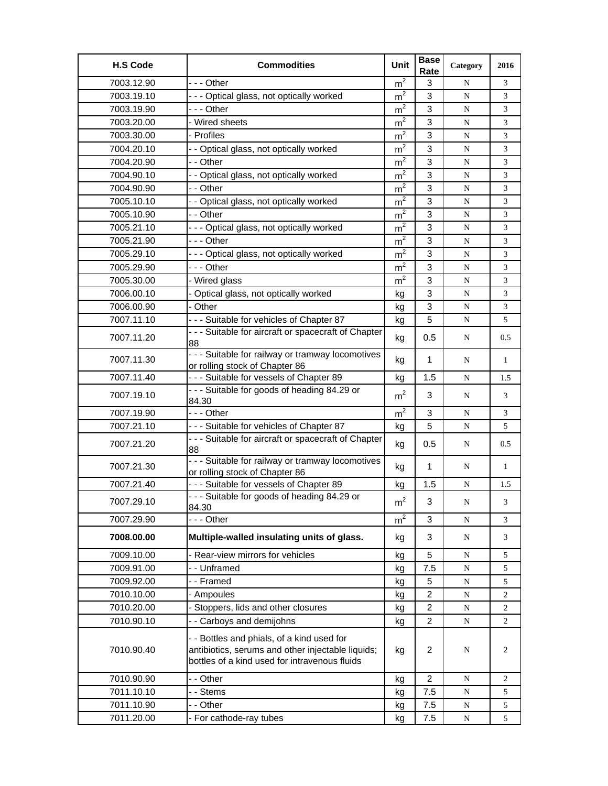| <b>H.S Code</b> | <b>Commodities</b>                                                                                                                               | Unit           | <b>Base</b><br>Rate | Category    | 2016           |
|-----------------|--------------------------------------------------------------------------------------------------------------------------------------------------|----------------|---------------------|-------------|----------------|
| 7003.12.90      | --- Other                                                                                                                                        | m <sup>2</sup> | 3                   | N           | 3              |
| 7003.19.10      | --- Optical glass, not optically worked                                                                                                          | m <sup>2</sup> | 3                   | N           | 3              |
| 7003.19.90      | - - - Other                                                                                                                                      | m <sup>2</sup> | 3                   | N           | 3              |
| 7003.20.00      | - Wired sheets                                                                                                                                   | m <sup>2</sup> | 3                   | N           | 3              |
| 7003.30.00      | - Profiles                                                                                                                                       | m <sup>2</sup> | 3                   | N           | 3              |
| 7004.20.10      | - - Optical glass, not optically worked                                                                                                          | m <sup>2</sup> | 3                   | N           | 3              |
| 7004.20.90      | - - Other                                                                                                                                        | m <sup>2</sup> | 3                   | N           | 3              |
| 7004.90.10      | - - Optical glass, not optically worked                                                                                                          | m <sup>2</sup> | 3                   | $\mathbf N$ | 3              |
| 7004.90.90      | - - Other                                                                                                                                        | m <sup>2</sup> | 3                   | N           | 3              |
| 7005.10.10      | - - Optical glass, not optically worked                                                                                                          | m <sup>2</sup> | 3                   | $\mathbf N$ | 3              |
| 7005.10.90      | - - Other                                                                                                                                        | ${\rm m}^2$    | 3                   | N           | 3              |
| 7005.21.10      | - - - Optical glass, not optically worked                                                                                                        | m <sup>2</sup> | 3                   | N           | 3              |
| 7005.21.90      | - - - Other                                                                                                                                      | m <sup>2</sup> | 3                   | $\mathbf N$ | 3              |
| 7005.29.10      | --- Optical glass, not optically worked                                                                                                          | m <sup>2</sup> | 3                   | N           | 3              |
| 7005.29.90      | - - - Other                                                                                                                                      | m <sup>2</sup> | 3                   | N           | 3              |
| 7005.30.00      | - Wired glass                                                                                                                                    | $m^2$          | 3                   | N           | 3              |
| 7006.00.10      | - Optical glass, not optically worked                                                                                                            | kg             | 3                   | N           | 3              |
| 7006.00.90      | - Other                                                                                                                                          | kg             | 3                   | N           | 3              |
| 7007.11.10      | - - - Suitable for vehicles of Chapter 87                                                                                                        | kg             | 5                   | N           | 5              |
| 7007.11.20      | - - - Suitable for aircraft or spacecraft of Chapter<br>88                                                                                       | kg             | 0.5                 | N           | 0.5            |
| 7007.11.30      | - - - Suitable for railway or tramway locomotives<br>or rolling stock of Chapter 86                                                              | kg             | 1                   | N           | 1              |
| 7007.11.40      | - - - Suitable for vessels of Chapter 89                                                                                                         | kg             | 1.5                 | ${\bf N}$   | 1.5            |
| 7007.19.10      | - - - Suitable for goods of heading 84.29 or<br>84.30                                                                                            | m <sup>2</sup> | 3                   | N           | 3              |
| 7007.19.90      | -  - - Other                                                                                                                                     | m <sup>2</sup> | 3                   | $\mathbf N$ | 3              |
| 7007.21.10      | --- Suitable for vehicles of Chapter 87                                                                                                          | kg             | 5                   | N           | 5              |
| 7007.21.20      | - - - Suitable for aircraft or spacecraft of Chapter<br>88                                                                                       | kg             | 0.5                 | N           | 0.5            |
| 7007.21.30      | - - - Suitable for railway or tramway locomotives<br>or rolling stock of Chapter 86                                                              | kg             | 1                   | N           | 1              |
| 7007.21.40      | --- Suitable for vessels of Chapter 89                                                                                                           | kg             | 1.5                 | N           | 1.5            |
| 7007.29.10      | - - - Suitable for goods of heading 84.29 or<br>84.30                                                                                            | $\rm m^2$      | 3                   | $\mathbf N$ | 3              |
| 7007.29.90      | --- Other                                                                                                                                        | m <sup>2</sup> | 3                   | N           | 3              |
| 7008.00.00      | Multiple-walled insulating units of glass.                                                                                                       | kg             | 3                   | N           | 3              |
| 7009.10.00      | - Rear-view mirrors for vehicles                                                                                                                 | kg             | 5                   | N           | 5              |
| 7009.91.00      | -- Unframed                                                                                                                                      | kg             | 7.5                 | N           | 5              |
| 7009.92.00      | --Framed                                                                                                                                         | kg             | 5                   | N           | 5              |
| 7010.10.00      | - Ampoules                                                                                                                                       | kg             | $\overline{c}$      | $\mathbf N$ | 2              |
| 7010.20.00      | - Stoppers, lids and other closures                                                                                                              | kg             | $\overline{2}$      | ${\bf N}$   | $\overline{c}$ |
| 7010.90.10      | - - Carboys and demijohns                                                                                                                        | kg             | $\overline{2}$      | N           | $\overline{2}$ |
| 7010.90.40      | - - Bottles and phials, of a kind used for<br>antibiotics, serums and other injectable liquids;<br>bottles of a kind used for intravenous fluids | kg             | $\overline{2}$      | N           | 2              |
| 7010.90.90      | - - Other                                                                                                                                        | kg             | $\overline{2}$      | N           | $\overline{2}$ |
| 7011.10.10      | - - Stems                                                                                                                                        | kg             | $7.5\,$             | ${\bf N}$   | 5              |
| 7011.10.90      | - - Other                                                                                                                                        | kg             | 7.5                 | ${\bf N}$   | 5              |
| 7011.20.00      | - For cathode-ray tubes                                                                                                                          | kg             | 7.5                 | N           | 5              |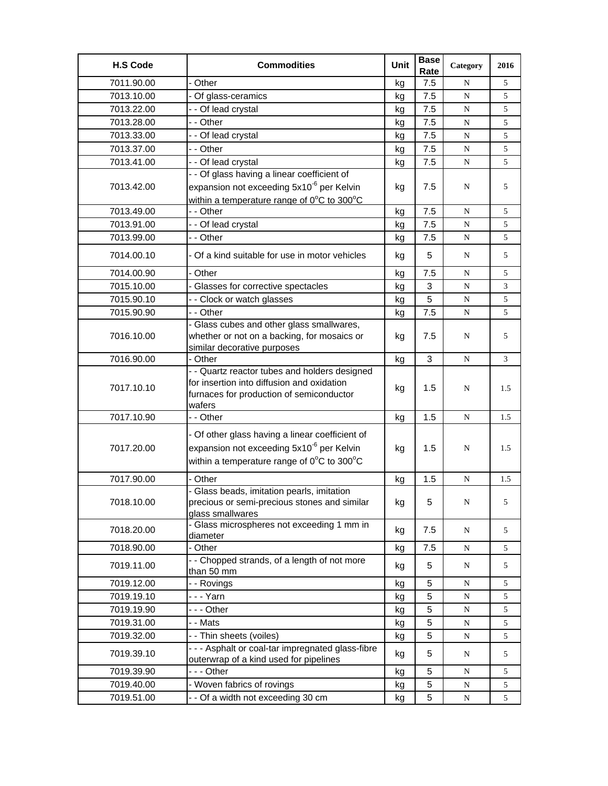| <b>H.S Code</b> | <b>Commodities</b>                                                                                                                                                          | Unit | <b>Base</b><br>Rate | Category  | 2016 |
|-----------------|-----------------------------------------------------------------------------------------------------------------------------------------------------------------------------|------|---------------------|-----------|------|
| 7011.90.00      | - Other                                                                                                                                                                     | kg   | 7.5                 | N         | 5    |
| 7013.10.00      | - Of glass-ceramics                                                                                                                                                         | kg   | 7.5                 | ${\bf N}$ | 5    |
| 7013.22.00      | - - Of lead crystal                                                                                                                                                         | kg   | 7.5                 | N         | 5    |
| 7013.28.00      | - - Other                                                                                                                                                                   | kg   | 7.5                 | ${\bf N}$ | 5    |
| 7013.33.00      | - - Of lead crystal                                                                                                                                                         | kg   | 7.5                 | N         | 5    |
| 7013.37.00      | - - Other                                                                                                                                                                   | kg   | 7.5                 | N         | 5    |
| 7013.41.00      | - - Of lead crystal                                                                                                                                                         | kg   | 7.5                 | ${\bf N}$ | 5    |
|                 | - - Of glass having a linear coefficient of                                                                                                                                 |      |                     |           |      |
| 7013.42.00      | expansion not exceeding 5x10 <sup>-6</sup> per Kelvin                                                                                                                       | kg   | 7.5                 | N         | 5    |
|                 | within a temperature range of $0^{\circ}$ C to 300 $^{\circ}$ C                                                                                                             |      |                     |           |      |
| 7013.49.00      | - - Other                                                                                                                                                                   | kg   | 7.5                 | ${\bf N}$ | 5    |
| 7013.91.00      | - - Of lead crystal                                                                                                                                                         | kg   | 7.5                 | N         | 5    |
| 7013.99.00      | - - Other                                                                                                                                                                   | kg   | 7.5                 | N         | 5    |
| 7014.00.10      | - Of a kind suitable for use in motor vehicles                                                                                                                              | kg   | 5                   | N         | 5    |
| 7014.00.90      | - Other                                                                                                                                                                     | kg   | 7.5                 | N         | 5    |
| 7015.10.00      | - Glasses for corrective spectacles                                                                                                                                         | kg   | 3                   | ${\bf N}$ | 3    |
| 7015.90.10      | - - Clock or watch glasses                                                                                                                                                  | kg   | 5                   | N         | 5    |
| 7015.90.90      | - - Other                                                                                                                                                                   | kg   | 7.5                 | ${\bf N}$ | 5    |
| 7016.10.00      | - Glass cubes and other glass smallwares,<br>whether or not on a backing, for mosaics or                                                                                    | kg   | 7.5                 | N         | 5    |
|                 | similar decorative purposes                                                                                                                                                 |      |                     |           |      |
| 7016.90.00      | - Other                                                                                                                                                                     | kg   | $\mathbf{3}$        | ${\bf N}$ | 3    |
| 7017.10.10      | - - Quartz reactor tubes and holders designed<br>for insertion into diffusion and oxidation<br>furnaces for production of semiconductor<br>wafers                           | kg   | 1.5                 | N         | 1.5  |
| 7017.10.90      | - - Other                                                                                                                                                                   | kg   | 1.5                 | N         | 1.5  |
| 7017.20.00      | - Of other glass having a linear coefficient of<br>expansion not exceeding 5x10 <sup>-6</sup> per Kelvin<br>within a temperature range of $0^{\circ}$ C to 300 $^{\circ}$ C | kg   | 1.5                 | N         | 1.5  |
| 7017.90.00      | - Other                                                                                                                                                                     | kg   | 1.5                 | ${\bf N}$ | 1.5  |
| 7018.10.00      | - Glass beads, imitation pearls, imitation<br>precious or semi-precious stones and similar<br>glass smallwares                                                              | kg   | 5                   | N         | 5    |
| 7018.20.00      | - Glass microspheres not exceeding 1 mm in<br>diameter                                                                                                                      | kg   | 7.5                 | N         | 5    |
| 7018.90.00      | - Other                                                                                                                                                                     | kg   | 7.5                 | N         | 5    |
| 7019.11.00      | - - Chopped strands, of a length of not more<br>than 50 mm                                                                                                                  | kg   | 5                   | N         | 5    |
| 7019.12.00      | - - Rovings                                                                                                                                                                 | kg   | 5                   | ${\bf N}$ | 5    |
| 7019.19.10      | -  -  -  Yarn                                                                                                                                                               | kg   | 5                   | N         | 5    |
| 7019.19.90      | - - - Other                                                                                                                                                                 | kg   | 5                   | ${\bf N}$ | 5    |
| 7019.31.00      | - - Mats                                                                                                                                                                    | kg   | 5                   | ${\bf N}$ | 5    |
| 7019.32.00      | - - Thin sheets (voiles)                                                                                                                                                    | kg   | 5                   | ${\bf N}$ | 5    |
| 7019.39.10      | - - - Asphalt or coal-tar impregnated glass-fibre<br>outerwrap of a kind used for pipelines                                                                                 | kg   | 5                   | N         | 5    |
| 7019.39.90      | --- Other                                                                                                                                                                   | kg   | 5                   | N         | 5    |
| 7019.40.00      | - Woven fabrics of rovings                                                                                                                                                  | kg   | 5                   | ${\bf N}$ | 5    |
| 7019.51.00      | - - Of a width not exceeding 30 cm                                                                                                                                          | kg   | 5                   | N         | 5    |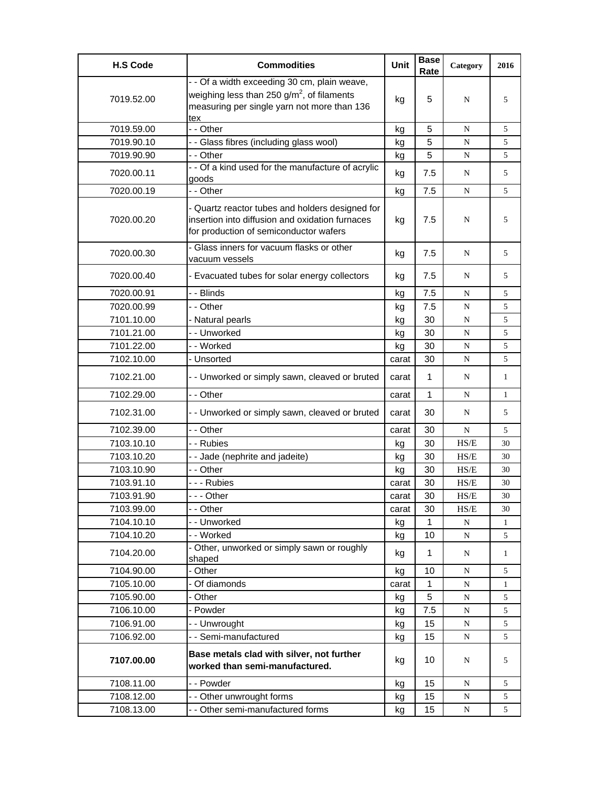| <b>H.S Code</b> | <b>Commodities</b>                                                                                                                           | Unit  | <b>Base</b><br>Rate | Category                                                                | 2016         |
|-----------------|----------------------------------------------------------------------------------------------------------------------------------------------|-------|---------------------|-------------------------------------------------------------------------|--------------|
|                 | - - Of a width exceeding 30 cm, plain weave,                                                                                                 |       |                     |                                                                         |              |
| 7019.52.00      | weighing less than 250 g/m <sup>2</sup> , of filaments<br>measuring per single yarn not more than 136                                        | kg    | 5                   | N                                                                       | 5            |
| 7019.59.00      | tex<br>- Other                                                                                                                               | kg    | 5                   | N                                                                       | 5            |
| 7019.90.10      | - - Glass fibres (including glass wool)                                                                                                      | kg    | 5                   | ${\bf N}$                                                               | 5            |
| 7019.90.90      | - - Other                                                                                                                                    | kg    | 5                   | N                                                                       | 5            |
| 7020.00.11      | - - Of a kind used for the manufacture of acrylic<br>goods                                                                                   | kg    | 7.5                 | N                                                                       | 5            |
| 7020.00.19      | - - Other                                                                                                                                    | kg    | 7.5                 | N                                                                       | 5            |
| 7020.00.20      | - Quartz reactor tubes and holders designed for<br>insertion into diffusion and oxidation furnaces<br>for production of semiconductor wafers | kg    | 7.5                 | N                                                                       | 5            |
| 7020.00.30      | - Glass inners for vacuum flasks or other<br>vacuum vessels                                                                                  | kg    | 7.5                 | N                                                                       | 5            |
| 7020.00.40      | - Evacuated tubes for solar energy collectors                                                                                                | kg    | 7.5                 | N                                                                       | 5            |
| 7020.00.91      | - - Blinds                                                                                                                                   | kg    | 7.5                 | ${\bf N}$                                                               | 5            |
| 7020.00.99      | - - Other                                                                                                                                    | kg    | 7.5                 | N                                                                       | 5            |
| 7101.10.00      | - Natural pearls                                                                                                                             | kg    | 30                  | N                                                                       | 5            |
| 7101.21.00      | - - Unworked                                                                                                                                 | kg    | 30                  | ${\bf N}$                                                               | 5            |
| 7101.22.00      | -- Worked                                                                                                                                    | kg    | 30                  | ${\bf N}$                                                               | 5            |
| 7102.10.00      | - Unsorted                                                                                                                                   | carat | 30                  | N                                                                       | 5            |
| 7102.21.00      | - - Unworked or simply sawn, cleaved or bruted                                                                                               | carat | 1                   | N                                                                       | $\mathbf{1}$ |
| 7102.29.00      | - - Other                                                                                                                                    | carat | 1                   | N                                                                       | $\mathbf{1}$ |
| 7102.31.00      | - - Unworked or simply sawn, cleaved or bruted                                                                                               | carat | 30                  | N                                                                       | 5            |
| 7102.39.00      | - - Other                                                                                                                                    | carat | 30                  | N                                                                       | 5            |
| 7103.10.10      | - - Rubies                                                                                                                                   | kg    | 30                  | HS/E                                                                    | 30           |
| 7103.10.20      | - - Jade (nephrite and jadeite)                                                                                                              | kg    | 30                  | HS/E                                                                    | 30           |
| 7103.10.90      | - - Other                                                                                                                                    | kg    | 30                  | HS/E                                                                    | 30           |
| 7103.91.10      | - - - Rubies                                                                                                                                 | carat | 30                  | HS/E                                                                    | 30           |
| 7103.91.90      | --- Other                                                                                                                                    | carat | 30                  | HS/E                                                                    | 30           |
| 7103.99.00      | - - Other                                                                                                                                    | carat | 30                  | $\ensuremath{\mathbf{H}}\ensuremath{\mathbf{S}}\ensuremath{\mathbf{E}}$ | 30           |
| 7104.10.10      | - - Unworked                                                                                                                                 | kg    | $\mathbf{1}$        | N                                                                       | 1            |
| 7104.10.20      | -- Worked<br>- Other, unworked or simply sawn or roughly                                                                                     | kg    | 10                  | ${\bf N}$                                                               | 5            |
| 7104.20.00      | shaped                                                                                                                                       | kg    | 1                   | N                                                                       | $\mathbf{1}$ |
| 7104.90.00      | - Other                                                                                                                                      | kg    | 10                  | N                                                                       | 5            |
| 7105.10.00      | Of diamonds                                                                                                                                  | carat | $\mathbf{1}$        | ${\bf N}$                                                               | 1            |
| 7105.90.00      | - Other                                                                                                                                      | kg    | 5                   | N                                                                       | 5            |
| 7106.10.00      | - Powder                                                                                                                                     | kg    | 7.5                 | ${\bf N}$                                                               | 5            |
| 7106.91.00      | - - Unwrought                                                                                                                                | kg    | 15                  | N                                                                       | 5            |
| 7106.92.00      | -- Semi-manufactured                                                                                                                         | kg    | 15                  | ${\bf N}$                                                               | 5            |
| 7107.00.00      | Base metals clad with silver, not further<br>worked than semi-manufactured.                                                                  | kg    | 10                  | N                                                                       | 5            |
| 7108.11.00      | - - Powder                                                                                                                                   | kg    | 15                  | N                                                                       | 5            |
| 7108.12.00      | - - Other unwrought forms                                                                                                                    | kg    | 15                  | N                                                                       | 5            |
| 7108.13.00      | - - Other semi-manufactured forms                                                                                                            | kg    | 15                  | N                                                                       | 5            |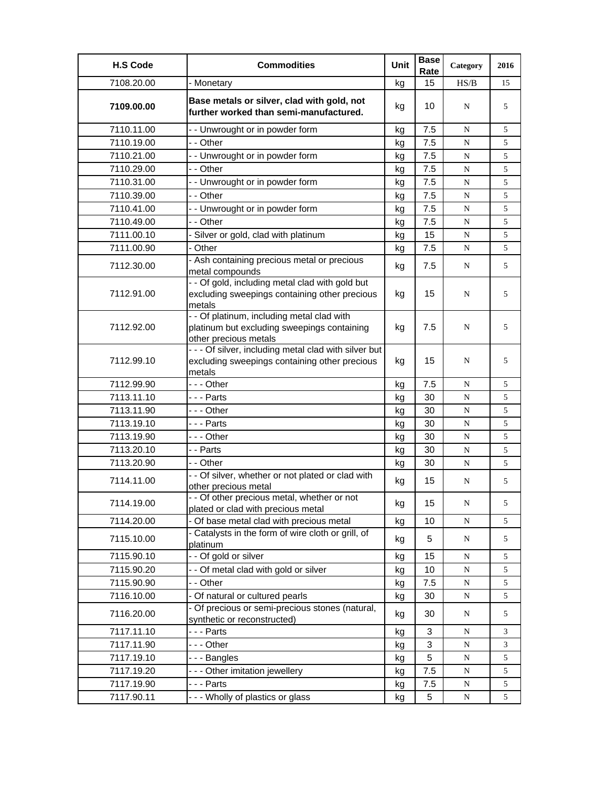| <b>H.S Code</b> | <b>Commodities</b>                                                                                                 | Unit | <b>Base</b><br>Rate | Category  | 2016 |
|-----------------|--------------------------------------------------------------------------------------------------------------------|------|---------------------|-----------|------|
| 7108.20.00      | - Monetary                                                                                                         | kg   | 15                  | HS/B      | 15   |
| 7109.00.00      | Base metals or silver, clad with gold, not<br>further worked than semi-manufactured.                               | kg   | 10                  | N         | 5    |
| 7110.11.00      | - - Unwrought or in powder form                                                                                    | kg   | 7.5                 | N         | 5    |
| 7110.19.00      | - - Other                                                                                                          | kg   | 7.5                 | N         | 5    |
| 7110.21.00      | - - Unwrought or in powder form                                                                                    | kg   | 7.5                 | N         | 5    |
| 7110.29.00      | - - Other                                                                                                          | kg   | 7.5                 | N         | 5    |
| 7110.31.00      | - - Unwrought or in powder form                                                                                    | kg   | 7.5                 | N         | 5    |
| 7110.39.00      | - - Other                                                                                                          | kg   | 7.5                 | N         | 5    |
| 7110.41.00      | - - Unwrought or in powder form                                                                                    | kg   | 7.5                 | N         | 5    |
| 7110.49.00      | - - Other                                                                                                          | kg   | 7.5                 | ${\bf N}$ | 5    |
| 7111.00.10      | Silver or gold, clad with platinum                                                                                 | kg   | 15                  | N         | 5    |
| 7111.00.90      | - Other                                                                                                            | kg   | 7.5                 | N         | 5    |
| 7112.30.00      | - Ash containing precious metal or precious<br>metal compounds                                                     | kg   | 7.5                 | N         | 5    |
| 7112.91.00      | - - Of gold, including metal clad with gold but<br>excluding sweepings containing other precious<br>metals         | kg   | 15                  | N         | 5    |
| 7112.92.00      | - - Of platinum, including metal clad with<br>platinum but excluding sweepings containing<br>other precious metals | kg   | 7.5                 | N         | 5    |
| 7112.99.10      | - - - Of silver, including metal clad with silver but<br>excluding sweepings containing other precious<br>metals   | kg   | 15                  | N         | 5    |
| 7112.99.90      | --- Other                                                                                                          | kg   | 7.5                 | N         | 5    |
| 7113.11.10      | - - - Parts                                                                                                        | kg   | 30                  | N         | 5    |
| 7113.11.90      | --- Other                                                                                                          | kg   | 30                  | N         | 5    |
| 7113.19.10      | - - - Parts                                                                                                        | kg   | 30                  | N         | 5    |
| 7113.19.90      | - - - Other                                                                                                        | kg   | 30                  | N         | 5    |
| 7113.20.10      | - - Parts                                                                                                          | kg   | 30                  | N         | 5    |
| 7113.20.90      | - - Other                                                                                                          | kg   | 30                  | N         | 5    |
| 7114.11.00      | - - Of silver, whether or not plated or clad with<br>other precious metal                                          | kg   | 15                  | N         | 5    |
| 7114.19.00      | - - Of other precious metal, whether or not<br>plated or clad with precious metal                                  | kg   | 15                  | ${\bf N}$ | 5    |
| 7114.20.00      | - Of base metal clad with precious metal                                                                           | kg   | 10                  | ${\bf N}$ | 5    |
| 7115.10.00      | - Catalysts in the form of wire cloth or grill, of<br>platinum                                                     | kg   | 5                   | N         | 5    |
| 7115.90.10      | - - Of gold or silver                                                                                              | kg   | 15                  | N         | 5    |
| 7115.90.20      | - - Of metal clad with gold or silver                                                                              | kg   | 10                  | N         | 5    |
| 7115.90.90      | - - Other                                                                                                          | kg   | 7.5                 | ${\bf N}$ | 5    |
| 7116.10.00      | - Of natural or cultured pearls                                                                                    | kg   | 30                  | N         | 5    |
| 7116.20.00      | - Of precious or semi-precious stones (natural,<br>synthetic or reconstructed)                                     | kg   | 30                  | N         | 5    |
| 7117.11.10      | - - - Parts                                                                                                        | kg   | 3                   | N         | 3    |
| 7117.11.90      | --- Other                                                                                                          | kg   | $\mathbf{3}$        | N         | 3    |
| 7117.19.10      | --- Bangles                                                                                                        | kg   | 5                   | ${\bf N}$ | 5    |
| 7117.19.20      | - - - Other imitation jewellery                                                                                    | kg   | 7.5                 | N         | 5    |
| 7117.19.90      | --- Parts                                                                                                          | kg   | 7.5                 | ${\bf N}$ | 5    |
| 7117.90.11      | --- Wholly of plastics or glass                                                                                    | kg   | 5                   | ${\bf N}$ | 5    |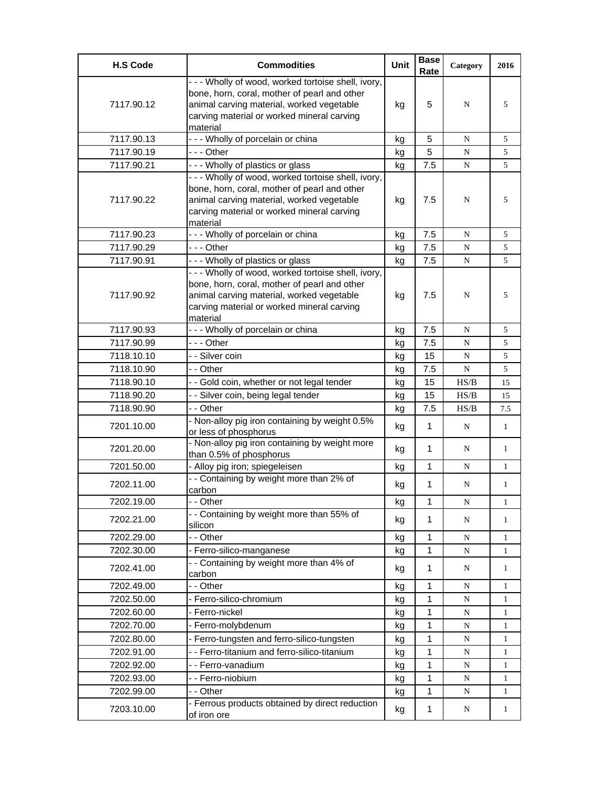| <b>H.S Code</b> | <b>Commodities</b>                                                                                                                                                                                         | Unit | <b>Base</b><br>Rate | Category  | 2016         |
|-----------------|------------------------------------------------------------------------------------------------------------------------------------------------------------------------------------------------------------|------|---------------------|-----------|--------------|
| 7117.90.12      | - - - Wholly of wood, worked tortoise shell, ivory,<br>bone, horn, coral, mother of pearl and other<br>animal carving material, worked vegetable<br>carving material or worked mineral carving<br>material | kg   | 5                   | N         | 5            |
| 7117.90.13      | --- Wholly of porcelain or china                                                                                                                                                                           | kg   | 5                   | N         | 5            |
| 7117.90.19      | --- Other                                                                                                                                                                                                  | kg   | 5                   | N         | 5            |
| 7117.90.21      | --- Wholly of plastics or glass                                                                                                                                                                            | kg   | 7.5                 | N         | 5            |
| 7117.90.22      | --- Wholly of wood, worked tortoise shell, ivory,<br>bone, horn, coral, mother of pearl and other<br>animal carving material, worked vegetable<br>carving material or worked mineral carving<br>material   | kg   | 7.5                 | N         | 5            |
| 7117.90.23      | - - - Wholly of porcelain or china                                                                                                                                                                         | kg   | 7.5                 | N         | 5            |
| 7117.90.29      | --- Other                                                                                                                                                                                                  | kg   | 7.5                 | N         | 5            |
| 7117.90.91      | --- Wholly of plastics or glass                                                                                                                                                                            | kg   | 7.5                 | N         | 5            |
| 7117.90.92      | - - - Wholly of wood, worked tortoise shell, ivory,<br>bone, horn, coral, mother of pearl and other<br>animal carving material, worked vegetable<br>carving material or worked mineral carving<br>material | kg   | 7.5                 | N         | 5            |
| 7117.90.93      | --- Wholly of porcelain or china                                                                                                                                                                           | kg   | 7.5                 | N         | 5            |
| 7117.90.99      | --- Other                                                                                                                                                                                                  | kg   | 7.5                 | N         | 5            |
| 7118.10.10      | - - Silver coin                                                                                                                                                                                            | kg   | 15                  | N         | 5            |
| 7118.10.90      | - - Other                                                                                                                                                                                                  | kg   | 7.5                 | N         | 5            |
| 7118.90.10      | - - Gold coin, whether or not legal tender                                                                                                                                                                 | kq   | 15                  | HS/B      | 15           |
| 7118.90.20      | - - Silver coin, being legal tender                                                                                                                                                                        | kg   | 15                  | HS/B      | 15           |
| 7118.90.90      | - - Other                                                                                                                                                                                                  | kg   | 7.5                 | HS/B      | 7.5          |
| 7201.10.00      | - Non-alloy pig iron containing by weight 0.5%<br>or less of phosphorus                                                                                                                                    | kg   | 1                   | N         | 1            |
| 7201.20.00      | - Non-alloy pig iron containing by weight more<br>than 0.5% of phosphorus                                                                                                                                  | kg   | 1                   | N         | 1            |
| 7201.50.00      | - Alloy pig iron; spiegeleisen                                                                                                                                                                             | kg   | 1                   | N         | 1            |
| 7202.11.00      | - - Containing by weight more than 2% of<br>carbon                                                                                                                                                         | kg   | 1                   | N         | 1            |
| 7202.19.00      | - - Other                                                                                                                                                                                                  | kg   | 1                   | N         | 1            |
| 7202.21.00      | - - Containing by weight more than 55% of<br>silicon                                                                                                                                                       | kg   | 1                   | N         | 1            |
| 7202.29.00      | - - Other                                                                                                                                                                                                  | kg   | 1                   | ${\bf N}$ | 1            |
| 7202.30.00      | - Ferro-silico-manganese                                                                                                                                                                                   | kg   | 1                   | ${\bf N}$ | 1            |
| 7202.41.00      | - - Containing by weight more than 4% of<br>carbon                                                                                                                                                         | kg   | 1                   | N         | 1            |
| 7202.49.00      | - - Other                                                                                                                                                                                                  | kg   | 1                   | N         | 1            |
| 7202.50.00      | - Ferro-silico-chromium                                                                                                                                                                                    | kg   | 1                   | ${\bf N}$ | 1            |
| 7202.60.00      | - Ferro-nickel                                                                                                                                                                                             | kg   | 1                   | ${\bf N}$ | $\mathbf{1}$ |
| 7202.70.00      | - Ferro-molybdenum                                                                                                                                                                                         | kg   | 1                   | ${\bf N}$ | 1            |
| 7202.80.00      | - Ferro-tungsten and ferro-silico-tungsten                                                                                                                                                                 | kg   | 1                   | N         | 1            |
| 7202.91.00      | - - Ferro-titanium and ferro-silico-titanium                                                                                                                                                               | kg   | 1                   | ${\bf N}$ | 1            |
| 7202.92.00      | - - Ferro-vanadium                                                                                                                                                                                         | kg   | 1                   | N         | 1            |
| 7202.93.00      | - - Ferro-niobium                                                                                                                                                                                          | kg   | 1                   | N         | $\mathbf{1}$ |
| 7202.99.00      | - - Other                                                                                                                                                                                                  | kg   | 1                   | ${\bf N}$ | 1            |
| 7203.10.00      | - Ferrous products obtained by direct reduction<br>of iron ore                                                                                                                                             | kg   | 1                   | N         | $\mathbf{1}$ |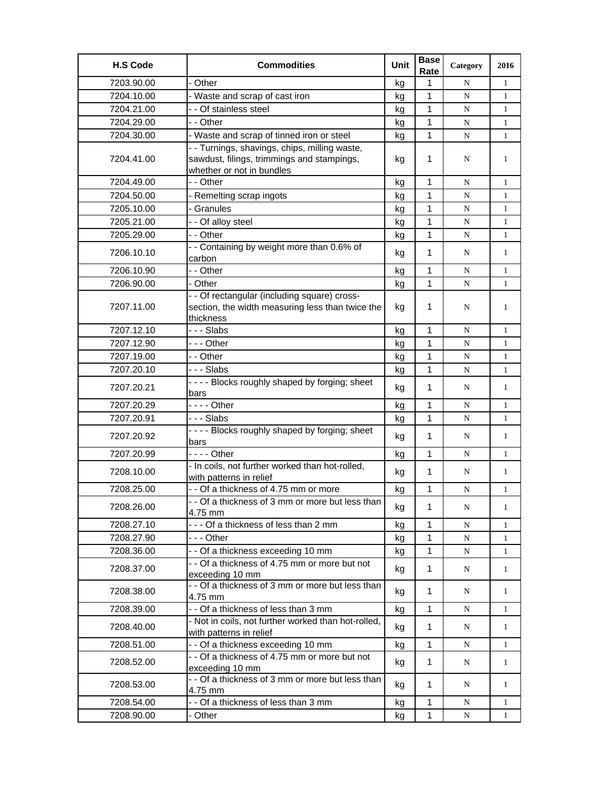| <b>H.S Code</b> | <b>Commodities</b>                                                                                                       | Unit | <b>Base</b><br>Rate | Category  | 2016         |
|-----------------|--------------------------------------------------------------------------------------------------------------------------|------|---------------------|-----------|--------------|
| 7203.90.00      | - Other                                                                                                                  | kg   | 1                   | N         | $\mathbf{1}$ |
| 7204.10.00      | - Waste and scrap of cast iron                                                                                           | kg   | 1                   | N         | 1            |
| 7204.21.00      | - - Of stainless steel                                                                                                   | kg   | 1                   | N         | $\mathbf{1}$ |
| 7204.29.00      | - - Other                                                                                                                | kg   | 1                   | N         | $\mathbf{1}$ |
| 7204.30.00      | - Waste and scrap of tinned iron or steel                                                                                | kq   | $\mathbf{1}$        | N         | $\mathbf{1}$ |
| 7204.41.00      | - - Turnings, shavings, chips, milling waste,<br>sawdust, filings, trimmings and stampings,<br>whether or not in bundles | kg   | 1                   | N         | 1            |
| 7204.49.00      | - - Other                                                                                                                | kg   | 1                   | N         | $\mathbf{1}$ |
| 7204.50.00      | - Remelting scrap ingots                                                                                                 | kg   | 1                   | N         | $\mathbf{1}$ |
| 7205.10.00      | - Granules                                                                                                               | kg   | $\mathbf{1}$        | N         | $\mathbf{1}$ |
| 7205.21.00      | - - Of alloy steel                                                                                                       | kg   | 1                   | ${\bf N}$ | $\mathbf{1}$ |
| 7205.29.00      | - - Other                                                                                                                | kg   | 1                   | N         | 1            |
| 7206.10.10      | - - Containing by weight more than 0.6% of<br>carbon                                                                     | kg   | 1                   | N         | 1            |
| 7206.10.90      | - - Other                                                                                                                | kg   | 1                   | N         | $\mathbf{1}$ |
| 7206.90.00      | - Other                                                                                                                  | kg   | 1                   | N         | $\mathbf{1}$ |
| 7207.11.00      | - - Of rectangular (including square) cross-<br>section, the width measuring less than twice the<br>thickness            | kg   | 1                   | N         | 1            |
| 7207.12.10      | - - - Slabs                                                                                                              | kg   | 1                   | N         | 1            |
| 7207.12.90      | -  - - Other                                                                                                             | kg   | 1                   | N         | $\mathbf{1}$ |
| 7207.19.00      | - - Other                                                                                                                | kg   | 1                   | ${\bf N}$ | $\mathbf{1}$ |
| 7207.20.10      | - - - Slabs                                                                                                              | kg   | 1                   | N         | $\mathbf{1}$ |
| 7207.20.21      | ---- Blocks roughly shaped by forging; sheet<br>bars                                                                     | kg   | 1                   | N         | $\mathbf{1}$ |
| 7207.20.29      | - - - - Other                                                                                                            | kg   | 1                   | N         | $\mathbf{1}$ |
| 7207.20.91      | - - - Slabs                                                                                                              | kg   | 1                   | ${\bf N}$ | $\mathbf{1}$ |
| 7207.20.92      | ---- Blocks roughly shaped by forging; sheet<br>bars                                                                     | kg   | 1                   | N         | $\mathbf{1}$ |
| 7207.20.99      |                                                                                                                          | kg   | 1                   | N         | 1            |
| 7208.10.00      | - In coils, not further worked than hot-rolled,<br>with patterns in relief                                               | kg   | $\mathbf 1$         | N         | 1            |
| 7208.25.00      | - - Of a thickness of 4.75 mm or more                                                                                    | kg   | 1                   | N         | 1            |
| 7208.26.00      | - - Of a thickness of 3 mm or more but less than<br>4.75 mm                                                              | kg   | 1                   | N         | 1            |
| 7208.27.10      | --- Of a thickness of less than 2 mm                                                                                     | kg   | 1                   | N         | 1            |
| 7208.27.90      |                                                                                                                          | kg   | 1                   | N         | $\mathbf{1}$ |
| 7208.36.00      | - - Of a thickness exceeding 10 mm                                                                                       | kg   | $\mathbf{1}$        | N         | $\mathbf{1}$ |
| 7208.37.00      | - - Of a thickness of 4.75 mm or more but not<br>exceeding 10 mm                                                         | kg   | 1                   | N         | $\mathbf{1}$ |
| 7208.38.00      | - - Of a thickness of 3 mm or more but less than<br>4.75 mm                                                              | kg   | $\mathbf{1}$        | N         | $\mathbf{1}$ |
| 7208.39.00      | - - Of a thickness of less than 3 mm                                                                                     | kg   | $\mathbf 1$         | N         | $\mathbf{1}$ |
| 7208.40.00      | - Not in coils, not further worked than hot-rolled,<br>with patterns in relief                                           | kg   | 1                   | N         | $\mathbf{1}$ |
| 7208.51.00      | - - Of a thickness exceeding 10 mm                                                                                       | kg   | 1                   | N         | $\mathbf{1}$ |
| 7208.52.00      | - - Of a thickness of 4.75 mm or more but not<br>exceeding 10 mm                                                         | kg   | $\mathbf{1}$        | N         | $\mathbf{1}$ |
| 7208.53.00      | - - Of a thickness of 3 mm or more but less than<br>4.75 mm                                                              | kg   | 1                   | N         | $\mathbf{1}$ |
| 7208.54.00      | - - Of a thickness of less than 3 mm                                                                                     | kg   | $\mathbf{1}$        | N         | 1            |
| 7208.90.00      | - Other                                                                                                                  | kg   | 1                   | N         | $\mathbf{1}$ |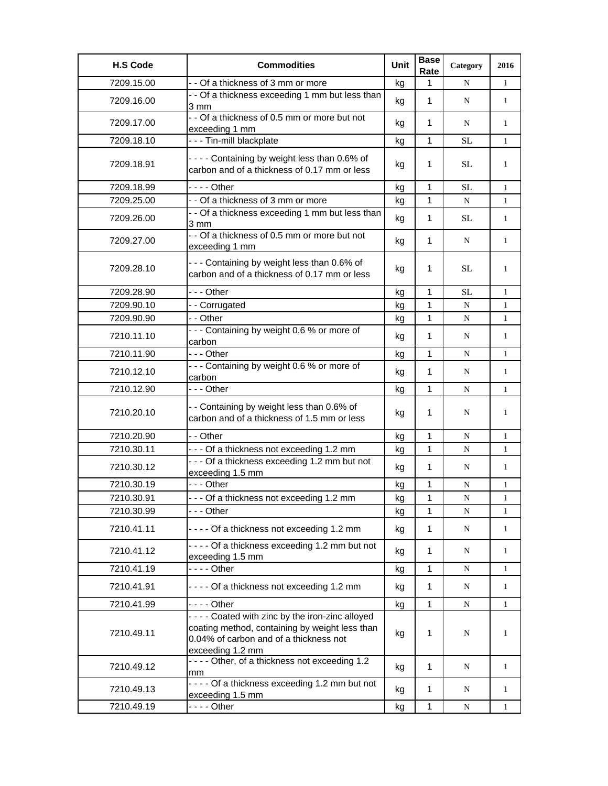| <b>H.S Code</b> | <b>Commodities</b>                                                                                                                                                | Unit | <b>Base</b><br>Rate | Category    | 2016         |
|-----------------|-------------------------------------------------------------------------------------------------------------------------------------------------------------------|------|---------------------|-------------|--------------|
| 7209.15.00      | - - Of a thickness of 3 mm or more                                                                                                                                | kg   | 1                   | N           | $\mathbf{1}$ |
| 7209.16.00      | - - Of a thickness exceeding 1 mm but less than<br>3 mm                                                                                                           | kg   | 1                   | N           | $\mathbf{1}$ |
| 7209.17.00      | - - Of a thickness of 0.5 mm or more but not<br>exceeding 1 mm                                                                                                    | kg   | $\mathbf 1$         | N           | $\mathbf{1}$ |
| 7209.18.10      | --- Tin-mill blackplate                                                                                                                                           | kg   | $\mathbf{1}$        | <b>SL</b>   | $\mathbf{1}$ |
| 7209.18.91      | ---- Containing by weight less than 0.6% of<br>carbon and of a thickness of 0.17 mm or less                                                                       | kg   | 1                   | <b>SL</b>   | 1            |
| 7209.18.99      | $--$ Other                                                                                                                                                        | kg   | 1                   | <b>SL</b>   | $\mathbf{1}$ |
| 7209.25.00      | - - Of a thickness of 3 mm or more                                                                                                                                | kg   | 1                   | N           | $\mathbf{1}$ |
| 7209.26.00      | - - Of a thickness exceeding 1 mm but less than<br>3 mm                                                                                                           | kg   | $\mathbf 1$         | <b>SL</b>   | $\mathbf{1}$ |
| 7209.27.00      | - - Of a thickness of 0.5 mm or more but not<br>exceeding 1 mm                                                                                                    | kg   | 1                   | N           | $\mathbf{1}$ |
| 7209.28.10      | --- Containing by weight less than 0.6% of<br>carbon and of a thickness of 0.17 mm or less                                                                        | kg   | 1                   | SL.         | 1            |
| 7209.28.90      | - - - Other                                                                                                                                                       | kg   | 1                   | SL          | 1            |
| 7209.90.10      | -- Corrugated                                                                                                                                                     | kg   | 1                   | N           | $\mathbf{1}$ |
| 7209.90.90      | - - Other                                                                                                                                                         | kg   | 1                   | ${\bf N}$   | $\mathbf{1}$ |
| 7210.11.10      | --- Containing by weight 0.6 % or more of<br>carbon                                                                                                               | kg   | 1                   | N           | $\mathbf{1}$ |
| 7210.11.90      | - - - Other                                                                                                                                                       | kg   | 1                   | N           | $\mathbf{1}$ |
| 7210.12.10      | --- Containing by weight 0.6 % or more of<br>carbon                                                                                                               | kg   | 1                   | N           | $\mathbf{1}$ |
| 7210.12.90      | - - - Other                                                                                                                                                       | kg   | 1                   | N           | $\mathbf{1}$ |
| 7210.20.10      | - - Containing by weight less than 0.6% of<br>carbon and of a thickness of 1.5 mm or less                                                                         | kg   | 1                   | N           | 1            |
| 7210.20.90      | - - Other                                                                                                                                                         | kg   | 1                   | N           | 1            |
| 7210.30.11      | - - - Of a thickness not exceeding 1.2 mm                                                                                                                         | kg   | 1                   | N           | $\mathbf{1}$ |
| 7210.30.12      | - - - Of a thickness exceeding 1.2 mm but not<br>exceeding 1.5 mm                                                                                                 | kg   | 1                   | N           | 1            |
| 7210.30.19      | - - - Other                                                                                                                                                       | kg   | 1                   | N           | $\mathbf{1}$ |
| 7210.30.91      | - - - Of a thickness not exceeding 1.2 mm                                                                                                                         | kg   | $\mathbf 1$         | N           | $\mathbf{1}$ |
| 7210.30.99      | - - - Other                                                                                                                                                       | kg   | 1                   | N           | $\mathbf{1}$ |
| 7210.41.11      | - - - - Of a thickness not exceeding 1.2 mm                                                                                                                       | kg   | $\mathbf 1$         | N           | $\mathbf{1}$ |
| 7210.41.12      | - - - - Of a thickness exceeding 1.2 mm but not<br>exceeding 1.5 mm                                                                                               | kg   | 1                   | N           | $\mathbf{1}$ |
| 7210.41.19      | $--$ Other                                                                                                                                                        | kg   | 1                   | N           | $\mathbf{1}$ |
| 7210.41.91      | ---- Of a thickness not exceeding 1.2 mm                                                                                                                          | kg   | 1                   | N           | $\mathbf{1}$ |
| 7210.41.99      |                                                                                                                                                                   | kg   | 1                   | $\mathbf N$ | 1            |
| 7210.49.11      | - - - - Coated with zinc by the iron-zinc alloyed<br>coating method, containing by weight less than<br>0.04% of carbon and of a thickness not<br>exceeding 1.2 mm | kg   | 1                   | N           | 1            |
| 7210.49.12      | ---- Other, of a thickness not exceeding 1.2<br>mm                                                                                                                | kg   | 1                   | N           | $\mathbf{1}$ |
| 7210.49.13      | ---- Of a thickness exceeding 1.2 mm but not<br>exceeding 1.5 mm                                                                                                  | kg   | $\mathbf{1}$        | N           | $\mathbf{1}$ |
| 7210.49.19      | - - - - Other                                                                                                                                                     | kg   | $\mathbf{1}$        | ${\bf N}$   | $\mathbf{1}$ |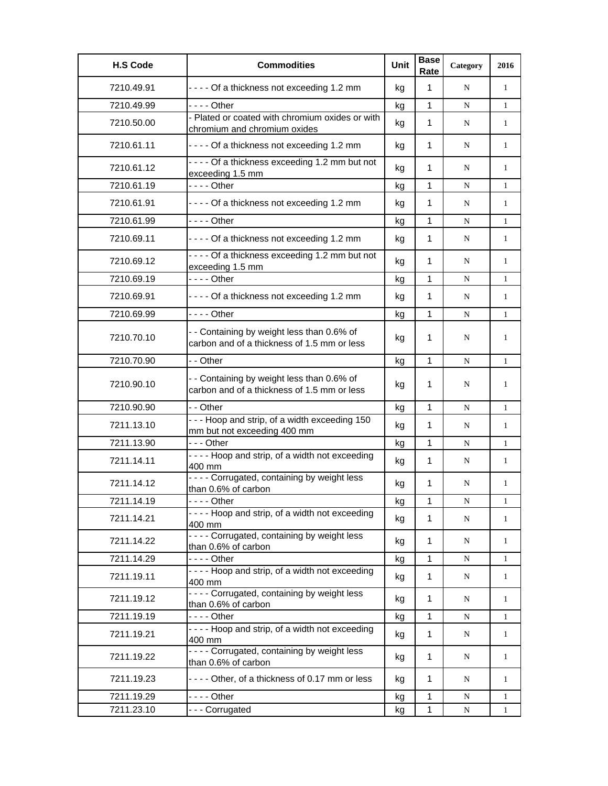| <b>H.S Code</b> | <b>Commodities</b>                                                                        | <b>Unit</b> | <b>Base</b><br>Rate | Category    | 2016         |
|-----------------|-------------------------------------------------------------------------------------------|-------------|---------------------|-------------|--------------|
| 7210.49.91      | ---- Of a thickness not exceeding 1.2 mm                                                  | kg          | $\mathbf{1}$        | N           | $\mathbf{1}$ |
| 7210.49.99      | $--$ Other                                                                                | kg          | $\mathbf{1}$        | N           | $\mathbf{1}$ |
| 7210.50.00      | - Plated or coated with chromium oxides or with<br>chromium and chromium oxides           | kg          | 1                   | N           | $\mathbf{1}$ |
| 7210.61.11      | - - - - Of a thickness not exceeding 1.2 mm                                               | kg          | 1                   | N           | $\mathbf{1}$ |
| 7210.61.12      | - - - - Of a thickness exceeding 1.2 mm but not<br>exceeding 1.5 mm                       | kg          | 1                   | N           | $\mathbf{1}$ |
| 7210.61.19      | $--$ Other                                                                                | kg          | 1                   | N           | $\mathbf{1}$ |
| 7210.61.91      | ---- Of a thickness not exceeding 1.2 mm                                                  | kg          | 1                   | N           | 1            |
| 7210.61.99      | $--$ Other                                                                                | kg          | $\mathbf{1}$        | N           | $\mathbf{1}$ |
| 7210.69.11      | ---- Of a thickness not exceeding 1.2 mm                                                  | kg          | 1                   | N           | 1            |
| 7210.69.12      | - - - - Of a thickness exceeding 1.2 mm but not<br>exceeding 1.5 mm                       | kg          | 1                   | N           | $\mathbf{1}$ |
| 7210.69.19      | $--$ Other                                                                                | kg          | 1                   | N           | $\mathbf{1}$ |
| 7210.69.91      | ---- Of a thickness not exceeding 1.2 mm                                                  | kg          | 1                   | N           | $\mathbf{1}$ |
| 7210.69.99      | $--$ Other                                                                                | kg          | 1                   | N           | $\mathbf{1}$ |
| 7210.70.10      | - - Containing by weight less than 0.6% of<br>carbon and of a thickness of 1.5 mm or less | kg          | 1                   | N           | 1            |
| 7210.70.90      | - - Other                                                                                 | kg          | $\mathbf{1}$        | N           | $\mathbf{1}$ |
| 7210.90.10      | - - Containing by weight less than 0.6% of<br>carbon and of a thickness of 1.5 mm or less | kg          | 1                   | N           | 1            |
| 7210.90.90      | - - Other                                                                                 | kg          | $\mathbf{1}$        | N           | $\mathbf{1}$ |
| 7211.13.10      | --- Hoop and strip, of a width exceeding 150<br>mm but not exceeding 400 mm               | kg          | 1                   | N           | $\mathbf{1}$ |
| 7211.13.90      | $--$ Other                                                                                | kg          | $\mathbf{1}$        | N           | $\mathbf{1}$ |
| 7211.14.11      | - - - - Hoop and strip, of a width not exceeding<br>400 mm                                | kg          | 1                   | N           | $\mathbf{1}$ |
| 7211.14.12      | - - - - Corrugated, containing by weight less<br>than 0.6% of carbon                      | kg          | 1                   | N           | 1            |
| 7211.14.19      |                                                                                           | kg          | 1                   | N           | 1            |
| 7211.14.21      | - - - - Hoop and strip, of a width not exceeding<br>400 mm                                | kg          | 1                   | N           | 1            |
| 7211.14.22      | ---- Corrugated, containing by weight less<br>than 0.6% of carbon                         | kg          | $\mathbf{1}$        | N           | $\mathbf{1}$ |
| 7211.14.29      | $--$ Other                                                                                | kg          | 1                   | N           | $\mathbf{1}$ |
| 7211.19.11      | ---- Hoop and strip, of a width not exceeding<br>400 mm                                   | kg          | $\mathbf{1}$        | $\mathbf N$ | $\mathbf{1}$ |
| 7211.19.12      | - - - - Corrugated, containing by weight less<br>than 0.6% of carbon                      | kg          | $\mathbf{1}$        | N           | $\mathbf{1}$ |
| 7211.19.19      | $--$ Other                                                                                | kg          | $\mathbf{1}$        | $\mathbf N$ | $\mathbf{1}$ |
| 7211.19.21      | - - - - Hoop and strip, of a width not exceeding<br>400 mm                                | kg          | $\mathbf 1$         | N           | $\mathbf{1}$ |
| 7211.19.22      | - - - - Corrugated, containing by weight less<br>than 0.6% of carbon                      | kg          | 1                   | N           | 1            |
| 7211.19.23      | - - - - Other, of a thickness of 0.17 mm or less                                          | kg          | 1                   | N           | $\mathbf{1}$ |
| 7211.19.29      | - - - - Other                                                                             | kg          | 1                   | $\mathbf N$ | $\mathbf{1}$ |
| 7211.23.10      | --- Corrugated                                                                            | kg          | 1                   | N           | 1            |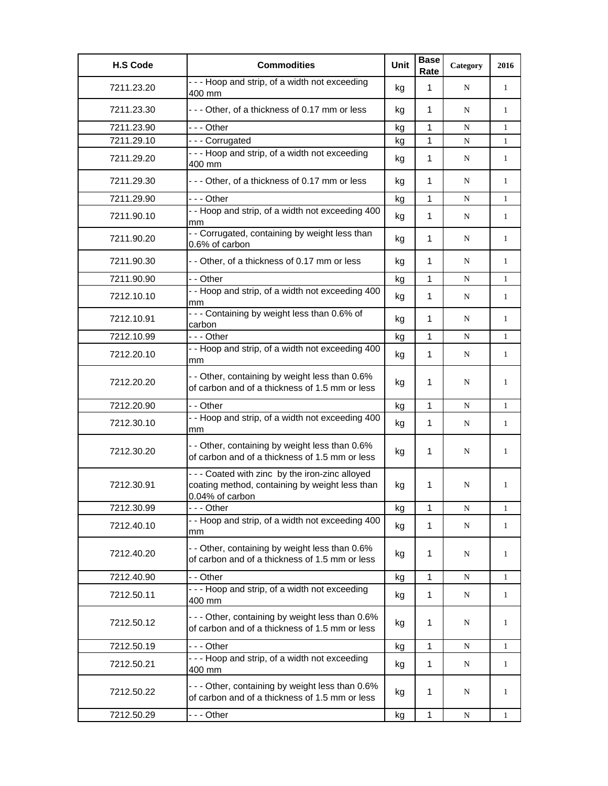| <b>H.S Code</b> | <b>Commodities</b>                                                                                                 | Unit | <b>Base</b><br>Rate | Category  | 2016         |
|-----------------|--------------------------------------------------------------------------------------------------------------------|------|---------------------|-----------|--------------|
| 7211.23.20      | --- Hoop and strip, of a width not exceeding<br>400 mm                                                             | kg   | $\mathbf{1}$        | N         | 1            |
| 7211.23.30      | --- Other, of a thickness of 0.17 mm or less                                                                       | kg   | 1                   | N         | $\mathbf{1}$ |
| 7211.23.90      | --- Other                                                                                                          | kg   | 1                   | N         | 1            |
| 7211.29.10      | --- Corrugated                                                                                                     | kg   | 1                   | N         | $\mathbf{1}$ |
| 7211.29.20      | - - - Hoop and strip, of a width not exceeding<br>400 mm                                                           | kg   | 1                   | N         | $\mathbf{1}$ |
| 7211.29.30      | --- Other, of a thickness of 0.17 mm or less                                                                       | kg   | 1                   | N         | 1            |
| 7211.29.90      | - - - Other                                                                                                        | kg   | 1                   | N         | $\mathbf{1}$ |
| 7211.90.10      | - - Hoop and strip, of a width not exceeding 400<br>mm                                                             | kg   | $\mathbf{1}$        | N         | 1            |
| 7211.90.20      | - - Corrugated, containing by weight less than<br>0.6% of carbon                                                   | kg   | 1                   | N         | 1            |
| 7211.90.30      | - - Other, of a thickness of 0.17 mm or less                                                                       | kg   | $\mathbf{1}$        | N         | 1            |
| 7211.90.90      | - - Other                                                                                                          | kg   | $\mathbf{1}$        | N         | $\mathbf{1}$ |
| 7212.10.10      | - - Hoop and strip, of a width not exceeding 400<br>mm                                                             | kg   | 1                   | N         | 1            |
| 7212.10.91      | --- Containing by weight less than 0.6% of<br>carbon                                                               | kg   | 1                   | N         | 1            |
| 7212.10.99      | --- Other                                                                                                          | kg   | $\mathbf{1}$        | N         | $\mathbf{1}$ |
| 7212.20.10      | - - Hoop and strip, of a width not exceeding 400<br>mm                                                             | kg   | 1                   | N         | 1            |
| 7212.20.20      | - - Other, containing by weight less than 0.6%<br>of carbon and of a thickness of 1.5 mm or less                   | kg   | 1                   | N         | 1            |
| 7212.20.90      | - - Other                                                                                                          | kg   | 1                   | N         | $\mathbf{1}$ |
| 7212.30.10      | - - Hoop and strip, of a width not exceeding 400<br>mm                                                             | kg   | 1                   | N         | 1            |
| 7212.30.20      | - - Other, containing by weight less than 0.6%<br>of carbon and of a thickness of 1.5 mm or less                   | kg   | 1                   | N         | 1            |
| 7212.30.91      | --- Coated with zinc by the iron-zinc alloyed<br>coating method, containing by weight less than<br>0.04% of carbon | kg   | 1                   | N         | 1            |
| 7212.30.99      | --- Other                                                                                                          | kg   | 1                   | N         | 1            |
| 7212.40.10      | - - Hoop and strip, of a width not exceeding 400<br>mm                                                             | kg   | 1                   | N         | 1            |
| 7212.40.20      | - - Other, containing by weight less than 0.6%<br>of carbon and of a thickness of 1.5 mm or less                   | kg   | 1                   | N         | 1            |
| 7212.40.90      | - - Other                                                                                                          | kg   | $\mathbf{1}$        | N         | 1            |
| 7212.50.11      | --- Hoop and strip, of a width not exceeding<br>400 mm                                                             | kg   | $\mathbf{1}$        | ${\bf N}$ | $\mathbf{1}$ |
| 7212.50.12      | --- Other, containing by weight less than 0.6%<br>of carbon and of a thickness of 1.5 mm or less                   | kg   | 1                   | N         | 1            |
| 7212.50.19      | --- Other                                                                                                          | kg   | 1                   | N         | $\mathbf{1}$ |
| 7212.50.21      | --- Hoop and strip, of a width not exceeding<br>400 mm                                                             | kg   | 1                   | N         | 1            |
| 7212.50.22      | --- Other, containing by weight less than 0.6%<br>of carbon and of a thickness of 1.5 mm or less                   | kg   | 1                   | N         | 1            |
| 7212.50.29      | --- Other                                                                                                          | kg   | $\mathbf{1}$        | ${\bf N}$ | $\mathbf{1}$ |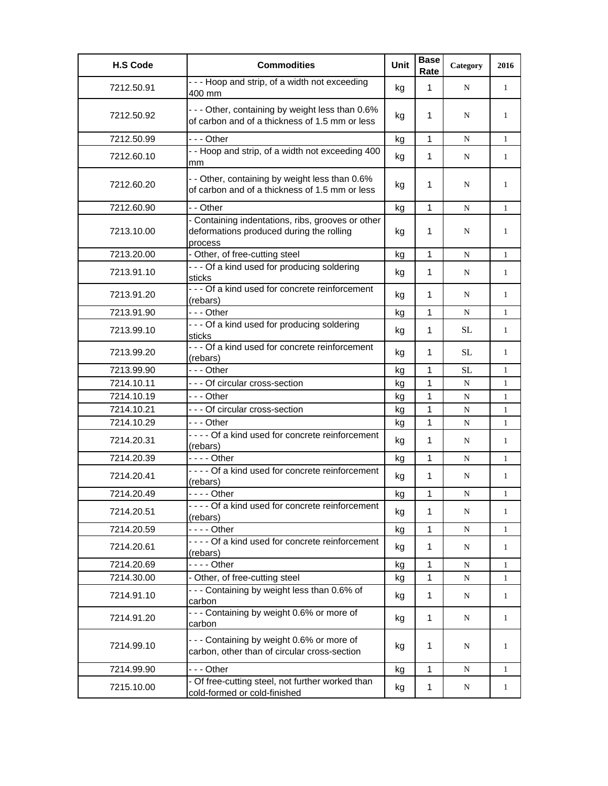| <b>H.S Code</b> | <b>Commodities</b>                                                                                       | Unit | <b>Base</b><br>Rate | Category    | 2016         |
|-----------------|----------------------------------------------------------------------------------------------------------|------|---------------------|-------------|--------------|
| 7212.50.91      | --- Hoop and strip, of a width not exceeding<br>400 mm                                                   | kg   | $\mathbf{1}$        | N           | $\mathbf{1}$ |
| 7212.50.92      | - - - Other, containing by weight less than 0.6%<br>of carbon and of a thickness of 1.5 mm or less       | kg   | 1                   | N           | 1            |
| 7212.50.99      | - - - Other                                                                                              | kg   | $\mathbf{1}$        | N           | $\mathbf{1}$ |
| 7212.60.10      | - - Hoop and strip, of a width not exceeding 400<br>mm                                                   | kg   | 1                   | N           | $\mathbf{1}$ |
| 7212.60.20      | - - Other, containing by weight less than 0.6%<br>of carbon and of a thickness of 1.5 mm or less         | kg   | 1                   | N           | 1            |
| 7212.60.90      | - - Other                                                                                                | kg   | 1                   | N           | $\mathbf{1}$ |
| 7213.10.00      | - Containing indentations, ribs, grooves or other<br>deformations produced during the rolling<br>process | kg   | 1                   | N           | 1            |
| 7213.20.00      | - Other, of free-cutting steel                                                                           | kg   | $\mathbf{1}$        | N           | 1            |
| 7213.91.10      | - - - Of a kind used for producing soldering<br>sticks                                                   | kg   | 1                   | N           | $\mathbf{1}$ |
| 7213.91.20      | - - - Of a kind used for concrete reinforcement<br>(rebars)                                              | kg   | $\mathbf 1$         | N           | $\mathbf{1}$ |
| 7213.91.90      | --- Other                                                                                                | kg   | $\mathbf{1}$        | N           | $\mathbf{1}$ |
| 7213.99.10      | - - - Of a kind used for producing soldering<br>sticks                                                   | kg   | 1                   | SL          | $\mathbf{1}$ |
| 7213.99.20      | --- Of a kind used for concrete reinforcement<br>(rebars)                                                | kg   | 1                   | SL          | 1            |
| 7213.99.90      | $--$ Other                                                                                               | kg   | 1                   | SL          | $\mathbf{1}$ |
| 7214.10.11      | - - - Of circular cross-section                                                                          | kg   | 1                   | N           | $\mathbf{1}$ |
| 7214.10.19      | - - - Other                                                                                              | kg   | 1                   | N           | $\mathbf{1}$ |
| 7214.10.21      | - - - Of circular cross-section                                                                          | kg   | 1                   | N           | $\mathbf{1}$ |
| 7214.10.29      | - - - Other                                                                                              | kg   | 1                   | N           | $\mathbf{1}$ |
| 7214.20.31      | - - - - Of a kind used for concrete reinforcement<br>(rebars)                                            | kg   | 1                   | N           | $\mathbf{1}$ |
| 7214.20.39      | - - - - Other                                                                                            | kg   | $\mathbf{1}$        | N           | $\mathbf{1}$ |
| 7214.20.41      | ---- Of a kind used for concrete reinforcement<br>(rebars)                                               | kg   | 1                   | N           | 1            |
| 7214.20.49      | $--$ Other                                                                                               | ka   | 1                   | N           | 1            |
| 7214.20.51      | - - - - Of a kind used for concrete reinforcement<br>(rebars)                                            | kg   | 1                   | N           | $\mathbf{1}$ |
| 7214.20.59      | $--$ Other                                                                                               | kg   | 1                   | $\mathbf N$ | $\mathbf{1}$ |
| 7214.20.61      | - - - - Of a kind used for concrete reinforcement<br>(rebars)                                            | kg   | $\mathbf 1$         | N           | $\mathbf{1}$ |
| 7214.20.69      | $--$ Other                                                                                               | kg   | 1                   | ${\bf N}$   | $\mathbf{1}$ |
| 7214.30.00      | - Other, of free-cutting steel                                                                           | kg   | 1                   | N           | $\mathbf{1}$ |
| 7214.91.10      | --- Containing by weight less than 0.6% of<br>carbon                                                     | kg   | 1                   | N           | $\mathbf{1}$ |
| 7214.91.20      | --- Containing by weight 0.6% or more of<br>carbon                                                       | kg   | $\mathbf{1}$        | N           | $\mathbf{1}$ |
| 7214.99.10      | --- Containing by weight 0.6% or more of<br>carbon, other than of circular cross-section                 | kg   | 1                   | N           | $\mathbf{1}$ |
| 7214.99.90      | --- Other                                                                                                | kg   | $\mathbf{1}$        | N           | $\mathbf{1}$ |
| 7215.10.00      | - Of free-cutting steel, not further worked than<br>cold-formed or cold-finished                         | kg   | 1                   | N           | $\mathbf{1}$ |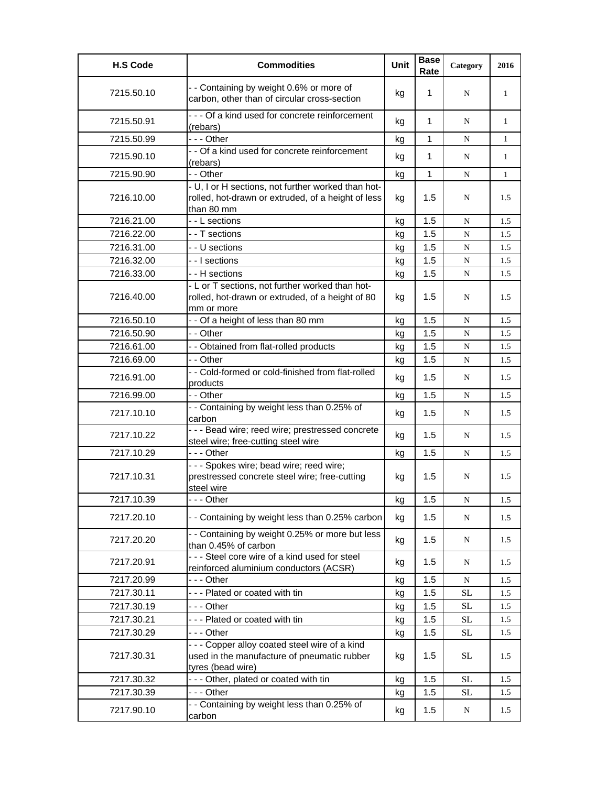| <b>H.S Code</b> | <b>Commodities</b>                                                                                                     | Unit | <b>Base</b><br>Rate | Category  | 2016         |
|-----------------|------------------------------------------------------------------------------------------------------------------------|------|---------------------|-----------|--------------|
| 7215.50.10      | - - Containing by weight 0.6% or more of<br>carbon, other than of circular cross-section                               | kg   | 1                   | N         | 1            |
| 7215.50.91      | - - - Of a kind used for concrete reinforcement<br>(rebars)                                                            | kg   | 1                   | N         | 1            |
| 7215.50.99      | - - - Other                                                                                                            | kg   | 1                   | N         | $\mathbf{1}$ |
| 7215.90.10      | - - Of a kind used for concrete reinforcement<br>(rebars)                                                              | kg   | 1                   | N         | 1            |
| 7215.90.90      | - - Other                                                                                                              | kg   | 1                   | N         | $\mathbf{1}$ |
| 7216.10.00      | - U, I or H sections, not further worked than hot-<br>rolled, hot-drawn or extruded, of a height of less<br>than 80 mm | kg   | 1.5                 | N         | 1.5          |
| 7216.21.00      | - - L sections                                                                                                         | kg   | 1.5                 | N         | 1.5          |
| 7216.22.00      | - - T sections                                                                                                         | kg   | 1.5                 | N         | 1.5          |
| 7216.31.00      | - - U sections                                                                                                         | kg   | 1.5                 | N         | 1.5          |
| 7216.32.00      | - - I sections                                                                                                         | kg   | 1.5                 | N         | 1.5          |
| 7216.33.00      | - - H sections                                                                                                         | kg   | 1.5                 | N         | 1.5          |
| 7216.40.00      | - L or T sections, not further worked than hot-<br>rolled, hot-drawn or extruded, of a height of 80<br>mm or more      | kg   | 1.5                 | N         | 1.5          |
| 7216.50.10      | - - Of a height of less than 80 mm                                                                                     | kg   | 1.5                 | N         | 1.5          |
| 7216.50.90      | - - Other                                                                                                              | kg   | 1.5                 | N         | 1.5          |
| 7216.61.00      | - - Obtained from flat-rolled products                                                                                 | kg   | 1.5                 | ${\bf N}$ | 1.5          |
| 7216.69.00      | - - Other                                                                                                              | kg   | 1.5                 | N         | 1.5          |
| 7216.91.00      | - - Cold-formed or cold-finished from flat-rolled<br>products                                                          | kg   | 1.5                 | N         | 1.5          |
| 7216.99.00      | - - Other                                                                                                              | kg   | 1.5                 | N         | 1.5          |
| 7217.10.10      | - - Containing by weight less than 0.25% of<br>carbon                                                                  | kg   | 1.5                 | N         | 1.5          |
| 7217.10.22      | - - - Bead wire; reed wire; prestressed concrete<br>steel wire; free-cutting steel wire                                | kg   | 1.5                 | N         | 1.5          |
| 7217.10.29      | --- Other                                                                                                              | kg   | 1.5                 | N         | 1.5          |
| 7217.10.31      | --- Spokes wire; bead wire; reed wire;<br>prestressed concrete steel wire; free-cutting<br>steel wire                  | kg   | 1.5                 | N         | 1.5          |
| 7217.10.39      | - - - Other                                                                                                            | kg   | 1.5                 | ${\bf N}$ | 1.5          |
| 7217.20.10      | - - Containing by weight less than 0.25% carbon                                                                        | kg   | 1.5                 | ${\bf N}$ | 1.5          |
| 7217.20.20      | - - Containing by weight 0.25% or more but less<br>than 0.45% of carbon                                                | kg   | 1.5                 | N         | 1.5          |
| 7217.20.91      | --- Steel core wire of a kind used for steel<br>reinforced aluminium conductors (ACSR)                                 | kg   | 1.5                 | N         | 1.5          |
| 7217.20.99      | --- Other                                                                                                              | kg   | 1.5                 | N         | 1.5          |
| 7217.30.11      | --- Plated or coated with tin                                                                                          | kg   | 1.5                 | <b>SL</b> | 1.5          |
| 7217.30.19      | --- Other                                                                                                              | kq   | 1.5                 | <b>SL</b> | 1.5          |
| 7217.30.21      | --- Plated or coated with tin                                                                                          | kg   | 1.5                 | <b>SL</b> | 1.5          |
| 7217.30.29      | - - - Other                                                                                                            | kg   | 1.5                 | <b>SL</b> | 1.5          |
| 7217.30.31      | - - - Copper alloy coated steel wire of a kind<br>used in the manufacture of pneumatic rubber<br>tyres (bead wire)     | kg   | 1.5                 | SL        | 1.5          |
| 7217.30.32      | --- Other, plated or coated with tin                                                                                   | kg   | 1.5                 | $\rm SL$  | 1.5          |
| 7217.30.39      | --- Other                                                                                                              | kg   | 1.5                 | <b>SL</b> | 1.5          |
| 7217.90.10      | - - Containing by weight less than 0.25% of<br>carbon                                                                  | kg   | 1.5                 | N         | 1.5          |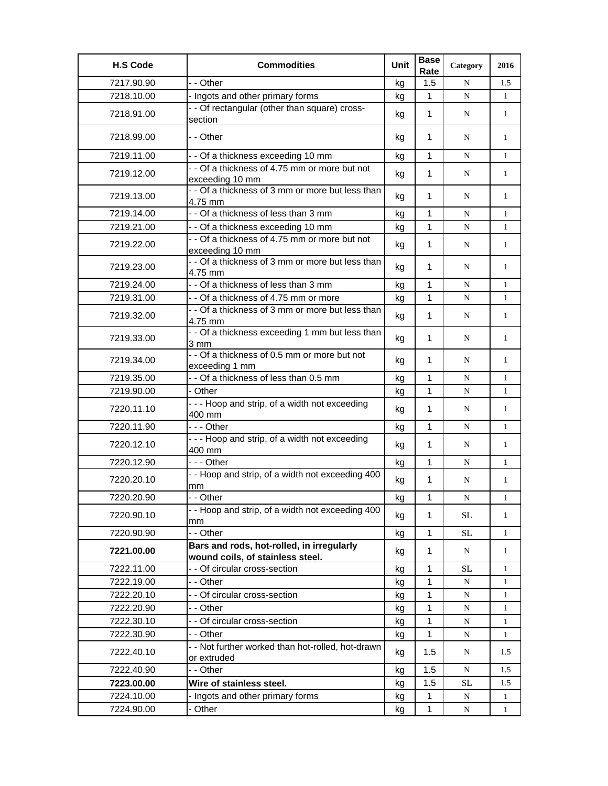| <b>H.S Code</b> | <b>Commodities</b>                                                            | Unit | <b>Base</b><br>Rate | Category  | 2016         |
|-----------------|-------------------------------------------------------------------------------|------|---------------------|-----------|--------------|
| 7217.90.90      | - - Other                                                                     | kg   | 1.5                 | N         | 1.5          |
| 7218.10.00      | - Ingots and other primary forms                                              | kg   | 1                   | N         | 1            |
| 7218.91.00      | - - Of rectangular (other than square) cross-                                 | kg   | 1                   | N         | $\mathbf{1}$ |
|                 | section                                                                       |      |                     |           |              |
| 7218.99.00      | - - Other                                                                     | kg   | 1                   | N         | 1            |
| 7219.11.00      | - - Of a thickness exceeding 10 mm                                            | kg   | 1                   | N         | 1            |
| 7219.12.00      | - - Of a thickness of 4.75 mm or more but not<br>exceeding 10 mm              | kg   | 1                   | N         | $\mathbf{1}$ |
| 7219.13.00      | - - Of a thickness of 3 mm or more but less than<br>4.75 mm                   | kg   | $\mathbf{1}$        | N         | $\mathbf{1}$ |
| 7219.14.00      | - - Of a thickness of less than 3 mm                                          | kg   | 1                   | N         | 1            |
| 7219.21.00      | - - Of a thickness exceeding 10 mm                                            | kg   | 1                   | N         | $\mathbf{1}$ |
| 7219.22.00      | - - Of a thickness of 4.75 mm or more but not<br>exceeding 10 mm              | kg   | 1                   | N         | $\mathbf{1}$ |
| 7219.23.00      | - - Of a thickness of 3 mm or more but less than<br>4.75 mm                   | kg   | 1                   | N         | $\mathbf{1}$ |
| 7219.24.00      | - - Of a thickness of less than 3 mm                                          | kg   | 1                   | N         | $\mathbf{1}$ |
| 7219.31.00      | - - Of a thickness of 4.75 mm or more                                         | kg   | $\mathbf{1}$        | N         | $\mathbf{1}$ |
| 7219.32.00      | - - Of a thickness of 3 mm or more but less than<br>4.75 mm                   | kg   | 1                   | N         | $\mathbf{1}$ |
| 7219.33.00      | - - Of a thickness exceeding 1 mm but less than<br>3 mm                       | kg   | $\mathbf 1$         | N         | 1            |
| 7219.34.00      | -- Of a thickness of 0.5 mm or more but not<br>exceeding 1 mm                 | kg   | 1                   | N         | 1            |
| 7219.35.00      | - - Of a thickness of less than 0.5 mm                                        | kg   | 1                   | N         | 1            |
| 7219.90.00      | - Other                                                                       | kq   | 1                   | N         | 1            |
| 7220.11.10      | --- Hoop and strip, of a width not exceeding<br>400 mm                        | kg   | $\mathbf{1}$        | N         | 1            |
| 7220.11.90      | --- Other                                                                     | kg   | 1                   | N         | $\mathbf{1}$ |
| 7220.12.10      | - - - Hoop and strip, of a width not exceeding<br>400 mm                      | kg   | $\mathbf{1}$        | N         | $\mathbf{1}$ |
| 7220.12.90      | --- Other                                                                     | kg   | $\mathbf{1}$        | N         | $\mathbf{1}$ |
| 7220.20.10      | - - Hoop and strip, of a width not exceeding 400<br>mm                        | kg   | 1                   | N         | 1            |
| 7220.20.90      | - Other                                                                       | kg   | $\mathbf 1$         | ${\bf N}$ | $\mathbf{1}$ |
| 7220.90.10      | - - Hoop and strip, of a width not exceeding 400<br>mm                        | kg   | $\mathbf{1}$        | SL        | 1            |
| 7220.90.90      | - - Other                                                                     | kg   | $\mathbf{1}$        | $\rm SL$  | 1            |
| 7221.00.00      | Bars and rods, hot-rolled, in irregularly<br>wound coils, of stainless steel. | kg   | $\mathbf{1}$        | N         | $\mathbf{1}$ |
| 7222.11.00      | - - Of circular cross-section                                                 | kg   | 1                   | SL        | 1            |
| 7222.19.00      | - - Other                                                                     | kg   | 1                   | N         | 1            |
| 7222.20.10      | - - Of circular cross-section                                                 | kg   | 1                   | N         | 1            |
| 7222.20.90      | - - Other                                                                     | kg   | 1                   | N         | 1            |
| 7222.30.10      | - - Of circular cross-section                                                 | kg   | 1                   | ${\bf N}$ | 1            |
| 7222.30.90      | - - Other                                                                     | kg   | $\mathbf{1}$        | N         | 1            |
| 7222.40.10      | - - Not further worked than hot-rolled, hot-drawn<br>or extruded              | kg   | 1.5                 | N         | 1.5          |
| 7222.40.90      | - - Other                                                                     | kg   | 1.5                 | ${\bf N}$ | 1.5          |
| 7223.00.00      | Wire of stainless steel.                                                      | kg   | 1.5                 | <b>SL</b> | 1.5          |
| 7224.10.00      | - Ingots and other primary forms                                              | kg   | 1                   | N         | 1            |
| 7224.90.00      | - Other                                                                       | kg   | $\mathbf{1}$        | N         | $\mathbf{1}$ |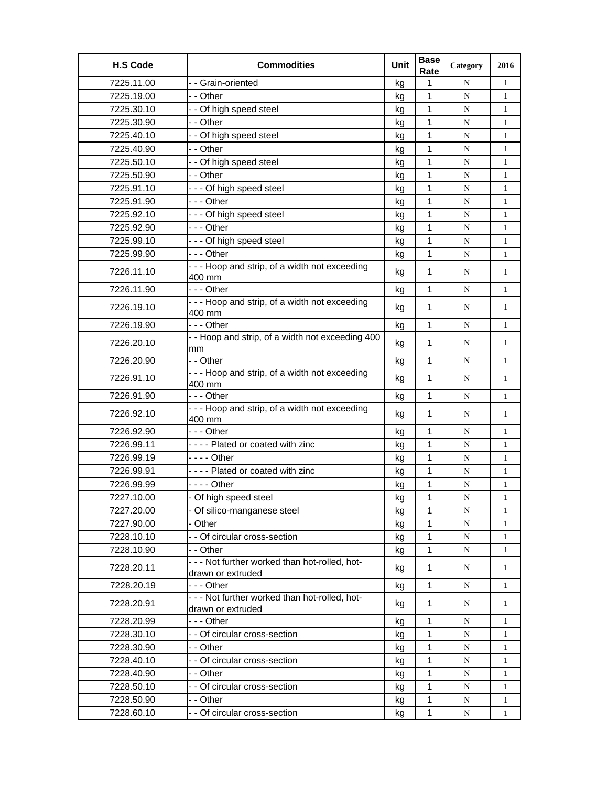| <b>H.S Code</b> | <b>Commodities</b>                                                  | Unit | <b>Base</b><br>Rate | Category  | 2016         |
|-----------------|---------------------------------------------------------------------|------|---------------------|-----------|--------------|
| 7225.11.00      | - - Grain-oriented                                                  | kg   | $\mathbf{1}$        | N         | $\mathbf{1}$ |
| 7225.19.00      | - - Other                                                           | kg   | $\mathbf{1}$        | N         | $\mathbf{1}$ |
| 7225.30.10      | - - Of high speed steel                                             | kg   | 1                   | N         | $\mathbf{1}$ |
| 7225.30.90      | - - Other                                                           | kg   | 1                   | N         | $\mathbf{1}$ |
| 7225.40.10      | - - Of high speed steel                                             | kg   | $\mathbf{1}$        | N         | $\mathbf{1}$ |
| 7225.40.90      | - - Other                                                           | kq   | 1                   | N         | $\mathbf{1}$ |
| 7225.50.10      | - - Of high speed steel                                             | kg   | 1                   | N         | 1            |
| 7225.50.90      | - - Other                                                           | kg   | 1                   | N         | 1            |
| 7225.91.10      | --- Of high speed steel                                             | kg   | 1                   | N         | $\mathbf{1}$ |
| 7225.91.90      | -  - - Other                                                        | kg   | 1                   | N         | $\mathbf{1}$ |
| 7225.92.10      | --- Of high speed steel                                             | kg   | 1                   | N         | $\mathbf{1}$ |
| 7225.92.90      | -  - - Other                                                        | kg   | 1                   | N         | $\mathbf{1}$ |
| 7225.99.10      | --- Of high speed steel                                             | kg   | 1                   | N         | $\mathbf{1}$ |
| 7225.99.90      | --- Other                                                           | kg   | $\mathbf{1}$        | N         | $\mathbf{1}$ |
|                 | --- Hoop and strip, of a width not exceeding                        |      |                     |           |              |
| 7226.11.10      | 400 mm                                                              | kg   | $\mathbf{1}$        | N         | $\mathbf{1}$ |
| 7226.11.90      | -  - - Other                                                        | kg   | $\mathbf{1}$        | N         | $\mathbf{1}$ |
| 7226.19.10      | --- Hoop and strip, of a width not exceeding                        | kg   | 1                   | N         | $\mathbf{1}$ |
|                 | 400 mm                                                              |      |                     |           |              |
| 7226.19.90      | - - - Other                                                         | kg   | $\mathbf{1}$        | N         | $\mathbf{1}$ |
| 7226.20.10      | - - Hoop and strip, of a width not exceeding 400                    | kg   | $\mathbf{1}$        | N         | $\mathbf{1}$ |
| 7226.20.90      | mm<br>- - Other                                                     | kg   | 1                   | N         | $\mathbf{1}$ |
|                 | --- Hoop and strip, of a width not exceeding                        |      |                     |           |              |
| 7226.91.10      | 400 mm                                                              | kg   | $\mathbf{1}$        | N         | $\mathbf{1}$ |
| 7226.91.90      | --- Other                                                           | kg   | 1                   | N         | $\mathbf{1}$ |
| 7226.92.10      | --- Hoop and strip, of a width not exceeding<br>400 mm              | kg   | $\mathbf 1$         | N         | 1            |
| 7226.92.90      | - - - Other                                                         | kg   | 1                   | N         | $\mathbf{1}$ |
| 7226.99.11      | ---- Plated or coated with zinc                                     | kg   | 1                   | N         | $\mathbf{1}$ |
| 7226.99.19      | - - - - Other                                                       | kg   | 1                   | N         | $\mathbf{1}$ |
| 7226.99.91      | ---- Plated or coated with zinc                                     | kg   | 1                   | N         | 1            |
| 7226.99.99      |                                                                     | kg   | 1                   | ${\bf N}$ | 1            |
| 7227.10.00      | - Of high speed steel                                               | kg   | 1                   | N         | 1            |
| 7227.20.00      | - Of silico-manganese steel                                         | kg   | $\mathbf{1}$        | N         | $\mathbf{1}$ |
| 7227.90.00      | - Other                                                             | kg   | 1                   | N         | 1            |
| 7228.10.10      | - - Of circular cross-section                                       | kg   | 1                   | ${\bf N}$ | $\mathbf{1}$ |
| 7228.10.90      | - - Other                                                           | kg   | 1                   | N         | $\mathbf{1}$ |
| 7228.20.11      | - - - Not further worked than hot-rolled, hot-<br>drawn or extruded | kg   | 1                   | N         | $\mathbf{1}$ |
| 7228.20.19      | - - - Other                                                         | kg   | 1                   | N         | $\mathbf{1}$ |
| 7228.20.91      | - - - Not further worked than hot-rolled, hot-                      | kg   | 1                   | N         | 1            |
|                 | drawn or extruded                                                   |      |                     |           |              |
| 7228.20.99      | -  - - Other                                                        | kg   | $\mathbf 1$         | N         | $\mathbf{1}$ |
| 7228.30.10      | - - Of circular cross-section                                       | kg   | 1                   | N         | $\mathbf{1}$ |
| 7228.30.90      | - - Other                                                           | kg   | 1                   | ${\bf N}$ | $\mathbf{1}$ |
| 7228.40.10      | - - Of circular cross-section                                       | kg   | 1                   | N         | $\mathbf{1}$ |
| 7228.40.90      | - - Other                                                           | kg   | 1                   | N         | $\mathbf{1}$ |
| 7228.50.10      | - - Of circular cross-section                                       | kg   | 1                   | N         | $\mathbf{1}$ |
| 7228.50.90      | - - Other                                                           | kg   | 1                   | N         | $\mathbf{1}$ |
| 7228.60.10      | - - Of circular cross-section                                       | kg   | $\mathbf{1}$        | N         | $\mathbf{1}$ |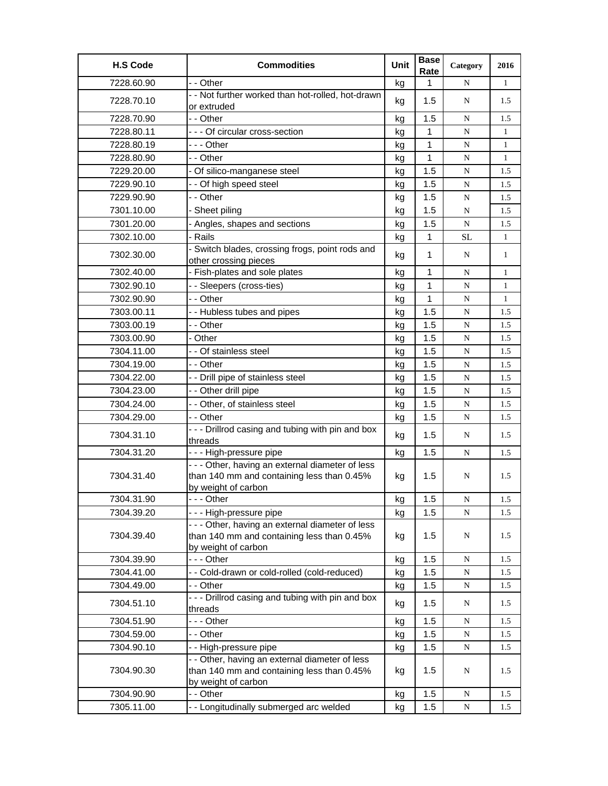| <b>H.S Code</b> | <b>Commodities</b>                                                                                                    | Unit | <b>Base</b><br>Rate | Category  | 2016         |
|-----------------|-----------------------------------------------------------------------------------------------------------------------|------|---------------------|-----------|--------------|
| 7228.60.90      | - - Other                                                                                                             | kg   | 1                   | N         | $\mathbf{1}$ |
| 7228.70.10      | - - Not further worked than hot-rolled, hot-drawn<br>or extruded                                                      | kg   | 1.5                 | N         | 1.5          |
| 7228.70.90      | - - Other                                                                                                             | kg   | 1.5                 | N         | 1.5          |
| 7228.80.11      | - - - Of circular cross-section                                                                                       | kg   | 1                   | N         | $\mathbf{1}$ |
| 7228.80.19      | -  - - Other                                                                                                          | kg   | 1                   | ${\bf N}$ | $\mathbf{1}$ |
| 7228.80.90      | - - Other                                                                                                             | kg   | 1                   | N         | $\mathbf{1}$ |
| 7229.20.00      | - Of silico-manganese steel                                                                                           | kg   | 1.5                 | N         | 1.5          |
| 7229.90.10      | - - Of high speed steel                                                                                               | kg   | 1.5                 | ${\bf N}$ | 1.5          |
| 7229.90.90      | - - Other                                                                                                             | kg   | 1.5                 | N         | 1.5          |
| 7301.10.00      | - Sheet piling                                                                                                        | kg   | 1.5                 | N         | 1.5          |
| 7301.20.00      | - Angles, shapes and sections                                                                                         | kg   | 1.5                 | N         | 1.5          |
| 7302.10.00      | - Rails                                                                                                               | kg   | 1                   | SL        | $\mathbf{1}$ |
| 7302.30.00      | - Switch blades, crossing frogs, point rods and<br>other crossing pieces                                              | kg   | 1                   | N         | 1            |
| 7302.40.00      | - Fish-plates and sole plates                                                                                         | kg   | 1                   | N         | 1            |
| 7302.90.10      | - - Sleepers (cross-ties)                                                                                             | kg   | 1                   | ${\bf N}$ | $\mathbf{1}$ |
| 7302.90.90      | - - Other                                                                                                             | kg   | 1                   | ${\bf N}$ | $\mathbf{1}$ |
| 7303.00.11      | - - Hubless tubes and pipes                                                                                           | kg   | 1.5                 | N         | 1.5          |
| 7303.00.19      | - - Other                                                                                                             | kg   | 1.5                 | N         | 1.5          |
| 7303.00.90      | - Other                                                                                                               | kg   | 1.5                 | N         | 1.5          |
| 7304.11.00      | - - Of stainless steel                                                                                                | kg   | 1.5                 | N         | 1.5          |
| 7304.19.00      | - - Other                                                                                                             | kg   | 1.5                 | ${\bf N}$ | 1.5          |
| 7304.22.00      | - - Drill pipe of stainless steel                                                                                     | kg   | 1.5                 | N         | 1.5          |
| 7304.23.00      | - - Other drill pipe                                                                                                  | kg   | 1.5                 | N         | 1.5          |
| 7304.24.00      | - - Other, of stainless steel                                                                                         | kg   | 1.5                 | N         | 1.5          |
| 7304.29.00      | - - Other                                                                                                             | kg   | 1.5                 | N         | 1.5          |
| 7304.31.10      | - - - Drillrod casing and tubing with pin and box<br>threads                                                          | kg   | 1.5                 | N         | 1.5          |
| 7304.31.20      | - - - High-pressure pipe                                                                                              | kg   | 1.5                 | N         | 1.5          |
| 7304.31.40      | - - - Other, having an external diameter of less<br>than 140 mm and containing less than 0.45%<br>by weight of carbon | kg   | 1.5                 | N         | 1.5          |
| 7304.31.90      | - Other                                                                                                               | kg   | 1.5                 | ${\bf N}$ | $1.5\,$      |
| 7304.39.20      | - - - High-pressure pipe                                                                                              | kg   | 1.5                 | N         | 1.5          |
| 7304.39.40      | - - - Other, having an external diameter of less<br>than 140 mm and containing less than 0.45%<br>by weight of carbon | kg   | 1.5                 | N         | 1.5          |
| 7304.39.90      | --- Other                                                                                                             | kg   | 1.5                 | ${\bf N}$ | 1.5          |
| 7304.41.00      | - - Cold-drawn or cold-rolled (cold-reduced)                                                                          | kg   | 1.5                 | ${\bf N}$ | 1.5          |
| 7304.49.00      | - - Other                                                                                                             | kg   | 1.5                 | N         | 1.5          |
| 7304.51.10      | --- Drillrod casing and tubing with pin and box<br>threads                                                            | kg   | 1.5                 | N         | 1.5          |
| 7304.51.90      | - - - Other                                                                                                           | kg   | 1.5                 | N         | 1.5          |
| 7304.59.00      | - - Other                                                                                                             | kg   | 1.5                 | N         | 1.5          |
| 7304.90.10      | - - High-pressure pipe                                                                                                | kg   | 1.5                 | ${\bf N}$ | 1.5          |
| 7304.90.30      | - - Other, having an external diameter of less<br>than 140 mm and containing less than 0.45%<br>by weight of carbon   | kg   | 1.5                 | N         | 1.5          |
| 7304.90.90      | - - Other                                                                                                             | kg   | 1.5                 | N         | 1.5          |
| 7305.11.00      | - - Longitudinally submerged arc welded                                                                               | kg   | 1.5                 | ${\bf N}$ | 1.5          |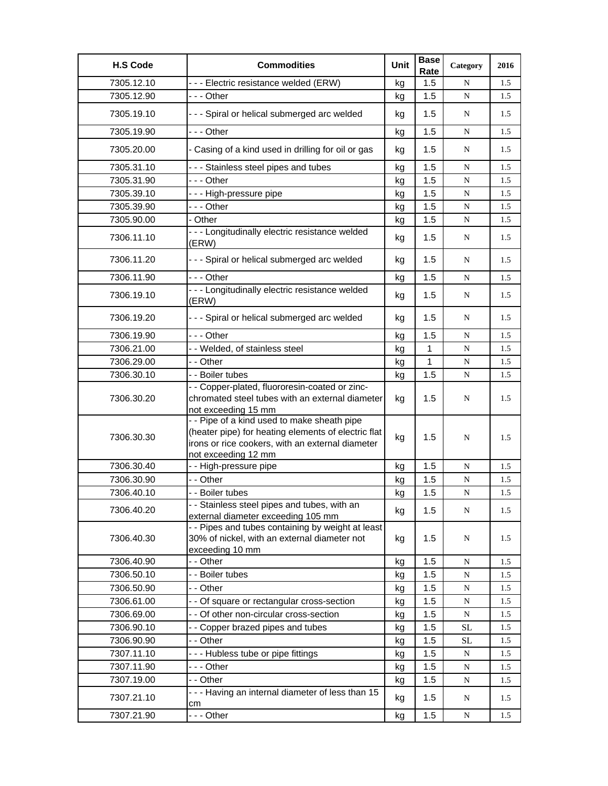| <b>H.S Code</b> | <b>Commodities</b>                                                                                                                                                            | Unit | <b>Base</b><br>Rate | Category  | 2016 |
|-----------------|-------------------------------------------------------------------------------------------------------------------------------------------------------------------------------|------|---------------------|-----------|------|
| 7305.12.10      | --- Electric resistance welded (ERW)                                                                                                                                          | kg   | 1.5                 | N         | 1.5  |
| 7305.12.90      | --- Other                                                                                                                                                                     | kg   | 1.5                 | N         | 1.5  |
| 7305.19.10      | --- Spiral or helical submerged arc welded                                                                                                                                    | kg   | 1.5                 | N         | 1.5  |
| 7305.19.90      | --- Other                                                                                                                                                                     | kg   | 1.5                 | N         | 1.5  |
| 7305.20.00      | - Casing of a kind used in drilling for oil or gas                                                                                                                            | kg   | 1.5                 | N         | 1.5  |
| 7305.31.10      | - - - Stainless steel pipes and tubes                                                                                                                                         | kg   | 1.5                 | ${\bf N}$ | 1.5  |
| 7305.31.90      | - - - Other                                                                                                                                                                   | kg   | 1.5                 | ${\bf N}$ | 1.5  |
| 7305.39.10      | --- High-pressure pipe                                                                                                                                                        | kg   | 1.5                 | N         | 1.5  |
| 7305.39.90      | -  - - Other                                                                                                                                                                  | kg   | 1.5                 | ${\bf N}$ | 1.5  |
| 7305.90.00      | - Other                                                                                                                                                                       | kg   | 1.5                 | ${\bf N}$ | 1.5  |
| 7306.11.10      | - - - Longitudinally electric resistance welded<br>(ERW)                                                                                                                      | kg   | 1.5                 | N         | 1.5  |
| 7306.11.20      | - - - Spiral or helical submerged arc welded                                                                                                                                  | kg   | 1.5                 | N         | 1.5  |
| 7306.11.90      | --- Other                                                                                                                                                                     | kg   | 1.5                 | N         | 1.5  |
| 7306.19.10      | - - - Longitudinally electric resistance welded<br>(ERW)                                                                                                                      | kg   | 1.5                 | N         | 1.5  |
| 7306.19.20      | --- Spiral or helical submerged arc welded                                                                                                                                    | kg   | 1.5                 | N         | 1.5  |
| 7306.19.90      | - - - Other                                                                                                                                                                   | kg   | 1.5                 | ${\bf N}$ | 1.5  |
| 7306.21.00      | - - Welded, of stainless steel                                                                                                                                                | kg   | 1                   | ${\bf N}$ | 1.5  |
| 7306.29.00      | - - Other                                                                                                                                                                     | kg   | 1                   | ${\bf N}$ | 1.5  |
| 7306.30.10      | - - Boiler tubes                                                                                                                                                              | kg   | 1.5                 | ${\bf N}$ | 1.5  |
| 7306.30.20      | - - Copper-plated, fluororesin-coated or zinc-<br>chromated steel tubes with an external diameter<br>not exceeding 15 mm                                                      | kg   | 1.5                 | N         | 1.5  |
| 7306.30.30      | - - Pipe of a kind used to make sheath pipe<br>(heater pipe) for heating elements of electric flat<br>irons or rice cookers, with an external diameter<br>not exceeding 12 mm | kg   | 1.5                 | N         | 1.5  |
| 7306.30.40      | - - High-pressure pipe                                                                                                                                                        | kg   | 1.5                 | ${\bf N}$ | 1.5  |
| 7306.30.90      | - - Other                                                                                                                                                                     | kg   | 1.5                 | N         | 1.5  |
| 7306.40.10      | - - Boiler tubes                                                                                                                                                              | kg   | 1.5                 | ${\bf N}$ | 1.5  |
| 7306.40.20      | - - Stainless steel pipes and tubes, with an<br>external diameter exceeding 105 mm                                                                                            | kg   | 1.5                 | N         | 1.5  |
| 7306.40.30      | - - Pipes and tubes containing by weight at least<br>30% of nickel, with an external diameter not<br>exceeding 10 mm                                                          | kg   | 1.5                 | N         | 1.5  |
| 7306.40.90      | - - Other                                                                                                                                                                     | kg   | 1.5                 | N         | 1.5  |
| 7306.50.10      | - - Boiler tubes                                                                                                                                                              | kg   | 1.5                 | N         | 1.5  |
| 7306.50.90      | - - Other                                                                                                                                                                     | kg   | 1.5                 | ${\bf N}$ | 1.5  |
| 7306.61.00      | - - Of square or rectangular cross-section                                                                                                                                    | kg   | 1.5                 | ${\bf N}$ | 1.5  |
| 7306.69.00      | - - Of other non-circular cross-section                                                                                                                                       | kg   | 1.5                 | ${\bf N}$ | 1.5  |
| 7306.90.10      | - - Copper brazed pipes and tubes                                                                                                                                             | kg   | 1.5                 | <b>SL</b> | 1.5  |
| 7306.90.90      | - - Other                                                                                                                                                                     | kg   | 1.5                 | <b>SL</b> | 1.5  |
| 7307.11.10      | --- Hubless tube or pipe fittings                                                                                                                                             | kg   | 1.5                 | ${\bf N}$ | 1.5  |
| 7307.11.90      |                                                                                                                                                                               | kg   | 1.5                 | N         | 1.5  |
| 7307.19.00      | - - Other                                                                                                                                                                     | kg   | 1.5                 | N         | 1.5  |
| 7307.21.10      | --- Having an internal diameter of less than 15<br>cm                                                                                                                         | kg   | 1.5                 | N         | 1.5  |
| 7307.21.90      | --- Other                                                                                                                                                                     | kg   | 1.5                 | N         | 1.5  |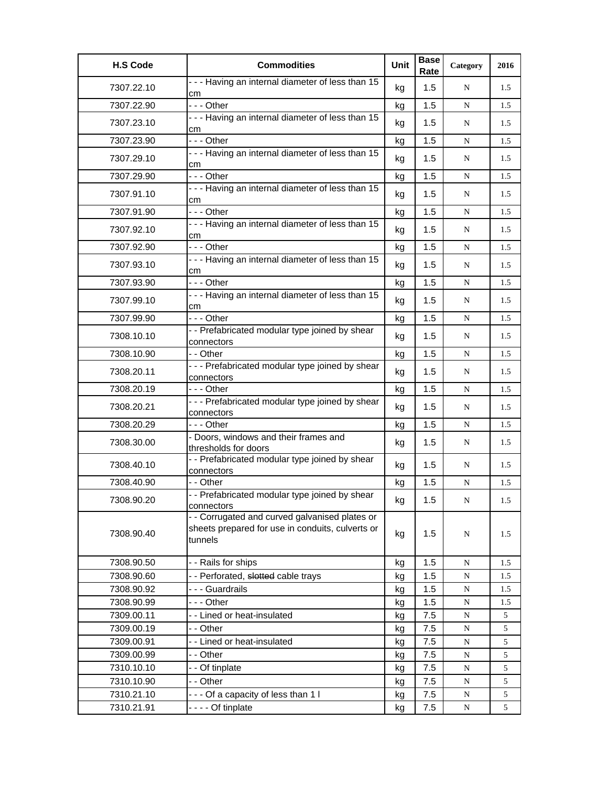| <b>H.S Code</b> | <b>Commodities</b>                                                                                            | Unit | <b>Base</b><br>Rate | Category    | 2016 |
|-----------------|---------------------------------------------------------------------------------------------------------------|------|---------------------|-------------|------|
| 7307.22.10      | - - - Having an internal diameter of less than 15<br>cm                                                       | kg   | 1.5                 | N           | 1.5  |
| 7307.22.90      | --- Other                                                                                                     | kg   | 1.5                 | N           | 1.5  |
| 7307.23.10      | - - - Having an internal diameter of less than 15<br>cm                                                       | kg   | 1.5                 | N           | 1.5  |
| 7307.23.90      | --- Other                                                                                                     | kg   | 1.5                 | ${\bf N}$   | 1.5  |
| 7307.29.10      | - - - Having an internal diameter of less than 15<br>cm                                                       | kg   | 1.5                 | N           | 1.5  |
| 7307.29.90      | $- -$ Other                                                                                                   | kg   | 1.5                 | N           | 1.5  |
| 7307.91.10      | --- Having an internal diameter of less than 15<br>cm                                                         | kg   | 1.5                 | N           | 1.5  |
| 7307.91.90      | $--$ Other                                                                                                    | kg   | 1.5                 | N           | 1.5  |
| 7307.92.10      | - - - Having an internal diameter of less than 15<br>cm                                                       | kg   | 1.5                 | N           | 1.5  |
| 7307.92.90      | --- Other                                                                                                     | kg   | 1.5                 | N           | 1.5  |
| 7307.93.10      | --- Having an internal diameter of less than 15<br>cm                                                         | kg   | 1.5                 | N           | 1.5  |
| 7307.93.90      | - - - Other                                                                                                   | kg   | 1.5                 | N           | 1.5  |
| 7307.99.10      | - - - Having an internal diameter of less than 15<br>cm                                                       | kg   | 1.5                 | N           | 1.5  |
| 7307.99.90      | - - - Other                                                                                                   | kg   | 1.5                 | ${\bf N}$   | 1.5  |
| 7308.10.10      | - - Prefabricated modular type joined by shear<br>connectors                                                  | kg   | 1.5                 | N           | 1.5  |
| 7308.10.90      | - - Other                                                                                                     | kg   | 1.5                 | N           | 1.5  |
| 7308.20.11      | --- Prefabricated modular type joined by shear<br>connectors                                                  | kg   | 1.5                 | N           | 1.5  |
| 7308.20.19      | - - - Other                                                                                                   | kg   | 1.5                 | N           | 1.5  |
| 7308.20.21      | - - - Prefabricated modular type joined by shear<br>connectors                                                | kg   | 1.5                 | N           | 1.5  |
| 7308.20.29      | - - - Other                                                                                                   | kg   | 1.5                 | N           | 1.5  |
| 7308.30.00      | - Doors, windows and their frames and<br>thresholds for doors                                                 | kg   | 1.5                 | N           | 1.5  |
| 7308.40.10      | - - Prefabricated modular type joined by shear<br>connectors                                                  | kg   | 1.5                 | N           | 1.5  |
| 7308.40.90      | - - Other                                                                                                     | kg   | 1.5                 | N           | 1.5  |
| 7308.90.20      | - - Prefabricated modular type joined by shear<br>connectors                                                  | kg   | 1.5                 | ${\bf N}$   | 1.5  |
| 7308.90.40      | - - Corrugated and curved galvanised plates or<br>sheets prepared for use in conduits, culverts or<br>tunnels | kg   | 1.5                 | $\mathbf N$ | 1.5  |
| 7308.90.50      | - - Rails for ships                                                                                           | kg   | 1.5                 | ${\bf N}$   | 1.5  |
| 7308.90.60      | -- Perforated, slotted cable trays                                                                            | kg   | 1.5                 | ${\bf N}$   | 1.5  |
| 7308.90.92      | - - - Guardrails                                                                                              | kg   | 1.5                 | N           | 1.5  |
| 7308.90.99      | - - - Other                                                                                                   | kg   | 1.5                 | N           | 1.5  |
| 7309.00.11      | - - Lined or heat-insulated                                                                                   | kg   | 7.5                 | ${\bf N}$   | 5    |
| 7309.00.19      | - - Other                                                                                                     | kg   | 7.5                 | ${\bf N}$   | 5    |
| 7309.00.91      | - - Lined or heat-insulated                                                                                   | kg   | 7.5                 | ${\bf N}$   | 5    |
| 7309.00.99      | - - Other                                                                                                     | kg   | 7.5                 | ${\bf N}$   | 5    |
| 7310.10.10      | - - Of tinplate                                                                                               | kg   | 7.5                 | ${\bf N}$   | 5    |
| 7310.10.90      | - - Other                                                                                                     | kg   | 7.5                 | N           | 5    |
| 7310.21.10      | --- Of a capacity of less than 1 I                                                                            | kg   | 7.5                 | ${\bf N}$   | 5    |
| 7310.21.91      | - - - - Of tinplate                                                                                           | kg   | 7.5                 | ${\bf N}$   | 5    |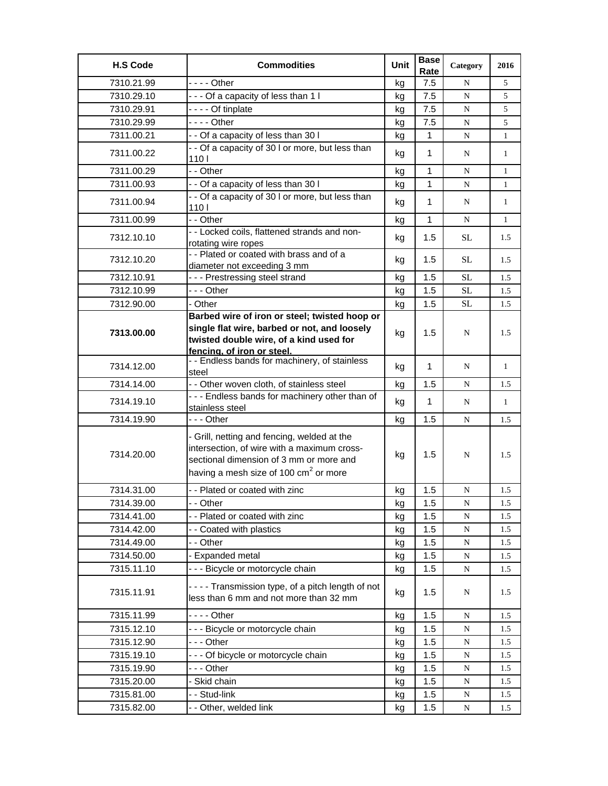| <b>H.S Code</b> | <b>Commodities</b>                                                                                                                                                                       | Unit | <b>Base</b><br>Rate | Category    | 2016         |
|-----------------|------------------------------------------------------------------------------------------------------------------------------------------------------------------------------------------|------|---------------------|-------------|--------------|
| 7310.21.99      | $--$ Other                                                                                                                                                                               | kg   | 7.5                 | N           | 5            |
| 7310.29.10      | --- Of a capacity of less than 1 I                                                                                                                                                       | kg   | 7.5                 | N           | 5            |
| 7310.29.91      | - - - - Of tinplate                                                                                                                                                                      | kg   | 7.5                 | N           | 5            |
| 7310.29.99      | $--$ Other                                                                                                                                                                               | kg   | 7.5                 | N           | 5            |
| 7311.00.21      | - - Of a capacity of less than 30 I                                                                                                                                                      | kg   | $\mathbf{1}$        | N           | $\mathbf{1}$ |
| 7311.00.22      | - - Of a capacity of 30 I or more, but less than<br>1101                                                                                                                                 | kg   | 1                   | N           | $\mathbf{1}$ |
| 7311.00.29      | - - Other                                                                                                                                                                                | kg   | 1                   | N           | $\mathbf{1}$ |
| 7311.00.93      | - - Of a capacity of less than 30 I                                                                                                                                                      | kg   | 1                   | N           | 1            |
| 7311.00.94      | - - Of a capacity of 30 I or more, but less than<br>1101                                                                                                                                 | kg   | 1                   | N           | $\mathbf{1}$ |
| 7311.00.99      | - - Other                                                                                                                                                                                | kg   | 1                   | N           | $\mathbf{1}$ |
| 7312.10.10      | - - Locked coils, flattened strands and non-<br>rotating wire ropes                                                                                                                      | kg   | 1.5                 | <b>SL</b>   | 1.5          |
| 7312.10.20      | - - Plated or coated with brass and of a<br>diameter not exceeding 3 mm                                                                                                                  | kg   | 1.5                 | SL.         | 1.5          |
| 7312.10.91      | --- Prestressing steel strand                                                                                                                                                            | kg   | 1.5                 | <b>SL</b>   | 1.5          |
| 7312.10.99      | --- Other                                                                                                                                                                                | kg   | 1.5                 | <b>SL</b>   | 1.5          |
| 7312.90.00      | - Other                                                                                                                                                                                  | kg   | 1.5                 | SL          | 1.5          |
|                 | Barbed wire of iron or steel; twisted hoop or                                                                                                                                            |      |                     |             |              |
| 7313.00.00      | single flat wire, barbed or not, and loosely<br>twisted double wire, of a kind used for<br>fencing, of iron or steel.                                                                    | kg   | 1.5                 | N           | 1.5          |
| 7314.12.00      | - - Endless bands for machinery, of stainless<br>steel                                                                                                                                   | kg   | 1                   | N           | $\mathbf{1}$ |
| 7314.14.00      | - - Other woven cloth, of stainless steel                                                                                                                                                | kg   | 1.5                 | N           | 1.5          |
| 7314.19.10      | - - - Endless bands for machinery other than of<br>stainless steel                                                                                                                       | kg   | $\mathbf{1}$        | N           | $\mathbf{1}$ |
| 7314.19.90      | --- Other                                                                                                                                                                                | kg   | 1.5                 | N           | 1.5          |
| 7314.20.00      | - Grill, netting and fencing, welded at the<br>intersection, of wire with a maximum cross-<br>sectional dimension of 3 mm or more and<br>having a mesh size of 100 $\text{cm}^2$ or more | kg   | $1.5\,$             | N           | 1.5          |
| 7314.31.00      | - - Plated or coated with zinc                                                                                                                                                           | kg   | 1.5                 | N           | 1.5          |
| 7314.39.00      | - - Other                                                                                                                                                                                | kg   | 1.5                 | N           | 1.5          |
| 7314.41.00      | - - Plated or coated with zinc                                                                                                                                                           | kg   | 1.5                 | N           | 1.5          |
| 7314.42.00      | - - Coated with plastics                                                                                                                                                                 | kg   | 1.5                 | ${\bf N}$   | 1.5          |
| 7314.49.00      | - - Other                                                                                                                                                                                | kg   | 1.5                 | N           | 1.5          |
| 7314.50.00      | - Expanded metal                                                                                                                                                                         | kg   | 1.5                 | $\mathbf N$ | 1.5          |
| 7315.11.10      | - - - Bicycle or motorcycle chain                                                                                                                                                        | kg   | 1.5                 | $\mathbf N$ | 1.5          |
| 7315.11.91      | ---- Transmission type, of a pitch length of not<br>less than 6 mm and not more than 32 mm                                                                                               | kg   | 1.5                 | N           | 1.5          |
| 7315.11.99      | - - - - Other                                                                                                                                                                            | kg   | 1.5                 | N           | 1.5          |
| 7315.12.10      | - - - Bicycle or motorcycle chain                                                                                                                                                        | kg   | 1.5                 | ${\bf N}$   | 1.5          |
| 7315.12.90      | --- Other                                                                                                                                                                                | kg   | 1.5                 | N           | 1.5          |
| 7315.19.10      | --- Of bicycle or motorcycle chain                                                                                                                                                       | kg   | 1.5                 | N           | 1.5          |
| 7315.19.90      | --- Other                                                                                                                                                                                | kg   | 1.5                 | N           | 1.5          |
| 7315.20.00      | - Skid chain                                                                                                                                                                             | kg   | 1.5                 | N           | 1.5          |
| 7315.81.00      | - - Stud-link                                                                                                                                                                            | kg   | $1.5$               | ${\bf N}$   | 1.5          |
| 7315.82.00      | - - Other, welded link                                                                                                                                                                   | kg   | 1.5                 | N           | 1.5          |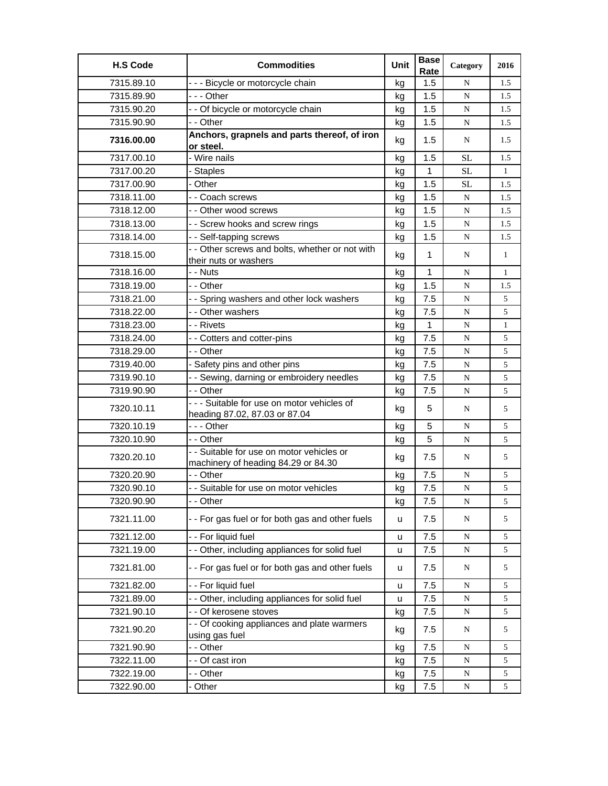| <b>H.S Code</b> | <b>Commodities</b>                                                               | Unit | <b>Base</b><br>Rate | Category  | 2016         |
|-----------------|----------------------------------------------------------------------------------|------|---------------------|-----------|--------------|
| 7315.89.10      | --- Bicycle or motorcycle chain                                                  | kg   | 1.5                 | N         | 1.5          |
| 7315.89.90      | --- Other                                                                        | kg   | 1.5                 | ${\bf N}$ | 1.5          |
| 7315.90.20      | - - Of bicycle or motorcycle chain                                               | kg   | 1.5                 | N         | 1.5          |
| 7315.90.90      | - - Other                                                                        | kg   | 1.5                 | N         | 1.5          |
| 7316.00.00      | Anchors, grapnels and parts thereof, of iron<br>or steel.                        | kg   | 1.5                 | N         | 1.5          |
| 7317.00.10      | - Wire nails                                                                     | kg   | 1.5                 | <b>SL</b> | 1.5          |
| 7317.00.20      | - Staples                                                                        | kg   | $\mathbf{1}$        | <b>SL</b> | $\mathbf{1}$ |
| 7317.00.90      | - Other                                                                          | kg   | 1.5                 | SL        | 1.5          |
| 7318.11.00      | - - Coach screws                                                                 | kg   | 1.5                 | ${\bf N}$ | 1.5          |
| 7318.12.00      | - - Other wood screws                                                            | kg   | 1.5                 | N         | 1.5          |
| 7318.13.00      | - - Screw hooks and screw rings                                                  | kg   | 1.5                 | ${\bf N}$ | 1.5          |
| 7318.14.00      | - - Self-tapping screws                                                          | kg   | 1.5                 | N         | 1.5          |
| 7318.15.00      | - - Other screws and bolts, whether or not with<br>their nuts or washers         | kg   | $\mathbf{1}$        | N         | $\mathbf{1}$ |
| 7318.16.00      | - - Nuts                                                                         | kg   | $\mathbf{1}$        | ${\bf N}$ | $\mathbf{1}$ |
| 7318.19.00      | - - Other                                                                        | kg   | 1.5                 | N         | 1.5          |
| 7318.21.00      | - - Spring washers and other lock washers                                        | kg   | 7.5                 | ${\bf N}$ | 5            |
| 7318.22.00      | - - Other washers                                                                | kg   | 7.5                 | ${\bf N}$ | 5            |
| 7318.23.00      | - - Rivets                                                                       | kg   | $\mathbf{1}$        | N         | $\mathbf{1}$ |
| 7318.24.00      | - - Cotters and cotter-pins                                                      | kg   | 7.5                 | N         | 5            |
| 7318.29.00      | - - Other                                                                        | kg   | 7.5                 | N         | 5            |
| 7319.40.00      | - Safety pins and other pins                                                     | kg   | 7.5                 | ${\bf N}$ | 5            |
| 7319.90.10      | - - Sewing, darning or embroidery needles                                        | kg   | 7.5                 | ${\bf N}$ | 5            |
| 7319.90.90      | - - Other                                                                        | kg   | 7.5                 | N         | 5            |
| 7320.10.11      | - - - Suitable for use on motor vehicles of<br>heading 87.02, 87.03 or 87.04     | kg   | 5                   | N         | 5            |
| 7320.10.19      | --- Other                                                                        | kg   | 5                   | ${\bf N}$ | 5            |
| 7320.10.90      | - - Other                                                                        | kg   | 5                   | N         | 5            |
| 7320.20.10      | - - Suitable for use on motor vehicles or<br>machinery of heading 84.29 or 84.30 | kg   | 7.5                 | N         | 5            |
| 7320.20.90      | - - Other                                                                        | kg   | 7.5                 | ${\bf N}$ | 5            |
| 7320.90.10      | - - Suitable for use on motor vehicles                                           | kg   | 7.5                 | ${\bf N}$ | 5            |
| 7320.90.90      | - - Other                                                                        | kg   | 7.5                 | N         | 5            |
| 7321.11.00      | - - For gas fuel or for both gas and other fuels                                 | u    | 7.5                 | N         | 5            |
| 7321.12.00      | - - For liquid fuel                                                              | u    | 7.5                 | N         | 5            |
| 7321.19.00      | - - Other, including appliances for solid fuel                                   | u    | 7.5                 | N         | 5            |
| 7321.81.00      | - - For gas fuel or for both gas and other fuels                                 | u    | 7.5                 | N         | 5            |
| 7321.82.00      | - - For liquid fuel                                                              | u    | 7.5                 | N         | 5            |
| 7321.89.00      | - - Other, including appliances for solid fuel                                   | u    | 7.5                 | ${\bf N}$ | 5            |
| 7321.90.10      | - - Of kerosene stoves                                                           | kg   | 7.5                 | N         | 5            |
| 7321.90.20      | - - Of cooking appliances and plate warmers<br>using gas fuel                    | kg   | 7.5                 | N         | 5            |
| 7321.90.90      | - - Other                                                                        | kg   | 7.5                 | N         | 5            |
| 7322.11.00      | - - Of cast iron                                                                 | kg   | 7.5                 | ${\bf N}$ | 5            |
| 7322.19.00      | - - Other                                                                        | kg   | 7.5                 | N         | 5            |
| 7322.90.00      | - Other                                                                          | kg   | 7.5                 | N         | 5            |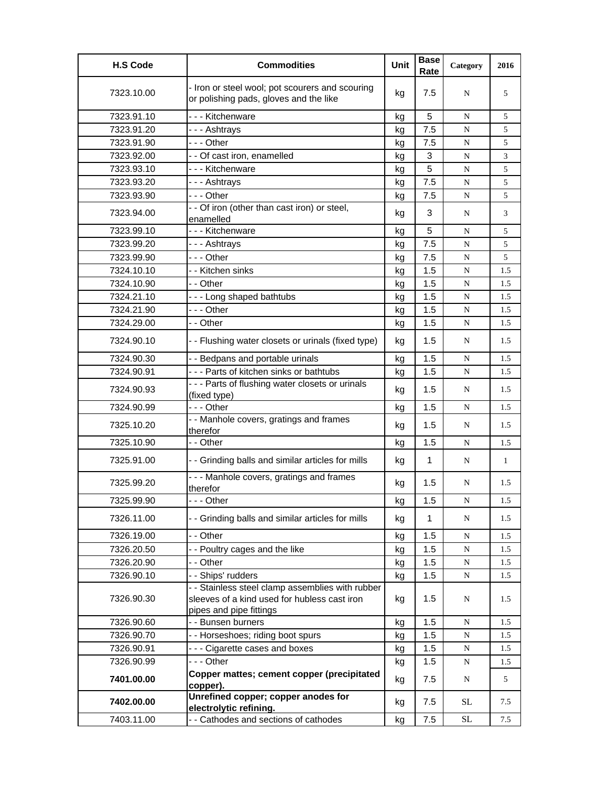| <b>H.S Code</b> | <b>Commodities</b>                                                                                                          | Unit | <b>Base</b><br>Rate | Category  | 2016 |
|-----------------|-----------------------------------------------------------------------------------------------------------------------------|------|---------------------|-----------|------|
| 7323.10.00      | - Iron or steel wool; pot scourers and scouring<br>or polishing pads, gloves and the like                                   | kg   | 7.5                 | N         | 5    |
| 7323.91.10      | - - - Kitchenware                                                                                                           | kg   | 5                   | N         | 5    |
| 7323.91.20      | --- Ashtrays                                                                                                                | kg   | 7.5                 | N         | 5    |
| 7323.91.90      | - - - Other                                                                                                                 | kg   | 7.5                 | N         | 5    |
| 7323.92.00      | - - Of cast iron, enamelled                                                                                                 | kg   | 3                   | N         | 3    |
| 7323.93.10      | --- Kitchenware                                                                                                             | kg   | 5                   | ${\bf N}$ | 5    |
| 7323.93.20      | --- Ashtrays                                                                                                                | kg   | 7.5                 | N         | 5    |
| 7323.93.90      | $- -$ Other                                                                                                                 | kg   | 7.5                 | N         | 5    |
| 7323.94.00      | - - Of iron (other than cast iron) or steel,<br>enamelled                                                                   | kg   | 3                   | N         | 3    |
| 7323.99.10      | - - - Kitchenware                                                                                                           | kg   | 5                   | N         | 5    |
| 7323.99.20      | --- Ashtrays                                                                                                                | kg   | 7.5                 | N         | 5    |
| 7323.99.90      | - - - Other                                                                                                                 | kg   | 7.5                 | N         | 5    |
| 7324.10.10      | - - Kitchen sinks                                                                                                           | kg   | 1.5                 | ${\bf N}$ | 1.5  |
| 7324.10.90      | - - Other                                                                                                                   | kg   | 1.5                 | N         | 1.5  |
| 7324.21.10      | --- Long shaped bathtubs                                                                                                    | kg   | 1.5                 | N         | 1.5  |
| 7324.21.90      | --- Other                                                                                                                   | kg   | 1.5                 | N         | 1.5  |
| 7324.29.00      | - - Other                                                                                                                   | kg   | 1.5                 | ${\bf N}$ | 1.5  |
| 7324.90.10      | - - Flushing water closets or urinals (fixed type)                                                                          | kg   | 1.5                 | N         | 1.5  |
| 7324.90.30      | - - Bedpans and portable urinals                                                                                            | kg   | 1.5                 | N         | 1.5  |
| 7324.90.91      | --- Parts of kitchen sinks or bathtubs                                                                                      | kg   | 1.5                 | N         | 1.5  |
| 7324.90.93      | - - - Parts of flushing water closets or urinals<br>(fixed type)                                                            | kg   | 1.5                 | N         | 1.5  |
| 7324.90.99      | - - - Other                                                                                                                 | kg   | 1.5                 | N         | 1.5  |
| 7325.10.20      | - - Manhole covers, gratings and frames<br>therefor                                                                         | kg   | 1.5                 | N         | 1.5  |
| 7325.10.90      | - - Other                                                                                                                   | kg   | 1.5                 | N         | 1.5  |
| 7325.91.00      | - - Grinding balls and similar articles for mills                                                                           | kg   | $\mathbf{1}$        | N         | 1    |
| 7325.99.20      | --- Manhole covers, gratings and frames<br>therefor                                                                         | kg   | 1.5                 | N         | 1.5  |
| 7325.99.90      | --- Other                                                                                                                   | kg   | 1.5                 | N         | 1.5  |
| 7326.11.00      | - - Grinding balls and similar articles for mills                                                                           | kg   | 1                   | N         | 1.5  |
| 7326.19.00      | - - Other                                                                                                                   | kg   | 1.5                 | N         | 1.5  |
| 7326.20.50      | - - Poultry cages and the like                                                                                              | kg   | 1.5                 | N         | 1.5  |
| 7326.20.90      | - - Other                                                                                                                   | kg   | 1.5                 | N         | 1.5  |
| 7326.90.10      | - - Ships' rudders                                                                                                          | kg   | 1.5                 | ${\bf N}$ | 1.5  |
| 7326.90.30      | - - Stainless steel clamp assemblies with rubber<br>sleeves of a kind used for hubless cast iron<br>pipes and pipe fittings | kg   | 1.5                 | N         | 1.5  |
| 7326.90.60      | - - Bunsen burners                                                                                                          | kg   | 1.5                 | N         | 1.5  |
| 7326.90.70      | - - Horseshoes; riding boot spurs                                                                                           | kg   | 1.5                 | N         | 1.5  |
| 7326.90.91      | --- Cigarette cases and boxes                                                                                               | kg   | 1.5                 | ${\bf N}$ | 1.5  |
| 7326.90.99      | --- Other                                                                                                                   | kg   | 1.5                 | N         | 1.5  |
| 7401.00.00      | Copper mattes; cement copper (precipitated<br>copper).                                                                      | kg   | 7.5                 | N         | 5    |
| 7402.00.00      | Unrefined copper; copper anodes for<br>electrolytic refining.                                                               | kg   | 7.5                 | <b>SL</b> | 7.5  |
| 7403.11.00      | - - Cathodes and sections of cathodes                                                                                       | kg   | 7.5                 | <b>SL</b> | 7.5  |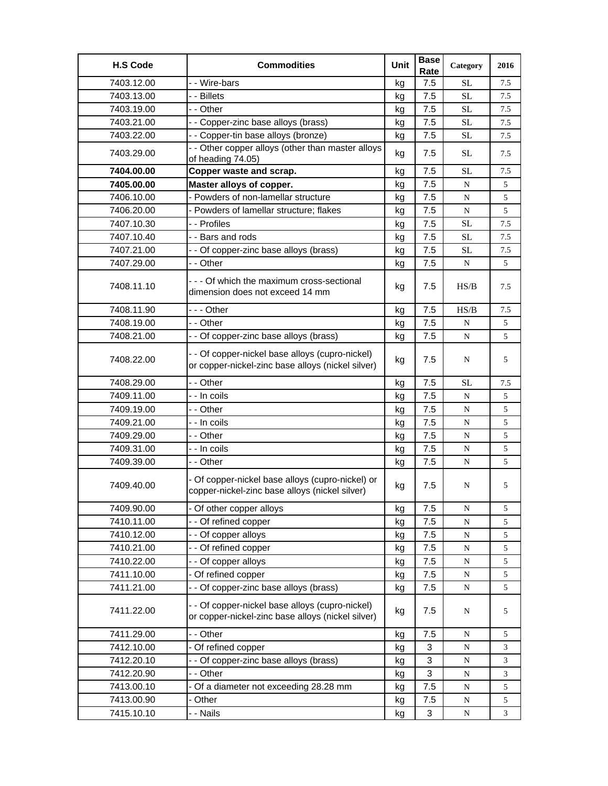| <b>H.S Code</b> | <b>Commodities</b>                                                                                   | Unit | <b>Base</b><br>Rate | Category  | 2016 |
|-----------------|------------------------------------------------------------------------------------------------------|------|---------------------|-----------|------|
| 7403.12.00      | - - Wire-bars                                                                                        | kg   | 7.5                 | <b>SL</b> | 7.5  |
| 7403.13.00      | - - Billets                                                                                          | kg   | 7.5                 | <b>SL</b> | 7.5  |
| 7403.19.00      | - - Other                                                                                            | kg   | 7.5                 | <b>SL</b> | 7.5  |
| 7403.21.00      | - - Copper-zinc base alloys (brass)                                                                  | kg   | 7.5                 | $\rm SL$  | 7.5  |
| 7403.22.00      | - - Copper-tin base alloys (bronze)                                                                  | kg   | 7.5                 | <b>SL</b> | 7.5  |
| 7403.29.00      | - - Other copper alloys (other than master alloys<br>of heading 74.05)                               | kg   | 7.5                 | <b>SL</b> | 7.5  |
| 7404.00.00      | Copper waste and scrap.                                                                              | kg   | 7.5                 | <b>SL</b> | 7.5  |
| 7405.00.00      | Master alloys of copper.                                                                             | kg   | 7.5                 | N         | 5    |
| 7406.10.00      | - Powders of non-lamellar structure                                                                  | kg   | 7.5                 | ${\bf N}$ | 5    |
| 7406.20.00      | - Powders of lamellar structure; flakes                                                              | kg   | 7.5                 | N         | 5    |
| 7407.10.30      | - - Profiles                                                                                         | kg   | 7.5                 | <b>SL</b> | 7.5  |
| 7407.10.40      | - - Bars and rods                                                                                    | kg   | 7.5                 | <b>SL</b> | 7.5  |
| 7407.21.00      | - - Of copper-zinc base alloys (brass)                                                               | kg   | 7.5                 | SL        | 7.5  |
| 7407.29.00      | - - Other                                                                                            | kg   | 7.5                 | N         | 5    |
| 7408.11.10      | - - - Of which the maximum cross-sectional<br>dimension does not exceed 14 mm                        | kg   | 7.5                 | HS/B      | 7.5  |
| 7408.11.90      | - - - Other                                                                                          | kg   | 7.5                 | HS/B      | 7.5  |
| 7408.19.00      | - - Other                                                                                            | kg   | 7.5                 | N         | 5    |
| 7408.21.00      | - - Of copper-zinc base alloys (brass)                                                               | kg   | 7.5                 | ${\bf N}$ | 5    |
| 7408.22.00      | - - Of copper-nickel base alloys (cupro-nickel)<br>or copper-nickel-zinc base alloys (nickel silver) | kg   | 7.5                 | N         | 5    |
| 7408.29.00      | - - Other                                                                                            | kg   | 7.5                 | <b>SL</b> | 7.5  |
| 7409.11.00      | - - In coils                                                                                         | kg   | 7.5                 | N         | 5    |
| 7409.19.00      | - - Other                                                                                            | kg   | 7.5                 | ${\bf N}$ | 5    |
| 7409.21.00      | - - In coils                                                                                         | kg   | 7.5                 | N         | 5    |
| 7409.29.00      | - - Other                                                                                            | kg   | 7.5                 | ${\bf N}$ | 5    |
| 7409.31.00      | - - In coils                                                                                         | kg   | 7.5                 | N         | 5    |
| 7409.39.00      | - - Other                                                                                            | kg   | 7.5                 | N         | 5    |
| 7409.40.00      | - Of copper-nickel base alloys (cupro-nickel) or<br>copper-nickel-zinc base alloys (nickel silver)   | kg   | 7.5                 | N         | 5    |
| 7409.90.00      | - Of other copper alloys                                                                             | kg   | 7.5                 | ${\bf N}$ | 5    |
| 7410.11.00      | -- Of refined copper                                                                                 | kg   | 7.5                 | ${\bf N}$ | 5    |
| 7410.12.00      | - - Of copper alloys                                                                                 | kg   | 7.5                 | ${\bf N}$ | 5    |
| 7410.21.00      | - - Of refined copper                                                                                | kg   | 7.5                 | ${\bf N}$ | 5    |
| 7410.22.00      | - - Of copper alloys                                                                                 | kg   | 7.5                 | ${\bf N}$ | 5    |
| 7411.10.00      | - Of refined copper                                                                                  | kg   | 7.5                 | ${\bf N}$ | 5    |
| 7411.21.00      | - - Of copper-zinc base alloys (brass)                                                               | kg   | 7.5                 | ${\bf N}$ | 5    |
| 7411.22.00      | - - Of copper-nickel base alloys (cupro-nickel)<br>or copper-nickel-zinc base alloys (nickel silver) | kg   | 7.5                 | N         | 5    |
| 7411.29.00      | - - Other                                                                                            | kg   | 7.5                 | N         | 5    |
| 7412.10.00      | - Of refined copper                                                                                  | kg   | 3                   | ${\bf N}$ | 3    |
| 7412.20.10      | - - Of copper-zinc base alloys (brass)                                                               | kg   | 3                   | ${\bf N}$ | 3    |
| 7412.20.90      | - - Other                                                                                            | kg   | $\mathbf{3}$        | ${\bf N}$ | 3    |
| 7413.00.10      | - Of a diameter not exceeding 28.28 mm                                                               | kg   | 7.5                 | ${\bf N}$ | 5    |
| 7413.00.90      | - Other                                                                                              | kg   | 7.5                 | ${\bf N}$ | 5    |
| 7415.10.10      | - - Nails                                                                                            | kg   | $\mathbf{3}$        | N         | 3    |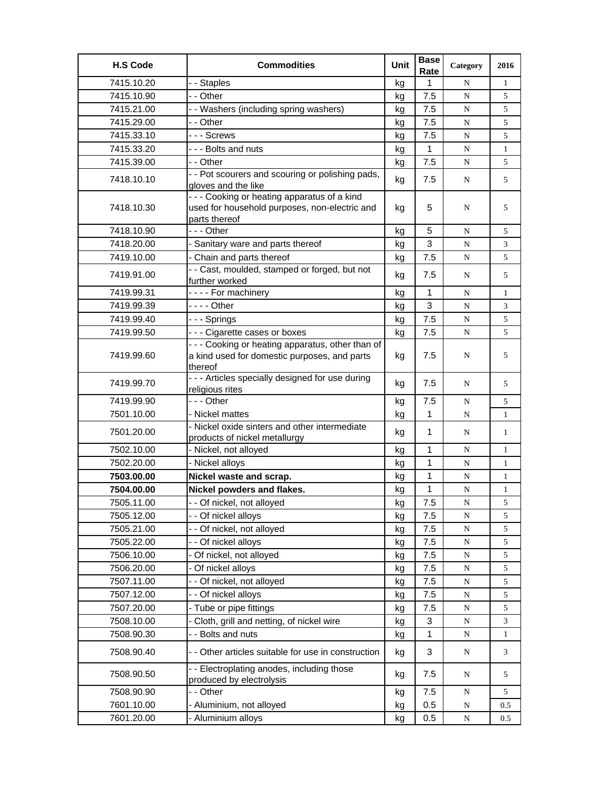| <b>H.S Code</b> | <b>Commodities</b>                                                                                           | Unit | <b>Base</b><br>Rate | Category  | 2016         |
|-----------------|--------------------------------------------------------------------------------------------------------------|------|---------------------|-----------|--------------|
| 7415.10.20      | - - Staples                                                                                                  | kg   | $\mathbf{1}$        | N         | 1            |
| 7415.10.90      | - - Other                                                                                                    | kg   | 7.5                 | ${\bf N}$ | 5            |
| 7415.21.00      | - - Washers (including spring washers)                                                                       | kg   | 7.5                 | N         | 5            |
| 7415.29.00      | - - Other                                                                                                    | kg   | 7.5                 | N         | 5            |
| 7415.33.10      | --- Screws                                                                                                   | kg   | 7.5                 | N         | 5            |
| 7415.33.20      | --- Bolts and nuts                                                                                           | kg   | 1                   | N         | $\mathbf{1}$ |
| 7415.39.00      | - - Other                                                                                                    | kg   | 7.5                 | ${\bf N}$ | 5            |
| 7418.10.10      | - - Pot scourers and scouring or polishing pads,<br>gloves and the like                                      | kg   | 7.5                 | N         | 5            |
| 7418.10.30      | --- Cooking or heating apparatus of a kind<br>used for household purposes, non-electric and<br>parts thereof | kg   | 5                   | N         | 5            |
| 7418.10.90      | --- Other                                                                                                    | kg   | 5                   | N         | 5            |
| 7418.20.00      | - Sanitary ware and parts thereof                                                                            | kg   | 3                   | N         | 3            |
| 7419.10.00      | - Chain and parts thereof                                                                                    | kg   | 7.5                 | ${\bf N}$ | 5            |
| 7419.91.00      | - - Cast, moulded, stamped or forged, but not<br>further worked                                              | kg   | 7.5                 | N         | 5            |
| 7419.99.31      | ---- For machinery                                                                                           | kg   | $\mathbf{1}$        | N         | $\mathbf{1}$ |
| 7419.99.39      |                                                                                                              | kg   | 3                   | N         | 3            |
| 7419.99.40      | - - - Springs                                                                                                | kg   | 7.5                 | N         | 5            |
| 7419.99.50      | --- Cigarette cases or boxes                                                                                 | kg   | 7.5                 | N         | 5            |
| 7419.99.60      | - - - Cooking or heating apparatus, other than of<br>a kind used for domestic purposes, and parts<br>thereof | kg   | 7.5                 | N         | 5            |
| 7419.99.70      | - - - Articles specially designed for use during<br>religious rites                                          | kg   | 7.5                 | N         | 5            |
| 7419.99.90      | --- Other                                                                                                    | kg   | 7.5                 | N         | 5            |
| 7501.10.00      | - Nickel mattes                                                                                              | kg   | $\mathbf{1}$        | N         | $\mathbf{1}$ |
| 7501.20.00      | - Nickel oxide sinters and other intermediate<br>products of nickel metallurgy                               | kg   | $\mathbf{1}$        | N         | $\mathbf{1}$ |
| 7502.10.00      | - Nickel, not alloyed                                                                                        | kg   | 1                   | N         | $\mathbf{1}$ |
| 7502.20.00      | - Nickel alloys                                                                                              | kg   | 1                   | N         | $\mathbf{1}$ |
| 7503.00.00      | Nickel waste and scrap.                                                                                      | kg   | 1                   | N         | $\mathbf{1}$ |
| 7504.00.00      | Nickel powders and flakes.                                                                                   | kg   | 1                   | ${\bf N}$ | $\mathbf{1}$ |
| 7505.11.00      | - - Of nickel, not alloyed                                                                                   | kg   | 7.5                 | ${\bf N}$ | 5            |
| 7505.12.00      | - - Of nickel alloys                                                                                         | kg   | 7.5                 | ${\bf N}$ | 5            |
| 7505.21.00      | - - Of nickel, not alloyed                                                                                   | kg   | 7.5                 | ${\bf N}$ | 5            |
| 7505.22.00      | - - Of nickel alloys                                                                                         | kg   | 7.5                 | ${\bf N}$ | 5            |
| 7506.10.00      | Of nickel, not alloyed                                                                                       | kg   | 7.5                 | N         | 5            |
| 7506.20.00      | - Of nickel alloys                                                                                           | kg   | 7.5                 | ${\bf N}$ | 5            |
| 7507.11.00      | - - Of nickel, not alloyed                                                                                   | kg   | 7.5                 | ${\bf N}$ | 5            |
| 7507.12.00      | - - Of nickel alloys                                                                                         | kg   | 7.5                 | ${\bf N}$ | 5            |
| 7507.20.00      | - Tube or pipe fittings                                                                                      | kg   | 7.5                 | ${\bf N}$ | 5            |
| 7508.10.00      | - Cloth, grill and netting, of nickel wire                                                                   | kg   | 3                   | ${\bf N}$ | 3            |
| 7508.90.30      | - - Bolts and nuts                                                                                           | kg   | 1                   | N         | 1            |
| 7508.90.40      | - - Other articles suitable for use in construction                                                          | kg   | 3                   | N         | 3            |
| 7508.90.50      | - - Electroplating anodes, including those<br>produced by electrolysis                                       | kg   | 7.5                 | N         | 5            |
| 7508.90.90      | - - Other                                                                                                    | kg   | 7.5                 | N         | 5            |
| 7601.10.00      | - Aluminium, not alloyed                                                                                     | kg   | 0.5                 | N         | 0.5          |
| 7601.20.00      | Aluminium alloys                                                                                             | kg   | 0.5                 | ${\bf N}$ | 0.5          |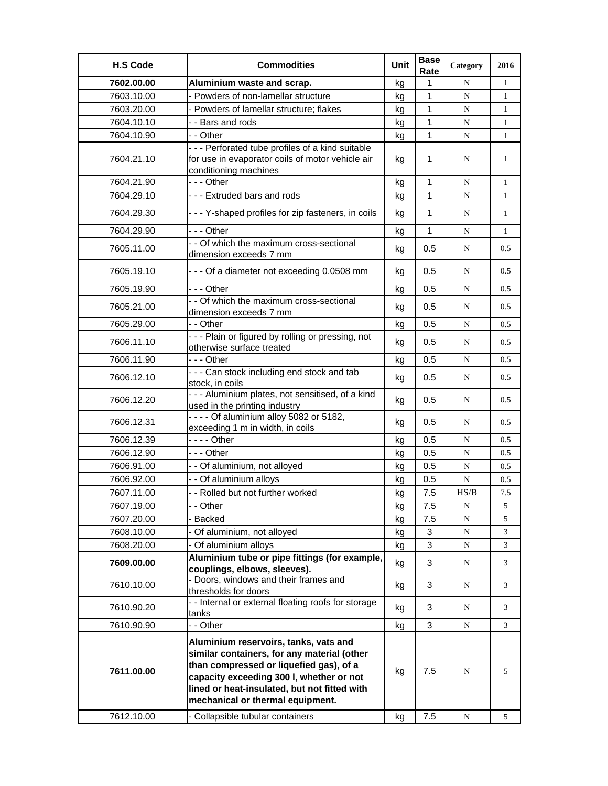| <b>H.S Code</b> | <b>Commodities</b>                                                                                                                                                                                                                                              | Unit | <b>Base</b><br>Rate | Category  | 2016         |
|-----------------|-----------------------------------------------------------------------------------------------------------------------------------------------------------------------------------------------------------------------------------------------------------------|------|---------------------|-----------|--------------|
| 7602.00.00      | Aluminium waste and scrap.                                                                                                                                                                                                                                      | kg   | 1                   | N         | 1            |
| 7603.10.00      | - Powders of non-lamellar structure                                                                                                                                                                                                                             | kq   | 1                   | N         | $\mathbf{1}$ |
| 7603.20.00      | - Powders of lamellar structure; flakes                                                                                                                                                                                                                         | kg   | 1                   | N         | 1            |
| 7604.10.10      | - - Bars and rods                                                                                                                                                                                                                                               | kg   | $\mathbf{1}$        | N         | $\mathbf{1}$ |
| 7604.10.90      | - - Other                                                                                                                                                                                                                                                       | kg   | $\mathbf{1}$        | N         | 1            |
| 7604.21.10      | - - - Perforated tube profiles of a kind suitable<br>for use in evaporator coils of motor vehicle air<br>conditioning machines                                                                                                                                  | kg   | 1                   | N         | 1            |
| 7604.21.90      | --- Other                                                                                                                                                                                                                                                       | kg   | 1                   | N         | 1            |
| 7604.29.10      | --- Extruded bars and rods                                                                                                                                                                                                                                      | kg   | $\mathbf{1}$        | ${\bf N}$ | $\mathbf{1}$ |
| 7604.29.30      | - - - Y-shaped profiles for zip fasteners, in coils                                                                                                                                                                                                             | kg   | $\mathbf{1}$        | N         | 1            |
| 7604.29.90      | - - - Other                                                                                                                                                                                                                                                     | kg   | 1                   | N         | $\mathbf{1}$ |
| 7605.11.00      | - - Of which the maximum cross-sectional<br>dimension exceeds 7 mm                                                                                                                                                                                              | kg   | 0.5                 | N         | 0.5          |
| 7605.19.10      | --- Of a diameter not exceeding 0.0508 mm                                                                                                                                                                                                                       | kg   | 0.5                 | N         | 0.5          |
| 7605.19.90      | -  - - Other                                                                                                                                                                                                                                                    | kg   | 0.5                 | N         | 0.5          |
| 7605.21.00      | - - Of which the maximum cross-sectional<br>dimension exceeds 7 mm                                                                                                                                                                                              | kg   | 0.5                 | N         | 0.5          |
| 7605.29.00      | - - Other                                                                                                                                                                                                                                                       | kg   | 0.5                 | N         | 0.5          |
| 7606.11.10      | - - - Plain or figured by rolling or pressing, not<br>otherwise surface treated                                                                                                                                                                                 | kg   | 0.5                 | N         | 0.5          |
| 7606.11.90      | --- Other                                                                                                                                                                                                                                                       | kg   | 0.5                 | N         | 0.5          |
| 7606.12.10      | - - - Can stock including end stock and tab<br>stock, in coils                                                                                                                                                                                                  | kg   | 0.5                 | N         | 0.5          |
| 7606.12.20      | - - - Aluminium plates, not sensitised, of a kind<br>used in the printing industry                                                                                                                                                                              | kg   | 0.5                 | N         | 0.5          |
| 7606.12.31      | - - - - Of aluminium alloy 5082 or 5182,<br>exceeding 1 m in width, in coils                                                                                                                                                                                    | kg   | 0.5                 | N         | 0.5          |
| 7606.12.39      | - - - - Other                                                                                                                                                                                                                                                   | kg   | 0.5                 | N         | 0.5          |
| 7606.12.90      | --- Other                                                                                                                                                                                                                                                       | kg   | 0.5                 | N         | 0.5          |
| 7606.91.00      | - - Of aluminium, not alloyed                                                                                                                                                                                                                                   | kg   | 0.5                 | ${\bf N}$ | 0.5          |
| 7606.92.00      | - - Of aluminium alloys                                                                                                                                                                                                                                         | kg   | 0.5                 | ${\bf N}$ | 0.5          |
| 7607.11.00      | - - Rolled but not further worked                                                                                                                                                                                                                               | kg   | 7.5                 | HS/B      | 7.5          |
| 7607.19.00      | - - Other                                                                                                                                                                                                                                                       | kg   | 7.5                 | N         | 5            |
| 7607.20.00      | Backed                                                                                                                                                                                                                                                          | kg   | 7.5                 | N         | 5            |
| 7608.10.00      | Of aluminium, not alloyed                                                                                                                                                                                                                                       | kg   | 3                   | N         | 3            |
| 7608.20.00      | - Of aluminium alloys                                                                                                                                                                                                                                           | kg   | 3                   | ${\bf N}$ | 3            |
| 7609.00.00      | Aluminium tube or pipe fittings (for example,<br>couplings, elbows, sleeves).                                                                                                                                                                                   | kg   | 3                   | N         | 3            |
| 7610.10.00      | - Doors, windows and their frames and<br>thresholds for doors                                                                                                                                                                                                   | kg   | 3                   | N         | 3            |
| 7610.90.20      | - - Internal or external floating roofs for storage<br>tanks                                                                                                                                                                                                    | kg   | 3                   | N         | 3            |
| 7610.90.90      | - - Other                                                                                                                                                                                                                                                       | kg   | 3                   | N         | 3            |
| 7611.00.00      | Aluminium reservoirs, tanks, vats and<br>similar containers, for any material (other<br>than compressed or liquefied gas), of a<br>capacity exceeding 300 l, whether or not<br>lined or heat-insulated, but not fitted with<br>mechanical or thermal equipment. | kg   | 7.5                 | N         | 5            |
| 7612.10.00      | - Collapsible tubular containers                                                                                                                                                                                                                                | kg   | 7.5                 | N         | 5            |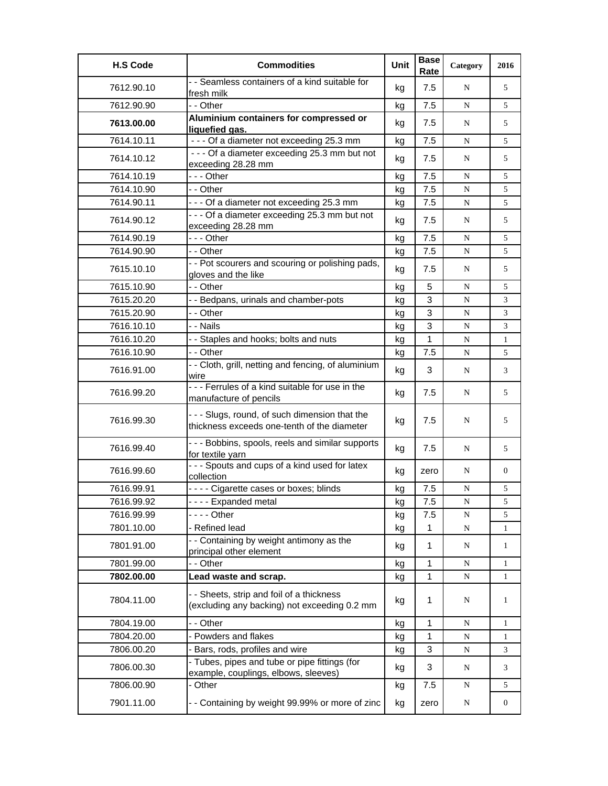| <b>H.S Code</b> | <b>Commodities</b>                                                                            | Unit | <b>Base</b><br>Rate | Category  | 2016           |
|-----------------|-----------------------------------------------------------------------------------------------|------|---------------------|-----------|----------------|
| 7612.90.10      | - - Seamless containers of a kind suitable for<br>fresh milk                                  | kg   | 7.5                 | N         | 5              |
| 7612.90.90      | - - Other                                                                                     | kg   | 7.5                 | N         | 5              |
| 7613.00.00      | Aluminium containers for compressed or<br>liquefied gas.                                      | kg   | 7.5                 | N         | 5              |
| 7614.10.11      | --- Of a diameter not exceeding 25.3 mm                                                       | kg   | 7.5                 | N         | 5              |
| 7614.10.12      | - - - Of a diameter exceeding 25.3 mm but not<br>exceeding 28.28 mm                           | kg   | 7.5                 | N         | 5              |
| 7614.10.19      | --- Other                                                                                     | kg   | 7.5                 | N         | 5              |
| 7614.10.90      | - - Other                                                                                     | kg   | 7.5                 | N         | 5              |
| 7614.90.11      | --- Of a diameter not exceeding 25.3 mm                                                       | kg   | 7.5                 | N         | 5              |
| 7614.90.12      | - - - Of a diameter exceeding 25.3 mm but not<br>exceeding 28.28 mm                           | kg   | 7.5                 | N         | 5              |
| 7614.90.19      | --- Other                                                                                     | kg   | 7.5                 | N         | 5              |
| 7614.90.90      | - - Other                                                                                     | kg   | 7.5                 | ${\bf N}$ | 5              |
| 7615.10.10      | - - Pot scourers and scouring or polishing pads,<br>gloves and the like                       | kg   | 7.5                 | N         | 5              |
| 7615.10.90      | - - Other                                                                                     | kg   | 5                   | N         | 5              |
| 7615.20.20      | - - Bedpans, urinals and chamber-pots                                                         | kg   | 3                   | N         | 3              |
| 7615.20.90      | - - Other                                                                                     | kg   | 3                   | N         | 3              |
| 7616.10.10      | - - Nails                                                                                     | kg   | 3                   | N         | 3              |
| 7616.10.20      | - - Staples and hooks; bolts and nuts                                                         | kg   | $\mathbf{1}$        | N         | $\mathbf{1}$   |
| 7616.10.90      | - - Other                                                                                     | kg   | 7.5                 | ${\bf N}$ | 5              |
| 7616.91.00      | - - Cloth, grill, netting and fencing, of aluminium<br>wire                                   | kg   | 3                   | N         | 3              |
| 7616.99.20      | - - - Ferrules of a kind suitable for use in the<br>manufacture of pencils                    | kg   | 7.5                 | N         | 5              |
| 7616.99.30      | - - - Slugs, round, of such dimension that the<br>thickness exceeds one-tenth of the diameter | kg   | 7.5                 | N         | 5              |
| 7616.99.40      | - - - Bobbins, spools, reels and similar supports<br>for textile yarn                         | kg   | 7.5                 | N         | 5              |
| 7616.99.60      | - - - Spouts and cups of a kind used for latex<br>collection                                  | kg   | zero                | N         | $\overline{0}$ |
| 7616.99.91      | - - - - Cigarette cases or boxes; blinds                                                      | kg   | 7.5                 | N         | 5              |
| 7616.99.92      | - - - - Expanded metal                                                                        | kg   | 7.5                 | ${\bf N}$ | 5              |
| 7616.99.99      | - - - - Other                                                                                 | kg   | 7.5                 | N         | 5              |
| 7801.10.00      | - Refined lead                                                                                | kg   | $\mathbf{1}$        | ${\bf N}$ | $\mathbf{1}$   |
| 7801.91.00      | - - Containing by weight antimony as the<br>principal other element                           | kg   | $\mathbf{1}$        | N         | $\mathbf{1}$   |
| 7801.99.00      | - - Other                                                                                     | kg   | 1                   | ${\bf N}$ | 1              |
| 7802.00.00      | Lead waste and scrap.                                                                         | kg   | 1                   | N         | $\mathbf{1}$   |
| 7804.11.00      | - - Sheets, strip and foil of a thickness<br>(excluding any backing) not exceeding 0.2 mm     | kg   | 1                   | N         | 1              |
| 7804.19.00      | - - Other                                                                                     | kg   | 1                   | ${\bf N}$ | $\mathbf{1}$   |
| 7804.20.00      | - Powders and flakes                                                                          | kg   | 1                   | ${\bf N}$ | $\mathbf{1}$   |
| 7806.00.20      | Bars, rods, profiles and wire                                                                 | kg   | 3                   | N         | 3              |
| 7806.00.30      | - Tubes, pipes and tube or pipe fittings (for<br>example, couplings, elbows, sleeves)         | kg   | 3                   | N         | 3              |
| 7806.00.90      | - Other                                                                                       | kg   | 7.5                 | N         | 5              |
| 7901.11.00      | - - Containing by weight 99.99% or more of zinc                                               | kg   | zero                | N         | 0              |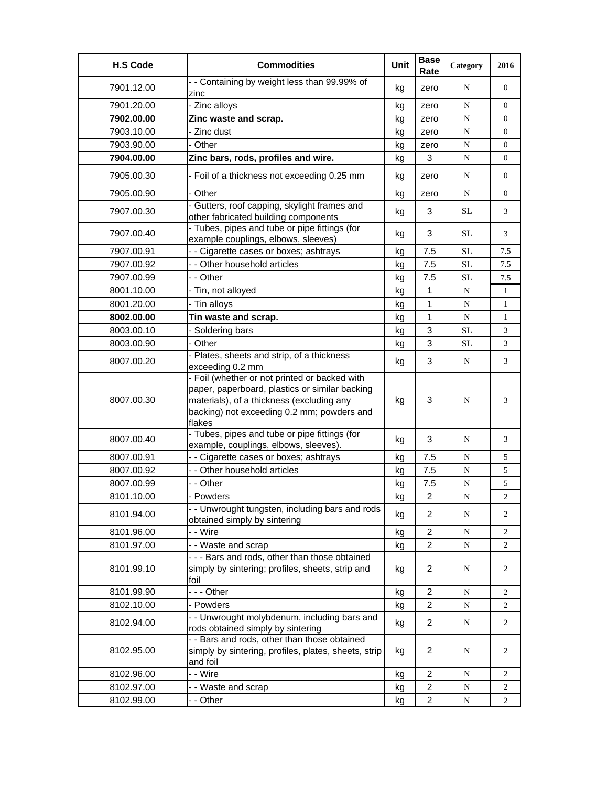| <b>H.S Code</b> | <b>Commodities</b>                                                                                                                                                                                   | Unit | <b>Base</b><br>Rate | Category    | 2016           |
|-----------------|------------------------------------------------------------------------------------------------------------------------------------------------------------------------------------------------------|------|---------------------|-------------|----------------|
| 7901.12.00      | - - Containing by weight less than 99.99% of<br>zinc                                                                                                                                                 | kg   | zero                | N           | $\overline{0}$ |
| 7901.20.00      | - Zinc alloys                                                                                                                                                                                        | kg   | zero                | ${\bf N}$   | $\overline{0}$ |
| 7902.00.00      | Zinc waste and scrap.                                                                                                                                                                                | kg   | zero                | ${\bf N}$   | $\overline{0}$ |
| 7903.10.00      | - Zinc dust                                                                                                                                                                                          | kg   | zero                | ${\bf N}$   | $\overline{0}$ |
| 7903.90.00      | - Other                                                                                                                                                                                              | kg   | zero                | ${\bf N}$   | $\overline{0}$ |
| 7904.00.00      | Zinc bars, rods, profiles and wire.                                                                                                                                                                  | kg   | 3                   | N           | $\overline{0}$ |
| 7905.00.30      | - Foil of a thickness not exceeding 0.25 mm                                                                                                                                                          | kg   | zero                | N           | $\overline{0}$ |
| 7905.00.90      | - Other                                                                                                                                                                                              | kg   | zero                | N           | $\overline{0}$ |
| 7907.00.30      | - Gutters, roof capping, skylight frames and<br>other fabricated building components                                                                                                                 | kg   | 3                   | SL          | 3              |
| 7907.00.40      | - Tubes, pipes and tube or pipe fittings (for<br>example couplings, elbows, sleeves)                                                                                                                 | kg   | 3                   | <b>SL</b>   | 3              |
| 7907.00.91      | - - Cigarette cases or boxes; ashtrays                                                                                                                                                               | kg   | 7.5                 | <b>SL</b>   | 7.5            |
| 7907.00.92      | - - Other household articles                                                                                                                                                                         | kg   | 7.5                 | SL          | 7.5            |
| 7907.00.99      | - - Other                                                                                                                                                                                            | kg   | 7.5                 | $\rm SL$    | 7.5            |
| 8001.10.00      | - Tin, not alloyed                                                                                                                                                                                   | kg   | 1                   | ${\bf N}$   | $\mathbf{1}$   |
| 8001.20.00      | - Tin alloys                                                                                                                                                                                         | kg   | 1                   | ${\bf N}$   | $\mathbf{1}$   |
| 8002.00.00      | Tin waste and scrap.                                                                                                                                                                                 | kg   | 1                   | N           | $\mathbf{1}$   |
| 8003.00.10      | Soldering bars                                                                                                                                                                                       | kg   | 3                   | <b>SL</b>   | 3              |
| 8003.00.90      | - Other                                                                                                                                                                                              | kg   | 3                   | $\rm SL$    | 3              |
| 8007.00.20      | - Plates, sheets and strip, of a thickness<br>exceeding 0.2 mm                                                                                                                                       | kg   | 3                   | N           | 3              |
| 8007.00.30      | - Foil (whether or not printed or backed with<br>paper, paperboard, plastics or similar backing<br>materials), of a thickness (excluding any<br>backing) not exceeding 0.2 mm; powders and<br>flakes | kg   | 3                   | N           | 3              |
| 8007.00.40      | - Tubes, pipes and tube or pipe fittings (for<br>example, couplings, elbows, sleeves).                                                                                                               | kg   | 3                   | N           | 3              |
| 8007.00.91      | - - Cigarette cases or boxes; ashtrays                                                                                                                                                               | kg   | 7.5                 | N           | 5              |
| 8007.00.92      | - - Other household articles                                                                                                                                                                         | kg   | 7.5                 | N           | 5              |
| 8007.00.99      | - - Other                                                                                                                                                                                            | kg   | 7.5                 | ${\bf N}$   | 5              |
| 8101.10.00      | - Powders                                                                                                                                                                                            | kg   | $\overline{2}$      | N           | $\overline{c}$ |
| 8101.94.00      | - - Unwrought tungsten, including bars and rods<br>obtained simply by sintering                                                                                                                      | kg   | $\overline{2}$      | N           | 2              |
| 8101.96.00      | - - Wire                                                                                                                                                                                             | kg   | $\overline{2}$      | ${\bf N}$   | 2              |
| 8101.97.00      | - - Waste and scrap                                                                                                                                                                                  | kg   | $\overline{2}$      | ${\bf N}$   | $\overline{2}$ |
| 8101.99.10      | - - - Bars and rods, other than those obtained<br>simply by sintering; profiles, sheets, strip and<br>foil                                                                                           | kg   | $\overline{2}$      | N           | 2              |
| 8101.99.90      | --- Other                                                                                                                                                                                            | kg   | $\overline{c}$      | N           | 2              |
| 8102.10.00      | - Powders                                                                                                                                                                                            | kg   | $\overline{c}$      | ${\bf N}$   | 2              |
| 8102.94.00      | - - Unwrought molybdenum, including bars and<br>rods obtained simply by sintering                                                                                                                    | kg   | $\overline{2}$      | $\mathbf N$ | 2              |
| 8102.95.00      | - - Bars and rods, other than those obtained<br>simply by sintering, profiles, plates, sheets, strip<br>and foil                                                                                     | kg   | $\overline{2}$      | N           | 2              |
| 8102.96.00      | - - Wire                                                                                                                                                                                             | kg   | $\overline{2}$      | N           | 2              |
| 8102.97.00      | - - Waste and scrap                                                                                                                                                                                  | kg   | 2                   | N           | 2              |
| 8102.99.00      | - - Other                                                                                                                                                                                            | kg   | $\overline{2}$      | N           | 2              |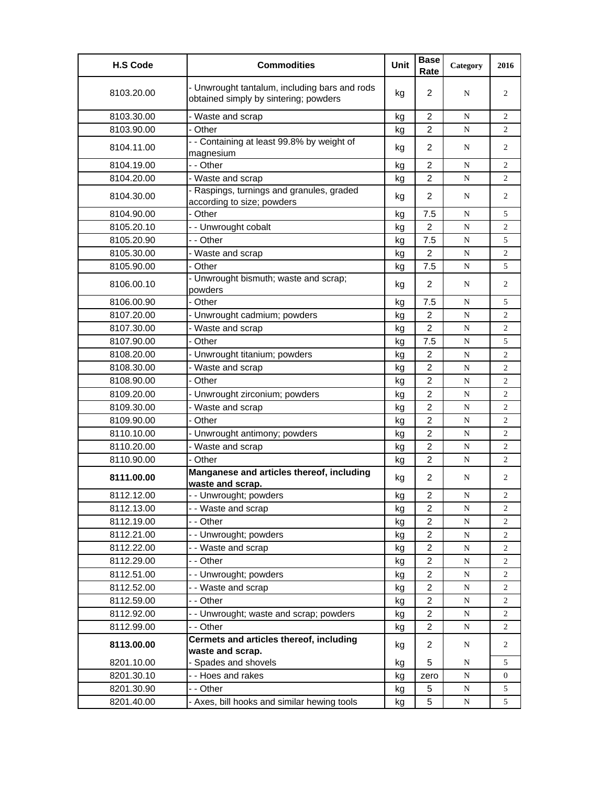| <b>H.S Code</b> | <b>Commodities</b>                                                                     | Unit | <b>Base</b><br>Rate | Category  | 2016           |
|-----------------|----------------------------------------------------------------------------------------|------|---------------------|-----------|----------------|
| 8103.20.00      | - Unwrought tantalum, including bars and rods<br>obtained simply by sintering; powders | kg   | $\overline{2}$      | N         | 2              |
| 8103.30.00      | - Waste and scrap                                                                      | kg   | $\overline{2}$      | N         | $\overline{2}$ |
| 8103.90.00      | - Other                                                                                | kg   | $\overline{2}$      | N         | $\overline{2}$ |
| 8104.11.00      | - - Containing at least 99.8% by weight of<br>magnesium                                | kg   | $\overline{2}$      | N         | $\overline{2}$ |
| 8104.19.00      | - - Other                                                                              | kg   | $\overline{2}$      | N         | $\overline{2}$ |
| 8104.20.00      | - Waste and scrap                                                                      | kg   | $\overline{2}$      | N         | $\overline{2}$ |
| 8104.30.00      | - Raspings, turnings and granules, graded<br>according to size; powders                | kg   | $\overline{2}$      | N         | $\overline{2}$ |
| 8104.90.00      | - Other                                                                                | kg   | 7.5                 | N         | 5              |
| 8105.20.10      | -- Unwrought cobalt                                                                    | kg   | $\overline{2}$      | N         | 2              |
| 8105.20.90      | - - Other                                                                              | kg   | 7.5                 | N         | 5              |
| 8105.30.00      | - Waste and scrap                                                                      | kg   | $\overline{2}$      | N         | $\overline{2}$ |
| 8105.90.00      | - Other                                                                                | kg   | 7.5                 | N         | 5              |
| 8106.00.10      | - Unwrought bismuth; waste and scrap;<br>powders                                       | kg   | 2                   | N         | 2              |
| 8106.00.90      | - Other                                                                                | kg   | 7.5                 | N         | 5              |
| 8107.20.00      | - Unwrought cadmium; powders                                                           | kg   | 2                   | N         | $\overline{2}$ |
| 8107.30.00      | Waste and scrap                                                                        | kg   | $\overline{c}$      | ${\bf N}$ | 2              |
| 8107.90.00      | - Other                                                                                | kg   | 7.5                 | N         | 5              |
| 8108.20.00      | - Unwrought titanium; powders                                                          | kg   | 2                   | N         | $\overline{c}$ |
| 8108.30.00      | - Waste and scrap                                                                      | kg   | $\overline{2}$      | N         | $\overline{c}$ |
| 8108.90.00      | - Other                                                                                | kg   | $\overline{2}$      | N         | $\overline{c}$ |
| 8109.20.00      | Unwrought zirconium; powders                                                           | kg   | $\overline{2}$      | N         | 2              |
| 8109.30.00      | - Waste and scrap                                                                      | kg   | 2                   | N         | $\overline{c}$ |
| 8109.90.00      | - Other                                                                                | kg   | $\overline{c}$      | N         | $\overline{2}$ |
| 8110.10.00      | - Unwrought antimony; powders                                                          | kg   | 2                   | N         | $\overline{2}$ |
| 8110.20.00      | - Waste and scrap                                                                      | kg   | $\overline{2}$      | N         | $\overline{2}$ |
| 8110.90.00      | - Other                                                                                | kg   | $\overline{c}$      | N         | 2              |
| 8111.00.00      | Manganese and articles thereof, including<br>waste and scrap.                          | kg   | $\overline{2}$      | N         | 2              |
| 8112.12.00      | - - Unwrought; powders                                                                 | ka   | 2                   | N         | 2              |
| 8112.13.00      | - - Waste and scrap                                                                    | kg   | $\overline{c}$      | ${\bf N}$ | 2              |
| 8112.19.00      | - - Other                                                                              | kg   | $\overline{2}$      | N         | 2              |
| 8112.21.00      | -- Unwrought; powders                                                                  | kg   | $\overline{2}$      | ${\bf N}$ | $\overline{2}$ |
| 8112.22.00      | - - Waste and scrap                                                                    | kg   | $\overline{2}$      | ${\bf N}$ | $\overline{c}$ |
| 8112.29.00      | - - Other                                                                              | kg   | $\overline{c}$      | N         | 2              |
| 8112.51.00      | -- Unwrought; powders                                                                  | kg   | 2                   | N         | 2              |
| 8112.52.00      | - - Waste and scrap                                                                    | kg   | $\overline{c}$      | N         | 2              |
| 8112.59.00      | - - Other                                                                              | kg   | 2                   | N         | 2              |
| 8112.92.00      | - - Unwrought; waste and scrap; powders                                                | kg   | $\overline{2}$      | ${\bf N}$ | 2              |
| 8112.99.00      | - - Other                                                                              | kg   | $\overline{2}$      | N         | 2              |
| 8113.00.00      | Cermets and articles thereof, including                                                |      | $\overline{2}$      |           |                |
|                 | waste and scrap.                                                                       | kg   |                     | N         | 2              |
| 8201.10.00      | Spades and shovels                                                                     | kg   | 5                   | N         | 5              |
| 8201.30.10      | - - Hoes and rakes                                                                     | kg   | zero                | N         | 0              |
| 8201.30.90      | - - Other                                                                              | kg   | 5                   | N         | 5              |
| 8201.40.00      | - Axes, bill hooks and similar hewing tools                                            | kg   | 5                   | N         | 5              |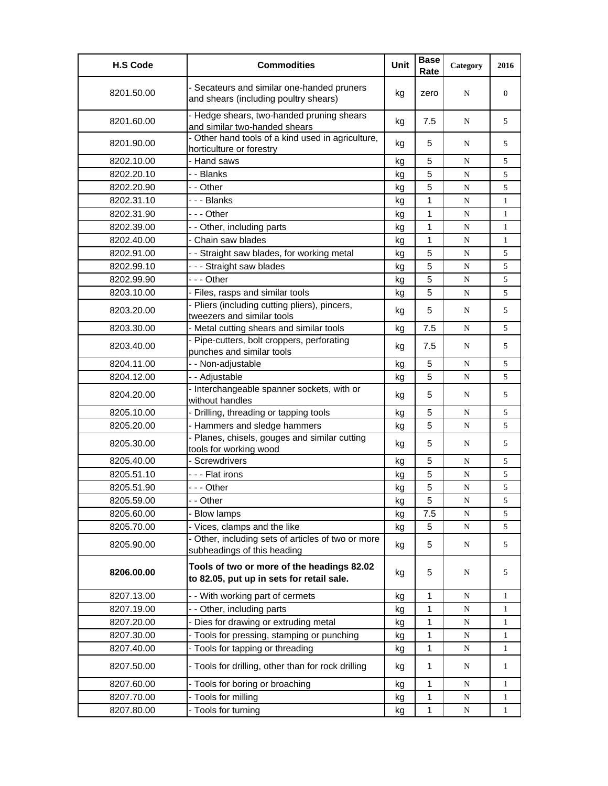| <b>H.S Code</b> | <b>Commodities</b>                                                                      | Unit | <b>Base</b><br>Rate | Category    | 2016           |
|-----------------|-----------------------------------------------------------------------------------------|------|---------------------|-------------|----------------|
| 8201.50.00      | - Secateurs and similar one-handed pruners<br>and shears (including poultry shears)     | kg   | zero                | N           | $\overline{0}$ |
| 8201.60.00      | - Hedge shears, two-handed pruning shears<br>and similar two-handed shears              | kg   | 7.5                 | N           | 5              |
| 8201.90.00      | - Other hand tools of a kind used in agriculture,<br>horticulture or forestry           | kg   | 5                   | N           | 5              |
| 8202.10.00      | - Hand saws                                                                             | kg   | 5                   | N           | 5              |
| 8202.20.10      | - - Blanks                                                                              | kg   | 5                   | N           | 5              |
| 8202.20.90      | - - Other                                                                               | kg   | 5                   | N           | 5              |
| 8202.31.10      | - - - Blanks                                                                            | kg   | 1                   | N           | $\mathbf{1}$   |
| 8202.31.90      | -  - - Other                                                                            | kg   | 1                   | ${\bf N}$   | $\mathbf{1}$   |
| 8202.39.00      | - - Other, including parts                                                              | kg   | 1                   | N           | $\mathbf{1}$   |
| 8202.40.00      | - Chain saw blades                                                                      | kg   | 1                   | N           | $\mathbf{1}$   |
| 8202.91.00      | - - Straight saw blades, for working metal                                              | kg   | 5                   | N           | 5              |
| 8202.99.10      | --- Straight saw blades                                                                 | kg   | 5                   | N           | 5              |
| 8202.99.90      | - - - Other                                                                             | kg   | 5                   | N           | 5              |
| 8203.10.00      | - Files, rasps and similar tools                                                        | kg   | 5                   | ${\bf N}$   | 5              |
| 8203.20.00      | - Pliers (including cutting pliers), pincers,<br>tweezers and similar tools             | kg   | 5                   | N           | 5              |
| 8203.30.00      | - Metal cutting shears and similar tools                                                | kg   | 7.5                 | N           | 5              |
| 8203.40.00      | - Pipe-cutters, bolt croppers, perforating<br>punches and similar tools                 | kg   | 7.5                 | N           | 5              |
| 8204.11.00      | - - Non-adjustable                                                                      | kg   | 5                   | N           | 5              |
| 8204.12.00      | - - Adjustable                                                                          | kg   | 5                   | N           | 5              |
| 8204.20.00      | - Interchangeable spanner sockets, with or<br>without handles                           | kg   | 5                   | N           | 5              |
| 8205.10.00      | - Drilling, threading or tapping tools                                                  | kg   | 5                   | N           | 5              |
| 8205.20.00      | - Hammers and sledge hammers                                                            | kg   | 5                   | N           | 5              |
| 8205.30.00      | - Planes, chisels, gouges and similar cutting<br>tools for working wood                 | kg   | 5                   | N           | 5              |
| 8205.40.00      | - Screwdrivers                                                                          | kg   | 5                   | N           | 5              |
| 8205.51.10      | - - - Flat irons                                                                        | kg   | 5                   | N           | 5              |
| 8205.51.90      | --- Other                                                                               | kg   | 5                   | N           | 5              |
| 8205.59.00      | - - Other                                                                               | kg   | 5                   | N           | 5              |
| 8205.60.00      | - Blow lamps                                                                            | kg   | 7.5                 | N           | 5              |
| 8205.70.00      | - Vices, clamps and the like                                                            | kg   | 5                   | N           | 5              |
| 8205.90.00      | - Other, including sets of articles of two or more<br>subheadings of this heading       | kg   | 5                   | N           | 5              |
| 8206.00.00      | Tools of two or more of the headings 82.02<br>to 82.05, put up in sets for retail sale. | kg   | 5                   | N           | 5              |
| 8207.13.00      | - - With working part of cermets                                                        | kg   | 1                   | N           | 1              |
| 8207.19.00      | -- Other, including parts                                                               | kg   | 1                   | N           | 1              |
| 8207.20.00      | - Dies for drawing or extruding metal                                                   | kg   | 1                   | N           | 1              |
| 8207.30.00      | - Tools for pressing, stamping or punching                                              | kg   | 1                   | N           | 1              |
| 8207.40.00      | - Tools for tapping or threading                                                        | kg   | 1                   | N           | $\mathbf{1}$   |
| 8207.50.00      | - Tools for drilling, other than for rock drilling                                      | kg   | $\mathbf{1}$        | N           | $\mathbf{1}$   |
| 8207.60.00      | - Tools for boring or broaching                                                         | kg   | 1                   | N           | $\mathbf{1}$   |
| 8207.70.00      | - Tools for milling                                                                     | kg   | 1                   | ${\bf N}$   | 1              |
| 8207.80.00      | - Tools for turning                                                                     | kg   | $\mathbf{1}$        | $\mathbf N$ | $\mathbf{1}$   |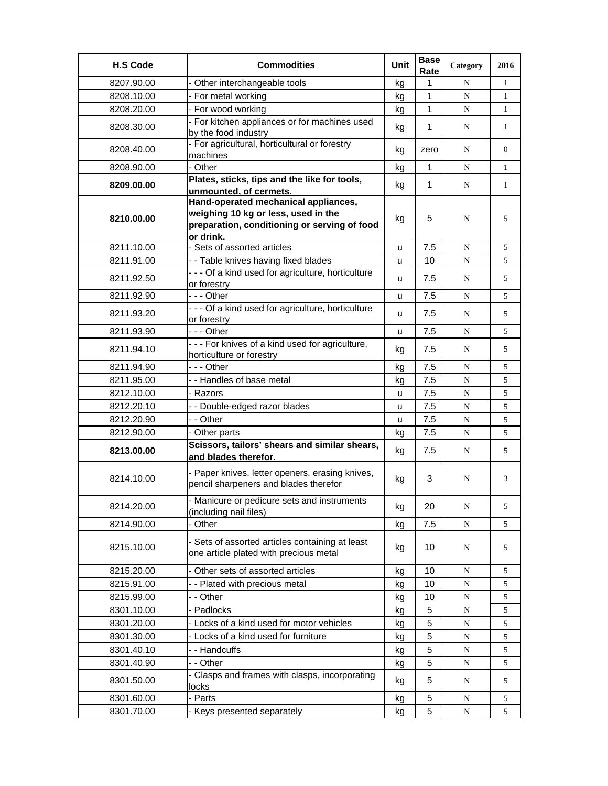| <b>H.S Code</b> | <b>Commodities</b>                                                                                                                       | Unit | <b>Base</b><br>Rate | Category    | 2016           |
|-----------------|------------------------------------------------------------------------------------------------------------------------------------------|------|---------------------|-------------|----------------|
| 8207.90.00      | - Other interchangeable tools                                                                                                            | kg   | 1                   | N           | $\mathbf{1}$   |
| 8208.10.00      | - For metal working                                                                                                                      | kg   | 1                   | N           | $\mathbf{1}$   |
| 8208.20.00      | - For wood working                                                                                                                       | kg   | 1                   | N           | $\mathbf{1}$   |
| 8208.30.00      | - For kitchen appliances or for machines used                                                                                            | kg   | 1                   | N           | $\mathbf{1}$   |
| 8208.40.00      | by the food industry<br>- For agricultural, horticultural or forestry<br>machines                                                        | kg   | zero                | N           | $\overline{0}$ |
| 8208.90.00      | - Other                                                                                                                                  | kg   | $\mathbf 1$         | N           | $\mathbf{1}$   |
|                 | Plates, sticks, tips and the like for tools,                                                                                             |      |                     |             |                |
| 8209.00.00      | unmounted, of cermets.                                                                                                                   | kg   | $\mathbf 1$         | N           | $\mathbf{1}$   |
| 8210.00.00      | Hand-operated mechanical appliances,<br>weighing 10 kg or less, used in the<br>preparation, conditioning or serving of food<br>or drink. | kg   | 5                   | N           | 5              |
| 8211.10.00      | - Sets of assorted articles                                                                                                              | u    | 7.5                 | N           | 5              |
| 8211.91.00      | - - Table knives having fixed blades                                                                                                     | u    | 10                  | N           | 5              |
| 8211.92.50      | - - - Of a kind used for agriculture, horticulture<br>or forestry                                                                        | u    | 7.5                 | N           | 5              |
| 8211.92.90      | --- Other                                                                                                                                | u    | 7.5                 | N           | 5              |
| 8211.93.20      | - - - Of a kind used for agriculture, horticulture<br>or forestry                                                                        | u    | 7.5                 | N           | 5              |
| 8211.93.90      | $- -$ Other                                                                                                                              | u    | 7.5                 | ${\bf N}$   | 5              |
| 8211.94.10      | - - - For knives of a kind used for agriculture,<br>horticulture or forestry                                                             | kg   | 7.5                 | N           | 5              |
| 8211.94.90      | --- Other                                                                                                                                | kg   | 7.5                 | ${\bf N}$   | 5              |
| 8211.95.00      | - - Handles of base metal                                                                                                                | kg   | 7.5                 | N           | 5              |
| 8212.10.00      | - Razors                                                                                                                                 | u    | 7.5                 | N           | 5              |
| 8212.20.10      | - - Double-edged razor blades                                                                                                            | u    | 7.5                 | N           | 5              |
| 8212.20.90      | - - Other                                                                                                                                | u    | 7.5                 | N           | 5              |
| 8212.90.00      | - Other parts                                                                                                                            | kg   | 7.5                 | N           | 5              |
| 8213.00.00      | Scissors, tailors' shears and similar shears,<br>and blades therefor.                                                                    | kg   | 7.5                 | N           | 5              |
| 8214.10.00      | - Paper knives, letter openers, erasing knives,<br>pencil sharpeners and blades therefor                                                 | kg   | 3                   | N           | 3              |
| 8214.20.00      | - Manicure or pedicure sets and instruments<br>(including nail files)                                                                    | kg   | 20                  | N           | 5              |
| 8214.90.00      | - Other                                                                                                                                  | kg   | 7.5                 | N           | 5              |
| 8215.10.00      | - Sets of assorted articles containing at least<br>one article plated with precious metal                                                | kg   | 10                  | N           | 5              |
| 8215.20.00      | - Other sets of assorted articles                                                                                                        | kg   | 10                  | N           | 5              |
| 8215.91.00      | - - Plated with precious metal                                                                                                           | kg   | 10                  | N           | 5              |
| 8215.99.00      | - - Other                                                                                                                                | kg   | 10                  | ${\bf N}$   | 5              |
| 8301.10.00      | - Padlocks                                                                                                                               | kg   | 5                   | N           | 5              |
| 8301.20.00      | - Locks of a kind used for motor vehicles                                                                                                | kg   | 5                   | N           | 5              |
| 8301.30.00      | - Locks of a kind used for furniture                                                                                                     | kg   | 5                   | ${\bf N}$   | 5              |
| 8301.40.10      | - - Handcuffs                                                                                                                            | kg   | 5                   | $\mathbf N$ | 5              |
| 8301.40.90      | - - Other                                                                                                                                | kg   | 5                   | N           | 5              |
| 8301.50.00      | - Clasps and frames with clasps, incorporating<br>locks                                                                                  | kg   | 5                   | N           | 5              |
| 8301.60.00      | - Parts                                                                                                                                  | kg   | 5                   | N           | 5              |
| 8301.70.00      | - Keys presented separately                                                                                                              | kg   | 5                   | $\mathbf N$ | 5              |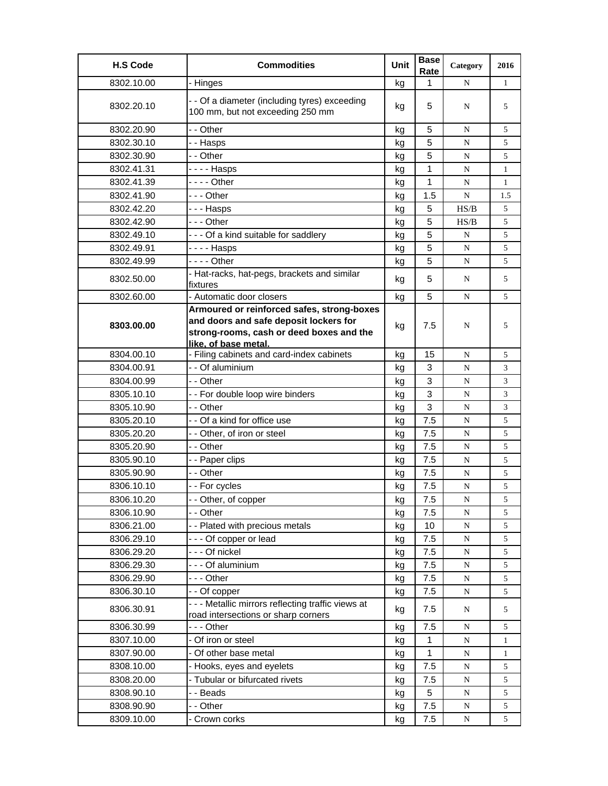| <b>H.S Code</b> | <b>Commodities</b>                                                                | Unit | <b>Base</b><br>Rate | Category  | 2016           |
|-----------------|-----------------------------------------------------------------------------------|------|---------------------|-----------|----------------|
| 8302.10.00      | - Hinges                                                                          | kg   | 1                   | N         | $\mathbf{1}$   |
| 8302.20.10      | - - Of a diameter (including tyres) exceeding<br>100 mm, but not exceeding 250 mm | kg   | 5                   | N         | 5              |
| 8302.20.90      | - - Other                                                                         | kg   | 5                   | N         | 5              |
| 8302.30.10      | - - Hasps                                                                         | kg   | 5                   | N         | 5              |
| 8302.30.90      | - - Other                                                                         | kg   | 5                   | N         | 5              |
| 8302.41.31      | - - - - Hasps                                                                     | kg   | 1                   | N         | $\mathbf{1}$   |
| 8302.41.39      | - - - - Other                                                                     | kg   | $\mathbf{1}$        | N         | $\mathbf{1}$   |
| 8302.41.90      | --- Other                                                                         | kg   | 1.5                 | N         | 1.5            |
| 8302.42.20      | - - - Hasps                                                                       | kg   | 5                   | HS/B      | 5              |
| 8302.42.90      | -  - - Other                                                                      | kg   | 5                   | HS/B      | 5              |
| 8302.49.10      | --- Of a kind suitable for saddlery                                               | kg   | 5                   | N         | 5              |
| 8302.49.91      | - - - - Hasps                                                                     | kg   | 5                   | N         | 5              |
| 8302.49.99      | - - - - Other                                                                     | kg   | 5                   | N         | 5              |
|                 | - Hat-racks, hat-pegs, brackets and similar                                       |      | 5                   |           |                |
| 8302.50.00      | fixtures                                                                          | kg   |                     | N         | 5              |
| 8302.60.00      | - Automatic door closers                                                          | kg   | 5                   | N         | 5              |
|                 | Armoured or reinforced safes, strong-boxes                                        |      |                     |           |                |
| 8303.00.00      | and doors and safe deposit lockers for                                            | kg   | 7.5                 | N         | 5              |
|                 | strong-rooms, cash or deed boxes and the                                          |      |                     |           |                |
| 8304.00.10      | like, of base metal.<br>- Filing cabinets and card-index cabinets                 | kg   | 15                  | N         | 5              |
| 8304.00.91      | - - Of aluminium                                                                  | kg   | 3                   | N         | 3              |
| 8304.00.99      | - - Other                                                                         | kg   | 3                   | N         | 3              |
| 8305.10.10      | -- For double loop wire binders                                                   | kg   | 3                   | ${\bf N}$ | 3              |
| 8305.10.90      | - - Other                                                                         | kg   | 3                   | N         | 3              |
| 8305.20.10      | - - Of a kind for office use                                                      | kg   | 7.5                 | N         | 5              |
| 8305.20.20      | - - Other, of iron or steel                                                       | kg   | 7.5                 | N         | 5              |
| 8305.20.90      | - - Other                                                                         | kg   | 7.5                 | N         | 5              |
| 8305.90.10      | - - Paper clips                                                                   | kg   | 7.5                 | ${\bf N}$ | 5              |
| 8305.90.90      | - - Other                                                                         | kg   | 7.5                 | N         | 5              |
| 8306.10.10      | - - For cycles                                                                    | kg   | 7.5                 | N         | 5              |
| 8306.10.20      | Other, of copper                                                                  | kg   | $7.5\,$             | ${\bf N}$ | 5              |
| 8306.10.90      | - - Other                                                                         | kg   | 7.5                 | N         | 5              |
| 8306.21.00      | - - Plated with precious metals                                                   | kg   | 10                  | N         | 5              |
| 8306.29.10      | --- Of copper or lead                                                             | kg   | 7.5                 | ${\bf N}$ | 5              |
| 8306.29.20      | --- Of nickel                                                                     | kg   | 7.5                 | ${\bf N}$ | 5              |
| 8306.29.30      | --- Of aluminium                                                                  | kg   | 7.5                 | ${\bf N}$ | 5              |
| 8306.29.90      | --- Other                                                                         | kg   | 7.5                 | ${\bf N}$ | $\mathfrak{S}$ |
| 8306.30.10      | - - Of copper                                                                     | kg   | 7.5                 | N         | 5              |
|                 | - - - Metallic mirrors reflecting traffic views at                                |      |                     |           |                |
| 8306.30.91      | road intersections or sharp corners                                               | kg   | 7.5                 | N         | 5              |
| 8306.30.99      | - - - Other                                                                       | kg   | 7.5                 | N         | 5              |
| 8307.10.00      | - Of iron or steel                                                                | kg   | 1                   | N         | $\mathbf{1}$   |
| 8307.90.00      | - Of other base metal                                                             | kg   | $\mathbf{1}$        | ${\bf N}$ | $\mathbf{1}$   |
| 8308.10.00      | - Hooks, eyes and eyelets                                                         | kg   | 7.5                 | ${\bf N}$ | 5              |
| 8308.20.00      | - Tubular or bifurcated rivets                                                    | kg   | 7.5                 | ${\bf N}$ | 5              |
| 8308.90.10      | - - Beads                                                                         | kg   | 5                   | N         | 5              |
| 8308.90.90      | - - Other                                                                         | kg   | 7.5                 | N         | 5              |
| 8309.10.00      | Crown corks                                                                       | kg   | 7.5                 | ${\bf N}$ | 5              |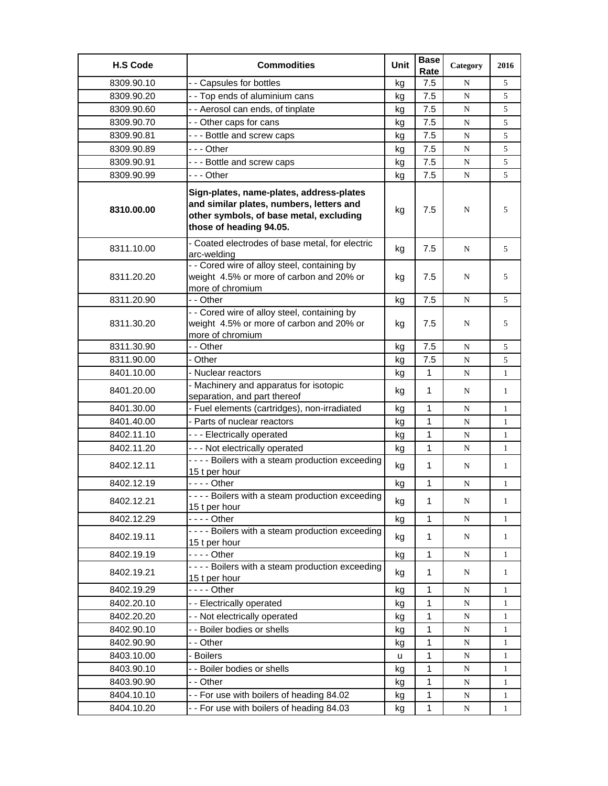| <b>H.S Code</b> | <b>Commodities</b>                                                                                                                                         | Unit | <b>Base</b><br>Rate | Category    | 2016         |
|-----------------|------------------------------------------------------------------------------------------------------------------------------------------------------------|------|---------------------|-------------|--------------|
| 8309.90.10      | - - Capsules for bottles                                                                                                                                   | kg   | 7.5                 | N           | 5            |
| 8309.90.20      | - - Top ends of aluminium cans                                                                                                                             | kg   | 7.5                 | ${\bf N}$   | 5            |
| 8309.90.60      | - - Aerosol can ends, of tinplate                                                                                                                          | kg   | 7.5                 | N           | 5            |
| 8309.90.70      | - - Other caps for cans                                                                                                                                    | kg   | 7.5                 | N           | 5            |
| 8309.90.81      | --- Bottle and screw caps                                                                                                                                  | kg   | 7.5                 | N           | 5            |
| 8309.90.89      | -  - - Other                                                                                                                                               | kg   | 7.5                 | N           | 5            |
| 8309.90.91      | --- Bottle and screw caps                                                                                                                                  | kg   | 7.5                 | ${\bf N}$   | 5            |
| 8309.90.99      | -  - - Other                                                                                                                                               | kg   | 7.5                 | N           | 5            |
| 8310.00.00      | Sign-plates, name-plates, address-plates<br>and similar plates, numbers, letters and<br>other symbols, of base metal, excluding<br>those of heading 94.05. | kg   | 7.5                 | N           | 5            |
| 8311.10.00      | - Coated electrodes of base metal, for electric<br>arc-welding                                                                                             | kg   | 7.5                 | N           | 5            |
| 8311.20.20      | - - Cored wire of alloy steel, containing by<br>weight 4.5% or more of carbon and 20% or<br>more of chromium                                               | kg   | 7.5                 | N           | 5            |
| 8311.20.90      | - - Other                                                                                                                                                  | kg   | 7.5                 | N           | 5            |
| 8311.30.20      | - - Cored wire of alloy steel, containing by<br>weight 4.5% or more of carbon and 20% or<br>more of chromium                                               | kg   | 7.5                 | N           | 5            |
| 8311.30.90      | - - Other                                                                                                                                                  | kg   | 7.5                 | N           | 5            |
| 8311.90.00      | - Other                                                                                                                                                    | kg   | 7.5                 | N           | 5            |
| 8401.10.00      | - Nuclear reactors                                                                                                                                         | kg   | 1                   | N           | $\mathbf{1}$ |
| 8401.20.00      | - Machinery and apparatus for isotopic<br>separation, and part thereof                                                                                     | kg   | $\mathbf 1$         | N           | $\mathbf{1}$ |
| 8401.30.00      | - Fuel elements (cartridges), non-irradiated                                                                                                               | kg   | $\mathbf{1}$        | N           | $\mathbf{1}$ |
| 8401.40.00      | - Parts of nuclear reactors                                                                                                                                | kg   | 1                   | N           | $\mathbf{1}$ |
| 8402.11.10      | --- Electrically operated                                                                                                                                  | kg   | 1                   | N           | $\mathbf{1}$ |
| 8402.11.20      | - - - Not electrically operated                                                                                                                            | kg   | 1                   | N           | $\mathbf{1}$ |
| 8402.12.11      | - - - - Boilers with a steam production exceeding<br>15 t per hour                                                                                         | kg   | $\mathbf 1$         | N           | 1            |
| 8402.12.19      | - - - - Other                                                                                                                                              | kg   | 1                   | N           | $\mathbf{1}$ |
| 8402.12.21      | - - - - Boilers with a steam production exceeding<br>15 t per hour                                                                                         | kg   | 1                   | ${\bf N}$   | 1            |
| 8402.12.29      | $--$ Other                                                                                                                                                 | kg   | $\mathbf{1}$        | ${\bf N}$   | $\mathbf{1}$ |
| 8402.19.11      | - - - - Boilers with a steam production exceeding<br>15 t per hour                                                                                         | kg   | 1                   | $\mathbf N$ | $\mathbf{1}$ |
| 8402.19.19      | - - - - Other                                                                                                                                              | kg   | $\mathbf{1}$        | $\mathbf N$ | $\mathbf{1}$ |
| 8402.19.21      | - - - - Boilers with a steam production exceeding<br>15 t per hour                                                                                         | kg   | 1                   | N           | $\mathbf{1}$ |
| 8402.19.29      | $--$ Other                                                                                                                                                 | kg   | $\mathbf 1$         | ${\bf N}$   | $\mathbf{1}$ |
| 8402.20.10      | - - Electrically operated                                                                                                                                  | kg   | 1                   | N           | $\mathbf{1}$ |
| 8402.20.20      | - - Not electrically operated                                                                                                                              | kg   | 1                   | N           | $\mathbf{1}$ |
| 8402.90.10      | - - Boiler bodies or shells                                                                                                                                | kg   | 1                   | ${\bf N}$   | $\mathbf{1}$ |
| 8402.90.90      | - - Other                                                                                                                                                  | kg   | 1                   | ${\bf N}$   | $\mathbf{1}$ |
| 8403.10.00      | - Boilers                                                                                                                                                  | u    | 1                   | ${\bf N}$   | 1            |
| 8403.90.10      | - - Boiler bodies or shells                                                                                                                                | kg   | $\mathbf 1$         | ${\bf N}$   | $\mathbf{1}$ |
| 8403.90.90      | - - Other                                                                                                                                                  | kg   | 1                   | N           | $\mathbf{1}$ |
| 8404.10.10      | -- For use with boilers of heading 84.02                                                                                                                   | kg   | 1                   | N           | 1            |
| 8404.10.20      | -- For use with boilers of heading 84.03                                                                                                                   | kg   | 1                   | ${\bf N}$   | $\mathbf{1}$ |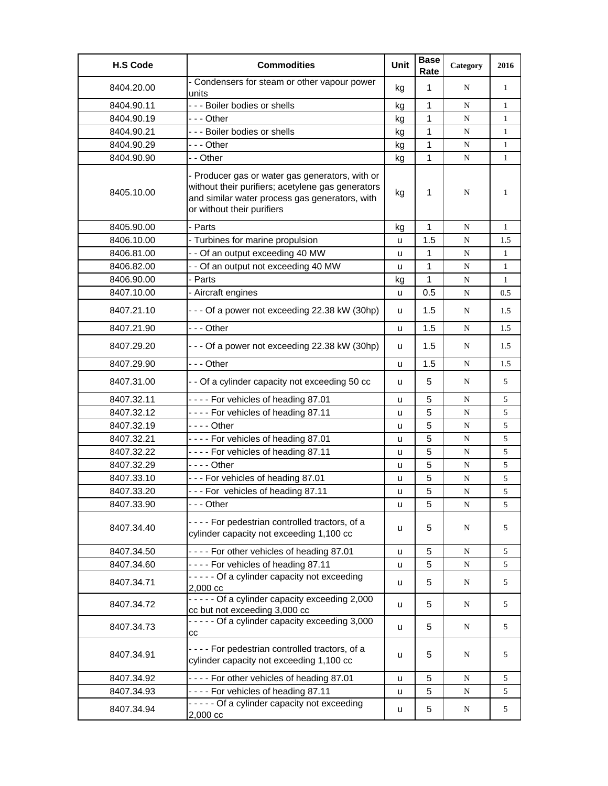| <b>H.S Code</b> | <b>Commodities</b>                                                                                                                                                                   | Unit | <b>Base</b><br>Rate | Category  | 2016         |
|-----------------|--------------------------------------------------------------------------------------------------------------------------------------------------------------------------------------|------|---------------------|-----------|--------------|
| 8404.20.00      | - Condensers for steam or other vapour power<br>units                                                                                                                                | kg   | $\mathbf{1}$        | N         | $\mathbf{1}$ |
| 8404.90.11      | --- Boiler bodies or shells                                                                                                                                                          | kg   | $\mathbf{1}$        | ${\bf N}$ | $\mathbf{1}$ |
| 8404.90.19      | --- Other                                                                                                                                                                            | kg   | 1                   | N         | $\mathbf{1}$ |
| 8404.90.21      | --- Boiler bodies or shells                                                                                                                                                          | kg   | 1                   | ${\bf N}$ | $\mathbf{1}$ |
| 8404.90.29      | -  - - Other                                                                                                                                                                         | kg   | 1                   | ${\bf N}$ | $\mathbf{1}$ |
| 8404.90.90      | - - Other                                                                                                                                                                            | kg   | 1                   | N         | $\mathbf{1}$ |
| 8405.10.00      | - Producer gas or water gas generators, with or<br>without their purifiers; acetylene gas generators<br>and similar water process gas generators, with<br>or without their purifiers | kg   | $\mathbf{1}$        | N         | 1            |
| 8405.90.00      | - Parts                                                                                                                                                                              | kg   | 1                   | N         | $\mathbf{1}$ |
| 8406.10.00      | - Turbines for marine propulsion                                                                                                                                                     | u    | 1.5                 | N         | 1.5          |
| 8406.81.00      | - - Of an output exceeding 40 MW                                                                                                                                                     | u    | $\mathbf{1}$        | N         | $\mathbf{1}$ |
| 8406.82.00      | - - Of an output not exceeding 40 MW                                                                                                                                                 | u    | 1                   | N         | $\mathbf{1}$ |
| 8406.90.00      | - Parts                                                                                                                                                                              | kg   | 1                   | N         | $\mathbf{1}$ |
| 8407.10.00      | - Aircraft engines                                                                                                                                                                   | u    | 0.5                 | ${\bf N}$ | 0.5          |
| 8407.21.10      | - - - Of a power not exceeding 22.38 kW (30hp)                                                                                                                                       | u    | 1.5                 | N         | 1.5          |
| 8407.21.90      | -  - - Other                                                                                                                                                                         | u    | 1.5                 | N         | 1.5          |
| 8407.29.20      | --- Of a power not exceeding 22.38 kW (30hp)                                                                                                                                         | u    | 1.5                 | N         | 1.5          |
| 8407.29.90      | --- Other                                                                                                                                                                            | u    | 1.5                 | N         | 1.5          |
| 8407.31.00      | - - Of a cylinder capacity not exceeding 50 cc                                                                                                                                       | u    | 5                   | N         | 5            |
| 8407.32.11      | ---- For vehicles of heading 87.01                                                                                                                                                   | u    | 5                   | N         | 5            |
| 8407.32.12      | ---- For vehicles of heading 87.11                                                                                                                                                   | u    | 5                   | N         | 5            |
| 8407.32.19      | $--$ Other                                                                                                                                                                           | u    | 5                   | N         | 5            |
| 8407.32.21      | ---- For vehicles of heading 87.01                                                                                                                                                   | u    | 5                   | N         | 5            |
| 8407.32.22      | ---- For vehicles of heading 87.11                                                                                                                                                   | u    | 5                   | N         | 5            |
| 8407.32.29      |                                                                                                                                                                                      | u    | 5                   | ${\bf N}$ | 5            |
| 8407.33.10      | --- For vehicles of heading 87.01                                                                                                                                                    | u    | 5                   | ${\bf N}$ | 5            |
| 8407.33.20      | --- For vehicles of heading 87.11                                                                                                                                                    | u    | 5                   | N         | 5            |
| 8407.33.90      | -  - - Other                                                                                                                                                                         | u    | 5                   | N         | 5            |
| 8407.34.40      | ---- For pedestrian controlled tractors, of a<br>cylinder capacity not exceeding 1,100 cc                                                                                            | u    | 5                   | N         | 5            |
| 8407.34.50      | - - - - For other vehicles of heading 87.01                                                                                                                                          | u    | 5                   | ${\bf N}$ | 5            |
| 8407.34.60      | ---- For vehicles of heading 87.11                                                                                                                                                   | u    | 5                   | ${\bf N}$ | 5            |
| 8407.34.71      | ----- Of a cylinder capacity not exceeding<br>2,000 cc                                                                                                                               | u    | 5                   | N         | 5            |
| 8407.34.72      | - - - - - Of a cylinder capacity exceeding 2,000<br>cc but not exceeding 3,000 cc                                                                                                    | u    | 5                   | N         | 5            |
| 8407.34.73      | - - - - - Of a cylinder capacity exceeding 3,000<br>cс                                                                                                                               | u    | 5                   | N         | 5            |
| 8407.34.91      | ---- For pedestrian controlled tractors, of a<br>cylinder capacity not exceeding 1,100 cc                                                                                            | u    | 5                   | N         | 5            |
| 8407.34.92      | - - - - For other vehicles of heading 87.01                                                                                                                                          | u    | 5                   | N         | 5            |
| 8407.34.93      | ---- For vehicles of heading 87.11                                                                                                                                                   | u    | 5                   | N         | 5            |
| 8407.34.94      | ----- Of a cylinder capacity not exceeding<br>2,000 cc                                                                                                                               | u    | 5                   | N         | 5            |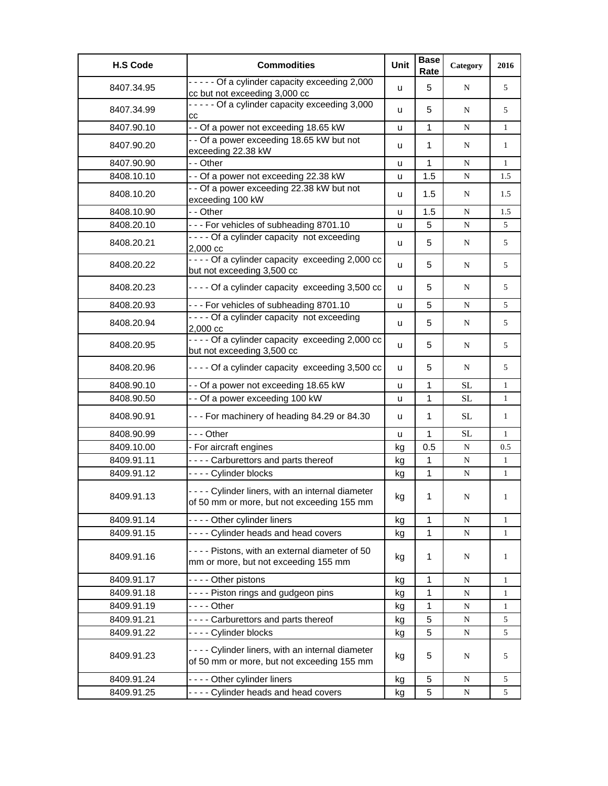| <b>H.S Code</b> | <b>Commodities</b>                                                                               | Unit | <b>Base</b><br>Rate | Category  | 2016         |
|-----------------|--------------------------------------------------------------------------------------------------|------|---------------------|-----------|--------------|
| 8407.34.95      | ----- Of a cylinder capacity exceeding 2,000<br>cc but not exceeding 3,000 cc                    | u    | 5                   | N         | 5            |
| 8407.34.99      | - - - - - Of a cylinder capacity exceeding 3,000<br>CC                                           | u    | 5                   | N         | 5            |
| 8407.90.10      | - - Of a power not exceeding 18.65 kW                                                            | u    | 1                   | N         | 1            |
| 8407.90.20      | - - Of a power exceeding 18.65 kW but not<br>exceeding 22.38 kW                                  | u    | 1                   | N         | 1            |
| 8407.90.90      | - - Other                                                                                        | u    | 1                   | ${\bf N}$ | $\mathbf{1}$ |
| 8408.10.10      | - - Of a power not exceeding 22.38 kW                                                            | u    | 1.5                 | N         | 1.5          |
| 8408.10.20      | - - Of a power exceeding 22.38 kW but not<br>exceeding 100 kW                                    | u    | 1.5                 | N         | 1.5          |
| 8408.10.90      | - - Other                                                                                        | u    | 1.5                 | ${\bf N}$ | 1.5          |
| 8408.20.10      | --- For vehicles of subheading 8701.10                                                           | u    | 5                   | N         | 5            |
| 8408.20.21      | ---- Of a cylinder capacity not exceeding<br>2,000 cc                                            | u    | 5                   | N         | 5            |
| 8408.20.22      | - - - - Of a cylinder capacity exceeding 2,000 cc<br>but not exceeding 3,500 cc                  | u    | 5                   | N         | 5            |
| 8408.20.23      | ---- Of a cylinder capacity exceeding 3,500 cc                                                   | u    | 5                   | N         | 5            |
| 8408.20.93      | --- For vehicles of subheading 8701.10                                                           | u    | 5                   | N         | 5            |
| 8408.20.94      | ---- Of a cylinder capacity not exceeding<br>2,000 cc                                            | u    | 5                   | N         | 5            |
| 8408.20.95      | - - - - Of a cylinder capacity exceeding 2,000 cc<br>but not exceeding 3,500 cc                  | u    | 5                   | N         | 5            |
| 8408.20.96      | - - - - Of a cylinder capacity exceeding 3,500 cc                                                | u    | 5                   | N         | 5            |
| 8408.90.10      | - - Of a power not exceeding 18.65 kW                                                            | u    | 1                   | SL        | 1            |
| 8408.90.50      | - - Of a power exceeding 100 kW                                                                  | u    | 1                   | SL        | $\mathbf{1}$ |
| 8408.90.91      | --- For machinery of heading 84.29 or 84.30                                                      | u    | 1                   | SL        | 1            |
| 8408.90.99      | --- Other                                                                                        | u    | 1                   | SL        | $\mathbf{1}$ |
| 8409.10.00      | - For aircraft engines                                                                           | kg   | 0.5                 | ${\bf N}$ | 0.5          |
| 8409.91.11      | - - - - Carburettors and parts thereof                                                           | kg   | 1                   | N         | $\mathbf{1}$ |
| 8409.91.12      | ---- Cylinder blocks                                                                             | kg   | 1                   | ${\bf N}$ | $\mathbf{1}$ |
| 8409.91.13      | - - - - Cylinder liners, with an internal diameter<br>of 50 mm or more, but not exceeding 155 mm | kg   | 1                   | N         | 1            |
| 8409.91.14      | - - - - Other cylinder liners                                                                    | kg   | 1                   | ${\bf N}$ | 1            |
| 8409.91.15      | ---- Cylinder heads and head covers                                                              | kg   | $\mathbf 1$         | N         | $\mathbf{1}$ |
| 8409.91.16      | ---- Pistons, with an external diameter of 50<br>mm or more, but not exceeding 155 mm            | kg   | 1                   | N         | 1            |
| 8409.91.17      | - - - - Other pistons                                                                            | kg   | 1                   | N         | $\mathbf{1}$ |
| 8409.91.18      | ---- Piston rings and gudgeon pins                                                               | kg   | 1                   | ${\bf N}$ | $\mathbf{1}$ |
| 8409.91.19      | $--$ Other                                                                                       | kg   | 1                   | N         | 1            |
| 8409.91.21      | - - - - Carburettors and parts thereof                                                           | kg   | 5                   | N         | 5            |
| 8409.91.22      | ---- Cylinder blocks                                                                             | kg   | 5                   | N         | 5            |
| 8409.91.23      | - - - - Cylinder liners, with an internal diameter<br>of 50 mm or more, but not exceeding 155 mm | kg   | 5                   | N         | 5            |
| 8409.91.24      | ---- Other cylinder liners                                                                       | kg   | 5                   | N         | 5            |
| 8409.91.25      | ---- Cylinder heads and head covers                                                              | kg   | 5                   | N         | 5            |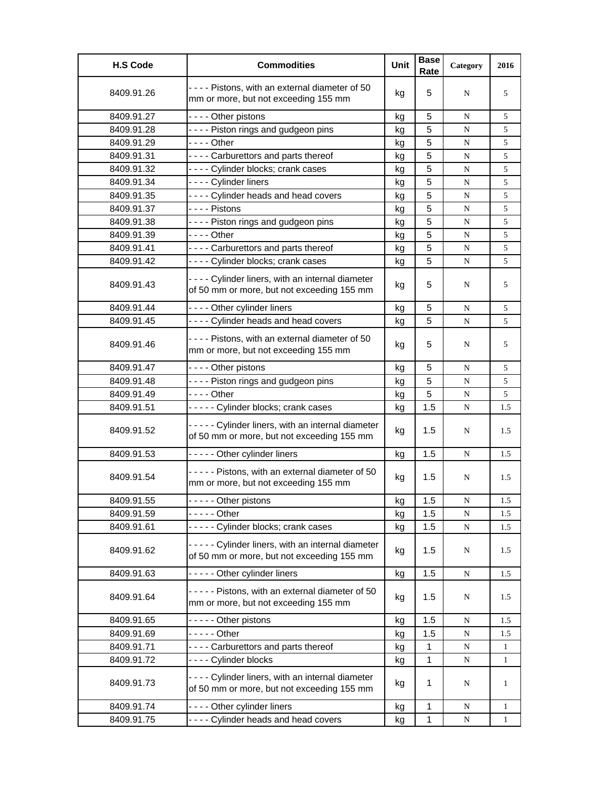| <b>H.S Code</b> | <b>Commodities</b>                                                                               | Unit | <b>Base</b><br>Rate | Category  | 2016         |
|-----------------|--------------------------------------------------------------------------------------------------|------|---------------------|-----------|--------------|
| 8409.91.26      | - - - - Pistons, with an external diameter of 50<br>mm or more, but not exceeding 155 mm         | kg   | 5                   | N         | 5            |
| 8409.91.27      | - - - - Other pistons                                                                            | kg   | 5                   | N         | 5            |
| 8409.91.28      | ---- Piston rings and gudgeon pins                                                               | kg   | 5                   | N         | 5            |
| 8409.91.29      | - - - - Other                                                                                    | kg   | 5                   | N         | 5            |
| 8409.91.31      | - - - - Carburettors and parts thereof                                                           | kg   | 5                   | N         | 5            |
| 8409.91.32      | ---- Cylinder blocks; crank cases                                                                | kg   | 5                   | ${\bf N}$ | 5            |
| 8409.91.34      | - - - - Cylinder liners                                                                          | kg   | 5                   | N         | 5            |
| 8409.91.35      | ---- Cylinder heads and head covers                                                              | kq   | 5                   | N         | 5            |
| 8409.91.37      | - - - - Pistons                                                                                  | kg   | 5                   | N         | 5            |
| 8409.91.38      | ---- Piston rings and gudgeon pins                                                               | kg   | 5                   | ${\bf N}$ | 5            |
| 8409.91.39      | - - - - Other                                                                                    | kg   | 5                   | ${\bf N}$ | 5            |
| 8409.91.41      | ---- Carburettors and parts thereof                                                              | kg   | 5                   | N         | 5            |
| 8409.91.42      | ---- Cylinder blocks; crank cases                                                                | kg   | 5                   | N         | 5            |
| 8409.91.43      | - - - - Cylinder liners, with an internal diameter<br>of 50 mm or more, but not exceeding 155 mm | kg   | 5                   | N         | 5            |
| 8409.91.44      | ---- Other cylinder liners                                                                       | kg   | 5                   | N         | 5            |
| 8409.91.45      | ---- Cylinder heads and head covers                                                              | kg   | 5                   | ${\bf N}$ | 5            |
| 8409.91.46      | - - - - Pistons, with an external diameter of 50<br>mm or more, but not exceeding 155 mm         | kg   | 5                   | N         | 5            |
| 8409.91.47      | - - - - Other pistons                                                                            | kg   | 5                   | N         | 5            |
| 8409.91.48      | ---- Piston rings and gudgeon pins                                                               | kg   | 5                   | N         | 5            |
| 8409.91.49      | - - - - Other                                                                                    | kg   | 5                   | ${\bf N}$ | 5            |
| 8409.91.51      | ----- Cylinder blocks; crank cases                                                               | kg   | 1.5                 | N         | 1.5          |
| 8409.91.52      | ----- Cylinder liners, with an internal diameter<br>of 50 mm or more, but not exceeding 155 mm   | kg   | 1.5                 | N         | 1.5          |
| 8409.91.53      | ----- Other cylinder liners                                                                      | kg   | 1.5                 | N         | 1.5          |
| 8409.91.54      | ----- Pistons, with an external diameter of 50<br>mm or more, but not exceeding 155 mm           | kg   | 1.5                 | N         | 1.5          |
| 8409.91.55      | - - - - - Other pistons                                                                          | kg   | 1.5                 | N         | 1.5          |
| 8409.91.59      | - - - - - Other                                                                                  | kg   | 1.5                 | N         | 1.5          |
| 8409.91.61      | ----- Cylinder blocks; crank cases                                                               | kg   | 1.5                 | ${\bf N}$ | 1.5          |
| 8409.91.62      | ----- Cylinder liners, with an internal diameter<br>of 50 mm or more, but not exceeding 155 mm   | kg   | 1.5                 | N         | 1.5          |
| 8409.91.63      | ----- Other cylinder liners                                                                      | kg   | 1.5                 | N         | 1.5          |
| 8409.91.64      | ----- Pistons, with an external diameter of 50<br>mm or more, but not exceeding 155 mm           | kg   | 1.5                 | N         | 1.5          |
| 8409.91.65      | - - - - - Other pistons                                                                          | kg   | 1.5                 | N         | 1.5          |
| 8409.91.69      | - - - - - Other                                                                                  | kg   | 1.5                 | N         | 1.5          |
| 8409.91.71      | - - - - Carburettors and parts thereof                                                           | kg   | $\mathbf 1$         | ${\bf N}$ | $\mathbf{1}$ |
| 8409.91.72      | ---- Cylinder blocks                                                                             | kg   | 1                   | ${\bf N}$ | $\mathbf{1}$ |
| 8409.91.73      | - - - - Cylinder liners, with an internal diameter<br>of 50 mm or more, but not exceeding 155 mm | kg   | $\mathbf{1}$        | N         | $\mathbf{1}$ |
| 8409.91.74      | ---- Other cylinder liners                                                                       | kg   | $\mathbf 1$         | N         | $\mathbf{1}$ |
| 8409.91.75      | ---- Cylinder heads and head covers                                                              | kg   | 1                   | N         | $\mathbf{1}$ |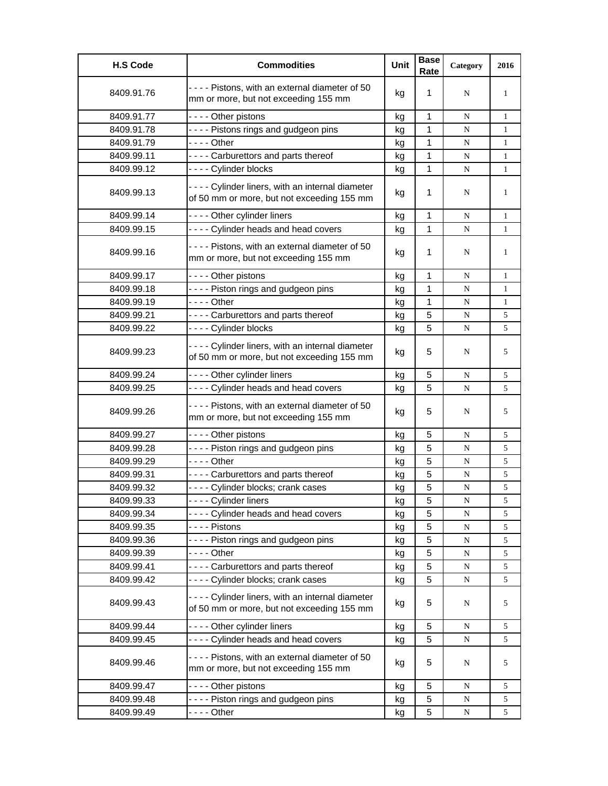| <b>H.S Code</b> | <b>Commodities</b>                                                                               | Unit | <b>Base</b><br>Rate | Category  | 2016         |
|-----------------|--------------------------------------------------------------------------------------------------|------|---------------------|-----------|--------------|
| 8409.91.76      | ---- Pistons, with an external diameter of 50<br>mm or more, but not exceeding 155 mm            | kg   | 1                   | N         | $\mathbf{1}$ |
| 8409.91.77      | - - - - Other pistons                                                                            | kg   | $\mathbf{1}$        | N         | $\mathbf{1}$ |
| 8409.91.78      | - - - - Pistons rings and gudgeon pins                                                           | kg   | 1                   | N         | $\mathbf{1}$ |
| 8409.91.79      |                                                                                                  | kg   | 1                   | N         | $\mathbf{1}$ |
| 8409.99.11      | ---- Carburettors and parts thereof                                                              | kg   | 1                   | N         | $\mathbf{1}$ |
| 8409.99.12      | ---- Cylinder blocks                                                                             | kg   | 1                   | N         | $\mathbf{1}$ |
| 8409.99.13      | - - - - Cylinder liners, with an internal diameter<br>of 50 mm or more, but not exceeding 155 mm | kg   | 1                   | N         | 1            |
| 8409.99.14      | ---- Other cylinder liners                                                                       | kg   | 1                   | ${\bf N}$ | $\mathbf{1}$ |
| 8409.99.15      | ---- Cylinder heads and head covers                                                              | kg   | 1                   | N         | $\mathbf{1}$ |
| 8409.99.16      | ---- Pistons, with an external diameter of 50<br>mm or more, but not exceeding 155 mm            | kg   | 1                   | N         | $\mathbf{1}$ |
| 8409.99.17      | - - - - Other pistons                                                                            | kg   | $\mathbf{1}$        | N         | $\mathbf{1}$ |
| 8409.99.18      | - - - - Piston rings and gudgeon pins                                                            | kg   | $\mathbf 1$         | N         | $\mathbf{1}$ |
| 8409.99.19      | - - - - Other                                                                                    | kg   | 1                   | N         | $\mathbf{1}$ |
| 8409.99.21      | ---- Carburettors and parts thereof                                                              | kg   | 5                   | N         | 5            |
| 8409.99.22      | ---- Cylinder blocks                                                                             | kg   | 5                   | N         | 5            |
| 8409.99.23      | - - - - Cylinder liners, with an internal diameter<br>of 50 mm or more, but not exceeding 155 mm | kg   | 5                   | N         | 5            |
| 8409.99.24      | ---- Other cylinder liners                                                                       | kg   | 5                   | N         | 5            |
| 8409.99.25      | - - - - Cylinder heads and head covers                                                           | kg   | 5                   | N         | 5            |
| 8409.99.26      | ---- Pistons, with an external diameter of 50<br>mm or more, but not exceeding 155 mm            | kg   | 5                   | N         | 5            |
| 8409.99.27      | - - - - Other pistons                                                                            | kg   | 5                   | N         | 5            |
| 8409.99.28      | ---- Piston rings and gudgeon pins                                                               | kg   | 5                   | N         | 5            |
| 8409.99.29      | $--$ Other                                                                                       | kg   | 5                   | N         | 5            |
| 8409.99.31      | - - - - Carburettors and parts thereof                                                           | kg   | 5                   | N         | 5            |
| 8409.99.32      | ---- Cylinder blocks; crank cases                                                                | kg   | 5                   | N         | 5            |
| 8409.99.33      | - - - - Cylinder liners                                                                          | ĸg   | 5                   | N         | 5            |
| 8409.99.34      | ---- Cylinder heads and head covers                                                              | kg   | 5                   | N         | 5            |
| 8409.99.35      | - - - - Pistons                                                                                  | kg   | 5                   | ${\bf N}$ | 5            |
| 8409.99.36      | ---- Piston rings and gudgeon pins                                                               | kg   | 5                   | N         | 5            |
| 8409.99.39      |                                                                                                  | kg   | 5                   | ${\bf N}$ | 5            |
| 8409.99.41      | ---- Carburettors and parts thereof                                                              | kg   | 5                   | N         | 5            |
| 8409.99.42      | ---- Cylinder blocks; crank cases                                                                | kg   | 5                   | N         | 5            |
| 8409.99.43      | - - - - Cylinder liners, with an internal diameter<br>of 50 mm or more, but not exceeding 155 mm | kg   | 5                   | N         | 5            |
| 8409.99.44      | ---- Other cylinder liners                                                                       | kg   | 5                   | N         | 5            |
| 8409.99.45      | ---- Cylinder heads and head covers                                                              | kg   | 5                   | N         | 5            |
| 8409.99.46      | ---- Pistons, with an external diameter of 50<br>mm or more, but not exceeding 155 mm            | kg   | 5                   | N         | 5            |
| 8409.99.47      | - - - - Other pistons                                                                            | kg   | 5                   | N         | 5            |
| 8409.99.48      | ---- Piston rings and gudgeon pins                                                               | kg   | 5                   | N         | 5            |
| 8409.99.49      |                                                                                                  | kg   | 5                   | N         | 5            |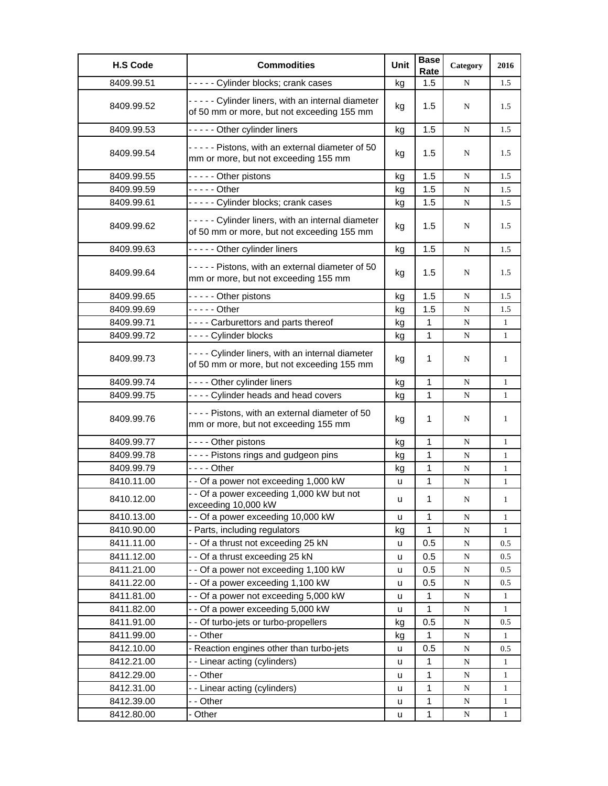| <b>H.S Code</b> | <b>Commodities</b>                                                                               | Unit | <b>Base</b><br>Rate | Category  | 2016         |
|-----------------|--------------------------------------------------------------------------------------------------|------|---------------------|-----------|--------------|
| 8409.99.51      | ----- Cylinder blocks; crank cases                                                               | kg   | 1.5                 | N         | 1.5          |
| 8409.99.52      | ----- Cylinder liners, with an internal diameter<br>of 50 mm or more, but not exceeding 155 mm   | kg   | 1.5                 | N         | 1.5          |
| 8409.99.53      | - - - - - Other cylinder liners                                                                  | kg   | 1.5                 | N         | 1.5          |
| 8409.99.54      | ----- Pistons, with an external diameter of 50<br>mm or more, but not exceeding 155 mm           | kg   | 1.5                 | N         | 1.5          |
| 8409.99.55      | - - - - - Other pistons                                                                          | kg   | 1.5                 | N         | 1.5          |
| 8409.99.59      | $---$ Other                                                                                      | kg   | 1.5                 | N         | 1.5          |
| 8409.99.61      | ----- Cylinder blocks; crank cases                                                               | kg   | 1.5                 | N         | 1.5          |
| 8409.99.62      | ----- Cylinder liners, with an internal diameter<br>of 50 mm or more, but not exceeding 155 mm   | kg   | 1.5                 | N         | 1.5          |
| 8409.99.63      | - - - - - Other cylinder liners                                                                  | kg   | 1.5                 | N         | 1.5          |
| 8409.99.64      | ----- Pistons, with an external diameter of 50<br>mm or more, but not exceeding 155 mm           | kg   | 1.5                 | N         | 1.5          |
| 8409.99.65      | - - - - - Other pistons                                                                          | kg   | 1.5                 | N         | 1.5          |
| 8409.99.69      | $---$ Other                                                                                      | kg   | 1.5                 | N         | 1.5          |
| 8409.99.71      | ---- Carburettors and parts thereof                                                              | kg   | $\mathbf{1}$        | ${\bf N}$ | $\mathbf{1}$ |
| 8409.99.72      | ---- Cylinder blocks                                                                             | kg   | $\mathbf{1}$        | N         | $\mathbf{1}$ |
| 8409.99.73      | - - - - Cylinder liners, with an internal diameter<br>of 50 mm or more, but not exceeding 155 mm | kg   | $\mathbf{1}$        | N         | 1            |
| 8409.99.74      | ---- Other cylinder liners                                                                       | kg   | $\mathbf{1}$        | N         | $\mathbf{1}$ |
| 8409.99.75      | ---- Cylinder heads and head covers                                                              | kg   | 1                   | N         | $\mathbf{1}$ |
| 8409.99.76      | ---- Pistons, with an external diameter of 50<br>mm or more, but not exceeding 155 mm            | kg   | 1                   | N         | $\mathbf{1}$ |
| 8409.99.77      | - - - - Other pistons                                                                            | kg   | 1                   | N         | $\mathbf{1}$ |
| 8409.99.78      | - - - - Pistons rings and gudgeon pins                                                           | kg   | 1                   | N         | $\mathbf{1}$ |
| 8409.99.79      | $--$ Other                                                                                       | kg   | $\mathbf{1}$        | N         | $\mathbf{1}$ |
| 8410.11.00      | - - Of a power not exceeding 1,000 kW                                                            | u    | 1                   | N         | $\mathbf{1}$ |
| 8410.12.00      | - - Of a power exceeding 1,000 kW but not<br>exceeding 10,000 kW                                 | u    | 1                   | ${\bf N}$ | 1            |
| 8410.13.00      | -- Of a power exceeding 10,000 kW                                                                | u    | $\mathbf{1}$        | ${\bf N}$ | $\mathbf{1}$ |
| 8410.90.00      | - Parts, including regulators                                                                    | kg   | $\mathbf{1}$        | ${\bf N}$ | $\mathbf{1}$ |
| 8411.11.00      | - - Of a thrust not exceeding 25 kN                                                              | u    | 0.5                 | ${\bf N}$ | 0.5          |
| 8411.12.00      | - - Of a thrust exceeding 25 kN                                                                  | u    | 0.5                 | ${\bf N}$ | 0.5          |
| 8411.21.00      | - - Of a power not exceeding 1,100 kW                                                            | u    | 0.5                 | ${\bf N}$ | 0.5          |
| 8411.22.00      | - - Of a power exceeding 1,100 kW                                                                | u    | 0.5                 | ${\bf N}$ | 0.5          |
| 8411.81.00      | - - Of a power not exceeding 5,000 kW                                                            | u    | $\mathbf 1$         | ${\bf N}$ | $\mathbf{1}$ |
| 8411.82.00      | - - Of a power exceeding 5,000 kW                                                                | u    | 1                   | ${\bf N}$ | $\mathbf{1}$ |
| 8411.91.00      | - - Of turbo-jets or turbo-propellers                                                            | kg   | 0.5                 | N         | 0.5          |
| 8411.99.00      | - - Other                                                                                        | kg   | 1                   | ${\bf N}$ | $\mathbf{1}$ |
| 8412.10.00      | - Reaction engines other than turbo-jets                                                         | u    | 0.5                 | ${\bf N}$ | 0.5          |
| 8412.21.00      | -- Linear acting (cylinders)                                                                     | u    | 1                   | ${\bf N}$ | $\mathbf{1}$ |
| 8412.29.00      | - - Other                                                                                        | u    | 1                   | ${\bf N}$ | $\mathbf{1}$ |
| 8412.31.00      | - - Linear acting (cylinders)                                                                    | u    | 1                   | ${\bf N}$ | $\mathbf{1}$ |
| 8412.39.00      | - - Other                                                                                        | u    | 1                   | ${\bf N}$ | $\mathbf{1}$ |
| 8412.80.00      | - Other                                                                                          | u    | 1                   | N         | 1            |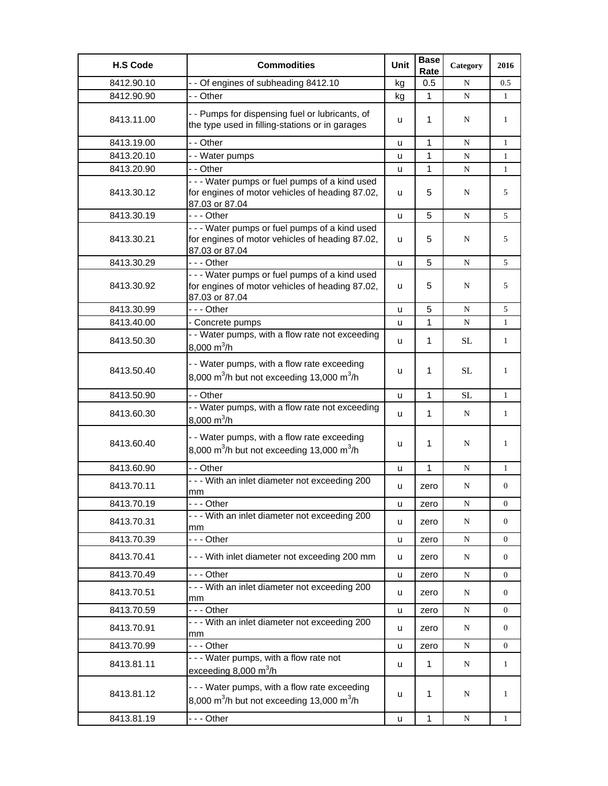| <b>H.S Code</b> | <b>Commodities</b>                                                                                                  | Unit | <b>Base</b><br>Rate | Category    | 2016             |
|-----------------|---------------------------------------------------------------------------------------------------------------------|------|---------------------|-------------|------------------|
| 8412.90.10      | - - Of engines of subheading 8412.10                                                                                | kg   | 0.5                 | N           | 0.5              |
| 8412.90.90      | - - Other                                                                                                           | kg   | 1                   | N           | 1                |
| 8413.11.00      | - - Pumps for dispensing fuel or lubricants, of<br>the type used in filling-stations or in garages                  | u    | 1                   | N           | 1                |
| 8413.19.00      | - - Other                                                                                                           | u    | $\mathbf{1}$        | N           | $\mathbf{1}$     |
| 8413.20.10      | - - Water pumps                                                                                                     | u    | 1                   | N           | 1                |
| 8413.20.90      | - - Other                                                                                                           | u    | 1                   | N           | $\mathbf{1}$     |
| 8413.30.12      | --- Water pumps or fuel pumps of a kind used<br>for engines of motor vehicles of heading 87.02,<br>87.03 or 87.04   | u    | 5                   | N           | 5                |
| 8413.30.19      | - - - Other                                                                                                         | u    | 5                   | ${\bf N}$   | 5                |
| 8413.30.21      | --- Water pumps or fuel pumps of a kind used<br>for engines of motor vehicles of heading 87.02,<br>87.03 or 87.04   | u    | 5                   | N           | 5                |
| 8413.30.29      | - - - Other                                                                                                         | u    | 5                   | N           | 5                |
| 8413.30.92      | - - - Water pumps or fuel pumps of a kind used<br>for engines of motor vehicles of heading 87.02,<br>87.03 or 87.04 | u    | 5                   | N           | 5                |
| 8413.30.99      | -  - - Other                                                                                                        | u    | 5                   | N           | 5                |
| 8413.40.00      | - Concrete pumps                                                                                                    | u    | $\mathbf{1}$        | N           | $\mathbf{1}$     |
| 8413.50.30      | - - Water pumps, with a flow rate not exceeding<br>8,000 $m^3/h$                                                    | u    | 1                   | SL          | $\mathbf{1}$     |
| 8413.50.40      | - - Water pumps, with a flow rate exceeding<br>8,000 m <sup>3</sup> /h but not exceeding 13,000 m <sup>3</sup> /h   | u    | 1                   | SL          | 1                |
| 8413.50.90      | - - Other                                                                                                           | u    | 1                   | <b>SL</b>   | $\mathbf{1}$     |
| 8413.60.30      | - - Water pumps, with a flow rate not exceeding<br>8,000 $m^3/h$                                                    | u    | 1                   | N           | $\mathbf{1}$     |
| 8413.60.40      | - - Water pumps, with a flow rate exceeding<br>8,000 m <sup>3</sup> /h but not exceeding 13,000 m <sup>3</sup> /h   | u    | 1                   | N           | 1                |
| 8413.60.90      | - - Other                                                                                                           | u    | 1                   | N           | $\mathbf{1}$     |
| 8413.70.11      | --- With an inlet diameter not exceeding 200<br>mm                                                                  | u    | zero                | N           | $\boldsymbol{0}$ |
| 8413.70.19      | --- Other                                                                                                           | u    | zero                | ${\bf N}$   | 0                |
| 8413.70.31      | --- With an inlet diameter not exceeding 200<br>mm                                                                  | u    | zero                | N           | 0                |
| 8413.70.39      | --- Other                                                                                                           | u    | zero                | $\mathbf N$ | 0                |
| 8413.70.41      | --- With inlet diameter not exceeding 200 mm                                                                        | u    | zero                | $\mathbf N$ | 0                |
| 8413.70.49      | -  - - Other                                                                                                        | u    | zero                | N           | 0                |
| 8413.70.51      | - - - With an inlet diameter not exceeding 200<br>mm                                                                | u    | zero                | N           | 0                |
| 8413.70.59      | --- Other                                                                                                           | u    | zero                | N           | $\boldsymbol{0}$ |
| 8413.70.91      | --- With an inlet diameter not exceeding 200<br>mm                                                                  | u    | zero                | $\mathbf N$ | 0                |
| 8413.70.99      | --- Other                                                                                                           | u    | zero                | N           | $\boldsymbol{0}$ |
| 8413.81.11      | - - - Water pumps, with a flow rate not<br>exceeding 8,000 $m^3/h$                                                  | u    | 1                   | N           | $\mathbf{1}$     |
| 8413.81.12      | --- Water pumps, with a flow rate exceeding<br>8,000 m <sup>3</sup> /h but not exceeding 13,000 m <sup>3</sup> /h   | u    | 1                   | N           | 1                |
| 8413.81.19      | --- Other                                                                                                           | u    | $\mathbf{1}$        | ${\bf N}$   | $\mathbf{1}$     |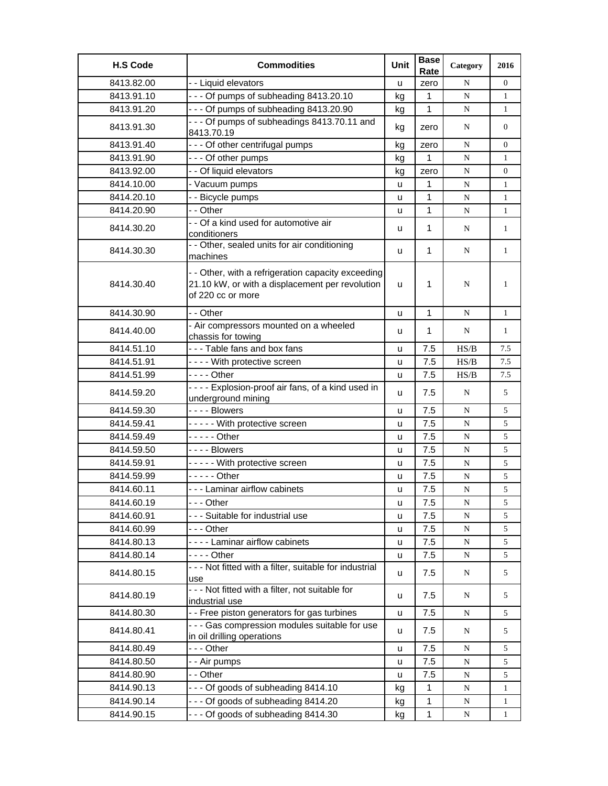| <b>H.S Code</b> | <b>Commodities</b>                                                                                                         | Unit | <b>Base</b><br>Rate | Category  | 2016           |
|-----------------|----------------------------------------------------------------------------------------------------------------------------|------|---------------------|-----------|----------------|
| 8413.82.00      | -- Liquid elevators                                                                                                        | u    | zero                | N         | $\Omega$       |
| 8413.91.10      | --- Of pumps of subheading 8413.20.10                                                                                      | kg   | 1                   | ${\bf N}$ | $\mathbf{1}$   |
| 8413.91.20      | - - - Of pumps of subheading 8413.20.90                                                                                    | kg   | 1                   | N         | $\mathbf{1}$   |
| 8413.91.30      | - - - Of pumps of subheadings 8413.70.11 and<br>8413.70.19                                                                 | kg   | zero                | N         | $\overline{0}$ |
| 8413.91.40      | --- Of other centrifugal pumps                                                                                             | kg   | zero                | N         | 0              |
| 8413.91.90      | --- Of other pumps                                                                                                         | kg   | 1                   | N         | 1              |
| 8413.92.00      | - - Of liquid elevators                                                                                                    | kg   | zero                | N         | $\overline{0}$ |
| 8414.10.00      | - Vacuum pumps                                                                                                             | u    | 1                   | N         | $\mathbf{1}$   |
| 8414.20.10      | - - Bicycle pumps                                                                                                          | u    | $\mathbf{1}$        | ${\bf N}$ | $\mathbf{1}$   |
| 8414.20.90      | - - Other                                                                                                                  | u    | 1                   | N         | $\mathbf{1}$   |
| 8414.30.20      | - - Of a kind used for automotive air<br>conditioners                                                                      | u    | $\mathbf 1$         | N         | $\mathbf{1}$   |
| 8414.30.30      | - - Other, sealed units for air conditioning<br>machines                                                                   | u    | $\mathbf{1}$        | N         | $\mathbf{1}$   |
| 8414.30.40      | - - Other, with a refrigeration capacity exceeding<br>21.10 kW, or with a displacement per revolution<br>of 220 cc or more | u    | $\mathbf{1}$        | N         | $\mathbf{1}$   |
| 8414.30.90      | - - Other                                                                                                                  | u    | $\mathbf{1}$        | N         | $\mathbf{1}$   |
| 8414.40.00      | - Air compressors mounted on a wheeled<br>chassis for towing                                                               | u    | 1                   | N         | $\mathbf{1}$   |
| 8414.51.10      | --- Table fans and box fans                                                                                                | u    | 7.5                 | HS/B      | 7.5            |
| 8414.51.91      | ---- With protective screen                                                                                                | u    | 7.5                 | HS/B      | 7.5            |
| 8414.51.99      | - - - - Other                                                                                                              | u    | 7.5                 | HS/B      | 7.5            |
| 8414.59.20      | ---- Explosion-proof air fans, of a kind used in<br>underground mining                                                     | u    | 7.5                 | N         | 5              |
| 8414.59.30      | ---- Blowers                                                                                                               | u    | 7.5                 | ${\bf N}$ | 5              |
| 8414.59.41      | ----- With protective screen                                                                                               | u    | 7.5                 | ${\bf N}$ | 5              |
| 8414.59.49      | $---$ Other                                                                                                                | u    | 7.5                 | N         | 5              |
| 8414.59.50      | - - - - Blowers                                                                                                            | u    | 7.5                 | N         | 5              |
| 8414.59.91      | ----- With protective screen                                                                                               | u    | 7.5                 | N         | 5              |
| 8414.59.99      | - - - - - Other                                                                                                            | u    | 7.5                 | ${\bf N}$ | 5              |
| 8414.60.11      | - - - Laminar airflow cabinets                                                                                             | u    | 7.5                 | ${\bf N}$ | 5              |
| 8414.60.19      | - - - Other                                                                                                                | u    | 7.5                 | N         | 5              |
| 8414.60.91      | --- Suitable for industrial use                                                                                            | u    | 7.5                 | N         | 5              |
| 8414.60.99      | --- Other                                                                                                                  | u    | $7.5\,$             | ${\bf N}$ | 5              |
| 8414.80.13      | - - - - Laminar airflow cabinets                                                                                           | u    | 7.5                 | ${\bf N}$ | 5              |
| 8414.80.14      | - - - - Other                                                                                                              | u    | 7.5                 | N         | 5              |
| 8414.80.15      | --- Not fitted with a filter, suitable for industrial<br>use                                                               | u    | 7.5                 | N         | 5              |
| 8414.80.19      | - - - Not fitted with a filter, not suitable for<br>industrial use                                                         | u    | 7.5                 | N         | 5              |
| 8414.80.30      | - - Free piston generators for gas turbines                                                                                | u    | 7.5                 | ${\bf N}$ | 5              |
| 8414.80.41      | - - - Gas compression modules suitable for use<br>in oil drilling operations                                               | u    | 7.5                 | N         | 5              |
| 8414.80.49      | --- Other                                                                                                                  | u    | 7.5                 | N         | 5              |
| 8414.80.50      | - - Air pumps                                                                                                              | u    | 7.5                 | N         | 5              |
| 8414.80.90      | - - Other                                                                                                                  | u    | 7.5                 | N         | 5              |
| 8414.90.13      | --- Of goods of subheading 8414.10                                                                                         | kg   | 1                   | N         | $\mathbf{1}$   |
| 8414.90.14      | --- Of goods of subheading 8414.20                                                                                         | kg   | 1                   | N         | $\mathbf{1}$   |
| 8414.90.15      | --- Of goods of subheading 8414.30                                                                                         | kg   | 1                   | N         | 1              |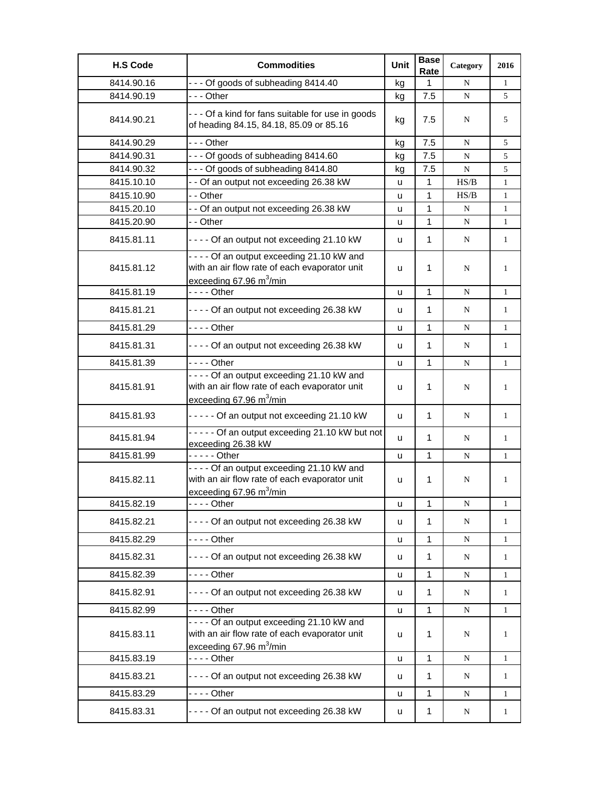| <b>H.S Code</b> | <b>Commodities</b>                                                                                                                       | Unit | <b>Base</b><br>Rate | Category    | 2016         |
|-----------------|------------------------------------------------------------------------------------------------------------------------------------------|------|---------------------|-------------|--------------|
| 8414.90.16      | --- Of goods of subheading 8414.40                                                                                                       | kg   | 1                   | N           | $\mathbf{1}$ |
| 8414.90.19      | --- Other                                                                                                                                | kg   | 7.5                 | ${\bf N}$   | 5            |
| 8414.90.21      | - - - Of a kind for fans suitable for use in goods<br>of heading 84.15, 84.18, 85.09 or 85.16                                            | kg   | 7.5                 | N           | 5            |
| 8414.90.29      | --- Other                                                                                                                                | kg   | 7.5                 | N           | 5            |
| 8414.90.31      | --- Of goods of subheading 8414.60                                                                                                       | kg   | 7.5                 | N           | 5            |
| 8414.90.32      | --- Of goods of subheading 8414.80                                                                                                       | kg   | 7.5                 | ${\bf N}$   | 5            |
| 8415.10.10      | - - Of an output not exceeding 26.38 kW                                                                                                  | u    | $\mathbf{1}$        | HS/B        | $\mathbf{1}$ |
| 8415.10.90      | - - Other                                                                                                                                | u    | 1                   | HS/B        | $\mathbf{1}$ |
| 8415.20.10      | - - Of an output not exceeding 26.38 kW                                                                                                  | u    | 1                   | N           | $\mathbf{1}$ |
| 8415.20.90      | - - Other                                                                                                                                | u    | 1                   | ${\bf N}$   | $\mathbf{1}$ |
| 8415.81.11      | - - - - Of an output not exceeding 21.10 kW                                                                                              | u    | 1                   | N           | $\mathbf{1}$ |
| 8415.81.12      | - - - - Of an output exceeding 21.10 kW and<br>with an air flow rate of each evaporator unit<br>exceeding 67.96 $m^3/m$ in               | u    | $\mathbf 1$         | N           | 1            |
| 8415.81.19      | $- - -$ Other                                                                                                                            | u    | $\mathbf{1}$        | ${\bf N}$   | $\mathbf{1}$ |
| 8415.81.21      | - - - - Of an output not exceeding 26.38 kW                                                                                              | u    | $\mathbf 1$         | N           | $\mathbf{1}$ |
| 8415.81.29      | - - - - Other                                                                                                                            | u    | $\mathbf{1}$        | ${\bf N}$   | $\mathbf{1}$ |
| 8415.81.31      | - - - - Of an output not exceeding 26.38 kW                                                                                              | u    | 1                   | N           | $\mathbf{1}$ |
| 8415.81.39      | - - - - Other                                                                                                                            | u    | 1                   | N           | 1            |
| 8415.81.91      | - - - - Of an output exceeding 21.10 kW and<br>with an air flow rate of each evaporator unit<br>exceeding $67.96 \text{ m}^3/\text{min}$ | u    | $\mathbf 1$         | N           | 1            |
| 8415.81.93      | ----- Of an output not exceeding 21.10 kW                                                                                                | u    | $\mathbf{1}$        | N           | $\mathbf{1}$ |
| 8415.81.94      | ----- Of an output exceeding 21.10 kW but not<br>exceeding 26.38 kW                                                                      | u    | $\mathbf 1$         | N           | $\mathbf{1}$ |
| 8415.81.99      | $---$ Other                                                                                                                              | u    | $\mathbf{1}$        | N           | $\mathbf{1}$ |
| 8415.82.11      | - - - - Of an output exceeding 21.10 kW and<br>with an air flow rate of each evaporator unit<br>exceeding 67.96 $m^3/m$ in               | u    | 1                   | N           | $\mathbf{1}$ |
| 8415.82.19      | - - - - Other                                                                                                                            | u    | $\mathbf{1}$        | ${\bf N}$   | $\mathbf{1}$ |
| 8415.82.21      | - - - - Of an output not exceeding 26.38 kW                                                                                              | u    | 1                   | N           | $\mathbf{1}$ |
| 8415.82.29      | - - - - Other                                                                                                                            | u    | $\mathbf{1}$        | ${\bf N}$   | $\mathbf{1}$ |
| 8415.82.31      | - - - - Of an output not exceeding 26.38 kW                                                                                              | u    | 1                   | N           | $\mathbf{1}$ |
| 8415.82.39      | - - - - Other                                                                                                                            | u    | $\mathbf 1$         | $\mathbf N$ | $\mathbf{1}$ |
| 8415.82.91      | - - - - Of an output not exceeding 26.38 kW                                                                                              | u    | 1                   | N           | $\mathbf{1}$ |
| 8415.82.99      | - - - - Other                                                                                                                            | u    | 1                   | N           | $\mathbf{1}$ |
| 8415.83.11      | ---- Of an output exceeding 21.10 kW and<br>with an air flow rate of each evaporator unit<br>exceeding $67.96 \text{ m}^3/\text{min}$    | u    | 1                   | N           | $\mathbf{1}$ |
| 8415.83.19      | - - - - Other                                                                                                                            | u    | $\mathbf{1}$        | N           | $\mathbf{1}$ |
| 8415.83.21      | - - - - Of an output not exceeding 26.38 kW                                                                                              | u    | 1                   | N           | $\mathbf{1}$ |
| 8415.83.29      | - - - - Other                                                                                                                            | u    | $\mathbf 1$         | $\mathbf N$ | $\mathbf{1}$ |
| 8415.83.31      | - - - - Of an output not exceeding 26.38 kW                                                                                              | u    | 1                   | N           | $\mathbf{1}$ |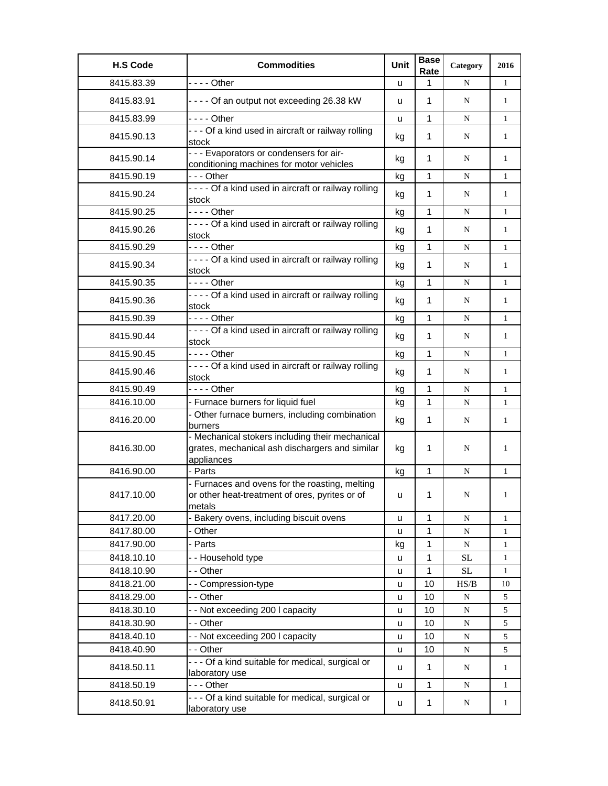| <b>H.S Code</b> | <b>Commodities</b>                                                                                              | Unit | <b>Base</b><br>Rate | Category    | 2016         |
|-----------------|-----------------------------------------------------------------------------------------------------------------|------|---------------------|-------------|--------------|
| 8415.83.39      | - - - - Other                                                                                                   | u    | 1                   | N           | $\mathbf{1}$ |
| 8415.83.91      | - - - - Of an output not exceeding 26.38 kW                                                                     | u    | 1                   | N           | $\mathbf{1}$ |
| 8415.83.99      |                                                                                                                 | u    | 1                   | N           | $\mathbf{1}$ |
| 8415.90.13      | - - - Of a kind used in aircraft or railway rolling<br>stock                                                    | kg   | 1                   | N           | $\mathbf{1}$ |
| 8415.90.14      | --- Evaporators or condensers for air-<br>conditioning machines for motor vehicles                              | kg   | $\mathbf{1}$        | N           | $\mathbf{1}$ |
| 8415.90.19      | $- -$ Other                                                                                                     | kg   | $\mathbf{1}$        | N           | $\mathbf{1}$ |
| 8415.90.24      | - - - - Of a kind used in aircraft or railway rolling<br>stock                                                  | kg   | $\mathbf 1$         | N           | $\mathbf{1}$ |
| 8415.90.25      | $--$ Other                                                                                                      | kg   | $\mathbf{1}$        | N           | $\mathbf{1}$ |
| 8415.90.26      | - - - - Of a kind used in aircraft or railway rolling<br>stock                                                  | kg   | 1                   | N           | $\mathbf{1}$ |
| 8415.90.29      | $--$ Other                                                                                                      | kg   | 1                   | N           | $\mathbf{1}$ |
| 8415.90.34      | - - - - Of a kind used in aircraft or railway rolling<br>stock                                                  | kg   | $\mathbf 1$         | N           | $\mathbf{1}$ |
| 8415.90.35      | $--$ - Other                                                                                                    | kg   | 1                   | ${\bf N}$   | $\mathbf{1}$ |
| 8415.90.36      | ---- Of a kind used in aircraft or railway rolling<br>stock                                                     | kg   | 1                   | N           | 1            |
| 8415.90.39      | $--$ - Other                                                                                                    | kg   | 1                   | ${\bf N}$   | $\mathbf{1}$ |
| 8415.90.44      | - - - - Of a kind used in aircraft or railway rolling<br>stock                                                  | kg   | 1                   | N           | 1            |
| 8415.90.45      | $--$ - Other                                                                                                    | kg   | 1                   | N           | $\mathbf{1}$ |
| 8415.90.46      | - - - - Of a kind used in aircraft or railway rolling<br>stock                                                  | kg   | 1                   | N           | 1            |
| 8415.90.49      | $--$ Other                                                                                                      | kg   | 1                   | N           | $\mathbf{1}$ |
| 8416.10.00      | - Furnace burners for liquid fuel                                                                               | kg   | $\mathbf{1}$        | N           | $\mathbf{1}$ |
| 8416.20.00      | - Other furnace burners, including combination<br>burners                                                       | kg   | 1                   | N           | 1            |
| 8416.30.00      | - Mechanical stokers including their mechanical<br>grates, mechanical ash dischargers and similar<br>appliances | kg   | 1                   | N           | 1            |
| 8416.90.00      | - Parts                                                                                                         | kg   | 1                   | N           | $\mathbf{1}$ |
| 8417.10.00      | - Furnaces and ovens for the roasting, melting<br>or other heat-treatment of ores, pyrites or of<br>metals      | u    | 1                   | N           | $\mathbf{1}$ |
| 8417.20.00      | Bakery ovens, including biscuit ovens                                                                           | u    | 1                   | ${\bf N}$   | 1            |
| 8417.80.00      | Other                                                                                                           | u    | 1                   | N           | 1            |
| 8417.90.00      | - Parts                                                                                                         | kg   | 1                   | $\mathbf N$ | $\mathbf{1}$ |
| 8418.10.10      | -- Household type                                                                                               | u    | 1                   | <b>SL</b>   | $\mathbf{1}$ |
| 8418.10.90      | - - Other                                                                                                       | u    | 1                   | SL          | $\mathbf{1}$ |
| 8418.21.00      | -- Compression-type                                                                                             | u    | 10                  | HS/B        | 10           |
| 8418.29.00      | - - Other                                                                                                       | u    | 10                  | N           | 5            |
| 8418.30.10      | - - Not exceeding 200 I capacity                                                                                | u    | 10                  | ${\bf N}$   | 5            |
| 8418.30.90      | - - Other                                                                                                       | u    | 10                  | ${\bf N}$   | 5            |
| 8418.40.10      | -- Not exceeding 200 I capacity                                                                                 | u    | 10                  | ${\bf N}$   | 5            |
| 8418.40.90      | - - Other                                                                                                       | u    | 10                  | ${\bf N}$   | 5            |
| 8418.50.11      | - - - Of a kind suitable for medical, surgical or<br>laboratory use                                             | u    | $\mathbf{1}$        | N           | $\mathbf{1}$ |
| 8418.50.19      | - - - Other                                                                                                     | u    | $\mathbf 1$         | ${\bf N}$   | $\mathbf{1}$ |
| 8418.50.91      | - - - Of a kind suitable for medical, surgical or<br>laboratory use                                             | u    | $\mathbf{1}$        | N           | $\mathbf{1}$ |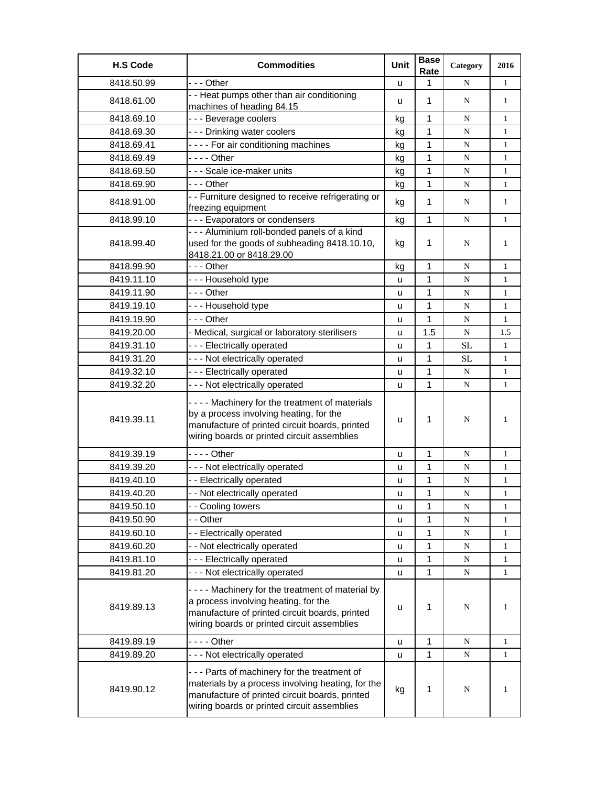| <b>H.S Code</b> | <b>Commodities</b>                                                                                                                                                                                  | Unit | <b>Base</b><br>Rate | Category    | 2016         |
|-----------------|-----------------------------------------------------------------------------------------------------------------------------------------------------------------------------------------------------|------|---------------------|-------------|--------------|
| 8418.50.99      | --- Other                                                                                                                                                                                           | u    | 1                   | N           | $\mathbf{1}$ |
| 8418.61.00      | - - Heat pumps other than air conditioning<br>machines of heading 84.15                                                                                                                             | u    | 1                   | N           | $\mathbf{1}$ |
| 8418.69.10      | --- Beverage coolers                                                                                                                                                                                | kg   | 1                   | N           | $\mathbf{1}$ |
| 8418.69.30      | --- Drinking water coolers                                                                                                                                                                          | kg   | $\mathbf{1}$        | N           | $\mathbf{1}$ |
| 8418.69.41      | ---- For air conditioning machines                                                                                                                                                                  | kg   | 1                   | ${\bf N}$   | $\mathbf{1}$ |
| 8418.69.49      | - - - - Other                                                                                                                                                                                       | kg   | 1                   | N           | $\mathbf{1}$ |
| 8418.69.50      | - - - Scale ice-maker units                                                                                                                                                                         | kg   | 1                   | N           | $\mathbf{1}$ |
| 8418.69.90      | -  - - Other                                                                                                                                                                                        | kg   | 1                   | ${\bf N}$   | $\mathbf{1}$ |
| 8418.91.00      | - - Furniture designed to receive refrigerating or<br>freezing equipment                                                                                                                            | kg   | 1                   | N           | $\mathbf{1}$ |
| 8418.99.10      | --- Evaporators or condensers                                                                                                                                                                       | kg   | 1                   | N           | $\mathbf{1}$ |
| 8418.99.40      | - - - Aluminium roll-bonded panels of a kind<br>used for the goods of subheading 8418.10.10,<br>8418.21.00 or 8418.29.00                                                                            | kg   | $\mathbf 1$         | N           | $\mathbf{1}$ |
| 8418.99.90      | --- Other                                                                                                                                                                                           | kg   | 1                   | N           | $\mathbf{1}$ |
| 8419.11.10      | --- Household type                                                                                                                                                                                  | u    | $\mathbf{1}$        | N           | $\mathbf{1}$ |
| 8419.11.90      | --- Other                                                                                                                                                                                           | u    | 1                   | ${\bf N}$   | $\mathbf{1}$ |
| 8419.19.10      | --- Household type                                                                                                                                                                                  | u    | 1                   | N           | $\mathbf{1}$ |
| 8419.19.90      | - - - Other                                                                                                                                                                                         | u    | $\mathbf{1}$        | N           | $\mathbf{1}$ |
| 8419.20.00      | - Medical, surgical or laboratory sterilisers                                                                                                                                                       | u    | 1.5                 | N           | 1.5          |
| 8419.31.10      | --- Electrically operated                                                                                                                                                                           | u    | 1                   | SL          | $\mathbf{1}$ |
| 8419.31.20      | --- Not electrically operated                                                                                                                                                                       | u    | 1                   | <b>SL</b>   | $\mathbf{1}$ |
| 8419.32.10      | --- Electrically operated                                                                                                                                                                           | u    | 1                   | N           | $\mathbf{1}$ |
| 8419.32.20      | - - - Not electrically operated                                                                                                                                                                     | u    | 1                   | N           | $\mathbf{1}$ |
| 8419.39.11      | - - - - Machinery for the treatment of materials<br>by a process involving heating, for the<br>manufacture of printed circuit boards, printed<br>wiring boards or printed circuit assemblies        | u    | $\mathbf{1}$        | N           | 1            |
| 8419.39.19      |                                                                                                                                                                                                     | u    | 1                   | N           | 1            |
| 8419.39.20      | - - - Not electrically operated                                                                                                                                                                     | u    | 1                   | ${\bf N}$   | $\mathbf{1}$ |
| 8419.40.10      | - - Electrically operated                                                                                                                                                                           | u    | 1                   | ${\bf N}$   | $\mathbf{1}$ |
| 8419.40.20      | - - Not electrically operated                                                                                                                                                                       | u    | 1                   | ${\bf N}$   | $\mathbf{1}$ |
| 8419.50.10      | - - Cooling towers                                                                                                                                                                                  | u    | 1                   | N           | 1            |
| 8419.50.90      | - - Other                                                                                                                                                                                           | u    | 1                   | N           | 1            |
| 8419.60.10      | - - Electrically operated                                                                                                                                                                           | u    | 1                   | N           | $\mathbf{1}$ |
| 8419.60.20      | - - Not electrically operated                                                                                                                                                                       | u    | 1                   | ${\bf N}$   | $\mathbf{1}$ |
| 8419.81.10      | --- Electrically operated                                                                                                                                                                           | u    | 1                   | ${\bf N}$   | $\mathbf{1}$ |
| 8419.81.20      | --- Not electrically operated                                                                                                                                                                       | u    | 1                   | $\mathbf N$ | $\mathbf{1}$ |
| 8419.89.13      | - - - - Machinery for the treatment of material by<br>a process involving heating, for the<br>manufacture of printed circuit boards, printed<br>wiring boards or printed circuit assemblies         | u    | 1                   | N           | $\mathbf{1}$ |
| 8419.89.19      | - - - - Other                                                                                                                                                                                       | u    | 1                   | ${\bf N}$   | $\mathbf{1}$ |
| 8419.89.20      | - - - Not electrically operated                                                                                                                                                                     | u    | 1                   | ${\bf N}$   | $\mathbf{1}$ |
| 8419.90.12      | - - - Parts of machinery for the treatment of<br>materials by a process involving heating, for the<br>manufacture of printed circuit boards, printed<br>wiring boards or printed circuit assemblies | kg   | $\mathbf 1$         | N           | $\mathbf{1}$ |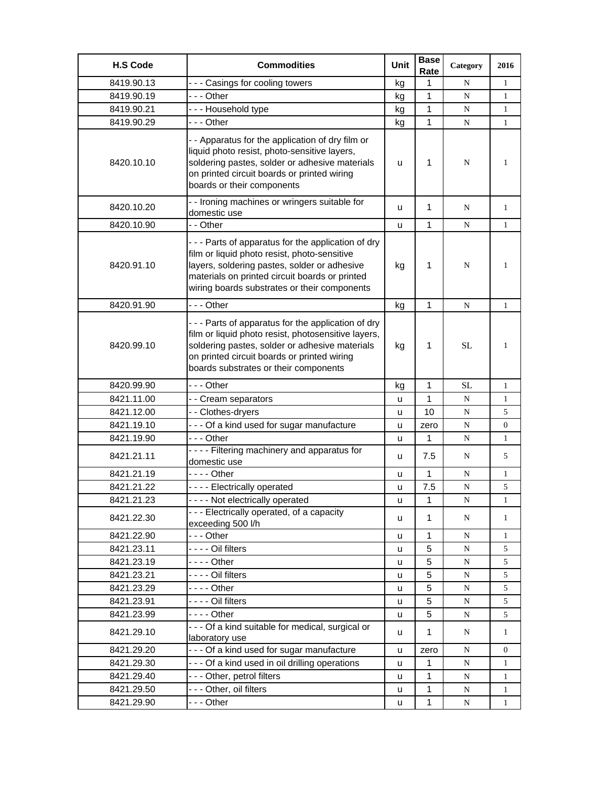| <b>H.S Code</b> | <b>Commodities</b>                                                                                                                                                                                                                                    | Unit | <b>Base</b><br>Rate | Category    | 2016           |
|-----------------|-------------------------------------------------------------------------------------------------------------------------------------------------------------------------------------------------------------------------------------------------------|------|---------------------|-------------|----------------|
| 8419.90.13      | --- Casings for cooling towers                                                                                                                                                                                                                        | kg   | 1                   | N           | 1              |
| 8419.90.19      | --- Other                                                                                                                                                                                                                                             | kg   | 1                   | $\mathbf N$ | 1              |
| 8419.90.21      | --- Household type                                                                                                                                                                                                                                    | kg   | 1                   | N           | $\mathbf{1}$   |
| 8419.90.29      | --- Other                                                                                                                                                                                                                                             | kg   | 1                   | N           | $\mathbf{1}$   |
| 8420.10.10      | - - Apparatus for the application of dry film or<br>liquid photo resist, photo-sensitive layers,<br>soldering pastes, solder or adhesive materials<br>on printed circuit boards or printed wiring<br>boards or their components                       | u    | 1                   | N           | 1              |
| 8420.10.20      | - - Ironing machines or wringers suitable for<br>domestic use                                                                                                                                                                                         | u    | 1                   | N           | $\mathbf{1}$   |
| 8420.10.90      | - - Other                                                                                                                                                                                                                                             | u    | $\mathbf{1}$        | N           | $\mathbf{1}$   |
| 8420.91.10      | - - - Parts of apparatus for the application of dry<br>film or liquid photo resist, photo-sensitive<br>layers, soldering pastes, solder or adhesive<br>materials on printed circuit boards or printed<br>wiring boards substrates or their components | kg   | 1                   | N           | 1              |
| 8420.91.90      | - - - Other                                                                                                                                                                                                                                           | kg   | 1                   | N           | $\mathbf{1}$   |
| 8420.99.10      | --- Parts of apparatus for the application of dry<br>film or liquid photo resist, photosensitive layers,<br>soldering pastes, solder or adhesive materials<br>on printed circuit boards or printed wiring<br>boards substrates or their components    | kg   | 1                   | <b>SL</b>   | 1              |
| 8420.99.90      | --- Other                                                                                                                                                                                                                                             | kg   | 1                   | <b>SL</b>   | $\mathbf{1}$   |
| 8421.11.00      | - - Cream separators                                                                                                                                                                                                                                  | u    | 1                   | N           | 1              |
| 8421.12.00      | - - Clothes-dryers                                                                                                                                                                                                                                    | u    | 10                  | $\mathbf N$ | 5              |
| 8421.19.10      | --- Of a kind used for sugar manufacture                                                                                                                                                                                                              | u    | zero                | ${\bf N}$   | $\overline{0}$ |
| 8421.19.90      | --- Other                                                                                                                                                                                                                                             | u    | 1                   | N           | $\mathbf{1}$   |
| 8421.21.11      | - - - - Filtering machinery and apparatus for<br>domestic use                                                                                                                                                                                         | u    | 7.5                 | N           | 5              |
| 8421.21.19      | - - - - Other                                                                                                                                                                                                                                         | u    | 1                   | N           | $\mathbf{1}$   |
| 8421.21.22      | - - - - Electrically operated                                                                                                                                                                                                                         | u    | 7.5                 | $\mathbf N$ | 5              |
| 8421.21.23      | - - - Not electrically operated                                                                                                                                                                                                                       | u    | $\mathbf 1$         | $\mathbf N$ | 1              |
| 8421.22.30      | --- Electrically operated, of a capacity<br>exceeding 500 l/h                                                                                                                                                                                         | u    | 1                   | N           | 1              |
| 8421.22.90      | --- Other                                                                                                                                                                                                                                             | u    | 1                   | N           | 1              |
| 8421.23.11      | - - - - Oil filters                                                                                                                                                                                                                                   | u    | 5                   | N           | 5              |
| 8421.23.19      | - - - - Other                                                                                                                                                                                                                                         | u    | 5                   | N           | 5              |
| 8421.23.21      | - - - - Oil filters                                                                                                                                                                                                                                   | u    | 5                   | $\mathbf N$ | 5              |
| 8421.23.29      | - - - - Other                                                                                                                                                                                                                                         | u    | 5                   | ${\bf N}$   | 5              |
| 8421.23.91      | - - - - Oil filters                                                                                                                                                                                                                                   | u    | 5                   | ${\bf N}$   | 5              |
| 8421.23.99      | - - - - Other                                                                                                                                                                                                                                         | u    | 5                   | N           | 5              |
| 8421.29.10      | - - - Of a kind suitable for medical, surgical or<br>laboratory use                                                                                                                                                                                   | u    | 1                   | N           | $\mathbf{1}$   |
| 8421.29.20      | - - - Of a kind used for sugar manufacture                                                                                                                                                                                                            | u    | zero                | N           | 0              |
| 8421.29.30      | --- Of a kind used in oil drilling operations                                                                                                                                                                                                         | u    | 1                   | N           | 1              |
| 8421.29.40      | --- Other, petrol filters                                                                                                                                                                                                                             | u    | 1                   | N           | 1              |
| 8421.29.50      | --- Other, oil filters                                                                                                                                                                                                                                | u    | 1                   | ${\bf N}$   | 1              |
| 8421.29.90      | --- Other                                                                                                                                                                                                                                             | u    | 1                   | N           | $\mathbf{1}$   |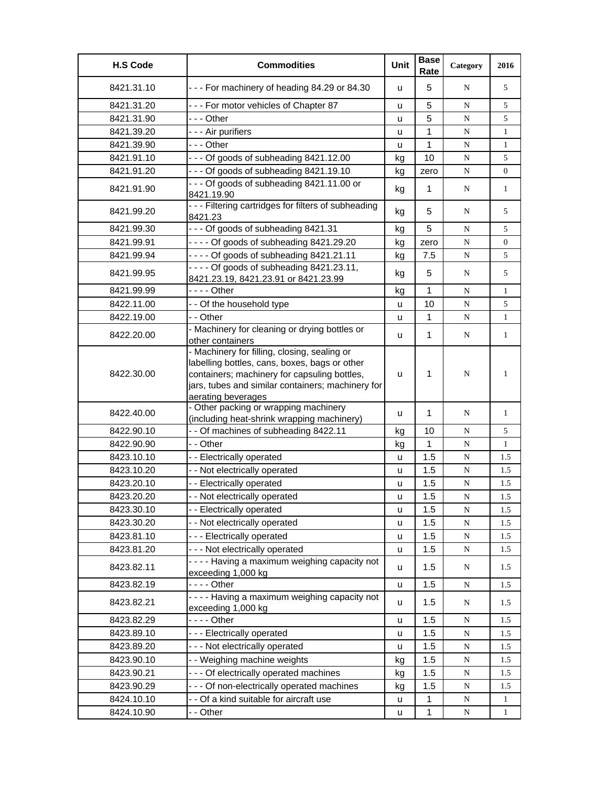| <b>H.S Code</b> | <b>Commodities</b>                                                                                                                                                                                                       | Unit | <b>Base</b><br>Rate | Category  | 2016           |
|-----------------|--------------------------------------------------------------------------------------------------------------------------------------------------------------------------------------------------------------------------|------|---------------------|-----------|----------------|
| 8421.31.10      | --- For machinery of heading 84.29 or 84.30                                                                                                                                                                              | u    | 5                   | N         | 5              |
| 8421.31.20      | --- For motor vehicles of Chapter 87                                                                                                                                                                                     | u    | 5                   | N         | 5              |
| 8421.31.90      | - - - Other                                                                                                                                                                                                              | u    | 5                   | ${\bf N}$ | 5              |
| 8421.39.20      | - - - Air purifiers                                                                                                                                                                                                      | u    | $\mathbf{1}$        | ${\bf N}$ | $\mathbf{1}$   |
| 8421.39.90      | - - - Other                                                                                                                                                                                                              | u    | 1                   | N         | $\mathbf{1}$   |
| 8421.91.10      | --- Of goods of subheading 8421.12.00                                                                                                                                                                                    | kg   | 10                  | N         | 5              |
| 8421.91.20      | --- Of goods of subheading 8421.19.10                                                                                                                                                                                    | kg   | zero                | ${\bf N}$ | 0              |
| 8421.91.90      | --- Of goods of subheading 8421.11.00 or<br>8421.19.90                                                                                                                                                                   | kg   | $\mathbf 1$         | N         | 1              |
| 8421.99.20      | - - - Filtering cartridges for filters of subheading<br>8421.23                                                                                                                                                          | kg   | 5                   | N         | 5              |
| 8421.99.30      | --- Of goods of subheading 8421.31                                                                                                                                                                                       | kg   | 5                   | N         | 5              |
| 8421.99.91      | $--$ Of goods of subheading 8421.29.20                                                                                                                                                                                   | kg   | zero                | N         | $\overline{0}$ |
| 8421.99.94      | - - - - Of goods of subheading 8421.21.11                                                                                                                                                                                | kg   | 7.5                 | N         | 5              |
| 8421.99.95      | $--$ Of goods of subheading 8421.23.11,<br>8421.23.19, 8421.23.91 or 8421.23.99                                                                                                                                          | kg   | 5                   | N         | 5              |
| 8421.99.99      | - - - - Other                                                                                                                                                                                                            | kg   | $\mathbf{1}$        | N         | $\mathbf{1}$   |
| 8422.11.00      | - - Of the household type                                                                                                                                                                                                | u    | 10                  | N         | 5              |
| 8422.19.00      | - - Other                                                                                                                                                                                                                | u    | 1                   | ${\bf N}$ | $\mathbf{1}$   |
| 8422.20.00      | - Machinery for cleaning or drying bottles or<br>other containers                                                                                                                                                        | u    | 1                   | N         | $\mathbf{1}$   |
| 8422.30.00      | - Machinery for filling, closing, sealing or<br>labelling bottles, cans, boxes, bags or other<br>containers; machinery for capsuling bottles,<br>jars, tubes and similar containers; machinery for<br>aerating beverages | u    | $\mathbf 1$         | N         | 1              |
| 8422.40.00      | - Other packing or wrapping machinery<br>(including heat-shrink wrapping machinery)                                                                                                                                      | u    | 1                   | N         | 1              |
| 8422.90.10      | - - Of machines of subheading 8422.11                                                                                                                                                                                    | kg   | 10                  | N         | 5              |
| 8422.90.90      | - - Other                                                                                                                                                                                                                | kg   | $\mathbf{1}$        | N         | $\mathbf{1}$   |
| 8423.10.10      | - - Electrically operated                                                                                                                                                                                                | u    | 1.5                 | N         | 1.5            |
| 8423.10.20      | - - Not electrically operated                                                                                                                                                                                            | u    | 1.5                 | N         | 1.5            |
| 8423.20.10      | -- Electrically operated                                                                                                                                                                                                 | u    | 1.5                 | ${\bf N}$ | 1.5            |
| 8423.20.20      | - - Not electrically operated                                                                                                                                                                                            | u    | 1.5                 | N         | 1.5            |
| 8423.30.10      | - - Electrically operated                                                                                                                                                                                                | u    | 1.5                 | ${\bf N}$ | 1.5            |
| 8423.30.20      | - - Not electrically operated                                                                                                                                                                                            | u    | 1.5                 | ${\bf N}$ | 1.5            |
| 8423.81.10      | --- Electrically operated                                                                                                                                                                                                | u    | 1.5                 | ${\bf N}$ | 1.5            |
| 8423.81.20      | --- Not electrically operated                                                                                                                                                                                            | u    | 1.5                 | N         | 1.5            |
| 8423.82.11      | - - - - Having a maximum weighing capacity not<br>exceeding 1,000 kg                                                                                                                                                     | u    | 1.5                 | N         | 1.5            |
| 8423.82.19      |                                                                                                                                                                                                                          | u    | 1.5                 | N         | 1.5            |
| 8423.82.21      | - - - - Having a maximum weighing capacity not<br>exceeding 1,000 kg                                                                                                                                                     | u    | 1.5                 | N         | 1.5            |
| 8423.82.29      |                                                                                                                                                                                                                          | u    | 1.5                 | N         | 1.5            |
| 8423.89.10      | --- Electrically operated                                                                                                                                                                                                | u    | 1.5                 | ${\bf N}$ | 1.5            |
| 8423.89.20      | --- Not electrically operated                                                                                                                                                                                            | u    | 1.5                 | ${\bf N}$ | 1.5            |
| 8423.90.10      | - - Weighing machine weights                                                                                                                                                                                             | kg   | 1.5                 | ${\bf N}$ | 1.5            |
| 8423.90.21      | - - - Of electrically operated machines                                                                                                                                                                                  | kg   | 1.5                 | ${\bf N}$ | 1.5            |
| 8423.90.29      | - - - Of non-electrically operated machines                                                                                                                                                                              | kg   | 1.5                 | N         | 1.5            |
| 8424.10.10      | - - Of a kind suitable for aircraft use                                                                                                                                                                                  | u    | 1                   | N         | $\mathbf{1}$   |
| 8424.10.90      | - - Other                                                                                                                                                                                                                | u    | $\mathbf{1}$        | ${\bf N}$ | $\mathbf{1}$   |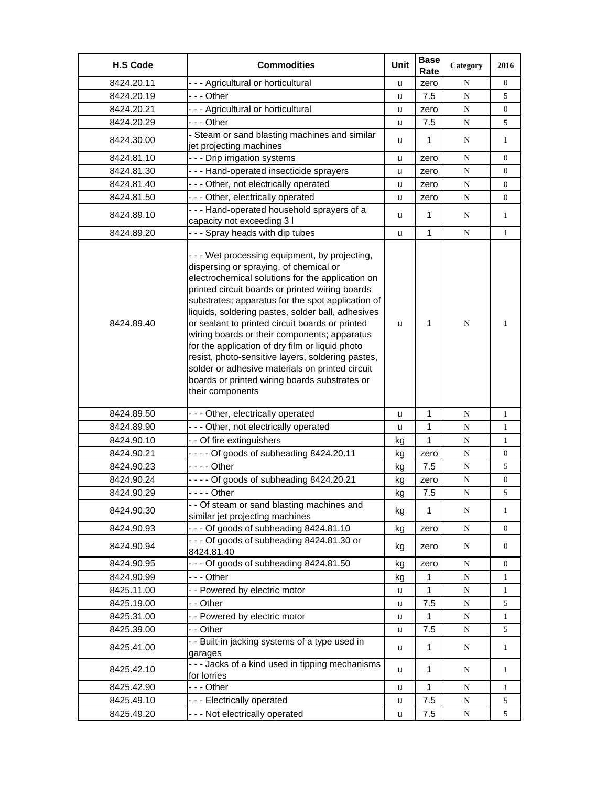| <b>H.S Code</b> | <b>Commodities</b>                                                                                                                                                                                                                                                                                                                                                                                                                                                                                                                                                                                                                           | Unit | <b>Base</b><br>Rate | Category  | 2016             |
|-----------------|----------------------------------------------------------------------------------------------------------------------------------------------------------------------------------------------------------------------------------------------------------------------------------------------------------------------------------------------------------------------------------------------------------------------------------------------------------------------------------------------------------------------------------------------------------------------------------------------------------------------------------------------|------|---------------------|-----------|------------------|
| 8424.20.11      | - - - Agricultural or horticultural                                                                                                                                                                                                                                                                                                                                                                                                                                                                                                                                                                                                          | u    | zero                | N         | $\overline{0}$   |
| 8424.20.19      | --- Other                                                                                                                                                                                                                                                                                                                                                                                                                                                                                                                                                                                                                                    | u    | 7.5                 | ${\bf N}$ | 5                |
| 8424.20.21      | - - - Agricultural or horticultural                                                                                                                                                                                                                                                                                                                                                                                                                                                                                                                                                                                                          | u    | zero                | N         | 0                |
| 8424.20.29      | - - - Other                                                                                                                                                                                                                                                                                                                                                                                                                                                                                                                                                                                                                                  | u    | 7.5                 | ${\bf N}$ | 5                |
| 8424.30.00      | - Steam or sand blasting machines and similar<br>jet projecting machines                                                                                                                                                                                                                                                                                                                                                                                                                                                                                                                                                                     | u    | 1                   | N         | $\mathbf{1}$     |
| 8424.81.10      | --- Drip irrigation systems                                                                                                                                                                                                                                                                                                                                                                                                                                                                                                                                                                                                                  | u    | zero                | N         | $\boldsymbol{0}$ |
| 8424.81.30      | --- Hand-operated insecticide sprayers                                                                                                                                                                                                                                                                                                                                                                                                                                                                                                                                                                                                       | u    | zero                | ${\bf N}$ | 0                |
| 8424.81.40      | - - - Other, not electrically operated                                                                                                                                                                                                                                                                                                                                                                                                                                                                                                                                                                                                       | u    | zero                | ${\bf N}$ | $\boldsymbol{0}$ |
| 8424.81.50      | - - - Other, electrically operated                                                                                                                                                                                                                                                                                                                                                                                                                                                                                                                                                                                                           | u    | zero                | ${\bf N}$ | $\mathbf{0}$     |
| 8424.89.10      | --- Hand-operated household sprayers of a<br>capacity not exceeding 3 I                                                                                                                                                                                                                                                                                                                                                                                                                                                                                                                                                                      | u    | $\mathbf 1$         | N         | $\mathbf{1}$     |
| 8424.89.20      | --- Spray heads with dip tubes                                                                                                                                                                                                                                                                                                                                                                                                                                                                                                                                                                                                               | u    | $\mathbf{1}$        | N         | $\mathbf{1}$     |
| 8424.89.40      | - - - Wet processing equipment, by projecting,<br>dispersing or spraying, of chemical or<br>electrochemical solutions for the application on<br>printed circuit boards or printed wiring boards<br>substrates; apparatus for the spot application of<br>liquids, soldering pastes, solder ball, adhesives<br>or sealant to printed circuit boards or printed<br>wiring boards or their components; apparatus<br>for the application of dry film or liquid photo<br>resist, photo-sensitive layers, soldering pastes,<br>solder or adhesive materials on printed circuit<br>boards or printed wiring boards substrates or<br>their components | u    | $\mathbf{1}$        | N         | $\mathbf{1}$     |
| 8424.89.50      | --- Other, electrically operated                                                                                                                                                                                                                                                                                                                                                                                                                                                                                                                                                                                                             | u    | 1                   | N         | $\mathbf{1}$     |
| 8424.89.90      | - - - Other, not electrically operated                                                                                                                                                                                                                                                                                                                                                                                                                                                                                                                                                                                                       | u    | 1                   | ${\bf N}$ | $\mathbf{1}$     |
| 8424.90.10      | - - Of fire extinguishers                                                                                                                                                                                                                                                                                                                                                                                                                                                                                                                                                                                                                    | kg   | 1                   | N         | $\mathbf{1}$     |
| 8424.90.21      | - - - - Of goods of subheading 8424.20.11                                                                                                                                                                                                                                                                                                                                                                                                                                                                                                                                                                                                    | kg   | zero                | ${\bf N}$ | 0                |
| 8424.90.23      | - - - - Other                                                                                                                                                                                                                                                                                                                                                                                                                                                                                                                                                                                                                                | kg   | 7.5                 | ${\bf N}$ | 5                |
| 8424.90.24      | - - - - Of goods of subheading 8424.20.21                                                                                                                                                                                                                                                                                                                                                                                                                                                                                                                                                                                                    | kg   | zero                | N         | $\boldsymbol{0}$ |
| 8424.90.29      | - - - - Other                                                                                                                                                                                                                                                                                                                                                                                                                                                                                                                                                                                                                                | kg   | 7.5                 | ${\bf N}$ | 5                |
| 8424.90.30      | - - Of steam or sand blasting machines and<br>similar jet projecting machines                                                                                                                                                                                                                                                                                                                                                                                                                                                                                                                                                                | kg   | $\mathbf{1}$        | ${\bf N}$ | $\mathbf{1}$     |
| 8424.90.93      | --- Of goods of subheading 8424.81.10                                                                                                                                                                                                                                                                                                                                                                                                                                                                                                                                                                                                        | kg   | zero                | ${\bf N}$ | $\overline{0}$   |
| 8424.90.94      | --- Of goods of subheading 8424.81.30 or<br>8424.81.40                                                                                                                                                                                                                                                                                                                                                                                                                                                                                                                                                                                       | kg   | zero                | N         | $\boldsymbol{0}$ |
| 8424.90.95      | --- Of goods of subheading 8424.81.50                                                                                                                                                                                                                                                                                                                                                                                                                                                                                                                                                                                                        | kg   | zero                | ${\bf N}$ | 0                |
| 8424.90.99      | --- Other                                                                                                                                                                                                                                                                                                                                                                                                                                                                                                                                                                                                                                    | kg   | $\mathbf{1}$        | ${\bf N}$ | $\mathbf{1}$     |
| 8425.11.00      | -- Powered by electric motor                                                                                                                                                                                                                                                                                                                                                                                                                                                                                                                                                                                                                 | u    | 1                   | ${\bf N}$ | $\mathbf{1}$     |
| 8425.19.00      | - - Other                                                                                                                                                                                                                                                                                                                                                                                                                                                                                                                                                                                                                                    | u    | 7.5                 | ${\bf N}$ | 5                |
| 8425.31.00      | - - Powered by electric motor                                                                                                                                                                                                                                                                                                                                                                                                                                                                                                                                                                                                                | u    | 1                   | N         | $\mathbf{1}$     |
| 8425.39.00      | - - Other                                                                                                                                                                                                                                                                                                                                                                                                                                                                                                                                                                                                                                    | u    | 7.5                 | N         | 5                |
| 8425.41.00      | - - Built-in jacking systems of a type used in<br>garages                                                                                                                                                                                                                                                                                                                                                                                                                                                                                                                                                                                    | u    | $\mathbf{1}$        | N         | $\mathbf{1}$     |
| 8425.42.10      | - - - Jacks of a kind used in tipping mechanisms<br>for lorries                                                                                                                                                                                                                                                                                                                                                                                                                                                                                                                                                                              | u    | 1                   | N         | $\mathbf{1}$     |
| 8425.42.90      | --- Other                                                                                                                                                                                                                                                                                                                                                                                                                                                                                                                                                                                                                                    | u    | 1                   | N         | $\mathbf{1}$     |
| 8425.49.10      | --- Electrically operated                                                                                                                                                                                                                                                                                                                                                                                                                                                                                                                                                                                                                    | u    | 7.5                 | ${\bf N}$ | 5                |
| 8425.49.20      | - - - Not electrically operated                                                                                                                                                                                                                                                                                                                                                                                                                                                                                                                                                                                                              | u    | 7.5                 | N         | 5                |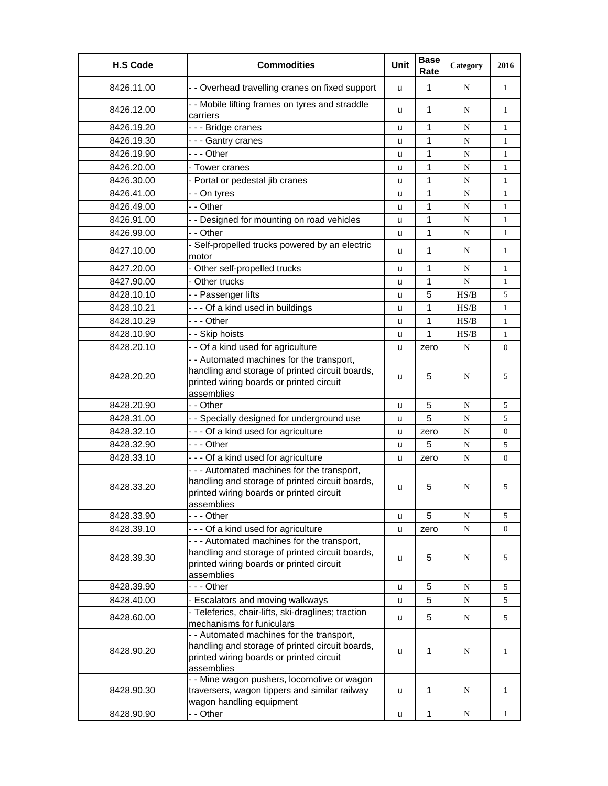| <b>H.S Code</b> | <b>Commodities</b>                                                                                                                                       | Unit | <b>Base</b><br>Rate | Category  | 2016         |
|-----------------|----------------------------------------------------------------------------------------------------------------------------------------------------------|------|---------------------|-----------|--------------|
| 8426.11.00      | - - Overhead travelling cranes on fixed support                                                                                                          | u    | $\mathbf{1}$        | N         | $\mathbf{1}$ |
| 8426.12.00      | - - Mobile lifting frames on tyres and straddle<br>carriers                                                                                              | u    | 1                   | N         | 1            |
| 8426.19.20      | --- Bridge cranes                                                                                                                                        | u    | 1                   | N         | $\mathbf{1}$ |
| 8426.19.30      | --- Gantry cranes                                                                                                                                        | u    | 1                   | N         | $\mathbf{1}$ |
| 8426.19.90      | $- -$ Other                                                                                                                                              | u    | $\mathbf{1}$        | N         | $\mathbf{1}$ |
| 8426.20.00      | - Tower cranes                                                                                                                                           | u    | 1                   | N         | $\mathbf{1}$ |
| 8426.30.00      | - Portal or pedestal jib cranes                                                                                                                          | u    | 1                   | N         | $\mathbf{1}$ |
| 8426.41.00      | - - On tyres                                                                                                                                             | u    | 1                   | ${\bf N}$ | $\mathbf{1}$ |
| 8426.49.00      | - - Other                                                                                                                                                | u    | 1                   | N         | $\mathbf{1}$ |
| 8426.91.00      | - - Designed for mounting on road vehicles                                                                                                               | u    | 1                   | N         | $\mathbf{1}$ |
| 8426.99.00      | - - Other                                                                                                                                                | u    | 1                   | ${\bf N}$ | $\mathbf{1}$ |
| 8427.10.00      | - Self-propelled trucks powered by an electric<br>motor                                                                                                  | u    | $\mathbf{1}$        | N         | $\mathbf{1}$ |
| 8427.20.00      | - Other self-propelled trucks                                                                                                                            | u    | $\mathbf{1}$        | N         | $\mathbf{1}$ |
| 8427.90.00      | - Other trucks                                                                                                                                           | u    | 1                   | ${\bf N}$ | 1            |
| 8428.10.10      | - - Passenger lifts                                                                                                                                      | u    | 5                   | HS/B      | 5            |
| 8428.10.21      | --- Of a kind used in buildings                                                                                                                          | u    | 1                   | HS/B      | $\mathbf{1}$ |
| 8428.10.29      | --- Other                                                                                                                                                | u    | 1                   | HS/B      | $\mathbf{1}$ |
| 8428.10.90      | - - Skip hoists                                                                                                                                          | u    | $\mathbf{1}$        | HS/B      | $\mathbf{1}$ |
| 8428.20.10      | - - Of a kind used for agriculture                                                                                                                       | u    | zero                | N         | 0            |
| 8428.20.20      | - - Automated machines for the transport,<br>handling and storage of printed circuit boards,<br>printed wiring boards or printed circuit                 | u    | 5                   | N         | 5            |
|                 | assemblies                                                                                                                                               |      |                     |           |              |
| 8428.20.90      | - - Other                                                                                                                                                | u    | 5                   | N         | 5            |
| 8428.31.00      | - - Specially designed for underground use                                                                                                               | u    | 5                   | N         | 5            |
| 8428.32.10      | --- Of a kind used for agriculture                                                                                                                       | u    | zero                | ${\bf N}$ | 0            |
| 8428.32.90      | --- Other                                                                                                                                                | u    | 5                   | ${\bf N}$ | 5            |
| 8428.33.10      | --- Of a kind used for agriculture                                                                                                                       | u    | zero                | N         | 0            |
| 8428.33.20      | - - - Automated machines for the transport,<br>handling and storage of printed circuit boards,<br>printed wiring boards or printed circuit<br>assemblies | u    | 5                   | N         | 5            |
| 8428.33.90      | --- Other                                                                                                                                                | u    | 5                   | N         | 5            |
| 8428.39.10      | --- Of a kind used for agriculture                                                                                                                       | u    | zero                | N         | 0            |
| 8428.39.30      | - - - Automated machines for the transport,<br>handling and storage of printed circuit boards,<br>printed wiring boards or printed circuit<br>assemblies | u    | 5                   | N         | 5            |
| 8428.39.90      | -  - - Other                                                                                                                                             | u    | 5                   | N         | 5            |
| 8428.40.00      | - Escalators and moving walkways                                                                                                                         | u    | 5                   | N         | 5            |
|                 | - Teleferics, chair-lifts, ski-draglines; traction                                                                                                       |      |                     |           |              |
| 8428.60.00      | mechanisms for funiculars                                                                                                                                | u    | 5                   | N         | 5            |
| 8428.90.20      | - - Automated machines for the transport,<br>handling and storage of printed circuit boards,<br>printed wiring boards or printed circuit<br>assemblies   | u    | 1                   | N         | 1            |
| 8428.90.30      | - - Mine wagon pushers, locomotive or wagon<br>traversers, wagon tippers and similar railway<br>wagon handling equipment                                 | u    | 1                   | N         | $\mathbf{1}$ |
| 8428.90.90      | - - Other                                                                                                                                                | u    | $\mathbf{1}$        | N         | $\mathbf{1}$ |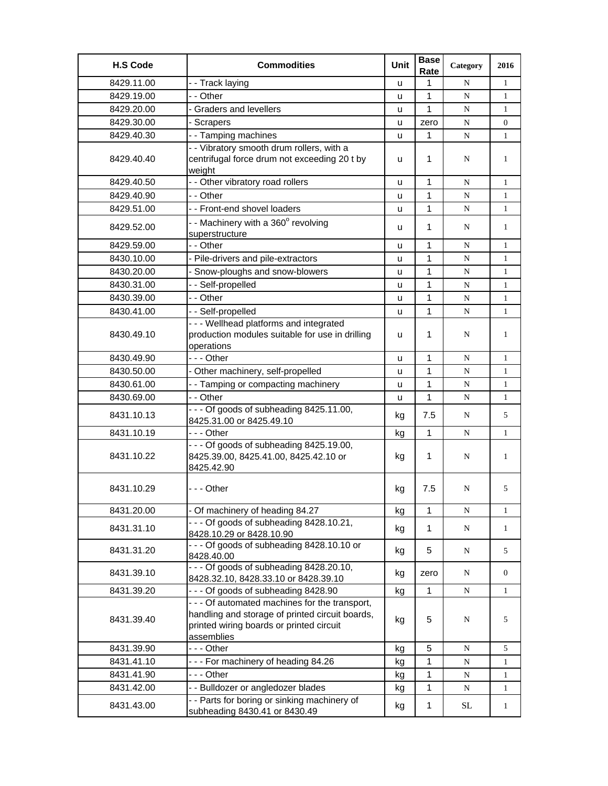| <b>H.S Code</b> | <b>Commodities</b>                                                                                                                                          | Unit | <b>Base</b><br>Rate | Category  | 2016         |
|-----------------|-------------------------------------------------------------------------------------------------------------------------------------------------------------|------|---------------------|-----------|--------------|
| 8429.11.00      | - - Track laying                                                                                                                                            | u    | 1                   | N         | $\mathbf{1}$ |
| 8429.19.00      | - - Other                                                                                                                                                   | u    | 1                   | ${\bf N}$ | $\mathbf{1}$ |
| 8429.20.00      | - Graders and levellers                                                                                                                                     | u    | 1                   | N         | $\mathbf{1}$ |
| 8429.30.00      | - Scrapers                                                                                                                                                  | u    | zero                | N         | 0            |
| 8429.40.30      | - - Tamping machines                                                                                                                                        | u    | 1                   | N         | $\mathbf{1}$ |
| 8429.40.40      | - - Vibratory smooth drum rollers, with a<br>centrifugal force drum not exceeding 20 t by<br>weight                                                         | u    | 1                   | N         | 1            |
| 8429.40.50      | - - Other vibratory road rollers                                                                                                                            | u    | 1                   | N         | $\mathbf{1}$ |
| 8429.40.90      | - - Other                                                                                                                                                   | u    | 1                   | N         | $\mathbf{1}$ |
| 8429.51.00      | - - Front-end shovel loaders                                                                                                                                | u    | 1                   | N         | $\mathbf{1}$ |
| 8429.52.00      | - - Machinery with a 360° revolving<br>superstructure                                                                                                       | u    | 1                   | N         | 1            |
| 8429.59.00      | - - Other                                                                                                                                                   | u    | 1                   | N         | 1            |
| 8430.10.00      | - Pile-drivers and pile-extractors                                                                                                                          | u    | 1                   | N         | $\mathbf{1}$ |
| 8430.20.00      | Snow-ploughs and snow-blowers                                                                                                                               | u    | 1                   | N         | $\mathbf{1}$ |
| 8430.31.00      | - - Self-propelled                                                                                                                                          | u    | $\mathbf{1}$        | N         | $\mathbf{1}$ |
| 8430.39.00      | - - Other                                                                                                                                                   | u    | $\mathbf{1}$        | ${\bf N}$ | $\mathbf{1}$ |
| 8430.41.00      | -- Self-propelled                                                                                                                                           | u    | 1                   | N         | 1            |
| 8430.49.10      | - - - Wellhead platforms and integrated<br>production modules suitable for use in drilling<br>operations                                                    | u    | 1                   | N         | 1            |
| 8430.49.90      | --- Other                                                                                                                                                   | u    | 1                   | N         | $\mathbf{1}$ |
| 8430.50.00      | - Other machinery, self-propelled                                                                                                                           | u    | 1                   | N         | $\mathbf{1}$ |
| 8430.61.00      | - - Tamping or compacting machinery                                                                                                                         | u    | 1                   | N         | 1            |
| 8430.69.00      | - - Other                                                                                                                                                   | u    | 1                   | N         | $\mathbf{1}$ |
| 8431.10.13      | - - - Of goods of subheading 8425.11.00,<br>8425.31.00 or 8425.49.10                                                                                        | kg   | 7.5                 | N         | 5            |
| 8431.10.19      | --- Other                                                                                                                                                   | kg   | $\mathbf{1}$        | N         | $\mathbf{1}$ |
| 8431.10.22      | - - - Of goods of subheading 8425.19.00,<br>8425.39.00, 8425.41.00, 8425.42.10 or<br>8425.42.90                                                             | kg   | 1                   | N         | 1            |
| 8431.10.29      | - - - Other                                                                                                                                                 | kg   | 7.5                 | N         | 5            |
| 8431.20.00      | - Of machinery of heading 84.27                                                                                                                             | kg   | 1                   | N         | $\mathbf{1}$ |
| 8431.31.10      | $--$ Of goods of subheading 8428.10.21,<br>8428.10.29 or 8428.10.90                                                                                         | kg   | 1                   | N         | $\mathbf{1}$ |
| 8431.31.20      | --- Of goods of subheading 8428.10.10 or<br>8428.40.00                                                                                                      | kg   | 5                   | ${\bf N}$ | 5            |
| 8431.39.10      | $- -$ - Of goods of subheading 8428.20.10,<br>8428.32.10, 8428.33.10 or 8428.39.10                                                                          | kg   | zero                | N         | 0            |
| 8431.39.20      | --- Of goods of subheading 8428.90                                                                                                                          | kg   | 1                   | N         | $\mathbf{1}$ |
| 8431.39.40      | - - - Of automated machines for the transport,<br>handling and storage of printed circuit boards,<br>printed wiring boards or printed circuit<br>assemblies | kg   | 5                   | N         | 5            |
| 8431.39.90      | --- Other                                                                                                                                                   | kg   | 5                   | N         | 5            |
| 8431.41.10      | --- For machinery of heading 84.26                                                                                                                          | kg   | 1                   | N         | $\mathbf{1}$ |
| 8431.41.90      | - - - Other                                                                                                                                                 | kg   | 1                   | ${\bf N}$ | $\mathbf{1}$ |
| 8431.42.00      | - - Bulldozer or angledozer blades                                                                                                                          | kg   | 1                   | N         | $\mathbf{1}$ |
| 8431.43.00      | - - Parts for boring or sinking machinery of<br>subheading 8430.41 or 8430.49                                                                               | kg   | $\mathbf{1}$        | SL.       | $\mathbf{1}$ |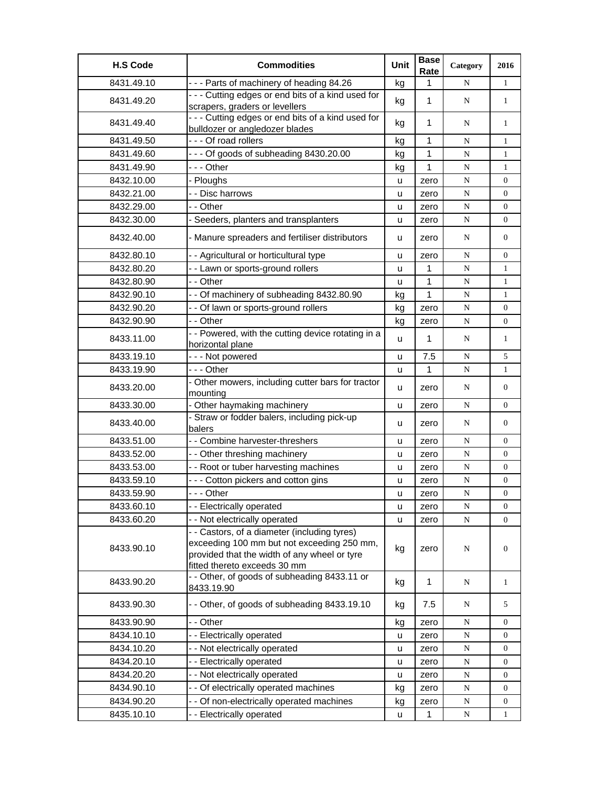| <b>H.S Code</b> | <b>Commodities</b>                                                                                                                                                         | Unit | <b>Base</b><br>Rate | Category  | 2016             |
|-----------------|----------------------------------------------------------------------------------------------------------------------------------------------------------------------------|------|---------------------|-----------|------------------|
| 8431.49.10      | - - - Parts of machinery of heading 84.26                                                                                                                                  | kg   | 1                   | N         | $\mathbf{1}$     |
| 8431.49.20      | - - - Cutting edges or end bits of a kind used for<br>scrapers, graders or levellers                                                                                       | kg   | $\mathbf{1}$        | N         | $\mathbf{1}$     |
| 8431.49.40      | --- Cutting edges or end bits of a kind used for<br>bulldozer or angledozer blades                                                                                         | kg   | $\mathbf{1}$        | N         | $\mathbf{1}$     |
| 8431.49.50      | - - - Of road rollers                                                                                                                                                      | kg   | 1                   | ${\bf N}$ | $\mathbf{1}$     |
| 8431.49.60      | --- Of goods of subheading 8430.20.00                                                                                                                                      | kg   | $\mathbf{1}$        | N         | $\mathbf{1}$     |
| 8431.49.90      | --- Other                                                                                                                                                                  | kg   | 1                   | ${\bf N}$ | $\mathbf{1}$     |
| 8432.10.00      | - Ploughs                                                                                                                                                                  | u    | zero                | ${\bf N}$ | $\overline{0}$   |
| 8432.21.00      | - - Disc harrows                                                                                                                                                           | u    | zero                | ${\bf N}$ | $\boldsymbol{0}$ |
| 8432.29.00      | - - Other                                                                                                                                                                  | u    | zero                | ${\bf N}$ | $\overline{0}$   |
| 8432.30.00      | - Seeders, planters and transplanters                                                                                                                                      | u    | zero                | ${\bf N}$ | $\overline{0}$   |
| 8432.40.00      | - Manure spreaders and fertiliser distributors                                                                                                                             | u    | zero                | N         | $\overline{0}$   |
| 8432.80.10      | - - Agricultural or horticultural type                                                                                                                                     | u    | zero                | N         | $\overline{0}$   |
| 8432.80.20      | - - Lawn or sports-ground rollers                                                                                                                                          | u    | 1                   | ${\bf N}$ | $\mathbf{1}$     |
| 8432.80.90      | - - Other                                                                                                                                                                  | u    | 1                   | ${\bf N}$ | $\mathbf{1}$     |
| 8432.90.10      | - - Of machinery of subheading 8432.80.90                                                                                                                                  | kg   | 1                   | N         | 1                |
| 8432.90.20      | - - Of lawn or sports-ground rollers                                                                                                                                       | kg   | zero                | ${\bf N}$ | $\overline{0}$   |
| 8432.90.90      | - - Other                                                                                                                                                                  | kg   | zero                | N         | $\overline{0}$   |
| 8433.11.00      | - - Powered, with the cutting device rotating in a<br>horizontal plane                                                                                                     | u    | $\mathbf{1}$        | N         | $\mathbf{1}$     |
| 8433.19.10      | - - - Not powered                                                                                                                                                          | u    | 7.5                 | ${\bf N}$ | 5                |
| 8433.19.90      | --- Other                                                                                                                                                                  | u    | 1                   | N         | $\mathbf{1}$     |
| 8433.20.00      | - Other mowers, including cutter bars for tractor<br>mounting                                                                                                              | u    | zero                | N         | $\overline{0}$   |
| 8433.30.00      | - Other haymaking machinery                                                                                                                                                | u    | zero                | N         | $\overline{0}$   |
| 8433.40.00      | - Straw or fodder balers, including pick-up<br>balers                                                                                                                      | u    | zero                | N         | $\mathbf{0}$     |
| 8433.51.00      | - - Combine harvester-threshers                                                                                                                                            | u    | zero                | N         | $\overline{0}$   |
| 8433.52.00      | - - Other threshing machinery                                                                                                                                              | u    | zero                | ${\bf N}$ | $\overline{0}$   |
| 8433.53.00      | - - Root or tuber harvesting machines                                                                                                                                      | u    | zero                | N         | $\boldsymbol{0}$ |
| 8433.59.10      | - - - Cotton pickers and cotton gins                                                                                                                                       | u    | zero                | ${\bf N}$ | $\boldsymbol{0}$ |
| 8433.59.90      | --- Other                                                                                                                                                                  | u    | zero                | ${\bf N}$ | $\boldsymbol{0}$ |
| 8433.60.10      | - - Electrically operated                                                                                                                                                  | u    | zero                | N         | $\boldsymbol{0}$ |
| 8433.60.20      | - - Not electrically operated                                                                                                                                              | u    | zero                | ${\bf N}$ | $\overline{0}$   |
| 8433.90.10      | - - Castors, of a diameter (including tyres)<br>exceeding 100 mm but not exceeding 250 mm,<br>provided that the width of any wheel or tyre<br>fitted thereto exceeds 30 mm | kg   | zero                | N         | $\mathbf{0}$     |
| 8433.90.20      | - - Other, of goods of subheading 8433.11 or<br>8433.19.90                                                                                                                 | kg   | $\mathbf{1}$        | N         | 1                |
| 8433.90.30      | -- Other, of goods of subheading 8433.19.10                                                                                                                                | kg   | 7.5                 | N         | 5                |
| 8433.90.90      | - - Other                                                                                                                                                                  | kg   | zero                | N         | $\boldsymbol{0}$ |
| 8434.10.10      | - - Electrically operated                                                                                                                                                  | u    | zero                | ${\bf N}$ | $\boldsymbol{0}$ |
| 8434.10.20      | - - Not electrically operated                                                                                                                                              | u    | zero                | ${\bf N}$ | 0                |
| 8434.20.10      | - - Electrically operated                                                                                                                                                  | u    | zero                | ${\bf N}$ | $\boldsymbol{0}$ |
| 8434.20.20      | - - Not electrically operated                                                                                                                                              | u    | zero                | N         | 0                |
| 8434.90.10      | - - Of electrically operated machines                                                                                                                                      | kg   | zero                | N         | 0                |
| 8434.90.20      | - - Of non-electrically operated machines                                                                                                                                  | kg   | zero                | ${\bf N}$ | 0                |
| 8435.10.10      | - - Electrically operated                                                                                                                                                  | u    | 1                   | ${\bf N}$ | 1                |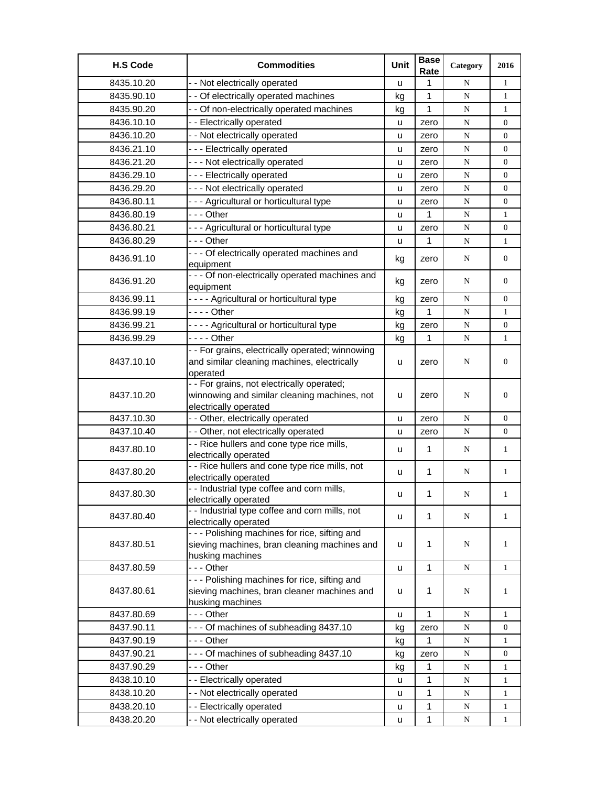| <b>H.S Code</b> | <b>Commodities</b>                                                    | Unit | <b>Base</b><br>Rate | Category  | 2016             |
|-----------------|-----------------------------------------------------------------------|------|---------------------|-----------|------------------|
| 8435.10.20      | - - Not electrically operated                                         | u    | 1                   | N         | $\mathbf{1}$     |
| 8435.90.10      | - - Of electrically operated machines                                 | kg   | 1                   | N         | $\mathbf{1}$     |
| 8435.90.20      | - - Of non-electrically operated machines                             | kg   | 1                   | ${\bf N}$ | 1                |
| 8436.10.10      | - - Electrically operated                                             | u    | zero                | ${\bf N}$ | $\boldsymbol{0}$ |
| 8436.10.20      | - - Not electrically operated                                         | u    | zero                | N         | $\overline{0}$   |
| 8436.21.10      | --- Electrically operated                                             | u    | zero                | N         | 0                |
| 8436.21.20      | - - - Not electrically operated                                       | u    | zero                | ${\bf N}$ | $\overline{0}$   |
| 8436.29.10      | --- Electrically operated                                             | u    | zero                | ${\bf N}$ | 0                |
| 8436.29.20      | - - - Not electrically operated                                       | u    | zero                | ${\bf N}$ | $\boldsymbol{0}$ |
| 8436.80.11      | - - - Agricultural or horticultural type                              | u    | zero                | ${\bf N}$ | $\overline{0}$   |
| 8436.80.19      | - - - Other                                                           | u    | 1                   | N         | $\mathbf{1}$     |
| 8436.80.21      | --- Agricultural or horticultural type                                | u    | zero                | ${\bf N}$ | $\overline{0}$   |
| 8436.80.29      | - - - Other                                                           | u    | 1                   | ${\bf N}$ | $\mathbf{1}$     |
|                 | - - - Of electrically operated machines and                           |      |                     |           |                  |
| 8436.91.10      | equipment                                                             | kg   | zero                | N         | $\boldsymbol{0}$ |
|                 | - - - Of non-electrically operated machines and                       |      |                     |           |                  |
| 8436.91.20      | equipment                                                             | kg   | zero                | N         | $\overline{0}$   |
| 8436.99.11      | ---- Agricultural or horticultural type                               | kg   | zero                | N         | $\overline{0}$   |
| 8436.99.19      | - - - - Other                                                         | kg   | 1                   | ${\bf N}$ | 1                |
| 8436.99.21      | ---- Agricultural or horticultural type                               | kg   | zero                | ${\bf N}$ | $\boldsymbol{0}$ |
| 8436.99.29      | - - - - Other                                                         | kg   | $\mathbf 1$         | N         | $\mathbf{1}$     |
|                 | - - For grains, electrically operated; winnowing                      |      |                     |           |                  |
| 8437.10.10      | and similar cleaning machines, electrically                           | u    | zero                | N         | $\boldsymbol{0}$ |
|                 | operated                                                              |      |                     |           |                  |
|                 | - - For grains, not electrically operated;                            |      |                     |           |                  |
| 8437.10.20      | winnowing and similar cleaning machines, not<br>electrically operated | u    | zero                | N         | $\mathbf{0}$     |
| 8437.10.30      | - - Other, electrically operated                                      | u    | zero                | N         | $\overline{0}$   |
| 8437.10.40      | - - Other, not electrically operated                                  | u    | zero                | N         | 0                |
|                 | - - Rice hullers and cone type rice mills,                            |      |                     |           |                  |
| 8437.80.10      | electrically operated                                                 | u    | $\mathbf{1}$        | N         | $\mathbf{1}$     |
|                 | - - Rice hullers and cone type rice mills, not                        |      |                     |           |                  |
| 8437.80.20      | electrically operated                                                 | u    | $\mathbf 1$         | N         | $\mathbf{1}$     |
| 8437.80.30      | - - Industrial type coffee and corn mills,                            | u    | 1                   | N         | $\mathbf{1}$     |
|                 | electrically operated                                                 |      |                     |           |                  |
| 8437.80.40      | - - Industrial type coffee and corn mills, not                        | u    | $\mathbf 1$         | N         | 1                |
|                 | electrically operated<br>--- Polishing machines for rice, sifting and |      |                     |           |                  |
| 8437.80.51      | sieving machines, bran cleaning machines and                          | u    | 1                   | N         | 1                |
|                 | husking machines                                                      |      |                     |           |                  |
| 8437.80.59      | - - - Other                                                           | u    | 1                   | N         | $\mathbf{1}$     |
|                 | --- Polishing machines for rice, sifting and                          |      |                     |           |                  |
| 8437.80.61      | sieving machines, bran cleaner machines and                           | u    | 1                   | N         | 1                |
|                 | husking machines                                                      |      |                     |           |                  |
| 8437.80.69      | - - - Other                                                           | u    | 1                   | N         | $\mathbf{1}$     |
| 8437.90.11      | --- Of machines of subheading 8437.10                                 | kg   | zero                | N         | 0                |
| 8437.90.19      |                                                                       | kg   | 1                   | N         | $\mathbf{1}$     |
| 8437.90.21      | - - - Of machines of subheading 8437.10                               | kg   | zero                | ${\bf N}$ | $\boldsymbol{0}$ |
| 8437.90.29      |                                                                       | kg   | 1                   | ${\bf N}$ | 1                |
| 8438.10.10      | - - Electrically operated                                             | u    | 1                   | ${\bf N}$ | 1                |
| 8438.10.20      | - - Not electrically operated                                         | u    | 1                   | N         | 1                |
| 8438.20.10      | - - Electrically operated                                             | u    | 1                   | N         | 1                |
| 8438.20.20      | - - Not electrically operated                                         | u    | $\mathbf{1}$        | N         | $\mathbf{1}$     |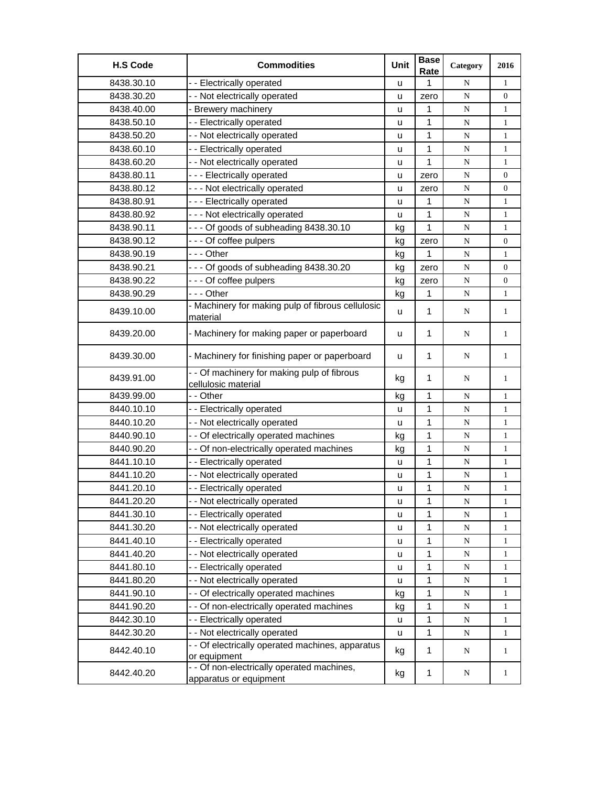| <b>H.S Code</b> | <b>Commodities</b>                                                   | Unit | <b>Base</b><br>Rate | Category    | 2016             |
|-----------------|----------------------------------------------------------------------|------|---------------------|-------------|------------------|
| 8438.30.10      | - - Electrically operated                                            | u    | 1                   | N           | $\mathbf{1}$     |
| 8438.30.20      | - - Not electrically operated                                        | u    | zero                | ${\bf N}$   | $\boldsymbol{0}$ |
| 8438.40.00      | - Brewery machinery                                                  | u    | 1                   | ${\bf N}$   | $\mathbf{1}$     |
| 8438.50.10      | - - Electrically operated                                            | u    | 1                   | N           | $\mathbf{1}$     |
| 8438.50.20      | - - Not electrically operated                                        | u    | 1                   | N           | $\mathbf{1}$     |
| 8438.60.10      | - - Electrically operated                                            | u    | 1                   | N           | $\mathbf{1}$     |
| 8438.60.20      | - - Not electrically operated                                        | u    | 1                   | ${\bf N}$   | $\mathbf{1}$     |
| 8438.80.11      | --- Electrically operated                                            | u    | zero                | ${\bf N}$   | $\boldsymbol{0}$ |
| 8438.80.12      | - - - Not electrically operated                                      | u    | zero                | ${\bf N}$   | $\boldsymbol{0}$ |
| 8438.80.91      | --- Electrically operated                                            | u    | 1                   | N           | $\mathbf{1}$     |
| 8438.80.92      | --- Not electrically operated                                        | u    | 1                   | N           | $\mathbf{1}$     |
| 8438.90.11      | --- Of goods of subheading 8438.30.10                                | kg   | 1                   | ${\bf N}$   | $\mathbf{1}$     |
| 8438.90.12      | --- Of coffee pulpers                                                | kg   | zero                | ${\bf N}$   | $\boldsymbol{0}$ |
| 8438.90.19      | --- Other                                                            | kg   | 1                   | ${\bf N}$   | $\mathbf{1}$     |
| 8438.90.21      | --- Of goods of subheading 8438.30.20                                | kg   | zero                | ${\bf N}$   | $\overline{0}$   |
| 8438.90.22      | --- Of coffee pulpers                                                | kg   | zero                | ${\bf N}$   | $\boldsymbol{0}$ |
| 8438.90.29      | -  - - Other                                                         | kg   | 1                   | N           | $\mathbf{1}$     |
| 8439.10.00      | - Machinery for making pulp of fibrous cellulosic<br>material        | u    | $\mathbf{1}$        | N           | $\mathbf{1}$     |
| 8439.20.00      | - Machinery for making paper or paperboard                           | u    | $\mathbf{1}$        | N           | $\mathbf{1}$     |
| 8439.30.00      | - Machinery for finishing paper or paperboard                        | u    | $\mathbf{1}$        | N           | $\mathbf{1}$     |
| 8439.91.00      | - - Of machinery for making pulp of fibrous<br>cellulosic material   | kg   | $\mathbf 1$         | N           | $\mathbf{1}$     |
| 8439.99.00      | - - Other                                                            | kg   | $\mathbf{1}$        | N           | $\mathbf{1}$     |
| 8440.10.10      | - - Electrically operated                                            | u    | 1                   | ${\bf N}$   | $\mathbf{1}$     |
| 8440.10.20      | - - Not electrically operated                                        | u    | 1                   | ${\bf N}$   | $\mathbf{1}$     |
| 8440.90.10      | - - Of electrically operated machines                                | kg   | $\mathbf 1$         | ${\bf N}$   | $\mathbf{1}$     |
| 8440.90.20      | - - Of non-electrically operated machines                            | kg   | 1                   | ${\bf N}$   | $\mathbf{1}$     |
| 8441.10.10      | - - Electrically operated                                            | u    | 1                   | ${\bf N}$   | $\mathbf{1}$     |
| 8441.10.20      | - - Not electrically operated                                        | u    | 1                   | N           | $\mathbf{1}$     |
| 8441.20.10      | - - Electrically operated                                            | u    | 1                   | $\mathbf N$ | $\mathbf{1}$     |
| 8441.20.20      | - - Not electrically operated                                        | u    | 1                   | N           | $\mathbf{1}$     |
| 8441.30.10      | - - Electrically operated                                            | u    | 1                   | ${\bf N}$   | $\mathbf{1}$     |
| 8441.30.20      | - - Not electrically operated                                        | u    | $\mathbf{1}$        | ${\bf N}$   | $\mathbf{1}$     |
| 8441.40.10      | - - Electrically operated                                            | u    | 1                   | ${\bf N}$   | $\mathbf{1}$     |
| 8441.40.20      | - - Not electrically operated                                        | u    | 1                   | ${\bf N}$   | $\mathbf{1}$     |
| 8441.80.10      | -- Electrically operated                                             | u    | 1                   | N           | 1                |
| 8441.80.20      | - - Not electrically operated                                        | u    | 1                   | N           | 1                |
| 8441.90.10      | - - Of electrically operated machines                                | kg   | 1                   | N           | 1                |
| 8441.90.20      | - - Of non-electrically operated machines                            | kg   | 1                   | ${\bf N}$   | $\mathbf{1}$     |
| 8442.30.10      | - - Electrically operated                                            | u    | 1                   | ${\bf N}$   | 1                |
| 8442.30.20      | - - Not electrically operated                                        | u    | $\mathbf 1$         | ${\bf N}$   | 1                |
| 8442.40.10      | - - Of electrically operated machines, apparatus<br>or equipment     | kg   | $\mathbf{1}$        | N           | $\mathbf{1}$     |
| 8442.40.20      | - - Of non-electrically operated machines,<br>apparatus or equipment | kg   | $\mathbf 1$         | N           | $\mathbf{1}$     |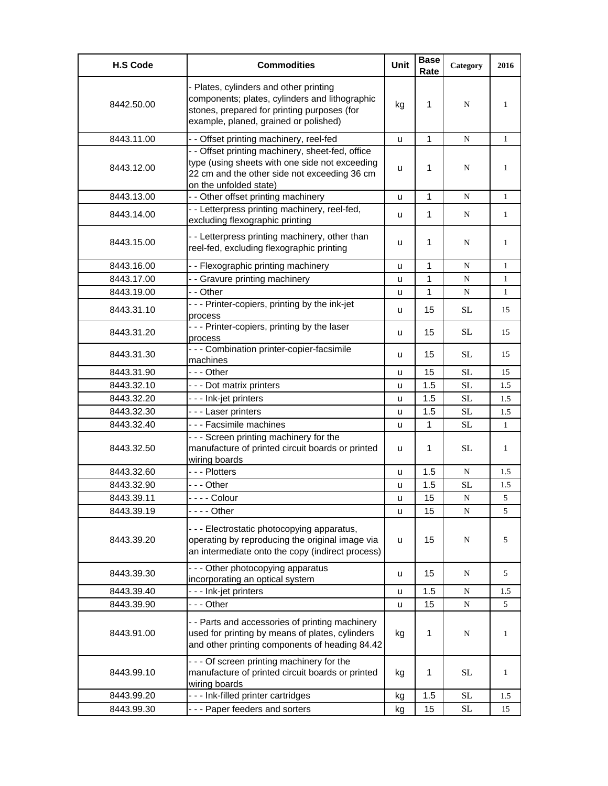| <b>H.S Code</b> | <b>Commodities</b>                                                                                                                                                               | Unit | <b>Base</b><br>Rate | Category  | 2016         |
|-----------------|----------------------------------------------------------------------------------------------------------------------------------------------------------------------------------|------|---------------------|-----------|--------------|
| 8442.50.00      | - Plates, cylinders and other printing<br>components; plates, cylinders and lithographic<br>stones, prepared for printing purposes (for<br>example, planed, grained or polished) | kg   | 1                   | N         | 1            |
| 8443.11.00      | - - Offset printing machinery, reel-fed                                                                                                                                          | u    | 1                   | N         | $\mathbf{1}$ |
| 8443.12.00      | - - Offset printing machinery, sheet-fed, office<br>type (using sheets with one side not exceeding<br>22 cm and the other side not exceeding 36 cm<br>on the unfolded state)     | u    | 1                   | N         | 1            |
| 8443.13.00      | - - Other offset printing machinery                                                                                                                                              | u    | $\mathbf{1}$        | N         | $\mathbf{1}$ |
| 8443.14.00      | - - Letterpress printing machinery, reel-fed,<br>excluding flexographic printing                                                                                                 | u    | $\mathbf{1}$        | N         | $\mathbf{1}$ |
| 8443.15.00      | - - Letterpress printing machinery, other than<br>reel-fed, excluding flexographic printing                                                                                      | u    | 1                   | N         | $\mathbf{1}$ |
| 8443.16.00      | - - Flexographic printing machinery                                                                                                                                              | u    | 1                   | N         | $\mathbf{1}$ |
| 8443.17.00      | - - Gravure printing machinery                                                                                                                                                   | u    | $\mathbf{1}$        | N         | $\mathbf{1}$ |
| 8443.19.00      | - - Other                                                                                                                                                                        | u    | $\mathbf{1}$        | ${\bf N}$ | 1            |
| 8443.31.10      | --- Printer-copiers, printing by the ink-jet<br>process                                                                                                                          | u    | 15                  | <b>SL</b> | 15           |
| 8443.31.20      | --- Printer-copiers, printing by the laser<br>process                                                                                                                            | u    | 15                  | SL        | 15           |
| 8443.31.30      | - - - Combination printer-copier-facsimile<br>machines                                                                                                                           | u    | 15                  | SL        | 15           |
| 8443.31.90      | --- Other                                                                                                                                                                        | u    | 15                  | SL        | 15           |
| 8443.32.10      | - - - Dot matrix printers                                                                                                                                                        | u    | 1.5                 | SL        | 1.5          |
| 8443.32.20      | - - - Ink-jet printers                                                                                                                                                           | u    | 1.5                 | SL        | 1.5          |
| 8443.32.30      | --- Laser printers                                                                                                                                                               | u    | 1.5                 | <b>SL</b> | 1.5          |
| 8443.32.40      | - - - Facsimile machines                                                                                                                                                         | u    | 1                   | <b>SL</b> | $\mathbf{1}$ |
| 8443.32.50      | - - - Screen printing machinery for the<br>manufacture of printed circuit boards or printed<br>wiring boards                                                                     | u    | 1                   | <b>SL</b> | 1            |
| 8443.32.60      | --- Plotters                                                                                                                                                                     | u    | 1.5                 | N         | 1.5          |
| 8443.32.90      | --- Other                                                                                                                                                                        | u    | 1.5                 | SL        | 1.5          |
| 8443.39.11      | - - - Colour                                                                                                                                                                     | u    | 15                  | ${\bf N}$ | $\sim$       |
| 8443.39.19      | $--$ Other                                                                                                                                                                       | u    | 15                  | N         | 5            |
| 8443.39.20      | --- Electrostatic photocopying apparatus,<br>operating by reproducing the original image via<br>an intermediate onto the copy (indirect process)                                 | u    | 15                  | N         | 5            |
| 8443.39.30      | --- Other photocopying apparatus<br>incorporating an optical system                                                                                                              | u    | 15                  | N         | 5            |
| 8443.39.40      | - - - Ink-jet printers                                                                                                                                                           | u    | 1.5                 | N         | 1.5          |
| 8443.39.90      | --- Other                                                                                                                                                                        | u    | 15                  | N         | 5            |
| 8443.91.00      | - - Parts and accessories of printing machinery<br>used for printing by means of plates, cylinders<br>and other printing components of heading 84.42                             | kg   | 1                   | N         | 1            |
| 8443.99.10      | - - - Of screen printing machinery for the<br>manufacture of printed circuit boards or printed<br>wiring boards                                                                  | kg   | 1                   | <b>SL</b> | 1            |
| 8443.99.20      | - - - Ink-filled printer cartridges                                                                                                                                              | kg   | 1.5                 | <b>SL</b> | 1.5          |
| 8443.99.30      | --- Paper feeders and sorters                                                                                                                                                    | kg   | 15                  | $\rm SL$  | 15           |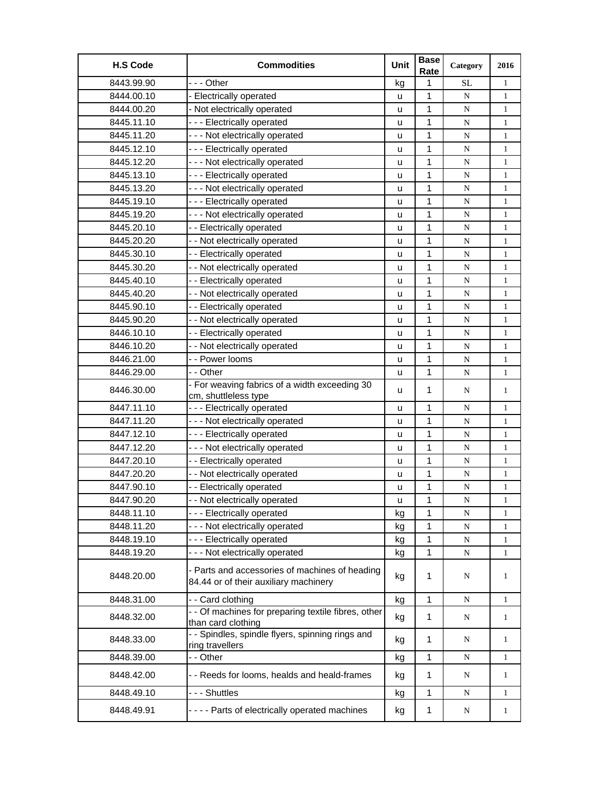| <b>H.S Code</b> | <b>Commodities</b>                                                                      | <b>Unit</b>  | <b>Base</b><br>Rate | Category  | 2016         |
|-----------------|-----------------------------------------------------------------------------------------|--------------|---------------------|-----------|--------------|
| 8443.99.90      | --- Other                                                                               | kg           | 1                   | <b>SL</b> | $\mathbf{1}$ |
| 8444.00.10      | <b>Electrically operated</b>                                                            | u            | 1                   | ${\bf N}$ | $\mathbf{1}$ |
| 8444.00.20      | - Not electrically operated                                                             | u            | 1                   | N         | $\mathbf{1}$ |
| 8445.11.10      | --- Electrically operated                                                               | u            | 1                   | N         | $\mathbf{1}$ |
| 8445.11.20      | --- Not electrically operated                                                           | u            | 1                   | ${\bf N}$ | $\mathbf{1}$ |
| 8445.12.10      | --- Electrically operated                                                               | u            | 1                   | ${\bf N}$ | $\mathbf{1}$ |
| 8445.12.20      | --- Not electrically operated                                                           | u            | 1                   | ${\bf N}$ | $\mathbf{1}$ |
| 8445.13.10      | --- Electrically operated                                                               | u            | 1                   | ${\bf N}$ | $\mathbf{1}$ |
| 8445.13.20      | --- Not electrically operated                                                           | u            | 1                   | N         | $\mathbf{1}$ |
| 8445.19.10      | --- Electrically operated                                                               | u            | 1                   | N         | $\mathbf{1}$ |
| 8445.19.20      | --- Not electrically operated                                                           | u            | 1                   | N         | $\mathbf{1}$ |
| 8445.20.10      | - - Electrically operated                                                               | u            | 1                   | N         | $\mathbf{1}$ |
| 8445.20.20      | - - Not electrically operated                                                           | u            | 1                   | ${\bf N}$ | $\mathbf{1}$ |
| 8445.30.10      | - - Electrically operated                                                               | u            | 1                   | ${\bf N}$ | $\mathbf{1}$ |
| 8445.30.20      | - - Not electrically operated                                                           | u            | 1                   | N         | $\mathbf{1}$ |
| 8445.40.10      | - - Electrically operated                                                               | u            | $\mathbf 1$         | ${\bf N}$ | $\mathbf{1}$ |
| 8445.40.20      | - - Not electrically operated                                                           | u            | 1                   | ${\bf N}$ | $\mathbf{1}$ |
| 8445.90.10      | - - Electrically operated                                                               | u            | 1                   | ${\bf N}$ | 1            |
| 8445.90.20      | - - Not electrically operated                                                           | u            | 1                   | N         | $\mathbf{1}$ |
| 8446.10.10      | - - Electrically operated                                                               | u            | $\mathbf{1}$        | ${\bf N}$ | $\mathbf{1}$ |
| 8446.10.20      | - - Not electrically operated                                                           | u            | 1                   | ${\bf N}$ | $\mathbf{1}$ |
| 8446.21.00      | - - Power looms                                                                         | u            | 1                   | N         | $\mathbf{1}$ |
| 8446.29.00      | - - Other                                                                               | u            | 1                   | ${\bf N}$ | $\mathbf{1}$ |
| 8446.30.00      | - For weaving fabrics of a width exceeding 30<br>cm, shuttleless type                   | u            | 1                   | N         | $\mathbf{1}$ |
| 8447.11.10      | --- Electrically operated                                                               | u            | 1                   | N         | $\mathbf{1}$ |
| 8447.11.20      | - - - Not electrically operated                                                         | u            | 1                   | ${\bf N}$ | $\mathbf{1}$ |
| 8447.12.10      | --- Electrically operated                                                               | u            | 1                   | N         | $\mathbf{1}$ |
| 8447.12.20      | --- Not electrically operated                                                           | u            | 1                   | ${\bf N}$ | $\mathbf{1}$ |
| 8447.20.10      | -- Electrically operated                                                                | u            | 1                   | N         | $\mathbf{1}$ |
| 8447.20.20      | - - Not electrically operated                                                           | $\mathsf{u}$ | 1                   | N         | $\mathbf{1}$ |
| 8447.90.10      | - - Electrically operated                                                               | u            | 1                   | N         | $\mathbf{1}$ |
| 8447.90.20      | - Not electrically operated                                                             | u            | 1                   | ${\bf N}$ | $\mathbf{1}$ |
| 8448.11.10      | --- Electrically operated                                                               | kg           | 1                   | N         | 1            |
| 8448.11.20      | - - - Not electrically operated                                                         | kg           | 1                   | N         | 1            |
| 8448.19.10      | --- Electrically operated                                                               | kg           | $\mathbf{1}$        | N         | $\mathbf{1}$ |
| 8448.19.20      | --- Not electrically operated                                                           | kg           | 1                   | ${\bf N}$ | $\mathbf{1}$ |
| 8448.20.00      | - Parts and accessories of machines of heading<br>84.44 or of their auxiliary machinery | kg           | 1                   | N         | 1            |
| 8448.31.00      | -- Card clothing                                                                        | kg           | $\mathbf{1}$        | N         | $\mathbf{1}$ |
| 8448.32.00      | - - Of machines for preparing textile fibres, other<br>than card clothing               | kg           | $\mathbf{1}$        | N         | $\mathbf{1}$ |
| 8448.33.00      | - - Spindles, spindle flyers, spinning rings and<br>ring travellers                     | kg           | 1                   | N         | $\mathbf{1}$ |
| 8448.39.00      | - - Other                                                                               | kg           | 1                   | N         | 1            |
| 8448.42.00      | - - Reeds for looms, healds and heald-frames                                            | kg           | $\mathbf{1}$        | N         | $\mathbf{1}$ |
| 8448.49.10      | --- Shuttles                                                                            | kg           | $\mathbf 1$         | N         | $\mathbf{1}$ |
| 8448.49.91      | - - - - Parts of electrically operated machines                                         | kg           | 1                   | N         | $\mathbf{1}$ |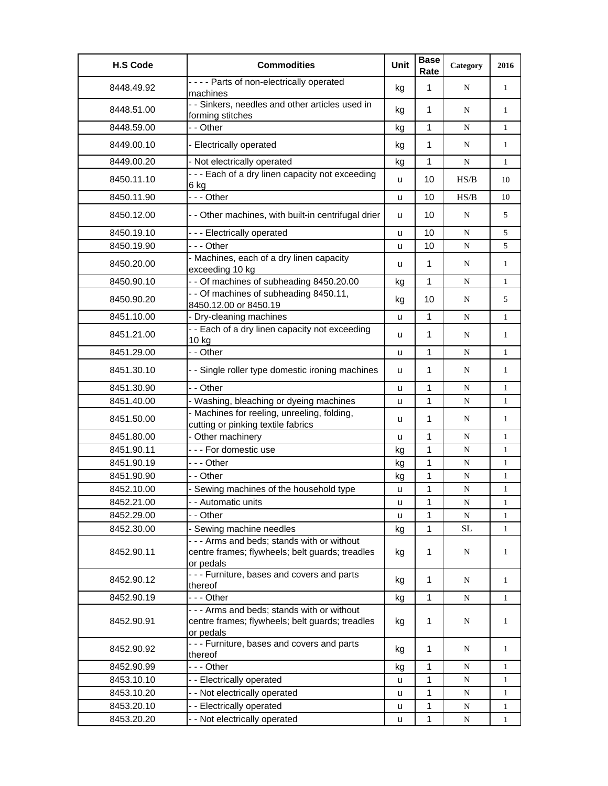| <b>H.S Code</b> | <b>Commodities</b>                                                                                          | Unit | <b>Base</b><br>Rate | Category  | 2016         |
|-----------------|-------------------------------------------------------------------------------------------------------------|------|---------------------|-----------|--------------|
| 8448.49.92      | ---- Parts of non-electrically operated<br>machines                                                         | kg   | 1                   | N         | $\mathbf{1}$ |
| 8448.51.00      | - - Sinkers, needles and other articles used in<br>forming stitches                                         | kg   | 1                   | N         | 1            |
| 8448.59.00      | - - Other                                                                                                   | kg   | 1                   | N         | $\mathbf{1}$ |
| 8449.00.10      | - Electrically operated                                                                                     | kg   | $\mathbf 1$         | N         | 1            |
| 8449.00.20      | - Not electrically operated                                                                                 | kg   | $\mathbf{1}$        | N         | $\mathbf{1}$ |
| 8450.11.10      | - - - Each of a dry linen capacity not exceeding<br>6 kg                                                    | u    | 10                  | HS/B      | 10           |
| 8450.11.90      | --- Other                                                                                                   | u    | 10                  | HS/B      | 10           |
| 8450.12.00      | - - Other machines, with built-in centrifugal drier                                                         | u    | 10                  | N         | 5            |
| 8450.19.10      | - - - Electrically operated                                                                                 | u    | 10                  | N         | 5            |
| 8450.19.90      | -  - - Other                                                                                                | u    | 10                  | ${\bf N}$ | 5            |
| 8450.20.00      | - Machines, each of a dry linen capacity<br>exceeding 10 kg                                                 | u    | $\mathbf{1}$        | N         | 1            |
| 8450.90.10      | - - Of machines of subheading 8450.20.00                                                                    | kg   | 1                   | N         | 1            |
| 8450.90.20      | - - Of machines of subheading 8450.11,<br>8450.12.00 or 8450.19                                             | kg   | 10                  | N         | 5            |
| 8451.10.00      | - Dry-cleaning machines                                                                                     | u    | $\mathbf{1}$        | N         | $\mathbf{1}$ |
| 8451.21.00      | - - Each of a dry linen capacity not exceeding<br>10 kg                                                     | u    | 1                   | N         | $\mathbf{1}$ |
| 8451.29.00      | - - Other                                                                                                   | u    | 1                   | N         | $\mathbf{1}$ |
| 8451.30.10      | - - Single roller type domestic ironing machines                                                            | u    | 1                   | N         | $\mathbf{1}$ |
| 8451.30.90      | - - Other                                                                                                   | u    | $\mathbf{1}$        | N         | $\mathbf{1}$ |
| 8451.40.00      | - Washing, bleaching or dyeing machines                                                                     | u    | 1                   | ${\bf N}$ | $\mathbf{1}$ |
| 8451.50.00      | - Machines for reeling, unreeling, folding,<br>cutting or pinking textile fabrics                           | u    | $\mathbf{1}$        | N         | 1            |
| 8451.80.00      | - Other machinery                                                                                           | u    | 1                   | N         | 1            |
| 8451.90.11      | --- For domestic use                                                                                        | kg   | 1                   | ${\bf N}$ | $\mathbf{1}$ |
| 8451.90.19      | --- Other                                                                                                   | kg   | $\mathbf{1}$        | N         | $\mathbf{1}$ |
| 8451.90.90      | - - Other                                                                                                   | kg   | 1                   | N         | $\mathbf{1}$ |
| 8452.10.00      | - Sewing machines of the household type                                                                     | u    | 1                   | ${\bf N}$ | $\mathbf{1}$ |
| 8452.21.00      | - - Automatic units                                                                                         | u    | 1                   | N         | 1            |
| 8452.29.00      | - - Other                                                                                                   | u    | 1                   | N         | 1            |
| 8452.30.00      | - Sewing machine needles                                                                                    | kg   | $\mathbf{1}$        | <b>SL</b> | $\mathbf{1}$ |
| 8452.90.11      | - - - Arms and beds; stands with or without<br>centre frames; flywheels; belt guards; treadles<br>or pedals | kg   | 1                   | N         | 1            |
| 8452.90.12      | - - - Furniture, bases and covers and parts<br>thereof                                                      | kg   | $\mathbf{1}$        | N         | $\mathbf{1}$ |
| 8452.90.19      | -  - - Other                                                                                                | kg   | $\mathbf 1$         | N         | $\mathbf{1}$ |
| 8452.90.91      | - - - Arms and beds; stands with or without<br>centre frames; flywheels; belt guards; treadles<br>or pedals | kg   | 1                   | N         | 1            |
| 8452.90.92      | - - - Furniture, bases and covers and parts<br>thereof                                                      | kg   | 1                   | N         | $\mathbf{1}$ |
| 8452.90.99      | --- Other                                                                                                   | kg   | 1                   | N         | $\mathbf{1}$ |
| 8453.10.10      | - - Electrically operated                                                                                   | u    | 1                   | N         | 1            |
| 8453.10.20      | - - Not electrically operated                                                                               | u    | 1                   | ${\bf N}$ | $\mathbf{1}$ |
| 8453.20.10      | -- Electrically operated                                                                                    | u    | 1                   | N         | $\mathbf{1}$ |
| 8453.20.20      | - - Not electrically operated                                                                               | u    | 1                   | N         | 1            |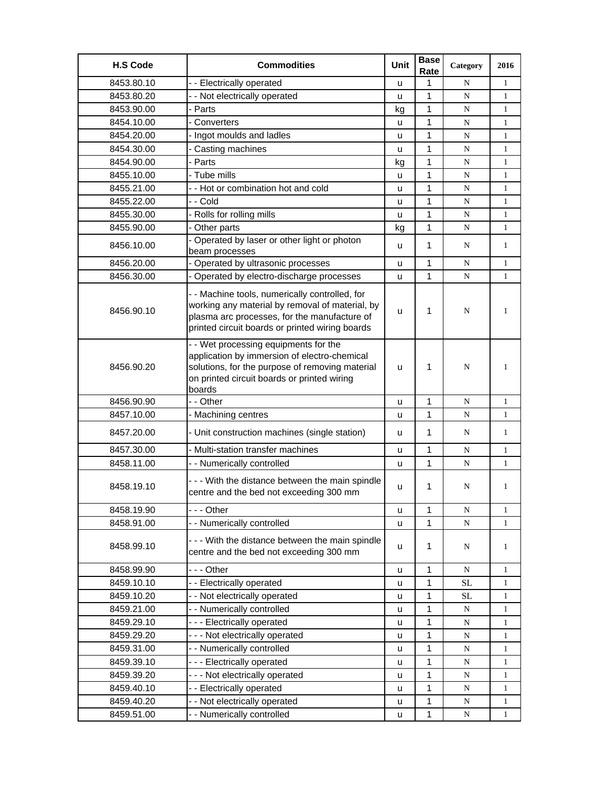| <b>H.S Code</b> | <b>Commodities</b>                                                                                                                                                                                   | Unit | <b>Base</b><br>Rate | Category    | 2016         |
|-----------------|------------------------------------------------------------------------------------------------------------------------------------------------------------------------------------------------------|------|---------------------|-------------|--------------|
| 8453.80.10      | - - Electrically operated                                                                                                                                                                            | u    | 1                   | N           | $\mathbf{1}$ |
| 8453.80.20      | - - Not electrically operated                                                                                                                                                                        | u    | 1                   | N           | $\mathbf{1}$ |
| 8453.90.00      | - Parts                                                                                                                                                                                              | kg   | $\mathbf{1}$        | N           | 1            |
| 8454.10.00      | - Converters                                                                                                                                                                                         | u    | 1                   | N           | 1            |
| 8454.20.00      | Ingot moulds and ladles                                                                                                                                                                              | u    | 1                   | N           | $\mathbf{1}$ |
| 8454.30.00      | - Casting machines                                                                                                                                                                                   | u    | 1                   | N           | $\mathbf{1}$ |
| 8454.90.00      | Parts                                                                                                                                                                                                | kg   | 1                   | N           | 1            |
| 8455.10.00      | - Tube mills                                                                                                                                                                                         | u    | 1                   | N           | 1            |
| 8455.21.00      | - - Hot or combination hot and cold                                                                                                                                                                  | u    | 1                   | N           | 1            |
| 8455.22.00      | - - Cold                                                                                                                                                                                             | u    | 1                   | N           | 1            |
| 8455.30.00      | - Rolls for rolling mills                                                                                                                                                                            | u    | 1                   | N           | $\mathbf{1}$ |
| 8455.90.00      | - Other parts                                                                                                                                                                                        | kg   | 1                   | $\mathbf N$ | 1            |
| 8456.10.00      | - Operated by laser or other light or photon<br>beam processes                                                                                                                                       | u    | 1                   | N           | $\mathbf{1}$ |
| 8456.20.00      | - Operated by ultrasonic processes                                                                                                                                                                   | u    | 1                   | N           | $\mathbf{1}$ |
| 8456.30.00      | - Operated by electro-discharge processes                                                                                                                                                            | u    | 1                   | N           | 1            |
| 8456.90.10      | - - Machine tools, numerically controlled, for<br>working any material by removal of material, by<br>plasma arc processes, for the manufacture of<br>printed circuit boards or printed wiring boards | u    | 1                   | N           | 1            |
| 8456.90.20      | - - Wet processing equipments for the<br>application by immersion of electro-chemical<br>solutions, for the purpose of removing material<br>on printed circuit boards or printed wiring<br>boards    | u    | 1                   | N           | 1            |
| 8456.90.90      | - - Other                                                                                                                                                                                            | u    | 1                   | N           | $\mathbf{1}$ |
| 8457.10.00      | - Machining centres                                                                                                                                                                                  | u    | 1                   | N           | 1            |
| 8457.20.00      | - Unit construction machines (single station)                                                                                                                                                        | u    | 1                   | N           | 1            |
| 8457.30.00      | - Multi-station transfer machines                                                                                                                                                                    | u    | 1                   | N           | 1            |
| 8458.11.00      | - - Numerically controlled                                                                                                                                                                           | u    | 1                   | N           | 1            |
| 8458.19.10      | --- With the distance between the main spindle<br>centre and the bed not exceeding 300 mm                                                                                                            | u    | 1                   | N           | 1            |
| 8458.19.90      | --- Other                                                                                                                                                                                            | u    | 1                   | ${\bf N}$   | 1            |
| 8458.91.00      | - - Numerically controlled                                                                                                                                                                           | u    | 1                   | N           | 1            |
| 8458.99.10      | - - - With the distance between the main spindle<br>centre and the bed not exceeding 300 mm                                                                                                          | u    | 1                   | N           | 1            |
| 8458.99.90      | --- Other                                                                                                                                                                                            | u    | 1                   | ${\bf N}$   | 1            |
| 8459.10.10      | - - Electrically operated                                                                                                                                                                            | u    | 1                   | SL          | 1            |
| 8459.10.20      | - - Not electrically operated                                                                                                                                                                        | u    | 1                   | <b>SL</b>   | 1            |
| 8459.21.00      | - - Numerically controlled                                                                                                                                                                           | u    | 1                   | N           | 1            |
| 8459.29.10      | --- Electrically operated                                                                                                                                                                            | u    | 1                   | N           | 1            |
| 8459.29.20      | - - - Not electrically operated                                                                                                                                                                      | u    | 1                   | $\mathbf N$ | $\mathbf{1}$ |
| 8459.31.00      | - - Numerically controlled                                                                                                                                                                           | u    | 1                   | ${\bf N}$   | 1            |
| 8459.39.10      | --- Electrically operated                                                                                                                                                                            | u    | 1                   | ${\bf N}$   | 1            |
| 8459.39.20      | --- Not electrically operated                                                                                                                                                                        | u    | 1                   | N           | 1            |
| 8459.40.10      | - - Electrically operated                                                                                                                                                                            | u    | 1                   | N           | 1            |
| 8459.40.20      | - - Not electrically operated                                                                                                                                                                        | u    | $\mathbf{1}$        | N           | 1            |
| 8459.51.00      | - - Numerically controlled                                                                                                                                                                           | u    | 1                   | N           | 1            |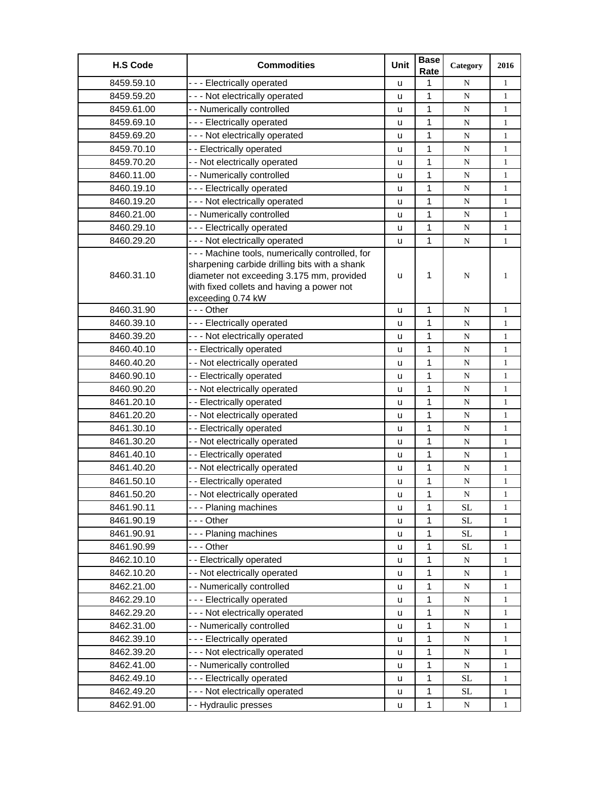| <b>H.S Code</b> | <b>Commodities</b>                                                                                                                                                                                               | Unit | <b>Base</b><br>Rate | Category  | 2016         |
|-----------------|------------------------------------------------------------------------------------------------------------------------------------------------------------------------------------------------------------------|------|---------------------|-----------|--------------|
| 8459.59.10      | --- Electrically operated                                                                                                                                                                                        | u    | 1                   | N         | $\mathbf{1}$ |
| 8459.59.20      | --- Not electrically operated                                                                                                                                                                                    | u    | 1                   | ${\bf N}$ | $\mathbf{1}$ |
| 8459.61.00      | - - Numerically controlled                                                                                                                                                                                       | u    | 1                   | N         | $\mathbf{1}$ |
| 8459.69.10      | --- Electrically operated                                                                                                                                                                                        | u    | $\mathbf{1}$        | N         | $\mathbf{1}$ |
| 8459.69.20      | --- Not electrically operated                                                                                                                                                                                    | u    | 1                   | N         | $\mathbf{1}$ |
| 8459.70.10      | - - Electrically operated                                                                                                                                                                                        | u    | 1                   | ${\bf N}$ | $\mathbf{1}$ |
| 8459.70.20      | - - Not electrically operated                                                                                                                                                                                    | u    | 1                   | ${\bf N}$ | $\mathbf{1}$ |
| 8460.11.00      | - - Numerically controlled                                                                                                                                                                                       | u    | 1                   | ${\bf N}$ | $\mathbf{1}$ |
| 8460.19.10      | --- Electrically operated                                                                                                                                                                                        | u    | 1                   | N         | $\mathbf{1}$ |
| 8460.19.20      | --- Not electrically operated                                                                                                                                                                                    | u    | 1                   | N         | $\mathbf{1}$ |
| 8460.21.00      | - - Numerically controlled                                                                                                                                                                                       | u    | 1                   | N         | $\mathbf{1}$ |
| 8460.29.10      | --- Electrically operated                                                                                                                                                                                        | u    | 1                   | ${\bf N}$ | $\mathbf{1}$ |
| 8460.29.20      | --- Not electrically operated                                                                                                                                                                                    | u    | 1                   | ${\bf N}$ | $\mathbf{1}$ |
| 8460.31.10      | - - - Machine tools, numerically controlled, for<br>sharpening carbide drilling bits with a shank<br>diameter not exceeding 3.175 mm, provided<br>with fixed collets and having a power not<br>exceeding 0.74 kW | u    | 1                   | N         | 1            |
| 8460.31.90      | --- Other                                                                                                                                                                                                        | u    | $\mathbf{1}$        | N         | $\mathbf{1}$ |
| 8460.39.10      | --- Electrically operated                                                                                                                                                                                        | u    | 1                   | N         | $\mathbf{1}$ |
| 8460.39.20      | - - - Not electrically operated                                                                                                                                                                                  | u    | 1                   | ${\bf N}$ | $\mathbf{1}$ |
| 8460.40.10      | - - Electrically operated                                                                                                                                                                                        | u    | 1                   | ${\bf N}$ | $\mathbf{1}$ |
| 8460.40.20      | - - Not electrically operated                                                                                                                                                                                    | u    | 1                   | N         | $\mathbf{1}$ |
| 8460.90.10      | - - Electrically operated                                                                                                                                                                                        | u    | 1                   | N         | $\mathbf{1}$ |
| 8460.90.20      | - - Not electrically operated                                                                                                                                                                                    | u    | $\mathbf 1$         | ${\bf N}$ | $\mathbf{1}$ |
| 8461.20.10      | - - Electrically operated                                                                                                                                                                                        | u    | 1                   | ${\bf N}$ | $\mathbf{1}$ |
| 8461.20.20      | - - Not electrically operated                                                                                                                                                                                    | u    | 1                   | ${\bf N}$ | $\mathbf{1}$ |
| 8461.30.10      | -- Electrically operated                                                                                                                                                                                         | u    | 1                   | ${\bf N}$ | $\mathbf{1}$ |
| 8461.30.20      | - - Not electrically operated                                                                                                                                                                                    | u    | 1                   | ${\bf N}$ | $\mathbf{1}$ |
| 8461.40.10      | - - Electrically operated                                                                                                                                                                                        | u    | 1                   | N         | $\mathbf{1}$ |
| 8461.40.20      | - - Not electrically operated                                                                                                                                                                                    | u    | $\mathbf{1}$        | ${\bf N}$ | $\mathbf{1}$ |
| 8461.50.10      | - - Electrically operated                                                                                                                                                                                        | u    | 1                   | ${\bf N}$ | $\mathbf{1}$ |
| 8461.50.20      | - - Not electrically operated                                                                                                                                                                                    | u    | 1                   | N         | $\mathbf{1}$ |
| 8461.90.11      | --- Planing machines                                                                                                                                                                                             | u    | 1                   | $\rm SL$  | 1            |
| 8461.90.19      | - - - Other                                                                                                                                                                                                      | u    | 1                   | <b>SL</b> | 1            |
| 8461.90.91      | --- Planing machines                                                                                                                                                                                             | u    | 1                   | $\rm SL$  | 1            |
| 8461.90.99      | --- Other                                                                                                                                                                                                        | u    | 1                   | <b>SL</b> | 1            |
| 8462.10.10      | - - Electrically operated                                                                                                                                                                                        | u    | 1                   | N         | 1            |
| 8462.10.20      | - - Not electrically operated                                                                                                                                                                                    | u    | 1                   | N         | 1            |
| 8462.21.00      | - - Numerically controlled                                                                                                                                                                                       | u    | 1                   | N         | 1            |
| 8462.29.10      | --- Electrically operated                                                                                                                                                                                        | u    | 1                   | ${\bf N}$ | $\mathbf{1}$ |
| 8462.29.20      | --- Not electrically operated                                                                                                                                                                                    | u    | 1                   | N         | $\mathbf{1}$ |
| 8462.31.00      | - - Numerically controlled                                                                                                                                                                                       | u    | $\mathbf 1$         | ${\bf N}$ | 1            |
| 8462.39.10      | --- Electrically operated                                                                                                                                                                                        | u    | 1                   | N         | 1            |
| 8462.39.20      | - - - Not electrically operated                                                                                                                                                                                  | u    | 1                   | N         | 1            |
| 8462.41.00      | - - Numerically controlled                                                                                                                                                                                       | u    | 1                   | N         | 1            |
| 8462.49.10      | --- Electrically operated                                                                                                                                                                                        | u    | 1                   | <b>SL</b> | $\mathbf{1}$ |
| 8462.49.20      | --- Not electrically operated                                                                                                                                                                                    | u    | 1                   | <b>SL</b> | $\mathbf{1}$ |
| 8462.91.00      | - - Hydraulic presses                                                                                                                                                                                            | u    | 1                   | N         | 1            |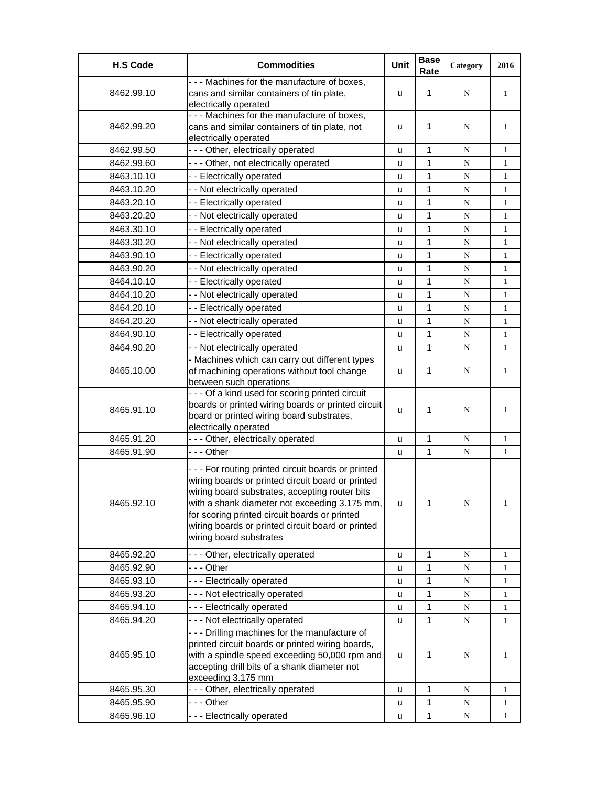| <b>H.S Code</b> | <b>Commodities</b>                                                                                                                                                                                                                                                                                                                         | Unit | <b>Base</b><br>Rate | Category  | 2016         |
|-----------------|--------------------------------------------------------------------------------------------------------------------------------------------------------------------------------------------------------------------------------------------------------------------------------------------------------------------------------------------|------|---------------------|-----------|--------------|
| 8462.99.10      | - - - Machines for the manufacture of boxes,<br>cans and similar containers of tin plate,                                                                                                                                                                                                                                                  | u    | 1                   | N         | 1            |
| 8462.99.20      | electrically operated<br>- - - Machines for the manufacture of boxes,<br>cans and similar containers of tin plate, not<br>electrically operated                                                                                                                                                                                            | u    | 1                   | N         | 1            |
| 8462.99.50      | --- Other, electrically operated                                                                                                                                                                                                                                                                                                           | u    | 1                   | N         | 1            |
| 8462.99.60      | - - - Other, not electrically operated                                                                                                                                                                                                                                                                                                     | u    | 1                   | ${\bf N}$ | $\mathbf{1}$ |
| 8463.10.10      | - - Electrically operated                                                                                                                                                                                                                                                                                                                  | u    | 1                   | N         | $\mathbf{1}$ |
| 8463.10.20      | - - Not electrically operated                                                                                                                                                                                                                                                                                                              | u    | 1                   | N         | $\mathbf{1}$ |
| 8463.20.10      | - - Electrically operated                                                                                                                                                                                                                                                                                                                  | u    | 1                   | N         | $\mathbf{1}$ |
| 8463.20.20      | - - Not electrically operated                                                                                                                                                                                                                                                                                                              | u    | 1                   | N         | $\mathbf{1}$ |
| 8463.30.10      | - - Electrically operated                                                                                                                                                                                                                                                                                                                  | u    | 1                   | N         | 1            |
| 8463.30.20      | - - Not electrically operated                                                                                                                                                                                                                                                                                                              | u    | 1                   | N         | $\mathbf{1}$ |
| 8463.90.10      | -- Electrically operated                                                                                                                                                                                                                                                                                                                   | u    | 1                   | N         | $\mathbf{1}$ |
| 8463.90.20      | - - Not electrically operated                                                                                                                                                                                                                                                                                                              | u    | 1                   | ${\bf N}$ | $\mathbf{1}$ |
| 8464.10.10      | - - Electrically operated                                                                                                                                                                                                                                                                                                                  | u    | 1                   | N         | $\mathbf{1}$ |
| 8464.10.20      | - - Not electrically operated                                                                                                                                                                                                                                                                                                              | u    | $\mathbf{1}$        | N         | $\mathbf{1}$ |
| 8464.20.10      | - - Electrically operated                                                                                                                                                                                                                                                                                                                  | u    | 1                   | N         | $\mathbf{1}$ |
| 8464.20.20      | - - Not electrically operated                                                                                                                                                                                                                                                                                                              | u    | 1                   | N         | $\mathbf{1}$ |
| 8464.90.10      | -- Electrically operated                                                                                                                                                                                                                                                                                                                   | u    | 1                   | N         | $\mathbf{1}$ |
| 8464.90.20      | - - Not electrically operated                                                                                                                                                                                                                                                                                                              | u    | 1                   | N         | $\mathbf{1}$ |
| 8465.10.00      | - Machines which can carry out different types<br>of machining operations without tool change<br>between such operations                                                                                                                                                                                                                   | u    | 1                   | N         | $\mathbf{1}$ |
| 8465.91.10      | - - - Of a kind used for scoring printed circuit<br>boards or printed wiring boards or printed circuit<br>board or printed wiring board substrates,<br>electrically operated                                                                                                                                                               | u    | 1                   | N         | $\mathbf{1}$ |
| 8465.91.20      | - - - Other, electrically operated                                                                                                                                                                                                                                                                                                         | u    | 1                   | N         | $\mathbf{1}$ |
| 8465.91.90      | -  - - Other                                                                                                                                                                                                                                                                                                                               | u    | 1                   | ${\bf N}$ | $\mathbf{1}$ |
| 8465.92.10      | --- For routing printed circuit boards or printed<br>wiring boards or printed circuit board or printed<br>wiring board substrates, accepting router bits<br>with a shank diameter not exceeding 3.175 mm,<br>for scoring printed circuit boards or printed<br>wiring boards or printed circuit board or printed<br>wiring board substrates | u    | 1                   | N         | $\mathbf{1}$ |
| 8465.92.20      | --- Other, electrically operated                                                                                                                                                                                                                                                                                                           | u    | 1                   | N         | $\mathbf{1}$ |
| 8465.92.90      | --- Other                                                                                                                                                                                                                                                                                                                                  | u    | 1                   | N         | $\mathbf{1}$ |
| 8465.93.10      | --- Electrically operated                                                                                                                                                                                                                                                                                                                  | u    | 1                   | ${\bf N}$ | 1            |
| 8465.93.20      | - - - Not electrically operated                                                                                                                                                                                                                                                                                                            | u    | 1                   | ${\bf N}$ | $\mathbf{1}$ |
| 8465.94.10      | --- Electrically operated                                                                                                                                                                                                                                                                                                                  | u    | 1                   | N         | 1            |
| 8465.94.20      | --- Not electrically operated                                                                                                                                                                                                                                                                                                              | u    | 1                   | N         | $\mathbf{1}$ |
| 8465.95.10      | --- Drilling machines for the manufacture of<br>printed circuit boards or printed wiring boards,<br>with a spindle speed exceeding 50,000 rpm and<br>accepting drill bits of a shank diameter not<br>exceeding 3.175 mm                                                                                                                    | u    | 1                   | N         | 1            |
| 8465.95.30      | - - - Other, electrically operated                                                                                                                                                                                                                                                                                                         | u    | 1                   | N         | $\mathbf{1}$ |
| 8465.95.90      | --- Other                                                                                                                                                                                                                                                                                                                                  | u    | 1                   | N         | 1            |
| 8465.96.10      | --- Electrically operated                                                                                                                                                                                                                                                                                                                  | u    | 1                   | N         | $\mathbf{1}$ |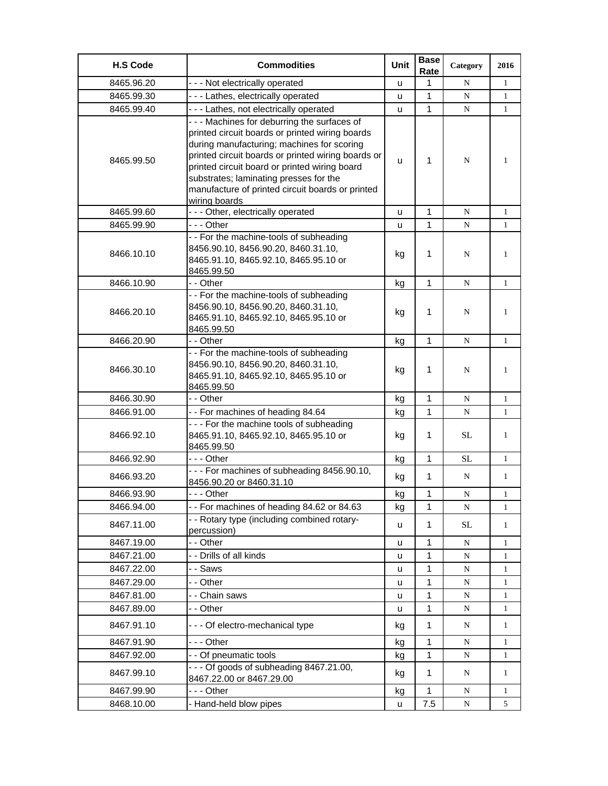| <b>H.S Code</b> | <b>Commodities</b>                                                                                                                                                                                                                                                                                                                                                | Unit | <b>Base</b><br>Rate | Category    | 2016         |
|-----------------|-------------------------------------------------------------------------------------------------------------------------------------------------------------------------------------------------------------------------------------------------------------------------------------------------------------------------------------------------------------------|------|---------------------|-------------|--------------|
| 8465.96.20      | --- Not electrically operated                                                                                                                                                                                                                                                                                                                                     | u    | 1                   | N           | $\mathbf{1}$ |
| 8465.99.30      | --- Lathes, electrically operated                                                                                                                                                                                                                                                                                                                                 | u    | 1                   | $\mathbf N$ | $\mathbf{1}$ |
| 8465.99.40      | - - - Lathes, not electrically operated                                                                                                                                                                                                                                                                                                                           | u    | 1                   | N           | $\mathbf{1}$ |
| 8465.99.50      | --- Machines for deburring the surfaces of<br>printed circuit boards or printed wiring boards<br>during manufacturing; machines for scoring<br>printed circuit boards or printed wiring boards or<br>printed circuit board or printed wiring board<br>substrates; laminating presses for the<br>manufacture of printed circuit boards or printed<br>wiring boards | u    | 1                   | N           | $\mathbf{1}$ |
| 8465.99.60      | - - - Other, electrically operated                                                                                                                                                                                                                                                                                                                                | u    | 1                   | N           | $\mathbf{1}$ |
| 8465.99.90      | --- Other                                                                                                                                                                                                                                                                                                                                                         | ū    | $\mathbf{1}$        | N           | $\mathbf{1}$ |
| 8466.10.10      | - - For the machine-tools of subheading<br>8456.90.10, 8456.90.20, 8460.31.10,<br>8465.91.10, 8465.92.10, 8465.95.10 or<br>8465.99.50                                                                                                                                                                                                                             | kg   | $\mathbf{1}$        | N           | $\mathbf{1}$ |
| 8466.10.90      | - - Other                                                                                                                                                                                                                                                                                                                                                         | kg   | $\mathbf{1}$        | N           | $\mathbf{1}$ |
| 8466.20.10      | - - For the machine-tools of subheading<br>8456.90.10, 8456.90.20, 8460.31.10,<br>8465.91.10, 8465.92.10, 8465.95.10 or<br>8465.99.50                                                                                                                                                                                                                             | kg   | 1                   | N           | $\mathbf{1}$ |
| 8466.20.90      | - - Other                                                                                                                                                                                                                                                                                                                                                         | kg   | 1                   | ${\bf N}$   | 1            |
| 8466.30.10      | - - For the machine-tools of subheading<br>8456.90.10, 8456.90.20, 8460.31.10,<br>8465.91.10, 8465.92.10, 8465.95.10 or<br>8465.99.50                                                                                                                                                                                                                             | kg   | 1                   | N           | $\mathbf{1}$ |
| 8466.30.90      | - - Other                                                                                                                                                                                                                                                                                                                                                         | kg   | 1                   | N           | $\mathbf{1}$ |
| 8466.91.00      | -- For machines of heading 84.64                                                                                                                                                                                                                                                                                                                                  | kg   | 1                   | N           | $\mathbf{1}$ |
| 8466.92.10      | --- For the machine tools of subheading<br>8465.91.10, 8465.92.10, 8465.95.10 or<br>8465.99.50                                                                                                                                                                                                                                                                    | kg   | 1                   | <b>SL</b>   | 1            |
| 8466.92.90      | - - - Other                                                                                                                                                                                                                                                                                                                                                       | kg   | $\mathbf{1}$        | <b>SL</b>   | $\mathbf{1}$ |
| 8466.93.20      | --- For machines of subheading 8456.90.10,<br>8456.90.20 or 8460.31.10                                                                                                                                                                                                                                                                                            | kg   | 1                   | N           | $\mathbf{1}$ |
| 8466.93.90      | - - - Other                                                                                                                                                                                                                                                                                                                                                       | kg   | 1                   | N           | 1            |
| 8466.94.00      | -- For machines of heading 84.62 or 84.63                                                                                                                                                                                                                                                                                                                         | kg   | 1                   | N           | 1            |
| 8467.11.00      | - - Rotary type (including combined rotary-<br>percussion)                                                                                                                                                                                                                                                                                                        | u    | $\mathbf{1}$        | <b>SL</b>   | $\mathbf{1}$ |
| 8467.19.00      | - - Other                                                                                                                                                                                                                                                                                                                                                         | u    | 1                   | N           | 1            |
| 8467.21.00      | - - Drills of all kinds                                                                                                                                                                                                                                                                                                                                           | u    | 1                   | N           | 1            |
| 8467.22.00      | - - Saws                                                                                                                                                                                                                                                                                                                                                          | u    | 1                   | ${\bf N}$   | 1            |
| 8467.29.00      | - - Other                                                                                                                                                                                                                                                                                                                                                         | u    | 1                   | ${\bf N}$   | 1            |
| 8467.81.00      | - - Chain saws                                                                                                                                                                                                                                                                                                                                                    | u    | 1                   | N           | 1            |
| 8467.89.00      | - - Other                                                                                                                                                                                                                                                                                                                                                         | u    | 1                   | N           | $\mathbf{1}$ |
| 8467.91.10      | --- Of electro-mechanical type                                                                                                                                                                                                                                                                                                                                    | kg   | 1                   | N           | $\mathbf{1}$ |
| 8467.91.90      | --- Other                                                                                                                                                                                                                                                                                                                                                         | kg   | 1                   | N           | $\mathbf{1}$ |
| 8467.92.00      | - - Of pneumatic tools                                                                                                                                                                                                                                                                                                                                            | kg   | 1                   | N           | 1            |
| 8467.99.10      | $- -$ Of goods of subheading 8467.21.00,<br>8467.22.00 or 8467.29.00                                                                                                                                                                                                                                                                                              | kg   | 1                   | N           | $\mathbf{1}$ |
| 8467.99.90      | -  - - Other                                                                                                                                                                                                                                                                                                                                                      | kg   | 1                   | N           | 1            |
| 8468.10.00      | - Hand-held blow pipes                                                                                                                                                                                                                                                                                                                                            | u    | 7.5                 | N           | 5            |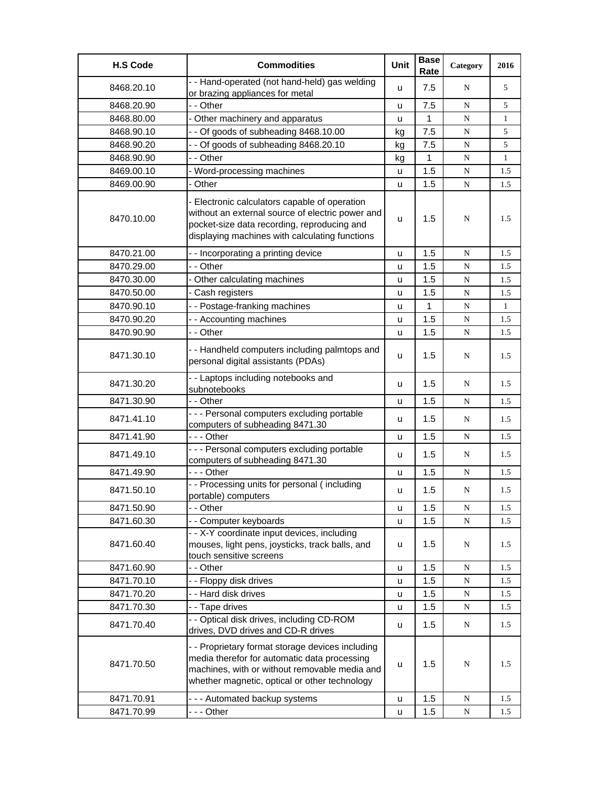| <b>H.S Code</b> | <b>Commodities</b>                                                                                                                                                                                 | Unit          | <b>Base</b><br>Rate | Category    | 2016         |
|-----------------|----------------------------------------------------------------------------------------------------------------------------------------------------------------------------------------------------|---------------|---------------------|-------------|--------------|
| 8468.20.10      | -- Hand-operated (not hand-held) gas welding<br>or brazing appliances for metal                                                                                                                    | u             | 7.5                 | N           | 5            |
| 8468.20.90      | - - Other                                                                                                                                                                                          | <b>u</b>      | 7.5                 | ${\bf N}$   | 5            |
| 8468.80.00      | - Other machinery and apparatus                                                                                                                                                                    | u             | 1                   | ${\bf N}$   | $\mathbf{1}$ |
| 8468.90.10      | - - Of goods of subheading 8468.10.00                                                                                                                                                              | kg            | 7.5                 | ${\bf N}$   | 5            |
| 8468.90.20      | - - Of goods of subheading 8468.20.10                                                                                                                                                              | kg            | 7.5                 | ${\bf N}$   | 5            |
| 8468.90.90      | - - Other                                                                                                                                                                                          | kg            | 1                   | N           | $\mathbf{1}$ |
| 8469.00.10      | - Word-processing machines                                                                                                                                                                         | u             | 1.5                 | N           | 1.5          |
| 8469.00.90      | - Other                                                                                                                                                                                            | u             | 1.5                 | ${\bf N}$   | 1.5          |
| 8470.10.00      | - Electronic calculators capable of operation<br>without an external source of electric power and<br>pocket-size data recording, reproducing and<br>displaying machines with calculating functions | u             | 1.5                 | N           | 1.5          |
| 8470.21.00      | - - Incorporating a printing device                                                                                                                                                                | u             | 1.5                 | ${\bf N}$   | 1.5          |
| 8470.29.00      | - - Other                                                                                                                                                                                          | u             | 1.5                 | N           | 1.5          |
| 8470.30.00      | - Other calculating machines                                                                                                                                                                       | u             | 1.5                 | N           | 1.5          |
| 8470.50.00      | - Cash registers                                                                                                                                                                                   | u             | 1.5                 | ${\bf N}$   | 1.5          |
| 8470.90.10      | -- Postage-franking machines                                                                                                                                                                       | u             | 1                   | N           | $\mathbf{1}$ |
| 8470.90.20      | -- Accounting machines                                                                                                                                                                             | u             | 1.5                 | N           | 1.5          |
| 8470.90.90      | - - Other                                                                                                                                                                                          | u             | 1.5                 | N           | 1.5          |
| 8471.30.10      | - - Handheld computers including palmtops and<br>personal digital assistants (PDAs)                                                                                                                | u             | 1.5                 | N           | 1.5          |
| 8471.30.20      | - - Laptops including notebooks and<br>subnotebooks                                                                                                                                                | u             | 1.5                 | N           | 1.5          |
| 8471.30.90      | - - Other                                                                                                                                                                                          | u             | 1.5                 | N           | 1.5          |
| 8471.41.10      | - - - Personal computers excluding portable<br>computers of subheading 8471.30                                                                                                                     | u             | 1.5                 | N           | 1.5          |
| 8471.41.90      | --- Other                                                                                                                                                                                          | u             | 1.5                 | ${\bf N}$   | 1.5          |
| 8471.49.10      | - - - Personal computers excluding portable<br>computers of subheading 8471.30                                                                                                                     | u             | 1.5                 | N           | 1.5          |
| 8471.49.90      | --- Other                                                                                                                                                                                          | u             | 1.5                 | ${\bf N}$   | 1.5          |
| 8471.50.10      | - - Processing units for personal (including<br>portable) computers                                                                                                                                | u             | 1.5                 | ${\bf N}$   | 1.5          |
| 8471.50.90      | - - Other                                                                                                                                                                                          | u             | 1.5                 | ${\bf N}$   | 1.5          |
| 8471.60.30      | - - Computer keyboards                                                                                                                                                                             | u             | 1.5                 | ${\bf N}$   | 1.5          |
| 8471.60.40      | - - X-Y coordinate input devices, including<br>mouses, light pens, joysticks, track balls, and<br>touch sensitive screens                                                                          | u             | 1.5                 | N           | 1.5          |
| 8471.60.90      | - - Other                                                                                                                                                                                          | u             | 1.5                 | N           | 1.5          |
| 8471.70.10      | - - Floppy disk drives                                                                                                                                                                             | u             | 1.5                 | ${\bf N}$   | 1.5          |
| 8471.70.20      | - - Hard disk drives                                                                                                                                                                               | u             | 1.5                 | ${\bf N}$   | 1.5          |
| 8471.70.30      | - - Tape drives                                                                                                                                                                                    | u             | 1.5                 | ${\bf N}$   | 1.5          |
| 8471.70.40      | - - Optical disk drives, including CD-ROM<br>drives, DVD drives and CD-R drives                                                                                                                    | u             | 1.5                 | N           | 1.5          |
| 8471.70.50      | - - Proprietary format storage devices including<br>media therefor for automatic data processing<br>machines, with or without removable media and<br>whether magnetic, optical or other technology | $\mathsf{u}%$ | 1.5                 | $\mathbf N$ | 1.5          |
| 8471.70.91      | --- Automated backup systems                                                                                                                                                                       | $\sf u$       | 1.5                 | N           | 1.5          |
| 8471.70.99      | --- Other                                                                                                                                                                                          | u             | 1.5                 | ${\bf N}$   | 1.5          |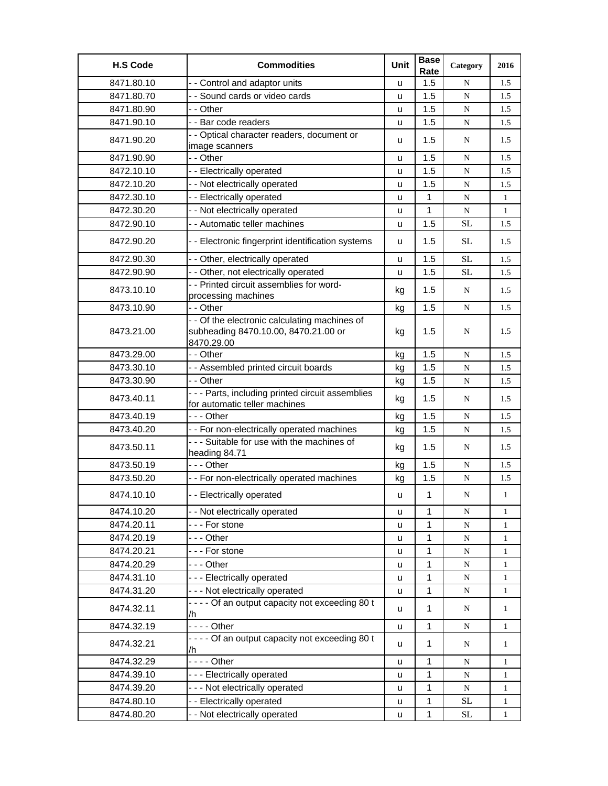| <b>H.S Code</b> | <b>Commodities</b>                                                                                  | Unit | <b>Base</b><br>Rate | Category  | 2016         |
|-----------------|-----------------------------------------------------------------------------------------------------|------|---------------------|-----------|--------------|
| 8471.80.10      | - - Control and adaptor units                                                                       | u    | 1.5                 | N         | 1.5          |
| 8471.80.70      | - - Sound cards or video cards                                                                      | u    | 1.5                 | ${\bf N}$ | 1.5          |
| 8471.80.90      | - - Other                                                                                           | u    | 1.5                 | ${\bf N}$ | 1.5          |
| 8471.90.10      | - - Bar code readers                                                                                | u    | 1.5                 | ${\bf N}$ | 1.5          |
| 8471.90.20      | - - Optical character readers, document or<br>image scanners                                        | u    | 1.5                 | N         | 1.5          |
| 8471.90.90      | - - Other                                                                                           | u    | 1.5                 | N         | 1.5          |
| 8472.10.10      | - - Electrically operated                                                                           | u    | 1.5                 | ${\bf N}$ | 1.5          |
| 8472.10.20      | - - Not electrically operated                                                                       | u    | 1.5                 | ${\bf N}$ | 1.5          |
| 8472.30.10      | - - Electrically operated                                                                           | u    | $\mathbf{1}$        | ${\bf N}$ | $\mathbf{1}$ |
| 8472.30.20      | - - Not electrically operated                                                                       | u    | $\mathbf{1}$        | ${\bf N}$ | $\mathbf{1}$ |
| 8472.90.10      | - - Automatic teller machines                                                                       | u    | 1.5                 | <b>SL</b> | 1.5          |
| 8472.90.20      | - - Electronic fingerprint identification systems                                                   | u    | 1.5                 | SL        | 1.5          |
| 8472.90.30      | - - Other, electrically operated                                                                    | u    | 1.5                 | <b>SL</b> | 1.5          |
| 8472.90.90      | - - Other, not electrically operated                                                                | u    | 1.5                 | SL        | 1.5          |
| 8473.10.10      | - - Printed circuit assemblies for word-<br>processing machines                                     | kg   | 1.5                 | N         | 1.5          |
| 8473.10.90      | - - Other                                                                                           | kg   | 1.5                 | ${\bf N}$ | 1.5          |
| 8473.21.00      | - - Of the electronic calculating machines of<br>subheading 8470.10.00, 8470.21.00 or<br>8470.29.00 | kg   | 1.5                 | N         | 1.5          |
| 8473.29.00      | - - Other                                                                                           | kg   | 1.5                 | N         | 1.5          |
| 8473.30.10      | - - Assembled printed circuit boards                                                                | kg   | 1.5                 | ${\bf N}$ | 1.5          |
| 8473.30.90      | - - Other                                                                                           | kg   | 1.5                 | ${\bf N}$ | 1.5          |
| 8473.40.11      | - - - Parts, including printed circuit assemblies<br>for automatic teller machines                  | kg   | 1.5                 | N         | 1.5          |
| 8473.40.19      | --- Other                                                                                           | kg   | 1.5                 | N         | 1.5          |
| 8473.40.20      | - - For non-electrically operated machines                                                          | kg   | 1.5                 | ${\bf N}$ | 1.5          |
| 8473.50.11      | - - - Suitable for use with the machines of<br>heading 84.71                                        | kg   | 1.5                 | N         | 1.5          |
| 8473.50.19      | --- Other                                                                                           | kg   | 1.5                 | ${\bf N}$ | 1.5          |
| 8473.50.20      | - - For non-electrically operated machines                                                          | kg   | 1.5                 | ${\bf N}$ | 1.5          |
| 8474.10.10      | - - Electrically operated                                                                           | u    | $\mathbf{1}$        | N         | $\mathbf{1}$ |
| 8474.10.20      | - - Not electrically operated                                                                       | u    | 1                   | ${\bf N}$ | $\mathbf{1}$ |
| 8474.20.11      | --- For stone                                                                                       | u    | 1                   | ${\bf N}$ | 1            |
| 8474.20.19      | --- Other                                                                                           | u    | 1                   | ${\bf N}$ | $\mathbf{1}$ |
| 8474.20.21      | --- For stone                                                                                       | u    | 1                   | ${\bf N}$ | $\mathbf{1}$ |
| 8474.20.29      | --- Other                                                                                           | u    | 1                   | ${\bf N}$ | $\mathbf{1}$ |
| 8474.31.10      | --- Electrically operated                                                                           | u    | 1                   | ${\bf N}$ | $\mathbf{1}$ |
| 8474.31.20      | - - - Not electrically operated                                                                     | u    | 1                   | N         | $\mathbf{1}$ |
| 8474.32.11      | - - - - Of an output capacity not exceeding 80 t<br>/h                                              | u    | $\mathbf{1}$        | N         | $\mathbf{1}$ |
| 8474.32.19      | $--$ Other                                                                                          | u    | $\mathbf 1$         | ${\bf N}$ | $\mathbf{1}$ |
| 8474.32.21      | - - - - Of an output capacity not exceeding 80 t<br>/h                                              | u    | $\mathbf{1}$        | N         | $\mathbf{1}$ |
| 8474.32.29      | $--$ Other                                                                                          | u    | $\mathbf{1}$        | ${\bf N}$ | $\mathbf{1}$ |
| 8474.39.10      | --- Electrically operated                                                                           | u    | 1                   | N         | $\mathbf{1}$ |
| 8474.39.20      | - - - Not electrically operated                                                                     | u    | 1                   | ${\bf N}$ | $\mathbf{1}$ |
| 8474.80.10      | - - Electrically operated                                                                           | u    | 1                   | <b>SL</b> | $\mathbf{1}$ |
| 8474.80.20      | - - Not electrically operated                                                                       | u    | 1                   | <b>SL</b> | 1            |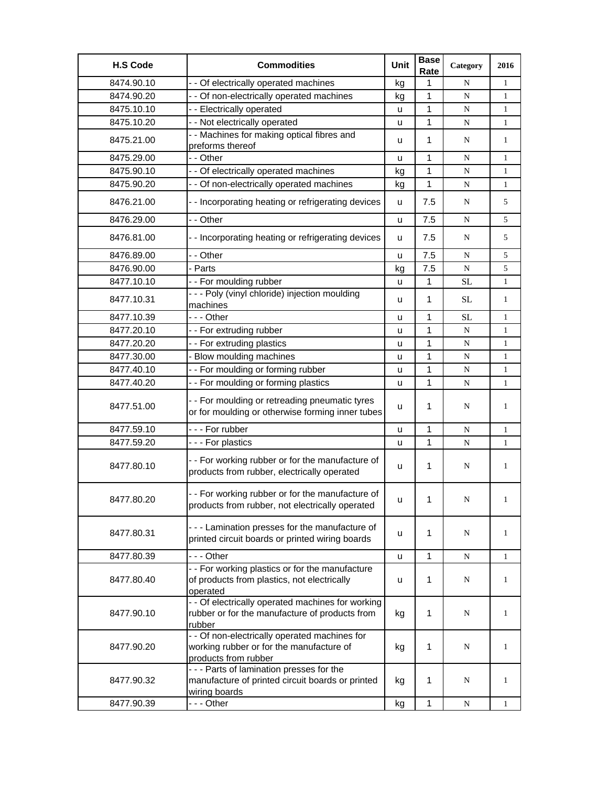| <b>H.S Code</b> | <b>Commodities</b>                                                                                                | Unit | <b>Base</b><br>Rate | Category  | 2016         |
|-----------------|-------------------------------------------------------------------------------------------------------------------|------|---------------------|-----------|--------------|
| 8474.90.10      | - - Of electrically operated machines                                                                             | kg   | 1                   | N         | $\mathbf{1}$ |
| 8474.90.20      | - - Of non-electrically operated machines                                                                         | kg   | 1                   | ${\bf N}$ | $\mathbf{1}$ |
| 8475.10.10      | - - Electrically operated                                                                                         | u    | 1                   | N         | $\mathbf{1}$ |
| 8475.10.20      | - - Not electrically operated                                                                                     | u    | 1                   | N         | $\mathbf{1}$ |
| 8475.21.00      | - - Machines for making optical fibres and<br>preforms thereof                                                    | u    | 1                   | N         | $\mathbf{1}$ |
| 8475.29.00      | - - Other                                                                                                         | u    | 1                   | N         | 1            |
| 8475.90.10      | - - Of electrically operated machines                                                                             | kg   | 1                   | N         | $\mathbf{1}$ |
| 8475.90.20      | - - Of non-electrically operated machines                                                                         | kg   | 1                   | ${\bf N}$ | $\mathbf{1}$ |
| 8476.21.00      | - - Incorporating heating or refrigerating devices                                                                | u    | 7.5                 | N         | 5            |
| 8476.29.00      | - - Other                                                                                                         | u    | 7.5                 | N         | 5            |
| 8476.81.00      | - - Incorporating heating or refrigerating devices                                                                | u    | 7.5                 | N         | 5            |
| 8476.89.00      | - - Other                                                                                                         | u    | 7.5                 | N         | 5            |
| 8476.90.00      | - Parts                                                                                                           | kg   | 7.5                 | ${\bf N}$ | 5            |
| 8477.10.10      | -- For moulding rubber                                                                                            | u    | 1                   | <b>SL</b> | $\mathbf{1}$ |
| 8477.10.31      | --- Poly (vinyl chloride) injection moulding<br>machines                                                          | u    | 1                   | SL        | 1            |
| 8477.10.39      | - - - Other                                                                                                       | u    | 1                   | <b>SL</b> | 1            |
| 8477.20.10      | -- For extruding rubber                                                                                           | u    | 1                   | ${\bf N}$ | $\mathbf{1}$ |
| 8477.20.20      | - - For extruding plastics                                                                                        | u    | 1                   | N         | $\mathbf{1}$ |
| 8477.30.00      | - Blow moulding machines                                                                                          | u    | 1                   | N         | $\mathbf{1}$ |
| 8477.40.10      | - - For moulding or forming rubber                                                                                | u    | 1                   | N         | $\mathbf{1}$ |
| 8477.40.20      | -- For moulding or forming plastics                                                                               | u    | 1                   | ${\bf N}$ | $\mathbf{1}$ |
| 8477.51.00      | - - For moulding or retreading pneumatic tyres<br>or for moulding or otherwise forming inner tubes                | u    | 1                   | N         | 1            |
| 8477.59.10      | --- For rubber                                                                                                    | u    | 1                   | N         | $\mathbf{1}$ |
| 8477.59.20      | --- For plastics                                                                                                  | u    | 1                   | N         | 1            |
| 8477.80.10      | -- For working rubber or for the manufacture of<br>products from rubber, electrically operated                    | u    | 1                   | N         | 1            |
| 8477.80.20      | -- For working rubber or for the manufacture of<br>products from rubber, not electrically operated                | u    | 1                   | N         |              |
| 8477.80.31      | - - - Lamination presses for the manufacture of<br>printed circuit boards or printed wiring boards                | u    | 1                   | N         | $\mathbf{1}$ |
| 8477.80.39      | - - - Other                                                                                                       | u    | 1                   | N         | $\mathbf{1}$ |
| 8477.80.40      | - - For working plastics or for the manufacture<br>of products from plastics, not electrically<br>operated        | u    | 1                   | N         | 1            |
| 8477.90.10      | - - Of electrically operated machines for working<br>rubber or for the manufacture of products from<br>rubber     | kg   | 1                   | N         | 1            |
| 8477.90.20      | - - Of non-electrically operated machines for<br>working rubber or for the manufacture of<br>products from rubber | kg   | 1                   | N         | 1            |
| 8477.90.32      | - - - Parts of lamination presses for the<br>manufacture of printed circuit boards or printed<br>wiring boards    | kg   | 1                   | N         | 1            |
| 8477.90.39      | --- Other                                                                                                         | kg   | 1                   | N         | $\mathbf{1}$ |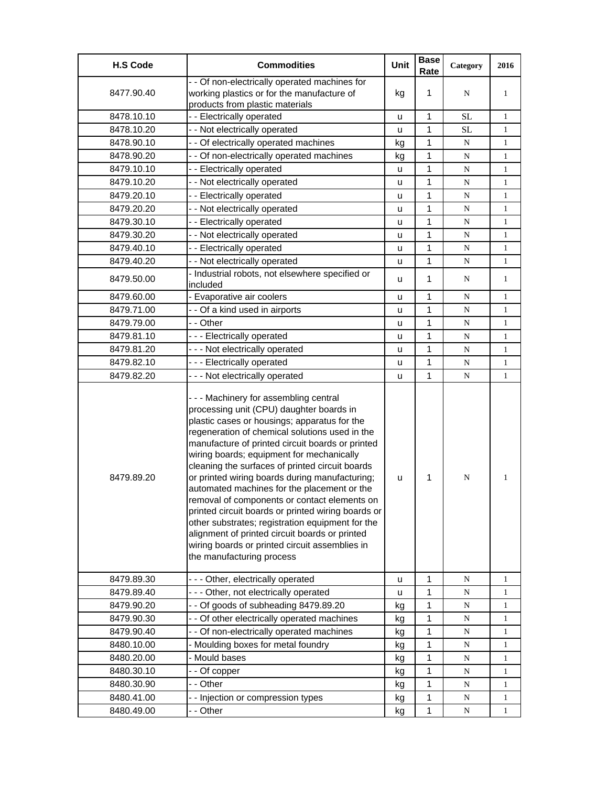| <b>H.S Code</b> | <b>Commodities</b>                                                                                                                                                                                                                                                                                                                                                                                                                                                                                                                                                                                                                                                                                                                 | Unit | <b>Base</b><br>Rate | Category  | 2016         |
|-----------------|------------------------------------------------------------------------------------------------------------------------------------------------------------------------------------------------------------------------------------------------------------------------------------------------------------------------------------------------------------------------------------------------------------------------------------------------------------------------------------------------------------------------------------------------------------------------------------------------------------------------------------------------------------------------------------------------------------------------------------|------|---------------------|-----------|--------------|
|                 | - - Of non-electrically operated machines for                                                                                                                                                                                                                                                                                                                                                                                                                                                                                                                                                                                                                                                                                      |      |                     |           |              |
| 8477.90.40      | working plastics or for the manufacture of                                                                                                                                                                                                                                                                                                                                                                                                                                                                                                                                                                                                                                                                                         | kg   | 1                   | N         | 1            |
|                 | products from plastic materials                                                                                                                                                                                                                                                                                                                                                                                                                                                                                                                                                                                                                                                                                                    |      |                     |           |              |
| 8478.10.10      | - - Electrically operated                                                                                                                                                                                                                                                                                                                                                                                                                                                                                                                                                                                                                                                                                                          | u    | 1                   | <b>SL</b> | $\mathbf{1}$ |
| 8478.10.20      | - - Not electrically operated                                                                                                                                                                                                                                                                                                                                                                                                                                                                                                                                                                                                                                                                                                      | u    | 1                   | <b>SL</b> | $\mathbf{1}$ |
| 8478.90.10      | - - Of electrically operated machines                                                                                                                                                                                                                                                                                                                                                                                                                                                                                                                                                                                                                                                                                              | kg   | 1                   | N         | $\mathbf{1}$ |
| 8478.90.20      | - - Of non-electrically operated machines                                                                                                                                                                                                                                                                                                                                                                                                                                                                                                                                                                                                                                                                                          | kg   | 1                   | ${\bf N}$ | 1            |
| 8479.10.10      | - - Electrically operated                                                                                                                                                                                                                                                                                                                                                                                                                                                                                                                                                                                                                                                                                                          | u    | 1                   | ${\bf N}$ | $\mathbf{1}$ |
| 8479.10.20      | - - Not electrically operated                                                                                                                                                                                                                                                                                                                                                                                                                                                                                                                                                                                                                                                                                                      | u    | 1                   | N         | $\mathbf{1}$ |
| 8479.20.10      | - - Electrically operated                                                                                                                                                                                                                                                                                                                                                                                                                                                                                                                                                                                                                                                                                                          | u    | 1                   | N         | $\mathbf{1}$ |
| 8479.20.20      | - - Not electrically operated                                                                                                                                                                                                                                                                                                                                                                                                                                                                                                                                                                                                                                                                                                      | u    | 1                   | N         | $\mathbf{1}$ |
| 8479.30.10      | - - Electrically operated                                                                                                                                                                                                                                                                                                                                                                                                                                                                                                                                                                                                                                                                                                          | u    | 1                   | ${\bf N}$ | $\mathbf{1}$ |
| 8479.30.20      | - - Not electrically operated                                                                                                                                                                                                                                                                                                                                                                                                                                                                                                                                                                                                                                                                                                      | u    | 1                   | N         | 1            |
| 8479.40.10      | - - Electrically operated                                                                                                                                                                                                                                                                                                                                                                                                                                                                                                                                                                                                                                                                                                          | u    | 1                   | N         | $\mathbf{1}$ |
| 8479.40.20      | - - Not electrically operated                                                                                                                                                                                                                                                                                                                                                                                                                                                                                                                                                                                                                                                                                                      | u    | 1                   | N         | $\mathbf{1}$ |
| 8479.50.00      | - Industrial robots, not elsewhere specified or<br>included                                                                                                                                                                                                                                                                                                                                                                                                                                                                                                                                                                                                                                                                        | u    | 1                   | N         | $\mathbf{1}$ |
| 8479.60.00      | - Evaporative air coolers                                                                                                                                                                                                                                                                                                                                                                                                                                                                                                                                                                                                                                                                                                          | u    | 1                   | N         | $\mathbf{1}$ |
| 8479.71.00      | - - Of a kind used in airports                                                                                                                                                                                                                                                                                                                                                                                                                                                                                                                                                                                                                                                                                                     | u    | 1                   | N         | $\mathbf{1}$ |
| 8479.79.00      | - - Other                                                                                                                                                                                                                                                                                                                                                                                                                                                                                                                                                                                                                                                                                                                          | u    | 1                   | ${\bf N}$ | $\mathbf{1}$ |
| 8479.81.10      | --- Electrically operated                                                                                                                                                                                                                                                                                                                                                                                                                                                                                                                                                                                                                                                                                                          | u    | 1                   | N         | 1            |
| 8479.81.20      | --- Not electrically operated                                                                                                                                                                                                                                                                                                                                                                                                                                                                                                                                                                                                                                                                                                      | u    | 1                   | ${\bf N}$ | $\mathbf{1}$ |
| 8479.82.10      | --- Electrically operated                                                                                                                                                                                                                                                                                                                                                                                                                                                                                                                                                                                                                                                                                                          | u    | 1                   | ${\bf N}$ | $\mathbf{1}$ |
| 8479.82.20      | --- Not electrically operated                                                                                                                                                                                                                                                                                                                                                                                                                                                                                                                                                                                                                                                                                                      | u    | 1                   | ${\bf N}$ | $\mathbf{1}$ |
| 8479.89.20      | --- Machinery for assembling central<br>processing unit (CPU) daughter boards in<br>plastic cases or housings; apparatus for the<br>regeneration of chemical solutions used in the<br>manufacture of printed circuit boards or printed<br>wiring boards; equipment for mechanically<br>cleaning the surfaces of printed circuit boards<br>or printed wiring boards during manufacturing;<br>automated machines for the placement or the<br>removal of components or contact elements on<br>printed circuit boards or printed wiring boards or<br>other substrates; registration equipment for the<br>alignment of printed circuit boards or printed<br>wiring boards or printed circuit assemblies in<br>the manufacturing process | u    | 1                   | ${\bf N}$ | 1            |
| 8479.89.30      | --- Other, electrically operated                                                                                                                                                                                                                                                                                                                                                                                                                                                                                                                                                                                                                                                                                                   | u    | 1                   | N         | 1            |
| 8479.89.40      | --- Other, not electrically operated                                                                                                                                                                                                                                                                                                                                                                                                                                                                                                                                                                                                                                                                                               | u    | 1                   | N         | 1            |
| 8479.90.20      | - - Of goods of subheading 8479.89.20                                                                                                                                                                                                                                                                                                                                                                                                                                                                                                                                                                                                                                                                                              | kg   | 1                   | N         | 1            |
| 8479.90.30      | - - Of other electrically operated machines                                                                                                                                                                                                                                                                                                                                                                                                                                                                                                                                                                                                                                                                                        | kg   | 1                   | N         | 1            |
| 8479.90.40      | - - Of non-electrically operated machines                                                                                                                                                                                                                                                                                                                                                                                                                                                                                                                                                                                                                                                                                          | kg   | 1                   | ${\bf N}$ | 1            |
| 8480.10.00      | - Moulding boxes for metal foundry                                                                                                                                                                                                                                                                                                                                                                                                                                                                                                                                                                                                                                                                                                 | kg   | 1                   | ${\bf N}$ | 1            |
| 8480.20.00      | - Mould bases                                                                                                                                                                                                                                                                                                                                                                                                                                                                                                                                                                                                                                                                                                                      | kg   | 1                   | N         | 1            |
| 8480.30.10      | - - Of copper                                                                                                                                                                                                                                                                                                                                                                                                                                                                                                                                                                                                                                                                                                                      | kg   | 1                   | N         | 1            |
| 8480.30.90      | - - Other                                                                                                                                                                                                                                                                                                                                                                                                                                                                                                                                                                                                                                                                                                                          | kg   | 1                   | ${\bf N}$ | 1            |
| 8480.41.00      | - - Injection or compression types                                                                                                                                                                                                                                                                                                                                                                                                                                                                                                                                                                                                                                                                                                 | kg   | 1                   | N         | 1            |
| 8480.49.00      | - - Other                                                                                                                                                                                                                                                                                                                                                                                                                                                                                                                                                                                                                                                                                                                          | kg   | 1                   | ${\bf N}$ | $\mathbf{1}$ |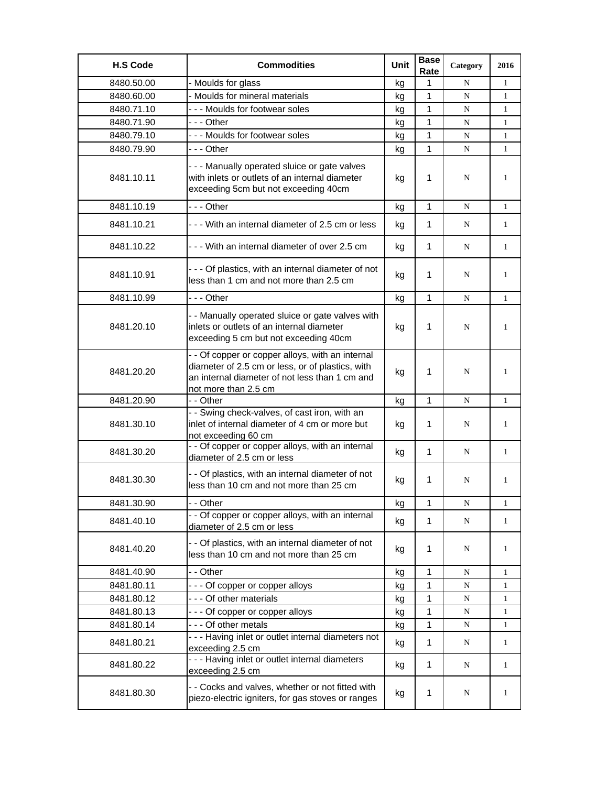| <b>H.S Code</b> | <b>Commodities</b>                                                                                                                                                             | <b>Unit</b> | <b>Base</b><br>Rate | Category | 2016         |
|-----------------|--------------------------------------------------------------------------------------------------------------------------------------------------------------------------------|-------------|---------------------|----------|--------------|
| 8480.50.00      | - Moulds for glass                                                                                                                                                             | kg          | 1                   | N        | 1            |
| 8480.60.00      | - Moulds for mineral materials                                                                                                                                                 | kg          | $\mathbf{1}$        | N        | 1            |
| 8480.71.10      | --- Moulds for footwear soles                                                                                                                                                  | kg          | 1                   | N        | $\mathbf{1}$ |
| 8480.71.90      | - - - Other                                                                                                                                                                    | kg          | 1                   | N        | $\mathbf{1}$ |
| 8480.79.10      | --- Moulds for footwear soles                                                                                                                                                  | kg          | $\mathbf{1}$        | N        | $\mathbf{1}$ |
| 8480.79.90      | - - - Other                                                                                                                                                                    | kg          | 1                   | N        | 1            |
| 8481.10.11      | --- Manually operated sluice or gate valves<br>with inlets or outlets of an internal diameter<br>exceeding 5cm but not exceeding 40cm                                          | kg          | 1                   | N        | $\mathbf{1}$ |
| 8481.10.19      | - - - Other                                                                                                                                                                    | kq          | $\mathbf{1}$        | N        | 1            |
| 8481.10.21      | - - - With an internal diameter of 2.5 cm or less                                                                                                                              | kg          | 1                   | N        | 1            |
| 8481.10.22      | - - - With an internal diameter of over 2.5 cm                                                                                                                                 | kg          | 1                   | N        | 1            |
| 8481.10.91      | - - - Of plastics, with an internal diameter of not<br>less than 1 cm and not more than 2.5 cm                                                                                 | kg          | 1                   | N        | 1            |
| 8481.10.99      | - - - Other                                                                                                                                                                    | kg          | $\mathbf{1}$        | N        | $\mathbf{1}$ |
| 8481.20.10      | - - Manually operated sluice or gate valves with<br>inlets or outlets of an internal diameter<br>exceeding 5 cm but not exceeding 40cm                                         | kg          | 1                   | N        | 1            |
| 8481.20.20      | - - Of copper or copper alloys, with an internal<br>diameter of 2.5 cm or less, or of plastics, with<br>an internal diameter of not less than 1 cm and<br>not more than 2.5 cm | kg          | 1                   | N        | 1            |
| 8481.20.90      | - - Other                                                                                                                                                                      | kg          | $\mathbf{1}$        | N        | 1            |
| 8481.30.10      | - - Swing check-valves, of cast iron, with an<br>inlet of internal diameter of 4 cm or more but<br>not exceeding 60 cm                                                         | kg          | 1                   | N        | 1            |
| 8481.30.20      | - - Of copper or copper alloys, with an internal<br>diameter of 2.5 cm or less                                                                                                 | kg          | $\mathbf{1}$        | N        | $\mathbf{1}$ |
| 8481.30.30      | - - Of plastics, with an internal diameter of not<br>less than 10 cm and not more than 25 cm                                                                                   | kg          | 1                   | N        | 1            |
| 8481.30.90      | - - Other                                                                                                                                                                      | kg          | 1                   | N        | 1            |
| 8481.40.10      | - - Of copper or copper alloys, with an internal<br>diameter of 2.5 cm or less                                                                                                 | kg          | 1                   | N        | 1            |
| 8481.40.20      | - - Of plastics, with an internal diameter of not<br>less than 10 cm and not more than 25 cm                                                                                   | kg          | 1                   | N        | 1            |
| 8481.40.90      | - - Other                                                                                                                                                                      | kg          | 1                   | N        | 1            |
| 8481.80.11      | - - - Of copper or copper alloys                                                                                                                                               | kg          | 1                   | N        | 1            |
| 8481.80.12      | - - - Of other materials                                                                                                                                                       | kg          | 1                   | N        | 1            |
| 8481.80.13      | --- Of copper or copper alloys                                                                                                                                                 | kg          | 1                   | N        | 1            |
| 8481.80.14      | --- Of other metals                                                                                                                                                            | kg          | 1                   | N        | 1            |
| 8481.80.21      | - - - Having inlet or outlet internal diameters not<br>exceeding 2.5 cm                                                                                                        | kg          | $\mathbf{1}$        | N        | $\mathbf{1}$ |
| 8481.80.22      | - - - Having inlet or outlet internal diameters<br>exceeding 2.5 cm                                                                                                            | kg          | 1                   | N        | $\mathbf{1}$ |
| 8481.80.30      | - - Cocks and valves, whether or not fitted with<br>piezo-electric igniters, for gas stoves or ranges                                                                          | kg          | 1                   | N        | 1            |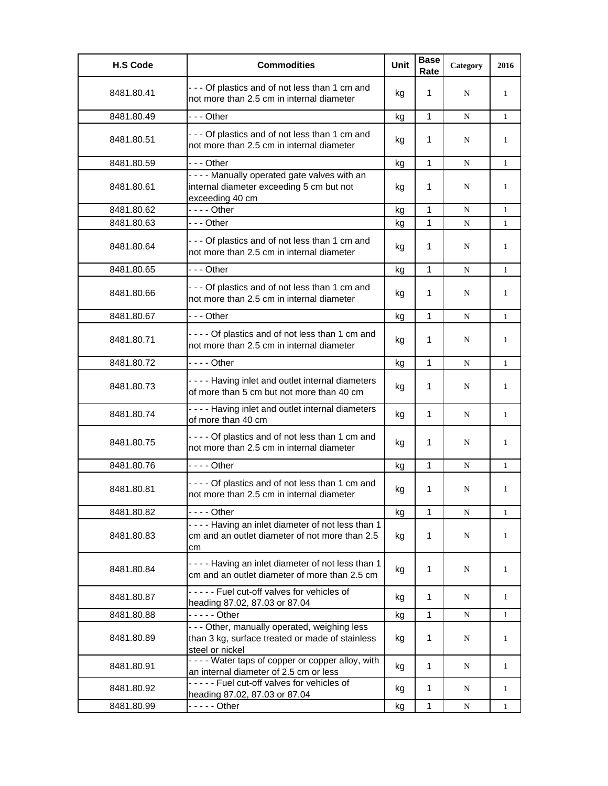| <b>H.S Code</b> | <b>Commodities</b>                                                                                                | <b>Unit</b> | <b>Base</b><br>Rate | Category    | 2016         |
|-----------------|-------------------------------------------------------------------------------------------------------------------|-------------|---------------------|-------------|--------------|
| 8481.80.41      | --- Of plastics and of not less than 1 cm and<br>not more than 2.5 cm in internal diameter                        | kg          | 1                   | N           | 1            |
| 8481.80.49      | - - - Other                                                                                                       | kg          | $\mathbf{1}$        | N           | $\mathbf{1}$ |
| 8481.80.51      | --- Of plastics and of not less than 1 cm and<br>not more than 2.5 cm in internal diameter                        | kg          | 1                   | N           | 1            |
| 8481.80.59      | - - - Other                                                                                                       | kg          | 1                   | N           | $\mathbf{1}$ |
| 8481.80.61      | - - - - Manually operated gate valves with an<br>internal diameter exceeding 5 cm but not<br>exceeding 40 cm      | kg          | 1                   | N           | $\mathbf{1}$ |
| 8481.80.62      | $--$ Other                                                                                                        | kg          | 1                   | N           | $\mathbf{1}$ |
| 8481.80.63      | - - - Other                                                                                                       | kg          | 1                   | N           | $\mathbf{1}$ |
| 8481.80.64      | --- Of plastics and of not less than 1 cm and<br>not more than 2.5 cm in internal diameter                        | kg          | 1                   | N           | 1            |
| 8481.80.65      | - - - Other                                                                                                       | kg          | 1                   | N           | $\mathbf{1}$ |
| 8481.80.66      | --- Of plastics and of not less than 1 cm and<br>not more than 2.5 cm in internal diameter                        | kg          | 1                   | N           | 1            |
| 8481.80.67      | - - - Other                                                                                                       | kg          | 1                   | N           | $\mathbf{1}$ |
| 8481.80.71      | ---- Of plastics and of not less than 1 cm and<br>not more than 2.5 cm in internal diameter                       | kg          | 1                   | N           | 1            |
| 8481.80.72      | - - - - Other                                                                                                     | kg          | $\mathbf{1}$        | N           | $\mathbf{1}$ |
| 8481.80.73      | ---- Having inlet and outlet internal diameters<br>of more than 5 cm but not more than 40 cm                      | kg          | 1                   | N           | 1            |
| 8481.80.74      | - - - - Having inlet and outlet internal diameters<br>of more than 40 cm                                          | kg          | 1                   | N           | $\mathbf{1}$ |
| 8481.80.75      | ---- Of plastics and of not less than 1 cm and<br>not more than 2.5 cm in internal diameter                       | kg          | 1                   | N           | 1            |
| 8481.80.76      | $--$ Other                                                                                                        | kg          | 1                   | $\mathbf N$ | $\mathbf{1}$ |
| 8481.80.81      | - - - - Of plastics and of not less than 1 cm and<br>not more than 2.5 cm in internal diameter                    | kg          | 1                   | N           | $\mathbf{1}$ |
| 8481.80.82      | - - - - Other                                                                                                     | kg          | 1                   | N           | $\mathbf{1}$ |
| 8481.80.83      | - - - - Having an inlet diameter of not less than 1<br>cm and an outlet diameter of not more than 2.5<br>cm       | kg          | 1                   | N           | 1            |
| 8481.80.84      | ---- Having an inlet diameter of not less than 1<br>cm and an outlet diameter of more than 2.5 cm                 | kg          | 1                   | N           | $\mathbf{1}$ |
| 8481.80.87      | ----- Fuel cut-off valves for vehicles of<br>heading 87.02, 87.03 or 87.04                                        | kg          | 1                   | N           | $\mathbf{1}$ |
| 8481.80.88      | $---$ Other                                                                                                       | kg          | 1                   | ${\bf N}$   | 1            |
| 8481.80.89      | --- Other, manually operated, weighing less<br>than 3 kg, surface treated or made of stainless<br>steel or nickel | kg          | 1                   | N           | $\mathbf{1}$ |
| 8481.80.91      | - - - - Water taps of copper or copper alloy, with<br>an internal diameter of 2.5 cm or less                      | kg          | 1                   | N           | $\mathbf{1}$ |
| 8481.80.92      | ----- Fuel cut-off valves for vehicles of<br>heading 87.02, 87.03 or 87.04                                        | kg          | 1                   | N           | $\mathbf{1}$ |
| 8481.80.99      | - - - - - Other                                                                                                   | kg          | $\mathbf{1}$        | ${\bf N}$   | $\mathbf{1}$ |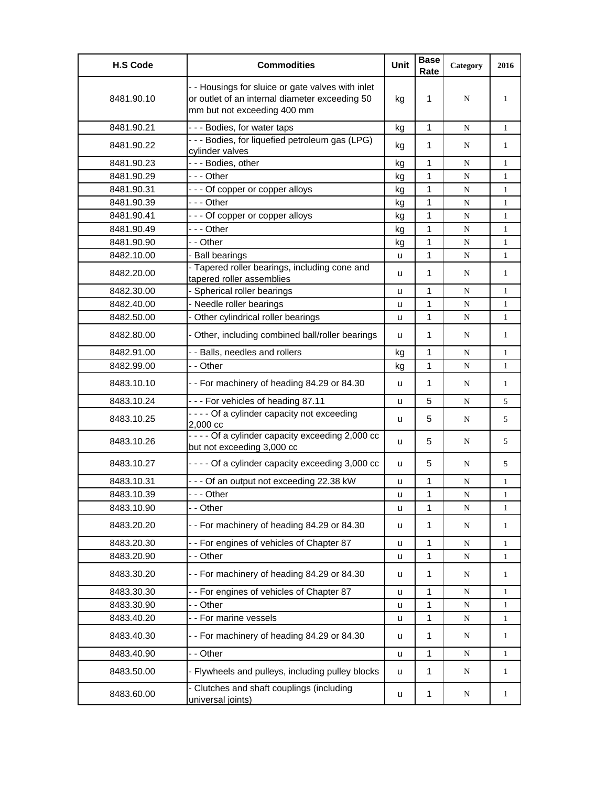| <b>H.S Code</b> | <b>Commodities</b>                                                                                                                 | Unit | <b>Base</b><br>Rate | Category    | 2016         |
|-----------------|------------------------------------------------------------------------------------------------------------------------------------|------|---------------------|-------------|--------------|
| 8481.90.10      | - - Housings for sluice or gate valves with inlet<br>or outlet of an internal diameter exceeding 50<br>mm but not exceeding 400 mm | kg   | 1                   | N           | 1            |
| 8481.90.21      | --- Bodies, for water taps                                                                                                         | kg   | $\mathbf{1}$        | N           | $\mathbf{1}$ |
| 8481.90.22      | --- Bodies, for liquefied petroleum gas (LPG)<br>cylinder valves                                                                   | kg   | 1                   | N           | 1            |
| 8481.90.23      | - - - Bodies, other                                                                                                                | kg   | 1                   | N           | $\mathbf{1}$ |
| 8481.90.29      | --- Other                                                                                                                          | kg   | 1                   | N           | $\mathbf{1}$ |
| 8481.90.31      | --- Of copper or copper alloys                                                                                                     | kg   | $\mathbf{1}$        | N           | $\mathbf{1}$ |
| 8481.90.39      | --- Other                                                                                                                          | kg   | $\mathbf{1}$        | ${\bf N}$   | $\mathbf{1}$ |
| 8481.90.41      | --- Of copper or copper alloys                                                                                                     | kg   | 1                   | N           | $\mathbf{1}$ |
| 8481.90.49      | - - - Other                                                                                                                        | kg   | $\mathbf{1}$        | N           | $\mathbf{1}$ |
| 8481.90.90      | - - Other                                                                                                                          | kg   | 1                   | N           | $\mathbf{1}$ |
| 8482.10.00      | - Ball bearings                                                                                                                    | u    | 1                   | N           | 1            |
| 8482.20.00      | - Tapered roller bearings, including cone and<br>tapered roller assemblies                                                         | u    | 1                   | N           | $\mathbf{1}$ |
| 8482.30.00      | - Spherical roller bearings                                                                                                        | u    | 1                   | N           | 1            |
| 8482.40.00      | - Needle roller bearings                                                                                                           | u    | 1                   | ${\bf N}$   | $\mathbf{1}$ |
| 8482.50.00      | - Other cylindrical roller bearings                                                                                                | u    | 1                   | N           | $\mathbf{1}$ |
| 8482.80.00      | - Other, including combined ball/roller bearings                                                                                   | u    | $\mathbf{1}$        | N           | $\mathbf{1}$ |
| 8482.91.00      | - - Balls, needles and rollers                                                                                                     | kg   | 1                   | N           | $\mathbf{1}$ |
| 8482.99.00      | - - Other                                                                                                                          | kg   | 1                   | N           | $\mathbf{1}$ |
| 8483.10.10      | -- For machinery of heading 84.29 or 84.30                                                                                         | u    | 1                   | N           | $\mathbf{1}$ |
| 8483.10.24      | --- For vehicles of heading 87.11                                                                                                  | u    | 5                   | N           | 5            |
| 8483.10.25      | - - - - Of a cylinder capacity not exceeding<br>2,000 cc                                                                           | u    | 5                   | N           | 5            |
| 8483.10.26      | - - - - Of a cylinder capacity exceeding 2,000 cc<br>but not exceeding 3,000 cc                                                    | u    | 5                   | N           | 5            |
| 8483.10.27      | - - - - Of a cylinder capacity exceeding 3,000 cc                                                                                  | u    | 5                   | N           | 5            |
| 8483.10.31      | --- Of an output not exceeding 22.38 kW                                                                                            | u    | 1                   | ${\bf N}$   | $\mathbf{1}$ |
| 8483.10.39      | --- Other                                                                                                                          | u    | 1                   | N           | 1            |
| 8483.10.90      | - - Other                                                                                                                          | u    | 1                   | ${\bf N}$   | $\mathbf{1}$ |
| 8483.20.20      | -- For machinery of heading 84.29 or 84.30                                                                                         | u    | $\mathbf{1}$        | N           | $\mathbf{1}$ |
| 8483.20.30      | - - For engines of vehicles of Chapter 87                                                                                          | u    | $\mathbf{1}$        | ${\bf N}$   | $\mathbf{1}$ |
| 8483.20.90      | - - Other                                                                                                                          | u    | $\mathbf 1$         | ${\bf N}$   | $\mathbf{1}$ |
| 8483.30.20      | -- For machinery of heading 84.29 or 84.30                                                                                         | u    | 1                   | N           | $\mathbf{1}$ |
| 8483.30.30      | -- For engines of vehicles of Chapter 87                                                                                           | u    | 1                   | ${\bf N}$   | 1            |
| 8483.30.90      | Other                                                                                                                              | u    | 1                   | N           | 1            |
| 8483.40.20      | - - For marine vessels                                                                                                             | u    | 1                   | ${\bf N}$   | $\mathbf{1}$ |
| 8483.40.30      | - - For machinery of heading 84.29 or 84.30                                                                                        | u    | $\mathbf{1}$        | ${\bf N}$   | $\mathbf{1}$ |
| 8483.40.90      | - - Other                                                                                                                          | u    | 1                   | $\mathbf N$ | $\mathbf{1}$ |
| 8483.50.00      | - Flywheels and pulleys, including pulley blocks                                                                                   | u    | $\mathbf{1}$        | $\mathbf N$ | $\mathbf{1}$ |
| 8483.60.00      | - Clutches and shaft couplings (including<br>universal joints)                                                                     | u    | $\mathbf 1$         | N           | $\mathbf{1}$ |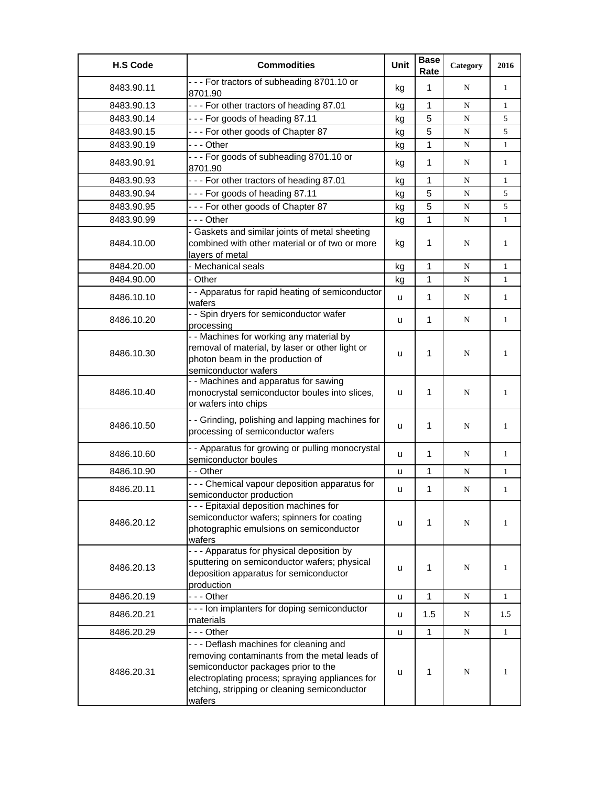| <b>H.S Code</b> | <b>Commodities</b>                                                                                                                                                                                                                         | Unit | <b>Base</b><br>Rate | Category  | 2016         |
|-----------------|--------------------------------------------------------------------------------------------------------------------------------------------------------------------------------------------------------------------------------------------|------|---------------------|-----------|--------------|
| 8483.90.11      | --- For tractors of subheading 8701.10 or<br>8701.90                                                                                                                                                                                       | kg   | $\mathbf{1}$        | N         | 1            |
| 8483.90.13      | - - - For other tractors of heading 87.01                                                                                                                                                                                                  | kg   | $\mathbf{1}$        | ${\bf N}$ | $\mathbf{1}$ |
| 8483.90.14      | --- For goods of heading 87.11                                                                                                                                                                                                             | kg   | 5                   | ${\bf N}$ | 5            |
| 8483.90.15      | --- For other goods of Chapter 87                                                                                                                                                                                                          | kg   | 5                   | ${\bf N}$ | 5            |
| 8483.90.19      | --- Other                                                                                                                                                                                                                                  | kg   | 1                   | ${\bf N}$ | $\mathbf{1}$ |
| 8483.90.91      | --- For goods of subheading 8701.10 or<br>8701.90                                                                                                                                                                                          | kg   | $\mathbf{1}$        | N         | $\mathbf{1}$ |
| 8483.90.93      | - - - For other tractors of heading 87.01                                                                                                                                                                                                  | kg   | 1                   | N         | $\mathbf{1}$ |
| 8483.90.94      | --- For goods of heading 87.11                                                                                                                                                                                                             | kg   | 5                   | N         | 5            |
| 8483.90.95      | --- For other goods of Chapter 87                                                                                                                                                                                                          | kg   | 5                   | N         | 5            |
| 8483.90.99      | --- Other                                                                                                                                                                                                                                  | kg   | $\mathbf{1}$        | N         | $\mathbf{1}$ |
| 8484.10.00      | - Gaskets and similar joints of metal sheeting<br>combined with other material or of two or more<br>layers of metal                                                                                                                        | kg   | 1                   | N         | 1            |
| 8484.20.00      | - Mechanical seals                                                                                                                                                                                                                         | kg   | $\mathbf{1}$        | N         | $\mathbf{1}$ |
| 8484.90.00      | - Other                                                                                                                                                                                                                                    | kg   | $\mathbf 1$         | ${\bf N}$ | $\mathbf{1}$ |
| 8486.10.10      | - - Apparatus for rapid heating of semiconductor<br>wafers                                                                                                                                                                                 | u    | $\mathbf{1}$        | N         | 1            |
| 8486.10.20      | - - Spin dryers for semiconductor wafer<br>processing                                                                                                                                                                                      | u    | $\mathbf{1}$        | N         | 1            |
| 8486.10.30      | - - Machines for working any material by<br>removal of material, by laser or other light or<br>photon beam in the production of<br>semiconductor wafers                                                                                    | u    | 1                   | N         | $\mathbf{1}$ |
| 8486.10.40      | - - Machines and apparatus for sawing<br>monocrystal semiconductor boules into slices,<br>or wafers into chips                                                                                                                             | u    | $\mathbf{1}$        | N         | 1            |
| 8486.10.50      | - - Grinding, polishing and lapping machines for<br>processing of semiconductor wafers                                                                                                                                                     | u    | 1                   | N         | 1            |
| 8486.10.60      | - - Apparatus for growing or pulling monocrystal<br>semiconductor boules                                                                                                                                                                   | u    | $\mathbf{1}$        | N         | $\mathbf{1}$ |
| 8486.10.90      | - - Other                                                                                                                                                                                                                                  | u    | 1                   | ${\bf N}$ | $\mathbf{1}$ |
| 8486.20.11      | - - - Chemical vapour deposition apparatus for<br>semiconductor production                                                                                                                                                                 | u    | 1                   | N         | 1            |
| 8486.20.12      | --- Epitaxial deposition machines for<br>semiconductor wafers; spinners for coating<br>photographic emulsions on semiconductor<br>wafers                                                                                                   | u    | 1                   | N         | 1            |
| 8486.20.13      | - - - Apparatus for physical deposition by<br>sputtering on semiconductor wafers; physical<br>deposition apparatus for semiconductor<br>production                                                                                         | u    | 1                   | N         | 1            |
| 8486.20.19      | --- Other                                                                                                                                                                                                                                  | u    | 1                   | N         | $\mathbf{1}$ |
| 8486.20.21      | --- Ion implanters for doping semiconductor<br>materials                                                                                                                                                                                   | u    | 1.5                 | N         | 1.5          |
| 8486.20.29      | -  - - Other                                                                                                                                                                                                                               | u    | 1                   | N         | $\mathbf{1}$ |
| 8486.20.31      | --- Deflash machines for cleaning and<br>removing contaminants from the metal leads of<br>semiconductor packages prior to the<br>electroplating process; spraying appliances for<br>etching, stripping or cleaning semiconductor<br>wafers | u    | 1                   | N         | 1            |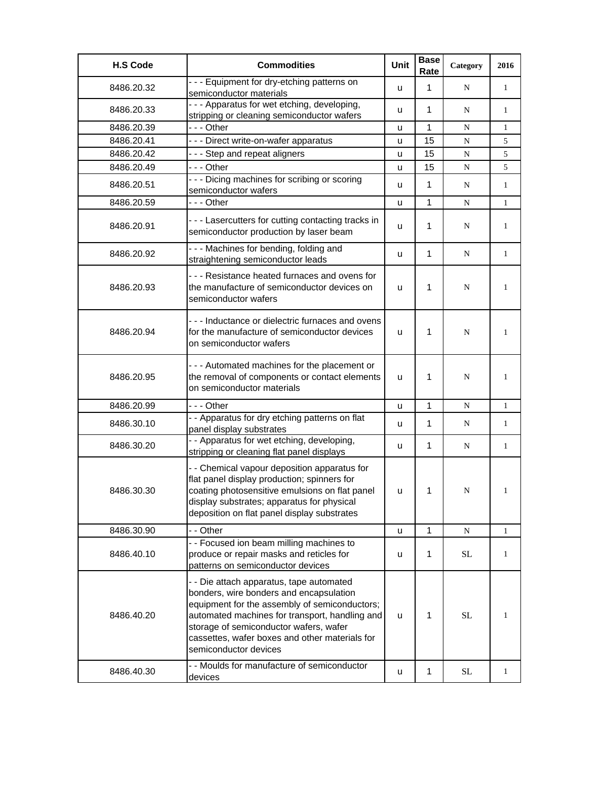| <b>H.S Code</b> | <b>Commodities</b>                                                                                                                                                                                                                                                                                          | Unit | <b>Base</b><br>Rate | Category  | 2016         |
|-----------------|-------------------------------------------------------------------------------------------------------------------------------------------------------------------------------------------------------------------------------------------------------------------------------------------------------------|------|---------------------|-----------|--------------|
| 8486.20.32      | --- Equipment for dry-etching patterns on<br>semiconductor materials                                                                                                                                                                                                                                        | u    | $\mathbf{1}$        | N         | $\mathbf{1}$ |
| 8486.20.33      | - - - Apparatus for wet etching, developing,<br>stripping or cleaning semiconductor wafers                                                                                                                                                                                                                  | u    | 1                   | N         | $\mathbf{1}$ |
| 8486.20.39      | --- Other                                                                                                                                                                                                                                                                                                   | u    | 1                   | N         | $\mathbf{1}$ |
| 8486.20.41      | --- Direct write-on-wafer apparatus                                                                                                                                                                                                                                                                         | u    | 15                  | N         | 5            |
| 8486.20.42      | - - - Step and repeat aligners                                                                                                                                                                                                                                                                              | u    | 15                  | ${\bf N}$ | 5            |
| 8486.20.49      | --- Other                                                                                                                                                                                                                                                                                                   | u    | 15                  | ${\bf N}$ | 5            |
| 8486.20.51      | - - - Dicing machines for scribing or scoring<br>semiconductor wafers                                                                                                                                                                                                                                       | u    | $\mathbf{1}$        | N         | $\mathbf{1}$ |
| 8486.20.59      | --- Other                                                                                                                                                                                                                                                                                                   | u    | 1                   | N         | $\mathbf{1}$ |
| 8486.20.91      | --- Lasercutters for cutting contacting tracks in<br>semiconductor production by laser beam                                                                                                                                                                                                                 | u    | 1                   | N         | 1            |
| 8486.20.92      | - - - Machines for bending, folding and<br>straightening semiconductor leads                                                                                                                                                                                                                                | u    | 1                   | N         | 1            |
| 8486.20.93      | - - - Resistance heated furnaces and ovens for<br>the manufacture of semiconductor devices on<br>semiconductor wafers                                                                                                                                                                                       | u    | 1                   | N         | $\mathbf{1}$ |
| 8486.20.94      | - - - Inductance or dielectric furnaces and ovens<br>for the manufacture of semiconductor devices<br>on semiconductor wafers                                                                                                                                                                                | u    | 1                   | N         | $\mathbf{1}$ |
| 8486.20.95      | - - - Automated machines for the placement or<br>the removal of components or contact elements<br>on semiconductor materials                                                                                                                                                                                | u    | 1                   | N         | 1            |
| 8486.20.99      | - - - Other                                                                                                                                                                                                                                                                                                 | u    | 1                   | N         | $\mathbf{1}$ |
| 8486.30.10      | - - Apparatus for dry etching patterns on flat<br>panel display substrates                                                                                                                                                                                                                                  | u    | 1                   | N         | $\mathbf{1}$ |
| 8486.30.20      | - - Apparatus for wet etching, developing,<br>stripping or cleaning flat panel displays                                                                                                                                                                                                                     | u    | 1                   | N         | $\mathbf{1}$ |
| 8486.30.30      | - - Chemical vapour deposition apparatus for<br>flat panel display production; spinners for<br>coating photosensitive emulsions on flat panel<br>display substrates; apparatus for physical<br>deposition on flat panel display substrates                                                                  | u    | 1                   | N         | 1            |
| 8486.30.90      | - - Other                                                                                                                                                                                                                                                                                                   | u    | 1                   | N         | $\mathbf{1}$ |
| 8486.40.10      | - - Focused ion beam milling machines to<br>produce or repair masks and reticles for<br>patterns on semiconductor devices                                                                                                                                                                                   | u    | 1                   | <b>SL</b> | 1            |
| 8486.40.20      | - - Die attach apparatus, tape automated<br>bonders, wire bonders and encapsulation<br>equipment for the assembly of semiconductors;<br>automated machines for transport, handling and<br>storage of semiconductor wafers, wafer<br>cassettes, wafer boxes and other materials for<br>semiconductor devices | u    | 1                   | <b>SL</b> | 1            |
| 8486.40.30      | - - Moulds for manufacture of semiconductor<br>devices                                                                                                                                                                                                                                                      | u    | 1                   | <b>SL</b> | $\mathbf{1}$ |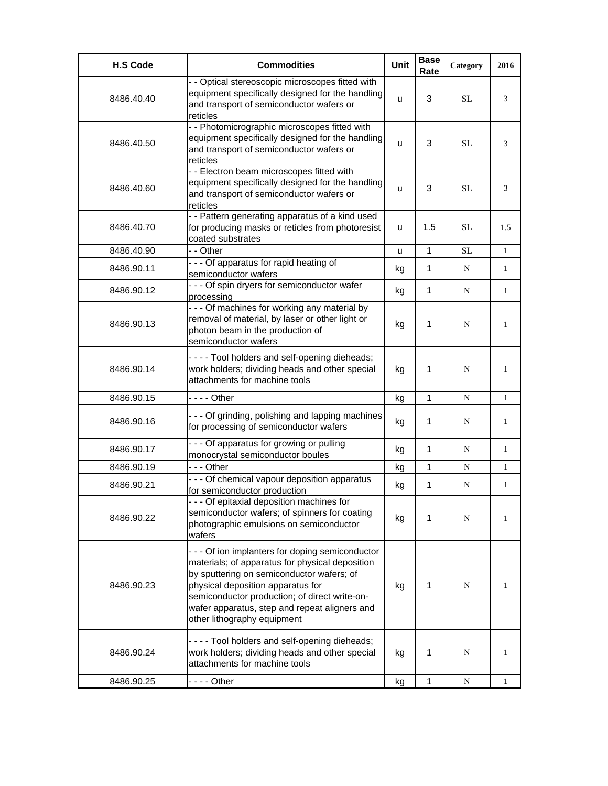| <b>H.S Code</b> | <b>Commodities</b>                                                                                                                                                                                                                                                                                                     | <b>Unit</b> | <b>Base</b><br>Rate | Category  | 2016         |
|-----------------|------------------------------------------------------------------------------------------------------------------------------------------------------------------------------------------------------------------------------------------------------------------------------------------------------------------------|-------------|---------------------|-----------|--------------|
| 8486.40.40      | - - Optical stereoscopic microscopes fitted with<br>equipment specifically designed for the handling<br>and transport of semiconductor wafers or<br>reticles                                                                                                                                                           | u           | 3                   | <b>SL</b> | 3            |
| 8486.40.50      | - - Photomicrographic microscopes fitted with<br>equipment specifically designed for the handling<br>and transport of semiconductor wafers or<br>reticles                                                                                                                                                              | u           | 3                   | <b>SL</b> | 3            |
| 8486.40.60      | - - Electron beam microscopes fitted with<br>equipment specifically designed for the handling<br>and transport of semiconductor wafers or<br>reticles                                                                                                                                                                  | u           | 3                   | <b>SL</b> | 3            |
| 8486.40.70      | - - Pattern generating apparatus of a kind used<br>for producing masks or reticles from photoresist<br>coated substrates                                                                                                                                                                                               | u           | 1.5                 | SL        | 1.5          |
| 8486.40.90      | - - Other                                                                                                                                                                                                                                                                                                              | u           | $\mathbf{1}$        | <b>SL</b> | 1            |
| 8486.90.11      | - - - Of apparatus for rapid heating of<br>semiconductor wafers                                                                                                                                                                                                                                                        | kg          | 1                   | N         | 1            |
| 8486.90.12      | - - - Of spin dryers for semiconductor wafer<br>processing                                                                                                                                                                                                                                                             | kg          | 1                   | N         | $\mathbf{1}$ |
| 8486.90.13      | - - - Of machines for working any material by<br>removal of material, by laser or other light or<br>photon beam in the production of<br>semiconductor wafers                                                                                                                                                           | kg          | 1                   | N         | 1            |
| 8486.90.14      | ----Tool holders and self-opening dieheads;<br>work holders; dividing heads and other special<br>attachments for machine tools                                                                                                                                                                                         | kg          | 1                   | N         | 1            |
| 8486.90.15      | $--$ Other                                                                                                                                                                                                                                                                                                             | kg          | 1                   | N         | 1            |
| 8486.90.16      | - - - Of grinding, polishing and lapping machines<br>for processing of semiconductor wafers                                                                                                                                                                                                                            | kg          | 1                   | N         | 1            |
| 8486.90.17      | - - - Of apparatus for growing or pulling<br>monocrystal semiconductor boules                                                                                                                                                                                                                                          | kg          | 1                   | N         | 1            |
| 8486.90.19      | - - - Other                                                                                                                                                                                                                                                                                                            | kg          | 1                   | N         | 1            |
| 8486.90.21      | - - - Of chemical vapour deposition apparatus<br>for semiconductor production                                                                                                                                                                                                                                          | kg          | 1                   | N         | $\mathbf{1}$ |
| 8486.90.22      | --- Of epitaxial deposition machines for<br>semiconductor wafers; of spinners for coating<br>photographic emulsions on semiconductor<br>wafers                                                                                                                                                                         | kg          | 1                   | N         | 1            |
| 8486.90.23      | - - - Of ion implanters for doping semiconductor<br>materials; of apparatus for physical deposition<br>by sputtering on semiconductor wafers; of<br>physical deposition apparatus for<br>semiconductor production; of direct write-on-<br>wafer apparatus, step and repeat aligners and<br>other lithography equipment | kg          | 1                   | N         | 1            |
| 8486.90.24      | ----Tool holders and self-opening dieheads;<br>work holders; dividing heads and other special<br>attachments for machine tools                                                                                                                                                                                         | kg          | 1                   | N         | 1            |
| 8486.90.25      | - - - - Other                                                                                                                                                                                                                                                                                                          | kg          | 1                   | N         | 1            |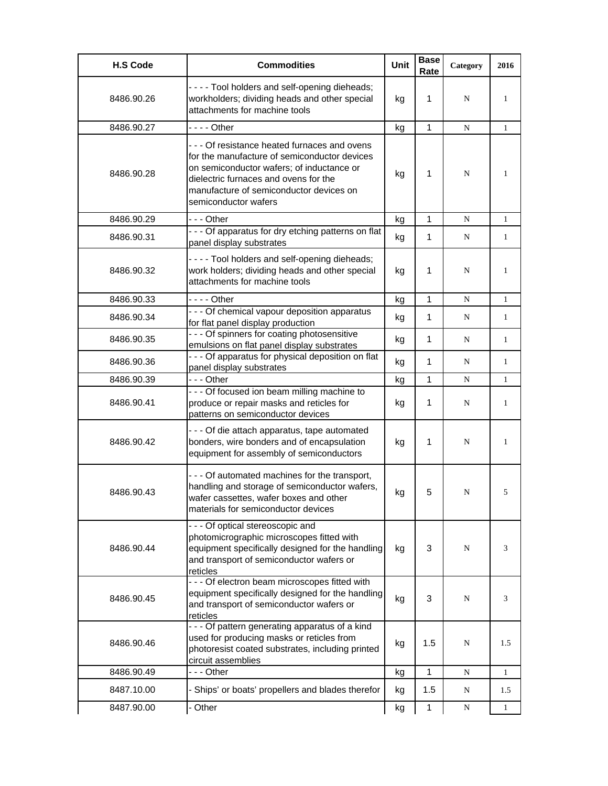| <b>H.S Code</b> | <b>Commodities</b>                                                                                                                                                                                                                                   | Unit | <b>Base</b><br>Rate | Category  | 2016         |
|-----------------|------------------------------------------------------------------------------------------------------------------------------------------------------------------------------------------------------------------------------------------------------|------|---------------------|-----------|--------------|
| 8486.90.26      | - - - - Tool holders and self-opening dieheads;<br>workholders; dividing heads and other special<br>attachments for machine tools                                                                                                                    | kg   | 1                   | N         | 1            |
| 8486.90.27      | - - - - Other                                                                                                                                                                                                                                        | kg   | 1                   | N         | $\mathbf{1}$ |
| 8486.90.28      | --- Of resistance heated furnaces and ovens<br>for the manufacture of semiconductor devices<br>on semiconductor wafers; of inductance or<br>dielectric furnaces and ovens for the<br>manufacture of semiconductor devices on<br>semiconductor wafers | kg   | 1                   | N         | 1            |
| 8486.90.29      | -  - - Other                                                                                                                                                                                                                                         | kg   | 1                   | N         | $\mathbf{1}$ |
| 8486.90.31      | - - - Of apparatus for dry etching patterns on flat<br>panel display substrates                                                                                                                                                                      | kg   | 1                   | N         | $\mathbf{1}$ |
| 8486.90.32      | - - - - Tool holders and self-opening dieheads;<br>work holders; dividing heads and other special<br>attachments for machine tools                                                                                                                   | kg   | 1                   | N         | 1            |
| 8486.90.33      |                                                                                                                                                                                                                                                      | kg   | 1                   | N         | $\mathbf{1}$ |
| 8486.90.34      | - - - Of chemical vapour deposition apparatus<br>for flat panel display production                                                                                                                                                                   | kg   | 1                   | N         | $\mathbf{1}$ |
| 8486.90.35      | - - - Of spinners for coating photosensitive<br>emulsions on flat panel display substrates                                                                                                                                                           | kg   | 1                   | N         | $\mathbf{1}$ |
| 8486.90.36      | - - - Of apparatus for physical deposition on flat<br>panel display substrates                                                                                                                                                                       | kg   | 1                   | N         | $\mathbf{1}$ |
| 8486.90.39      | --- Other                                                                                                                                                                                                                                            | kg   | $\mathbf{1}$        | N         | $\mathbf{1}$ |
| 8486.90.41      | - - - Of focused ion beam milling machine to<br>produce or repair masks and reticles for<br>patterns on semiconductor devices                                                                                                                        | kg   | 1                   | N         | 1            |
| 8486.90.42      | - - - Of die attach apparatus, tape automated<br>bonders, wire bonders and of encapsulation<br>equipment for assembly of semiconductors                                                                                                              | kg   | 1                   | N         | $\mathbf{1}$ |
| 8486.90.43      | - - - Of automated machines for the transport,<br>handling and storage of semiconductor wafers,<br>wafer cassettes, wafer boxes and other<br>materials for semiconductor devices                                                                     | kg   | 5                   | N         | 5            |
| 8486.90.44      | - - - Of optical stereoscopic and<br>photomicrographic microscopes fitted with<br>equipment specifically designed for the handling<br>and transport of semiconductor wafers or<br>reticles                                                           | kg   | 3                   | N         | 3            |
| 8486.90.45      | - - - Of electron beam microscopes fitted with<br>equipment specifically designed for the handling<br>and transport of semiconductor wafers or<br>reticles                                                                                           | kg   | 3                   | N         | 3            |
| 8486.90.46      | - - - Of pattern generating apparatus of a kind<br>used for producing masks or reticles from<br>photoresist coated substrates, including printed<br>circuit assemblies                                                                               | kg   | 1.5                 | N         | 1.5          |
| 8486.90.49      | --- Other                                                                                                                                                                                                                                            | kg   | 1                   | ${\bf N}$ | $\mathbf{1}$ |
| 8487.10.00      | - Ships' or boats' propellers and blades therefor                                                                                                                                                                                                    | kg   | 1.5                 | N         | 1.5          |
| 8487.90.00      | - Other                                                                                                                                                                                                                                              | kg   | $\mathbf 1$         | ${\bf N}$ | 1            |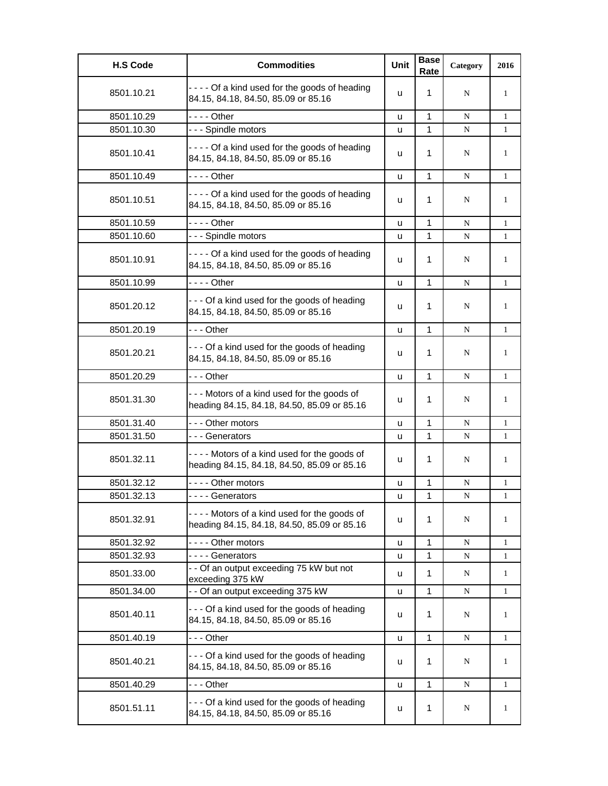| <b>H.S Code</b> | <b>Commodities</b>                                                                         | Unit | <b>Base</b><br>Rate | Category | 2016         |
|-----------------|--------------------------------------------------------------------------------------------|------|---------------------|----------|--------------|
| 8501.10.21      | ---- Of a kind used for the goods of heading<br>84.15, 84.18, 84.50, 85.09 or 85.16        | u    | 1                   | N        | $\mathbf{1}$ |
| 8501.10.29      | $--$ Other                                                                                 | u    | 1                   | N        | $\mathbf{1}$ |
| 8501.10.30      | --- Spindle motors                                                                         | u    | $\mathbf{1}$        | N        | $\mathbf{1}$ |
| 8501.10.41      | ---- Of a kind used for the goods of heading<br>84.15, 84.18, 84.50, 85.09 or 85.16        | u    | 1                   | N        | 1            |
| 8501.10.49      | - - - - Other                                                                              | u    | $\mathbf{1}$        | N        | $\mathbf{1}$ |
| 8501.10.51      | ---- Of a kind used for the goods of heading<br>84.15, 84.18, 84.50, 85.09 or 85.16        | u    | 1                   | N        | 1            |
| 8501.10.59      | - - - - Other                                                                              | u    | 1                   | N        | $\mathbf{1}$ |
| 8501.10.60      | --- Spindle motors                                                                         | u    | 1                   | N        | $\mathbf{1}$ |
| 8501.10.91      | ---- Of a kind used for the goods of heading<br>84.15, 84.18, 84.50, 85.09 or 85.16        | u    | 1                   | N        | 1            |
| 8501.10.99      | - - - - Other                                                                              | u    | 1                   | N        | $\mathbf{1}$ |
| 8501.20.12      | --- Of a kind used for the goods of heading<br>84.15, 84.18, 84.50, 85.09 or 85.16         | u    | 1                   | N        | 1            |
| 8501.20.19      | -  - - Other                                                                               | u    | 1                   | N        | $\mathbf{1}$ |
| 8501.20.21      | --- Of a kind used for the goods of heading<br>84.15, 84.18, 84.50, 85.09 or 85.16         | u    | 1                   | N        | 1            |
| 8501.20.29      | - - - Other                                                                                | u    | 1                   | N        | $\mathbf{1}$ |
| 8501.31.30      | --- Motors of a kind used for the goods of<br>heading 84.15, 84.18, 84.50, 85.09 or 85.16  | u    | 1                   | N        | 1            |
| 8501.31.40      | --- Other motors                                                                           | u    | 1                   | N        | $\mathbf{1}$ |
| 8501.31.50      | --- Generators                                                                             | u    | 1                   | N        | $\mathbf{1}$ |
| 8501.32.11      | ---- Motors of a kind used for the goods of<br>heading 84.15, 84.18, 84.50, 85.09 or 85.16 | u    | 1                   | N        | 1            |
| 8501.32.12      | ---- Other motors                                                                          | u    | 1                   | N        | 1            |
| 8501.32.13      | - - - - Generators                                                                         | u    | 1                   | N        | $\mathbf{1}$ |
| 8501.32.91      | ---- Motors of a kind used for the goods of<br>heading 84.15, 84.18, 84.50, 85.09 or 85.16 | u    | 1                   | N        | 1            |
| 8501.32.92      | ---- Other motors                                                                          | u    | 1                   | N        | 1            |
| 8501.32.93      | - - - - Generators                                                                         | u    | 1                   | N        | 1            |
| 8501.33.00      | - - Of an output exceeding 75 kW but not<br>exceeding 375 kW                               | u    | 1                   | N        | 1            |
| 8501.34.00      | - - Of an output exceeding 375 kW                                                          | u    | 1                   | N        | 1            |
| 8501.40.11      | --- Of a kind used for the goods of heading<br>84.15, 84.18, 84.50, 85.09 or 85.16         | u    | 1                   | N        | 1            |
| 8501.40.19      | - - - Other                                                                                | u    | 1                   | N        | $\mathbf{1}$ |
| 8501.40.21      | --- Of a kind used for the goods of heading<br>84.15, 84.18, 84.50, 85.09 or 85.16         | u    | 1                   | N        | 1            |
| 8501.40.29      | - - - Other                                                                                | u    | 1                   | N        | 1            |
| 8501.51.11      | - - - Of a kind used for the goods of heading<br>84.15, 84.18, 84.50, 85.09 or 85.16       | u    | 1                   | N        | $\mathbf{1}$ |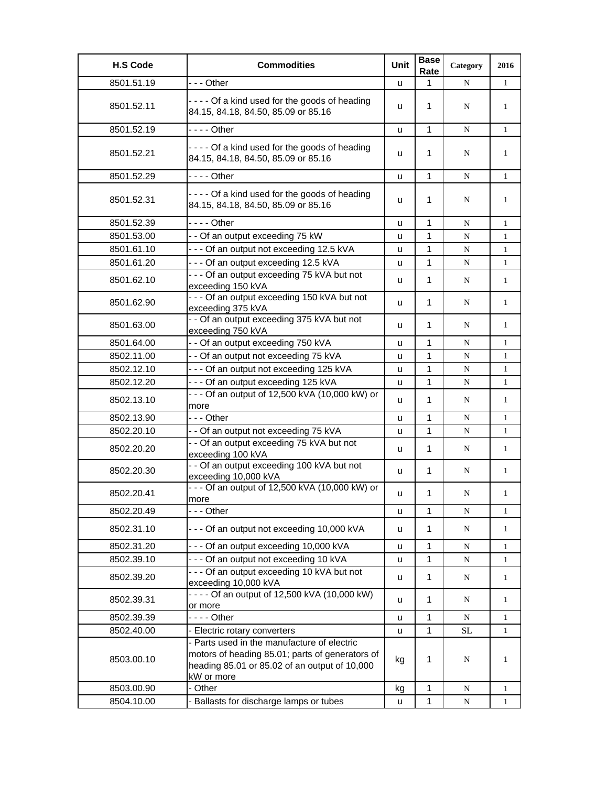| <b>H.S Code</b> | <b>Commodities</b>                                                                                                                                            | Unit | <b>Base</b><br>Rate | Category    | 2016         |
|-----------------|---------------------------------------------------------------------------------------------------------------------------------------------------------------|------|---------------------|-------------|--------------|
| 8501.51.19      | --- Other                                                                                                                                                     | u    | 1                   | N           | $\mathbf{1}$ |
| 8501.52.11      | ---- Of a kind used for the goods of heading<br>84.15, 84.18, 84.50, 85.09 or 85.16                                                                           | u    | $\mathbf 1$         | N           | $\mathbf{1}$ |
| 8501.52.19      | - - - - Other                                                                                                                                                 | u    | 1                   | N           | $\mathbf{1}$ |
| 8501.52.21      | ---- Of a kind used for the goods of heading<br>84.15, 84.18, 84.50, 85.09 or 85.16                                                                           | u    | 1                   | N           | $\mathbf{1}$ |
| 8501.52.29      | - - - - Other                                                                                                                                                 | u    | $\mathbf{1}$        | N           | $\mathbf{1}$ |
| 8501.52.31      | ---- Of a kind used for the goods of heading<br>84.15, 84.18, 84.50, 85.09 or 85.16                                                                           | u    | 1                   | N           | 1            |
| 8501.52.39      | - - - - Other                                                                                                                                                 | u    | 1                   | ${\bf N}$   | $\mathbf{1}$ |
| 8501.53.00      | - - Of an output exceeding 75 kW                                                                                                                              | u    | 1                   | ${\bf N}$   | $\mathbf{1}$ |
| 8501.61.10      | --- Of an output not exceeding 12.5 kVA                                                                                                                       | u    | 1                   | N           | $\mathbf{1}$ |
| 8501.61.20      | --- Of an output exceeding 12.5 kVA                                                                                                                           | u    | 1                   | ${\bf N}$   | $\mathbf{1}$ |
| 8501.62.10      | - - - Of an output exceeding 75 kVA but not<br>exceeding 150 kVA                                                                                              | u    | $\mathbf 1$         | N           | $\mathbf{1}$ |
| 8501.62.90      | - - - Of an output exceeding 150 kVA but not<br>exceeding 375 kVA                                                                                             | u    | $\mathbf 1$         | N           | $\mathbf{1}$ |
| 8501.63.00      | - - Of an output exceeding 375 kVA but not<br>exceeding 750 kVA                                                                                               | u    | 1                   | N           | $\mathbf{1}$ |
| 8501.64.00      | - - Of an output exceeding 750 kVA                                                                                                                            | u    | 1                   | N           | $\mathbf{1}$ |
| 8502.11.00      | - - Of an output not exceeding 75 kVA                                                                                                                         | u    | 1                   | N           | $\mathbf{1}$ |
| 8502.12.10      | --- Of an output not exceeding 125 kVA                                                                                                                        | u    | 1                   | ${\bf N}$   | $\mathbf{1}$ |
| 8502.12.20      | --- Of an output exceeding 125 kVA                                                                                                                            | u    | 1                   | ${\bf N}$   | $\mathbf{1}$ |
| 8502.13.10      | - - - Of an output of 12,500 kVA (10,000 kW) or<br>more                                                                                                       | u    | $\mathbf 1$         | N           | $\mathbf{1}$ |
| 8502.13.90      | --- Other                                                                                                                                                     | u    | 1                   | N           | $\mathbf{1}$ |
| 8502.20.10      | - - Of an output not exceeding 75 kVA                                                                                                                         | u    | 1                   | N           | $\mathbf{1}$ |
| 8502.20.20      | - - Of an output exceeding 75 kVA but not<br>exceeding 100 kVA                                                                                                | u    | $\mathbf{1}$        | N           | $\mathbf{1}$ |
| 8502.20.30      | - - Of an output exceeding 100 kVA but not<br>exceeding 10,000 kVA                                                                                            | u    | $\mathbf 1$         | N           | $\mathbf{1}$ |
| 8502.20.41      | - - - Of an output of 12,500 kVA (10,000 kW) or<br>more                                                                                                       | u    | 1                   | $\mathbf N$ | $\mathbf{1}$ |
| 8502.20.49      | - - - Other                                                                                                                                                   | u    | $\mathbf{1}$        | ${\bf N}$   | $\mathbf{1}$ |
| 8502.31.10      | --- Of an output not exceeding 10,000 kVA                                                                                                                     | u    | $\mathbf 1$         | N           | $\mathbf{1}$ |
| 8502.31.20      | --- Of an output exceeding 10,000 kVA                                                                                                                         | u    | 1                   | N           | 1            |
| 8502.39.10      | --- Of an output not exceeding 10 kVA                                                                                                                         | u    | 1                   | N           | $\mathbf{1}$ |
| 8502.39.20      | - - - Of an output exceeding 10 kVA but not<br>exceeding 10,000 kVA                                                                                           | u    | 1                   | $\mathbf N$ | $\mathbf{1}$ |
| 8502.39.31      | $- - -$ Of an output of 12,500 kVA (10,000 kW)<br>or more                                                                                                     | u    | 1                   | N           | $\mathbf{1}$ |
| 8502.39.39      | - - - - Other                                                                                                                                                 | u    | 1                   | N           | $\mathbf{1}$ |
| 8502.40.00      | - Electric rotary converters                                                                                                                                  | u    | 1                   | <b>SL</b>   | $\mathbf{1}$ |
| 8503.00.10      | - Parts used in the manufacture of electric<br>motors of heading 85.01; parts of generators of<br>heading 85.01 or 85.02 of an output of 10,000<br>kW or more | kg   | 1                   | N           | 1            |
| 8503.00.90      | - Other                                                                                                                                                       | kg   | 1                   | N           | $\mathbf{1}$ |
| 8504.10.00      | - Ballasts for discharge lamps or tubes                                                                                                                       | u    | $\mathbf 1$         | $\mathbf N$ | $\mathbf{1}$ |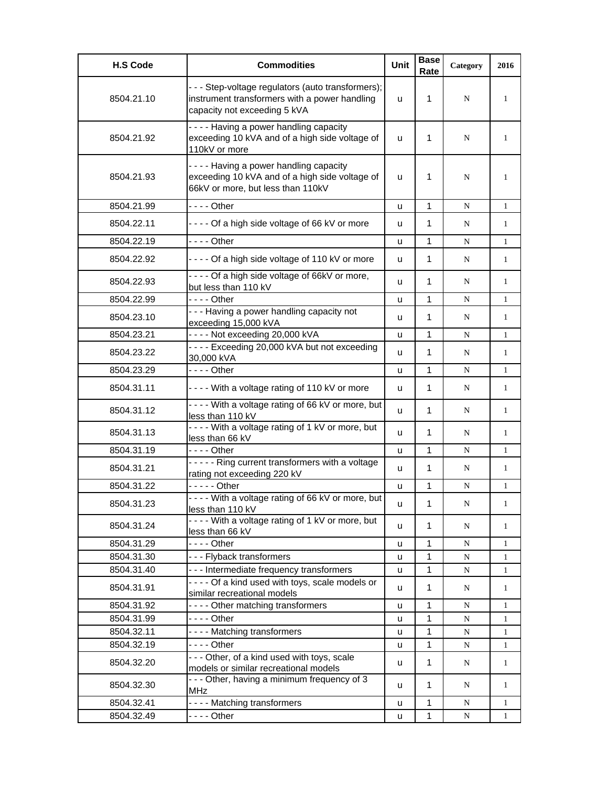| <b>H.S Code</b> | <b>Commodities</b>                                                                                                                  | <b>Unit</b> | <b>Base</b><br>Rate | Category | 2016         |
|-----------------|-------------------------------------------------------------------------------------------------------------------------------------|-------------|---------------------|----------|--------------|
| 8504.21.10      | - - - Step-voltage regulators (auto transformers);<br>instrument transformers with a power handling<br>capacity not exceeding 5 kVA | u           | 1                   | N        | 1            |
| 8504.21.92      | ---- Having a power handling capacity<br>exceeding 10 kVA and of a high side voltage of<br>110kV or more                            | u           | 1                   | N        | 1            |
| 8504.21.93      | ---- Having a power handling capacity<br>exceeding 10 kVA and of a high side voltage of<br>66kV or more, but less than 110kV        | u           | 1                   | N        | $\mathbf{1}$ |
| 8504.21.99      | $--$ Other                                                                                                                          | u           | 1                   | N        | $\mathbf{1}$ |
| 8504.22.11      | ---- Of a high side voltage of 66 kV or more                                                                                        | u           | 1                   | N        | 1            |
| 8504.22.19      | $--$ Other                                                                                                                          | u           | $\mathbf{1}$        | N        | 1            |
| 8504.22.92      | ---- Of a high side voltage of 110 kV or more                                                                                       | u           | 1                   | N        | 1            |
| 8504.22.93      | ---- Of a high side voltage of 66kV or more,<br>but less than 110 kV                                                                | u           | 1                   | N        | 1            |
| 8504.22.99      | - - - - Other                                                                                                                       | u           | 1                   | N        | 1            |
| 8504.23.10      | --- Having a power handling capacity not<br>exceeding 15,000 kVA                                                                    | u           | $\mathbf{1}$        | N        | 1            |
| 8504.23.21      | ---- Not exceeding 20,000 kVA                                                                                                       | u           | 1                   | N        | 1            |
| 8504.23.22      | ---- Exceeding 20,000 kVA but not exceeding<br>30,000 kVA                                                                           | u           | 1                   | N        | 1            |
| 8504.23.29      |                                                                                                                                     | u           | $\mathbf{1}$        | N        | 1            |
| 8504.31.11      | ---- With a voltage rating of 110 kV or more                                                                                        | u           | 1                   | N        | 1            |
| 8504.31.12      | ---- With a voltage rating of 66 kV or more, but<br>less than 110 kV                                                                | u           | $\mathbf{1}$        | N        | $\mathbf{1}$ |
| 8504.31.13      | ---- With a voltage rating of 1 kV or more, but<br>less than 66 kV                                                                  | u           | 1                   | N        | $\mathbf{1}$ |
| 8504.31.19      | $--$ Other                                                                                                                          | u           | $\mathbf{1}$        | N        | $\mathbf{1}$ |
| 8504.31.21      | ----- Ring current transformers with a voltage<br>rating not exceeding 220 kV                                                       | u           | 1                   | N        | $\mathbf{1}$ |
| 8504.31.22      | $---$ Other                                                                                                                         | u           | 1                   | N        | $\mathbf{1}$ |
| 8504.31.23      | ---- With a voltage rating of 66 kV or more, but<br>less than 110 kV                                                                | u           | 1                   | N        | 1            |
| 8504.31.24      | - - - - With a voltage rating of 1 kV or more, but<br>less than 66 kV                                                               | u           | $\mathbf{1}$        | N        | 1            |
| 8504.31.29      | $--$ Other                                                                                                                          | u           | 1                   | N        | 1            |
| 8504.31.30      | --- Flyback transformers                                                                                                            | u           | $\mathbf{1}$        | N        | 1            |
| 8504.31.40      | - - - Intermediate frequency transformers                                                                                           | u           | $\mathbf{1}$        | N        | 1            |
| 8504.31.91      | ---- Of a kind used with toys, scale models or<br>similar recreational models                                                       | u           | 1                   | N        | $\mathbf{1}$ |
| 8504.31.92      | ---- Other matching transformers                                                                                                    | u           | 1                   | N        | 1            |
| 8504.31.99      | - - - - Other                                                                                                                       | u           | 1                   | N        | $\mathbf{1}$ |
| 8504.32.11      | ---- Matching transformers                                                                                                          | u           | $\mathbf{1}$        | N        | 1            |
| 8504.32.19      | - - - - Other                                                                                                                       | u           | 1                   | N        | 1            |
| 8504.32.20      | - - - Other, of a kind used with toys, scale<br>models or similar recreational models                                               | u           | $\mathbf{1}$        | N        | 1            |
| 8504.32.30      | - - - Other, having a minimum frequency of 3<br>MHz                                                                                 | u           | 1                   | N        | 1            |
| 8504.32.41      | ---- Matching transformers                                                                                                          | u           | $\mathbf{1}$        | N        | 1            |
| 8504.32.49      |                                                                                                                                     | u           | $\mathbf{1}$        | N        | 1            |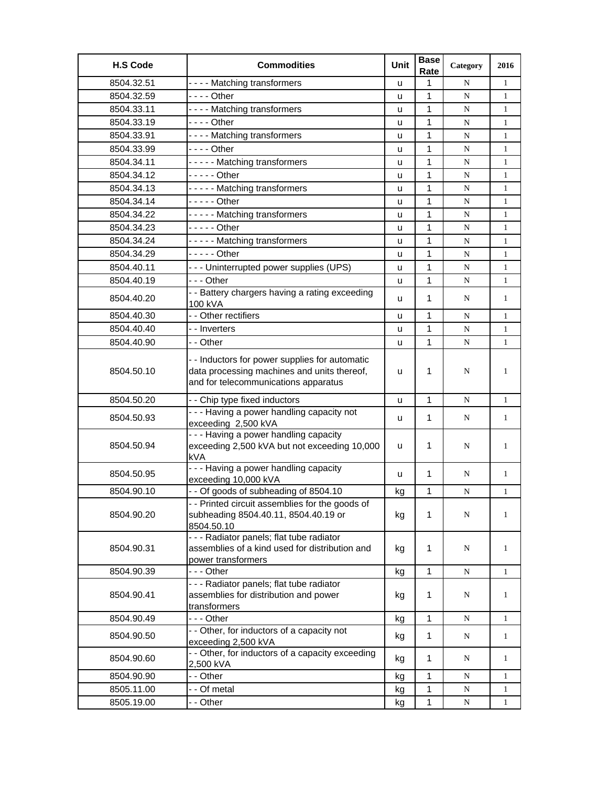| <b>H.S Code</b> | <b>Commodities</b>                                                                                                                    | Unit | <b>Base</b><br>Rate | Category  | 2016         |
|-----------------|---------------------------------------------------------------------------------------------------------------------------------------|------|---------------------|-----------|--------------|
| 8504.32.51      | ---- Matching transformers                                                                                                            | u    | 1                   | N         | $\mathbf{1}$ |
| 8504.32.59      | - - - - Other                                                                                                                         | u    | 1                   | N         | $\mathbf{1}$ |
| 8504.33.11      | ---- Matching transformers                                                                                                            | u    | 1                   | N         | 1            |
| 8504.33.19      | $--$ Other                                                                                                                            | u    | 1                   | N         | 1            |
| 8504.33.91      | ---- Matching transformers                                                                                                            | u    | 1                   | N         | $\mathbf{1}$ |
| 8504.33.99      | $--$ Other                                                                                                                            | u    | 1                   | N         | $\mathbf{1}$ |
| 8504.34.11      | ----- Matching transformers                                                                                                           | u    | 1                   | N         | $\mathbf{1}$ |
| 8504.34.12      | $---$ Other                                                                                                                           | u    | 1                   | N         | $\mathbf{1}$ |
| 8504.34.13      | ----- Matching transformers                                                                                                           | u    | 1                   | N         | $\mathbf{1}$ |
| 8504.34.14      | $---$ Other                                                                                                                           | u    | 1                   | N         | $\mathbf{1}$ |
| 8504.34.22      | ----- Matching transformers                                                                                                           | u    | 1                   | ${\bf N}$ | $\mathbf{1}$ |
| 8504.34.23      | $---$ Other                                                                                                                           | u    | 1                   | ${\bf N}$ | $\mathbf{1}$ |
| 8504.34.24      | ----- Matching transformers                                                                                                           | u    | 1                   | N         | $\mathbf{1}$ |
| 8504.34.29      | - - - - - Other                                                                                                                       | u    | 1                   | N         | $\mathbf{1}$ |
| 8504.40.11      | --- Uninterrupted power supplies (UPS)                                                                                                | u    | $\mathbf{1}$        | N         | $\mathbf{1}$ |
| 8504.40.19      | - - - Other                                                                                                                           | u    | 1                   | N         | $\mathbf{1}$ |
| 8504.40.20      | - - Battery chargers having a rating exceeding<br>100 kVA                                                                             | u    | 1                   | N         | 1            |
| 8504.40.30      | - - Other rectifiers                                                                                                                  | u    | 1                   | N         | $\mathbf{1}$ |
| 8504.40.40      | - - Inverters                                                                                                                         | u    | 1                   | ${\bf N}$ | $\mathbf{1}$ |
| 8504.40.90      | - - Other                                                                                                                             | u    | 1                   | N         | $\mathbf{1}$ |
| 8504.50.10      | - - Inductors for power supplies for automatic<br>data processing machines and units thereof,<br>and for telecommunications apparatus | u    | 1                   | N         | 1            |
| 8504.50.20      | - - Chip type fixed inductors                                                                                                         | u    | 1                   | N         | $\mathbf{1}$ |
| 8504.50.93      | --- Having a power handling capacity not<br>exceeding 2,500 kVA                                                                       | u    | 1                   | N         | 1            |
| 8504.50.94      | - - - Having a power handling capacity<br>exceeding 2,500 kVA but not exceeding 10,000<br>kVA                                         | u    | $\mathbf 1$         | N         | 1            |
| 8504.50.95      | - - - Having a power handling capacity<br>exceeding 10,000 kVA                                                                        | u    | 1                   | N         | $\mathbf{1}$ |
| 8504.90.10      | - - Of goods of subheading of 8504.10                                                                                                 | kg   | 1                   | N         | $\mathbf{1}$ |
| 8504.90.20      | - - Printed circuit assemblies for the goods of<br>subheading 8504.40.11, 8504.40.19 or<br>8504.50.10                                 | kg   | 1                   | N         | 1            |
| 8504.90.31      | - - - Radiator panels; flat tube radiator<br>assemblies of a kind used for distribution and<br>power transformers                     | kg   | 1                   | N         | 1            |
| 8504.90.39      | - - - Other                                                                                                                           | kg   | $\mathbf{1}$        | ${\bf N}$ | $\mathbf{1}$ |
| 8504.90.41      | - - - Radiator panels; flat tube radiator<br>assemblies for distribution and power<br>transformers                                    | kg   | $\mathbf{1}$        | N         | $\mathbf{1}$ |
| 8504.90.49      | --- Other                                                                                                                             | kg   | 1                   | ${\bf N}$ | $\mathbf{1}$ |
| 8504.90.50      | - - Other, for inductors of a capacity not<br>exceeding 2,500 kVA                                                                     | kg   | $\mathbf{1}$        | N         | $\mathbf{1}$ |
| 8504.90.60      | - - Other, for inductors of a capacity exceeding<br>2,500 kVA                                                                         | kg   | 1                   | N         | $\mathbf{1}$ |
| 8504.90.90      | - - Other                                                                                                                             | kg   | 1                   | N         | 1            |
| 8505.11.00      | - - Of metal                                                                                                                          | kg   | 1                   | N         | $\mathbf{1}$ |
| 8505.19.00      | - - Other                                                                                                                             | kg   | 1                   | N         | $\mathbf{1}$ |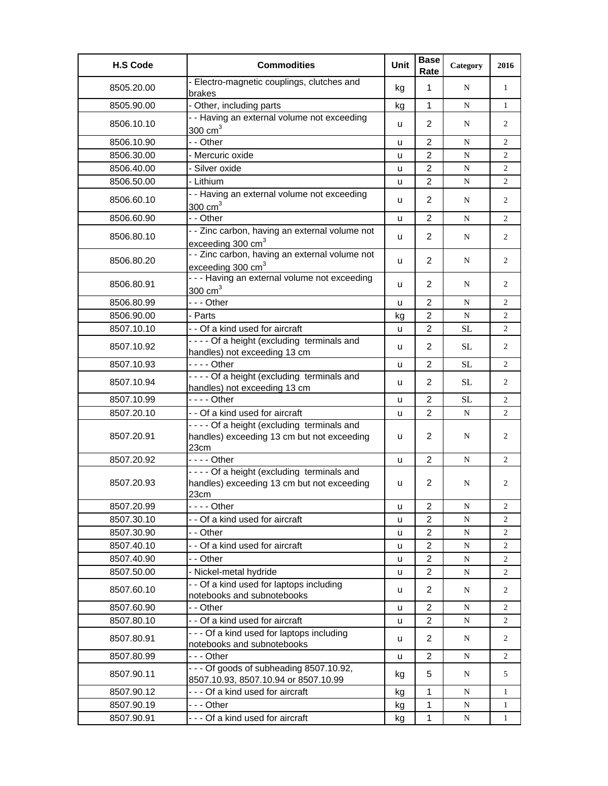| <b>H.S Code</b> | <b>Commodities</b>                                                                              | Unit         | <b>Base</b><br>Rate | Category  | 2016           |
|-----------------|-------------------------------------------------------------------------------------------------|--------------|---------------------|-----------|----------------|
| 8505.20.00      | - Electro-magnetic couplings, clutches and<br>brakes                                            | kg           | 1                   | N         | $\mathbf{1}$   |
| 8505.90.00      | - Other, including parts                                                                        | kg           | $\mathbf{1}$        | N         | 1              |
| 8506.10.10      | - - Having an external volume not exceeding<br>$300 \text{ cm}^3$                               | u            | $\overline{2}$      | N         | $\overline{2}$ |
| 8506.10.90      | - - Other                                                                                       | u            | $\overline{2}$      | N         | $\overline{2}$ |
| 8506.30.00      | - Mercuric oxide                                                                                | u            | $\overline{2}$      | N         | 2              |
| 8506.40.00      | - Silver oxide                                                                                  | u            | $\overline{2}$      | N         | 2              |
| 8506.50.00      | - Lithium                                                                                       | u            | $\overline{2}$      | N         | $\overline{2}$ |
| 8506.60.10      | - - Having an external volume not exceeding<br>$300 \text{ cm}^3$                               | u            | $\overline{2}$      | N         | $\overline{2}$ |
| 8506.60.90      | - - Other                                                                                       | u            | $\overline{2}$      | N         | $\overline{2}$ |
| 8506.80.10      | - - Zinc carbon, having an external volume not<br>exceeding 300 cm <sup>3</sup>                 | u            | $\overline{2}$      | N         | $\overline{2}$ |
| 8506.80.20      | - - Zinc carbon, having an external volume not<br>exceeding 300 cm <sup>3</sup>                 | u            | $\overline{2}$      | N         | $\overline{2}$ |
| 8506.80.91      | - - - Having an external volume not exceeding<br>$300 \text{ cm}^3$                             | u            | $\overline{2}$      | N         | 2              |
| 8506.80.99      | --- Other                                                                                       | $\mathbf{u}$ | $\overline{2}$      | N         | 2              |
| 8506.90.00      | - Parts                                                                                         | kg           | $\overline{2}$      | N         | $\overline{2}$ |
| 8507.10.10      | - - Of a kind used for aircraft                                                                 | u            | $\overline{2}$      | <b>SL</b> | 2              |
| 8507.10.92      | ---- Of a height (excluding terminals and<br>handles) not exceeding 13 cm                       | u            | $\overline{2}$      | SL        | 2              |
| 8507.10.93      |                                                                                                 | u            | $\overline{2}$      | <b>SL</b> | 2              |
| 8507.10.94      | ---- Of a height (excluding terminals and<br>handles) not exceeding 13 cm                       | u            | $\overline{2}$      | SL.       | 2              |
| 8507.10.99      | - - - - Other                                                                                   | u            | $\overline{2}$      | <b>SL</b> | 2              |
| 8507.20.10      | - - Of a kind used for aircraft                                                                 | u            | $\overline{2}$      | N         | 2              |
| 8507.20.91      | ---- Of a height (excluding terminals and<br>handles) exceeding 13 cm but not exceeding<br>23cm | u            | 2                   | N         | 2              |
| 8507.20.92      | - - - - Other                                                                                   | u            | $\overline{2}$      | N         | 2              |
| 8507.20.93      | ---- Of a height (excluding terminals and<br>handles) exceeding 13 cm but not exceeding<br>23cm | u            | 2                   | N         | 2              |
| 8507.20.99      | - - - - Other                                                                                   | u            | $\overline{2}$      | N         | 2              |
| 8507.30.10      | - - Of a kind used for aircraft                                                                 | u            | $\overline{c}$      | N         | 2              |
| 8507.30.90      | - - Other                                                                                       | u            | $\overline{c}$      | ${\bf N}$ | 2              |
| 8507.40.10      | - - Of a kind used for aircraft                                                                 | u            | $\overline{c}$      | ${\bf N}$ | 2              |
| 8507.40.90      | - - Other                                                                                       | u            | $\overline{2}$      | N         | 2              |
| 8507.50.00      | - Nickel-metal hydride                                                                          | u            | $\overline{c}$      | ${\bf N}$ | $\overline{2}$ |
| 8507.60.10      | - - Of a kind used for laptops including<br>notebooks and subnotebooks                          | u            | $\overline{2}$      | N         | 2              |
| 8507.60.90      | - - Other                                                                                       | u            | $\overline{2}$      | N         | 2              |
| 8507.80.10      | - - Of a kind used for aircraft                                                                 | u            | $\overline{c}$      | ${\bf N}$ | 2              |
| 8507.80.91      | --- Of a kind used for laptops including<br>notebooks and subnotebooks                          | u            | $\overline{2}$      | N         | 2              |
| 8507.80.99      | - - - Other                                                                                     | u            | $\overline{c}$      | N         | 2              |
| 8507.90.11      | --- Of goods of subheading 8507.10.92,<br>8507.10.93, 8507.10.94 or 8507.10.99                  | kg           | 5                   | N         | 5              |
| 8507.90.12      | --- Of a kind used for aircraft                                                                 | kg           | 1                   | N         | 1              |
| 8507.90.19      | -  - - Other                                                                                    | kg           | 1                   | ${\bf N}$ | 1              |
| 8507.90.91      | --- Of a kind used for aircraft                                                                 | kg           | 1                   | ${\bf N}$ | $\mathbf{1}$   |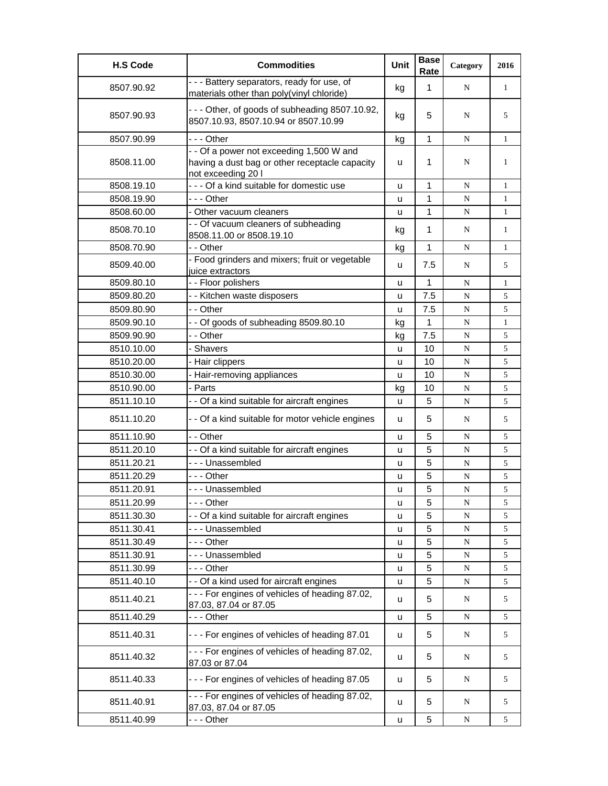| <b>H.S Code</b> | <b>Commodities</b>                                                                                               | Unit | <b>Base</b><br>Rate | Category  | 2016         |
|-----------------|------------------------------------------------------------------------------------------------------------------|------|---------------------|-----------|--------------|
| 8507.90.92      | - - - Battery separators, ready for use, of<br>materials other than poly(vinyl chloride)                         | kg   | $\mathbf{1}$        | N         | 1            |
| 8507.90.93      | --- Other, of goods of subheading 8507.10.92,<br>8507.10.93, 8507.10.94 or 8507.10.99                            | kg   | 5                   | N         | 5            |
| 8507.90.99      | - - - Other                                                                                                      | kg   | 1                   | N         | $\mathbf{1}$ |
| 8508.11.00      | - - Of a power not exceeding 1,500 W and<br>having a dust bag or other receptacle capacity<br>not exceeding 20 l | u    | 1                   | N         | 1            |
| 8508.19.10      | - - - Of a kind suitable for domestic use                                                                        | u    | 1                   | N         | 1            |
| 8508.19.90      | -  - - Other                                                                                                     | u    | 1                   | N         | $\mathbf{1}$ |
| 8508.60.00      | - Other vacuum cleaners                                                                                          | u    | 1                   | N         | $\mathbf{1}$ |
| 8508.70.10      | - - Of vacuum cleaners of subheading<br>8508.11.00 or 8508.19.10                                                 | kg   | $\mathbf 1$         | N         | $\mathbf{1}$ |
| 8508.70.90      | - - Other                                                                                                        | kg   | $\mathbf{1}$        | N         | $\mathbf{1}$ |
| 8509.40.00      | - Food grinders and mixers; fruit or vegetable<br>juice extractors                                               | u    | 7.5                 | N         | 5            |
| 8509.80.10      | - - Floor polishers                                                                                              | u    | 1                   | N         | $\mathbf{1}$ |
| 8509.80.20      | - - Kitchen waste disposers                                                                                      | u    | 7.5                 | N         | 5            |
| 8509.80.90      | - - Other                                                                                                        | u    | 7.5                 | ${\bf N}$ | 5            |
| 8509.90.10      | - - Of goods of subheading 8509.80.10                                                                            | kg   | 1                   | ${\bf N}$ | $\mathbf{1}$ |
| 8509.90.90      | - - Other                                                                                                        | kg   | 7.5                 | N         | 5            |
| 8510.10.00      | - Shavers                                                                                                        | u    | 10                  | N         | 5            |
| 8510.20.00      | - Hair clippers                                                                                                  | u    | 10                  | ${\bf N}$ | 5            |
| 8510.30.00      | - Hair-removing appliances                                                                                       | u    | 10                  | N         | 5            |
| 8510.90.00      | - Parts                                                                                                          | kg   | 10                  | ${\bf N}$ | 5            |
| 8511.10.10      | - - Of a kind suitable for aircraft engines                                                                      | u    | 5                   | N         | 5            |
| 8511.10.20      | - - Of a kind suitable for motor vehicle engines                                                                 | u    | 5                   | N         | 5            |
| 8511.10.90      | - - Other                                                                                                        | u    | 5                   | N         | 5            |
| 8511.20.10      | - - Of a kind suitable for aircraft engines                                                                      | u    | 5                   | N         | 5            |
| 8511.20.21      | --- Unassembled                                                                                                  | u    | 5                   | N         | 5            |
| 8511.20.29      | --- Other                                                                                                        | u    | 5                   | N         | 5            |
| 8511.20.91      | --- Unassembled                                                                                                  | u    | 5                   | ${\bf N}$ | 5            |
| 8511.20.99      | - - - Other                                                                                                      | u    | 5                   | ${\bf N}$ | 5            |
| 8511.30.30      | - - Of a kind suitable for aircraft engines                                                                      | u    | 5                   | N         | 5            |
| 8511.30.41      | --- Unassembled                                                                                                  | u    | 5                   | ${\bf N}$ | 5            |
| 8511.30.49      | - - - Other                                                                                                      | u    | 5                   | ${\bf N}$ | 5            |
| 8511.30.91      | --- Unassembled                                                                                                  | u    | 5                   | N         | 5            |
| 8511.30.99      | - - - Other                                                                                                      | u    | 5                   | N         | 5            |
| 8511.40.10      | - - Of a kind used for aircraft engines                                                                          | u    | 5                   | N         | 5            |
| 8511.40.21      | - - - For engines of vehicles of heading 87.02,<br>87.03, 87.04 or 87.05                                         | u    | 5                   | N         | 5            |
| 8511.40.29      | --- Other                                                                                                        | u    | 5                   | ${\bf N}$ | 5            |
| 8511.40.31      | --- For engines of vehicles of heading 87.01                                                                     | u    | 5                   | N         | 5            |
| 8511.40.32      | - - - For engines of vehicles of heading 87.02,<br>87.03 or 87.04                                                | u    | 5                   | N         | 5            |
| 8511.40.33      | --- For engines of vehicles of heading 87.05                                                                     | u    | 5                   | N         | 5            |
| 8511.40.91      | - - - For engines of vehicles of heading 87.02,<br>87.03, 87.04 or 87.05                                         | u    | 5                   | N         | 5            |
| 8511.40.99      | - - - Other                                                                                                      | u    | 5                   | N         | 5            |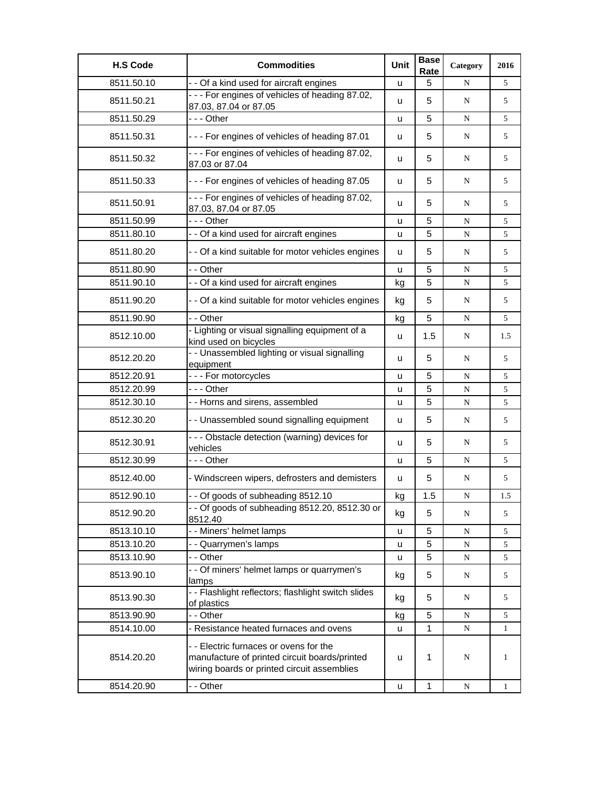| <b>H.S Code</b> | <b>Commodities</b>                                                                                                                     | Unit | <b>Base</b><br>Rate | Category    | 2016         |
|-----------------|----------------------------------------------------------------------------------------------------------------------------------------|------|---------------------|-------------|--------------|
| 8511.50.10      | - - Of a kind used for aircraft engines                                                                                                | u    | 5                   | N           | 5            |
| 8511.50.21      | - - - For engines of vehicles of heading 87.02,<br>87.03, 87.04 or 87.05                                                               | u    | 5                   | N           | 5            |
| 8511.50.29      | --- Other                                                                                                                              | u    | 5                   | N           | 5            |
| 8511.50.31      | --- For engines of vehicles of heading 87.01                                                                                           | u    | 5                   | N           | 5            |
| 8511.50.32      | - - - For engines of vehicles of heading 87.02,<br>87.03 or 87.04                                                                      | u    | 5                   | N           | 5            |
| 8511.50.33      | --- For engines of vehicles of heading 87.05                                                                                           | u    | 5                   | N           | 5            |
| 8511.50.91      | --- For engines of vehicles of heading 87.02,<br>87.03, 87.04 or 87.05                                                                 | u    | 5                   | N           | 5            |
| 8511.50.99      | --- Other                                                                                                                              | u    | 5                   | N           | 5            |
| 8511.80.10      | - - Of a kind used for aircraft engines                                                                                                | u    | 5                   | ${\bf N}$   | 5            |
| 8511.80.20      | - - Of a kind suitable for motor vehicles engines                                                                                      | u    | 5                   | N           | 5            |
| 8511.80.90      | - - Other                                                                                                                              | u    | 5                   | N           | 5            |
| 8511.90.10      | - - Of a kind used for aircraft engines                                                                                                | kg   | 5                   | N           | 5            |
| 8511.90.20      | - - Of a kind suitable for motor vehicles engines                                                                                      | kg   | 5                   | N           | 5            |
| 8511.90.90      | - - Other                                                                                                                              | kg   | 5                   | N           | 5            |
| 8512.10.00      | - Lighting or visual signalling equipment of a<br>kind used on bicycles                                                                | u    | 1.5                 | N           | 1.5          |
| 8512.20.20      | - - Unassembled lighting or visual signalling<br>equipment                                                                             | u    | 5                   | N           | 5            |
| 8512.20.91      | --- For motorcycles                                                                                                                    | u    | 5                   | ${\bf N}$   | 5            |
| 8512.20.99      | -  - - Other                                                                                                                           | u    | 5                   | ${\bf N}$   | 5            |
| 8512.30.10      | - - Horns and sirens, assembled                                                                                                        | u    | 5                   | N           | 5            |
| 8512.30.20      | - - Unassembled sound signalling equipment                                                                                             | u    | 5                   | N           | 5            |
| 8512.30.91      | --- Obstacle detection (warning) devices for<br>vehicles                                                                               | u    | 5                   | N           | 5            |
| 8512.30.99      | - - - Other                                                                                                                            | u    | 5                   | ${\bf N}$   | 5            |
| 8512.40.00      | - Windscreen wipers, defrosters and demisters                                                                                          | u    | 5                   | N           | 5            |
| 8512.90.10      | - - Of goods of subheading 8512.10                                                                                                     | kg   | 1.5                 | N           | 1.5          |
| 8512.90.20      | - - Of goods of subheading 8512.20, 8512.30 or<br>8512.40                                                                              | kg   | 5                   | N           | 5            |
| 8513.10.10      | - - Miners' helmet lamps                                                                                                               | u    | 5                   | $\mathbf N$ | 5            |
| 8513.10.20      | - - Quarrymen's lamps                                                                                                                  | u    | 5                   | ${\bf N}$   | 5            |
| 8513.10.90      | - - Other                                                                                                                              | u    | 5                   | N           | 5            |
| 8513.90.10      | - - Of miners' helmet lamps or quarrymen's<br>lamps                                                                                    | kg   | 5                   | N           | 5            |
| 8513.90.30      | - - Flashlight reflectors; flashlight switch slides<br>of plastics                                                                     | kg   | 5                   | N           | 5            |
| 8513.90.90      | - - Other                                                                                                                              | kg   | 5                   | N           | 5            |
| 8514.10.00      | Resistance heated furnaces and ovens                                                                                                   | u    | 1                   | ${\bf N}$   | $\mathbf{1}$ |
| 8514.20.20      | - - Electric furnaces or ovens for the<br>manufacture of printed circuit boards/printed<br>wiring boards or printed circuit assemblies | u    | 1                   | N           | 1            |
| 8514.20.90      | - - Other                                                                                                                              | u    | 1                   | $\mathbf N$ | $\mathbf{1}$ |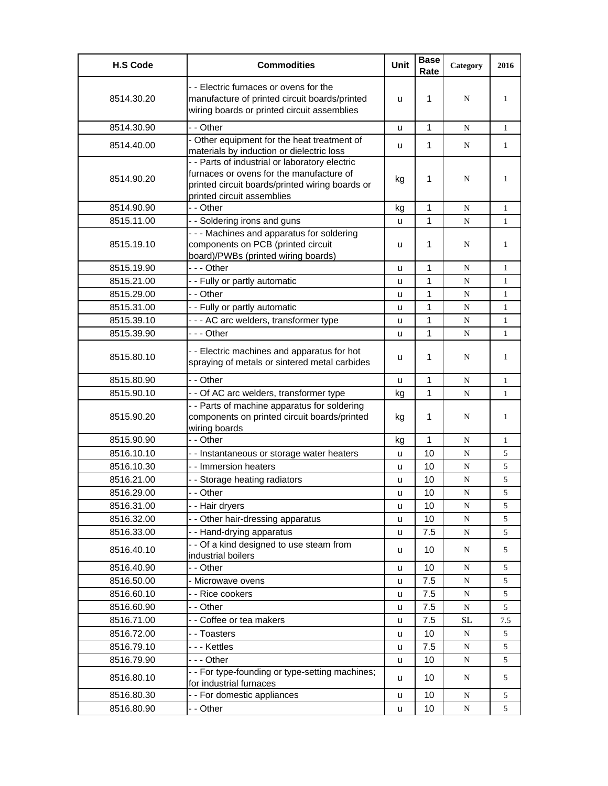| <b>H.S Code</b> | <b>Commodities</b>                                                                                                                                                          | <b>Unit</b> | <b>Base</b><br>Rate | Category    | 2016         |
|-----------------|-----------------------------------------------------------------------------------------------------------------------------------------------------------------------------|-------------|---------------------|-------------|--------------|
| 8514.30.20      | - - Electric furnaces or ovens for the<br>manufacture of printed circuit boards/printed<br>wiring boards or printed circuit assemblies                                      | u           | 1                   | N           | 1            |
| 8514.30.90      | - - Other                                                                                                                                                                   | u           | 1                   | N           | $\mathbf{1}$ |
| 8514.40.00      | - Other equipment for the heat treatment of<br>materials by induction or dielectric loss                                                                                    | u           | 1                   | N           | 1            |
| 8514.90.20      | - - Parts of industrial or laboratory electric<br>furnaces or ovens for the manufacture of<br>printed circuit boards/printed wiring boards or<br>printed circuit assemblies | kg          | 1                   | N           | 1            |
| 8514.90.90      | - - Other                                                                                                                                                                   | kg          | 1                   | N           | 1            |
| 8515.11.00      | - - Soldering irons and guns                                                                                                                                                | u           | 1                   | N           | 1            |
| 8515.19.10      | - - - Machines and apparatus for soldering<br>components on PCB (printed circuit<br>board)/PWBs (printed wiring boards)                                                     | u           | 1                   | N           | 1            |
| 8515.19.90      | --- Other                                                                                                                                                                   | u           | 1                   | N           | 1            |
| 8515.21.00      | - - Fully or partly automatic                                                                                                                                               | u           | 1                   | N           | 1            |
| 8515.29.00      | - - Other                                                                                                                                                                   | u           | 1                   | N           | 1            |
| 8515.31.00      | - - Fully or partly automatic                                                                                                                                               | u           | 1                   | N           | 1            |
| 8515.39.10      | - - - AC arc welders, transformer type                                                                                                                                      | u           | 1                   | $\mathbf N$ | $\mathbf{1}$ |
| 8515.39.90      | --- Other                                                                                                                                                                   | u           | 1                   | $\mathbf N$ | $\mathbf{1}$ |
| 8515.80.10      | - - Electric machines and apparatus for hot<br>spraying of metals or sintered metal carbides                                                                                | u           | 1                   | N           | 1            |
| 8515.80.90      | - - Other                                                                                                                                                                   | u           | $\mathbf{1}$        | N           | 1            |
| 8515.90.10      | - - Of AC arc welders, transformer type                                                                                                                                     | kg          | 1                   | $\mathbf N$ | 1            |
| 8515.90.20      | - - Parts of machine apparatus for soldering<br>components on printed circuit boards/printed<br>wiring boards                                                               | kg          | 1                   | N           | 1            |
| 8515.90.90      | - - Other                                                                                                                                                                   | kg          | $\mathbf{1}$        | N           | 1            |
| 8516.10.10      | - - Instantaneous or storage water heaters                                                                                                                                  | u           | 10                  | N           | 5            |
| 8516.10.30      | - - Immersion heaters                                                                                                                                                       | u           | 10                  | N           | 5            |
| 8516.21.00      | - - Storage heating radiators                                                                                                                                               | u           | 10                  | N           | 5            |
| 8516.29.00      | - - Other                                                                                                                                                                   | u           | 10                  | N           | 5            |
| 8516.31.00      | - - Hair dryers                                                                                                                                                             | u           | 10                  | N           | 5            |
| 8516.32.00      | - - Other hair-dressing apparatus                                                                                                                                           | u           | 10                  | ${\bf N}$   | 5            |
| 8516.33.00      | - - Hand-drying apparatus                                                                                                                                                   | u           | 7.5                 | ${\bf N}$   | 5            |
| 8516.40.10      | - - Of a kind designed to use steam from<br>industrial boilers                                                                                                              | u           | 10                  | N           | 5            |
| 8516.40.90      | - - Other                                                                                                                                                                   | u           | 10                  | N           | 5            |
| 8516.50.00      | - Microwave ovens                                                                                                                                                           | u           | 7.5                 | N           | 5            |
| 8516.60.10      | - - Rice cookers                                                                                                                                                            | u           | 7.5                 | ${\bf N}$   | 5            |
| 8516.60.90      | - - Other                                                                                                                                                                   | u           | 7.5                 | ${\bf N}$   | 5            |
| 8516.71.00      | - - Coffee or tea makers                                                                                                                                                    | u           | 7.5                 | $\rm SL$    | 7.5          |
| 8516.72.00      | - - Toasters                                                                                                                                                                | u           | 10                  | ${\bf N}$   | 5            |
| 8516.79.10      | --- Kettles                                                                                                                                                                 | u           | 7.5                 | $\mathbf N$ | 5            |
| 8516.79.90      | --- Other                                                                                                                                                                   | u           | 10                  | N           | 5            |
| 8516.80.10      | - - For type-founding or type-setting machines;<br>for industrial furnaces                                                                                                  | u           | 10                  | N           | 5            |
| 8516.80.30      | - - For domestic appliances                                                                                                                                                 | u           | 10                  | N           | 5            |
| 8516.80.90      | - - Other                                                                                                                                                                   | u           | 10                  | ${\bf N}$   | 5            |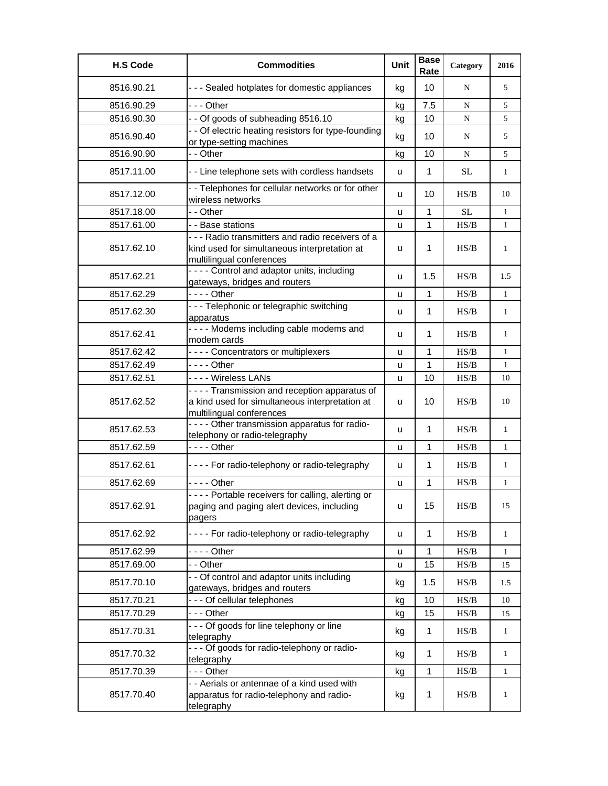| <b>H.S Code</b> | <b>Commodities</b>                                                                                                            | Unit | <b>Base</b><br>Rate | Category  | 2016         |
|-----------------|-------------------------------------------------------------------------------------------------------------------------------|------|---------------------|-----------|--------------|
| 8516.90.21      | - - - Sealed hotplates for domestic appliances                                                                                | kg   | 10 <sup>1</sup>     | N         | 5            |
| 8516.90.29      | $- -$ Other                                                                                                                   | kg   | 7.5                 | N         | 5            |
| 8516.90.30      | - - Of goods of subheading 8516.10                                                                                            | kg   | 10                  | N         | 5            |
| 8516.90.40      | - - Of electric heating resistors for type-founding<br>or type-setting machines                                               | kg   | 10                  | N         | 5            |
| 8516.90.90      | - - Other                                                                                                                     | kg   | 10                  | N         | 5            |
| 8517.11.00      | - - Line telephone sets with cordless handsets                                                                                | u    | $\mathbf{1}$        | SL        | $\mathbf{1}$ |
| 8517.12.00      | - - Telephones for cellular networks or for other<br>wireless networks                                                        | u    | 10                  | HS/B      | 10           |
| 8517.18.00      | - - Other                                                                                                                     | u    | 1                   | <b>SL</b> | $\mathbf{1}$ |
| 8517.61.00      | - - Base stations                                                                                                             | u    | 1                   | HS/B      | $\mathbf{1}$ |
| 8517.62.10      | - - - Radio transmitters and radio receivers of a<br>kind used for simultaneous interpretation at<br>multilingual conferences | u    | 1                   | HS/B      | $\mathbf{1}$ |
| 8517.62.21      | - - - - Control and adaptor units, including<br>gateways, bridges and routers                                                 | u    | 1.5                 | HS/B      | 1.5          |
| 8517.62.29      | $--$ Other                                                                                                                    | u    | 1                   | HS/B      | 1            |
| 8517.62.30      | - - - Telephonic or telegraphic switching<br>apparatus                                                                        | u    | 1                   | HS/B      | $\mathbf{1}$ |
| 8517.62.41      | - - - - Modems including cable modems and<br>modem cards                                                                      | u    | 1                   | HS/B      | 1            |
| 8517.62.42      | - - - - Concentrators or multiplexers                                                                                         | u    | 1                   | HS/B      | 1            |
| 8517.62.49      | - - - - Other                                                                                                                 | u    | 1                   | HS/B      | $\mathbf{1}$ |
| 8517.62.51      | - - - - Wireless LANs                                                                                                         | u    | 10                  | HS/B      | 10           |
| 8517.62.52      | - - - - Transmission and reception apparatus of<br>a kind used for simultaneous interpretation at<br>multilingual conferences | u    | 10                  | HS/B      | 10           |
| 8517.62.53      | - - - - Other transmission apparatus for radio-<br>telephony or radio-telegraphy                                              | u    | 1                   | HS/B      | 1            |
| 8517.62.59      | - - - - Other                                                                                                                 | u    | 1                   | HS/B      | 1            |
| 8517.62.61      | - - - - For radio-telephony or radio-telegraphy                                                                               | u    | $\mathbf{1}$        | HS/B      | 1            |
| 8517.62.69      |                                                                                                                               | u    | 1                   | HS/B      | $\mathbf{1}$ |
| 8517.62.91      | - - - - Portable receivers for calling, alerting or<br>paging and paging alert devices, including<br>pagers                   | u    | 15                  | HS/B      | 15           |
| 8517.62.92      | - - - - For radio-telephony or radio-telegraphy                                                                               | u    | $\mathbf{1}$        | HS/B      | $\mathbf{1}$ |
| 8517.62.99      |                                                                                                                               | u    | 1                   | HS/B      | 1            |
| 8517.69.00      | - - Other                                                                                                                     | u    | 15                  | HS/B      | 15           |
| 8517.70.10      | - - Of control and adaptor units including<br>gateways, bridges and routers                                                   | kg   | 1.5                 | HS/B      | 1.5          |
| 8517.70.21      | - - - Of cellular telephones                                                                                                  | kg   | 10                  | HS/B      | 10           |
| 8517.70.29      | --- Other                                                                                                                     | kg   | 15                  | HS/B      | 15           |
| 8517.70.31      | --- Of goods for line telephony or line<br>telegraphy                                                                         | kg   | 1                   | HS/B      | $\mathbf{1}$ |
| 8517.70.32      | - - - Of goods for radio-telephony or radio-<br>telegraphy                                                                    | kg   | $\mathbf{1}$        | HS/B      | $\mathbf{1}$ |
| 8517.70.39      | --- Other                                                                                                                     | kg   | $\mathbf{1}$        | HS/B      | $\mathbf{1}$ |
| 8517.70.40      | - - Aerials or antennae of a kind used with<br>apparatus for radio-telephony and radio-<br>telegraphy                         | kg   | $\mathbf 1$         | HS/B      | $\mathbf{1}$ |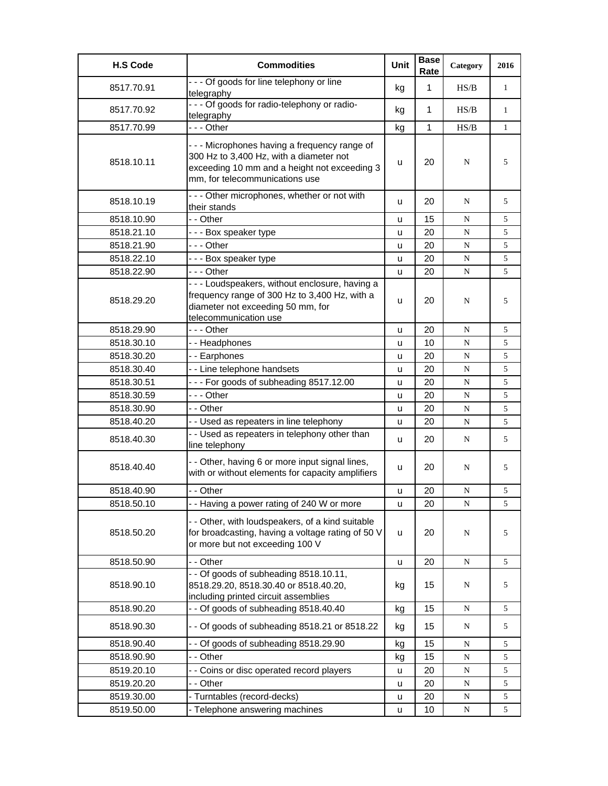| <b>H.S Code</b> | <b>Commodities</b>                                                                                                                                                       | <b>Unit</b> | <b>Base</b><br>Rate | Category    | 2016         |
|-----------------|--------------------------------------------------------------------------------------------------------------------------------------------------------------------------|-------------|---------------------|-------------|--------------|
| 8517.70.91      | - - - Of goods for line telephony or line<br>telegraphy                                                                                                                  | kg          | $\mathbf{1}$        | HS/B        | $\mathbf{1}$ |
| 8517.70.92      | - - - Of goods for radio-telephony or radio-<br>telegraphy                                                                                                               | kg          | 1                   | HS/B        | $\mathbf{1}$ |
| 8517.70.99      | --- Other                                                                                                                                                                | kg          | 1                   | HS/B        | $\mathbf{1}$ |
| 8518.10.11      | --- Microphones having a frequency range of<br>300 Hz to 3,400 Hz, with a diameter not<br>exceeding 10 mm and a height not exceeding 3<br>mm, for telecommunications use | u           | 20                  | N           | 5            |
| 8518.10.19      | --- Other microphones, whether or not with<br>their stands                                                                                                               | u           | 20                  | N           | 5            |
| 8518.10.90      | - - Other                                                                                                                                                                | u           | 15                  | N           | 5            |
| 8518.21.10      | --- Box speaker type                                                                                                                                                     | u           | 20                  | ${\bf N}$   | 5            |
| 8518.21.90      | - - - Other                                                                                                                                                              | u           | 20                  | ${\bf N}$   | 5            |
| 8518.22.10      | --- Box speaker type                                                                                                                                                     | u           | 20                  | N           | 5            |
| 8518.22.90      | $- -$ Other                                                                                                                                                              | u           | 20                  | N           | 5            |
| 8518.29.20      | - - - Loudspeakers, without enclosure, having a<br>frequency range of 300 Hz to 3,400 Hz, with a<br>diameter not exceeding 50 mm, for<br>telecommunication use           | u           | 20                  | N           | 5            |
| 8518.29.90      | $- -$ - Other                                                                                                                                                            | u           | 20                  | N           | 5            |
| 8518.30.10      | -- Headphones                                                                                                                                                            | u           | 10                  | N           | 5            |
| 8518.30.20      | - - Earphones                                                                                                                                                            | u           | 20                  | N           | 5            |
| 8518.30.40      | - - Line telephone handsets                                                                                                                                              | u           | 20                  | N           | 5            |
| 8518.30.51      | --- For goods of subheading 8517.12.00                                                                                                                                   | u           | 20                  | N           | 5            |
| 8518.30.59      | --- Other                                                                                                                                                                | u           | 20                  | N           | 5            |
| 8518.30.90      | - - Other                                                                                                                                                                | u           | 20                  | N           | 5            |
| 8518.40.20      | - - Used as repeaters in line telephony                                                                                                                                  | u           | 20                  | ${\bf N}$   | 5            |
| 8518.40.30      | - - Used as repeaters in telephony other than<br>line telephony                                                                                                          | u           | 20                  | N           | 5            |
| 8518.40.40      | - - Other, having 6 or more input signal lines,<br>with or without elements for capacity amplifiers                                                                      | u           | 20                  | N           | 5            |
| 8518.40.90      | - - Other                                                                                                                                                                | u           | 20                  | N           | 5            |
| 8518.50.10      | - - Having a power rating of 240 W or more                                                                                                                               | u           | 20                  | N           | 5            |
| 8518.50.20      | - - Other, with loudspeakers, of a kind suitable<br>for broadcasting, having a voltage rating of 50 V<br>or more but not exceeding 100 V                                 | u           | 20                  | N           | 5            |
| 8518.50.90      | - - Other                                                                                                                                                                | u           | 20                  | N           | 5            |
| 8518.90.10      | - - Of goods of subheading 8518.10.11,<br>8518.29.20, 8518.30.40 or 8518.40.20,<br>including printed circuit assemblies                                                  | kg          | 15                  | N           | 5            |
| 8518.90.20      | - - Of goods of subheading 8518.40.40                                                                                                                                    | kg          | 15                  | ${\bf N}$   | 5            |
| 8518.90.30      | - - Of goods of subheading 8518.21 or 8518.22                                                                                                                            | kg          | 15                  | N           | 5            |
| 8518.90.40      | - - Of goods of subheading 8518.29.90                                                                                                                                    | kg          | 15                  | N           | 5            |
| 8518.90.90      | - - Other                                                                                                                                                                | kg          | 15                  | N           | 5            |
| 8519.20.10      | - - Coins or disc operated record players                                                                                                                                | u           | 20                  | ${\bf N}$   | 5            |
| 8519.20.20      | - - Other                                                                                                                                                                | u           | 20                  | ${\bf N}$   | 5            |
| 8519.30.00      | - Turntables (record-decks)                                                                                                                                              | u           | 20                  | $\mathbf N$ | 5            |
| 8519.50.00      | - Telephone answering machines                                                                                                                                           | u           | 10                  | $\mathbf N$ | 5            |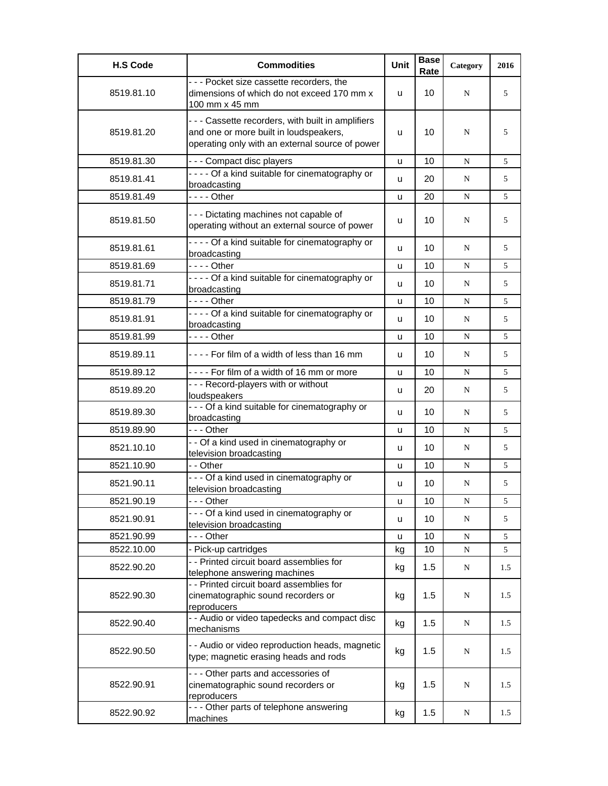| <b>H.S Code</b> | <b>Commodities</b>                                                                                                                            | <b>Unit</b> | <b>Base</b><br>Rate | Category  | 2016 |
|-----------------|-----------------------------------------------------------------------------------------------------------------------------------------------|-------------|---------------------|-----------|------|
| 8519.81.10      | - - - Pocket size cassette recorders, the<br>dimensions of which do not exceed 170 mm x<br>100 mm x 45 mm                                     | u           | 10                  | N         | 5    |
| 8519.81.20      | --- Cassette recorders, with built in amplifiers<br>and one or more built in loudspeakers,<br>operating only with an external source of power | u           | 10                  | N         | 5    |
| 8519.81.30      | --- Compact disc players                                                                                                                      | u           | 10                  | N         | 5    |
| 8519.81.41      | - - - - Of a kind suitable for cinematography or<br>broadcasting                                                                              | u           | 20                  | N         | 5    |
| 8519.81.49      | - - - - Other                                                                                                                                 | u           | 20                  | N         | 5    |
| 8519.81.50      | --- Dictating machines not capable of<br>operating without an external source of power                                                        | u           | 10                  | N         | 5    |
| 8519.81.61      | - - - - Of a kind suitable for cinematography or<br>broadcasting                                                                              | u           | 10                  | N         | 5    |
| 8519.81.69      | $--$ Other                                                                                                                                    | u           | 10                  | N         | 5    |
| 8519.81.71      | - - - - Of a kind suitable for cinematography or<br>broadcasting                                                                              | u           | 10                  | N         | 5    |
| 8519.81.79      | $--$ Other                                                                                                                                    | u           | 10                  | N         | 5    |
| 8519.81.91      | - - - - Of a kind suitable for cinematography or<br>broadcasting                                                                              | u           | 10                  | N         | 5    |
| 8519.81.99      | $--$ Other                                                                                                                                    | u           | 10                  | N         | 5    |
| 8519.89.11      | $- - -$ For film of a width of less than 16 mm                                                                                                | u           | 10                  | N         | 5    |
| 8519.89.12      | ---- For film of a width of 16 mm or more                                                                                                     | u           | 10                  | N         | 5    |
| 8519.89.20      | - - - Record-players with or without<br>loudspeakers                                                                                          | u           | 20                  | N         | 5    |
| 8519.89.30      | - - - Of a kind suitable for cinematography or<br>broadcasting                                                                                | u           | 10                  | N         | 5    |
| 8519.89.90      | $--$ Other                                                                                                                                    | u           | 10                  | N         | 5    |
| 8521.10.10      | - - Of a kind used in cinematography or<br>television broadcasting                                                                            | u           | 10                  | N         | 5    |
| 8521.10.90      | - - Other                                                                                                                                     | u           | 10                  | N         | 5    |
| 8521.90.11      | - - - Of a kind used in cinematography or<br>television broadcasting                                                                          | u           | 10                  | N         | 5    |
| 8521.90.19      | -  - - Other                                                                                                                                  | u           | 10                  | N         | 5    |
| 8521.90.91      | --- Of a kind used in cinematography or<br>television broadcasting                                                                            | u           | 10                  | N         | 5    |
| 8521.90.99      | - - - Other                                                                                                                                   | u           | 10                  | N         | 5    |
| 8522.10.00      | - Pick-up cartridges                                                                                                                          | kg          | 10                  | ${\bf N}$ | 5    |
| 8522.90.20      | - - Printed circuit board assemblies for<br>telephone answering machines                                                                      | kg          | 1.5                 | N         | 1.5  |
| 8522.90.30      | - - Printed circuit board assemblies for<br>cinematographic sound recorders or<br>reproducers                                                 | kg          | 1.5                 | N         | 1.5  |
| 8522.90.40      | - - Audio or video tapedecks and compact disc<br>mechanisms                                                                                   | kg          | 1.5                 | N         | 1.5  |
| 8522.90.50      | - - Audio or video reproduction heads, magnetic<br>type; magnetic erasing heads and rods                                                      | kg          | 1.5                 | N         | 1.5  |
| 8522.90.91      | --- Other parts and accessories of<br>cinematographic sound recorders or<br>reproducers                                                       | kg          | 1.5                 | N         | 1.5  |
| 8522.90.92      | --- Other parts of telephone answering<br>machines                                                                                            | kg          | 1.5                 | N         | 1.5  |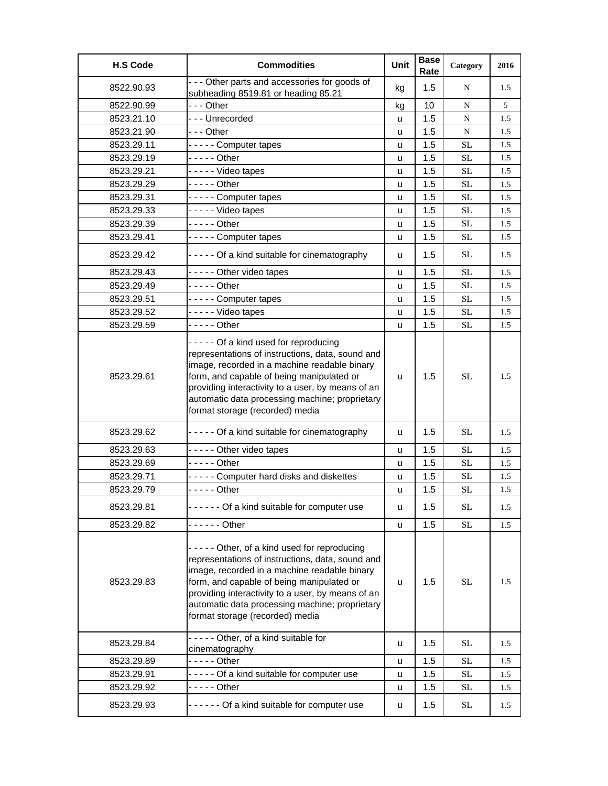| <b>H.S Code</b> | <b>Commodities</b>                                                                                                                                                                                                                                                                                                                     | Unit     | <b>Base</b><br>Rate | Category            | 2016 |
|-----------------|----------------------------------------------------------------------------------------------------------------------------------------------------------------------------------------------------------------------------------------------------------------------------------------------------------------------------------------|----------|---------------------|---------------------|------|
| 8522.90.93      | - - - Other parts and accessories for goods of<br>subheading 8519.81 or heading 85.21                                                                                                                                                                                                                                                  | kg       | 1.5                 | N                   | 1.5  |
| 8522.90.99      | --- Other                                                                                                                                                                                                                                                                                                                              | kg       | 10                  | N                   | 5    |
| 8523.21.10      | --- Unrecorded                                                                                                                                                                                                                                                                                                                         | u        | 1.5                 | N                   | 1.5  |
| 8523.21.90      | - - - Other                                                                                                                                                                                                                                                                                                                            | u        | 1.5                 | N                   | 1.5  |
| 8523.29.11      | ----- Computer tapes                                                                                                                                                                                                                                                                                                                   | u        | 1.5                 | <b>SL</b>           | 1.5  |
| 8523.29.19      | - - - - - Other                                                                                                                                                                                                                                                                                                                        | u        | 1.5                 | <b>SL</b>           | 1.5  |
| 8523.29.21      | - - - - - Video tapes                                                                                                                                                                                                                                                                                                                  | u        | 1.5                 | <b>SL</b>           | 1.5  |
| 8523.29.29      | - - - - - Other                                                                                                                                                                                                                                                                                                                        | <b>u</b> | 1.5                 | <b>SL</b>           | 1.5  |
| 8523.29.31      | ----- Computer tapes                                                                                                                                                                                                                                                                                                                   | u        | 1.5                 | <b>SL</b>           | 1.5  |
| 8523.29.33      | - - - - - Video tapes                                                                                                                                                                                                                                                                                                                  | u        | 1.5                 | <b>SL</b>           | 1.5  |
| 8523.29.39      | - - - - - Other                                                                                                                                                                                                                                                                                                                        | u        | 1.5                 | <b>SL</b>           | 1.5  |
| 8523.29.41      | ----- Computer tapes                                                                                                                                                                                                                                                                                                                   | u        | 1.5                 | <b>SL</b>           | 1.5  |
| 8523.29.42      | - - - - - Of a kind suitable for cinematography                                                                                                                                                                                                                                                                                        | u        | 1.5                 | SL.                 | 1.5  |
| 8523.29.43      | - - - - - Other video tapes                                                                                                                                                                                                                                                                                                            | u        | 1.5                 | <b>SL</b>           | 1.5  |
| 8523.29.49      | $---$ Other                                                                                                                                                                                                                                                                                                                            | u        | 1.5                 | <b>SL</b>           | 1.5  |
| 8523.29.51      | ----- Computer tapes                                                                                                                                                                                                                                                                                                                   | u        | 1.5                 | <b>SL</b>           | 1.5  |
| 8523.29.52      | ----- Video tapes                                                                                                                                                                                                                                                                                                                      | u        | 1.5                 | <b>SL</b>           | 1.5  |
| 8523.29.59      | - - - - - Other                                                                                                                                                                                                                                                                                                                        | u        | 1.5                 | <b>SL</b>           | 1.5  |
| 8523.29.61      | ----- Of a kind used for reproducing<br>representations of instructions, data, sound and<br>image, recorded in a machine readable binary<br>form, and capable of being manipulated or<br>providing interactivity to a user, by means of an<br>automatic data processing machine; proprietary<br>format storage (recorded) media        | u        | 1.5                 | <b>SL</b>           | 1.5  |
| 8523.29.62      | ----- Of a kind suitable for cinematography                                                                                                                                                                                                                                                                                            | u        | 1.5                 | <b>SL</b>           | 1.5  |
| 8523.29.63      | - - - - - Other video tapes                                                                                                                                                                                                                                                                                                            | u        | 1.5                 | <b>SL</b>           | 1.5  |
| 8523.29.69      | - - - - - Other                                                                                                                                                                                                                                                                                                                        | u        | 1.5                 | <b>SL</b>           | 1.5  |
| 8523.29.71      | ----- Computer hard disks and diskettes                                                                                                                                                                                                                                                                                                | u        | 1.5                 | SL                  | 1.5  |
| 8523.29.79      | - - - - - Other                                                                                                                                                                                                                                                                                                                        | u        | 1.5                 | <b>SL</b>           | 1.5  |
| 8523.29.81      | ------ Of a kind suitable for computer use                                                                                                                                                                                                                                                                                             | u        | 1.5                 | <b>SL</b>           | 1.5  |
| 8523.29.82      | - - - - - - Other                                                                                                                                                                                                                                                                                                                      | u        | 1.5                 | $\operatorname{SL}$ | 1.5  |
| 8523.29.83      | ----- Other, of a kind used for reproducing<br>representations of instructions, data, sound and<br>image, recorded in a machine readable binary<br>form, and capable of being manipulated or<br>providing interactivity to a user, by means of an<br>automatic data processing machine; proprietary<br>format storage (recorded) media | u        | 1.5                 | SL                  | 1.5  |
| 8523.29.84      | ----- Other, of a kind suitable for<br>cinematography                                                                                                                                                                                                                                                                                  | u        | 1.5                 | <b>SL</b>           | 1.5  |
| 8523.29.89      |                                                                                                                                                                                                                                                                                                                                        | u        | 1.5                 | <b>SL</b>           | 1.5  |
| 8523.29.91      | ----- Of a kind suitable for computer use                                                                                                                                                                                                                                                                                              | u        | 1.5                 | <b>SL</b>           | 1.5  |
| 8523.29.92      | - - - - - Other                                                                                                                                                                                                                                                                                                                        | u        | 1.5                 | <b>SL</b>           | 1.5  |
| 8523.29.93      | ------ Of a kind suitable for computer use                                                                                                                                                                                                                                                                                             | u        | 1.5                 | <b>SL</b>           | 1.5  |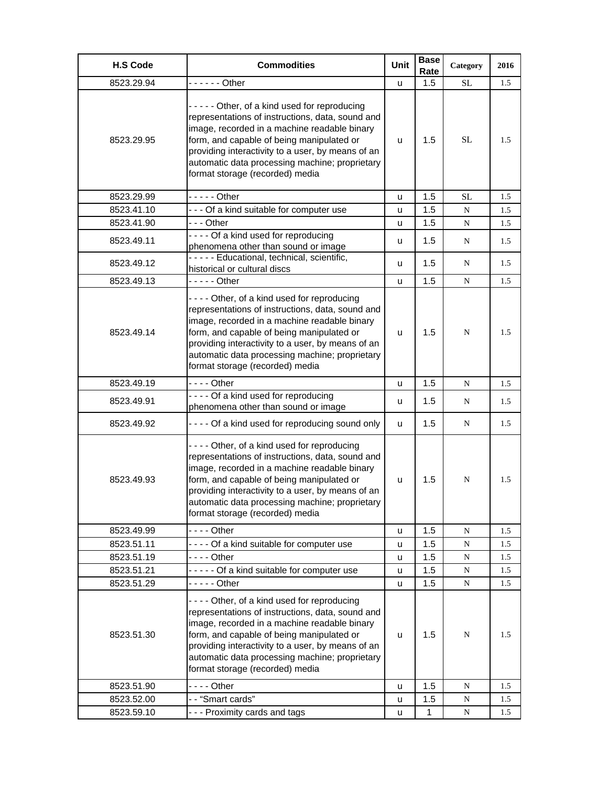| <b>H.S Code</b> | <b>Commodities</b>                                                                                                                                                                                                                                                                                                                     | <b>Unit</b> | <b>Base</b><br>Rate | Category  | 2016 |
|-----------------|----------------------------------------------------------------------------------------------------------------------------------------------------------------------------------------------------------------------------------------------------------------------------------------------------------------------------------------|-------------|---------------------|-----------|------|
| 8523.29.94      | $---$ Other                                                                                                                                                                                                                                                                                                                            | u           | 1.5                 | SL        | 1.5  |
| 8523.29.95      | ----- Other, of a kind used for reproducing<br>representations of instructions, data, sound and<br>image, recorded in a machine readable binary<br>form, and capable of being manipulated or<br>providing interactivity to a user, by means of an<br>automatic data processing machine; proprietary<br>format storage (recorded) media | u           | 1.5                 | <b>SL</b> | 1.5  |
| 8523.29.99      | - - - - - Other                                                                                                                                                                                                                                                                                                                        | u           | $1.5^{\circ}$       | <b>SL</b> | 1.5  |
| 8523.41.10      | --- Of a kind suitable for computer use                                                                                                                                                                                                                                                                                                | u           | 1.5                 | N         | 1.5  |
| 8523.41.90      | - - - Other                                                                                                                                                                                                                                                                                                                            | u           | 1.5                 | ${\bf N}$ | 1.5  |
| 8523.49.11      | ---- Of a kind used for reproducing<br>phenomena other than sound or image                                                                                                                                                                                                                                                             | u           | 1.5                 | N         | 1.5  |
| 8523.49.12      | ----- Educational, technical, scientific,<br>historical or cultural discs                                                                                                                                                                                                                                                              | u           | 1.5                 | N         | 1.5  |
| 8523.49.13      | - - - - - Other                                                                                                                                                                                                                                                                                                                        | u           | 1.5                 | N         | 1.5  |
| 8523.49.14      | ---- Other, of a kind used for reproducing<br>representations of instructions, data, sound and<br>image, recorded in a machine readable binary<br>form, and capable of being manipulated or<br>providing interactivity to a user, by means of an<br>automatic data processing machine; proprietary<br>format storage (recorded) media  | u           | 1.5                 | N         | 1.5  |
| 8523.49.19      | - - - - Other                                                                                                                                                                                                                                                                                                                          | u           | 1.5                 | N         | 1.5  |
| 8523.49.91      | ---- Of a kind used for reproducing<br>phenomena other than sound or image                                                                                                                                                                                                                                                             | u           | 1.5                 | N         | 1.5  |
| 8523.49.92      | - - - - Of a kind used for reproducing sound only                                                                                                                                                                                                                                                                                      | u           | 1.5                 | N         | 1.5  |
| 8523.49.93      | ---- Other, of a kind used for reproducing<br>representations of instructions, data, sound and<br>image, recorded in a machine readable binary<br>form, and capable of being manipulated or<br>providing interactivity to a user, by means of an<br>automatic data processing machine; proprietary<br>format storage (recorded) media  | u           | 1.5                 | N         | 1.5  |
| 8523.49.99      | - - - - Other                                                                                                                                                                                                                                                                                                                          | u           | 1.5                 | ${\bf N}$ | 1.5  |
| 8523.51.11      | ---- Of a kind suitable for computer use                                                                                                                                                                                                                                                                                               | u           | 1.5                 | N         | 1.5  |
| 8523.51.19      | $--$ Other                                                                                                                                                                                                                                                                                                                             | u           | 1.5                 | N         | 1.5  |
| 8523.51.21      | ----- Of a kind suitable for computer use                                                                                                                                                                                                                                                                                              | u           | 1.5                 | N         | 1.5  |
| 8523.51.29      | - - - - - Other                                                                                                                                                                                                                                                                                                                        | u           | 1.5                 | N         | 1.5  |
| 8523.51.30      | ---- Other, of a kind used for reproducing<br>representations of instructions, data, sound and<br>image, recorded in a machine readable binary<br>form, and capable of being manipulated or<br>providing interactivity to a user, by means of an<br>automatic data processing machine; proprietary<br>format storage (recorded) media  | u           | 1.5                 | N         | 1.5  |
| 8523.51.90      |                                                                                                                                                                                                                                                                                                                                        | u           | 1.5                 | N         | 1.5  |
| 8523.52.00      | -- "Smart cards"                                                                                                                                                                                                                                                                                                                       | u           | 1.5                 | N         | 1.5  |
| 8523.59.10      | - - - Proximity cards and tags                                                                                                                                                                                                                                                                                                         | u           | 1                   | ${\bf N}$ | 1.5  |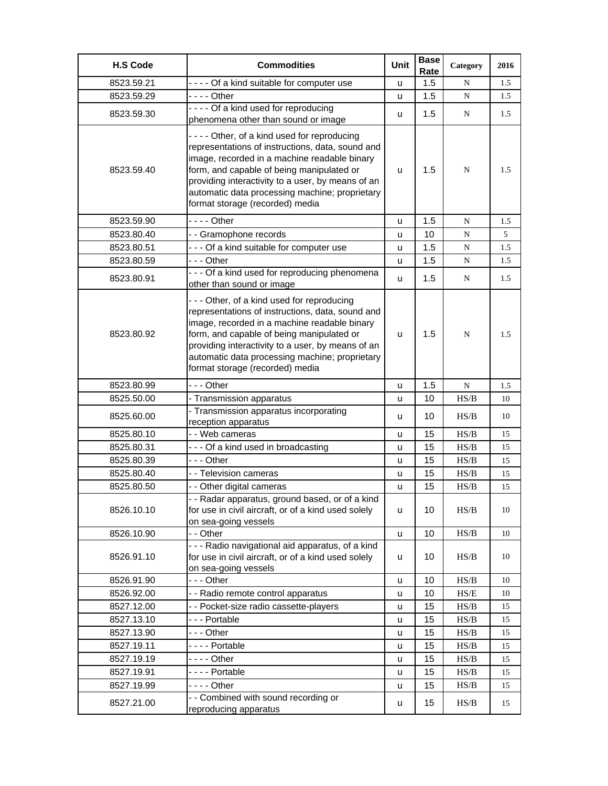| <b>H.S Code</b> | <b>Commodities</b>                                                                                                                                                                                                                                                                                                                    | Unit | <b>Base</b><br>Rate | Category                                                                               | 2016 |
|-----------------|---------------------------------------------------------------------------------------------------------------------------------------------------------------------------------------------------------------------------------------------------------------------------------------------------------------------------------------|------|---------------------|----------------------------------------------------------------------------------------|------|
| 8523.59.21      | - - - - Of a kind suitable for computer use                                                                                                                                                                                                                                                                                           | u    | 1.5                 | N                                                                                      | 1.5  |
| 8523.59.29      | - - - - Other                                                                                                                                                                                                                                                                                                                         | u    | 1.5                 | ${\bf N}$                                                                              | 1.5  |
| 8523.59.30      | ---- Of a kind used for reproducing<br>phenomena other than sound or image                                                                                                                                                                                                                                                            | u    | 1.5                 | N                                                                                      | 1.5  |
| 8523.59.40      | ---- Other, of a kind used for reproducing<br>representations of instructions, data, sound and<br>image, recorded in a machine readable binary<br>form, and capable of being manipulated or<br>providing interactivity to a user, by means of an<br>automatic data processing machine; proprietary<br>format storage (recorded) media | u    | 1.5                 | N                                                                                      | 1.5  |
| 8523.59.90      |                                                                                                                                                                                                                                                                                                                                       | u    | 1.5                 | N                                                                                      | 1.5  |
| 8523.80.40      | - - Gramophone records                                                                                                                                                                                                                                                                                                                | u    | 10                  | N                                                                                      | 5    |
| 8523.80.51      | - - - Of a kind suitable for computer use                                                                                                                                                                                                                                                                                             | u    | 1.5                 | N                                                                                      | 1.5  |
| 8523.80.59      | --- Other                                                                                                                                                                                                                                                                                                                             | u    | 1.5                 | N                                                                                      | 1.5  |
| 8523.80.91      | - - - Of a kind used for reproducing phenomena<br>other than sound or image                                                                                                                                                                                                                                                           | u    | 1.5                 | N                                                                                      | 1.5  |
| 8523.80.92      | --- Other, of a kind used for reproducing<br>representations of instructions, data, sound and<br>image, recorded in a machine readable binary<br>form, and capable of being manipulated or<br>providing interactivity to a user, by means of an<br>automatic data processing machine; proprietary<br>format storage (recorded) media  | u    | 1.5                 | N                                                                                      | 1.5  |
| 8523.80.99      | --- Other                                                                                                                                                                                                                                                                                                                             | u    | 1.5                 | N                                                                                      | 1.5  |
| 8525.50.00      | - Transmission apparatus                                                                                                                                                                                                                                                                                                              | u    | 10                  | HS/B                                                                                   | 10   |
| 8525.60.00      | - Transmission apparatus incorporating<br>reception apparatus                                                                                                                                                                                                                                                                         | u    | 10                  | HS/B                                                                                   | 10   |
| 8525.80.10      | - - Web cameras                                                                                                                                                                                                                                                                                                                       | u    | 15                  | HS/B                                                                                   | 15   |
| 8525.80.31      | --- Of a kind used in broadcasting                                                                                                                                                                                                                                                                                                    | u    | 15                  | HS/B                                                                                   | 15   |
| 8525.80.39      | --- Other                                                                                                                                                                                                                                                                                                                             | u    | 15                  | HS/B                                                                                   | 15   |
| 8525.80.40      | - - Television cameras                                                                                                                                                                                                                                                                                                                | u    | 15                  | HS/B                                                                                   | 15   |
| 8525.80.50      | - - Other digital cameras                                                                                                                                                                                                                                                                                                             | u    | 15                  | HS/B                                                                                   | 15   |
| 8526.10.10      | - Radar apparatus, ground based, or of a kind<br>for use in civil aircraft, or of a kind used solely<br>on sea-going vessels                                                                                                                                                                                                          | u    | 10                  | HS/B                                                                                   | 10   |
| 8526.10.90      | - - Other                                                                                                                                                                                                                                                                                                                             | u    | 10                  | HS/B                                                                                   | 10   |
| 8526.91.10      | - - - Radio navigational aid apparatus, of a kind<br>for use in civil aircraft, or of a kind used solely<br>on sea-going vessels                                                                                                                                                                                                      | u    | 10                  | HS/B                                                                                   | 10   |
| 8526.91.90      | --- Other                                                                                                                                                                                                                                                                                                                             | u    | 10                  | HS/B                                                                                   | 10   |
| 8526.92.00      | - - Radio remote control apparatus                                                                                                                                                                                                                                                                                                    | u    | 10                  | $\ensuremath{\mathsf{HS}}\xspace/\ensuremath{\mathsf{E}}$                              | 10   |
| 8527.12.00      | - - Pocket-size radio cassette-players                                                                                                                                                                                                                                                                                                | u    | 15                  | HS/B                                                                                   | 15   |
| 8527.13.10      | --- Portable                                                                                                                                                                                                                                                                                                                          | u    | 15                  | HS/B                                                                                   | 15   |
| 8527.13.90      | --- Other                                                                                                                                                                                                                                                                                                                             | u    | 15                  | HS/B                                                                                   | 15   |
| 8527.19.11      | ---- Portable                                                                                                                                                                                                                                                                                                                         | u    | 15                  | $\ensuremath{\mathbf{H}}\ensuremath{\mathbf{S}}\xspace/\ensuremath{\mathbf{B}}\xspace$ | 15   |
| 8527.19.19      | - - - - Other                                                                                                                                                                                                                                                                                                                         | u    | 15                  | HS/B                                                                                   | 15   |
| 8527.19.91      | - - - - Portable                                                                                                                                                                                                                                                                                                                      | u    | 15                  | HS/B                                                                                   | 15   |
| 8527.19.99      | - - - - Other                                                                                                                                                                                                                                                                                                                         | u    | 15                  | HS/B                                                                                   | 15   |
| 8527.21.00      | - - Combined with sound recording or<br>reproducing apparatus                                                                                                                                                                                                                                                                         | u    | 15                  | HS/B                                                                                   | 15   |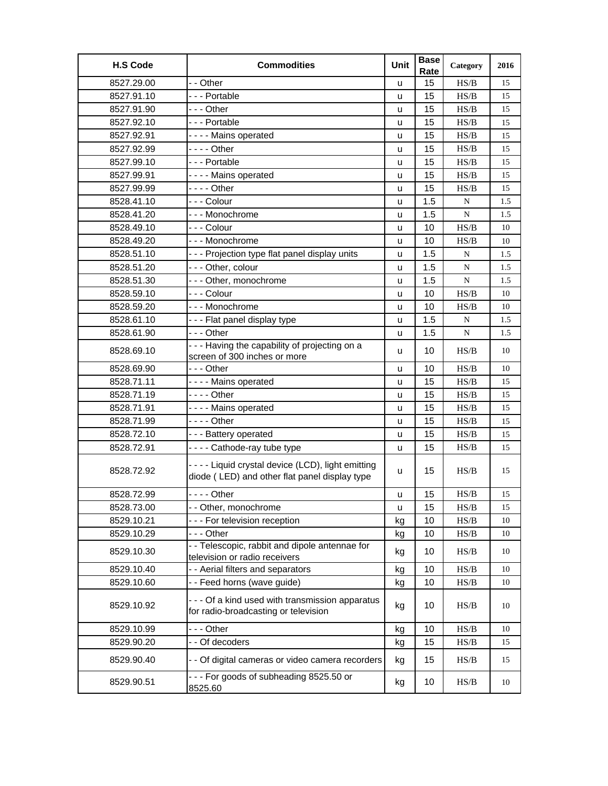| <b>H.S Code</b> | <b>Commodities</b>                                                                                   | Unit | <b>Base</b><br>Rate | Category                                                                               | 2016 |
|-----------------|------------------------------------------------------------------------------------------------------|------|---------------------|----------------------------------------------------------------------------------------|------|
| 8527.29.00      | - - Other                                                                                            | u    | 15                  | HS/B                                                                                   | 15   |
| 8527.91.10      | --- Portable                                                                                         | u    | 15                  | HS/B                                                                                   | 15   |
| 8527.91.90      | - - - Other                                                                                          | u    | 15                  | HS/B                                                                                   | 15   |
| 8527.92.10      | --- Portable                                                                                         | u    | 15                  | HS/B                                                                                   | 15   |
| 8527.92.91      | ---- Mains operated                                                                                  | u    | 15                  | HS/B                                                                                   | 15   |
| 8527.92.99      | - - - - Other                                                                                        | u    | 15                  | HS/B                                                                                   | 15   |
| 8527.99.10      | --- Portable                                                                                         | u    | 15                  | HS/B                                                                                   | 15   |
| 8527.99.91      | - - - - Mains operated                                                                               | u    | 15                  | HS/B                                                                                   | 15   |
| 8527.99.99      | - - - - Other                                                                                        | u    | 15                  | HS/B                                                                                   | 15   |
| 8528.41.10      | - - - Colour                                                                                         | u    | 1.5                 | N                                                                                      | 1.5  |
| 8528.41.20      | --- Monochrome                                                                                       | u    | 1.5                 | ${\bf N}$                                                                              | 1.5  |
| 8528.49.10      | - - - Colour                                                                                         | u    | 10                  | HS/B                                                                                   | 10   |
| 8528.49.20      | --- Monochrome                                                                                       | u    | 10                  | HS/B                                                                                   | 10   |
| 8528.51.10      | - - - Projection type flat panel display units                                                       | u    | 1.5                 | ${\bf N}$                                                                              | 1.5  |
| 8528.51.20      | - - - Other, colour                                                                                  | u    | 1.5                 | N                                                                                      | 1.5  |
| 8528.51.30      | --- Other, monochrome                                                                                | u    | 1.5                 | ${\bf N}$                                                                              | 1.5  |
| 8528.59.10      | - - - Colour                                                                                         | u    | 10                  | HS/B                                                                                   | 10   |
| 8528.59.20      | --- Monochrome                                                                                       | u    | 10                  | HS/B                                                                                   | 10   |
| 8528.61.10      | - - - Flat panel display type                                                                        | u    | 1.5                 | ${\bf N}$                                                                              | 1.5  |
| 8528.61.90      | --- Other                                                                                            | u    | 1.5                 | ${\bf N}$                                                                              | 1.5  |
| 8528.69.10      | - - - Having the capability of projecting on a<br>screen of 300 inches or more                       | u    | 10                  | HS/B                                                                                   | 10   |
| 8528.69.90      | - - - Other                                                                                          | u    | 10                  | HS/B                                                                                   | 10   |
| 8528.71.11      | ---- Mains operated                                                                                  | u    | 15                  | HS/B                                                                                   | 15   |
| 8528.71.19      | - - - - Other                                                                                        | u    | 15                  | HS/B                                                                                   | 15   |
| 8528.71.91      | ---- Mains operated                                                                                  | u    | 15                  | $\mathbf{H}\mathbf{S}/\mathbf{B}$                                                      | 15   |
| 8528.71.99      | $--$ Other                                                                                           | u    | 15                  | HS/B                                                                                   | 15   |
| 8528.72.10      | - - - Battery operated                                                                               | u    | 15                  | HS/B                                                                                   | 15   |
| 8528.72.91      | ---- Cathode-ray tube type                                                                           | u    | 15                  | HS/B                                                                                   | 15   |
| 8528.72.92      | - - - - Liquid crystal device (LCD), light emitting<br>diode (LED) and other flat panel display type | u    | 15                  | HS/B                                                                                   | 15   |
| 8528.72.99      | - - - - Other                                                                                        | u    | 15                  | HS/B                                                                                   | 15   |
| 8528.73.00      | -- Other, monochrome                                                                                 | u    | 15                  | HS/B                                                                                   | 15   |
| 8529.10.21      | --- For television reception                                                                         | kg   | 10                  | HS/B                                                                                   | 10   |
| 8529.10.29      | --- Other                                                                                            | kg   | 10                  | $\ensuremath{\mathbf{H}}\ensuremath{\mathbf{S}}\xspace/\ensuremath{\mathbf{B}}\xspace$ | 10   |
| 8529.10.30      | - - Telescopic, rabbit and dipole antennae for<br>television or radio receivers                      | kg   | 10                  | HS/B                                                                                   | 10   |
| 8529.10.40      | - - Aerial filters and separators                                                                    | kg   | 10                  | HS/B                                                                                   | 10   |
| 8529.10.60      | - - Feed horns (wave guide)                                                                          | kg   | 10                  | HS/B                                                                                   | 10   |
| 8529.10.92      | - - - Of a kind used with transmission apparatus<br>for radio-broadcasting or television             | kg   | 10                  | HS/B                                                                                   | 10   |
| 8529.10.99      | --- Other                                                                                            | kg   | 10                  | $\ensuremath{\mathbf{H}}\ensuremath{\mathbf{S}}\xspace/\ensuremath{\mathbf{B}}\xspace$ | 10   |
| 8529.90.20      | - - Of decoders                                                                                      | kg   | 15                  | HS/B                                                                                   | 15   |
| 8529.90.40      | - - Of digital cameras or video camera recorders                                                     | kg   | 15                  | HS/B                                                                                   | 15   |
| 8529.90.51      | --- For goods of subheading 8525.50 or<br>8525.60                                                    | kg   | 10                  | HS/B                                                                                   | 10   |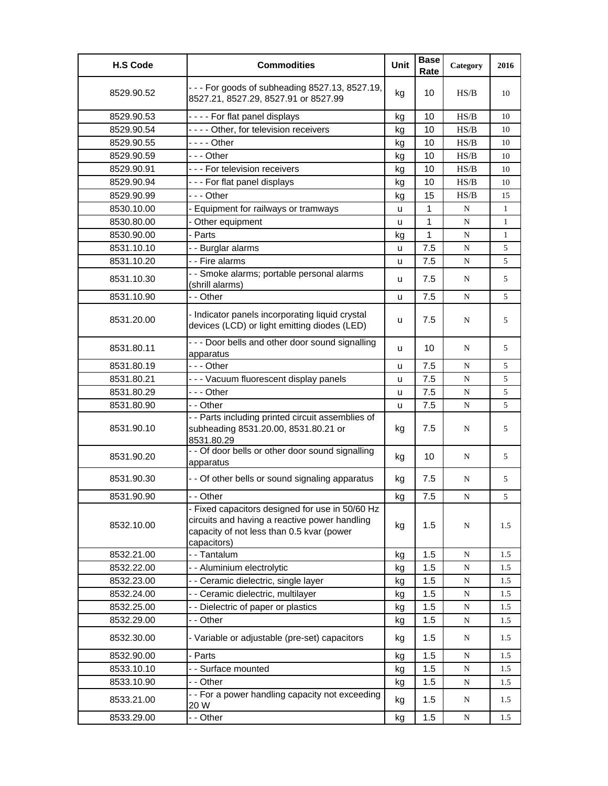| <b>H.S Code</b> | <b>Commodities</b>                                                                                                                                           | Unit | <b>Base</b><br>Rate | Category  | 2016         |
|-----------------|--------------------------------------------------------------------------------------------------------------------------------------------------------------|------|---------------------|-----------|--------------|
| 8529.90.52      | - - - For goods of subheading 8527.13, 8527.19,<br>8527.21, 8527.29, 8527.91 or 8527.99                                                                      | kg   | 10                  | HS/B      | 10           |
| 8529.90.53      | - - - - For flat panel displays                                                                                                                              | kg   | 10                  | HS/B      | 10           |
| 8529.90.54      | - - - - Other, for television receivers                                                                                                                      | kg   | 10                  | HS/B      | 10           |
| 8529.90.55      | - - - - Other                                                                                                                                                | kg   | 10                  | HS/B      | 10           |
| 8529.90.59      | - - - Other                                                                                                                                                  | kg   | 10                  | HS/B      | 10           |
| 8529.90.91      | --- For television receivers                                                                                                                                 | kg   | 10                  | HS/B      | 10           |
| 8529.90.94      | --- For flat panel displays                                                                                                                                  | kg   | 10                  | HS/B      | 10           |
| 8529.90.99      | $- -$ Other                                                                                                                                                  | kg   | 15                  | HS/B      | 15           |
| 8530.10.00      | - Equipment for railways or tramways                                                                                                                         | u    | 1                   | N         | 1            |
| 8530.80.00      | Other equipment                                                                                                                                              | u    | $\mathbf{1}$        | ${\bf N}$ | $\mathbf{1}$ |
| 8530.90.00      | - Parts                                                                                                                                                      | kg   | 1                   | ${\bf N}$ | $\mathbf{1}$ |
| 8531.10.10      | - - Burglar alarms                                                                                                                                           | u    | 7.5                 | ${\bf N}$ | 5            |
| 8531.10.20      | - - Fire alarms                                                                                                                                              | u    | 7.5                 | N         | 5            |
| 8531.10.30      | - - Smoke alarms; portable personal alarms<br>(shrill alarms)                                                                                                | u    | 7.5                 | N         | 5            |
| 8531.10.90      | - - Other                                                                                                                                                    | u    | 7.5                 | N         | 5            |
| 8531.20.00      | - Indicator panels incorporating liquid crystal<br>devices (LCD) or light emitting diodes (LED)                                                              | u    | 7.5                 | N         | 5            |
| 8531.80.11      | - - - Door bells and other door sound signalling<br>apparatus                                                                                                | u    | 10                  | N         | 5            |
| 8531.80.19      | $- -$ - Other                                                                                                                                                | u    | 7.5                 | N         | 5            |
| 8531.80.21      | - - - Vacuum fluorescent display panels                                                                                                                      | u    | 7.5                 | ${\bf N}$ | 5            |
| 8531.80.29      | $- -$ Other                                                                                                                                                  | u    | 7.5                 | N         | 5            |
| 8531.80.90      | - - Other                                                                                                                                                    | u    | 7.5                 | N         | 5            |
| 8531.90.10      | - - Parts including printed circuit assemblies of<br>subheading 8531.20.00, 8531.80.21 or<br>8531.80.29                                                      | kg   | 7.5                 | N         | 5            |
| 8531.90.20      | - - Of door bells or other door sound signalling<br>apparatus                                                                                                | kg   | 10                  | N         | 5            |
| 8531.90.30      | - - Of other bells or sound signaling apparatus                                                                                                              | kg   | 7.5                 | N         | 5            |
| 8531.90.90      | - - Other                                                                                                                                                    | ka   | 7.5                 | N         | 5            |
| 8532.10.00      | - Fixed capacitors designed for use in 50/60 Hz<br>circuits and having a reactive power handling<br>capacity of not less than 0.5 kvar (power<br>capacitors) | kg   | 1.5                 | N         | 1.5          |
| 8532.21.00      | - - Tantalum                                                                                                                                                 | kg   | 1.5                 | ${\bf N}$ | 1.5          |
| 8532.22.00      | - - Aluminium electrolytic                                                                                                                                   | kg   | 1.5                 | ${\bf N}$ | 1.5          |
| 8532.23.00      | - - Ceramic dielectric, single layer                                                                                                                         | kg   | 1.5                 | ${\bf N}$ | 1.5          |
| 8532.24.00      | - - Ceramic dielectric, multilayer                                                                                                                           | kg   | 1.5                 | ${\bf N}$ | 1.5          |
| 8532.25.00      | - - Dielectric of paper or plastics                                                                                                                          | kg   | 1.5                 | ${\bf N}$ | 1.5          |
| 8532.29.00      | - - Other                                                                                                                                                    | kg   | 1.5                 | ${\bf N}$ | 1.5          |
| 8532.30.00      | - Variable or adjustable (pre-set) capacitors                                                                                                                | kg   | 1.5                 | N         | 1.5          |
| 8532.90.00      | - Parts                                                                                                                                                      | kg   | 1.5                 | ${\bf N}$ | 1.5          |
| 8533.10.10      | - - Surface mounted                                                                                                                                          | kg   | 1.5                 | ${\bf N}$ | 1.5          |
| 8533.10.90      | - - Other                                                                                                                                                    | kg   | 1.5                 | ${\bf N}$ | 1.5          |
| 8533.21.00      | - - For a power handling capacity not exceeding<br>20 W                                                                                                      | kg   | 1.5                 | ${\bf N}$ | 1.5          |
| 8533.29.00      | - - Other                                                                                                                                                    | kg   | 1.5                 | N         | 1.5          |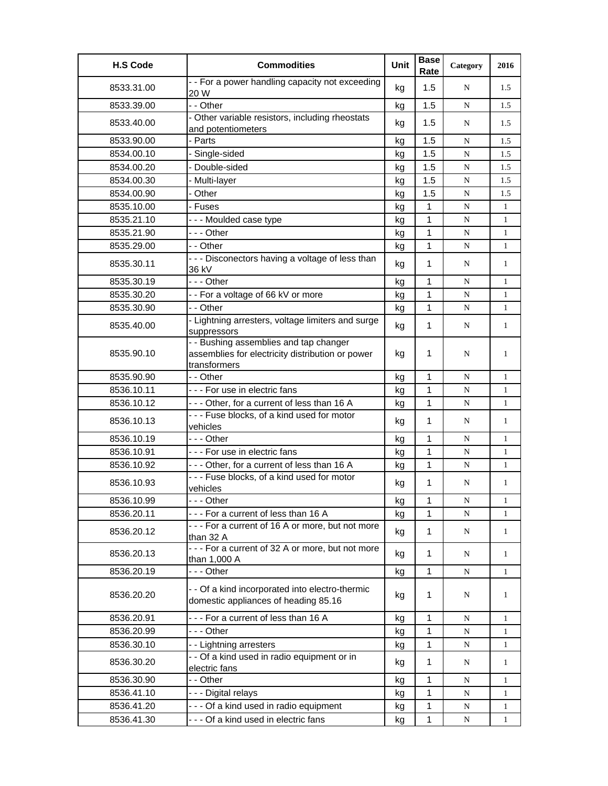| <b>H.S Code</b> | <b>Commodities</b>                                                                                         | Unit | <b>Base</b><br>Rate | Category  | 2016         |
|-----------------|------------------------------------------------------------------------------------------------------------|------|---------------------|-----------|--------------|
| 8533.31.00      | - - For a power handling capacity not exceeding<br>20 W                                                    | kg   | 1.5                 | N         | 1.5          |
| 8533.39.00      | - - Other                                                                                                  | kg   | 1.5                 | N         | 1.5          |
| 8533.40.00      | - Other variable resistors, including rheostats<br>and potentiometers                                      | kg   | 1.5                 | N         | 1.5          |
| 8533.90.00      | - Parts                                                                                                    | kg   | 1.5                 | N         | 1.5          |
| 8534.00.10      | Single-sided                                                                                               | kg   | 1.5                 | ${\bf N}$ | 1.5          |
| 8534.00.20      | - Double-sided                                                                                             | kg   | 1.5                 | N         | 1.5          |
| 8534.00.30      | Multi-layer                                                                                                | kg   | 1.5                 | N         | 1.5          |
| 8534.00.90      | - Other                                                                                                    | kg   | 1.5                 | ${\bf N}$ | 1.5          |
| 8535.10.00      | - Fuses                                                                                                    | kg   | $\mathbf{1}$        | N         | $\mathbf{1}$ |
| 8535.21.10      | --- Moulded case type                                                                                      | kg   | 1                   | N         | $\mathbf{1}$ |
| 8535.21.90      | --- Other                                                                                                  | kg   | 1                   | ${\bf N}$ | $\mathbf{1}$ |
| 8535.29.00      | - - Other                                                                                                  | kg   | 1                   | N         | $\mathbf{1}$ |
| 8535.30.11      | - - - Disconectors having a voltage of less than<br>36 kV                                                  | kg   | 1                   | N         | 1            |
| 8535.30.19      | -  - - Other                                                                                               | kg   | 1                   | N         | 1            |
| 8535.30.20      | - - For a voltage of 66 kV or more                                                                         | kg   | 1                   | N         | 1            |
| 8535.30.90      | - - Other                                                                                                  | kg   | 1                   | N         | $\mathbf{1}$ |
| 8535.40.00      | - Lightning arresters, voltage limiters and surge<br>suppressors                                           | kg   | 1                   | N         | $\mathbf{1}$ |
| 8535.90.10      | - - Bushing assemblies and tap changer<br>assemblies for electricity distribution or power<br>transformers | kg   | 1                   | N         | 1            |
| 8535.90.90      | - - Other                                                                                                  | kg   | 1                   | N         | 1            |
| 8536.10.11      | --- For use in electric fans                                                                               | kg   | 1                   | N         | 1            |
| 8536.10.12      | --- Other, for a current of less than 16 A                                                                 | kg   | 1                   | N         | $\mathbf{1}$ |
| 8536.10.13      | --- Fuse blocks, of a kind used for motor<br>vehicles                                                      | kg   | $\mathbf{1}$        | N         | $\mathbf{1}$ |
| 8536.10.19      | - - - Other                                                                                                | kg   | 1                   | ${\bf N}$ | $\mathbf{1}$ |
| 8536.10.91      | --- For use in electric fans                                                                               | kg   | $\mathbf{1}$        | N         | $\mathbf{1}$ |
| 8536.10.92      | --- Other, for a current of less than 16 A                                                                 | kg   | 1                   | N         | $\mathbf{1}$ |
| 8536.10.93      | --- Fuse blocks, of a kind used for motor<br>vehicles                                                      | kg   | 1                   | N         | 1            |
| 8536.10.99      | --- Other                                                                                                  | kg   | $\mathbf 1$         | ${\bf N}$ | $\mathbf{1}$ |
| 8536.20.11      | --- For a current of less than 16 A                                                                        | kg   | 1                   | N         | 1            |
| 8536.20.12      | --- For a current of 16 A or more, but not more<br>than 32 A                                               | kg   | 1                   | N         | $\mathbf{1}$ |
| 8536.20.13      | --- For a current of 32 A or more, but not more<br>than 1,000 A                                            | kg   | 1                   | N         | $\mathbf{1}$ |
| 8536.20.19      | - - - Other                                                                                                | kg   | 1                   | N         | 1            |
| 8536.20.20      | - - Of a kind incorporated into electro-thermic<br>domestic appliances of heading 85.16                    | kg   | 1                   | N         | 1            |
| 8536.20.91      | --- For a current of less than 16 A                                                                        | kg   | 1                   | ${\bf N}$ | $\mathbf{1}$ |
| 8536.20.99      | - - - Other                                                                                                | kg   | 1                   | N         | 1            |
| 8536.30.10      | - - Lightning arresters                                                                                    | kg   | 1                   | N         | $\mathbf{1}$ |
| 8536.30.20      | - - Of a kind used in radio equipment or in<br>electric fans                                               | kg   | 1                   | N         | $\mathbf{1}$ |
| 8536.30.90      | - - Other                                                                                                  | kg   | 1                   | N         | $\mathbf{1}$ |
| 8536.41.10      | - - - Digital relays                                                                                       | kg   | 1                   | N         | $\mathbf{1}$ |
| 8536.41.20      | - - - Of a kind used in radio equipment                                                                    | kg   | 1                   | N         | $\mathbf{1}$ |
| 8536.41.30      | - - - Of a kind used in electric fans                                                                      | kg   | 1                   | N         | $\mathbf{1}$ |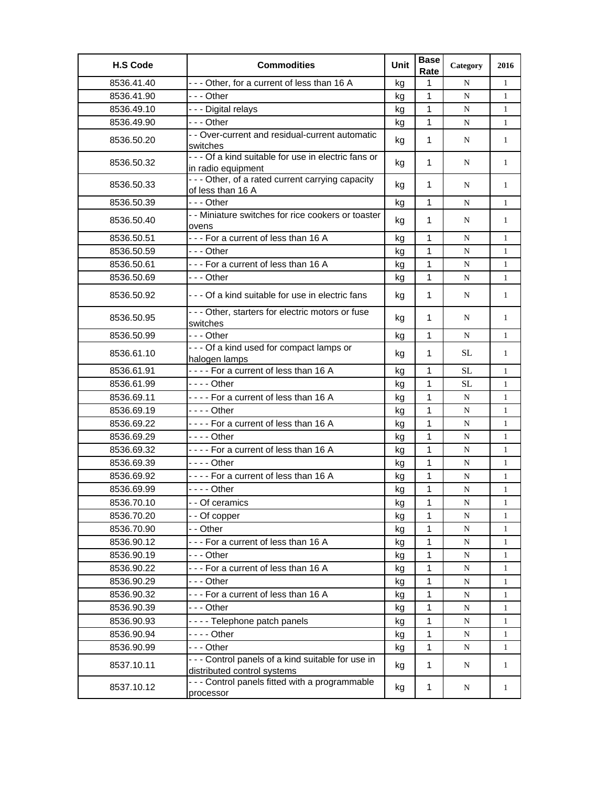| <b>H.S Code</b> | <b>Commodities</b>                                                                | Unit | <b>Base</b><br>Rate | Category  | 2016         |
|-----------------|-----------------------------------------------------------------------------------|------|---------------------|-----------|--------------|
| 8536.41.40      | --- Other, for a current of less than 16 A                                        | kg   | 1                   | N         | $\mathbf{1}$ |
| 8536.41.90      | -  - - Other                                                                      | kg   | $\mathbf 1$         | N         | 1            |
| 8536.49.10      | - - - Digital relays                                                              | kg   | $\mathbf{1}$        | N         | $\mathbf{1}$ |
| 8536.49.90      | $- -$ Other                                                                       | kg   | $\mathbf{1}$        | N         | $\mathbf{1}$ |
| 8536.50.20      | - - Over-current and residual-current automatic<br>switches                       | kg   | $\mathbf 1$         | N         | 1            |
| 8536.50.32      | - - - Of a kind suitable for use in electric fans or<br>in radio equipment        | kg   | $\mathbf 1$         | N         | 1            |
| 8536.50.33      | - - - Other, of a rated current carrying capacity<br>of less than 16 A            | kg   | 1                   | N         | 1            |
| 8536.50.39      | --- Other                                                                         | kg   | $\mathbf{1}$        | N         | $\mathbf{1}$ |
| 8536.50.40      | - - Miniature switches for rice cookers or toaster<br>ovens                       | kg   | 1                   | N         | 1            |
| 8536.50.51      | --- For a current of less than 16 A                                               | kg   | $\mathbf{1}$        | N         | 1            |
| 8536.50.59      | - - - Other                                                                       | kg   | $\mathbf{1}$        | N         | $\mathbf{1}$ |
| 8536.50.61      | --- For a current of less than 16 A                                               | kg   | 1                   | N         | $\mathbf{1}$ |
| 8536.50.69      | $--$ Other                                                                        | kg   | $\mathbf{1}$        | N         | $\mathbf{1}$ |
| 8536.50.92      | --- Of a kind suitable for use in electric fans                                   | kg   | $\mathbf{1}$        | N         | 1            |
| 8536.50.95      | - - - Other, starters for electric motors or fuse<br>switches                     | kg   | $\mathbf 1$         | N         | 1            |
| 8536.50.99      | $- -$ Other                                                                       | kg   | $\mathbf{1}$        | N         | $\mathbf{1}$ |
| 8536.61.10      | - - - Of a kind used for compact lamps or<br>halogen lamps                        | kg   | $\mathbf 1$         | SL        | 1            |
| 8536.61.91      | ---- For a current of less than 16 A                                              | kg   | $\mathbf{1}$        | <b>SL</b> | $\mathbf{1}$ |
| 8536.61.99      | - - - - Other                                                                     | kg   | $\mathbf{1}$        | SL        | $\mathbf{1}$ |
| 8536.69.11      | ---- For a current of less than 16 A                                              | kg   | $\mathbf{1}$        | N         | 1            |
| 8536.69.19      | - - - - Other                                                                     | kg   | $\mathbf{1}$        | N         | $\mathbf{1}$ |
| 8536.69.22      | ---- For a current of less than 16 A                                              | kg   | $\mathbf{1}$        | ${\bf N}$ | $\mathbf{1}$ |
| 8536.69.29      | $--$ Other                                                                        | kg   | 1                   | N         | $\mathbf{1}$ |
| 8536.69.32      | ---- For a current of less than 16 A                                              | kg   | $\mathbf{1}$        | N         | $\mathbf{1}$ |
| 8536.69.39      |                                                                                   | kg   | $\mathbf{1}$        | N         | $\mathbf{1}$ |
| 8536.69.92      | ---- For a current of less than 16 A                                              | kg   | $\mathbf{1}$        | N         | 1            |
| 8536.69.99      | $--$ Other                                                                        | kg   | 1                   | ${\bf N}$ | $\mathbf{1}$ |
| 8536.70.10      | - - Of ceramics                                                                   | kg   | 1                   | ${\bf N}$ | 1            |
| 8536.70.20      | - - Of copper                                                                     | kg   | 1                   | ${\bf N}$ | $\mathbf{1}$ |
| 8536.70.90      | - - Other                                                                         | kg   | 1                   | N         | 1            |
| 8536.90.12      | --- For a current of less than 16 A                                               | kg   | 1                   | ${\bf N}$ | $\mathbf{1}$ |
| 8536.90.19      | - - - Other                                                                       | kg   | 1                   | ${\bf N}$ | $\mathbf{1}$ |
| 8536.90.22      | --- For a current of less than 16 A                                               | kg   | 1                   | ${\bf N}$ | $\mathbf{1}$ |
| 8536.90.29      | --- Other                                                                         | kg   | $\mathbf{1}$        | ${\bf N}$ | $\mathbf{1}$ |
| 8536.90.32      | --- For a current of less than 16 A                                               | kg   | 1                   | N         | $\mathbf{1}$ |
| 8536.90.39      | --- Other                                                                         | kg   | 1                   | ${\bf N}$ | $\mathbf{1}$ |
| 8536.90.93      | ---- Telephone patch panels                                                       | kg   | 1                   | ${\bf N}$ | $\mathbf{1}$ |
| 8536.90.94      | - - - - Other                                                                     | kg   | 1                   | ${\bf N}$ | $\mathbf{1}$ |
| 8536.90.99      | - - - Other                                                                       | kg   | $\mathbf{1}$        | ${\bf N}$ | 1            |
| 8537.10.11      | - - - Control panels of a kind suitable for use in<br>distributed control systems | kg   | $\mathbf{1}$        | N         | 1            |
| 8537.10.12      | --- Control panels fitted with a programmable<br>processor                        | kg   | 1                   | N         | $\mathbf{1}$ |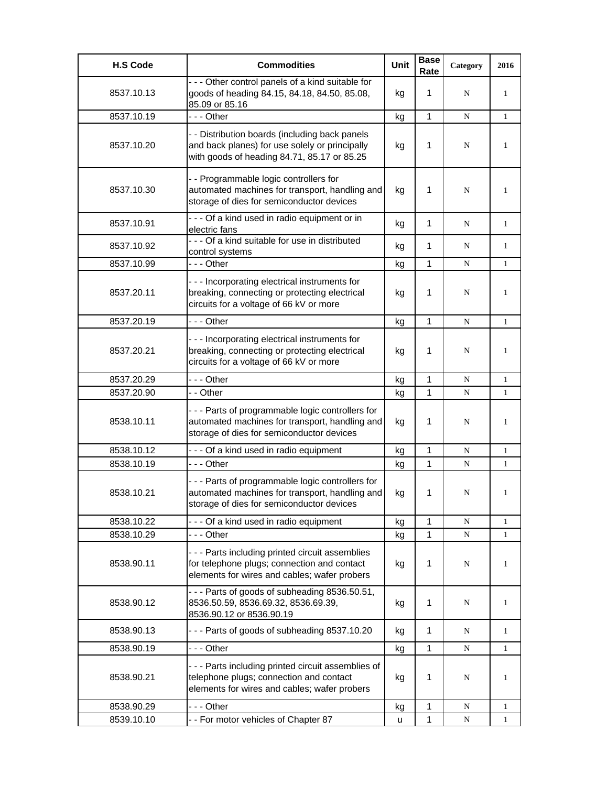| <b>H.S Code</b> | <b>Commodities</b>                                                                                                                              | <b>Unit</b> | <b>Base</b><br>Rate | Category  | 2016         |
|-----------------|-------------------------------------------------------------------------------------------------------------------------------------------------|-------------|---------------------|-----------|--------------|
| 8537.10.13      | - - - Other control panels of a kind suitable for<br>goods of heading 84.15, 84.18, 84.50, 85.08,<br>85.09 or 85.16                             | kg          | 1                   | N         | 1            |
| 8537.10.19      | --- Other                                                                                                                                       | kg          | $\mathbf{1}$        | N         | $\mathbf{1}$ |
| 8537.10.20      | - - Distribution boards (including back panels<br>and back planes) for use solely or principally<br>with goods of heading 84.71, 85.17 or 85.25 | kg          | 1                   | N         | 1            |
| 8537.10.30      | - - Programmable logic controllers for<br>automated machines for transport, handling and<br>storage of dies for semiconductor devices           | kg          | 1                   | N         | 1            |
| 8537.10.91      | - - - Of a kind used in radio equipment or in<br>electric fans                                                                                  | kg          | 1                   | N         | $\mathbf{1}$ |
| 8537.10.92      | - - - Of a kind suitable for use in distributed<br>control systems                                                                              | kg          | 1                   | N         | 1            |
| 8537.10.99      | - - - Other                                                                                                                                     | kg          | 1                   | N         | $\mathbf{1}$ |
| 8537.20.11      | --- Incorporating electrical instruments for<br>breaking, connecting or protecting electrical<br>circuits for a voltage of 66 kV or more        | kg          | 1                   | N         | 1            |
| 8537.20.19      | --- Other                                                                                                                                       | kg          | $\mathbf{1}$        | N         | $\mathbf{1}$ |
| 8537.20.21      | - - - Incorporating electrical instruments for<br>breaking, connecting or protecting electrical<br>circuits for a voltage of 66 kV or more      | kg          | 1                   | N         | 1            |
| 8537.20.29      | --- Other                                                                                                                                       | kg          | 1                   | N         | $\mathbf{1}$ |
| 8537.20.90      | - - Other                                                                                                                                       | kg          | $\mathbf{1}$        | N         | $\mathbf{1}$ |
| 8538.10.11      | --- Parts of programmable logic controllers for<br>automated machines for transport, handling and<br>storage of dies for semiconductor devices  | kg          | 1                   | N         | 1            |
| 8538.10.12      | --- Of a kind used in radio equipment                                                                                                           | kg          | $\mathbf{1}$        | N         | 1            |
| 8538.10.19      | - - - Other                                                                                                                                     | kg          | 1                   | N         | 1            |
| 8538.10.21      | --- Parts of programmable logic controllers for<br>automated machines for transport, handling and<br>storage of dies for semiconductor devices  | kg          | 1                   | N         | 1            |
| 8538.10.22      | --- Of a kind used in radio equipment                                                                                                           | kg          | $\mathbf{1}$        | N         | 1            |
| 8538.10.29      | --- Other                                                                                                                                       | kg          | 1                   | N         | 1            |
| 8538.90.11      | - - - Parts including printed circuit assemblies<br>for telephone plugs; connection and contact<br>elements for wires and cables; wafer probers | kg          | 1                   | N         | 1            |
| 8538.90.12      | --- Parts of goods of subheading 8536.50.51,<br>8536.50.59, 8536.69.32, 8536.69.39,<br>8536.90.12 or 8536.90.19                                 | kg          | 1                   | N         | 1            |
| 8538.90.13      | --- Parts of goods of subheading 8537.10.20                                                                                                     | kg          | $\mathbf{1}$        | N         | $\mathbf{1}$ |
| 8538.90.19      | - - - Other                                                                                                                                     | kg          | $\mathbf{1}$        | N         | 1            |
| 8538.90.21      | - - - Parts including printed circuit assemblies of<br>telephone plugs; connection and contact<br>elements for wires and cables; wafer probers  | kg          | 1                   | N         | 1            |
| 8538.90.29      | - - - Other                                                                                                                                     | kg          | $\mathbf{1}$        | N         | 1            |
| 8539.10.10      | - - For motor vehicles of Chapter 87                                                                                                            | u           | 1                   | ${\bf N}$ | 1            |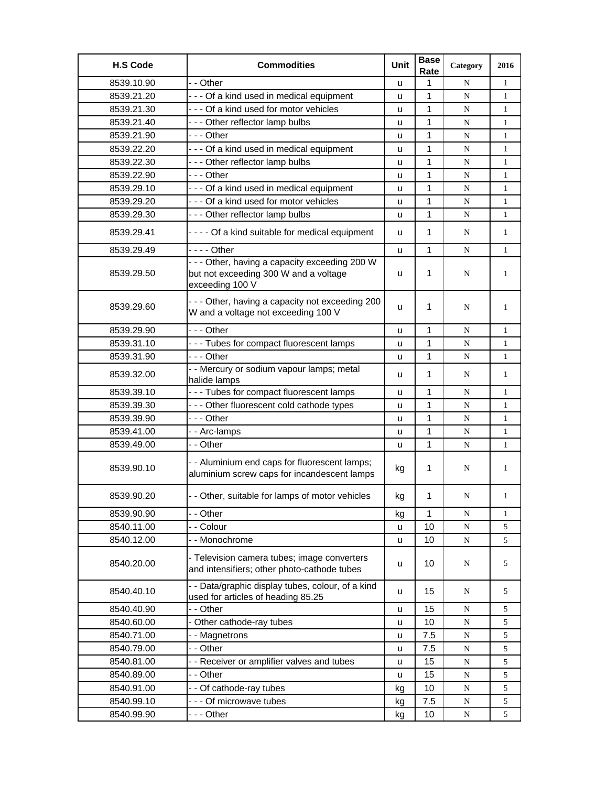| <b>H.S Code</b> | <b>Commodities</b>                                                                                         | Unit         | <b>Base</b><br>Rate | Category  | 2016         |
|-----------------|------------------------------------------------------------------------------------------------------------|--------------|---------------------|-----------|--------------|
| 8539.10.90      | - - Other                                                                                                  | u            | 1                   | N         | $\mathbf{1}$ |
| 8539.21.20      | --- Of a kind used in medical equipment                                                                    | u            | 1                   | N         | $\mathbf{1}$ |
| 8539.21.30      | - - - Of a kind used for motor vehicles                                                                    | u            | 1                   | N         | 1            |
| 8539.21.40      | --- Other reflector lamp bulbs                                                                             | u            | 1                   | N         | $\mathbf{1}$ |
| 8539.21.90      | --- Other                                                                                                  | u            | 1                   | N         | $\mathbf{1}$ |
| 8539.22.20      | - - - Of a kind used in medical equipment                                                                  | u            | 1                   | N         | $\mathbf{1}$ |
| 8539.22.30      | --- Other reflector lamp bulbs                                                                             | u            | 1                   | N         | $\mathbf{1}$ |
| 8539.22.90      | - - - Other                                                                                                | u            | 1                   | N         | $\mathbf{1}$ |
| 8539.29.10      | --- Of a kind used in medical equipment                                                                    | u            | 1                   | N         | $\mathbf{1}$ |
| 8539.29.20      | --- Of a kind used for motor vehicles                                                                      | u            | 1                   | N         | $\mathbf{1}$ |
| 8539.29.30      | --- Other reflector lamp bulbs                                                                             | u            | 1                   | N         | $\mathbf{1}$ |
| 8539.29.41      | - - - - Of a kind suitable for medical equipment                                                           | u            | $\mathbf 1$         | N         | $\mathbf{1}$ |
| 8539.29.49      | - - - - Other                                                                                              | u            | 1                   | N         | $\mathbf{1}$ |
| 8539.29.50      | - - - Other, having a capacity exceeding 200 W<br>but not exceeding 300 W and a voltage<br>exceeding 100 V | u            | $\mathbf 1$         | N         | $\mathbf{1}$ |
| 8539.29.60      | --- Other, having a capacity not exceeding 200<br>W and a voltage not exceeding 100 V                      | u            | 1                   | N         | 1            |
| 8539.29.90      | - - - Other                                                                                                | u            | 1                   | N         | $\mathbf{1}$ |
| 8539.31.10      | --- Tubes for compact fluorescent lamps                                                                    | u            | 1                   | N         | $\mathbf{1}$ |
| 8539.31.90      | --- Other                                                                                                  | u            | 1                   | N         | $\mathbf{1}$ |
| 8539.32.00      | - - Mercury or sodium vapour lamps; metal<br>halide lamps                                                  | u            | $\mathbf 1$         | N         | 1            |
| 8539.39.10      | --- Tubes for compact fluorescent lamps                                                                    | u            | 1                   | N         | $\mathbf{1}$ |
| 8539.39.30      | --- Other fluorescent cold cathode types                                                                   | u            | 1                   | N         | $\mathbf{1}$ |
| 8539.39.90      | --- Other                                                                                                  | u            | 1                   | ${\bf N}$ | $\mathbf{1}$ |
| 8539.41.00      | -- Arc-lamps                                                                                               | u            | 1                   | N         | $\mathbf{1}$ |
| 8539.49.00      | - - Other                                                                                                  | u            | 1                   | N         | $\mathbf{1}$ |
| 8539.90.10      | - - Aluminium end caps for fluorescent lamps;<br>aluminium screw caps for incandescent lamps               | kg           | 1                   | N         | 1            |
| 8539.90.20      | - - Other, suitable for lamps of motor vehicles                                                            | kg           | 1                   | N         | 1            |
| 8539.90.90      | - - Other                                                                                                  | kg           | 1                   | N         | $\mathbf{1}$ |
| 8540.11.00      | - - Colour                                                                                                 | $\mathsf{u}$ | 10                  | ${\bf N}$ | 5            |
| 8540.12.00      | -- Monochrome                                                                                              | u            | 10                  | ${\bf N}$ | 5            |
| 8540.20.00      | - Television camera tubes; image converters<br>and intensifiers; other photo-cathode tubes                 | u            | 10                  | N         | 5            |
| 8540.40.10      | - - Data/graphic display tubes, colour, of a kind<br>used for articles of heading 85.25                    | u            | 15                  | N         | 5            |
| 8540.40.90      | - - Other                                                                                                  | u            | 15                  | N         | 5            |
| 8540.60.00      | - Other cathode-ray tubes                                                                                  | u            | 10                  | ${\bf N}$ | 5            |
| 8540.71.00      | - - Magnetrons                                                                                             | u            | 7.5                 | ${\bf N}$ | 5            |
| 8540.79.00      | - - Other                                                                                                  | u            | 7.5                 | ${\bf N}$ | 5            |
| 8540.81.00      | - - Receiver or amplifier valves and tubes                                                                 | u            | 15                  | ${\bf N}$ | 5            |
| 8540.89.00      | - - Other                                                                                                  | u            | 15                  | ${\bf N}$ | 5            |
| 8540.91.00      | - - Of cathode-ray tubes                                                                                   | kg           | 10                  | ${\bf N}$ | 5            |
| 8540.99.10      | - - - Of microwave tubes                                                                                   | kg           | 7.5                 | ${\bf N}$ | 5            |
| 8540.99.90      | --- Other                                                                                                  | kg           | 10                  | ${\bf N}$ | 5            |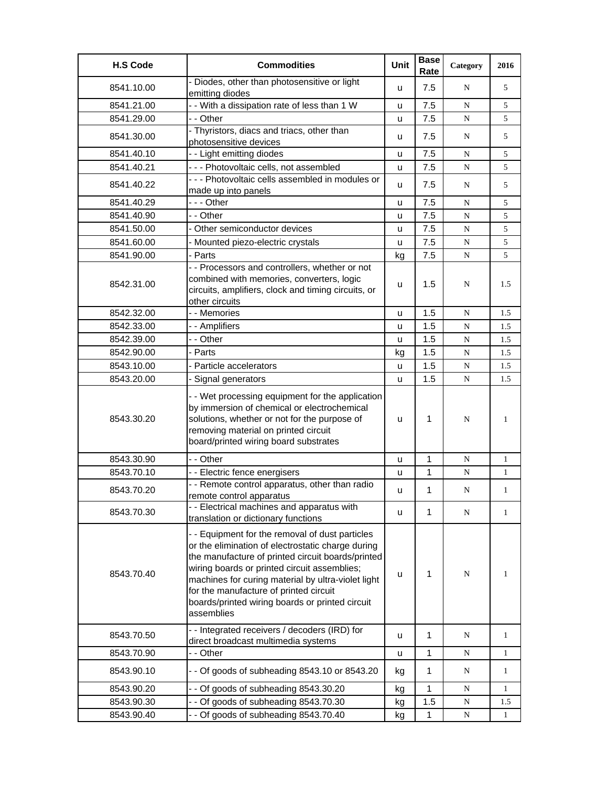| <b>H.S Code</b> | <b>Commodities</b>                                                                                                                                                                                                                                                                                                                                                         | <b>Unit</b> | <b>Base</b><br>Rate | Category  | 2016         |
|-----------------|----------------------------------------------------------------------------------------------------------------------------------------------------------------------------------------------------------------------------------------------------------------------------------------------------------------------------------------------------------------------------|-------------|---------------------|-----------|--------------|
| 8541.10.00      | - Diodes, other than photosensitive or light<br>emitting diodes                                                                                                                                                                                                                                                                                                            | u           | 7.5                 | N         | 5            |
| 8541.21.00      | - - With a dissipation rate of less than 1 W                                                                                                                                                                                                                                                                                                                               | u           | 7.5                 | N         | 5            |
| 8541.29.00      | - - Other                                                                                                                                                                                                                                                                                                                                                                  | u           | 7.5                 | N         | 5            |
| 8541.30.00      | - Thyristors, diacs and triacs, other than<br>photosensitive devices                                                                                                                                                                                                                                                                                                       | u           | 7.5                 | N         | 5            |
| 8541.40.10      | - - Light emitting diodes                                                                                                                                                                                                                                                                                                                                                  | u           | 7.5                 | N         | 5            |
| 8541.40.21      | - - - Photovoltaic cells, not assembled                                                                                                                                                                                                                                                                                                                                    | u           | 7.5                 | N         | 5            |
| 8541.40.22      | - - - Photovoltaic cells assembled in modules or<br>made up into panels                                                                                                                                                                                                                                                                                                    | u           | 7.5                 | N         | 5            |
| 8541.40.29      | - - - Other                                                                                                                                                                                                                                                                                                                                                                | u           | 7.5                 | ${\bf N}$ | 5            |
| 8541.40.90      | - - Other                                                                                                                                                                                                                                                                                                                                                                  | u           | 7.5                 | N         | 5            |
| 8541.50.00      | - Other semiconductor devices                                                                                                                                                                                                                                                                                                                                              | u           | 7.5                 | N         | 5            |
| 8541.60.00      | - Mounted piezo-electric crystals                                                                                                                                                                                                                                                                                                                                          | u           | 7.5                 | N         | 5            |
| 8541.90.00      | - Parts                                                                                                                                                                                                                                                                                                                                                                    | kg          | 7.5                 | N         | 5            |
| 8542.31.00      | - - Processors and controllers, whether or not<br>combined with memories, converters, logic<br>circuits, amplifiers, clock and timing circuits, or<br>other circuits                                                                                                                                                                                                       | u           | 1.5                 | N         | 1.5          |
| 8542.32.00      | - - Memories                                                                                                                                                                                                                                                                                                                                                               | u           | 1.5                 | N         | 1.5          |
| 8542.33.00      | - - Amplifiers                                                                                                                                                                                                                                                                                                                                                             | u           | 1.5                 | N         | 1.5          |
| 8542.39.00      | - - Other                                                                                                                                                                                                                                                                                                                                                                  | u           | 1.5                 | ${\bf N}$ | 1.5          |
| 8542.90.00      | - Parts                                                                                                                                                                                                                                                                                                                                                                    | kg          | 1.5                 | N         | 1.5          |
| 8543.10.00      | - Particle accelerators                                                                                                                                                                                                                                                                                                                                                    | u           | 1.5                 | N         | 1.5          |
| 8543.20.00      | Signal generators                                                                                                                                                                                                                                                                                                                                                          | u           | 1.5                 | N         | 1.5          |
| 8543.30.20      | - - Wet processing equipment for the application<br>by immersion of chemical or electrochemical<br>solutions, whether or not for the purpose of<br>removing material on printed circuit<br>board/printed wiring board substrates                                                                                                                                           | u           | 1                   | N         | 1            |
| 8543.30.90      | - - Other                                                                                                                                                                                                                                                                                                                                                                  | u           | $\mathbf 1$         | ${\bf N}$ | 1            |
| 8543.70.10      | - - Electric fence energisers                                                                                                                                                                                                                                                                                                                                              | u           | 1                   | N         | 1            |
| 8543.70.20      | - - Remote control apparatus, other than radio<br>remote control apparatus                                                                                                                                                                                                                                                                                                 | u           | 1                   | ${\bf N}$ | 1            |
| 8543.70.30      | - - Electrical machines and apparatus with<br>translation or dictionary functions                                                                                                                                                                                                                                                                                          | u           | 1                   | ${\bf N}$ | 1            |
| 8543.70.40      | - - Equipment for the removal of dust particles<br>or the elimination of electrostatic charge during<br>the manufacture of printed circuit boards/printed<br>wiring boards or printed circuit assemblies;<br>machines for curing material by ultra-violet light<br>for the manufacture of printed circuit<br>boards/printed wiring boards or printed circuit<br>assemblies | u           | 1                   | N         | 1            |
| 8543.70.50      | - - Integrated receivers / decoders (IRD) for<br>direct broadcast multimedia systems                                                                                                                                                                                                                                                                                       | u           | 1                   | N         | 1            |
| 8543.70.90      | - - Other                                                                                                                                                                                                                                                                                                                                                                  | u           | 1                   | N         | 1            |
| 8543.90.10      | - - Of goods of subheading 8543.10 or 8543.20                                                                                                                                                                                                                                                                                                                              | kg          | 1                   | N         | $\mathbf{1}$ |
| 8543.90.20      | - - Of goods of subheading 8543.30.20                                                                                                                                                                                                                                                                                                                                      | kg          | 1                   | ${\bf N}$ | $\mathbf{1}$ |
| 8543.90.30      | - - Of goods of subheading 8543.70.30                                                                                                                                                                                                                                                                                                                                      | kg          | 1.5                 | N         | 1.5          |
| 8543.90.40      | - - Of goods of subheading 8543.70.40                                                                                                                                                                                                                                                                                                                                      | kg          | 1                   | N         | $\mathbf{1}$ |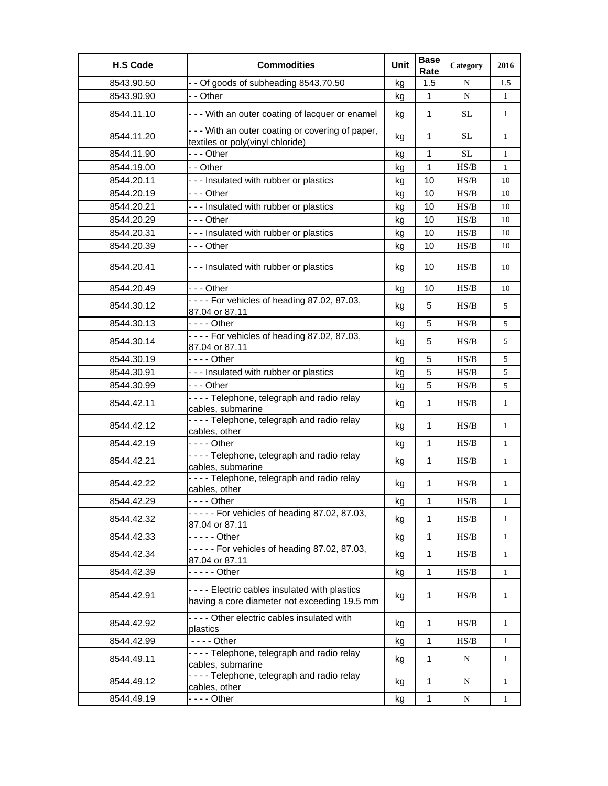| <b>H.S Code</b> | <b>Commodities</b>                                                                           | Unit | <b>Base</b><br>Rate | Category                                                                               | 2016         |
|-----------------|----------------------------------------------------------------------------------------------|------|---------------------|----------------------------------------------------------------------------------------|--------------|
| 8543.90.50      | - - Of goods of subheading 8543.70.50                                                        | kg   | 1.5                 | N                                                                                      | 1.5          |
| 8543.90.90      | - - Other                                                                                    | kg   | $\mathbf 1$         | N                                                                                      | $\mathbf{1}$ |
| 8544.11.10      | - - - With an outer coating of lacquer or enamel                                             | kg   | $\mathbf{1}$        | <b>SL</b>                                                                              | $\mathbf{1}$ |
| 8544.11.20      | - - - With an outer coating or covering of paper,<br>textiles or poly(vinyl chloride)        | kg   | 1                   | <b>SL</b>                                                                              | $\mathbf{1}$ |
| 8544.11.90      | --- Other                                                                                    | kg   | $\mathbf{1}$        | <b>SL</b>                                                                              | $\mathbf{1}$ |
| 8544.19.00      | - - Other                                                                                    | kg   | $\mathbf{1}$        | HS/B                                                                                   | $\mathbf{1}$ |
| 8544.20.11      | --- Insulated with rubber or plastics                                                        | kg   | 10                  | HS/B                                                                                   | 10           |
| 8544.20.19      | -  - - Other                                                                                 | kg   | 10                  | HS/B                                                                                   | 10           |
| 8544.20.21      | --- Insulated with rubber or plastics                                                        | kg   | 10                  | HS/B                                                                                   | 10           |
| 8544.20.29      | -  - - Other                                                                                 | kg   | 10                  | HS/B                                                                                   | 10           |
| 8544.20.31      | --- Insulated with rubber or plastics                                                        | kg   | 10                  | HS/B                                                                                   | 10           |
| 8544.20.39      | -  - - Other                                                                                 | kg   | 10                  | HS/B                                                                                   | 10           |
| 8544.20.41      | --- Insulated with rubber or plastics                                                        | kg   | 10                  | HS/B                                                                                   | 10           |
| 8544.20.49      | --- Other                                                                                    | kg   | 10                  | HS/B                                                                                   | 10           |
| 8544.30.12      | - - - - For vehicles of heading 87.02, 87.03,<br>87.04 or 87.11                              | kg   | 5                   | HS/B                                                                                   | 5            |
| 8544.30.13      | $--$ Other                                                                                   | kg   | 5                   | HS/B                                                                                   | 5            |
| 8544.30.14      | - - - - For vehicles of heading 87.02, 87.03,<br>87.04 or 87.11                              | kg   | 5                   | HS/B                                                                                   | 5            |
| 8544.30.19      | - - - - Other                                                                                | kg   | 5                   | HS/B                                                                                   | 5            |
| 8544.30.91      | --- Insulated with rubber or plastics                                                        | kg   | 5                   | $\ensuremath{\mathbf{H}}\ensuremath{\mathbf{S}}\xspace/\ensuremath{\mathbf{B}}\xspace$ | 5            |
| 8544.30.99      | --- Other                                                                                    | kg   | 5                   | HS/B                                                                                   | 5            |
| 8544.42.11      | - - - - Telephone, telegraph and radio relay<br>cables, submarine                            | kg   | $\mathbf{1}$        | HS/B                                                                                   | $\mathbf{1}$ |
| 8544.42.12      | - - - - Telephone, telegraph and radio relay<br>cables, other                                | kg   | 1                   | HS/B                                                                                   | $\mathbf{1}$ |
| 8544.42.19      | $--$ Other                                                                                   | kg   | 1                   | HS/B                                                                                   | $\mathbf{1}$ |
| 8544.42.21      | ---- Telephone, telegraph and radio relay<br>cables, submarine                               | kg   | $\mathbf{1}$        | HS/B                                                                                   | $\mathbf{1}$ |
| 8544.42.22      | ----Telephone, telegraph and radio relay<br>cables, other                                    | kg   | 1                   | HS/B                                                                                   | $\mathbf{1}$ |
| 8544.42.29      |                                                                                              | kg   | 1                   | HS/B                                                                                   | 1            |
| 8544.42.32      | $---$ For vehicles of heading 87.02, 87.03,<br>87.04 or 87.11                                | kg   | 1                   | HS/B                                                                                   | 1            |
| 8544.42.33      |                                                                                              | kg   | 1                   | HS/B                                                                                   | $\mathbf{1}$ |
| 8544.42.34      | $---$ For vehicles of heading 87.02, 87.03,<br>87.04 or 87.11                                | kg   | $\mathbf{1}$        | HS/B                                                                                   | $\mathbf{1}$ |
| 8544.42.39      | - - - - - Other                                                                              | kg   | 1                   | HS/B                                                                                   | $\mathbf{1}$ |
| 8544.42.91      | ---- Electric cables insulated with plastics<br>having a core diameter not exceeding 19.5 mm | kg   | 1                   | HS/B                                                                                   | 1            |
| 8544.42.92      | - - - - Other electric cables insulated with<br>plastics                                     | kg   | $\mathbf{1}$        | HS/B                                                                                   | $\mathbf{1}$ |
| 8544.42.99      | $--$ Other                                                                                   | kg   | $\mathbf{1}$        | HS/B                                                                                   | $\mathbf{1}$ |
| 8544.49.11      | - - - - Telephone, telegraph and radio relay<br>cables, submarine                            | kg   | $\mathbf{1}$        | N                                                                                      | $\mathbf{1}$ |
| 8544.49.12      | - - - - Telephone, telegraph and radio relay<br>cables, other                                | kg   | 1                   | N                                                                                      | $\mathbf{1}$ |
| 8544.49.19      | - - - - Other                                                                                | kg   | 1                   | N                                                                                      | $\mathbf{1}$ |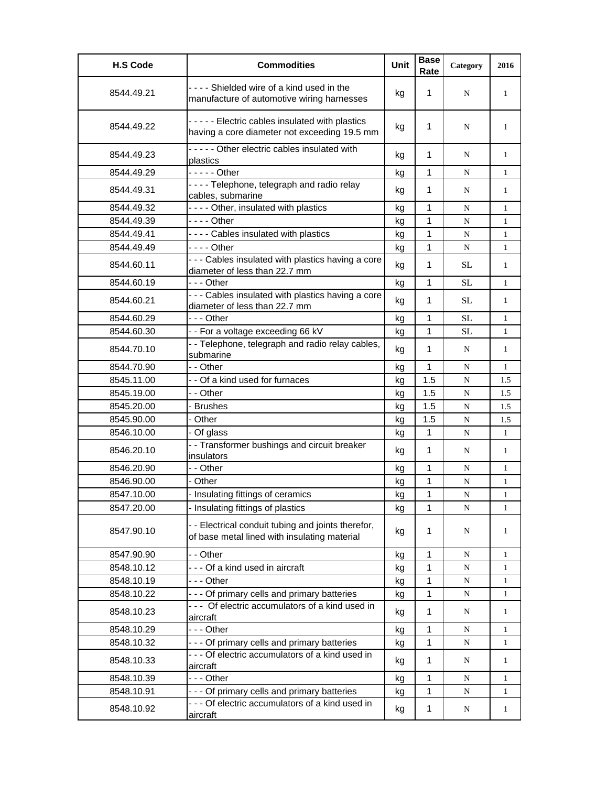| <b>H.S Code</b> | <b>Commodities</b>                                                                                 | Unit | <b>Base</b><br>Rate | Category  | 2016         |
|-----------------|----------------------------------------------------------------------------------------------------|------|---------------------|-----------|--------------|
| 8544.49.21      | ---- Shielded wire of a kind used in the<br>manufacture of automotive wiring harnesses             | kg   | 1                   | N         | 1            |
| 8544.49.22      | - - - - - Electric cables insulated with plastics<br>having a core diameter not exceeding 19.5 mm  | kg   | 1                   | N         | 1            |
| 8544.49.23      | - - - - - Other electric cables insulated with<br>plastics                                         | kg   | 1                   | N         | 1            |
| 8544.49.29      | - - - - - Other                                                                                    | kg   | 1                   | N         | 1            |
| 8544.49.31      | ---- Telephone, telegraph and radio relay<br>cables, submarine                                     | kg   | 1                   | N         | $\mathbf{1}$ |
| 8544.49.32      | ---- Other, insulated with plastics                                                                | kg   | 1                   | N         | 1            |
| 8544.49.39      | - - - - Other                                                                                      | kg   | $\mathbf{1}$        | N         | $\mathbf{1}$ |
| 8544.49.41      | - - - - Cables insulated with plastics                                                             | kg   | 1                   | N         | $\mathbf{1}$ |
| 8544.49.49      | $--$ Other                                                                                         | kg   | $\mathbf{1}$        | N         | $\mathbf{1}$ |
| 8544.60.11      | - - - Cables insulated with plastics having a core<br>diameter of less than 22.7 mm                | kg   | $\mathbf 1$         | SL        | $\mathbf{1}$ |
| 8544.60.19      | --- Other                                                                                          | kg   | 1                   | <b>SL</b> | $\mathbf{1}$ |
| 8544.60.21      | - - - Cables insulated with plastics having a core<br>diameter of less than 22.7 mm                | kg   | 1                   | SL        | $\mathbf{1}$ |
| 8544.60.29      | - - - Other                                                                                        | kg   | 1                   | <b>SL</b> | $\mathbf{1}$ |
| 8544.60.30      | - - For a voltage exceeding 66 kV                                                                  | kg   | 1                   | SL        | $\mathbf{1}$ |
| 8544.70.10      | - - Telephone, telegraph and radio relay cables,<br>submarine                                      | kg   | $\mathbf 1$         | N         | $\mathbf{1}$ |
| 8544.70.90      | - - Other                                                                                          | kg   | $\mathbf{1}$        | ${\bf N}$ | $\mathbf{1}$ |
| 8545.11.00      | - - Of a kind used for furnaces                                                                    | kg   | 1.5                 | ${\bf N}$ | 1.5          |
| 8545.19.00      | - - Other                                                                                          | kg   | 1.5                 | N         | 1.5          |
| 8545.20.00      | - Brushes                                                                                          | kg   | 1.5                 | ${\bf N}$ | 1.5          |
| 8545.90.00      | - Other                                                                                            | kg   | 1.5                 | N         | 1.5          |
| 8546.10.00      | - Of glass                                                                                         | kg   | $\mathbf{1}$        | ${\bf N}$ | $\mathbf{1}$ |
| 8546.20.10      | - - Transformer bushings and circuit breaker<br>insulators                                         | kg   | $\mathbf 1$         | N         | $\mathbf{1}$ |
| 8546.20.90      | - - Other                                                                                          | kg   | $\mathbf{1}$        | N         | $\mathbf{1}$ |
| 8546.90.00      | - Other                                                                                            | kg   | 1                   | ${\bf N}$ | $\mathbf{1}$ |
| 8547.10.00      | - Insulating fittings of ceramics                                                                  | kg   | 1                   | ${\bf N}$ | $\mathbf{1}$ |
| 8547.20.00      | - Insulating fittings of plastics                                                                  | kg   | 1                   | ${\bf N}$ | $\mathbf{1}$ |
| 8547.90.10      | - - Electrical conduit tubing and joints therefor,<br>of base metal lined with insulating material | kg   | 1                   | N         | 1            |
| 8547.90.90      | - - Other                                                                                          | kg   | $\mathbf{1}$        | ${\bf N}$ | $\mathbf{1}$ |
| 8548.10.12      | --- Of a kind used in aircraft                                                                     | kg   | 1                   | ${\bf N}$ | 1            |
| 8548.10.19      | --- Other                                                                                          | kg   | 1                   | ${\bf N}$ | $\mathbf{1}$ |
| 8548.10.22      | - - - Of primary cells and primary batteries                                                       | kg   | 1                   | N         | $\mathbf{1}$ |
| 8548.10.23      | --- Of electric accumulators of a kind used in<br>aircraft                                         | kg   | $\mathbf{1}$        | N         | $\mathbf{1}$ |
| 8548.10.29      | --- Other                                                                                          | kg   | 1                   | N         | 1            |
| 8548.10.32      | - - - Of primary cells and primary batteries                                                       | kg   | 1                   | N         | $\mathbf{1}$ |
| 8548.10.33      | - - - Of electric accumulators of a kind used in<br>aircraft                                       | kg   | 1                   | N         | $\mathbf{1}$ |
| 8548.10.39      | --- Other                                                                                          | kg   | 1                   | N         | $\mathbf{1}$ |
| 8548.10.91      | - - - Of primary cells and primary batteries                                                       | kg   | 1                   | ${\bf N}$ | 1            |
| 8548.10.92      | - - - Of electric accumulators of a kind used in<br>aircraft                                       | kg   | $\mathbf{1}$        | N         | $\mathbf{1}$ |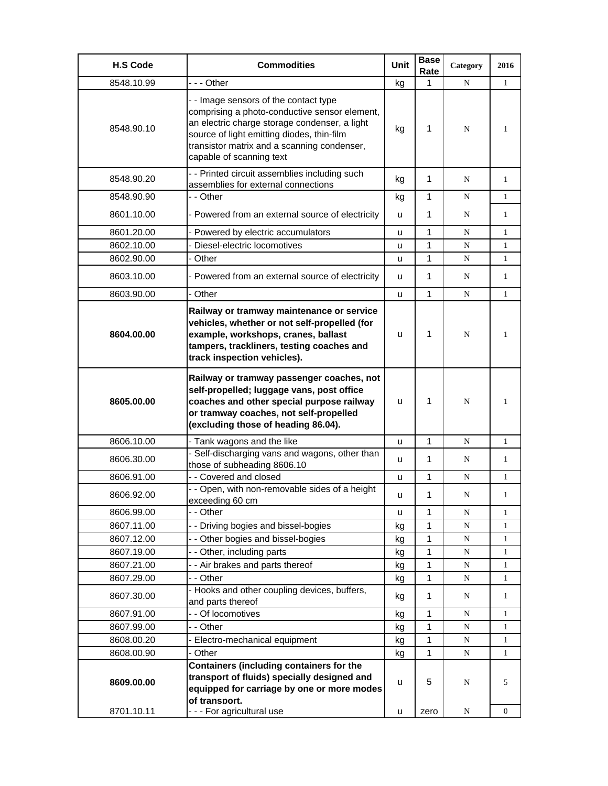| <b>H.S Code</b>          | <b>Commodities</b>                                                                                                                                                                                                                                               | Unit   | <b>Base</b><br>Rate | Category  | 2016         |
|--------------------------|------------------------------------------------------------------------------------------------------------------------------------------------------------------------------------------------------------------------------------------------------------------|--------|---------------------|-----------|--------------|
| 8548.10.99               | - - - Other                                                                                                                                                                                                                                                      | kg     | 1                   | N         | $\mathbf{1}$ |
| 8548.90.10               | - - Image sensors of the contact type<br>comprising a photo-conductive sensor element,<br>an electric charge storage condenser, a light<br>source of light emitting diodes, thin-film<br>transistor matrix and a scanning condenser,<br>capable of scanning text | kg     | 1                   | N         | 1            |
| 8548.90.20               | - - Printed circuit assemblies including such<br>assemblies for external connections                                                                                                                                                                             | kg     | 1                   | N         | 1            |
| 8548.90.90               | - - Other                                                                                                                                                                                                                                                        | kg     | 1                   | N         | $\mathbf{1}$ |
| 8601.10.00               | - Powered from an external source of electricity                                                                                                                                                                                                                 | u      | 1                   | N         | 1            |
| 8601.20.00               | - Powered by electric accumulators                                                                                                                                                                                                                               | u      | 1                   | N         | 1            |
| 8602.10.00               | Diesel-electric locomotives                                                                                                                                                                                                                                      | u      | 1                   | N         | $\mathbf{1}$ |
| 8602.90.00               | - Other                                                                                                                                                                                                                                                          | u      | 1                   | N         | 1            |
| 8603.10.00               | - Powered from an external source of electricity                                                                                                                                                                                                                 | u      | 1                   | N         | 1            |
| 8603.90.00               | - Other                                                                                                                                                                                                                                                          | u      | 1                   | N         | $\mathbf{1}$ |
| 8604.00.00               | Railway or tramway maintenance or service<br>vehicles, whether or not self-propelled (for<br>example, workshops, cranes, ballast<br>tampers, trackliners, testing coaches and<br>track inspection vehicles).                                                     | u      | 1                   | N         | 1            |
| 8605.00.00               | Railway or tramway passenger coaches, not<br>self-propelled; luggage vans, post office<br>coaches and other special purpose railway<br>or tramway coaches, not self-propelled<br>(excluding those of heading 86.04).                                             | u      | 1                   | N         | 1            |
| 8606.10.00               | - Tank wagons and the like                                                                                                                                                                                                                                       | u      | 1                   | N         | $\mathbf{1}$ |
| 8606.30.00               | - Self-discharging vans and wagons, other than<br>those of subheading 8606.10                                                                                                                                                                                    | u      | 1                   | N         | 1            |
| 8606.91.00               | - - Covered and closed                                                                                                                                                                                                                                           | u      | 1                   | N         | 1            |
| 8606.92.00               | - - Open, with non-removable sides of a height<br>exceeding 60 cm                                                                                                                                                                                                | u      | 1                   | N         | 1            |
| 8606.99.00               | - - Other                                                                                                                                                                                                                                                        | u      | 1                   | N         | 1            |
| 8607.11.00               | - - Driving bogies and bissel-bogies                                                                                                                                                                                                                             | kg     | 1                   | N         | 1            |
| 8607.12.00               | - - Other bogies and bissel-bogies                                                                                                                                                                                                                               | kg     | 1                   | ${\bf N}$ | 1            |
| 8607.19.00               | - - Other, including parts                                                                                                                                                                                                                                       | kg     | 1                   | N         | $\mathbf{1}$ |
| 8607.21.00               | - - Air brakes and parts thereof                                                                                                                                                                                                                                 | kg     | 1                   | N         | $\mathbf{1}$ |
| 8607.29.00               | - - Other                                                                                                                                                                                                                                                        | kg     | 1                   | N         | 1            |
| 8607.30.00               | - Hooks and other coupling devices, buffers,<br>and parts thereof                                                                                                                                                                                                | kg     | $\mathbf{1}$        | N         | $\mathbf{1}$ |
| 8607.91.00               | - - Of locomotives                                                                                                                                                                                                                                               | kg     | 1                   | N         | 1            |
| 8607.99.00               | - - Other                                                                                                                                                                                                                                                        | kg     | 1                   | N         | 1            |
| 8608.00.20               | - Electro-mechanical equipment                                                                                                                                                                                                                                   | kg     | 1                   | N         | 1            |
| 8608.00.90               | - Other                                                                                                                                                                                                                                                          | kg     | 1                   | N         | $\mathbf{1}$ |
| 8609.00.00<br>8701.10.11 | Containers (including containers for the<br>transport of fluids) specially designed and<br>equipped for carriage by one or more modes<br>of transport.<br>--- For agricultural use                                                                               | u<br>u | 5<br>zero           | N<br>N    | 5<br>0       |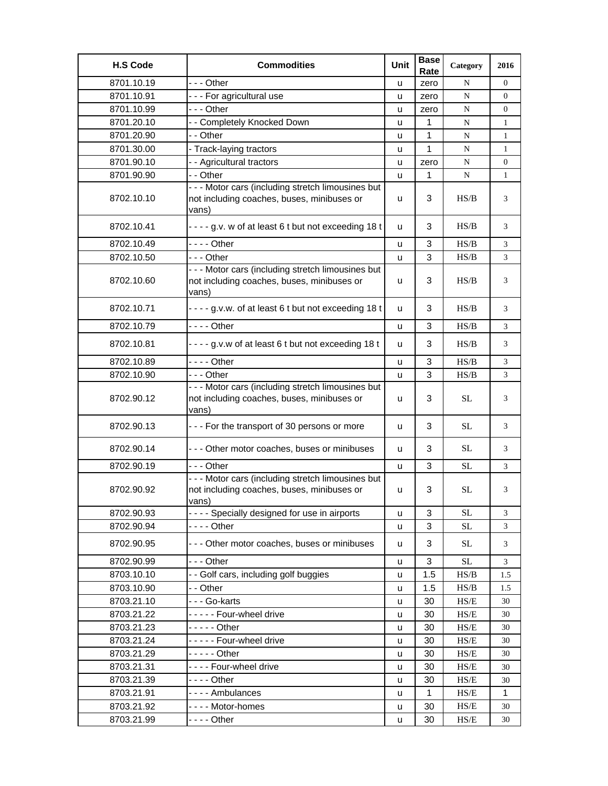| <b>H.S Code</b> | <b>Commodities</b>                                                                                               | Unit | <b>Base</b><br>Rate | Category                                                                | 2016             |
|-----------------|------------------------------------------------------------------------------------------------------------------|------|---------------------|-------------------------------------------------------------------------|------------------|
| 8701.10.19      | --- Other                                                                                                        | u    | zero                | N                                                                       | 0                |
| 8701.10.91      | - - - For agricultural use                                                                                       | u    | zero                | N                                                                       | $\overline{0}$   |
| 8701.10.99      | - - - Other                                                                                                      | u    | zero                | ${\bf N}$                                                               | 0                |
| 8701.20.10      | - - Completely Knocked Down                                                                                      | u    | 1                   | ${\bf N}$                                                               | 1                |
| 8701.20.90      | - - Other                                                                                                        | u    | 1                   | ${\bf N}$                                                               | $\mathbf{1}$     |
| 8701.30.00      | - Track-laying tractors                                                                                          | u    | 1                   | N                                                                       | $\mathbf{1}$     |
| 8701.90.10      | - - Agricultural tractors                                                                                        | u    | zero                | ${\bf N}$                                                               | $\boldsymbol{0}$ |
| 8701.90.90      | - - Other                                                                                                        | u    | 1                   | N                                                                       | 1                |
| 8702.10.10      | - - - Motor cars (including stretch limousines but<br>not including coaches, buses, minibuses or<br>vans)        | u    | 3                   | HS/B                                                                    | 3                |
| 8702.10.41      | - - - - g.v. w of at least 6 t but not exceeding 18 t                                                            | u    | 3                   | HS/B                                                                    | 3                |
| 8702.10.49      | - - - - Other                                                                                                    | u    | 3                   | HS/B                                                                    | 3                |
| 8702.10.50      | - - - Other                                                                                                      | u    | 3                   | HS/B                                                                    | 3                |
| 8702.10.60      | - - - Motor cars (including stretch limousines but<br>not including coaches, buses, minibuses or<br>vans)        | u    | 3                   | HS/B                                                                    | 3                |
| 8702.10.71      | - - - - g.v.w. of at least 6 t but not exceeding 18 t                                                            | u    | 3                   | HS/B                                                                    | 3                |
| 8702.10.79      | $--$ Other                                                                                                       | u    | 3                   | HS/B                                                                    | 3                |
| 8702.10.81      | - - - - g.v.w of at least 6 t but not exceeding 18 t                                                             | u    | 3                   | HS/B                                                                    | 3                |
| 8702.10.89      | - - - - Other                                                                                                    | u    | 3                   | HS/B                                                                    | 3                |
| 8702.10.90      | --- Other                                                                                                        | u    | 3                   | HS/B                                                                    | 3                |
| 8702.90.12      | - - - Motor cars (including stretch limousines but<br>not including coaches, buses, minibuses or<br>vans)        | u    | 3                   | SL                                                                      | 3                |
| 8702.90.13      | - - - For the transport of 30 persons or more                                                                    | u    | 3                   | <b>SL</b>                                                               | 3                |
| 8702.90.14      | - - - Other motor coaches, buses or minibuses                                                                    | u    | 3                   | <b>SL</b>                                                               | 3                |
| 8702.90.19      | -  - - Other                                                                                                     | u    | 3                   | <b>SL</b>                                                               | 3                |
| 8702.90.92      | - - - Motor cars (including stretch limousines but<br>not including coaches, buses, minibuses or<br><u>vans)</u> | u    | 3                   | <b>SL</b>                                                               | 3                |
| 8702.90.93      | - - - - Specially designed for use in airports                                                                   | u    | 3                   | $\rm SL$                                                                | 3                |
| 8702.90.94      | - - - - Other                                                                                                    | u    | 3                   | <b>SL</b>                                                               | 3                |
| 8702.90.95      | - - - Other motor coaches, buses or minibuses                                                                    | u    | 3                   | <b>SL</b>                                                               | 3                |
| 8702.90.99      | - - - Other                                                                                                      | u    | 3                   | <b>SL</b>                                                               | 3                |
| 8703.10.10      | -- Golf cars, including golf buggies                                                                             | u    | 1.5                 | HS/B                                                                    | 1.5              |
| 8703.10.90      | - - Other                                                                                                        | u    | 1.5                 | HS/B                                                                    | 1.5              |
| 8703.21.10      | - - - Go-karts                                                                                                   | u    | 30                  | HS/E                                                                    | 30               |
| 8703.21.22      | - - - - - Four-wheel drive                                                                                       | u    | 30                  | HS/E                                                                    | 30               |
| 8703.21.23      |                                                                                                                  | u    | 30                  | HS/E                                                                    | 30               |
| 8703.21.24      | ----- Four-wheel drive                                                                                           | u    | 30                  | HS/E                                                                    | 30               |
| 8703.21.29      | - - - - - Other                                                                                                  | u    | 30                  | HS/E                                                                    | 30               |
| 8703.21.31      | ---- Four-wheel drive                                                                                            | u    | 30                  | HS/E                                                                    | 30               |
| 8703.21.39      |                                                                                                                  | u    | 30                  | HS/E                                                                    | 30               |
| 8703.21.91      | ---- Ambulances                                                                                                  | u    | 1                   | HS/E                                                                    | 1                |
| 8703.21.92      | - - - - Motor-homes                                                                                              | u    | 30                  | $\ensuremath{\mathbf{H}}\ensuremath{\mathbf{S}}\ensuremath{\mathbf{E}}$ | 30               |
| 8703.21.99      |                                                                                                                  | u    | 30                  | HS/E                                                                    | 30               |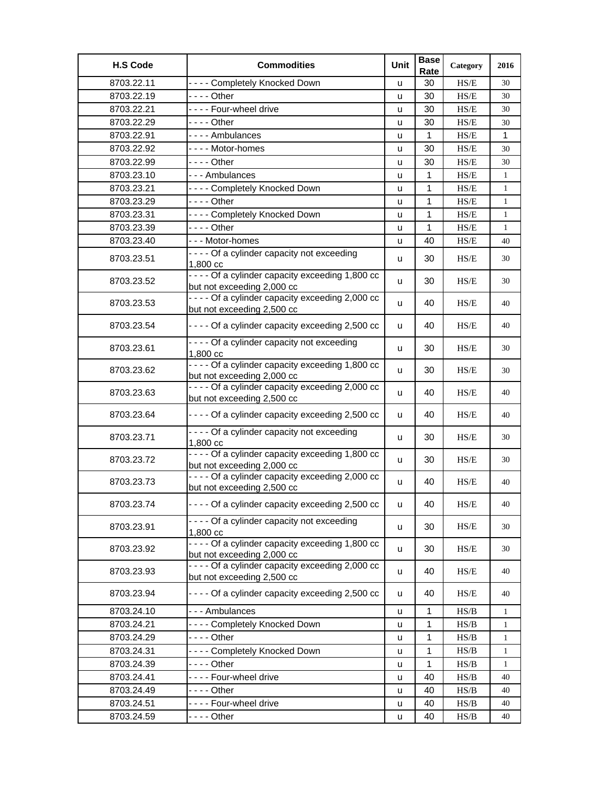| <b>H.S Code</b> | <b>Commodities</b>                                | Unit | <b>Base</b><br>Rate | Category                                                                               | 2016         |
|-----------------|---------------------------------------------------|------|---------------------|----------------------------------------------------------------------------------------|--------------|
| 8703.22.11      | ---- Completely Knocked Down                      | u    | 30                  | HS/E                                                                                   | 30           |
| 8703.22.19      |                                                   | u    | 30                  | HS/E                                                                                   | 30           |
| 8703.22.21      | ---- Four-wheel drive                             | u    | 30                  | HS/E                                                                                   | 30           |
| 8703.22.29      | - - - - Other                                     | u    | 30                  | $\ensuremath{\mathbf{H}}\ensuremath{\mathbf{S}}\ensuremath{\mathbf{E}}$                | 30           |
| 8703.22.91      | - - - - Ambulances                                | u    | $\mathbf{1}$        | $\ensuremath{\mathbf{H}}\ensuremath{\mathbf{S}}\ensuremath{\mathbf{E}}$                | $\mathbf{1}$ |
| 8703.22.92      | ---- Motor-homes                                  | u    | 30                  | HS/E                                                                                   | 30           |
| 8703.22.99      | - - - - Other                                     | u    | 30                  | $\ensuremath{\mathbf{H}}\ensuremath{\mathbf{S}}\ensuremath{\mathbf{E}}$                | 30           |
| 8703.23.10      | --- Ambulances                                    | u    | 1                   | HS/E                                                                                   | $\mathbf{1}$ |
| 8703.23.21      | ---- Completely Knocked Down                      | u    | 1                   | $\ensuremath{\mathbf{H}}\ensuremath{\mathbf{S}}\ensuremath{\mathbf{E}}$                | $\mathbf{1}$ |
| 8703.23.29      | - - - - Other                                     | u    | 1                   | HS/E                                                                                   | $\mathbf{1}$ |
| 8703.23.31      | ---- Completely Knocked Down                      | u    | 1                   | HS/E                                                                                   | $\mathbf{1}$ |
| 8703.23.39      | - - - - Other                                     | u    | 1                   | $\ensuremath{\mathbf{H}}\ensuremath{\mathbf{S}}\ensuremath{\mathbf{E}}$                | $\mathbf{1}$ |
| 8703.23.40      | --- Motor-homes                                   | u    | 40                  | $\ensuremath{\mathbf{H}}\ensuremath{\mathbf{S}}\ensuremath{\mathbf{E}}$                | 40           |
|                 | - - - - Of a cylinder capacity not exceeding      |      |                     |                                                                                        |              |
| 8703.23.51      | 1,800 cc                                          | u    | 30                  | HS/E                                                                                   | 30           |
| 8703.23.52      | - - - - Of a cylinder capacity exceeding 1,800 cc |      | 30                  | HS/E                                                                                   | 30           |
|                 | but not exceeding 2,000 cc                        | u    |                     |                                                                                        |              |
| 8703.23.53      | - - - - Of a cylinder capacity exceeding 2,000 cc | u    | 40                  | HS/E                                                                                   | 40           |
|                 | but not exceeding 2,500 cc                        |      |                     |                                                                                        |              |
| 8703.23.54      | - - - - Of a cylinder capacity exceeding 2,500 cc | u    | 40                  | HS/E                                                                                   | 40           |
|                 | - - - - Of a cylinder capacity not exceeding      |      |                     |                                                                                        |              |
| 8703.23.61      | 1,800 cc                                          | u    | 30                  | HS/E                                                                                   | 30           |
| 8703.23.62      | - - - - Of a cylinder capacity exceeding 1,800 cc | u    | 30                  | HS/E                                                                                   | 30           |
|                 | but not exceeding 2,000 cc                        |      |                     |                                                                                        |              |
| 8703.23.63      | - - - - Of a cylinder capacity exceeding 2,000 cc | u    | 40                  | HS/E                                                                                   | 40           |
|                 | but not exceeding 2,500 cc                        |      |                     |                                                                                        |              |
| 8703.23.64      | - - - - Of a cylinder capacity exceeding 2,500 cc | u    | 40                  | HS/E                                                                                   | 40           |
|                 | - - - - Of a cylinder capacity not exceeding      |      |                     |                                                                                        |              |
| 8703.23.71      | 1,800 cc                                          | u    | 30                  | HS/E                                                                                   | 30           |
| 8703.23.72      | - - - - Of a cylinder capacity exceeding 1,800 cc | u    | 30                  | HS/E                                                                                   | 30           |
|                 | but not exceeding 2,000 cc                        |      |                     |                                                                                        |              |
| 8703.23.73      | - - - - Of a cylinder capacity exceeding 2,000 cc | u    | 40                  | HS/E                                                                                   | 40           |
|                 | but not exceeding 2,500 cc                        |      |                     |                                                                                        |              |
| 8703.23.74      | - - - - Of a cylinder capacity exceeding 2,500 cc | u    | 40                  | $\ensuremath{\mathbf{H}}\ensuremath{\mathbf{S}}\ensuremath{\mathbf{E}}$                | 40           |
|                 | - - - - Of a cylinder capacity not exceeding      |      |                     |                                                                                        |              |
| 8703.23.91      | 1,800 cc                                          | u    | 30                  | HS/E                                                                                   | 30           |
| 8703.23.92      | - - - - Of a cylinder capacity exceeding 1,800 cc | u    | 30                  | HS/E                                                                                   | 30           |
|                 | but not exceeding 2,000 cc                        |      |                     |                                                                                        |              |
| 8703.23.93      | - - - - Of a cylinder capacity exceeding 2,000 cc | u    | 40                  | HS/E                                                                                   | 40           |
|                 | but not exceeding 2,500 cc                        |      |                     |                                                                                        |              |
| 8703.23.94      | - - - - Of a cylinder capacity exceeding 2,500 cc | u    | 40                  | HS/E                                                                                   | 40           |
| 8703.24.10      | --- Ambulances                                    | u    | 1                   | HS/B                                                                                   | $\mathbf{1}$ |
| 8703.24.21      | ---- Completely Knocked Down                      | u    | 1                   | $\ensuremath{\mathbf{H}}\ensuremath{\mathbf{S}}\xspace/\ensuremath{\mathbf{B}}\xspace$ | $\mathbf{1}$ |
| 8703.24.29      | - - - - Other                                     | u    | 1                   | HS/B                                                                                   | $\mathbf{1}$ |
| 8703.24.31      | ---- Completely Knocked Down                      | u    | 1                   | HS/B                                                                                   | 1            |
| 8703.24.39      | - - - - Other                                     | u    | $\mathbf 1$         | HS/B                                                                                   | $\mathbf{1}$ |
| 8703.24.41      | ---- Four-wheel drive                             | u    | 40                  | $\ensuremath{\mathbf{H}}\ensuremath{\mathbf{S}}\xspace/\ensuremath{\mathbf{B}}\xspace$ | 40           |
| 8703.24.49      | - - - - Other                                     | u    | 40                  | HS/B                                                                                   | 40           |
| 8703.24.51      | ---- Four-wheel drive                             | u    | 40                  | HS/B                                                                                   | 40           |
| 8703.24.59      |                                                   |      | 40                  | HS/B                                                                                   |              |
|                 |                                                   | u    |                     |                                                                                        | 40           |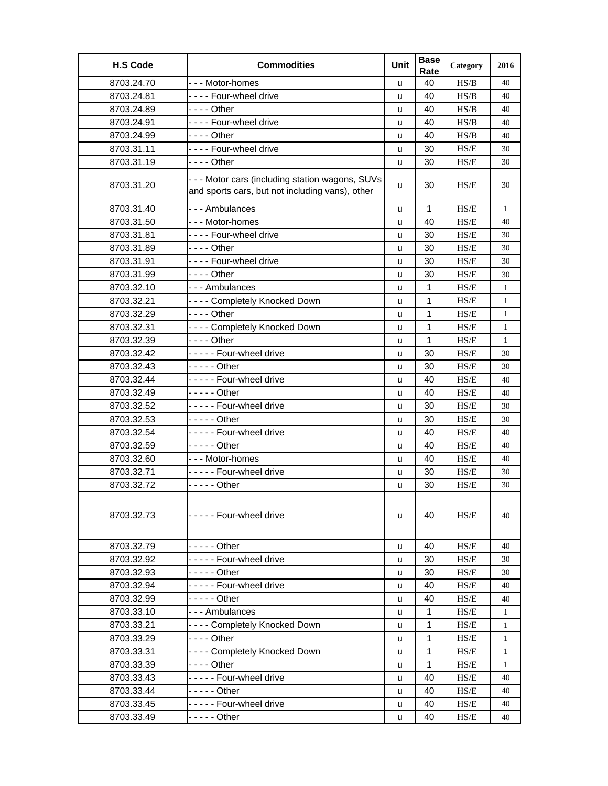| <b>H.S Code</b> | <b>Commodities</b>                                                                                | Unit | <b>Base</b><br>Rate | Category | 2016         |
|-----------------|---------------------------------------------------------------------------------------------------|------|---------------------|----------|--------------|
| 8703.24.70      | --- Motor-homes                                                                                   | u    | 40                  | HS/B     | 40           |
| 8703.24.81      | ---- Four-wheel drive                                                                             | u    | 40                  | HS/B     | 40           |
| 8703.24.89      | - - - - Other                                                                                     | u    | 40                  | HS/B     | 40           |
| 8703.24.91      | ---- Four-wheel drive                                                                             | u    | 40                  | HS/B     | 40           |
| 8703.24.99      | - - - - Other                                                                                     | u    | 40                  | HS/B     | 40           |
| 8703.31.11      | ---- Four-wheel drive                                                                             | u    | 30                  | HS/E     | 30           |
| 8703.31.19      | - - - - Other                                                                                     | u    | 30                  | HS/E     | 30           |
| 8703.31.20      | --- Motor cars (including station wagons, SUVs<br>and sports cars, but not including vans), other | u    | 30                  | HS/E     | 30           |
| 8703.31.40      | --- Ambulances                                                                                    | u    | 1                   | HS/E     | 1            |
| 8703.31.50      | --- Motor-homes                                                                                   | u    | 40                  | HS/E     | 40           |
| 8703.31.81      | ---- Four-wheel drive                                                                             | u    | 30                  | HS/E     | 30           |
| 8703.31.89      | - - - - Other                                                                                     | u    | 30                  | HS/E     | 30           |
| 8703.31.91      | ---- Four-wheel drive                                                                             | u    | 30                  | HS/E     | 30           |
| 8703.31.99      | - - - - Other                                                                                     | u    | 30                  | HS/E     | 30           |
| 8703.32.10      | --- Ambulances                                                                                    | u    | 1                   | HS/E     | 1            |
| 8703.32.21      | ---- Completely Knocked Down                                                                      | u    | 1                   | HS/E     | $\mathbf{1}$ |
| 8703.32.29      | $--$ Other                                                                                        | u    | 1                   | HS/E     | $\mathbf{1}$ |
| 8703.32.31      | ---- Completely Knocked Down                                                                      | u    | 1                   | HS/E     | $\mathbf{1}$ |
| 8703.32.39      | - - - - Other                                                                                     | u    | 1                   | HS/E     | $\mathbf{1}$ |
| 8703.32.42      | ----- Four-wheel drive                                                                            | u    | 30                  | HS/E     | 30           |
| 8703.32.43      | $---$ Other                                                                                       | u    | 30                  | HS/E     | 30           |
| 8703.32.44      | ----- Four-wheel drive                                                                            | u    | 40                  | HS/E     | 40           |
| 8703.32.49      | $---$ Other                                                                                       | u    | 40                  | HS/E     | 40           |
| 8703.32.52      | ----- Four-wheel drive                                                                            | u    | 30                  | HS/E     | 30           |
| 8703.32.53      | $---$ Other                                                                                       | u    | 30                  | HS/E     | 30           |
| 8703.32.54      | ----- Four-wheel drive                                                                            | u    | 40                  | HS/E     | 40           |
| 8703.32.59      | - - - - - Other                                                                                   | u    | 40                  | HS/E     | 40           |
| 8703.32.60      | --- Motor-homes                                                                                   | u    | 40                  | HS/E     | 40           |
| 8703.32.71      | ----- Four-wheel drive                                                                            | u    | 30                  | HS/E     | 30           |
| 8703.32.72      | - - - - - Other                                                                                   | u    | 30                  | HS/E     | 30           |
| 8703.32.73      | ----- Four-wheel drive                                                                            | u    | 40                  | HS/E     | 40           |
| 8703.32.79      | $---$ Other                                                                                       | u    | 40                  | HS/E     | 40           |
| 8703.32.92      | ----- Four-wheel drive                                                                            | u    | 30                  | HS/E     | 30           |
| 8703.32.93      | - - - - - Other                                                                                   | u    | 30                  | HS/E     | 30           |
| 8703.32.94      | ----- Four-wheel drive                                                                            | u    | 40                  | HS/E     | 40           |
| 8703.32.99      | - - - - - Other                                                                                   | u    | 40                  | HS/E     | 40           |
| 8703.33.10      | --- Ambulances                                                                                    | u    | $\mathbf{1}$        | HS/E     | $\mathbf{1}$ |
| 8703.33.21      | ---- Completely Knocked Down                                                                      | u    | 1                   | HS/E     | $\mathbf{1}$ |
| 8703.33.29      | - - - - Other                                                                                     | u    | 1                   | HS/E     | 1            |
| 8703.33.31      | ---- Completely Knocked Down                                                                      | u    | 1                   | HS/E     | $\mathbf{1}$ |
| 8703.33.39      |                                                                                                   | u    | 1                   | HS/E     | $\mathbf{1}$ |
| 8703.33.43      | ----- Four-wheel drive                                                                            | u    | 40                  | HS/E     | 40           |
| 8703.33.44      | - - - - - Other                                                                                   | u    | 40                  | HS/E     | 40           |
| 8703.33.45      | ----- Four-wheel drive                                                                            | u    | 40                  | HS/E     | 40           |
| 8703.33.49      | - - - - - Other                                                                                   | u    | 40                  | HS/E     | 40           |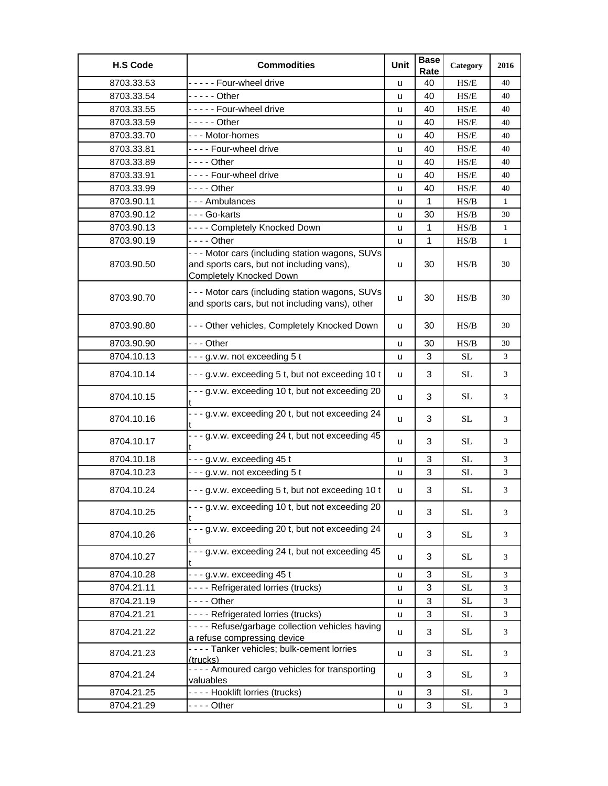| <b>H.S Code</b> | <b>Commodities</b>                                                                                                              | Unit | <b>Base</b><br>Rate | Category            | 2016           |
|-----------------|---------------------------------------------------------------------------------------------------------------------------------|------|---------------------|---------------------|----------------|
| 8703.33.53      | ----- Four-wheel drive                                                                                                          | u    | 40                  | HS/E                | 40             |
| 8703.33.54      | - - - - - Other                                                                                                                 | u    | 40                  | H S/E               | 40             |
| 8703.33.55      | - - - - - Four-wheel drive                                                                                                      | u    | 40                  | HS/E                | 40             |
| 8703.33.59      | - - - - - Other                                                                                                                 | u    | 40                  | HS/E                | 40             |
| 8703.33.70      | --- Motor-homes                                                                                                                 | u    | 40                  | HS/E                | 40             |
| 8703.33.81      | ---- Four-wheel drive                                                                                                           | u    | 40                  | HS/E                | 40             |
| 8703.33.89      | - - - - Other                                                                                                                   | u    | 40                  | HS/E                | 40             |
| 8703.33.91      | ---- Four-wheel drive                                                                                                           | u    | 40                  | HS/E                | 40             |
| 8703.33.99      | - - - - Other                                                                                                                   | u    | 40                  | HS/E                | 40             |
| 8703.90.11      | --- Ambulances                                                                                                                  | u    | $\mathbf{1}$        | HS/B                | $\mathbf{1}$   |
| 8703.90.12      | - - - Go-karts                                                                                                                  | u    | 30                  | HS/B                | 30             |
| 8703.90.13      | ---- Completely Knocked Down                                                                                                    | u    | 1                   | HS/B                | 1              |
| 8703.90.19      | - - - - Other                                                                                                                   | u    | 1                   | HS/B                | $\mathbf{1}$   |
| 8703.90.50      | - - - Motor cars (including station wagons, SUVs<br>and sports cars, but not including vans),<br><b>Completely Knocked Down</b> | u    | 30                  | HS/B                | 30             |
| 8703.90.70      | --- Motor cars (including station wagons, SUVs<br>and sports cars, but not including vans), other                               | u    | 30                  | HS/B                | 30             |
| 8703.90.80      | --- Other vehicles, Completely Knocked Down                                                                                     | u    | 30                  | HS/B                | 30             |
| 8703.90.90      | --- Other                                                                                                                       | u    | 30                  | HS/B                | 30             |
| 8704.10.13      | ---g.v.w. not exceeding 5 t                                                                                                     | u    | 3                   | <b>SL</b>           | 3              |
| 8704.10.14      | --- g.v.w. exceeding 5 t, but not exceeding 10 t                                                                                | u    | 3                   | <b>SL</b>           | 3              |
| 8704.10.15      | - - - g.v.w. exceeding 10 t, but not exceeding 20                                                                               | u    | 3                   | <b>SL</b>           | 3              |
| 8704.10.16      | - - - g.v.w. exceeding 20 t, but not exceeding 24                                                                               | u    | 3                   | <b>SL</b>           | 3              |
| 8704.10.17      | - - - g.v.w. exceeding 24 t, but not exceeding 45                                                                               | u    | 3                   | <b>SL</b>           | 3              |
| 8704.10.18      | --- g.v.w. exceeding 45 t                                                                                                       | u    | 3                   | <b>SL</b>           | 3              |
| 8704.10.23      | ---g.v.w. not exceeding 5 t                                                                                                     | u    | 3                   | <b>SL</b>           | 3              |
| 8704.10.24      | ---g.v.w. exceeding 5 t, but not exceeding 10 t                                                                                 | u    | 3                   | <b>SL</b>           | 3              |
| 8704.10.25      | --- g.v.w. exceeding 10 t, but not exceeding 20                                                                                 | u    | 3                   | $\operatorname{SL}$ | 3              |
| 8704.10.26      | --- g.v.w. exceeding 20 t, but not exceeding 24                                                                                 | u    | 3                   | $\rm SL$            | 3              |
| 8704.10.27      | - - - g.v.w. exceeding 24 t, but not exceeding 45<br>t                                                                          | u    | 3                   | <b>SL</b>           | 3              |
| 8704.10.28      | $- - g.v.w.$ exceeding 45 t                                                                                                     | u    | 3                   | <b>SL</b>           | 3              |
| 8704.21.11      | ---- Refrigerated lorries (trucks)                                                                                              | u    | 3                   | $\rm SL$            | $\mathfrak{Z}$ |
| 8704.21.19      | $--$ Other                                                                                                                      | u    | 3                   | <b>SL</b>           | 3              |
| 8704.21.21      | ---- Refrigerated lorries (trucks)                                                                                              | u    | 3                   | <b>SL</b>           | 3              |
| 8704.21.22      | - - - - Refuse/garbage collection vehicles having<br>a refuse compressing device                                                | u    | 3                   | SL                  | 3              |
| 8704.21.23      | - - - - Tanker vehicles; bulk-cement lorries<br>(trucks)                                                                        | u    | 3                   | $\operatorname{SL}$ | 3              |
| 8704.21.24      | - - - - Armoured cargo vehicles for transporting<br>valuables                                                                   | u    | 3                   | <b>SL</b>           | 3              |
| 8704.21.25      | ---- Hooklift lorries (trucks)                                                                                                  | u    | 3                   | $\rm SL$            | 3              |
| 8704.21.29      | - - - - Other                                                                                                                   | u    | 3                   | <b>SL</b>           | 3              |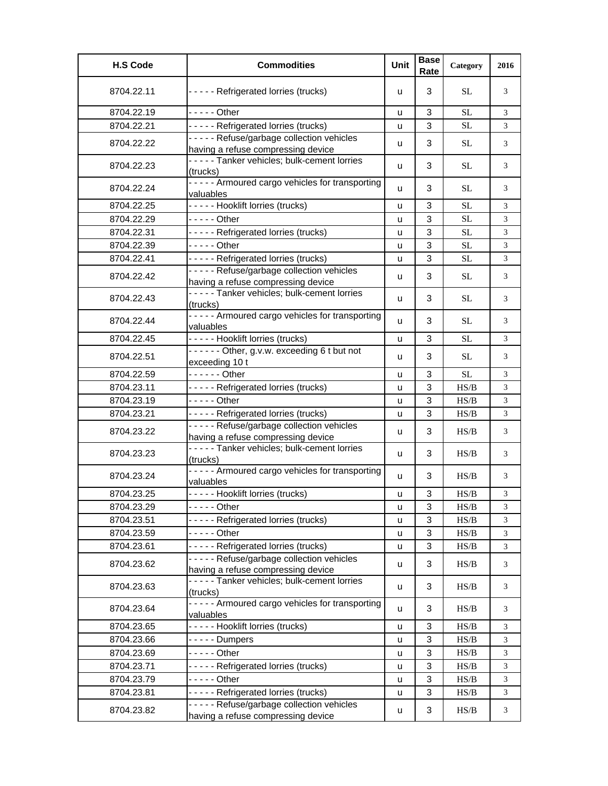| <b>H.S Code</b> | <b>Commodities</b>                                                             | Unit | <b>Base</b><br>Rate | Category  | 2016 |
|-----------------|--------------------------------------------------------------------------------|------|---------------------|-----------|------|
| 8704.22.11      | ----- Refrigerated lorries (trucks)                                            | u    | 3                   | SL.       | 3    |
| 8704.22.19      | $---$ Other                                                                    | u    | 3                   | <b>SL</b> | 3    |
| 8704.22.21      | ----- Refrigerated lorries (trucks)                                            | u    | 3                   | <b>SL</b> | 3    |
| 8704.22.22      | ----- Refuse/garbage collection vehicles<br>having a refuse compressing device | u    | 3                   | SL.       | 3    |
| 8704.22.23      | ----- Tanker vehicles; bulk-cement lorries<br>(trucks)                         | u    | 3                   | <b>SL</b> | 3    |
| 8704.22.24      | - - - - - Armoured cargo vehicles for transporting<br>valuables                | u    | 3                   | <b>SL</b> | 3    |
| 8704.22.25      | ----- Hooklift lorries (trucks)                                                | u    | 3                   | <b>SL</b> | 3    |
| 8704.22.29      | $---$ Other                                                                    | u    | 3                   | <b>SL</b> | 3    |
| 8704.22.31      | ----- Refrigerated lorries (trucks)                                            | u    | 3                   | <b>SL</b> | 3    |
| 8704.22.39      | - - - - - Other                                                                | u    | 3                   | <b>SL</b> | 3    |
| 8704.22.41      | ----- Refrigerated lorries (trucks)                                            | u    | 3                   | <b>SL</b> | 3    |
| 8704.22.42      | ----- Refuse/garbage collection vehicles<br>having a refuse compressing device | u    | 3                   | <b>SL</b> | 3    |
| 8704.22.43      | ----- Tanker vehicles; bulk-cement lorries<br>(trucks)                         | u    | 3                   | <b>SL</b> | 3    |
| 8704.22.44      | ----- Armoured cargo vehicles for transporting<br>valuables                    | u    | 3                   | <b>SL</b> | 3    |
| 8704.22.45      | ----- Hooklift lorries (trucks)                                                | u    | 3                   | SL.       | 3    |
| 8704.22.51      | $---$ Other, g.v.w. exceeding 6 t but not<br>exceeding 10 t                    | u    | 3                   | <b>SL</b> | 3    |
| 8704.22.59      | - - - - - - Other                                                              | u    | 3                   | <b>SL</b> | 3    |
| 8704.23.11      | ----- Refrigerated lorries (trucks)                                            | u    | 3                   | HS/B      | 3    |
| 8704.23.19      | - - - - - Other                                                                | u    | 3                   | HS/B      | 3    |
| 8704.23.21      | ----- Refrigerated lorries (trucks)                                            | u    | 3                   | HS/B      | 3    |
| 8704.23.22      | ----- Refuse/garbage collection vehicles<br>having a refuse compressing device | u    | 3                   | HS/B      | 3    |
| 8704.23.23      | ----- Tanker vehicles; bulk-cement lorries<br>(trucks)                         | u    | 3                   | HS/B      | 3    |
| 8704.23.24      | ----- Armoured cargo vehicles for transporting<br>valuables                    | u    | 3                   | HS/B      | 3    |
| 8704.23.25      | ----- Hooklift lorries (trucks)                                                | u    | 3                   | HS/B      | 3    |
| 8704.23.29      | - - - - - Other                                                                | u    | 3                   | HS/B      | 3    |
| 8704.23.51      | ----- Refrigerated lorries (trucks)                                            | u    | 3                   | HS/B      | 3    |
| 8704.23.59      | $---$ Other                                                                    | u    | 3                   | HS/B      | 3    |
| 8704.23.61      | ----- Refrigerated lorries (trucks)                                            | u    | 3                   | HS/B      | 3    |
| 8704.23.62      | ----- Refuse/garbage collection vehicles<br>having a refuse compressing device | u    | 3                   | HS/B      | 3    |
| 8704.23.63      | -----Tanker vehicles; bulk-cement lorries<br>(trucks)                          | u    | 3                   | HS/B      | 3    |
| 8704.23.64      | - - - - - Armoured cargo vehicles for transporting<br>valuables                | u    | 3                   | HS/B      | 3    |
| 8704.23.65      | ----- Hooklift lorries (trucks)                                                | u    | 3                   | HS/B      | 3    |
| 8704.23.66      | - - - - - Dumpers                                                              | u    | 3                   | HS/B      | 3    |
| 8704.23.69      | $---$ Other                                                                    | u    | 3                   | HS/B      | 3    |
| 8704.23.71      | ----- Refrigerated lorries (trucks)                                            | u    | 3                   | HS/B      | 3    |
| 8704.23.79      | $---$ Other                                                                    | u    | 3                   | HS/B      | 3    |
| 8704.23.81      | ----- Refrigerated lorries (trucks)                                            | u    | 3                   | HS/B      | 3    |
| 8704.23.82      | ----- Refuse/garbage collection vehicles<br>having a refuse compressing device | u    | 3                   | HS/B      | 3    |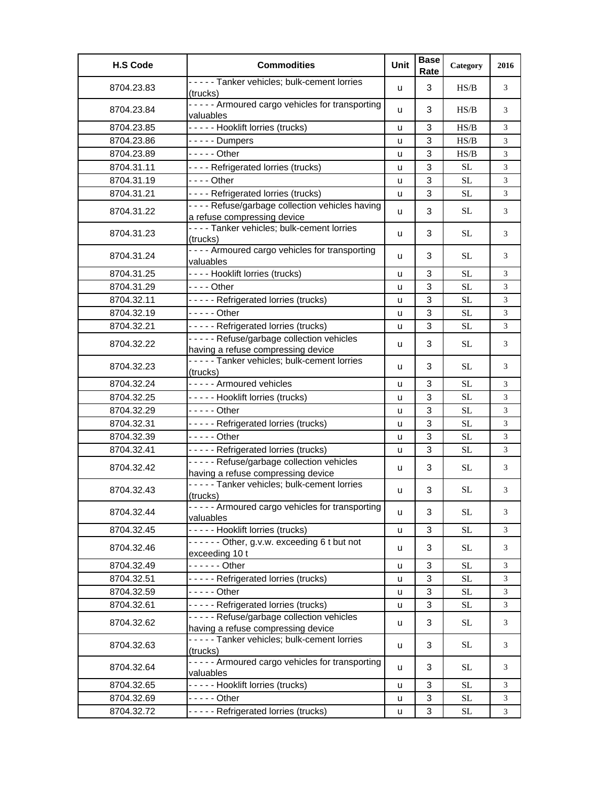| <b>H.S Code</b> | <b>Commodities</b>                                                               | Unit | <b>Base</b><br>Rate | Category  | 2016           |
|-----------------|----------------------------------------------------------------------------------|------|---------------------|-----------|----------------|
| 8704.23.83      | ----- Tanker vehicles; bulk-cement lorries<br>(trucks)                           | u    | 3                   | H S/B     | 3              |
| 8704.23.84      | ----- Armoured cargo vehicles for transporting<br>valuables                      | u    | 3                   | H S/B     | 3              |
| 8704.23.85      | ----- Hooklift lorries (trucks)                                                  | u    | 3                   | HS/B      | 3              |
| 8704.23.86      | - - - - - Dumpers                                                                | u    | 3                   | HS/B      | 3              |
| 8704.23.89      | $--$ - - - Other                                                                 | ū    | 3                   | HS/B      | 3              |
| 8704.31.11      | - - - - Refrigerated lorries (trucks)                                            | u    | 3                   | <b>SL</b> | 3              |
| 8704.31.19      | $--$ Other                                                                       | u    | $\sqrt{3}$          | <b>SL</b> | $\mathfrak{Z}$ |
| 8704.31.21      | - - - - Refrigerated lorries (trucks)                                            | u    | 3                   | <b>SL</b> | 3              |
| 8704.31.22      | - - - - Refuse/garbage collection vehicles having<br>a refuse compressing device | u    | 3                   | SL        | 3              |
| 8704.31.23      | ---- Tanker vehicles; bulk-cement lorries<br>(trucks)                            | u    | 3                   | SL.       | 3              |
| 8704.31.24      | - - - - Armoured cargo vehicles for transporting<br>valuables                    | u    | 3                   | SL.       | 3              |
| 8704.31.25      | ---- Hooklift lorries (trucks)                                                   | u    | 3                   | <b>SL</b> | 3              |
| 8704.31.29      | $--$ Other                                                                       | u    | 3                   | SL        | 3              |
| 8704.32.11      | ----- Refrigerated lorries (trucks)                                              | u    | 3                   | <b>SL</b> | 3              |
| 8704.32.19      | $---$ Other                                                                      | u    | 3                   | <b>SL</b> | 3              |
| 8704.32.21      | ----- Refrigerated lorries (trucks)                                              | u    | 3                   | <b>SL</b> | 3              |
| 8704.32.22      | ----- Refuse/garbage collection vehicles<br>having a refuse compressing device   | u    | 3                   | <b>SL</b> | 3              |
| 8704.32.23      | ----- Tanker vehicles; bulk-cement lorries<br>(trucks)                           | u    | 3                   | <b>SL</b> | 3              |
| 8704.32.24      | ----- Armoured vehicles                                                          | u    | 3                   | <b>SL</b> | 3              |
| 8704.32.25      | ----- Hooklift lorries (trucks)                                                  | u    | 3                   | SL        | 3              |
| 8704.32.29      | $--$ - - - Other                                                                 | u    | 3                   | SL        | 3              |
| 8704.32.31      | ----- Refrigerated lorries (trucks)                                              | u    | $\sqrt{3}$          | <b>SL</b> | $\mathfrak{Z}$ |
| 8704.32.39      | $-- -$ Other                                                                     | u    | 3                   | <b>SL</b> | 3              |
| 8704.32.41      | ----- Refrigerated lorries (trucks)                                              | u    | 3                   | <b>SL</b> | 3              |
|                 | ----- Refuse/garbage collection vehicles                                         |      |                     |           |                |
| 8704.32.42      | having a refuse compressing device<br>----- Tanker vehicles; bulk-cement lorries | u    | 3                   | SL        | 3              |
| 8704.32.43      | (trucks)                                                                         | u    | 3                   | <b>SL</b> | 3              |
| 8704.32.44      | ----- Armoured cargo vehicles for transporting<br>valuables                      | u    | 3                   | $\rm SL$  | 3              |
| 8704.32.45      | ----- Hooklift lorries (trucks)                                                  | u    | 3                   | <b>SL</b> | 3              |
| 8704.32.46      | ------ Other, g.v.w. exceeding 6 t but not<br>exceeding 10 t                     | u    | 3                   | <b>SL</b> | 3              |
| 8704.32.49      | $---$ Other                                                                      | u    | 3                   | <b>SL</b> | 3              |
| 8704.32.51      | ----- Refrigerated lorries (trucks)                                              | u    | 3                   | <b>SL</b> | 3              |
| 8704.32.59      | $--$ - - - Other                                                                 | u    | 3                   | $\rm SL$  | 3              |
| 8704.32.61      | ----- Refrigerated lorries (trucks)                                              | u    | 3                   | $\rm SL$  | 3              |
| 8704.32.62      | ----- Refuse/garbage collection vehicles<br>having a refuse compressing device   | u    | 3                   | $\rm SL$  | 3              |
| 8704.32.63      | ----- Tanker vehicles; bulk-cement lorries<br>(trucks)                           | u    | 3                   | $\rm SL$  | 3              |
| 8704.32.64      | ----- Armoured cargo vehicles for transporting<br>valuables                      | u    | 3                   | <b>SL</b> | 3              |
| 8704.32.65      | ----- Hooklift lorries (trucks)                                                  | u    | 3                   | SL        | 3              |
| 8704.32.69      | $---$ Other                                                                      | u    | 3                   | <b>SL</b> | 3              |
| 8704.32.72      | ----- Refrigerated lorries (trucks)                                              | u    | 3                   | <b>SL</b> | 3              |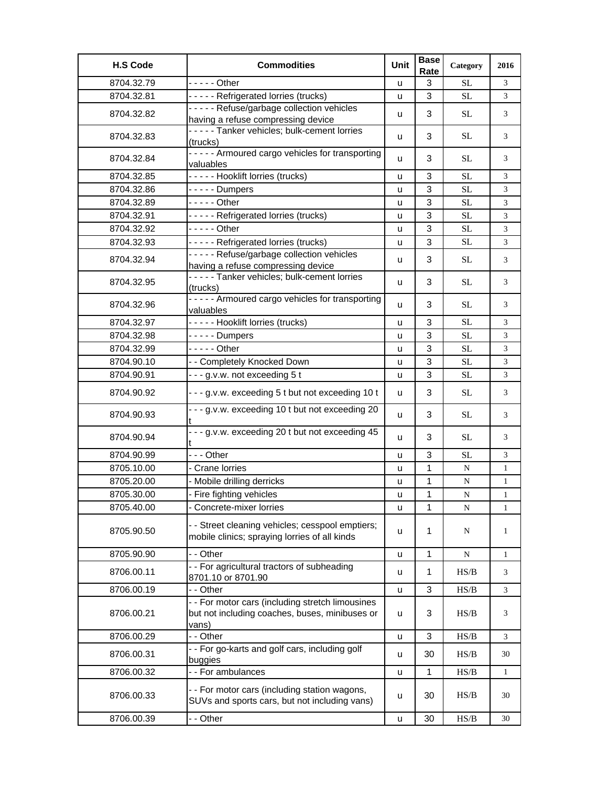| <b>H.S Code</b> | <b>Commodities</b>                                                                                          | Unit | <b>Base</b><br>Rate | Category  | 2016         |
|-----------------|-------------------------------------------------------------------------------------------------------------|------|---------------------|-----------|--------------|
| 8704.32.79      | $---$ Other                                                                                                 | u    | 3                   | <b>SL</b> | 3            |
| 8704.32.81      | ----- Refrigerated lorries (trucks)                                                                         | u    | 3                   | <b>SL</b> | 3            |
| 8704.32.82      | ----- Refuse/garbage collection vehicles                                                                    |      | 3                   | <b>SL</b> | 3            |
|                 | having a refuse compressing device                                                                          | u    |                     |           |              |
| 8704.32.83      | -----Tanker vehicles; bulk-cement lorries<br>(trucks)                                                       | u    | 3                   | <b>SL</b> | 3            |
| 8704.32.84      | ----- Armoured cargo vehicles for transporting<br>valuables                                                 | u    | 3                   | <b>SL</b> | 3            |
| 8704.32.85      | ----- Hooklift lorries (trucks)                                                                             | u    | 3                   | <b>SL</b> | 3            |
| 8704.32.86      | - - - - - Dumpers                                                                                           | u    | 3                   | <b>SL</b> | 3            |
| 8704.32.89      | - - - - - Other                                                                                             | u    | 3                   | <b>SL</b> | 3            |
| 8704.32.91      | ----- Refrigerated lorries (trucks)                                                                         | u    | 3                   | <b>SL</b> | 3            |
| 8704.32.92      | - - - - - Other                                                                                             | u    | 3                   | <b>SL</b> | 3            |
| 8704.32.93      | ----- Refrigerated lorries (trucks)                                                                         | u    | 3                   | <b>SL</b> | 3            |
| 8704.32.94      | ----- Refuse/garbage collection vehicles<br>having a refuse compressing device                              | u    | 3                   | <b>SL</b> | 3            |
| 8704.32.95      | ----- Tanker vehicles; bulk-cement lorries<br>(trucks)                                                      | u    | 3                   | <b>SL</b> | 3            |
| 8704.32.96      | ----- Armoured cargo vehicles for transporting<br>valuables                                                 | u    | 3                   | <b>SL</b> | 3            |
| 8704.32.97      | ----- Hooklift lorries (trucks)                                                                             | u    | 3                   | <b>SL</b> | 3            |
| 8704.32.98      | $-- - -$ Dumpers                                                                                            | u    | 3                   | <b>SL</b> | 3            |
| 8704.32.99      | $---$ Other                                                                                                 | u    | 3                   | <b>SL</b> | 3            |
| 8704.90.10      | - - Completely Knocked Down                                                                                 | u    | 3                   | <b>SL</b> | 3            |
| 8704.90.91      | ---g.v.w. not exceeding 5 t                                                                                 | u    | 3                   | <b>SL</b> | 3            |
| 8704.90.92      | ---g.v.w. exceeding 5 t but not exceeding 10 t                                                              | u    | 3                   | <b>SL</b> | 3            |
| 8704.90.93      | --- g.v.w. exceeding 10 t but not exceeding 20                                                              | u    | 3                   | <b>SL</b> | 3            |
| 8704.90.94      | - - - g.v.w. exceeding 20 t but not exceeding 45                                                            | u    | 3                   | <b>SL</b> | 3            |
| 8704.90.99      | --- Other                                                                                                   | u    | 3                   | <b>SL</b> | 3            |
| 8705.10.00      | - Crane lorries                                                                                             | u    | 1                   | N         | $\mathbf{1}$ |
| 8705.20.00      | - Mobile drilling derricks                                                                                  | u    | 1                   | ${\bf N}$ | $\mathbf{1}$ |
| 8705.30.00      | - Fire fighting vehicles                                                                                    | u    | 1                   | N         | $\mathbf{1}$ |
| 8705.40.00      | Concrete-mixer lorries                                                                                      | u    | 1                   | N         | $\mathbf{1}$ |
| 8705.90.50      | - - Street cleaning vehicles; cesspool emptiers;<br>mobile clinics; spraying lorries of all kinds           | u    | 1                   | N         | 1            |
| 8705.90.90      | - - Other                                                                                                   | u    | $\mathbf{1}$        | ${\bf N}$ | $\mathbf{1}$ |
| 8706.00.11      | - - For agricultural tractors of subheading<br>8701.10 or 8701.90                                           | u    | $\mathbf 1$         | HS/B      | 3            |
| 8706.00.19      | - - Other                                                                                                   | u    | 3                   | HS/B      | 3            |
| 8706.00.21      | - - For motor cars (including stretch limousines<br>but not including coaches, buses, minibuses or<br>vans) | u    | 3                   | HS/B      | 3            |
| 8706.00.29      | - - Other                                                                                                   | u    | 3                   | HS/B      | 3            |
| 8706.00.31      | - - For go-karts and golf cars, including golf<br>buggies                                                   | u    | 30                  | HS/B      | 30           |
| 8706.00.32      | - - For ambulances                                                                                          | u    | $\mathbf{1}$        | HS/B      | $\mathbf{1}$ |
| 8706.00.33      | - - For motor cars (including station wagons,<br>SUVs and sports cars, but not including vans)              | u    | 30                  | HS/B      | 30           |
| 8706.00.39      | - - Other                                                                                                   | u    | 30                  | HS/B      | 30           |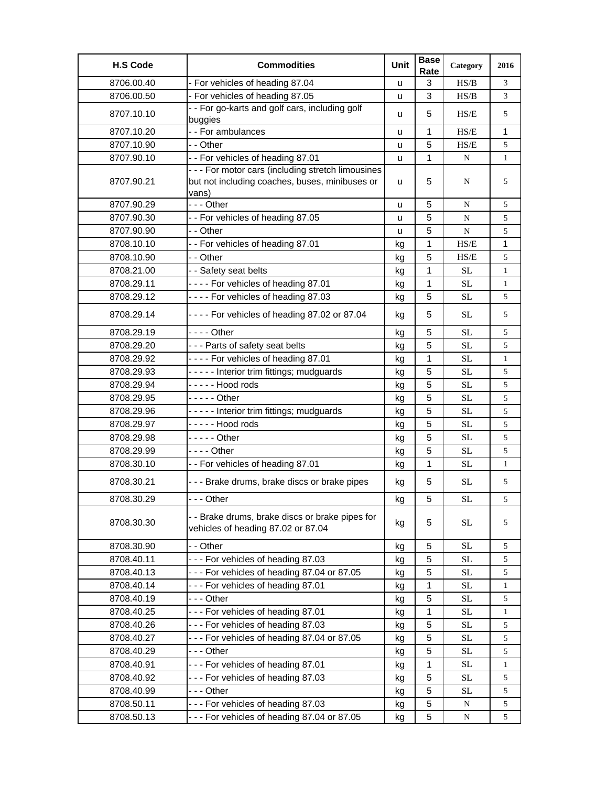| <b>H.S Code</b> | <b>Commodities</b>                                                                                            | Unit | <b>Base</b><br>Rate | Category  | 2016         |
|-----------------|---------------------------------------------------------------------------------------------------------------|------|---------------------|-----------|--------------|
| 8706.00.40      | - For vehicles of heading 87.04                                                                               | u    | 3                   | HS/B      | 3            |
| 8706.00.50      | - For vehicles of heading 87.05                                                                               | u    | 3                   | HS/B      | 3            |
| 8707.10.10      | - - For go-karts and golf cars, including golf<br>buggies                                                     | u    | 5                   | HS/E      | 5            |
| 8707.10.20      | - - For ambulances                                                                                            | u    | 1                   | HS/E      | 1            |
| 8707.10.90      | - - Other                                                                                                     | u    | 5                   | HS/E      | 5            |
| 8707.90.10      | -- For vehicles of heading 87.01                                                                              | u    | 1                   | ${\bf N}$ | $\mathbf{1}$ |
| 8707.90.21      | - - - For motor cars (including stretch limousines<br>but not including coaches, buses, minibuses or<br>vans) | u    | 5                   | N         | 5            |
| 8707.90.29      | --- Other                                                                                                     | u    | 5                   | N         | 5            |
| 8707.90.30      | - - For vehicles of heading 87.05                                                                             | u    | 5                   | N         | 5            |
| 8707.90.90      | - - Other                                                                                                     | u    | 5                   | ${\bf N}$ | 5            |
| 8708.10.10      | - - For vehicles of heading 87.01                                                                             | kg   | 1                   | HS/E      | 1            |
| 8708.10.90      | - - Other                                                                                                     | kg   | 5                   | HS/E      | 5            |
| 8708.21.00      | - - Safety seat belts                                                                                         | kg   | 1                   | <b>SL</b> | $\mathbf{1}$ |
| 8708.29.11      | ---- For vehicles of heading 87.01                                                                            | kg   | 1                   | SL        | $\mathbf{1}$ |
| 8708.29.12      | ---- For vehicles of heading 87.03                                                                            | kg   | 5                   | SL        | 5            |
| 8708.29.14      | - - - - For vehicles of heading 87.02 or 87.04                                                                | kg   | 5                   | <b>SL</b> | 5            |
| 8708.29.19      | - - - - Other                                                                                                 | kg   | 5                   | SL        | 5            |
| 8708.29.20      | --- Parts of safety seat belts                                                                                | kg   | 5                   | SL        | 5            |
| 8708.29.92      | ---- For vehicles of heading 87.01                                                                            | kg   | 1                   | SL        | $\mathbf{1}$ |
| 8708.29.93      | ----- Interior trim fittings; mudguards                                                                       | kg   | 5                   | <b>SL</b> | 5            |
| 8708.29.94      | - - - - - Hood rods                                                                                           | kg   | 5                   | <b>SL</b> | 5            |
| 8708.29.95      | $---$ Other                                                                                                   | kg   | 5                   | SL        | 5            |
| 8708.29.96      | ----- Interior trim fittings; mudguards                                                                       | kg   | 5                   | SL        | 5            |
| 8708.29.97      | - - - - - Hood rods                                                                                           | kg   | 5                   | SL        | 5            |
| 8708.29.98      | $---$ Other                                                                                                   | kg   | 5                   | <b>SL</b> | 5            |
| 8708.29.99      | - - - - Other                                                                                                 | kg   | 5                   | <b>SL</b> | 5            |
| 8708.30.10      | - - For vehicles of heading 87.01                                                                             | kg   | 1                   | <b>SL</b> | $\mathbf{1}$ |
| 8708.30.21      | --- Brake drums, brake discs or brake pipes                                                                   | kg   | 5                   | <b>SL</b> | 5            |
| 8708.30.29      | - - Other                                                                                                     | kg   | 5                   | <b>SL</b> | 5            |
| 8708.30.30      | - - Brake drums, brake discs or brake pipes for<br>vehicles of heading 87.02 or 87.04                         | kg   | 5                   | SL        | 5            |
| 8708.30.90      | - - Other                                                                                                     | kg   | 5                   | <b>SL</b> | 5            |
| 8708.40.11      | --- For vehicles of heading 87.03                                                                             | kg   | 5                   | <b>SL</b> | 5            |
| 8708.40.13      | --- For vehicles of heading 87.04 or 87.05                                                                    | kg   | 5                   | $\rm SL$  | 5            |
| 8708.40.14      | --- For vehicles of heading 87.01                                                                             | kg   | 1                   | <b>SL</b> | $\mathbf{1}$ |
| 8708.40.19      | - - - Other                                                                                                   | kg   | 5                   | <b>SL</b> | 5            |
| 8708.40.25      | --- For vehicles of heading 87.01                                                                             | kg   | 1                   | <b>SL</b> | $\mathbf{1}$ |
| 8708.40.26      | --- For vehicles of heading 87.03                                                                             | kg   | 5                   | <b>SL</b> | 5            |
| 8708.40.27      | --- For vehicles of heading 87.04 or 87.05                                                                    | kg   | 5                   | $\rm SL$  | 5            |
| 8708.40.29      | --- Other                                                                                                     | kg   | 5                   | <b>SL</b> | 5            |
| 8708.40.91      | --- For vehicles of heading 87.01                                                                             | kg   | 1                   | $\rm SL$  | $\mathbf{1}$ |
| 8708.40.92      | --- For vehicles of heading 87.03                                                                             | kg   | 5                   | <b>SL</b> | 5            |
| 8708.40.99      | --- Other                                                                                                     | kg   | 5                   | <b>SL</b> | 5            |
| 8708.50.11      | --- For vehicles of heading 87.03                                                                             | kg   | 5                   | N         | 5            |
| 8708.50.13      | --- For vehicles of heading 87.04 or 87.05                                                                    | kg   | 5                   | N         | 5            |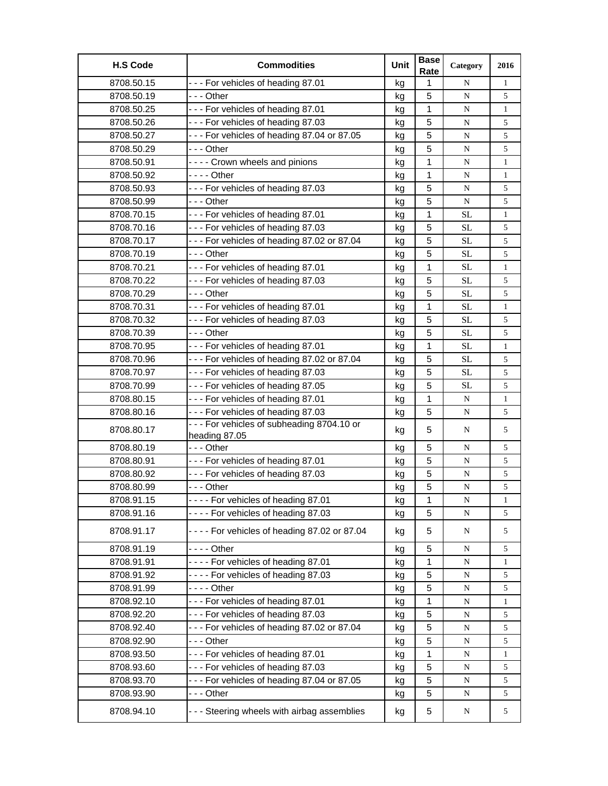| <b>H.S Code</b> | <b>Commodities</b>                                         | Unit | <b>Base</b><br>Rate | Category  | 2016         |
|-----------------|------------------------------------------------------------|------|---------------------|-----------|--------------|
| 8708.50.15      | --- For vehicles of heading 87.01                          | kg   | 1                   | N         | $\mathbf{1}$ |
| 8708.50.19      | - - - Other                                                | kg   | 5                   | N         | 5            |
| 8708.50.25      | --- For vehicles of heading 87.01                          | kg   | 1                   | N         | 1            |
| 8708.50.26      | --- For vehicles of heading 87.03                          | kg   | 5                   | N         | 5            |
| 8708.50.27      | --- For vehicles of heading 87.04 or 87.05                 | kg   | 5                   | N         | 5            |
| 8708.50.29      | - - - Other                                                | kg   | 5                   | N         | 5            |
| 8708.50.91      | ---- Crown wheels and pinions                              | kg   | 1                   | ${\bf N}$ | $\mathbf{1}$ |
| 8708.50.92      | $--$ Other                                                 | kg   | 1                   | N         | 1            |
| 8708.50.93      | --- For vehicles of heading 87.03                          | kg   | 5                   | N         | 5            |
| 8708.50.99      | -  - - Other                                               | kg   | 5                   | N         | 5            |
| 8708.70.15      | --- For vehicles of heading 87.01                          | kg   | 1                   | <b>SL</b> | $\mathbf{1}$ |
| 8708.70.16      | --- For vehicles of heading 87.03                          | kg   | 5                   | <b>SL</b> | 5            |
| 8708.70.17      | --- For vehicles of heading 87.02 or 87.04                 | kg   | 5                   | <b>SL</b> | 5            |
| 8708.70.19      | - - - Other                                                | kg   | 5                   | <b>SL</b> | 5            |
| 8708.70.21      | --- For vehicles of heading 87.01                          | kg   | $\mathbf{1}$        | <b>SL</b> | $\mathbf{1}$ |
| 8708.70.22      | --- For vehicles of heading 87.03                          | kg   | 5                   | <b>SL</b> | 5            |
| 8708.70.29      | - - - Other                                                | kg   | 5                   | <b>SL</b> | 5            |
| 8708.70.31      | --- For vehicles of heading 87.01                          | kg   | 1                   | <b>SL</b> | $\mathbf{1}$ |
| 8708.70.32      | --- For vehicles of heading 87.03                          | kg   | 5                   | <b>SL</b> | 5            |
| 8708.70.39      | - - - Other                                                | kg   | 5                   | <b>SL</b> | 5            |
| 8708.70.95      | --- For vehicles of heading 87.01                          | kg   | 1                   | <b>SL</b> | $\mathbf{1}$ |
| 8708.70.96      | --- For vehicles of heading 87.02 or 87.04                 | kg   | 5                   | <b>SL</b> | 5            |
| 8708.70.97      | --- For vehicles of heading 87.03                          | kg   | 5                   | <b>SL</b> | 5            |
| 8708.70.99      | --- For vehicles of heading 87.05                          | kg   | 5                   | <b>SL</b> | 5            |
| 8708.80.15      | --- For vehicles of heading 87.01                          | kg   | 1                   | N         | $\mathbf{1}$ |
| 8708.80.16      | --- For vehicles of heading 87.03                          | kg   | 5                   | N         | 5            |
| 8708.80.17      | --- For vehicles of subheading 8704.10 or<br>heading 87.05 | kg   | 5                   | N         | 5            |
| 8708.80.19      | - - - Other                                                | kg   | 5                   | N         | 5            |
| 8708.80.91      | --- For vehicles of heading 87.01                          | kg   | 5                   | ${\bf N}$ | 5            |
| 8708.80.92      | --- For vehicles of heading 87.03                          | kg   | 5                   | N         | 5            |
| 8708.80.99      | --- Other                                                  | kg   | 5                   | ${\bf N}$ | 5            |
| 8708.91.15      | --- For vehicles of heading 87.01                          | kg   | $\mathbf 1$         | ${\bf N}$ | $\mathbf{1}$ |
| 8708.91.16      | ---- For vehicles of heading 87.03                         | kg   | 5                   | N         | 5            |
| 8708.91.17      | - - - - For vehicles of heading 87.02 or 87.04             | kg   | 5                   | N         | 5            |
| 8708.91.19      |                                                            | kg   | 5                   | N         | 5            |
| 8708.91.91      | ---- For vehicles of heading 87.01                         | kg   | 1                   | N         | $\mathbf{1}$ |
| 8708.91.92      | ---- For vehicles of heading 87.03                         | kg   | 5                   | N         | 5            |
| 8708.91.99      |                                                            | kg   | 5                   | N         | 5            |
| 8708.92.10      | --- For vehicles of heading 87.01                          | kg   | 1                   | N         | $\mathbf{1}$ |
| 8708.92.20      | --- For vehicles of heading 87.03                          | kg   | 5                   | N         | 5            |
| 8708.92.40      | --- For vehicles of heading 87.02 or 87.04                 | kg   | 5                   | N         | 5            |
| 8708.92.90      | --- Other                                                  | kg   | 5                   | N         | 5            |
| 8708.93.50      | --- For vehicles of heading 87.01                          | kg   | 1                   | N         | 1            |
| 8708.93.60      | --- For vehicles of heading 87.03                          | kg   | 5                   | N         | 5            |
| 8708.93.70      | --- For vehicles of heading 87.04 or 87.05                 | kg   | 5                   | N         | 5            |
| 8708.93.90      |                                                            | kg   | 5                   | N         | 5            |
| 8708.94.10      | --- Steering wheels with airbag assemblies                 | kg   | 5                   | N         | 5            |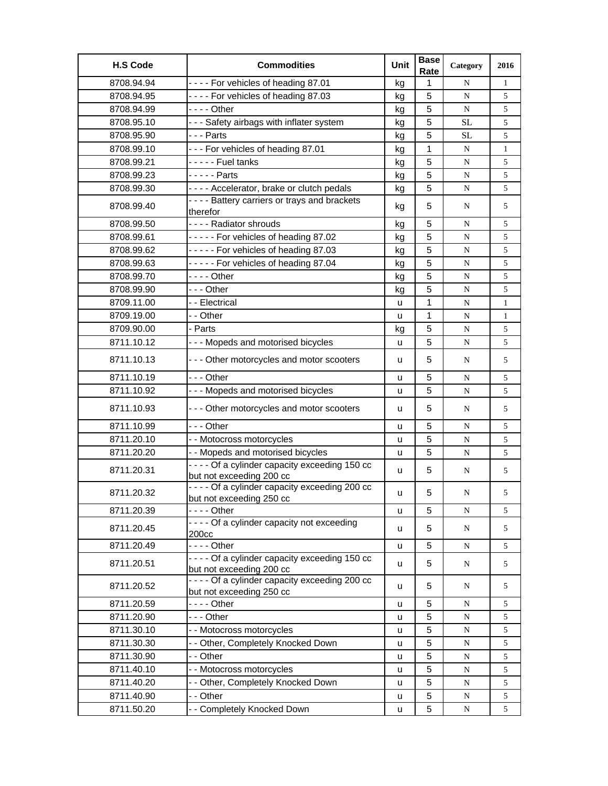| <b>H.S Code</b> | <b>Commodities</b>                                                          | Unit | <b>Base</b><br>Rate | Category  | 2016         |
|-----------------|-----------------------------------------------------------------------------|------|---------------------|-----------|--------------|
| 8708.94.94      | ---- For vehicles of heading 87.01                                          | kg   | 1                   | N         | $\mathbf{1}$ |
| 8708.94.95      | ---- For vehicles of heading 87.03                                          | kg   | 5                   | N         | 5            |
| 8708.94.99      |                                                                             | kg   | 5                   | ${\bf N}$ | 5            |
| 8708.95.10      | - - - Safety airbags with inflater system                                   | kg   | 5                   | <b>SL</b> | 5            |
| 8708.95.90      | --- Parts                                                                   | kg   | 5                   | <b>SL</b> | 5            |
| 8708.99.10      | --- For vehicles of heading 87.01                                           | kg   | 1                   | N         | $\mathbf{1}$ |
| 8708.99.21      | - - - - - Fuel tanks                                                        | kg   | 5                   | ${\bf N}$ | 5            |
| 8708.99.23      | $-- -$ Parts                                                                | kg   | 5                   | N         | 5            |
| 8708.99.30      | - - - - Accelerator, brake or clutch pedals                                 | kg   | 5                   | N         | 5            |
| 8708.99.40      | - - - - Battery carriers or trays and brackets<br>therefor                  | kg   | 5                   | N         | 5            |
| 8708.99.50      | - - - - Radiator shrouds                                                    | kg   | 5                   | N         | 5            |
| 8708.99.61      | ----- For vehicles of heading 87.02                                         | kg   | 5                   | N         | 5            |
| 8708.99.62      | ----- For vehicles of heading 87.03                                         | kg   | 5                   | N         | 5            |
| 8708.99.63      | ----- For vehicles of heading 87.04                                         | kg   | 5                   | ${\bf N}$ | 5            |
| 8708.99.70      | $--$ Other                                                                  | kg   | 5                   | N         | 5            |
| 8708.99.90      | - - - Other                                                                 | kg   | 5                   | N         | 5            |
| 8709.11.00      | - - Electrical                                                              | u    | 1                   | N         | $\mathbf{1}$ |
| 8709.19.00      | - - Other                                                                   | u    | 1                   | N         | $\mathbf{1}$ |
| 8709.90.00      | - Parts                                                                     | kg   | 5                   | ${\bf N}$ | 5            |
| 8711.10.12      | --- Mopeds and motorised bicycles                                           | u    | 5                   | ${\bf N}$ | 5            |
| 8711.10.13      | --- Other motorcycles and motor scooters                                    | u    | 5                   | N         | 5            |
| 8711.10.19      | - - - Other                                                                 | u    | 5                   | N         | 5            |
| 8711.10.92      | - - - Mopeds and motorised bicycles                                         | u    | 5                   | N         | 5            |
| 8711.10.93      | - - - Other motorcycles and motor scooters                                  | u    | 5                   | N         | 5            |
| 8711.10.99      | -  - - Other                                                                | u    | 5                   | N         | 5            |
| 8711.20.10      | - - Motocross motorcycles                                                   | u    | 5                   | N         | 5            |
| 8711.20.20      | - - Mopeds and motorised bicycles                                           | u    | 5                   | N         | 5            |
| 8711.20.31      | - - - - Of a cylinder capacity exceeding 150 cc<br>but not exceeding 200 cc | u    | 5                   | N         | 5            |
| 8711.20.32      | - - - - Of a cylinder capacity exceeding 200 cc<br>but not exceeding 250 cc | u    | 5                   | N         | 5            |
| 8711.20.39      | - - - - Other                                                               | u    | 5                   | ${\bf N}$ | 5            |
| 8711.20.45      | - - - - Of a cylinder capacity not exceeding<br>200cc                       | u    | 5                   | N         | 5            |
| 8711.20.49      | $--$ Other                                                                  | u    | 5                   | ${\bf N}$ | 5            |
| 8711.20.51      | - - - - Of a cylinder capacity exceeding 150 cc<br>but not exceeding 200 cc | u    | 5                   | N         | 5            |
| 8711.20.52      | - - - - Of a cylinder capacity exceeding 200 cc<br>but not exceeding 250 cc | u    | 5                   | N         | 5            |
| 8711.20.59      | $--$ Other                                                                  | u    | 5                   | N         | 5            |
| 8711.20.90      | - - - Other                                                                 | u    | 5                   | N         | 5            |
| 8711.30.10      | - - Motocross motorcycles                                                   | u    | 5                   | N         | 5            |
| 8711.30.30      | -- Other, Completely Knocked Down                                           | u    | 5                   | ${\bf N}$ | 5            |
| 8711.30.90      | - - Other                                                                   | u    | 5                   | ${\bf N}$ | 5            |
| 8711.40.10      | - - Motocross motorcycles                                                   | u    | 5                   | ${\bf N}$ | 5            |
| 8711.40.20      | - - Other, Completely Knocked Down                                          | u    | 5                   | ${\bf N}$ | 5            |
| 8711.40.90      | - - Other                                                                   | u    | 5                   | ${\bf N}$ | 5            |
| 8711.50.20      | - - Completely Knocked Down                                                 | u    | 5                   | N         | 5            |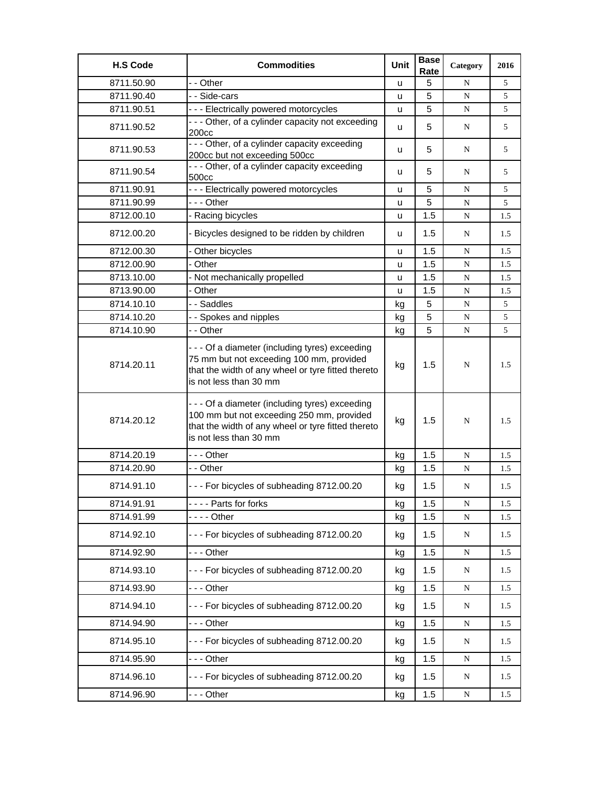| <b>H.S Code</b> | <b>Commodities</b>                                                                                                                                                           | Unit | <b>Base</b><br>Rate | Category  | 2016 |
|-----------------|------------------------------------------------------------------------------------------------------------------------------------------------------------------------------|------|---------------------|-----------|------|
| 8711.50.90      | - - Other                                                                                                                                                                    | u    | 5                   | N         | 5    |
| 8711.90.40      | - - Side-cars                                                                                                                                                                | u    | 5                   | ${\bf N}$ | 5    |
| 8711.90.51      | --- Electrically powered motorcycles                                                                                                                                         | u    | 5                   | N         | 5    |
| 8711.90.52      | - - - Other, of a cylinder capacity not exceeding<br>200cc                                                                                                                   | u    | 5                   | N         | 5    |
| 8711.90.53      | - - - Other, of a cylinder capacity exceeding<br>200cc but not exceeding 500cc                                                                                               | u    | 5                   | N         | 5    |
| 8711.90.54      | - - - Other, of a cylinder capacity exceeding<br>500cc                                                                                                                       | u    | 5                   | N         | 5    |
| 8711.90.91      | --- Electrically powered motorcycles                                                                                                                                         | u    | 5                   | N         | 5    |
| 8711.90.99      | --- Other                                                                                                                                                                    | u    | 5                   | N         | 5    |
| 8712.00.10      | - Racing bicycles                                                                                                                                                            | u    | 1.5                 | N         | 1.5  |
| 8712.00.20      | - Bicycles designed to be ridden by children                                                                                                                                 | u    | 1.5                 | N         | 1.5  |
| 8712.00.30      | - Other bicycles                                                                                                                                                             | u    | 1.5                 | N         | 1.5  |
| 8712.00.90      | - Other                                                                                                                                                                      | u    | 1.5                 | ${\bf N}$ | 1.5  |
| 8713.10.00      | - Not mechanically propelled                                                                                                                                                 | u    | 1.5                 | N         | 1.5  |
| 8713.90.00      | - Other                                                                                                                                                                      | u    | 1.5                 | N         | 1.5  |
| 8714.10.10      | - - Saddles                                                                                                                                                                  | kg   | 5                   | N         | 5    |
| 8714.10.20      | - - Spokes and nipples                                                                                                                                                       | kg   | $\overline{5}$      | ${\bf N}$ | 5    |
| 8714.10.90      | - - Other                                                                                                                                                                    | kg   | 5                   | N         | 5    |
| 8714.20.11      | --- Of a diameter (including tyres) exceeding<br>75 mm but not exceeding 100 mm, provided<br>that the width of any wheel or tyre fitted thereto<br>is not less than 30 mm    | kg   | 1.5                 | N         | 1.5  |
| 8714.20.12      | - - - Of a diameter (including tyres) exceeding<br>100 mm but not exceeding 250 mm, provided<br>that the width of any wheel or tyre fitted thereto<br>is not less than 30 mm | kg   | 1.5                 | N         | 1.5  |
| 8714.20.19      | -  - - Other                                                                                                                                                                 | kg   | 1.5                 | N         | 1.5  |
| 8714.20.90      | - - Other                                                                                                                                                                    | kg   | 1.5                 | N         | 1.5  |
| 8714.91.10      | --- For bicycles of subheading 8712.00.20                                                                                                                                    | kg   | 1.5                 | N         | 1.5  |
| 8714.91.91      | ---- Parts for forks                                                                                                                                                         | kg   | 1.5                 | ${\bf N}$ | 1.5  |
| 8714.91.99      |                                                                                                                                                                              | kg   | 1.5                 | ${\bf N}$ | 1.5  |
| 8714.92.10      | --- For bicycles of subheading 8712.00.20                                                                                                                                    | kg   | 1.5                 | N         | 1.5  |
| 8714.92.90      | -  - - Other                                                                                                                                                                 | kg   | 1.5                 | ${\bf N}$ | 1.5  |
| 8714.93.10      | --- For bicycles of subheading 8712.00.20                                                                                                                                    | kg   | 1.5                 | N         | 1.5  |
| 8714.93.90      | --- Other                                                                                                                                                                    | kg   | 1.5                 | ${\bf N}$ | 1.5  |
| 8714.94.10      | --- For bicycles of subheading 8712.00.20                                                                                                                                    | kg   | 1.5                 | N         | 1.5  |
| 8714.94.90      | - - - Other                                                                                                                                                                  | kg   | 1.5                 | ${\bf N}$ | 1.5  |
| 8714.95.10      | --- For bicycles of subheading 8712.00.20                                                                                                                                    | kg   | 1.5                 | N         | 1.5  |
| 8714.95.90      | --- Other                                                                                                                                                                    | kg   | 1.5                 | ${\bf N}$ | 1.5  |
| 8714.96.10      | --- For bicycles of subheading 8712.00.20                                                                                                                                    | kg   | 1.5                 | N         | 1.5  |
| 8714.96.90      | --- Other                                                                                                                                                                    | kg   | 1.5                 | ${\bf N}$ | 1.5  |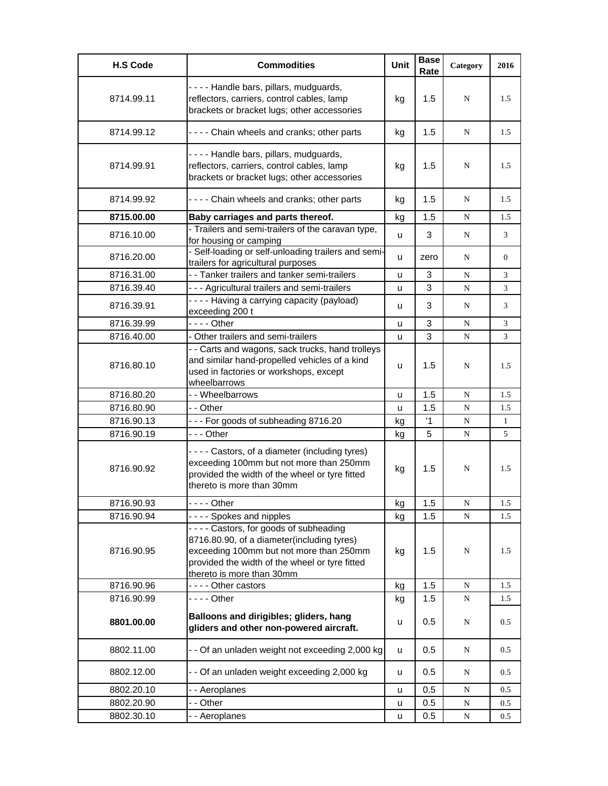| <b>H.S Code</b> | <b>Commodities</b>                                                                                                                                                                                            | <b>Unit</b> | <b>Base</b><br>Rate | Category  | 2016           |
|-----------------|---------------------------------------------------------------------------------------------------------------------------------------------------------------------------------------------------------------|-------------|---------------------|-----------|----------------|
| 8714.99.11      | ---- Handle bars, pillars, mudguards,<br>reflectors, carriers, control cables, lamp<br>brackets or bracket lugs; other accessories                                                                            | kg          | 1.5                 | N         | 1.5            |
| 8714.99.12      | - - - - Chain wheels and cranks; other parts                                                                                                                                                                  | kg          | 1.5                 | N         | 1.5            |
| 8714.99.91      | - - - - Handle bars, pillars, mudguards,<br>reflectors, carriers, control cables, lamp<br>brackets or bracket lugs; other accessories                                                                         | kg          | 1.5                 | N         | 1.5            |
| 8714.99.92      | ---- Chain wheels and cranks; other parts                                                                                                                                                                     | kg          | 1.5                 | N         | 1.5            |
| 8715.00.00      | Baby carriages and parts thereof.                                                                                                                                                                             | kg          | 1.5                 | N         | 1.5            |
| 8716.10.00      | - Trailers and semi-trailers of the caravan type,<br>for housing or camping                                                                                                                                   | u           | 3                   | N         | 3              |
| 8716.20.00      | - Self-loading or self-unloading trailers and semi-<br>trailers for agricultural purposes                                                                                                                     | u           | zero                | N         | $\overline{0}$ |
| 8716.31.00      | - - Tanker trailers and tanker semi-trailers                                                                                                                                                                  | u           | 3                   | N         | 3              |
| 8716.39.40      | - - - Agricultural trailers and semi-trailers                                                                                                                                                                 | u           | 3                   | N         | 3              |
| 8716.39.91      | ---- Having a carrying capacity (payload)<br>exceeding 200 t                                                                                                                                                  | u           | 3                   | N         | 3              |
| 8716.39.99      | $--$ - Other                                                                                                                                                                                                  | u           | 3                   | N         | 3              |
| 8716.40.00      | - Other trailers and semi-trailers                                                                                                                                                                            | u           | 3                   | N         | 3              |
| 8716.80.10      | - - Carts and wagons, sack trucks, hand trolleys<br>and similar hand-propelled vehicles of a kind<br>used in factories or workshops, except<br>wheelbarrows                                                   | u           | 1.5                 | N         | 1.5            |
| 8716.80.20      | - - Wheelbarrows                                                                                                                                                                                              | u           | 1.5                 | N         | 1.5            |
| 8716.80.90      | - - Other                                                                                                                                                                                                     | u           | 1.5                 | N         | 1.5            |
| 8716.90.13      | --- For goods of subheading 8716.20                                                                                                                                                                           | kg          | $\overline{1}$      | N         | $\mathbf{1}$   |
| 8716.90.19      | - - - Other                                                                                                                                                                                                   | kg          | 5                   | N         | 5              |
| 8716.90.92      | - - - - Castors, of a diameter (including tyres)<br>exceeding 100mm but not more than 250mm<br>provided the width of the wheel or tyre fitted<br>thereto is more than 30mm                                    | kg          | 1.5                 | N         | 1.5            |
| 8716.90.93      | $--$ Other                                                                                                                                                                                                    | kg          | 1.5                 | N         | 1.5            |
| 8716.90.94      | - - - - Spokes and nipples                                                                                                                                                                                    | kg          | 1.5                 | N         | 1.5            |
| 8716.90.95      | ---- Castors, for goods of subheading<br>8716.80.90, of a diameter(including tyres)<br>exceeding 100mm but not more than 250mm<br>provided the width of the wheel or tyre fitted<br>thereto is more than 30mm | kg          | 1.5                 | N         | 1.5            |
| 8716.90.96      | ---- Other castors                                                                                                                                                                                            | kg          | 1.5                 | ${\bf N}$ | 1.5            |
| 8716.90.99      | $--$ Other                                                                                                                                                                                                    | kg          | 1.5                 | N         | 1.5            |
| 8801.00.00      | Balloons and dirigibles; gliders, hang<br>gliders and other non-powered aircraft.                                                                                                                             | u           | 0.5                 | N         | 0.5            |
| 8802.11.00      | - - Of an unladen weight not exceeding 2,000 kg                                                                                                                                                               | u           | 0.5                 | N         | 0.5            |
| 8802.12.00      | - - Of an unladen weight exceeding 2,000 kg                                                                                                                                                                   | u           | 0.5                 | N         | 0.5            |
| 8802.20.10      | - - Aeroplanes                                                                                                                                                                                                | u           | 0.5                 | N         | 0.5            |
| 8802.20.90      | - - Other                                                                                                                                                                                                     | u           | 0.5                 | N         | 0.5            |
| 8802.30.10      | - - Aeroplanes                                                                                                                                                                                                | u           | 0.5                 | N         | 0.5            |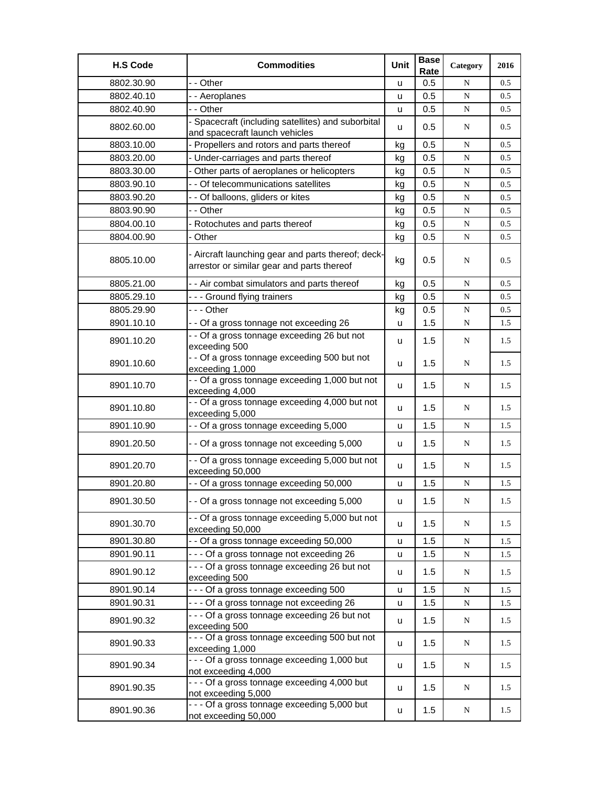| <b>H.S Code</b> | <b>Commodities</b>                                                                               | Unit | <b>Base</b><br>Rate | Category  | 2016 |
|-----------------|--------------------------------------------------------------------------------------------------|------|---------------------|-----------|------|
| 8802.30.90      | - - Other                                                                                        | u    | 0.5                 | N         | 0.5  |
| 8802.40.10      | - - Aeroplanes                                                                                   | u    | 0.5                 | N         | 0.5  |
| 8802.40.90      | - - Other                                                                                        | u    | 0.5                 | ${\bf N}$ | 0.5  |
| 8802.60.00      | - Spacecraft (including satellites) and suborbital<br>and spacecraft launch vehicles             | u    | 0.5                 | N         | 0.5  |
| 8803.10.00      | - Propellers and rotors and parts thereof                                                        | kg   | 0.5                 | N         | 0.5  |
| 8803.20.00      | - Under-carriages and parts thereof                                                              | kg   | 0.5                 | ${\bf N}$ | 0.5  |
| 8803.30.00      | - Other parts of aeroplanes or helicopters                                                       | kg   | 0.5                 | N         | 0.5  |
| 8803.90.10      | - - Of telecommunications satellites                                                             | kg   | 0.5                 | N         | 0.5  |
| 8803.90.20      | - - Of balloons, gliders or kites                                                                | kg   | 0.5                 | N         | 0.5  |
| 8803.90.90      | - - Other                                                                                        | kg   | 0.5                 | ${\bf N}$ | 0.5  |
| 8804.00.10      | - Rotochutes and parts thereof                                                                   | kg   | 0.5                 | ${\bf N}$ | 0.5  |
| 8804.00.90      | - Other                                                                                          | kg   | 0.5                 | N         | 0.5  |
| 8805.10.00      | - Aircraft launching gear and parts thereof; deck-<br>arrestor or similar gear and parts thereof | kg   | 0.5                 | N         | 0.5  |
| 8805.21.00      | - - Air combat simulators and parts thereof                                                      | kg   | 0.5                 | N         | 0.5  |
| 8805.29.10      | - - - Ground flying trainers                                                                     | kg   | 0.5                 | N         | 0.5  |
| 8805.29.90      | $- -$ Other                                                                                      | kg   | 0.5                 | ${\bf N}$ | 0.5  |
| 8901.10.10      | - - Of a gross tonnage not exceeding 26                                                          | u    | 1.5                 | N         | 1.5  |
| 8901.10.20      | - - Of a gross tonnage exceeding 26 but not<br>exceeding 500                                     | u    | 1.5                 | N         | 1.5  |
| 8901.10.60      | - - Of a gross tonnage exceeding 500 but not<br>exceeding 1,000                                  | u    | 1.5                 | N         | 1.5  |
| 8901.10.70      | - - Of a gross tonnage exceeding 1,000 but not<br>exceeding 4,000                                | u    | 1.5                 | N         | 1.5  |
| 8901.10.80      | - - Of a gross tonnage exceeding 4,000 but not<br>exceeding 5,000                                | u    | 1.5                 | N         | 1.5  |
| 8901.10.90      | - - Of a gross tonnage exceeding 5,000                                                           | u    | 1.5                 | N         | 1.5  |
| 8901.20.50      | - - Of a gross tonnage not exceeding 5,000                                                       | u    | 1.5                 | N         | 1.5  |
| 8901.20.70      | - - Of a gross tonnage exceeding 5,000 but not<br>exceeding 50,000                               | u    | 1.5                 | N         | 1.5  |
| 8901.20.80      | - - Of a gross tonnage exceeding 50,000                                                          | u    | 1.5                 | N         | 1.5  |
| 8901.30.50      | - - Of a gross tonnage not exceeding 5,000                                                       | u    | 1.5                 | ${\bf N}$ | 1.5  |
| 8901.30.70      | - - Of a gross tonnage exceeding 5,000 but not<br>exceeding 50,000                               | u    | 1.5                 | ${\bf N}$ | 1.5  |
| 8901.30.80      | - - Of a gross tonnage exceeding 50,000                                                          | u    | 1.5                 | ${\bf N}$ | 1.5  |
| 8901.90.11      | --- Of a gross tonnage not exceeding 26                                                          | u    | 1.5                 | ${\bf N}$ | 1.5  |
| 8901.90.12      | - - - Of a gross tonnage exceeding 26 but not<br>exceeding 500                                   | u    | 1.5                 | N         | 1.5  |
| 8901.90.14      | --- Of a gross tonnage exceeding 500                                                             | u    | 1.5                 | ${\bf N}$ | 1.5  |
| 8901.90.31      | --- Of a gross tonnage not exceeding 26                                                          | u    | 1.5                 | N         | 1.5  |
| 8901.90.32      | - - - Of a gross tonnage exceeding 26 but not<br>exceeding 500                                   | u    | 1.5                 | ${\bf N}$ | 1.5  |
| 8901.90.33      | - - - Of a gross tonnage exceeding 500 but not<br>exceeding 1,000                                | u    | 1.5                 | ${\bf N}$ | 1.5  |
| 8901.90.34      | - - - Of a gross tonnage exceeding 1,000 but<br>not exceeding 4,000                              | u    | 1.5                 | ${\bf N}$ | 1.5  |
| 8901.90.35      | - - - Of a gross tonnage exceeding 4,000 but<br>not exceeding 5,000                              | u    | 1.5                 | ${\bf N}$ | 1.5  |
| 8901.90.36      | - - - Of a gross tonnage exceeding 5,000 but<br>not exceeding 50,000                             | u    | 1.5                 | ${\bf N}$ | 1.5  |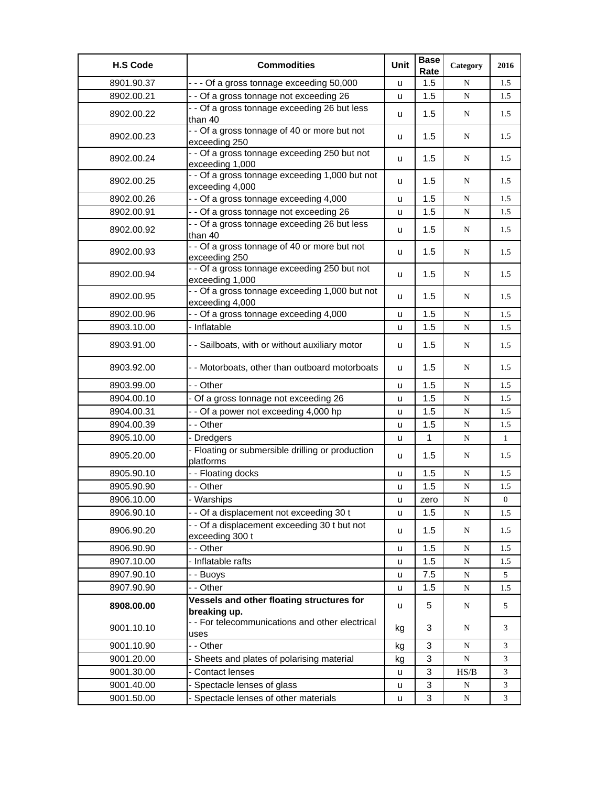| <b>H.S Code</b> | <b>Commodities</b>                                                | Unit | <b>Base</b><br>Rate | Category  | 2016           |
|-----------------|-------------------------------------------------------------------|------|---------------------|-----------|----------------|
| 8901.90.37      | - - - Of a gross tonnage exceeding 50,000                         | u    | 1.5                 | N         | 1.5            |
| 8902.00.21      | - - Of a gross tonnage not exceeding 26                           | u    | 1.5                 | N         | 1.5            |
| 8902.00.22      | - - Of a gross tonnage exceeding 26 but less<br>than 40           | u    | 1.5                 | N         | 1.5            |
| 8902.00.23      | - - Of a gross tonnage of 40 or more but not<br>exceeding 250     | u    | 1.5                 | N         | 1.5            |
| 8902.00.24      | - - Of a gross tonnage exceeding 250 but not<br>exceeding 1,000   | u    | 1.5                 | N         | 1.5            |
| 8902.00.25      | - - Of a gross tonnage exceeding 1,000 but not<br>exceeding 4,000 | u    | 1.5                 | N         | 1.5            |
| 8902.00.26      | - - Of a gross tonnage exceeding 4,000                            | u    | 1.5                 | N         | 1.5            |
| 8902.00.91      | - - Of a gross tonnage not exceeding 26                           | u    | 1.5                 | N         | 1.5            |
| 8902.00.92      | - - Of a gross tonnage exceeding 26 but less<br>than 40           | u    | 1.5                 | N         | 1.5            |
| 8902.00.93      | - - Of a gross tonnage of 40 or more but not<br>exceeding 250     | u    | 1.5                 | N         | 1.5            |
| 8902.00.94      | - - Of a gross tonnage exceeding 250 but not<br>exceeding 1,000   | u    | 1.5                 | N         | 1.5            |
| 8902.00.95      | - - Of a gross tonnage exceeding 1,000 but not<br>exceeding 4,000 | u    | 1.5                 | N         | 1.5            |
| 8902.00.96      | - - Of a gross tonnage exceeding 4,000                            | u    | 1.5                 | N         | 1.5            |
| 8903.10.00      | - Inflatable                                                      | u    | 1.5                 | ${\bf N}$ | 1.5            |
| 8903.91.00      | - - Sailboats, with or without auxiliary motor                    | u    | 1.5                 | N         | 1.5            |
| 8903.92.00      | - - Motorboats, other than outboard motorboats                    | u    | 1.5                 | N         | 1.5            |
| 8903.99.00      | - - Other                                                         | u    | 1.5                 | ${\bf N}$ | 1.5            |
| 8904.00.10      | - Of a gross tonnage not exceeding 26                             | u    | 1.5                 | N         | 1.5            |
| 8904.00.31      | - - Of a power not exceeding 4,000 hp                             | u    | 1.5                 | N         | 1.5            |
| 8904.00.39      | - - Other                                                         | u    | 1.5                 | ${\bf N}$ | 1.5            |
| 8905.10.00      | - Dredgers                                                        | u    | 1                   | N         | $\mathbf{1}$   |
| 8905.20.00      | - Floating or submersible drilling or production<br>platforms     | u    | 1.5                 | N         | 1.5            |
| 8905.90.10      | - - Floating docks                                                | u    | 1.5                 | ${\bf N}$ | 1.5            |
| 8905.90.90      | - - Other                                                         | u    | 1.5                 | ${\bf N}$ | 1.5            |
| 8906.10.00      | - Warships                                                        | u    | zero                | ${\bf N}$ | $\overline{0}$ |
| 8906.90.10      | - - Of a displacement not exceeding 30 t                          | u    | 1.5                 | N         | 1.5            |
| 8906.90.20      | - - Of a displacement exceeding 30 t but not<br>exceeding 300 t   | u    | 1.5                 | N         | 1.5            |
| 8906.90.90      | - - Other                                                         | u    | 1.5                 | N         | 1.5            |
| 8907.10.00      | - Inflatable rafts                                                | u    | 1.5                 | N         | 1.5            |
| 8907.90.10      | - - Buoys                                                         | u    | 7.5                 | N         | 5              |
| 8907.90.90      | - - Other                                                         | u    | 1.5                 | ${\bf N}$ | 1.5            |
| 8908.00.00      | Vessels and other floating structures for<br>breaking up.         | u    | 5                   | ${\bf N}$ | 5              |
| 9001.10.10      | - - For telecommunications and other electrical<br>uses           | kg   | 3                   | N         | 3              |
| 9001.10.90      | - - Other                                                         | kg   | 3                   | N         | 3              |
| 9001.20.00      | Sheets and plates of polarising material                          | kg   | 3                   | ${\bf N}$ | 3              |
| 9001.30.00      | - Contact lenses                                                  | u    | 3                   | HS/B      | 3              |
| 9001.40.00      | - Spectacle lenses of glass                                       | u    | $\mathbf{3}$        | ${\bf N}$ | 3              |
| 9001.50.00      | - Spectacle lenses of other materials                             | u    | 3                   | N         | 3              |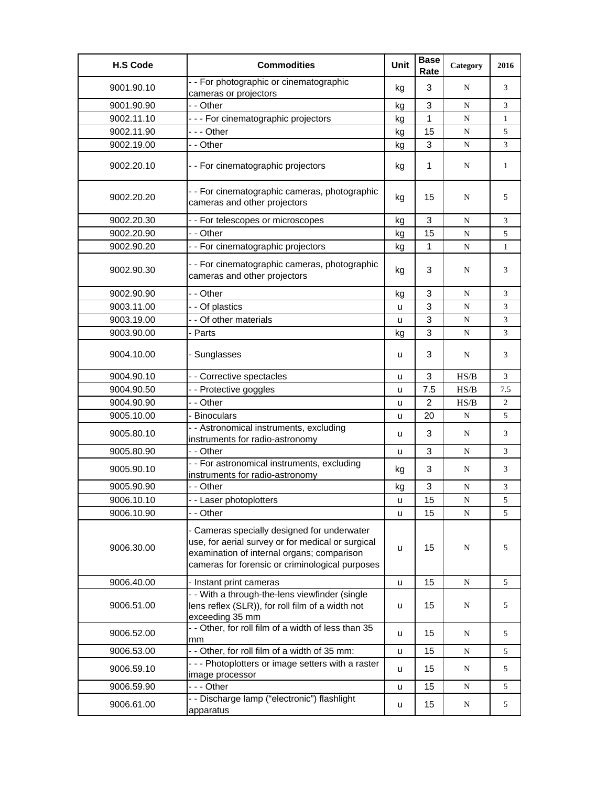| <b>H.S Code</b> | <b>Commodities</b>                                                                                                                                                                                | Unit | <b>Base</b><br>Rate | Category  | 2016           |
|-----------------|---------------------------------------------------------------------------------------------------------------------------------------------------------------------------------------------------|------|---------------------|-----------|----------------|
| 9001.90.10      | - - For photographic or cinematographic<br>cameras or projectors                                                                                                                                  | kg   | 3                   | N         | 3              |
| 9001.90.90      | - - Other                                                                                                                                                                                         | kg   | 3                   | N         | 3              |
| 9002.11.10      | --- For cinematographic projectors                                                                                                                                                                | kg   | $\mathbf{1}$        | ${\bf N}$ | $\mathbf{1}$   |
| 9002.11.90      | --- Other                                                                                                                                                                                         | kg   | 15                  | ${\bf N}$ | 5              |
| 9002.19.00      | - - Other                                                                                                                                                                                         | kg   | 3                   | ${\bf N}$ | 3              |
| 9002.20.10      | - - For cinematographic projectors                                                                                                                                                                | kg   | 1                   | N         | $\mathbf{1}$   |
| 9002.20.20      | - - For cinematographic cameras, photographic<br>cameras and other projectors                                                                                                                     | kg   | 15                  | N         | 5              |
| 9002.20.30      | - - For telescopes or microscopes                                                                                                                                                                 | kg   | 3                   | N         | 3              |
| 9002.20.90      | - - Other                                                                                                                                                                                         | kg   | 15                  | ${\bf N}$ | 5              |
| 9002.90.20      | - - For cinematographic projectors                                                                                                                                                                | kg   | 1                   | N         | $\mathbf{1}$   |
| 9002.90.30      | - - For cinematographic cameras, photographic<br>cameras and other projectors                                                                                                                     | kg   | 3                   | N         | 3              |
| 9002.90.90      | - - Other                                                                                                                                                                                         | kg   | 3                   | ${\bf N}$ | 3              |
| 9003.11.00      | - - Of plastics                                                                                                                                                                                   | u    | 3                   | N         | 3              |
| 9003.19.00      | - - Of other materials                                                                                                                                                                            | u    | 3                   | N         | 3              |
| 9003.90.00      | - Parts                                                                                                                                                                                           | kg   | 3                   | ${\bf N}$ | 3              |
| 9004.10.00      | - Sunglasses                                                                                                                                                                                      | u    | 3                   | N         | 3              |
| 9004.90.10      | - - Corrective spectacles                                                                                                                                                                         | u    | 3                   | HS/B      | 3              |
| 9004.90.50      | - - Protective goggles                                                                                                                                                                            | u    | 7.5                 | HS/B      | 7.5            |
| 9004.90.90      | - - Other                                                                                                                                                                                         | u    | $\overline{2}$      | HS/B      | $\overline{2}$ |
| 9005.10.00      | - Binoculars                                                                                                                                                                                      | u    | 20                  | N         | 5              |
| 9005.80.10      | - - Astronomical instruments, excluding<br>instruments for radio-astronomy                                                                                                                        | u    | 3                   | N         | 3              |
| 9005.80.90      | - - Other                                                                                                                                                                                         | u    | 3                   | N         | 3              |
| 9005.90.10      | - - For astronomical instruments, excluding<br>instruments for radio-astronomy                                                                                                                    | kg   | 3                   | N         | 3              |
| 9005.90.90      | - - Other                                                                                                                                                                                         | kg   | 3                   | N         | 3              |
| 9006.10.10      | - - Laser photoplotters                                                                                                                                                                           | u    | 15                  | N         | 5              |
| 9006.10.90      | - - Other                                                                                                                                                                                         | u    | 15                  | N         | 5              |
| 9006.30.00      | - Cameras specially designed for underwater<br>use, for aerial survey or for medical or surgical<br>examination of internal organs; comparison<br>cameras for forensic or criminological purposes | u    | 15                  | N         | 5              |
| 9006.40.00      | - Instant print cameras                                                                                                                                                                           | u    | 15                  | ${\bf N}$ | 5              |
| 9006.51.00      | - - With a through-the-lens viewfinder (single<br>lens reflex (SLR)), for roll film of a width not<br>exceeding 35 mm                                                                             | u    | 15                  | N         | 5              |
| 9006.52.00      | - - Other, for roll film of a width of less than 35<br>mm                                                                                                                                         | u    | 15                  | N         | 5              |
| 9006.53.00      | - - Other, for roll film of a width of 35 mm:                                                                                                                                                     | u    | 15                  | N         | 5              |
| 9006.59.10      | --- Photoplotters or image setters with a raster<br>image processor                                                                                                                               | u    | 15                  | N         | 5              |
| 9006.59.90      | - - - Other                                                                                                                                                                                       | u    | 15                  | N         | 5              |
| 9006.61.00      | - - Discharge lamp ("electronic") flashlight<br>apparatus                                                                                                                                         | u    | 15                  | N         | 5              |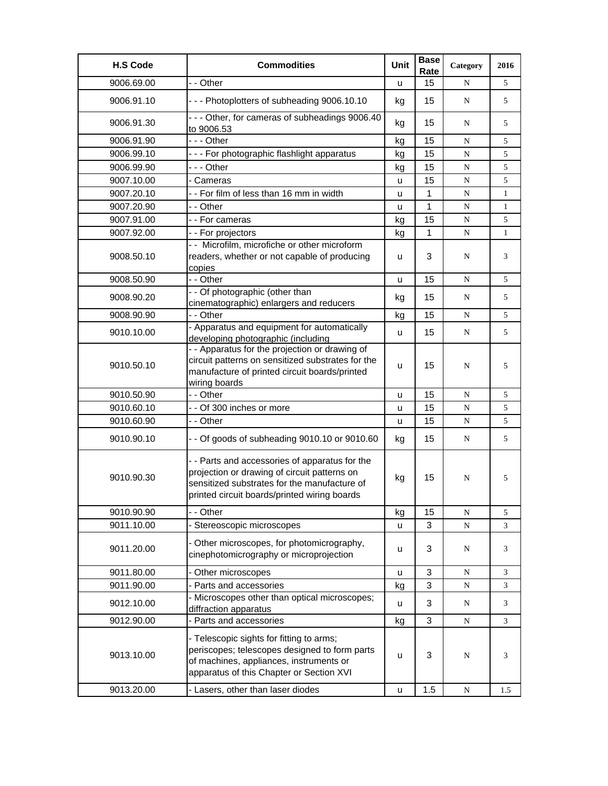| <b>H.S Code</b> | <b>Commodities</b>                                                                                                                                                                             | Unit | <b>Base</b><br>Rate | Category  | 2016         |
|-----------------|------------------------------------------------------------------------------------------------------------------------------------------------------------------------------------------------|------|---------------------|-----------|--------------|
| 9006.69.00      | - - Other                                                                                                                                                                                      | u    | 15                  | N         | 5            |
| 9006.91.10      | --- Photoplotters of subheading 9006.10.10                                                                                                                                                     | kg   | 15                  | N         | 5            |
| 9006.91.30      | --- Other, for cameras of subheadings 9006.40<br>to 9006.53                                                                                                                                    | kg   | 15                  | N         | 5            |
| 9006.91.90      | - - - Other                                                                                                                                                                                    | kg   | 15                  | N         | 5            |
| 9006.99.10      | - - - For photographic flashlight apparatus                                                                                                                                                    | kg   | 15                  | N         | 5            |
| 9006.99.90      | --- Other                                                                                                                                                                                      | kg   | 15                  | ${\bf N}$ | 5            |
| 9007.10.00      | - Cameras                                                                                                                                                                                      | u    | 15                  | ${\bf N}$ | 5            |
| 9007.20.10      | -- For film of less than 16 mm in width                                                                                                                                                        | u    | 1                   | N         | 1            |
| 9007.20.90      | - - Other                                                                                                                                                                                      | u    | 1                   | N         | $\mathbf{1}$ |
| 9007.91.00      | - - For cameras                                                                                                                                                                                | kg   | 15                  | ${\bf N}$ | 5            |
| 9007.92.00      | - - For projectors                                                                                                                                                                             | kg   | $\mathbf{1}$        | N         | $\mathbf{1}$ |
| 9008.50.10      | - - Microfilm, microfiche or other microform<br>readers, whether or not capable of producing<br>copies                                                                                         | u    | 3                   | N         | 3            |
| 9008.50.90      | - - Other                                                                                                                                                                                      | u    | 15                  | N         | 5            |
| 9008.90.20      | - - Of photographic (other than<br>cinematographic) enlargers and reducers                                                                                                                     | kg   | 15                  | N         | 5            |
| 9008.90.90      | - - Other                                                                                                                                                                                      | kg   | 15                  | N         | 5            |
| 9010.10.00      | - Apparatus and equipment for automatically<br>developing photographic (including                                                                                                              | u    | 15                  | N         | 5            |
| 9010.50.10      | - - Apparatus for the projection or drawing of<br>circuit patterns on sensitized substrates for the<br>manufacture of printed circuit boards/printed<br>wiring boards                          | u    | 15                  | N         | 5            |
| 9010.50.90      | - - Other                                                                                                                                                                                      | u    | 15                  | ${\bf N}$ | 5            |
| 9010.60.10      | - - Of 300 inches or more                                                                                                                                                                      | u    | 15                  | N         | 5            |
| 9010.60.90      | - - Other                                                                                                                                                                                      | u    | 15                  | N         | 5            |
| 9010.90.10      | - - Of goods of subheading 9010.10 or 9010.60                                                                                                                                                  | kg   | 15                  | N         | 5            |
| 9010.90.30      | - - Parts and accessories of apparatus for the<br>projection or drawing of circuit patterns on<br>sensitized substrates for the manufacture of<br>printed circuit boards/printed wiring boards | kg   | 15                  | N         | 5            |
| 9010.90.90      | - - Other                                                                                                                                                                                      | kg   | 15                  | N         | 5            |
| 9011.10.00      | Stereoscopic microscopes                                                                                                                                                                       | u    | 3                   | ${\bf N}$ | 3            |
| 9011.20.00      | - Other microscopes, for photomicrography,<br>cinephotomicrography or microprojection                                                                                                          | u    | 3                   | N         | 3            |
| 9011.80.00      | - Other microscopes                                                                                                                                                                            | u    | 3                   | ${\bf N}$ | 3            |
| 9011.90.00      | - Parts and accessories                                                                                                                                                                        | kg   | 3                   | ${\bf N}$ | 3            |
| 9012.10.00      | - Microscopes other than optical microscopes;<br>diffraction apparatus                                                                                                                         | u    | 3                   | N         | 3            |
| 9012.90.00      | - Parts and accessories                                                                                                                                                                        | kg   | 3                   | ${\bf N}$ | 3            |
| 9013.10.00      | - Telescopic sights for fitting to arms;<br>periscopes; telescopes designed to form parts<br>of machines, appliances, instruments or<br>apparatus of this Chapter or Section XVI               | u    | 3                   | N         | 3            |
| 9013.20.00      | - Lasers, other than laser diodes                                                                                                                                                              | u    | 1.5                 | N         | 1.5          |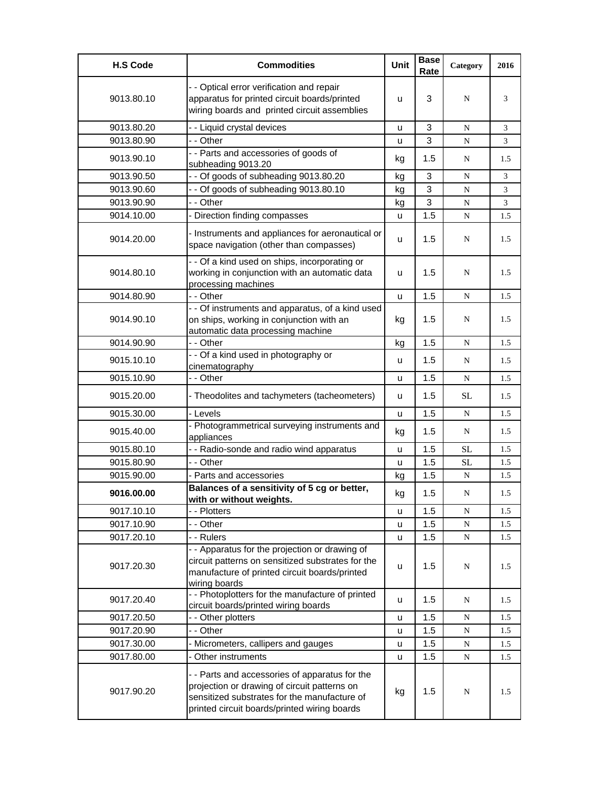| <b>H.S Code</b> | <b>Commodities</b>                                                                                                                                                                             | Unit | <b>Base</b><br>Rate | Category  | 2016 |
|-----------------|------------------------------------------------------------------------------------------------------------------------------------------------------------------------------------------------|------|---------------------|-----------|------|
| 9013.80.10      | - - Optical error verification and repair<br>apparatus for printed circuit boards/printed<br>wiring boards and printed circuit assemblies                                                      | u    | 3                   | N         | 3    |
| 9013.80.20      | - - Liquid crystal devices                                                                                                                                                                     | u    | 3                   | N         | 3    |
| 9013.80.90      | - - Other                                                                                                                                                                                      | u    | 3                   | N         | 3    |
| 9013.90.10      | - - Parts and accessories of goods of<br>subheading 9013.20                                                                                                                                    | kg   | 1.5                 | N         | 1.5  |
| 9013.90.50      | - - Of goods of subheading 9013.80.20                                                                                                                                                          | kg   | 3                   | N         | 3    |
| 9013.90.60      | - - Of goods of subheading 9013.80.10                                                                                                                                                          | kg   | 3                   | N         | 3    |
| 9013.90.90      | - - Other                                                                                                                                                                                      | kg   | 3                   | N         | 3    |
| 9014.10.00      | - Direction finding compasses                                                                                                                                                                  | u    | 1.5                 | ${\bf N}$ | 1.5  |
| 9014.20.00      | - Instruments and appliances for aeronautical or<br>space navigation (other than compasses)                                                                                                    | u    | 1.5                 | N         | 1.5  |
| 9014.80.10      | - - Of a kind used on ships, incorporating or<br>working in conjunction with an automatic data<br>processing machines                                                                          | u    | 1.5                 | N         | 1.5  |
| 9014.80.90      | - - Other                                                                                                                                                                                      | u    | 1.5                 | N         | 1.5  |
| 9014.90.10      | - - Of instruments and apparatus, of a kind used<br>on ships, working in conjunction with an<br>automatic data processing machine                                                              | kg   | 1.5                 | N         | 1.5  |
| 9014.90.90      | - - Other                                                                                                                                                                                      | kg   | 1.5                 | N         | 1.5  |
| 9015.10.10      | - - Of a kind used in photography or<br>cinematography                                                                                                                                         | u    | 1.5                 | N         | 1.5  |
| 9015.10.90      | - - Other                                                                                                                                                                                      | u    | 1.5                 | N         | 1.5  |
| 9015.20.00      | - Theodolites and tachymeters (tacheometers)                                                                                                                                                   | u    | 1.5                 | SL        | 1.5  |
| 9015.30.00      | - Levels                                                                                                                                                                                       | u    | 1.5                 | N         | 1.5  |
| 9015.40.00      | - Photogrammetrical surveying instruments and<br>appliances                                                                                                                                    | kg   | 1.5                 | N         | 1.5  |
| 9015.80.10      | - - Radio-sonde and radio wind apparatus                                                                                                                                                       | u    | 1.5                 | <b>SL</b> | 1.5  |
| 9015.80.90      | - - Other                                                                                                                                                                                      | u    | 1.5                 | <b>SL</b> | 1.5  |
| 9015.90.00      | - Parts and accessories                                                                                                                                                                        | kg   | 1.5                 | N         | 1.5  |
| 9016.00.00      | Balances of a sensitivity of 5 cg or better,<br><u>with or without weights.</u>                                                                                                                | kg   | 1.5                 | N         | 1.5  |
| 9017.10.10      | - - Plotters                                                                                                                                                                                   | u    | 1.5                 | N         | 1.5  |
| 9017.10.90      | - - Other                                                                                                                                                                                      | u    | 1.5                 | ${\bf N}$ | 1.5  |
| 9017.20.10      | - - Rulers                                                                                                                                                                                     | u    | 1.5                 | ${\bf N}$ | 1.5  |
| 9017.20.30      | - - Apparatus for the projection or drawing of<br>circuit patterns on sensitized substrates for the<br>manufacture of printed circuit boards/printed<br>wiring boards                          | u    | 1.5                 | N         | 1.5  |
| 9017.20.40      | - - Photoplotters for the manufacture of printed<br>circuit boards/printed wiring boards                                                                                                       | u    | 1.5                 | N         | 1.5  |
| 9017.20.50      | - - Other plotters                                                                                                                                                                             | u    | 1.5                 | N         | 1.5  |
| 9017.20.90      | - - Other                                                                                                                                                                                      | u    | 1.5                 | ${\bf N}$ | 1.5  |
| 9017.30.00      | - Micrometers, callipers and gauges                                                                                                                                                            | u    | 1.5                 | N         | 1.5  |
| 9017.80.00      | - Other instruments                                                                                                                                                                            | u    | 1.5                 | N         | 1.5  |
| 9017.90.20      | - - Parts and accessories of apparatus for the<br>projection or drawing of circuit patterns on<br>sensitized substrates for the manufacture of<br>printed circuit boards/printed wiring boards | kg   | 1.5                 | N         | 1.5  |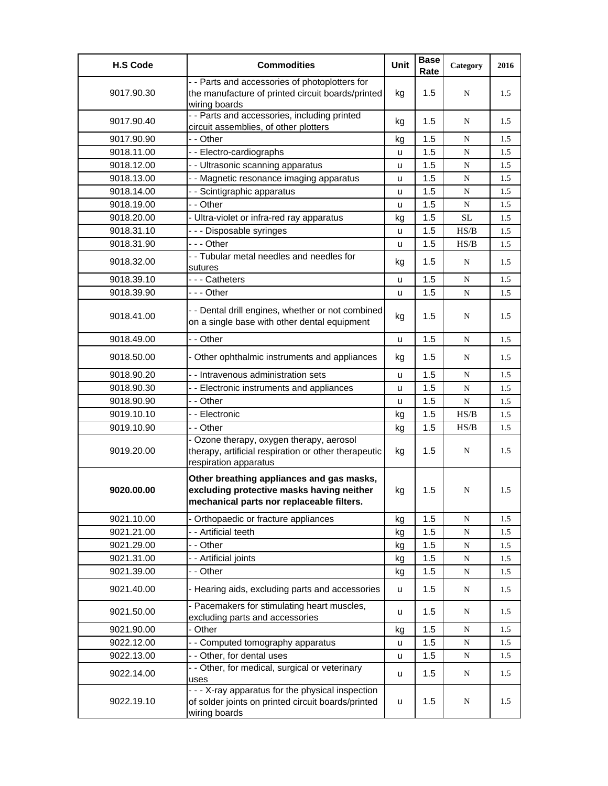| <b>H.S Code</b> | <b>Commodities</b>                                                                                                                  | Unit | <b>Base</b><br>Rate | Category  | 2016 |
|-----------------|-------------------------------------------------------------------------------------------------------------------------------------|------|---------------------|-----------|------|
| 9017.90.30      | - - Parts and accessories of photoplotters for<br>the manufacture of printed circuit boards/printed<br>wiring boards                | kg   | 1.5                 | N         | 1.5  |
| 9017.90.40      | - - Parts and accessories, including printed<br>circuit assemblies, of other plotters                                               | kg   | 1.5                 | N         | 1.5  |
| 9017.90.90      | - - Other                                                                                                                           | kg   | 1.5                 | ${\bf N}$ | 1.5  |
| 9018.11.00      | -- Electro-cardiographs                                                                                                             | u    | 1.5                 | N         | 1.5  |
| 9018.12.00      | - - Ultrasonic scanning apparatus                                                                                                   | u    | 1.5                 | N         | 1.5  |
| 9018.13.00      | - - Magnetic resonance imaging apparatus                                                                                            | u    | 1.5                 | N         | 1.5  |
| 9018.14.00      | - - Scintigraphic apparatus                                                                                                         | u    | 1.5                 | ${\bf N}$ | 1.5  |
| 9018.19.00      | - - Other                                                                                                                           | u    | 1.5                 | N         | 1.5  |
| 9018.20.00      | - Ultra-violet or infra-red ray apparatus                                                                                           | kg   | 1.5                 | <b>SL</b> | 1.5  |
| 9018.31.10      | - - - Disposable syringes                                                                                                           | u    | 1.5                 | HS/B      | 1.5  |
| 9018.31.90      | - - - Other                                                                                                                         | u    | 1.5                 | HS/B      | 1.5  |
| 9018.32.00      | - - Tubular metal needles and needles for<br>sutures                                                                                | kg   | 1.5                 | N         | 1.5  |
| 9018.39.10      | - - - Catheters                                                                                                                     | u    | 1.5                 | N         | 1.5  |
| 9018.39.90      | --- Other                                                                                                                           | u    | 1.5                 | ${\bf N}$ | 1.5  |
| 9018.41.00      | - - Dental drill engines, whether or not combined<br>on a single base with other dental equipment                                   | kg   | 1.5                 | N         | 1.5  |
| 9018.49.00      | - - Other                                                                                                                           | u    | 1.5                 | N         | 1.5  |
| 9018.50.00      | - Other ophthalmic instruments and appliances                                                                                       | kg   | 1.5                 | N         | 1.5  |
| 9018.90.20      | - - Intravenous administration sets                                                                                                 | u    | 1.5                 | N         | 1.5  |
| 9018.90.30      | - - Electronic instruments and appliances                                                                                           | u    | 1.5                 | ${\bf N}$ | 1.5  |
| 9018.90.90      | - - Other                                                                                                                           | u    | 1.5                 | N         | 1.5  |
| 9019.10.10      | - - Electronic                                                                                                                      | kg   | 1.5                 | HS/B      | 1.5  |
| 9019.10.90      | - - Other                                                                                                                           | kg   | 1.5                 | HS/B      | 1.5  |
| 9019.20.00      | - Ozone therapy, oxygen therapy, aerosol<br>therapy, artificial respiration or other therapeutic<br>respiration apparatus           | kg   | 1.5                 | N         | 1.5  |
| 9020.00.00      | Other breathing appliances and gas masks,<br>excluding protective masks having neither<br>mechanical parts nor replaceable filters. | kg   | 1.5                 | N         | 1.5  |
| 9021.10.00      | - Orthopaedic or fracture appliances                                                                                                | kg   | 1.5                 | ${\bf N}$ | 1.5  |
| 9021.21.00      | - - Artificial teeth                                                                                                                | kg   | 1.5                 | ${\bf N}$ | 1.5  |
| 9021.29.00      | - - Other                                                                                                                           | kg   | 1.5                 | ${\bf N}$ | 1.5  |
| 9021.31.00      | - - Artificial joints                                                                                                               | kg   | 1.5                 | ${\bf N}$ | 1.5  |
| 9021.39.00      | - - Other                                                                                                                           | kg   | 1.5                 | N         | 1.5  |
| 9021.40.00      | - Hearing aids, excluding parts and accessories                                                                                     | u    | 1.5                 | ${\bf N}$ | 1.5  |
| 9021.50.00      | - Pacemakers for stimulating heart muscles,<br>excluding parts and accessories                                                      | u    | 1.5                 | N         | 1.5  |
| 9021.90.00      | - Other                                                                                                                             | kg   | 1.5                 | ${\bf N}$ | 1.5  |
| 9022.12.00      | - - Computed tomography apparatus                                                                                                   | u    | 1.5                 | ${\bf N}$ | 1.5  |
| 9022.13.00      | - - Other, for dental uses                                                                                                          | u    | 1.5                 | ${\bf N}$ | 1.5  |
| 9022.14.00      | - - Other, for medical, surgical or veterinary<br>uses                                                                              | u    | 1.5                 | ${\bf N}$ | 1.5  |
| 9022.19.10      | - - - X-ray apparatus for the physical inspection<br>of solder joints on printed circuit boards/printed<br>wiring boards            | u    | 1.5                 | N         | 1.5  |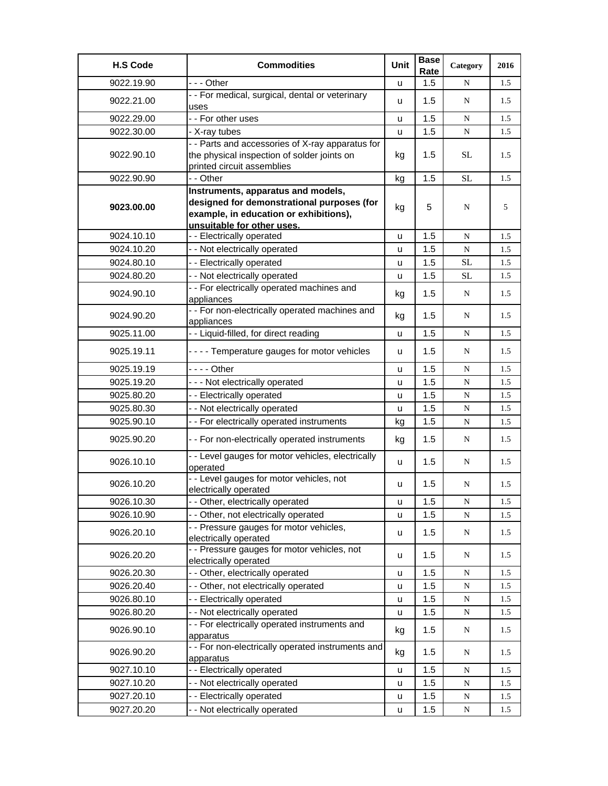| <b>H.S Code</b> | <b>Commodities</b>                                                                                                                                       | Unit    | <b>Base</b><br>Rate | Category  | 2016 |
|-----------------|----------------------------------------------------------------------------------------------------------------------------------------------------------|---------|---------------------|-----------|------|
| 9022.19.90      | --- Other                                                                                                                                                | u       | 1.5                 | N         | 1.5  |
| 9022.21.00      | - - For medical, surgical, dental or veterinary<br>uses                                                                                                  | u       | 1.5                 | N         | 1.5  |
| 9022.29.00      | - - For other uses                                                                                                                                       | u       | 1.5                 | ${\bf N}$ | 1.5  |
| 9022.30.00      | - X-ray tubes                                                                                                                                            | u       | 1.5                 | ${\bf N}$ | 1.5  |
| 9022.90.10      | - - Parts and accessories of X-ray apparatus for<br>the physical inspection of solder joints on<br>printed circuit assemblies                            | kg      | $1.5\,$             | <b>SL</b> | 1.5  |
| 9022.90.90      | - - Other                                                                                                                                                | kg      | 1.5                 | SL        | 1.5  |
| 9023.00.00      | Instruments, apparatus and models,<br>designed for demonstrational purposes (for<br>example, in education or exhibitions),<br>unsuitable for other uses. | kg      | 5                   | N         | 5    |
| 9024.10.10      | - - Electrically operated                                                                                                                                | u       | 1.5                 | N         | 1.5  |
| 9024.10.20      | - - Not electrically operated                                                                                                                            | u       | 1.5                 | ${\bf N}$ | 1.5  |
| 9024.80.10      | - - Electrically operated                                                                                                                                | u       | 1.5                 | <b>SL</b> | 1.5  |
| 9024.80.20      | - - Not electrically operated                                                                                                                            | u       | 1.5                 | <b>SL</b> | 1.5  |
| 9024.90.10      | - - For electrically operated machines and<br>appliances                                                                                                 | kg      | 1.5                 | N         | 1.5  |
| 9024.90.20      | - - For non-electrically operated machines and<br>appliances                                                                                             | kg      | 1.5                 | N         | 1.5  |
| 9025.11.00      | - - Liquid-filled, for direct reading                                                                                                                    | u       | 1.5                 | N         | 1.5  |
| 9025.19.11      | - - - - Temperature gauges for motor vehicles                                                                                                            | u       | 1.5                 | N         | 1.5  |
| 9025.19.19      | - - - - Other                                                                                                                                            | u       | 1.5                 | N         | 1.5  |
| 9025.19.20      | --- Not electrically operated                                                                                                                            | u       | 1.5                 | ${\bf N}$ | 1.5  |
| 9025.80.20      | - - Electrically operated                                                                                                                                | u       | 1.5                 | ${\bf N}$ | 1.5  |
| 9025.80.30      | - - Not electrically operated                                                                                                                            | u       | 1.5                 | ${\bf N}$ | 1.5  |
| 9025.90.10      | - - For electrically operated instruments                                                                                                                | kg      | 1.5                 | N         | 1.5  |
| 9025.90.20      | - - For non-electrically operated instruments                                                                                                            | kg      | 1.5                 | N         | 1.5  |
| 9026.10.10      | - - Level gauges for motor vehicles, electrically<br>operated                                                                                            | u       | 1.5                 | N         | 1.5  |
| 9026.10.20      | - - Level gauges for motor vehicles, not<br>electrically operated                                                                                        | u       | 1.5                 | N         | 1.5  |
| 9026.10.30      | - - Other, electrically operated                                                                                                                         | $\sf u$ | 1.5                 | N         | 1.5  |
| 9026.10.90      | - - Other, not electrically operated                                                                                                                     | u       | 1.5                 | N         | 1.5  |
| 9026.20.10      | - - Pressure gauges for motor vehicles,<br>electrically operated                                                                                         | u       | 1.5                 | ${\bf N}$ | 1.5  |
| 9026.20.20      | - - Pressure gauges for motor vehicles, not<br>electrically operated                                                                                     | u       | 1.5                 | N         | 1.5  |
| 9026.20.30      | - - Other, electrically operated                                                                                                                         | u       | 1.5                 | N         | 1.5  |
| 9026.20.40      | - - Other, not electrically operated                                                                                                                     | u       | 1.5                 | ${\bf N}$ | 1.5  |
| 9026.80.10      | - - Electrically operated                                                                                                                                | u       | 1.5                 | ${\bf N}$ | 1.5  |
| 9026.80.20      | - - Not electrically operated                                                                                                                            | u       | 1.5                 | ${\bf N}$ | 1.5  |
| 9026.90.10      | - - For electrically operated instruments and<br>apparatus                                                                                               | kg      | 1.5                 | N         | 1.5  |
| 9026.90.20      | - - For non-electrically operated instruments and<br>apparatus                                                                                           | kg      | 1.5                 | N         | 1.5  |
| 9027.10.10      | - - Electrically operated                                                                                                                                | u       | 1.5                 | ${\bf N}$ | 1.5  |
| 9027.10.20      | - - Not electrically operated                                                                                                                            | u       | 1.5                 | ${\bf N}$ | 1.5  |
| 9027.20.10      | -- Electrically operated                                                                                                                                 | u       | 1.5                 | ${\bf N}$ | 1.5  |
| 9027.20.20      | - - Not electrically operated                                                                                                                            | u       | 1.5                 | N         | 1.5  |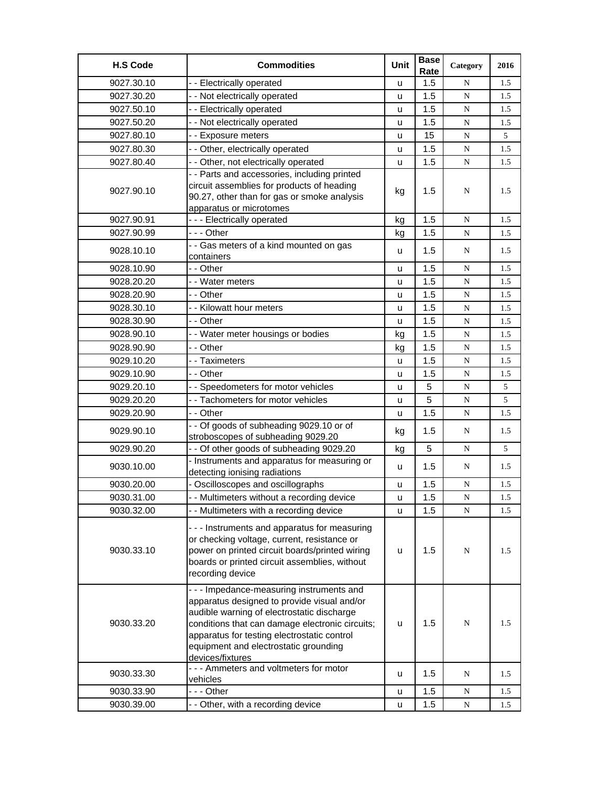| <b>H.S Code</b> | <b>Commodities</b>                                                                                                                                                                                                                                                                                    | Unit | <b>Base</b><br>Rate | Category    | 2016 |
|-----------------|-------------------------------------------------------------------------------------------------------------------------------------------------------------------------------------------------------------------------------------------------------------------------------------------------------|------|---------------------|-------------|------|
| 9027.30.10      | - - Electrically operated                                                                                                                                                                                                                                                                             | u    | 1.5                 | N           | 1.5  |
| 9027.30.20      | - - Not electrically operated                                                                                                                                                                                                                                                                         | u    | 1.5                 | $\mathbf N$ | 1.5  |
| 9027.50.10      | - - Electrically operated                                                                                                                                                                                                                                                                             | u    | 1.5                 | N           | 1.5  |
| 9027.50.20      | - - Not electrically operated                                                                                                                                                                                                                                                                         | u    | 1.5                 | N           | 1.5  |
| 9027.80.10      | - - Exposure meters                                                                                                                                                                                                                                                                                   | u    | 15                  | $\mathbf N$ | 5    |
| 9027.80.30      | - - Other, electrically operated                                                                                                                                                                                                                                                                      | u    | 1.5                 | N           | 1.5  |
| 9027.80.40      | - - Other, not electrically operated                                                                                                                                                                                                                                                                  | u    | 1.5                 | N           | 1.5  |
| 9027.90.10      | - - Parts and accessories, including printed<br>circuit assemblies for products of heading<br>90.27, other than for gas or smoke analysis<br>apparatus or microtomes                                                                                                                                  | kg   | 1.5                 | N           | 1.5  |
| 9027.90.91      | --- Electrically operated                                                                                                                                                                                                                                                                             | kg   | 1.5                 | N           | 1.5  |
| 9027.90.99      | - - - Other                                                                                                                                                                                                                                                                                           | kg   | 1.5                 | ${\bf N}$   | 1.5  |
| 9028.10.10      | - - Gas meters of a kind mounted on gas<br>containers                                                                                                                                                                                                                                                 | u    | 1.5                 | N           | 1.5  |
| 9028.10.90      | - - Other                                                                                                                                                                                                                                                                                             | u    | 1.5                 | N           | 1.5  |
| 9028.20.20      | - - Water meters                                                                                                                                                                                                                                                                                      | u    | 1.5                 | N           | 1.5  |
| 9028.20.90      | - - Other                                                                                                                                                                                                                                                                                             | u    | 1.5                 | N           | 1.5  |
| 9028.30.10      | - - Kilowatt hour meters                                                                                                                                                                                                                                                                              | u    | 1.5                 | $\mathbf N$ | 1.5  |
| 9028.30.90      | - - Other                                                                                                                                                                                                                                                                                             | u    | 1.5                 | N           | 1.5  |
| 9028.90.10      | - - Water meter housings or bodies                                                                                                                                                                                                                                                                    | kg   | 1.5                 | ${\bf N}$   | 1.5  |
| 9028.90.90      | - - Other                                                                                                                                                                                                                                                                                             | kg   | 1.5                 | N           | 1.5  |
| 9029.10.20      | - - Taximeters                                                                                                                                                                                                                                                                                        | u    | 1.5                 | N           | 1.5  |
| 9029.10.90      | - - Other                                                                                                                                                                                                                                                                                             | u    | 1.5                 | ${\bf N}$   | 1.5  |
| 9029.20.10      | - - Speedometers for motor vehicles                                                                                                                                                                                                                                                                   | u    | 5                   | N           | 5    |
| 9029.20.20      | - - Tachometers for motor vehicles                                                                                                                                                                                                                                                                    | u    | 5                   | ${\bf N}$   | 5    |
| 9029.20.90      | - - Other                                                                                                                                                                                                                                                                                             | u    | 1.5                 | N           | 1.5  |
| 9029.90.10      | - - Of goods of subheading 9029.10 or of<br>stroboscopes of subheading 9029.20                                                                                                                                                                                                                        | kg   | 1.5                 | N           | 1.5  |
| 9029.90.20      | - - Of other goods of subheading 9029.20                                                                                                                                                                                                                                                              | kg   | 5                   | N           | 5    |
| 9030.10.00      | - Instruments and apparatus for measuring or<br>detecting ionising radiations                                                                                                                                                                                                                         | u    | 1.5                 | N           | 1.5  |
| 9030.20.00      | - Oscilloscopes and oscillographs                                                                                                                                                                                                                                                                     | u    | 1.5                 | N           | 1.5  |
| 9030.31.00      | - - Multimeters without a recording device                                                                                                                                                                                                                                                            | u    | 1.5                 | N           | 1.5  |
| 9030.32.00      | - - Multimeters with a recording device                                                                                                                                                                                                                                                               | u    | 1.5                 | N           | 1.5  |
| 9030.33.10      | - - - Instruments and apparatus for measuring<br>or checking voltage, current, resistance or<br>power on printed circuit boards/printed wiring<br>boards or printed circuit assemblies, without<br>recording device                                                                                   | u    | 1.5                 | N           | 1.5  |
| 9030.33.20      | - - - Impedance-measuring instruments and<br>apparatus designed to provide visual and/or<br>audible warning of electrostatic discharge<br>conditions that can damage electronic circuits;<br>apparatus for testing electrostatic control<br>equipment and electrostatic grounding<br>devices/fixtures | u    | 1.5                 | N           | 1.5  |
| 9030.33.30      | - - - Ammeters and voltmeters for motor<br>vehicles                                                                                                                                                                                                                                                   | u    | 1.5                 | N           | 1.5  |
| 9030.33.90      | - - - Other                                                                                                                                                                                                                                                                                           | u    | 1.5                 | N           | 1.5  |
| 9030.39.00      | - - Other, with a recording device                                                                                                                                                                                                                                                                    | u    | 1.5                 | ${\bf N}$   | 1.5  |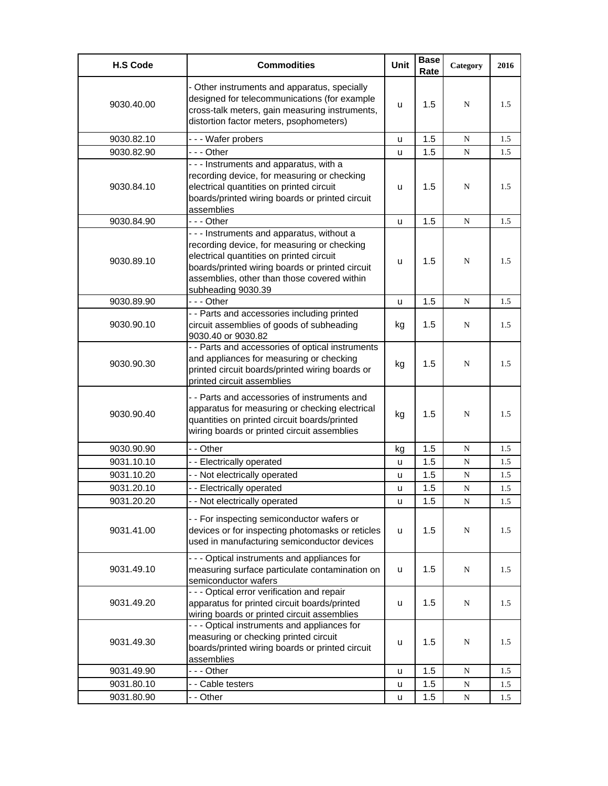| <b>H.S Code</b> | <b>Commodities</b>                                                                                                                                                                                                                                            | Unit | <b>Base</b><br>Rate | Category  | 2016 |
|-----------------|---------------------------------------------------------------------------------------------------------------------------------------------------------------------------------------------------------------------------------------------------------------|------|---------------------|-----------|------|
| 9030.40.00      | - Other instruments and apparatus, specially<br>designed for telecommunications (for example<br>cross-talk meters, gain measuring instruments,<br>distortion factor meters, psophometers)                                                                     | u    | 1.5                 | N         | 1.5  |
| 9030.82.10      | --- Wafer probers                                                                                                                                                                                                                                             | u    | 1.5                 | N         | 1.5  |
| 9030.82.90      | --- Other                                                                                                                                                                                                                                                     | u    | 1.5                 | N         | 1.5  |
| 9030.84.10      | - - - Instruments and apparatus, with a<br>recording device, for measuring or checking<br>electrical quantities on printed circuit<br>boards/printed wiring boards or printed circuit<br>assemblies                                                           | u    | 1.5                 | N         | 1.5  |
| 9030.84.90      | - - - Other                                                                                                                                                                                                                                                   | u    | 1.5                 | N         | 1.5  |
| 9030.89.10      | - - - Instruments and apparatus, without a<br>recording device, for measuring or checking<br>electrical quantities on printed circuit<br>boards/printed wiring boards or printed circuit<br>assemblies, other than those covered within<br>subheading 9030.39 | u    | 1.5                 | N         | 1.5  |
| 9030.89.90      | --- Other                                                                                                                                                                                                                                                     | u    | 1.5                 | N         | 1.5  |
| 9030.90.10      | - - Parts and accessories including printed<br>circuit assemblies of goods of subheading<br>9030.40 or 9030.82                                                                                                                                                | kg   | 1.5                 | N         | 1.5  |
| 9030.90.30      | - - Parts and accessories of optical instruments<br>and appliances for measuring or checking<br>printed circuit boards/printed wiring boards or<br>printed circuit assemblies                                                                                 | kg   | 1.5                 | N         | 1.5  |
| 9030.90.40      | - - Parts and accessories of instruments and<br>apparatus for measuring or checking electrical<br>quantities on printed circuit boards/printed<br>wiring boards or printed circuit assemblies                                                                 | kg   | 1.5                 | N         | 1.5  |
| 9030.90.90      | - - Other                                                                                                                                                                                                                                                     | kg   | 1.5                 | N         | 1.5  |
| 9031.10.10      | - - Electrically operated                                                                                                                                                                                                                                     | u    | 1.5                 | N         | 1.5  |
| 9031.10.20      | - - Not electrically operated                                                                                                                                                                                                                                 | u    | 1.5                 | N         | 1.5  |
| 9031.20.10      | - - Electrically operated                                                                                                                                                                                                                                     | u    | 1.5                 | N         | 1.5  |
| 9031.20.20      | - - Not electrically operated                                                                                                                                                                                                                                 | u    | 1.5                 | N         | 1.5  |
| 9031.41.00      | - - For inspecting semiconductor wafers or<br>devices or for inspecting photomasks or reticles<br>used in manufacturing semiconductor devices                                                                                                                 | u    | 1.5                 | N         | 1.5  |
| 9031.49.10      | - - - Optical instruments and appliances for<br>measuring surface particulate contamination on<br>semiconductor wafers                                                                                                                                        | u    | 1.5                 | N         | 1.5  |
| 9031.49.20      | - - - Optical error verification and repair<br>apparatus for printed circuit boards/printed<br>wiring boards or printed circuit assemblies                                                                                                                    | u    | 1.5                 | N         | 1.5  |
| 9031.49.30      | --- Optical instruments and appliances for<br>measuring or checking printed circuit<br>boards/printed wiring boards or printed circuit<br>assemblies                                                                                                          | u    | 1.5                 | N         | 1.5  |
| 9031.49.90      | --- Other                                                                                                                                                                                                                                                     | u    | 1.5                 | N         | 1.5  |
| 9031.80.10      | - - Cable testers                                                                                                                                                                                                                                             | u    | 1.5                 | ${\bf N}$ | 1.5  |
| 9031.80.90      | - - Other                                                                                                                                                                                                                                                     | u    | 1.5                 | N         | 1.5  |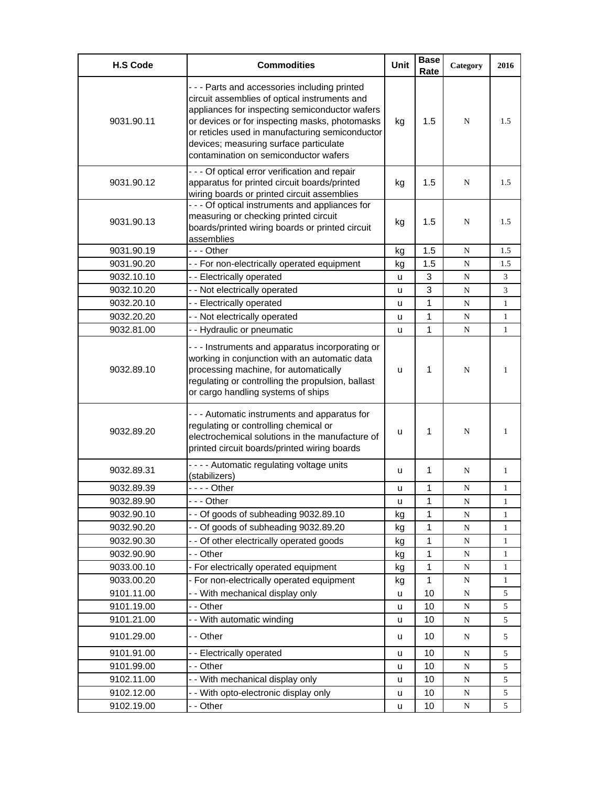| <b>H.S Code</b> | <b>Commodities</b>                                                                                                                                                                                                                                                                                                                     | Unit          | <b>Base</b><br>Rate | Category  | 2016         |
|-----------------|----------------------------------------------------------------------------------------------------------------------------------------------------------------------------------------------------------------------------------------------------------------------------------------------------------------------------------------|---------------|---------------------|-----------|--------------|
| 9031.90.11      | --- Parts and accessories including printed<br>circuit assemblies of optical instruments and<br>appliances for inspecting semiconductor wafers<br>or devices or for inspecting masks, photomasks<br>or reticles used in manufacturing semiconductor<br>devices; measuring surface particulate<br>contamination on semiconductor wafers | kg            | 1.5                 | N         | 1.5          |
| 9031.90.12      | - - - Of optical error verification and repair<br>apparatus for printed circuit boards/printed<br>wiring boards or printed circuit assemblies                                                                                                                                                                                          | kg            | 1.5                 | N         | 1.5          |
| 9031.90.13      | - - - Of optical instruments and appliances for<br>measuring or checking printed circuit<br>boards/printed wiring boards or printed circuit<br>assemblies                                                                                                                                                                              | kg            | 1.5                 | N         | 1.5          |
| 9031.90.19      | - - - Other                                                                                                                                                                                                                                                                                                                            | kg            | 1.5                 | N         | 1.5          |
| 9031.90.20      | - - For non-electrically operated equipment                                                                                                                                                                                                                                                                                            | kg            | 1.5                 | N         | 1.5          |
| 9032.10.10      | - - Electrically operated                                                                                                                                                                                                                                                                                                              | u             | 3                   | N         | 3            |
| 9032.10.20      | - - Not electrically operated                                                                                                                                                                                                                                                                                                          | u             | 3                   | N         | 3            |
| 9032.20.10      | - - Electrically operated                                                                                                                                                                                                                                                                                                              | u             | $\mathbf{1}$        | N         | $\mathbf{1}$ |
| 9032.20.20      | - - Not electrically operated                                                                                                                                                                                                                                                                                                          | u             | 1                   | N         | $\mathbf{1}$ |
| 9032.81.00      | - - Hydraulic or pneumatic                                                                                                                                                                                                                                                                                                             | u             | 1                   | N         | $\mathbf{1}$ |
| 9032.89.10      | - - - Instruments and apparatus incorporating or<br>working in conjunction with an automatic data<br>processing machine, for automatically<br>regulating or controlling the propulsion, ballast<br>or cargo handling systems of ships                                                                                                  | u             | 1                   | N         | 1            |
| 9032.89.20      | - - - Automatic instruments and apparatus for<br>regulating or controlling chemical or<br>electrochemical solutions in the manufacture of<br>printed circuit boards/printed wiring boards                                                                                                                                              | u             | 1                   | N         | 1            |
| 9032.89.31      | - - - - Automatic regulating voltage units<br>(stabilizers)                                                                                                                                                                                                                                                                            | u             | $\mathbf 1$         | N         | $\mathbf{1}$ |
| 9032.89.39      | - - - - Other                                                                                                                                                                                                                                                                                                                          | u             | 1                   | N         | 1            |
| 9032.89.90      | -  - - Other                                                                                                                                                                                                                                                                                                                           | $\mathsf{u}%$ | 1                   | N         | 1            |
| 9032.90.10      | - - Of goods of subheading 9032.89.10                                                                                                                                                                                                                                                                                                  | kg            | 1                   | N         | 1            |
| 9032.90.20      | - - Of goods of subheading 9032.89.20                                                                                                                                                                                                                                                                                                  | kg            | 1                   | ${\bf N}$ | 1            |
| 9032.90.30      | - - Of other electrically operated goods                                                                                                                                                                                                                                                                                               | kg            | 1                   | ${\bf N}$ | $\mathbf{1}$ |
| 9032.90.90      | - - Other                                                                                                                                                                                                                                                                                                                              | kg            | 1                   | ${\bf N}$ | 1            |
| 9033.00.10      | - For electrically operated equipment                                                                                                                                                                                                                                                                                                  | kg            | $\mathbf{1}$        | ${\bf N}$ | 1            |
| 9033.00.20      | - For non-electrically operated equipment                                                                                                                                                                                                                                                                                              | kg            | $\mathbf{1}$        | ${\bf N}$ | 1            |
| 9101.11.00      | - - With mechanical display only                                                                                                                                                                                                                                                                                                       | u             | 10                  | N         | 5            |
| 9101.19.00      | - - Other                                                                                                                                                                                                                                                                                                                              | u             | 10                  | ${\bf N}$ | 5            |
| 9101.21.00      | - - With automatic winding                                                                                                                                                                                                                                                                                                             | u             | 10                  | N         | 5            |
| 9101.29.00      | - - Other                                                                                                                                                                                                                                                                                                                              | u             | 10                  | N         | 5            |
| 9101.91.00      | -- Electrically operated                                                                                                                                                                                                                                                                                                               | u             | 10                  | ${\bf N}$ | 5            |
| 9101.99.00      | - - Other                                                                                                                                                                                                                                                                                                                              | u             | 10                  | ${\bf N}$ | 5            |
| 9102.11.00      | - - With mechanical display only                                                                                                                                                                                                                                                                                                       | u             | 10                  | N         | 5            |
| 9102.12.00      | - - With opto-electronic display only                                                                                                                                                                                                                                                                                                  | u             | 10                  | ${\bf N}$ | 5            |
| 9102.19.00      | - - Other                                                                                                                                                                                                                                                                                                                              | u             | 10                  | ${\bf N}$ | 5            |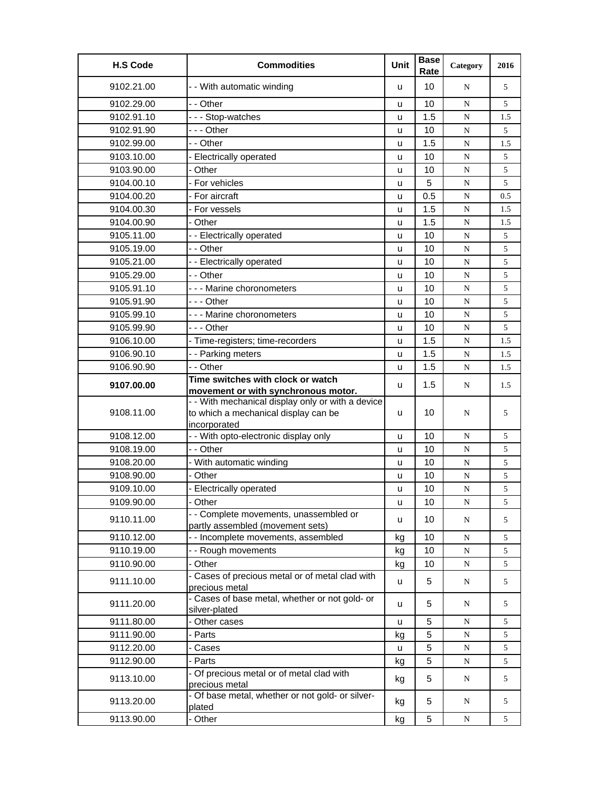| <b>H.S Code</b> | <b>Commodities</b>                                              | Unit   | <b>Base</b><br>Rate | Category  | 2016 |
|-----------------|-----------------------------------------------------------------|--------|---------------------|-----------|------|
| 9102.21.00      | - - With automatic winding                                      | u      | 10                  | N         | 5    |
| 9102.29.00      | - - Other                                                       | u      | 10                  | N         | 5    |
| 9102.91.10      | --- Stop-watches                                                | u      | 1.5                 | ${\bf N}$ | 1.5  |
| 9102.91.90      | --- Other                                                       | u      | 10                  | N         | 5    |
| 9102.99.00      | - - Other                                                       | u      | 1.5                 | ${\bf N}$ | 1.5  |
| 9103.10.00      | - Electrically operated                                         | u      | 10                  | N         | 5    |
| 9103.90.00      | - Other                                                         | u      | 10                  | N         | 5    |
| 9104.00.10      | - For vehicles                                                  | u      | 5                   | N         | 5    |
| 9104.00.20      | - For aircraft                                                  | u      | 0.5                 | N         | 0.5  |
| 9104.00.30      | For vessels                                                     | u      | 1.5                 | ${\bf N}$ | 1.5  |
| 9104.00.90      | - Other                                                         | u      | 1.5                 | N         | 1.5  |
| 9105.11.00      | - - Electrically operated                                       | u      | 10                  | N         | 5    |
| 9105.19.00      | - - Other                                                       | u      | 10                  | N         | 5    |
| 9105.21.00      | - - Electrically operated                                       | u      | 10                  | ${\bf N}$ | 5    |
| 9105.29.00      | - - Other                                                       | u      | 10                  | ${\bf N}$ | 5    |
| 9105.91.10      | - - - Marine choronometers                                      | u      | 10                  | N         | 5    |
| 9105.91.90      | $- -$ Other                                                     | u      | 10                  | N         | 5    |
| 9105.99.10      | --- Marine choronometers                                        | u      | 10                  | N         | 5    |
| 9105.99.90      | -  - - Other                                                    | u      | 10                  | N         | 5    |
| 9106.10.00      | - Time-registers; time-recorders                                | u      | 1.5                 | ${\bf N}$ | 1.5  |
| 9106.90.10      | - - Parking meters                                              | u      | 1.5                 | N         | 1.5  |
| 9106.90.90      | - - Other                                                       | u      | 1.5                 | ${\bf N}$ | 1.5  |
|                 | Time switches with clock or watch                               |        |                     |           |      |
| 9107.00.00      | movement or with synchronous motor.                             | u      | 1.5                 | N         | 1.5  |
|                 | - - With mechanical display only or with a device               |        |                     |           |      |
| 9108.11.00      | to which a mechanical display can be                            | u      | 10                  | N         | 5    |
| 9108.12.00      | incorporated<br>- - With opto-electronic display only           |        | 10                  | N         | 5    |
| 9108.19.00      | - - Other                                                       | u<br>u | 10                  | N         | 5    |
| 9108.20.00      | - With automatic winding                                        | u      | 10                  | ${\bf N}$ | 5    |
| 9108.90.00      | - Other                                                         | u      | 10                  | N         | 5    |
| 9109.10.00      | <b>Electrically operated</b>                                    | u      | 10                  | N         | 5    |
| 9109.90.00      | - Other                                                         | u      | 10                  | N         | 5    |
|                 | - - Complete movements, unassembled or                          |        |                     |           |      |
| 9110.11.00      | partly assembled (movement sets)                                | u      | 10                  | N         | 5    |
| 9110.12.00      | - - Incomplete movements, assembled                             | kg     | 10                  | N         | 5    |
| 9110.19.00      | - - Rough movements                                             | kg     | 10                  | ${\bf N}$ | 5    |
| 9110.90.00      | - Other                                                         | kg     | 10                  | ${\bf N}$ | 5    |
| 9111.10.00      | - Cases of precious metal or of metal clad with                 | u      | 5                   | N         | 5    |
|                 | precious metal                                                  |        |                     |           |      |
| 9111.20.00      | - Cases of base metal, whether or not gold- or<br>silver-plated | u      | 5                   | N         | 5    |
| 9111.80.00      | Other cases                                                     | u      | 5                   | N         | 5    |
| 9111.90.00      | - Parts                                                         | kg     | 5                   | ${\bf N}$ | 5    |
| 9112.20.00      | Cases                                                           | u      | 5                   | N         | 5    |
| 9112.90.00      | - Parts                                                         | kg     | 5                   | ${\bf N}$ | 5    |
| 9113.10.00      | - Of precious metal or of metal clad with<br>precious metal     | kg     | 5                   | N         | 5    |
| 9113.20.00      | - Of base metal, whether or not gold- or silver-                | kg     | 5                   | N         | 5    |
| 9113.90.00      | plated<br>- Other                                               | kg     | 5                   | ${\bf N}$ | 5    |
|                 |                                                                 |        |                     |           |      |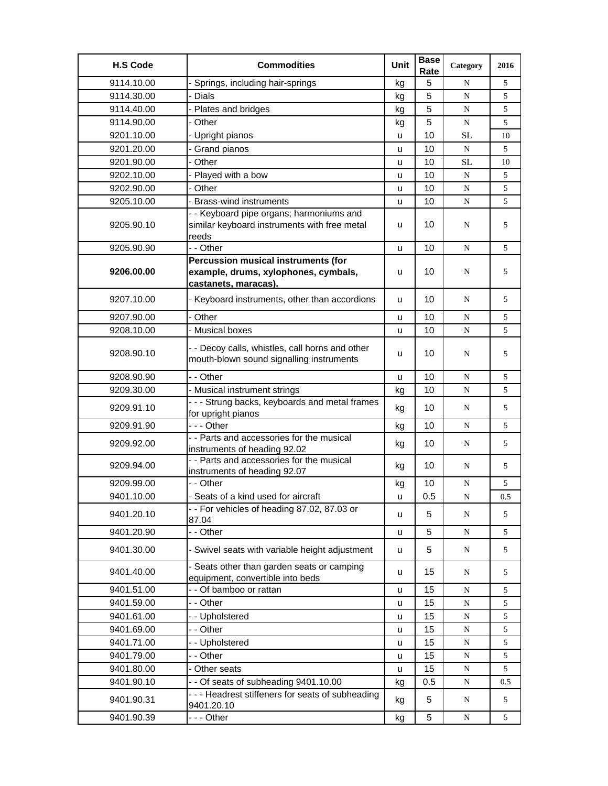| <b>H.S Code</b> | <b>Commodities</b>                                                                                | Unit         | <b>Base</b><br>Rate | Category  | 2016 |
|-----------------|---------------------------------------------------------------------------------------------------|--------------|---------------------|-----------|------|
| 9114.10.00      | Springs, including hair-springs                                                                   | kg           | 5                   | N         | 5    |
| 9114.30.00      | - Dials                                                                                           | kg           | 5                   | N         | 5    |
| 9114.40.00      | Plates and bridges                                                                                | kg           | 5                   | N         | 5    |
| 9114.90.00      | - Other                                                                                           | kg           | 5                   | N         | 5    |
| 9201.10.00      | - Upright pianos                                                                                  | u            | 10                  | <b>SL</b> | 10   |
| 9201.20.00      | - Grand pianos                                                                                    | u            | 10                  | N         | 5    |
| 9201.90.00      | Other                                                                                             | u            | 10                  | <b>SL</b> | 10   |
| 9202.10.00      | - Played with a bow                                                                               | u            | 10                  | N         | 5    |
| 9202.90.00      | - Other                                                                                           | u            | 10                  | N         | 5    |
| 9205.10.00      | - Brass-wind instruments                                                                          | u            | 10                  | N         | 5    |
| 9205.90.10      | - - Keyboard pipe organs; harmoniums and<br>similar keyboard instruments with free metal<br>reeds | u            | 10                  | N         | 5    |
| 9205.90.90      | - - Other                                                                                         | u            | 10                  | N         | 5    |
|                 | Percussion musical instruments (for                                                               |              |                     |           |      |
| 9206.00.00      | example, drums, xylophones, cymbals,                                                              | u            | 10                  | N         | 5    |
|                 | castanets, maracas).                                                                              |              |                     |           |      |
| 9207.10.00      | - Keyboard instruments, other than accordions                                                     | u            | 10                  | N         | 5    |
| 9207.90.00      | Other                                                                                             | u            | 10                  | ${\bf N}$ | 5    |
| 9208.10.00      | - Musical boxes                                                                                   | u            | 10                  | N         | 5    |
| 9208.90.10      | - - Decoy calls, whistles, call horns and other<br>mouth-blown sound signalling instruments       | u            | 10                  | N         | 5    |
| 9208.90.90      | - - Other                                                                                         | u            | 10                  | ${\bf N}$ | 5    |
| 9209.30.00      | - Musical instrument strings                                                                      | kg           | 10                  | ${\bf N}$ | 5    |
| 9209.91.10      | - - - Strung backs, keyboards and metal frames<br>for upright pianos                              | kg           | 10                  | N         | 5    |
| 9209.91.90      | --- Other                                                                                         | kg           | 10                  | N         | 5    |
| 9209.92.00      | - - Parts and accessories for the musical<br>instruments of heading 92.02                         | kg           | 10                  | N         | 5    |
| 9209.94.00      | - - Parts and accessories for the musical<br>instruments of heading 92.07                         | kg           | 10                  | N         | 5    |
| 9209.99.00      | - - Other                                                                                         | kg           | 10                  | N         | 5    |
| 9401.10.00      | - Seats of a kind used for aircraft                                                               | u            | 0.5                 | N         | 0.5  |
| 9401.20.10      | -- For vehicles of heading 87.02, 87.03 or<br>87.04                                               | u            | 5                   | N         | 5    |
| 9401.20.90      | - - Other                                                                                         | u            | 5                   | N         | 5    |
| 9401.30.00      | - Swivel seats with variable height adjustment                                                    | u            | 5                   | N         | 5    |
| 9401.40.00      | - Seats other than garden seats or camping<br>equipment, convertible into beds                    | u            | 15                  | N         | 5    |
| 9401.51.00      | - - Of bamboo or rattan                                                                           | u            | 15                  | ${\bf N}$ | 5    |
| 9401.59.00      | - - Other                                                                                         | u            | 15                  | N         | 5    |
| 9401.61.00      | - - Upholstered                                                                                   | $\mathsf{u}$ | 15                  | ${\bf N}$ | 5    |
| 9401.69.00      | - - Other                                                                                         | u            | 15                  | ${\bf N}$ | 5    |
| 9401.71.00      | - - Upholstered                                                                                   | u            | 15                  | ${\bf N}$ | 5    |
| 9401.79.00      | - - Other                                                                                         | u            | 15                  | ${\bf N}$ | 5    |
| 9401.80.00      | - Other seats                                                                                     | u            | 15                  | ${\bf N}$ | 5    |
| 9401.90.10      | - - Of seats of subheading 9401.10.00                                                             | kg           | 0.5                 | ${\bf N}$ | 0.5  |
| 9401.90.31      | --- Headrest stiffeners for seats of subheading<br>9401.20.10                                     | kg           | 5                   | ${\bf N}$ | 5    |
| 9401.90.39      | --- Other                                                                                         | kg           | 5                   | N         | 5    |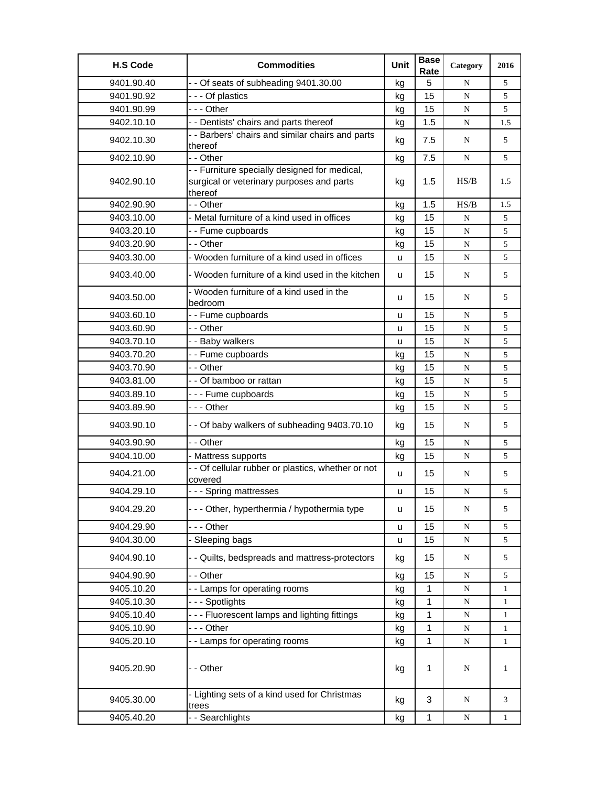| <b>H.S Code</b> | <b>Commodities</b>                                                                                    | Unit | <b>Base</b><br>Rate | Category    | 2016         |
|-----------------|-------------------------------------------------------------------------------------------------------|------|---------------------|-------------|--------------|
| 9401.90.40      | - - Of seats of subheading 9401.30.00                                                                 | kg   | 5                   | N           | 5            |
| 9401.90.92      | --- Of plastics                                                                                       | kg   | 15                  | ${\bf N}$   | 5            |
| 9401.90.99      | --- Other                                                                                             | kg   | 15                  | N           | 5            |
| 9402.10.10      | - - Dentists' chairs and parts thereof                                                                | kg   | 1.5                 | N           | 1.5          |
| 9402.10.30      | - - Barbers' chairs and similar chairs and parts<br>thereof                                           | kg   | 7.5                 | N           | 5            |
| 9402.10.90      | - - Other                                                                                             | kg   | 7.5                 | N           | 5            |
| 9402.90.10      | - - Furniture specially designed for medical,<br>surgical or veterinary purposes and parts<br>thereof | kg   | 1.5                 | HS/B        | 1.5          |
| 9402.90.90      | - - Other                                                                                             | kg   | 1.5                 | HS/B        | 1.5          |
| 9403.10.00      | - Metal furniture of a kind used in offices                                                           | kg   | 15                  | N           | 5            |
| 9403.20.10      | - - Fume cupboards                                                                                    | kg   | 15                  | $\mathbf N$ | 5            |
| 9403.20.90      | - - Other                                                                                             | kg   | 15                  | N           | 5            |
| 9403.30.00      | - Wooden furniture of a kind used in offices                                                          | u    | 15                  | ${\bf N}$   | 5            |
| 9403.40.00      | - Wooden furniture of a kind used in the kitchen                                                      | u    | 15                  | ${\bf N}$   | 5            |
| 9403.50.00      | - Wooden furniture of a kind used in the<br>bedroom                                                   | u    | 15                  | N           | 5            |
| 9403.60.10      | - - Fume cupboards                                                                                    | u    | 15                  | N           | 5            |
| 9403.60.90      | - - Other                                                                                             | u    | 15                  | $\mathbf N$ | 5            |
| 9403.70.10      | - - Baby walkers                                                                                      | u    | 15                  | ${\bf N}$   | 5            |
| 9403.70.20      | - - Fume cupboards                                                                                    | kg   | 15                  | N           | 5            |
| 9403.70.90      | - - Other                                                                                             | kg   | 15                  | N           | 5            |
| 9403.81.00      | - - Of bamboo or rattan                                                                               | kg   | 15                  | N           | 5            |
| 9403.89.10      | --- Fume cupboards                                                                                    | kg   | 15                  | N           | 5            |
| 9403.89.90      | - - - Other                                                                                           | kg   | 15                  | N           | 5            |
| 9403.90.10      | - - Of baby walkers of subheading 9403.70.10                                                          | kg   | 15                  | N           | 5            |
| 9403.90.90      | - - Other                                                                                             | kg   | 15                  | N           | 5            |
| 9404.10.00      | - Mattress supports                                                                                   | kg   | 15                  | ${\bf N}$   | 5            |
| 9404.21.00      | - - Of cellular rubber or plastics, whether or not<br>covered                                         | u    | 15                  | N           | 5            |
| 9404.29.10      | --- Spring mattresses                                                                                 | u    | 15                  | N           | 5            |
| 9404.29.20      | - - - Other, hyperthermia / hypothermia type                                                          | u    | 15                  | ${\bf N}$   | 5            |
| 9404.29.90      | - - - Other                                                                                           | u    | 15                  | N           | 5            |
| 9404.30.00      | - Sleeping bags                                                                                       | u    | 15                  | ${\bf N}$   | 5            |
| 9404.90.10      | - - Quilts, bedspreads and mattress-protectors                                                        | kg   | 15                  | ${\bf N}$   | 5            |
| 9404.90.90      | - - Other                                                                                             | kg   | 15                  | ${\bf N}$   | 5            |
| 9405.10.20      | - - Lamps for operating rooms                                                                         | kg   | 1                   | N           | $\mathbf{1}$ |
| 9405.10.30      | --- Spotlights                                                                                        | kg   | 1                   | ${\bf N}$   | $\mathbf{1}$ |
| 9405.10.40      | --- Fluorescent lamps and lighting fittings                                                           | kg   | 1                   | N           | 1            |
| 9405.10.90      | - - - Other                                                                                           | kg   | 1                   | N           | 1            |
| 9405.20.10      | - - Lamps for operating rooms                                                                         | kg   | 1                   | N           | 1            |
| 9405.20.90      | - - Other                                                                                             | kg   | 1                   | N           | 1            |
| 9405.30.00      | - Lighting sets of a kind used for Christmas<br>trees                                                 | kg   | 3                   | N           | 3            |
| 9405.40.20      | - - Searchlights                                                                                      | kg   | 1                   | N           | 1            |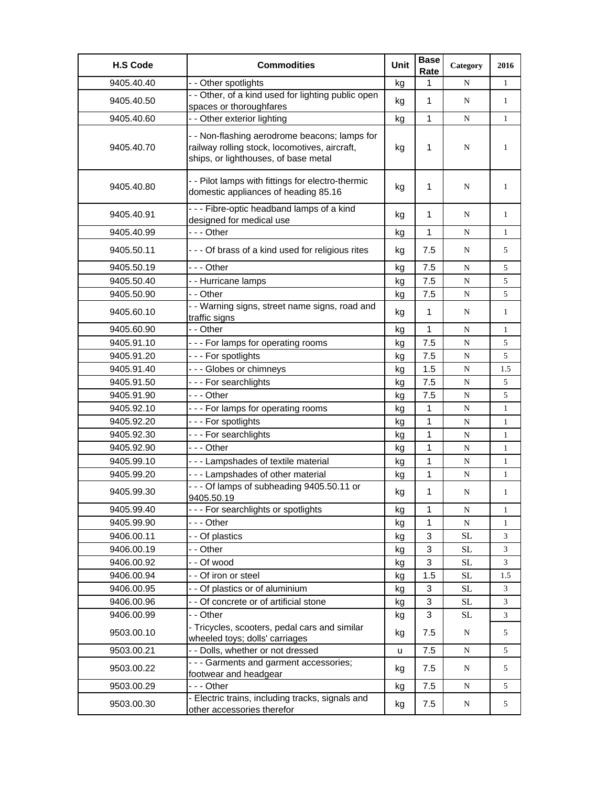| <b>H.S Code</b> | <b>Commodities</b>                                                                                                                     | Unit | <b>Base</b><br>Rate | Category  | 2016         |
|-----------------|----------------------------------------------------------------------------------------------------------------------------------------|------|---------------------|-----------|--------------|
| 9405.40.40      | - - Other spotlights                                                                                                                   | kg   | 1                   | N         | $\mathbf{1}$ |
| 9405.40.50      | - - Other, of a kind used for lighting public open<br>spaces or thoroughfares                                                          | kg   | 1                   | N         | $\mathbf{1}$ |
| 9405.40.60      | -- Other exterior lighting                                                                                                             | kg   | 1                   | N         | $\mathbf{1}$ |
| 9405.40.70      | - - Non-flashing aerodrome beacons; lamps for<br>railway rolling stock, locomotives, aircraft,<br>ships, or lighthouses, of base metal | kg   | 1                   | N         | 1            |
| 9405.40.80      | - - Pilot lamps with fittings for electro-thermic<br>domestic appliances of heading 85.16                                              | kg   | 1                   | N         | 1            |
| 9405.40.91      | --- Fibre-optic headband lamps of a kind<br>designed for medical use                                                                   | kg   | 1                   | N         | 1            |
| 9405.40.99      | - - - Other                                                                                                                            | kg   | 1                   | N         | $\mathbf{1}$ |
| 9405.50.11      | - - - Of brass of a kind used for religious rites                                                                                      | kg   | 7.5                 | N         | 5            |
| 9405.50.19      | - - - Other                                                                                                                            | kg   | 7.5                 | N         | 5            |
| 9405.50.40      | - - Hurricane lamps                                                                                                                    | kg   | 7.5                 | ${\bf N}$ | 5            |
| 9405.50.90      | - - Other                                                                                                                              | kg   | 7.5                 | ${\bf N}$ | 5            |
| 9405.60.10      | - - Warning signs, street name signs, road and<br>traffic signs                                                                        | kg   | 1                   | N         | $\mathbf{1}$ |
| 9405.60.90      | - - Other                                                                                                                              | kg   | 1                   | N         | $\mathbf{1}$ |
| 9405.91.10      | --- For lamps for operating rooms                                                                                                      | kg   | 7.5                 | N         | 5            |
| 9405.91.20      | --- For spotlights                                                                                                                     | kg   | 7.5                 | N         | 5            |
| 9405.91.40      | --- Globes or chimneys                                                                                                                 | kg   | 1.5                 | N         | 1.5          |
| 9405.91.50      | --- For searchlights                                                                                                                   | kg   | 7.5                 | ${\bf N}$ | 5            |
| 9405.91.90      | - - - Other                                                                                                                            | kg   | 7.5                 | ${\bf N}$ | 5            |
| 9405.92.10      | --- For lamps for operating rooms                                                                                                      | kg   | 1                   | N         | $\mathbf{1}$ |
| 9405.92.20      | --- For spotlights                                                                                                                     | kg   | 1                   | N         | $\mathbf{1}$ |
| 9405.92.30      | --- For searchlights                                                                                                                   | kg   | 1                   | N         | $\mathbf{1}$ |
| 9405.92.90      | --- Other                                                                                                                              | kg   | 1                   | ${\bf N}$ | 1            |
| 9405.99.10      | --- Lampshades of textile material                                                                                                     | kg   | 1                   | N         | 1            |
| 9405.99.20      | --- Lampshades of other material                                                                                                       | kg   | 1                   | N         | $\mathbf{1}$ |
| 9405.99.30      | --- Of lamps of subheading 9405.50.11 or<br>9405.50.19                                                                                 | kg   | 1                   | N         | $\mathbf{1}$ |
| 9405.99.40      | - - - For searchlights or spotlights                                                                                                   | kg   | 1                   | ${\bf N}$ | $\mathbf{1}$ |
| 9405.99.90      | - - - Other                                                                                                                            | kg   | 1                   | ${\bf N}$ | $\mathbf{1}$ |
| 9406.00.11      | - - Of plastics                                                                                                                        | kg   | 3                   | $\rm SL$  | 3            |
| 9406.00.19      | - - Other                                                                                                                              | kg   | 3                   | <b>SL</b> | 3            |
| 9406.00.92      | - - Of wood                                                                                                                            | kg   | 3                   | <b>SL</b> | 3            |
| 9406.00.94      | - - Of iron or steel                                                                                                                   | kg   | 1.5                 | <b>SL</b> | 1.5          |
| 9406.00.95      | - - Of plastics or of aluminium                                                                                                        | kg   | 3                   | SL        | 3            |
| 9406.00.96      | - - Of concrete or of artificial stone                                                                                                 | kg   | 3                   | $\rm SL$  | 3            |
| 9406.00.99      | - - Other                                                                                                                              | kg   | 3                   | <b>SL</b> | 3            |
| 9503.00.10      | - Tricycles, scooters, pedal cars and similar<br>wheeled toys; dolls' carriages                                                        | kg   | 7.5                 | ${\bf N}$ | 5            |
| 9503.00.21      | - - Dolls, whether or not dressed                                                                                                      | u    | 7.5                 | ${\bf N}$ | 5            |
| 9503.00.22      | - - - Garments and garment accessories;<br>footwear and headgear                                                                       | kg   | 7.5                 | N         | 5            |
| 9503.00.29      | - - - Other                                                                                                                            | kg   | 7.5                 | N         | 5            |
| 9503.00.30      | - Electric trains, including tracks, signals and<br>other accessories therefor                                                         | kg   | 7.5                 | N         | 5            |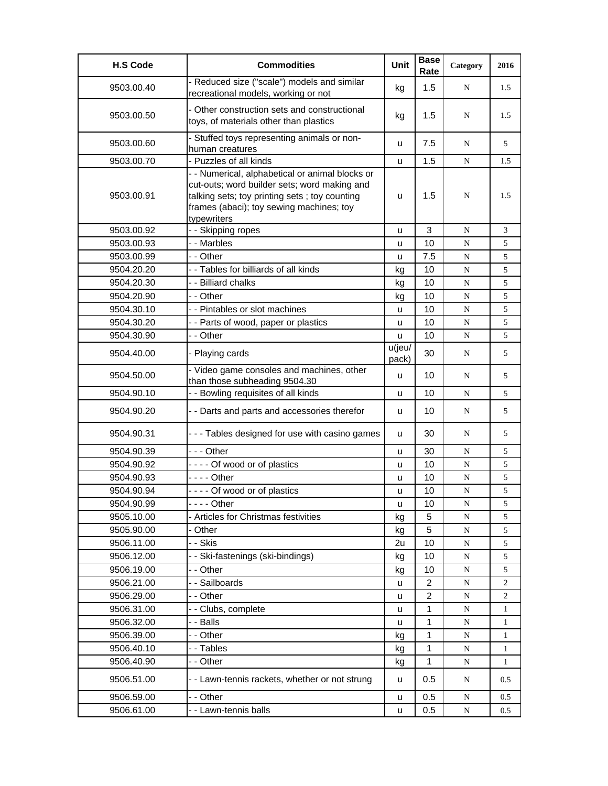| <b>H.S Code</b> | <b>Commodities</b>                                                                                                                                                                                          | Unit            | <b>Base</b><br>Rate     | Category  | 2016           |
|-----------------|-------------------------------------------------------------------------------------------------------------------------------------------------------------------------------------------------------------|-----------------|-------------------------|-----------|----------------|
| 9503.00.40      | - Reduced size ("scale") models and similar<br>recreational models, working or not                                                                                                                          | kg              | 1.5                     | N         | 1.5            |
| 9503.00.50      | - Other construction sets and constructional<br>toys, of materials other than plastics                                                                                                                      | kg              | 1.5                     | N         | 1.5            |
| 9503.00.60      | - Stuffed toys representing animals or non-<br>human creatures                                                                                                                                              | u               | 7.5                     | N         | 5              |
| 9503.00.70      | - Puzzles of all kinds                                                                                                                                                                                      | u               | 1.5                     | ${\bf N}$ | 1.5            |
| 9503.00.91      | - - Numerical, alphabetical or animal blocks or<br>cut-outs; word builder sets; word making and<br>talking sets; toy printing sets; toy counting<br>frames (abaci); toy sewing machines; toy<br>typewriters | u               | 1.5                     | N         | 1.5            |
| 9503.00.92      | - - Skipping ropes                                                                                                                                                                                          | u               | 3                       | N         | 3              |
| 9503.00.93      | -- Marbles                                                                                                                                                                                                  | u               | 10                      | N         | 5              |
| 9503.00.99      | - - Other                                                                                                                                                                                                   | u               | 7.5                     | ${\bf N}$ | 5              |
| 9504.20.20      | - - Tables for billiards of all kinds                                                                                                                                                                       | kg              | 10                      | ${\bf N}$ | 5              |
| 9504.20.30      | - - Billiard chalks                                                                                                                                                                                         | kg              | 10                      | ${\bf N}$ | 5              |
| 9504.20.90      | - - Other                                                                                                                                                                                                   | kg              | 10                      | ${\bf N}$ | 5              |
| 9504.30.10      | - - Pintables or slot machines                                                                                                                                                                              | u               | 10                      | ${\bf N}$ | 5              |
| 9504.30.20      | - - Parts of wood, paper or plastics                                                                                                                                                                        | u               | 10                      | N         | 5              |
| 9504.30.90      | - - Other                                                                                                                                                                                                   | u               | 10                      | ${\bf N}$ | 5              |
| 9504.40.00      | - Playing cards                                                                                                                                                                                             | u(jeu/<br>pack) | 30                      | N         | 5              |
| 9504.50.00      | - Video game consoles and machines, other<br>than those subheading 9504.30                                                                                                                                  | u               | 10                      | N         | 5              |
| 9504.90.10      | - - Bowling requisites of all kinds                                                                                                                                                                         | u               | 10                      | N         | 5              |
| 9504.90.20      | - - Darts and parts and accessories therefor                                                                                                                                                                | u               | 10                      | N         | 5              |
| 9504.90.31      | - - - Tables designed for use with casino games                                                                                                                                                             | u               | 30                      | N         | 5              |
| 9504.90.39      | $- -$ Other                                                                                                                                                                                                 | u               | 30                      | ${\bf N}$ | 5              |
| 9504.90.92      | ---- Of wood or of plastics                                                                                                                                                                                 | u               | 10                      | N         | 5              |
| 9504.90.93      |                                                                                                                                                                                                             | u               | 10                      | ${\bf N}$ | 5              |
| 9504.90.94      | ---- Of wood or of plastics                                                                                                                                                                                 | u               | 10                      | ${\bf N}$ | 5              |
| 9504.90.99      | $--$ Other                                                                                                                                                                                                  | u               | 10                      | ${\bf N}$ | 5              |
| 9505.10.00      | Articles for Christmas festivities                                                                                                                                                                          | kg              | 5                       | ${\bf N}$ | 5              |
| 9505.90.00      | Other                                                                                                                                                                                                       | kg              | 5                       | ${\bf N}$ | 5              |
| 9506.11.00      | - - Skis                                                                                                                                                                                                    | 2u              | 10                      | ${\bf N}$ | 5              |
| 9506.12.00      | - - Ski-fastenings (ski-bindings)                                                                                                                                                                           | kg              | 10                      | ${\bf N}$ | 5              |
| 9506.19.00      | - - Other                                                                                                                                                                                                   | kg              | 10                      | ${\bf N}$ | 5              |
| 9506.21.00      | - - Sailboards                                                                                                                                                                                              | u               | $\overline{c}$          | ${\bf N}$ | 2              |
| 9506.29.00      | - - Other                                                                                                                                                                                                   | u               | $\overline{\mathbf{c}}$ | N         | $\overline{c}$ |
| 9506.31.00      | - - Clubs, complete                                                                                                                                                                                         | u               | 1                       | ${\bf N}$ | 1              |
| 9506.32.00      | - - Balls                                                                                                                                                                                                   | u               | 1                       | ${\bf N}$ | $\mathbf{1}$   |
| 9506.39.00      | - - Other                                                                                                                                                                                                   | kg              | $\mathbf{1}$            | N         | $\mathbf{1}$   |
| 9506.40.10      | - - Tables                                                                                                                                                                                                  | kg              | 1                       | ${\bf N}$ | $\mathbf{1}$   |
| 9506.40.90      | - - Other                                                                                                                                                                                                   | kg              | 1                       | N         | 1              |
| 9506.51.00      | - - Lawn-tennis rackets, whether or not strung                                                                                                                                                              | u               | 0.5                     | N         | 0.5            |
| 9506.59.00      | - - Other                                                                                                                                                                                                   | u               | 0.5                     | N         | 0.5            |
| 9506.61.00      | - - Lawn-tennis balls                                                                                                                                                                                       | u               | 0.5                     | N         | 0.5            |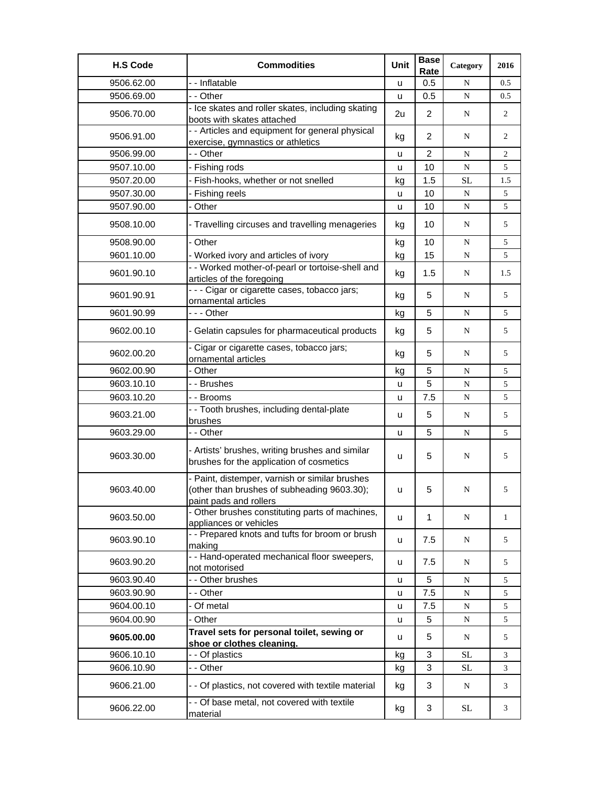| <b>H.S Code</b> | <b>Commodities</b>                                                                                                      | Unit | <b>Base</b><br>Rate | Category  | 2016           |
|-----------------|-------------------------------------------------------------------------------------------------------------------------|------|---------------------|-----------|----------------|
| 9506.62.00      | -- Inflatable                                                                                                           | u    | 0.5                 | N         | 0.5            |
| 9506.69.00      | - - Other                                                                                                               | u    | 0.5                 | ${\bf N}$ | 0.5            |
| 9506.70.00      | - Ice skates and roller skates, including skating<br>boots with skates attached                                         | 2u   | 2                   | N         | $\overline{2}$ |
| 9506.91.00      | - - Articles and equipment for general physical<br>exercise, gymnastics or athletics                                    | kg   | 2                   | N         | 2              |
| 9506.99.00      | - - Other                                                                                                               | u    | $\overline{2}$      | N         | 2              |
| 9507.10.00      | - Fishing rods                                                                                                          | u    | 10                  | ${\bf N}$ | 5              |
| 9507.20.00      | - Fish-hooks, whether or not snelled                                                                                    | kg   | 1.5                 | <b>SL</b> | 1.5            |
| 9507.30.00      | - Fishing reels                                                                                                         | u    | 10                  | ${\bf N}$ | 5              |
| 9507.90.00      | - Other                                                                                                                 | u    | 10                  | ${\bf N}$ | 5              |
| 9508.10.00      | - Travelling circuses and travelling menageries                                                                         | kg   | 10                  | N         | 5              |
| 9508.90.00      | - Other                                                                                                                 | kg   | 10                  | ${\bf N}$ | 5              |
| 9601.10.00      | - Worked ivory and articles of ivory                                                                                    | kg   | 15                  | N         | 5              |
| 9601.90.10      | - - Worked mother-of-pearl or tortoise-shell and<br>articles of the foregoing                                           | kg   | 1.5                 | N         | 1.5            |
| 9601.90.91      | - - - Cigar or cigarette cases, tobacco jars;<br>ornamental articles                                                    | kg   | 5                   | N         | 5              |
| 9601.90.99      | --- Other                                                                                                               | kg   | 5                   | N         | 5              |
| 9602.00.10      | - Gelatin capsules for pharmaceutical products                                                                          | kg   | 5                   | N         | 5              |
| 9602.00.20      | - Cigar or cigarette cases, tobacco jars;<br>ornamental articles                                                        | kg   | 5                   | N         | 5              |
| 9602.00.90      | - Other                                                                                                                 | kg   | 5                   | N         | 5              |
| 9603.10.10      | - - Brushes                                                                                                             | u    | 5                   | ${\bf N}$ | 5              |
| 9603.10.20      | - - Brooms                                                                                                              | u    | 7.5                 | ${\bf N}$ | 5              |
| 9603.21.00      | - - Tooth brushes, including dental-plate<br>brushes                                                                    | u    | 5                   | N         | 5              |
| 9603.29.00      | - - Other                                                                                                               | u    | 5                   | N         | 5              |
| 9603.30.00      | - Artists' brushes, writing brushes and similar<br>brushes for the application of cosmetics                             | u    | 5                   | N         | 5              |
| 9603.40.00      | - Paint, distemper, varnish or similar brushes<br>(other than brushes of subheading 9603.30);<br>paint pads and rollers | u    | 5                   | N         | 5              |
| 9603.50.00      | - Other brushes constituting parts of machines,<br>appliances or vehicles                                               | u    | $\mathbf 1$         | N         | 1              |
| 9603.90.10      | - - Prepared knots and tufts for broom or brush<br>making                                                               | u    | 7.5                 | N         | 5              |
| 9603.90.20      | - - Hand-operated mechanical floor sweepers,<br>not motorised                                                           | u    | 7.5                 | N         | 5              |
| 9603.90.40      | - - Other brushes                                                                                                       | u    | 5                   | N         | 5              |
| 9603.90.90      | - - Other                                                                                                               | u    | 7.5                 | ${\bf N}$ | 5              |
| 9604.00.10      | - Of metal                                                                                                              | u    | 7.5                 | ${\bf N}$ | 5              |
| 9604.00.90      | - Other                                                                                                                 | u    | 5                   | N         | 5              |
| 9605.00.00      | Travel sets for personal toilet, sewing or<br>shoe or clothes cleaning.                                                 | u    | 5                   | N         | 5              |
| 9606.10.10      | - - Of plastics                                                                                                         | kg   | 3                   | <b>SL</b> | 3              |
| 9606.10.90      | - - Other                                                                                                               | kg   | 3                   | $\rm SL$  | 3              |
| 9606.21.00      | - - Of plastics, not covered with textile material                                                                      | kg   | 3                   | N         | 3              |
| 9606.22.00      | - - Of base metal, not covered with textile<br>material                                                                 | kg   | 3                   | SL        | 3              |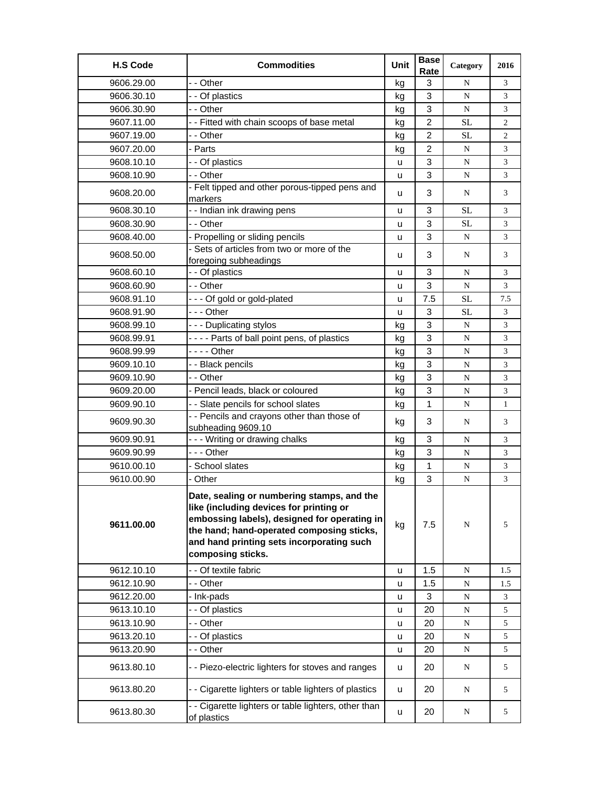| <b>H.S Code</b> | <b>Commodities</b>                                                                                                                                                                                                                                   | Unit | <b>Base</b><br>Rate | Category  | 2016         |
|-----------------|------------------------------------------------------------------------------------------------------------------------------------------------------------------------------------------------------------------------------------------------------|------|---------------------|-----------|--------------|
| 9606.29.00      | - - Other                                                                                                                                                                                                                                            | kg   | 3                   | N         | 3            |
| 9606.30.10      | - - Of plastics                                                                                                                                                                                                                                      | kg   | 3                   | N         | 3            |
| 9606.30.90      | - - Other                                                                                                                                                                                                                                            | kg   | 3                   | N         | 3            |
| 9607.11.00      | - - Fitted with chain scoops of base metal                                                                                                                                                                                                           | kg   | $\overline{2}$      | <b>SL</b> | 2            |
| 9607.19.00      | - - Other                                                                                                                                                                                                                                            | kg   | $\overline{2}$      | <b>SL</b> | 2            |
| 9607.20.00      | - Parts                                                                                                                                                                                                                                              | kg   | $\overline{2}$      | N         | 3            |
| 9608.10.10      | - - Of plastics                                                                                                                                                                                                                                      | u    | 3                   | N         | 3            |
| 9608.10.90      | - - Other                                                                                                                                                                                                                                            | u    | 3                   | N         | 3            |
| 9608.20.00      | - Felt tipped and other porous-tipped pens and<br>markers                                                                                                                                                                                            | u    | 3                   | N         | 3            |
| 9608.30.10      | -- Indian ink drawing pens                                                                                                                                                                                                                           | u    | 3                   | <b>SL</b> | 3            |
| 9608.30.90      | - - Other                                                                                                                                                                                                                                            | u    | 3                   | <b>SL</b> | 3            |
| 9608.40.00      | - Propelling or sliding pencils                                                                                                                                                                                                                      | u    | 3                   | N         | 3            |
| 9608.50.00      | - Sets of articles from two or more of the                                                                                                                                                                                                           | u    | 3                   | N         | 3            |
|                 | foregoing subheadings                                                                                                                                                                                                                                |      |                     |           |              |
| 9608.60.10      | - - Of plastics                                                                                                                                                                                                                                      | u    | 3                   | N         | 3            |
| 9608.60.90      | - - Other                                                                                                                                                                                                                                            | u    | 3                   | N         | 3            |
| 9608.91.10      | --- Of gold or gold-plated                                                                                                                                                                                                                           | u    | 7.5                 | <b>SL</b> | 7.5          |
| 9608.91.90      | - - - Other                                                                                                                                                                                                                                          | u    | 3                   | <b>SL</b> | 3            |
| 9608.99.10      | --- Duplicating stylos                                                                                                                                                                                                                               | kg   | 3                   | N         | 3            |
| 9608.99.91      | - - - - Parts of ball point pens, of plastics                                                                                                                                                                                                        | kg   | 3                   | N         | 3            |
| 9608.99.99      | - - - - Other                                                                                                                                                                                                                                        | kg   | 3                   | N         | 3            |
| 9609.10.10      | - - Black pencils                                                                                                                                                                                                                                    | kg   | 3                   | ${\bf N}$ | 3            |
| 9609.10.90      | - - Other                                                                                                                                                                                                                                            | kg   | 3                   | N         | 3            |
| 9609.20.00      | - Pencil leads, black or coloured                                                                                                                                                                                                                    | kg   | 3                   | N         | 3            |
| 9609.90.10      | - - Slate pencils for school slates                                                                                                                                                                                                                  | kg   | 1                   | N         | $\mathbf{1}$ |
| 9609.90.30      | - - Pencils and crayons other than those of<br>subheading 9609.10                                                                                                                                                                                    | kg   | 3                   | N         | 3            |
| 9609.90.91      | --- Writing or drawing chalks                                                                                                                                                                                                                        | kg   | 3                   | N         | 3            |
| 9609.90.99      | --- Other                                                                                                                                                                                                                                            | kg   | 3                   | N         | 3            |
| 9610.00.10      | - School slates                                                                                                                                                                                                                                      | kg   | $\mathbf{1}$        | N         | 3            |
| 9610.00.90      | - Other                                                                                                                                                                                                                                              | kg   | 3                   | ${\bf N}$ | 3            |
| 9611.00.00      | Date, sealing or numbering stamps, and the<br>like (including devices for printing or<br>embossing labels), designed for operating in<br>the hand; hand-operated composing sticks,<br>and hand printing sets incorporating such<br>composing sticks. | kg   | 7.5                 | N         | 5            |
| 9612.10.10      | - - Of textile fabric                                                                                                                                                                                                                                | u    | 1.5                 | ${\bf N}$ | 1.5          |
| 9612.10.90      | - - Other                                                                                                                                                                                                                                            | u    | 1.5                 | ${\bf N}$ | 1.5          |
| 9612.20.00      | - Ink-pads                                                                                                                                                                                                                                           | u    | 3                   | ${\bf N}$ | 3            |
| 9613.10.10      | - - Of plastics                                                                                                                                                                                                                                      | u    | 20                  | ${\bf N}$ | 5            |
| 9613.10.90      | - - Other                                                                                                                                                                                                                                            | u    | 20                  | ${\bf N}$ | 5            |
| 9613.20.10      | - - Of plastics                                                                                                                                                                                                                                      | u    | 20                  | N         | 5            |
| 9613.20.90      | - - Other                                                                                                                                                                                                                                            | u    | 20                  | ${\bf N}$ | 5            |
| 9613.80.10      | - - Piezo-electric lighters for stoves and ranges                                                                                                                                                                                                    | u    | 20                  | ${\bf N}$ | 5            |
| 9613.80.20      | - - Cigarette lighters or table lighters of plastics                                                                                                                                                                                                 | u    | 20                  | ${\bf N}$ | 5            |
| 9613.80.30      | Cigarette lighters or table lighters, other than<br>of plastics                                                                                                                                                                                      | u    | 20                  | ${\bf N}$ | 5            |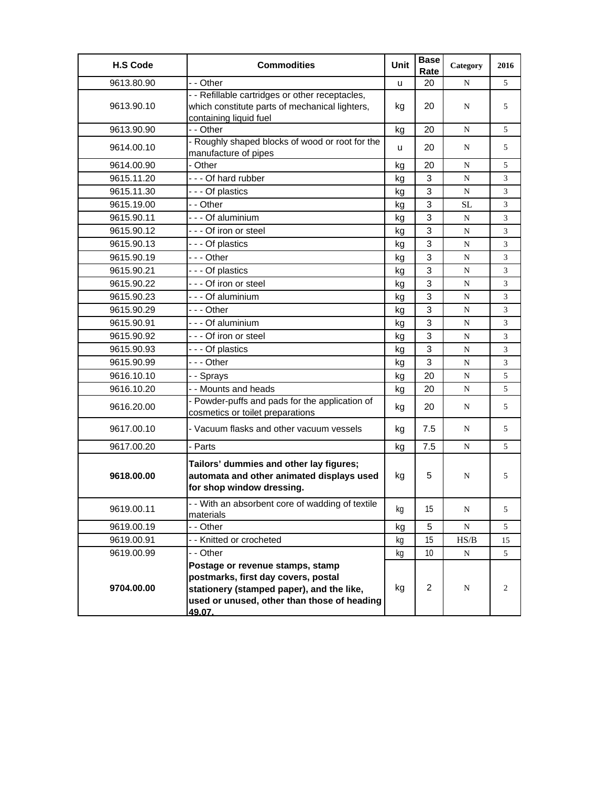| <b>H.S Code</b> | <b>Commodities</b>                                                                                                                                                            | <b>Unit</b> | <b>Base</b><br>Rate | Category  | 2016 |
|-----------------|-------------------------------------------------------------------------------------------------------------------------------------------------------------------------------|-------------|---------------------|-----------|------|
| 9613.80.90      | - - Other                                                                                                                                                                     | u           | 20                  | N         | 5    |
| 9613.90.10      | - - Refillable cartridges or other receptacles,<br>which constitute parts of mechanical lighters,<br>containing liquid fuel                                                   | kg          | 20                  | N         | 5    |
| 9613.90.90      | - - Other                                                                                                                                                                     | kg          | 20                  | N         | 5    |
| 9614.00.10      | - Roughly shaped blocks of wood or root for the<br>manufacture of pipes                                                                                                       | u           | 20                  | N         | 5    |
| 9614.00.90      | - Other                                                                                                                                                                       | kg          | 20                  | N         | 5    |
| 9615.11.20      | --- Of hard rubber                                                                                                                                                            | kg          | 3                   | N         | 3    |
| 9615.11.30      | --- Of plastics                                                                                                                                                               | kg          | 3                   | N         | 3    |
| 9615.19.00      | - - Other                                                                                                                                                                     | kg          | 3                   | <b>SL</b> | 3    |
| 9615.90.11      | - - - Of aluminium                                                                                                                                                            | kg          | 3                   | N         | 3    |
| 9615.90.12      | --- Of iron or steel                                                                                                                                                          | kq          | 3                   | N         | 3    |
| 9615.90.13      | --- Of plastics                                                                                                                                                               | kg          | 3                   | ${\bf N}$ | 3    |
| 9615.90.19      | $- -$ Other                                                                                                                                                                   | kg          | 3                   | N         | 3    |
| 9615.90.21      | - - - Of plastics                                                                                                                                                             | kg          | 3                   | N         | 3    |
| 9615.90.22      | - - - Of iron or steel                                                                                                                                                        | kg          | 3                   | N         | 3    |
| 9615.90.23      | - - - Of aluminium                                                                                                                                                            | kg          | 3                   | ${\bf N}$ | 3    |
| 9615.90.29      | - - - Other                                                                                                                                                                   | kg          | 3                   | ${\bf N}$ | 3    |
| 9615.90.91      | --- Of aluminium                                                                                                                                                              | kg          | 3                   | N         | 3    |
| 9615.90.92      | - - - Of iron or steel                                                                                                                                                        | kg          | 3                   | N         | 3    |
| 9615.90.93      | - - - Of plastics                                                                                                                                                             | kg          | 3                   | N         | 3    |
| 9615.90.99      | - - - Other                                                                                                                                                                   | kg          | 3                   | N         | 3    |
| 9616.10.10      | - - Sprays                                                                                                                                                                    | kg          | 20                  | ${\bf N}$ | 5    |
| 9616.10.20      | - - Mounts and heads                                                                                                                                                          | kg          | 20                  | N         | 5    |
| 9616.20.00      | - Powder-puffs and pads for the application of<br>cosmetics or toilet preparations                                                                                            | kg          | 20                  | N         | 5    |
| 9617.00.10      | - Vacuum flasks and other vacuum vessels                                                                                                                                      | kg          | 7.5                 | N         | 5    |
| 9617.00.20      | - Parts                                                                                                                                                                       | kg          | 7.5                 | N         | 5    |
| 9618.00.00      | Tailors' dummies and other lay figures;<br>automata and other animated displays used<br>for shop window dressing.                                                             | kg          | 5                   | N         | 5    |
| 9619.00.11      | - With an absorbent core of wadding of textile<br>materials                                                                                                                   | kg          | 15                  | ${\bf N}$ | 5    |
| 9619.00.19      | - - Other                                                                                                                                                                     | kg          | 5                   | N         | 5    |
| 9619.00.91      | - - Knitted or crocheted                                                                                                                                                      | kg          | 15                  | HS/B      | 15   |
| 9619.00.99      | - - Other                                                                                                                                                                     | kg          | 10                  | ${\bf N}$ | 5    |
| 9704.00.00      | Postage or revenue stamps, stamp<br>postmarks, first day covers, postal<br>stationery (stamped paper), and the like,<br>used or unused, other than those of heading<br>49.07. | kg          | $\overline{2}$      | N         | 2    |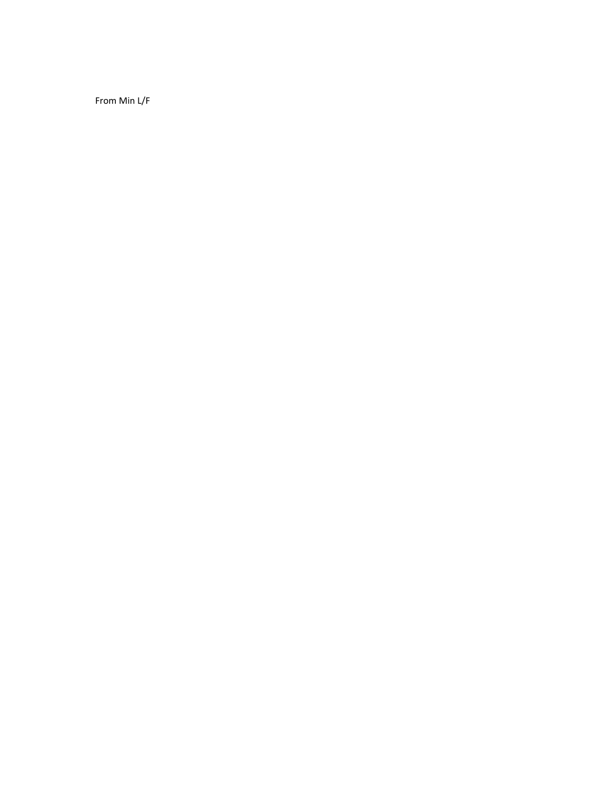From Min L/F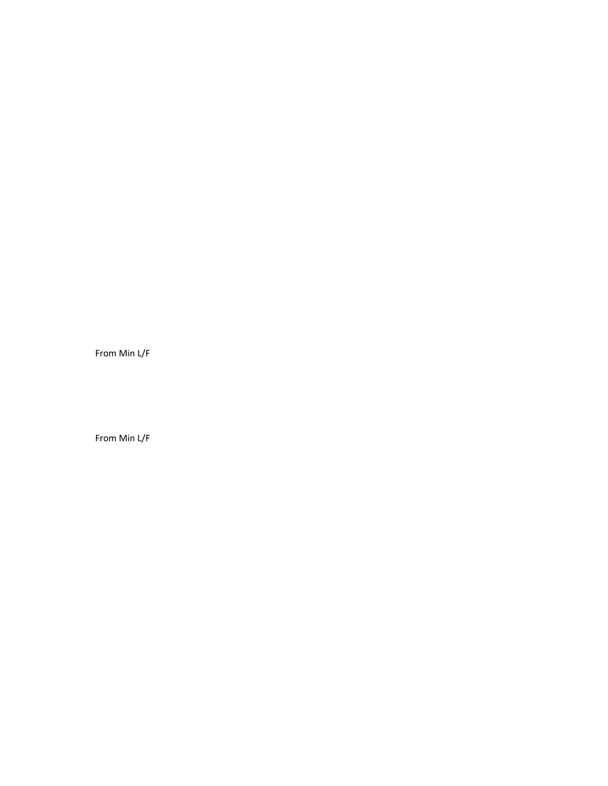From Min L/F

From Min L/F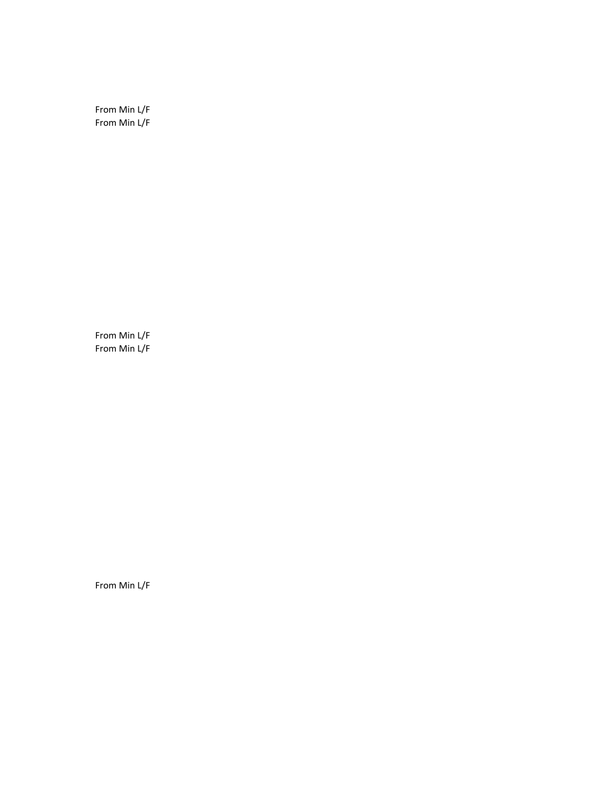From Min L/F From Min L/F

From Min L/F From Min L/F

From Min L/F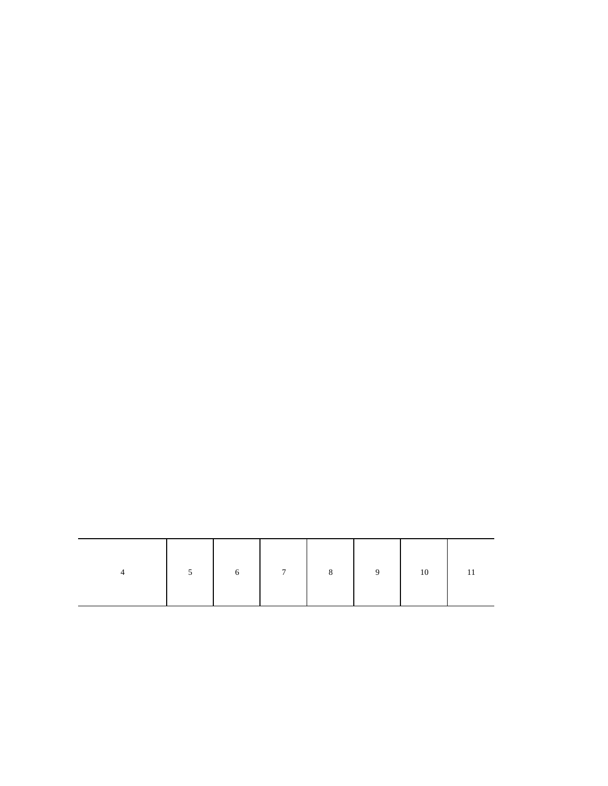| $5^{\circ}$ | $6\overline{6}$ | $7\overline{ }$ | $9 \mid$ | 10 |  |
|-------------|-----------------|-----------------|----------|----|--|
|             |                 |                 |          |    |  |